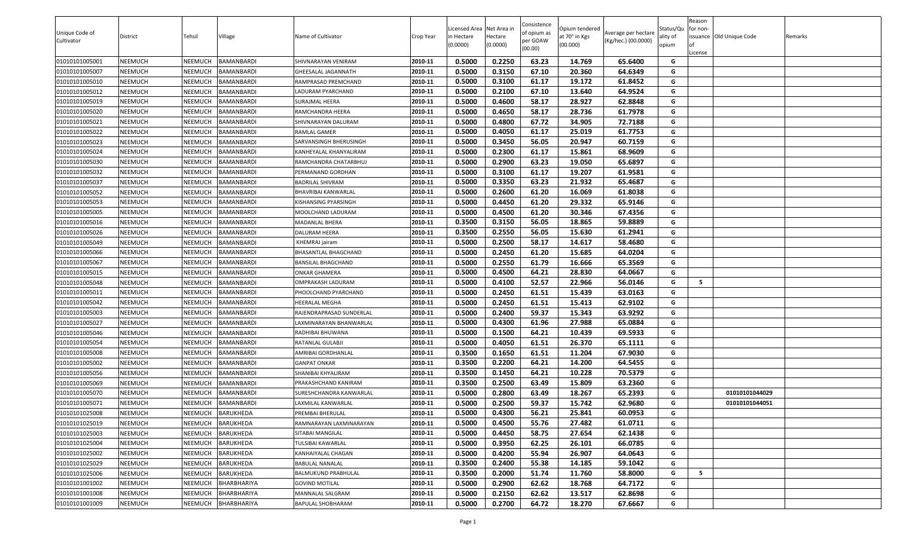| License<br>0.5000<br>0.2250<br>63.23<br>01010101005001<br>NEEMUCH<br><b>NEEMUCH</b><br>BAMANBARDI<br>2010-11<br>14.769<br>65.6400<br>SHIVNARAYAN VENIRAM<br>G<br>0.5000<br>01010101005007<br>2010-11<br>0.3150<br>67.10<br>20.360<br>64.6349<br>NEEMUCH<br>NEEMUCH<br>BAMANBARDI<br>G<br>GHEESALAL JAGANNATH<br>2010-11<br>0.5000<br>0.3100<br>61.17<br>19.172<br>61.8452<br>G<br>01010101005010<br>NEEMUCH<br><b>NEEMUCH</b><br>BAMANBARDI<br>RAMPRASAD PREMCHAND<br>2010-11<br>0.5000<br>67.10<br>64.9524<br>G<br>0.2100<br>13.640<br>01010101005012<br>NEEMUCH<br><b>NEEMUCH</b><br>BAMANBARDI<br>LADURAM PYARCHAND<br>2010-11<br>0.5000<br>0.4600<br>58.17<br>28.927<br>62.8848<br>G<br>01010101005019<br>NEEMUCH<br><b>NEEMUCH</b><br>BAMANBARDI<br>SURAJMAL HEERA<br>2010-11<br>0.5000<br>58.17<br>28.736<br>NEEMUCH<br>0.4650<br>61.7978<br>G<br>01010101005020<br><b>NEEMUCH</b><br>BAMANBARDI<br>RAMCHANDRA HEERA<br>0.5000<br>0.4800<br>67.72<br>34.905<br>72.7188<br>01010101005021<br>NEEMUCH<br><b>NEEMUCH</b><br><b>BAMANBARDI</b><br>2010-11<br>G<br>SHIVNARAYAN DALURAM<br>0.5000<br>0.4050<br>25.019<br>61.7753<br>01010101005022<br>NEEMUCH<br>NEEMUCH<br>2010-11<br>61.17<br>G<br>BAMANBARDI<br>RAMLAL GAMER<br>0.5000<br>0.3450<br>56.05<br>20.947<br>01010101005023<br>NEEMUCH<br><b>NEEMUCH</b><br><b>BAMANBARDI</b><br>2010-11<br>60.7159<br>G<br>SARVANSINGH BHERUSINGH<br>0.5000<br>01010101005024<br>0.2300<br>61.17<br>15.861<br>68.9609<br>NEEMUCH<br>NEEMUCH<br>BAMANBARDI<br>2010-11<br>G<br>KANHEYALAL KHANYALIRAM<br>0.5000<br>0.2900<br>63.23<br>19.050<br>65.6897<br>01010101005030<br>NEEMUCH<br>NEEMUCH<br>BAMANBARDI<br>2010-11<br>G<br>RAMCHANDRA CHATARBHUJ<br>0.5000<br>0.3100<br>61.17<br>19.207<br>61.9581<br>G<br>01010101005032<br>NEEMUCH<br>NEEMUCH<br>BAMANBARDI<br>PERMANAND GORDHAN<br>2010-11<br>0.5000<br>0.3350<br>63.23<br>21.932<br>65.4687<br>01010101005037<br>NEEMUCH<br><b>NEEMUCH</b><br>BAMANBARDI<br>2010-11<br>G<br>BADRILAL SHIVRAM<br>0.5000<br>0.2600<br>61.20<br>16.069<br>61.8038<br>2010-11<br>G<br>01010101005052<br>NEEMUCH<br><b>NEEMUCH</b><br><b>BAMANBARDI</b><br>BHAVRIBAI KANWARLAL<br>0.5000<br>2010-11<br>0.4450<br>61.20<br>29.332<br>65.9146<br>G<br>01010101005053<br>NEEMUCH<br><b>NEEMUCH</b><br>BAMANBARDI<br>KISHANSING PYARSINGH<br>2010-11<br>0.5000<br>0.4500<br>G<br>01010101005005<br>NEEMUCH<br><b>NEEMUCH</b><br>BAMANBARDI<br>MOOLCHAND LADURAM<br>61.20<br>30.346<br>67.4356<br>2010-11<br>0.3500<br>0.3150<br>56.05<br>18.865<br>59.8889<br>G<br>01010101005016<br>NEEMUCH<br>MADANLAL BHERA<br>NEEMUCH<br>BAMANBARDI<br>0.3500<br>0.2550<br>56.05<br>15.630<br>01010101005026<br>NEEMUCH<br><b>NEEMUCH</b><br><b>BAMANBARDI</b><br>DALURAM HEERA<br>2010-11<br>61.2941<br>G<br>0.5000<br>01010101005049<br>0.2500<br>58.17<br>14.617<br>58.4680<br>NEEMUCH<br>NEEMUCH<br>BAMANBARDI<br>2010-11<br>G<br>KHEMRAJ jairam<br>0.5000<br>01010101005066<br>NEEMUCH<br><b>NEEMUCH</b><br>2010-11<br>0.2450<br>61.20<br>15.685<br>64.0204<br>G<br>BAMANBARDI<br>BHASANTLAL BHAGCHAND<br>0.5000<br>0.2550<br>61.79<br>16.666<br>NEEMUCH<br>65.3569<br>G<br>01010101005067<br>NEEMUCH<br><b>BAMANBARDI</b><br>2010-11<br>BANSILAL BHAGCHAND<br>0.5000<br>0.4500<br>64.21<br>28.830<br>01010101005015<br>NEEMUCH<br><b>NEEMUCH</b><br>BAMANBARDI<br>2010-11<br>64.0667<br>G<br>ONKAR GHAMERA<br>0.5000<br>52.57<br>01010101005048<br>NEEMUCH<br>0.4100<br>22.966<br>56.0146<br><b>NEEMUCH</b><br>BAMANBARDI<br>2010-11<br>G<br>-5<br>OMPRAKASH LADURAM<br>0.5000<br>61.51<br>01010101005011<br>NEEMUCH<br><b>NEEMUCH</b><br>BAMANBARDI<br>2010-11<br>0.2450<br>15.439<br>63.0163<br>G<br>PHOOLCHAND PYARCHAND<br>01010101005042<br>0.5000<br>0.2450<br>61.51<br>15.413<br>62.9102<br>NEEMUCH<br>NEEMUCH<br>BAMANBARDI<br>2010-11<br>G<br><b>IEERALAL MEGHA</b><br>01010101005003<br>2010-11<br>0.5000<br>0.2400<br>59.37<br>15.343<br>63.9292<br>G<br>NEEMUCH<br><b>NEEMUCH</b><br>BAMANBARDI<br>RAJENDRAPRASAD SUNDERLAL<br>0.5000<br>01010101005027<br>2010-11<br>0.4300<br>61.96<br>27.988<br>65.0884<br>G<br>NEEMUCH<br>NEEMUCH<br>BAMANBARDI<br>AXMINARAYAN BHANWARLAL<br>2010-11<br>0.5000<br>0.1500<br>64.21<br>69.5933<br>G<br>01010101005046<br>NEEMUCH<br><b>NEEMUCH</b><br>BAMANBARDI<br>RADHIBAI BHUWANA<br>10.439<br>2010-11<br>0.5000<br>0.4050<br>61.51<br>G<br>26.370<br>65.1111<br>01010101005054<br>NEEMUCH<br>NEEMUCH<br>BAMANBARDI<br>RATANLAL GULABJI<br>0.3500<br>0.1650<br>61.51<br>67.9030<br>01010101005008<br>NEEMUCH<br><b>NEEMUCH</b><br>BAMANBARDI<br>2010-11<br>11.204<br>G<br>AMRIBAI GORDHANLAL<br>0.3500<br>64.21<br>NEEMUCH<br>0.2200<br>14.200<br>64.5455<br>G<br>01010101005002<br><b>NEEMUCH</b><br>BAMANBARDI<br>2010-11<br><b>GANPAT ONKAR</b><br>0.3500<br>0.1450<br>64.21<br>10.228<br>70.5379<br>01010101005056<br>NEEMUCH<br><b>NEEMUCH</b><br>BAMANBARDI<br>2010-11<br>G<br>SHANIBAI KHYALIRAM<br>0.3500<br>0.2500<br>63.49<br>01010101005069<br>NEEMUCH<br>2010-11<br>15.809<br>63.2360<br>G<br>NEEMUCH<br>BAMANBARDI<br>PRAKASHCHAND KANIRAM<br>0.5000<br>0.2800<br>18.267<br>65.2393<br>01010101005070<br>NEEMUCH<br><b>NEEMUCH</b><br>BAMANBARDI<br>2010-11<br>63.49<br>G<br>01010101044029<br>SURESHCHANDRA KANWARLAL<br>0.5000<br>2010-11<br>0.2500<br>59.37<br>15.742<br>62.9680<br>G<br>01010101005071<br>NEEMUCH<br>NEEMUCH<br><b>BAMANBARDI</b><br>AXMILAL KANWARLAL<br>01010101044051<br><b>NEEMUCH</b><br>2010-11<br>0.5000<br>0.4300<br>56.21<br>25.841<br>60.0953<br>G<br>01010101025008<br>NEEMUCH<br><b>BARUKHEDA</b><br>PREMBAI BHERULAL<br>2010-11<br>0.5000<br>0.4500<br>55.76<br>27.482<br>61.0711<br>G<br>01010101025019<br>NEEMUCH<br><b>NEEMUCH</b><br><b>BARUKHEDA</b><br>RAMNARAYAN LAXMINARAYAN<br>2010-11<br>0.5000<br>0.4450<br>58.75<br>G<br>27.654<br>62.1438<br>01010101025003<br>NEEMUCH<br>NEEMUCH<br>BARUKHEDA<br>SITABAI MANGILAL<br>2010-11<br>0.5000<br>0.3950<br>62.25<br>26.101<br>G<br>01010101025004<br>NEEMUCH<br><b>NEEMUCH</b><br><b>BARUKHEDA</b><br>TULSIBAI KAWARLAL<br>66.0785<br>0.5000<br>NEEMUCH<br>NEEMUCH<br>2010-11<br>0.4200<br>55.94<br>26.907<br>G<br>01010101025002<br><b>BARUKHEDA</b><br>KANHAIYALAL CHAGAN<br>64.0643<br>2010-11<br>0.3500<br>0.2400<br>55.38<br>G<br>01010101025029<br>NEEMUCH<br><b>NEEMUCH</b><br><b>BARUKHEDA</b><br><b>BABULAL NANALAL</b><br>14.185<br>59.1042<br>0.3500<br>0.2000<br>51.74<br>01010101025006<br>NEEMUCH<br>2010-11<br>11.760<br>58.8000<br>G<br>5<br><b>NEEMUCH</b><br>BARUKHEDA<br>BALMUKUND PRABHULAL<br>0.5000<br>0.2900<br>62.62<br>18.768<br>01010101001002<br>NEEMUCH<br><b>NEEMUCH</b><br>BHARBHARIYA<br>2010-11<br>64.7172<br>G<br><b>GOVIND MOTILAL</b><br>01010101001008<br>0.5000<br>0.2150<br>62.62<br>13.517<br>62.8698<br>NEEMUCH<br><b>NEEMUCH</b><br>BHARBHARIYA<br>2010-11<br><b>MANNALAL SALGRAM</b><br>G<br>01010101001009<br>NEEMUCH<br><b>NEEMUCH</b><br>BHARBHARIYA<br>2010-11<br>0.5000<br>0.2700<br>64.72<br>18.270<br>67.6667<br>G<br>BAPULAL SHOBHARAM | Unique Code of<br>Cultivator | District | Tehsil | Village | Name of Cultivator | Crop Year | Licensed Area Net Area in<br>n Hectare<br>(0.0000) | Hectare<br>(0.0000) | Consistence<br>of opium as<br>per GOAW | Opium tendered<br>at 70° in Kgs<br>(00.000) | Average per hectare<br>(Kg/hec.) (00.0000) | Status/Qu<br>ality of<br>opium | Reason<br>for non- | issuance Old Unique Code | Remarks |
|-----------------------------------------------------------------------------------------------------------------------------------------------------------------------------------------------------------------------------------------------------------------------------------------------------------------------------------------------------------------------------------------------------------------------------------------------------------------------------------------------------------------------------------------------------------------------------------------------------------------------------------------------------------------------------------------------------------------------------------------------------------------------------------------------------------------------------------------------------------------------------------------------------------------------------------------------------------------------------------------------------------------------------------------------------------------------------------------------------------------------------------------------------------------------------------------------------------------------------------------------------------------------------------------------------------------------------------------------------------------------------------------------------------------------------------------------------------------------------------------------------------------------------------------------------------------------------------------------------------------------------------------------------------------------------------------------------------------------------------------------------------------------------------------------------------------------------------------------------------------------------------------------------------------------------------------------------------------------------------------------------------------------------------------------------------------------------------------------------------------------------------------------------------------------------------------------------------------------------------------------------------------------------------------------------------------------------------------------------------------------------------------------------------------------------------------------------------------------------------------------------------------------------------------------------------------------------------------------------------------------------------------------------------------------------------------------------------------------------------------------------------------------------------------------------------------------------------------------------------------------------------------------------------------------------------------------------------------------------------------------------------------------------------------------------------------------------------------------------------------------------------------------------------------------------------------------------------------------------------------------------------------------------------------------------------------------------------------------------------------------------------------------------------------------------------------------------------------------------------------------------------------------------------------------------------------------------------------------------------------------------------------------------------------------------------------------------------------------------------------------------------------------------------------------------------------------------------------------------------------------------------------------------------------------------------------------------------------------------------------------------------------------------------------------------------------------------------------------------------------------------------------------------------------------------------------------------------------------------------------------------------------------------------------------------------------------------------------------------------------------------------------------------------------------------------------------------------------------------------------------------------------------------------------------------------------------------------------------------------------------------------------------------------------------------------------------------------------------------------------------------------------------------------------------------------------------------------------------------------------------------------------------------------------------------------------------------------------------------------------------------------------------------------------------------------------------------------------------------------------------------------------------------------------------------------------------------------------------------------------------------------------------------------------------------------------------------------------------------------------------------------------------------------------------------------------------------------------------------------------------------------------------------------------------------------------------------------------------------------------------------------------------------------------------------------------------------------------------------------------------------------------------------------------------------------------------------------------------------------------------------------------------------------------------------------------------------------------------------------------------------------------------------------------------------------------------------------------------------------------------------------------------------------------------------------------------------------------------------------------------------------------------------------------------------------------------------------------------------------------------------------------------------------------------------------------------------------------------------------------------------------------------------------------------------------------------------------------------------------------------------------------------------------------------------------------------------------------------------------------------------------------------------------------------------------------------------------------------------------------------------------------------------------------------------------------------------------------------------------------------------------------------|------------------------------|----------|--------|---------|--------------------|-----------|----------------------------------------------------|---------------------|----------------------------------------|---------------------------------------------|--------------------------------------------|--------------------------------|--------------------|--------------------------|---------|
|                                                                                                                                                                                                                                                                                                                                                                                                                                                                                                                                                                                                                                                                                                                                                                                                                                                                                                                                                                                                                                                                                                                                                                                                                                                                                                                                                                                                                                                                                                                                                                                                                                                                                                                                                                                                                                                                                                                                                                                                                                                                                                                                                                                                                                                                                                                                                                                                                                                                                                                                                                                                                                                                                                                                                                                                                                                                                                                                                                                                                                                                                                                                                                                                                                                                                                                                                                                                                                                                                                                                                                                                                                                                                                                                                                                                                                                                                                                                                                                                                                                                                                                                                                                                                                                                                                                                                                                                                                                                                                                                                                                                                                                                                                                                                                                                                                                                                                                                                                                                                                                                                                                                                                                                                                                                                                                                                                                                                                                                                                                                                                                                                                                                                                                                                                                                                                                                                                                                                                                                                                                                                                                                                                                                                                                                                                                                                                                                                                                                                                                                                                                                                                                                                                                                                                                                                                                                                                                                                                                                                       |                              |          |        |         |                    |           |                                                    |                     | (00.00)                                |                                             |                                            |                                |                    |                          |         |
|                                                                                                                                                                                                                                                                                                                                                                                                                                                                                                                                                                                                                                                                                                                                                                                                                                                                                                                                                                                                                                                                                                                                                                                                                                                                                                                                                                                                                                                                                                                                                                                                                                                                                                                                                                                                                                                                                                                                                                                                                                                                                                                                                                                                                                                                                                                                                                                                                                                                                                                                                                                                                                                                                                                                                                                                                                                                                                                                                                                                                                                                                                                                                                                                                                                                                                                                                                                                                                                                                                                                                                                                                                                                                                                                                                                                                                                                                                                                                                                                                                                                                                                                                                                                                                                                                                                                                                                                                                                                                                                                                                                                                                                                                                                                                                                                                                                                                                                                                                                                                                                                                                                                                                                                                                                                                                                                                                                                                                                                                                                                                                                                                                                                                                                                                                                                                                                                                                                                                                                                                                                                                                                                                                                                                                                                                                                                                                                                                                                                                                                                                                                                                                                                                                                                                                                                                                                                                                                                                                                                                       |                              |          |        |         |                    |           |                                                    |                     |                                        |                                             |                                            |                                |                    |                          |         |
|                                                                                                                                                                                                                                                                                                                                                                                                                                                                                                                                                                                                                                                                                                                                                                                                                                                                                                                                                                                                                                                                                                                                                                                                                                                                                                                                                                                                                                                                                                                                                                                                                                                                                                                                                                                                                                                                                                                                                                                                                                                                                                                                                                                                                                                                                                                                                                                                                                                                                                                                                                                                                                                                                                                                                                                                                                                                                                                                                                                                                                                                                                                                                                                                                                                                                                                                                                                                                                                                                                                                                                                                                                                                                                                                                                                                                                                                                                                                                                                                                                                                                                                                                                                                                                                                                                                                                                                                                                                                                                                                                                                                                                                                                                                                                                                                                                                                                                                                                                                                                                                                                                                                                                                                                                                                                                                                                                                                                                                                                                                                                                                                                                                                                                                                                                                                                                                                                                                                                                                                                                                                                                                                                                                                                                                                                                                                                                                                                                                                                                                                                                                                                                                                                                                                                                                                                                                                                                                                                                                                                       |                              |          |        |         |                    |           |                                                    |                     |                                        |                                             |                                            |                                |                    |                          |         |
|                                                                                                                                                                                                                                                                                                                                                                                                                                                                                                                                                                                                                                                                                                                                                                                                                                                                                                                                                                                                                                                                                                                                                                                                                                                                                                                                                                                                                                                                                                                                                                                                                                                                                                                                                                                                                                                                                                                                                                                                                                                                                                                                                                                                                                                                                                                                                                                                                                                                                                                                                                                                                                                                                                                                                                                                                                                                                                                                                                                                                                                                                                                                                                                                                                                                                                                                                                                                                                                                                                                                                                                                                                                                                                                                                                                                                                                                                                                                                                                                                                                                                                                                                                                                                                                                                                                                                                                                                                                                                                                                                                                                                                                                                                                                                                                                                                                                                                                                                                                                                                                                                                                                                                                                                                                                                                                                                                                                                                                                                                                                                                                                                                                                                                                                                                                                                                                                                                                                                                                                                                                                                                                                                                                                                                                                                                                                                                                                                                                                                                                                                                                                                                                                                                                                                                                                                                                                                                                                                                                                                       |                              |          |        |         |                    |           |                                                    |                     |                                        |                                             |                                            |                                |                    |                          |         |
|                                                                                                                                                                                                                                                                                                                                                                                                                                                                                                                                                                                                                                                                                                                                                                                                                                                                                                                                                                                                                                                                                                                                                                                                                                                                                                                                                                                                                                                                                                                                                                                                                                                                                                                                                                                                                                                                                                                                                                                                                                                                                                                                                                                                                                                                                                                                                                                                                                                                                                                                                                                                                                                                                                                                                                                                                                                                                                                                                                                                                                                                                                                                                                                                                                                                                                                                                                                                                                                                                                                                                                                                                                                                                                                                                                                                                                                                                                                                                                                                                                                                                                                                                                                                                                                                                                                                                                                                                                                                                                                                                                                                                                                                                                                                                                                                                                                                                                                                                                                                                                                                                                                                                                                                                                                                                                                                                                                                                                                                                                                                                                                                                                                                                                                                                                                                                                                                                                                                                                                                                                                                                                                                                                                                                                                                                                                                                                                                                                                                                                                                                                                                                                                                                                                                                                                                                                                                                                                                                                                                                       |                              |          |        |         |                    |           |                                                    |                     |                                        |                                             |                                            |                                |                    |                          |         |
|                                                                                                                                                                                                                                                                                                                                                                                                                                                                                                                                                                                                                                                                                                                                                                                                                                                                                                                                                                                                                                                                                                                                                                                                                                                                                                                                                                                                                                                                                                                                                                                                                                                                                                                                                                                                                                                                                                                                                                                                                                                                                                                                                                                                                                                                                                                                                                                                                                                                                                                                                                                                                                                                                                                                                                                                                                                                                                                                                                                                                                                                                                                                                                                                                                                                                                                                                                                                                                                                                                                                                                                                                                                                                                                                                                                                                                                                                                                                                                                                                                                                                                                                                                                                                                                                                                                                                                                                                                                                                                                                                                                                                                                                                                                                                                                                                                                                                                                                                                                                                                                                                                                                                                                                                                                                                                                                                                                                                                                                                                                                                                                                                                                                                                                                                                                                                                                                                                                                                                                                                                                                                                                                                                                                                                                                                                                                                                                                                                                                                                                                                                                                                                                                                                                                                                                                                                                                                                                                                                                                                       |                              |          |        |         |                    |           |                                                    |                     |                                        |                                             |                                            |                                |                    |                          |         |
|                                                                                                                                                                                                                                                                                                                                                                                                                                                                                                                                                                                                                                                                                                                                                                                                                                                                                                                                                                                                                                                                                                                                                                                                                                                                                                                                                                                                                                                                                                                                                                                                                                                                                                                                                                                                                                                                                                                                                                                                                                                                                                                                                                                                                                                                                                                                                                                                                                                                                                                                                                                                                                                                                                                                                                                                                                                                                                                                                                                                                                                                                                                                                                                                                                                                                                                                                                                                                                                                                                                                                                                                                                                                                                                                                                                                                                                                                                                                                                                                                                                                                                                                                                                                                                                                                                                                                                                                                                                                                                                                                                                                                                                                                                                                                                                                                                                                                                                                                                                                                                                                                                                                                                                                                                                                                                                                                                                                                                                                                                                                                                                                                                                                                                                                                                                                                                                                                                                                                                                                                                                                                                                                                                                                                                                                                                                                                                                                                                                                                                                                                                                                                                                                                                                                                                                                                                                                                                                                                                                                                       |                              |          |        |         |                    |           |                                                    |                     |                                        |                                             |                                            |                                |                    |                          |         |
|                                                                                                                                                                                                                                                                                                                                                                                                                                                                                                                                                                                                                                                                                                                                                                                                                                                                                                                                                                                                                                                                                                                                                                                                                                                                                                                                                                                                                                                                                                                                                                                                                                                                                                                                                                                                                                                                                                                                                                                                                                                                                                                                                                                                                                                                                                                                                                                                                                                                                                                                                                                                                                                                                                                                                                                                                                                                                                                                                                                                                                                                                                                                                                                                                                                                                                                                                                                                                                                                                                                                                                                                                                                                                                                                                                                                                                                                                                                                                                                                                                                                                                                                                                                                                                                                                                                                                                                                                                                                                                                                                                                                                                                                                                                                                                                                                                                                                                                                                                                                                                                                                                                                                                                                                                                                                                                                                                                                                                                                                                                                                                                                                                                                                                                                                                                                                                                                                                                                                                                                                                                                                                                                                                                                                                                                                                                                                                                                                                                                                                                                                                                                                                                                                                                                                                                                                                                                                                                                                                                                                       |                              |          |        |         |                    |           |                                                    |                     |                                        |                                             |                                            |                                |                    |                          |         |
|                                                                                                                                                                                                                                                                                                                                                                                                                                                                                                                                                                                                                                                                                                                                                                                                                                                                                                                                                                                                                                                                                                                                                                                                                                                                                                                                                                                                                                                                                                                                                                                                                                                                                                                                                                                                                                                                                                                                                                                                                                                                                                                                                                                                                                                                                                                                                                                                                                                                                                                                                                                                                                                                                                                                                                                                                                                                                                                                                                                                                                                                                                                                                                                                                                                                                                                                                                                                                                                                                                                                                                                                                                                                                                                                                                                                                                                                                                                                                                                                                                                                                                                                                                                                                                                                                                                                                                                                                                                                                                                                                                                                                                                                                                                                                                                                                                                                                                                                                                                                                                                                                                                                                                                                                                                                                                                                                                                                                                                                                                                                                                                                                                                                                                                                                                                                                                                                                                                                                                                                                                                                                                                                                                                                                                                                                                                                                                                                                                                                                                                                                                                                                                                                                                                                                                                                                                                                                                                                                                                                                       |                              |          |        |         |                    |           |                                                    |                     |                                        |                                             |                                            |                                |                    |                          |         |
|                                                                                                                                                                                                                                                                                                                                                                                                                                                                                                                                                                                                                                                                                                                                                                                                                                                                                                                                                                                                                                                                                                                                                                                                                                                                                                                                                                                                                                                                                                                                                                                                                                                                                                                                                                                                                                                                                                                                                                                                                                                                                                                                                                                                                                                                                                                                                                                                                                                                                                                                                                                                                                                                                                                                                                                                                                                                                                                                                                                                                                                                                                                                                                                                                                                                                                                                                                                                                                                                                                                                                                                                                                                                                                                                                                                                                                                                                                                                                                                                                                                                                                                                                                                                                                                                                                                                                                                                                                                                                                                                                                                                                                                                                                                                                                                                                                                                                                                                                                                                                                                                                                                                                                                                                                                                                                                                                                                                                                                                                                                                                                                                                                                                                                                                                                                                                                                                                                                                                                                                                                                                                                                                                                                                                                                                                                                                                                                                                                                                                                                                                                                                                                                                                                                                                                                                                                                                                                                                                                                                                       |                              |          |        |         |                    |           |                                                    |                     |                                        |                                             |                                            |                                |                    |                          |         |
|                                                                                                                                                                                                                                                                                                                                                                                                                                                                                                                                                                                                                                                                                                                                                                                                                                                                                                                                                                                                                                                                                                                                                                                                                                                                                                                                                                                                                                                                                                                                                                                                                                                                                                                                                                                                                                                                                                                                                                                                                                                                                                                                                                                                                                                                                                                                                                                                                                                                                                                                                                                                                                                                                                                                                                                                                                                                                                                                                                                                                                                                                                                                                                                                                                                                                                                                                                                                                                                                                                                                                                                                                                                                                                                                                                                                                                                                                                                                                                                                                                                                                                                                                                                                                                                                                                                                                                                                                                                                                                                                                                                                                                                                                                                                                                                                                                                                                                                                                                                                                                                                                                                                                                                                                                                                                                                                                                                                                                                                                                                                                                                                                                                                                                                                                                                                                                                                                                                                                                                                                                                                                                                                                                                                                                                                                                                                                                                                                                                                                                                                                                                                                                                                                                                                                                                                                                                                                                                                                                                                                       |                              |          |        |         |                    |           |                                                    |                     |                                        |                                             |                                            |                                |                    |                          |         |
|                                                                                                                                                                                                                                                                                                                                                                                                                                                                                                                                                                                                                                                                                                                                                                                                                                                                                                                                                                                                                                                                                                                                                                                                                                                                                                                                                                                                                                                                                                                                                                                                                                                                                                                                                                                                                                                                                                                                                                                                                                                                                                                                                                                                                                                                                                                                                                                                                                                                                                                                                                                                                                                                                                                                                                                                                                                                                                                                                                                                                                                                                                                                                                                                                                                                                                                                                                                                                                                                                                                                                                                                                                                                                                                                                                                                                                                                                                                                                                                                                                                                                                                                                                                                                                                                                                                                                                                                                                                                                                                                                                                                                                                                                                                                                                                                                                                                                                                                                                                                                                                                                                                                                                                                                                                                                                                                                                                                                                                                                                                                                                                                                                                                                                                                                                                                                                                                                                                                                                                                                                                                                                                                                                                                                                                                                                                                                                                                                                                                                                                                                                                                                                                                                                                                                                                                                                                                                                                                                                                                                       |                              |          |        |         |                    |           |                                                    |                     |                                        |                                             |                                            |                                |                    |                          |         |
|                                                                                                                                                                                                                                                                                                                                                                                                                                                                                                                                                                                                                                                                                                                                                                                                                                                                                                                                                                                                                                                                                                                                                                                                                                                                                                                                                                                                                                                                                                                                                                                                                                                                                                                                                                                                                                                                                                                                                                                                                                                                                                                                                                                                                                                                                                                                                                                                                                                                                                                                                                                                                                                                                                                                                                                                                                                                                                                                                                                                                                                                                                                                                                                                                                                                                                                                                                                                                                                                                                                                                                                                                                                                                                                                                                                                                                                                                                                                                                                                                                                                                                                                                                                                                                                                                                                                                                                                                                                                                                                                                                                                                                                                                                                                                                                                                                                                                                                                                                                                                                                                                                                                                                                                                                                                                                                                                                                                                                                                                                                                                                                                                                                                                                                                                                                                                                                                                                                                                                                                                                                                                                                                                                                                                                                                                                                                                                                                                                                                                                                                                                                                                                                                                                                                                                                                                                                                                                                                                                                                                       |                              |          |        |         |                    |           |                                                    |                     |                                        |                                             |                                            |                                |                    |                          |         |
|                                                                                                                                                                                                                                                                                                                                                                                                                                                                                                                                                                                                                                                                                                                                                                                                                                                                                                                                                                                                                                                                                                                                                                                                                                                                                                                                                                                                                                                                                                                                                                                                                                                                                                                                                                                                                                                                                                                                                                                                                                                                                                                                                                                                                                                                                                                                                                                                                                                                                                                                                                                                                                                                                                                                                                                                                                                                                                                                                                                                                                                                                                                                                                                                                                                                                                                                                                                                                                                                                                                                                                                                                                                                                                                                                                                                                                                                                                                                                                                                                                                                                                                                                                                                                                                                                                                                                                                                                                                                                                                                                                                                                                                                                                                                                                                                                                                                                                                                                                                                                                                                                                                                                                                                                                                                                                                                                                                                                                                                                                                                                                                                                                                                                                                                                                                                                                                                                                                                                                                                                                                                                                                                                                                                                                                                                                                                                                                                                                                                                                                                                                                                                                                                                                                                                                                                                                                                                                                                                                                                                       |                              |          |        |         |                    |           |                                                    |                     |                                        |                                             |                                            |                                |                    |                          |         |
|                                                                                                                                                                                                                                                                                                                                                                                                                                                                                                                                                                                                                                                                                                                                                                                                                                                                                                                                                                                                                                                                                                                                                                                                                                                                                                                                                                                                                                                                                                                                                                                                                                                                                                                                                                                                                                                                                                                                                                                                                                                                                                                                                                                                                                                                                                                                                                                                                                                                                                                                                                                                                                                                                                                                                                                                                                                                                                                                                                                                                                                                                                                                                                                                                                                                                                                                                                                                                                                                                                                                                                                                                                                                                                                                                                                                                                                                                                                                                                                                                                                                                                                                                                                                                                                                                                                                                                                                                                                                                                                                                                                                                                                                                                                                                                                                                                                                                                                                                                                                                                                                                                                                                                                                                                                                                                                                                                                                                                                                                                                                                                                                                                                                                                                                                                                                                                                                                                                                                                                                                                                                                                                                                                                                                                                                                                                                                                                                                                                                                                                                                                                                                                                                                                                                                                                                                                                                                                                                                                                                                       |                              |          |        |         |                    |           |                                                    |                     |                                        |                                             |                                            |                                |                    |                          |         |
|                                                                                                                                                                                                                                                                                                                                                                                                                                                                                                                                                                                                                                                                                                                                                                                                                                                                                                                                                                                                                                                                                                                                                                                                                                                                                                                                                                                                                                                                                                                                                                                                                                                                                                                                                                                                                                                                                                                                                                                                                                                                                                                                                                                                                                                                                                                                                                                                                                                                                                                                                                                                                                                                                                                                                                                                                                                                                                                                                                                                                                                                                                                                                                                                                                                                                                                                                                                                                                                                                                                                                                                                                                                                                                                                                                                                                                                                                                                                                                                                                                                                                                                                                                                                                                                                                                                                                                                                                                                                                                                                                                                                                                                                                                                                                                                                                                                                                                                                                                                                                                                                                                                                                                                                                                                                                                                                                                                                                                                                                                                                                                                                                                                                                                                                                                                                                                                                                                                                                                                                                                                                                                                                                                                                                                                                                                                                                                                                                                                                                                                                                                                                                                                                                                                                                                                                                                                                                                                                                                                                                       |                              |          |        |         |                    |           |                                                    |                     |                                        |                                             |                                            |                                |                    |                          |         |
|                                                                                                                                                                                                                                                                                                                                                                                                                                                                                                                                                                                                                                                                                                                                                                                                                                                                                                                                                                                                                                                                                                                                                                                                                                                                                                                                                                                                                                                                                                                                                                                                                                                                                                                                                                                                                                                                                                                                                                                                                                                                                                                                                                                                                                                                                                                                                                                                                                                                                                                                                                                                                                                                                                                                                                                                                                                                                                                                                                                                                                                                                                                                                                                                                                                                                                                                                                                                                                                                                                                                                                                                                                                                                                                                                                                                                                                                                                                                                                                                                                                                                                                                                                                                                                                                                                                                                                                                                                                                                                                                                                                                                                                                                                                                                                                                                                                                                                                                                                                                                                                                                                                                                                                                                                                                                                                                                                                                                                                                                                                                                                                                                                                                                                                                                                                                                                                                                                                                                                                                                                                                                                                                                                                                                                                                                                                                                                                                                                                                                                                                                                                                                                                                                                                                                                                                                                                                                                                                                                                                                       |                              |          |        |         |                    |           |                                                    |                     |                                        |                                             |                                            |                                |                    |                          |         |
|                                                                                                                                                                                                                                                                                                                                                                                                                                                                                                                                                                                                                                                                                                                                                                                                                                                                                                                                                                                                                                                                                                                                                                                                                                                                                                                                                                                                                                                                                                                                                                                                                                                                                                                                                                                                                                                                                                                                                                                                                                                                                                                                                                                                                                                                                                                                                                                                                                                                                                                                                                                                                                                                                                                                                                                                                                                                                                                                                                                                                                                                                                                                                                                                                                                                                                                                                                                                                                                                                                                                                                                                                                                                                                                                                                                                                                                                                                                                                                                                                                                                                                                                                                                                                                                                                                                                                                                                                                                                                                                                                                                                                                                                                                                                                                                                                                                                                                                                                                                                                                                                                                                                                                                                                                                                                                                                                                                                                                                                                                                                                                                                                                                                                                                                                                                                                                                                                                                                                                                                                                                                                                                                                                                                                                                                                                                                                                                                                                                                                                                                                                                                                                                                                                                                                                                                                                                                                                                                                                                                                       |                              |          |        |         |                    |           |                                                    |                     |                                        |                                             |                                            |                                |                    |                          |         |
|                                                                                                                                                                                                                                                                                                                                                                                                                                                                                                                                                                                                                                                                                                                                                                                                                                                                                                                                                                                                                                                                                                                                                                                                                                                                                                                                                                                                                                                                                                                                                                                                                                                                                                                                                                                                                                                                                                                                                                                                                                                                                                                                                                                                                                                                                                                                                                                                                                                                                                                                                                                                                                                                                                                                                                                                                                                                                                                                                                                                                                                                                                                                                                                                                                                                                                                                                                                                                                                                                                                                                                                                                                                                                                                                                                                                                                                                                                                                                                                                                                                                                                                                                                                                                                                                                                                                                                                                                                                                                                                                                                                                                                                                                                                                                                                                                                                                                                                                                                                                                                                                                                                                                                                                                                                                                                                                                                                                                                                                                                                                                                                                                                                                                                                                                                                                                                                                                                                                                                                                                                                                                                                                                                                                                                                                                                                                                                                                                                                                                                                                                                                                                                                                                                                                                                                                                                                                                                                                                                                                                       |                              |          |        |         |                    |           |                                                    |                     |                                        |                                             |                                            |                                |                    |                          |         |
|                                                                                                                                                                                                                                                                                                                                                                                                                                                                                                                                                                                                                                                                                                                                                                                                                                                                                                                                                                                                                                                                                                                                                                                                                                                                                                                                                                                                                                                                                                                                                                                                                                                                                                                                                                                                                                                                                                                                                                                                                                                                                                                                                                                                                                                                                                                                                                                                                                                                                                                                                                                                                                                                                                                                                                                                                                                                                                                                                                                                                                                                                                                                                                                                                                                                                                                                                                                                                                                                                                                                                                                                                                                                                                                                                                                                                                                                                                                                                                                                                                                                                                                                                                                                                                                                                                                                                                                                                                                                                                                                                                                                                                                                                                                                                                                                                                                                                                                                                                                                                                                                                                                                                                                                                                                                                                                                                                                                                                                                                                                                                                                                                                                                                                                                                                                                                                                                                                                                                                                                                                                                                                                                                                                                                                                                                                                                                                                                                                                                                                                                                                                                                                                                                                                                                                                                                                                                                                                                                                                                                       |                              |          |        |         |                    |           |                                                    |                     |                                        |                                             |                                            |                                |                    |                          |         |
|                                                                                                                                                                                                                                                                                                                                                                                                                                                                                                                                                                                                                                                                                                                                                                                                                                                                                                                                                                                                                                                                                                                                                                                                                                                                                                                                                                                                                                                                                                                                                                                                                                                                                                                                                                                                                                                                                                                                                                                                                                                                                                                                                                                                                                                                                                                                                                                                                                                                                                                                                                                                                                                                                                                                                                                                                                                                                                                                                                                                                                                                                                                                                                                                                                                                                                                                                                                                                                                                                                                                                                                                                                                                                                                                                                                                                                                                                                                                                                                                                                                                                                                                                                                                                                                                                                                                                                                                                                                                                                                                                                                                                                                                                                                                                                                                                                                                                                                                                                                                                                                                                                                                                                                                                                                                                                                                                                                                                                                                                                                                                                                                                                                                                                                                                                                                                                                                                                                                                                                                                                                                                                                                                                                                                                                                                                                                                                                                                                                                                                                                                                                                                                                                                                                                                                                                                                                                                                                                                                                                                       |                              |          |        |         |                    |           |                                                    |                     |                                        |                                             |                                            |                                |                    |                          |         |
|                                                                                                                                                                                                                                                                                                                                                                                                                                                                                                                                                                                                                                                                                                                                                                                                                                                                                                                                                                                                                                                                                                                                                                                                                                                                                                                                                                                                                                                                                                                                                                                                                                                                                                                                                                                                                                                                                                                                                                                                                                                                                                                                                                                                                                                                                                                                                                                                                                                                                                                                                                                                                                                                                                                                                                                                                                                                                                                                                                                                                                                                                                                                                                                                                                                                                                                                                                                                                                                                                                                                                                                                                                                                                                                                                                                                                                                                                                                                                                                                                                                                                                                                                                                                                                                                                                                                                                                                                                                                                                                                                                                                                                                                                                                                                                                                                                                                                                                                                                                                                                                                                                                                                                                                                                                                                                                                                                                                                                                                                                                                                                                                                                                                                                                                                                                                                                                                                                                                                                                                                                                                                                                                                                                                                                                                                                                                                                                                                                                                                                                                                                                                                                                                                                                                                                                                                                                                                                                                                                                                                       |                              |          |        |         |                    |           |                                                    |                     |                                        |                                             |                                            |                                |                    |                          |         |
|                                                                                                                                                                                                                                                                                                                                                                                                                                                                                                                                                                                                                                                                                                                                                                                                                                                                                                                                                                                                                                                                                                                                                                                                                                                                                                                                                                                                                                                                                                                                                                                                                                                                                                                                                                                                                                                                                                                                                                                                                                                                                                                                                                                                                                                                                                                                                                                                                                                                                                                                                                                                                                                                                                                                                                                                                                                                                                                                                                                                                                                                                                                                                                                                                                                                                                                                                                                                                                                                                                                                                                                                                                                                                                                                                                                                                                                                                                                                                                                                                                                                                                                                                                                                                                                                                                                                                                                                                                                                                                                                                                                                                                                                                                                                                                                                                                                                                                                                                                                                                                                                                                                                                                                                                                                                                                                                                                                                                                                                                                                                                                                                                                                                                                                                                                                                                                                                                                                                                                                                                                                                                                                                                                                                                                                                                                                                                                                                                                                                                                                                                                                                                                                                                                                                                                                                                                                                                                                                                                                                                       |                              |          |        |         |                    |           |                                                    |                     |                                        |                                             |                                            |                                |                    |                          |         |
|                                                                                                                                                                                                                                                                                                                                                                                                                                                                                                                                                                                                                                                                                                                                                                                                                                                                                                                                                                                                                                                                                                                                                                                                                                                                                                                                                                                                                                                                                                                                                                                                                                                                                                                                                                                                                                                                                                                                                                                                                                                                                                                                                                                                                                                                                                                                                                                                                                                                                                                                                                                                                                                                                                                                                                                                                                                                                                                                                                                                                                                                                                                                                                                                                                                                                                                                                                                                                                                                                                                                                                                                                                                                                                                                                                                                                                                                                                                                                                                                                                                                                                                                                                                                                                                                                                                                                                                                                                                                                                                                                                                                                                                                                                                                                                                                                                                                                                                                                                                                                                                                                                                                                                                                                                                                                                                                                                                                                                                                                                                                                                                                                                                                                                                                                                                                                                                                                                                                                                                                                                                                                                                                                                                                                                                                                                                                                                                                                                                                                                                                                                                                                                                                                                                                                                                                                                                                                                                                                                                                                       |                              |          |        |         |                    |           |                                                    |                     |                                        |                                             |                                            |                                |                    |                          |         |
|                                                                                                                                                                                                                                                                                                                                                                                                                                                                                                                                                                                                                                                                                                                                                                                                                                                                                                                                                                                                                                                                                                                                                                                                                                                                                                                                                                                                                                                                                                                                                                                                                                                                                                                                                                                                                                                                                                                                                                                                                                                                                                                                                                                                                                                                                                                                                                                                                                                                                                                                                                                                                                                                                                                                                                                                                                                                                                                                                                                                                                                                                                                                                                                                                                                                                                                                                                                                                                                                                                                                                                                                                                                                                                                                                                                                                                                                                                                                                                                                                                                                                                                                                                                                                                                                                                                                                                                                                                                                                                                                                                                                                                                                                                                                                                                                                                                                                                                                                                                                                                                                                                                                                                                                                                                                                                                                                                                                                                                                                                                                                                                                                                                                                                                                                                                                                                                                                                                                                                                                                                                                                                                                                                                                                                                                                                                                                                                                                                                                                                                                                                                                                                                                                                                                                                                                                                                                                                                                                                                                                       |                              |          |        |         |                    |           |                                                    |                     |                                        |                                             |                                            |                                |                    |                          |         |
|                                                                                                                                                                                                                                                                                                                                                                                                                                                                                                                                                                                                                                                                                                                                                                                                                                                                                                                                                                                                                                                                                                                                                                                                                                                                                                                                                                                                                                                                                                                                                                                                                                                                                                                                                                                                                                                                                                                                                                                                                                                                                                                                                                                                                                                                                                                                                                                                                                                                                                                                                                                                                                                                                                                                                                                                                                                                                                                                                                                                                                                                                                                                                                                                                                                                                                                                                                                                                                                                                                                                                                                                                                                                                                                                                                                                                                                                                                                                                                                                                                                                                                                                                                                                                                                                                                                                                                                                                                                                                                                                                                                                                                                                                                                                                                                                                                                                                                                                                                                                                                                                                                                                                                                                                                                                                                                                                                                                                                                                                                                                                                                                                                                                                                                                                                                                                                                                                                                                                                                                                                                                                                                                                                                                                                                                                                                                                                                                                                                                                                                                                                                                                                                                                                                                                                                                                                                                                                                                                                                                                       |                              |          |        |         |                    |           |                                                    |                     |                                        |                                             |                                            |                                |                    |                          |         |
|                                                                                                                                                                                                                                                                                                                                                                                                                                                                                                                                                                                                                                                                                                                                                                                                                                                                                                                                                                                                                                                                                                                                                                                                                                                                                                                                                                                                                                                                                                                                                                                                                                                                                                                                                                                                                                                                                                                                                                                                                                                                                                                                                                                                                                                                                                                                                                                                                                                                                                                                                                                                                                                                                                                                                                                                                                                                                                                                                                                                                                                                                                                                                                                                                                                                                                                                                                                                                                                                                                                                                                                                                                                                                                                                                                                                                                                                                                                                                                                                                                                                                                                                                                                                                                                                                                                                                                                                                                                                                                                                                                                                                                                                                                                                                                                                                                                                                                                                                                                                                                                                                                                                                                                                                                                                                                                                                                                                                                                                                                                                                                                                                                                                                                                                                                                                                                                                                                                                                                                                                                                                                                                                                                                                                                                                                                                                                                                                                                                                                                                                                                                                                                                                                                                                                                                                                                                                                                                                                                                                                       |                              |          |        |         |                    |           |                                                    |                     |                                        |                                             |                                            |                                |                    |                          |         |
|                                                                                                                                                                                                                                                                                                                                                                                                                                                                                                                                                                                                                                                                                                                                                                                                                                                                                                                                                                                                                                                                                                                                                                                                                                                                                                                                                                                                                                                                                                                                                                                                                                                                                                                                                                                                                                                                                                                                                                                                                                                                                                                                                                                                                                                                                                                                                                                                                                                                                                                                                                                                                                                                                                                                                                                                                                                                                                                                                                                                                                                                                                                                                                                                                                                                                                                                                                                                                                                                                                                                                                                                                                                                                                                                                                                                                                                                                                                                                                                                                                                                                                                                                                                                                                                                                                                                                                                                                                                                                                                                                                                                                                                                                                                                                                                                                                                                                                                                                                                                                                                                                                                                                                                                                                                                                                                                                                                                                                                                                                                                                                                                                                                                                                                                                                                                                                                                                                                                                                                                                                                                                                                                                                                                                                                                                                                                                                                                                                                                                                                                                                                                                                                                                                                                                                                                                                                                                                                                                                                                                       |                              |          |        |         |                    |           |                                                    |                     |                                        |                                             |                                            |                                |                    |                          |         |
|                                                                                                                                                                                                                                                                                                                                                                                                                                                                                                                                                                                                                                                                                                                                                                                                                                                                                                                                                                                                                                                                                                                                                                                                                                                                                                                                                                                                                                                                                                                                                                                                                                                                                                                                                                                                                                                                                                                                                                                                                                                                                                                                                                                                                                                                                                                                                                                                                                                                                                                                                                                                                                                                                                                                                                                                                                                                                                                                                                                                                                                                                                                                                                                                                                                                                                                                                                                                                                                                                                                                                                                                                                                                                                                                                                                                                                                                                                                                                                                                                                                                                                                                                                                                                                                                                                                                                                                                                                                                                                                                                                                                                                                                                                                                                                                                                                                                                                                                                                                                                                                                                                                                                                                                                                                                                                                                                                                                                                                                                                                                                                                                                                                                                                                                                                                                                                                                                                                                                                                                                                                                                                                                                                                                                                                                                                                                                                                                                                                                                                                                                                                                                                                                                                                                                                                                                                                                                                                                                                                                                       |                              |          |        |         |                    |           |                                                    |                     |                                        |                                             |                                            |                                |                    |                          |         |
|                                                                                                                                                                                                                                                                                                                                                                                                                                                                                                                                                                                                                                                                                                                                                                                                                                                                                                                                                                                                                                                                                                                                                                                                                                                                                                                                                                                                                                                                                                                                                                                                                                                                                                                                                                                                                                                                                                                                                                                                                                                                                                                                                                                                                                                                                                                                                                                                                                                                                                                                                                                                                                                                                                                                                                                                                                                                                                                                                                                                                                                                                                                                                                                                                                                                                                                                                                                                                                                                                                                                                                                                                                                                                                                                                                                                                                                                                                                                                                                                                                                                                                                                                                                                                                                                                                                                                                                                                                                                                                                                                                                                                                                                                                                                                                                                                                                                                                                                                                                                                                                                                                                                                                                                                                                                                                                                                                                                                                                                                                                                                                                                                                                                                                                                                                                                                                                                                                                                                                                                                                                                                                                                                                                                                                                                                                                                                                                                                                                                                                                                                                                                                                                                                                                                                                                                                                                                                                                                                                                                                       |                              |          |        |         |                    |           |                                                    |                     |                                        |                                             |                                            |                                |                    |                          |         |
|                                                                                                                                                                                                                                                                                                                                                                                                                                                                                                                                                                                                                                                                                                                                                                                                                                                                                                                                                                                                                                                                                                                                                                                                                                                                                                                                                                                                                                                                                                                                                                                                                                                                                                                                                                                                                                                                                                                                                                                                                                                                                                                                                                                                                                                                                                                                                                                                                                                                                                                                                                                                                                                                                                                                                                                                                                                                                                                                                                                                                                                                                                                                                                                                                                                                                                                                                                                                                                                                                                                                                                                                                                                                                                                                                                                                                                                                                                                                                                                                                                                                                                                                                                                                                                                                                                                                                                                                                                                                                                                                                                                                                                                                                                                                                                                                                                                                                                                                                                                                                                                                                                                                                                                                                                                                                                                                                                                                                                                                                                                                                                                                                                                                                                                                                                                                                                                                                                                                                                                                                                                                                                                                                                                                                                                                                                                                                                                                                                                                                                                                                                                                                                                                                                                                                                                                                                                                                                                                                                                                                       |                              |          |        |         |                    |           |                                                    |                     |                                        |                                             |                                            |                                |                    |                          |         |
|                                                                                                                                                                                                                                                                                                                                                                                                                                                                                                                                                                                                                                                                                                                                                                                                                                                                                                                                                                                                                                                                                                                                                                                                                                                                                                                                                                                                                                                                                                                                                                                                                                                                                                                                                                                                                                                                                                                                                                                                                                                                                                                                                                                                                                                                                                                                                                                                                                                                                                                                                                                                                                                                                                                                                                                                                                                                                                                                                                                                                                                                                                                                                                                                                                                                                                                                                                                                                                                                                                                                                                                                                                                                                                                                                                                                                                                                                                                                                                                                                                                                                                                                                                                                                                                                                                                                                                                                                                                                                                                                                                                                                                                                                                                                                                                                                                                                                                                                                                                                                                                                                                                                                                                                                                                                                                                                                                                                                                                                                                                                                                                                                                                                                                                                                                                                                                                                                                                                                                                                                                                                                                                                                                                                                                                                                                                                                                                                                                                                                                                                                                                                                                                                                                                                                                                                                                                                                                                                                                                                                       |                              |          |        |         |                    |           |                                                    |                     |                                        |                                             |                                            |                                |                    |                          |         |
|                                                                                                                                                                                                                                                                                                                                                                                                                                                                                                                                                                                                                                                                                                                                                                                                                                                                                                                                                                                                                                                                                                                                                                                                                                                                                                                                                                                                                                                                                                                                                                                                                                                                                                                                                                                                                                                                                                                                                                                                                                                                                                                                                                                                                                                                                                                                                                                                                                                                                                                                                                                                                                                                                                                                                                                                                                                                                                                                                                                                                                                                                                                                                                                                                                                                                                                                                                                                                                                                                                                                                                                                                                                                                                                                                                                                                                                                                                                                                                                                                                                                                                                                                                                                                                                                                                                                                                                                                                                                                                                                                                                                                                                                                                                                                                                                                                                                                                                                                                                                                                                                                                                                                                                                                                                                                                                                                                                                                                                                                                                                                                                                                                                                                                                                                                                                                                                                                                                                                                                                                                                                                                                                                                                                                                                                                                                                                                                                                                                                                                                                                                                                                                                                                                                                                                                                                                                                                                                                                                                                                       |                              |          |        |         |                    |           |                                                    |                     |                                        |                                             |                                            |                                |                    |                          |         |
|                                                                                                                                                                                                                                                                                                                                                                                                                                                                                                                                                                                                                                                                                                                                                                                                                                                                                                                                                                                                                                                                                                                                                                                                                                                                                                                                                                                                                                                                                                                                                                                                                                                                                                                                                                                                                                                                                                                                                                                                                                                                                                                                                                                                                                                                                                                                                                                                                                                                                                                                                                                                                                                                                                                                                                                                                                                                                                                                                                                                                                                                                                                                                                                                                                                                                                                                                                                                                                                                                                                                                                                                                                                                                                                                                                                                                                                                                                                                                                                                                                                                                                                                                                                                                                                                                                                                                                                                                                                                                                                                                                                                                                                                                                                                                                                                                                                                                                                                                                                                                                                                                                                                                                                                                                                                                                                                                                                                                                                                                                                                                                                                                                                                                                                                                                                                                                                                                                                                                                                                                                                                                                                                                                                                                                                                                                                                                                                                                                                                                                                                                                                                                                                                                                                                                                                                                                                                                                                                                                                                                       |                              |          |        |         |                    |           |                                                    |                     |                                        |                                             |                                            |                                |                    |                          |         |
|                                                                                                                                                                                                                                                                                                                                                                                                                                                                                                                                                                                                                                                                                                                                                                                                                                                                                                                                                                                                                                                                                                                                                                                                                                                                                                                                                                                                                                                                                                                                                                                                                                                                                                                                                                                                                                                                                                                                                                                                                                                                                                                                                                                                                                                                                                                                                                                                                                                                                                                                                                                                                                                                                                                                                                                                                                                                                                                                                                                                                                                                                                                                                                                                                                                                                                                                                                                                                                                                                                                                                                                                                                                                                                                                                                                                                                                                                                                                                                                                                                                                                                                                                                                                                                                                                                                                                                                                                                                                                                                                                                                                                                                                                                                                                                                                                                                                                                                                                                                                                                                                                                                                                                                                                                                                                                                                                                                                                                                                                                                                                                                                                                                                                                                                                                                                                                                                                                                                                                                                                                                                                                                                                                                                                                                                                                                                                                                                                                                                                                                                                                                                                                                                                                                                                                                                                                                                                                                                                                                                                       |                              |          |        |         |                    |           |                                                    |                     |                                        |                                             |                                            |                                |                    |                          |         |
|                                                                                                                                                                                                                                                                                                                                                                                                                                                                                                                                                                                                                                                                                                                                                                                                                                                                                                                                                                                                                                                                                                                                                                                                                                                                                                                                                                                                                                                                                                                                                                                                                                                                                                                                                                                                                                                                                                                                                                                                                                                                                                                                                                                                                                                                                                                                                                                                                                                                                                                                                                                                                                                                                                                                                                                                                                                                                                                                                                                                                                                                                                                                                                                                                                                                                                                                                                                                                                                                                                                                                                                                                                                                                                                                                                                                                                                                                                                                                                                                                                                                                                                                                                                                                                                                                                                                                                                                                                                                                                                                                                                                                                                                                                                                                                                                                                                                                                                                                                                                                                                                                                                                                                                                                                                                                                                                                                                                                                                                                                                                                                                                                                                                                                                                                                                                                                                                                                                                                                                                                                                                                                                                                                                                                                                                                                                                                                                                                                                                                                                                                                                                                                                                                                                                                                                                                                                                                                                                                                                                                       |                              |          |        |         |                    |           |                                                    |                     |                                        |                                             |                                            |                                |                    |                          |         |
|                                                                                                                                                                                                                                                                                                                                                                                                                                                                                                                                                                                                                                                                                                                                                                                                                                                                                                                                                                                                                                                                                                                                                                                                                                                                                                                                                                                                                                                                                                                                                                                                                                                                                                                                                                                                                                                                                                                                                                                                                                                                                                                                                                                                                                                                                                                                                                                                                                                                                                                                                                                                                                                                                                                                                                                                                                                                                                                                                                                                                                                                                                                                                                                                                                                                                                                                                                                                                                                                                                                                                                                                                                                                                                                                                                                                                                                                                                                                                                                                                                                                                                                                                                                                                                                                                                                                                                                                                                                                                                                                                                                                                                                                                                                                                                                                                                                                                                                                                                                                                                                                                                                                                                                                                                                                                                                                                                                                                                                                                                                                                                                                                                                                                                                                                                                                                                                                                                                                                                                                                                                                                                                                                                                                                                                                                                                                                                                                                                                                                                                                                                                                                                                                                                                                                                                                                                                                                                                                                                                                                       |                              |          |        |         |                    |           |                                                    |                     |                                        |                                             |                                            |                                |                    |                          |         |
|                                                                                                                                                                                                                                                                                                                                                                                                                                                                                                                                                                                                                                                                                                                                                                                                                                                                                                                                                                                                                                                                                                                                                                                                                                                                                                                                                                                                                                                                                                                                                                                                                                                                                                                                                                                                                                                                                                                                                                                                                                                                                                                                                                                                                                                                                                                                                                                                                                                                                                                                                                                                                                                                                                                                                                                                                                                                                                                                                                                                                                                                                                                                                                                                                                                                                                                                                                                                                                                                                                                                                                                                                                                                                                                                                                                                                                                                                                                                                                                                                                                                                                                                                                                                                                                                                                                                                                                                                                                                                                                                                                                                                                                                                                                                                                                                                                                                                                                                                                                                                                                                                                                                                                                                                                                                                                                                                                                                                                                                                                                                                                                                                                                                                                                                                                                                                                                                                                                                                                                                                                                                                                                                                                                                                                                                                                                                                                                                                                                                                                                                                                                                                                                                                                                                                                                                                                                                                                                                                                                                                       |                              |          |        |         |                    |           |                                                    |                     |                                        |                                             |                                            |                                |                    |                          |         |
|                                                                                                                                                                                                                                                                                                                                                                                                                                                                                                                                                                                                                                                                                                                                                                                                                                                                                                                                                                                                                                                                                                                                                                                                                                                                                                                                                                                                                                                                                                                                                                                                                                                                                                                                                                                                                                                                                                                                                                                                                                                                                                                                                                                                                                                                                                                                                                                                                                                                                                                                                                                                                                                                                                                                                                                                                                                                                                                                                                                                                                                                                                                                                                                                                                                                                                                                                                                                                                                                                                                                                                                                                                                                                                                                                                                                                                                                                                                                                                                                                                                                                                                                                                                                                                                                                                                                                                                                                                                                                                                                                                                                                                                                                                                                                                                                                                                                                                                                                                                                                                                                                                                                                                                                                                                                                                                                                                                                                                                                                                                                                                                                                                                                                                                                                                                                                                                                                                                                                                                                                                                                                                                                                                                                                                                                                                                                                                                                                                                                                                                                                                                                                                                                                                                                                                                                                                                                                                                                                                                                                       |                              |          |        |         |                    |           |                                                    |                     |                                        |                                             |                                            |                                |                    |                          |         |
|                                                                                                                                                                                                                                                                                                                                                                                                                                                                                                                                                                                                                                                                                                                                                                                                                                                                                                                                                                                                                                                                                                                                                                                                                                                                                                                                                                                                                                                                                                                                                                                                                                                                                                                                                                                                                                                                                                                                                                                                                                                                                                                                                                                                                                                                                                                                                                                                                                                                                                                                                                                                                                                                                                                                                                                                                                                                                                                                                                                                                                                                                                                                                                                                                                                                                                                                                                                                                                                                                                                                                                                                                                                                                                                                                                                                                                                                                                                                                                                                                                                                                                                                                                                                                                                                                                                                                                                                                                                                                                                                                                                                                                                                                                                                                                                                                                                                                                                                                                                                                                                                                                                                                                                                                                                                                                                                                                                                                                                                                                                                                                                                                                                                                                                                                                                                                                                                                                                                                                                                                                                                                                                                                                                                                                                                                                                                                                                                                                                                                                                                                                                                                                                                                                                                                                                                                                                                                                                                                                                                                       |                              |          |        |         |                    |           |                                                    |                     |                                        |                                             |                                            |                                |                    |                          |         |
|                                                                                                                                                                                                                                                                                                                                                                                                                                                                                                                                                                                                                                                                                                                                                                                                                                                                                                                                                                                                                                                                                                                                                                                                                                                                                                                                                                                                                                                                                                                                                                                                                                                                                                                                                                                                                                                                                                                                                                                                                                                                                                                                                                                                                                                                                                                                                                                                                                                                                                                                                                                                                                                                                                                                                                                                                                                                                                                                                                                                                                                                                                                                                                                                                                                                                                                                                                                                                                                                                                                                                                                                                                                                                                                                                                                                                                                                                                                                                                                                                                                                                                                                                                                                                                                                                                                                                                                                                                                                                                                                                                                                                                                                                                                                                                                                                                                                                                                                                                                                                                                                                                                                                                                                                                                                                                                                                                                                                                                                                                                                                                                                                                                                                                                                                                                                                                                                                                                                                                                                                                                                                                                                                                                                                                                                                                                                                                                                                                                                                                                                                                                                                                                                                                                                                                                                                                                                                                                                                                                                                       |                              |          |        |         |                    |           |                                                    |                     |                                        |                                             |                                            |                                |                    |                          |         |
|                                                                                                                                                                                                                                                                                                                                                                                                                                                                                                                                                                                                                                                                                                                                                                                                                                                                                                                                                                                                                                                                                                                                                                                                                                                                                                                                                                                                                                                                                                                                                                                                                                                                                                                                                                                                                                                                                                                                                                                                                                                                                                                                                                                                                                                                                                                                                                                                                                                                                                                                                                                                                                                                                                                                                                                                                                                                                                                                                                                                                                                                                                                                                                                                                                                                                                                                                                                                                                                                                                                                                                                                                                                                                                                                                                                                                                                                                                                                                                                                                                                                                                                                                                                                                                                                                                                                                                                                                                                                                                                                                                                                                                                                                                                                                                                                                                                                                                                                                                                                                                                                                                                                                                                                                                                                                                                                                                                                                                                                                                                                                                                                                                                                                                                                                                                                                                                                                                                                                                                                                                                                                                                                                                                                                                                                                                                                                                                                                                                                                                                                                                                                                                                                                                                                                                                                                                                                                                                                                                                                                       |                              |          |        |         |                    |           |                                                    |                     |                                        |                                             |                                            |                                |                    |                          |         |
|                                                                                                                                                                                                                                                                                                                                                                                                                                                                                                                                                                                                                                                                                                                                                                                                                                                                                                                                                                                                                                                                                                                                                                                                                                                                                                                                                                                                                                                                                                                                                                                                                                                                                                                                                                                                                                                                                                                                                                                                                                                                                                                                                                                                                                                                                                                                                                                                                                                                                                                                                                                                                                                                                                                                                                                                                                                                                                                                                                                                                                                                                                                                                                                                                                                                                                                                                                                                                                                                                                                                                                                                                                                                                                                                                                                                                                                                                                                                                                                                                                                                                                                                                                                                                                                                                                                                                                                                                                                                                                                                                                                                                                                                                                                                                                                                                                                                                                                                                                                                                                                                                                                                                                                                                                                                                                                                                                                                                                                                                                                                                                                                                                                                                                                                                                                                                                                                                                                                                                                                                                                                                                                                                                                                                                                                                                                                                                                                                                                                                                                                                                                                                                                                                                                                                                                                                                                                                                                                                                                                                       |                              |          |        |         |                    |           |                                                    |                     |                                        |                                             |                                            |                                |                    |                          |         |
|                                                                                                                                                                                                                                                                                                                                                                                                                                                                                                                                                                                                                                                                                                                                                                                                                                                                                                                                                                                                                                                                                                                                                                                                                                                                                                                                                                                                                                                                                                                                                                                                                                                                                                                                                                                                                                                                                                                                                                                                                                                                                                                                                                                                                                                                                                                                                                                                                                                                                                                                                                                                                                                                                                                                                                                                                                                                                                                                                                                                                                                                                                                                                                                                                                                                                                                                                                                                                                                                                                                                                                                                                                                                                                                                                                                                                                                                                                                                                                                                                                                                                                                                                                                                                                                                                                                                                                                                                                                                                                                                                                                                                                                                                                                                                                                                                                                                                                                                                                                                                                                                                                                                                                                                                                                                                                                                                                                                                                                                                                                                                                                                                                                                                                                                                                                                                                                                                                                                                                                                                                                                                                                                                                                                                                                                                                                                                                                                                                                                                                                                                                                                                                                                                                                                                                                                                                                                                                                                                                                                                       |                              |          |        |         |                    |           |                                                    |                     |                                        |                                             |                                            |                                |                    |                          |         |
|                                                                                                                                                                                                                                                                                                                                                                                                                                                                                                                                                                                                                                                                                                                                                                                                                                                                                                                                                                                                                                                                                                                                                                                                                                                                                                                                                                                                                                                                                                                                                                                                                                                                                                                                                                                                                                                                                                                                                                                                                                                                                                                                                                                                                                                                                                                                                                                                                                                                                                                                                                                                                                                                                                                                                                                                                                                                                                                                                                                                                                                                                                                                                                                                                                                                                                                                                                                                                                                                                                                                                                                                                                                                                                                                                                                                                                                                                                                                                                                                                                                                                                                                                                                                                                                                                                                                                                                                                                                                                                                                                                                                                                                                                                                                                                                                                                                                                                                                                                                                                                                                                                                                                                                                                                                                                                                                                                                                                                                                                                                                                                                                                                                                                                                                                                                                                                                                                                                                                                                                                                                                                                                                                                                                                                                                                                                                                                                                                                                                                                                                                                                                                                                                                                                                                                                                                                                                                                                                                                                                                       |                              |          |        |         |                    |           |                                                    |                     |                                        |                                             |                                            |                                |                    |                          |         |
|                                                                                                                                                                                                                                                                                                                                                                                                                                                                                                                                                                                                                                                                                                                                                                                                                                                                                                                                                                                                                                                                                                                                                                                                                                                                                                                                                                                                                                                                                                                                                                                                                                                                                                                                                                                                                                                                                                                                                                                                                                                                                                                                                                                                                                                                                                                                                                                                                                                                                                                                                                                                                                                                                                                                                                                                                                                                                                                                                                                                                                                                                                                                                                                                                                                                                                                                                                                                                                                                                                                                                                                                                                                                                                                                                                                                                                                                                                                                                                                                                                                                                                                                                                                                                                                                                                                                                                                                                                                                                                                                                                                                                                                                                                                                                                                                                                                                                                                                                                                                                                                                                                                                                                                                                                                                                                                                                                                                                                                                                                                                                                                                                                                                                                                                                                                                                                                                                                                                                                                                                                                                                                                                                                                                                                                                                                                                                                                                                                                                                                                                                                                                                                                                                                                                                                                                                                                                                                                                                                                                                       |                              |          |        |         |                    |           |                                                    |                     |                                        |                                             |                                            |                                |                    |                          |         |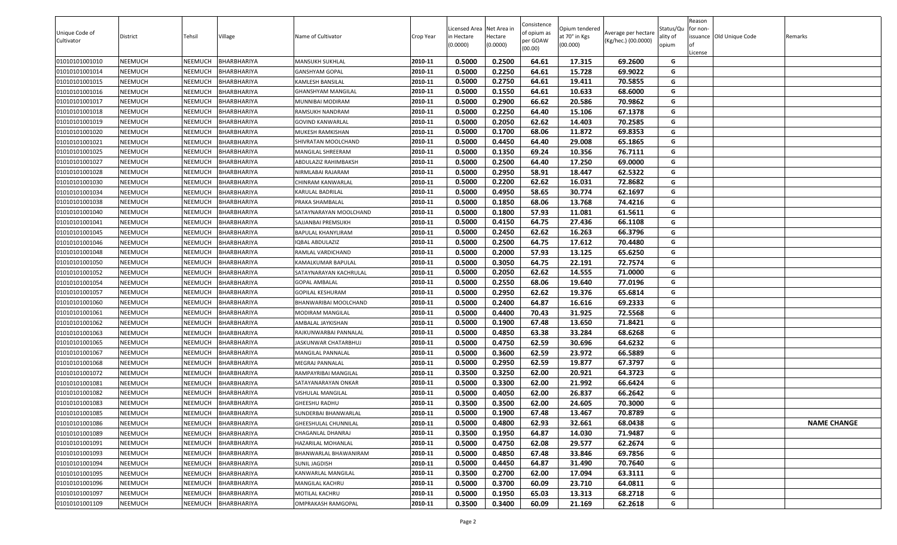|                |                |                |                    |                           |           |                           |                     | Consistence |                           |                     |                   | Reason   |                          |                    |
|----------------|----------------|----------------|--------------------|---------------------------|-----------|---------------------------|---------------------|-------------|---------------------------|---------------------|-------------------|----------|--------------------------|--------------------|
| Unique Code of |                |                |                    |                           |           | Licensed Area Net Area in |                     | of opium as | Opium tendered            | Average per hectare | Status/Qu         | for non- |                          |                    |
| Cultivator     | District       | Tehsil         | Village            | Name of Cultivator        | Crop Year | n Hectare<br>(0.0000)     | Hectare<br>(0.0000) | per GOAW    | at 70° in Kgs<br>(00.000) | (Kg/hec.) (00.0000) | ality of<br>opium | lof      | issuance Old Unique Code | Remarks            |
|                |                |                |                    |                           |           |                           |                     | (00.00)     |                           |                     |                   | License  |                          |                    |
| 01010101001010 | <b>NEEMUCH</b> | <b>NEEMUCH</b> | BHARBHARIYA        | MANSUKH SUKHLAL           | 2010-11   | 0.5000                    | 0.2500              | 64.61       | 17.315                    | 69.2600             | G                 |          |                          |                    |
| 01010101001014 | <b>NEEMUCH</b> | <b>NEEMUCH</b> | BHARBHARIYA        | GANSHYAM GOPAL            | 2010-11   | 0.5000                    | 0.2250              | 64.61       | 15.728                    | 69.9022             | G                 |          |                          |                    |
| 01010101001015 | <b>NEEMUCH</b> | <b>NEEMUCH</b> | BHARBHARIYA        | KAMLESH BANSILAL          | 2010-11   | 0.5000                    | 0.2750              | 64.61       | 19.411                    | 70.5855             | G                 |          |                          |                    |
| 01010101001016 | <b>NEEMUCH</b> | NEEMUCH        | BHARBHARIYA        | GHANSHYAM MANGILAL        | 2010-11   | 0.5000                    | 0.1550              | 64.61       | 10.633                    | 68.6000             | G                 |          |                          |                    |
| 01010101001017 | <b>NEEMUCH</b> | <b>NEEMUCH</b> | BHARBHARIYA        | MUNNIBAI MODIRAM          | 2010-11   | 0.5000                    | 0.2900              | 66.62       | 20.586                    | 70.9862             | G                 |          |                          |                    |
| 01010101001018 | <b>NEEMUCH</b> | NEEMUCH        | BHARBHARIYA        | RAMSUKH NANDRAM           | 2010-11   | 0.5000                    | 0.2250              | 64.40       | 15.106                    | 67.1378             | G                 |          |                          |                    |
| 01010101001019 | <b>NEEMUCH</b> | <b>NEEMUCH</b> | BHARBHARIYA        | GOVIND KANWARLAL          | 2010-11   | 0.5000                    | 0.2050              | 62.62       | 14.403                    | 70.2585             | G                 |          |                          |                    |
| 01010101001020 | <b>NEEMUCH</b> | NEEMUCH        | BHARBHARIYA        | MUKESH RAMKISHAN          | 2010-11   | 0.5000                    | 0.1700              | 68.06       | 11.872                    | 69.8353             | G                 |          |                          |                    |
| 01010101001021 | <b>NEEMUCH</b> | NEEMUCH        | BHARBHARIYA        | SHIVRATAN MOOLCHAND       | 2010-11   | 0.5000                    | 0.4450              | 64.40       | 29.008                    | 65.1865             | G                 |          |                          |                    |
| 01010101001025 | <b>NEEMUCH</b> | NEEMUCH        | BHARBHARIYA        | MANGILAL SHREERAM         | 2010-11   | 0.5000                    | 0.1350              | 69.24       | 10.356                    | 76.7111             | G                 |          |                          |                    |
| 01010101001027 | <b>NEEMUCH</b> | <b>NEEMUCH</b> | BHARBHARIYA        | ABDULAZIZ RAHIMBAKSH      | 2010-11   | 0.5000                    | 0.2500              | 64.40       | 17.250                    | 69.0000             | G                 |          |                          |                    |
| 01010101001028 | <b>NEEMUCH</b> | NEEMUCH        | BHARBHARIYA        | <b>VIRMLABAI RAJARAM</b>  | 2010-11   | 0.5000                    | 0.2950              | 58.91       | 18.447                    | 62.5322             | G                 |          |                          |                    |
| 01010101001030 | <b>NEEMUCH</b> | <b>NEEMUCH</b> | BHARBHARIYA        | CHINRAM KANWARLAL         | 2010-11   | 0.5000                    | 0.2200              | 62.62       | 16.031                    | 72.8682             | G                 |          |                          |                    |
| 01010101001034 | <b>NEEMUCH</b> | <b>NEEMUCH</b> | BHARBHARIYA        | KARULAL BADRILAL          | 2010-11   | 0.5000                    | 0.4950              | 58.65       | 30.774                    | 62.1697             | G                 |          |                          |                    |
| 01010101001038 | <b>NEEMUCH</b> | <b>NEEMUCH</b> | BHARBHARIYA        | PRAKA SHAMBALAL           | 2010-11   | 0.5000                    | 0.1850              | 68.06       | 13.768                    | 74.4216             | G                 |          |                          |                    |
| 01010101001040 | <b>NEEMUCH</b> | <b>NEEMUCH</b> | BHARBHARIYA        | SATAYNARAYAN MOOLCHAND    | 2010-11   | 0.5000                    | 0.1800              | 57.93       | 11.081                    | 61.5611             | G                 |          |                          |                    |
| 01010101001041 | <b>NEEMUCH</b> | NEEMUCH        | BHARBHARIYA        | SAJJANBAI PREMSUKH        | 2010-11   | 0.5000                    | 0.4150              | 64.75       | 27.436                    | 66.1108             | G                 |          |                          |                    |
| 01010101001045 | <b>NEEMUCH</b> | <b>NEEMUCH</b> | BHARBHARIYA        | BAPULAL KHANYLIRAM        | 2010-11   | 0.5000                    | 0.2450              | 62.62       | 16.263                    | 66.3796             | G                 |          |                          |                    |
| 01010101001046 | <b>NEEMUCH</b> | <b>NEEMUCH</b> | <b>BHARBHARIYA</b> | <b>QBAL ABDULAZIZ</b>     | 2010-11   | 0.5000                    | 0.2500              | 64.75       | 17.612                    | 70.4480             | G                 |          |                          |                    |
| 01010101001048 | <b>NEEMUCH</b> | NEEMUCH        | BHARBHARIYA        | RAMLAL VARDICHAND         | 2010-11   | 0.5000                    | 0.2000              | 57.93       | 13.125                    | 65.6250             | G                 |          |                          |                    |
| 01010101001050 | <b>NEEMUCH</b> | NEEMUCH        | BHARBHARIYA        | KAMALKUMAR BAPULAL        | 2010-11   | 0.5000                    | 0.3050              | 64.75       | 22.191                    | 72.7574             | G                 |          |                          |                    |
| 01010101001052 | <b>NEEMUCH</b> | <b>NEEMUCH</b> | BHARBHARIYA        | SATAYNARAYAN KACHRULAL    | 2010-11   | 0.5000                    | 0.2050              | 62.62       | 14.555                    | 71.0000             | G                 |          |                          |                    |
| 01010101001054 | <b>NEEMUCH</b> | <b>NEEMUCH</b> | BHARBHARIYA        | <b>GOPAL AMBALAL</b>      | 2010-11   | 0.5000                    | 0.2550              | 68.06       | 19.640                    | 77.0196             | G                 |          |                          |                    |
| 01010101001057 | <b>NEEMUCH</b> | <b>NEEMUCH</b> | BHARBHARIYA        | GOPILAL KESHURAM          | 2010-11   | 0.5000                    | 0.2950              | 62.62       | 19.376                    | 65.6814             | G                 |          |                          |                    |
| 01010101001060 | <b>NEEMUCH</b> | <b>NEEMUCH</b> | BHARBHARIYA        | BHANWARIBAI MOOLCHAND     | 2010-11   | 0.5000                    | 0.2400              | 64.87       | 16.616                    | 69.2333             | G                 |          |                          |                    |
| 01010101001061 | <b>NEEMUCH</b> | NEEMUCH        | BHARBHARIYA        | MODIRAM MANGILAL          | 2010-11   | 0.5000                    | 0.4400              | 70.43       | 31.925                    | 72.5568             | G                 |          |                          |                    |
| 01010101001062 | <b>NEEMUCH</b> | NEEMUCH        | BHARBHARIYA        | AMBALAL JAYKISHAN         | 2010-11   | 0.5000                    | 0.1900              | 67.48       | 13.650                    | 71.8421             | G                 |          |                          |                    |
| 01010101001063 | <b>NEEMUCH</b> | <b>NEEMUCH</b> | BHARBHARIYA        | RAJKUNWARBAI PANNALAL     | 2010-11   | 0.5000                    | 0.4850              | 63.38       | 33.284                    | 68.6268             | G                 |          |                          |                    |
| 01010101001065 | <b>NEEMUCH</b> | NEEMUCH        | BHARBHARIYA        | ASKUNWAR CHATARBHUJ       | 2010-11   | 0.5000                    | 0.4750              | 62.59       | 30.696                    | 64.6232             | G                 |          |                          |                    |
| 01010101001067 | <b>NEEMUCH</b> | <b>NEEMUCH</b> | BHARBHARIYA        | MANGILAL PANNALAL         | 2010-11   | 0.5000                    | 0.3600              | 62.59       | 23.972                    | 66.5889             | G                 |          |                          |                    |
| 01010101001068 | <b>NEEMUCH</b> | NEEMUCH        | BHARBHARIYA        | MEGRAJ PANNALAL           | 2010-11   | 0.5000                    | 0.2950              | 62.59       | 19.877                    | 67.3797             | G                 |          |                          |                    |
| 01010101001072 | <b>NEEMUCH</b> | <b>NEEMUCH</b> | BHARBHARIYA        | RAMPAYRIBAI MANGILAL      | 2010-11   | 0.3500                    | 0.3250              | 62.00       | 20.921                    | 64.3723             | G                 |          |                          |                    |
| 01010101001081 | <b>NEEMUCH</b> | <b>NEEMUCH</b> | BHARBHARIYA        | SATAYANARAYAN ONKAR       | 2010-11   | 0.5000                    | 0.3300              | 62.00       | 21.992                    | 66.6424             | G                 |          |                          |                    |
| 01010101001082 | <b>NEEMUCH</b> | NEEMUCH        | BHARBHARIYA        | VISHULAL MANGILAL         | 2010-11   | 0.5000                    | 0.4050              | 62.00       | 26.837                    | 66.2642             | G                 |          |                          |                    |
| 01010101001083 | <b>NEEMUCH</b> | NEEMUCH        | BHARBHARIYA        | GHEESHU RADHU             | 2010-11   | 0.3500                    | 0.3500              | 62.00       | 24.605                    | 70.3000             | G                 |          |                          |                    |
| 01010101001085 | <b>NEEMUCH</b> | <b>NEEMUCH</b> | <b>BHARBHARIYA</b> | SUNDERBAI BHANWARLAL      | 2010-11   | 0.5000                    | 0.1900              | 67.48       | 13.467                    | 70.8789             | G                 |          |                          |                    |
| 01010101001086 | <b>NEEMUCH</b> | <b>NEEMUCH</b> | BHARBHARIYA        | GHEESHULAL CHUNNILAL      | 2010-11   | 0.5000                    | 0.4800              | 62.93       | 32.661                    | 68.0438             | G                 |          |                          | <b>NAME CHANGE</b> |
| 01010101001089 | <b>NEEMUCH</b> | NEEMUCH        | BHARBHARIYA        | CHAGANLAL DHANRAJ         | 2010-11   | 0.3500                    | 0.1950              | 64.87       | 14.030                    | 71.9487             | G                 |          |                          |                    |
| 01010101001091 | <b>NEEMUCH</b> | <b>NEEMUCH</b> | BHARBHARIYA        | HAZARILAL MOHANLAL        | 2010-11   | 0.5000                    | 0.4750              | 62.08       | 29.577                    | 62.2674             | G                 |          |                          |                    |
| 01010101001093 | <b>NEEMUCH</b> | <b>NEEMUCH</b> | BHARBHARIYA        | BHANWARLAL BHAWANIRAM     | 2010-11   | 0.5000                    | 0.4850              | 67.48       | 33.846                    | 69.7856             | G                 |          |                          |                    |
| 01010101001094 | <b>NEEMUCH</b> | <b>NEEMUCH</b> | BHARBHARIYA        | SUNIL JAGDISH             | 2010-11   | 0.5000                    | 0.4450              | 64.87       | 31.490                    | 70.7640             | G                 |          |                          |                    |
| 01010101001095 | <b>NEEMUCH</b> | NEEMUCH        | BHARBHARIYA        | KANWARLAL MANGILAL        | 2010-11   | 0.3500                    | 0.2700              | 62.00       | 17.094                    | 63.3111             | G                 |          |                          |                    |
| 01010101001096 | <b>NEEMUCH</b> | <b>NEEMUCH</b> | BHARBHARIYA        | MANGILAL KACHRU           | 2010-11   | 0.5000                    | 0.3700              | 60.09       | 23.710                    | 64.0811             | G                 |          |                          |                    |
| 01010101001097 | <b>NEEMUCH</b> | <b>NEEMUCH</b> | BHARBHARIYA        | MOTILAL KACHRU            | 2010-11   | 0.5000                    | 0.1950              | 65.03       | 13.313                    | 68.2718             | G                 |          |                          |                    |
| 01010101001109 | <b>NEEMUCH</b> | <b>NEEMUCH</b> | BHARBHARIYA        | <b>OMPRAKASH RAMGOPAL</b> | 2010-11   | 0.3500                    | 0.3400              | 60.09       | 21.169                    | 62.2618             | G                 |          |                          |                    |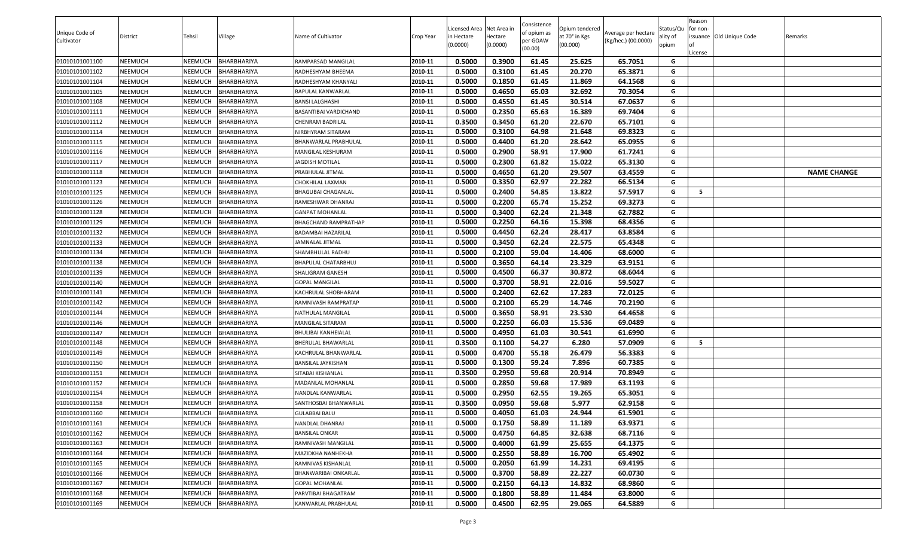|                |                |                |                    |                              |           |                          |                     | Consistence |                           |                     |                   | Reason   |                          |                    |
|----------------|----------------|----------------|--------------------|------------------------------|-----------|--------------------------|---------------------|-------------|---------------------------|---------------------|-------------------|----------|--------------------------|--------------------|
| Unique Code of |                |                |                    |                              |           | Licensed Area Net Area i |                     | of opium as | Opium tendered            | Average per hectare | Status/Qu         | for non- |                          |                    |
| Cultivator     | District       | Tehsil         | Village            | Name of Cultivator           | Crop Year | in Hectare<br>(0.0000)   | Hectare<br>(0.0000) | per GOAW    | at 70° in Kgs<br>(00.000) | (Kg/hec.) (00.0000) | ality of<br>opium |          | issuance Old Unique Code | Remarks            |
|                |                |                |                    |                              |           |                          |                     | (00.00)     |                           |                     |                   | .icense  |                          |                    |
| 01010101001100 | <b>NEEMUCH</b> | NEEMUCH        | <b>BHARBHARIYA</b> | RAMPARSAD MANGILAL           | 2010-11   | 0.5000                   | 0.3900              | 61.45       | 25.625                    | 65.7051             | G                 |          |                          |                    |
| 01010101001102 | <b>NEEMUCH</b> | NEEMUCH        | <b>BHARBHARIYA</b> | RADHESHYAM BHEEMA            | 2010-11   | 0.5000                   | 0.3100              | 61.45       | 20.270                    | 65.3871             | G                 |          |                          |                    |
| 01010101001104 | <b>NEEMUCH</b> | NEEMUCH        | <b>BHARBHARIYA</b> | RADHESHYAM KHANYALI          | 2010-11   | 0.5000                   | 0.1850              | 61.45       | 11.869                    | 64.1568             | G                 |          |                          |                    |
| 01010101001105 | <b>NEEMUCH</b> | NEEMUCH        | BHARBHARIYA        | BAPULAL KANWARLAL            | 2010-11   | 0.5000                   | 0.4650              | 65.03       | 32.692                    | 70.3054             | G                 |          |                          |                    |
| 01010101001108 | <b>NEEMUCH</b> | NEEMUCH        | <b>BHARBHARIYA</b> | BANSI LALGHASHI              | 2010-11   | 0.5000                   | 0.4550              | 61.45       | 30.514                    | 67.0637             | G                 |          |                          |                    |
| 01010101001111 | <b>NEEMUCH</b> | NEEMUCH        | BHARBHARIYA        | <b>BASANTIBAI VARDICHAND</b> | 2010-11   | 0.5000                   | 0.2350              | 65.63       | 16.389                    | 69.7404             | G                 |          |                          |                    |
| 01010101001112 | <b>NEEMUCH</b> | NEEMUCH        | BHARBHARIYA        | <b>CHENRAM BADRILAL</b>      | 2010-11   | 0.3500                   | 0.3450              | 61.20       | 22.670                    | 65.7101             | G                 |          |                          |                    |
| 01010101001114 | <b>NEEMUCH</b> | NEEMUCH        | BHARBHARIYA        | NIRBHYRAM SITARAM            | 2010-11   | 0.5000                   | 0.3100              | 64.98       | 21.648                    | 69.8323             | G                 |          |                          |                    |
| 01010101001115 | <b>NEEMUCH</b> | NEEMUCH        | <b>BHARBHARIYA</b> | BHANWARLAL PRABHULAL         | 2010-11   | 0.5000                   | 0.4400              | 61.20       | 28.642                    | 65.0955             | G                 |          |                          |                    |
| 01010101001116 | <b>NEEMUCH</b> | NEEMUCH        | <b>BHARBHARIYA</b> | MANGILAL KESHURAM            | 2010-11   | 0.5000                   | 0.2900              | 58.91       | 17.900                    | 61.7241             | G                 |          |                          |                    |
| 01010101001117 | <b>NEEMUCH</b> | NEEMUCH        | <b>BHARBHARIYA</b> | JAGDISH MOTILAL              | 2010-11   | 0.5000                   | 0.2300              | 61.82       | 15.022                    | 65.3130             | G                 |          |                          |                    |
| 01010101001118 | <b>NEEMUCH</b> | NEEMUCH        | BHARBHARIYA        | PRABHULAL JITMAL             | 2010-11   | 0.5000                   | 0.4650              | 61.20       | 29.507                    | 63.4559             | G                 |          |                          | <b>NAME CHANGE</b> |
| 01010101001123 | <b>NEEMUCH</b> | NEEMUCH        | <b>BHARBHARIYA</b> | CHOKHILAL LAXMAN             | 2010-11   | 0.5000                   | 0.3350              | 62.97       | 22.282                    | 66.5134             | G                 |          |                          |                    |
| 01010101001125 | <b>NEEMUCH</b> | NEEMUCH        | BHARBHARIYA        | BHAGUBAI CHAGANLAL           | 2010-11   | 0.5000                   | 0.2400              | 54.85       | 13.822                    | 57.5917             | G                 | - 5      |                          |                    |
| 01010101001126 | <b>NEEMUCH</b> | NEEMUCH        | <b>BHARBHARIYA</b> | RAMESHWAR DHANRAJ            | 2010-11   | 0.5000                   | 0.2200              | 65.74       | 15.252                    | 69.3273             | G                 |          |                          |                    |
| 01010101001128 | <b>NEEMUCH</b> | NEEMUCH        | <b>BHARBHARIYA</b> | <b>GANPAT MOHANLAL</b>       | 2010-11   | 0.5000                   | 0.3400              | 62.24       | 21.348                    | 62.7882             | G                 |          |                          |                    |
| 01010101001129 | <b>NEEMUCH</b> | NEEMUCH        | <b>BHARBHARIYA</b> | BHAGCHAND RAMPRATHAP         | 2010-11   | 0.5000                   | 0.2250              | 64.16       | 15.398                    | 68.4356             | G                 |          |                          |                    |
| 01010101001132 | <b>NEEMUCH</b> | NEEMUCH        | <b>BHARBHARIYA</b> | BADAMBAI HAZARILAL           | 2010-11   | 0.5000                   | 0.4450              | 62.24       | 28.417                    | 63.8584             | G                 |          |                          |                    |
| 01010101001133 | <b>NEEMUCH</b> | NEEMUCH        | <b>BHARBHARIYA</b> | JAMNALAL JITMAL              | 2010-11   | 0.5000                   | 0.3450              | 62.24       | 22.575                    | 65.4348             | G                 |          |                          |                    |
| 01010101001134 | <b>NEEMUCH</b> | NEEMUCH        | <b>BHARBHARIYA</b> | SHAMBHULAL RADHU             | 2010-11   | 0.5000                   | 0.2100              | 59.04       | 14.406                    | 68.6000             | G                 |          |                          |                    |
| 01010101001138 | <b>NEEMUCH</b> | NEEMUCH        | <b>BHARBHARIYA</b> | BHAPULAL CHATARBHUJ          | 2010-11   | 0.5000                   | 0.3650              | 64.14       | 23.329                    | 63.9151             | G                 |          |                          |                    |
| 01010101001139 | <b>NEEMUCH</b> | NEEMUCH        | BHARBHARIYA        | SHALIGRAM GANESH             | 2010-11   | 0.5000                   | 0.4500              | 66.37       | 30.872                    | 68.6044             | G                 |          |                          |                    |
| 01010101001140 | <b>NEEMUCH</b> | NEEMUCH        | <b>BHARBHARIYA</b> | <b>GOPAL MANGILAL</b>        | 2010-11   | 0.5000                   | 0.3700              | 58.91       | 22.016                    | 59.5027             | G                 |          |                          |                    |
| 01010101001141 | <b>NEEMUCH</b> | NEEMUCH        | <b>BHARBHARIYA</b> | KACHRULAL SHOBHARAM          | 2010-11   | 0.5000                   | 0.2400              | 62.62       | 17.283                    | 72.0125             | G                 |          |                          |                    |
| 01010101001142 | <b>NEEMUCH</b> | NEEMUCH        | <b>BHARBHARIYA</b> | RAMNIVASH RAMPRATAP          | 2010-11   | 0.5000                   | 0.2100              | 65.29       | 14.746                    | 70.2190             | G                 |          |                          |                    |
| 01010101001144 | <b>NEEMUCH</b> | NEEMUCH        | <b>BHARBHARIYA</b> | NATHULAL MANGILAL            | 2010-11   | 0.5000                   | 0.3650              | 58.91       | 23.530                    | 64.4658             | G                 |          |                          |                    |
| 01010101001146 | <b>NEEMUCH</b> | NEEMUCH        | <b>BHARBHARIYA</b> | MANGILAL SITARAM             | 2010-11   | 0.5000                   | 0.2250              | 66.03       | 15.536                    | 69.0489             | G                 |          |                          |                    |
| 01010101001147 | <b>NEEMUCH</b> | NEEMUCH        | <b>BHARBHARIYA</b> | BHULIBAI KANHEIALAL          | 2010-11   | 0.5000                   | 0.4950              | 61.03       | 30.541                    | 61.6990             | G                 |          |                          |                    |
| 01010101001148 | <b>NEEMUCH</b> | NEEMUCH        | BHARBHARIYA        | BHERULAL BHAWARLAL           | 2010-11   | 0.3500                   | 0.1100              | 54.27       | 6.280                     | 57.0909             | G                 | - 5      |                          |                    |
| 01010101001149 | <b>NEEMUCH</b> | NEEMUCH        | <b>BHARBHARIYA</b> | KACHRULAL BHANWARLAL         | 2010-11   | 0.5000                   | 0.4700              | 55.18       | 26.479                    | 56.3383             | G                 |          |                          |                    |
| 01010101001150 | <b>NEEMUCH</b> | NEEMUCH        | BHARBHARIYA        | BANSILAL JAYKISHAN           | 2010-11   | 0.5000                   | 0.1300              | 59.24       | 7.896                     | 60.7385             | G                 |          |                          |                    |
| 01010101001151 | <b>NEEMUCH</b> | NEEMUCH        | <b>BHARBHARIYA</b> | SITABAI KISHANLAL            | 2010-11   | 0.3500                   | 0.2950              | 59.68       | 20.914                    | 70.8949             | G                 |          |                          |                    |
| 01010101001152 | <b>NEEMUCH</b> | NEEMUCH        | <b>BHARBHARIYA</b> | MADANLAL MOHANLAL            | 2010-11   | 0.5000                   | 0.2850              | 59.68       | 17.989                    | 63.1193             | G                 |          |                          |                    |
| 01010101001154 | <b>NEEMUCH</b> | NEEMUCH        | <b>BHARBHARIYA</b> | NANDLAL KANWARLAL            | 2010-11   | 0.5000                   | 0.2950              | 62.55       | 19.265                    | 65.3051             | G                 |          |                          |                    |
| 01010101001158 | <b>NEEMUCH</b> | NEEMUCH        | <b>BHARBHARIYA</b> | SANTHOSBAI BHANWARLAL        | 2010-11   | 0.3500                   | 0.0950              | 59.68       | 5.977                     | 62.9158             | G                 |          |                          |                    |
| 01010101001160 | <b>NEEMUCH</b> | <b>NEEMUCH</b> | BHARBHARIYA        | <b>GULABBAI BALU</b>         | 2010-11   | 0.5000                   | 0.4050              | 61.03       | 24.944                    | 61.5901             | G                 |          |                          |                    |
| 01010101001161 | <b>NEEMUCH</b> | NEEMUCH        | <b>BHARBHARIYA</b> | NANDLAL DHANRAJ              | 2010-11   | 0.5000                   | 0.1750              | 58.89       | 11.189                    | 63.9371             | G                 |          |                          |                    |
| 01010101001162 | <b>NEEMUCH</b> | NEEMUCH        | <b>BHARBHARIYA</b> | BANSILAL ONKAR               | 2010-11   | 0.5000                   | 0.4750              | 64.85       | 32.638                    | 68.7116             | G                 |          |                          |                    |
| 01010101001163 | <b>NEEMUCH</b> | NEEMUCH        | BHARBHARIYA        | RAMNIVASH MANGILAL           | 2010-11   | 0.5000                   | 0.4000              | 61.99       | 25.655                    | 64.1375             | G                 |          |                          |                    |
| 01010101001164 | <b>NEEMUCH</b> | NEEMUCH        | BHARBHARIYA        | MAZIDKHA NANHEKHA            | 2010-11   | 0.5000                   | 0.2550              | 58.89       | 16.700                    | 65.4902             | G                 |          |                          |                    |
| 01010101001165 | <b>NEEMUCH</b> | NEEMUCH        | <b>BHARBHARIYA</b> | RAMNIVAS KISHANLAL           | 2010-11   | 0.5000                   | 0.2050              | 61.99       | 14.231                    | 69.4195             | G                 |          |                          |                    |
| 01010101001166 | <b>NEEMUCH</b> | NEEMUCH        | <b>BHARBHARIYA</b> | BHANWARIBAI ONKARLAL         | 2010-11   | 0.5000                   | 0.3700              | 58.89       | 22.227                    | 60.0730             | G                 |          |                          |                    |
| 01010101001167 | <b>NEEMUCH</b> | NEEMUCH        | <b>BHARBHARIYA</b> | <b>GOPAL MOHANLAL</b>        | 2010-11   | 0.5000                   | 0.2150              | 64.13       | 14.832                    | 68.9860             | G                 |          |                          |                    |
| 01010101001168 | <b>NEEMUCH</b> | NEEMUCH        | <b>BHARBHARIYA</b> | PARVTIBAI BHAGATRAM          | 2010-11   | 0.5000                   | 0.1800              | 58.89       | 11.484                    | 63.8000             | G                 |          |                          |                    |
| 01010101001169 | <b>NEEMUCH</b> | NEEMUCH        | BHARBHARIYA        | KANWARLAL PRABHULAL          | 2010-11   | 0.5000                   | 0.4500              | 62.95       | 29.065                    | 64.5889             | G                 |          |                          |                    |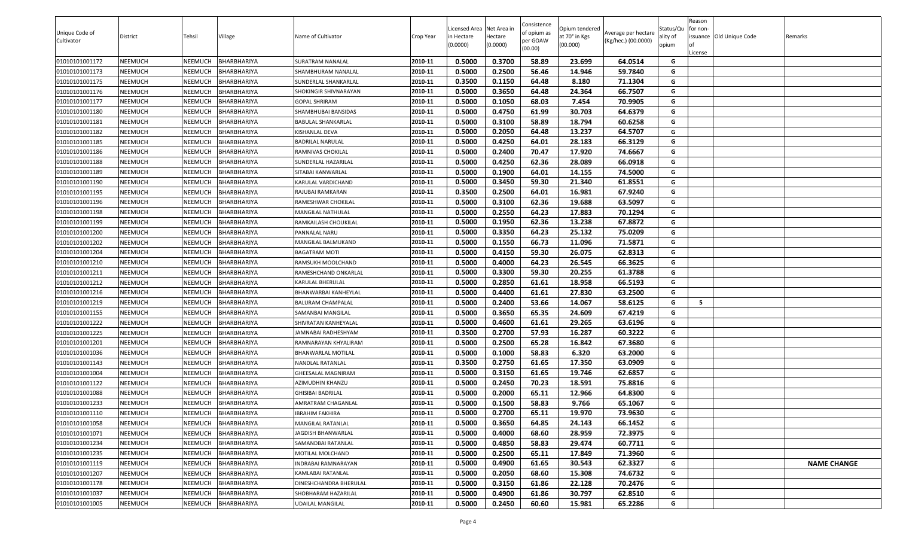| Unique Code of |          |                |                    |                           |           | Licensed Area Net Area in |          | Consistence             | Opium tendered |                                            | Status/Qu | Reason<br>for non- |                          |                    |
|----------------|----------|----------------|--------------------|---------------------------|-----------|---------------------------|----------|-------------------------|----------------|--------------------------------------------|-----------|--------------------|--------------------------|--------------------|
| Cultivator     | District | Tehsil         | Village            | Name of Cultivator        | Crop Year | n Hectare                 | Hectare  | of opium as<br>per GOAW | at 70° in Kgs  | Average per hectare<br>(Kg/hec.) (00.0000) | ality of  |                    | issuance Old Unique Code | Remarks            |
|                |          |                |                    |                           |           | (0.0000)                  | (0.0000) | (00.00)                 | (00.000)       |                                            | opium     | License            |                          |                    |
| 01010101001172 | NEEMUCH  | <b>NEEMUCH</b> | BHARBHARIYA        | SURATRAM NANALAL          | 2010-11   | 0.5000                    | 0.3700   | 58.89                   | 23.699         | 64.0514                                    | G         |                    |                          |                    |
| 01010101001173 | NEEMUCH  | NEEMUCH        | BHARBHARIYA        | SHAMBHURAM NANALAL        | 2010-11   | 0.5000                    | 0.2500   | 56.46                   | 14.946         | 59.7840                                    | G         |                    |                          |                    |
| 01010101001175 | NEEMUCH  | <b>NEEMUCH</b> | BHARBHARIYA        | SUNDERLAL SHANKARLAL      | 2010-11   | 0.3500                    | 0.1150   | 64.48                   | 8.180          | 71.1304                                    | G         |                    |                          |                    |
| 01010101001176 | NEEMUCH  | <b>NEEMUCH</b> | BHARBHARIYA        | SHOKINGIR SHIVNARAYAN     | 2010-11   | 0.5000                    | 0.3650   | 64.48                   | 24.364         | 66.7507                                    | G         |                    |                          |                    |
| 01010101001177 | NEEMUCH  | <b>NEEMUCH</b> | BHARBHARIYA        | <b>GOPAL SHRIRAM</b>      | 2010-11   | 0.5000                    | 0.1050   | 68.03                   | 7.454          | 70.9905                                    | G         |                    |                          |                    |
| 01010101001180 | NEEMUCH  | <b>NEEMUCH</b> | BHARBHARIYA        | SHAMBHUBAI BANSIDAS       | 2010-11   | 0.5000                    | 0.4750   | 61.99                   | 30.703         | 64.6379                                    | G         |                    |                          |                    |
| 01010101001181 | NEEMUCH  | <b>NEEMUCH</b> | BHARBHARIYA        | BABULAL SHANKARLAL        | 2010-11   | 0.5000                    | 0.3100   | 58.89                   | 18.794         | 60.6258                                    | G         |                    |                          |                    |
| 01010101001182 | NEEMUCH  | NEEMUCH        | BHARBHARIYA        | KISHANLAL DEVA            | 2010-11   | 0.5000                    | 0.2050   | 64.48                   | 13.237         | 64.5707                                    | G         |                    |                          |                    |
| 01010101001185 | NEEMUCH  | <b>NEEMUCH</b> | BHARBHARIYA        | BADRILAL NARULAL          | 2010-11   | 0.5000                    | 0.4250   | 64.01                   | 28.183         | 66.3129                                    | G         |                    |                          |                    |
| 01010101001186 | NEEMUCH  | NEEMUCH        | BHARBHARIYA        | RAMNIVAS CHOKILAL         | 2010-11   | 0.5000                    | 0.2400   | 70.47                   | 17.920         | 74.6667                                    | G         |                    |                          |                    |
| 01010101001188 | NEEMUCH  | NEEMUCH        | BHARBHARIYA        | SUNDERLAL HAZARILAL       | 2010-11   | 0.5000                    | 0.4250   | 62.36                   | 28.089         | 66.0918                                    | G         |                    |                          |                    |
| 01010101001189 | NEEMUCH  | <b>NEEMUCH</b> | BHARBHARIYA        | SITABAI KANWARLAL         | 2010-11   | 0.5000                    | 0.1900   | 64.01                   | 14.155         | 74.5000                                    | G         |                    |                          |                    |
| 01010101001190 | NEEMUCH  | <b>NEEMUCH</b> | BHARBHARIYA        | KARULAL VARDICHAND        | 2010-11   | 0.5000                    | 0.3450   | 59.30                   | 21.340         | 61.8551                                    | G         |                    |                          |                    |
| 01010101001195 | NEEMUCH  | <b>NEEMUCH</b> | BHARBHARIYA        | RAJUBAI RAMKARAN          | 2010-11   | 0.3500                    | 0.2500   | 64.01                   | 16.981         | 67.9240                                    | G         |                    |                          |                    |
| 01010101001196 | NEEMUCH  | <b>NEEMUCH</b> | BHARBHARIYA        | RAMESHWAR CHOKILAL        | 2010-11   | 0.5000                    | 0.3100   | 62.36                   | 19.688         | 63.5097                                    | G         |                    |                          |                    |
| 01010101001198 | NEEMUCH  | <b>NEEMUCH</b> | BHARBHARIYA        | MANGILAL NATHULAL         | 2010-11   | 0.5000                    | 0.2550   | 64.23                   | 17.883         | 70.1294                                    | G         |                    |                          |                    |
| 01010101001199 | NEEMUCH  | NEEMUCH        | BHARBHARIYA        | RAMKAILASH CHOUKILAL      | 2010-11   | 0.5000                    | 0.1950   | 62.36                   | 13.238         | 67.8872                                    | G         |                    |                          |                    |
| 01010101001200 | NEEMUCH  | <b>NEEMUCH</b> | BHARBHARIYA        | PANNALAL NARU             | 2010-11   | 0.5000                    | 0.3350   | 64.23                   | 25.132         | 75.0209                                    | G         |                    |                          |                    |
| 01010101001202 | NEEMUCH  | NEEMUCH        | BHARBHARIYA        | <b>MANGILAL BALMUKAND</b> | 2010-11   | 0.5000                    | 0.1550   | 66.73                   | 11.096         | 71.5871                                    | G         |                    |                          |                    |
| 01010101001204 | NEEMUCH  | <b>NEEMUCH</b> | BHARBHARIYA        | <b>BAGATRAM MOTI</b>      | 2010-11   | 0.5000                    | 0.4150   | 59.30                   | 26.075         | 62.8313                                    | G         |                    |                          |                    |
| 01010101001210 | NEEMUCH  | NEEMUCH        | BHARBHARIYA        | RAMSUKH MOOLCHAND         | 2010-11   | 0.5000                    | 0.4000   | 64.23                   | 26.545         | 66.3625                                    | G         |                    |                          |                    |
| 01010101001211 | NEEMUCH  | <b>NEEMUCH</b> | BHARBHARIYA        | RAMESHCHAND ONKARLAL      | 2010-11   | 0.5000                    | 0.3300   | 59.30                   | 20.255         | 61.3788                                    | G         |                    |                          |                    |
| 01010101001212 | NEEMUCH  | <b>NEEMUCH</b> | BHARBHARIYA        | KARULAL BHERULAL          | 2010-11   | 0.5000                    | 0.2850   | 61.61                   | 18.958         | 66.5193                                    | G         |                    |                          |                    |
| 01010101001216 | NEEMUCH  | <b>NEEMUCH</b> | BHARBHARIYA        | BHANWARBAI KANHEYLAL      | 2010-11   | 0.5000                    | 0.4400   | 61.61                   | 27.830         | 63.2500                                    | G         |                    |                          |                    |
| 01010101001219 | NEEMUCH  | <b>NEEMUCH</b> | BHARBHARIYA        | BALURAM CHAMPALAL         | 2010-11   | 0.5000                    | 0.2400   | 53.66                   | 14.067         | 58.6125                                    | G         | 5                  |                          |                    |
| 01010101001155 | NEEMUCH  | <b>NEEMUCH</b> | BHARBHARIYA        | SAMANBAI MANGILAL         | 2010-11   | 0.5000                    | 0.3650   | 65.35                   | 24.609         | 67.4219                                    | G         |                    |                          |                    |
| 01010101001222 | NEEMUCH  | NEEMUCH        | BHARBHARIYA        | SHIVRATAN KANHEYALAL      | 2010-11   | 0.5000                    | 0.4600   | 61.61                   | 29.265         | 63.6196                                    | G         |                    |                          |                    |
| 01010101001225 | NEEMUCH  | NEEMUCH        | BHARBHARIYA        | IAMNABAI RADHESHYAM       | 2010-11   | 0.3500                    | 0.2700   | 57.93                   | 16.287         | 60.3222                                    | G         |                    |                          |                    |
| 01010101001201 | NEEMUCH  | NEEMUCH        | BHARBHARIYA        | RAMNARAYAN KHYALIRAM      | 2010-11   | 0.5000                    | 0.2500   | 65.28                   | 16.842         | 67.3680                                    | G         |                    |                          |                    |
| 01010101001036 | NEEMUCH  | <b>NEEMUCH</b> | BHARBHARIYA        | BHANWARLAL MOTILAL        | 2010-11   | 0.5000                    | 0.1000   | 58.83                   | 6.320          | 63.2000                                    | G         |                    |                          |                    |
| 01010101001143 | NEEMUCH  | <b>NEEMUCH</b> | BHARBHARIYA        | NANDLAL RATANLAL          | 2010-11   | 0.3500                    | 0.2750   | 61.65                   | 17.350         | 63.0909                                    | G         |                    |                          |                    |
| 01010101001004 | NEEMUCH  | <b>NEEMUCH</b> | BHARBHARIYA        | GHEESALAL MAGNIRAM        | 2010-11   | 0.5000                    | 0.3150   | 61.65                   | 19.746         | 62.6857                                    | G         |                    |                          |                    |
| 01010101001122 | NEEMUCH  | NEEMUCH        | BHARBHARIYA        | AZIMUDHIN KHANZU          | 2010-11   | 0.5000                    | 0.2450   | 70.23                   | 18.591         | 75.8816                                    | G         |                    |                          |                    |
| 01010101001088 | NEEMUCH  | <b>NEEMUCH</b> | BHARBHARIYA        | <b>GHISIBAI BADRILAL</b>  | 2010-11   | 0.5000                    | 0.2000   | 65.11                   | 12.966         | 64.8300                                    | G         |                    |                          |                    |
| 01010101001233 | NEEMUCH  | NEEMUCH        | BHARBHARIYA        | AMRATRAM CHAGANLAL        | 2010-11   | 0.5000                    | 0.1500   | 58.83                   | 9.766          | 65.1067                                    | G         |                    |                          |                    |
| 01010101001110 | NEEMUCH  | <b>NEEMUCH</b> | <b>BHARBHARIYA</b> | <b>IBRAHIM FAKHIRA</b>    | 2010-11   | 0.5000                    | 0.2700   | 65.11                   | 19.970         | 73.9630                                    | G         |                    |                          |                    |
| 01010101001058 | NEEMUCH  | <b>NEEMUCH</b> | BHARBHARIYA        | MANGILAL RATANLAL         | 2010-11   | 0.5000                    | 0.3650   | 64.85                   | 24.143         | 66.1452                                    | G         |                    |                          |                    |
| 01010101001071 | NEEMUCH  | NEEMUCH        | BHARBHARIYA        | AGDISH BHANWARLAL         | 2010-11   | 0.5000                    | 0.4000   | 68.60                   | 28.959         | 72.3975                                    | G         |                    |                          |                    |
| 01010101001234 | NEEMUCH  | <b>NEEMUCH</b> | BHARBHARIYA        | SAMANDBAI RATANLAL        | 2010-11   | 0.5000                    | 0.4850   | 58.83                   | 29.474         | 60.7711                                    | G         |                    |                          |                    |
| 01010101001235 | NEEMUCH  | <b>NEEMUCH</b> | BHARBHARIYA        | MOTILAL MOLCHAND          | 2010-11   | 0.5000                    | 0.2500   | 65.11                   | 17.849         | 71.3960                                    | G         |                    |                          |                    |
| 01010101001119 | NEEMUCH  | <b>NEEMUCH</b> | BHARBHARIYA        | INDRABAI RAMNARAYAN       | 2010-11   | 0.5000                    | 0.4900   | 61.65                   | 30.543         | 62.3327                                    | G         |                    |                          | <b>NAME CHANGE</b> |
| 01010101001207 | NEEMUCH  | NEEMUCH        | BHARBHARIYA        | KAMLABAI RATANLAL         | 2010-11   | 0.5000                    | 0.2050   | 68.60                   | 15.308         | 74.6732                                    | G         |                    |                          |                    |
| 01010101001178 | NEEMUCH  | <b>NEEMUCH</b> | BHARBHARIYA        | DINESHCHANDRA BHERULAL    | 2010-11   | 0.5000                    | 0.3150   | 61.86                   | 22.128         | 70.2476                                    | G         |                    |                          |                    |
| 01010101001037 | NEEMUCH  | <b>NEEMUCH</b> | BHARBHARIYA        | SHOBHARAM HAZARILAL       | 2010-11   | 0.5000                    | 0.4900   | 61.86                   | 30.797         | 62.8510                                    | G         |                    |                          |                    |
| 01010101001005 | NEEMUCH  | <b>NEEMUCH</b> | BHARBHARIYA        | UDAILAL MANGILAL          | 2010-11   | 0.5000                    | 0.2450   | 60.60                   | 15.981         | 65.2286                                    | G         |                    |                          |                    |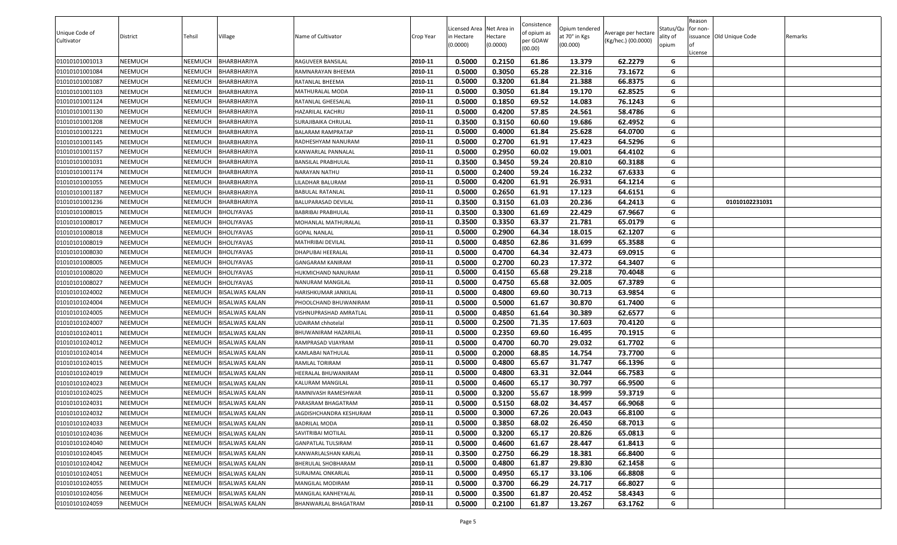| Unique Code of<br>Cultivator | <b>District</b> | Tehsil         | Village               | Name of Cultivator      | Crop Year | Licensed Area Net Area in<br>in Hectare | lectare  | Consistence<br>of opium as<br>oer GOAW | Opium tendered<br>at 70° in Kgs | Average per hectare<br>(Kg/hec.) (00.0000) | Status/Qu<br>ality of | Reason<br>for non-<br>issuance Old Unique Code | Remarks |
|------------------------------|-----------------|----------------|-----------------------|-------------------------|-----------|-----------------------------------------|----------|----------------------------------------|---------------------------------|--------------------------------------------|-----------------------|------------------------------------------------|---------|
|                              |                 |                |                       |                         |           | (0.0000)                                | (0.0000) | (00.00)                                | (00.000)                        |                                            | opium                 | .icense                                        |         |
| 01010101001013               | NEEMUCH         | <b>NEEMUCH</b> | BHARBHARIYA           | RAGUVEER BANSILAL       | 2010-11   | 0.5000                                  | 0.2150   | 61.86                                  | 13.379                          | 62.2279                                    | G                     |                                                |         |
| 01010101001084               | NEEMUCH         | NEEMUCH        | BHARBHARIYA           | RAMNARAYAN BHEEMA       | 2010-11   | 0.5000                                  | 0.3050   | 65.28                                  | 22.316                          | 73.1672                                    | G                     |                                                |         |
| 01010101001087               | NEEMUCH         | <b>NEEMUCH</b> | BHARBHARIYA           | RATANLAL BHEEMA         | 2010-11   | 0.5000                                  | 0.3200   | 61.84                                  | 21.388                          | 66.8375                                    | G                     |                                                |         |
| 01010101001103               | NEEMUCH         | <b>NEEMUCH</b> | BHARBHARIYA           | MATHURALAL MODA         | 2010-11   | 0.5000                                  | 0.3050   | 61.84                                  | 19.170                          | 62.8525                                    | G                     |                                                |         |
| 01010101001124               | NEEMUCH         | <b>NEEMUCH</b> | BHARBHARIYA           | RATANLAL GHEESALAL      | 2010-11   | 0.5000                                  | 0.1850   | 69.52                                  | 14.083                          | 76.1243                                    | G                     |                                                |         |
| 01010101001130               | NEEMUCH         | <b>NEEMUCH</b> | BHARBHARIYA           | HAZARILAL KACHRU        | 2010-11   | 0.5000                                  | 0.4200   | 57.85                                  | 24.561                          | 58.4786                                    | G                     |                                                |         |
| 01010101001208               | NEEMUCH         | <b>NEEMUCH</b> | BHARBHARIYA           | SURAJIBAIKA CHRULAL     | 2010-11   | 0.3500                                  | 0.3150   | 60.60                                  | 19.686                          | 62.4952                                    | G                     |                                                |         |
| 01010101001221               | NEEMUCH         | <b>NEEMUCH</b> | BHARBHARIYA           | BALARAM RAMPRATAP       | 2010-11   | 0.5000                                  | 0.4000   | 61.84                                  | 25.628                          | 64.0700                                    | G                     |                                                |         |
| 01010101001145               | NEEMUCH         | <b>NEEMUCH</b> | BHARBHARIYA           | RADHESHYAM NANURAM      | 2010-11   | 0.5000                                  | 0.2700   | 61.91                                  | 17.423                          | 64.5296                                    | G                     |                                                |         |
| 01010101001157               | NEEMUCH         | <b>NEEMUCH</b> | BHARBHARIYA           | KANWARLAL PANNALAL      | 2010-11   | 0.5000                                  | 0.2950   | 60.02                                  | 19.001                          | 64.4102                                    | G                     |                                                |         |
| 01010101001031               | NEEMUCH         | <b>NEEMUCH</b> | BHARBHARIYA           | BANSILAL PRABHULAL      | 2010-11   | 0.3500                                  | 0.3450   | 59.24                                  | 20.810                          | 60.3188                                    | G                     |                                                |         |
| 01010101001174               | NEEMUCH         | <b>NEEMUCH</b> | BHARBHARIYA           | NARAYAN NATHU           | 2010-11   | 0.5000                                  | 0.2400   | 59.24                                  | 16.232                          | 67.6333                                    | G                     |                                                |         |
| 01010101001055               | NEEMUCH         | <b>NEEMUCH</b> | BHARBHARIYA           | <b>ILADHAR BALURAM</b>  | 2010-11   | 0.5000                                  | 0.4200   | 61.91                                  | 26.931                          | 64.1214                                    | G                     |                                                |         |
| 01010101001187               | NEEMUCH         | <b>NEEMUCH</b> | BHARBHARIYA           | BABULAL RATANLAL        | 2010-11   | 0.5000                                  | 0.2650   | 61.91                                  | 17.123                          | 64.6151                                    | G                     |                                                |         |
| 01010101001236               | NEEMUCH         | <b>NEEMUCH</b> | BHARBHARIYA           | BALUPARASAD DEVILAL     | 2010-11   | 0.3500                                  | 0.3150   | 61.03                                  | 20.236                          | 64.2413                                    | G                     | 01010102231031                                 |         |
| 01010101008015               | NEEMUCH         | <b>NEEMUCH</b> | <b>BHOLIYAVAS</b>     | BABRIBAI PRABHULAL      | 2010-11   | 0.3500                                  | 0.3300   | 61.69                                  | 22.429                          | 67.9667                                    | G                     |                                                |         |
| 01010101008017               | NEEMUCH         | NEEMUCH        | <b>BHOLIYAVAS</b>     | MOHANLAL MATHURALAL     | 2010-11   | 0.3500                                  | 0.3350   | 63.37                                  | 21.781                          | 65.0179                                    | G                     |                                                |         |
| 01010101008018               | NEEMUCH         | <b>NEEMUCH</b> | <b>BHOLIYAVAS</b>     | GOPAL NANLAL            | 2010-11   | 0.5000                                  | 0.2900   | 64.34                                  | 18.015                          | 62.1207                                    | G                     |                                                |         |
| 01010101008019               | NEEMUCH         | NEEMUCH        | <b>BHOLIYAVAS</b>     | MATHRIBAI DEVILAL       | 2010-11   | 0.5000                                  | 0.4850   | 62.86                                  | 31.699                          | 65.3588                                    | G                     |                                                |         |
| 01010101008030               | NEEMUCH         | <b>NEEMUCH</b> | <b>BHOLIYAVAS</b>     | DHAPUBAI HEERALAL       | 2010-11   | 0.5000                                  | 0.4700   | 64.34                                  | 32.473                          | 69.0915                                    | G                     |                                                |         |
| 01010101008005               | NEEMUCH         | NEEMUCH        | BHOLIYAVAS            | GANGARAM KANIRAM        | 2010-11   | 0.5000                                  | 0.2700   | 60.23                                  | 17.372                          | 64.3407                                    | G                     |                                                |         |
| 01010101008020               | NEEMUCH         | <b>NEEMUCH</b> | <b>BHOLIYAVAS</b>     | HUKMICHAND NANURAM      | 2010-11   | 0.5000                                  | 0.4150   | 65.68                                  | 29.218                          | 70.4048                                    | G                     |                                                |         |
| 01010101008027               | NEEMUCH         | NEEMUCH        | <b>BHOLIYAVAS</b>     | NANURAM MANGILAL        | 2010-11   | 0.5000                                  | 0.4750   | 65.68                                  | 32.005                          | 67.3789                                    | G                     |                                                |         |
| 01010101024002               | NEEMUCH         | <b>NEEMUCH</b> | <b>BISALWAS KALAN</b> | HARISHKUMAR JANKILAL    | 2010-11   | 0.5000                                  | 0.4800   | 69.60                                  | 30.713                          | 63.9854                                    | G                     |                                                |         |
| 01010101024004               | NEEMUCH         | <b>NEEMUCH</b> | <b>BISALWAS KALAN</b> | PHOOLCHAND BHUWANIRAM   | 2010-11   | 0.5000                                  | 0.5000   | 61.67                                  | 30.870                          | 61.7400                                    | G                     |                                                |         |
| 01010101024005               | NEEMUCH         | <b>NEEMUCH</b> | <b>BISALWAS KALAN</b> | VISHNUPRASHAD AMRATLAL  | 2010-11   | 0.5000                                  | 0.4850   | 61.64                                  | 30.389                          | 62.6577                                    | G                     |                                                |         |
| 01010101024007               | NEEMUCH         | <b>NEEMUCH</b> | <b>BISALWAS KALAN</b> | UDAIRAM chhotelal       | 2010-11   | 0.5000                                  | 0.2500   | 71.35                                  | 17.603                          | 70.4120                                    | G                     |                                                |         |
| 01010101024011               | NEEMUCH         | <b>NEEMUCH</b> | <b>BISALWAS KALAN</b> | BHUWANIRAM HAZARILAL    | 2010-11   | 0.5000                                  | 0.2350   | 69.60                                  | 16.495                          | 70.1915                                    | G                     |                                                |         |
| 01010101024012               | NEEMUCH         | <b>NEEMUCH</b> | <b>BISALWAS KALAN</b> | RAMPRASAD VIJAYRAM      | 2010-11   | 0.5000                                  | 0.4700   | 60.70                                  | 29.032                          | 61.7702                                    | G                     |                                                |         |
| 01010101024014               | NEEMUCH         | <b>NEEMUCH</b> | <b>BISALWAS KALAN</b> | KAMLABAI NATHULAL       | 2010-11   | 0.5000                                  | 0.2000   | 68.85                                  | 14.754                          | 73.7700                                    | G                     |                                                |         |
| 01010101024015               | NEEMUCH         | <b>NEEMUCH</b> | <b>BISALWAS KALAN</b> | RAMLAL TORIRAM          | 2010-11   | 0.5000                                  | 0.4800   | 65.67                                  | 31.747                          | 66.1396                                    | G                     |                                                |         |
| 01010101024019               | NEEMUCH         | <b>NEEMUCH</b> | <b>BISALWAS KALAN</b> | HEERALAL BHUWANIRAM     | 2010-11   | 0.5000                                  | 0.4800   | 63.31                                  | 32.044                          | 66.7583                                    | G                     |                                                |         |
| 01010101024023               | NEEMUCH         | <b>NEEMUCH</b> | <b>BISALWAS KALAN</b> | KALURAM MANGILAL        | 2010-11   | 0.5000                                  | 0.4600   | 65.17                                  | 30.797                          | 66.9500                                    | G                     |                                                |         |
| 01010101024025               | NEEMUCH         | <b>NEEMUCH</b> | <b>BISALWAS KALAN</b> | RAMNIVASH RAMESHWAR     | 2010-11   | 0.5000                                  | 0.3200   | 55.67                                  | 18.999                          | 59.3719                                    | G                     |                                                |         |
| 01010101024031               | NEEMUCH         | NEEMUCH        | <b>BISALWAS KALAN</b> | PARASRAM BHAGATRAM      | 2010-11   | 0.5000                                  | 0.5150   | 68.02                                  | 34.457                          | 66.9068                                    | G                     |                                                |         |
| 01010101024032               | NEEMUCH         | NEEMUCH        | <b>BISALWAS KALAN</b> | JAGDISHCHANDRA KESHURAM | 2010-11   | 0.5000                                  | 0.3000   | 67.26                                  | 20.043                          | 66.8100                                    | G                     |                                                |         |
| 01010101024033               | NEEMUCH         | <b>NEEMUCH</b> | <b>BISALWAS KALAN</b> | <b>BADRILAL MODA</b>    | 2010-11   | 0.5000                                  | 0.3850   | 68.02                                  | 26.450                          | 68.7013                                    | G                     |                                                |         |
| 01010101024036               | NEEMUCH         | NEEMUCH        | <b>BISALWAS KALAN</b> | SAVITRIBAI MOTILAL      | 2010-11   | 0.5000                                  | 0.3200   | 65.17                                  | 20.826                          | 65.0813                                    | G                     |                                                |         |
| 01010101024040               | NEEMUCH         | <b>NEEMUCH</b> | <b>BISALWAS KALAN</b> | GANPATLAL TULSIRAM      | 2010-11   | 0.5000                                  | 0.4600   | 61.67                                  | 28.447                          | 61.8413                                    | G                     |                                                |         |
| 01010101024045               | NEEMUCH         | <b>NEEMUCH</b> | <b>BISALWAS KALAN</b> | KANWARLALSHAN KARLAL    | 2010-11   | 0.3500                                  | 0.2750   | 66.29                                  | 18.381                          | 66.8400                                    | G                     |                                                |         |
| 01010101024042               | NEEMUCH         | <b>NEEMUCH</b> | <b>BISALWAS KALAN</b> | BHERULAL SHOBHARAM      | 2010-11   | 0.5000                                  | 0.4800   | 61.87                                  | 29.830                          | 62.1458                                    | G                     |                                                |         |
| 01010101024051               | NEEMUCH         | <b>NEEMUCH</b> | <b>BISALWAS KALAN</b> | SURAJMAL ONKARLAL       | 2010-11   | 0.5000                                  | 0.4950   | 65.17                                  | 33.106                          | 66.8808                                    | G                     |                                                |         |
| 01010101024055               | NEEMUCH         | <b>NEEMUCH</b> | <b>BISALWAS KALAN</b> | MANGILAL MODIRAM        | 2010-11   | 0.5000                                  | 0.3700   | 66.29                                  | 24.717                          | 66.8027                                    | G                     |                                                |         |
| 01010101024056               | NEEMUCH         | <b>NEEMUCH</b> | <b>BISALWAS KALAN</b> | MANGILAL KANHEYALAL     | 2010-11   | 0.5000                                  | 0.3500   | 61.87                                  | 20.452                          | 58.4343                                    | G                     |                                                |         |
| 01010101024059               | NEEMUCH         | <b>NEEMUCH</b> | <b>BISALWAS KALAN</b> | BHANWARLAL BHAGATRAM    | 2010-11   | 0.5000                                  | 0.2100   | 61.87                                  | 13.267                          | 63.1762                                    | G                     |                                                |         |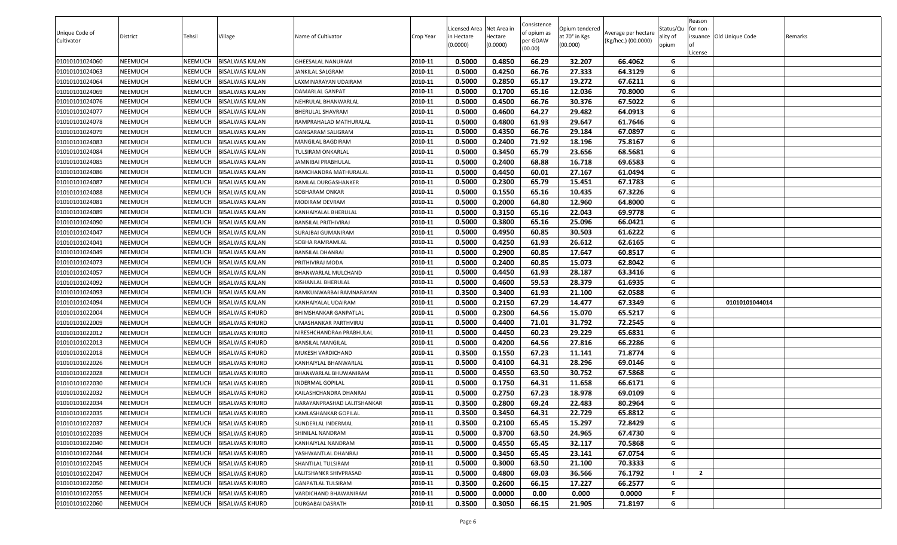| Unique Code of<br>Cultivator | District       | Tehsil         | Village               | Name of Cultivator          | Crop Year | Licensed Area Net Area in<br>in Hectare<br>(0.0000) | Hectare<br>(0.0000) | Consistence<br>of opium as<br>per GOAW<br>(00.00) | Opium tendered<br>at 70° in Kgs<br>(00.000) | Average per hectare<br>(Kg/hec.) (00.0000) | Status/Qu<br>ality of<br>opium | Reason<br>for non-<br>License | issuance Old Unique Code | Remarks |
|------------------------------|----------------|----------------|-----------------------|-----------------------------|-----------|-----------------------------------------------------|---------------------|---------------------------------------------------|---------------------------------------------|--------------------------------------------|--------------------------------|-------------------------------|--------------------------|---------|
| 01010101024060               | NEEMUCH        | <b>NEEMUCH</b> | <b>BISALWAS KALAN</b> | <b>GHEESALAL NANURAM</b>    | 2010-11   | 0.5000                                              | 0.4850              | 66.29                                             | 32.207                                      | 66.4062                                    | G                              |                               |                          |         |
| 01010101024063               | NEEMUCH        | NEEMUCH        | <b>BISALWAS KALAN</b> | <b>JANKILAL SALGRAM</b>     | 2010-11   | 0.5000                                              | 0.4250              | 66.76                                             | 27.333                                      | 64.3129                                    | G                              |                               |                          |         |
| 01010101024064               | NEEMUCH        | <b>NEEMUCH</b> | <b>BISALWAS KALAN</b> | LAXMINARAYAN UDAIRAM        | 2010-11   | 0.5000                                              | 0.2850              | 65.17                                             | 19.272                                      | 67.6211                                    | G                              |                               |                          |         |
| 01010101024069               | NEEMUCH        | NEEMUCH        | <b>BISALWAS KALAN</b> | DAMARLAL GANPAT             | 2010-11   | 0.5000                                              | 0.1700              | 65.16                                             | 12.036                                      | 70.8000                                    | G                              |                               |                          |         |
| 01010101024076               | NEEMUCH        | <b>NEEMUCH</b> | <b>BISALWAS KALAN</b> | NEHRULAL BHANWARLAL         | 2010-11   | 0.5000                                              | 0.4500              | 66.76                                             | 30.376                                      | 67.5022                                    | G                              |                               |                          |         |
| 01010101024077               | NEEMUCH        | <b>NEEMUCH</b> | <b>BISALWAS KALAN</b> | BHERULAL SHAVRAM            | 2010-11   | 0.5000                                              | 0.4600              | 64.27                                             | 29.482                                      | 64.0913                                    | G                              |                               |                          |         |
| 01010101024078               | NEEMUCH        | <b>NEEMUCH</b> | <b>BISALWAS KALAN</b> | RAMPRAHALAD MATHURALAL      | 2010-11   | 0.5000                                              | 0.4800              | 61.93                                             | 29.647                                      | 61.7646                                    | G                              |                               |                          |         |
| 01010101024079               | NEEMUCH        | NEEMUCH        | <b>BISALWAS KALAN</b> | GANGARAM SALIGRAM           | 2010-11   | 0.5000                                              | 0.4350              | 66.76                                             | 29.184                                      | 67.0897                                    | G                              |                               |                          |         |
| 01010101024083               | NEEMUCH        | <b>NEEMUCH</b> | <b>BISALWAS KALAN</b> | MANGILAL BAGDIRAM           | 2010-11   | 0.5000                                              | 0.2400              | 71.92                                             | 18.196                                      | 75.8167                                    | G                              |                               |                          |         |
| 01010101024084               | NEEMUCH        | NEEMUCH        | <b>BISALWAS KALAN</b> | TULSIRAM ONKARLAL           | 2010-11   | 0.5000                                              | 0.3450              | 65.79                                             | 23.656                                      | 68.5681                                    | G                              |                               |                          |         |
| 01010101024085               | NEEMUCH        | NEEMUCH        | <b>BISALWAS KALAN</b> | JAMNIBAI PRABHULAL          | 2010-11   | 0.5000                                              | 0.2400              | 68.88                                             | 16.718                                      | 69.6583                                    | G                              |                               |                          |         |
| 01010101024086               | NEEMUCH        | <b>NEEMUCH</b> | <b>BISALWAS KALAN</b> | RAMCHANDRA MATHURALAL       | 2010-11   | 0.5000                                              | 0.4450              | 60.01                                             | 27.167                                      | 61.0494                                    | G                              |                               |                          |         |
| 01010101024087               | NEEMUCH        | <b>NEEMUCH</b> | <b>BISALWAS KALAN</b> | RAMLAL DURGASHANKER         | 2010-11   | 0.5000                                              | 0.2300              | 65.79                                             | 15.451                                      | 67.1783                                    | G                              |                               |                          |         |
| 01010101024088               | NEEMUCH        | <b>NEEMUCH</b> | <b>BISALWAS KALAN</b> | SOBHARAM ONKAR              | 2010-11   | 0.5000                                              | 0.1550              | 65.16                                             | 10.435                                      | 67.3226                                    | G                              |                               |                          |         |
| 01010101024081               | NEEMUCH        | <b>NEEMUCH</b> | <b>BISALWAS KALAN</b> | MODIRAM DEVRAM              | 2010-11   | 0.5000                                              | 0.2000              | 64.80                                             | 12.960                                      | 64.8000                                    | G                              |                               |                          |         |
| 01010101024089               | NEEMUCH        | <b>NEEMUCH</b> | <b>BISALWAS KALAN</b> | KANHAIYALAL BHERULAL        | 2010-11   | 0.5000                                              | 0.3150              | 65.16                                             | 22.043                                      | 69.9778                                    | G                              |                               |                          |         |
| 01010101024090               | NEEMUCH        | <b>NEEMUCH</b> | <b>BISALWAS KALAN</b> | BANSILAL PRITHIVIRAJ        | 2010-11   | 0.5000                                              | 0.3800              | 65.16                                             | 25.096                                      | 66.0421                                    | G                              |                               |                          |         |
| 01010101024047               | NEEMUCH        | <b>NEEMUCH</b> | <b>BISALWAS KALAN</b> | SURAJBAI GUMANIRAM          | 2010-11   | 0.5000                                              | 0.4950              | 60.85                                             | 30.503                                      | 61.6222                                    | G                              |                               |                          |         |
| 01010101024041               | NEEMUCH        | NEEMUCH        | <b>BISALWAS KALAN</b> | SOBHA RAMRAMLAL             | 2010-11   | 0.5000                                              | 0.4250              | 61.93                                             | 26.612                                      | 62.6165                                    | G                              |                               |                          |         |
| 01010101024049               | NEEMUCH        | NEEMUCH        | <b>BISALWAS KALAN</b> | BANSILAL DHANRAJ            | 2010-11   | 0.5000                                              | 0.2900              | 60.85                                             | 17.647                                      | 60.8517                                    | G                              |                               |                          |         |
| 01010101024073               | NEEMUCH        | <b>NEEMUCH</b> | <b>BISALWAS KALAN</b> | PRITHIVIRAJ MODA            | 2010-11   | 0.5000                                              | 0.2400              | 60.85                                             | 15.073                                      | 62.8042                                    | G                              |                               |                          |         |
| 01010101024057               | NEEMUCH        | <b>NEEMUCH</b> | <b>BISALWAS KALAN</b> | BHANWARLAL MULCHAND         | 2010-11   | 0.5000                                              | 0.4450              | 61.93                                             | 28.187                                      | 63.3416                                    | G                              |                               |                          |         |
| 01010101024092               | NEEMUCH        | <b>NEEMUCH</b> | <b>BISALWAS KALAN</b> | KISHANLAL BHERULAL          | 2010-11   | 0.5000                                              | 0.4600              | 59.53                                             | 28.379                                      | 61.6935                                    | G                              |                               |                          |         |
| 01010101024093               | NEEMUCH        | <b>NEEMUCH</b> | <b>BISALWAS KALAN</b> | RAMKUNWARBAI RAMNARAYAN     | 2010-11   | 0.3500                                              | 0.3400              | 61.93                                             | 21.100                                      | 62.0588                                    | G                              |                               |                          |         |
| 01010101024094               | NEEMUCH        | <b>NEEMUCH</b> | <b>BISALWAS KALAN</b> | KANHAIYALAL UDAIRAM         | 2010-11   | 0.5000                                              | 0.2150              | 67.29                                             | 14.477                                      | 67.3349                                    | G                              |                               | 01010101044014           |         |
| 01010101022004               | NEEMUCH        | <b>NEEMUCH</b> | <b>BISALWAS KHURD</b> | BHIMSHANKAR GANPATLAL       | 2010-11   | 0.5000                                              | 0.2300              | 64.56                                             | 15.070                                      | 65.5217                                    | G                              |                               |                          |         |
| 01010101022009               | NEEMUCH        | <b>NEEMUCH</b> | <b>BISALWAS KHURD</b> | JMASHANKAR PARTHVIRAJ       | 2010-11   | 0.5000                                              | 0.4400              | 71.01                                             | 31.792                                      | 72.2545                                    | G                              |                               |                          |         |
| 01010101022012               | NEEMUCH        | <b>NEEMUCH</b> | <b>BISALWAS KHURD</b> | NIRESHCHANDRAn PRABHULAL    | 2010-11   | 0.5000                                              | 0.4450              | 60.23                                             | 29.229                                      | 65.6831                                    | G                              |                               |                          |         |
| 01010101022013               | NEEMUCH        | <b>NEEMUCH</b> | <b>BISALWAS KHURD</b> | BANSILAL MANGILAL           | 2010-11   | 0.5000                                              | 0.4200              | 64.56                                             | 27.816                                      | 66.2286                                    | G                              |                               |                          |         |
| 01010101022018               | NEEMUCH        | <b>NEEMUCH</b> | <b>BISALWAS KHURD</b> | MUKESH VARDICHAND           | 2010-11   | 0.3500                                              | 0.1550              | 67.23                                             | 11.141                                      | 71.8774                                    | G                              |                               |                          |         |
| 01010101022026               | NEEMUCH        | <b>NEEMUCH</b> | <b>BISALWAS KHURD</b> | KANHAIYLAL BHANWARLAL       | 2010-11   | 0.5000                                              | 0.4100              | 64.31                                             | 28.296                                      | 69.0146                                    | G                              |                               |                          |         |
| 01010101022028               | NEEMUCH        | <b>NEEMUCH</b> | <b>BISALWAS KHURD</b> | BHANWARLAL BHUWANIRAM       | 2010-11   | 0.5000                                              | 0.4550              | 63.50                                             | 30.752                                      | 67.5868                                    | G                              |                               |                          |         |
| 01010101022030               | NEEMUCH        | <b>NEEMUCH</b> | <b>BISALWAS KHURD</b> | INDERMAL GOPILAL            | 2010-11   | 0.5000                                              | 0.1750              | 64.31                                             | 11.658                                      | 66.6171                                    | G                              |                               |                          |         |
| 01010101022032               | NEEMUCH        | <b>NEEMUCH</b> | <b>BISALWAS KHURD</b> | KAILASHCHANDRA DHANRAJ      | 2010-11   | 0.5000                                              | 0.2750              | 67.23                                             | 18.978                                      | 69.0109                                    | G                              |                               |                          |         |
| 01010101022034               | NEEMUCH        | NEEMUCH        | <b>BISALWAS KHURD</b> | NARAYANPRASHAD LALITSHANKAR | 2010-11   | 0.3500                                              | 0.2800              | 69.24                                             | 22.483                                      | 80.2964                                    | G                              |                               |                          |         |
| 01010101022035               | <b>NEEMUCH</b> | <b>NEEMUCH</b> | <b>BISALWAS KHURD</b> | <b>KAMLASHANKAR GOPILAL</b> | 2010-11   | 0.3500                                              | 0.3450              | 64.31                                             | 22.729                                      | 65.8812                                    | G                              |                               |                          |         |
| 01010101022037               | NEEMUCH        | NEEMUCH        | <b>BISALWAS KHURD</b> | SUNDERLAL INDERMAL          | 2010-11   | 0.3500                                              | 0.2100              | 65.45                                             | 15.297                                      | 72.8429                                    | G                              |                               |                          |         |
| 01010101022039               | NEEMUCH        | NEEMUCH        | <b>BISALWAS KHURD</b> | SHINILAL NANDRAM            | 2010-11   | 0.5000                                              | 0.3700              | 63.50                                             | 24.965                                      | 67.4730                                    | G                              |                               |                          |         |
| 01010101022040               | NEEMUCH        | <b>NEEMUCH</b> | <b>BISALWAS KHURD</b> | KANHAIYLAL NANDRAM          | 2010-11   | 0.5000                                              | 0.4550              | 65.45                                             | 32.117                                      | 70.5868                                    | G                              |                               |                          |         |
| 01010101022044               | NEEMUCH        | NEEMUCH        | <b>BISALWAS KHURD</b> | YASHWANTLAL DHANRAJ         | 2010-11   | 0.5000                                              | 0.3450              | 65.45                                             | 23.141                                      | 67.0754                                    | G                              |                               |                          |         |
| 01010101022045               | NEEMUCH        | <b>NEEMUCH</b> | <b>BISALWAS KHURD</b> | SHANTILAL TULSIRAM          | 2010-11   | 0.5000                                              | 0.3000              | 63.50                                             | 21.100                                      | 70.3333                                    | G                              |                               |                          |         |
| 01010101022047               | NEEMUCH        | <b>NEEMUCH</b> | <b>BISALWAS KHURD</b> | LALITSHANKR SHIVPRASAD      | 2010-11   | 0.5000                                              | 0.4800              | 69.03                                             | 36.566                                      | 76.1792                                    |                                | $\overline{2}$                |                          |         |
| 01010101022050               | NEEMUCH        | <b>NEEMUCH</b> | <b>BISALWAS KHURD</b> | <b>GANPATLAL TULSIRAM</b>   | 2010-11   | 0.3500                                              | 0.2600              | 66.15                                             | 17.227                                      | 66.2577                                    | G                              |                               |                          |         |
| 01010101022055               | NEEMUCH        | <b>NEEMUCH</b> | <b>BISALWAS KHURD</b> | VARDICHAND BHAWANIRAM       | 2010-11   | 0.5000                                              | 0.0000              | 0.00                                              | 0.000                                       | 0.0000                                     | Е                              |                               |                          |         |
| 01010101022060               | NEEMUCH        | <b>NEEMUCH</b> | <b>BISALWAS KHURD</b> | <b>DURGABAI DASRATH</b>     | 2010-11   | 0.3500                                              | 0.3050              | 66.15                                             | 21.905                                      | 71.8197                                    | G                              |                               |                          |         |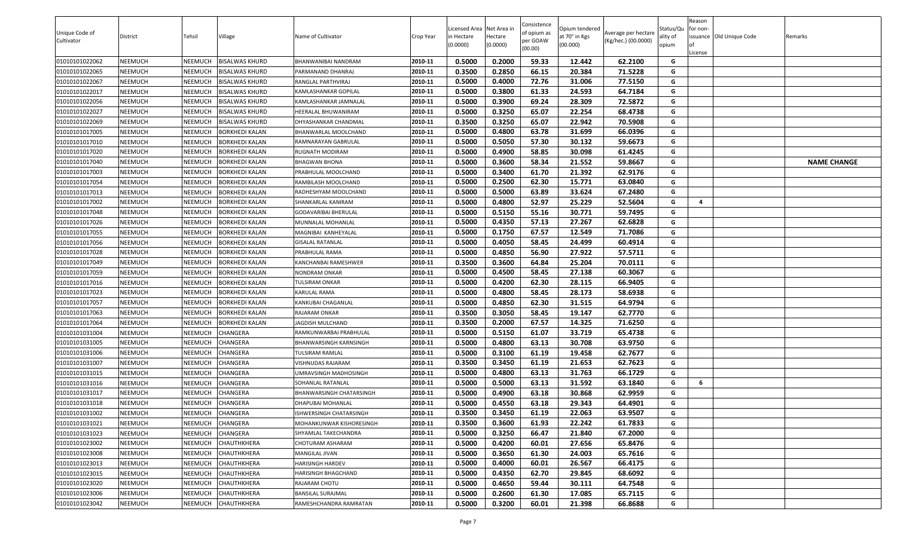|                |                |                |                       |                                |           |                          |                     | Consistence |                           |                     |                   | Reason   |                          |                    |
|----------------|----------------|----------------|-----------------------|--------------------------------|-----------|--------------------------|---------------------|-------------|---------------------------|---------------------|-------------------|----------|--------------------------|--------------------|
| Unique Code of |                |                |                       |                                |           | Licensed Area Net Area i |                     | of opium as | Opium tendered            | Average per hectare | Status/Qu         | for non- |                          |                    |
| Cultivator     | District       | Tehsil         | Village               | Name of Cultivator             | Crop Year | in Hectare<br>(0.0000)   | Hectare<br>(0.0000) | per GOAW    | at 70° in Kgs<br>(00.000) | (Kg/hec.) (00.0000) | ality of<br>opium |          | issuance Old Unique Code | Remarks            |
|                |                |                |                       |                                |           |                          |                     | (00.00)     |                           |                     |                   | .icense  |                          |                    |
| 01010101022062 | <b>NEEMUCH</b> | NEEMUCH        | <b>BISALWAS KHURD</b> | BHANWANIBAI NANDRAM            | 2010-11   | 0.5000                   | 0.2000              | 59.33       | 12.442                    | 62.2100             | G                 |          |                          |                    |
| 01010101022065 | <b>NEEMUCH</b> | NEEMUCH        | <b>BISALWAS KHURD</b> | PARMANAND DHANRAJ              | 2010-11   | 0.3500                   | 0.2850              | 66.15       | 20.384                    | 71.5228             | G                 |          |                          |                    |
| 01010101022067 | <b>NEEMUCH</b> | NEEMUCH        | <b>BISALWAS KHURD</b> | RANGLAL PARTHVIRAJ             | 2010-11   | 0.5000                   | 0.4000              | 72.76       | 31.006                    | 77.5150             | G                 |          |                          |                    |
| 01010101022017 | <b>NEEMUCH</b> | NEEMUCH        | BISALWAS KHURD        | KAMLASHANKAR GOPILAL           | 2010-11   | 0.5000                   | 0.3800              | 61.33       | 24.593                    | 64.7184             | G                 |          |                          |                    |
| 01010101022056 | <b>NEEMUCH</b> | NEEMUCH        | <b>BISALWAS KHURD</b> | KAMLASHANKAR JAMNALAL          | 2010-11   | 0.5000                   | 0.3900              | 69.24       | 28.309                    | 72.5872             | G                 |          |                          |                    |
| 01010101022027 | <b>NEEMUCH</b> | NEEMUCH        | <b>BISALWAS KHURD</b> | HEERALAL BHUWANIRAM            | 2010-11   | 0.5000                   | 0.3250              | 65.07       | 22.254                    | 68.4738             | G                 |          |                          |                    |
| 01010101022069 | <b>NEEMUCH</b> | NEEMUCH        | <b>BISALWAS KHURD</b> | DHYASHANKAR CHANDMAL           | 2010-11   | 0.3500                   | 0.3250              | 65.07       | 22.942                    | 70.5908             | G                 |          |                          |                    |
| 01010101017005 | <b>NEEMUCH</b> | NEEMUCH        | <b>BORKHEDI KALAN</b> | BHANWARLAL MOOLCHAND           | 2010-11   | 0.5000                   | 0.4800              | 63.78       | 31.699                    | 66.0396             | G                 |          |                          |                    |
| 01010101017010 | <b>NEEMUCH</b> | NEEMUCH        | <b>BORKHEDI KALAN</b> | RAMNARAYAN GABRULAL            | 2010-11   | 0.5000                   | 0.5050              | 57.30       | 30.132                    | 59.6673             | G                 |          |                          |                    |
| 01010101017020 | <b>NEEMUCH</b> | NEEMUCH        | <b>BORKHEDI KALAN</b> | RUGNATH MODIRAM                | 2010-11   | 0.5000                   | 0.4900              | 58.85       | 30.098                    | 61.4245             | G                 |          |                          |                    |
| 01010101017040 | <b>NEEMUCH</b> | NEEMUCH        | <b>BORKHEDI KALAN</b> | BHAGWAN BHONA                  | 2010-11   | 0.5000                   | 0.3600              | 58.34       | 21.552                    | 59.8667             | G                 |          |                          | <b>NAME CHANGE</b> |
| 01010101017003 | <b>NEEMUCH</b> | NEEMUCH        | <b>BORKHEDI KALAN</b> | PRABHULAL MOOLCHAND            | 2010-11   | 0.5000                   | 0.3400              | 61.70       | 21.392                    | 62.9176             | G                 |          |                          |                    |
| 01010101017054 | <b>NEEMUCH</b> | NEEMUCH        | <b>BORKHEDI KALAN</b> | RAMBILASH MOOLCHAND            | 2010-11   | 0.5000                   | 0.2500              | 62.30       | 15.771                    | 63.0840             | G                 |          |                          |                    |
| 01010101017013 | <b>NEEMUCH</b> | NEEMUCH        | <b>BORKHEDI KALAN</b> | RADHESHYAM MOOLCHAND           | 2010-11   | 0.5000                   | 0.5000              | 63.89       | 33.624                    | 67.2480             | G                 |          |                          |                    |
| 01010101017002 | <b>NEEMUCH</b> | NEEMUCH        | <b>BORKHEDI KALAN</b> | SHANKARLAL KANIRAM             | 2010-11   | 0.5000                   | 0.4800              | 52.97       | 25.229                    | 52.5604             | G                 | 4        |                          |                    |
| 01010101017048 | <b>NEEMUCH</b> | NEEMUCH        | <b>BORKHEDI KALAN</b> | <b>GODAVARIBAI BHERULAL</b>    | 2010-11   | 0.5000                   | 0.5150              | 55.16       | 30.771                    | 59.7495             | G                 |          |                          |                    |
| 01010101017026 | <b>NEEMUCH</b> | NEEMUCH        | <b>BORKHEDI KALAN</b> | MUNNALAL MOHANLAL              | 2010-11   | 0.5000                   | 0.4350              | 57.13       | 27.267                    | 62.6828             | G                 |          |                          |                    |
| 01010101017055 | <b>NEEMUCH</b> | NEEMUCH        | <b>BORKHEDI KALAN</b> | MAGNIBAI KANHEYALAL            | 2010-11   | 0.5000                   | 0.1750              | 67.57       | 12.549                    | 71.7086             | G                 |          |                          |                    |
| 01010101017056 | <b>NEEMUCH</b> | NEEMUCH        | <b>BORKHEDI KALAN</b> | <b>GISALAL RATANLAL</b>        | 2010-11   | 0.5000                   | 0.4050              | 58.45       | 24.499                    | 60.4914             | G                 |          |                          |                    |
| 01010101017028 | <b>NEEMUCH</b> | NEEMUCH        | <b>BORKHEDI KALAN</b> | PRABHULAL RAMA                 | 2010-11   | 0.5000                   | 0.4850              | 56.90       | 27.922                    | 57.5711             | G                 |          |                          |                    |
| 01010101017049 | <b>NEEMUCH</b> | NEEMUCH        | <b>BORKHEDI KALAN</b> | KANCHANBAI RAMESHWER           | 2010-11   | 0.3500                   | 0.3600              | 64.84       | 25.204                    | 70.0111             | G                 |          |                          |                    |
| 01010101017059 | <b>NEEMUCH</b> | NEEMUCH        | <b>BORKHEDI KALAN</b> | NONDRAM ONKAR                  | 2010-11   | 0.5000                   | 0.4500              | 58.45       | 27.138                    | 60.3067             | G                 |          |                          |                    |
| 01010101017016 | <b>NEEMUCH</b> | NEEMUCH        | <b>BORKHEDI KALAN</b> | TULSIRAM ONKAR                 | 2010-11   | 0.5000                   | 0.4200              | 62.30       | 28.115                    | 66.9405             | G                 |          |                          |                    |
| 01010101017023 | <b>NEEMUCH</b> | NEEMUCH        | <b>BORKHEDI KALAN</b> | KARULAL RAMA                   | 2010-11   | 0.5000                   | 0.4800              | 58.45       | 28.173                    | 58.6938             | G                 |          |                          |                    |
| 01010101017057 | <b>NEEMUCH</b> | NEEMUCH        | <b>BORKHEDI KALAN</b> | KANKUBAI CHAGANLAL             | 2010-11   | 0.5000                   | 0.4850              | 62.30       | 31.515                    | 64.9794             | G                 |          |                          |                    |
| 01010101017063 | <b>NEEMUCH</b> | NEEMUCH        | <b>BORKHEDI KALAN</b> | RAJARAM ONKAR                  | 2010-11   | 0.3500                   | 0.3050              | 58.45       | 19.147                    | 62.7770             | G                 |          |                          |                    |
| 01010101017064 | <b>NEEMUCH</b> | NEEMUCH        | <b>BORKHEDI KALAN</b> | JAGDISH MULCHAND               | 2010-11   | 0.3500                   | 0.2000              | 67.57       | 14.325                    | 71.6250             | G                 |          |                          |                    |
| 01010101031004 | <b>NEEMUCH</b> | NEEMUCH        | CHANGERA              | RAMKUNWARBAI PRABHULAL         | 2010-11   | 0.5000                   | 0.5150              | 61.07       | 33.719                    | 65.4738             | G                 |          |                          |                    |
| 01010101031005 | <b>NEEMUCH</b> | NEEMUCH        | CHANGERA              | BHANWARSINGH KARNSINGH         | 2010-11   | 0.5000                   | 0.4800              | 63.13       | 30.708                    | 63.9750             | G                 |          |                          |                    |
| 01010101031006 | <b>NEEMUCH</b> | NEEMUCH        | CHANGERA              | TULSIRAM RAMLAL                | 2010-11   | 0.5000                   | 0.3100              | 61.19       | 19.458                    | 62.7677             | G                 |          |                          |                    |
| 01010101031007 | <b>NEEMUCH</b> | NEEMUCH        | CHANGERA              | VISHNUDAS RAJARAM              | 2010-11   | 0.3500                   | 0.3450              | 61.19       | 21.653                    | 62.7623             | G                 |          |                          |                    |
| 01010101031015 | <b>NEEMUCH</b> | NEEMUCH        | CHANGERA              | UMRAVSINGH MADHOSINGH          | 2010-11   | 0.5000                   | 0.4800              | 63.13       | 31.763                    | 66.1729             | G                 |          |                          |                    |
| 01010101031016 | <b>NEEMUCH</b> | NEEMUCH        | CHANGERA              | SOHANLAL RATANLAL              | 2010-11   | 0.5000                   | 0.5000              | 63.13       | 31.592                    | 63.1840             | G                 | 6        |                          |                    |
| 01010101031017 | <b>NEEMUCH</b> | NEEMUCH        | CHANGERA              | BHANWARSINGH CHATARSINGH       | 2010-11   | 0.5000                   | 0.4900              | 63.18       | 30.868                    | 62.9959             | G                 |          |                          |                    |
| 01010101031018 | <b>NEEMUCH</b> | NEEMUCH        | CHANGERA              | DHAPUBAI MOHANLAL              | 2010-11   | 0.5000                   | 0.4550              | 63.18       | 29.343                    | 64.4901             | G                 |          |                          |                    |
| 01010101031002 | <b>NEEMUCH</b> | <b>NEEMUCH</b> | <b>CHANGERA</b>       | <b>ISHWERSINGH CHATARSINGH</b> | 2010-11   | 0.3500                   | 0.3450              | 61.19       | 22.063                    | 63.9507             | G                 |          |                          |                    |
| 01010101031021 | <b>NEEMUCH</b> | NEEMUCH        | CHANGERA              | MOHANKUNWAR KISHORESINGH       | 2010-11   | 0.3500                   | 0.3600              | 61.93       | 22.242                    | 61.7833             | G                 |          |                          |                    |
| 01010101031023 | <b>NEEMUCH</b> | NEEMUCH        | CHANGERA              | SHYAMLAL TAKECHANDRA           | 2010-11   | 0.5000                   | 0.3250              | 66.47       | 21.840                    | 67.2000             | G                 |          |                          |                    |
| 01010101023002 | <b>NEEMUCH</b> | NEEMUCH        | CHAUTHKHERA           | CHOTURAM ASHARAM               | 2010-11   | 0.5000                   | 0.4200              | 60.01       | 27.656                    | 65.8476             | G                 |          |                          |                    |
| 01010101023008 | <b>NEEMUCH</b> | NEEMUCH        | <b>CHAUTHKHERA</b>    | MANGILAL JIVAN                 | 2010-11   | 0.5000                   | 0.3650              | 61.30       | 24.003                    | 65.7616             | G                 |          |                          |                    |
| 01010101023013 | <b>NEEMUCH</b> | NEEMUCH        | CHAUTHKHERA           | HARISINGH HARDEV               | 2010-11   | 0.5000                   | 0.4000              | 60.01       | 26.567                    | 66.4175             | G                 |          |                          |                    |
| 01010101023015 | <b>NEEMUCH</b> | NEEMUCH        | CHAUTHKHERA           | HARISINGH BHAGCHAND            | 2010-11   | 0.5000                   | 0.4350              | 62.70       | 29.845                    | 68.6092             | G                 |          |                          |                    |
| 01010101023020 | <b>NEEMUCH</b> | NEEMUCH        | CHAUTHKHERA           | RAJARAM CHOTU                  | 2010-11   | 0.5000                   | 0.4650              | 59.44       | 30.111                    | 64.7548             | G                 |          |                          |                    |
| 01010101023006 | <b>NEEMUCH</b> | NEEMUCH        | <b>CHAUTHKHERA</b>    | BANSILAL SURAJMAL              | 2010-11   | 0.5000                   | 0.2600              | 61.30       | 17.085                    | 65.7115             | G                 |          |                          |                    |
| 01010101023042 | <b>NEEMUCH</b> | NEEMUCH        | CHAUTHKHERA           | RAMESHCHANDRA RAMRATAN         | 2010-11   | 0.5000                   | 0.3200              | 60.01       | 21.398                    | 66.8688             | G                 |          |                          |                    |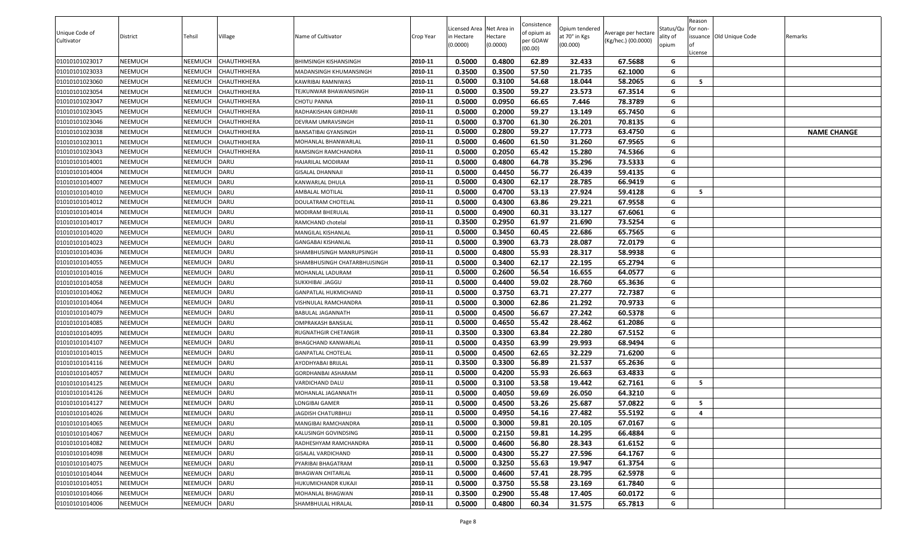| Licensed Area Net Area i<br>Status/Qu<br>Opium tendered<br>for non-<br>of opium as<br>Unique Code of<br>Average per hectare<br>Village<br>Name of Cultivator<br>at 70° in Kgs<br>issuance Old Unique Code<br>District<br>Tehsil<br>Hectare<br>ality of<br>Crop Year<br>in Hectare<br>Remarks<br>per GOAW<br>(Kg/hec.) (00.0000)<br>Cultivator<br>(0.0000)<br>(00.000)<br>(0.0000)<br>opium<br>(00.00)<br>.icense<br>0.5000<br>0.4800<br>62.89<br>32.433<br>67.5688<br>01010101023017<br><b>NEEMUCH</b><br>NEEMUCH<br><b>CHAUTHKHERA</b><br>2010-11<br>BHIMSINGH KISHANSINGH<br>G<br>01010101023033<br>0.3500<br>0.3500<br>57.50<br>21.735<br>62.1000<br><b>NEEMUCH</b><br>NEEMUCH<br>CHAUTHKHERA<br>2010-11<br>G<br>MADANSINGH KHUMANSINGH<br>2010-11<br>0.5000<br>0.3100<br>54.68<br>58.2065<br>5<br>01010101023060<br><b>NEEMUCH</b><br>NEEMUCH<br>CHAUTHKHERA<br>18.044<br>G<br>KAWRIBAI RAMNIWAS<br>2010-11<br>0.5000<br>0.3500<br>59.27<br>23.573<br>67.3514<br>G<br><b>NEEMUCH</b><br>01010101023054<br>NEEMUCH<br>CHAUTHKHERA<br>TEJKUNWAR BHAWANISINGH<br>2010-11<br>0.5000<br>0.0950<br>66.65<br>7.446<br>78.3789<br>G<br>01010101023047<br><b>NEEMUCH</b><br>NEEMUCH<br><b>CHAUTHKHERA</b><br><b>CHOTU PANNA</b><br>2010-11<br>0.5000<br>59.27<br><b>NEEMUCH</b><br>NEEMUCH<br>0.2000<br>13.149<br>65.7450<br>G<br>01010101023045<br>CHAUTHKHERA<br>RADHAKISHAN GIRDHARI<br>0.5000<br>0.3700<br>61.30<br>26.201<br>70.8135<br>01010101023046<br><b>NEEMUCH</b><br>NEEMUCH<br><b>CHAUTHKHERA</b><br>2010-11<br>G<br>DEVRAM UMRAVSINGH<br>0.5000<br>0.2800<br>59.27<br>17.773<br>63.4750<br><b>NAME CHANGE</b><br><b>NEEMUCH</b><br>2010-11<br>G<br>01010101023038<br>NEEMUCH<br>CHAUTHKHERA<br>BANSATIBAI GYANSINGH<br>0.5000<br>0.4600<br>61.50<br>31.260<br>01010101023011<br><b>NEEMUCH</b><br>NEEMUCH<br>CHAUTHKHERA<br>2010-11<br>67.9565<br>G<br>MOHANLAL BHANWARLAL<br>74.5366<br>2010-11<br>0.5000<br>0.2050<br>65.42<br>15.280<br>G<br>01010101023043<br><b>NEEMUCH</b><br>NEEMUCH<br><b>CHAUTHKHERA</b><br>RAMSINGH RAMCHANDRA<br>0.5000<br>0.4800<br>35.296<br>73.5333<br>01010101014001<br><b>NEEMUCH</b><br>NEEMUCH<br><b>DARU</b><br>2010-11<br>64.78<br>G<br>HAJARILAL MODIRAM<br>0.5000<br>0.4450<br>56.77<br>26.439<br><b>NEEMUCH</b><br><b>DARU</b><br>59.4135<br>G<br>01010101014004<br>NEEMUCH<br>GISALAL DHANNAJI<br>2010-11<br>0.5000<br>0.4300<br>62.17<br>28.785<br>66.9419<br><b>NEEMUCH</b><br>NEEMUCH<br><b>DARU</b><br>2010-11<br>G<br>01010101014007<br>KANWARLAL DHULA<br>0.5000<br>27.924<br>0.4700<br>53.13<br>59.4128<br>2010-11<br>G<br>- 5<br><b>NEEMUCH</b><br>NEEMUCH<br>DARU<br>AMBALAL MOTILAL<br>01010101014010<br>2010-11<br><b>NEEMUCH</b><br>NEEMUCH<br>DARU<br>0.5000<br>0.4300<br>63.86<br>29.221<br>67.9558<br>G<br>01010101014012<br>DOULATRAM CHOTELAL<br>2010-11<br>0.5000<br>0.4900<br>33.127<br>G<br><b>NEEMUCH</b><br>NEEMUCH<br>DARU<br>MODIRAM BHERULAL<br>60.31<br>67.6061<br>01010101014014<br>2010-11<br>0.3500<br>0.2950<br>61.97<br>21.690<br>73.5254<br><b>NEEMUCH</b><br>NEEMUCH<br><b>DARU</b><br>RAMCHAND chotelal<br>G<br>01010101014017<br>DARU<br>2010-11<br>0.5000<br>0.3450<br>22.686<br>01010101014020<br><b>NEEMUCH</b><br>NEEMUCH<br>60.45<br>65.7565<br>G<br>MANGILAL KISHANLAL<br>NEEMUCH<br>DARU<br>2010-11<br>0.5000<br>0.3900<br>63.73<br>28.087<br>72.0179<br>01010101014023<br><b>NEEMUCH</b><br>G<br>GANGABAI KISHANLAL<br>0.5000<br><b>NEEMUCH</b><br>NEEMUCH<br><b>DARU</b><br>2010-11<br>0.4800<br>55.93<br>28.317<br>58.9938<br>01010101014036<br>SHAMBHUSINGH MANRUPSINGH<br>G<br>0.5000<br>0.3400<br>62.17<br>22.195<br>65.2794<br><b>NEEMUCH</b><br><b>DARU</b><br>G<br>01010101014055<br>NEEMUCH<br>2010-11<br>SHAMBHUSINGH CHATARBHUJSINGH |  |  |  |  | Consistence |  | Reason |  |
|---------------------------------------------------------------------------------------------------------------------------------------------------------------------------------------------------------------------------------------------------------------------------------------------------------------------------------------------------------------------------------------------------------------------------------------------------------------------------------------------------------------------------------------------------------------------------------------------------------------------------------------------------------------------------------------------------------------------------------------------------------------------------------------------------------------------------------------------------------------------------------------------------------------------------------------------------------------------------------------------------------------------------------------------------------------------------------------------------------------------------------------------------------------------------------------------------------------------------------------------------------------------------------------------------------------------------------------------------------------------------------------------------------------------------------------------------------------------------------------------------------------------------------------------------------------------------------------------------------------------------------------------------------------------------------------------------------------------------------------------------------------------------------------------------------------------------------------------------------------------------------------------------------------------------------------------------------------------------------------------------------------------------------------------------------------------------------------------------------------------------------------------------------------------------------------------------------------------------------------------------------------------------------------------------------------------------------------------------------------------------------------------------------------------------------------------------------------------------------------------------------------------------------------------------------------------------------------------------------------------------------------------------------------------------------------------------------------------------------------------------------------------------------------------------------------------------------------------------------------------------------------------------------------------------------------------------------------------------------------------------------------------------------------------------------------------------------------------------------------------------------------------------------------------------------------------------------------------------------------------------------------------------------------------------------------------------------------------------------------------------------------------------------------------------------------------------------------------------------------------------------------------------------------------------------------------------------------------------------------------------------------------------------------------------------------------------------------------------------------------|--|--|--|--|-------------|--|--------|--|
|                                                                                                                                                                                                                                                                                                                                                                                                                                                                                                                                                                                                                                                                                                                                                                                                                                                                                                                                                                                                                                                                                                                                                                                                                                                                                                                                                                                                                                                                                                                                                                                                                                                                                                                                                                                                                                                                                                                                                                                                                                                                                                                                                                                                                                                                                                                                                                                                                                                                                                                                                                                                                                                                                                                                                                                                                                                                                                                                                                                                                                                                                                                                                                                                                                                                                                                                                                                                                                                                                                                                                                                                                                                                                                                                             |  |  |  |  |             |  |        |  |
|                                                                                                                                                                                                                                                                                                                                                                                                                                                                                                                                                                                                                                                                                                                                                                                                                                                                                                                                                                                                                                                                                                                                                                                                                                                                                                                                                                                                                                                                                                                                                                                                                                                                                                                                                                                                                                                                                                                                                                                                                                                                                                                                                                                                                                                                                                                                                                                                                                                                                                                                                                                                                                                                                                                                                                                                                                                                                                                                                                                                                                                                                                                                                                                                                                                                                                                                                                                                                                                                                                                                                                                                                                                                                                                                             |  |  |  |  |             |  |        |  |
|                                                                                                                                                                                                                                                                                                                                                                                                                                                                                                                                                                                                                                                                                                                                                                                                                                                                                                                                                                                                                                                                                                                                                                                                                                                                                                                                                                                                                                                                                                                                                                                                                                                                                                                                                                                                                                                                                                                                                                                                                                                                                                                                                                                                                                                                                                                                                                                                                                                                                                                                                                                                                                                                                                                                                                                                                                                                                                                                                                                                                                                                                                                                                                                                                                                                                                                                                                                                                                                                                                                                                                                                                                                                                                                                             |  |  |  |  |             |  |        |  |
|                                                                                                                                                                                                                                                                                                                                                                                                                                                                                                                                                                                                                                                                                                                                                                                                                                                                                                                                                                                                                                                                                                                                                                                                                                                                                                                                                                                                                                                                                                                                                                                                                                                                                                                                                                                                                                                                                                                                                                                                                                                                                                                                                                                                                                                                                                                                                                                                                                                                                                                                                                                                                                                                                                                                                                                                                                                                                                                                                                                                                                                                                                                                                                                                                                                                                                                                                                                                                                                                                                                                                                                                                                                                                                                                             |  |  |  |  |             |  |        |  |
|                                                                                                                                                                                                                                                                                                                                                                                                                                                                                                                                                                                                                                                                                                                                                                                                                                                                                                                                                                                                                                                                                                                                                                                                                                                                                                                                                                                                                                                                                                                                                                                                                                                                                                                                                                                                                                                                                                                                                                                                                                                                                                                                                                                                                                                                                                                                                                                                                                                                                                                                                                                                                                                                                                                                                                                                                                                                                                                                                                                                                                                                                                                                                                                                                                                                                                                                                                                                                                                                                                                                                                                                                                                                                                                                             |  |  |  |  |             |  |        |  |
|                                                                                                                                                                                                                                                                                                                                                                                                                                                                                                                                                                                                                                                                                                                                                                                                                                                                                                                                                                                                                                                                                                                                                                                                                                                                                                                                                                                                                                                                                                                                                                                                                                                                                                                                                                                                                                                                                                                                                                                                                                                                                                                                                                                                                                                                                                                                                                                                                                                                                                                                                                                                                                                                                                                                                                                                                                                                                                                                                                                                                                                                                                                                                                                                                                                                                                                                                                                                                                                                                                                                                                                                                                                                                                                                             |  |  |  |  |             |  |        |  |
|                                                                                                                                                                                                                                                                                                                                                                                                                                                                                                                                                                                                                                                                                                                                                                                                                                                                                                                                                                                                                                                                                                                                                                                                                                                                                                                                                                                                                                                                                                                                                                                                                                                                                                                                                                                                                                                                                                                                                                                                                                                                                                                                                                                                                                                                                                                                                                                                                                                                                                                                                                                                                                                                                                                                                                                                                                                                                                                                                                                                                                                                                                                                                                                                                                                                                                                                                                                                                                                                                                                                                                                                                                                                                                                                             |  |  |  |  |             |  |        |  |
|                                                                                                                                                                                                                                                                                                                                                                                                                                                                                                                                                                                                                                                                                                                                                                                                                                                                                                                                                                                                                                                                                                                                                                                                                                                                                                                                                                                                                                                                                                                                                                                                                                                                                                                                                                                                                                                                                                                                                                                                                                                                                                                                                                                                                                                                                                                                                                                                                                                                                                                                                                                                                                                                                                                                                                                                                                                                                                                                                                                                                                                                                                                                                                                                                                                                                                                                                                                                                                                                                                                                                                                                                                                                                                                                             |  |  |  |  |             |  |        |  |
|                                                                                                                                                                                                                                                                                                                                                                                                                                                                                                                                                                                                                                                                                                                                                                                                                                                                                                                                                                                                                                                                                                                                                                                                                                                                                                                                                                                                                                                                                                                                                                                                                                                                                                                                                                                                                                                                                                                                                                                                                                                                                                                                                                                                                                                                                                                                                                                                                                                                                                                                                                                                                                                                                                                                                                                                                                                                                                                                                                                                                                                                                                                                                                                                                                                                                                                                                                                                                                                                                                                                                                                                                                                                                                                                             |  |  |  |  |             |  |        |  |
|                                                                                                                                                                                                                                                                                                                                                                                                                                                                                                                                                                                                                                                                                                                                                                                                                                                                                                                                                                                                                                                                                                                                                                                                                                                                                                                                                                                                                                                                                                                                                                                                                                                                                                                                                                                                                                                                                                                                                                                                                                                                                                                                                                                                                                                                                                                                                                                                                                                                                                                                                                                                                                                                                                                                                                                                                                                                                                                                                                                                                                                                                                                                                                                                                                                                                                                                                                                                                                                                                                                                                                                                                                                                                                                                             |  |  |  |  |             |  |        |  |
|                                                                                                                                                                                                                                                                                                                                                                                                                                                                                                                                                                                                                                                                                                                                                                                                                                                                                                                                                                                                                                                                                                                                                                                                                                                                                                                                                                                                                                                                                                                                                                                                                                                                                                                                                                                                                                                                                                                                                                                                                                                                                                                                                                                                                                                                                                                                                                                                                                                                                                                                                                                                                                                                                                                                                                                                                                                                                                                                                                                                                                                                                                                                                                                                                                                                                                                                                                                                                                                                                                                                                                                                                                                                                                                                             |  |  |  |  |             |  |        |  |
|                                                                                                                                                                                                                                                                                                                                                                                                                                                                                                                                                                                                                                                                                                                                                                                                                                                                                                                                                                                                                                                                                                                                                                                                                                                                                                                                                                                                                                                                                                                                                                                                                                                                                                                                                                                                                                                                                                                                                                                                                                                                                                                                                                                                                                                                                                                                                                                                                                                                                                                                                                                                                                                                                                                                                                                                                                                                                                                                                                                                                                                                                                                                                                                                                                                                                                                                                                                                                                                                                                                                                                                                                                                                                                                                             |  |  |  |  |             |  |        |  |
|                                                                                                                                                                                                                                                                                                                                                                                                                                                                                                                                                                                                                                                                                                                                                                                                                                                                                                                                                                                                                                                                                                                                                                                                                                                                                                                                                                                                                                                                                                                                                                                                                                                                                                                                                                                                                                                                                                                                                                                                                                                                                                                                                                                                                                                                                                                                                                                                                                                                                                                                                                                                                                                                                                                                                                                                                                                                                                                                                                                                                                                                                                                                                                                                                                                                                                                                                                                                                                                                                                                                                                                                                                                                                                                                             |  |  |  |  |             |  |        |  |
|                                                                                                                                                                                                                                                                                                                                                                                                                                                                                                                                                                                                                                                                                                                                                                                                                                                                                                                                                                                                                                                                                                                                                                                                                                                                                                                                                                                                                                                                                                                                                                                                                                                                                                                                                                                                                                                                                                                                                                                                                                                                                                                                                                                                                                                                                                                                                                                                                                                                                                                                                                                                                                                                                                                                                                                                                                                                                                                                                                                                                                                                                                                                                                                                                                                                                                                                                                                                                                                                                                                                                                                                                                                                                                                                             |  |  |  |  |             |  |        |  |
|                                                                                                                                                                                                                                                                                                                                                                                                                                                                                                                                                                                                                                                                                                                                                                                                                                                                                                                                                                                                                                                                                                                                                                                                                                                                                                                                                                                                                                                                                                                                                                                                                                                                                                                                                                                                                                                                                                                                                                                                                                                                                                                                                                                                                                                                                                                                                                                                                                                                                                                                                                                                                                                                                                                                                                                                                                                                                                                                                                                                                                                                                                                                                                                                                                                                                                                                                                                                                                                                                                                                                                                                                                                                                                                                             |  |  |  |  |             |  |        |  |
|                                                                                                                                                                                                                                                                                                                                                                                                                                                                                                                                                                                                                                                                                                                                                                                                                                                                                                                                                                                                                                                                                                                                                                                                                                                                                                                                                                                                                                                                                                                                                                                                                                                                                                                                                                                                                                                                                                                                                                                                                                                                                                                                                                                                                                                                                                                                                                                                                                                                                                                                                                                                                                                                                                                                                                                                                                                                                                                                                                                                                                                                                                                                                                                                                                                                                                                                                                                                                                                                                                                                                                                                                                                                                                                                             |  |  |  |  |             |  |        |  |
|                                                                                                                                                                                                                                                                                                                                                                                                                                                                                                                                                                                                                                                                                                                                                                                                                                                                                                                                                                                                                                                                                                                                                                                                                                                                                                                                                                                                                                                                                                                                                                                                                                                                                                                                                                                                                                                                                                                                                                                                                                                                                                                                                                                                                                                                                                                                                                                                                                                                                                                                                                                                                                                                                                                                                                                                                                                                                                                                                                                                                                                                                                                                                                                                                                                                                                                                                                                                                                                                                                                                                                                                                                                                                                                                             |  |  |  |  |             |  |        |  |
|                                                                                                                                                                                                                                                                                                                                                                                                                                                                                                                                                                                                                                                                                                                                                                                                                                                                                                                                                                                                                                                                                                                                                                                                                                                                                                                                                                                                                                                                                                                                                                                                                                                                                                                                                                                                                                                                                                                                                                                                                                                                                                                                                                                                                                                                                                                                                                                                                                                                                                                                                                                                                                                                                                                                                                                                                                                                                                                                                                                                                                                                                                                                                                                                                                                                                                                                                                                                                                                                                                                                                                                                                                                                                                                                             |  |  |  |  |             |  |        |  |
|                                                                                                                                                                                                                                                                                                                                                                                                                                                                                                                                                                                                                                                                                                                                                                                                                                                                                                                                                                                                                                                                                                                                                                                                                                                                                                                                                                                                                                                                                                                                                                                                                                                                                                                                                                                                                                                                                                                                                                                                                                                                                                                                                                                                                                                                                                                                                                                                                                                                                                                                                                                                                                                                                                                                                                                                                                                                                                                                                                                                                                                                                                                                                                                                                                                                                                                                                                                                                                                                                                                                                                                                                                                                                                                                             |  |  |  |  |             |  |        |  |
|                                                                                                                                                                                                                                                                                                                                                                                                                                                                                                                                                                                                                                                                                                                                                                                                                                                                                                                                                                                                                                                                                                                                                                                                                                                                                                                                                                                                                                                                                                                                                                                                                                                                                                                                                                                                                                                                                                                                                                                                                                                                                                                                                                                                                                                                                                                                                                                                                                                                                                                                                                                                                                                                                                                                                                                                                                                                                                                                                                                                                                                                                                                                                                                                                                                                                                                                                                                                                                                                                                                                                                                                                                                                                                                                             |  |  |  |  |             |  |        |  |
|                                                                                                                                                                                                                                                                                                                                                                                                                                                                                                                                                                                                                                                                                                                                                                                                                                                                                                                                                                                                                                                                                                                                                                                                                                                                                                                                                                                                                                                                                                                                                                                                                                                                                                                                                                                                                                                                                                                                                                                                                                                                                                                                                                                                                                                                                                                                                                                                                                                                                                                                                                                                                                                                                                                                                                                                                                                                                                                                                                                                                                                                                                                                                                                                                                                                                                                                                                                                                                                                                                                                                                                                                                                                                                                                             |  |  |  |  |             |  |        |  |
|                                                                                                                                                                                                                                                                                                                                                                                                                                                                                                                                                                                                                                                                                                                                                                                                                                                                                                                                                                                                                                                                                                                                                                                                                                                                                                                                                                                                                                                                                                                                                                                                                                                                                                                                                                                                                                                                                                                                                                                                                                                                                                                                                                                                                                                                                                                                                                                                                                                                                                                                                                                                                                                                                                                                                                                                                                                                                                                                                                                                                                                                                                                                                                                                                                                                                                                                                                                                                                                                                                                                                                                                                                                                                                                                             |  |  |  |  |             |  |        |  |
|                                                                                                                                                                                                                                                                                                                                                                                                                                                                                                                                                                                                                                                                                                                                                                                                                                                                                                                                                                                                                                                                                                                                                                                                                                                                                                                                                                                                                                                                                                                                                                                                                                                                                                                                                                                                                                                                                                                                                                                                                                                                                                                                                                                                                                                                                                                                                                                                                                                                                                                                                                                                                                                                                                                                                                                                                                                                                                                                                                                                                                                                                                                                                                                                                                                                                                                                                                                                                                                                                                                                                                                                                                                                                                                                             |  |  |  |  |             |  |        |  |
|                                                                                                                                                                                                                                                                                                                                                                                                                                                                                                                                                                                                                                                                                                                                                                                                                                                                                                                                                                                                                                                                                                                                                                                                                                                                                                                                                                                                                                                                                                                                                                                                                                                                                                                                                                                                                                                                                                                                                                                                                                                                                                                                                                                                                                                                                                                                                                                                                                                                                                                                                                                                                                                                                                                                                                                                                                                                                                                                                                                                                                                                                                                                                                                                                                                                                                                                                                                                                                                                                                                                                                                                                                                                                                                                             |  |  |  |  |             |  |        |  |
| DARU<br>0.5000<br>0.2600<br>56.54<br>16.655<br><b>NEEMUCH</b><br>NEEMUCH<br>2010-11<br>64.0577<br>G<br>01010101014016<br>MOHANLAL LADURAM                                                                                                                                                                                                                                                                                                                                                                                                                                                                                                                                                                                                                                                                                                                                                                                                                                                                                                                                                                                                                                                                                                                                                                                                                                                                                                                                                                                                                                                                                                                                                                                                                                                                                                                                                                                                                                                                                                                                                                                                                                                                                                                                                                                                                                                                                                                                                                                                                                                                                                                                                                                                                                                                                                                                                                                                                                                                                                                                                                                                                                                                                                                                                                                                                                                                                                                                                                                                                                                                                                                                                                                                   |  |  |  |  |             |  |        |  |
| <b>NEEMUCH</b><br>NEEMUCH<br>DARU<br>2010-11<br>0.5000<br>0.4400<br>59.02<br>28.760<br>65.3636<br>01010101014058<br>G<br><b>SUKKHIBAI .JAGGU</b>                                                                                                                                                                                                                                                                                                                                                                                                                                                                                                                                                                                                                                                                                                                                                                                                                                                                                                                                                                                                                                                                                                                                                                                                                                                                                                                                                                                                                                                                                                                                                                                                                                                                                                                                                                                                                                                                                                                                                                                                                                                                                                                                                                                                                                                                                                                                                                                                                                                                                                                                                                                                                                                                                                                                                                                                                                                                                                                                                                                                                                                                                                                                                                                                                                                                                                                                                                                                                                                                                                                                                                                            |  |  |  |  |             |  |        |  |
| 0.5000<br>0.3750<br>27.277<br><b>NEEMUCH</b><br>NEEMUCH<br>DARU<br>2010-11<br>63.71<br>72.7387<br>01010101014062<br>GANPATLAL HUKMICHAND<br>G                                                                                                                                                                                                                                                                                                                                                                                                                                                                                                                                                                                                                                                                                                                                                                                                                                                                                                                                                                                                                                                                                                                                                                                                                                                                                                                                                                                                                                                                                                                                                                                                                                                                                                                                                                                                                                                                                                                                                                                                                                                                                                                                                                                                                                                                                                                                                                                                                                                                                                                                                                                                                                                                                                                                                                                                                                                                                                                                                                                                                                                                                                                                                                                                                                                                                                                                                                                                                                                                                                                                                                                               |  |  |  |  |             |  |        |  |
| <b>NEEMUCH</b><br>0.5000<br>0.3000<br>62.86<br>21.292<br>70.9733<br>01010101014064<br>NEEMUCH<br><b>DARU</b><br>2010-11<br>G<br>VISHNULAL RAMCHANDRA                                                                                                                                                                                                                                                                                                                                                                                                                                                                                                                                                                                                                                                                                                                                                                                                                                                                                                                                                                                                                                                                                                                                                                                                                                                                                                                                                                                                                                                                                                                                                                                                                                                                                                                                                                                                                                                                                                                                                                                                                                                                                                                                                                                                                                                                                                                                                                                                                                                                                                                                                                                                                                                                                                                                                                                                                                                                                                                                                                                                                                                                                                                                                                                                                                                                                                                                                                                                                                                                                                                                                                                        |  |  |  |  |             |  |        |  |
| 2010-11<br>0.5000<br>0.4500<br>56.67<br>27.242<br>60.5378<br>G<br>01010101014079<br><b>NEEMUCH</b><br>NEEMUCH<br><b>DARU</b><br>BABULAL JAGANNATH                                                                                                                                                                                                                                                                                                                                                                                                                                                                                                                                                                                                                                                                                                                                                                                                                                                                                                                                                                                                                                                                                                                                                                                                                                                                                                                                                                                                                                                                                                                                                                                                                                                                                                                                                                                                                                                                                                                                                                                                                                                                                                                                                                                                                                                                                                                                                                                                                                                                                                                                                                                                                                                                                                                                                                                                                                                                                                                                                                                                                                                                                                                                                                                                                                                                                                                                                                                                                                                                                                                                                                                           |  |  |  |  |             |  |        |  |
| 2010-11<br>NEEMUCH<br>DARU<br>0.5000<br>0.4650<br>55.42<br>28.462<br>61.2086<br>G<br>01010101014085<br><b>NEEMUCH</b><br>OMPRAKASH BANSILAL                                                                                                                                                                                                                                                                                                                                                                                                                                                                                                                                                                                                                                                                                                                                                                                                                                                                                                                                                                                                                                                                                                                                                                                                                                                                                                                                                                                                                                                                                                                                                                                                                                                                                                                                                                                                                                                                                                                                                                                                                                                                                                                                                                                                                                                                                                                                                                                                                                                                                                                                                                                                                                                                                                                                                                                                                                                                                                                                                                                                                                                                                                                                                                                                                                                                                                                                                                                                                                                                                                                                                                                                 |  |  |  |  |             |  |        |  |
| 2010-11<br>0.3500<br>0.3300<br>22.280<br>67.5152<br>01010101014095<br><b>NEEMUCH</b><br>NEEMUCH<br><b>DARU</b><br>RUGNATHGIR CHETANGIR<br>63.84<br>G                                                                                                                                                                                                                                                                                                                                                                                                                                                                                                                                                                                                                                                                                                                                                                                                                                                                                                                                                                                                                                                                                                                                                                                                                                                                                                                                                                                                                                                                                                                                                                                                                                                                                                                                                                                                                                                                                                                                                                                                                                                                                                                                                                                                                                                                                                                                                                                                                                                                                                                                                                                                                                                                                                                                                                                                                                                                                                                                                                                                                                                                                                                                                                                                                                                                                                                                                                                                                                                                                                                                                                                        |  |  |  |  |             |  |        |  |
| 0.5000<br>0.4350<br>63.99<br>G<br><b>NEEMUCH</b><br><b>DARU</b><br>2010-11<br>29.993<br>68.9494<br>01010101014107<br>NEEMUCH<br>BHAGCHAND KANWARLAL                                                                                                                                                                                                                                                                                                                                                                                                                                                                                                                                                                                                                                                                                                                                                                                                                                                                                                                                                                                                                                                                                                                                                                                                                                                                                                                                                                                                                                                                                                                                                                                                                                                                                                                                                                                                                                                                                                                                                                                                                                                                                                                                                                                                                                                                                                                                                                                                                                                                                                                                                                                                                                                                                                                                                                                                                                                                                                                                                                                                                                                                                                                                                                                                                                                                                                                                                                                                                                                                                                                                                                                         |  |  |  |  |             |  |        |  |
| 0.5000<br>0.4500<br>62.65<br>32.229<br>71.6200<br>01010101014015<br><b>NEEMUCH</b><br>NEEMUCH<br>DARU<br>2010-11<br>G<br><b>GANPATLAL CHOTELAL</b>                                                                                                                                                                                                                                                                                                                                                                                                                                                                                                                                                                                                                                                                                                                                                                                                                                                                                                                                                                                                                                                                                                                                                                                                                                                                                                                                                                                                                                                                                                                                                                                                                                                                                                                                                                                                                                                                                                                                                                                                                                                                                                                                                                                                                                                                                                                                                                                                                                                                                                                                                                                                                                                                                                                                                                                                                                                                                                                                                                                                                                                                                                                                                                                                                                                                                                                                                                                                                                                                                                                                                                                          |  |  |  |  |             |  |        |  |
| 0.3500<br>0.3300<br>56.89<br>21.537<br>65.2636<br><b>NEEMUCH</b><br>NEEMUCH<br>DARU<br>2010-11<br>G<br>01010101014116<br>AYODHYABAI BRIJLAL                                                                                                                                                                                                                                                                                                                                                                                                                                                                                                                                                                                                                                                                                                                                                                                                                                                                                                                                                                                                                                                                                                                                                                                                                                                                                                                                                                                                                                                                                                                                                                                                                                                                                                                                                                                                                                                                                                                                                                                                                                                                                                                                                                                                                                                                                                                                                                                                                                                                                                                                                                                                                                                                                                                                                                                                                                                                                                                                                                                                                                                                                                                                                                                                                                                                                                                                                                                                                                                                                                                                                                                                 |  |  |  |  |             |  |        |  |
| <b>NEEMUCH</b><br>NEEMUCH<br><b>DARU</b><br>2010-11<br>0.5000<br>0.4200<br>55.93<br>26.663<br>63.4833<br>01010101014057<br>G<br>GORDHANBAI ASHARAM                                                                                                                                                                                                                                                                                                                                                                                                                                                                                                                                                                                                                                                                                                                                                                                                                                                                                                                                                                                                                                                                                                                                                                                                                                                                                                                                                                                                                                                                                                                                                                                                                                                                                                                                                                                                                                                                                                                                                                                                                                                                                                                                                                                                                                                                                                                                                                                                                                                                                                                                                                                                                                                                                                                                                                                                                                                                                                                                                                                                                                                                                                                                                                                                                                                                                                                                                                                                                                                                                                                                                                                          |  |  |  |  |             |  |        |  |
| 0.5000<br>0.3100<br>53.58<br>19.442<br>5<br><b>NEEMUCH</b><br>NEEMUCH<br>DARU<br>2010-11<br>62.7161<br>G<br>01010101014125<br>VARDICHAND DALU                                                                                                                                                                                                                                                                                                                                                                                                                                                                                                                                                                                                                                                                                                                                                                                                                                                                                                                                                                                                                                                                                                                                                                                                                                                                                                                                                                                                                                                                                                                                                                                                                                                                                                                                                                                                                                                                                                                                                                                                                                                                                                                                                                                                                                                                                                                                                                                                                                                                                                                                                                                                                                                                                                                                                                                                                                                                                                                                                                                                                                                                                                                                                                                                                                                                                                                                                                                                                                                                                                                                                                                               |  |  |  |  |             |  |        |  |
| 0.5000<br>0.4050<br>59.69<br>26.050<br>64.3210<br>01010101014126<br><b>NEEMUCH</b><br>NEEMUCH<br><b>DARU</b><br>2010-11<br>G<br>MOHANLAL JAGANNATH                                                                                                                                                                                                                                                                                                                                                                                                                                                                                                                                                                                                                                                                                                                                                                                                                                                                                                                                                                                                                                                                                                                                                                                                                                                                                                                                                                                                                                                                                                                                                                                                                                                                                                                                                                                                                                                                                                                                                                                                                                                                                                                                                                                                                                                                                                                                                                                                                                                                                                                                                                                                                                                                                                                                                                                                                                                                                                                                                                                                                                                                                                                                                                                                                                                                                                                                                                                                                                                                                                                                                                                          |  |  |  |  |             |  |        |  |
| 57.0822<br>2010-11<br>0.5000<br>0.4500<br>53.26<br>25.687<br>5<br>01010101014127<br><b>NEEMUCH</b><br>NEEMUCH<br><b>DARU</b><br>G<br>LONGIBAI GAMER                                                                                                                                                                                                                                                                                                                                                                                                                                                                                                                                                                                                                                                                                                                                                                                                                                                                                                                                                                                                                                                                                                                                                                                                                                                                                                                                                                                                                                                                                                                                                                                                                                                                                                                                                                                                                                                                                                                                                                                                                                                                                                                                                                                                                                                                                                                                                                                                                                                                                                                                                                                                                                                                                                                                                                                                                                                                                                                                                                                                                                                                                                                                                                                                                                                                                                                                                                                                                                                                                                                                                                                         |  |  |  |  |             |  |        |  |
| <b>NEEMUCH</b><br><b>NEEMUCH</b><br>DARU<br>2010-11<br>0.5000<br>0.4950<br>54.16<br>27.482<br>55.5192<br>01010101014026<br>JAGDISH CHATURBHUJ<br>G<br>$\overline{a}$                                                                                                                                                                                                                                                                                                                                                                                                                                                                                                                                                                                                                                                                                                                                                                                                                                                                                                                                                                                                                                                                                                                                                                                                                                                                                                                                                                                                                                                                                                                                                                                                                                                                                                                                                                                                                                                                                                                                                                                                                                                                                                                                                                                                                                                                                                                                                                                                                                                                                                                                                                                                                                                                                                                                                                                                                                                                                                                                                                                                                                                                                                                                                                                                                                                                                                                                                                                                                                                                                                                                                                        |  |  |  |  |             |  |        |  |
| 2010-11<br>0.5000<br>0.3000<br>59.81<br>20.105<br>DARU<br>67.0167<br>G<br>01010101014065<br><b>NEEMUCH</b><br>NEEMUCH<br>MANGIBAI RAMCHANDRA                                                                                                                                                                                                                                                                                                                                                                                                                                                                                                                                                                                                                                                                                                                                                                                                                                                                                                                                                                                                                                                                                                                                                                                                                                                                                                                                                                                                                                                                                                                                                                                                                                                                                                                                                                                                                                                                                                                                                                                                                                                                                                                                                                                                                                                                                                                                                                                                                                                                                                                                                                                                                                                                                                                                                                                                                                                                                                                                                                                                                                                                                                                                                                                                                                                                                                                                                                                                                                                                                                                                                                                                |  |  |  |  |             |  |        |  |
| DARU<br>2010-11<br>0.5000<br>0.2150<br>59.81<br>14.295<br>66.4884<br>G<br><b>NEEMUCH</b><br>NEEMUCH<br>01010101014067<br>KALUSINGH GOVINDSING                                                                                                                                                                                                                                                                                                                                                                                                                                                                                                                                                                                                                                                                                                                                                                                                                                                                                                                                                                                                                                                                                                                                                                                                                                                                                                                                                                                                                                                                                                                                                                                                                                                                                                                                                                                                                                                                                                                                                                                                                                                                                                                                                                                                                                                                                                                                                                                                                                                                                                                                                                                                                                                                                                                                                                                                                                                                                                                                                                                                                                                                                                                                                                                                                                                                                                                                                                                                                                                                                                                                                                                               |  |  |  |  |             |  |        |  |
| DARU<br>2010-11<br>0.5000<br>0.4600<br>56.80<br>28.343<br>G<br><b>NEEMUCH</b><br>NEEMUCH<br>RADHESHYAM RAMCHANDRA<br>61.6152<br>01010101014082                                                                                                                                                                                                                                                                                                                                                                                                                                                                                                                                                                                                                                                                                                                                                                                                                                                                                                                                                                                                                                                                                                                                                                                                                                                                                                                                                                                                                                                                                                                                                                                                                                                                                                                                                                                                                                                                                                                                                                                                                                                                                                                                                                                                                                                                                                                                                                                                                                                                                                                                                                                                                                                                                                                                                                                                                                                                                                                                                                                                                                                                                                                                                                                                                                                                                                                                                                                                                                                                                                                                                                                              |  |  |  |  |             |  |        |  |
| 2010-11<br><b>NEEMUCH</b><br>NEEMUCH<br>DARU<br>0.5000<br>0.4300<br>55.27<br>27.596<br>64.1767<br>G<br>01010101014098<br>GISALAL VARDICHAND                                                                                                                                                                                                                                                                                                                                                                                                                                                                                                                                                                                                                                                                                                                                                                                                                                                                                                                                                                                                                                                                                                                                                                                                                                                                                                                                                                                                                                                                                                                                                                                                                                                                                                                                                                                                                                                                                                                                                                                                                                                                                                                                                                                                                                                                                                                                                                                                                                                                                                                                                                                                                                                                                                                                                                                                                                                                                                                                                                                                                                                                                                                                                                                                                                                                                                                                                                                                                                                                                                                                                                                                 |  |  |  |  |             |  |        |  |
| DARU<br>2010-11<br>0.5000<br>0.3250<br>55.63<br>G<br>01010101014075<br><b>NEEMUCH</b><br>NEEMUCH<br>PYARIBAI BHAGATRAM<br>19.947<br>61.3754                                                                                                                                                                                                                                                                                                                                                                                                                                                                                                                                                                                                                                                                                                                                                                                                                                                                                                                                                                                                                                                                                                                                                                                                                                                                                                                                                                                                                                                                                                                                                                                                                                                                                                                                                                                                                                                                                                                                                                                                                                                                                                                                                                                                                                                                                                                                                                                                                                                                                                                                                                                                                                                                                                                                                                                                                                                                                                                                                                                                                                                                                                                                                                                                                                                                                                                                                                                                                                                                                                                                                                                                 |  |  |  |  |             |  |        |  |
| <b>DARU</b><br>0.5000<br>0.4600<br>57.41<br>28.795<br>62.5978<br>01010101014044<br><b>NEEMUCH</b><br>NEEMUCH<br>2010-11<br>G<br>BHAGWAN CHITARLAL                                                                                                                                                                                                                                                                                                                                                                                                                                                                                                                                                                                                                                                                                                                                                                                                                                                                                                                                                                                                                                                                                                                                                                                                                                                                                                                                                                                                                                                                                                                                                                                                                                                                                                                                                                                                                                                                                                                                                                                                                                                                                                                                                                                                                                                                                                                                                                                                                                                                                                                                                                                                                                                                                                                                                                                                                                                                                                                                                                                                                                                                                                                                                                                                                                                                                                                                                                                                                                                                                                                                                                                           |  |  |  |  |             |  |        |  |
| DARU<br>0.5000<br>0.3750<br>55.58<br>23.169<br>01010101014051<br><b>NEEMUCH</b><br>NEEMUCH<br>2010-11<br>61.7840<br>G<br>HUKUMICHANDR KUKAJI                                                                                                                                                                                                                                                                                                                                                                                                                                                                                                                                                                                                                                                                                                                                                                                                                                                                                                                                                                                                                                                                                                                                                                                                                                                                                                                                                                                                                                                                                                                                                                                                                                                                                                                                                                                                                                                                                                                                                                                                                                                                                                                                                                                                                                                                                                                                                                                                                                                                                                                                                                                                                                                                                                                                                                                                                                                                                                                                                                                                                                                                                                                                                                                                                                                                                                                                                                                                                                                                                                                                                                                                |  |  |  |  |             |  |        |  |
| NEEMUCH<br>DARU<br>2010-11<br>0.3500<br>0.2900<br>17.405<br>60.0172<br>01010101014066<br><b>NEEMUCH</b><br>55.48<br>G<br>MOHANLAL BHAGWAN                                                                                                                                                                                                                                                                                                                                                                                                                                                                                                                                                                                                                                                                                                                                                                                                                                                                                                                                                                                                                                                                                                                                                                                                                                                                                                                                                                                                                                                                                                                                                                                                                                                                                                                                                                                                                                                                                                                                                                                                                                                                                                                                                                                                                                                                                                                                                                                                                                                                                                                                                                                                                                                                                                                                                                                                                                                                                                                                                                                                                                                                                                                                                                                                                                                                                                                                                                                                                                                                                                                                                                                                   |  |  |  |  |             |  |        |  |
| DARU<br>01010101014006<br><b>NEEMUCH</b><br>NEEMUCH<br>2010-11<br>0.5000<br>0.4800<br>60.34<br>31.575<br>65.7813<br>G<br>SHAMBHULAL HIRALAL                                                                                                                                                                                                                                                                                                                                                                                                                                                                                                                                                                                                                                                                                                                                                                                                                                                                                                                                                                                                                                                                                                                                                                                                                                                                                                                                                                                                                                                                                                                                                                                                                                                                                                                                                                                                                                                                                                                                                                                                                                                                                                                                                                                                                                                                                                                                                                                                                                                                                                                                                                                                                                                                                                                                                                                                                                                                                                                                                                                                                                                                                                                                                                                                                                                                                                                                                                                                                                                                                                                                                                                                 |  |  |  |  |             |  |        |  |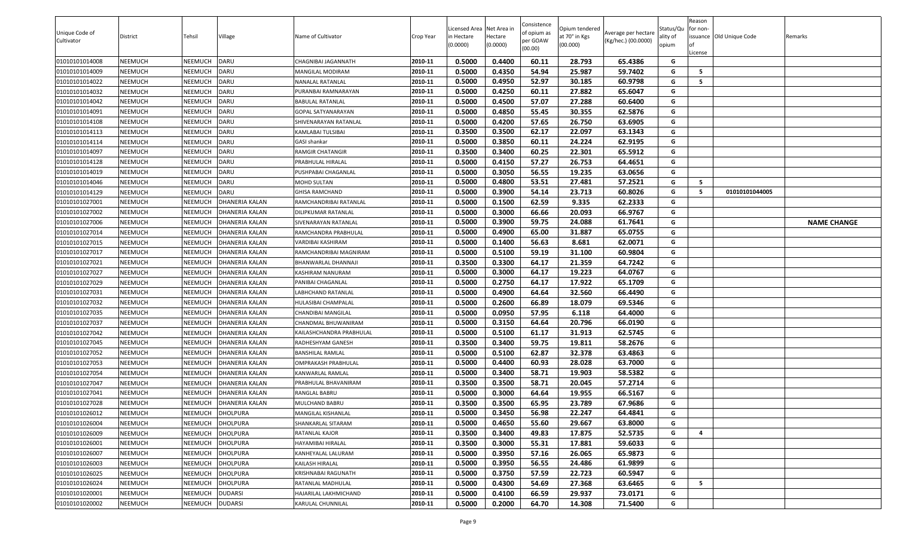|                                  |                    |                                  |                                    |                                          |                    |                                        |                  | Consistence         |                                 |                     |                       | Reason   |                          |                    |
|----------------------------------|--------------------|----------------------------------|------------------------------------|------------------------------------------|--------------------|----------------------------------------|------------------|---------------------|---------------------------------|---------------------|-----------------------|----------|--------------------------|--------------------|
| Unique Code of                   | District           | Tehsil                           | Village                            | Name of Cultivator                       | Crop Year          | Licensed Area Net Area i<br>in Hectare | Hectare          | of opium as         | Opium tendered<br>at 70° in Kgs | Average per hectare | Status/Qu<br>ality of | for non- | issuance Old Unique Code | Remarks            |
| Cultivator                       |                    |                                  |                                    |                                          |                    | (0.0000)                               | (0.0000)         | per GOAW<br>(00.00) | (00.000)                        | (Kg/hec.) (00.0000) | opium                 |          |                          |                    |
|                                  |                    |                                  |                                    |                                          |                    |                                        |                  |                     |                                 |                     |                       | License  |                          |                    |
| 01010101014008                   | NEEMUCH            | NEEMUCH                          | DARU                               | CHAGNIBAI JAGANNATH                      | 2010-11            | 0.5000                                 | 0.4400           | 60.11               | 28.793                          | 65.4386             | G                     |          |                          |                    |
| 01010101014009                   | NEEMUCH            | NEEMUCH                          | DARU                               | <b>MANGILAL MODIRAM</b>                  | 2010-11            | 0.5000                                 | 0.4350           | 54.94               | 25.987                          | 59.7402             | G                     | - 5      |                          |                    |
| 01010101014022                   | NEEMUCH            | NEEMUCH                          | DARU                               | NANALAL RATANLAL                         | 2010-11            | 0.5000                                 | 0.4950           | 52.97               | 30.185                          | 60.9798             | G                     | 5        |                          |                    |
| 01010101014032                   | NEEMUCH            | NEEMUCH                          | DARU                               | PURANBAI RAMNARAYAN                      | 2010-11            | 0.5000                                 | 0.4250           | 60.11               | 27.882                          | 65.6047             | G                     |          |                          |                    |
| 01010101014042                   | NEEMUCH            | NEEMUCH                          | DARU                               | BABULAL RATANLAL                         | 2010-11            | 0.5000                                 | 0.4500           | 57.07               | 27.288                          | 60.6400             | G                     |          |                          |                    |
| 01010101014091                   | NEEMUCH            | NEEMUCH                          | DARU                               | <b>GOPAL SATYANARAYAN</b>                | 2010-11            | 0.5000                                 | 0.4850           | 55.45               | 30.355                          | 62.5876             | G                     |          |                          |                    |
| 01010101014108                   | NEEMUCH            | <b>NEEMUCH</b>                   | DARU                               | SHIVENARAYAN RATANLAL                    | 2010-11            | 0.5000                                 | 0.4200           | 57.65               | 26.750                          | 63.6905             | G                     |          |                          |                    |
| 01010101014113                   | NEEMUCH            | NEEMUCH                          | <b>DARU</b>                        | KAMLABAI TULSIBAI                        | 2010-11            | 0.3500                                 | 0.3500           | 62.17               | 22.097                          | 63.1343             | G                     |          |                          |                    |
| 01010101014114                   | NEEMUCH            | <b>NEEMUCH</b>                   | DARU                               | GASI shankar                             | 2010-11            | 0.5000                                 | 0.3850           | 60.11               | 24.224                          | 62.9195             | G                     |          |                          |                    |
| 01010101014097                   | <b>NEEMUCH</b>     | NEEMUCH                          | <b>DARU</b>                        | RAMGIR CHATANGIR                         | 2010-11            | 0.3500                                 | 0.3400           | 60.25               | 22.301                          | 65.5912             | G                     |          |                          |                    |
| 01010101014128                   | NEEMUCH            | NEEMUCH                          | DARU                               | PRABHULAL HIRALAL                        | 2010-11            | 0.5000                                 | 0.4150           | 57.27               | 26.753                          | 64.4651             | G                     |          |                          |                    |
| 01010101014019                   | NEEMUCH            | NEEMUCH                          | <b>DARU</b>                        | PUSHPABAI CHAGANLAL                      | 2010-11            | 0.5000                                 | 0.3050           | 56.55               | 19.235                          | 63.0656             | G                     |          |                          |                    |
| 01010101014046                   | NEEMUCH            | NEEMUCH                          | DARU                               | MOHD SULTAN                              | 2010-11            | 0.5000                                 | 0.4800           | 53.51               | 27.481                          | 57.2521             | G                     | - 5      |                          |                    |
| 01010101014129                   | NEEMUCH            | NEEMUCH                          | DARU                               | <b>GHISA RAMCHAND</b>                    | 2010-11            | 0.5000                                 | 0.3900           | 54.14               | 23.713                          | 60.8026             | G                     | - 5      | 01010101044005           |                    |
| 01010101027001                   | NEEMUCH            | <b>NEEMUCH</b>                   | <b>DHANERIA KALAN</b>              | RAMCHANDRIBAI RATANLAL                   | 2010-11            | 0.5000                                 | 0.1500           | 62.59               | 9.335                           | 62.2333             | G                     |          |                          |                    |
| 01010101027002                   | NEEMUCH            | <b>NEEMUCH</b>                   | <b>DHANERIA KALAN</b>              | DILIPKUMAR RATANLAL                      | 2010-11            | 0.5000                                 | 0.3000           | 66.66               | 20.093                          | 66.9767             | G                     |          |                          |                    |
| 01010101027006                   | NEEMUCH            | NEEMUCH                          | <b>DHANERIA KALAN</b>              | SIVENARAYAN RATANLAL                     | 2010-11            | 0.5000                                 | 0.3900           | 59.75               | 24.088                          | 61.7641             | G                     |          |                          | <b>NAME CHANGE</b> |
| 01010101027014                   | NEEMUCH            | NEEMUCH                          | <b>DHANERIA KALAN</b>              | RAMCHANDRA PRABHULAL                     | 2010-11            | 0.5000                                 | 0.4900           | 65.00               | 31.887                          | 65.0755             | G                     |          |                          |                    |
| 01010101027015                   | NEEMUCH            | NEEMUCH                          | DHANERIA KALAN                     | VARDIBAI KASHIRAM                        | 2010-11            | 0.5000                                 | 0.1400           | 56.63               | 8.681                           | 62.0071             | G                     |          |                          |                    |
| 01010101027017                   | NEEMUCH            | NEEMUCH                          | DHANERIA KALAN                     | RAMCHANDRIBAI MAGNIRAM                   | 2010-11            | 0.5000                                 | 0.5100           | 59.19               | 31.100                          | 60.9804             | G                     |          |                          |                    |
| 01010101027021                   | NEEMUCH            | <b>NEEMUCH</b>                   | <b>DHANERIA KALAN</b>              | BHANWARLAL DHANNAJI                      | 2010-11            | 0.3500                                 | 0.3300           | 64.17               | 21.359                          | 64.7242             | G                     |          |                          |                    |
| 01010101027027                   | NEEMUCH            | <b>NEEMUCH</b>                   | <b>DHANERIA KALAN</b>              | KASHIRAM NANURAM                         | 2010-11            | 0.5000                                 | 0.3000           | 64.17               | 19.223                          | 64.0767             | G                     |          |                          |                    |
| 01010101027029                   | NEEMUCH            | <b>NEEMUCH</b>                   | <b>DHANERIA KALAN</b>              | PANIBAI CHAGANLAL                        | 2010-11            | 0.5000                                 | 0.2750           | 64.17               | 17.922                          | 65.1709             | G                     |          |                          |                    |
| 01010101027031                   | NEEMUCH            | <b>NEEMUCH</b>                   | <b>DHANERIA KALAN</b>              | LABHCHAND RATANLAL                       | 2010-11            | 0.5000                                 | 0.4900           | 64.64               | 32.560                          | 66.4490             | G                     |          |                          |                    |
| 01010101027032                   | NEEMUCH            | <b>NEEMUCH</b>                   | <b>DHANERIA KALAN</b>              | HULASIBAI CHAMPALAL                      | 2010-11            | 0.5000                                 | 0.2600           | 66.89               | 18.079                          | 69.5346             | G                     |          |                          |                    |
| 01010101027035                   | NEEMUCH            | <b>NEEMUCH</b>                   | <b>DHANERIA KALAN</b>              | CHANDIBAI MANGILAL                       | 2010-11            | 0.5000                                 | 0.0950           | 57.95               | 6.118                           | 64.4000             | G                     |          |                          |                    |
| 01010101027037                   | <b>NEEMUCH</b>     | NEEMUCH                          | DHANERIA KALAN                     | CHANDMAL BHUWANIRAM                      | 2010-11            | 0.5000                                 | 0.3150           | 64.64               | 20.796                          | 66.0190             | G                     |          |                          |                    |
| 01010101027042                   | NEEMUCH            | NEEMUCH                          | DHANERIA KALAN                     | KAILASHCHANDRA PRABHULAL                 | 2010-11            | 0.5000                                 | 0.5100           | 61.17               | 31.913                          | 62.5745             | G                     |          |                          |                    |
| 01010101027045                   | NEEMUCH            | NEEMUCH                          | DHANERIA KALAN                     | RADHESHYAM GANESH                        | 2010-11            | 0.3500                                 | 0.3400           | 59.75               | 19.811                          | 58.2676             | G                     |          |                          |                    |
| 01010101027052                   | <b>NEEMUCH</b>     | <b>NEEMUCH</b>                   | <b>DHANERIA KALAN</b>              | <b>BANSHILAL RAMLAL</b>                  | 2010-11            | 0.5000                                 | 0.5100           | 62.87               | 32.378                          | 63.4863             | G                     |          |                          |                    |
| 01010101027053                   | NEEMUCH            | NEEMUCH                          | DHANERIA KALAN                     | OMPRAKASH PRABHULAL                      | 2010-11            | 0.5000                                 | 0.4400           | 60.93               | 28.028                          | 63.7000             | G                     |          |                          |                    |
| 01010101027054                   | NEEMUCH            | NEEMUCH                          | <b>DHANERIA KALAN</b>              | <b>KANWARLAL RAMLAL</b>                  | 2010-11            | 0.5000                                 | 0.3400           | 58.71               | 19.903                          | 58.5382             | G                     |          |                          |                    |
| 01010101027047                   | NEEMUCH            | <b>NEEMUCH</b>                   | DHANERIA KALAN                     | PRABHULAL BHAVANIRAM                     | 2010-11            | 0.3500                                 | 0.3500           | 58.71               | 20.045                          | 57.2714             | G                     |          |                          |                    |
| 01010101027041                   | NEEMUCH            | <b>NEEMUCH</b>                   | DHANERIA KALAN                     | RANGLAL BABRU                            | 2010-11            | 0.5000                                 | 0.3000           | 64.64               | 19.955                          | 66.5167             | G                     |          |                          |                    |
| 01010101027028                   | NEEMUCH            | NEEMUCH                          | DHANERIA KALAN                     | MULCHAND BABRU                           | 2010-11            | 0.3500                                 | 0.3500           | 65.95               | 23.789                          | 67.9686             | G                     |          |                          |                    |
| 01010101026012                   | <b>NEEMUCH</b>     | NEEMUCH                          | <b>DHOLPURA</b>                    | MANGILAL KISHANLAL                       | 2010-11<br>2010-11 | 0.5000                                 | 0.3450           | 56.98               | 22.247                          | 64.4841             | G                     |          |                          |                    |
| 01010101026004                   | NEEMUCH            | NEEMUCH                          | <b>DHOLPURA</b>                    | SHANKARLAL SITARAM                       |                    | 0.5000                                 | 0.4650           | 55.60               | 29.667                          | 63.8000             | G                     |          |                          |                    |
| 01010101026009                   | NEEMUCH            | NEEMUCH                          | <b>DHOLPURA</b>                    | RATANLAL KAJOR<br>HAYAMIBAI HIRALAL      | 2010-11<br>2010-11 | 0.3500<br>0.3500                       | 0.3400           | 49.83               | 17.875<br>17.881                | 52.5735             | G<br>G                | 4        |                          |                    |
| 01010101026001                   | NEEMUCH            | NEEMUCH                          | <b>DHOLPURA</b>                    |                                          | 2010-11            |                                        | 0.3000           | 55.31               |                                 | 59.6033             | G                     |          |                          |                    |
| 01010101026007                   | NEEMUCH            | <b>NEEMUCH</b>                   | <b>DHOLPURA</b>                    | KANHEYALAL LALURAM<br>KAILASH HIRALAL    | 2010-11            | 0.5000<br>0.5000                       | 0.3950<br>0.3950 | 57.16<br>56.55      | 26.065<br>24.486                | 65.9873<br>61.9899  | G                     |          |                          |                    |
| 01010101026003                   | NEEMUCH            | <b>NEEMUCH</b>                   | <b>DHOLPURA</b>                    |                                          | 2010-11            | 0.5000                                 | 0.3750           | 57.59               | 22.723                          | 60.5947             | G                     |          |                          |                    |
| 01010101026025<br>01010101026024 | NEEMUCH<br>NEEMUCH | <b>NEEMUCH</b><br><b>NEEMUCH</b> | <b>DHOLPURA</b><br><b>DHOLPURA</b> | KRISHNABAI RAGUNATH<br>RATANLAL MADHULAL | 2010-11            | 0.5000                                 | 0.4300           | 54.69               | 27.368                          | 63.6465             | G                     | 5        |                          |                    |
| 01010101020001                   | NEEMUCH            | <b>NEEMUCH</b>                   | <b>DUDARSI</b>                     | HAJARILAL LAKHMICHAND                    | 2010-11            | 0.5000                                 | 0.4100           |                     |                                 | 73.0171             | G                     |          |                          |                    |
|                                  |                    |                                  |                                    |                                          |                    | 0.5000                                 | 0.2000           | 66.59<br>64.70      | 29.937                          |                     | G                     |          |                          |                    |
| 01010101020002                   | NEEMUCH            | NEEMUCH                          | <b>DUDARSI</b>                     | KARULAL CHUNNILAL                        | 2010-11            |                                        |                  |                     | 14.308                          | 71.5400             |                       |          |                          |                    |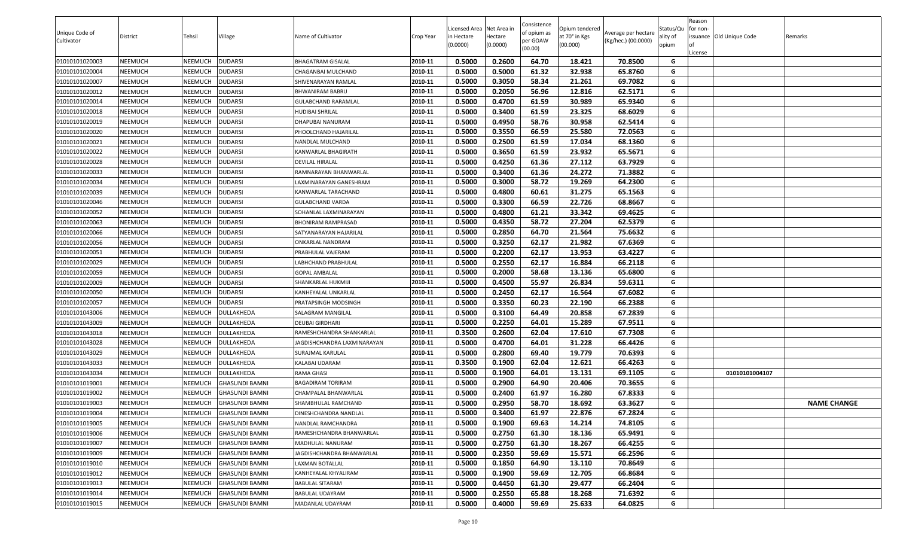|                |                |                |                       |                            |           |                           |                     | Consistence |                           |                     |                   | Reason   |                          |                    |
|----------------|----------------|----------------|-----------------------|----------------------------|-----------|---------------------------|---------------------|-------------|---------------------------|---------------------|-------------------|----------|--------------------------|--------------------|
| Unique Code of |                |                |                       |                            |           | Licensed Area Net Area in |                     | of opium as | Opium tendered            | Average per hectare | Status/Qu         | for non- |                          |                    |
| Cultivator     | District       | Tehsil         | Village               | Name of Cultivator         | Crop Year | n Hectare<br>(0.0000)     | Hectare<br>(0.0000) | per GOAW    | at 70° in Kgs<br>(00.000) | (Kg/hec.) (00.0000) | ality of<br>opium | l of     | issuance Old Unique Code | Remarks            |
|                |                |                |                       |                            |           |                           |                     | (00.00)     |                           |                     |                   | License  |                          |                    |
| 01010101020003 | <b>NEEMUCH</b> | NEEMUCH        | <b>DUDARSI</b>        | <b>BHAGATRAM GISALAL</b>   | 2010-11   | 0.5000                    | 0.2600              | 64.70       | 18.421                    | 70.8500             | G                 |          |                          |                    |
| 01010101020004 | <b>NEEMUCH</b> | NEEMUCH        | <b>DUDARSI</b>        | CHAGANBAI MULCHAND         | 2010-11   | 0.5000                    | 0.5000              | 61.32       | 32.938                    | 65.8760             | G                 |          |                          |                    |
| 01010101020007 | <b>NEEMUCH</b> | NEEMUCH        | <b>DUDARSI</b>        | SHIVENARAYAN RAMLAL        | 2010-11   | 0.5000                    | 0.3050              | 58.34       | 21.261                    | 69.7082             | G                 |          |                          |                    |
| 01010101020012 | <b>NEEMUCH</b> | NEEMUCH        | <b>DUDARSI</b>        | BHWANIRAM BABRU            | 2010-11   | 0.5000                    | 0.2050              | 56.96       | 12.816                    | 62.5171             | G                 |          |                          |                    |
| 01010101020014 | <b>NEEMUCH</b> | NEEMUCH        | <b>DUDARSI</b>        | GULABCHAND RARAMLAL        | 2010-11   | 0.5000                    | 0.4700              | 61.59       | 30.989                    | 65.9340             | G                 |          |                          |                    |
| 01010101020018 | <b>NEEMUCH</b> | NEEMUCH        | <b>DUDARSI</b>        | <b>HUDIBAI SHRILAL</b>     | 2010-11   | 0.5000                    | 0.3400              | 61.59       | 23.325                    | 68.6029             | G                 |          |                          |                    |
| 01010101020019 | <b>NEEMUCH</b> | <b>NEEMUCH</b> | <b>DUDARSI</b>        | DHAPUBAI NANURAM           | 2010-11   | 0.5000                    | 0.4950              | 58.76       | 30.958                    | 62.5414             | G                 |          |                          |                    |
| 01010101020020 | <b>NEEMUCH</b> | NEEMUCH        | <b>DUDARSI</b>        | PHOOLCHAND HAJARILAL       | 2010-11   | 0.5000                    | 0.3550              | 66.59       | 25.580                    | 72.0563             | G                 |          |                          |                    |
| 01010101020021 | <b>NEEMUCH</b> | NEEMUCH        | <b>DUDARSI</b>        | NANDLAL MULCHAND           | 2010-11   | 0.5000                    | 0.2500              | 61.59       | 17.034                    | 68.1360             | G                 |          |                          |                    |
| 01010101020022 | <b>NEEMUCH</b> | NEEMUCH        | <b>DUDARSI</b>        | KANWARLAL BHAGIRATH        | 2010-11   | 0.5000                    | 0.3650              | 61.59       | 23.932                    | 65.5671             | G                 |          |                          |                    |
| 01010101020028 | <b>NEEMUCH</b> | NEEMUCH        | <b>DUDARSI</b>        | DEVILAL HIRALAL            | 2010-11   | 0.5000                    | 0.4250              | 61.36       | 27.112                    | 63.7929             | G                 |          |                          |                    |
| 01010101020033 | <b>NEEMUCH</b> | <b>NEEMUCH</b> | <b>DUDARSI</b>        | RAMNARAYAN BHANWARLAL      | 2010-11   | 0.5000                    | 0.3400              | 61.36       | 24.272                    | 71.3882             | G                 |          |                          |                    |
| 01010101020034 | <b>NEEMUCH</b> | <b>NEEMUCH</b> | <b>DUDARSI</b>        | AXMINARAYAN GANESHRAM.     | 2010-11   | 0.5000                    | 0.3000              | 58.72       | 19.269                    | 64.2300             | G                 |          |                          |                    |
| 01010101020039 | <b>NEEMUCH</b> | <b>NEEMUCH</b> | <b>DUDARSI</b>        | KANWARLAL TARACHAND        | 2010-11   | 0.5000                    | 0.4800              | 60.61       | 31.275                    | 65.1563             | G                 |          |                          |                    |
| 01010101020046 | NEEMUCH        | <b>NEEMUCH</b> | <b>DUDARSI</b>        | <b>GULABCHAND VARDA</b>    | 2010-11   | 0.5000                    | 0.3300              | 66.59       | 22.726                    | 68.8667             | G                 |          |                          |                    |
| 01010101020052 | <b>NEEMUCH</b> | <b>NEEMUCH</b> | <b>DUDARSI</b>        | SOHANLAL LAXMINARAYAN      | 2010-11   | 0.5000                    | 0.4800              | 61.21       | 33.342                    | 69.4625             | G                 |          |                          |                    |
| 01010101020063 | <b>NEEMUCH</b> | NEEMUCH        | <b>DUDARSI</b>        | <b>BHONIRAM RAMPRASAD</b>  | 2010-11   | 0.5000                    | 0.4350              | 58.72       | 27.204                    | 62.5379             | G                 |          |                          |                    |
| 01010101020066 | <b>NEEMUCH</b> | NEEMUCH        | <b>DUDARSI</b>        | SATYANARAYAN HAJARILAL     | 2010-11   | 0.5000                    | 0.2850              | 64.70       | 21.564                    | 75.6632             | G                 |          |                          |                    |
| 01010101020056 | <b>NEEMUCH</b> | <b>NEEMUCH</b> | <b>DUDARSI</b>        | ONKARLAL NANDRAM           | 2010-11   | 0.5000                    | 0.3250              | 62.17       | 21.982                    | 67.6369             | G                 |          |                          |                    |
| 01010101020051 | <b>NEEMUCH</b> | NEEMUCH        | <b>DUDARSI</b>        | PRABHULAL VAJERAM          | 2010-11   | 0.5000                    | 0.2200              | 62.17       | 13.953                    | 63.4227             | G                 |          |                          |                    |
| 01010101020029 | <b>NEEMUCH</b> | NEEMUCH        | <b>DUDARSI</b>        | ABHCHAND PRABHULAL.        | 2010-11   | 0.5000                    | 0.2550              | 62.17       | 16.884                    | 66.2118             | G                 |          |                          |                    |
| 01010101020059 | <b>NEEMUCH</b> | <b>NEEMUCH</b> | <b>DUDARSI</b>        | <b>GOPAL AMBALAL</b>       | 2010-11   | 0.5000                    | 0.2000              | 58.68       | 13.136                    | 65.6800             | G                 |          |                          |                    |
| 01010101020009 | <b>NEEMUCH</b> | <b>NEEMUCH</b> | <b>DUDARSI</b>        | SHANKARLAL HUKMIJI         | 2010-11   | 0.5000                    | 0.4500              | 55.97       | 26.834                    | 59.6311             | G                 |          |                          |                    |
| 01010101020050 | <b>NEEMUCH</b> | <b>NEEMUCH</b> | <b>DUDARSI</b>        | KANHEYALAL UNKARLAL        | 2010-11   | 0.5000                    | 0.2450              | 62.17       | 16.564                    | 67.6082             | G                 |          |                          |                    |
| 01010101020057 | <b>NEEMUCH</b> | <b>NEEMUCH</b> | <b>DUDARSI</b>        | PRATAPSINGH MODSINGH       | 2010-11   | 0.5000                    | 0.3350              | 60.23       | 22.190                    | 66.2388             | G                 |          |                          |                    |
| 01010101043006 | <b>NEEMUCH</b> | NEEMUCH        | DULLAKHEDA            | SALAGRAM MANGILAL          | 2010-11   | 0.5000                    | 0.3100              | 64.49       | 20.858                    | 67.2839             | G                 |          |                          |                    |
| 01010101043009 | <b>NEEMUCH</b> | NEEMUCH        | DULLAKHEDA            | DEUBAI GIRDHARI            | 2010-11   | 0.5000                    | 0.2250              | 64.01       | 15.289                    | 67.9511             | G                 |          |                          |                    |
| 01010101043018 | <b>NEEMUCH</b> | <b>NEEMUCH</b> | DULLAKHEDA            | RAMESHCHANDRA SHANKARLAL   | 2010-11   | 0.3500                    | 0.2600              | 62.04       | 17.610                    | 67.7308             | G                 |          |                          |                    |
| 01010101043028 | <b>NEEMUCH</b> | NEEMUCH        | DULLAKHEDA            | AGDISHCHANDRA LAXMINARAYAN | 2010-11   | 0.5000                    | 0.4700              | 64.01       | 31.228                    | 66.4426             | G                 |          |                          |                    |
| 01010101043029 | <b>NEEMUCH</b> | <b>NEEMUCH</b> | DULLAKHEDA            | SURAJMAL KARULAL           | 2010-11   | 0.5000                    | 0.2800              | 69.40       | 19.779                    | 70.6393             | G                 |          |                          |                    |
| 01010101043033 | <b>NEEMUCH</b> | NEEMUCH        | DULLAKHEDA            | KALABAI UDARAM             | 2010-11   | 0.3500                    | 0.1900              | 62.04       | 12.621                    | 66.4263             | G                 |          |                          |                    |
| 01010101043034 | <b>NEEMUCH</b> | <b>NEEMUCH</b> | DULLAKHEDA            | RAMA GHASI                 | 2010-11   | 0.5000                    | 0.1900              | 64.01       | 13.131                    | 69.1105             | G                 |          | 01010101004107           |                    |
| 01010101019001 | <b>NEEMUCH</b> | NEEMUCH        | <b>GHASUNDI BAMNI</b> | <b>BAGADIRAM TORIRAM</b>   | 2010-11   | 0.5000                    | 0.2900              | 64.90       | 20.406                    | 70.3655             | G                 |          |                          |                    |
| 01010101019002 | <b>NEEMUCH</b> | NEEMUCH        | <b>GHASUNDI BAMNI</b> | CHAMPALAL BHANWARLAL       | 2010-11   | 0.5000                    | 0.2400              | 61.97       | 16.280                    | 67.8333             | G                 |          |                          |                    |
| 01010101019003 | <b>NEEMUCH</b> | NEEMUCH        | <b>GHASUNDI BAMNI</b> | SHAMBHULAL RAMCHAND        | 2010-11   | 0.5000                    | 0.2950              | 58.70       | 18.692                    | 63.3627             | G                 |          |                          | <b>NAME CHANGE</b> |
| 01010101019004 | <b>NEEMUCH</b> | <b>NEEMUCH</b> | <b>GHASUNDI BAMNI</b> | DINESHCHANDRA NANDLAL      | 2010-11   | 0.5000                    | 0.3400              | 61.97       | 22.876                    | 67.2824             | G                 |          |                          |                    |
| 01010101019005 | <b>NEEMUCH</b> | <b>NEEMUCH</b> | <b>GHASUNDI BAMNI</b> | NANDLAL RAMCHANDRA         | 2010-11   | 0.5000                    | 0.1900              | 69.63       | 14.214                    | 74.8105             | G                 |          |                          |                    |
| 01010101019006 | <b>NEEMUCH</b> | NEEMUCH        | <b>GHASUNDI BAMNI</b> | RAMESHCHANDRA BHANWARLAL   | 2010-11   | 0.5000                    | 0.2750              | 61.30       | 18.136                    | 65.9491             | G                 |          |                          |                    |
| 01010101019007 | <b>NEEMUCH</b> | <b>NEEMUCH</b> | <b>GHASUNDI BAMNI</b> | MADHULAL NANURAM           | 2010-11   | 0.5000                    | 0.2750              | 61.30       | 18.267                    | 66.4255             | G                 |          |                          |                    |
| 01010101019009 | <b>NEEMUCH</b> | <b>NEEMUCH</b> | <b>GHASUNDI BAMNI</b> | JAGDISHCHANDRA BHANWARLAL  | 2010-11   | 0.5000                    | 0.2350              | 59.69       | 15.571                    | 66.2596             | G                 |          |                          |                    |
| 01010101019010 | <b>NEEMUCH</b> | <b>NEEMUCH</b> | <b>GHASUNDI BAMNI</b> | LAXMAN BOTALLAL            | 2010-11   | 0.5000                    | 0.1850              | 64.90       | 13.110                    | 70.8649             | G                 |          |                          |                    |
| 01010101019012 | <b>NEEMUCH</b> | NEEMUCH        | <b>GHASUNDI BAMNI</b> | KANHEYALAL KHYALIRAM       | 2010-11   | 0.5000                    | 0.1900              | 59.69       | 12.705                    | 66.8684             | G                 |          |                          |                    |
| 01010101019013 | <b>NEEMUCH</b> | <b>NEEMUCH</b> | <b>GHASUNDI BAMNI</b> | <b>BABULAL SITARAM</b>     | 2010-11   | 0.5000                    | 0.4450              | 61.30       | 29.477                    | 66.2404             | G                 |          |                          |                    |
| 01010101019014 | <b>NEEMUCH</b> | <b>NEEMUCH</b> | <b>GHASUNDI BAMNI</b> | BABULAL UDAYRAM            | 2010-11   | 0.5000                    | 0.2550              | 65.88       | 18.268                    | 71.6392             | G                 |          |                          |                    |
| 01010101019015 | <b>NEEMUCH</b> | <b>NEEMUCH</b> | <b>GHASUNDI BAMNI</b> | MADANLAL UDAYRAM           | 2010-11   | 0.5000                    | 0.4000              | 59.69       | 25.633                    | 64.0825             | G                 |          |                          |                    |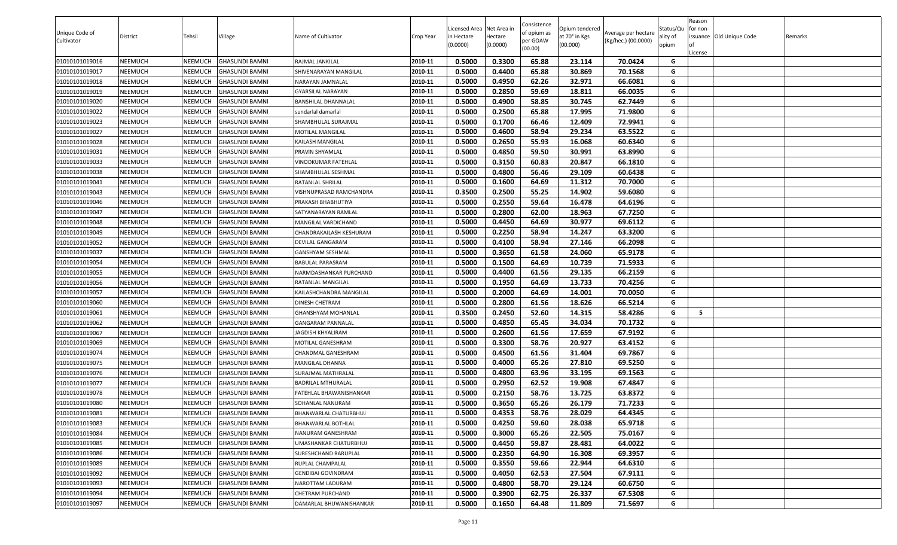| Unique Code of | District | Tehsil         | Village               | Name of Cultivator        | Crop Year | Licensed Area Net Area in<br>n Hectare | Hectare  | Consistence<br>of opium as | Opium tendered<br>at 70° in Kgs | Average per hectare | Status/Qu<br>ality of | Reason<br>for non- | issuance Old Unique Code | Remarks |
|----------------|----------|----------------|-----------------------|---------------------------|-----------|----------------------------------------|----------|----------------------------|---------------------------------|---------------------|-----------------------|--------------------|--------------------------|---------|
| Cultivator     |          |                |                       |                           |           | (0.0000)                               | (0.0000) | per GOAW<br>(00.00)        | (00.000)                        | (Kg/hec.) (00.0000) | opium                 | License            |                          |         |
| 01010101019016 | NEEMUCH  | <b>NEEMUCH</b> | <b>GHASUNDI BAMNI</b> | RAJMAL JANKILAL           | 2010-11   | 0.5000                                 | 0.3300   | 65.88                      | 23.114                          | 70.0424             | G                     |                    |                          |         |
| 01010101019017 | NEEMUCH  | NEEMUCH        | <b>GHASUNDI BAMNI</b> | SHIVENARAYAN MANGILAL     | 2010-11   | 0.5000                                 | 0.4400   | 65.88                      | 30.869                          | 70.1568             | G                     |                    |                          |         |
| 01010101019018 | NEEMUCH  | <b>NEEMUCH</b> | <b>GHASUNDI BAMNI</b> | NARAYAN JAMNALAL          | 2010-11   | 0.5000                                 | 0.4950   | 62.26                      | 32.971                          | 66.6081             | G                     |                    |                          |         |
| 01010101019019 | NEEMUCH  | <b>NEEMUCH</b> | <b>GHASUNDI BAMNI</b> | GYARSILAL NARAYAN         | 2010-11   | 0.5000                                 | 0.2850   | 59.69                      | 18.811                          | 66.0035             | G                     |                    |                          |         |
| 01010101019020 | NEEMUCH  | <b>NEEMUCH</b> | <b>GHASUNDI BAMNI</b> | BANSHILAL DHANNALAL       | 2010-11   | 0.5000                                 | 0.4900   | 58.85                      | 30.745                          | 62.7449             | G                     |                    |                          |         |
| 01010101019022 | NEEMUCH  | <b>NEEMUCH</b> | <b>GHASUNDI BAMNI</b> | sundarlal damarlal        | 2010-11   | 0.5000                                 | 0.2500   | 65.88                      | 17.995                          | 71.9800             | G                     |                    |                          |         |
| 01010101019023 | NEEMUCH  | <b>NEEMUCH</b> | <b>GHASUNDI BAMNI</b> | SHAMBHULAL SURAJMAL       | 2010-11   | 0.5000                                 | 0.1700   | 66.46                      | 12.409                          | 72.9941             | G                     |                    |                          |         |
| 01010101019027 | NEEMUCH  | <b>NEEMUCH</b> | <b>GHASUNDI BAMNI</b> | MOTILAL MANGILAL          | 2010-11   | 0.5000                                 | 0.4600   | 58.94                      | 29.234                          | 63.5522             | G                     |                    |                          |         |
| 01010101019028 | NEEMUCH  | <b>NEEMUCH</b> | <b>GHASUNDI BAMNI</b> | KAILASH MANGILAL          | 2010-11   | 0.5000                                 | 0.2650   | 55.93                      | 16.068                          | 60.6340             | G                     |                    |                          |         |
| 01010101019031 | NEEMUCH  | NEEMUCH        | <b>GHASUNDI BAMNI</b> | PRAVIN SHYAMLAL           | 2010-11   | 0.5000                                 | 0.4850   | 59.50                      | 30.991                          | 63.8990             | G                     |                    |                          |         |
| 01010101019033 | NEEMUCH  | NEEMUCH        | <b>GHASUNDI BAMNI</b> | VINODKUMAR FATEHLAL       | 2010-11   | 0.5000                                 | 0.3150   | 60.83                      | 20.847                          | 66.1810             | G                     |                    |                          |         |
| 01010101019038 | NEEMUCH  | <b>NEEMUCH</b> | <b>GHASUNDI BAMNI</b> | SHAMBHULAL SESHMAL        | 2010-11   | 0.5000                                 | 0.4800   | 56.46                      | 29.109                          | 60.6438             | G                     |                    |                          |         |
| 01010101019041 | NEEMUCH  | <b>NEEMUCH</b> | <b>GHASUNDI BAMNI</b> | RATANLAL SHRILAL          | 2010-11   | 0.5000                                 | 0.1600   | 64.69                      | 11.312                          | 70.7000             | G                     |                    |                          |         |
| 01010101019043 | NEEMUCH  | <b>NEEMUCH</b> | <b>GHASUNDI BAMNI</b> | VISHNUPRASAD RAMCHANDRA   | 2010-11   | 0.3500                                 | 0.2500   | 55.25                      | 14.902                          | 59.6080             | G                     |                    |                          |         |
| 01010101019046 | NEEMUCH  | <b>NEEMUCH</b> | <b>GHASUNDI BAMNI</b> | PRAKASH BHABHUTIYA        | 2010-11   | 0.5000                                 | 0.2550   | 59.64                      | 16.478                          | 64.6196             | G                     |                    |                          |         |
| 01010101019047 | NEEMUCH  | <b>NEEMUCH</b> | <b>GHASUNDI BAMNI</b> | SATYANARAYAN RAMLAL       | 2010-11   | 0.5000                                 | 0.2800   | 62.00                      | 18.963                          | 67.7250             | G                     |                    |                          |         |
| 01010101019048 | NEEMUCH  | <b>NEEMUCH</b> | <b>GHASUNDI BAMNI</b> | MANGILAL VARDICHAND       | 2010-11   | 0.5000                                 | 0.4450   | 64.69                      | 30.977                          | 69.6112             | G                     |                    |                          |         |
| 01010101019049 | NEEMUCH  | <b>NEEMUCH</b> | <b>GHASUNDI BAMNI</b> | CHANDRAKAILASH KESHURAM   | 2010-11   | 0.5000                                 | 0.2250   | 58.94                      | 14.247                          | 63.3200             | G                     |                    |                          |         |
| 01010101019052 | NEEMUCH  | NEEMUCH        | <b>GHASUNDI BAMNI</b> | DEVILAL GANGARAM          | 2010-11   | 0.5000                                 | 0.4100   | 58.94                      | 27.146                          | 66.2098             | G                     |                    |                          |         |
| 01010101019037 | NEEMUCH  | <b>NEEMUCH</b> | <b>GHASUNDI BAMNI</b> | GANSHYAM SESHMAL          | 2010-11   | 0.5000                                 | 0.3650   | 61.58                      | 24.060                          | 65.9178             | G                     |                    |                          |         |
| 01010101019054 | NEEMUCH  | NEEMUCH        | <b>GHASUNDI BAMNI</b> | BABULAL PARASRAM          | 2010-11   | 0.5000                                 | 0.1500   | 64.69                      | 10.739                          | 71.5933             | G                     |                    |                          |         |
| 01010101019055 | NEEMUCH  | <b>NEEMUCH</b> | <b>GHASUNDI BAMNI</b> | NARMDASHANKAR PURCHAND    | 2010-11   | 0.5000                                 | 0.4400   | 61.56                      | 29.135                          | 66.2159             | G                     |                    |                          |         |
| 01010101019056 | NEEMUCH  | <b>NEEMUCH</b> | <b>GHASUNDI BAMNI</b> | RATANLAL MANGILAL         | 2010-11   | 0.5000                                 | 0.1950   | 64.69                      | 13.733                          | 70.4256             | G                     |                    |                          |         |
| 01010101019057 | NEEMUCH  | <b>NEEMUCH</b> | <b>GHASUNDI BAMNI</b> | KAILASHCHANDRA MANGILAL   | 2010-11   | 0.5000                                 | 0.2000   | 64.69                      | 14.001                          | 70.0050             | G                     |                    |                          |         |
| 01010101019060 | NEEMUCH  | <b>NEEMUCH</b> | <b>GHASUNDI BAMNI</b> | <b>DINESH CHETRAM</b>     | 2010-11   | 0.5000                                 | 0.2800   | 61.56                      | 18.626                          | 66.5214             | G                     |                    |                          |         |
| 01010101019061 | NEEMUCH  | <b>NEEMUCH</b> | <b>GHASUNDI BAMNI</b> | GHANSHYAM MOHANLAL        | 2010-11   | 0.3500                                 | 0.2450   | 52.60                      | 14.315                          | 58.4286             | G                     | 5                  |                          |         |
| 01010101019062 | NEEMUCH  | NEEMUCH        | <b>GHASUNDI BAMNI</b> | GANGARAM PANNALAL         | 2010-11   | 0.5000                                 | 0.4850   | 65.45                      | 34.034                          | 70.1732             | G                     |                    |                          |         |
| 01010101019067 | NEEMUCH  | NEEMUCH        | <b>GHASUNDI BAMNI</b> | JAGDISH KHYALIRAM         | 2010-11   | 0.5000                                 | 0.2600   | 61.56                      | 17.659                          | 67.9192             | G                     |                    |                          |         |
| 01010101019069 | NEEMUCH  | <b>NEEMUCH</b> | <b>GHASUNDI BAMNI</b> | MOTILAL GANESHRAM         | 2010-11   | 0.5000                                 | 0.3300   | 58.76                      | 20.927                          | 63.4152             | G                     |                    |                          |         |
| 01010101019074 | NEEMUCH  | <b>NEEMUCH</b> | <b>GHASUNDI BAMNI</b> | CHANDMAL GANESHRAM        | 2010-11   | 0.5000                                 | 0.4500   | 61.56                      | 31.404                          | 69.7867             | G                     |                    |                          |         |
| 01010101019075 | NEEMUCH  | <b>NEEMUCH</b> | <b>GHASUNDI BAMNI</b> | MANGILAL DHANNA           | 2010-11   | 0.5000                                 | 0.4000   | 65.26                      | 27.810                          | 69.5250             | G                     |                    |                          |         |
| 01010101019076 | NEEMUCH  | <b>NEEMUCH</b> | <b>GHASUNDI BAMNI</b> | SURAJMAL MATHRALAL        | 2010-11   | 0.5000                                 | 0.4800   | 63.96                      | 33.195                          | 69.1563             | G                     |                    |                          |         |
| 01010101019077 | NEEMUCH  | <b>NEEMUCH</b> | <b>GHASUNDI BAMNI</b> | <b>BADRILAL MTHURALAL</b> | 2010-11   | 0.5000                                 | 0.2950   | 62.52                      | 19.908                          | 67.4847             | G                     |                    |                          |         |
| 01010101019078 | NEEMUCH  | <b>NEEMUCH</b> | <b>GHASUNDI BAMNI</b> | FATEHLAL BHAWANISHANKAR   | 2010-11   | 0.5000                                 | 0.2150   | 58.76                      | 13.725                          | 63.8372             | G                     |                    |                          |         |
| 01010101019080 | NEEMUCH  | NEEMUCH        | <b>GHASUNDI BAMNI</b> | SOHANLAL NANURAM          | 2010-11   | 0.5000                                 | 0.3650   | 65.26                      | 26.179                          | 71.7233             | G                     |                    |                          |         |
| 01010101019081 | NEEMUCH  | <b>NEEMUCH</b> | <b>GHASUNDI BAMNI</b> | BHANWARLAL CHATURBHUJ     | 2010-11   | 0.5000                                 | 0.4353   | 58.76                      | 28.029                          | 64.4345             | G                     |                    |                          |         |
| 01010101019083 | NEEMUCH  | <b>NEEMUCH</b> | <b>GHASUNDI BAMNI</b> | <b>BHANWARLAL BOTHLAL</b> | 2010-11   | 0.5000                                 | 0.4250   | 59.60                      | 28.038                          | 65.9718             | G                     |                    |                          |         |
| 01010101019084 | NEEMUCH  | NEEMUCH        | <b>GHASUNDI BAMNI</b> | NANURAM GANESHRAM         | 2010-11   | 0.5000                                 | 0.3000   | 65.26                      | 22.505                          | 75.0167             | G                     |                    |                          |         |
| 01010101019085 | NEEMUCH  | <b>NEEMUCH</b> | <b>GHASUNDI BAMNI</b> | UMASHANKAR CHATURBHUJ     | 2010-11   | 0.5000                                 | 0.4450   | 59.87                      | 28.481                          | 64.0022             | G                     |                    |                          |         |
| 01010101019086 | NEEMUCH  | <b>NEEMUCH</b> | <b>GHASUNDI BAMNI</b> | SURESHCHAND RARUPLAL      | 2010-11   | 0.5000                                 | 0.2350   | 64.90                      | 16.308                          | 69.3957             | G                     |                    |                          |         |
| 01010101019089 | NEEMUCH  | <b>NEEMUCH</b> | <b>GHASUNDI BAMNI</b> | RUPLAL CHAMPALAL          | 2010-11   | 0.5000                                 | 0.3550   | 59.66                      | 22.944                          | 64.6310             | G                     |                    |                          |         |
| 01010101019092 | NEEMUCH  | <b>NEEMUCH</b> | <b>GHASUNDI BAMNI</b> | GENDIBAI GOVINDRAM        | 2010-11   | 0.5000                                 | 0.4050   | 62.53                      | 27.504                          | 67.9111             | G                     |                    |                          |         |
| 01010101019093 | NEEMUCH  | <b>NEEMUCH</b> | <b>GHASUNDI BAMNI</b> | NAROTTAM LADURAM          | 2010-11   | 0.5000                                 | 0.4800   | 58.70                      | 29.124                          | 60.6750             | G                     |                    |                          |         |
| 01010101019094 | NEEMUCH  | <b>NEEMUCH</b> | <b>GHASUNDI BAMNI</b> | CHETRAM PURCHAND          | 2010-11   | 0.5000                                 | 0.3900   | 62.75                      | 26.337                          | 67.5308             | G                     |                    |                          |         |
| 01010101019097 | NEEMUCH  | <b>NEEMUCH</b> | <b>GHASUNDI BAMNI</b> | DAMARLAL BHUWANISHANKAR   | 2010-11   | 0.5000                                 | 0.1650   | 64.48                      | 11.809                          | 71.5697             | G                     |                    |                          |         |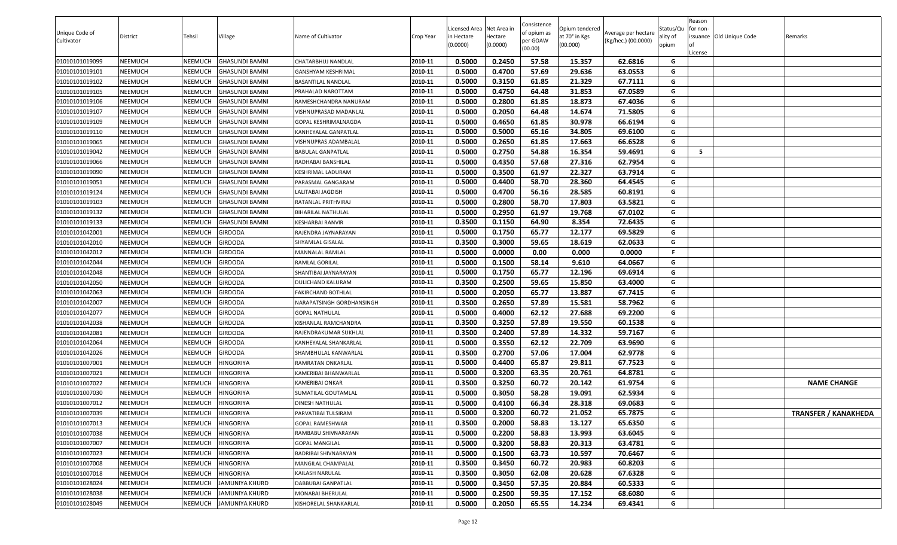|                |                |         |                       |                             |           |                           |                     | Consistence |                           |                     |                   | Reason   |                          |                             |
|----------------|----------------|---------|-----------------------|-----------------------------|-----------|---------------------------|---------------------|-------------|---------------------------|---------------------|-------------------|----------|--------------------------|-----------------------------|
| Unique Code of |                |         |                       |                             |           | Licensed Area Net Area in |                     | of opium as | Opium tendered            | Average per hectare | Status/Qu         | for non- |                          |                             |
| Cultivator     | District       | Tehsil  | <b>Village</b>        | Name of Cultivator          | Crop Year | n Hectare<br>(0.0000)     | Hectare<br>(0.0000) | per GOAW    | at 70° in Kgs<br>(00.000) | (Kg/hec.) (00.0000) | ality of<br>opium |          | issuance Old Unique Code | Remarks                     |
|                |                |         |                       |                             |           |                           |                     | (00.00)     |                           |                     |                   | License  |                          |                             |
| 01010101019099 | <b>NEEMUCH</b> | NEEMUCH | <b>GHASUNDI BAMNI</b> | CHATARBHUJ NANDLAL          | 2010-11   | 0.5000                    | 0.2450              | 57.58       | 15.357                    | 62.6816             | G                 |          |                          |                             |
| 01010101019101 | <b>NEEMUCH</b> | NEEMUCH | <b>GHASUNDI BAMNI</b> | GANSHYAM KESHRIMAL          | 2010-11   | 0.5000                    | 0.4700              | 57.69       | 29.636                    | 63.0553             | G                 |          |                          |                             |
| 01010101019102 | <b>NEEMUCH</b> | NEEMUCH | <b>GHASUNDI BAMNI</b> | BASANTILAL NANDLAL          | 2010-11   | 0.5000                    | 0.3150              | 61.85       | 21.329                    | 67.7111             | G                 |          |                          |                             |
| 01010101019105 | <b>NEEMUCH</b> | NEEMUCH | <b>GHASUNDI BAMNI</b> | PRAHALAD NAROTTAM           | 2010-11   | 0.5000                    | 0.4750              | 64.48       | 31.853                    | 67.0589             | G                 |          |                          |                             |
| 01010101019106 | <b>NEEMUCH</b> | NEEMUCH | <b>GHASUNDI BAMNI</b> | RAMESHCHANDRA NANURAM       | 2010-11   | 0.5000                    | 0.2800              | 61.85       | 18.873                    | 67.4036             | G                 |          |                          |                             |
| 01010101019107 | <b>NEEMUCH</b> | NEEMUCH | <b>GHASUNDI BAMNI</b> | VISHNUPRASAD MADANLAL       | 2010-11   | 0.5000                    | 0.2050              | 64.48       | 14.674                    | 71.5805             | G                 |          |                          |                             |
| 01010101019109 | <b>NEEMUCH</b> | NEEMUCH | <b>GHASUNDI BAMNI</b> | <b>GOPAL KESHRIMALNAGDA</b> | 2010-11   | 0.5000                    | 0.4650              | 61.85       | 30.978                    | 66.6194             | G                 |          |                          |                             |
| 01010101019110 | <b>NEEMUCH</b> | NEEMUCH | <b>GHASUNDI BAMNI</b> | KANHEYALAL GANPATLAL        | 2010-11   | 0.5000                    | 0.5000              | 65.16       | 34.805                    | 69.6100             | G                 |          |                          |                             |
| 01010101019065 | <b>NEEMUCH</b> | NEEMUCH | <b>GHASUNDI BAMNI</b> | VISHNUPRAS ADAMBALAL        | 2010-11   | 0.5000                    | 0.2650              | 61.85       | 17.663                    | 66.6528             | G                 |          |                          |                             |
| 01010101019042 | <b>NEEMUCH</b> | NEEMUCH | <b>GHASUNDI BAMNI</b> | <b>BABULAL GANPATLAL</b>    | 2010-11   | 0.5000                    | 0.2750              | 54.88       | 16.354                    | 59.4691             | G                 | - 5      |                          |                             |
| 01010101019066 | <b>NEEMUCH</b> | NEEMUCH | <b>GHASUNDI BAMNI</b> | RADHABAI BANSHILAL          | 2010-11   | 0.5000                    | 0.4350              | 57.68       | 27.316                    | 62.7954             | G                 |          |                          |                             |
| 01010101019090 | <b>NEEMUCH</b> | NEEMUCH | <b>GHASUNDI BAMNI</b> | KESHRIMAL LADURAM           | 2010-11   | 0.5000                    | 0.3500              | 61.97       | 22.327                    | 63.7914             | G                 |          |                          |                             |
| 01010101019051 | <b>NEEMUCH</b> | NEEMUCH | <b>GHASUNDI BAMNI</b> | PARASMAL GANGARAM           | 2010-11   | 0.5000                    | 0.4400              | 58.70       | 28.360                    | 64.4545             | G                 |          |                          |                             |
| 01010101019124 | <b>NEEMUCH</b> | NEEMUCH | <b>GHASUNDI BAMNI</b> | LALITABAI JAGDISH           | 2010-11   | 0.5000                    | 0.4700              | 56.16       | 28.585                    | 60.8191             | G                 |          |                          |                             |
| 01010101019103 | <b>NEEMUCH</b> | NEEMUCH | <b>GHASUNDI BAMNI</b> | RATANLAL PRITHVIRAJ         | 2010-11   | 0.5000                    | 0.2800              | 58.70       | 17.803                    | 63.5821             | G                 |          |                          |                             |
| 01010101019132 | <b>NEEMUCH</b> | NEEMUCH | <b>GHASUNDI BAMNI</b> | <b>BIHARILAL NATHULAL</b>   | 2010-11   | 0.5000                    | 0.2950              | 61.97       | 19.768                    | 67.0102             | G                 |          |                          |                             |
| 01010101019133 | <b>NEEMUCH</b> | NEEMUCH | <b>GHASUNDI BAMNI</b> | KESHARBAI RANVIR            | 2010-11   | 0.3500                    | 0.1150              | 64.90       | 8.354                     | 72.6435             | G                 |          |                          |                             |
| 01010101042001 | <b>NEEMUCH</b> | NEEMUCH | <b>GIRDODA</b>        | RAJENDRA JAYNARAYAN         | 2010-11   | 0.5000                    | 0.1750              | 65.77       | 12.177                    | 69.5829             | G                 |          |                          |                             |
| 01010101042010 | <b>NEEMUCH</b> | NEEMUCH | <b>GIRDODA</b>        | SHYAMLAL GISALAL            | 2010-11   | 0.3500                    | 0.3000              | 59.65       | 18.619                    | 62.0633             | G                 |          |                          |                             |
| 01010101042012 | <b>NEEMUCH</b> | NEEMUCH | <b>GIRDODA</b>        | MANNALAL RAMLAL             | 2010-11   | 0.5000                    | 0.0000              | 0.00        | 0.000                     | 0.0000              | F.                |          |                          |                             |
| 01010101042044 | <b>NEEMUCH</b> | NEEMUCH | <b>GIRDODA</b>        | RAMLAL GORILAL              | 2010-11   | 0.5000                    | 0.1500              | 58.14       | 9.610                     | 64.0667             | G                 |          |                          |                             |
| 01010101042048 | <b>NEEMUCH</b> | NEEMUCH | <b>GIRDODA</b>        | SHANTIBAI JAYNARAYAN        | 2010-11   | 0.5000                    | 0.1750              | 65.77       | 12.196                    | 69.6914             | G                 |          |                          |                             |
| 01010101042050 | <b>NEEMUCH</b> | NEEMUCH | <b>GIRDODA</b>        | DULICHAND KALURAM           | 2010-11   | 0.3500                    | 0.2500              | 59.65       | 15.850                    | 63.4000             | G                 |          |                          |                             |
| 01010101042063 | <b>NEEMUCH</b> | NEEMUCH | <b>GIRDODA</b>        | FAKIRCHAND BOTHLAL          | 2010-11   | 0.5000                    | 0.2050              | 65.77       | 13.887                    | 67.7415             | G                 |          |                          |                             |
| 01010101042007 | NEEMUCH        | NEEMUCH | <b>GIRDODA</b>        | NARAPATSINGH GORDHANSINGH   | 2010-11   | 0.3500                    | 0.2650              | 57.89       | 15.581                    | 58.7962             | G                 |          |                          |                             |
| 01010101042077 | <b>NEEMUCH</b> | NEEMUCH | <b>GIRDODA</b>        | <b>GOPAL NATHULAL</b>       | 2010-11   | 0.5000                    | 0.4000              | 62.12       | 27.688                    | 69.2200             | G                 |          |                          |                             |
| 01010101042038 | <b>NEEMUCH</b> | NEEMUCH | <b>GIRDODA</b>        | KISHANLAL RAMCHANDRA        | 2010-11   | 0.3500                    | 0.3250              | 57.89       | 19.550                    | 60.1538             | G                 |          |                          |                             |
| 01010101042081 | <b>NEEMUCH</b> | NEEMUCH | <b>GIRDODA</b>        | RAJENDRAKUMAR SUKHLAL       | 2010-11   | 0.3500                    | 0.2400              | 57.89       | 14.332                    | 59.7167             | G                 |          |                          |                             |
| 01010101042064 | <b>NEEMUCH</b> | NEEMUCH | <b>GIRDODA</b>        | KANHEYALAL SHANKARLAL       | 2010-11   | 0.5000                    | 0.3550              | 62.12       | 22.709                    | 63.9690             | G                 |          |                          |                             |
| 01010101042026 | <b>NEEMUCH</b> | NEEMUCH | <b>GIRDODA</b>        | SHAMBHULAL KANWARLAL        | 2010-11   | 0.3500                    | 0.2700              | 57.06       | 17.004                    | 62.9778             | G                 |          |                          |                             |
| 01010101007001 | <b>NEEMUCH</b> | NEEMUCH | <b>HINGORIYA</b>      | RAMRATAN ONKARLAL           | 2010-11   | 0.5000                    | 0.4400              | 65.87       | 29.811                    | 67.7523             | G                 |          |                          |                             |
| 01010101007021 | <b>NEEMUCH</b> | NEEMUCH | <b>HINGORIYA</b>      | KAMERIBAI BHANWARLAL        | 2010-11   | 0.5000                    | 0.3200              | 63.35       | 20.761                    | 64.8781             | G                 |          |                          |                             |
| 01010101007022 | <b>NEEMUCH</b> | NEEMUCH | <b>HINGORIYA</b>      | KAMERIBAI ONKAR             | 2010-11   | 0.3500                    | 0.3250              | 60.72       | 20.142                    | 61.9754             | G                 |          |                          | <b>NAME CHANGE</b>          |
| 01010101007030 | <b>NEEMUCH</b> | NEEMUCH | <b>HINGORIYA</b>      | SUMATILAL GOUTAMLAL         | 2010-11   | 0.5000                    | 0.3050              | 58.28       | 19.091                    | 62.5934             | G                 |          |                          |                             |
| 01010101007012 | <b>NEEMUCH</b> | NEEMUCH | <b>HINGORIYA</b>      | DINESH NATHULAL             | 2010-11   | 0.5000                    | 0.4100              | 66.34       | 28.318                    | 69.0683             | G                 |          |                          |                             |
| 01010101007039 | <b>NEEMUCH</b> | NEEMUCH | <b>HINGORIYA</b>      | PARVATIBAI TULSIRAM         | 2010-11   | 0.5000                    | 0.3200              | 60.72       | 21.052                    | 65.7875             | G                 |          |                          | <b>TRANSFER / KANAKHEDA</b> |
| 01010101007013 | <b>NEEMUCH</b> | NEEMUCH | <b>HINGORIYA</b>      | GOPAL RAMESHWAR             | 2010-11   | 0.3500                    | 0.2000              | 58.83       | 13.127                    | 65.6350             | G                 |          |                          |                             |
| 01010101007038 | <b>NEEMUCH</b> | NEEMUCH | <b>HINGORIYA</b>      | RAMBABU SHIVNARAYAN         | 2010-11   | 0.5000                    | 0.2200              | 58.83       | 13.993                    | 63.6045             | G                 |          |                          |                             |
| 01010101007007 | <b>NEEMUCH</b> | NEEMUCH | <b>HINGORIYA</b>      | <b>GOPAL MANGILAL</b>       | 2010-11   | 0.5000                    | 0.3200              | 58.83       | 20.313                    | 63.4781             | G                 |          |                          |                             |
| 01010101007023 | <b>NEEMUCH</b> | NEEMUCH | <b>HINGORIYA</b>      | BADRIBAI SHIVNARAYAN        | 2010-11   | 0.5000                    | 0.1500              | 63.73       | 10.597                    | 70.6467             | G                 |          |                          |                             |
| 01010101007008 | <b>NEEMUCH</b> | NEEMUCH | <b>HINGORIYA</b>      | MANGILAL CHAMPALAL          | 2010-11   | 0.3500                    | 0.3450              | 60.72       | 20.983                    | 60.8203             | G                 |          |                          |                             |
| 01010101007018 | <b>NEEMUCH</b> | NEEMUCH | <b>HINGORIYA</b>      | KAILASH NARULAL             | 2010-11   | 0.3500                    | 0.3050              | 62.08       | 20.628                    | 67.6328             | G                 |          |                          |                             |
| 01010101028024 | <b>NEEMUCH</b> | NEEMUCH | <b>JAMUNIYA KHURD</b> | DABBUBAI GANPATLAL          | 2010-11   | 0.5000                    | 0.3450              | 57.35       | 20.884                    | 60.5333             | G                 |          |                          |                             |
| 01010101028038 | <b>NEEMUCH</b> | NEEMUCH | <b>JAMUNIYA KHURD</b> | MONABAI BHERULAL            | 2010-11   | 0.5000                    | 0.2500              | 59.35       | 17.152                    | 68.6080             | G                 |          |                          |                             |
| 01010101028049 | <b>NEEMUCH</b> | NEEMUCH | <b>JAMUNIYA KHURD</b> | KISHORELAL SHANKARLAL       | 2010-11   | 0.5000                    | 0.2050              | 65.55       | 14.234                    | 69.4341             | G                 |          |                          |                             |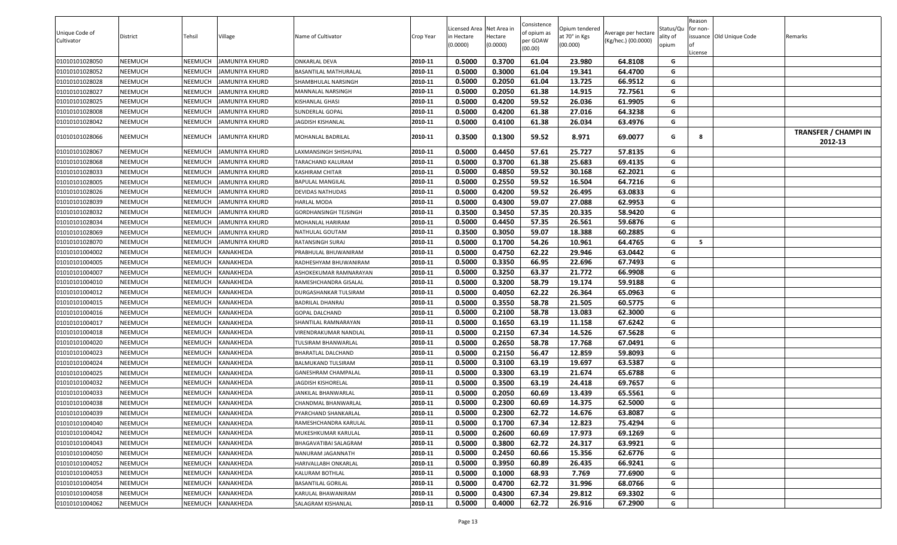| Unique Code of<br>Cultivator | District | Tehsil         | Village               | Name of Cultivator                | Crop Year | Licensed Area Net Area in<br>in Hectare<br>(0.0000) | lectare<br>(0.0000) | Consistence<br>of opium as<br>oer GOAW<br>(00.00) | Opium tendered<br>at 70° in Kgs<br>(00.000) | Average per hectare<br>(Kg/hec.) (00.0000) | Status/Qu<br>ality of<br>opium | Reason<br>for non-<br>issuance Old Unique Code<br>.icense | Remarks                                |
|------------------------------|----------|----------------|-----------------------|-----------------------------------|-----------|-----------------------------------------------------|---------------------|---------------------------------------------------|---------------------------------------------|--------------------------------------------|--------------------------------|-----------------------------------------------------------|----------------------------------------|
| 01010101028050               | NEEMUCH  | <b>NEEMUCH</b> | <b>JAMUNIYA KHURD</b> | <b>ONKARLAL DEVA</b>              | 2010-11   | 0.5000                                              | 0.3700              | 61.04                                             | 23.980                                      | 64.8108                                    | G                              |                                                           |                                        |
| 01010101028052               | NEEMUCH  | NEEMUCH        | JAMUNIYA KHURD        | BASANTILAL MATHURALAL             | 2010-11   | 0.5000                                              | 0.3000              | 61.04                                             | 19.341                                      | 64.4700                                    | G                              |                                                           |                                        |
| 01010101028028               | NEEMUCH  | NEEMUCH        | JAMUNIYA KHURD        | SHAMBHULAL NARSINGH               | 2010-11   | 0.5000                                              | 0.2050              | 61.04                                             | 13.725                                      | 66.9512                                    | G                              |                                                           |                                        |
| 01010101028027               | NEEMUCH  | NEEMUCH        | IAMUNIYA KHURD        | MANNALAL NARSINGH                 | 2010-11   | 0.5000                                              | 0.2050              | 61.38                                             | 14.915                                      | 72.7561                                    | G                              |                                                           |                                        |
| 01010101028025               | NEEMUCH  | <b>NEEMUCH</b> | JAMUNIYA KHURD        | KISHANLAL GHASI                   | 2010-11   | 0.5000                                              | 0.4200              | 59.52                                             | 26.036                                      | 61.9905                                    | G                              |                                                           |                                        |
| 01010101028008               | NEEMUCH  | <b>NEEMUCH</b> | JAMUNIYA KHURD        | SUNDERLAL GOPAL                   | 2010-11   | 0.5000                                              | 0.4200              | 61.38                                             | 27.016                                      | 64.3238                                    | G                              |                                                           |                                        |
| 01010101028042               | NEEMUCH  | <b>NEEMUCH</b> | JAMUNIYA KHURD        | JAGDISH KISHANLAL                 | 2010-11   | 0.5000                                              | 0.4100              | 61.38                                             | 26.034                                      | 63.4976                                    | G                              |                                                           |                                        |
| 01010101028066               | NEEMUCH  | NEEMUCH        | JAMUNIYA KHURD        | MOHANLAL BADRILAL                 | 2010-11   | 0.3500                                              | 0.1300              | 59.52                                             | 8.971                                       | 69.0077                                    | G                              | 8                                                         | <b>TRANSFER / CHAMPI IN</b><br>2012-13 |
| 01010101028067               | NEEMUCH  | NEEMUCH        | JAMUNIYA KHURD        | LAXMANSINGH SHISHUPAL             | 2010-11   | 0.5000                                              | 0.4450              | 57.61                                             | 25.727                                      | 57.8135                                    | G                              |                                                           |                                        |
| 01010101028068               | NEEMUCH  | <b>NEEMUCH</b> | JAMUNIYA KHURD        | TARACHAND KALURAM                 | 2010-11   | 0.5000                                              | 0.3700              | 61.38                                             | 25.683                                      | 69.4135                                    | G                              |                                                           |                                        |
| 01010101028033               | NEEMUCH  | NEEMUCH        | JAMUNIYA KHURD        | KASHIRAM CHITAR                   | 2010-11   | 0.5000                                              | 0.4850              | 59.52                                             | 30.168                                      | 62.2021                                    | G                              |                                                           |                                        |
| 01010101028005               | NEEMUCH  | <b>NEEMUCH</b> | <b>JAMUNIYA KHURD</b> | BAPULAL MANGILAL                  | 2010-11   | 0.5000                                              | 0.2550              | 59.52                                             | 16.504                                      | 64.7216                                    | G                              |                                                           |                                        |
| 01010101028026               | NEEMUCH  | NEEMUCH        | <b>JAMUNIYA KHURD</b> | DEVIDAS NATHUDAS                  | 2010-11   | 0.5000                                              | 0.4200              | 59.52                                             | 26.495                                      | 63.0833                                    | G                              |                                                           |                                        |
| 01010101028039               | NEEMUCH  | <b>NEEMUCH</b> | JAMUNIYA KHURD        | <b>HARLAL MODA</b>                | 2010-11   | 0.5000                                              | 0.4300              | 59.07                                             | 27.088                                      | 62.9953                                    | G                              |                                                           |                                        |
| 01010101028032               | NEEMUCH  | <b>NEEMUCH</b> | JAMUNIYA KHURD        | GORDHANSINGH TEJSINGH             | 2010-11   | 0.3500                                              | 0.3450              | 57.35                                             | 20.335                                      | 58.9420                                    | G                              |                                                           |                                        |
| 01010101028034               | NEEMUCH  | <b>NEEMUCH</b> | <b>JAMUNIYA KHURD</b> | MOHANLAL HARIRAM                  | 2010-11   | 0.5000                                              | 0.4450              | 57.35                                             | 26.561                                      | 59.6876                                    | G                              |                                                           |                                        |
| 01010101028069               | NEEMUCH  | <b>NEEMUCH</b> | JAMUNIYA KHURD        | NATHULAL GOUTAM                   | 2010-11   | 0.3500                                              | 0.3050              | 59.07                                             | 18.388                                      | 60.2885                                    | G                              |                                                           |                                        |
| 01010101028070               | NEEMUCH  | NEEMUCH        | JAMUNIYA KHURD        | RATANSINGH SURAJ                  | 2010-11   | 0.5000                                              | 0.1700              | 54.26                                             | 10.961                                      | 64.4765                                    | G                              | - 5                                                       |                                        |
| 01010101004002               | NEEMUCH  | <b>NEEMUCH</b> | KANAKHEDA             | PRABHULAL BHUWANIRAM              | 2010-11   | 0.5000                                              | 0.4750              | 62.22                                             | 29.946                                      | 63.0442                                    | G                              |                                                           |                                        |
| 01010101004005               | NEEMUCH  | NEEMUCH        | KANAKHEDA             | RADHESHYAM BHUWANIRAM             | 2010-11   | 0.5000                                              | 0.3350              | 66.95                                             | 22.696                                      | 67.7493                                    | G                              |                                                           |                                        |
| 01010101004007               | NEEMUCH  | <b>NEEMUCH</b> | KANAKHEDA             | ASHOKEKUMAR RAMNARAYAN            | 2010-11   | 0.5000                                              | 0.3250              | 63.37                                             | 21.772                                      | 66.9908                                    | G                              |                                                           |                                        |
| 01010101004010               | NEEMUCH  | NEEMUCH        | KANAKHEDA             | RAMESHCHANDRA GISALAL             | 2010-11   | 0.5000                                              | 0.3200              | 58.79                                             | 19.174                                      | 59.9188                                    | G                              |                                                           |                                        |
| 01010101004012               | NEEMUCH  | <b>NEEMUCH</b> | KANAKHEDA             | DURGASHANKAR TULSIRAM             | 2010-11   | 0.5000                                              | 0.4050              | 62.22                                             | 26.364                                      | 65.0963                                    | G                              |                                                           |                                        |
| 01010101004015               | NEEMUCH  | NEEMUCH        | KANAKHEDA             | BADRILAL DHANRAJ                  | 2010-11   | 0.5000                                              | 0.3550              | 58.78                                             | 21.505                                      | 60.5775                                    | G                              |                                                           |                                        |
| 01010101004016               | NEEMUCH  | <b>NEEMUCH</b> | KANAKHEDA             | GOPAL DALCHAND                    | 2010-11   | 0.5000                                              | 0.2100              | 58.78                                             | 13.083                                      | 62.3000                                    | G                              |                                                           |                                        |
| 01010101004017               | NEEMUCH  | <b>NEEMUCH</b> | KANAKHEDA             | SHANTILAL RAMNARAYAN              | 2010-11   | 0.5000                                              | 0.1650              | 63.19                                             | 11.158                                      | 67.6242                                    | G                              |                                                           |                                        |
| 01010101004018               | NEEMUCH  | NEEMUCH        | KANAKHEDA             | VIRENDRAKUMAR NANDLAL             | 2010-11   | 0.5000                                              | 0.2150              | 67.34                                             | 14.526                                      | 67.5628                                    | G                              |                                                           |                                        |
| 01010101004020               | NEEMUCH  | <b>NEEMUCH</b> | KANAKHEDA             | <b><i>FULSIRAM BHANWARLAL</i></b> | 2010-11   | 0.5000                                              | 0.2650              | 58.78                                             | 17.768                                      | 67.0491                                    | G                              |                                                           |                                        |
| 01010101004023               | NEEMUCH  | <b>NEEMUCH</b> | KANAKHEDA             | BHARATLAL DALCHAND                | 2010-11   | 0.5000                                              | 0.2150              | 56.47                                             | 12.859                                      | 59.8093                                    | G                              |                                                           |                                        |
| 01010101004024               | NEEMUCH  | NEEMUCH        | KANAKHEDA             | BALMUKAND TULSIRAM                | 2010-11   | 0.5000                                              | 0.3100              | 63.19                                             | 19.697                                      | 63.5387                                    | G                              |                                                           |                                        |
| 01010101004025               | NEEMUCH  | <b>NEEMUCH</b> | KANAKHEDA             | GANESHRAM CHAMPALAL               | 2010-11   | 0.5000                                              | 0.3300              | 63.19                                             | 21.674                                      | 65.6788                                    | G                              |                                                           |                                        |
| 01010101004032               | NEEMUCH  | NEEMUCH        | KANAKHEDA             | <b>JAGDISH KISHORELAL</b>         | 2010-11   | 0.5000                                              | 0.3500              | 63.19                                             | 24.418                                      | 69.7657                                    | G                              |                                                           |                                        |
| 01010101004033               | NEEMUCH  | <b>NEEMUCH</b> | KANAKHEDA             | JANKILAL BHANWARLAL               | 2010-11   | 0.5000                                              | 0.2050              | 60.69                                             | 13.439                                      | 65.5561                                    | G                              |                                                           |                                        |
| 01010101004038               | NEEMUCH  | NEEMUCH        | KANAKHEDA             | CHANDMAL BHANWARLAL               | 2010-11   | 0.5000                                              | 0.2300              | 60.69                                             | 14.375                                      | 62.5000                                    | G                              |                                                           |                                        |
| 01010101004039               | NEEMUCH  | NEEMUCH        | <b>KANAKHEDA</b>      | PYARCHAND SHANKARLAL              | 2010-11   | 0.5000                                              | 0.2300              | 62.72                                             | 14.676                                      | 63.8087                                    | G                              |                                                           |                                        |
| 01010101004040               | NEEMUCH  | <b>NEEMUCH</b> | KANAKHEDA             | RAMESHCHANDRA KARULAL             | 2010-11   | 0.5000                                              | 0.1700              | 67.34                                             | 12.823                                      | 75.4294                                    | G                              |                                                           |                                        |
| 01010101004042               | NEEMUCH  | <b>NEEMUCH</b> | KANAKHEDA             | MUKESHKUMAR KARULAL               | 2010-11   | 0.5000                                              | 0.2600              | 60.69                                             | 17.973                                      | 69.1269                                    | G                              |                                                           |                                        |
| 01010101004043               | NEEMUCH  | <b>NEEMUCH</b> | KANAKHEDA             | BHAGAVATIBAI SALAGRAM             | 2010-11   | 0.5000                                              | 0.3800              | 62.72                                             | 24.317                                      | 63.9921                                    | G                              |                                                           |                                        |
| 01010101004050               | NEEMUCH  | <b>NEEMUCH</b> | KANAKHEDA             | NANURAM JAGANNATH                 | 2010-11   | 0.5000                                              | 0.2450              | 60.66                                             | 15.356                                      | 62.6776                                    | G                              |                                                           |                                        |
| 01010101004052               | NEEMUCH  | <b>NEEMUCH</b> | KANAKHEDA             | HARIVALLABH ONKARLAL              | 2010-11   | 0.5000                                              | 0.3950              | 60.89                                             | 26.435                                      | 66.9241                                    | G                              |                                                           |                                        |
| 01010101004053               | NEEMUCH  | <b>NEEMUCH</b> | KANAKHEDA             | KALURAM BOTHLAL                   | 2010-11   | 0.5000                                              | 0.1000              | 68.93                                             | 7.769                                       | 77.6900                                    | G                              |                                                           |                                        |
| 01010101004054               | NEEMUCH  | <b>NEEMUCH</b> | KANAKHEDA             | <b>BASANTILAL GORILAL</b>         | 2010-11   | 0.5000                                              | 0.4700              | 62.72                                             | 31.996                                      | 68.0766                                    | G                              |                                                           |                                        |
| 01010101004058               | NEEMUCH  | <b>NEEMUCH</b> | KANAKHEDA             | KARULAL BHAWANIRAM                | 2010-11   | 0.5000                                              | 0.4300              | 67.34                                             | 29.812                                      | 69.3302                                    | G                              |                                                           |                                        |
| 01010101004062               | NEEMUCH  | <b>NEEMUCH</b> | <b>KANAKHEDA</b>      | SALAGRAM KISHANLAL                | 2010-11   | 0.5000                                              | 0.4000              | 62.72                                             | 26.916                                      | 67.2900                                    | G                              |                                                           |                                        |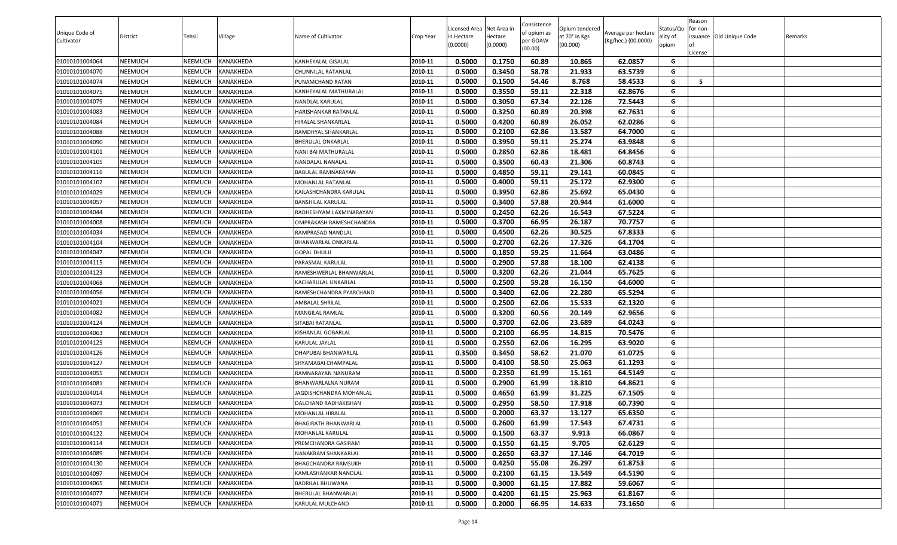|                              |                 |                |                  |                             |           | Licensed Area Net Area in |          | Consistence             | Opium tendered |                                            | Status/Qu | Reason<br>for non-       |         |
|------------------------------|-----------------|----------------|------------------|-----------------------------|-----------|---------------------------|----------|-------------------------|----------------|--------------------------------------------|-----------|--------------------------|---------|
| Unique Code of<br>Cultivator | <b>District</b> | Tehsil         | Village          | Name of Cultivator          | Crop Year | in Hectare                | lectare  | of opium as<br>oer GOAW | at 70° in Kgs  | Average per hectare<br>(Kg/hec.) (00.0000) | ality of  | issuance Old Unique Code | Remarks |
|                              |                 |                |                  |                             |           | (0.0000)                  | (0.0000) | (00.00)                 | (00.000)       |                                            | opium     | .icense                  |         |
| 01010101004064               | NEEMUCH         | <b>NEEMUCH</b> | <b>KANAKHEDA</b> | KANHEYALAL GISALAL          | 2010-11   | 0.5000                    | 0.1750   | 60.89                   | 10.865         | 62.0857                                    | G         |                          |         |
| 01010101004070               | NEEMUCH         | NEEMUCH        | KANAKHEDA        | CHUNNILAL RATANLAL          | 2010-11   | 0.5000                    | 0.3450   | 58.78                   | 21.933         | 63.5739                                    | G         |                          |         |
| 01010101004074               | NEEMUCH         | <b>NEEMUCH</b> | KANAKHEDA        | PUNAMCHAND RATAN            | 2010-11   | 0.5000                    | 0.1500   | 54.46                   | 8.768          | 58.4533                                    | G         | - 5                      |         |
| 01010101004075               | NEEMUCH         | NEEMUCH        | KANAKHEDA        | KANHEYALAL MATHURALAL       | 2010-11   | 0.5000                    | 0.3550   | 59.11                   | 22.318         | 62.8676                                    | G         |                          |         |
| 01010101004079               | NEEMUCH         | <b>NEEMUCH</b> | KANAKHEDA        | NANDLAL KARULAL             | 2010-11   | 0.5000                    | 0.3050   | 67.34                   | 22.126         | 72.5443                                    | G         |                          |         |
| 01010101004083               | NEEMUCH         | <b>NEEMUCH</b> | KANAKHEDA        | HARISHANKAR RATANLAL        | 2010-11   | 0.5000                    | 0.3250   | 60.89                   | 20.398         | 62.7631                                    | G         |                          |         |
| 01010101004084               | NEEMUCH         | <b>NEEMUCH</b> | KANAKHEDA        | HIRALAL SHANKARLAL          | 2010-11   | 0.5000                    | 0.4200   | 60.89                   | 26.052         | 62.0286                                    | G         |                          |         |
| 01010101004088               | NEEMUCH         | <b>NEEMUCH</b> | KANAKHEDA        | RAMDHYAL SHANKARLAL         | 2010-11   | 0.5000                    | 0.2100   | 62.86                   | 13.587         | 64.7000                                    | G         |                          |         |
| 01010101004090               | NEEMUCH         | <b>NEEMUCH</b> | KANAKHEDA        | BHERULAL ONKARLAL           | 2010-11   | 0.5000                    | 0.3950   | 59.11                   | 25.274         | 63.9848                                    | G         |                          |         |
| 01010101004101               | NEEMUCH         | <b>NEEMUCH</b> | KANAKHEDA        | NANI BAI MATHURALAL         | 2010-11   | 0.5000                    | 0.2850   | 62.86                   | 18.481         | 64.8456                                    | G         |                          |         |
| 01010101004105               | NEEMUCH         | <b>NEEMUCH</b> | KANAKHEDA        | NANDALAL NANALAL            | 2010-11   | 0.5000                    | 0.3500   | 60.43                   | 21.306         | 60.8743                                    | G         |                          |         |
| 01010101004116               | NEEMUCH         | <b>NEEMUCH</b> | KANAKHEDA        | BABULAL RAMNARAYAN          | 2010-11   | 0.5000                    | 0.4850   | 59.11                   | 29.141         | 60.0845                                    | G         |                          |         |
| 01010101004102               | NEEMUCH         | <b>NEEMUCH</b> | KANAKHEDA        | MOHANLAL RATANLAL           | 2010-11   | 0.5000                    | 0.4000   | 59.11                   | 25.172         | 62.9300                                    | G         |                          |         |
| 01010101004029               | NEEMUCH         | <b>NEEMUCH</b> | KANAKHEDA        | KAILASHCHANDRA KARULAL      | 2010-11   | 0.5000                    | 0.3950   | 62.86                   | 25.692         | 65.0430                                    | G         |                          |         |
| 01010101004057               | NEEMUCH         | <b>NEEMUCH</b> | KANAKHEDA        | BANSHILAL KARULAL           | 2010-11   | 0.5000                    | 0.3400   | 57.88                   | 20.944         | 61.6000                                    | G         |                          |         |
| 01010101004044               | NEEMUCH         | <b>NEEMUCH</b> | KANAKHEDA        | RADHESHYAM LAXMINARAYAN     | 2010-11   | 0.5000                    | 0.2450   | 62.26                   | 16.543         | 67.5224                                    | G         |                          |         |
| 01010101004008               | NEEMUCH         | NEEMUCH        | KANAKHEDA        | OMPRAKASH RAMESHCHANDRA     | 2010-11   | 0.5000                    | 0.3700   | 66.95                   | 26.187         | 70.7757                                    | G         |                          |         |
| 01010101004034               | NEEMUCH         | <b>NEEMUCH</b> | KANAKHEDA        | RAMPRASAD NANDLAL           | 2010-11   | 0.5000                    | 0.4500   | 62.26                   | 30.525         | 67.8333                                    | G         |                          |         |
| 01010101004104               | NEEMUCH         | NEEMUCH        | KANAKHEDA        | BHANWARLAL ONKARLAL         | 2010-11   | 0.5000                    | 0.2700   | 62.26                   | 17.326         | 64.1704                                    | G         |                          |         |
| 01010101004047               | NEEMUCH         | <b>NEEMUCH</b> | KANAKHEDA        | <b>GOPAL DHULJI</b>         | 2010-11   | 0.5000                    | 0.1850   | 59.25                   | 11.664         | 63.0486                                    | G         |                          |         |
| 01010101004115               | NEEMUCH         | NEEMUCH        | KANAKHEDA        | PARASMAL KARULAL            | 2010-11   | 0.5000                    | 0.2900   | 57.88                   | 18.100         | 62.4138                                    | G         |                          |         |
| 01010101004123               | NEEMUCH         | <b>NEEMUCH</b> | <b>KANAKHEDA</b> | RAMESHWERLAL BHANWARLAL     | 2010-11   | 0.5000                    | 0.3200   | 62.26                   | 21.044         | 65.7625                                    | G         |                          |         |
| 01010101004068               | NEEMUCH         | NEEMUCH        | KANAKHEDA        | KACHARULAL UNKARLAL         | 2010-11   | 0.5000                    | 0.2500   | 59.28                   | 16.150         | 64.6000                                    | G         |                          |         |
| 01010101004056               | NEEMUCH         | <b>NEEMUCH</b> | KANAKHEDA        | RAMESHCHANDRA PYARCHAND     | 2010-11   | 0.5000                    | 0.3400   | 62.06                   | 22.280         | 65.5294                                    | G         |                          |         |
| 01010101004021               | NEEMUCH         | <b>NEEMUCH</b> | KANAKHEDA        | AMBALAL SHRILAL             | 2010-11   | 0.5000                    | 0.2500   | 62.06                   | 15.533         | 62.1320                                    | G         |                          |         |
| 01010101004082               | NEEMUCH         | <b>NEEMUCH</b> | KANAKHEDA        | MANGILAL RAMLAL             | 2010-11   | 0.5000                    | 0.3200   | 60.56                   | 20.149         | 62.9656                                    | G         |                          |         |
| 01010101004124               | NEEMUCH         | <b>NEEMUCH</b> | KANAKHEDA        | SITABAI RATANLAL            | 2010-11   | 0.5000                    | 0.3700   | 62.06                   | 23.689         | 64.0243                                    | G         |                          |         |
| 01010101004063               | NEEMUCH         | <b>NEEMUCH</b> | KANAKHEDA        | KISHANLAL GOBARLAL          | 2010-11   | 0.5000                    | 0.2100   | 66.95                   | 14.815         | 70.5476                                    | G         |                          |         |
| 01010101004125               | NEEMUCH         | <b>NEEMUCH</b> | KANAKHEDA        | KARULAL JAYLAL              | 2010-11   | 0.5000                    | 0.2550   | 62.06                   | 16.295         | 63.9020                                    | G         |                          |         |
| 01010101004126               | NEEMUCH         | <b>NEEMUCH</b> | KANAKHEDA        | DHAPUBAI BHANWARLAL         | 2010-11   | 0.3500                    | 0.3450   | 58.62                   | 21.070         | 61.0725                                    | G         |                          |         |
| 01010101004127               | NEEMUCH         | <b>NEEMUCH</b> | KANAKHEDA        | SHYAMABAI CHAMPALAL         | 2010-11   | 0.5000                    | 0.4100   | 58.50                   | 25.063         | 61.1293                                    | G         |                          |         |
| 01010101004055               | NEEMUCH         | <b>NEEMUCH</b> | KANAKHEDA        | RAMNARAYAN NANURAM          | 2010-11   | 0.5000                    | 0.2350   | 61.99                   | 15.161         | 64.5149                                    | G         |                          |         |
| 01010101004081               | NEEMUCH         | NEEMUCH        | KANAKHEDA        | BHANWARLALNA NURAM          | 2010-11   | 0.5000                    | 0.2900   | 61.99                   | 18.810         | 64.8621                                    | G         |                          |         |
| 01010101004014               | NEEMUCH         | <b>NEEMUCH</b> | <b>KANAKHEDA</b> | IAGDISHCHANDRA MOHANLAL     | 2010-11   | 0.5000                    | 0.4650   | 61.99                   | 31.225         | 67.1505                                    | G         |                          |         |
| 01010101004073               | NEEMUCH         | NEEMUCH        | KANAKHEDA        | DALCHAND RADHAKISHAN        | 2010-11   | 0.5000                    | 0.2950   | 58.50                   | 17.918         | 60.7390                                    | G         |                          |         |
| 01010101004069               | <b>NEEMUCH</b>  | <b>NEEMUCH</b> | <b>KANAKHEDA</b> | <b>MOHANLAL HIRALAL</b>     | 2010-11   | 0.5000                    | 0.2000   | 63.37                   | 13.127         | 65.6350                                    | G         |                          |         |
| 01010101004051               | NEEMUCH         | <b>NEEMUCH</b> | KANAKHEDA        | <b>BHAGIRATH BHANWARLAL</b> | 2010-11   | 0.5000                    | 0.2600   | 61.99                   | 17.543         | 67.4731                                    | G         |                          |         |
| 01010101004122               | NEEMUCH         | <b>NEEMUCH</b> | KANAKHEDA        | MOHANLAL KARULAL            | 2010-11   | 0.5000                    | 0.1500   | 63.37                   | 9.913          | 66.0867                                    | G         |                          |         |
| 01010101004114               | NEEMUCH         | <b>NEEMUCH</b> | KANAKHEDA        | PREMCHANDRA GASIRAM         | 2010-11   | 0.5000                    | 0.1550   | 61.15                   | 9.705          | 62.6129                                    | G         |                          |         |
| 01010101004089               | NEEMUCH         | <b>NEEMUCH</b> | KANAKHEDA        | NANAKRAM SHANKARLAL         | 2010-11   | 0.5000                    | 0.2650   | 63.37                   | 17.146         | 64.7019                                    | G         |                          |         |
| 01010101004130               | NEEMUCH         | <b>NEEMUCH</b> | <b>KANAKHEDA</b> | <b>BHAGCHANDRA RAMSUKH</b>  | 2010-11   | 0.5000                    | 0.4250   | 55.08                   | 26.297         | 61.8753                                    | G         |                          |         |
| 01010101004097               | NEEMUCH         | <b>NEEMUCH</b> | KANAKHEDA        | KAMLASHANKAR NANDLAL        | 2010-11   | 0.5000                    | 0.2100   | 61.15                   | 13.549         | 64.5190                                    | G         |                          |         |
| 01010101004065               | NEEMUCH         | <b>NEEMUCH</b> | KANAKHEDA        | BADRILAL BHUWANA            | 2010-11   | 0.5000                    | 0.3000   | 61.15                   | 17.882         | 59.6067                                    | G         |                          |         |
| 01010101004077               | NEEMUCH         | <b>NEEMUCH</b> | KANAKHEDA        | BHERULAL BHANWARLAL         | 2010-11   | 0.5000                    | 0.4200   | 61.15                   | 25.963         | 61.8167                                    | G         |                          |         |
| 01010101004071               | NEEMUCH         | <b>NEEMUCH</b> | <b>KANAKHEDA</b> | KARULAL MULCHAND            | 2010-11   | 0.5000                    | 0.2000   | 66.95                   | 14.633         | 73.1650                                    | G         |                          |         |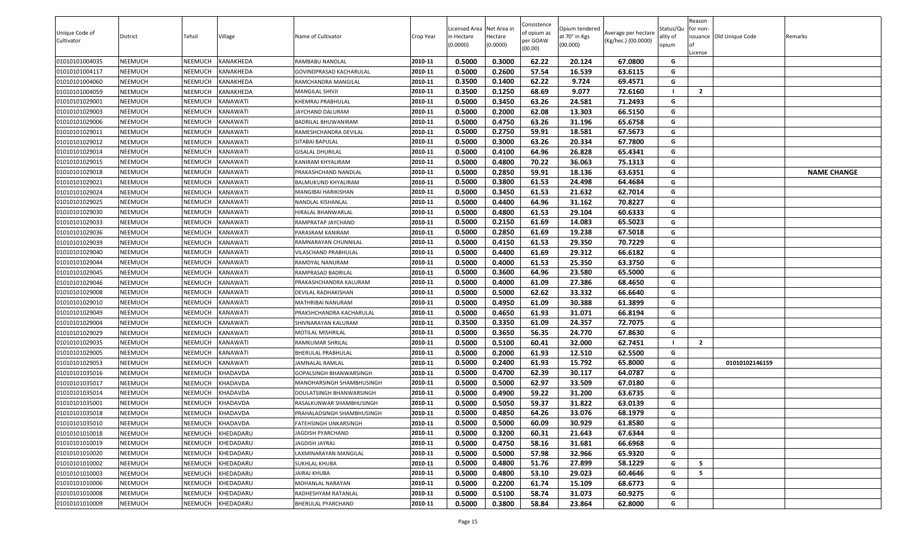|                |                 |                |                 |                            |           |                          |                     | Consistence |                           |                     |                   | Reason         |                          |                    |
|----------------|-----------------|----------------|-----------------|----------------------------|-----------|--------------------------|---------------------|-------------|---------------------------|---------------------|-------------------|----------------|--------------------------|--------------------|
| Unique Code of |                 |                |                 |                            |           | Licensed Area Net Area i |                     | of opium as | Opium tendered            | Average per hectare | Status/Qu         | for non-       |                          |                    |
| Cultivator     | <b>District</b> | Tehsil         | Village         | Name of Cultivator         | Crop Year | in Hectare<br>(0.0000)   | Hectare<br>(0.0000) | per GOAW    | at 70° in Kgs<br>(00.000) | (Kg/hec.) (00.0000) | ality of<br>opium |                | issuance Old Unique Code | Remarks            |
|                |                 |                |                 |                            |           |                          |                     | (00.00)     |                           |                     |                   | License        |                          |                    |
| 01010101004035 | NEEMUCH         | <b>NEEMUCH</b> | KANAKHEDA       | RAMBABU NANDLAL            | 2010-11   | 0.5000                   | 0.3000              | 62.22       | 20.124                    | 67.0800             | G                 |                |                          |                    |
| 01010101004117 | NEEMUCH         | NEEMUCH        | KANAKHEDA       | GOVINDPRASAD KACHARULAL    | 2010-11   | 0.5000                   | 0.2600              | 57.54       | 16.539                    | 63.6115             | G                 |                |                          |                    |
| 01010101004060 | NEEMUCH         | <b>NEEMUCH</b> | KANAKHEDA       | RAMCHANDRA MANGILAL        | 2010-11   | 0.3500                   | 0.1400              | 62.22       | 9.724                     | 69.4571             | G                 |                |                          |                    |
| 01010101004059 | NEEMUCH         | <b>NEEMUCH</b> | KANAKHEDA       | MANGILAL SHIVJI            | 2010-11   | 0.3500                   | 0.1250              | 68.69       | 9.077                     | 72.6160             |                   | $\overline{2}$ |                          |                    |
| 01010101029001 | NEEMUCH         | <b>NEEMUCH</b> | KANAWATI        | KHEMRAJ PRABHULAL          | 2010-11   | 0.5000                   | 0.3450              | 63.26       | 24.581                    | 71.2493             | G                 |                |                          |                    |
| 01010101029003 | NEEMUCH         | <b>NEEMUCH</b> | KANAWATI        | <b>JAYCHAND DALURAM</b>    | 2010-11   | 0.5000                   | 0.2000              | 62.08       | 13.303                    | 66.5150             | G                 |                |                          |                    |
| 01010101029006 | NEEMUCH         | <b>NEEMUCH</b> | KANAWATI        | BADRILAL BHUWANIRAM        | 2010-11   | 0.5000                   | 0.4750              | 63.26       | 31.196                    | 65.6758             | G                 |                |                          |                    |
| 01010101029011 | NEEMUCH         | <b>NEEMUCH</b> | KANAWATI        | RAMESHCHANDRA DEVILAL      | 2010-11   | 0.5000                   | 0.2750              | 59.91       | 18.581                    | 67.5673             | G                 |                |                          |                    |
| 01010101029012 | NEEMUCH         | <b>NEEMUCH</b> | KANAWATI        | SITABAI BAPULAL            | 2010-11   | 0.5000                   | 0.3000              | 63.26       | 20.334                    | 67.7800             | G                 |                |                          |                    |
| 01010101029014 | NEEMUCH         | NEEMUCH        | KANAWATI        | <b>GISALAL DHURILAL</b>    | 2010-11   | 0.5000                   | 0.4100              | 64.96       | 26.828                    | 65.4341             | G                 |                |                          |                    |
| 01010101029015 | NEEMUCH         | <b>NEEMUCH</b> | KANAWATI        | KANIRAM KHYALIRAM          | 2010-11   | 0.5000                   | 0.4800              | 70.22       | 36.063                    | 75.1313             | G                 |                |                          |                    |
| 01010101029018 | NEEMUCH         | <b>NEEMUCH</b> | KANAWATI        | PRAKASHCHAND NANDLAL       | 2010-11   | 0.5000                   | 0.2850              | 59.91       | 18.136                    | 63.6351             | G                 |                |                          | <b>NAME CHANGE</b> |
| 01010101029021 | NEEMUCH         | <b>NEEMUCH</b> | KANAWATI        | BALMUKUND KHYALIRAM        | 2010-11   | 0.5000                   | 0.3800              | 61.53       | 24.498                    | 64.4684             | G                 |                |                          |                    |
| 01010101029024 | NEEMUCH         | <b>NEEMUCH</b> | KANAWATI        | MANGIBAI HARIKISHAN        | 2010-11   | 0.5000                   | 0.3450              | 61.53       | 21.632                    | 62.7014             | G                 |                |                          |                    |
| 01010101029025 | NEEMUCH         | <b>NEEMUCH</b> | KANAWATI        | NANDLAL KISHANLAL          | 2010-11   | 0.5000                   | 0.4400              | 64.96       | 31.162                    | 70.8227             | G                 |                |                          |                    |
| 01010101029030 | NEEMUCH         | <b>NEEMUCH</b> | KANAWATI        | HIRALAL BHANWARLAL         | 2010-11   | 0.5000                   | 0.4800              | 61.53       | 29.104                    | 60.6333             | G                 |                |                          |                    |
| 01010101029033 | NEEMUCH         | NEEMUCH        | KANAWATI        | RAMPRATAP JAYCHAND         | 2010-11   | 0.5000                   | 0.2150              | 61.69       | 14.083                    | 65.5023             | G                 |                |                          |                    |
| 01010101029036 | NEEMUCH         | <b>NEEMUCH</b> | KANAWATI        | PARASRAM KANIRAM           | 2010-11   | 0.5000                   | 0.2850              | 61.69       | 19.238                    | 67.5018             | G                 |                |                          |                    |
| 01010101029039 | NEEMUCH         | NEEMUCH        | KANAWATI        | RAMNARAYAN CHUNNILAL       | 2010-11   | 0.5000                   | 0.4150              | 61.53       | 29.350                    | 70.7229             | G                 |                |                          |                    |
| 01010101029040 | NEEMUCH         | <b>NEEMUCH</b> | KANAWATI        | VILASCHAND PRABHULAL       | 2010-11   | 0.5000                   | 0.4400              | 61.69       | 29.312                    | 66.6182             | G                 |                |                          |                    |
| 01010101029044 | NEEMUCH         | NEEMUCH        | KANAWATI        | RAMDYAL NANURAM            | 2010-11   | 0.5000                   | 0.4000              | 61.53       | 25.350                    | 63.3750             | G                 |                |                          |                    |
| 01010101029045 | NEEMUCH         | <b>NEEMUCH</b> | KANAWATI        | RAMPRASAD BADRILAL         | 2010-11   | 0.5000                   | 0.3600              | 64.96       | 23.580                    | 65.5000             | G                 |                |                          |                    |
| 01010101029046 | NEEMUCH         | <b>NEEMUCH</b> | KANAWATI        | PRAKASHCHANDRA KALURAM     | 2010-11   | 0.5000                   | 0.4000              | 61.09       | 27.386                    | 68.4650             | G                 |                |                          |                    |
| 01010101029008 | NEEMUCH         | <b>NEEMUCH</b> | KANAWATI        | DEVILAL RADHAKISHAN        | 2010-11   | 0.5000                   | 0.5000              | 62.62       | 33.332                    | 66.6640             | G                 |                |                          |                    |
| 01010101029010 | NEEMUCH         | <b>NEEMUCH</b> | KANAWATI        | MATHRIBAI NANURAM          | 2010-11   | 0.5000                   | 0.4950              | 61.09       | 30.388                    | 61.3899             | G                 |                |                          |                    |
| 01010101029049 | NEEMUCH         | <b>NEEMUCH</b> | KANAWATI        | PRAKSHCHANDRA KACHARULAL   | 2010-11   | 0.5000                   | 0.4650              | 61.93       | 31.071                    | 66.8194             | G                 |                |                          |                    |
| 01010101029004 | NEEMUCH         | <b>NEEMUCH</b> | KANAWATI        | SHIVNARAYAN KALURAM        | 2010-11   | 0.3500                   | 0.3350              | 61.09       | 24.357                    | 72.7075             | G                 |                |                          |                    |
| 01010101029029 | NEEMUCH         | <b>NEEMUCH</b> | KANAWATI        | MOTILAL MISHRILAL          | 2010-11   | 0.5000                   | 0.3650              | 56.35       | 24.770                    | 67.8630             | G                 |                |                          |                    |
| 01010101029035 | NEEMUCH         | NEEMUCH        | KANAWATI        | RAMKUMAR SHRILAL           | 2010-11   | 0.5000                   | 0.5100              | 60.41       | 32.000                    | 62.7451             |                   | $\overline{2}$ |                          |                    |
| 01010101029005 | NEEMUCH         | <b>NEEMUCH</b> | KANAWATI        | BHERULAL PRABHULAL         | 2010-11   | 0.5000                   | 0.2000              | 61.93       | 12.510                    | 62.5500             | G                 |                |                          |                    |
| 01010101029053 | NEEMUCH         | <b>NEEMUCH</b> | KANAWATI        | JAMNALAL RAMLAL            | 2010-11   | 0.5000                   | 0.2400              | 61.93       | 15.792                    | 65.8000             | G                 |                | 01010102146159           |                    |
| 01010101035016 | NEEMUCH         | <b>NEEMUCH</b> | KHADAVDA        | GOPALSINGH BHANWARSINGH    | 2010-11   | 0.5000                   | 0.4700              | 62.39       | 30.117                    | 64.0787             | G                 |                |                          |                    |
| 01010101035017 | NEEMUCH         | <b>NEEMUCH</b> | KHADAVDA        | MANOHARSINGH SHAMBHUSINGH  | 2010-11   | 0.5000                   | 0.5000              | 62.97       | 33.509                    | 67.0180             | G                 |                |                          |                    |
| 01010101035014 | NEEMUCH         | <b>NEEMUCH</b> | KHADAVDA        | DOULATSINGH BHANWARSINGH   | 2010-11   | 0.5000                   | 0.4900              | 59.22       | 31.200                    | 63.6735             | G                 |                |                          |                    |
| 01010101035001 | NEEMUCH         | NEEMUCH        | KHADAVDA        | RASALKUNWAR SHAMBHUSINGH   | 2010-11   | 0.5000                   | 0.5050              | 59.37       | 31.822                    | 63.0139             | G                 |                |                          |                    |
| 01010101035018 | <b>NEEMUCH</b>  | <b>NEEMUCH</b> | <b>KHADAVDA</b> | PRAHALADSINGH SHAMBHUSINGH | 2010-11   | 0.5000                   | 0.4850              | 64.26       | 33.076                    | 68.1979             | G                 |                |                          |                    |
| 01010101035010 | NEEMUCH         | <b>NEEMUCH</b> | KHADAVDA        | FATEHSINGH UNKARSINGH      | 2010-11   | 0.5000                   | 0.5000              | 60.09       | 30.929                    | 61.8580             | G                 |                |                          |                    |
| 01010101010018 | NEEMUCH         | <b>NEEMUCH</b> | KHEDADARU       | <b>JAGDISH PYARCHAND</b>   | 2010-11   | 0.5000                   | 0.3200              | 60.31       | 21.643                    | 67.6344             | G                 |                |                          |                    |
| 01010101010019 | NEEMUCH         | <b>NEEMUCH</b> | KHEDADARU       | JAGDISH JAYRAJ             | 2010-11   | 0.5000                   | 0.4750              | 58.16       | 31.681                    | 66.6968             | G                 |                |                          |                    |
| 01010101010020 | NEEMUCH         | <b>NEEMUCH</b> | KHEDADARU       | LAXMINARAYAN MANGILAL      | 2010-11   | 0.5000                   | 0.5000              | 57.98       | 32.966                    | 65.9320             | G                 |                |                          |                    |
| 01010101010002 | NEEMUCH         | <b>NEEMUCH</b> | KHEDADARU       | SUKHLAL KHUBA              | 2010-11   | 0.5000                   | 0.4800              | 51.76       | 27.899                    | 58.1229             | G                 | 5              |                          |                    |
| 01010101010003 | NEEMUCH         | <b>NEEMUCH</b> | KHEDADARU       | JAIRAJ KHUBA               | 2010-11   | 0.5000                   | 0.4800              | 53.10       | 29.023                    | 60.4646             | G                 | 5              |                          |                    |
| 01010101010006 | NEEMUCH         | <b>NEEMUCH</b> | KHEDADARU       | MOHANLAL NARAYAN           | 2010-11   | 0.5000                   | 0.2200              | 61.74       | 15.109                    | 68.6773             | G                 |                |                          |                    |
| 01010101010008 | NEEMUCH         | <b>NEEMUCH</b> | KHEDADARU       | RADHESHYAM RATANLAL        | 2010-11   | 0.5000                   | 0.5100              | 58.74       | 31.073                    | 60.9275             | G                 |                |                          |                    |
| 01010101010009 | <b>NEEMUCH</b>  | <b>NEEMUCH</b> | KHEDADARU       | BHERULAL PYARCHAND         | 2010-11   | 0.5000                   | 0.3800              | 58.84       | 23.864                    | 62.8000             | G                 |                |                          |                    |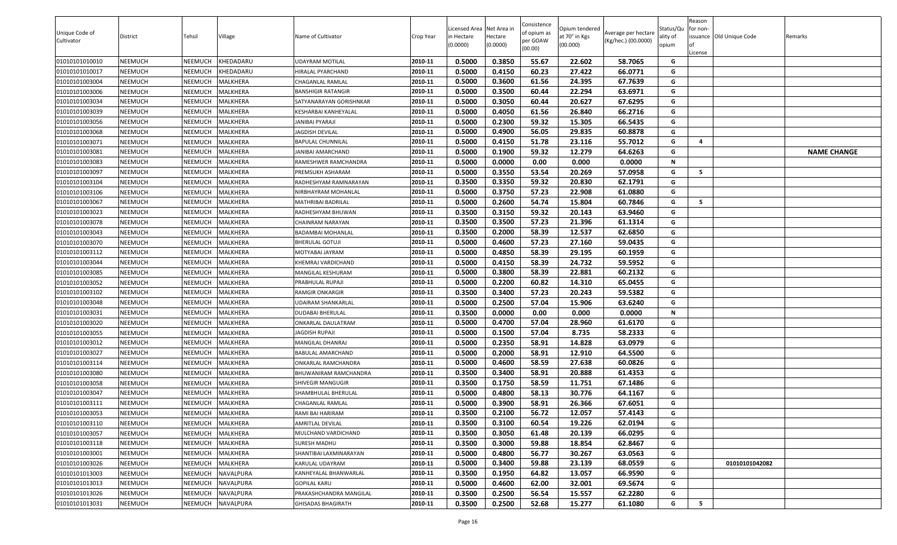|                              |          |                |                  |                           |           | Licensed Area Net Area in |          | Consistence             | Opium tendered |                                            | Status/Qu | Reason<br>for non- |                          |                    |
|------------------------------|----------|----------------|------------------|---------------------------|-----------|---------------------------|----------|-------------------------|----------------|--------------------------------------------|-----------|--------------------|--------------------------|--------------------|
| Unique Code of<br>Cultivator | District | Tehsil         | Village          | Name of Cultivator        | Crop Year | n Hectare                 | Hectare  | of opium as<br>per GOAW | at 70° in Kgs  | Average per hectare<br>(Kg/hec.) (00.0000) | ality of  |                    | issuance Old Unique Code | Remarks            |
|                              |          |                |                  |                           |           | (0.0000)                  | (0.0000) | (00.00)                 | (00.000)       |                                            | opium     | License            |                          |                    |
| 01010101010010               | NEEMUCH  | <b>NEEMUCH</b> | KHEDADARU        | JDAYRAM MOTILAL           | 2010-11   | 0.5000                    | 0.3850   | 55.67                   | 22.602         | 58.7065                                    | G         |                    |                          |                    |
| 01010101010017               | NEEMUCH  | NEEMUCH        | KHEDADARU        | <b>HIRALAL PYARCHAND</b>  | 2010-11   | 0.5000                    | 0.4150   | 60.23                   | 27.422         | 66.0771                                    | G         |                    |                          |                    |
| 01010101003004               | NEEMUCH  | <b>NEEMUCH</b> | MALKHERA         | CHAGANLAL RAMLAL          | 2010-11   | 0.5000                    | 0.3600   | 61.56                   | 24.395         | 67.7639                                    | G         |                    |                          |                    |
| 01010101003006               | NEEMUCH  | <b>NEEMUCH</b> | MALKHERA         | BANSHIGIR RATANGIR        | 2010-11   | 0.5000                    | 0.3500   | 60.44                   | 22.294         | 63.6971                                    | G         |                    |                          |                    |
| 01010101003034               | NEEMUCH  | <b>NEEMUCH</b> | <b>MALKHERA</b>  | SATYANARAYAN GORISHNKAR   | 2010-11   | 0.5000                    | 0.3050   | 60.44                   | 20.627         | 67.6295                                    | G         |                    |                          |                    |
| 01010101003039               | NEEMUCH  | <b>NEEMUCH</b> | MALKHERA         | KESHARBAI KANHEYALAL      | 2010-11   | 0.5000                    | 0.4050   | 61.56                   | 26.840         | 66.2716                                    | G         |                    |                          |                    |
| 01010101003056               | NEEMUCH  | <b>NEEMUCH</b> | <b>MALKHERA</b>  | JANIBAI PYARAJI           | 2010-11   | 0.5000                    | 0.2300   | 59.32                   | 15.305         | 66.5435                                    | G         |                    |                          |                    |
| 01010101003068               | NEEMUCH  | <b>NEEMUCH</b> | MALKHERA         | <b>JAGDISH DEVILAL</b>    | 2010-11   | 0.5000                    | 0.4900   | 56.05                   | 29.835         | 60.8878                                    | G         |                    |                          |                    |
| 01010101003071               | NEEMUCH  | <b>NEEMUCH</b> | MALKHERA         | BAPULAL CHUNNILAL         | 2010-11   | 0.5000                    | 0.4150   | 51.78                   | 23.116         | 55.7012                                    | G         | -4                 |                          |                    |
| 01010101003081               | NEEMUCH  | NEEMUCH        | MALKHERA         | JANIBAI AMARCHAND         | 2010-11   | 0.5000                    | 0.1900   | 59.32                   | 12.279         | 64.6263                                    | G         |                    |                          | <b>NAME CHANGE</b> |
| 01010101003083               | NEEMUCH  | NEEMUCH        | <b>MALKHERA</b>  | RAMESHWER RAMCHANDRA      | 2010-11   | 0.5000                    | 0.0000   | 0.00                    | 0.000          | 0.0000                                     | N         |                    |                          |                    |
| 01010101003097               | NEEMUCH  | <b>NEEMUCH</b> | MALKHERA         | PREMSUKH ASHARAM          | 2010-11   | 0.5000                    | 0.3550   | 53.54                   | 20.269         | 57.0958                                    | G         | - 5                |                          |                    |
| 01010101003104               | NEEMUCH  | <b>NEEMUCH</b> | <b>MALKHERA</b>  | RADHESHYAM RAMNARAYAN     | 2010-11   | 0.3500                    | 0.3350   | 59.32                   | 20.830         | 62.1791                                    | G         |                    |                          |                    |
| 01010101003106               | NEEMUCH  | <b>NEEMUCH</b> | <b>MALKHERA</b>  | NIRBHAYRAM MOHANLAL       | 2010-11   | 0.5000                    | 0.3750   | 57.23                   | 22.908         | 61.0880                                    | G         |                    |                          |                    |
| 01010101003067               | NEEMUCH  | <b>NEEMUCH</b> | <b>MALKHERA</b>  | MATHRIBAI BADRILAL        | 2010-11   | 0.5000                    | 0.2600   | 54.74                   | 15.804         | 60.7846                                    | G         | 5                  |                          |                    |
| 01010101003023               | NEEMUCH  | <b>NEEMUCH</b> | MALKHERA         | RADHESHYAM BHUWAN         | 2010-11   | 0.3500                    | 0.3150   | 59.32                   | 20.143         | 63.9460                                    | G         |                    |                          |                    |
| 01010101003078               | NEEMUCH  | <b>NEEMUCH</b> | MALKHERA         | CHAINRAM NARAYAN          | 2010-11   | 0.3500                    | 0.3500   | 57.23                   | 21.396         | 61.1314                                    | G         |                    |                          |                    |
| 01010101003043               | NEEMUCH  | <b>NEEMUCH</b> | MALKHERA         | BADAMBAI MOHANLAL         | 2010-11   | 0.3500                    | 0.2000   | 58.39                   | 12.537         | 62.6850                                    | G         |                    |                          |                    |
| 01010101003070               | NEEMUCH  | NEEMUCH        | <b>MALKHERA</b>  | <b>BHERULAL GOTUJI</b>    | 2010-11   | 0.5000                    | 0.4600   | 57.23                   | 27.160         | 59.0435                                    | G         |                    |                          |                    |
| 01010101003112               | NEEMUCH  | <b>NEEMUCH</b> | MALKHERA         | MOTYABAI JAYRAM           | 2010-11   | 0.5000                    | 0.4850   | 58.39                   | 29.195         | 60.1959                                    | G         |                    |                          |                    |
| 01010101003044               | NEEMUCH  | NEEMUCH        | MALKHERA         | KHEMRAJ VARDICHAND        | 2010-11   | 0.5000                    | 0.4150   | 58.39                   | 24.732         | 59.5952                                    | G         |                    |                          |                    |
| 01010101003085               | NEEMUCH  | <b>NEEMUCH</b> | <b>MALKHERA</b>  | MANGILAL KESHURAM         | 2010-11   | 0.5000                    | 0.3800   | 58.39                   | 22.881         | 60.2132                                    | G         |                    |                          |                    |
| 01010101003052               | NEEMUCH  | <b>NEEMUCH</b> | <b>MALKHERA</b>  | PRABHULAL RUPAJI          | 2010-11   | 0.5000                    | 0.2200   | 60.82                   | 14.310         | 65.0455                                    | G         |                    |                          |                    |
| 01010101003102               | NEEMUCH  | <b>NEEMUCH</b> | MALKHERA         | RAMGIR ONKARGIR           | 2010-11   | 0.3500                    | 0.3400   | 57.23                   | 20.243         | 59.5382                                    | G         |                    |                          |                    |
| 01010101003048               | NEEMUCH  | <b>NEEMUCH</b> | MALKHERA         | UDAIRAM SHANKARLAL        | 2010-11   | 0.5000                    | 0.2500   | 57.04                   | 15.906         | 63.6240                                    | G         |                    |                          |                    |
| 01010101003031               | NEEMUCH  | <b>NEEMUCH</b> | MALKHERA         | DUDABAI BHERULAL          | 2010-11   | 0.3500                    | 0.0000   | 0.00                    | 0.000          | 0.0000                                     | N         |                    |                          |                    |
| 01010101003020               | NEEMUCH  | NEEMUCH        | <b>MALKHERA</b>  | ONKARLAL DAULATRAM        | 2010-11   | 0.5000                    | 0.4700   | 57.04                   | 28.960         | 61.6170                                    | G         |                    |                          |                    |
| 01010101003055               | NEEMUCH  | NEEMUCH        | MALKHERA         | IAGDISH RUPAJI            | 2010-11   | 0.5000                    | 0.1500   | 57.04                   | 8.735          | 58.2333                                    | G         |                    |                          |                    |
| 01010101003012               | NEEMUCH  | NEEMUCH        | MALKHERA         | MANGILAL DHANRAJ          | 2010-11   | 0.5000                    | 0.2350   | 58.91                   | 14.828         | 63.0979                                    | G         |                    |                          |                    |
| 01010101003027               | NEEMUCH  | <b>NEEMUCH</b> | <b>MALKHERA</b>  | BABULAL AMARCHAND         | 2010-11   | 0.5000                    | 0.2000   | 58.91                   | 12.910         | 64.5500                                    | G         |                    |                          |                    |
| 01010101003114               | NEEMUCH  | <b>NEEMUCH</b> | <b>MALKHERA</b>  | ONKARLAL RAMCHANDRA       | 2010-11   | 0.5000                    | 0.4600   | 58.59                   | 27.638         | 60.0826                                    | G         |                    |                          |                    |
| 01010101003080               | NEEMUCH  | NEEMUCH        | <b>MALKHERA</b>  | BHUWANIRAM RAMCHANDRA     | 2010-11   | 0.3500                    | 0.3400   | 58.91                   | 20.888         | 61.4353                                    | G         |                    |                          |                    |
| 01010101003058               | NEEMUCH  | <b>NEEMUCH</b> | MALKHERA         | SHIVEGIR MANGUGIR         | 2010-11   | 0.3500                    | 0.1750   | 58.59                   | 11.751         | 67.1486                                    | G         |                    |                          |                    |
| 01010101003047               | NEEMUCH  | <b>NEEMUCH</b> | <b>MALKHERA</b>  | SHAMBHULAL BHERULAL       | 2010-11   | 0.5000                    | 0.4800   | 58.13                   | 30.776         | 64.1167                                    | G         |                    |                          |                    |
| 01010101003111               | NEEMUCH  | NEEMUCH        | <b>MALKHERA</b>  | CHAGANLAL RAMLAL          | 2010-11   | 0.5000                    | 0.3900   | 58.91                   | 26.366         | 67.6051                                    | G         |                    |                          |                    |
| 01010101003053               | NEEMUCH  | <b>NEEMUCH</b> | <b>MALKHERA</b>  | RAMI BAI HARIRAM          | 2010-11   | 0.3500                    | 0.2100   | 56.72                   | 12.057         | 57.4143                                    | G         |                    |                          |                    |
| 01010101003110               | NEEMUCH  | <b>NEEMUCH</b> | MALKHERA         | AMRITLAL DEVILAL          | 2010-11   | 0.3500                    | 0.3100   | 60.54                   | 19.226         | 62.0194                                    | G         |                    |                          |                    |
| 01010101003057               | NEEMUCH  | NEEMUCH        | MALKHERA         | MULCHAND VARDICHAND       | 2010-11   | 0.3500                    | 0.3050   | 61.48                   | 20.139         | 66.0295                                    | G         |                    |                          |                    |
| 01010101003118               | NEEMUCH  | <b>NEEMUCH</b> | MALKHERA         | SURESH MADHU              | 2010-11   | 0.3500                    | 0.3000   | 59.88                   | 18.854         | 62.8467                                    | G         |                    |                          |                    |
| 01010101003001               | NEEMUCH  | NEEMUCH        | MALKHERA         | SHANTIBAI LAXMINARAYAN    | 2010-11   | 0.5000                    | 0.4800   | 56.77                   | 30.267         | 63.0563                                    | G         |                    |                          |                    |
| 01010101003026               | NEEMUCH  | <b>NEEMUCH</b> | MALKHERA         | KARULAL UDAYRAM           | 2010-11   | 0.5000                    | 0.3400   | 59.88                   | 23.139         | 68.0559                                    | G         |                    | 01010101042082           |                    |
| 01010101013003               | NEEMUCH  | NEEMUCH        | NAVALPURA        | KANHEYALAL BHANWARLAL     | 2010-11   | 0.3500                    | 0.1950   | 64.82                   | 13.057         | 66.9590                                    | G         |                    |                          |                    |
| 01010101013013               | NEEMUCH  | <b>NEEMUCH</b> | NAVALPURA        | GOPILAL KARU              | 2010-11   | 0.5000                    | 0.4600   | 62.00                   | 32.001         | 69.5674                                    | G         |                    |                          |                    |
| 01010101013026               | NEEMUCH  | <b>NEEMUCH</b> | <b>NAVALPURA</b> | PRAKASHCHANDRA MANGILAL   | 2010-11   | 0.3500                    | 0.2500   | 56.54                   | 15.557         | 62.2280                                    | G         |                    |                          |                    |
| 01010101013031               | NEEMUCH  | <b>NEEMUCH</b> | <b>NAVALPURA</b> | <b>GHISADAS BHAGIRATH</b> | 2010-11   | 0.3500                    | 0.2500   | 52.68                   | 15.277         | 61.1080                                    | G         | 5                  |                          |                    |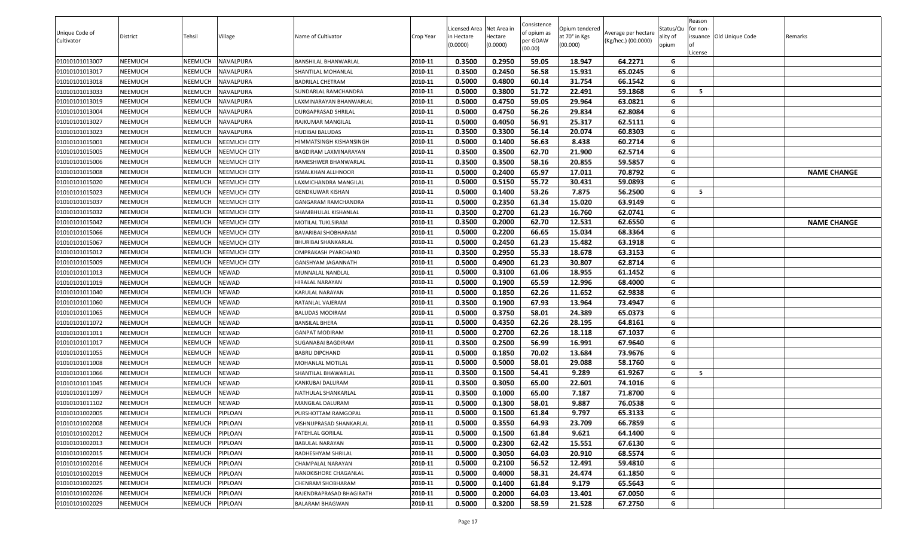|                |                |                |                     |                            |           |                          |                     | Consistence |                           |                     |                   | Reason   |                          |                    |
|----------------|----------------|----------------|---------------------|----------------------------|-----------|--------------------------|---------------------|-------------|---------------------------|---------------------|-------------------|----------|--------------------------|--------------------|
| Unique Code of |                |                |                     |                            |           | Licensed Area Net Area i |                     | of opium as | Opium tendered            | Average per hectare | Status/Qu         | for non- |                          |                    |
| Cultivator     | District       | Tehsil         | Village             | Name of Cultivator         | Crop Year | in Hectare<br>(0.0000)   | Hectare<br>(0.0000) | per GOAW    | at 70° in Kgs<br>(00.000) | (Kg/hec.) (00.0000) | ality of<br>opium |          | issuance Old Unique Code | Remarks            |
|                |                |                |                     |                            |           |                          |                     | (00.00)     |                           |                     |                   | .icense  |                          |                    |
| 01010101013007 | <b>NEEMUCH</b> | NEEMUCH        | NAVALPURA           | BANSHILAL BHANWARLAL       | 2010-11   | 0.3500                   | 0.2950              | 59.05       | 18.947                    | 64.2271             | G                 |          |                          |                    |
| 01010101013017 | <b>NEEMUCH</b> | NEEMUCH        | <b>NAVALPURA</b>    | SHANTILAL MOHANLAL         | 2010-11   | 0.3500                   | 0.2450              | 56.58       | 15.931                    | 65.0245             | G                 |          |                          |                    |
| 01010101013018 | <b>NEEMUCH</b> | NEEMUCH        | NAVALPURA           | BADRILAL CHETRAM           | 2010-11   | 0.5000                   | 0.4800              | 60.14       | 31.754                    | 66.1542             | G                 |          |                          |                    |
| 01010101013033 | <b>NEEMUCH</b> | NEEMUCH        | NAVALPURA           | SUNDARLAL RAMCHANDRA       | 2010-11   | 0.5000                   | 0.3800              | 51.72       | 22.491                    | 59.1868             | G                 | - 5      |                          |                    |
| 01010101013019 | <b>NEEMUCH</b> | NEEMUCH        | <b>NAVALPURA</b>    | LAXMINARAYAN BHANWARLAL    | 2010-11   | 0.5000                   | 0.4750              | 59.05       | 29.964                    | 63.0821             | G                 |          |                          |                    |
| 01010101013004 | <b>NEEMUCH</b> | NEEMUCH        | NAVALPURA           | DURGAPRASAD SHRILAL        | 2010-11   | 0.5000                   | 0.4750              | 56.26       | 29.834                    | 62.8084             | G                 |          |                          |                    |
| 01010101013027 | <b>NEEMUCH</b> | NEEMUCH        | <b>NAVALPURA</b>    | RAJKUMAR MANGILAL          | 2010-11   | 0.5000                   | 0.4050              | 56.91       | 25.317                    | 62.5111             | G                 |          |                          |                    |
| 01010101013023 | <b>NEEMUCH</b> | NEEMUCH        | <b>NAVALPURA</b>    | HUDIBAI BALUDAS            | 2010-11   | 0.3500                   | 0.3300              | 56.14       | 20.074                    | 60.8303             | G                 |          |                          |                    |
| 01010101015001 | <b>NEEMUCH</b> | NEEMUCH        | <b>NEEMUCH CITY</b> | HIMMATSINGH KISHANSINGH    | 2010-11   | 0.5000                   | 0.1400              | 56.63       | 8.438                     | 60.2714             | G                 |          |                          |                    |
| 01010101015005 | <b>NEEMUCH</b> | NEEMUCH        | <b>NEEMUCH CITY</b> | BAGDIRAM LAXMINARAYAN      | 2010-11   | 0.3500                   | 0.3500              | 62.70       | 21.900                    | 62.5714             | G                 |          |                          |                    |
| 01010101015006 | <b>NEEMUCH</b> | NEEMUCH        | <b>NEEMUCH CITY</b> | RAMESHWER BHANWARLAL       | 2010-11   | 0.3500                   | 0.3500              | 58.16       | 20.855                    | 59.5857             | G                 |          |                          |                    |
| 01010101015008 | <b>NEEMUCH</b> | NEEMUCH        | NEEMUCH CITY        | SMALKHAN ALLHNOOR          | 2010-11   | 0.5000                   | 0.2400              | 65.97       | 17.011                    | 70.8792             | G                 |          |                          | <b>NAME CHANGE</b> |
| 01010101015020 | <b>NEEMUCH</b> | NEEMUCH        | <b>NEEMUCH CITY</b> | LAXMICHANDRA MANGILAL      | 2010-11   | 0.5000                   | 0.5150              | 55.72       | 30.431                    | 59.0893             | G                 |          |                          |                    |
| 01010101015023 | <b>NEEMUCH</b> | NEEMUCH        | <b>NEEMUCH CITY</b> | <b>GENDKUWAR KISHAN</b>    | 2010-11   | 0.5000                   | 0.1400              | 53.26       | 7.875                     | 56.2500             | G                 | - 5      |                          |                    |
| 01010101015037 | <b>NEEMUCH</b> | NEEMUCH        | <b>NEEMUCH CITY</b> | <b>GANGARAM RAMCHANDRA</b> | 2010-11   | 0.5000                   | 0.2350              | 61.34       | 15.020                    | 63.9149             | G                 |          |                          |                    |
| 01010101015032 | <b>NEEMUCH</b> | NEEMUCH        | <b>NEEMUCH CITY</b> | SHAMBHULAL KISHANLAL       | 2010-11   | 0.3500                   | 0.2700              | 61.23       | 16.760                    | 62.0741             | G                 |          |                          |                    |
| 01010101015042 | <b>NEEMUCH</b> | NEEMUCH        | <b>NEEMUCH CITY</b> | MOTILAL TUKLSIRAM          | 2010-11   | 0.3500                   | 0.2000              | 62.70       | 12.531                    | 62.6550             | G                 |          |                          | <b>NAME CHANGE</b> |
| 01010101015066 | <b>NEEMUCH</b> | NEEMUCH        | <b>NEEMUCH CITY</b> | BAVARIBAI SHOBHARAM        | 2010-11   | 0.5000                   | 0.2200              | 66.65       | 15.034                    | 68.3364             | G                 |          |                          |                    |
| 01010101015067 | <b>NEEMUCH</b> | NEEMUCH        | <b>NEEMUCH CITY</b> | BHURIBAI SHANKARLAL        | 2010-11   | 0.5000                   | 0.2450              | 61.23       | 15.482                    | 63.1918             | G                 |          |                          |                    |
| 01010101015012 | <b>NEEMUCH</b> | NEEMUCH        | <b>NEEMUCH CITY</b> | OMPRAKASH PYARCHAND        | 2010-11   | 0.3500                   | 0.2950              | 55.33       | 18.678                    | 63.3153             | G                 |          |                          |                    |
| 01010101015009 | <b>NEEMUCH</b> | NEEMUCH        | <b>NEEMUCH CITY</b> | GANSHYAM JAGANNATH         | 2010-11   | 0.5000                   | 0.4900              | 61.23       | 30.807                    | 62.8714             | G                 |          |                          |                    |
| 01010101011013 | <b>NEEMUCH</b> | NEEMUCH        | <b>NEWAD</b>        | MUNNALAL NANDLAL           | 2010-11   | 0.5000                   | 0.3100              | 61.06       | 18.955                    | 61.1452             | G                 |          |                          |                    |
| 01010101011019 | <b>NEEMUCH</b> | NEEMUCH        | <b>NEWAD</b>        | HIRALAL NARAYAN            | 2010-11   | 0.5000                   | 0.1900              | 65.59       | 12.996                    | 68.4000             | G                 |          |                          |                    |
| 01010101011040 | <b>NEEMUCH</b> | NEEMUCH        | <b>NEWAD</b>        | KARULAL NARAYAN            | 2010-11   | 0.5000                   | 0.1850              | 62.26       | 11.652                    | 62.9838             | G                 |          |                          |                    |
| 01010101011060 | NEEMUCH        | NEEMUCH        | <b>NEWAD</b>        | RATANLAL VAJERAM           | 2010-11   | 0.3500                   | 0.1900              | 67.93       | 13.964                    | 73.4947             | G                 |          |                          |                    |
| 01010101011065 | <b>NEEMUCH</b> | NEEMUCH        | <b>NEWAD</b>        | BALUDAS MODIRAM            | 2010-11   | 0.5000                   | 0.3750              | 58.01       | 24.389                    | 65.0373             | G                 |          |                          |                    |
| 01010101011072 | <b>NEEMUCH</b> | NEEMUCH        | <b>NEWAD</b>        | <b>BANSILAL BHERA</b>      | 2010-11   | 0.5000                   | 0.4350              | 62.26       | 28.195                    | 64.8161             | G                 |          |                          |                    |
| 01010101011011 | <b>NEEMUCH</b> | NEEMUCH        | <b>NEWAD</b>        | <b>GANPAT MODIRAM</b>      | 2010-11   | 0.5000                   | 0.2700              | 62.26       | 18.118                    | 67.1037             | G                 |          |                          |                    |
| 01010101011017 | <b>NEEMUCH</b> | NEEMUCH        | NEWAD               | SUGANABAI BAGDIRAM         | 2010-11   | 0.3500                   | 0.2500              | 56.99       | 16.991                    | 67.9640             | G                 |          |                          |                    |
| 01010101011055 | <b>NEEMUCH</b> | NEEMUCH        | <b>NEWAD</b>        | <b>BABRU DIPCHAND</b>      | 2010-11   | 0.5000                   | 0.1850              | 70.02       | 13.684                    | 73.9676             | G                 |          |                          |                    |
| 01010101011008 | <b>NEEMUCH</b> | NEEMUCH        | <b>NEWAD</b>        | MOHANLAL MOTILAL           | 2010-11   | 0.5000                   | 0.5000              | 58.01       | 29.088                    | 58.1760             | G                 |          |                          |                    |
| 01010101011066 | <b>NEEMUCH</b> | NEEMUCH        | <b>NEWAD</b>        | SHANTILAL BHAWARLAL        | 2010-11   | 0.3500                   | 0.1500              | 54.41       | 9.289                     | 61.9267             | G                 | -5       |                          |                    |
| 01010101011045 | <b>NEEMUCH</b> | NEEMUCH        | NEWAD               | KANKUBAI DALURAM           | 2010-11   | 0.3500                   | 0.3050              | 65.00       | 22.601                    | 74.1016             | G                 |          |                          |                    |
| 01010101011097 | <b>NEEMUCH</b> | NEEMUCH        | <b>NEWAD</b>        | NATHULAL SHANKARLAL        | 2010-11   | 0.3500                   | 0.1000              | 65.00       | 7.187                     | 71.8700             | G                 |          |                          |                    |
| 01010101011102 | <b>NEEMUCH</b> | NEEMUCH        | <b>NEWAD</b>        | MANGILAL DALURAM           | 2010-11   | 0.5000                   | 0.1300              | 58.01       | 9.887                     | 76.0538             | G                 |          |                          |                    |
| 01010101002005 | <b>NEEMUCH</b> | <b>NEEMUCH</b> | PIPLOAN             | PURSHOTTAM RAMGOPAL        | 2010-11   | 0.5000                   | 0.1500              | 61.84       | 9.797                     | 65.3133             | G                 |          |                          |                    |
| 01010101002008 | <b>NEEMUCH</b> | NEEMUCH        | PIPLOAN             | VISHNUPRASAD SHANKARLAL    | 2010-11   | 0.5000                   | 0.3550              | 64.93       | 23.709                    | 66.7859             | G                 |          |                          |                    |
| 01010101002012 | <b>NEEMUCH</b> | NEEMUCH        | PIPLOAN             | FATEHLAL GORILAL           | 2010-11   | 0.5000                   | 0.1500              | 61.84       | 9.621                     | 64.1400             | G                 |          |                          |                    |
| 01010101002013 | <b>NEEMUCH</b> | NEEMUCH        | PIPLOAN             | <b>BABULAL NARAYAN</b>     | 2010-11   | 0.5000                   | 0.2300              | 62.42       | 15.551                    | 67.6130             | G                 |          |                          |                    |
| 01010101002015 | <b>NEEMUCH</b> | NEEMUCH        | PIPLOAN             | RADHESHYAM SHRILAL         | 2010-11   | 0.5000                   | 0.3050              | 64.03       | 20.910                    | 68.5574             | G                 |          |                          |                    |
| 01010101002016 | <b>NEEMUCH</b> | NEEMUCH        | PIPLOAN             | CHAMPALAL NARAYAN          | 2010-11   | 0.5000                   | 0.2100              | 56.52       | 12.491                    | 59.4810             | G                 |          |                          |                    |
| 01010101002019 | <b>NEEMUCH</b> | NEEMUCH        | PIPLOAN             | NANDKISHORE CHAGANLAL      | 2010-11   | 0.5000                   | 0.4000              | 58.31       | 24.474                    | 61.1850             | G                 |          |                          |                    |
| 01010101002025 | <b>NEEMUCH</b> | NEEMUCH        | PIPLOAN             | CHENRAM SHOBHARAM          | 2010-11   | 0.5000                   | 0.1400              | 61.84       | 9.179                     | 65.5643             | G                 |          |                          |                    |
| 01010101002026 | <b>NEEMUCH</b> | NEEMUCH        | PIPLOAN             | RAJENDRAPRASAD BHAGIRATH   | 2010-11   | 0.5000                   | 0.2000              | 64.03       | 13.401                    | 67.0050             | G                 |          |                          |                    |
| 01010101002029 | <b>NEEMUCH</b> | NEEMUCH        | PIPLOAN             | <b>BALARAM BHAGWAN</b>     | 2010-11   | 0.5000                   | 0.3200              | 58.59       | 21.528                    | 67.2750             | G                 |          |                          |                    |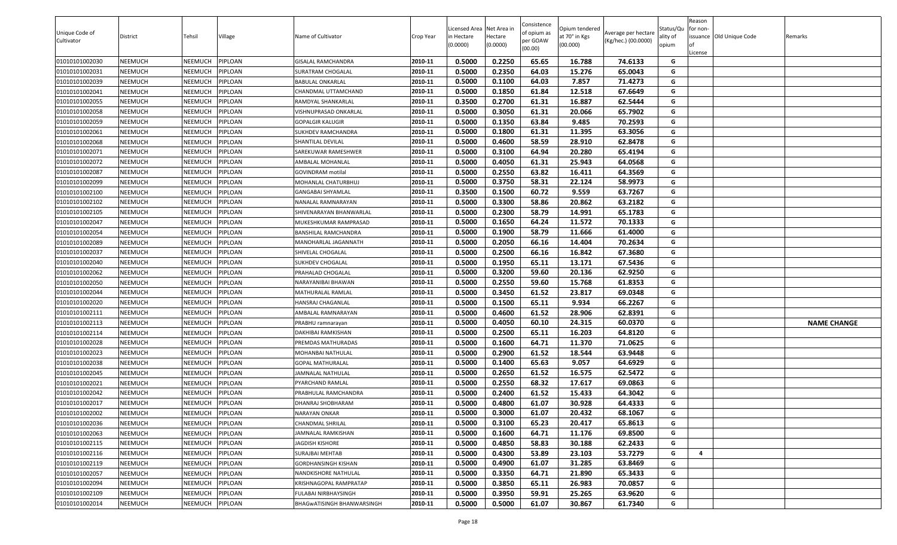|                |                |                |         |                            |           |                                        |          | Consistence |                                 |                     |                       | Reason                  |                          |                    |
|----------------|----------------|----------------|---------|----------------------------|-----------|----------------------------------------|----------|-------------|---------------------------------|---------------------|-----------------------|-------------------------|--------------------------|--------------------|
| Unique Code of | District       | Tehsil         | Village | Name of Cultivator         | Crop Year | Licensed Area Net Area in<br>n Hectare | Hectare  | of opium as | Opium tendered<br>at 70° in Kgs | Average per hectare | Status/Qu<br>ality of | for non-                | issuance Old Unique Code | Remarks            |
| Cultivator     |                |                |         |                            |           | (0.0000)                               | (0.0000) | per GOAW    | (00.000)                        | (Kg/hec.) (00.0000) | opium                 | lof                     |                          |                    |
|                |                |                |         |                            |           |                                        |          | (00.00)     |                                 |                     |                       | License                 |                          |                    |
| 01010101002030 | <b>NEEMUCH</b> | <b>NEEMUCH</b> | PIPLOAN | GISALAL RAMCHANDRA         | 2010-11   | 0.5000                                 | 0.2250   | 65.65       | 16.788                          | 74.6133             | G                     |                         |                          |                    |
| 01010101002031 | <b>NEEMUCH</b> | <b>NEEMUCH</b> | PIPLOAN | SURATRAM CHOGALAL          | 2010-11   | 0.5000                                 | 0.2350   | 64.03       | 15.276                          | 65.0043             | G                     |                         |                          |                    |
| 01010101002039 | <b>NEEMUCH</b> | <b>NEEMUCH</b> | PIPLOAN | BABULAL ONKARLAL           | 2010-11   | 0.5000                                 | 0.1100   | 64.03       | 7.857                           | 71.4273             | G                     |                         |                          |                    |
| 01010101002041 | <b>NEEMUCH</b> | NEEMUCH        | PIPLOAN | CHANDMAL UTTAMCHAND        | 2010-11   | 0.5000                                 | 0.1850   | 61.84       | 12.518                          | 67.6649             | G                     |                         |                          |                    |
| 01010101002055 | <b>NEEMUCH</b> | <b>NEEMUCH</b> | PIPLOAN | RAMDYAL SHANKARLAL         | 2010-11   | 0.3500                                 | 0.2700   | 61.31       | 16.887                          | 62.5444             | G                     |                         |                          |                    |
| 01010101002058 | <b>NEEMUCH</b> | NEEMUCH        | PIPLOAN | VISHNUPRASAD ONKARLAL      | 2010-11   | 0.5000                                 | 0.3050   | 61.31       | 20.066                          | 65.7902             | G                     |                         |                          |                    |
| 01010101002059 | <b>NEEMUCH</b> | <b>NEEMUCH</b> | PIPLOAN | GOPALGIR KALUGIR           | 2010-11   | 0.5000                                 | 0.1350   | 63.84       | 9.485                           | 70.2593             | G                     |                         |                          |                    |
| 01010101002061 | <b>NEEMUCH</b> | NEEMUCH        | PIPLOAN | SUKHDEV RAMCHANDRA         | 2010-11   | 0.5000                                 | 0.1800   | 61.31       | 11.395                          | 63.3056             | G                     |                         |                          |                    |
| 01010101002068 | <b>NEEMUCH</b> | NEEMUCH        | PIPLOAN | SHANTILAL DEVILAL          | 2010-11   | 0.5000                                 | 0.4600   | 58.59       | 28.910                          | 62.8478             | G                     |                         |                          |                    |
| 01010101002071 | <b>NEEMUCH</b> | NEEMUCH        | PIPLOAN | SAREKUWAR RAMESHWER        | 2010-11   | 0.5000                                 | 0.3100   | 64.94       | 20.280                          | 65.4194             | G                     |                         |                          |                    |
| 01010101002072 | <b>NEEMUCH</b> | <b>NEEMUCH</b> | PIPLOAN | AMBALAL MOHANLAL           | 2010-11   | 0.5000                                 | 0.4050   | 61.31       | 25.943                          | 64.0568             | G                     |                         |                          |                    |
| 01010101002087 | <b>NEEMUCH</b> | NEEMUCH        | PIPLOAN | GOVINDRAM motilal          | 2010-11   | 0.5000                                 | 0.2550   | 63.82       | 16.411                          | 64.3569             | G                     |                         |                          |                    |
| 01010101002099 | <b>NEEMUCH</b> | <b>NEEMUCH</b> | PIPLOAN | MOHANLAL CHATURBHUJ        | 2010-11   | 0.5000                                 | 0.3750   | 58.31       | 22.124                          | 58.9973             | G                     |                         |                          |                    |
| 01010101002100 | <b>NEEMUCH</b> | <b>NEEMUCH</b> | PIPLOAN | GANGABAI SHYAMLAL          | 2010-11   | 0.3500                                 | 0.1500   | 60.72       | 9.559                           | 63.7267             | G                     |                         |                          |                    |
| 01010101002102 | <b>NEEMUCH</b> | <b>NEEMUCH</b> | PIPLOAN | NANALAL RAMNARAYAN         | 2010-11   | 0.5000                                 | 0.3300   | 58.86       | 20.862                          | 63.2182             | G                     |                         |                          |                    |
| 01010101002105 | <b>NEEMUCH</b> | <b>NEEMUCH</b> | PIPLOAN | SHIVENARAYAN BHANWARLAL    | 2010-11   | 0.5000                                 | 0.2300   | 58.79       | 14.991                          | 65.1783             | G                     |                         |                          |                    |
| 01010101002047 | <b>NEEMUCH</b> | NEEMUCH        | PIPLOAN | MUKESHKUMAR RAMPRASAD      | 2010-11   | 0.5000                                 | 0.1650   | 64.24       | 11.572                          | 70.1333             | G                     |                         |                          |                    |
| 01010101002054 | <b>NEEMUCH</b> | <b>NEEMUCH</b> | PIPLOAN | BANSHILAL RAMCHANDRA       | 2010-11   | 0.5000                                 | 0.1900   | 58.79       | 11.666                          | 61.4000             | G                     |                         |                          |                    |
| 01010101002089 | <b>NEEMUCH</b> | <b>NEEMUCH</b> | PIPLOAN | MANOHARLAL JAGANNATH       | 2010-11   | 0.5000                                 | 0.2050   | 66.16       | 14.404                          | 70.2634             | G                     |                         |                          |                    |
| 01010101002037 | <b>NEEMUCH</b> | NEEMUCH        | PIPLOAN | SHIVELAL CHOGALAL          | 2010-11   | 0.5000                                 | 0.2500   | 66.16       | 16.842                          | 67.3680             | G                     |                         |                          |                    |
| 01010101002040 | <b>NEEMUCH</b> | NEEMUCH        | PIPLOAN | SUKHDEV CHOGALAL           | 2010-11   | 0.5000                                 | 0.1950   | 65.11       | 13.171                          | 67.5436             | G                     |                         |                          |                    |
| 01010101002062 | <b>NEEMUCH</b> | <b>NEEMUCH</b> | PIPLOAN | PRAHALAD CHOGALAL          | 2010-11   | 0.5000                                 | 0.3200   | 59.60       | 20.136                          | 62.9250             | G                     |                         |                          |                    |
| 01010101002050 | <b>NEEMUCH</b> | <b>NEEMUCH</b> | PIPLOAN | NARAYANIBAI BHAWAN         | 2010-11   | 0.5000                                 | 0.2550   | 59.60       | 15.768                          | 61.8353             | G                     |                         |                          |                    |
| 01010101002044 | <b>NEEMUCH</b> | <b>NEEMUCH</b> | PIPLOAN | MATHURALAL RAMLAL          | 2010-11   | 0.5000                                 | 0.3450   | 61.52       | 23.817                          | 69.0348             | G                     |                         |                          |                    |
| 01010101002020 | <b>NEEMUCH</b> | <b>NEEMUCH</b> | PIPLOAN | HANSRAJ CHAGANLAL          | 2010-11   | 0.5000                                 | 0.1500   | 65.11       | 9.934                           | 66.2267             | G                     |                         |                          |                    |
| 01010101002111 | <b>NEEMUCH</b> | NEEMUCH        | PIPLOAN | AMBALAL RAMNARAYAN         | 2010-11   | 0.5000                                 | 0.4600   | 61.52       | 28.906                          | 62.8391             | G                     |                         |                          |                    |
| 01010101002113 | <b>NEEMUCH</b> | NEEMUCH        | PIPLOAN | PRABHU ramnarayan          | 2010-11   | 0.5000                                 | 0.4050   | 60.10       | 24.315                          | 60.0370             | G                     |                         |                          | <b>NAME CHANGE</b> |
| 01010101002114 | <b>NEEMUCH</b> | <b>NEEMUCH</b> | PIPLOAN | DAKHIBAI RAMKISHAN         | 2010-11   | 0.5000                                 | 0.2500   | 65.11       | 16.203                          | 64.8120             | G                     |                         |                          |                    |
| 01010101002028 | <b>NEEMUCH</b> | NEEMUCH        | PIPLOAN | PREMDAS MATHURADAS         | 2010-11   | 0.5000                                 | 0.1600   | 64.71       | 11.370                          | 71.0625             | G                     |                         |                          |                    |
| 01010101002023 | <b>NEEMUCH</b> | <b>NEEMUCH</b> | PIPLOAN | MOHANBAI NATHULAL          | 2010-11   | 0.5000                                 | 0.2900   | 61.52       | 18.544                          | 63.9448             | G                     |                         |                          |                    |
| 01010101002038 | <b>NEEMUCH</b> | NEEMUCH        | PIPLOAN | GOPAL MATHURALAL           | 2010-11   | 0.5000                                 | 0.1400   | 65.63       | 9.057                           | 64.6929             | G                     |                         |                          |                    |
| 01010101002045 | <b>NEEMUCH</b> | <b>NEEMUCH</b> | PIPLOAN | JAMNALAL NATHULAL          | 2010-11   | 0.5000                                 | 0.2650   | 61.52       | 16.575                          | 62.5472             | G                     |                         |                          |                    |
| 01010101002021 | <b>NEEMUCH</b> | <b>NEEMUCH</b> | PIPLOAN | PYARCHAND RAMLAL           | 2010-11   | 0.5000                                 | 0.2550   | 68.32       | 17.617                          | 69.0863             | G                     |                         |                          |                    |
| 01010101002042 | <b>NEEMUCH</b> | <b>NEEMUCH</b> | PIPLOAN | PRABHULAL RAMCHANDRA       | 2010-11   | 0.5000                                 | 0.2400   | 61.52       | 15.433                          | 64.3042             | G                     |                         |                          |                    |
| 01010101002017 | <b>NEEMUCH</b> | NEEMUCH        | PIPLOAN | DHANRAJ SHOBHARAM          | 2010-11   | 0.5000                                 | 0.4800   | 61.07       | 30.928                          | 64.4333             | G                     |                         |                          |                    |
| 01010101002002 | <b>NEEMUCH</b> | <b>NEEMUCH</b> | PIPLOAN | NARAYAN ONKAR              | 2010-11   | 0.5000                                 | 0.3000   | 61.07       | 20.432                          | 68.1067             | G                     |                         |                          |                    |
| 01010101002036 | <b>NEEMUCH</b> | <b>NEEMUCH</b> | PIPLOAN | CHANDMAL SHRILAL           | 2010-11   | 0.5000                                 | 0.3100   | 65.23       | 20.417                          | 65.8613             | G                     |                         |                          |                    |
| 01010101002063 | <b>NEEMUCH</b> | NEEMUCH        | PIPLOAN | AMNALAL RAMKISHAN          | 2010-11   | 0.5000                                 | 0.1600   | 64.71       | 11.176                          | 69.8500             | G                     |                         |                          |                    |
| 01010101002115 | <b>NEEMUCH</b> | <b>NEEMUCH</b> | PIPLOAN | JAGDISH KISHORE            | 2010-11   | 0.5000                                 | 0.4850   | 58.83       | 30.188                          | 62.2433             | G                     |                         |                          |                    |
| 01010101002116 | <b>NEEMUCH</b> | <b>NEEMUCH</b> | PIPLOAN | SURAJBAI MEHTAB            | 2010-11   | 0.5000                                 | 0.4300   | 53.89       | 23.103                          | 53.7279             | G                     | $\overline{\mathbf{4}}$ |                          |                    |
| 01010101002119 | <b>NEEMUCH</b> | <b>NEEMUCH</b> | PIPLOAN | GORDHANSINGH KISHAN        | 2010-11   | 0.5000                                 | 0.4900   | 61.07       | 31.285                          | 63.8469             | G                     |                         |                          |                    |
| 01010101002057 | <b>NEEMUCH</b> | NEEMUCH        | PIPLOAN | NANDKISHORE NATHULAL       | 2010-11   | 0.5000                                 | 0.3350   | 64.71       | 21.890                          | 65.3433             | G                     |                         |                          |                    |
| 01010101002094 | <b>NEEMUCH</b> | <b>NEEMUCH</b> | PIPLOAN | KRISHNAGOPAL RAMPRATAP     | 2010-11   | 0.5000                                 | 0.3850   | 65.11       | 26.983                          | 70.0857             | G                     |                         |                          |                    |
| 01010101002109 | <b>NEEMUCH</b> | <b>NEEMUCH</b> | PIPLOAN | FULABAI NIRBHAYSINGH       | 2010-11   | 0.5000                                 | 0.3950   | 59.91       | 25.265                          | 63.9620             | G                     |                         |                          |                    |
| 01010101002014 | <b>NEEMUCH</b> | <b>NEEMUCH</b> | PIPLOAN | BHAGWATISINGH BHANWARSINGH | 2010-11   | 0.5000                                 | 0.5000   | 61.07       | 30.867                          | 61.7340             | G                     |                         |                          |                    |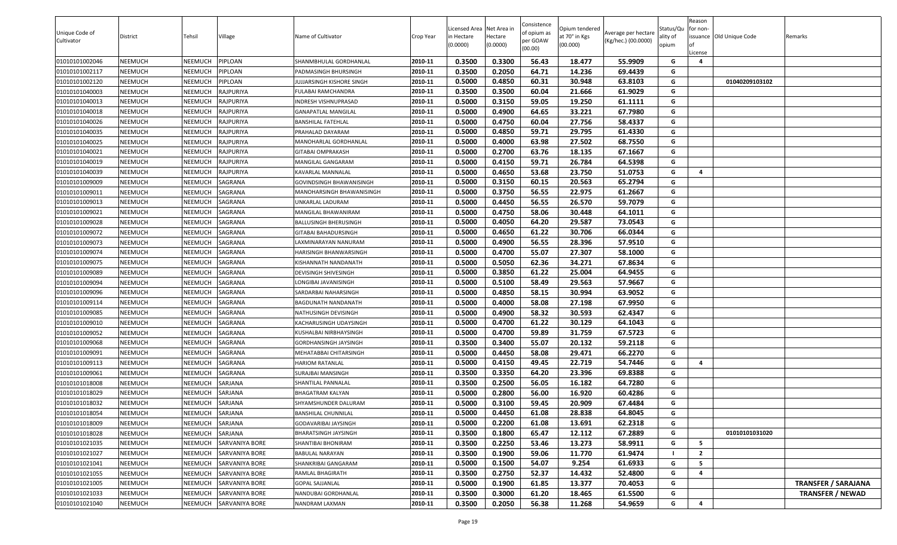| Unique Code of |                |         |                       |                            |           | Licensed Area Net Area in |                     | Consistence<br>of opium as | Opium tendered            | Average per hectare | Status/Qu         | Reason<br>for non-      |                          |                            |
|----------------|----------------|---------|-----------------------|----------------------------|-----------|---------------------------|---------------------|----------------------------|---------------------------|---------------------|-------------------|-------------------------|--------------------------|----------------------------|
| Cultivator     | District       | Tehsil  | <b>Village</b>        | Name of Cultivator         | Crop Year | n Hectare<br>(0.0000)     | Hectare<br>(0.0000) | per GOAW<br>(00.00)        | at 70° in Kgs<br>(00.000) | (Kg/hec.) (00.0000) | ality of<br>opium | of<br>License           | issuance Old Unique Code | Remarks                    |
| 01010101002046 | <b>NEEMUCH</b> | NEEMUCH | PIPLOAN               | SHANMBHULAL GORDHANLAL     | 2010-11   | 0.3500                    | 0.3300              | 56.43                      | 18.477                    | 55.9909             | G                 | $\overline{\mathbf{4}}$ |                          |                            |
| 01010101002117 | NEEMUCH        | NEEMUCH | PIPLOAN               | PADMASINGH BHURSINGH       | 2010-11   | 0.3500                    | 0.2050              | 64.71                      | 14.236                    | 69.4439             | G                 |                         |                          |                            |
| 01010101002120 | <b>NEEMUCH</b> | NEEMUCH | PIPLOAN               | JUJJARSINGH KISHORE SINGH  | 2010-11   | 0.5000                    | 0.4850              | 60.31                      | 30.948                    | 63.8103             | G                 |                         | 01040209103102           |                            |
| 01010101040003 | <b>NEEMUCH</b> | NEEMUCH | RAJPURIYA             | FULABAI RAMCHANDRA         | 2010-11   | 0.3500                    | 0.3500              | 60.04                      | 21.666                    | 61.9029             | G                 |                         |                          |                            |
| 01010101040013 | <b>NEEMUCH</b> | NEEMUCH | RAJPURIYA             | INDRESH VISHNUPRASAD       | 2010-11   | 0.5000                    | 0.3150              | 59.05                      | 19.250                    | 61.1111             | G                 |                         |                          |                            |
| 01010101040018 | <b>NEEMUCH</b> | NEEMUCH | RAJPURIYA             | <b>GANAPATLAL MANGILAL</b> | 2010-11   | 0.5000                    | 0.4900              | 64.65                      | 33.221                    | 67.7980             | G                 |                         |                          |                            |
| 01010101040026 | <b>NEEMUCH</b> | NEEMUCH | <b>RAJPURIYA</b>      | BANSHILAL FATEHLAL         | 2010-11   | 0.5000                    | 0.4750              | 60.04                      | 27.756                    | 58.4337             | G                 |                         |                          |                            |
| 01010101040035 | <b>NEEMUCH</b> | NEEMUCH | RAJPURIYA             | PRAHALAD DAYARAM           | 2010-11   | 0.5000                    | 0.4850              | 59.71                      | 29.795                    | 61.4330             | G                 |                         |                          |                            |
| 01010101040025 | <b>NEEMUCH</b> | NEEMUCH | RAJPURIYA             | MANOHARLAL GORDHANLAL      | 2010-11   | 0.5000                    | 0.4000              | 63.98                      | 27.502                    | 68.7550             | G                 |                         |                          |                            |
| 01010101040021 | <b>NEEMUCH</b> | NEEMUCH | RAJPURIYA             | GITABAI OMPRAKASH          | 2010-11   | 0.5000                    | 0.2700              | 63.76                      | 18.135                    | 67.1667             | G                 |                         |                          |                            |
| 01010101040019 | <b>NEEMUCH</b> | NEEMUCH | RAJPURIYA             | MANGILAL GANGARAM          | 2010-11   | 0.5000                    | 0.4150              | 59.71                      | 26.784                    | 64.5398             | G                 |                         |                          |                            |
| 01010101040039 | <b>NEEMUCH</b> | NEEMUCH | RAJPURIYA             | KAVARLAL MANNALAL          | 2010-11   | 0.5000                    | 0.4650              | 53.68                      | 23.750                    | 51.0753             | G                 | 4                       |                          |                            |
| 01010101009009 | <b>NEEMUCH</b> | NEEMUCH | SAGRANA               | GOVINDSINGH BHAWANISINGH   | 2010-11   | 0.5000                    | 0.3150              | 60.15                      | 20.563                    | 65.2794             | G                 |                         |                          |                            |
| 01010101009011 | <b>NEEMUCH</b> | NEEMUCH | SAGRANA               | MANOHARSINGH BHAWANISINGH  | 2010-11   | 0.5000                    | 0.3750              | 56.55                      | 22.975                    | 61.2667             | G                 |                         |                          |                            |
| 01010101009013 | <b>NEEMUCH</b> | NEEMUCH | SAGRANA               | UNKARLAL LADURAM           | 2010-11   | 0.5000                    | 0.4450              | 56.55                      | 26.570                    | 59.7079             | G                 |                         |                          |                            |
| 01010101009021 | <b>NEEMUCH</b> | NEEMUCH | SAGRANA               | MANGILAL BHAWANIRAM        | 2010-11   | 0.5000                    | 0.4750              | 58.06                      | 30.448                    | 64.1011             | G                 |                         |                          |                            |
| 01010101009028 | <b>NEEMUCH</b> | NEEMUCH | SAGRANA               | BALLUSINGH BHERUSINGH      | 2010-11   | 0.5000                    | 0.4050              | 64.20                      | 29.587                    | 73.0543             | G                 |                         |                          |                            |
| 01010101009072 | <b>NEEMUCH</b> | NEEMUCH | SAGRANA               | GITABAI BAHADURSINGH       | 2010-11   | 0.5000                    | 0.4650              | 61.22                      | 30.706                    | 66.0344             | G                 |                         |                          |                            |
| 01010101009073 | <b>NEEMUCH</b> | NEEMUCH | SAGRANA               | LAXMINARAYAN NANURAM       | 2010-11   | 0.5000                    | 0.4900              | 56.55                      | 28.396                    | 57.9510             | G                 |                         |                          |                            |
| 01010101009074 | <b>NEEMUCH</b> | NEEMUCH | SAGRANA               | HARISINGH BHANWARSINGH     | 2010-11   | 0.5000                    | 0.4700              | 55.07                      | 27.307                    | 58.1000             | G                 |                         |                          |                            |
| 01010101009075 | NEEMUCH        | NEEMUCH | SAGRANA               | KISHANNATH NANDANATH       | 2010-11   | 0.5000                    | 0.5050              | 62.36                      | 34.271                    | 67.8634             | G                 |                         |                          |                            |
| 01010101009089 | <b>NEEMUCH</b> | NEEMUCH | SAGRANA               | DEVISINGH SHIVESINGH       | 2010-11   | 0.5000                    | 0.3850              | 61.22                      | 25.004                    | 64.9455             | G                 |                         |                          |                            |
| 01010101009094 | <b>NEEMUCH</b> | NEEMUCH | SAGRANA               | LONGIBAI JAVANISINGH       | 2010-11   | 0.5000                    | 0.5100              | 58.49                      | 29.563                    | 57.9667             | G                 |                         |                          |                            |
| 01010101009096 | <b>NEEMUCH</b> | NEEMUCH | SAGRANA               | SARDARBAI NAHARSINGH       | 2010-11   | 0.5000                    | 0.4850              | 58.15                      | 30.994                    | 63.9052             | G                 |                         |                          |                            |
| 01010101009114 | NEEMUCH        | NEEMUCH | SAGRANA               | BAGDUNATH NANDANATH        | 2010-11   | 0.5000                    | 0.4000              | 58.08                      | 27.198                    | 67.9950             | G                 |                         |                          |                            |
| 01010101009085 | <b>NEEMUCH</b> | NEEMUCH | SAGRANA               | NATHUSINGH DEVISINGH       | 2010-11   | 0.5000                    | 0.4900              | 58.32                      | 30.593                    | 62.4347             | G                 |                         |                          |                            |
| 01010101009010 | <b>NEEMUCH</b> | NEEMUCH | SAGRANA               | KACHARUSINGH UDAYSINGH     | 2010-11   | 0.5000                    | 0.4700              | 61.22                      | 30.129                    | 64.1043             | G                 |                         |                          |                            |
| 01010101009052 | <b>NEEMUCH</b> | NEEMUCH | SAGRANA               | KUSHALBAI NIRBHAYSINGH     | 2010-11   | 0.5000                    | 0.4700              | 59.89                      | 31.759                    | 67.5723             | G                 |                         |                          |                            |
| 01010101009068 | <b>NEEMUCH</b> | NEEMUCH | SAGRANA               | GORDHANSINGH JAYSINGH      | 2010-11   | 0.3500                    | 0.3400              | 55.07                      | 20.132                    | 59.2118             | G                 |                         |                          |                            |
| 01010101009091 | <b>NEEMUCH</b> | NEEMUCH | SAGRANA               | MEHATABBAI CHITARSINGH     | 2010-11   | 0.5000                    | 0.4450              | 58.08                      | 29.471                    | 66.2270             | G                 |                         |                          |                            |
| 01010101009113 | <b>NEEMUCH</b> | NEEMUCH | SAGRANA               | <b>HARIOM RATANLAL</b>     | 2010-11   | 0.5000                    | 0.4150              | 49.45                      | 22.719                    | 54.7446             | G                 | $\overline{\mathbf{A}}$ |                          |                            |
| 01010101009061 | <b>NEEMUCH</b> | NEEMUCH | SAGRANA               | SURAJBAI MANSINGH          | 2010-11   | 0.3500                    | 0.3350              | 64.20                      | 23.396                    | 69.8388             | G                 |                         |                          |                            |
| 01010101018008 | <b>NEEMUCH</b> | NEEMUCH | SARJANA               | SHANTILAL PANNALAL         | 2010-11   | 0.3500                    | 0.2500              | 56.05                      | 16.182                    | 64.7280             | G                 |                         |                          |                            |
| 01010101018029 | <b>NEEMUCH</b> | NEEMUCH | SARJANA               | BHAGATRAM KALYAN           | 2010-11   | 0.5000                    | 0.2800              | 56.00                      | 16.920                    | 60.4286             | G                 |                         |                          |                            |
| 01010101018032 | <b>NEEMUCH</b> | NEEMUCH | SARJANA               | SHYAMSHUNDER DALURAM       | 2010-11   | 0.5000                    | 0.3100              | 59.45                      | 20.909                    | 67.4484             | G                 |                         |                          |                            |
| 01010101018054 | <b>NEEMUCH</b> | NEEMUCH | SARJANA               | <b>BANSHILAL CHUNNILAL</b> | 2010-11   | 0.5000                    | 0.4450              | 61.08                      | 28.838                    | 64.8045             | G                 |                         |                          |                            |
| 01010101018009 | <b>NEEMUCH</b> | NEEMUCH | SARJANA               | GODAVARIBAI JAYSINGH       | 2010-11   | 0.5000                    | 0.2200              | 61.08                      | 13.691                    | 62.2318             | G                 |                         |                          |                            |
| 01010101018028 | NEEMUCH        | NEEMUCH | SARJANA               | BHARATSINGH JAYSINGH       | 2010-11   | 0.3500                    | 0.1800              | 65.47                      | 12.112                    | 67.2889             | G                 |                         | 01010101031020           |                            |
| 01010101021035 | <b>NEEMUCH</b> | NEEMUCH | SARVANIYA BORE        | SHANTIBAI BHONIRAM         | 2010-11   | 0.3500                    | 0.2250              | 53.46                      | 13.273                    | 58.9911             | G                 | 5                       |                          |                            |
| 01010101021027 | <b>NEEMUCH</b> | NEEMUCH | SARVANIYA BORE        | <b>BABULAL NARAYAN</b>     | 2010-11   | 0.3500                    | 0.1900              | 59.06                      | 11.770                    | 61.9474             |                   | $\overline{2}$          |                          |                            |
| 01010101021041 | <b>NEEMUCH</b> | NEEMUCH | <b>SARVANIYA BORE</b> | SHANKRIBAI GANGARAM        | 2010-11   | 0.5000                    | 0.1500              | 54.07                      | 9.254                     | 61.6933             | G                 | 5                       |                          |                            |
| 01010101021055 | <b>NEEMUCH</b> | NEEMUCH | SARVANIYA BORE        | RAMLAL BHAGIRATH           | 2010-11   | 0.3500                    | 0.2750              | 52.37                      | 14.432                    | 52.4800             | G                 | $\overline{a}$          |                          |                            |
| 01010101021005 | <b>NEEMUCH</b> | NEEMUCH | <b>SARVANIYA BORE</b> | <b>GOPAL SAJJANLAL</b>     | 2010-11   | 0.5000                    | 0.1900              | 61.85                      | 13.377                    | 70.4053             | G                 |                         |                          | <b>TRANSFER / SARAJANA</b> |
| 01010101021033 | <b>NEEMUCH</b> | NEEMUCH | SARVANIYA BORE        | <b>NANDUBAI GORDHANLAL</b> | 2010-11   | 0.3500                    | 0.3000              | 61.20                      | 18.465                    | 61.5500             | G                 |                         |                          | <b>TRANSFER / NEWAD</b>    |
| 01010101021040 | <b>NEEMUCH</b> | NEEMUCH | SARVANIYA BORE        | NANDRAM LAXMAN             | 2010-11   | 0.3500                    | 0.2050              | 56.38                      | 11.268                    | 54.9659             | G                 | 4                       |                          |                            |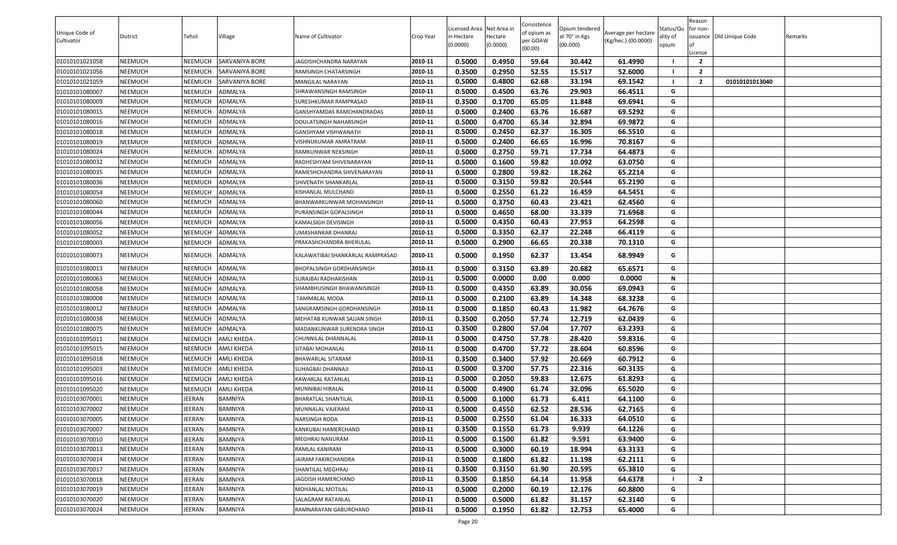| Unique Code of<br>Cultivator | <b>District</b> | Tehsil         | Village               | Name of Cultivator               | Crop Year | Licensed Area Net Area in<br>in Hectare | lectare  | Consistence<br>of opium as<br>oer GOAW | Opium tendered<br>at 70° in Kgs | Average per hectare<br>(Kg/hec.) (00.0000) | Status/Qu<br>ality of | Reason<br>for non- | issuance Old Unique Code | Remarks |
|------------------------------|-----------------|----------------|-----------------------|----------------------------------|-----------|-----------------------------------------|----------|----------------------------------------|---------------------------------|--------------------------------------------|-----------------------|--------------------|--------------------------|---------|
|                              |                 |                |                       |                                  |           | (0.0000)                                | (0.0000) | (00.00)                                | (00.000)                        |                                            | opium                 | .icense            |                          |         |
| 01010101021058               | NEEMUCH         | <b>NEEMUCH</b> | <b>SARVANIYA BORE</b> | IAGDISHCHANDRA NARAYAN           | 2010-11   | 0.5000                                  | 0.4950   | 59.64                                  | 30.442                          | 61.4990                                    |                       | $\overline{2}$     |                          |         |
| 01010101021056               | NEEMUCH         | <b>NEEMUCH</b> | <b>SARVANIYA BORE</b> | RAMSINGH CHATARSINGH             | 2010-11   | 0.3500                                  | 0.2950   | 52.55                                  | 15.517                          | 52.6000                                    |                       | $\overline{2}$     |                          |         |
| 01010101021059               | NEEMUCH         | <b>NEEMUCH</b> | <b>SARVANIYA BORE</b> | MANGILAL NARAYAN                 | 2010-11   | 0.5000                                  | 0.4800   | 62.68                                  | 33.194                          | 69.1542                                    |                       | $\overline{2}$     | 01010101013040           |         |
| 01010101080007               | NEEMUCH         | NEEMUCH        | ADMALYA               | SHRAWANSINGH RAMSINGH            | 2010-11   | 0.5000                                  | 0.4500   | 63.76                                  | 29.903                          | 66.4511                                    | G                     |                    |                          |         |
| 01010101080009               | NEEMUCH         | <b>NEEMUCH</b> | ADMALYA               | SURESHKUMAR RAMPRASAD            | 2010-11   | 0.3500                                  | 0.1700   | 65.05                                  | 11.848                          | 69.6941                                    | G                     |                    |                          |         |
| 01010101080015               | NEEMUCH         | <b>NEEMUCH</b> | ADMALYA               | GANSHYAMDAS RAMCHANDRADAS        | 2010-11   | 0.5000                                  | 0.2400   | 63.76                                  | 16.687                          | 69.5292                                    | G                     |                    |                          |         |
| 01010101080016               | NEEMUCH         | <b>NEEMUCH</b> | ADMALYA               | DOULATSINGH NAHARSINGH           | 2010-11   | 0.5000                                  | 0.4700   | 65.34                                  | 32.894                          | 69.9872                                    | G                     |                    |                          |         |
| 01010101080018               | NEEMUCH         | <b>NEEMUCH</b> | ADMALYA               | GANSHYAM VISHWANATH              | 2010-11   | 0.5000                                  | 0.2450   | 62.37                                  | 16.305                          | 66.5510                                    | G                     |                    |                          |         |
| 01010101080019               | NEEMUCH         | <b>NEEMUCH</b> | ADMALYA               | VISHNUKUMAR AMRATRAM             | 2010-11   | 0.5000                                  | 0.2400   | 66.65                                  | 16.996                          | 70.8167                                    | G                     |                    |                          |         |
| 01010101080024               | NEEMUCH         | NEEMUCH        | ADMALYA               | RAMKUNWAR NEKSINGH               | 2010-11   | 0.5000                                  | 0.2750   | 59.71                                  | 17.734                          | 64.4873                                    | G                     |                    |                          |         |
| 01010101080032               | NEEMUCH         | <b>NEEMUCH</b> | ADMALYA               | RADHESHYAM SHIVENARAYAN          | 2010-11   | 0.5000                                  | 0.1600   | 59.82                                  | 10.092                          | 63.0750                                    | G                     |                    |                          |         |
| 01010101080035               | NEEMUCH         | <b>NEEMUCH</b> | ADMALYA               | RAMESHCHANDRA SHIVENARAYAN       | 2010-11   | 0.5000                                  | 0.2800   | 59.82                                  | 18.262                          | 65.2214                                    | G                     |                    |                          |         |
| 01010101080036               | NEEMUCH         | <b>NEEMUCH</b> | ADMALYA               | SHIVENATH SHANKARLAL             | 2010-11   | 0.5000                                  | 0.3150   | 59.82                                  | 20.544                          | 65.2190                                    | G                     |                    |                          |         |
| 01010101080054               | NEEMUCH         | <b>NEEMUCH</b> | ADMALYA               | KISHANLAL MULCHAND               | 2010-11   | 0.5000                                  | 0.2550   | 61.22                                  | 16.459                          | 64.5451                                    | G                     |                    |                          |         |
| 01010101080060               | NEEMUCH         | <b>NEEMUCH</b> | ADMALYA               | BHANWARKUNWAR MOHANSINGH         | 2010-11   | 0.5000                                  | 0.3750   | 60.43                                  | 23.421                          | 62.4560                                    | G                     |                    |                          |         |
| 01010101080044               | NEEMUCH         | <b>NEEMUCH</b> | ADMALYA               | PURANSINGH GOPALSINGH            | 2010-11   | 0.5000                                  | 0.4650   | 68.00                                  | 33.339                          | 71.6968                                    | G                     |                    |                          |         |
| 01010101080056               | NEEMUCH         | <b>NEEMUCH</b> | ADMALYA               | KAMALSIGH DEVISINGH              | 2010-11   | 0.5000                                  | 0.4350   | 60.43                                  | 27.953                          | 64.2598                                    | G                     |                    |                          |         |
| 01010101080052               | NEEMUCH         | <b>NEEMUCH</b> | ADMALYA               | UMASHANKAR DHANRAJ               | 2010-11   | 0.5000                                  | 0.3350   | 62.37                                  | 22.248                          | 66.4119                                    | G                     |                    |                          |         |
| 01010101080003               | NEEMUCH         | NEEMUCH        | ADMALYA               | PRAKASHCHANDRA BHERULAL          | 2010-11   | 0.5000                                  | 0.2900   | 66.65                                  | 20.338                          | 70.1310                                    | G                     |                    |                          |         |
| 01010101080073               | NEEMUCH         | NEEMUCH        | ADMALYA               | KALAWATIBAI SHANKARLAL RAMPRASAD | 2010-11   | 0.5000                                  | 0.1950   | 62.37                                  | 13.454                          | 68.9949                                    | G                     |                    |                          |         |
| 01010101080013               | NEEMUCH         | <b>NEEMUCH</b> | ADMALYA               | BHOPALSINGH GORDHANSINGH         | 2010-11   | 0.5000                                  | 0.3150   | 63.89                                  | 20.682                          | 65.6571                                    | G                     |                    |                          |         |
| 01010101080063               | NEEMUCH         | <b>NEEMUCH</b> | ADMALYA               | SURAJBAI RADHAKISHAN             | 2010-11   | 0.5000                                  | 0.0000   | 0.00                                   | 0.000                           | 0.0000                                     | N                     |                    |                          |         |
| 01010101080058               | NEEMUCH         | <b>NEEMUCH</b> | ADMALYA               | SHAMBHUSINGH BHAWANISINGH        | 2010-11   | 0.5000                                  | 0.4350   | 63.89                                  | 30.056                          | 69.0943                                    | G                     |                    |                          |         |
| 01010101080008               | NEEMUCH         | <b>NEEMUCH</b> | ADMALYA               | TAMMALAL MODA                    | 2010-11   | 0.5000                                  | 0.2100   | 63.89                                  | 14.348                          | 68.3238                                    | G                     |                    |                          |         |
| 01010101080012               | NEEMUCH         | <b>NEEMUCH</b> | ADMALYA               | SANGRAMSINGH GORDHANSINGH        | 2010-11   | 0.5000                                  | 0.1850   | 60.43                                  | 11.982                          | 64.7676                                    | G                     |                    |                          |         |
| 01010101080038               | NEEMUCH         | <b>NEEMUCH</b> | ADMALYA               | MEHATAB KUNWAR SAJJAN SINGH      | 2010-11   | 0.3500                                  | 0.2050   | 57.74                                  | 12.719                          | 62.0439                                    | G                     |                    |                          |         |
| 01010101080075               | NEEMUCH         | NEEMUCH        | ADMALYA               | MADANKUNWAR SURENDRA SINGH       | 2010-11   | 0.3500                                  | 0.2800   | 57.04                                  | 17.707                          | 63.2393                                    | G                     |                    |                          |         |
| 01010101095011               | NEEMUCH         | NEEMUCH        | <b>AMLI KHEDA</b>     | CHUNNILAL DHANNALAL              | 2010-11   | 0.5000                                  | 0.4750   | 57.78                                  | 28.420                          | 59.8316                                    | G                     |                    |                          |         |
| 01010101095015               | NEEMUCH         | NEEMUCH        | <b>AMLI KHEDA</b>     | SITABAI MOHANLAL                 | 2010-11   | 0.5000                                  | 0.4700   | 57.72                                  | 28.604                          | 60.8596                                    | G                     |                    |                          |         |
| 01010101095018               | NEEMUCH         | <b>NEEMUCH</b> | AMLI KHEDA            | BHAWARLAL SITARAM                | 2010-11   | 0.3500                                  | 0.3400   | 57.92                                  | 20.669                          | 60.7912                                    | G                     |                    |                          |         |
| 01010101095003               | NEEMUCH         | <b>NEEMUCH</b> | AMLI KHEDA            | SUHAGBAI DHANNAJI                | 2010-11   | 0.5000                                  | 0.3700   | 57.75                                  | 22.316                          | 60.3135                                    | G                     |                    |                          |         |
| 01010101095016               | NEEMUCH         | <b>NEEMUCH</b> | <b>AMLI KHEDA</b>     | KAWARLAL RATANLAL                | 2010-11   | 0.5000                                  | 0.2050   | 59.83                                  | 12.675                          | 61.8293                                    | G                     |                    |                          |         |
| 01010101095020               | NEEMUCH         | <b>NEEMUCH</b> | <b>AMLI KHEDA</b>     | MUNNIBAI HIRALAL                 | 2010-11   | 0.5000                                  | 0.4900   | 61.74                                  | 32.096                          | 65.5020                                    | G                     |                    |                          |         |
| 01010103070001               | NEEMUCH         | JEERAN         | BAMNIYA               | BHARATLAL SHANTILAL              | 2010-11   | 0.5000                                  | 0.1000   | 61.73                                  | 6.411                           | 64.1100                                    | G                     |                    |                          |         |
| 01010103070002               | NEEMUCH         | JEERAN         | BAMNIYA               | MUNNALAL VAJERAM                 | 2010-11   | 0.5000                                  | 0.4550   | 62.52                                  | 28.536                          | 62.7165                                    | G                     |                    |                          |         |
| 01010103070005               | <b>NEEMUCH</b>  | JEERAN         | BAMNIYA               | <b>NARSINGH RODA</b>             | 2010-11   | 0.5000                                  | 0.2550   | 61.04                                  | 16.333                          | 64.0510                                    | G                     |                    |                          |         |
| 01010103070007               | NEEMUCH         | JEERAN         | BAMNIYA               | KANKUBAI HAMERCHAND              | 2010-11   | 0.3500                                  | 0.1550   | 61.73                                  | 9.939                           | 64.1226                                    | G                     |                    |                          |         |
| 01010103070010               | NEEMUCH         | JEERAN         | BAMNIYA               | MEGHRAJ NANURAM                  | 2010-11   | 0.5000                                  | 0.1500   | 61.82                                  | 9.591                           | 63.9400                                    | G                     |                    |                          |         |
| 01010103070013               | NEEMUCH         | JEERAN         | BAMNIYA               | RAMLAL KANIRAM                   | 2010-11   | 0.5000                                  | 0.3000   | 60.19                                  | 18.994                          | 63.3133                                    | G                     |                    |                          |         |
| 01010103070014               | NEEMUCH         | JEERAN         | BAMNIYA               | IAIRAM FAKIRCHANDRA              | 2010-11   | 0.5000                                  | 0.1800   | 61.82                                  | 11.198                          | 62.2111                                    | G                     |                    |                          |         |
| 01010103070017               | NEEMUCH         | JEERAN         | BAMNIYA               | SHANTILAL MEGHRAJ                | 2010-11   | 0.3500                                  | 0.3150   | 61.90                                  | 20.595                          | 65.3810                                    | G                     |                    |                          |         |
| 01010103070018               | NEEMUCH         | JEERAN         | BAMNIYA               | JAGDISH HAMERCHAND               | 2010-11   | 0.3500                                  | 0.1850   | 64.14                                  | 11.958                          | 64.6378                                    | - 1                   | $\overline{2}$     |                          |         |
| 01010103070019               | NEEMUCH         | JEERAN         | BAMNIYA               | MOHANLAL MOTILAL                 | 2010-11   | 0.5000                                  | 0.2000   | 60.19                                  | 12.176                          | 60.8800                                    | G                     |                    |                          |         |
| 01010103070020               | NEEMUCH         | JEERAN         | BAMNIYA               | SALAGRAM RATANLAL                | 2010-11   | 0.5000                                  | 0.5000   | 61.82                                  | 31.157                          | 62.3140                                    | G                     |                    |                          |         |
| 01010103070024               | NEEMUCH         | JEERAN         | BAMNIYA               | RAMNARAYAN GABURCHAND            | 2010-11   | 0.5000                                  | 0.1950   | 61.82                                  | 12.753                          | 65.4000                                    | G                     |                    |                          |         |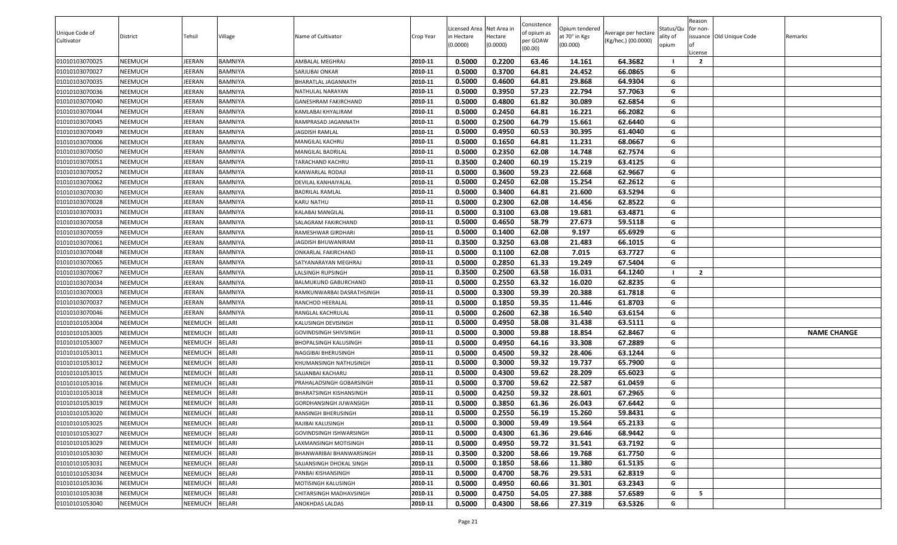|                |                |                |                |                           |           |                          |                     | Consistence |                           |                     |                   | Reason         |                          |                    |
|----------------|----------------|----------------|----------------|---------------------------|-----------|--------------------------|---------------------|-------------|---------------------------|---------------------|-------------------|----------------|--------------------------|--------------------|
| Unique Code of |                |                |                |                           |           | Licensed Area Net Area i |                     | of opium as | Opium tendered            | Average per hectare | Status/Qu         | for non-       |                          |                    |
| Cultivator     | District       | Tehsil         | Village        | Name of Cultivator        | Crop Year | in Hectare<br>(0.0000)   | Hectare<br>(0.0000) | per GOAW    | at 70° in Kgs<br>(00.000) | (Kg/hec.) (00.0000) | ality of<br>opium |                | issuance Old Unique Code | Remarks            |
|                |                |                |                |                           |           |                          |                     | (00.00)     |                           |                     |                   | License        |                          |                    |
| 01010103070025 | NEEMUCH        | JEERAN         | <b>BAMNIYA</b> | AMBALAL MEGHRAJ           | 2010-11   | 0.5000                   | 0.2200              | 63.46       | 14.161                    | 64.3682             |                   | $\overline{2}$ |                          |                    |
| 01010103070027 | NEEMUCH        | JEERAN         | BAMNIYA        | SARJUBAI ONKAR            | 2010-11   | 0.5000                   | 0.3700              | 64.81       | 24.452                    | 66.0865             | G                 |                |                          |                    |
| 01010103070035 | <b>NEEMUCH</b> | JEERAN         | BAMNIYA        | BHARATLAL JAGANNATH       | 2010-11   | 0.5000                   | 0.4600              | 64.81       | 29.868                    | 64.9304             | G                 |                |                          |                    |
| 01010103070036 | NEEMUCH        | EERAN          | BAMNIYA        | NATHULAL NARAYAN          | 2010-11   | 0.5000                   | 0.3950              | 57.23       | 22.794                    | 57.7063             | G                 |                |                          |                    |
| 01010103070040 | NEEMUCH        | JEERAN         | <b>BAMNIYA</b> | GANESHRAM FAKIRCHAND      | 2010-11   | 0.5000                   | 0.4800              | 61.82       | 30.089                    | 62.6854             | G                 |                |                          |                    |
| 01010103070044 | NEEMUCH        | JEERAN         | BAMNIYA        | KAMLABAI KHYALIRAM        | 2010-11   | 0.5000                   | 0.2450              | 64.81       | 16.221                    | 66.2082             | G                 |                |                          |                    |
| 01010103070045 | <b>NEEMUCH</b> | JEERAN         | <b>BAMNIYA</b> | RAMPRASAD JAGANNATH       | 2010-11   | 0.5000                   | 0.2500              | 64.79       | 15.661                    | 62.6440             | G                 |                |                          |                    |
| 01010103070049 | NEEMUCH        | JEERAN         | BAMNIYA        | JAGDISH RAMLAL            | 2010-11   | 0.5000                   | 0.4950              | 60.53       | 30.395                    | 61.4040             | G                 |                |                          |                    |
| 01010103070006 | NEEMUCH        | JEERAN         | <b>BAMNIYA</b> | MANGILAL KACHRU           | 2010-11   | 0.5000                   | 0.1650              | 64.81       | 11.231                    | 68.0667             | G                 |                |                          |                    |
| 01010103070050 | NEEMUCH        | JEERAN         | BAMNIYA        | MANGILAL BADRILAL         | 2010-11   | 0.5000                   | 0.2350              | 62.08       | 14.748                    | 62.7574             | G                 |                |                          |                    |
| 01010103070051 | <b>NEEMUCH</b> | EERAN          | <b>BAMNIYA</b> | TARACHAND KACHRU          | 2010-11   | 0.3500                   | 0.2400              | 60.19       | 15.219                    | 63.4125             | G                 |                |                          |                    |
| 01010103070052 | NEEMUCH        | JEERAN         | BAMNIYA        | KANWARLAL RODAJI          | 2010-11   | 0.5000                   | 0.3600              | 59.23       | 22.668                    | 62.9667             | G                 |                |                          |                    |
| 01010103070062 | NEEMUCH        | JEERAN         | <b>BAMNIYA</b> | DEVILAL KANHAIYALAL       | 2010-11   | 0.5000                   | 0.2450              | 62.08       | 15.254                    | 62.2612             | G                 |                |                          |                    |
| 01010103070030 | NEEMUCH        | JEERAN         | <b>BAMNIYA</b> | BADRILAL RAMLAL           | 2010-11   | 0.5000                   | 0.3400              | 64.81       | 21.600                    | 63.5294             | G                 |                |                          |                    |
| 01010103070028 | NEEMUCH        | JEERAN         | BAMNIYA        | KARU NATHU                | 2010-11   | 0.5000                   | 0.2300              | 62.08       | 14.456                    | 62.8522             | G                 |                |                          |                    |
| 01010103070031 | NEEMUCH        | JEERAN         | BAMNIYA        | KALABAI MANGILAL          | 2010-11   | 0.5000                   | 0.3100              | 63.08       | 19.681                    | 63.4871             | G                 |                |                          |                    |
| 01010103070058 | NEEMUCH        | JEERAN         | BAMNIYA        | SALAGRAM FAKIRCHAND       | 2010-11   | 0.5000                   | 0.4650              | 58.79       | 27.673                    | 59.5118             | G                 |                |                          |                    |
| 01010103070059 | NEEMUCH        | JEERAN         | BAMNIYA        | RAMESHWAR GIRDHARI        | 2010-11   | 0.5000                   | 0.1400              | 62.08       | 9.197                     | 65.6929             | G                 |                |                          |                    |
| 01010103070061 | NEEMUCH        | JEERAN         | BAMNIYA        | JAGDISH BHUWANIRAM        | 2010-11   | 0.3500                   | 0.3250              | 63.08       | 21.483                    | 66.1015             | G                 |                |                          |                    |
| 01010103070048 | NEEMUCH        | JEERAN         | BAMNIYA        | ONKARLAL FAKIRCHAND       | 2010-11   | 0.5000                   | 0.1100              | 62.08       | 7.015                     | 63.7727             | G                 |                |                          |                    |
| 01010103070065 | NEEMUCH        | JEERAN         | BAMNIYA        | SATYANARAYAN MEGHRAJ      | 2010-11   | 0.5000                   | 0.2850              | 61.33       | 19.249                    | 67.5404             | G                 |                |                          |                    |
| 01010103070067 | NEEMUCH        | JEERAN         | <b>BAMNIYA</b> | LALSINGH RUPSINGH         | 2010-11   | 0.3500                   | 0.2500              | 63.58       | 16.031                    | 64.1240             |                   | $\overline{2}$ |                          |                    |
| 01010103070034 | NEEMUCH        | JEERAN         | BAMNIYA        | BALMUKUND GABURCHAND      | 2010-11   | 0.5000                   | 0.2550              | 63.32       | 16.020                    | 62.8235             | G                 |                |                          |                    |
| 01010103070003 | NEEMUCH        | JEERAN         | BAMNIYA        | RAMKUNWARBAI DASRATHSINGH | 2010-11   | 0.5000                   | 0.3300              | 59.39       | 20.388                    | 61.7818             | G                 |                |                          |                    |
| 01010103070037 | NEEMUCH        | JEERAN         | BAMNIYA        | RANCHOD HEERALAL          | 2010-11   | 0.5000                   | 0.1850              | 59.35       | 11.446                    | 61.8703             | G                 |                |                          |                    |
| 01010103070046 | NEEMUCH        | JEERAN         | <b>BAMNIYA</b> | RANGLAL KACHRULAL         | 2010-11   | 0.5000                   | 0.2600              | 62.38       | 16.540                    | 63.6154             | G                 |                |                          |                    |
| 01010101053004 | NEEMUCH        | NEEMUCH        | <b>BELARI</b>  | KALUSINGH DEVISINGH       | 2010-11   | 0.5000                   | 0.4950              | 58.08       | 31.438                    | 63.5111             | G                 |                |                          |                    |
| 01010101053005 | <b>NEEMUCH</b> | NEEMUCH        | <b>BELARI</b>  | GOVINDSINGH SHIVSINGH     | 2010-11   | 0.5000                   | 0.3000              | 59.88       | 18.854                    | 62.8467             | G                 |                |                          | <b>NAME CHANGE</b> |
| 01010101053007 | NEEMUCH        | NEEMUCH        | <b>BELARI</b>  | BHOPALSINGH KALUSINGH     | 2010-11   | 0.5000                   | 0.4950              | 64.16       | 33.308                    | 67.2889             | G                 |                |                          |                    |
| 01010101053011 | NEEMUCH        | NEEMUCH        | <b>BELARI</b>  | NAGGIBAI BHERUSINGH       | 2010-11   | 0.5000                   | 0.4500              | 59.32       | 28.406                    | 63.1244             | G                 |                |                          |                    |
| 01010101053012 | NEEMUCH        | NEEMUCH        | <b>BELARI</b>  | KHUMANSINGH NATHUSINGH    | 2010-11   | 0.5000                   | 0.3000              | 59.32       | 19.737                    | 65.7900             | G                 |                |                          |                    |
| 01010101053015 | NEEMUCH        | NEEMUCH        | <b>BELARI</b>  | SAJJANBAI KACHARU         | 2010-11   | 0.5000                   | 0.4300              | 59.62       | 28.209                    | 65.6023             | G                 |                |                          |                    |
| 01010101053016 | NEEMUCH        | <b>NEEMUCH</b> | <b>BELARI</b>  | PRAHALADSINGH GOBARSINGH  | 2010-11   | 0.5000                   | 0.3700              | 59.62       | 22.587                    | 61.0459             | G                 |                |                          |                    |
| 01010101053018 | NEEMUCH        | <b>NEEMUCH</b> | <b>BELARI</b>  | BHARATSINGH KISHANSINGH   | 2010-11   | 0.5000                   | 0.4250              | 59.32       | 28.601                    | 67.2965             | G                 |                |                          |                    |
| 01010101053019 | NEEMUCH        | NEEMUCH        | <b>BELARI</b>  | GORDHANSINGH JUWANSIGH    | 2010-11   | 0.5000                   | 0.3850              | 61.36       | 26.043                    | 67.6442             | G                 |                |                          |                    |
| 01010101053020 | <b>NEEMUCH</b> | NEEMUCH        | <b>BELARI</b>  | RANSINGH BHERUSINGH       | 2010-11   | 0.5000                   | 0.2550              | 56.19       | 15.260                    | 59.8431             | G                 |                |                          |                    |
| 01010101053025 | NEEMUCH        | NEEMUCH        | <b>BELARI</b>  | RAJIBAI KALUSINGH         | 2010-11   | 0.5000                   | 0.3000              | 59.49       | 19.564                    | 65.2133             | G                 |                |                          |                    |
| 01010101053027 | NEEMUCH        | NEEMUCH        | <b>BELARI</b>  | GOVINDSINGH ISHWARSINGH   | 2010-11   | 0.5000                   | 0.4300              | 61.36       | 29.646                    | 68.9442             | G                 |                |                          |                    |
| 01010101053029 | NEEMUCH        | NEEMUCH        | <b>BELARI</b>  | LAXMANSINGH MOTISINGH     | 2010-11   | 0.5000                   | 0.4950              | 59.72       | 31.541                    | 63.7192             | G                 |                |                          |                    |
| 01010101053030 | NEEMUCH        | NEEMUCH        | <b>BELARI</b>  | BHANWARIBAI BHANWARSINGH  | 2010-11   | 0.3500                   | 0.3200              | 58.66       | 19.768                    | 61.7750             | G                 |                |                          |                    |
| 01010101053031 | NEEMUCH        | <b>NEEMUCH</b> | <b>BELARI</b>  | SAJJANSINGH DHOKAL SINGH  | 2010-11   | 0.5000                   | 0.1850              | 58.66       | 11.380                    | 61.5135             | G                 |                |                          |                    |
| 01010101053034 | NEEMUCH        | <b>NEEMUCH</b> | <b>BELARI</b>  | PANBAI KISHANSINGH        | 2010-11   | 0.5000                   | 0.4700              | 58.76       | 29.531                    | 62.8319             | G                 |                |                          |                    |
| 01010101053036 | NEEMUCH        | <b>NEEMUCH</b> | <b>BELARI</b>  | MOTISINGH KALUSINGH       | 2010-11   | 0.5000                   | 0.4950              | 60.66       | 31.301                    | 63.2343             | G                 |                |                          |                    |
| 01010101053038 | NEEMUCH        | <b>NEEMUCH</b> | <b>BELARI</b>  | CHITARSINGH MADHAVSINGH   | 2010-11   | 0.5000                   | 0.4750              | 54.05       | 27.388                    | 57.6589             | G                 | 5              |                          |                    |
| 01010101053040 | NEEMUCH        | NEEMUCH        | <b>BELARI</b>  | ANOKHDAS LALDAS           | 2010-11   | 0.5000                   | 0.4300              | 58.66       | 27.319                    | 63.5326             | G                 |                |                          |                    |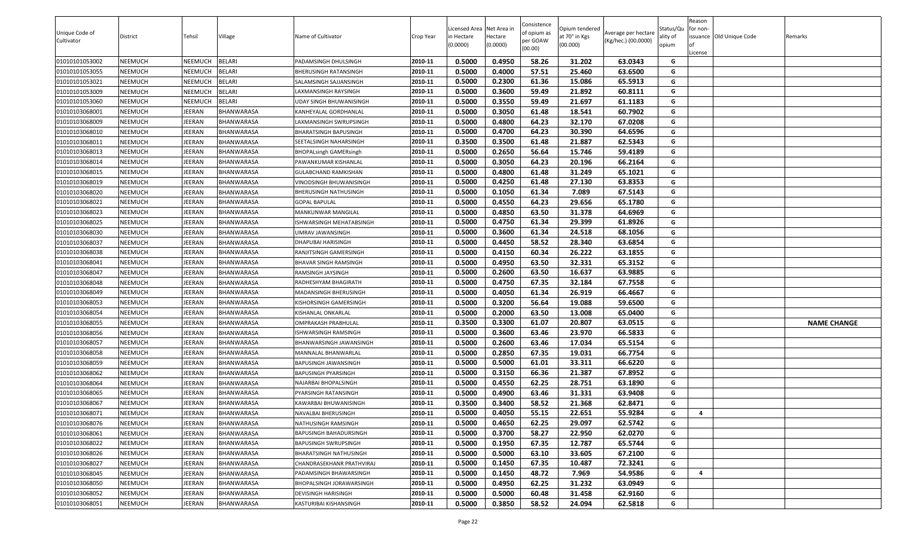|                |                |                |                   |                                 |           |                           |                     | Consistence |                           |                     |                   | Reason         |                          |                    |
|----------------|----------------|----------------|-------------------|---------------------------------|-----------|---------------------------|---------------------|-------------|---------------------------|---------------------|-------------------|----------------|--------------------------|--------------------|
| Unique Code of |                |                |                   |                                 |           | Licensed Area Net Area in |                     | of opium as | Opium tendered            | Average per hectare | Status/Qu         | for non-       |                          |                    |
| Cultivator     | District       | Tehsil         | Village           | Name of Cultivator              | Crop Year | n Hectare<br>(0.0000)     | Hectare<br>(0.0000) | per GOAW    | at 70° in Kgs<br>(00.000) | (Kg/hec.) (00.0000) | ality of<br>opium | lof            | issuance Old Unique Code | Remarks            |
|                |                |                |                   |                                 |           |                           |                     | (00.00)     |                           |                     |                   | License        |                          |                    |
| 01010101053002 | <b>NEEMUCH</b> | NEEMUCH        | <b>BELARI</b>     | PADAMSINGH DHULSINGH            | 2010-11   | 0.5000                    | 0.4950              | 58.26       | 31.202                    | 63.0343             | G                 |                |                          |                    |
| 01010101053055 | <b>NEEMUCH</b> | NEEMUCH        | BELARI            | BHERUSINGH RATANSINGH           | 2010-11   | 0.5000                    | 0.4000              | 57.51       | 25.460                    | 63.6500             | G                 |                |                          |                    |
| 01010101053021 | <b>NEEMUCH</b> | <b>NEEMUCH</b> | <b>BELARI</b>     | SALAMSINGH SAJJANSINGH          | 2010-11   | 0.5000                    | 0.2300              | 61.36       | 15.086                    | 65.5913             | G                 |                |                          |                    |
| 01010101053009 | <b>NEEMUCH</b> | <b>NEEMUCH</b> | <b>BELARI</b>     | AXMANSINGH RAYSINGH.            | 2010-11   | 0.5000                    | 0.3600              | 59.49       | 21.892                    | 60.8111             | G                 |                |                          |                    |
| 01010101053060 | <b>NEEMUCH</b> | NEEMUCH        | <b>BELARI</b>     | JDAY SINGH BHUWANISINGH         | 2010-11   | 0.5000                    | 0.3550              | 59.49       | 21.697                    | 61.1183             | G                 |                |                          |                    |
| 01010103068001 | <b>NEEMUCH</b> | JEERAN         | BHANWARASA        | KANHEYALAL GORDHANLAL           | 2010-11   | 0.5000                    | 0.3050              | 61.48       | 18.541                    | 60.7902             | G                 |                |                          |                    |
| 01010103068009 | <b>NEEMUCH</b> | JEERAN         | <b>BHANWARASA</b> | AXMANSINGH SWRUPSINGH           | 2010-11   | 0.5000                    | 0.4800              | 64.23       | 32.170                    | 67.0208             | G                 |                |                          |                    |
| 01010103068010 | <b>NEEMUCH</b> | JEERAN         | BHANWARASA        | BHARATSINGH BAPUSINGH           | 2010-11   | 0.5000                    | 0.4700              | 64.23       | 30.390                    | 64.6596             | G                 |                |                          |                    |
| 01010103068011 | <b>NEEMUCH</b> | JEERAN         | BHANWARASA        | SEETALSINGH NAHARSINGH          | 2010-11   | 0.3500                    | 0.3500              | 61.48       | 21.887                    | 62.5343             | G                 |                |                          |                    |
| 01010103068013 | <b>NEEMUCH</b> | JEERAN         | BHANWARASA        | <b>BHOPALsingh GAMERsingh</b>   | 2010-11   | 0.5000                    | 0.2650              | 56.64       | 15.746                    | 59.4189             | G                 |                |                          |                    |
| 01010103068014 | <b>NEEMUCH</b> | JEERAN         | BHANWARASA        | PAWANKUMAR KISHANLAL            | 2010-11   | 0.5000                    | 0.3050              | 64.23       | 20.196                    | 66.2164             | G                 |                |                          |                    |
| 01010103068015 | <b>NEEMUCH</b> | JEERAN         | BHANWARASA        | GULABCHAND RAMKISHAN            | 2010-11   | 0.5000                    | 0.4800              | 61.48       | 31.249                    | 65.1021             | G                 |                |                          |                    |
| 01010103068019 | <b>NEEMUCH</b> | JEERAN         | BHANWARASA        | VINODSINGH BHUWANISINGH         | 2010-11   | 0.5000                    | 0.4250              | 61.48       | 27.130                    | 63.8353             | G                 |                |                          |                    |
| 01010103068020 | <b>NEEMUCH</b> | JEERAN         | <b>BHANWARASA</b> | BHERUSINGH NATHUSINGH           | 2010-11   | 0.5000                    | 0.1050              | 61.34       | 7.089                     | 67.5143             | G                 |                |                          |                    |
| 01010103068021 | <b>NEEMUCH</b> | JEERAN         | BHANWARASA        | <b>GOPAL BAPULAL</b>            | 2010-11   | 0.5000                    | 0.4550              | 64.23       | 29.656                    | 65.1780             | G                 |                |                          |                    |
| 01010103068023 | <b>NEEMUCH</b> | JEERAN         | BHANWARASA        | MANKUNWAR MANGILAL              | 2010-11   | 0.5000                    | 0.4850              | 63.50       | 31.378                    | 64.6969             | G                 |                |                          |                    |
| 01010103068025 | <b>NEEMUCH</b> | JEERAN         | BHANWARASA        | <b>ISHWARSINGH MEHATABSINGH</b> | 2010-11   | 0.5000                    | 0.4750              | 61.34       | 29.399                    | 61.8926             | G                 |                |                          |                    |
| 01010103068030 | <b>NEEMUCH</b> | JEERAN         | BHANWARASA        | UMRAV JAWANSINGH                | 2010-11   | 0.5000                    | 0.3600              | 61.34       | 24.518                    | 68.1056             | G                 |                |                          |                    |
| 01010103068037 | <b>NEEMUCH</b> | JEERAN         | BHANWARASA        | DHAPUBAI HARISINGH              | 2010-11   | 0.5000                    | 0.4450              | 58.52       | 28.340                    | 63.6854             | G                 |                |                          |                    |
| 01010103068038 | <b>NEEMUCH</b> | JEERAN         | BHANWARASA        | RANJITSINGH GAMERSINGH          | 2010-11   | 0.5000                    | 0.4150              | 60.34       | 26.222                    | 63.1855             | G                 |                |                          |                    |
| 01010103068041 | <b>NEEMUCH</b> | JEERAN         | BHANWARASA        | BHAVAR SINGH RAMSINGH           | 2010-11   | 0.5000                    | 0.4950              | 63.50       | 32.331                    | 65.3152             | G                 |                |                          |                    |
| 01010103068047 | <b>NEEMUCH</b> | JEERAN         | BHANWARASA        | RAMSINGH JAYSINGH               | 2010-11   | 0.5000                    | 0.2600              | 63.50       | 16.637                    | 63.9885             | G                 |                |                          |                    |
| 01010103068048 | <b>NEEMUCH</b> | JEERAN         | BHANWARASA        | RADHESHYAM BHAGIRATH            | 2010-11   | 0.5000                    | 0.4750              | 67.35       | 32.184                    | 67.7558             | G                 |                |                          |                    |
| 01010103068049 | <b>NEEMUCH</b> | JEERAN         | BHANWARASA        | MADANSINGH BHERUSINGH           | 2010-11   | 0.5000                    | 0.4050              | 61.34       | 26.919                    | 66.4667             | G                 |                |                          |                    |
| 01010103068053 | <b>NEEMUCH</b> | JEERAN         | BHANWARASA        | KISHORSINGH GAMERSINGH          | 2010-11   | 0.5000                    | 0.3200              | 56.64       | 19.088                    | 59.6500             | G                 |                |                          |                    |
| 01010103068054 | <b>NEEMUCH</b> | JEERAN         | BHANWARASA        | KISHANLAL ONKARLAL              | 2010-11   | 0.5000                    | 0.2000              | 63.50       | 13.008                    | 65.0400             | G                 |                |                          |                    |
| 01010103068055 | <b>NEEMUCH</b> | JEERAN         | BHANWARASA        | OMPRAKASH PRABHULAL             | 2010-11   | 0.3500                    | 0.3300              | 61.07       | 20.807                    | 63.0515             | G                 |                |                          | <b>NAME CHANGE</b> |
| 01010103068056 | <b>NEEMUCH</b> | JEERAN         | BHANWARASA        | <b>ISHWARSINGH RAMSINGH</b>     | 2010-11   | 0.5000                    | 0.3600              | 63.46       | 23.970                    | 66.5833             | G                 |                |                          |                    |
| 01010103068057 | <b>NEEMUCH</b> | JEERAN         | BHANWARASA        | BHANWARSINGH JAWANSINGH         | 2010-11   | 0.5000                    | 0.2600              | 63.46       | 17.034                    | 65.5154             | G                 |                |                          |                    |
| 01010103068058 | <b>NEEMUCH</b> | JEERAN         | BHANWARASA        | MANNALAL BHANWARLAL             | 2010-11   | 0.5000                    | 0.2850              | 67.35       | 19.031                    | 66.7754             | G                 |                |                          |                    |
| 01010103068059 | <b>NEEMUCH</b> | JEERAN         | BHANWARASA        | BAPUSINGH JAWANSINGH            | 2010-11   | 0.5000                    | 0.5000              | 61.01       | 33.311                    | 66.6220             | G                 |                |                          |                    |
| 01010103068062 | <b>NEEMUCH</b> | JEERAN         | BHANWARASA        | BAPUSINGH PYARSINGH             | 2010-11   | 0.5000                    | 0.3150              | 66.36       | 21.387                    | 67.8952             | G                 |                |                          |                    |
| 01010103068064 | <b>NEEMUCH</b> | JEERAN         | BHANWARASA        | NAJARBAI BHOPALSINGH            | 2010-11   | 0.5000                    | 0.4550              | 62.25       | 28.751                    | 63.1890             | G                 |                |                          |                    |
| 01010103068065 | <b>NEEMUCH</b> | JEERAN         | BHANWARASA        | PYARSINGH RATANSINGH            | 2010-11   | 0.5000                    | 0.4900              | 63.46       | 31.331                    | 63.9408             | G                 |                |                          |                    |
| 01010103068067 | <b>NEEMUCH</b> | JEERAN         | BHANWARASA        | KAWARBAI BHUWANISINGH           | 2010-11   | 0.3500                    | 0.3400              | 58.52       | 21.368                    | 62.8471             | G                 |                |                          |                    |
| 01010103068071 | <b>NEEMUCH</b> | JEERAN         | BHANWARASA        | NAVALBAI BHERUSINGH             | 2010-11   | 0.5000                    | 0.4050              | 55.15       | 22.651                    | 55.9284             | G                 | $\overline{a}$ |                          |                    |
| 01010103068076 | <b>NEEMUCH</b> | JEERAN         | BHANWARASA        | NATHUSINGH RAMSINGH             | 2010-11   | 0.5000                    | 0.4650              | 62.25       | 29.097                    | 62.5742             | G                 |                |                          |                    |
| 01010103068061 | <b>NEEMUCH</b> | JEERAN         | BHANWARASA        | BAPUSINGH BAHADURSINGH          | 2010-11   | 0.5000                    | 0.3700              | 58.27       | 22.950                    | 62.0270             | G                 |                |                          |                    |
| 01010103068022 | <b>NEEMUCH</b> | JEERAN         | BHANWARASA        | BAPUSINGH SWRUPSINGH            | 2010-11   | 0.5000                    | 0.1950              | 67.35       | 12.787                    | 65.5744             | G                 |                |                          |                    |
| 01010103068026 | <b>NEEMUCH</b> | JEERAN         | BHANWARASA        | BHARATSINGH NATHUSINGH          | 2010-11   | 0.5000                    | 0.5000              | 63.10       | 33.605                    | 67.2100             | G                 |                |                          |                    |
| 01010103068027 | <b>NEEMUCH</b> | JEERAN         | BHANWARASA        | CHANDRASEKHANR PRATHVIRAJ       | 2010-11   | 0.5000                    | 0.1450              | 67.35       | 10.487                    | 72.3241             | G                 |                |                          |                    |
| 01010103068045 | <b>NEEMUCH</b> | JEERAN         | BHANWARASA        | PADAMSINGH BHAWARSINGH          | 2010-11   | 0.5000                    | 0.1450              | 48.72       | 7.969                     | 54.9586             | G                 | $\overline{a}$ |                          |                    |
| 01010103068050 | <b>NEEMUCH</b> | JEERAN         | BHANWARASA        | BHOPALSINGH JORAWARSINGH        | 2010-11   | 0.5000                    | 0.4950              | 62.25       | 31.232                    | 63.0949             | G                 |                |                          |                    |
| 01010103068052 | <b>NEEMUCH</b> | JEERAN         | BHANWARASA        | DEVISINGH HARISINGH             | 2010-11   | 0.5000                    | 0.5000              | 60.48       | 31.458                    | 62.9160             | G                 |                |                          |                    |
| 01010103068051 | <b>NEEMUCH</b> | JEERAN         | <b>BHANWARASA</b> | KASTURIBAI KISHANSINGH          | 2010-11   | 0.5000                    | 0.3850              | 58.52       | 24.094                    | 62.5818             | G                 |                |                          |                    |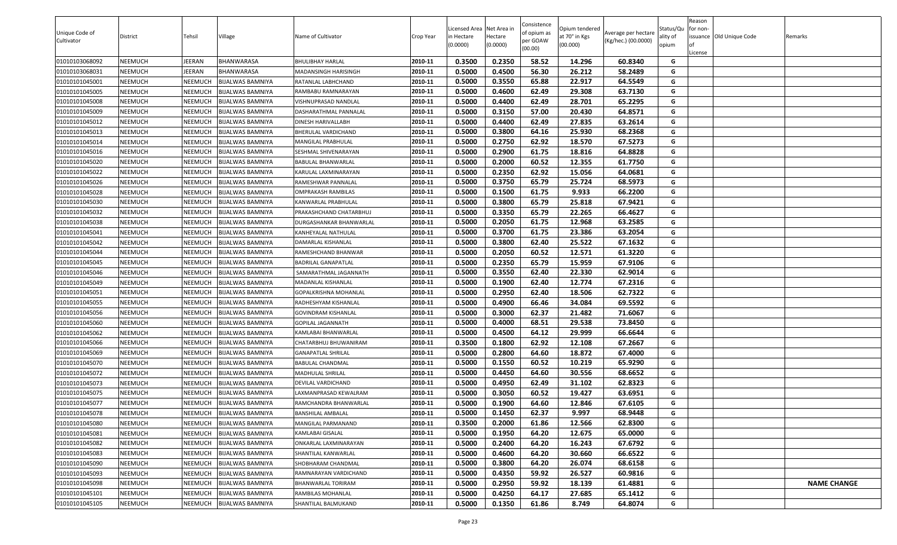| Unique Code of<br>Cultivator | District       | Tehsil         | Village                 | Name of Cultivator        | Crop Year | Licensed Area Net Area in<br>in Hectare<br>(0.0000) | Hectare<br>(0.0000) | Consistence<br>of opium as<br>per GOAW<br>(00.00) | Opium tendered<br>at 70° in Kgs<br>(00.000) | Average per hectare<br>(Kg/hec.) (00.0000) | Status/Qu<br>ality of<br>opium | Reason<br>for non-<br>License | issuance Old Unique Code | Remarks            |
|------------------------------|----------------|----------------|-------------------------|---------------------------|-----------|-----------------------------------------------------|---------------------|---------------------------------------------------|---------------------------------------------|--------------------------------------------|--------------------------------|-------------------------------|--------------------------|--------------------|
| 01010103068092               | NEEMUCH        | JEERAN         | BHANWARASA              | BHULIBHAY HARLAL          | 2010-11   | 0.3500                                              | 0.2350              | 58.52                                             | 14.296                                      | 60.8340                                    | G                              |                               |                          |                    |
| 01010103068031               | NEEMUCH        | JEERAN         | BHANWARASA              | MADANSINGH HARISINGH      | 2010-11   | 0.5000                                              | 0.4500              | 56.30                                             | 26.212                                      | 58.2489                                    | G                              |                               |                          |                    |
| 01010101045001               | NEEMUCH        | NEEMUCH        | <b>BIJALWAS BAMNIYA</b> | RATANLAL LABHCHAND        | 2010-11   | 0.5000                                              | 0.3550              | 65.88                                             | 22.917                                      | 64.5549                                    | G                              |                               |                          |                    |
| 01010101045005               | NEEMUCH        | NEEMUCH        | <b>BIJALWAS BAMNIYA</b> | RAMBABU RAMNARAYAN        | 2010-11   | 0.5000                                              | 0.4600              | 62.49                                             | 29.308                                      | 63.7130                                    | G                              |                               |                          |                    |
| 01010101045008               | NEEMUCH        | <b>NEEMUCH</b> | <b>BIJALWAS BAMNIYA</b> | VISHNUPRASAD NANDLAL      | 2010-11   | 0.5000                                              | 0.4400              | 62.49                                             | 28.701                                      | 65.2295                                    | G                              |                               |                          |                    |
| 01010101045009               | NEEMUCH        | <b>NEEMUCH</b> | <b>BIJALWAS BAMNIYA</b> | DASHARATHMAL PANNALAL     | 2010-11   | 0.5000                                              | 0.3150              | 57.00                                             | 20.430                                      | 64.8571                                    | G                              |                               |                          |                    |
| 01010101045012               | NEEMUCH        | <b>NEEMUCH</b> | <b>BIJALWAS BAMNIYA</b> | DINESH HARIVALLABH        | 2010-11   | 0.5000                                              | 0.4400              | 62.49                                             | 27.835                                      | 63.2614                                    | G                              |                               |                          |                    |
| 01010101045013               | NEEMUCH        | <b>NEEMUCH</b> | <b>BIJALWAS BAMNIYA</b> | BHERULAL VARDICHAND       | 2010-11   | 0.5000                                              | 0.3800              | 64.16                                             | 25.930                                      | 68.2368                                    | G                              |                               |                          |                    |
| 01010101045014               | NEEMUCH        | <b>NEEMUCH</b> | <b>BIJALWAS BAMNIYA</b> | MANGILAL PRABHULAL        | 2010-11   | 0.5000                                              | 0.2750              | 62.92                                             | 18.570                                      | 67.5273                                    | G                              |                               |                          |                    |
| 01010101045016               | NEEMUCH        | NEEMUCH        | <b>BIJALWAS BAMNIYA</b> | SESHMAL SHIVENARAYAN      | 2010-11   | 0.5000                                              | 0.2900              | 61.75                                             | 18.816                                      | 64.8828                                    | G                              |                               |                          |                    |
| 01010101045020               | NEEMUCH        | NEEMUCH        | <b>BIJALWAS BAMNIYA</b> | BABULAL BHANWARLAL        | 2010-11   | 0.5000                                              | 0.2000              | 60.52                                             | 12.355                                      | 61.7750                                    | G                              |                               |                          |                    |
| 01010101045022               | NEEMUCH        | <b>NEEMUCH</b> | BIJALWAS BAMNIYA        | KARULAL LAXMINARAYAN      | 2010-11   | 0.5000                                              | 0.2350              | 62.92                                             | 15.056                                      | 64.0681                                    | G                              |                               |                          |                    |
| 01010101045026               | NEEMUCH        | <b>NEEMUCH</b> | <b>BIJALWAS BAMNIYA</b> | RAMESHWAR PANNALAL        | 2010-11   | 0.5000                                              | 0.3750              | 65.79                                             | 25.724                                      | 68.5973                                    | G                              |                               |                          |                    |
| 01010101045028               | NEEMUCH        | <b>NEEMUCH</b> | <b>BIJALWAS BAMNIYA</b> | OMPRAKASH RAMBILAS        | 2010-11   | 0.5000                                              | 0.1500              | 61.75                                             | 9.933                                       | 66.2200                                    | G                              |                               |                          |                    |
| 01010101045030               | NEEMUCH        | <b>NEEMUCH</b> | <b>BIJALWAS BAMNIYA</b> | KANWARLAL PRABHULAL       | 2010-11   | 0.5000                                              | 0.3800              | 65.79                                             | 25.818                                      | 67.9421                                    | G                              |                               |                          |                    |
| 01010101045032               | NEEMUCH        | <b>NEEMUCH</b> | <b>BIJALWAS BAMNIYA</b> | PRAKASHCHAND CHATARBHUJ   | 2010-11   | 0.5000                                              | 0.3350              | 65.79                                             | 22.265                                      | 66.4627                                    | G                              |                               |                          |                    |
| 01010101045038               | NEEMUCH        | <b>NEEMUCH</b> | <b>BIJALWAS BAMNIYA</b> | DURGASHANKAR BHANWARLAL   | 2010-11   | 0.5000                                              | 0.2050              | 61.75                                             | 12.968                                      | 63.2585                                    | G                              |                               |                          |                    |
| 01010101045041               | NEEMUCH        | <b>NEEMUCH</b> | <b>BIJALWAS BAMNIYA</b> | KANHEYALAL NATHULAL       | 2010-11   | 0.5000                                              | 0.3700              | 61.75                                             | 23.386                                      | 63.2054                                    | G                              |                               |                          |                    |
| 01010101045042               | NEEMUCH        | NEEMUCH        | <b>BIJALWAS BAMNIYA</b> | DAMARLAL KISHANLAL        | 2010-11   | 0.5000                                              | 0.3800              | 62.40                                             | 25.522                                      | 67.1632                                    | G                              |                               |                          |                    |
| 01010101045044               | NEEMUCH        | <b>NEEMUCH</b> | <b>BIJALWAS BAMNIYA</b> | RAMESHCHAND BHANWAR       | 2010-11   | 0.5000                                              | 0.2050              | 60.52                                             | 12.571                                      | 61.3220                                    | G                              |                               |                          |                    |
| 01010101045045               | NEEMUCH        | <b>NEEMUCH</b> | BIJALWAS BAMNIYA        | BADRILAL GANAPATLAL       | 2010-11   | 0.5000                                              | 0.2350              | 65.79                                             | 15.959                                      | 67.9106                                    | G                              |                               |                          |                    |
| 01010101045046               | NEEMUCH        | <b>NEEMUCH</b> | <b>BIJALWAS BAMNIYA</b> | SAMARATHMAL JAGANNATH     | 2010-11   | 0.5000                                              | 0.3550              | 62.40                                             | 22.330                                      | 62.9014                                    | G                              |                               |                          |                    |
| 01010101045049               | NEEMUCH        | <b>NEEMUCH</b> | <b>BIJALWAS BAMNIYA</b> | MADANLAL KISHANLAL        | 2010-11   | 0.5000                                              | 0.1900              | 62.40                                             | 12.774                                      | 67.2316                                    | G                              |                               |                          |                    |
| 01010101045051               | NEEMUCH        | <b>NEEMUCH</b> | <b>BIJALWAS BAMNIYA</b> | GOPALKRISHNA MOHANLAL     | 2010-11   | 0.5000                                              | 0.2950              | 62.40                                             | 18.506                                      | 62.7322                                    | G                              |                               |                          |                    |
| 01010101045055               | NEEMUCH        | NEEMUCH        | <b>BIJALWAS BAMNIYA</b> | RADHESHYAM KISHANLAL      | 2010-11   | 0.5000                                              | 0.4900              | 66.46                                             | 34.084                                      | 69.5592                                    | G                              |                               |                          |                    |
| 01010101045056               | NEEMUCH        | <b>NEEMUCH</b> | <b>BIJALWAS BAMNIYA</b> | GOVINDRAM KISHANLAL       | 2010-11   | 0.5000                                              | 0.3000              | 62.37                                             | 21.482                                      | 71.6067                                    | G                              |                               |                          |                    |
| 01010101045060               | NEEMUCH        | NEEMUCH        | <b>BIJALWAS BAMNIYA</b> | GOPILAL JAGANNATH         | 2010-11   | 0.5000                                              | 0.4000              | 68.51                                             | 29.538                                      | 73.8450                                    | G                              |                               |                          |                    |
| 01010101045062               | NEEMUCH        | NEEMUCH        | <b>BIJALWAS BAMNIYA</b> | KAMLABAI BHANWARLAL       | 2010-11   | 0.5000                                              | 0.4500              | 64.12                                             | 29.999                                      | 66.6644                                    | G                              |                               |                          |                    |
| 01010101045066               | NEEMUCH        | NEEMUCH        | <b>BIJALWAS BAMNIYA</b> | CHATARBHUJ BHUWANIRAM     | 2010-11   | 0.3500                                              | 0.1800              | 62.92                                             | 12.108                                      | 67.2667                                    | G                              |                               |                          |                    |
| 01010101045069               | NEEMUCH        | <b>NEEMUCH</b> | <b>BIJALWAS BAMNIYA</b> | GANAPATLAL SHRILAL        | 2010-11   | 0.5000                                              | 0.2800              | 64.60                                             | 18.872                                      | 67.4000                                    | G                              |                               |                          |                    |
| 01010101045070               | NEEMUCH        | <b>NEEMUCH</b> | <b>BIJALWAS BAMNIYA</b> | <b>BABULAL CHANDMAL</b>   | 2010-11   | 0.5000                                              | 0.1550              | 60.52                                             | 10.219                                      | 65.9290                                    | G                              |                               |                          |                    |
| 01010101045072               | NEEMUCH        | <b>NEEMUCH</b> | <b>BIJALWAS BAMNIYA</b> | MADHULAL SHRILAL          | 2010-11   | 0.5000                                              | 0.4450              | 64.60                                             | 30.556                                      | 68.6652                                    | G                              |                               |                          |                    |
| 01010101045073               | NEEMUCH        | <b>NEEMUCH</b> | <b>BIJALWAS BAMNIYA</b> | DEVILAL VARDICHAND        | 2010-11   | 0.5000                                              | 0.4950              | 62.49                                             | 31.102                                      | 62.8323                                    | G                              |                               |                          |                    |
| 01010101045075               | NEEMUCH        | <b>NEEMUCH</b> | <b>BIJALWAS BAMNIYA</b> | LAXMANPRASAD KEWALRAM     | 2010-11   | 0.5000                                              | 0.3050              | 60.52                                             | 19.427                                      | 63.6951                                    | G                              |                               |                          |                    |
| 01010101045077               | NEEMUCH        | NEEMUCH        | <b>BIJALWAS BAMNIYA</b> | RAMCHANDRA BHANWARLAL     | 2010-11   | 0.5000                                              | 0.1900              | 64.60                                             | 12.846                                      | 67.6105                                    | G                              |                               |                          |                    |
| 01010101045078               | <b>NEEMUCH</b> | <b>NEEMUCH</b> | <b>BIJALWAS BAMNIYA</b> | <b>BANSHILAL AMBALAL</b>  | 2010-11   | 0.5000                                              | 0.1450              | 62.37                                             | 9.997                                       | 68.9448                                    | G                              |                               |                          |                    |
| 01010101045080               | NEEMUCH        | <b>NEEMUCH</b> | <b>BIJALWAS BAMNIYA</b> | <b>MANGILAL PARMANAND</b> | 2010-11   | 0.3500                                              | 0.2000              | 61.86                                             | 12.566                                      | 62.8300                                    | G                              |                               |                          |                    |
| 01010101045081               | NEEMUCH        | NEEMUCH        | <b>BIJALWAS BAMNIYA</b> | KAMLABAI GISALAL          | 2010-11   | 0.5000                                              | 0.1950              | 64.20                                             | 12.675                                      | 65.0000                                    | G                              |                               |                          |                    |
| 01010101045082               | NEEMUCH        | <b>NEEMUCH</b> | <b>BIJALWAS BAMNIYA</b> | ONKARLAL LAXMINARAYAN     | 2010-11   | 0.5000                                              | 0.2400              | 64.20                                             | 16.243                                      | 67.6792                                    | G                              |                               |                          |                    |
| 01010101045083               | NEEMUCH        | NEEMUCH        | <b>BIJALWAS BAMNIYA</b> | SHANTILAL KANWARLAL       | 2010-11   | 0.5000                                              | 0.4600              | 64.20                                             | 30.660                                      | 66.6522                                    | G                              |                               |                          |                    |
| 01010101045090               | NEEMUCH        | <b>NEEMUCH</b> | <b>BIJALWAS BAMNIYA</b> | SHOBHARAM CHANDMAL        | 2010-11   | 0.5000                                              | 0.3800              | 64.20                                             | 26.074                                      | 68.6158                                    | G                              |                               |                          |                    |
| 01010101045093               | NEEMUCH        | NEEMUCH        | <b>BIJALWAS BAMNIYA</b> | RAMNARAYAN VARDICHAND     | 2010-11   | 0.5000                                              | 0.4350              | 59.92                                             | 26.527                                      | 60.9816                                    | G                              |                               |                          |                    |
| 01010101045098               | NEEMUCH        | <b>NEEMUCH</b> | <b>BIJALWAS BAMNIYA</b> | BHANWARLAL TORIRAM        | 2010-11   | 0.5000                                              | 0.2950              | 59.92                                             | 18.139                                      | 61.4881                                    | G                              |                               |                          | <b>NAME CHANGE</b> |
| 01010101045101               | NEEMUCH        | NEEMUCH        | <b>BIJALWAS BAMNIYA</b> | RAMBILAS MOHANLAL         | 2010-11   | 0.5000                                              | 0.4250              | 64.17                                             | 27.685                                      | 65.1412                                    | G                              |                               |                          |                    |
| 01010101045105               | NEEMUCH        | <b>NEEMUCH</b> | <b>BIJALWAS BAMNIYA</b> | SHANTILAL BALMUKAND       | 2010-11   | 0.5000                                              | 0.1350              | 61.86                                             | 8.749                                       | 64.8074                                    | G                              |                               |                          |                    |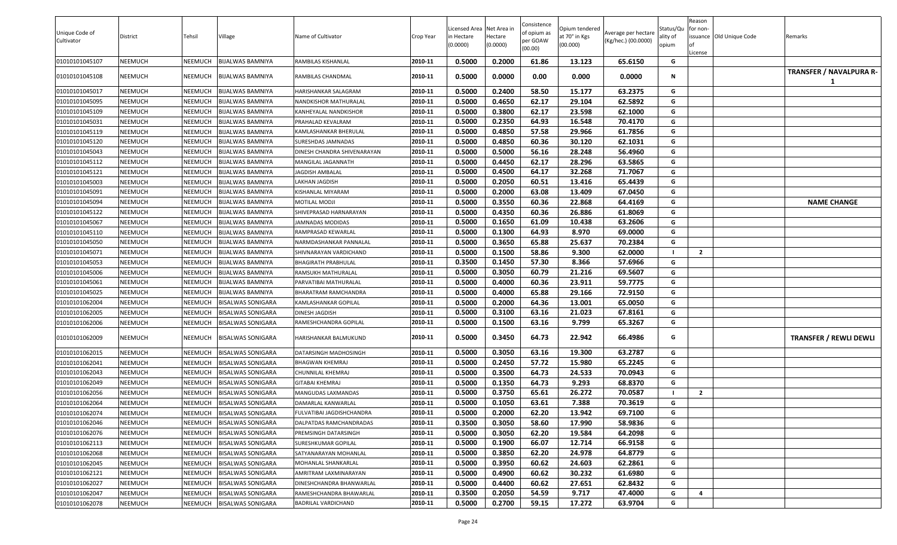|                |                |         |                          |                                  |           |                                        |          | Consistence         |                                 |                     |                       | Reason         |                          |                               |
|----------------|----------------|---------|--------------------------|----------------------------------|-----------|----------------------------------------|----------|---------------------|---------------------------------|---------------------|-----------------------|----------------|--------------------------|-------------------------------|
| Unique Code of | District       | Tehsil  | Village                  | Name of Cultivator               | Crop Year | Licensed Area Net Area in<br>n Hectare | Hectare  | of opium as         | Opium tendered<br>at 70° in Kgs | Average per hectare | Status/Qu<br>ality of | for non-       | issuance Old Unique Code | Remarks                       |
| Cultivator     |                |         |                          |                                  |           | (0.0000)                               | (0.0000) | per GOAW<br>(00.00) | (00.000)                        | (Kg/hec.) (00.0000) | opium                 |                |                          |                               |
|                |                |         |                          |                                  |           |                                        |          |                     |                                 |                     |                       | License        |                          |                               |
| 01010101045107 | NEEMUCH        | NEEMUCH | <b>BIJALWAS BAMNIYA</b>  | RAMBILAS KISHANLAL               | 2010-11   | 0.5000                                 | 0.2000   | 61.86               | 13.123                          | 65.6150             | G                     |                |                          |                               |
| 01010101045108 | <b>NEEMUCH</b> | NEEMUCH | <b>BIJALWAS BAMNIYA</b>  | RAMBILAS CHANDMAL                | 2010-11   | 0.5000                                 | 0.0000   | 0.00                | 0.000                           | 0.0000              | N                     |                |                          | TRANSFER / NAVALPURA R-       |
| 01010101045017 | <b>NEEMUCH</b> | NEEMUCH | <b>BIJALWAS BAMNIYA</b>  | HARISHANKAR SALAGRAM             | 2010-11   | 0.5000                                 | 0.2400   | 58.50               | 15.177                          | 63.2375             | G                     |                |                          |                               |
| 01010101045095 | <b>NEEMUCH</b> | NEEMUCH | <b>BIJALWAS BAMNIYA</b>  | NANDKISHOR MATHURALAL            | 2010-11   | 0.5000                                 | 0.4650   | 62.17               | 29.104                          | 62.5892             | G                     |                |                          |                               |
| 01010101045109 | <b>NEEMUCH</b> | NEEMUCH | <b>BIJALWAS BAMNIYA</b>  | KANHEYALAL NANDKISHOR            | 2010-11   | 0.5000                                 | 0.3800   | 62.17               | 23.598                          | 62.1000             | G                     |                |                          |                               |
| 01010101045031 | <b>NEEMUCH</b> | NEEMUCH | <b>BIJALWAS BAMNIYA</b>  | PRAHALAD KEVALRAM                | 2010-11   | 0.5000                                 | 0.2350   | 64.93               | 16.548                          | 70.4170             | G                     |                |                          |                               |
| 01010101045119 | <b>NEEMUCH</b> | NEEMUCH | <b>BIJALWAS BAMNIYA</b>  | KAMLASHANKAR BHERULAL            | 2010-11   | 0.5000                                 | 0.4850   | 57.58               | 29.966                          | 61.7856             | G                     |                |                          |                               |
| 01010101045120 | <b>NEEMUCH</b> | NEEMUCH | <b>BIJALWAS BAMNIYA</b>  | SURESHDAS JAMNADAS               | 2010-11   | 0.5000                                 | 0.4850   | 60.36               | 30.120                          | 62.1031             | G                     |                |                          |                               |
| 01010101045043 | <b>NEEMUCH</b> | NEEMUCH | <b>BIJALWAS BAMNIYA</b>  | DINESH CHANDRA SHIVENARAYAN      | 2010-11   | 0.5000                                 | 0.5000   | 56.16               | 28.248                          | 56.4960             | G                     |                |                          |                               |
| 01010101045112 | <b>NEEMUCH</b> | NEEMUCH | <b>BIJALWAS BAMNIYA</b>  | MANGILAL JAGANNATH               | 2010-11   | 0.5000                                 | 0.4450   | 62.17               | 28.296                          | 63.5865             | G                     |                |                          |                               |
| 01010101045121 | <b>NEEMUCH</b> | NEEMUCH | <b>BIJALWAS BAMNIYA</b>  | JAGDISH AMBALAL                  | 2010-11   | 0.5000                                 | 0.4500   | 64.17               | 32.268                          | 71.7067             | G                     |                |                          |                               |
| 01010101045003 | <b>NEEMUCH</b> | NEEMUCH | <b>BIJALWAS BAMNIYA</b>  | LAKHAN JAGDISH                   | 2010-11   | 0.5000                                 | 0.2050   | 60.51               | 13.416                          | 65.4439             | G                     |                |                          |                               |
| 01010101045091 | <b>NEEMUCH</b> | NEEMUCH | <b>BIJALWAS BAMNIYA</b>  | KISHANLAL MIYARAM                | 2010-11   | 0.5000                                 | 0.2000   | 63.08               | 13.409                          | 67.0450             | G                     |                |                          |                               |
| 01010101045094 | <b>NEEMUCH</b> | NEEMUCH | <b>BIJALWAS BAMNIYA</b>  | MOTILAL MODJI                    | 2010-11   | 0.5000                                 | 0.3550   | 60.36               | 22.868                          | 64.4169             | G                     |                |                          | <b>NAME CHANGE</b>            |
| 01010101045122 | <b>NEEMUCH</b> | NEEMUCH | <b>BIJALWAS BAMNIYA</b>  | SHIVEPRASAD HARNARAYAN           | 2010-11   | 0.5000                                 | 0.4350   | 60.36               | 26.886                          | 61.8069             | G                     |                |                          |                               |
| 01010101045067 | <b>NEEMUCH</b> | NEEMUCH | <b>BIJALWAS BAMNIYA</b>  | JAMNADAS MODIDAS                 | 2010-11   | 0.5000                                 | 0.1650   | 61.09               | 10.438                          | 63.2606             | G                     |                |                          |                               |
| 01010101045110 | <b>NEEMUCH</b> | NEEMUCH | <b>BIJALWAS BAMNIYA</b>  | RAMPRASAD KEWARLAL               | 2010-11   | 0.5000                                 | 0.1300   | 64.93               | 8.970                           | 69.0000             | G                     |                |                          |                               |
| 01010101045050 | <b>NEEMUCH</b> | NEEMUCH | <b>BIJALWAS BAMNIYA</b>  | NARMDASHANKAR PANNALAL           | 2010-11   | 0.5000                                 | 0.3650   | 65.88               | 25.637                          | 70.2384             | G                     |                |                          |                               |
| 01010101045071 | <b>NEEMUCH</b> | NEEMUCH | <b>BIJALWAS BAMNIYA</b>  | SHIVNARAYAN VARDICHAND           | 2010-11   | 0.5000                                 | 0.1500   | 58.86               | 9.300                           | 62.0000             |                       | $\overline{2}$ |                          |                               |
| 01010101045053 | <b>NEEMUCH</b> | NEEMUCH | <b>BIJALWAS BAMNIYA</b>  | BHAGIRATH PRABHULAL              | 2010-11   | 0.3500                                 | 0.1450   | 57.30               | 8.366                           | 57.6966             | G                     |                |                          |                               |
| 01010101045006 | <b>NEEMUCH</b> | NEEMUCH | <b>BIJALWAS BAMNIYA</b>  | RAMSUKH MATHURALAL               | 2010-11   | 0.5000                                 | 0.3050   | 60.79               | 21.216                          | 69.5607             | G                     |                |                          |                               |
| 01010101045061 | <b>NEEMUCH</b> | NEEMUCH | <b>BIJALWAS BAMNIYA</b>  | PARVATIBAI MATHURALAL            | 2010-11   | 0.5000                                 | 0.4000   | 60.36               | 23.911                          | 59.7775             | G                     |                |                          |                               |
| 01010101045025 | <b>NEEMUCH</b> | NEEMUCH | <b>BIJALWAS BAMNIYA</b>  | BHARATRAM RAMCHANDRA             | 2010-11   | 0.5000                                 | 0.4000   | 65.88               | 29.166                          | 72.9150             | G                     |                |                          |                               |
| 01010101062004 | <b>NEEMUCH</b> | NEEMUCH | <b>BISALWAS SONIGARA</b> | KAMLASHANKAR GOPILAL             | 2010-11   | 0.5000                                 | 0.2000   | 64.36               | 13.001                          | 65.0050             | G                     |                |                          |                               |
| 01010101062005 | <b>NEEMUCH</b> | NEEMUCH | <b>BISALWAS SONIGARA</b> | DINESH JAGDISH                   | 2010-11   | 0.5000                                 | 0.3100   | 63.16               | 21.023                          | 67.8161             | G                     |                |                          |                               |
| 01010101062006 | <b>NEEMUCH</b> | NEEMUCH | <b>BISALWAS SONIGARA</b> | RAMESHCHANDRA GOPILAL            | 2010-11   | 0.5000                                 | 0.1500   | 63.16               | 9.799                           | 65.3267             | G                     |                |                          |                               |
| 01010101062009 | <b>NEEMUCH</b> | NEEMUCH | <b>BISALWAS SONIGARA</b> | HARISHANKAR BALMUKUND            | 2010-11   | 0.5000                                 | 0.3450   | 64.73               | 22.942                          | 66.4986             | G                     |                |                          | <b>TRANSFER / REWLI DEWLI</b> |
| 01010101062015 | <b>NEEMUCH</b> | NEEMUCH | <b>BISALWAS SONIGARA</b> | DATARSINGH MADHOSINGH            | 2010-11   | 0.5000                                 | 0.3050   | 63.16               | 19.300                          | 63.2787             | G                     |                |                          |                               |
| 01010101062041 | <b>NEEMUCH</b> | NEEMUCH | <b>BISALWAS SONIGARA</b> | BHAGWAN KHEMRAJ                  | 2010-11   | 0.5000                                 | 0.2450   | 57.72               | 15.980                          | 65.2245             | G                     |                |                          |                               |
| 01010101062043 | <b>NEEMUCH</b> | NEEMUCH | <b>BISALWAS SONIGARA</b> | CHUNNILAL KHEMRAJ                | 2010-11   | 0.5000                                 | 0.3500   | 64.73               | 24.533                          | 70.0943             | G                     |                |                          |                               |
| 01010101062049 | <b>NEEMUCH</b> | NEEMUCH | <b>BISALWAS SONIGARA</b> | <b>GITABAI KHEMRAJ</b>           | 2010-11   | 0.5000                                 | 0.1350   | 64.73               | 9.293                           | 68.8370             | G                     |                |                          |                               |
| 01010101062056 | NEEMUCH        | NEEMUCH | <b>BISALWAS SONIGARA</b> | MANGUDAS LAXMANDAS               | 2010-11   | 0.5000                                 | 0.3750   | 65.61               | 26.272                          | 70.0587             |                       | $\overline{2}$ |                          |                               |
| 01010101062064 | <b>NEEMUCH</b> | NEEMUCH | <b>BISALWAS SONIGARA</b> | DAMARLAL KANWARLAL               | 2010-11   | 0.5000                                 | 0.1050   | 63.61               | 7.388                           | 70.3619             | G                     |                |                          |                               |
| 01010101062074 | <b>NEEMUCH</b> | NEEMUCH | <b>BISALWAS SONIGARA</b> | <b>FULVATIBAI JAGDISHCHANDRA</b> | 2010-11   | 0.5000                                 | 0.2000   | 62.20               | 13.942                          | 69.7100             | G                     |                |                          |                               |
| 01010101062046 | <b>NEEMUCH</b> | NEEMUCH | <b>BISALWAS SONIGARA</b> | DALPATDAS RAMCHANDRADAS          | 2010-11   | 0.3500                                 | 0.3050   | 58.60               | 17.990                          | 58.9836             | G                     |                |                          |                               |
| 01010101062076 | <b>NEEMUCH</b> | NEEMUCH | <b>BISALWAS SONIGARA</b> | PREMSINGH DATARSINGH             | 2010-11   | 0.5000                                 | 0.3050   | 62.20               | 19.584                          | 64.2098             | G                     |                |                          |                               |
| 01010101062113 | <b>NEEMUCH</b> | NEEMUCH | <b>BISALWAS SONIGARA</b> | SURESHKUMAR GOPILAL              | 2010-11   | 0.5000                                 | 0.1900   | 66.07               | 12.714                          | 66.9158             | G                     |                |                          |                               |
| 01010101062068 | <b>NEEMUCH</b> | NEEMUCH | <b>BISALWAS SONIGARA</b> | SATYANARAYAN MOHANLAL            | 2010-11   | 0.5000                                 | 0.3850   | 62.20               | 24.978                          | 64.8779             | G                     |                |                          |                               |
| 01010101062045 | <b>NEEMUCH</b> | NEEMUCH | <b>BISALWAS SONIGARA</b> | MOHANLAL SHANKARLAL              | 2010-11   | 0.5000                                 | 0.3950   | 60.62               | 24.603                          | 62.2861             | G                     |                |                          |                               |
| 01010101062121 | <b>NEEMUCH</b> | NEEMUCH | <b>BISALWAS SONIGARA</b> | AMRITRAM LAXMINARAYAN            | 2010-11   | 0.5000                                 | 0.4900   | 60.62               | 30.232                          | 61.6980             | G                     |                |                          |                               |
| 01010101062027 | <b>NEEMUCH</b> | NEEMUCH | <b>BISALWAS SONIGARA</b> | DINESHCHANDRA BHANWARLAL         | 2010-11   | 0.5000                                 | 0.4400   | 60.62               | 27.651                          | 62.8432             | G                     |                |                          |                               |
| 01010101062047 | <b>NEEMUCH</b> | NEEMUCH | <b>BISALWAS SONIGARA</b> | RAMESHCHANDRA BHAWARLAL          | 2010-11   | 0.3500                                 | 0.2050   | 54.59               | 9.717                           | 47.4000             | G                     | 4              |                          |                               |
| 01010101062078 | <b>NEEMUCH</b> | NEEMUCH | <b>BISALWAS SONIGARA</b> | BADRILAL VARDICHAND              | 2010-11   | 0.5000                                 | 0.2700   | 59.15               | 17.272                          | 63.9704             | G                     |                |                          |                               |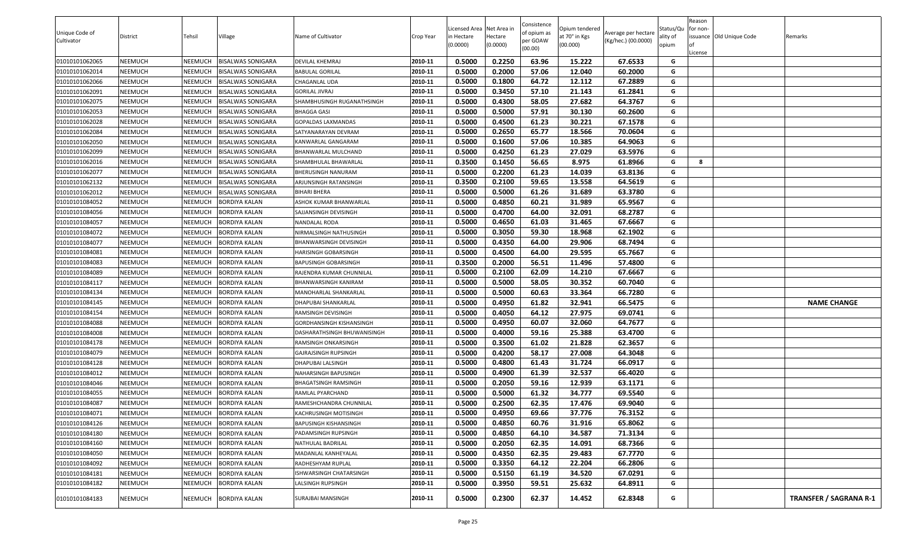|                |                |                |                          |                              |           | icensed Area | Net Area i | Consistence         | Opium tendered |                     | Status/Qu | Reason<br>for non- |                          |                               |
|----------------|----------------|----------------|--------------------------|------------------------------|-----------|--------------|------------|---------------------|----------------|---------------------|-----------|--------------------|--------------------------|-------------------------------|
| Unique Code of | District       | Tehsil         | Village                  | Name of Cultivator           | Crop Year | in Hectare   | Hectare    | of opium as         | at 70° in Kgs  | Average per hectare | ality of  |                    | issuance Old Unique Code | Remarks                       |
| Cultivator     |                |                |                          |                              |           | (0.0000)     | (0.0000)   | per GOAW<br>(00.00) | (00.000)       | (Kg/hec.) (00.0000) | opium     |                    |                          |                               |
|                |                |                |                          |                              |           |              |            |                     |                |                     |           | License            |                          |                               |
| 01010101062065 | NEEMUCH        | NEEMUCH        | <b>BISALWAS SONIGARA</b> | <b>DEVILAL KHEMRAJ</b>       | 2010-11   | 0.5000       | 0.2250     | 63.96               | 15.222         | 67.6533             | G         |                    |                          |                               |
| 01010101062014 | NEEMUCH        | NEEMUCH        | <b>BISALWAS SONIGARA</b> | BABULAL GORILAL              | 2010-11   | 0.5000       | 0.2000     | 57.06               | 12.040         | 60.2000             | G         |                    |                          |                               |
| 01010101062066 | <b>NEEMUCH</b> | NEEMUCH        | <b>BISALWAS SONIGARA</b> | CHAGANLAL UDA                | 2010-11   | 0.5000       | 0.1800     | 64.72               | 12.112         | 67.2889             | G         |                    |                          |                               |
| 01010101062091 | NEEMUCH        | NEEMUCH        | <b>BISALWAS SONIGARA</b> | <b>GORILAL JIVRAJ</b>        | 2010-11   | 0.5000       | 0.3450     | 57.10               | 21.143         | 61.2841             | G         |                    |                          |                               |
| 01010101062075 | NEEMUCH        | NEEMUCH        | <b>BISALWAS SONIGARA</b> | SHAMBHUSINGH RUGANATHSINGH   | 2010-11   | 0.5000       | 0.4300     | 58.05               | 27.682         | 64.3767             | G         |                    |                          |                               |
| 01010101062053 | NEEMUCH        | NEEMUCH        | <b>BISALWAS SONIGARA</b> | <b>BHAGGA GASI</b>           | 2010-11   | 0.5000       | 0.5000     | 57.91               | 30.130         | 60.2600             | G         |                    |                          |                               |
| 01010101062028 | <b>NEEMUCH</b> | NEEMUCH        | <b>BISALWAS SONIGARA</b> | <b>GOPALDAS LAXMANDAS</b>    | 2010-11   | 0.5000       | 0.4500     | 61.23               | 30.221         | 67.1578             | G         |                    |                          |                               |
| 01010101062084 | NEEMUCH        | <b>NEEMUCH</b> | <b>BISALWAS SONIGARA</b> | SATYANARAYAN DEVRAM          | 2010-11   | 0.5000       | 0.2650     | 65.77               | 18.566         | 70.0604             | G         |                    |                          |                               |
| 01010101062050 | NEEMUCH        | NEEMUCH        | <b>BISALWAS SONIGARA</b> | KANWARLAL GANGARAM           | 2010-11   | 0.5000       | 0.1600     | 57.06               | 10.385         | 64.9063             | G         |                    |                          |                               |
| 01010101062099 | NEEMUCH        | NEEMUCH        | <b>BISALWAS SONIGARA</b> | BHANWARLAL MULCHAND          | 2010-11   | 0.5000       | 0.4250     | 61.23               | 27.029         | 63.5976             | G         |                    |                          |                               |
| 01010101062016 | NEEMUCH        | NEEMUCH        | <b>BISALWAS SONIGARA</b> | SHAMBHULAL BHAWARLAL         | 2010-11   | 0.3500       | 0.1450     | 56.65               | 8.975          | 61.8966             | G         | 8                  |                          |                               |
| 01010101062077 | NEEMUCH        | NEEMUCH        | <b>BISALWAS SONIGARA</b> | BHERUSINGH NANURAM           | 2010-11   | 0.5000       | 0.2200     | 61.23               | 14.039         | 63.8136             | G         |                    |                          |                               |
| 01010101062132 | NEEMUCH        | NEEMUCH        | <b>BISALWAS SONIGARA</b> | ARJUNSINGH RATANSINGH        | 2010-11   | 0.3500       | 0.2100     | 59.65               | 13.558         | 64.5619             | G         |                    |                          |                               |
| 01010101062012 | NEEMUCH        | NEEMUCH        | <b>BISALWAS SONIGARA</b> | <b>BIHARI BHERA</b>          | 2010-11   | 0.5000       | 0.5000     | 61.26               | 31.689         | 63.3780             | G         |                    |                          |                               |
| 01010101084052 | NEEMUCH        | NEEMUCH        | <b>BORDIYA KALAN</b>     | ASHOK KUMAR BHANWARLAL       | 2010-11   | 0.5000       | 0.4850     | 60.21               | 31.989         | 65.9567             | G         |                    |                          |                               |
| 01010101084056 | NEEMUCH        | <b>NEEMUCH</b> | <b>BORDIYA KALAN</b>     | SAJJANSINGH DEVISINGH        | 2010-11   | 0.5000       | 0.4700     | 64.00               | 32.091         | 68.2787             | G         |                    |                          |                               |
| 01010101084057 | NEEMUCH        | NEEMUCH        | BORDIYA KALAN            | NANDALAL RODA                | 2010-11   | 0.5000       | 0.4650     | 61.03               | 31.465         | 67.6667             | G         |                    |                          |                               |
| 01010101084072 | NEEMUCH        | <b>NEEMUCH</b> | <b>BORDIYA KALAN</b>     | NIRMALSINGH NATHUSINGH       | 2010-11   | 0.5000       | 0.3050     | 59.30               | 18.968         | 62.1902             | G         |                    |                          |                               |
| 01010101084077 | NEEMUCH        | NEEMUCH        | <b>BORDIYA KALAN</b>     | BHANWARSINGH DEVISINGH       | 2010-11   | 0.5000       | 0.4350     | 64.00               | 29.906         | 68.7494             | G         |                    |                          |                               |
| 01010101084081 | NEEMUCH        | NEEMUCH        | BORDIYA KALAN            | HARISINGH GOBARSINGH         | 2010-11   | 0.5000       | 0.4500     | 64.00               | 29.595         | 65.7667             | G         |                    |                          |                               |
| 01010101084083 | NEEMUCH        | NEEMUCH        | <b>BORDIYA KALAN</b>     | BAPUSINGH GOBARSINGH         | 2010-11   | 0.3500       | 0.2000     | 56.51               | 11.496         | 57.4800             | G         |                    |                          |                               |
| 01010101084089 | NEEMUCH        | NEEMUCH        | <b>BORDIYA KALAN</b>     | RAJENDRA KUMAR CHUNNILAL     | 2010-11   | 0.5000       | 0.2100     | 62.09               | 14.210         | 67.6667             | G         |                    |                          |                               |
| 01010101084117 | NEEMUCH        | NEEMUCH        | <b>BORDIYA KALAN</b>     | BHANWARSINGH KANIRAM         | 2010-11   | 0.5000       | 0.5000     | 58.05               | 30.352         | 60.7040             | G         |                    |                          |                               |
| 01010101084134 | NEEMUCH        | <b>NEEMUCH</b> | <b>BORDIYA KALAN</b>     | MANOHARLAL SHANKARLAL        | 2010-11   | 0.5000       | 0.5000     | 60.63               | 33.364         | 66.7280             | G         |                    |                          |                               |
| 01010101084145 | NEEMUCH        | NEEMUCH        | <b>BORDIYA KALAN</b>     | DHAPUBAI SHANKARLAL          | 2010-11   | 0.5000       | 0.4950     | 61.82               | 32.941         | 66.5475             | G         |                    |                          | <b>NAME CHANGE</b>            |
| 01010101084154 | NEEMUCH        | NEEMUCH        | <b>BORDIYA KALAN</b>     | RAMSINGH DEVISINGH           | 2010-11   | 0.5000       | 0.4050     | 64.12               | 27.975         | 69.0741             | G         |                    |                          |                               |
| 01010101084088 | NEEMUCH        | NEEMUCH        | <b>BORDIYA KALAN</b>     | GORDHANSINGH KISHANSINGH     | 2010-11   | 0.5000       | 0.4950     | 60.07               | 32.060         | 64.7677             | G         |                    |                          |                               |
| 01010101084008 | NEEMUCH        | NEEMUCH        | <b>BORDIYA KALAN</b>     | DASHARATHSINGH BHUWANISINGH  | 2010-11   | 0.5000       | 0.4000     | 59.16               | 25.388         | 63.4700             | G         |                    |                          |                               |
| 01010101084178 | NEEMUCH        | NEEMUCH        | BORDIYA KALAN            | RAMSINGH ONKARSINGH          | 2010-11   | 0.5000       | 0.3500     | 61.02               | 21.828         | 62.3657             | G         |                    |                          |                               |
| 01010101084079 | NEEMUCH        | NEEMUCH        | <b>BORDIYA KALAN</b>     | GAJRAJSINGH RUPSINGH         | 2010-11   | 0.5000       | 0.4200     | 58.17               | 27.008         | 64.3048             | G         |                    |                          |                               |
| 01010101084128 | NEEMUCH        | NEEMUCH        | <b>BORDIYA KALAN</b>     | DHAPUBAI LALSINGH            | 2010-11   | 0.5000       | 0.4800     | 61.43               | 31.724         | 66.0917             | G         |                    |                          |                               |
| 01010101084012 | NEEMUCH        | NEEMUCH        | <b>BORDIYA KALAN</b>     | NAHARSINGH BAPUSINGH         | 2010-11   | 0.5000       | 0.4900     | 61.39               | 32.537         | 66.4020             | G         |                    |                          |                               |
| 01010101084046 | NEEMUCH        | <b>NEEMUCH</b> | BORDIYA KALAN            | BHAGATSINGH RAMSINGH         | 2010-11   | 0.5000       | 0.2050     | 59.16               | 12.939         | 63.1171             | G         |                    |                          |                               |
| 01010101084055 | NEEMUCH        | NEEMUCH        | <b>BORDIYA KALAN</b>     | RAMLAL PYARCHAND             | 2010-11   | 0.5000       | 0.5000     | 61.32               | 34.777         | 69.5540             | G         |                    |                          |                               |
| 01010101084087 | NEEMUCH        | NEEMUCH        | <b>BORDIYA KALAN</b>     | RAMESHCHANDRA CHUNNILAL      | 2010-11   | 0.5000       | 0.2500     | 62.35               | 17.476         | 69.9040             | G         |                    |                          |                               |
| 01010101084071 | <b>NEEMUCH</b> | NEEMUCH        | <b>BORDIYA KALAN</b>     | <b>KACHRUSINGH MOTISINGH</b> | 2010-11   | 0.5000       | 0.4950     | 69.66               | 37.776         | 76.3152             | G         |                    |                          |                               |
| 01010101084126 | NEEMUCH        | <b>NEEMUCH</b> | <b>BORDIYA KALAN</b>     | BAPUSINGH KISHANSINGH        | 2010-11   | 0.5000       | 0.4850     | 60.76               | 31.916         | 65.8062             | G         |                    |                          |                               |
| 01010101084180 | NEEMUCH        | NEEMUCH        | <b>BORDIYA KALAN</b>     | PADAMSINGH RUPSINGH          | 2010-11   | 0.5000       | 0.4850     | 64.10               | 34.587         | 71.3134             | G         |                    |                          |                               |
| 01010101084160 | NEEMUCH        | <b>NEEMUCH</b> | <b>BORDIYA KALAN</b>     | NATHULAL BADRILAL            | 2010-11   | 0.5000       | 0.2050     | 62.35               | 14.091         | 68.7366             | G         |                    |                          |                               |
| 01010101084050 | NEEMUCH        | NEEMUCH        | <b>BORDIYA KALAN</b>     | MADANLAL KANHEYALAL          | 2010-11   | 0.5000       | 0.4350     | 62.35               | 29.483         | 67.7770             | G         |                    |                          |                               |
| 01010101084092 | NEEMUCH        | <b>NEEMUCH</b> | <b>BORDIYA KALAN</b>     | RADHESHYAM RUPLAL            | 2010-11   | 0.5000       | 0.3350     | 64.12               | 22.204         | 66.2806             | G         |                    |                          |                               |
| 01010101084181 | NEEMUCH        | <b>NEEMUCH</b> | <b>BORDIYA KALAN</b>     | ISHWARSINGH CHATARSINGH      | 2010-11   | 0.5000       | 0.5150     | 61.19               | 34.520         | 67.0291             | G         |                    |                          |                               |
| 01010101084182 | NEEMUCH        | <b>NEEMUCH</b> | <b>BORDIYA KALAN</b>     | LALSINGH RUPSINGH            | 2010-11   | 0.5000       | 0.3950     | 59.51               | 25.632         | 64.8911             | G         |                    |                          |                               |
| 01010101084183 | NEEMUCH        | NEEMUCH        | <b>BORDIYA KALAN</b>     | SURAJBAI MANSINGH            | 2010-11   | 0.5000       | 0.2300     | 62.37               | 14.452         | 62.8348             | G         |                    |                          | <b>TRANSFER / SAGRANA R-1</b> |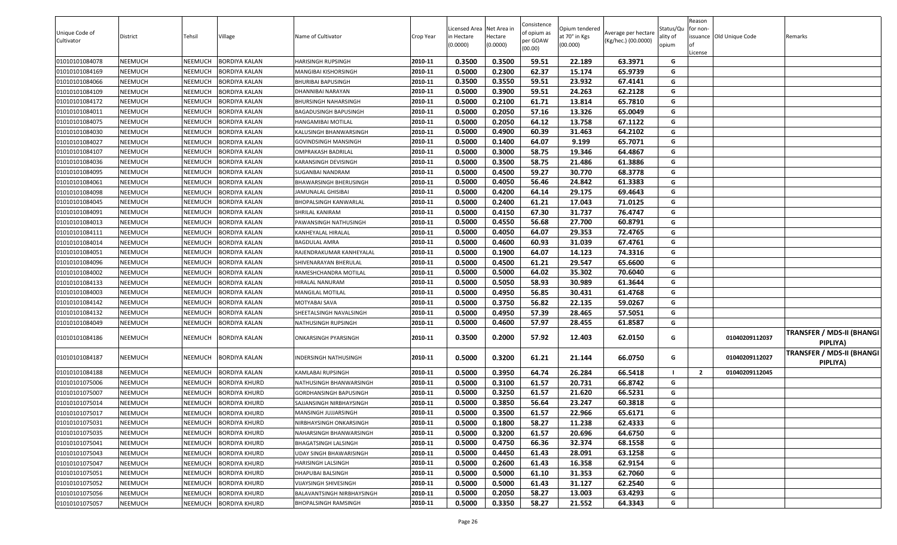|                |                |                |                      |                              |           |                           |                     | Consistence |                           |                     |                   | Reason         |                          |                                       |
|----------------|----------------|----------------|----------------------|------------------------------|-----------|---------------------------|---------------------|-------------|---------------------------|---------------------|-------------------|----------------|--------------------------|---------------------------------------|
| Unique Code of |                |                |                      |                              |           | Licensed Area Net Area in |                     | of opium as | Opium tendered            | Average per hectare | Status/Qu         | for non-       |                          |                                       |
| Cultivator     | District       | Tehsil         | Village              | Name of Cultivator           | Crop Year | n Hectare<br>(0.0000)     | Hectare<br>(0.0000) | per GOAW    | at 70° in Kgs<br>(00.000) | (Kg/hec.) (00.0000) | ality of<br>opium |                | issuance Old Unique Code | Remarks                               |
|                |                |                |                      |                              |           |                           |                     | (00.00)     |                           |                     |                   | License        |                          |                                       |
| 01010101084078 | <b>NEEMUCH</b> | <b>NEEMUCH</b> | <b>BORDIYA KALAN</b> | HARISINGH RUPSINGH           | 2010-11   | 0.3500                    | 0.3500              | 59.51       | 22.189                    | 63.3971             | G                 |                |                          |                                       |
| 01010101084169 | <b>NEEMUCH</b> | <b>NEEMUCH</b> | <b>BORDIYA KALAN</b> | MANGIBAI KISHORSINGH         | 2010-11   | 0.5000                    | 0.2300              | 62.37       | 15.174                    | 65.9739             | G                 |                |                          |                                       |
| 01010101084066 | <b>NEEMUCH</b> | <b>NEEMUCH</b> | <b>BORDIYA KALAN</b> | BHURIBAI BAPUSINGH           | 2010-11   | 0.3500                    | 0.3550              | 59.51       | 23.932                    | 67.4141             | G                 |                |                          |                                       |
| 01010101084109 | <b>NEEMUCH</b> | NEEMUCH        | BORDIYA KALAN        | DHANNIBAI NARAYAN            | 2010-11   | 0.5000                    | 0.3900              | 59.51       | 24.263                    | 62.2128             | G                 |                |                          |                                       |
| 01010101084172 | <b>NEEMUCH</b> | <b>NEEMUCH</b> | <b>BORDIYA KALAN</b> | BHURSINGH NAHARSINGH         | 2010-11   | 0.5000                    | 0.2100              | 61.71       | 13.814                    | 65.7810             | G                 |                |                          |                                       |
| 01010101084011 | <b>NEEMUCH</b> | NEEMUCH        | <b>BORDIYA KALAN</b> | BAGADUSINGH BAPUSINGH        | 2010-11   | 0.5000                    | 0.2050              | 57.16       | 13.326                    | 65.0049             | G                 |                |                          |                                       |
| 01010101084075 | <b>NEEMUCH</b> | <b>NEEMUCH</b> | <b>BORDIYA KALAN</b> | HANGAMIBAI MOTILAL           | 2010-11   | 0.5000                    | 0.2050              | 64.12       | 13.758                    | 67.1122             | G                 |                |                          |                                       |
| 01010101084030 | <b>NEEMUCH</b> | NEEMUCH        | <b>BORDIYA KALAN</b> | KALUSINGH BHANWARSINGH       | 2010-11   | 0.5000                    | 0.4900              | 60.39       | 31.463                    | 64.2102             | G                 |                |                          |                                       |
| 01010101084027 | <b>NEEMUCH</b> | NEEMUCH        | <b>BORDIYA KALAN</b> | GOVINDSINGH MANSINGH         | 2010-11   | 0.5000                    | 0.1400              | 64.07       | 9.199                     | 65.7071             | G                 |                |                          |                                       |
| 01010101084107 | <b>NEEMUCH</b> | NEEMUCH        | <b>BORDIYA KALAN</b> | OMPRAKASH BADRILAL           | 2010-11   | 0.5000                    | 0.3000              | 58.75       | 19.346                    | 64.4867             | G                 |                |                          |                                       |
| 01010101084036 | <b>NEEMUCH</b> | NEEMUCH        | <b>BORDIYA KALAN</b> | KARANSINGH DEVISINGH         | 2010-11   | 0.5000                    | 0.3500              | 58.75       | 21.486                    | 61.3886             | G                 |                |                          |                                       |
| 01010101084095 | <b>NEEMUCH</b> | NEEMUCH        | BORDIYA KALAN        | SUGANBAI NANDRAM             | 2010-11   | 0.5000                    | 0.4500              | 59.27       | 30.770                    | 68.3778             | G                 |                |                          |                                       |
| 01010101084061 | <b>NEEMUCH</b> | NEEMUCH        | <b>BORDIYA KALAN</b> | BHAWARSINGH BHERUSINGH       | 2010-11   | 0.5000                    | 0.4050              | 56.46       | 24.842                    | 61.3383             | G                 |                |                          |                                       |
| 01010101084098 | <b>NEEMUCH</b> | <b>NEEMUCH</b> | <b>BORDIYA KALAN</b> | <b>JAMUNALAL GHISIBAI</b>    | 2010-11   | 0.5000                    | 0.4200              | 64.14       | 29.175                    | 69.4643             | G                 |                |                          |                                       |
| 01010101084045 | <b>NEEMUCH</b> | <b>NEEMUCH</b> | <b>BORDIYA KALAN</b> | <b>BHOPALSINGH KANWARLAL</b> | 2010-11   | 0.5000                    | 0.2400              | 61.21       | 17.043                    | 71.0125             | G                 |                |                          |                                       |
| 01010101084091 | <b>NEEMUCH</b> | <b>NEEMUCH</b> | <b>BORDIYA KALAN</b> | SHRILAL KANIRAM              | 2010-11   | 0.5000                    | 0.4150              | 67.30       | 31.737                    | 76.4747             | G                 |                |                          |                                       |
| 01010101084013 | <b>NEEMUCH</b> | NEEMUCH        | <b>BORDIYA KALAN</b> | PAWANSINGH NATHUSINGH        | 2010-11   | 0.5000                    | 0.4550              | 56.68       | 27.700                    | 60.8791             | G                 |                |                          |                                       |
| 01010101084111 | <b>NEEMUCH</b> | <b>NEEMUCH</b> | <b>BORDIYA KALAN</b> | KANHEYALAL HIRALAL           | 2010-11   | 0.5000                    | 0.4050              | 64.07       | 29.353                    | 72.4765             | G                 |                |                          |                                       |
| 01010101084014 | <b>NEEMUCH</b> | NEEMUCH        | <b>BORDIYA KALAN</b> | BAGDULAL AMRA                | 2010-11   | 0.5000                    | 0.4600              | 60.93       | 31.039                    | 67.4761             | G                 |                |                          |                                       |
| 01010101084051 | <b>NEEMUCH</b> | NEEMUCH        | <b>BORDIYA KALAN</b> | RAJENDRAKUMAR KANHEYALAL     | 2010-11   | 0.5000                    | 0.1900              | 64.07       | 14.123                    | 74.3316             | G                 |                |                          |                                       |
| 01010101084096 | <b>NEEMUCH</b> | NEEMUCH        | BORDIYA KALAN        | SHIVENARAYAN BHERULAL        | 2010-11   | 0.5000                    | 0.4500              | 61.21       | 29.547                    | 65.6600             | G                 |                |                          |                                       |
| 01010101084002 | <b>NEEMUCH</b> | <b>NEEMUCH</b> | <b>BORDIYA KALAN</b> | RAMESHCHANDRA MOTILAL        | 2010-11   | 0.5000                    | 0.5000              | 64.02       | 35.302                    | 70.6040             | G                 |                |                          |                                       |
| 01010101084133 | <b>NEEMUCH</b> | <b>NEEMUCH</b> | <b>BORDIYA KALAN</b> | HIRALAL NANURAM              | 2010-11   | 0.5000                    | 0.5050              | 58.93       | 30.989                    | 61.3644             | G                 |                |                          |                                       |
| 01010101084003 | <b>NEEMUCH</b> | <b>NEEMUCH</b> | <b>BORDIYA KALAN</b> | MANGILAL MOTILAL             | 2010-11   | 0.5000                    | 0.4950              | 56.85       | 30.431                    | 61.4768             | G                 |                |                          |                                       |
| 01010101084142 | <b>NEEMUCH</b> | <b>NEEMUCH</b> | <b>BORDIYA KALAN</b> | MOTYABAI SAVA                | 2010-11   | 0.5000                    | 0.3750              | 56.82       | 22.135                    | 59.0267             | G                 |                |                          |                                       |
| 01010101084132 | <b>NEEMUCH</b> | NEEMUCH        | <b>BORDIYA KALAN</b> | SHEETALSINGH NAVALSINGH      | 2010-11   | 0.5000                    | 0.4950              | 57.39       | 28.465                    | 57.5051             | G                 |                |                          |                                       |
| 01010101084049 | NEEMUCH        | NEEMUCH        | <b>BORDIYA KALAN</b> | NATHUSINGH RUPSINGH          | 2010-11   | 0.5000                    | 0.4600              | 57.97       | 28.455                    | 61.8587             | G                 |                |                          |                                       |
| 01010101084186 | NEEMUCH        | <b>NEEMUCH</b> | <b>BORDIYA KALAN</b> | ONKARSINGH PYARSINGH         | 2010-11   | 0.3500                    | 0.2000              | 57.92       | 12.403                    | 62.0150             | G                 |                | 01040209112037           | TRANSFER / MDS-II (BHANGI<br>PIPLIYA) |
| 01010101084187 | <b>NEEMUCH</b> | <b>NEEMUCH</b> | <b>BORDIYA KALAN</b> | INDERSINGH NATHUSINGH        | 2010-11   | 0.5000                    | 0.3200              | 61.21       | 21.144                    | 66.0750             | G                 |                | 01040209112027           | TRANSFER / MDS-II (BHANGI<br>PIPLIYA) |
| 01010101084188 | <b>NEEMUCH</b> | <b>NEEMUCH</b> | <b>BORDIYA KALAN</b> | KAMLABAI RUPSINGH            | 2010-11   | 0.5000                    | 0.3950              | 64.74       | 26.284                    | 66.5418             | - 1               | $\overline{2}$ | 01040209112045           |                                       |
| 01010101075006 | <b>NEEMUCH</b> | NEEMUCH        | <b>BORDIYA KHURD</b> | NATHUSINGH BHANWARSINGH      | 2010-11   | 0.5000                    | 0.3100              | 61.57       | 20.731                    | 66.8742             | G                 |                |                          |                                       |
| 01010101075007 | <b>NEEMUCH</b> | <b>NEEMUCH</b> | <b>BORDIYA KHURD</b> | GORDHANSINGH BAPUSINGH       | 2010-11   | 0.5000                    | 0.3250              | 61.57       | 21.620                    | 66.5231             | G                 |                |                          |                                       |
| 01010101075014 | <b>NEEMUCH</b> | NEEMUCH        | <b>BORDIYA KHURD</b> | SAJJANSINGH NIRBHAYSINGH     | 2010-11   | 0.5000                    | 0.3850              | 56.64       | 23.247                    | 60.3818             | G                 |                |                          |                                       |
| 01010101075017 | <b>NEEMUCH</b> | <b>NEEMUCH</b> | <b>BORDIYA KHURD</b> | MANSINGH JUJJARSINGH         | 2010-11   | 0.5000                    | 0.3500              | 61.57       | 22.966                    | 65.6171             | G                 |                |                          |                                       |
| 01010101075031 | <b>NEEMUCH</b> | <b>NEEMUCH</b> | <b>BORDIYA KHURD</b> | NIRBHAYSINGH ONKARSINGH      | 2010-11   | 0.5000                    | 0.1800              | 58.27       | 11.238                    | 62.4333             | G                 |                |                          |                                       |
| 01010101075035 | <b>NEEMUCH</b> | <b>NEEMUCH</b> | <b>BORDIYA KHURD</b> | NAHARSINGH BHANWARSINGH      | 2010-11   | 0.5000                    | 0.3200              | 61.57       | 20.696                    | 64.6750             | G                 |                |                          |                                       |
| 01010101075041 | <b>NEEMUCH</b> | <b>NEEMUCH</b> | <b>BORDIYA KHURD</b> | BHAGATSINGH LALSINGH         | 2010-11   | 0.5000                    | 0.4750              | 66.36       | 32.374                    | 68.1558             | G                 |                |                          |                                       |
| 01010101075043 | <b>NEEMUCH</b> | <b>NEEMUCH</b> | <b>BORDIYA KHURD</b> | UDAY SINGH BHAWARISINGH      | 2010-11   | 0.5000                    | 0.4450              | 61.43       | 28.091                    | 63.1258             | G                 |                |                          |                                       |
| 01010101075047 | <b>NEEMUCH</b> | <b>NEEMUCH</b> | <b>BORDIYA KHURD</b> | HARISINGH LALSINGH           | 2010-11   | 0.5000                    | 0.2600              | 61.43       | 16.358                    | 62.9154             | G                 |                |                          |                                       |
| 01010101075051 | <b>NEEMUCH</b> | <b>NEEMUCH</b> | <b>BORDIYA KHURD</b> | DHAPUBAI BALSINGH            | 2010-11   | 0.5000                    | 0.5000              | 61.10       | 31.353                    | 62.7060             | G                 |                |                          |                                       |
| 01010101075052 | <b>NEEMUCH</b> | <b>NEEMUCH</b> | <b>BORDIYA KHURD</b> | VIJAYSINGH SHIVESINGH        | 2010-11   | 0.5000                    | 0.5000              | 61.43       | 31.127                    | 62.2540             | G                 |                |                          |                                       |
| 01010101075056 | <b>NEEMUCH</b> | <b>NEEMUCH</b> | <b>BORDIYA KHURD</b> | BALAVANTSINGH NIRBHAYSINGH   | 2010-11   | 0.5000                    | 0.2050              | 58.27       | 13.003                    | 63.4293             | G                 |                |                          |                                       |
| 01010101075057 | <b>NEEMUCH</b> | <b>NEEMUCH</b> | <b>BORDIYA KHURD</b> | BHOPALSINGH RAMSINGH         | 2010-11   | 0.5000                    | 0.3350              | 58.27       | 21.552                    | 64.3343             | G                 |                |                          |                                       |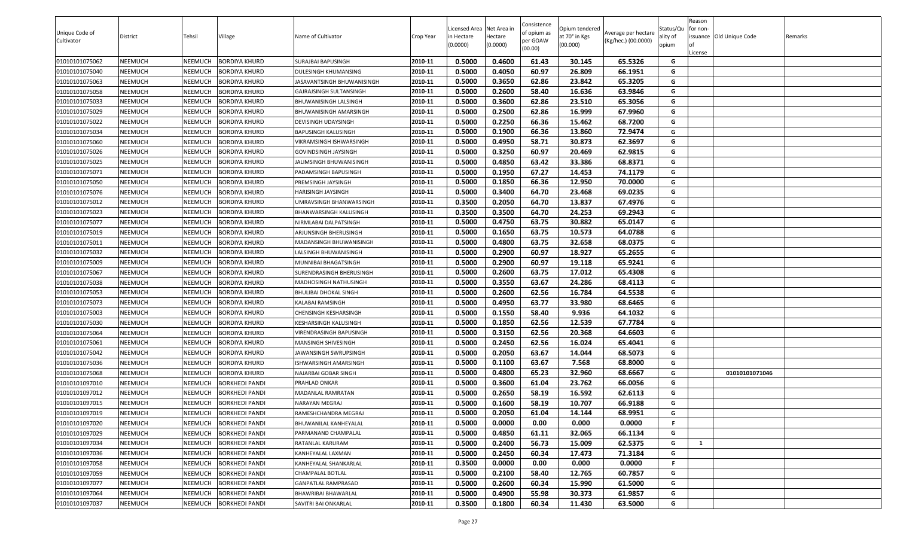| Unique Code of |                |                |                       |                               |           | Licensed Area Net Area in |                     | Consistence<br>of opium as | Opium tendered            | Average per hectare | Status/Qu         | Reason<br>for non- |                          |         |
|----------------|----------------|----------------|-----------------------|-------------------------------|-----------|---------------------------|---------------------|----------------------------|---------------------------|---------------------|-------------------|--------------------|--------------------------|---------|
| Cultivator     | District       | Tehsil         | Village               | Name of Cultivator            | Crop Year | in Hectare<br>(0.0000)    | Hectare<br>(0.0000) | per GOAW<br>(00.00)        | at 70° in Kgs<br>(00.000) | (Kg/hec.) (00.0000) | ality of<br>opium | License            | issuance Old Unique Code | Remarks |
| 01010101075062 | NEEMUCH        | <b>NEEMUCH</b> | <b>BORDIYA KHURD</b>  | SURAJBAI BAPUSINGH            | 2010-11   | 0.5000                    | 0.4600              | 61.43                      | 30.145                    | 65.5326             | G                 |                    |                          |         |
| 01010101075040 | NEEMUCH        | NEEMUCH        | <b>BORDIYA KHURD</b>  | DULESINGH KHUMANSING          | 2010-11   | 0.5000                    | 0.4050              | 60.97                      | 26.809                    | 66.1951             | G                 |                    |                          |         |
| 01010101075063 | NEEMUCH        | <b>NEEMUCH</b> | <b>BORDIYA KHURD</b>  | IASAVANTSINGH BHUWANISINGH    | 2010-11   | 0.5000                    | 0.3650              | 62.86                      | 23.842                    | 65.3205             | G                 |                    |                          |         |
| 01010101075058 | NEEMUCH        | <b>NEEMUCH</b> | <b>BORDIYA KHURD</b>  | GAJRAJSINGH SULTANSINGH       | 2010-11   | 0.5000                    | 0.2600              | 58.40                      | 16.636                    | 63.9846             | G                 |                    |                          |         |
| 01010101075033 | NEEMUCH        | <b>NEEMUCH</b> | <b>BORDIYA KHURD</b>  | BHUWANISINGH LALSINGH         | 2010-11   | 0.5000                    | 0.3600              | 62.86                      | 23.510                    | 65.3056             | G                 |                    |                          |         |
| 01010101075029 | NEEMUCH        | <b>NEEMUCH</b> | <b>BORDIYA KHURD</b>  | BHUWANISINGH AMARSINGH        | 2010-11   | 0.5000                    | 0.2500              | 62.86                      | 16.999                    | 67.9960             | G                 |                    |                          |         |
| 01010101075022 | NEEMUCH        | <b>NEEMUCH</b> | <b>BORDIYA KHURD</b>  | DEVISINGH UDAYSINGH           | 2010-11   | 0.5000                    | 0.2250              | 66.36                      | 15.462                    | 68.7200             | G                 |                    |                          |         |
| 01010101075034 | NEEMUCH        | <b>NEEMUCH</b> | <b>BORDIYA KHURD</b>  | BAPUSINGH KALUSINGH           | 2010-11   | 0.5000                    | 0.1900              | 66.36                      | 13.860                    | 72.9474             | G                 |                    |                          |         |
| 01010101075060 | NEEMUCH        | <b>NEEMUCH</b> | <b>BORDIYA KHURD</b>  | VIKRAMSINGH ISHWARSINGH       | 2010-11   | 0.5000                    | 0.4950              | 58.71                      | 30.873                    | 62.3697             | G                 |                    |                          |         |
| 01010101075026 | NEEMUCH        | <b>NEEMUCH</b> | <b>BORDIYA KHURD</b>  | GOVINDSINGH JAYSINGH          | 2010-11   | 0.5000                    | 0.3250              | 60.97                      | 20.469                    | 62.9815             | G                 |                    |                          |         |
| 01010101075025 | NEEMUCH        | NEEMUCH        | <b>BORDIYA KHURD</b>  | IALIMSINGH BHUWANISINGH       | 2010-11   | 0.5000                    | 0.4850              | 63.42                      | 33.386                    | 68.8371             | G                 |                    |                          |         |
| 01010101075071 | NEEMUCH        | <b>NEEMUCH</b> | <b>BORDIYA KHURD</b>  | PADAMSINGH BAPUSINGH          | 2010-11   | 0.5000                    | 0.1950              | 67.27                      | 14.453                    | 74.1179             | G                 |                    |                          |         |
| 01010101075050 | NEEMUCH        | <b>NEEMUCH</b> | <b>BORDIYA KHURD</b>  | PREMSINGH JAYSINGH            | 2010-11   | 0.5000                    | 0.1850              | 66.36                      | 12.950                    | 70.0000             | G                 |                    |                          |         |
| 01010101075076 | NEEMUCH        | <b>NEEMUCH</b> | <b>BORDIYA KHURD</b>  | HARISINGH JAYSINGH            | 2010-11   | 0.5000                    | 0.3400              | 64.70                      | 23.468                    | 69.0235             | G                 |                    |                          |         |
| 01010101075012 | NEEMUCH        | NEEMUCH        | <b>BORDIYA KHURD</b>  | JMRAVSINGH BHANWARSINGH       | 2010-11   | 0.3500                    | 0.2050              | 64.70                      | 13.837                    | 67.4976             | G                 |                    |                          |         |
| 01010101075023 | NEEMUCH        | <b>NEEMUCH</b> | <b>BORDIYA KHURD</b>  | <b>BHANWARSINGH KALUSINGH</b> | 2010-11   | 0.3500                    | 0.3500              | 64.70                      | 24.253                    | 69.2943             | G                 |                    |                          |         |
| 01010101075077 | NEEMUCH        | <b>NEEMUCH</b> | <b>BORDIYA KHURD</b>  | NIRMLABAI DALPATSINGH         | 2010-11   | 0.5000                    | 0.4750              | 63.75                      | 30.882                    | 65.0147             | G                 |                    |                          |         |
| 01010101075019 | NEEMUCH        | <b>NEEMUCH</b> | <b>BORDIYA KHURD</b>  | ARJUNSINGH BHERUSINGH         | 2010-11   | 0.5000                    | 0.1650              | 63.75                      | 10.573                    | 64.0788             | G                 |                    |                          |         |
| 01010101075011 | NEEMUCH        | NEEMUCH        | <b>BORDIYA KHURD</b>  | MADANSINGH BHUWANISINGH       | 2010-11   | 0.5000                    | 0.4800              | 63.75                      | 32.658                    | 68.0375             | G                 |                    |                          |         |
| 01010101075032 | NEEMUCH        | <b>NEEMUCH</b> | <b>BORDIYA KHURD</b>  | LALSINGH BHUWANISINGH         | 2010-11   | 0.5000                    | 0.2900              | 60.97                      | 18.927                    | 65.2655             | G                 |                    |                          |         |
| 01010101075009 | NEEMUCH        | <b>NEEMUCH</b> | <b>BORDIYA KHURD</b>  | MUNNIBAI BHAGATSINGH          | 2010-11   | 0.5000                    | 0.2900              | 60.97                      | 19.118                    | 65.9241             | G                 |                    |                          |         |
| 01010101075067 | NEEMUCH        | <b>NEEMUCH</b> | <b>BORDIYA KHURD</b>  | SURENDRASINGH BHERUSINGH      | 2010-11   | 0.5000                    | 0.2600              | 63.75                      | 17.012                    | 65.4308             | G                 |                    |                          |         |
| 01010101075038 | NEEMUCH        | <b>NEEMUCH</b> | <b>BORDIYA KHURD</b>  | MADHOSINGH NATHUSINGH         | 2010-11   | 0.5000                    | 0.3550              | 63.67                      | 24.286                    | 68.4113             | G                 |                    |                          |         |
| 01010101075053 | NEEMUCH        | <b>NEEMUCH</b> | <b>BORDIYA KHURD</b>  | BHULIBAI DHOKAL SINGH         | 2010-11   | 0.5000                    | 0.2600              | 62.56                      | 16.784                    | 64.5538             | G                 |                    |                          |         |
| 01010101075073 | NEEMUCH        | <b>NEEMUCH</b> | <b>BORDIYA KHURD</b>  | KALABAI RAMSINGH              | 2010-11   | 0.5000                    | 0.4950              | 63.77                      | 33.980                    | 68.6465             | G                 |                    |                          |         |
| 01010101075003 | NEEMUCH        | <b>NEEMUCH</b> | <b>BORDIYA KHURD</b>  | CHENSINGH KESHARSINGH         | 2010-11   | 0.5000                    | 0.1550              | 58.40                      | 9.936                     | 64.1032             | G                 |                    |                          |         |
| 01010101075030 | NEEMUCH        | <b>NEEMUCH</b> | <b>BORDIYA KHURD</b>  | KESHARSINGH KALUSINGH         | 2010-11   | 0.5000                    | 0.1850              | 62.56                      | 12.539                    | 67.7784             | G                 |                    |                          |         |
| 01010101075064 | NEEMUCH        | <b>NEEMUCH</b> | <b>BORDIYA KHURD</b>  | VIRENDRASINGH BAPUSINGH       | 2010-11   | 0.5000                    | 0.3150              | 62.56                      | 20.368                    | 64.6603             | G                 |                    |                          |         |
| 01010101075061 | NEEMUCH        | NEEMUCH        | <b>BORDIYA KHURD</b>  | MANSINGH SHIVESINGH           | 2010-11   | 0.5000                    | 0.2450              | 62.56                      | 16.024                    | 65.4041             | G                 |                    |                          |         |
| 01010101075042 | NEEMUCH        | <b>NEEMUCH</b> | <b>BORDIYA KHURD</b>  | IAWANSINGH SWRUPSINGH         | 2010-11   | 0.5000                    | 0.2050              | 63.67                      | 14.044                    | 68.5073             | G                 |                    |                          |         |
| 01010101075036 | NEEMUCH        | <b>NEEMUCH</b> | <b>BORDIYA KHURD</b>  | <b>ISHWARSINGH AMARSINGH</b>  | 2010-11   | 0.5000                    | 0.1100              | 63.67                      | 7.568                     | 68.8000             | G                 |                    |                          |         |
| 01010101075068 | NEEMUCH        | <b>NEEMUCH</b> | <b>BORDIYA KHURD</b>  | NAJARBAI GOBAR SINGH          | 2010-11   | 0.5000                    | 0.4800              | 65.23                      | 32.960                    | 68.6667             | G                 |                    | 01010101071046           |         |
| 01010101097010 | NEEMUCH        | <b>NEEMUCH</b> | <b>BORKHEDI PANDI</b> | PRAHLAD ONKAR                 | 2010-11   | 0.5000                    | 0.3600              | 61.04                      | 23.762                    | 66.0056             | G                 |                    |                          |         |
| 01010101097012 | NEEMUCH        | <b>NEEMUCH</b> | <b>BORKHEDI PANDI</b> | MADANLAL RAMRATAN             | 2010-11   | 0.5000                    | 0.2650              | 58.19                      | 16.592                    | 62.6113             | G                 |                    |                          |         |
| 01010101097015 | NEEMUCH        | NEEMUCH        | <b>BORKHEDI PANDI</b> | NARAYAN MEGRAJ                | 2010-11   | 0.5000                    | 0.1600              | 58.19                      | 10.707                    | 66.9188             | G                 |                    |                          |         |
| 01010101097019 | <b>NEEMUCH</b> | <b>NEEMUCH</b> | <b>BORKHEDI PANDI</b> | RAMESHCHANDRA MEGRAJ          | 2010-11   | 0.5000                    | 0.2050              | 61.04                      | 14.144                    | 68.9951             | G                 |                    |                          |         |
| 01010101097020 | NEEMUCH        | <b>NEEMUCH</b> | <b>BORKHEDI PANDI</b> | BHUWANILAL KANHEYALAL         | 2010-11   | 0.5000                    | 0.0000              | 0.00                       | 0.000                     | 0.0000              | F.                |                    |                          |         |
| 01010101097029 | NEEMUCH        | <b>NEEMUCH</b> | <b>BORKHEDI PANDI</b> | PARMANAND CHAMPALAL           | 2010-11   | 0.5000                    | 0.4850              | 61.11                      | 32.065                    | 66.1134             | G                 |                    |                          |         |
| 01010101097034 | NEEMUCH        | <b>NEEMUCH</b> | <b>BORKHEDI PANDI</b> | RATANLAL KARURAM              | 2010-11   | 0.5000                    | 0.2400              | 56.73                      | 15.009                    | 62.5375             | G                 | 1                  |                          |         |
| 01010101097036 | NEEMUCH        | NEEMUCH        | <b>BORKHEDI PANDI</b> | KANHEYALAL LAXMAN             | 2010-11   | 0.5000                    | 0.2450              | 60.34                      | 17.473                    | 71.3184             | G                 |                    |                          |         |
| 01010101097058 | NEEMUCH        | <b>NEEMUCH</b> | <b>BORKHEDI PANDI</b> | KANHEYALAL SHANKARLAL         | 2010-11   | 0.3500                    | 0.0000              | 0.00                       | 0.000                     | 0.0000              | F.                |                    |                          |         |
| 01010101097059 | NEEMUCH        | <b>NEEMUCH</b> | <b>BORKHEDI PANDI</b> | CHAMPALAL BOTLAL              | 2010-11   | 0.5000                    | 0.2100              | 58.40                      | 12.765                    | 60.7857             | G                 |                    |                          |         |
| 01010101097077 | NEEMUCH        | <b>NEEMUCH</b> | <b>BORKHEDI PANDI</b> | GANPATLAL RAMPRASAD           | 2010-11   | 0.5000                    | 0.2600              | 60.34                      | 15.990                    | 61.5000             | G                 |                    |                          |         |
| 01010101097064 | NEEMUCH        | <b>NEEMUCH</b> | <b>BORKHEDI PANDI</b> | BHAWRIBAI BHAWARLAL           | 2010-11   | 0.5000                    | 0.4900              | 55.98                      | 30.373                    | 61.9857             | G                 |                    |                          |         |
| 01010101097037 | NEEMUCH        | <b>NEEMUCH</b> | <b>BORKHEDI PANDI</b> | SAVITRI BAI ONKARLAL          | 2010-11   | 0.3500                    | 0.1800              | 60.34                      | 11.430                    | 63.5000             | G                 |                    |                          |         |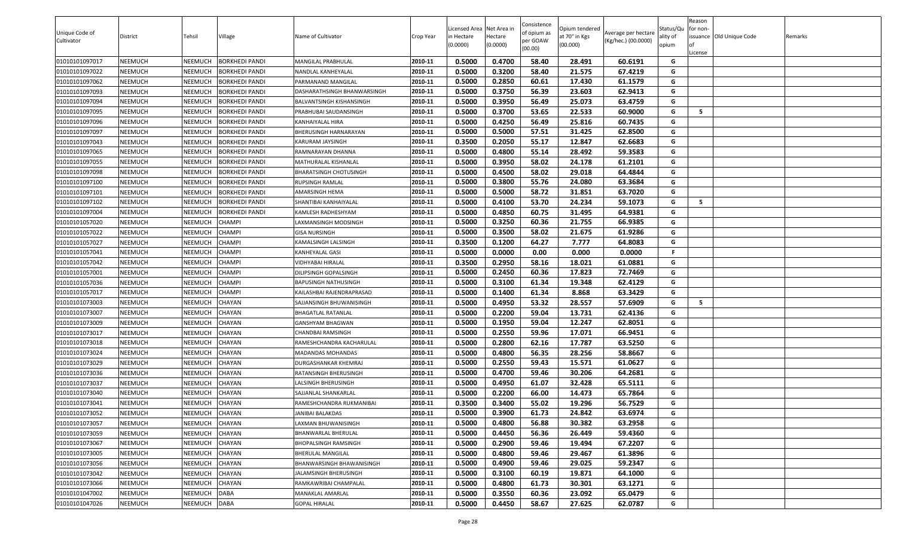|                |                |                |                       |                             |           |                        |                     | Consistence |                           |                     |                   | Reason   |                          |         |
|----------------|----------------|----------------|-----------------------|-----------------------------|-----------|------------------------|---------------------|-------------|---------------------------|---------------------|-------------------|----------|--------------------------|---------|
| Unique Code of |                |                |                       |                             |           | Licensed Area          | Net Area i          | of opium as | Opium tendered            | Average per hectare | Status/Qu         | for non- |                          |         |
| Cultivator     | District       | Tehsil         | Village               | Name of Cultivator          | Crop Year | in Hectare<br>(0.0000) | Hectare<br>(0.0000) | per GOAW    | at 70° in Kgs<br>(00.000) | (Kg/hec.) (00.0000) | ality of<br>opium |          | issuance Old Unique Code | Remarks |
|                |                |                |                       |                             |           |                        |                     | (00.00)     |                           |                     |                   | License  |                          |         |
| 01010101097017 | NEEMUCH        | NEEMUCH        | <b>BORKHEDI PANDI</b> | <b>MANGILAL PRABHULAL</b>   | 2010-11   | 0.5000                 | 0.4700              | 58.40       | 28.491                    | 60.6191             | G                 |          |                          |         |
| 01010101097022 | NEEMUCH        | NEEMUCH        | <b>BORKHEDI PANDI</b> | NANDLAL KANHEYALAL          | 2010-11   | 0.5000                 | 0.3200              | 58.40       | 21.575                    | 67.4219             | G                 |          |                          |         |
| 01010101097062 | <b>NEEMUCH</b> | NEEMUCH        | <b>BORKHEDI PANDI</b> | PARMANAND MANGILAL          | 2010-11   | 0.5000                 | 0.2850              | 60.61       | 17.430                    | 61.1579             | G                 |          |                          |         |
| 01010101097093 | NEEMUCH        | NEEMUCH        | <b>BORKHEDI PANDI</b> | DASHARATHSINGH BHANWARSINGH | 2010-11   | 0.5000                 | 0.3750              | 56.39       | 23.603                    | 62.9413             | G                 |          |                          |         |
| 01010101097094 | <b>NEEMUCH</b> | NEEMUCH        | <b>BORKHEDI PANDI</b> | BALVANTSINGH KISHANSINGH    | 2010-11   | 0.5000                 | 0.3950              | 56.49       | 25.073                    | 63.4759             | G                 |          |                          |         |
| 01010101097095 | NEEMUCH        | NEEMUCH        | <b>BORKHEDI PANDI</b> | PRABHUBAI SAUDANSINGH       | 2010-11   | 0.5000                 | 0.3700              | 53.65       | 22.533                    | 60.9000             | G                 | - 5      |                          |         |
| 01010101097096 | <b>NEEMUCH</b> | <b>NEEMUCH</b> | <b>BORKHEDI PANDI</b> | KANHAIYALAL HIRA            | 2010-11   | 0.5000                 | 0.4250              | 56.49       | 25.816                    | 60.7435             | G                 |          |                          |         |
| 01010101097097 | NEEMUCH        | NEEMUCH        | <b>BORKHEDI PANDI</b> | BHERUSINGH HARNARAYAN       | 2010-11   | 0.5000                 | 0.5000              | 57.51       | 31.425                    | 62.8500             | G                 |          |                          |         |
| 01010101097043 | NEEMUCH        | NEEMUCH        | <b>BORKHEDI PANDI</b> | KARURAM JAYSINGH            | 2010-11   | 0.3500                 | 0.2050              | 55.17       | 12.847                    | 62.6683             | G                 |          |                          |         |
| 01010101097065 | NEEMUCH        | NEEMUCH        | <b>BORKHEDI PANDI</b> | RAMNARAYAN DHANNA           | 2010-11   | 0.5000                 | 0.4800              | 55.14       | 28.492                    | 59.3583             | G                 |          |                          |         |
| 01010101097055 | <b>NEEMUCH</b> | NEEMUCH        | <b>BORKHEDI PANDI</b> | MATHURALAL KISHANLAL        | 2010-11   | 0.5000                 | 0.3950              | 58.02       | 24.178                    | 61.2101             | G                 |          |                          |         |
| 01010101097098 | NEEMUCH        | NEEMUCH        | <b>BORKHEDI PANDI</b> | BHARATSINGH CHOTUSINGH      | 2010-11   | 0.5000                 | 0.4500              | 58.02       | 29.018                    | 64.4844             | G                 |          |                          |         |
| 01010101097100 | NEEMUCH        | NEEMUCH        | <b>BORKHEDI PANDI</b> | RUPSINGH RAMLAL             | 2010-11   | 0.5000                 | 0.3800              | 55.76       | 24.080                    | 63.3684             | G                 |          |                          |         |
| 01010101097101 | NEEMUCH        | NEEMUCH        | <b>BORKHEDI PANDI</b> | AMARSINGH HEMA              | 2010-11   | 0.5000                 | 0.5000              | 58.72       | 31.851                    | 63.7020             | G                 |          |                          |         |
| 01010101097102 | NEEMUCH        | NEEMUCH        | <b>BORKHEDI PANDI</b> | SHANTIBAI KANHAIYALAL       | 2010-11   | 0.5000                 | 0.4100              | 53.70       | 24.234                    | 59.1073             | G                 | - 5      |                          |         |
| 01010101097004 | NEEMUCH        | <b>NEEMUCH</b> | <b>BORKHEDI PANDI</b> | KAMLESH RADHESHYAM          | 2010-11   | 0.5000                 | 0.4850              | 60.75       | 31.495                    | 64.9381             | G                 |          |                          |         |
| 01010101057020 | NEEMUCH        | NEEMUCH        | <b>CHAMPI</b>         | LAXMANSINGH MODSINGH        | 2010-11   | 0.5000                 | 0.3250              | 60.36       | 21.755                    | 66.9385             | G                 |          |                          |         |
| 01010101057022 | NEEMUCH        | NEEMUCH        | <b>CHAMPI</b>         | <b>GISA NURSINGH</b>        | 2010-11   | 0.5000                 | 0.3500              | 58.02       | 21.675                    | 61.9286             | G                 |          |                          |         |
| 01010101057027 | NEEMUCH        | <b>NEEMUCH</b> | <b>CHAMPI</b>         | KAMALSINGH LALSINGH         | 2010-11   | 0.3500                 | 0.1200              | 64.27       | 7.777                     | 64.8083             | G                 |          |                          |         |
| 01010101057041 | NEEMUCH        | NEEMUCH        | <b>CHAMPI</b>         | KANHEYALAL GASI             | 2010-11   | 0.5000                 | 0.0000              | 0.00        | 0.000                     | 0.0000              | F.                |          |                          |         |
| 01010101057042 | NEEMUCH        | NEEMUCH        | <b>CHAMPI</b>         | VIDHYABAI HIRALAL           | 2010-11   | 0.3500                 | 0.2950              | 58.16       | 18.021                    | 61.0881             | G                 |          |                          |         |
| 01010101057001 | NEEMUCH        | NEEMUCH        | <b>CHAMPI</b>         | DILIPSINGH GOPALSINGH       | 2010-11   | 0.5000                 | 0.2450              | 60.36       | 17.823                    | 72.7469             | G                 |          |                          |         |
| 01010101057036 | NEEMUCH        | NEEMUCH        | <b>CHAMPI</b>         | BAPUSINGH NATHUSINGH        | 2010-11   | 0.5000                 | 0.3100              | 61.34       | 19.348                    | 62.4129             | G                 |          |                          |         |
| 01010101057017 | NEEMUCH        | <b>NEEMUCH</b> | <b>CHAMPI</b>         | KAILASHBAI RAJENDRAPRASAD   | 2010-11   | 0.5000                 | 0.1400              | 61.34       | 8.868                     | 63.3429             | G                 |          |                          |         |
| 01010101073003 | NEEMUCH        | NEEMUCH        | <b>CHAYAN</b>         | SAJJANSINGH BHUWANISINGH    | 2010-11   | 0.5000                 | 0.4950              | 53.32       | 28.557                    | 57.6909             | G                 | - 5      |                          |         |
| 01010101073007 | NEEMUCH        | <b>NEEMUCH</b> | <b>CHAYAN</b>         | <b>BHAGATLAL RATANLAL</b>   | 2010-11   | 0.5000                 | 0.2200              | 59.04       | 13.731                    | 62.4136             | G                 |          |                          |         |
| 01010101073009 | NEEMUCH        | NEEMUCH        | <b>CHAYAN</b>         | GANSHYAM BHAGWAN            | 2010-11   | 0.5000                 | 0.1950              | 59.04       | 12.247                    | 62.8051             | G                 |          |                          |         |
| 01010101073017 | <b>NEEMUCH</b> | NEEMUCH        | <b>CHAYAN</b>         | CHANDBAI RAMSINGH           | 2010-11   | 0.5000                 | 0.2550              | 59.96       | 17.071                    | 66.9451             | G                 |          |                          |         |
| 01010101073018 | NEEMUCH        | NEEMUCH        | <b>CHAYAN</b>         | RAMESHCHANDRA KACHARULAL    | 2010-11   | 0.5000                 | 0.2800              | 62.16       | 17.787                    | 63.5250             | G                 |          |                          |         |
| 01010101073024 | <b>NEEMUCH</b> | NEEMUCH        | <b>CHAYAN</b>         | MADANDAS MOHANDAS           | 2010-11   | 0.5000                 | 0.4800              | 56.35       | 28.256                    | 58.8667             | G                 |          |                          |         |
| 01010101073029 | NEEMUCH        | NEEMUCH        | <b>CHAYAN</b>         | DURGASHANKAR KHEMRAJ        | 2010-11   | 0.5000                 | 0.2550              | 59.43       | 15.571                    | 61.0627             | G                 |          |                          |         |
| 01010101073036 | <b>NEEMUCH</b> | <b>NEEMUCH</b> | <b>CHAYAN</b>         | RATANSINGH BHERUSINGH       | 2010-11   | 0.5000                 | 0.4700              | 59.46       | 30.206                    | 64.2681             | G                 |          |                          |         |
| 01010101073037 | NEEMUCH        | <b>NEEMUCH</b> | <b>CHAYAN</b>         | LALSINGH BHERUSINGH         | 2010-11   | 0.5000                 | 0.4950              | 61.07       | 32.428                    | 65.5111             | G                 |          |                          |         |
| 01010101073040 | NEEMUCH        | NEEMUCH        | <b>CHAYAN</b>         | SAJJANLAL SHANKARLAL        | 2010-11   | 0.5000                 | 0.2200              | 66.00       | 14.473                    | 65.7864             | G                 |          |                          |         |
| 01010101073041 | NEEMUCH        | NEEMUCH        | <b>CHAYAN</b>         | RAMESHCHANDRA RUKMANIBAI    | 2010-11   | 0.3500                 | 0.3400              | 55.02       | 19.296                    | 56.7529             | G                 |          |                          |         |
| 01010101073052 | <b>NEEMUCH</b> | NEEMUCH        | <b>CHAYAN</b>         | JANIBAI BALAKDAS            | 2010-11   | 0.5000                 | 0.3900              | 61.73       | 24.842                    | 63.6974             | G                 |          |                          |         |
| 01010101073057 | NEEMUCH        | NEEMUCH        | CHAYAN                | LAXMAN BHUWANISINGH         | 2010-11   | 0.5000                 | 0.4800              | 56.88       | 30.382                    | 63.2958             | G                 |          |                          |         |
| 01010101073059 | NEEMUCH        | NEEMUCH        | <b>CHAYAN</b>         | BHANWARLAL BHERULAL         | 2010-11   | 0.5000                 | 0.4450              | 56.36       | 26.449                    | 59.4360             | G                 |          |                          |         |
| 01010101073067 | NEEMUCH        | <b>NEEMUCH</b> | CHAYAN                | BHOPALSINGH RAMSINGH        | 2010-11   | 0.5000                 | 0.2900              | 59.46       | 19.494                    | 67.2207             | G                 |          |                          |         |
| 01010101073005 | NEEMUCH        | NEEMUCH        | CHAYAN                | BHERULAL MANGILAL           | 2010-11   | 0.5000                 | 0.4800              | 59.46       | 29.467                    | 61.3896             | G                 |          |                          |         |
| 01010101073056 | NEEMUCH        | <b>NEEMUCH</b> | CHAYAN                | BHANWARSINGH BHAWANISINGH   | 2010-11   | 0.5000                 | 0.4900              | 59.46       | 29.025                    | 59.2347             | G                 |          |                          |         |
| 01010101073042 | NEEMUCH        | <b>NEEMUCH</b> | <b>CHAYAN</b>         | JALAMSINGH BHERUSINGH       | 2010-11   | 0.5000                 | 0.3100              | 60.19       | 19.871                    | 64.1000             | G                 |          |                          |         |
| 01010101073066 | NEEMUCH        | <b>NEEMUCH</b> | <b>CHAYAN</b>         | RAMKAWRIBAI CHAMPALAL       | 2010-11   | 0.5000                 | 0.4800              | 61.73       | 30.301                    | 63.1271             | G                 |          |                          |         |
| 01010101047002 | NEEMUCH        | NEEMUCH        | <b>DABA</b>           | MANAKLAL AMARLAL            | 2010-11   | 0.5000                 | 0.3550              | 60.36       | 23.092                    | 65.0479             | G                 |          |                          |         |
| 01010101047026 | NEEMUCH        | NEEMUCH        | <b>DABA</b>           | <b>GOPAL HIRALAL</b>        | 2010-11   | 0.5000                 | 0.4450              | 58.67       | 27.625                    | 62.0787             | G                 |          |                          |         |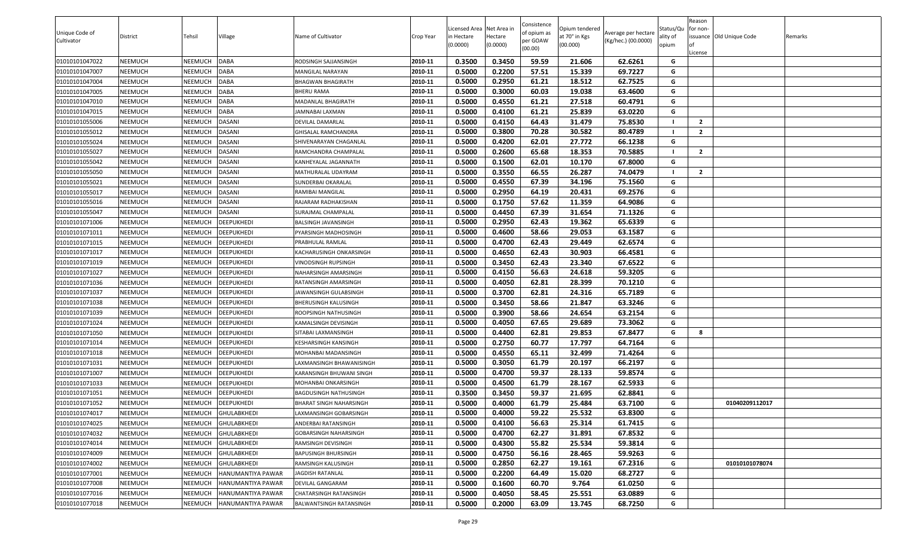|                |          |                |                    |                            |           | Licensed Area Net Area in |          | Consistence         | Opium tendered |                     | Status/Qu | Reason<br>for non- |                          |         |
|----------------|----------|----------------|--------------------|----------------------------|-----------|---------------------------|----------|---------------------|----------------|---------------------|-----------|--------------------|--------------------------|---------|
| Unique Code of | District | Tehsil         | Village            | Name of Cultivator         | Crop Year | n Hectare                 | Hectare  | of opium as         | at 70° in Kgs  | Average per hectare | ality of  |                    | issuance Old Unique Code | Remarks |
| Cultivator     |          |                |                    |                            |           | (0.0000)                  | (0.0000) | per GOAW<br>(00.00) | (00.000)       | (Kg/hec.) (00.0000) | opium     |                    |                          |         |
| 01010101047022 | NEEMUCH  | <b>NEEMUCH</b> | <b>DABA</b>        | RODSINGH SAJJANSINGH       | 2010-11   | 0.3500                    | 0.3450   | 59.59               | 21.606         | 62.6261             | G         | License            |                          |         |
| 01010101047007 | NEEMUCH  | NEEMUCH        | <b>DABA</b>        | MANGILAL NARAYAN           | 2010-11   | 0.5000                    | 0.2200   | 57.51               | 15.339         | 69.7227             | G         |                    |                          |         |
| 01010101047004 | NEEMUCH  | <b>NEEMUCH</b> | <b>DABA</b>        | <b>BHAGWAN BHAGIRATH</b>   | 2010-11   | 0.5000                    | 0.2950   | 61.21               | 18.512         | 62.7525             | G         |                    |                          |         |
| 01010101047005 | NEEMUCH  | NEEMUCH        | DABA               | BHERU RAMA                 | 2010-11   | 0.5000                    | 0.3000   | 60.03               | 19.038         | 63.4600             | G         |                    |                          |         |
| 01010101047010 | NEEMUCH  | <b>NEEMUCH</b> | <b>DABA</b>        | MADANLAL BHAGIRATH         | 2010-11   | 0.5000                    | 0.4550   | 61.21               | 27.518         | 60.4791             | G         |                    |                          |         |
| 01010101047015 | NEEMUCH  | NEEMUCH        | <b>DABA</b>        | JAMNABAI LAXMAN            | 2010-11   | 0.5000                    | 0.4100   | 61.21               | 25.839         | 63.0220             | G         |                    |                          |         |
| 01010101055006 | NEEMUCH  | NEEMUCH        | <b>DASANI</b>      | DEVILAL DAMARLAL           | 2010-11   | 0.5000                    | 0.4150   | 64.43               | 31.479         | 75.8530             |           | $\overline{2}$     |                          |         |
| 01010101055012 | NEEMUCH  | NEEMUCH        | <b>DASANI</b>      | <b>GHISALAL RAMCHANDRA</b> | 2010-11   | 0.5000                    | 0.3800   | 70.28               | 30.582         | 80.4789             |           | $\overline{2}$     |                          |         |
| 01010101055024 | NEEMUCH  | <b>NEEMUCH</b> | <b>DASANI</b>      | SHIVENARAYAN CHAGANLAL     | 2010-11   | 0.5000                    | 0.4200   | 62.01               | 27.772         | 66.1238             | G         |                    |                          |         |
| 01010101055027 | NEEMUCH  | NEEMUCH        | <b>DASANI</b>      | RAMCHANDRA CHAMPALAL       | 2010-11   | 0.5000                    | 0.2600   | 65.68               | 18.353         | 70.5885             |           | $\overline{2}$     |                          |         |
| 01010101055042 | NEEMUCH  | NEEMUCH        | DASANI             | KANHEYALAL JAGANNATH       | 2010-11   | 0.5000                    | 0.1500   | 62.01               | 10.170         | 67.8000             | G         |                    |                          |         |
| 01010101055050 | NEEMUCH  | NEEMUCH        | DASANI             | MATHURALAL UDAYRAM         | 2010-11   | 0.5000                    | 0.3550   | 66.55               | 26.287         | 74.0479             |           | $\overline{2}$     |                          |         |
| 01010101055021 | NEEMUCH  | NEEMUCH        | <b>DASANI</b>      | SUNDERBAI OKARALAL         | 2010-11   | 0.5000                    | 0.4550   | 67.39               | 34.196         | 75.1560             | G         |                    |                          |         |
| 01010101055017 | NEEMUCH  | <b>NEEMUCH</b> | DASANI             | RAMIBAI MANGILAL           | 2010-11   | 0.5000                    | 0.2950   | 64.19               | 20.431         | 69.2576             | G         |                    |                          |         |
| 01010101055016 | NEEMUCH  | <b>NEEMUCH</b> | DASANI             | RAJARAM RADHAKISHAN        | 2010-11   | 0.5000                    | 0.1750   | 57.62               | 11.359         | 64.9086             | G         |                    |                          |         |
| 01010101055047 | NEEMUCH  | <b>NEEMUCH</b> | DASANI             | SURAJMAL CHAMPALAL         | 2010-11   | 0.5000                    | 0.4450   | 67.39               | 31.654         | 71.1326             | G         |                    |                          |         |
| 01010101071006 | NEEMUCH  | <b>NEEMUCH</b> | <b>DEEPUKHEDI</b>  | <b>BALSINGH JAVANSINGH</b> | 2010-11   | 0.5000                    | 0.2950   | 62.43               | 19.362         | 65.6339             | G         |                    |                          |         |
| 01010101071011 | NEEMUCH  | <b>NEEMUCH</b> | <b>DEEPUKHEDI</b>  | PYARSINGH MADHOSINGH       | 2010-11   | 0.5000                    | 0.4600   | 58.66               | 29.053         | 63.1587             | G         |                    |                          |         |
| 01010101071015 | NEEMUCH  | NEEMUCH        | <b>DEEPUKHEDI</b>  | PRABHULAL RAMLAL           | 2010-11   | 0.5000                    | 0.4700   | 62.43               | 29.449         | 62.6574             | G         |                    |                          |         |
| 01010101071017 | NEEMUCH  | <b>NEEMUCH</b> | <b>DEEPUKHEDI</b>  | KACHARUSINGH ONKARSINGH    | 2010-11   | 0.5000                    | 0.4650   | 62.43               | 30.903         | 66.4581             | G         |                    |                          |         |
| 01010101071019 | NEEMUCH  | NEEMUCH        | DEEPUKHEDI         | VINODSINGH RUPSINGH        | 2010-11   | 0.5000                    | 0.3450   | 62.43               | 23.340         | 67.6522             | G         |                    |                          |         |
| 01010101071027 | NEEMUCH  | <b>NEEMUCH</b> | <b>DEEPUKHEDI</b>  | NAHARSINGH AMARSINGH       | 2010-11   | 0.5000                    | 0.4150   | 56.63               | 24.618         | 59.3205             | G         |                    |                          |         |
| 01010101071036 | NEEMUCH  | <b>NEEMUCH</b> | <b>DEEPUKHEDI</b>  | RATANSINGH AMARSINGH       | 2010-11   | 0.5000                    | 0.4050   | 62.81               | 28.399         | 70.1210             | G         |                    |                          |         |
| 01010101071037 | NEEMUCH  | <b>NEEMUCH</b> | <b>DEEPUKHEDI</b>  | JAWANSINGH GULABSINGH      | 2010-11   | 0.5000                    | 0.3700   | 62.81               | 24.316         | 65.7189             | G         |                    |                          |         |
| 01010101071038 | NEEMUCH  | <b>NEEMUCH</b> | <b>DEEPUKHEDI</b>  | BHERUSINGH KALUSINGH       | 2010-11   | 0.5000                    | 0.3450   | 58.66               | 21.847         | 63.3246             | G         |                    |                          |         |
| 01010101071039 | NEEMUCH  | <b>NEEMUCH</b> | <b>DEEPUKHEDI</b>  | ROOPSINGH NATHUSINGH       | 2010-11   | 0.5000                    | 0.3900   | 58.66               | 24.654         | 63.2154             | G         |                    |                          |         |
| 01010101071024 | NEEMUCH  | NEEMUCH        | <b>DEEPUKHEDI</b>  | KAMALSINGH DEVISINGH       | 2010-11   | 0.5000                    | 0.4050   | 67.65               | 29.689         | 73.3062             | G         |                    |                          |         |
| 01010101071050 | NEEMUCH  | <b>NEEMUCH</b> | <b>DEEPUKHEDI</b>  | SITABAI LAXMANSINGH        | 2010-11   | 0.5000                    | 0.4400   | 62.81               | 29.853         | 67.8477             | G         | 8                  |                          |         |
| 01010101071014 | NEEMUCH  | <b>NEEMUCH</b> | <b>DEEPUKHEDI</b>  | KESHARSINGH KANSINGH       | 2010-11   | 0.5000                    | 0.2750   | 60.77               | 17.797         | 64.7164             | G         |                    |                          |         |
| 01010101071018 | NEEMUCH  | <b>NEEMUCH</b> | <b>DEEPUKHEDI</b>  | MOHANBAI MADANSINGH        | 2010-11   | 0.5000                    | 0.4550   | 65.11               | 32.499         | 71.4264             | G         |                    |                          |         |
| 01010101071031 | NEEMUCH  | <b>NEEMUCH</b> | <b>DEEPUKHEDI</b>  | LAXMANSINGH BHAWANISINGH   | 2010-11   | 0.5000                    | 0.3050   | 61.79               | 20.197         | 66.2197             | G         |                    |                          |         |
| 01010101071007 | NEEMUCH  | <b>NEEMUCH</b> | <b>DEEPUKHEDI</b>  | KARANSINGH BHUWANI SINGH   | 2010-11   | 0.5000                    | 0.4700   | 59.37               | 28.133         | 59.8574             | G         |                    |                          |         |
| 01010101071033 | NEEMUCH  | <b>NEEMUCH</b> | <b>DEEPUKHEDI</b>  | MOHANBAI ONKARSINGH        | 2010-11   | 0.5000                    | 0.4500   | 61.79               | 28.167         | 62.5933             | G         |                    |                          |         |
| 01010101071051 | NEEMUCH  | <b>NEEMUCH</b> | <b>DEEPUKHEDI</b>  | BAGDUSINGH NATHUSINGH      | 2010-11   | 0.3500                    | 0.3450   | 59.37               | 21.695         | 62.8841             | G         |                    |                          |         |
| 01010101071052 | NEEMUCH  | NEEMUCH        | <b>DEEPUKHEDI</b>  | BHARAT SINGH NAHARSINGH    | 2010-11   | 0.5000                    | 0.4000   | 61.79               | 25.484         | 63.7100             | G         |                    | 01040209112017           |         |
| 01010101074017 | NEEMUCH  | <b>NEEMUCH</b> | <b>GHULABKHEDI</b> | LAXMANSINGH GOBARSINGH     | 2010-11   | 0.5000                    | 0.4000   | 59.22               | 25.532         | 63.8300             | G         |                    |                          |         |
| 01010101074025 | NEEMUCH  | <b>NEEMUCH</b> | <b>GHULABKHEDI</b> | ANDERBAI RATANSINGH        | 2010-11   | 0.5000                    | 0.4100   | 56.63               | 25.314         | 61.7415             | G         |                    |                          |         |
| 01010101074032 | NEEMUCH  | NEEMUCH        | <b>GHULABKHEDI</b> | GOBARSINGH NAHARSINGH      | 2010-11   | 0.5000                    | 0.4700   | 62.27               | 31.891         | 67.8532             | G         |                    |                          |         |
| 01010101074014 | NEEMUCH  | <b>NEEMUCH</b> | <b>GHULABKHEDI</b> | RAMSINGH DEVISINGH         | 2010-11   | 0.5000                    | 0.4300   | 55.82               | 25.534         | 59.3814             | G         |                    |                          |         |
| 01010101074009 | NEEMUCH  | NEEMUCH        | <b>GHULABKHEDI</b> | <b>BAPUSINGH BHURSINGH</b> | 2010-11   | 0.5000                    | 0.4750   | 56.16               | 28.465         | 59.9263             | G         |                    |                          |         |
| 01010101074002 | NEEMUCH  | <b>NEEMUCH</b> | <b>GHULABKHEDI</b> | RAMSINGH KALUSINGH         | 2010-11   | 0.5000                    | 0.2850   | 62.27               | 19.161         | 67.2316             | G         |                    | 01010101078074           |         |
| 01010101077001 | NEEMUCH  | NEEMUCH        | HANUMANTIYA PAWAR  | JAGDISH RATANLAL           | 2010-11   | 0.5000                    | 0.2200   | 64.49               | 15.020         | 68.2727             | G         |                    |                          |         |
| 01010101077008 | NEEMUCH  | <b>NEEMUCH</b> | HANUMANTIYA PAWAR  | <b>DEVILAL GANGARAM</b>    | 2010-11   | 0.5000                    | 0.1600   | 60.70               | 9.764          | 61.0250             | G         |                    |                          |         |
| 01010101077016 | NEEMUCH  | <b>NEEMUCH</b> | HANUMANTIYA PAWAR  | CHATARSINGH RATANSINGH     | 2010-11   | 0.5000                    | 0.4050   | 58.45               | 25.551         | 63.0889             | G         |                    |                          |         |
| 01010101077018 | NEEMUCH  | <b>NEEMUCH</b> | HANUMANTIYA PAWAR  | BALWANTSINGH RATANSINGH    | 2010-11   | 0.5000                    | 0.2000   | 63.09               | 13.745         | 68.7250             | G         |                    |                          |         |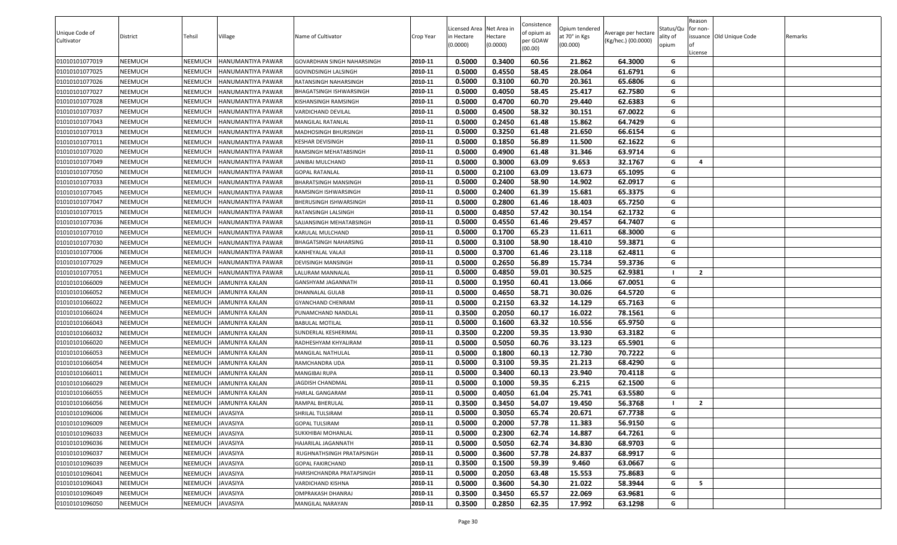| Unique Code of<br>Cultivator | District       | Tehsil         | Village               | Name of Cultivator         | Crop Year | Licensed Area Net Area in<br>n Hectare<br>(0.0000) | Hectare<br>(0.0000) | Consistence<br>of opium as<br>per GOAW<br>(00.00) | Opium tendered<br>at 70° in Kgs<br>(00.000) | Average per hectare<br>(Kg/hec.) (00.0000) | Status/Qu<br>ality of<br>opium | Reason<br>for non-<br>License | issuance Old Unique Code | Remarks |
|------------------------------|----------------|----------------|-----------------------|----------------------------|-----------|----------------------------------------------------|---------------------|---------------------------------------------------|---------------------------------------------|--------------------------------------------|--------------------------------|-------------------------------|--------------------------|---------|
| 01010101077019               | NEEMUCH        | <b>NEEMUCH</b> | HANUMANTIYA PAWAR     | GOVARDHAN SINGH NAHARSINGH | 2010-11   | 0.5000                                             | 0.3400              | 60.56                                             | 21.862                                      | 64.3000                                    | G                              |                               |                          |         |
| 01010101077025               | NEEMUCH        | NEEMUCH        | HANUMANTIYA PAWAR     | GOVINDSINGH LALSINGH       | 2010-11   | 0.5000                                             | 0.4550              | 58.45                                             | 28.064                                      | 61.6791                                    | G                              |                               |                          |         |
| 01010101077026               | NEEMUCH        | <b>NEEMUCH</b> | HANUMANTIYA PAWAR     | RATANSINGH NAHARSINGH      | 2010-11   | 0.5000                                             | 0.3100              | 60.70                                             | 20.361                                      | 65.6806                                    | G                              |                               |                          |         |
| 01010101077027               | NEEMUCH        | <b>NEEMUCH</b> | HANUMANTIYA PAWAR     | BHAGATSINGH ISHWARSINGH    | 2010-11   | 0.5000                                             | 0.4050              | 58.45                                             | 25.417                                      | 62.7580                                    | G                              |                               |                          |         |
| 01010101077028               | NEEMUCH        | <b>NEEMUCH</b> | HANUMANTIYA PAWAR     | KISHANSINGH RAMSINGH       | 2010-11   | 0.5000                                             | 0.4700              | 60.70                                             | 29.440                                      | 62.6383                                    | G                              |                               |                          |         |
| 01010101077037               | NEEMUCH        | <b>NEEMUCH</b> | HANUMANTIYA PAWAR     | VARDICHAND DEVILAL         | 2010-11   | 0.5000                                             | 0.4500              | 58.32                                             | 30.151                                      | 67.0022                                    | G                              |                               |                          |         |
| 01010101077043               | NEEMUCH        | <b>NEEMUCH</b> | HANUMANTIYA PAWAR     | MANGILAL RATANLAL          | 2010-11   | 0.5000                                             | 0.2450              | 61.48                                             | 15.862                                      | 64.7429                                    | G                              |                               |                          |         |
| 01010101077013               | NEEMUCH        | NEEMUCH        | HANUMANTIYA PAWAR     | MADHOSINGH BHURSINGH       | 2010-11   | 0.5000                                             | 0.3250              | 61.48                                             | 21.650                                      | 66.6154                                    | G                              |                               |                          |         |
| 01010101077011               | NEEMUCH        | <b>NEEMUCH</b> | HANUMANTIYA PAWAR     | KESHAR DEVISINGH           | 2010-11   | 0.5000                                             | 0.1850              | 56.89                                             | 11.500                                      | 62.1622                                    | G                              |                               |                          |         |
| 01010101077020               | NEEMUCH        | NEEMUCH        | HANUMANTIYA PAWAR     | RAMSINGH MEHATABSINGH      | 2010-11   | 0.5000                                             | 0.4900              | 61.48                                             | 31.346                                      | 63.9714                                    | G                              |                               |                          |         |
| 01010101077049               | NEEMUCH        | NEEMUCH        | HANUMANTIYA PAWAR     | JANIBAI MULCHAND           | 2010-11   | 0.5000                                             | 0.3000              | 63.09                                             | 9.653                                       | 32.1767                                    | G                              | -4                            |                          |         |
| 01010101077050               | NEEMUCH        | <b>NEEMUCH</b> | HANUMANTIYA PAWAR     | <b>GOPAL RATANLAL</b>      | 2010-11   | 0.5000                                             | 0.2100              | 63.09                                             | 13.673                                      | 65.1095                                    | G                              |                               |                          |         |
| 01010101077033               | NEEMUCH        | <b>NEEMUCH</b> | HANUMANTIYA PAWAR     | BHARATSINGH MANSINGH       | 2010-11   | 0.5000                                             | 0.2400              | 58.90                                             | 14.902                                      | 62.0917                                    | G                              |                               |                          |         |
| 01010101077045               | NEEMUCH        | <b>NEEMUCH</b> | HANUMANTIYA PAWAR     | RAMSINGH ISHWARSINGH       | 2010-11   | 0.5000                                             | 0.2400              | 61.39                                             | 15.681                                      | 65.3375                                    | G                              |                               |                          |         |
| 01010101077047               | NEEMUCH        | <b>NEEMUCH</b> | HANUMANTIYA PAWAR     | BHERUSINGH ISHWARSINGH     | 2010-11   | 0.5000                                             | 0.2800              | 61.46                                             | 18.403                                      | 65.7250                                    | G                              |                               |                          |         |
| 01010101077015               | NEEMUCH        | <b>NEEMUCH</b> | HANUMANTIYA PAWAR     | RATANSINGH LALSINGH        | 2010-11   | 0.5000                                             | 0.4850              | 57.42                                             | 30.154                                      | 62.1732                                    | G                              |                               |                          |         |
| 01010101077036               | NEEMUCH        | NEEMUCH        | HANUMANTIYA PAWAR     | SAJJANSINGH MEHATABSINGH   | 2010-11   | 0.5000                                             | 0.4550              | 61.46                                             | 29.457                                      | 64.7407                                    | G                              |                               |                          |         |
| 01010101077010               | NEEMUCH        | <b>NEEMUCH</b> | HANUMANTIYA PAWAR     | KARULAL MULCHAND           | 2010-11   | 0.5000                                             | 0.1700              | 65.23                                             | 11.611                                      | 68.3000                                    | G                              |                               |                          |         |
| 01010101077030               | NEEMUCH        | NEEMUCH        | HANUMANTIYA PAWAR     | BHAGATSINGH NAHARSING      | 2010-11   | 0.5000                                             | 0.3100              | 58.90                                             | 18.410                                      | 59.3871                                    | G                              |                               |                          |         |
| 01010101077006               | NEEMUCH        | <b>NEEMUCH</b> | HANUMANTIYA PAWAR     | KANHEYALAL VALAJI          | 2010-11   | 0.5000                                             | 0.3700              | 61.46                                             | 23.118                                      | 62.4811                                    | G                              |                               |                          |         |
| 01010101077029               | NEEMUCH        | NEEMUCH        | HANUMANTIYA PAWAR     | DEVISINGH MANSINGH         | 2010-11   | 0.5000                                             | 0.2650              | 56.89                                             | 15.734                                      | 59.3736                                    | G                              |                               |                          |         |
| 01010101077051               | NEEMUCH        | <b>NEEMUCH</b> | HANUMANTIYA PAWAR     | LALURAM MANNALAL           | 2010-11   | 0.5000                                             | 0.4850              | 59.01                                             | 30.525                                      | 62.9381                                    |                                | $\overline{2}$                |                          |         |
| 01010101066009               | NEEMUCH        | <b>NEEMUCH</b> | <b>JAMUNIYA KALAN</b> | GANSHYAM JAGANNATH         | 2010-11   | 0.5000                                             | 0.1950              | 60.41                                             | 13.066                                      | 67.0051                                    | G                              |                               |                          |         |
| 01010101066052               | NEEMUCH        | <b>NEEMUCH</b> | JAMUNIYA KALAN        | DHANNALAL GULAB            | 2010-11   | 0.5000                                             | 0.4650              | 58.71                                             | 30.026                                      | 64.5720                                    | G                              |                               |                          |         |
| 01010101066022               | NEEMUCH        | <b>NEEMUCH</b> | JAMUNIYA KALAN        | GYANCHAND CHENRAM          | 2010-11   | 0.5000                                             | 0.2150              | 63.32                                             | 14.129                                      | 65.7163                                    | G                              |                               |                          |         |
| 01010101066024               | NEEMUCH        | <b>NEEMUCH</b> | JAMUNIYA KALAN        | PUNAMCHAND NANDLAL         | 2010-11   | 0.3500                                             | 0.2050              | 60.17                                             | 16.022                                      | 78.1561                                    | G                              |                               |                          |         |
| 01010101066043               | NEEMUCH        | NEEMUCH        | JAMUNIYA KALAN        | <b>BABULAL MOTILAL</b>     | 2010-11   | 0.5000                                             | 0.1600              | 63.32                                             | 10.556                                      | 65.9750                                    | G                              |                               |                          |         |
| 01010101066032               | NEEMUCH        | NEEMUCH        | JAMUNIYA KALAN        | SUNDERLAL KESHERIMAL       | 2010-11   | 0.3500                                             | 0.2200              | 59.35                                             | 13.930                                      | 63.3182                                    | G                              |                               |                          |         |
| 01010101066020               | NEEMUCH        | NEEMUCH        | JAMUNIYA KALAN        | RADHESHYAM KHYALIRAM       | 2010-11   | 0.5000                                             | 0.5050              | 60.76                                             | 33.123                                      | 65.5901                                    | G                              |                               |                          |         |
| 01010101066053               | NEEMUCH        | <b>NEEMUCH</b> | <b>JAMUNIYA KALAN</b> | MANGILAL NATHULAL          | 2010-11   | 0.5000                                             | 0.1800              | 60.13                                             | 12.730                                      | 70.7222                                    | G                              |                               |                          |         |
| 01010101066054               | NEEMUCH        | <b>NEEMUCH</b> | JAMUNIYA KALAN        | RAMCHANDRA UDA             | 2010-11   | 0.5000                                             | 0.3100              | 59.35                                             | 21.213                                      | 68.4290                                    | G                              |                               |                          |         |
| 01010101066011               | NEEMUCH        | <b>NEEMUCH</b> | JAMUNIYA KALAN        | <b>MANGIBAI RUPA</b>       | 2010-11   | 0.5000                                             | 0.3400              | 60.13                                             | 23.940                                      | 70.4118                                    | G                              |                               |                          |         |
| 01010101066029               | NEEMUCH        | NEEMUCH        | JAMUNIYA KALAN        | <b>JAGDISH CHANDMAL</b>    | 2010-11   | 0.5000                                             | 0.1000              | 59.35                                             | 6.215                                       | 62.1500                                    | G                              |                               |                          |         |
| 01010101066055               | NEEMUCH        | <b>NEEMUCH</b> | JAMUNIYA KALAN        | <b>HARLAL GANGARAM</b>     | 2010-11   | 0.5000                                             | 0.4050              | 61.04                                             | 25.741                                      | 63.5580                                    | G                              |                               |                          |         |
| 01010101066056               | NEEMUCH        | NEEMUCH        | JAMUNIYA KALAN        | RAMPAL BHERULAL            | 2010-11   | 0.3500                                             | 0.3450              | 54.07                                             | 19.450                                      | 56.3768                                    |                                | $\overline{2}$                |                          |         |
| 01010101096006               | <b>NEEMUCH</b> | <b>NEEMUCH</b> | <b>JAVASIYA</b>       | SHRILAL TULSIRAM           | 2010-11   | 0.5000                                             | 0.3050              | 65.74                                             | 20.671                                      | 67.7738                                    | G                              |                               |                          |         |
| 01010101096009               | NEEMUCH        | <b>NEEMUCH</b> | <b>JAVASIYA</b>       | <b>GOPAL TULSIRAM</b>      | 2010-11   | 0.5000                                             | 0.2000              | 57.78                                             | 11.383                                      | 56.9150                                    | G                              |                               |                          |         |
| 01010101096033               | NEEMUCH        | NEEMUCH        | <b>JAVASIYA</b>       | SUKKHIBAI MOHANLAL         | 2010-11   | 0.5000                                             | 0.2300              | 62.74                                             | 14.887                                      | 64.7261                                    | G                              |                               |                          |         |
| 01010101096036               | NEEMUCH        | <b>NEEMUCH</b> | <b>JAVASIYA</b>       | HAJARILAL JAGANNATH        | 2010-11   | 0.5000                                             | 0.5050              | 62.74                                             | 34.830                                      | 68.9703                                    | G                              |                               |                          |         |
| 01010101096037               | NEEMUCH        | NEEMUCH        | <b>JAVASIYA</b>       | RUGHNATHSINGH PRATAPSINGH  | 2010-11   | 0.5000                                             | 0.3600              | 57.78                                             | 24.837                                      | 68.9917                                    | G                              |                               |                          |         |
| 01010101096039               | NEEMUCH        | <b>NEEMUCH</b> | <b>JAVASIYA</b>       | <b>GOPAL FAKIRCHAND</b>    | 2010-11   | 0.3500                                             | 0.1500              | 59.39                                             | 9.460                                       | 63.0667                                    | G                              |                               |                          |         |
| 01010101096041               | NEEMUCH        | <b>NEEMUCH</b> | <b>JAVASIYA</b>       | HARISHCHANDRA PRATAPSINGH  | 2010-11   | 0.5000                                             | 0.2050              | 63.48                                             | 15.553                                      | 75.8683                                    | G                              |                               |                          |         |
| 01010101096043               | NEEMUCH        | <b>NEEMUCH</b> | <b>JAVASIYA</b>       | <b>VARDICHAND KISHNA</b>   | 2010-11   | 0.5000                                             | 0.3600              | 54.30                                             | 21.022                                      | 58.3944                                    | G                              | - 5                           |                          |         |
| 01010101096049               | NEEMUCH        | <b>NEEMUCH</b> | <b>JAVASIYA</b>       | OMPRAKASH DHANRAJ          | 2010-11   | 0.3500                                             | 0.3450              | 65.57                                             | 22.069                                      | 63.9681                                    | G                              |                               |                          |         |
| 01010101096050               | NEEMUCH        | <b>NEEMUCH</b> | <b>JAVASIYA</b>       | <b>MANGILAL NARAYAN</b>    | 2010-11   | 0.3500                                             | 0.2850              | 62.35                                             | 17.992                                      | 63.1298                                    | G                              |                               |                          |         |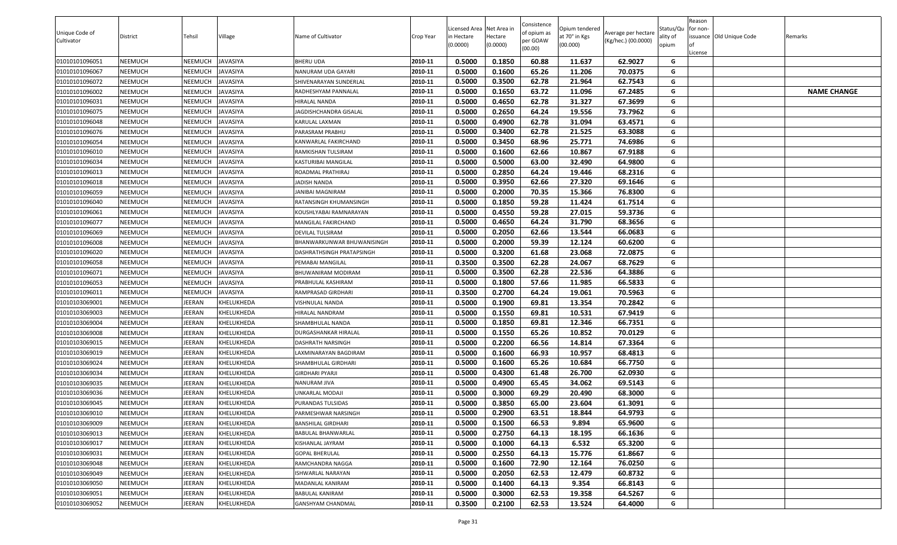| Unique Code of<br>Cultivator | District | Tehsil         | Village         | Name of Cultivator         | Crop Year | Licensed Area Net Area in<br>n Hectare<br>(0.0000) | Hectare<br>(0.0000) | Consistence<br>of opium as<br>per GOAW<br>(00.00) | Opium tendered<br>at 70° in Kgs<br>(00.000) | Average per hectare<br>(Kg/hec.) (00.0000) | Status/Qu<br>ality of<br>opium | Reason<br>for non-<br>License | issuance Old Unique Code | Remarks            |
|------------------------------|----------|----------------|-----------------|----------------------------|-----------|----------------------------------------------------|---------------------|---------------------------------------------------|---------------------------------------------|--------------------------------------------|--------------------------------|-------------------------------|--------------------------|--------------------|
| 01010101096051               | NEEMUCH  | <b>NEEMUCH</b> | <b>JAVASIYA</b> | BHERU UDA                  | 2010-11   | 0.5000                                             | 0.1850              | 60.88                                             | 11.637                                      | 62.9027                                    | G                              |                               |                          |                    |
| 01010101096067               | NEEMUCH  | NEEMUCH        | <b>JAVASIYA</b> | NANURAM UDA GAYARI         | 2010-11   | 0.5000                                             | 0.1600              | 65.26                                             | 11.206                                      | 70.0375                                    | G                              |                               |                          |                    |
| 01010101096072               | NEEMUCH  | NEEMUCH        | <b>JAVASIYA</b> | SHIVENARAYAN SUNDERLAL     | 2010-11   | 0.5000                                             | 0.3500              | 62.78                                             | 21.964                                      | 62.7543                                    | G                              |                               |                          |                    |
| 01010101096002               | NEEMUCH  | NEEMUCH        | <b>JAVASIYA</b> | RADHESHYAM PANNALAL        | 2010-11   | 0.5000                                             | 0.1650              | 63.72                                             | 11.096                                      | 67.2485                                    | G                              |                               |                          | <b>NAME CHANGE</b> |
| 01010101096031               | NEEMUCH  | <b>NEEMUCH</b> | <b>JAVASIYA</b> | HIRALAL NANDA              | 2010-11   | 0.5000                                             | 0.4650              | 62.78                                             | 31.327                                      | 67.3699                                    | G                              |                               |                          |                    |
| 01010101096075               | NEEMUCH  | <b>NEEMUCH</b> | <b>JAVASIYA</b> | IAGDISHCHANDRA GISALAL     | 2010-11   | 0.5000                                             | 0.2650              | 64.24                                             | 19.556                                      | 73.7962                                    | G                              |                               |                          |                    |
| 01010101096048               | NEEMUCH  | <b>NEEMUCH</b> | <b>JAVASIYA</b> | KARULAL LAXMAN             | 2010-11   | 0.5000                                             | 0.4900              | 62.78                                             | 31.094                                      | 63.4571                                    | G                              |                               |                          |                    |
| 01010101096076               | NEEMUCH  | <b>NEEMUCH</b> | <b>JAVASIYA</b> | PARASRAM PRABHU            | 2010-11   | 0.5000                                             | 0.3400              | 62.78                                             | 21.525                                      | 63.3088                                    | G                              |                               |                          |                    |
| 01010101096054               | NEEMUCH  | NEEMUCH        | <b>JAVASIYA</b> | KANWARLAL FAKIRCHAND       | 2010-11   | 0.5000                                             | 0.3450              | 68.96                                             | 25.771                                      | 74.6986                                    | G                              |                               |                          |                    |
| 01010101096010               | NEEMUCH  | NEEMUCH        | <b>JAVASIYA</b> | RAMKISHAN TULSIRAM         | 2010-11   | 0.5000                                             | 0.1600              | 62.66                                             | 10.867                                      | 67.9188                                    | G                              |                               |                          |                    |
| 01010101096034               | NEEMUCH  | NEEMUCH        | <b>JAVASIYA</b> | KASTURIBAI MANGILAL        | 2010-11   | 0.5000                                             | 0.5000              | 63.00                                             | 32.490                                      | 64.9800                                    | G                              |                               |                          |                    |
| 01010101096013               | NEEMUCH  | NEEMUCH        | <b>JAVASIYA</b> | ROADMAL PRATHIRAJ          | 2010-11   | 0.5000                                             | 0.2850              | 64.24                                             | 19.446                                      | 68.2316                                    | G                              |                               |                          |                    |
| 01010101096018               | NEEMUCH  | <b>NEEMUCH</b> | <b>JAVASIYA</b> | ADISH NANDA                | 2010-11   | 0.5000                                             | 0.3950              | 62.66                                             | 27.320                                      | 69.1646                                    | G                              |                               |                          |                    |
| 01010101096059               | NEEMUCH  | <b>NEEMUCH</b> | <b>JAVASIYA</b> | JANIBAI MAGNIRAM           | 2010-11   | 0.5000                                             | 0.2000              | 70.35                                             | 15.366                                      | 76.8300                                    | G                              |                               |                          |                    |
| 01010101096040               | NEEMUCH  | <b>NEEMUCH</b> | <b>JAVASIYA</b> | RATANSINGH KHUMANSINGH     | 2010-11   | 0.5000                                             | 0.1850              | 59.28                                             | 11.424                                      | 61.7514                                    | G                              |                               |                          |                    |
| 01010101096061               | NEEMUCH  | <b>NEEMUCH</b> | <b>JAVASIYA</b> | KOUSHLYABAI RAMNARAYAN     | 2010-11   | 0.5000                                             | 0.4550              | 59.28                                             | 27.015                                      | 59.3736                                    | G                              |                               |                          |                    |
| 01010101096077               | NEEMUCH  | <b>NEEMUCH</b> | <b>JAVASIYA</b> | MANGILAL FAKIRCHAND        | 2010-11   | 0.5000                                             | 0.4650              | 64.24                                             | 31.790                                      | 68.3656                                    | G                              |                               |                          |                    |
| 01010101096069               | NEEMUCH  | <b>NEEMUCH</b> | <b>JAVASIYA</b> | DEVILAL TULSIRAM           | 2010-11   | 0.5000                                             | 0.2050              | 62.66                                             | 13.544                                      | 66.0683                                    | G                              |                               |                          |                    |
| 01010101096008               | NEEMUCH  | NEEMUCH        | <b>JAVASIYA</b> | BHANWARKUNWAR BHUWANISINGH | 2010-11   | 0.5000                                             | 0.2000              | 59.39                                             | 12.124                                      | 60.6200                                    | G                              |                               |                          |                    |
| 01010101096020               | NEEMUCH  | <b>NEEMUCH</b> | <b>JAVASIYA</b> | DASHRATHSINGH PRATAPSINGH  | 2010-11   | 0.5000                                             | 0.3200              | 61.68                                             | 23.068                                      | 72.0875                                    | G                              |                               |                          |                    |
| 01010101096058               | NEEMUCH  | NEEMUCH        | JAVASIYA        | PEMABAI MANGILAL           | 2010-11   | 0.3500                                             | 0.3500              | 62.28                                             | 24.067                                      | 68.7629                                    | G                              |                               |                          |                    |
| 01010101096071               | NEEMUCH  | <b>NEEMUCH</b> | <b>JAVASIYA</b> | BHUWANIRAM MODIRAM         | 2010-11   | 0.5000                                             | 0.3500              | 62.28                                             | 22.536                                      | 64.3886                                    | G                              |                               |                          |                    |
| 01010101096053               | NEEMUCH  | NEEMUCH        | <b>JAVASIYA</b> | PRABHULAL KASHIRAM         | 2010-11   | 0.5000                                             | 0.1800              | 57.66                                             | 11.985                                      | 66.5833                                    | G                              |                               |                          |                    |
| 01010101096011               | NEEMUCH  | <b>NEEMUCH</b> | <b>JAVASIYA</b> | RAMPRASAD GIRDHARI         | 2010-11   | 0.3500                                             | 0.2700              | 64.24                                             | 19.061                                      | 70.5963                                    | G                              |                               |                          |                    |
| 01010103069001               | NEEMUCH  | JEERAN         | KHELUKHEDA      | VISHNULAL NANDA            | 2010-11   | 0.5000                                             | 0.1900              | 69.81                                             | 13.354                                      | 70.2842                                    | G                              |                               |                          |                    |
| 01010103069003               | NEEMUCH  | JEERAN         | KHELUKHEDA      | HIRALAL NANDRAM            | 2010-11   | 0.5000                                             | 0.1550              | 69.81                                             | 10.531                                      | 67.9419                                    | G                              |                               |                          |                    |
| 01010103069004               | NEEMUCH  | JEERAN         | KHELUKHEDA      | SHAMBHULAL NANDA           | 2010-11   | 0.5000                                             | 0.1850              | 69.81                                             | 12.346                                      | 66.7351                                    | G                              |                               |                          |                    |
| 01010103069008               | NEEMUCH  | JEERAN         | KHELUKHEDA      | DURGASHANKAR HIRALAL       | 2010-11   | 0.5000                                             | 0.1550              | 65.26                                             | 10.852                                      | 70.0129                                    | G                              |                               |                          |                    |
| 01010103069015               | NEEMUCH  | JEERAN         | KHELUKHEDA      | DASHRATH NARSINGH          | 2010-11   | 0.5000                                             | 0.2200              | 66.56                                             | 14.814                                      | 67.3364                                    | G                              |                               |                          |                    |
| 01010103069019               | NEEMUCH  | JEERAN         | KHELUKHEDA      | AXMINARAYAN BAGDIRAM       | 2010-11   | 0.5000                                             | 0.1600              | 66.93                                             | 10.957                                      | 68.4813                                    | G                              |                               |                          |                    |
| 01010103069024               | NEEMUCH  | JEERAN         | KHELUKHEDA      | SHAMBHULAL GIRDHARI        | 2010-11   | 0.5000                                             | 0.1600              | 65.26                                             | 10.684                                      | 66.7750                                    | G                              |                               |                          |                    |
| 01010103069034               | NEEMUCH  | JEERAN         | KHELUKHEDA      | GIRDHARI PYARJI            | 2010-11   | 0.5000                                             | 0.4300              | 61.48                                             | 26.700                                      | 62.0930                                    | G                              |                               |                          |                    |
| 01010103069035               | NEEMUCH  | JEERAN         | KHELUKHEDA      | NANURAM JIVA               | 2010-11   | 0.5000                                             | 0.4900              | 65.45                                             | 34.062                                      | 69.5143                                    | G                              |                               |                          |                    |
| 01010103069036               | NEEMUCH  | JEERAN         | KHELUKHEDA      | UNKARLAL MODAJI            | 2010-11   | 0.5000                                             | 0.3000              | 69.29                                             | 20.490                                      | 68.3000                                    | G                              |                               |                          |                    |
| 01010103069045               | NEEMUCH  | JEERAN         | KHELUKHEDA      | PURANDAS TULSIDAS          | 2010-11   | 0.5000                                             | 0.3850              | 65.00                                             | 23.604                                      | 61.3091                                    | G                              |                               |                          |                    |
| 01010103069010               | NEEMUCH  | JEERAN         | KHELUKHEDA      | PARMESHWAR NARSINGH        | 2010-11   | 0.5000                                             | 0.2900              | 63.51                                             | 18.844                                      | 64.9793                                    | G                              |                               |                          |                    |
| 01010103069009               | NEEMUCH  | JEERAN         | KHELUKHEDA      | BANSHILAL GIRDHARI         | 2010-11   | 0.5000                                             | 0.1500              | 66.53                                             | 9.894                                       | 65.9600                                    | G                              |                               |                          |                    |
| 01010103069013               | NEEMUCH  | JEERAN         | KHELUKHEDA      | BABULAL BHANWARLAL         | 2010-11   | 0.5000                                             | 0.2750              | 64.13                                             | 18.195                                      | 66.1636                                    | G                              |                               |                          |                    |
| 01010103069017               | NEEMUCH  | JEERAN         | KHELUKHEDA      | KISHANLAL JAYRAM           | 2010-11   | 0.5000                                             | 0.1000              | 64.13                                             | 6.532                                       | 65.3200                                    | G                              |                               |                          |                    |
| 01010103069031               | NEEMUCH  | JEERAN         | KHELUKHEDA      | <b>GOPAL BHERULAL</b>      | 2010-11   | 0.5000                                             | 0.2550              | 64.13                                             | 15.776                                      | 61.8667                                    | G                              |                               |                          |                    |
| 01010103069048               | NEEMUCH  | JEERAN         | KHELUKHEDA      | RAMCHANDRA NAGGA           | 2010-11   | 0.5000                                             | 0.1600              | 72.90                                             | 12.164                                      | 76.0250                                    | G                              |                               |                          |                    |
| 01010103069049               | NEEMUCH  | JEERAN         | KHELUKHEDA      | ISHWARLAL NARAYAN          | 2010-11   | 0.5000                                             | 0.2050              | 62.53                                             | 12.479                                      | 60.8732                                    | G                              |                               |                          |                    |
| 01010103069050               | NEEMUCH  | JEERAN         | KHELUKHEDA      | MADANLAL KANIRAM           | 2010-11   | 0.5000                                             | 0.1400              | 64.13                                             | 9.354                                       | 66.8143                                    | G                              |                               |                          |                    |
| 01010103069051               | NEEMUCH  | JEERAN         | KHELUKHEDA      | BABULAL KANIRAM            | 2010-11   | 0.5000                                             | 0.3000              | 62.53                                             | 19.358                                      | 64.5267                                    | G                              |                               |                          |                    |
| 01010103069052               | NEEMUCH  | JEERAN         | KHELUKHEDA      | GANSHYAM CHANDMAL          | 2010-11   | 0.3500                                             | 0.2100              | 62.53                                             | 13.524                                      | 64.4000                                    | G                              |                               |                          |                    |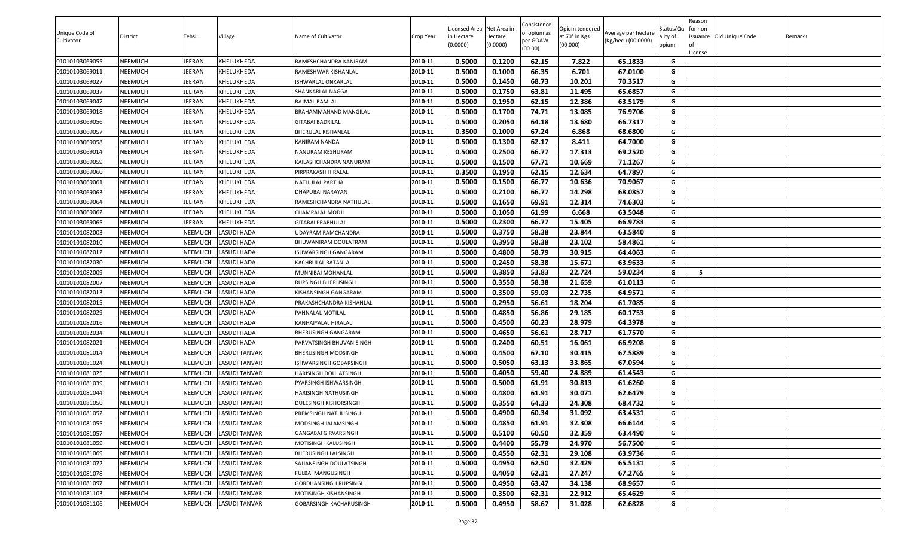| Unique Code of<br>Cultivator | <b>District</b> | Tehsil         | Village              | Name of Cultivator             | Crop Year | Licensed Area Net Area in<br>in Hectare<br>(0.0000) | lectare<br>(0.0000) | Consistence<br>of opium as<br>oer GOAW<br>(00.00) | Opium tendered<br>at 70° in Kgs<br>(00.000) | Average per hectare<br>(Kg/hec.) (00.0000) | Status/Qu<br>ality of<br>opium | Reason<br>for non-<br>issuance Old Unique Code<br>.icense | Remarks |
|------------------------------|-----------------|----------------|----------------------|--------------------------------|-----------|-----------------------------------------------------|---------------------|---------------------------------------------------|---------------------------------------------|--------------------------------------------|--------------------------------|-----------------------------------------------------------|---------|
| 01010103069055               | NEEMUCH         | JEERAN         | KHELUKHEDA           | RAMESHCHANDRA KANIRAM          | 2010-11   | 0.5000                                              | 0.1200              | 62.15                                             | 7.822                                       | 65.1833                                    | G                              |                                                           |         |
| 01010103069011               | NEEMUCH         | JEERAN         | KHELUKHEDA           | RAMESHWAR KISHANLAL            | 2010-11   | 0.5000                                              | 0.1000              | 66.35                                             | 6.701                                       | 67.0100                                    | G                              |                                                           |         |
| 01010103069027               | NEEMUCH         | JEERAN         | KHELUKHEDA           | <b>ISHWARLAL ONKARLAL</b>      | 2010-11   | 0.5000                                              | 0.1450              | 68.73                                             | 10.201                                      | 70.3517                                    | G                              |                                                           |         |
| 01010103069037               | NEEMUCH         | JEERAN         | KHELUKHEDA           | SHANKARLAL NAGGA               | 2010-11   | 0.5000                                              | 0.1750              | 63.81                                             | 11.495                                      | 65.6857                                    | G                              |                                                           |         |
| 01010103069047               | NEEMUCH         | JEERAN         | KHELUKHEDA           | RAJMAL RAMLAL                  | 2010-11   | 0.5000                                              | 0.1950              | 62.15                                             | 12.386                                      | 63.5179                                    | G                              |                                                           |         |
| 01010103069018               | NEEMUCH         | JEERAN         | KHELUKHEDA           | BRAHAMMANAND MANGILAL          | 2010-11   | 0.5000                                              | 0.1700              | 74.71                                             | 13.085                                      | 76.9706                                    | G                              |                                                           |         |
| 01010103069056               | NEEMUCH         | JEERAN         | KHELUKHEDA           | GITABAI BADRILAL               | 2010-11   | 0.5000                                              | 0.2050              | 64.18                                             | 13.680                                      | 66.7317                                    | G                              |                                                           |         |
| 01010103069057               | NEEMUCH         | JEERAN         | KHELUKHEDA           | BHERULAL KISHANLAL             | 2010-11   | 0.3500                                              | 0.1000              | 67.24                                             | 6.868                                       | 68.6800                                    | G                              |                                                           |         |
| 01010103069058               | NEEMUCH         | JEERAN         | KHELUKHEDA           | KANIRAM NANDA                  | 2010-11   | 0.5000                                              | 0.1300              | 62.17                                             | 8.411                                       | 64.7000                                    | G                              |                                                           |         |
| 01010103069014               | NEEMUCH         | JEERAN         | KHELUKHEDA           | NANURAM KESHURAM               | 2010-11   | 0.5000                                              | 0.2500              | 66.77                                             | 17.313                                      | 69.2520                                    | G                              |                                                           |         |
| 01010103069059               | NEEMUCH         | JEERAN         | KHELUKHEDA           | KAILASHCHANDRA NANURAM         | 2010-11   | 0.5000                                              | 0.1500              | 67.71                                             | 10.669                                      | 71.1267                                    | G                              |                                                           |         |
| 01010103069060               | NEEMUCH         | JEERAN         | KHELUKHEDA           | PIRPRAKASH HIRALAL             | 2010-11   | 0.3500                                              | 0.1950              | 62.15                                             | 12.634                                      | 64.7897                                    | G                              |                                                           |         |
| 01010103069061               | NEEMUCH         | JEERAN         | KHELUKHEDA           | NATHULAL PARTHA                | 2010-11   | 0.5000                                              | 0.1500              | 66.77                                             | 10.636                                      | 70.9067                                    | G                              |                                                           |         |
| 01010103069063               | NEEMUCH         | JEERAN         | KHELUKHEDA           | DHAPUBAI NARAYAN               | 2010-11   | 0.5000                                              | 0.2100              | 66.77                                             | 14.298                                      | 68.0857                                    | G                              |                                                           |         |
| 01010103069064               | NEEMUCH         | JEERAN         | KHELUKHEDA           | RAMESHCHANDRA NATHULAL         | 2010-11   | 0.5000                                              | 0.1650              | 69.91                                             | 12.314                                      | 74.6303                                    | G                              |                                                           |         |
| 01010103069062               | NEEMUCH         | JEERAN         | KHELUKHEDA           | CHAMPALAL MODJI                | 2010-11   | 0.5000                                              | 0.1050              | 61.99                                             | 6.668                                       | 63.5048                                    | G                              |                                                           |         |
| 01010103069065               | NEEMUCH         | JEERAN         | KHELUKHEDA           | GITABAI PRABHULAL              | 2010-11   | 0.5000                                              | 0.2300              | 66.77                                             | 15.405                                      | 66.9783                                    | G                              |                                                           |         |
| 01010101082003               | NEEMUCH         | <b>NEEMUCH</b> | LASUDI HADA          | UDAYRAM RAMCHANDRA             | 2010-11   | 0.5000                                              | 0.3750              | 58.38                                             | 23.844                                      | 63.5840                                    | G                              |                                                           |         |
| 01010101082010               | NEEMUCH         | NEEMUCH        | LASUDI HADA          | BHUWANIRAM DOULATRAM           | 2010-11   | 0.5000                                              | 0.3950              | 58.38                                             | 23.102                                      | 58.4861                                    | G                              |                                                           |         |
| 01010101082012               | NEEMUCH         | <b>NEEMUCH</b> | <b>LASUDI HADA</b>   | <b>ISHWARSINGH GANGARAM</b>    | 2010-11   | 0.5000                                              | 0.4800              | 58.79                                             | 30.915                                      | 64.4063                                    | G                              |                                                           |         |
| 01010101082030               | NEEMUCH         | NEEMUCH        | LASUDI HADA          | KACHRULAL RATANLAL             | 2010-11   | 0.5000                                              | 0.2450              | 58.38                                             | 15.671                                      | 63.9633                                    | G                              |                                                           |         |
| 01010101082009               | NEEMUCH         | <b>NEEMUCH</b> | LASUDI HADA          | MUNNIBAI MOHANLAL              | 2010-11   | 0.5000                                              | 0.3850              | 53.83                                             | 22.724                                      | 59.0234                                    | G                              | - 5                                                       |         |
| 01010101082007               | NEEMUCH         | <b>NEEMUCH</b> | LASUDI HADA          | RUPSINGH BHERUSINGH            | 2010-11   | 0.5000                                              | 0.3550              | 58.38                                             | 21.659                                      | 61.0113                                    | G                              |                                                           |         |
| 01010101082013               | NEEMUCH         | <b>NEEMUCH</b> | LASUDI HADA          | KISHANSINGH GANGARAM           | 2010-11   | 0.5000                                              | 0.3500              | 59.03                                             | 22.735                                      | 64.9571                                    | G                              |                                                           |         |
| 01010101082015               | NEEMUCH         | <b>NEEMUCH</b> | LASUDI HADA          | PRAKASHCHANDRA KISHANLAL       | 2010-11   | 0.5000                                              | 0.2950              | 56.61                                             | 18.204                                      | 61.7085                                    | G                              |                                                           |         |
| 01010101082029               | NEEMUCH         | <b>NEEMUCH</b> | LASUDI HADA          | PANNALAL MOTILAL               | 2010-11   | 0.5000                                              | 0.4850              | 56.86                                             | 29.185                                      | 60.1753                                    | G                              |                                                           |         |
| 01010101082016               | NEEMUCH         | NEEMUCH        | LASUDI HADA          | KANHAIYALAL HIRALAL            | 2010-11   | 0.5000                                              | 0.4500              | 60.23                                             | 28.979                                      | 64.3978                                    | G                              |                                                           |         |
| 01010101082034               | NEEMUCH         | <b>NEEMUCH</b> | LASUDI HADA          | BHERUSINGH GANGARAM            | 2010-11   | 0.5000                                              | 0.4650              | 56.61                                             | 28.717                                      | 61.7570                                    | G                              |                                                           |         |
| 01010101082021               | NEEMUCH         | <b>NEEMUCH</b> | LASUDI HADA          | PARVATSINGH BHUVANISINGH       | 2010-11   | 0.5000                                              | 0.2400              | 60.51                                             | 16.061                                      | 66.9208                                    | G                              |                                                           |         |
| 01010101081014               | NEEMUCH         | <b>NEEMUCH</b> | <b>LASUDI TANVAR</b> | BHERUSINGH MODSINGH            | 2010-11   | 0.5000                                              | 0.4500              | 67.10                                             | 30.415                                      | 67.5889                                    | G                              |                                                           |         |
| 01010101081024               | NEEMUCH         | <b>NEEMUCH</b> | <b>LASUDI TANVAR</b> | <b>ISHWARSINGH GOBARSINGH</b>  | 2010-11   | 0.5000                                              | 0.5050              | 63.13                                             | 33.865                                      | 67.0594                                    | G                              |                                                           |         |
| 01010101081025               | NEEMUCH         | <b>NEEMUCH</b> | <b>LASUDI TANVAR</b> | HARISINGH DOULATSINGH          | 2010-11   | 0.5000                                              | 0.4050              | 59.40                                             | 24.889                                      | 61.4543                                    | G                              |                                                           |         |
| 01010101081039               | NEEMUCH         | <b>NEEMUCH</b> | LASUDI TANVAR        | PYARSINGH ISHWARSINGH          | 2010-11   | 0.5000                                              | 0.5000              | 61.91                                             | 30.813                                      | 61.6260                                    | G                              |                                                           |         |
| 01010101081044               | NEEMUCH         | <b>NEEMUCH</b> | <b>LASUDI TANVAR</b> | HARISINGH NATHUSINGH           | 2010-11   | 0.5000                                              | 0.4800              | 61.91                                             | 30.071                                      | 62.6479                                    | G                              |                                                           |         |
| 01010101081050               | NEEMUCH         | NEEMUCH        | <b>LASUDI TANVAR</b> | DULESINGH KISHORSINGH          | 2010-11   | 0.5000                                              | 0.3550              | 64.33                                             | 24.308                                      | 68.4732                                    | G                              |                                                           |         |
| 01010101081052               | <b>NEEMUCH</b>  | <b>NEEMUCH</b> | <b>LASUDI TANVAR</b> | PREMSINGH NATHUSINGH           | 2010-11   | 0.5000                                              | 0.4900              | 60.34                                             | 31.092                                      | 63.4531                                    | G                              |                                                           |         |
| 01010101081055               | NEEMUCH         | <b>NEEMUCH</b> | <b>LASUDI TANVAR</b> | MODSINGH JALAMSINGH            | 2010-11   | 0.5000                                              | 0.4850              | 61.91                                             | 32.308                                      | 66.6144                                    | G                              |                                                           |         |
| 01010101081057               | NEEMUCH         | NEEMUCH        | <b>LASUDI TANVAR</b> | GANGABAI GIRVARSINGH           | 2010-11   | 0.5000                                              | 0.5100              | 60.50                                             | 32.359                                      | 63.4490                                    | G                              |                                                           |         |
| 01010101081059               | NEEMUCH         | <b>NEEMUCH</b> | <b>LASUDI TANVAR</b> | MOTISINGH KALUSINGH            | 2010-11   | 0.5000                                              | 0.4400              | 55.79                                             | 24.970                                      | 56.7500                                    | G                              |                                                           |         |
| 01010101081069               | NEEMUCH         | <b>NEEMUCH</b> | <b>LASUDI TANVAR</b> | BHERUSINGH LALSINGH            | 2010-11   | 0.5000                                              | 0.4550              | 62.31                                             | 29.108                                      | 63.9736                                    | G                              |                                                           |         |
| 01010101081072               | NEEMUCH         | <b>NEEMUCH</b> | <b>LASUDI TANVAR</b> | SAJJANSINGH DOULATSINGH        | 2010-11   | 0.5000                                              | 0.4950              | 62.50                                             | 32.429                                      | 65.5131                                    | G                              |                                                           |         |
| 01010101081078               | NEEMUCH         | <b>NEEMUCH</b> | <b>LASUDI TANVAR</b> | FULBAI MANGUSINGH              | 2010-11   | 0.5000                                              | 0.4050              | 62.31                                             | 27.247                                      | 67.2765                                    | G                              |                                                           |         |
| 01010101081097               | NEEMUCH         | <b>NEEMUCH</b> | <b>LASUDI TANVAR</b> | GORDHANSINGH RUPSINGH          | 2010-11   | 0.5000                                              | 0.4950              | 63.47                                             | 34.138                                      | 68.9657                                    | G                              |                                                           |         |
| 01010101081103               | NEEMUCH         | <b>NEEMUCH</b> | <b>LASUDI TANVAR</b> | MOTISINGH KISHANSINGH          | 2010-11   | 0.5000                                              | 0.3500              | 62.31                                             | 22.912                                      | 65.4629                                    | G                              |                                                           |         |
| 01010101081106               | NEEMUCH         | <b>NEEMUCH</b> | <b>LASUDI TANVAR</b> | <b>GOBARSINGH KACHARUSINGH</b> | 2010-11   | 0.5000                                              | 0.4950              | 58.67                                             | 31.028                                      | 62.6828                                    | G                              |                                                           |         |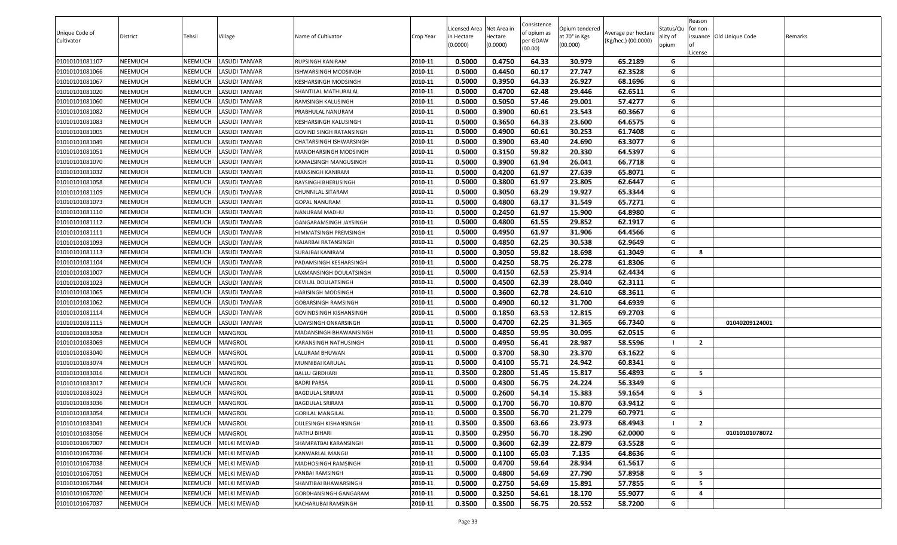| Unique Code of<br>Cultivator | District       | Tehsil         | Village              | Name of Cultivator      | Crop Year | Licensed Area Net Area in<br>n Hectare<br>(0.0000) | Hectare<br>(0.0000) | Consistence<br>of opium as<br>per GOAW<br>(00.00) | Opium tendered<br>at 70° in Kgs<br>(00.000) | Average per hectare<br>(Kg/hec.) (00.0000) | Status/Qu<br>ality of<br>opium | Reason<br>for non- | issuance Old Unique Code | Remarks |
|------------------------------|----------------|----------------|----------------------|-------------------------|-----------|----------------------------------------------------|---------------------|---------------------------------------------------|---------------------------------------------|--------------------------------------------|--------------------------------|--------------------|--------------------------|---------|
|                              |                |                |                      |                         |           |                                                    |                     |                                                   |                                             |                                            |                                | License            |                          |         |
| 01010101081107               | NEEMUCH        | <b>NEEMUCH</b> | <b>LASUDI TANVAR</b> | RUPSINGH KANIRAM        | 2010-11   | 0.5000                                             | 0.4750              | 64.33                                             | 30.979                                      | 65.2189                                    | G                              |                    |                          |         |
| 01010101081066               | NEEMUCH        | NEEMUCH        | <b>LASUDI TANVAR</b> | ISHWARSINGH MODSINGH    | 2010-11   | 0.5000                                             | 0.4450              | 60.17                                             | 27.747                                      | 62.3528                                    | G                              |                    |                          |         |
| 01010101081067               | NEEMUCH        | <b>NEEMUCH</b> | <b>LASUDI TANVAR</b> | KESHARSINGH MODSINGH    | 2010-11   | 0.5000                                             | 0.3950              | 64.33                                             | 26.927                                      | 68.1696                                    | G                              |                    |                          |         |
| 01010101081020               | NEEMUCH        | <b>NEEMUCH</b> | <b>LASUDI TANVAR</b> | SHANTILAL MATHURALAL    | 2010-11   | 0.5000                                             | 0.4700              | 62.48                                             | 29.446                                      | 62.6511                                    | G                              |                    |                          |         |
| 01010101081060               | NEEMUCH        | <b>NEEMUCH</b> | <b>LASUDI TANVAR</b> | RAMSINGH KALUSINGH      | 2010-11   | 0.5000                                             | 0.5050              | 57.46                                             | 29.001                                      | 57.4277                                    | G                              |                    |                          |         |
| 01010101081082               | NEEMUCH        | <b>NEEMUCH</b> | <b>LASUDI TANVAR</b> | PRABHULAL NANURAM       | 2010-11   | 0.5000                                             | 0.3900              | 60.61                                             | 23.543                                      | 60.3667                                    | G                              |                    |                          |         |
| 01010101081083               | NEEMUCH        | <b>NEEMUCH</b> | <b>LASUDI TANVAR</b> | KESHARSINGH KALUSINGH   | 2010-11   | 0.5000                                             | 0.3650              | 64.33                                             | 23.600                                      | 64.6575                                    | G                              |                    |                          |         |
| 01010101081005               | NEEMUCH        | <b>NEEMUCH</b> | <b>LASUDI TANVAR</b> | GOVIND SINGH RATANSINGH | 2010-11   | 0.5000                                             | 0.4900              | 60.61                                             | 30.253                                      | 61.7408                                    | G                              |                    |                          |         |
| 01010101081049               | NEEMUCH        | <b>NEEMUCH</b> | <b>LASUDI TANVAR</b> | CHATARSINGH ISHWARSINGH | 2010-11   | 0.5000                                             | 0.3900              | 63.40                                             | 24.690                                      | 63.3077                                    | G                              |                    |                          |         |
| 01010101081051               | NEEMUCH        | NEEMUCH        | <b>LASUDI TANVAR</b> | MANOHARSINGH MODSINGH   | 2010-11   | 0.5000                                             | 0.3150              | 59.82                                             | 20.330                                      | 64.5397                                    | G                              |                    |                          |         |
| 01010101081070               | NEEMUCH        | NEEMUCH        | <b>LASUDI TANVAR</b> | KAMALSINGH MANGUSINGH   | 2010-11   | 0.5000                                             | 0.3900              | 61.94                                             | 26.041                                      | 66.7718                                    | G                              |                    |                          |         |
| 01010101081032               | NEEMUCH        | <b>NEEMUCH</b> | <b>LASUDI TANVAR</b> | MANSINGH KANIRAM        | 2010-11   | 0.5000                                             | 0.4200              | 61.97                                             | 27.639                                      | 65.8071                                    | G                              |                    |                          |         |
| 01010101081058               | NEEMUCH        | <b>NEEMUCH</b> | <b>LASUDI TANVAR</b> | RAYSINGH BHERUSINGH     | 2010-11   | 0.5000                                             | 0.3800              | 61.97                                             | 23.805                                      | 62.6447                                    | G                              |                    |                          |         |
| 01010101081109               | NEEMUCH        | <b>NEEMUCH</b> | <b>LASUDI TANVAR</b> | CHUNNILAL SITARAM       | 2010-11   | 0.5000                                             | 0.3050              | 63.29                                             | 19.927                                      | 65.3344                                    | G                              |                    |                          |         |
| 01010101081073               | NEEMUCH        | <b>NEEMUCH</b> | <b>LASUDI TANVAR</b> | <b>GOPAL NANURAM</b>    | 2010-11   | 0.5000                                             | 0.4800              | 63.17                                             | 31.549                                      | 65.7271                                    | G                              |                    |                          |         |
| 01010101081110               | NEEMUCH        | <b>NEEMUCH</b> | <b>LASUDI TANVAR</b> | NANURAM MADHU           | 2010-11   | 0.5000                                             | 0.2450              | 61.97                                             | 15.900                                      | 64.8980                                    | G                              |                    |                          |         |
| 01010101081112               | NEEMUCH        | NEEMUCH        | <b>LASUDI TANVAR</b> | GANGARAMSINGH JAYSINGH  | 2010-11   | 0.5000                                             | 0.4800              | 61.55                                             | 29.852                                      | 62.1917                                    | G                              |                    |                          |         |
| 01010101081111               | NEEMUCH        | <b>NEEMUCH</b> | <b>LASUDI TANVAR</b> | HIMMATSINGH PREMSINGH   | 2010-11   | 0.5000                                             | 0.4950              | 61.97                                             | 31.906                                      | 64.4566                                    | G                              |                    |                          |         |
| 01010101081093               | NEEMUCH        | NEEMUCH        | <b>LASUDI TANVAR</b> | NAJARBAI RATANSINGH     | 2010-11   | 0.5000                                             | 0.4850              | 62.25                                             | 30.538                                      | 62.9649                                    | G                              |                    |                          |         |
| 01010101081113               | NEEMUCH        | <b>NEEMUCH</b> | <b>LASUDI TANVAR</b> | SURAJBAI KANIRAM        | 2010-11   | 0.5000                                             | 0.3050              | 59.82                                             | 18.698                                      | 61.3049                                    | G                              | 8                  |                          |         |
| 01010101081104               | NEEMUCH        | NEEMUCH        | <b>LASUDI TANVAR</b> | PADAMSINGH KESHARSINGH  | 2010-11   | 0.5000                                             | 0.4250              | 58.75                                             | 26.278                                      | 61.8306                                    | G                              |                    |                          |         |
| 01010101081007               | NEEMUCH        | <b>NEEMUCH</b> | <b>LASUDI TANVAR</b> | LAXMANSINGH DOULATSINGH | 2010-11   | 0.5000                                             | 0.4150              | 62.53                                             | 25.914                                      | 62.4434                                    | G                              |                    |                          |         |
| 01010101081023               | NEEMUCH        | <b>NEEMUCH</b> | <b>LASUDI TANVAR</b> | DEVILAL DOULATSINGH     | 2010-11   | 0.5000                                             | 0.4500              | 62.39                                             | 28.040                                      | 62.3111                                    | G                              |                    |                          |         |
| 01010101081065               | NEEMUCH        | <b>NEEMUCH</b> | <b>LASUDI TANVAR</b> | HARISINGH MODSINGH      | 2010-11   | 0.5000                                             | 0.3600              | 62.78                                             | 24.610                                      | 68.3611                                    | G                              |                    |                          |         |
| 01010101081062               | NEEMUCH        | NEEMUCH        | <b>LASUDI TANVAR</b> | GOBARSINGH RAMSINGH     | 2010-11   | 0.5000                                             | 0.4900              | 60.12                                             | 31.700                                      | 64.6939                                    | G                              |                    |                          |         |
| 01010101081114               | NEEMUCH        | <b>NEEMUCH</b> | <b>LASUDI TANVAR</b> | GOVINDSINGH KISHANSINGH | 2010-11   | 0.5000                                             | 0.1850              | 63.53                                             | 12.815                                      | 69.2703                                    | G                              |                    |                          |         |
| 01010101081115               | NEEMUCH        | NEEMUCH        | <b>LASUDI TANVAR</b> | UDAYSINGH ONKARSINGH    | 2010-11   | 0.5000                                             | 0.4700              | 62.25                                             | 31.365                                      | 66.7340                                    | G                              |                    | 01040209124001           |         |
| 01010101083058               | NEEMUCH        | <b>NEEMUCH</b> | <b>MANGROL</b>       | MADANSINGH BHAWANISINGH | 2010-11   | 0.5000                                             | 0.4850              | 59.95                                             | 30.095                                      | 62.0515                                    | G                              |                    |                          |         |
| 01010101083069               | NEEMUCH        | <b>NEEMUCH</b> | MANGROL              | KARANSINGH NATHUSINGH   | 2010-11   | 0.5000                                             | 0.4950              | 56.41                                             | 28.987                                      | 58.5596                                    |                                | $\overline{2}$     |                          |         |
| 01010101083040               | NEEMUCH        | <b>NEEMUCH</b> | <b>MANGROL</b>       | LALURAM BHUWAN          | 2010-11   | 0.5000                                             | 0.3700              | 58.30                                             | 23.370                                      | 63.1622                                    | G                              |                    |                          |         |
| 01010101083074               | NEEMUCH        | <b>NEEMUCH</b> | <b>MANGROL</b>       | MUNNIBAI KARULAL        | 2010-11   | 0.5000                                             | 0.4100              | 55.71                                             | 24.942                                      | 60.8341                                    | G                              |                    |                          |         |
| 01010101083016               | NEEMUCH        | <b>NEEMUCH</b> | <b>MANGROL</b>       | <b>BALLU GIRDHARI</b>   | 2010-11   | 0.3500                                             | 0.2800              | 51.45                                             | 15.817                                      | 56.4893                                    | G                              | 5                  |                          |         |
| 01010101083017               | NEEMUCH        | <b>NEEMUCH</b> | MANGROL              | <b>BADRI PARSA</b>      | 2010-11   | 0.5000                                             | 0.4300              | 56.75                                             | 24.224                                      | 56.3349                                    | G                              |                    |                          |         |
| 01010101083023               | NEEMUCH        | <b>NEEMUCH</b> | <b>MANGROL</b>       | <b>BAGDULAL SRIRAM</b>  | 2010-11   | 0.5000                                             | 0.2600              | 54.14                                             | 15.383                                      | 59.1654                                    | G                              | 5                  |                          |         |
| 01010101083036               | NEEMUCH        | NEEMUCH        | <b>MANGROL</b>       | <b>BAGDULAL SRIRAM</b>  | 2010-11   | 0.5000                                             | 0.1700              | 56.70                                             | 10.870                                      | 63.9412                                    | G                              |                    |                          |         |
| 01010101083054               | <b>NEEMUCH</b> | <b>NEEMUCH</b> | <b>MANGROL</b>       | <b>GORILAL MANGILAL</b> | 2010-11   | 0.5000                                             | 0.3500              | 56.70                                             | 21.279                                      | 60.7971                                    | G                              |                    |                          |         |
| 01010101083041               | NEEMUCH        | <b>NEEMUCH</b> | <b>MANGROL</b>       | DULESINGH KISHANSINGH   | 2010-11   | 0.3500                                             | 0.3500              | 63.66                                             | 23.973                                      | 68.4943                                    |                                | $\overline{2}$     |                          |         |
| 01010101083056               | NEEMUCH        | NEEMUCH        | <b>MANGROL</b>       | NATHU BIHARI            | 2010-11   | 0.3500                                             | 0.2950              | 56.70                                             | 18.290                                      | 62.0000                                    | G                              |                    | 01010101078072           |         |
| 01010101067007               | NEEMUCH        | <b>NEEMUCH</b> | <b>MELKI MEWAD</b>   | SHAMPATBAI KARANSINGH   | 2010-11   | 0.5000                                             | 0.3600              | 62.39                                             | 22.879                                      | 63.5528                                    | G                              |                    |                          |         |
| 01010101067036               | NEEMUCH        | NEEMUCH        | <b>MELKI MEWAD</b>   | KANWARLAL MANGU         | 2010-11   | 0.5000                                             | 0.1100              | 65.03                                             | 7.135                                       | 64.8636                                    | G                              |                    |                          |         |
| 01010101067038               | NEEMUCH        | <b>NEEMUCH</b> | <b>MELKI MEWAD</b>   | MADHOSINGH RAMSINGH     | 2010-11   | 0.5000                                             | 0.4700              | 59.64                                             | 28.934                                      | 61.5617                                    | G                              |                    |                          |         |
| 01010101067051               | NEEMUCH        | NEEMUCH        | <b>MELKI MEWAD</b>   | PANBAI RAMSINGH         | 2010-11   | 0.5000                                             | 0.4800              | 54.69                                             | 27.790                                      | 57.8958                                    | G                              | 5                  |                          |         |
| 01010101067044               | NEEMUCH        | <b>NEEMUCH</b> | <b>MELKI MEWAD</b>   | SHANTIBAI BHAWARSINGH   | 2010-11   | 0.5000                                             | 0.2750              | 54.69                                             | 15.891                                      | 57.7855                                    | G                              | - 5                |                          |         |
| 01010101067020               | NEEMUCH        | <b>NEEMUCH</b> | <b>MELKI MEWAD</b>   | GORDHANSINGH GANGARAM   | 2010-11   | 0.5000                                             | 0.3250              | 54.61                                             | 18.170                                      | 55.9077                                    | G                              | -4                 |                          |         |
| 01010101067037               | NEEMUCH        | <b>NEEMUCH</b> | <b>MELKI MEWAD</b>   | KACHARUBAI RAMSINGH     | 2010-11   | 0.3500                                             | 0.3500              | 56.75                                             | 20.552                                      | 58.7200                                    | G                              |                    |                          |         |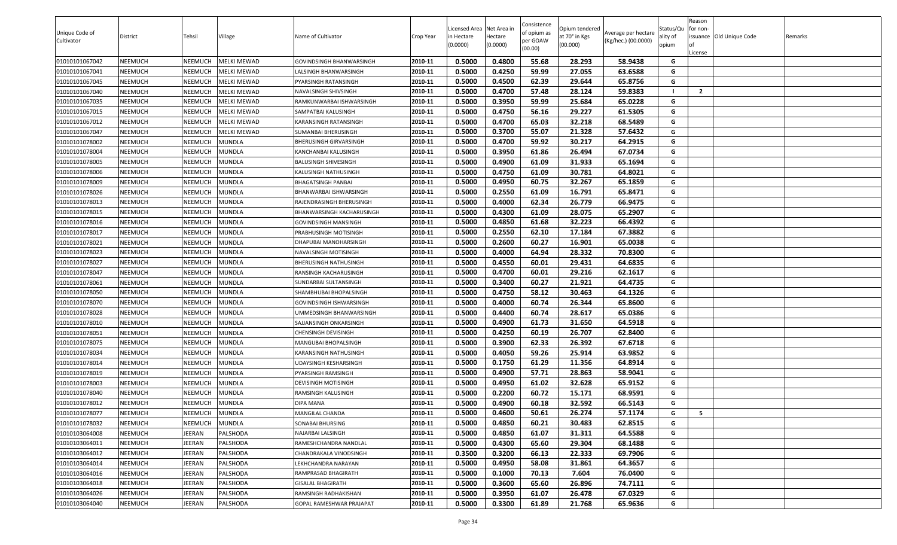| Unique Code of<br>Cultivator | <b>District</b> | Tehsil         | Village            | Name of Cultivator        | Crop Year | Licensed Area Net Area in<br>in Hectare<br>(0.0000) | lectare<br>(0.0000) | Consistence<br>of opium as<br>oer GOAW<br>(00.00) | Opium tendered<br>at 70° in Kgs<br>(00.000) | Average per hectare<br>(Kg/hec.) (00.0000) | Status/Qu<br>ality of<br>opium | Reason<br>for non-<br>issuance Old Unique Code | Remarks |
|------------------------------|-----------------|----------------|--------------------|---------------------------|-----------|-----------------------------------------------------|---------------------|---------------------------------------------------|---------------------------------------------|--------------------------------------------|--------------------------------|------------------------------------------------|---------|
| 01010101067042               | NEEMUCH         | <b>NEEMUCH</b> | <b>MELKI MEWAD</b> | GOVINDSINGH BHANWARSINGH  | 2010-11   | 0.5000                                              | 0.4800              | 55.68                                             | 28.293                                      | 58.9438                                    | G                              | .icense                                        |         |
| 01010101067041               | NEEMUCH         | NEEMUCH        | <b>MELKI MEWAD</b> | ALSINGH BHANWARSINGH      | 2010-11   | 0.5000                                              | 0.4250              | 59.99                                             | 27.055                                      | 63.6588                                    | G                              |                                                |         |
| 01010101067045               | NEEMUCH         | <b>NEEMUCH</b> | <b>MELKI MEWAD</b> | PYARSINGH RATANSINGH      | 2010-11   | 0.5000                                              | 0.4500              | 62.39                                             | 29.644                                      | 65.8756                                    | G                              |                                                |         |
| 01010101067040               | NEEMUCH         | <b>NEEMUCH</b> | MELKI MEWAD        | NAVALSINGH SHIVSINGH      | 2010-11   | 0.5000                                              | 0.4700              | 57.48                                             | 28.124                                      | 59.8383                                    |                                | $\overline{2}$                                 |         |
| 01010101067035               | NEEMUCH         | <b>NEEMUCH</b> | <b>MELKI MEWAD</b> | RAMKUNWARBAI ISHWARSINGH  | 2010-11   | 0.5000                                              | 0.3950              | 59.99                                             | 25.684                                      | 65.0228                                    | G                              |                                                |         |
| 01010101067015               | NEEMUCH         | <b>NEEMUCH</b> | <b>MELKI MEWAD</b> | SAMPATBAI KALUSINGH       | 2010-11   | 0.5000                                              | 0.4750              | 56.16                                             | 29.227                                      | 61.5305                                    | G                              |                                                |         |
| 01010101067012               | NEEMUCH         | <b>NEEMUCH</b> | <b>MELKI MEWAD</b> | KARANSINGH RATANSINGH     | 2010-11   | 0.5000                                              | 0.4700              | 65.03                                             | 32.218                                      | 68.5489                                    | G                              |                                                |         |
| 01010101067047               | NEEMUCH         | <b>NEEMUCH</b> | <b>MELKI MEWAD</b> | SUMANBAI BHERUSINGH       | 2010-11   | 0.5000                                              | 0.3700              | 55.07                                             | 21.328                                      | 57.6432                                    | G                              |                                                |         |
| 01010101078002               | NEEMUCH         | <b>NEEMUCH</b> | <b>MUNDLA</b>      | BHERUSINGH GIRVARSINGH    | 2010-11   | 0.5000                                              | 0.4700              | 59.92                                             | 30.217                                      | 64.2915                                    | G                              |                                                |         |
| 01010101078004               | NEEMUCH         | <b>NEEMUCH</b> | <b>MUNDLA</b>      | KANCHANBAI KALUSINGH      | 2010-11   | 0.5000                                              | 0.3950              | 61.86                                             | 26.494                                      | 67.0734                                    | G                              |                                                |         |
| 01010101078005               | NEEMUCH         | <b>NEEMUCH</b> | <b>MUNDLA</b>      | BALUSINGH SHIVESINGH      | 2010-11   | 0.5000                                              | 0.4900              | 61.09                                             | 31.933                                      | 65.1694                                    | G                              |                                                |         |
| 01010101078006               | NEEMUCH         | <b>NEEMUCH</b> | <b>MUNDLA</b>      | KALUSINGH NATHUSINGH      | 2010-11   | 0.5000                                              | 0.4750              | 61.09                                             | 30.781                                      | 64.8021                                    | G                              |                                                |         |
| 01010101078009               | NEEMUCH         | <b>NEEMUCH</b> | <b>MUNDLA</b>      | BHAGATSINGH PANBAI        | 2010-11   | 0.5000                                              | 0.4950              | 60.75                                             | 32.267                                      | 65.1859                                    | G                              |                                                |         |
| 01010101078026               | NEEMUCH         | <b>NEEMUCH</b> | <b>MUNDLA</b>      | BHANWARBAI ISHWARSINGH    | 2010-11   | 0.5000                                              | 0.2550              | 61.09                                             | 16.791                                      | 65.8471                                    | G                              |                                                |         |
| 01010101078013               | NEEMUCH         | <b>NEEMUCH</b> | <b>MUNDLA</b>      | RAJENDRASINGH BHERUSINGH  | 2010-11   | 0.5000                                              | 0.4000              | 62.34                                             | 26.779                                      | 66.9475                                    | G                              |                                                |         |
| 01010101078015               | NEEMUCH         | <b>NEEMUCH</b> | <b>MUNDLA</b>      | BHANWARSINGH KACHARUSINGH | 2010-11   | 0.5000                                              | 0.4300              | 61.09                                             | 28.075                                      | 65.2907                                    | G                              |                                                |         |
| 01010101078016               | NEEMUCH         | NEEMUCH        | <b>MUNDLA</b>      | GOVINDSINGH MANSINGH      | 2010-11   | 0.5000                                              | 0.4850              | 61.68                                             | 32.223                                      | 66.4392                                    | G                              |                                                |         |
| 01010101078017               | NEEMUCH         | <b>NEEMUCH</b> | <b>MUNDLA</b>      | PRABHUSINGH MOTISINGH     | 2010-11   | 0.5000                                              | 0.2550              | 62.10                                             | 17.184                                      | 67.3882                                    | G                              |                                                |         |
| 01010101078021               | NEEMUCH         | NEEMUCH        | <b>MUNDLA</b>      | DHAPUBAI MANOHARSINGH     | 2010-11   | 0.5000                                              | 0.2600              | 60.27                                             | 16.901                                      | 65.0038                                    | G                              |                                                |         |
| 01010101078023               | NEEMUCH         | <b>NEEMUCH</b> | <b>MUNDLA</b>      | NAVALSINGH MOTISINGH      | 2010-11   | 0.5000                                              | 0.4000              | 64.94                                             | 28.332                                      | 70.8300                                    | G                              |                                                |         |
| 01010101078027               | NEEMUCH         | NEEMUCH        | MUNDLA             | BHERUSINGH NATHUSINGH     | 2010-11   | 0.5000                                              | 0.4550              | 60.01                                             | 29.431                                      | 64.6835                                    | G                              |                                                |         |
| 01010101078047               | NEEMUCH         | <b>NEEMUCH</b> | <b>MUNDLA</b>      | RANSINGH KACHARUSINGH     | 2010-11   | 0.5000                                              | 0.4700              | 60.01                                             | 29.216                                      | 62.1617                                    | G                              |                                                |         |
| 01010101078061               | NEEMUCH         | NEEMUCH        | <b>MUNDLA</b>      | SUNDARBAI SULTANSINGH     | 2010-11   | 0.5000                                              | 0.3400              | 60.27                                             | 21.921                                      | 64.4735                                    | G                              |                                                |         |
| 01010101078050               | NEEMUCH         | <b>NEEMUCH</b> | <b>MUNDLA</b>      | SHAMBHUBAI BHOPALSINGH    | 2010-11   | 0.5000                                              | 0.4750              | 58.12                                             | 30.463                                      | 64.1326                                    | G                              |                                                |         |
| 01010101078070               | NEEMUCH         | <b>NEEMUCH</b> | <b>MUNDLA</b>      | GOVINDSINGH ISHWARSINGH   | 2010-11   | 0.5000                                              | 0.4000              | 60.74                                             | 26.344                                      | 65.8600                                    | G                              |                                                |         |
| 01010101078028               | NEEMUCH         | <b>NEEMUCH</b> | <b>MUNDLA</b>      | JMMEDSINGH BHANWARSINGH   | 2010-11   | 0.5000                                              | 0.4400              | 60.74                                             | 28.617                                      | 65.0386                                    | G                              |                                                |         |
| 01010101078010               | NEEMUCH         | <b>NEEMUCH</b> | <b>MUNDLA</b>      | SAJJANSINGH ONKARSINGH    | 2010-11   | 0.5000                                              | 0.4900              | 61.73                                             | 31.650                                      | 64.5918                                    | G                              |                                                |         |
| 01010101078051               | NEEMUCH         | <b>NEEMUCH</b> | <b>MUNDLA</b>      | CHENSINGH DEVISINGH       | 2010-11   | 0.5000                                              | 0.4250              | 60.19                                             | 26.707                                      | 62.8400                                    | G                              |                                                |         |
| 01010101078075               | NEEMUCH         | NEEMUCH        | <b>MUNDLA</b>      | MANGUBAI BHOPALSINGH      | 2010-11   | 0.5000                                              | 0.3900              | 62.33                                             | 26.392                                      | 67.6718                                    | G                              |                                                |         |
| 01010101078034               | NEEMUCH         | <b>NEEMUCH</b> | <b>MUNDLA</b>      | KARANSINGH NATHUSINGH     | 2010-11   | 0.5000                                              | 0.4050              | 59.26                                             | 25.914                                      | 63.9852                                    | G                              |                                                |         |
| 01010101078014               | NEEMUCH         | NEEMUCH        | <b>MUNDLA</b>      | JDAYSINGH KESHARSINGH     | 2010-11   | 0.5000                                              | 0.1750              | 61.29                                             | 11.356                                      | 64.8914                                    | G                              |                                                |         |
| 01010101078019               | NEEMUCH         | <b>NEEMUCH</b> | <b>MUNDLA</b>      | PYARSINGH RAMSINGH        | 2010-11   | 0.5000                                              | 0.4900              | 57.71                                             | 28.863                                      | 58.9041                                    | G                              |                                                |         |
| 01010101078003               | NEEMUCH         | <b>NEEMUCH</b> | <b>MUNDLA</b>      | DEVISINGH MOTISINGH       | 2010-11   | 0.5000                                              | 0.4950              | 61.02                                             | 32.628                                      | 65.9152                                    | G                              |                                                |         |
| 01010101078040               | NEEMUCH         | <b>NEEMUCH</b> | <b>MUNDLA</b>      | RAMSINGH KALUSINGH        | 2010-11   | 0.5000                                              | 0.2200              | 60.72                                             | 15.171                                      | 68.9591                                    | G                              |                                                |         |
| 01010101078012               | NEEMUCH         | NEEMUCH        | <b>MUNDLA</b>      | DIPA MANA                 | 2010-11   | 0.5000                                              | 0.4900              | 60.18                                             | 32.592                                      | 66.5143                                    | G                              |                                                |         |
| 01010101078077               | NEEMUCH         | <b>NEEMUCH</b> | <b>MUNDLA</b>      | MANGILAL CHANDA           | 2010-11   | 0.5000                                              | 0.4600              | 50.61                                             | 26.274                                      | 57.1174                                    | G                              | -5                                             |         |
| 01010101078032               | NEEMUCH         | <b>NEEMUCH</b> | <b>MUNDLA</b>      | SONABAI BHURSING          | 2010-11   | 0.5000                                              | 0.4850              | 60.21                                             | 30.483                                      | 62.8515                                    | G                              |                                                |         |
| 01010103064008               | NEEMUCH         | JEERAN         | PALSHODA           | NAJARBAI LALSINGH         | 2010-11   | 0.5000                                              | 0.4850              | 61.07                                             | 31.311                                      | 64.5588                                    | G                              |                                                |         |
| 01010103064011               | NEEMUCH         | JEERAN         | PALSHODA           | RAMESHCHANDRA NANDLAL     | 2010-11   | 0.5000                                              | 0.4300              | 65.60                                             | 29.304                                      | 68.1488                                    | G                              |                                                |         |
| 01010103064012               | NEEMUCH         | JEERAN         | PALSHODA           | CHANDRAKALA VINODSINGH    | 2010-11   | 0.3500                                              | 0.3200              | 66.13                                             | 22.333                                      | 69.7906                                    | G                              |                                                |         |
| 01010103064014               | NEEMUCH         | JEERAN         | PALSHODA           | LEKHCHANDRA NARAYAN       | 2010-11   | 0.5000                                              | 0.4950              | 58.08                                             | 31.861                                      | 64.3657                                    | G                              |                                                |         |
| 01010103064016               | NEEMUCH         | JEERAN         | PALSHODA           | RAMPRASAD BHAGIRATH       | 2010-11   | 0.5000                                              | 0.1000              | 70.13                                             | 7.604                                       | 76.0400                                    | G                              |                                                |         |
| 01010103064018               | NEEMUCH         | JEERAN         | PALSHODA           | <b>GISALAL BHAGIRATH</b>  | 2010-11   | 0.5000                                              | 0.3600              | 65.60                                             | 26.896                                      | 74.7111                                    | G                              |                                                |         |
| 01010103064026               | NEEMUCH         | JEERAN         | PALSHODA           | RAMSINGH RADHAKISHAN      | 2010-11   | 0.5000                                              | 0.3950              | 61.07                                             | 26.478                                      | 67.0329                                    | G                              |                                                |         |
| 01010103064040               | NEEMUCH         | JEERAN         | PALSHODA           | GOPAL RAMESHWAR PRAJAPAT  | 2010-11   | 0.5000                                              | 0.3300              | 61.89                                             | 21.768                                      | 65.9636                                    | G                              |                                                |         |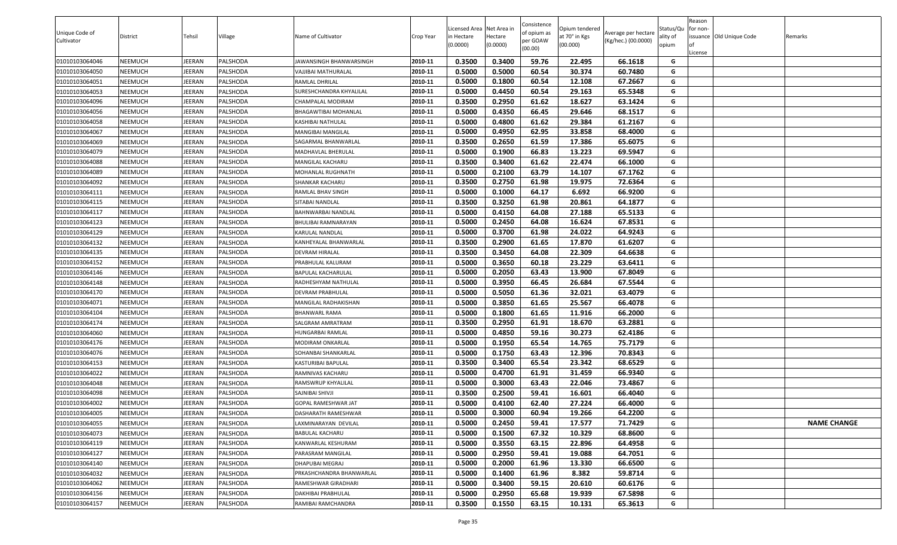| Unique Code of<br>Cultivator | District | Tehsil | Village         | Name of Cultivator       | Crop Year | Licensed Area Net Area in<br>n Hectare<br>(0.0000) | Hectare<br>(0.0000) | Consistence<br>of opium as<br>per GOAW<br>(00.00) | Opium tendered<br>at 70° in Kgs<br>(00.000) | Average per hectare<br>(Kg/hec.) (00.0000) | Status/Qu<br>ality of<br>opium | Reason<br>for non-<br>License | issuance Old Unique Code | Remarks            |
|------------------------------|----------|--------|-----------------|--------------------------|-----------|----------------------------------------------------|---------------------|---------------------------------------------------|---------------------------------------------|--------------------------------------------|--------------------------------|-------------------------------|--------------------------|--------------------|
| 01010103064046               | NEEMUCH  | JEERAN | PALSHODA        | IAWANSINGH BHANWARSINGH  | 2010-11   | 0.3500                                             | 0.3400              | 59.76                                             | 22.495                                      | 66.1618                                    | G                              |                               |                          |                    |
| 01010103064050               | NEEMUCH  | JEERAN | PALSHODA        | VAJJIBAI MATHURALAL      | 2010-11   | 0.5000                                             | 0.5000              | 60.54                                             | 30.374                                      | 60.7480                                    | G                              |                               |                          |                    |
| 01010103064051               | NEEMUCH  | JEERAN | PALSHODA        | RAMLAL DHRILAL           | 2010-11   | 0.5000                                             | 0.1800              | 60.54                                             | 12.108                                      | 67.2667                                    | G                              |                               |                          |                    |
| 01010103064053               | NEEMUCH  | JEERAN | PALSHODA        | SURESHCHANDRA KHYALILAL  | 2010-11   | 0.5000                                             | 0.4450              | 60.54                                             | 29.163                                      | 65.5348                                    | G                              |                               |                          |                    |
| 01010103064096               | NEEMUCH  | JEERAN | PALSHODA        | CHAMPALAL MODIRAM        | 2010-11   | 0.3500                                             | 0.2950              | 61.62                                             | 18.627                                      | 63.1424                                    | G                              |                               |                          |                    |
| 01010103064056               | NEEMUCH  | JEERAN | PALSHODA        | BHAGAWTIBAI MOHANLAL     | 2010-11   | 0.5000                                             | 0.4350              | 66.45                                             | 29.646                                      | 68.1517                                    | G                              |                               |                          |                    |
| 01010103064058               | NEEMUCH  | JEERAN | PALSHODA        | KASHIBAI NATHULAL        | 2010-11   | 0.5000                                             | 0.4800              | 61.62                                             | 29.384                                      | 61.2167                                    | G                              |                               |                          |                    |
| 01010103064067               | NEEMUCH  | JEERAN | PALSHODA        | MANGIBAI MANGILAL        | 2010-11   | 0.5000                                             | 0.4950              | 62.95                                             | 33.858                                      | 68.4000                                    | G                              |                               |                          |                    |
| 01010103064069               | NEEMUCH  | JEERAN | PALSHODA        | SAGARMAL BHANWARLAL      | 2010-11   | 0.3500                                             | 0.2650              | 61.59                                             | 17.386                                      | 65.6075                                    | G                              |                               |                          |                    |
| 01010103064079               | NEEMUCH  | JEERAN | PALSHODA        | MADHAVLAL BHERULAL       | 2010-11   | 0.5000                                             | 0.1900              | 66.83                                             | 13.223                                      | 69.5947                                    | G                              |                               |                          |                    |
| 01010103064088               | NEEMUCH  | JEERAN | PALSHODA        | MANGILAL KACHARU         | 2010-11   | 0.3500                                             | 0.3400              | 61.62                                             | 22.474                                      | 66.1000                                    | G                              |                               |                          |                    |
| 01010103064089               | NEEMUCH  | JEERAN | PALSHODA        | MOHANLAL RUGHNATH        | 2010-11   | 0.5000                                             | 0.2100              | 63.79                                             | 14.107                                      | 67.1762                                    | G                              |                               |                          |                    |
| 01010103064092               | NEEMUCH  | JEERAN | PALSHODA        | SHANKAR KACHARU          | 2010-11   | 0.3500                                             | 0.2750              | 61.98                                             | 19.975                                      | 72.6364                                    | G                              |                               |                          |                    |
| 01010103064111               | NEEMUCH  | JEERAN | PALSHODA        | RAMLAL BHAV SINGH        | 2010-11   | 0.5000                                             | 0.1000              | 64.17                                             | 6.692                                       | 66.9200                                    | G                              |                               |                          |                    |
| 01010103064115               | NEEMUCH  | JEERAN | PALSHODA        | SITABAI NANDLAL          | 2010-11   | 0.3500                                             | 0.3250              | 61.98                                             | 20.861                                      | 64.1877                                    | G                              |                               |                          |                    |
| 01010103064117               | NEEMUCH  | JEERAN | PALSHODA        | BAHNWARBAI NANDLAL       | 2010-11   | 0.5000                                             | 0.4150              | 64.08                                             | 27.188                                      | 65.5133                                    | G                              |                               |                          |                    |
| 01010103064123               | NEEMUCH  | JEERAN | PALSHODA        | BHULIBAI RAMNARAYAN      | 2010-11   | 0.5000                                             | 0.2450              | 64.08                                             | 16.624                                      | 67.8531                                    | G                              |                               |                          |                    |
| 01010103064129               | NEEMUCH  | JEERAN | PALSHODA        | KARULAL NANDLAL          | 2010-11   | 0.5000                                             | 0.3700              | 61.98                                             | 24.022                                      | 64.9243                                    | G                              |                               |                          |                    |
| 01010103064132               | NEEMUCH  | JEERAN | PALSHODA        | KANHEYALAL BHANWARLAL    | 2010-11   | 0.3500                                             | 0.2900              | 61.65                                             | 17.870                                      | 61.6207                                    | G                              |                               |                          |                    |
| 01010103064135               | NEEMUCH  | JEERAN | PALSHODA        | DEVRAM HIRALAL           | 2010-11   | 0.3500                                             | 0.3450              | 64.08                                             | 22.309                                      | 64.6638                                    | G                              |                               |                          |                    |
| 01010103064152               | NEEMUCH  | JEERAN | PALSHODA        | PRABHULAL KALURAM        | 2010-11   | 0.5000                                             | 0.3650              | 60.18                                             | 23.229                                      | 63.6411                                    | G                              |                               |                          |                    |
| 01010103064146               | NEEMUCH  | JEERAN | PALSHODA        | BAPULAL KACHARULAL       | 2010-11   | 0.5000                                             | 0.2050              | 63.43                                             | 13.900                                      | 67.8049                                    | G                              |                               |                          |                    |
| 01010103064148               | NEEMUCH  | JEERAN | PALSHODA        | RADHESHYAM NATHULAL      | 2010-11   | 0.5000                                             | 0.3950              | 66.45                                             | 26.684                                      | 67.5544                                    | G                              |                               |                          |                    |
| 01010103064170               | NEEMUCH  | JEERAN | PALSHODA        | DEVRAM PRABHULAL         | 2010-11   | 0.5000                                             | 0.5050              | 61.36                                             | 32.021                                      | 63.4079                                    | G                              |                               |                          |                    |
| 01010103064071               | NEEMUCH  | JEERAN | PALSHODA        | MANGILAL RADHAKISHAN     | 2010-11   | 0.5000                                             | 0.3850              | 61.65                                             | 25.567                                      | 66.4078                                    | G                              |                               |                          |                    |
| 01010103064104               | NEEMUCH  | JEERAN | PALSHODA        | <b>BHANWARL RAMA</b>     | 2010-11   | 0.5000                                             | 0.1800              | 61.65                                             | 11.916                                      | 66.2000                                    | G                              |                               |                          |                    |
| 01010103064174               | NEEMUCH  | JEERAN | PALSHODA        | SALGRAM AMRATRAM         | 2010-11   | 0.3500                                             | 0.2950              | 61.91                                             | 18.670                                      | 63.2881                                    | G                              |                               |                          |                    |
| 01010103064060               | NEEMUCH  | JEERAN | PALSHODA        | HUNGARBAI RAMLAL         | 2010-11   | 0.5000                                             | 0.4850              | 59.16                                             | 30.273                                      | 62.4186                                    | G                              |                               |                          |                    |
| 01010103064176               | NEEMUCH  | JEERAN | PALSHODA        | MODIRAM ONKARLAL         | 2010-11   | 0.5000                                             | 0.1950              | 65.54                                             | 14.765                                      | 75.7179                                    | G                              |                               |                          |                    |
| 01010103064076               | NEEMUCH  | JEERAN | PALSHODA        | SOHANBAI SHANKARLAL      | 2010-11   | 0.5000                                             | 0.1750              | 63.43                                             | 12.396                                      | 70.8343                                    | G                              |                               |                          |                    |
| 01010103064153               | NEEMUCH  | JEERAN | PALSHODA        | KASTURIBAI BAPULAL       | 2010-11   | 0.3500                                             | 0.3400              | 65.54                                             | 23.342                                      | 68.6529                                    | G                              |                               |                          |                    |
| 01010103064022               | NEEMUCH  | JEERAN | PALSHODA        | RAMNIVAS KACHARU         | 2010-11   | 0.5000                                             | 0.4700              | 61.91                                             | 31.459                                      | 66.9340                                    | G                              |                               |                          |                    |
| 01010103064048               | NEEMUCH  | JEERAN | PALSHODA        | RAMSWRUP KHYALILAL       | 2010-11   | 0.5000                                             | 0.3000              | 63.43                                             | 22.046                                      | 73.4867                                    | G                              |                               |                          |                    |
| 01010103064098               | NEEMUCH  | JEERAN | PALSHODA        | SAJNIBAI SHIVJI          | 2010-11   | 0.3500                                             | 0.2500              | 59.41                                             | 16.601                                      | 66.4040                                    | G                              |                               |                          |                    |
| 01010103064002               | NEEMUCH  | JEERAN | PALSHODA        | GOPAL RAMESHWAR JAT      | 2010-11   | 0.5000                                             | 0.4100              | 62.40                                             | 27.224                                      | 66.4000                                    | G                              |                               |                          |                    |
| 01010103064005               | NEEMUCH  | JEERAN | <b>PALSHODA</b> | DASHARATH RAMESHWAR      | 2010-11   | 0.5000                                             | 0.3000              | 60.94                                             | 19.266                                      | 64.2200                                    | G                              |                               |                          |                    |
| 01010103064055               | NEEMUCH  | JEERAN | PALSHODA        | LAXMINARAYAN DEVILAL     | 2010-11   | 0.5000                                             | 0.2450              | 59.41                                             | 17.577                                      | 71.7429                                    | G                              |                               |                          | <b>NAME CHANGE</b> |
| 01010103064073               | NEEMUCH  | JEERAN | PALSHODA        | BABULAL KACHARU          | 2010-11   | 0.5000                                             | 0.1500              | 67.32                                             | 10.329                                      | 68.8600                                    | G                              |                               |                          |                    |
| 01010103064119               | NEEMUCH  | JEERAN | PALSHODA        | KANWARLAL KESHURAM       | 2010-11   | 0.5000                                             | 0.3550              | 63.15                                             | 22.896                                      | 64.4958                                    | G                              |                               |                          |                    |
| 01010103064127               | NEEMUCH  | JEERAN | PALSHODA        | PARASRAM MANGILAL        | 2010-11   | 0.5000                                             | 0.2950              | 59.41                                             | 19.088                                      | 64.7051                                    | G                              |                               |                          |                    |
| 01010103064140               | NEEMUCH  | JEERAN | PALSHODA        | DHAPUBAI MEGRAJ          | 2010-11   | 0.5000                                             | 0.2000              | 61.96                                             | 13.330                                      | 66.6500                                    | G                              |                               |                          |                    |
| 01010103064032               | NEEMUCH  | JEERAN | PALSHODA        | PRKASHCHANDRA BHANWARLAL | 2010-11   | 0.5000                                             | 0.1400              | 61.96                                             | 8.382                                       | 59.8714                                    | G                              |                               |                          |                    |
| 01010103064062               | NEEMUCH  | JEERAN | PALSHODA        | RAMESHWAR GIRADHARI      | 2010-11   | 0.5000                                             | 0.3400              | 59.15                                             | 20.610                                      | 60.6176                                    | G                              |                               |                          |                    |
| 01010103064156               | NEEMUCH  | JEERAN | PALSHODA        | DAKHIBAI PRABHULAL       | 2010-11   | 0.5000                                             | 0.2950              | 65.68                                             | 19.939                                      | 67.5898                                    | G                              |                               |                          |                    |
| 01010103064157               | NEEMUCH  | JEERAN | PALSHODA        | RAMIBAI RAMCHANDRA       | 2010-11   | 0.3500                                             | 0.1550              | 63.15                                             | 10.131                                      | 65.3613                                    | G                              |                               |                          |                    |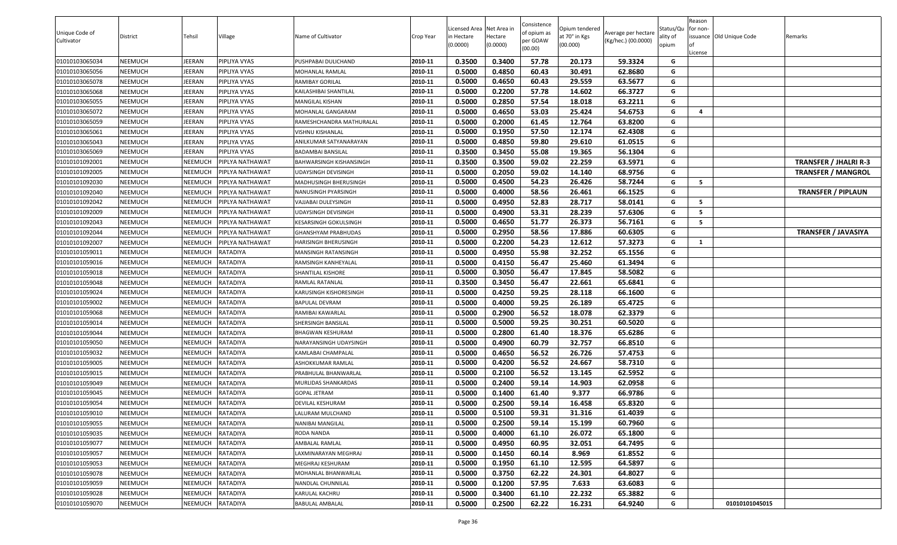|                |                |                |                 |                            |           |                          |                     | Consistence |                           |                     |                   | Reason   |                          |                              |
|----------------|----------------|----------------|-----------------|----------------------------|-----------|--------------------------|---------------------|-------------|---------------------------|---------------------|-------------------|----------|--------------------------|------------------------------|
| Unique Code of |                |                |                 |                            |           | Licensed Area Net Area i |                     | of opium as | Opium tendered            | Average per hectare | Status/Qu         | for non- |                          |                              |
| Cultivator     | District       | Tehsil         | Village         | Name of Cultivator         | Crop Year | in Hectare<br>(0.0000)   | Hectare<br>(0.0000) | per GOAW    | at 70° in Kgs<br>(00.000) | (Kg/hec.) (00.0000) | ality of<br>opium |          | issuance Old Unique Code | Remarks                      |
|                |                |                |                 |                            |           |                          |                     | (00.00)     |                           |                     |                   | .icense  |                          |                              |
| 01010103065034 | <b>NEEMUCH</b> | <b>IEERAN</b>  | PIPLIYA VYAS    | PUSHPABAI DULICHAND        | 2010-11   | 0.3500                   | 0.3400              | 57.78       | 20.173                    | 59.3324             | G                 |          |                          |                              |
| 01010103065056 | <b>NEEMUCH</b> | <b>IEERAN</b>  | PIPLIYA VYAS    | MOHANLAL RAMLAL            | 2010-11   | 0.5000                   | 0.4850              | 60.43       | 30.491                    | 62.8680             | G                 |          |                          |                              |
| 01010103065078 | <b>NEEMUCH</b> | <b>IEERAN</b>  | PIPLIYA VYAS    | RAMIBAY GORILAL            | 2010-11   | 0.5000                   | 0.4650              | 60.43       | 29.559                    | 63.5677             | G                 |          |                          |                              |
| 01010103065068 | <b>NEEMUCH</b> | <b>IEERAN</b>  | PIPLIYA VYAS    | KAILASHIBAI SHANTILAL      | 2010-11   | 0.5000                   | 0.2200              | 57.78       | 14.602                    | 66.3727             | G                 |          |                          |                              |
| 01010103065055 | <b>NEEMUCH</b> | <b>IEERAN</b>  | PIPLIYA VYAS    | MANGILAL KISHAN            | 2010-11   | 0.5000                   | 0.2850              | 57.54       | 18.018                    | 63.2211             | G                 |          |                          |                              |
| 01010103065072 | <b>NEEMUCH</b> | <b>IEERAN</b>  | PIPLIYA VYAS    | MOHANLAL GANGARAM          | 2010-11   | 0.5000                   | 0.4650              | 53.03       | 25.424                    | 54.6753             | G                 | 4        |                          |                              |
| 01010103065059 | <b>NEEMUCH</b> | <b>IEERAN</b>  | PIPLIYA VYAS    | RAMESHCHANDRA MATHURALAL   | 2010-11   | 0.5000                   | 0.2000              | 61.45       | 12.764                    | 63.8200             | G                 |          |                          |                              |
| 01010103065061 | <b>NEEMUCH</b> | JEERAN         | PIPLIYA VYAS    | VISHNU KISHANLAL           | 2010-11   | 0.5000                   | 0.1950              | 57.50       | 12.174                    | 62.4308             | G                 |          |                          |                              |
| 01010103065043 | <b>NEEMUCH</b> | <b>IEERAN</b>  | PIPLIYA VYAS    | ANILKUMAR SATYANARAYAN     | 2010-11   | 0.5000                   | 0.4850              | 59.80       | 29.610                    | 61.0515             | G                 |          |                          |                              |
| 01010103065069 | <b>NEEMUCH</b> | <b>IEERAN</b>  | PIPLIYA VYAS    | BADAMBAI BANSILAL          | 2010-11   | 0.3500                   | 0.3450              | 55.08       | 19.365                    | 56.1304             | G                 |          |                          |                              |
| 01010101092001 | <b>NEEMUCH</b> | NEEMUCH        | PIPLYA NATHAWAT | BAHWARSINGH KISHANSINGH    | 2010-11   | 0.3500                   | 0.3500              | 59.02       | 22.259                    | 63.5971             | G                 |          |                          | <b>TRANSFER / JHALRI R-3</b> |
| 01010101092005 | <b>NEEMUCH</b> | NEEMUCH        | PIPLYA NATHAWAT | UDAYSINGH DEVISINGH        | 2010-11   | 0.5000                   | 0.2050              | 59.02       | 14.140                    | 68.9756             | G                 |          |                          | <b>TRANSFER / MANGROL</b>    |
| 01010101092030 | <b>NEEMUCH</b> | NEEMUCH        | PIPLYA NATHAWAT | MADHUSINGH BHERUSINGH      | 2010-11   | 0.5000                   | 0.4500              | 54.23       | 26.426                    | 58.7244             | G                 | - 5      |                          |                              |
| 01010101092040 | <b>NEEMUCH</b> | NEEMUCH        | PIPLYA NATHAWAT | NANUSINGH PYARSINGH        | 2010-11   | 0.5000                   | 0.4000              | 58.56       | 26.461                    | 66.1525             | G                 |          |                          | <b>TRANSFER / PIPLAUN</b>    |
| 01010101092042 | <b>NEEMUCH</b> | NEEMUCH        | PIPLYA NATHAWAT | VAJJABAI DULEYSINGH        | 2010-11   | 0.5000                   | 0.4950              | 52.83       | 28.717                    | 58.0141             | G                 | - 5      |                          |                              |
| 01010101092009 | <b>NEEMUCH</b> | NEEMUCH        | PIPLYA NATHAWAT | <b>UDAYSINGH DEVISINGH</b> | 2010-11   | 0.5000                   | 0.4900              | 53.31       | 28.239                    | 57.6306             | G                 | 5        |                          |                              |
| 01010101092043 | <b>NEEMUCH</b> | NEEMUCH        | PIPLYA NATHAWAT | KESARSINGH GOKULSINGH      | 2010-11   | 0.5000                   | 0.4650              | 51.77       | 26.373                    | 56.7161             | G                 | 5        |                          |                              |
| 01010101092044 | <b>NEEMUCH</b> | NEEMUCH        | PIPLYA NATHAWAT | GHANSHYAM PRABHUDAS        | 2010-11   | 0.5000                   | 0.2950              | 58.56       | 17.886                    | 60.6305             | G                 |          |                          | <b>TRANSFER / JAVASIYA</b>   |
| 01010101092007 | <b>NEEMUCH</b> | NEEMUCH        | PIPLYA NATHAWAT | HARISINGH BHERUSINGH       | 2010-11   | 0.5000                   | 0.2200              | 54.23       | 12.612                    | 57.3273             | G                 | 1        |                          |                              |
| 01010101059011 | <b>NEEMUCH</b> | NEEMUCH        | <b>RATADIYA</b> | MANSINGH RATANSINGH        | 2010-11   | 0.5000                   | 0.4950              | 55.98       | 32.252                    | 65.1556             | G                 |          |                          |                              |
| 01010101059016 | <b>NEEMUCH</b> | NEEMUCH        | <b>RATADIYA</b> | RAMSINGH KANHEYALAL        | 2010-11   | 0.5000                   | 0.4150              | 56.47       | 25.460                    | 61.3494             | G                 |          |                          |                              |
| 01010101059018 | <b>NEEMUCH</b> | NEEMUCH        | RATADIYA        | SHANTILAL KISHORE          | 2010-11   | 0.5000                   | 0.3050              | 56.47       | 17.845                    | 58.5082             | G                 |          |                          |                              |
| 01010101059048 | <b>NEEMUCH</b> | NEEMUCH        | RATADIYA        | RAMLAL RATANLAL            | 2010-11   | 0.3500                   | 0.3450              | 56.47       | 22.661                    | 65.6841             | G                 |          |                          |                              |
| 01010101059024 | <b>NEEMUCH</b> | NEEMUCH        | <b>RATADIYA</b> | KARUSINGH KISHORESINGH     | 2010-11   | 0.5000                   | 0.4250              | 59.25       | 28.118                    | 66.1600             | G                 |          |                          |                              |
| 01010101059002 | <b>NEEMUCH</b> | NEEMUCH        | RATADIYA        | BAPULAL DEVRAM             | 2010-11   | 0.5000                   | 0.4000              | 59.25       | 26.189                    | 65.4725             | G                 |          |                          |                              |
| 01010101059068 | <b>NEEMUCH</b> | NEEMUCH        | <b>RATADIYA</b> | RAMIBAI KAWARLAL           | 2010-11   | 0.5000                   | 0.2900              | 56.52       | 18.078                    | 62.3379             | G                 |          |                          |                              |
| 01010101059014 | <b>NEEMUCH</b> | NEEMUCH        | RATADIYA        | SHERSINGH BANSILAL         | 2010-11   | 0.5000                   | 0.5000              | 59.25       | 30.251                    | 60.5020             | G                 |          |                          |                              |
| 01010101059044 | <b>NEEMUCH</b> | NEEMUCH        | <b>RATADIYA</b> | BHAGWAN KESHURAM           | 2010-11   | 0.5000                   | 0.2800              | 61.40       | 18.376                    | 65.6286             | G                 |          |                          |                              |
| 01010101059050 | <b>NEEMUCH</b> | NEEMUCH        | RATADIYA        | NARAYANSINGH UDAYSINGH     | 2010-11   | 0.5000                   | 0.4900              | 60.79       | 32.757                    | 66.8510             | G                 |          |                          |                              |
| 01010101059032 | <b>NEEMUCH</b> | NEEMUCH        | RATADIYA        | KAMLABAI CHAMPALAL         | 2010-11   | 0.5000                   | 0.4650              | 56.52       | 26.726                    | 57.4753             | G                 |          |                          |                              |
| 01010101059005 | <b>NEEMUCH</b> | NEEMUCH        | RATADIYA        | ASHOKKUMAR RAMLAL          | 2010-11   | 0.5000                   | 0.4200              | 56.52       | 24.667                    | 58.7310             | G                 |          |                          |                              |
| 01010101059015 | <b>NEEMUCH</b> | NEEMUCH        | RATADIYA        | PRABHULAL BHANWARLAL       | 2010-11   | 0.5000                   | 0.2100              | 56.52       | 13.145                    | 62.5952             | G                 |          |                          |                              |
| 01010101059049 | <b>NEEMUCH</b> | NEEMUCH        | RATADIYA        | MURLIDAS SHANKARDAS        | 2010-11   | 0.5000                   | 0.2400              | 59.14       | 14.903                    | 62.0958             | G                 |          |                          |                              |
| 01010101059045 | <b>NEEMUCH</b> | NEEMUCH        | RATADIYA        | GOPAL JETRAM               | 2010-11   | 0.5000                   | 0.1400              | 61.40       | 9.377                     | 66.9786             | G                 |          |                          |                              |
| 01010101059054 | <b>NEEMUCH</b> | NEEMUCH        | <b>RATADIYA</b> | DEVILAL KESHURAM           | 2010-11   | 0.5000                   | 0.2500              | 59.14       | 16.458                    | 65.8320             | G                 |          |                          |                              |
| 01010101059010 | <b>NEEMUCH</b> | <b>NEEMUCH</b> | RATADIYA        | LALURAM MULCHAND           | 2010-11   | 0.5000                   | 0.5100              | 59.31       | 31.316                    | 61.4039             | G                 |          |                          |                              |
| 01010101059055 | <b>NEEMUCH</b> | NEEMUCH        | RATADIYA        | NANIBAI MANGILAL           | 2010-11   | 0.5000                   | 0.2500              | 59.14       | 15.199                    | 60.7960             | G                 |          |                          |                              |
| 01010101059035 | <b>NEEMUCH</b> | NEEMUCH        | RATADIYA        | RODA NANDA                 | 2010-11   | 0.5000                   | 0.4000              | 61.10       | 26.072                    | 65.1800             | G                 |          |                          |                              |
| 01010101059077 | <b>NEEMUCH</b> | NEEMUCH        | RATADIYA        | AMBALAL RAMLAL             | 2010-11   | 0.5000                   | 0.4950              | 60.95       | 32.051                    | 64.7495             | G                 |          |                          |                              |
| 01010101059057 | <b>NEEMUCH</b> | NEEMUCH        | RATADIYA        | LAXMINARAYAN MEGHRAJ       | 2010-11   | 0.5000                   | 0.1450              | 60.14       | 8.969                     | 61.8552             | G                 |          |                          |                              |
| 01010101059053 | <b>NEEMUCH</b> | NEEMUCH        | RATADIYA        | MEGHRAJ KESHURAM           | 2010-11   | 0.5000                   | 0.1950              | 61.10       | 12.595                    | 64.5897             | G                 |          |                          |                              |
| 01010101059078 | <b>NEEMUCH</b> | NEEMUCH        | RATADIYA        | MOHANLAL BHANWARLAL        | 2010-11   | 0.5000                   | 0.3750              | 62.22       | 24.301                    | 64.8027             | G                 |          |                          |                              |
| 01010101059059 | <b>NEEMUCH</b> | NEEMUCH        | RATADIYA        | NANDLAL CHUNNILAL          | 2010-11   | 0.5000                   | 0.1200              | 57.95       | 7.633                     | 63.6083             | G                 |          |                          |                              |
| 01010101059028 | <b>NEEMUCH</b> | NEEMUCH        | RATADIYA        | KARULAL KACHRU             | 2010-11   | 0.5000                   | 0.3400              | 61.10       | 22.232                    | 65.3882             | G                 |          |                          |                              |
| 01010101059070 | <b>NEEMUCH</b> | NEEMUCH        | RATADIYA        | <b>BABULAL AMBALAL</b>     | 2010-11   | 0.5000                   | 0.2500              | 62.22       | 16.231                    | 64.9240             | G                 |          | 01010101045015           |                              |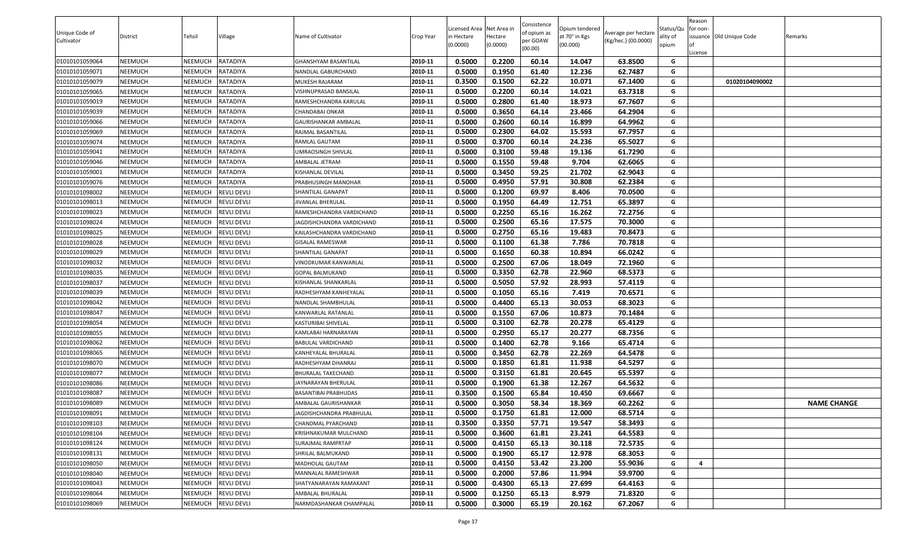| Unique Code of<br>Cultivator | District | Tehsil         | Village            | Name of Cultivator          | Crop Year | Licensed Area Net Area in<br>in Hectare<br>(0.0000) | Hectare<br>(0.0000) | Consistence<br>of opium as<br>per GOAW<br>(00.00) | Opium tendered<br>at 70° in Kgs<br>(00.000) | Average per hectare<br>(Kg/hec.) (00.0000) | Status/Qu<br>ality of<br>opium | Reason<br>for non-<br>issuance Old Unique Code<br>01<br>.icense | Remarks            |
|------------------------------|----------|----------------|--------------------|-----------------------------|-----------|-----------------------------------------------------|---------------------|---------------------------------------------------|---------------------------------------------|--------------------------------------------|--------------------------------|-----------------------------------------------------------------|--------------------|
| 01010101059064               | NEEMUCH  | NEEMUCH        | <b>RATADIYA</b>    | <b>GHANSHYAM BASANTILAL</b> | 2010-11   | 0.5000                                              | 0.2200              | 60.14                                             | 14.047                                      | 63.8500                                    | G                              |                                                                 |                    |
| 01010101059071               | NEEMUCH  | NEEMUCH        | RATADIYA           | NANDLAL GABURCHAND          | 2010-11   | 0.5000                                              | 0.1950              | 61.40                                             | 12.236                                      | 62.7487                                    | G                              |                                                                 |                    |
| 01010101059079               | NEEMUCH  | NEEMUCH        | RATADIYA           | MUKESH RAJARAM              | 2010-11   | 0.3500                                              | 0.1500              | 62.22                                             | 10.071                                      | 67.1400                                    | G                              | 01020104090002                                                  |                    |
| 01010101059065               | NEEMUCH  | NEEMUCH        | RATADIYA           | VISHNUPRASAD BANSILAL       | 2010-11   | 0.5000                                              | 0.2200              | 60.14                                             | 14.021                                      | 63.7318                                    | G                              |                                                                 |                    |
| 01010101059019               | NEEMUCH  | NEEMUCH        | RATADIYA           | RAMESHCHANDRA KARULAL       | 2010-11   | 0.5000                                              | 0.2800              | 61.40                                             | 18.973                                      | 67.7607                                    | G                              |                                                                 |                    |
| 01010101059039               | NEEMUCH  | NEEMUCH        | RATADIYA           | CHANDABAI ONKAR             | 2010-11   | 0.5000                                              | 0.3650              | 64.14                                             | 23.466                                      | 64.2904                                    | G                              |                                                                 |                    |
| 01010101059066               | NEEMUCH  | NEEMUCH        | <b>RATADIYA</b>    | GAURISHANKAR AMBALAL        | 2010-11   | 0.5000                                              | 0.2600              | 60.14                                             | 16.899                                      | 64.9962                                    | G                              |                                                                 |                    |
| 01010101059069               | NEEMUCH  | NEEMUCH        | RATADIYA           | RAJMAL BASANTILAL           | 2010-11   | 0.5000                                              | 0.2300              | 64.02                                             | 15.593                                      | 67.7957                                    | G                              |                                                                 |                    |
| 01010101059074               | NEEMUCH  | <b>NEEMUCH</b> | RATADIYA           | <b>RAMLAL GAUTAM</b>        | 2010-11   | 0.5000                                              | 0.3700              | 60.14                                             | 24.236                                      | 65.5027                                    | G                              |                                                                 |                    |
| 01010101059041               | NEEMUCH  | NEEMUCH        | RATADIYA           | UMRAOSINGH SHIVLAL          | 2010-11   | 0.5000                                              | 0.3100              | 59.48                                             | 19.136                                      | 61.7290                                    | G                              |                                                                 |                    |
| 01010101059046               | NEEMUCH  | NEEMUCH        | RATADIYA           | AMBALAL JETRAM              | 2010-11   | 0.5000                                              | 0.1550              | 59.48                                             | 9.704                                       | 62.6065                                    | G                              |                                                                 |                    |
| 01010101059001               | NEEMUCH  | NEEMUCH        | RATADIYA           | KISHANLAL DEVILAL           | 2010-11   | 0.5000                                              | 0.3450              | 59.25                                             | 21.702                                      | 62.9043                                    | G                              |                                                                 |                    |
| 01010101059076               | NEEMUCH  | NEEMUCH        | RATADIYA           | PRABHUSINGH MANOHAR         | 2010-11   | 0.5000                                              | 0.4950              | 57.91                                             | 30.808                                      | 62.2384                                    | G                              |                                                                 |                    |
| 01010101098002               | NEEMUCH  | NEEMUCH        | <b>REVLI DEVLI</b> | SHANTILAL GANAPAT           | 2010-11   | 0.5000                                              | 0.1200              | 69.97                                             | 8.406                                       | 70.0500                                    | G                              |                                                                 |                    |
| 01010101098013               | NEEMUCH  | NEEMUCH        | <b>REVLI DEVLI</b> | JIVANLAL BHERULAL           | 2010-11   | 0.5000                                              | 0.1950              | 64.49                                             | 12.751                                      | 65.3897                                    | G                              |                                                                 |                    |
| 01010101098023               | NEEMUCH  | NEEMUCH        | <b>REVLI DEVLI</b> | RAMESHCHANDRA VARDICHAND    | 2010-11   | 0.5000                                              | 0.2250              | 65.16                                             | 16.262                                      | 72.2756                                    | G                              |                                                                 |                    |
| 01010101098024               | NEEMUCH  | NEEMUCH        | <b>REVLI DEVLI</b> | JAGDISHCHANDRA VARDICHAND   | 2010-11   | 0.5000                                              | 0.2500              | 65.16                                             | 17.575                                      | 70.3000                                    | G                              |                                                                 |                    |
| 01010101098025               | NEEMUCH  | NEEMUCH        | <b>REVLI DEVLI</b> | KAILASHCHANDRA VARDICHAND   | 2010-11   | 0.5000                                              | 0.2750              | 65.16                                             | 19.483                                      | 70.8473                                    | G                              |                                                                 |                    |
| 01010101098028               | NEEMUCH  | NEEMUCH        | <b>REVLI DEVLI</b> | <b>GISALAL RAMESWAR</b>     | 2010-11   | 0.5000                                              | 0.1100              | 61.38                                             | 7.786                                       | 70.7818                                    | G                              |                                                                 |                    |
| 01010101098029               | NEEMUCH  | NEEMUCH        | <b>REVLI DEVLI</b> | SHANTILAL GANAPAT           | 2010-11   | 0.5000                                              | 0.1650              | 60.38                                             | 10.894                                      | 66.0242                                    | G                              |                                                                 |                    |
| 01010101098032               | NEEMUCH  | NEEMUCH        | <b>REVLI DEVLI</b> | VINODKUMAR KANWARLAL        | 2010-11   | 0.5000                                              | 0.2500              | 67.06                                             | 18.049                                      | 72.1960                                    | G                              |                                                                 |                    |
| 01010101098035               | NEEMUCH  | NEEMUCH        | <b>REVLI DEVLI</b> | <b>GOPAL BALMUKAND</b>      | 2010-11   | 0.5000                                              | 0.3350              | 62.78                                             | 22.960                                      | 68.5373                                    | G                              |                                                                 |                    |
| 01010101098037               | NEEMUCH  | NEEMUCH        | <b>REVLI DEVLI</b> | KISHANLAL SHANKARLAL        | 2010-11   | 0.5000                                              | 0.5050              | 57.92                                             | 28.993                                      | 57.4119                                    | G                              |                                                                 |                    |
| 01010101098039               | NEEMUCH  | NEEMUCH        | <b>REVLI DEVLI</b> | RADHESHYAM KANHEYALAL       | 2010-11   | 0.5000                                              | 0.1050              | 65.16                                             | 7.419                                       | 70.6571                                    | G                              |                                                                 |                    |
| 01010101098042               | NEEMUCH  | NEEMUCH        | <b>REVLI DEVLI</b> | NANDLAL SHAMBHULAL          | 2010-11   | 0.5000                                              | 0.4400              | 65.13                                             | 30.053                                      | 68.3023                                    | G                              |                                                                 |                    |
| 01010101098047               | NEEMUCH  | NEEMUCH        | <b>REVLI DEVLI</b> | KANWARLAL RATANLAL          | 2010-11   | 0.5000                                              | 0.1550              | 67.06                                             | 10.873                                      | 70.1484                                    | G                              |                                                                 |                    |
| 01010101098054               | NEEMUCH  | NEEMUCH        | <b>REVLI DEVLI</b> | KASTURIBAI SHIVELAL         | 2010-11   | 0.5000                                              | 0.3100              | 62.78                                             | 20.278                                      | 65.4129                                    | G                              |                                                                 |                    |
| 01010101098055               | NEEMUCH  | NEEMUCH        | <b>REVLI DEVLI</b> | KAMLABAI HARNARAYAN         | 2010-11   | 0.5000                                              | 0.2950              | 65.17                                             | 20.277                                      | 68.7356                                    | G                              |                                                                 |                    |
| 01010101098062               | NEEMUCH  | NEEMUCH        | <b>REVLI DEVLI</b> | BABULAL VARDICHAND          | 2010-11   | 0.5000                                              | 0.1400              | 62.78                                             | 9.166                                       | 65.4714                                    | G                              |                                                                 |                    |
| 01010101098065               | NEEMUCH  | NEEMUCH        | <b>REVLI DEVLI</b> | KANHEYALAL BHURALAL         | 2010-11   | 0.5000                                              | 0.3450              | 62.78                                             | 22.269                                      | 64.5478                                    | G                              |                                                                 |                    |
| 01010101098070               | NEEMUCH  | NEEMUCH        | <b>REVLI DEVLI</b> | RADHESHYAM DHANRAJ          | 2010-11   | 0.5000                                              | 0.1850              | 61.81                                             | 11.938                                      | 64.5297                                    | G                              |                                                                 |                    |
| 01010101098077               | NEEMUCH  | NEEMUCH        | <b>REVLI DEVLI</b> | <b>BHURALAL TAKECHAND</b>   | 2010-11   | 0.5000                                              | 0.3150              | 61.81                                             | 20.645                                      | 65.5397                                    | G                              |                                                                 |                    |
| 01010101098086               | NEEMUCH  | NEEMUCH        | <b>REVLI DEVLI</b> | JAYNARAYAN BHERULAL         | 2010-11   | 0.5000                                              | 0.1900              | 61.38                                             | 12.267                                      | 64.5632                                    | G                              |                                                                 |                    |
| 01010101098087               | NEEMUCH  | <b>NEEMUCH</b> | <b>REVLI DEVLI</b> | <b>BASANTIBAI PRABHUDAS</b> | 2010-11   | 0.3500                                              | 0.1500              | 65.84                                             | 10.450                                      | 69.6667                                    | G                              |                                                                 |                    |
| 01010101098089               | NEEMUCH  | NEEMUCH        | <b>REVLI DEVLI</b> | AMBALAL GAURISHANKAR        | 2010-11   | 0.5000                                              | 0.3050              | 58.34                                             | 18.369                                      | 60.2262                                    | G                              |                                                                 | <b>NAME CHANGE</b> |
| 01010101098091               | NEEMUCH  | NEEMUCH        | <b>REVLI DEVLI</b> | JAGDISHCHANDRA PRABHULAL    | 2010-11   | 0.5000                                              | 0.1750              | 61.81                                             | 12.000                                      | 68.5714                                    | G                              |                                                                 |                    |
| 01010101098103               | NEEMUCH  | NEEMUCH        | <b>REVLI DEVLI</b> | CHANDMAL PYARCHAND          | 2010-11   | 0.3500                                              | 0.3350              | 57.71                                             | 19.547                                      | 58.3493                                    | G                              |                                                                 |                    |
| 01010101098104               | NEEMUCH  | NEEMUCH        | <b>REVLI DEVLI</b> | KRISHNAKUMAR MULCHAND       | 2010-11   | 0.5000                                              | 0.3600              | 61.81                                             | 23.241                                      | 64.5583                                    | G                              |                                                                 |                    |
| 01010101098124               | NEEMUCH  | NEEMUCH        | <b>REVLI DEVLI</b> | SURAJMAL RAMPRTAP           | 2010-11   | 0.5000                                              | 0.4150              | 65.13                                             | 30.118                                      | 72.5735                                    | G                              |                                                                 |                    |
| 01010101098131               | NEEMUCH  | NEEMUCH        | <b>REVLI DEVLI</b> | SHRILAL BALMUKAND           | 2010-11   | 0.5000                                              | 0.1900              | 65.17                                             | 12.978                                      | 68.3053                                    | G                              |                                                                 |                    |
| 01010101098050               | NEEMUCH  | NEEMUCH        | <b>REVLI DEVLI</b> | MADHOLAL GAUTAM             | 2010-11   | 0.5000                                              | 0.4150              | 53.42                                             | 23.200                                      | 55.9036                                    | G                              | 4                                                               |                    |
| 01010101098040               | NEEMUCH  | NEEMUCH        | <b>REVLI DEVLI</b> | MANNALAL RAMESHWAR          | 2010-11   | 0.5000                                              | 0.2000              | 57.86                                             | 11.994                                      | 59.9700                                    | G                              |                                                                 |                    |
| 01010101098043               | NEEMUCH  | NEEMUCH        | <b>REVLI DEVLI</b> | SHATYANARAYAN RAMAKANT      | 2010-11   | 0.5000                                              | 0.4300              | 65.13                                             | 27.699                                      | 64.4163                                    | G                              |                                                                 |                    |
| 01010101098064               | NEEMUCH  | NEEMUCH        | <b>REVLI DEVLI</b> | AMBALAL BHURALAL            | 2010-11   | 0.5000                                              | 0.1250              | 65.13                                             | 8.979                                       | 71.8320                                    | G                              |                                                                 |                    |
| 01010101098069               | NEEMUCH  | NEEMUCH        | <b>REVLI DEVLI</b> | NARMDASHANKAR CHAMPALAL     | 2010-11   | 0.5000                                              | 0.3000              | 65.19                                             | 20.162                                      | 67.2067                                    | G                              |                                                                 |                    |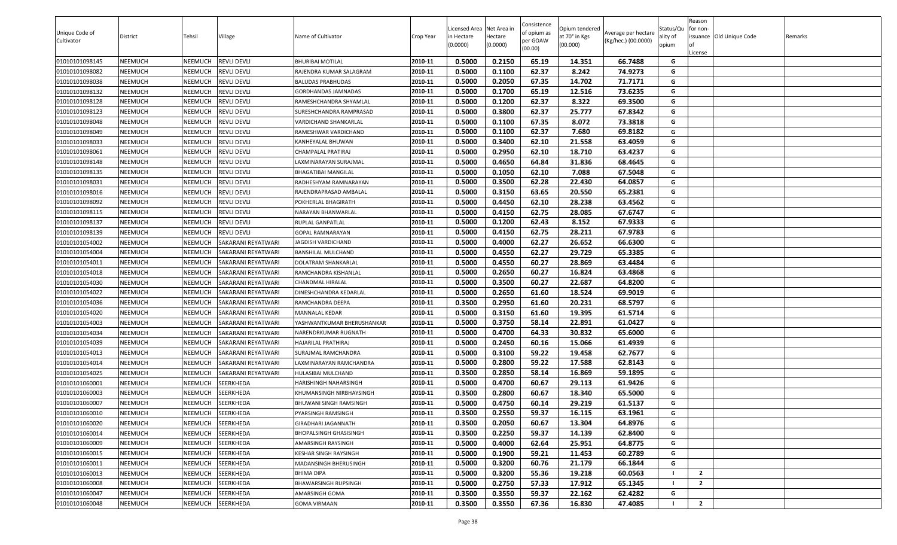|                |                |                |                    |                            |           |                          |                     | Consistence |                           |                     |                   | Reason         |                          |         |
|----------------|----------------|----------------|--------------------|----------------------------|-----------|--------------------------|---------------------|-------------|---------------------------|---------------------|-------------------|----------------|--------------------------|---------|
| Unique Code of |                |                |                    |                            |           | Licensed Area Net Area i |                     | of opium as | Opium tendered            | Average per hectare | Status/Qu         | for non-       |                          |         |
| Cultivator     | District       | Tehsil         | Village            | Name of Cultivator         | Crop Year | in Hectare<br>(0.0000)   | Hectare<br>(0.0000) | per GOAW    | at 70° in Kgs<br>(00.000) | (Kg/hec.) (00.0000) | ality of<br>opium |                | issuance Old Unique Code | Remarks |
|                |                |                |                    |                            |           |                          |                     | (00.00)     |                           |                     |                   | .icense        |                          |         |
| 01010101098145 | <b>NEEMUCH</b> | NEEMUCH        | <b>REVLI DEVLI</b> | BHURIBAI MOTILAL           | 2010-11   | 0.5000                   | 0.2150              | 65.19       | 14.351                    | 66.7488             | G                 |                |                          |         |
| 01010101098082 | <b>NEEMUCH</b> | NEEMUCH        | <b>REVLI DEVLI</b> | RAJENDRA KUMAR SALAGRAM    | 2010-11   | 0.5000                   | 0.1100              | 62.37       | 8.242                     | 74.9273             | G                 |                |                          |         |
| 01010101098038 | <b>NEEMUCH</b> | NEEMUCH        | <b>REVLI DEVLI</b> | BALUDAS PRABHUDAS          | 2010-11   | 0.5000                   | 0.2050              | 67.35       | 14.702                    | 71.7171             | G                 |                |                          |         |
| 01010101098132 | <b>NEEMUCH</b> | NEEMUCH        | <b>REVLI DEVLI</b> | GORDHANDAS JAMNADAS        | 2010-11   | 0.5000                   | 0.1700              | 65.19       | 12.516                    | 73.6235             | G                 |                |                          |         |
| 01010101098128 | <b>NEEMUCH</b> | NEEMUCH        | <b>REVLI DEVLI</b> | RAMESHCHANDRA SHYAMLAL     | 2010-11   | 0.5000                   | 0.1200              | 62.37       | 8.322                     | 69.3500             | G                 |                |                          |         |
| 01010101098123 | <b>NEEMUCH</b> | NEEMUCH        | <b>REVLI DEVLI</b> | SURESHCHANDRA RAMPRASAD    | 2010-11   | 0.5000                   | 0.3800              | 62.37       | 25.777                    | 67.8342             | G                 |                |                          |         |
| 01010101098048 | <b>NEEMUCH</b> | NEEMUCH        | <b>REVLI DEVLI</b> | VARDICHAND SHANKARLAL      | 2010-11   | 0.5000                   | 0.1100              | 67.35       | 8.072                     | 73.3818             | G                 |                |                          |         |
| 01010101098049 | <b>NEEMUCH</b> | NEEMUCH        | <b>REVLI DEVLI</b> | RAMESHWAR VARDICHAND       | 2010-11   | 0.5000                   | 0.1100              | 62.37       | 7.680                     | 69.8182             | G                 |                |                          |         |
| 01010101098033 | <b>NEEMUCH</b> | NEEMUCH        | <b>REVLI DEVLI</b> | KANHEYALAL BHUWAN          | 2010-11   | 0.5000                   | 0.3400              | 62.10       | 21.558                    | 63.4059             | G                 |                |                          |         |
| 01010101098061 | <b>NEEMUCH</b> | NEEMUCH        | <b>REVLI DEVLI</b> | CHAMPALAL PRATIRAJ         | 2010-11   | 0.5000                   | 0.2950              | 62.10       | 18.710                    | 63.4237             | G                 |                |                          |         |
| 01010101098148 | <b>NEEMUCH</b> | NEEMUCH        | <b>REVLI DEVLI</b> | LAXMINARAYAN SURAJMAL      | 2010-11   | 0.5000                   | 0.4650              | 64.84       | 31.836                    | 68.4645             | G                 |                |                          |         |
| 01010101098135 | <b>NEEMUCH</b> | NEEMUCH        | <b>REVLI DEVLI</b> | BHAGATIBAI MANGILAL        | 2010-11   | 0.5000                   | 0.1050              | 62.10       | 7.088                     | 67.5048             | G                 |                |                          |         |
| 01010101098031 | <b>NEEMUCH</b> | NEEMUCH        | <b>REVLI DEVLI</b> | RADHESHYAM RAMNARAYAN      | 2010-11   | 0.5000                   | 0.3500              | 62.28       | 22.430                    | 64.0857             | G                 |                |                          |         |
| 01010101098016 | <b>NEEMUCH</b> | NEEMUCH        | <b>REVLI DEVLI</b> | RAJENDRAPRASAD AMBALAL     | 2010-11   | 0.5000                   | 0.3150              | 63.65       | 20.550                    | 65.2381             | G                 |                |                          |         |
| 01010101098092 | <b>NEEMUCH</b> | NEEMUCH        | <b>REVLI DEVLI</b> | POKHERLAL BHAGIRATH        | 2010-11   | 0.5000                   | 0.4450              | 62.10       | 28.238                    | 63.4562             | G                 |                |                          |         |
| 01010101098115 | <b>NEEMUCH</b> | NEEMUCH        | <b>REVLI DEVLI</b> | NARAYAN BHANWARLAL         | 2010-11   | 0.5000                   | 0.4150              | 62.75       | 28.085                    | 67.6747             | G                 |                |                          |         |
| 01010101098137 | <b>NEEMUCH</b> | NEEMUCH        | <b>REVLI DEVLI</b> | RUPLAL GANPATLAL           | 2010-11   | 0.5000                   | 0.1200              | 62.43       | 8.152                     | 67.9333             | G                 |                |                          |         |
| 01010101098139 | <b>NEEMUCH</b> | NEEMUCH        | <b>REVLI DEVLI</b> | GOPAL RAMNARAYAN           | 2010-11   | 0.5000                   | 0.4150              | 62.75       | 28.211                    | 67.9783             | G                 |                |                          |         |
| 01010101054002 | <b>NEEMUCH</b> | NEEMUCH        | SAKARANI REYATWARI | JAGDISH VARDICHAND         | 2010-11   | 0.5000                   | 0.4000              | 62.27       | 26.652                    | 66.6300             | G                 |                |                          |         |
| 01010101054004 | <b>NEEMUCH</b> | NEEMUCH        | SAKARANI REYATWARI | <b>BANSHILAL MULCHAND</b>  | 2010-11   | 0.5000                   | 0.4550              | 62.27       | 29.729                    | 65.3385             | G                 |                |                          |         |
| 01010101054011 | <b>NEEMUCH</b> | NEEMUCH        | SAKARANI REYATWARI | <b>DOLATRAM SHANKARLAL</b> | 2010-11   | 0.5000                   | 0.4550              | 60.27       | 28.869                    | 63.4484             | G                 |                |                          |         |
| 01010101054018 | <b>NEEMUCH</b> | NEEMUCH        | SAKARANI REYATWARI | RAMCHANDRA KISHANLAL       | 2010-11   | 0.5000                   | 0.2650              | 60.27       | 16.824                    | 63.4868             | G                 |                |                          |         |
| 01010101054030 | <b>NEEMUCH</b> | NEEMUCH        | SAKARANI REYATWARI | CHANDMAL HIRALAL           | 2010-11   | 0.5000                   | 0.3500              | 60.27       | 22.687                    | 64.8200             | G                 |                |                          |         |
| 01010101054022 | <b>NEEMUCH</b> | NEEMUCH        | SAKARANI REYATWARI | DINESHCHANDRA KEDARLAL     | 2010-11   | 0.5000                   | 0.2650              | 61.60       | 18.524                    | 69.9019             | G                 |                |                          |         |
| 01010101054036 | <b>NEEMUCH</b> | NEEMUCH        | SAKARANI REYATWARI | RAMCHANDRA DEEPA           | 2010-11   | 0.3500                   | 0.2950              | 61.60       | 20.231                    | 68.5797             | G                 |                |                          |         |
| 01010101054020 | <b>NEEMUCH</b> | NEEMUCH        | SAKARANI REYATWARI | MANNALAL KEDAR             | 2010-11   | 0.5000                   | 0.3150              | 61.60       | 19.395                    | 61.5714             | G                 |                |                          |         |
| 01010101054003 | <b>NEEMUCH</b> | NEEMUCH        | SAKARANI REYATWARI | YASHWANTKUMAR BHERUSHANKAR | 2010-11   | 0.5000                   | 0.3750              | 58.14       | 22.891                    | 61.0427             | G                 |                |                          |         |
| 01010101054034 | <b>NEEMUCH</b> | NEEMUCH        | SAKARANI REYATWARI | NARENDRKUMAR RUGNATH       | 2010-11   | 0.5000                   | 0.4700              | 64.33       | 30.832                    | 65.6000             | G                 |                |                          |         |
| 01010101054039 | <b>NEEMUCH</b> | NEEMUCH        | SAKARANI REYATWARI | HAJARILAL PRATHIRAJ        | 2010-11   | 0.5000                   | 0.2450              | 60.16       | 15.066                    | 61.4939             | G                 |                |                          |         |
| 01010101054013 | <b>NEEMUCH</b> | NEEMUCH        | SAKARANI REYATWARI | SURAJMAL RAMCHANDRA        | 2010-11   | 0.5000                   | 0.3100              | 59.22       | 19.458                    | 62.7677             | G                 |                |                          |         |
| 01010101054014 | <b>NEEMUCH</b> | NEEMUCH        | SAKARANI REYATWARI | LAXMINARAYAN RAMCHANDRA    | 2010-11   | 0.5000                   | 0.2800              | 59.22       | 17.588                    | 62.8143             | G                 |                |                          |         |
| 01010101054025 | <b>NEEMUCH</b> | NEEMUCH        | SAKARANI REYATWARI | HULASIBAI MULCHAND         | 2010-11   | 0.3500                   | 0.2850              | 58.14       | 16.869                    | 59.1895             | G                 |                |                          |         |
| 01010101060001 | <b>NEEMUCH</b> | NEEMUCH        | SEERKHEDA          | HARISHINGH NAHARSINGH      | 2010-11   | 0.5000                   | 0.4700              | 60.67       | 29.113                    | 61.9426             | G                 |                |                          |         |
| 01010101060003 | <b>NEEMUCH</b> | NEEMUCH        | SEERKHEDA          | KHUMANSINGH NIRBHAYSINGH   | 2010-11   | 0.3500                   | 0.2800              | 60.67       | 18.340                    | 65.5000             | G                 |                |                          |         |
| 01010101060007 | <b>NEEMUCH</b> | NEEMUCH        | SEERKHEDA          | BHUWANI SINGH RAMSINGH     | 2010-11   | 0.5000                   | 0.4750              | 60.14       | 29.219                    | 61.5137             | G                 |                |                          |         |
| 01010101060010 | <b>NEEMUCH</b> | <b>NEEMUCH</b> | SEERKHEDA          | PYARSINGH RAMSINGH         | 2010-11   | 0.3500                   | 0.2550              | 59.37       | 16.115                    | 63.1961             | G                 |                |                          |         |
| 01010101060020 | <b>NEEMUCH</b> | NEEMUCH        | SEERKHEDA          | GIRADHARI JAGANNATH        | 2010-11   | 0.3500                   | 0.2050              | 60.67       | 13.304                    | 64.8976             | G                 |                |                          |         |
| 01010101060014 | <b>NEEMUCH</b> | NEEMUCH        | SEERKHEDA          | BHOPALSINGH GHASISINGH     | 2010-11   | 0.3500                   | 0.2250              | 59.37       | 14.139                    | 62.8400             | G                 |                |                          |         |
| 01010101060009 | <b>NEEMUCH</b> | NEEMUCH        | SEERKHEDA          | AMARSINGH RAYSINGH         | 2010-11   | 0.5000                   | 0.4000              | 62.64       | 25.951                    | 64.8775             | G                 |                |                          |         |
| 01010101060015 | <b>NEEMUCH</b> | NEEMUCH        | SEERKHEDA          | KESHAR SINGH RAYSINGH      | 2010-11   | 0.5000                   | 0.1900              | 59.21       | 11.453                    | 60.2789             | G                 |                |                          |         |
| 01010101060011 | <b>NEEMUCH</b> | NEEMUCH        | SEERKHEDA          | MADANSINGH BHERUSINGH      | 2010-11   | 0.5000                   | 0.3200              | 60.76       | 21.179                    | 66.1844             | G                 |                |                          |         |
| 01010101060013 | <b>NEEMUCH</b> | NEEMUCH        | SEERKHEDA          | BHIMA DIPA                 | 2010-11   | 0.5000                   | 0.3200              | 55.36       | 19.218                    | 60.0563             |                   | $\overline{2}$ |                          |         |
| 01010101060008 | <b>NEEMUCH</b> | NEEMUCH        | SEERKHEDA          | BHAWARSINGH RUPSINGH       | 2010-11   | 0.5000                   | 0.2750              | 57.33       | 17.912                    | 65.1345             |                   | $\overline{2}$ |                          |         |
| 01010101060047 | <b>NEEMUCH</b> | NEEMUCH        | SEERKHEDA          | AMARSINGH GOMA             | 2010-11   | 0.3500                   | 0.3550              | 59.37       | 22.162                    | 62.4282             | G                 |                |                          |         |
| 01010101060048 | <b>NEEMUCH</b> | NEEMUCH        | SEERKHEDA          | <b>GOMA VIRMAAN</b>        | 2010-11   | 0.3500                   | 0.3550              | 67.36       | 16.830                    | 47.4085             |                   | $\overline{2}$ |                          |         |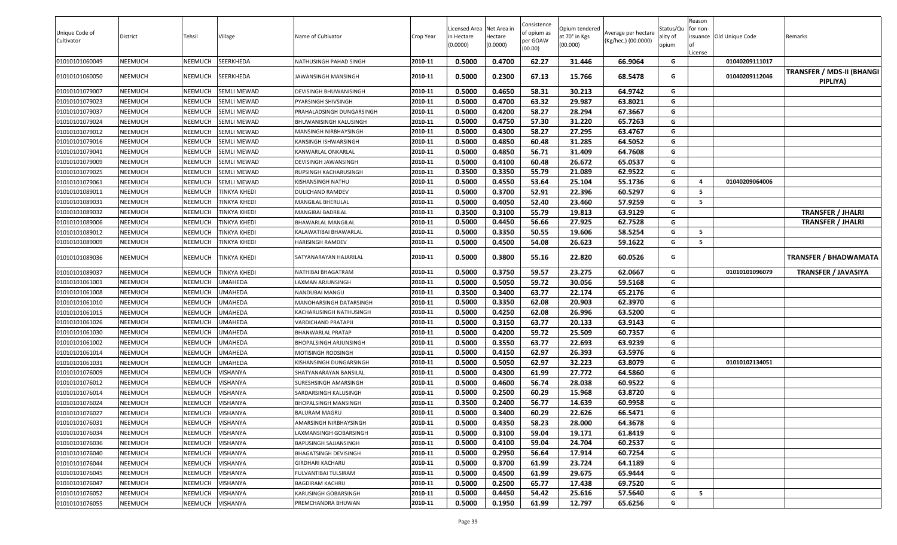|                              |                |         |                     |                           |           | icensed Area Net Area in |          | Consistence             | Opium tendered |                                            | Status/Qu | Reason<br>for non- |                          |                                   |
|------------------------------|----------------|---------|---------------------|---------------------------|-----------|--------------------------|----------|-------------------------|----------------|--------------------------------------------|-----------|--------------------|--------------------------|-----------------------------------|
| Unique Code of<br>Cultivator | District       | Tehsil  | Village             | Name of Cultivator        | Crop Year | n Hectare                | Hectare  | of opium as<br>per GOAW | at 70° in Kgs  | Average per hectare<br>(Kg/hec.) (00.0000) | ality of  |                    | issuance Old Unique Code | Remarks                           |
|                              |                |         |                     |                           |           | (0.0000)                 | (0.0000) | (00.00)                 | (00.000)       |                                            | opium     |                    |                          |                                   |
| 01010101060049               | <b>NEEMUCH</b> | NEEMUCH | SEERKHEDA           | NATHUSINGH PAHAD SINGH    | 2010-11   | 0.5000                   | 0.4700   | 62.27                   | 31.446         | 66.9064                                    | G         | License            | 01040209111017           |                                   |
|                              |                |         |                     |                           |           |                          |          |                         |                |                                            |           |                    |                          | <b>TRANSFER / MDS-II (BHANGI)</b> |
| 01010101060050               | <b>NEEMUCH</b> | NEEMUCH | SEERKHEDA           | JAWANSINGH MANSINGH       | 2010-11   | 0.5000                   | 0.2300   | 67.13                   | 15.766         | 68.5478                                    | G         |                    | 01040209112046           | PIPLIYA)                          |
| 01010101079007               | <b>NEEMUCH</b> | NEEMUCH | <b>SEMLI MEWAD</b>  | DEVISINGH BHUWANISINGH    | 2010-11   | 0.5000                   | 0.4650   | 58.31                   | 30.213         | 64.9742                                    | G         |                    |                          |                                   |
| 01010101079023               | <b>NEEMUCH</b> | NEEMUCH | <b>SEMLI MEWAD</b>  | PYARSINGH SHIVSINGH       | 2010-11   | 0.5000                   | 0.4700   | 63.32                   | 29.987         | 63.8021                                    | G         |                    |                          |                                   |
| 01010101079037               | <b>NEEMUCH</b> | NEEMUCH | <b>SEMLI MEWAD</b>  | PRAHALADSINGH DUNGARSINGH | 2010-11   | 0.5000                   | 0.4200   | 58.27                   | 28.294         | 67.3667                                    | G         |                    |                          |                                   |
| 01010101079024               | <b>NEEMUCH</b> | NEEMUCH | <b>SEMLI MEWAD</b>  | BHUWANISINGH KALUSINGH    | 2010-11   | 0.5000                   | 0.4750   | 57.30                   | 31.220         | 65.7263                                    | G         |                    |                          |                                   |
| 01010101079012               | <b>NEEMUCH</b> | NEEMUCH | SEMLI MEWAD         | MANSINGH NIRBHAYSINGH     | 2010-11   | 0.5000                   | 0.4300   | 58.27                   | 27.295         | 63.4767                                    | G         |                    |                          |                                   |
| 01010101079016               | <b>NEEMUCH</b> | NEEMUCH | <b>SEMLI MEWAD</b>  | KANSINGH ISHWARSINGH      | 2010-11   | 0.5000                   | 0.4850   | 60.48                   | 31.285         | 64.5052                                    | G         |                    |                          |                                   |
| 01010101079041               | <b>NEEMUCH</b> | NEEMUCH | <b>SEMLI MEWAD</b>  | KANWARLAL ONKARLAL        | 2010-11   | 0.5000                   | 0.4850   | 56.71                   | 31.409         | 64.7608                                    | G         |                    |                          |                                   |
| 01010101079009               | <b>NEEMUCH</b> | NEEMUCH | SEMLI MEWAD         | DEVISINGH JAWANSINGH      | 2010-11   | 0.5000                   | 0.4100   | 60.48                   | 26.672         | 65.0537                                    | G         |                    |                          |                                   |
| 01010101079025               | <b>NEEMUCH</b> | NEEMUCH | <b>SEMLI MEWAD</b>  | RUPSINGH KACHARUSINGH     | 2010-11   | 0.3500                   | 0.3350   | 55.79                   | 21.089         | 62.9522                                    | G         |                    |                          |                                   |
| 01010101079061               | <b>NEEMUCH</b> | NEEMUCH | <b>SEMLI MEWAD</b>  | KISHANSINGH NATHU         | 2010-11   | 0.5000                   | 0.4550   | 53.64                   | 25.104         | 55.1736                                    | G         | -4                 | 01040209064006           |                                   |
| 01010101089011               | <b>NEEMUCH</b> | NEEMUCH | <b>TINKYA KHEDI</b> | DULICHAND RAMDEV          | 2010-11   | 0.5000                   | 0.3700   | 52.91                   | 22.396         | 60.5297                                    | G         | - 5                |                          |                                   |
| 01010101089031               | <b>NEEMUCH</b> | NEEMUCH | <b>TINKYA KHEDI</b> | MANGILAL BHERULAL         | 2010-11   | 0.5000                   | 0.4050   | 52.40                   | 23.460         | 57.9259                                    | G         | - 5                |                          |                                   |
| 01010101089032               | <b>NEEMUCH</b> | NEEMUCH | <b>TINKYA KHEDI</b> | MANGIBAI BADRILAL         | 2010-11   | 0.3500                   | 0.3100   | 55.79                   | 19.813         | 63.9129                                    | G         |                    |                          | <b>TRANSFER / JHALRI</b>          |
| 01010101089006               | <b>NEEMUCH</b> | NEEMUCH | <b>TINKYA KHEDI</b> | BHAWARLAL MANGILAL        | 2010-11   | 0.5000                   | 0.4450   | 56.66                   | 27.925         | 62.7528                                    | G         |                    |                          | <b>TRANSFER / JHALRI</b>          |
| 01010101089012               | <b>NEEMUCH</b> | NEEMUCH | <b>TINKYA KHEDI</b> | KALAWATIBAI BHAWARLAL     | 2010-11   | 0.5000                   | 0.3350   | 50.55                   | 19.606         | 58.5254                                    | G         | 5                  |                          |                                   |
| 01010101089009               | <b>NEEMUCH</b> | NEEMUCH | <b>TINKYA KHEDI</b> | HARISINGH RAMDEV          | 2010-11   | 0.5000                   | 0.4500   | 54.08                   | 26.623         | 59.1622                                    | G         | - 5                |                          |                                   |
| 01010101089036               | <b>NEEMUCH</b> | NEEMUCH | <b>TINKYA KHEDI</b> | SATYANARAYAN HAJARILAL    | 2010-11   | 0.5000                   | 0.3800   | 55.16                   | 22.820         | 60.0526                                    | G         |                    |                          | <b>TRANSFER / BHADWAMATA</b>      |
| 01010101089037               | <b>NEEMUCH</b> | NEEMUCH | <b>TINKYA KHEDI</b> | NATHIBAI BHAGATRAM        | 2010-11   | 0.5000                   | 0.3750   | 59.57                   | 23.275         | 62.0667                                    | G         |                    | 01010101096079           | <b>TRANSFER / JAVASIYA</b>        |
| 01010101061001               | <b>NEEMUCH</b> | NEEMUCH | <b>UMAHEDA</b>      | LAXMAN ARJUNSINGH         | 2010-11   | 0.5000                   | 0.5050   | 59.72                   | 30.056         | 59.5168                                    | G         |                    |                          |                                   |
| 01010101061008               | <b>NEEMUCH</b> | NEEMUCH | <b>UMAHEDA</b>      | NANDUBAI MANGU            | 2010-11   | 0.3500                   | 0.3400   | 63.77                   | 22.174         | 65.2176                                    | G         |                    |                          |                                   |
| 01010101061010               | <b>NEEMUCH</b> | NEEMUCH | <b>UMAHEDA</b>      | MANOHARSINGH DATARSINGH   | 2010-11   | 0.5000                   | 0.3350   | 62.08                   | 20.903         | 62.3970                                    | G         |                    |                          |                                   |
| 01010101061015               | <b>NEEMUCH</b> | NEEMUCH | <b>UMAHEDA</b>      | KACHARUSINGH NATHUSINGH   | 2010-11   | 0.5000                   | 0.4250   | 62.08                   | 26.996         | 63.5200                                    | G         |                    |                          |                                   |
| 01010101061026               | <b>NEEMUCH</b> | NEEMUCH | <b>UMAHEDA</b>      | VARDICHAND PRATAPJI       | 2010-11   | 0.5000                   | 0.3150   | 63.77                   | 20.133         | 63.9143                                    | G         |                    |                          |                                   |
| 01010101061030               | <b>NEEMUCH</b> | NEEMUCH | <b>UMAHEDA</b>      | BHANWARLAL PRATAP         | 2010-11   | 0.5000                   | 0.4200   | 59.72                   | 25.509         | 60.7357                                    | G         |                    |                          |                                   |
| 01010101061002               | <b>NEEMUCH</b> | NEEMUCH | <b>UMAHEDA</b>      | BHOPALSINGH ARJUNSINGH    | 2010-11   | 0.5000                   | 0.3550   | 63.77                   | 22.693         | 63.9239                                    | G         |                    |                          |                                   |
| 01010101061014               | <b>NEEMUCH</b> | NEEMUCH | <b>UMAHEDA</b>      | MOTISINGH RODSINGH        | 2010-11   | 0.5000                   | 0.4150   | 62.97                   | 26.393         | 63.5976                                    | G         |                    |                          |                                   |
| 01010101061031               | NEEMUCH        | NEEMUCH | <b>UMAHEDA</b>      | KISHANSINGH DUNGARSINGH   | 2010-11   | 0.5000                   | 0.5050   | 62.97                   | 32.223         | 63.8079                                    | G         |                    | 01010102134051           |                                   |
| 01010101076009               | NEEMUCH        | NEEMUCH | <b>VISHANYA</b>     | SHATYANARAYAN BANSILAL    | 2010-11   | 0.5000                   | 0.4300   | 61.99                   | 27.772         | 64.5860                                    | G         |                    |                          |                                   |
| 01010101076012               | <b>NEEMUCH</b> | NEEMUCH | <b>VISHANYA</b>     | SURESHSINGH AMARSINGH     | 2010-11   | 0.5000                   | 0.4600   | 56.74                   | 28.038         | 60.9522                                    | G         |                    |                          |                                   |
| 01010101076014               | <b>NEEMUCH</b> | NEEMUCH | <b>VISHANYA</b>     | SARDARSINGH KALUSINGH     | 2010-11   | 0.5000                   | 0.2500   | 60.29                   | 15.968         | 63.8720                                    | G         |                    |                          |                                   |
| 01010101076024               | <b>NEEMUCH</b> | NEEMUCH | VISHANYA            | BHOPALSINGH MANSINGH      | 2010-11   | 0.3500                   | 0.2400   | 56.77                   | 14.639         | 60.9958                                    | G         |                    |                          |                                   |
| 01010101076027               | <b>NEEMUCH</b> | NEEMUCH | <b>VISHANYA</b>     | <b>BALURAM MAGRU</b>      | 2010-11   | 0.5000                   | 0.3400   | 60.29                   | 22.626         | 66.5471                                    | G         |                    |                          |                                   |
| 01010101076031               | <b>NEEMUCH</b> | NEEMUCH | <b>VISHANYA</b>     | AMARSINGH NIRBHAYSINGH    | 2010-11   | 0.5000                   | 0.4350   | 58.23                   | 28.000         | 64.3678                                    | G         |                    |                          |                                   |
| 01010101076034               | <b>NEEMUCH</b> | NEEMUCH | <b>VISHANYA</b>     | LAXMANSINGH GOBARSINGH    | 2010-11   | 0.5000                   | 0.3100   | 59.04                   | 19.171         | 61.8419                                    | G         |                    |                          |                                   |
| 01010101076036               | <b>NEEMUCH</b> | NEEMUCH | <b>VISHANYA</b>     | BAPUSINGH SAJJANSINGH     | 2010-11   | 0.5000                   | 0.4100   | 59.04                   | 24.704         | 60.2537                                    | G         |                    |                          |                                   |
| 01010101076040               | <b>NEEMUCH</b> | NEEMUCH | <b>VISHANYA</b>     | BHAGATSINGH DEVISINGH     | 2010-11   | 0.5000                   | 0.2950   | 56.64                   | 17.914         | 60.7254                                    | G         |                    |                          |                                   |
| 01010101076044               | <b>NEEMUCH</b> | NEEMUCH | <b>VISHANYA</b>     | GIRDHARI KACHARU          | 2010-11   | 0.5000                   | 0.3700   | 61.99                   | 23.724         | 64.1189                                    | G         |                    |                          |                                   |
| 01010101076045               | <b>NEEMUCH</b> | NEEMUCH | <b>VISHANYA</b>     | FULVANTIBAI TULSIRAM      | 2010-11   | 0.5000                   | 0.4500   | 61.99                   | 29.675         | 65.9444                                    | G         |                    |                          |                                   |
| 01010101076047               | <b>NEEMUCH</b> | NEEMUCH | <b>VISHANYA</b>     | <b>BAGDIRAM KACHRU</b>    | 2010-11   | 0.5000                   | 0.2500   | 65.77                   | 17.438         | 69.7520                                    | G         |                    |                          |                                   |
| 01010101076052               | <b>NEEMUCH</b> | NEEMUCH | <b>VISHANYA</b>     | KARUSINGH GOBARSINGH      | 2010-11   | 0.5000                   | 0.4450   | 54.42                   | 25.616         | 57.5640                                    | G         | 5                  |                          |                                   |
| 01010101076055               | <b>NEEMUCH</b> | NEEMUCH | <b>VISHANYA</b>     | PREMCHANDRA BHUWAN        | 2010-11   | 0.5000                   | 0.1950   | 61.99                   | 12.797         | 65.6256                                    | G         |                    |                          |                                   |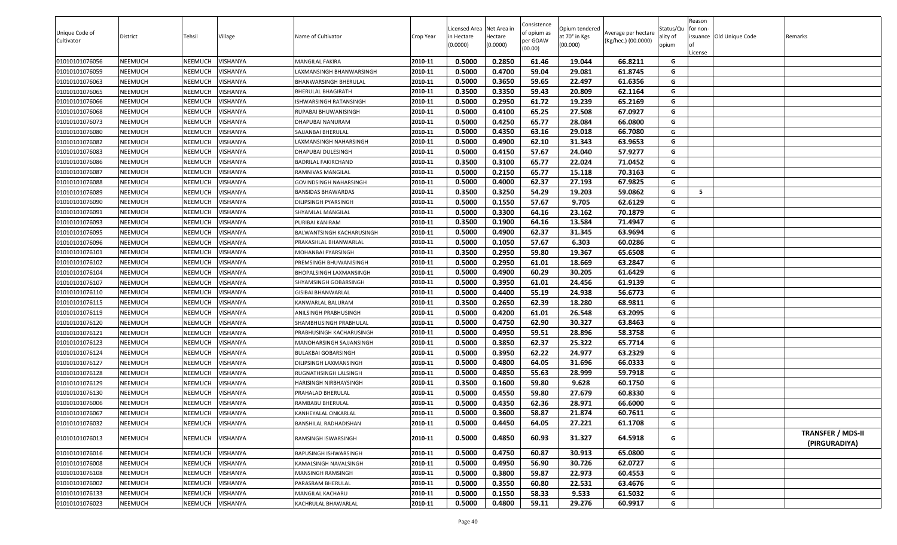|                |                |                |                 |                               |           |                                        |          | Consistence |                                 |                     |                       | Reason   |                          |                          |
|----------------|----------------|----------------|-----------------|-------------------------------|-----------|----------------------------------------|----------|-------------|---------------------------------|---------------------|-----------------------|----------|--------------------------|--------------------------|
| Unique Code of | District       | Tehsil         | Village         | Name of Cultivator            | Crop Year | Licensed Area Net Area in<br>n Hectare | Hectare  | of opium as | Opium tendered<br>at 70° in Kgs | Average per hectare | Status/Qu<br>ality of | for non- | issuance Old Unique Code | Remarks                  |
| Cultivator     |                |                |                 |                               |           | (0.0000)                               | (0.0000) | per GOAW    | (00.000)                        | (Kg/hec.) (00.0000) | opium                 | lof      |                          |                          |
|                |                |                |                 |                               |           |                                        |          | (00.00)     |                                 |                     |                       | License  |                          |                          |
| 01010101076056 | <b>NEEMUCH</b> | <b>NEEMUCH</b> | VISHANYA        | MANGILAL FAKIRA               | 2010-11   | 0.5000                                 | 0.2850   | 61.46       | 19.044                          | 66.8211             | G                     |          |                          |                          |
| 01010101076059 | <b>NEEMUCH</b> | <b>NEEMUCH</b> | VISHANYA        | AXMANSINGH BHANWARSINGH       | 2010-11   | 0.5000                                 | 0.4700   | 59.04       | 29.081                          | 61.8745             | G                     |          |                          |                          |
| 01010101076063 | <b>NEEMUCH</b> | <b>NEEMUCH</b> | VISHANYA        | BHANWARSINGH BHERULAL         | 2010-11   | 0.5000                                 | 0.3650   | 59.65       | 22.497                          | 61.6356             | G                     |          |                          |                          |
| 01010101076065 | <b>NEEMUCH</b> | NEEMUCH        | VISHANYA        | BHERULAL BHAGIRATH            | 2010-11   | 0.3500                                 | 0.3350   | 59.43       | 20.809                          | 62.1164             | G                     |          |                          |                          |
| 01010101076066 | <b>NEEMUCH</b> | NEEMUCH        | VISHANYA        | <b>ISHWARSINGH RATANSINGH</b> | 2010-11   | 0.5000                                 | 0.2950   | 61.72       | 19.239                          | 65.2169             | G                     |          |                          |                          |
| 01010101076068 | <b>NEEMUCH</b> | NEEMUCH        | VISHANYA        | RUPABAI BHUWANISINGH          | 2010-11   | 0.5000                                 | 0.4100   | 65.25       | 27.508                          | 67.0927             | G                     |          |                          |                          |
| 01010101076073 | <b>NEEMUCH</b> | <b>NEEMUCH</b> | VISHANYA        | DHAPUBAI NANURAM              | 2010-11   | 0.5000                                 | 0.4250   | 65.77       | 28.084                          | 66.0800             | G                     |          |                          |                          |
| 01010101076080 | <b>NEEMUCH</b> | NEEMUCH        | VISHANYA        | SAJJANBAI BHERULAL            | 2010-11   | 0.5000                                 | 0.4350   | 63.16       | 29.018                          | 66.7080             | G                     |          |                          |                          |
| 01010101076082 | <b>NEEMUCH</b> | NEEMUCH        | VISHANYA        | AXMANSINGH NAHARSINGH         | 2010-11   | 0.5000                                 | 0.4900   | 62.10       | 31.343                          | 63.9653             | G                     |          |                          |                          |
| 01010101076083 | <b>NEEMUCH</b> | NEEMUCH        | VISHANYA        | DHAPUBAI DULESINGH            | 2010-11   | 0.5000                                 | 0.4150   | 57.67       | 24.040                          | 57.9277             | G                     |          |                          |                          |
| 01010101076086 | <b>NEEMUCH</b> | NEEMUCH        | VISHANYA        | BADRILAL FAKIRCHAND           | 2010-11   | 0.3500                                 | 0.3100   | 65.77       | 22.024                          | 71.0452             | G                     |          |                          |                          |
| 01010101076087 | <b>NEEMUCH</b> | NEEMUCH        | VISHANYA        | RAMNIVAS MANGILAL             | 2010-11   | 0.5000                                 | 0.2150   | 65.77       | 15.118                          | 70.3163             | G                     |          |                          |                          |
| 01010101076088 | <b>NEEMUCH</b> | NEEMUCH        | VISHANYA        | GOVINDSINGH NAHARSINGH        | 2010-11   | 0.5000                                 | 0.4000   | 62.37       | 27.193                          | 67.9825             | G                     |          |                          |                          |
| 01010101076089 | <b>NEEMUCH</b> | <b>NEEMUCH</b> | VISHANYA        | BANSIDAS BHAWARDAS            | 2010-11   | 0.3500                                 | 0.3250   | 54.29       | 19.203                          | 59.0862             | G                     | - 5      |                          |                          |
| 01010101076090 | <b>NEEMUCH</b> | NEEMUCH        | VISHANYA        | DILIPSINGH PYARSINGH          | 2010-11   | 0.5000                                 | 0.1550   | 57.67       | 9.705                           | 62.6129             | G                     |          |                          |                          |
| 01010101076091 | <b>NEEMUCH</b> | <b>NEEMUCH</b> | VISHANYA        | SHYAMLAL MANGILAL             | 2010-11   | 0.5000                                 | 0.3300   | 64.16       | 23.162                          | 70.1879             | G                     |          |                          |                          |
| 01010101076093 | <b>NEEMUCH</b> | NEEMUCH        | VISHANYA        | PURIBAI KANIRAM               | 2010-11   | 0.3500                                 | 0.1900   | 64.16       | 13.584                          | 71.4947             | G                     |          |                          |                          |
| 01010101076095 | <b>NEEMUCH</b> | NEEMUCH        | VISHANYA        | BALWANTSINGH KACHARUSINGH     | 2010-11   | 0.5000                                 | 0.4900   | 62.37       | 31.345                          | 63.9694             | G                     |          |                          |                          |
| 01010101076096 | <b>NEEMUCH</b> | NEEMUCH        | VISHANYA        | PRAKASHLAL BHANWARLAL         | 2010-11   | 0.5000                                 | 0.1050   | 57.67       | 6.303                           | 60.0286             | G                     |          |                          |                          |
| 01010101076101 | <b>NEEMUCH</b> | NEEMUCH        | VISHANYA        | MOHANBAI PYARSINGH            | 2010-11   | 0.3500                                 | 0.2950   | 59.80       | 19.367                          | 65.6508             | G                     |          |                          |                          |
| 01010101076102 | <b>NEEMUCH</b> | NEEMUCH        | VISHANYA        | PREMSINGH BHUWANISINGH        | 2010-11   | 0.5000                                 | 0.2950   | 61.01       | 18.669                          | 63.2847             | G                     |          |                          |                          |
| 01010101076104 | <b>NEEMUCH</b> | NEEMUCH        | VISHANYA        | BHOPALSINGH LAXMANSINGH       | 2010-11   | 0.5000                                 | 0.4900   | 60.29       | 30.205                          | 61.6429             | G                     |          |                          |                          |
| 01010101076107 | <b>NEEMUCH</b> | NEEMUCH        | VISHANYA        | SHYAMSINGH GOBARSINGH         | 2010-11   | 0.5000                                 | 0.3950   | 61.01       | 24.456                          | 61.9139             | G                     |          |                          |                          |
| 01010101076110 | <b>NEEMUCH</b> | <b>NEEMUCH</b> | VISHANYA        | GISIBAI BHANWARLAL            | 2010-11   | 0.5000                                 | 0.4400   | 55.19       | 24.938                          | 56.6773             | G                     |          |                          |                          |
| 01010101076115 | <b>NEEMUCH</b> | <b>NEEMUCH</b> | VISHANYA        | KANWARLAL BALURAM             | 2010-11   | 0.3500                                 | 0.2650   | 62.39       | 18.280                          | 68.9811             | G                     |          |                          |                          |
| 01010101076119 | <b>NEEMUCH</b> | NEEMUCH        | VISHANYA        | ANILSINGH PRABHUSINGH         | 2010-11   | 0.5000                                 | 0.4200   | 61.01       | 26.548                          | 63.2095             | G                     |          |                          |                          |
| 01010101076120 | <b>NEEMUCH</b> | NEEMUCH        | VISHANYA        | SHAMBHUSINGH PRABHULAL        | 2010-11   | 0.5000                                 | 0.4750   | 62.90       | 30.327                          | 63.8463             | G                     |          |                          |                          |
| 01010101076121 | <b>NEEMUCH</b> | NEEMUCH        | VISHANYA        | PRABHUSINGH KACHARUSINGH      | 2010-11   | 0.5000                                 | 0.4950   | 59.51       | 28.896                          | 58.3758             | G                     |          |                          |                          |
| 01010101076123 | <b>NEEMUCH</b> | NEEMUCH        | VISHANYA        | MANOHARSINGH SAJJANSINGH      | 2010-11   | 0.5000                                 | 0.3850   | 62.37       | 25.322                          | 65.7714             | G                     |          |                          |                          |
| 01010101076124 | <b>NEEMUCH</b> | <b>NEEMUCH</b> | VISHANYA        | BULAKBAI GOBARSINGH           | 2010-11   | 0.5000                                 | 0.3950   | 62.22       | 24.977                          | 63.2329             | G                     |          |                          |                          |
| 01010101076127 | <b>NEEMUCH</b> | NEEMUCH        | VISHANYA        | DILIPSINGH LAXMANSINGH        | 2010-11   | 0.5000                                 | 0.4800   | 64.05       | 31.696                          | 66.0333             | G                     |          |                          |                          |
| 01010101076128 | <b>NEEMUCH</b> | <b>NEEMUCH</b> | VISHANYA        | RUGNATHSINGH LALSINGH         | 2010-11   | 0.5000                                 | 0.4850   | 55.63       | 28.999                          | 59.7918             | G                     |          |                          |                          |
| 01010101076129 | <b>NEEMUCH</b> | NEEMUCH        | VISHANYA        | HARISINGH NIRBHAYSINGH        | 2010-11   | 0.3500                                 | 0.1600   | 59.80       | 9.628                           | 60.1750             | G                     |          |                          |                          |
| 01010101076130 | <b>NEEMUCH</b> | NEEMUCH        | VISHANYA        | PRAHALAD BHERULAL             | 2010-11   | 0.5000                                 | 0.4550   | 59.80       | 27.679                          | 60.8330             | G                     |          |                          |                          |
| 01010101076006 | <b>NEEMUCH</b> | NEEMUCH        | VISHANYA        | RAMBABU BHERULAL              | 2010-11   | 0.5000                                 | 0.4350   | 62.36       | 28.971                          | 66.6000             | G                     |          |                          |                          |
| 01010101076067 | <b>NEEMUCH</b> | <b>NEEMUCH</b> | VISHANYA        | KANHEYALAL ONKARLAL           | 2010-11   | 0.5000                                 | 0.3600   | 58.87       | 21.874                          | 60.7611             | G                     |          |                          |                          |
| 01010101076032 | <b>NEEMUCH</b> | <b>NEEMUCH</b> | VISHANYA        | BANSHILAL RADHADISHAN         | 2010-11   | 0.5000                                 | 0.4450   | 64.05       | 27.221                          | 61.1708             | G                     |          |                          |                          |
| 01010101076013 | <b>NEEMUCH</b> | <b>NEEMUCH</b> | <b>VISHANYA</b> | RAMSINGH ISWARSINGH           | 2010-11   | 0.5000                                 | 0.4850   | 60.93       | 31.327                          | 64.5918             | G                     |          |                          | <b>TRANSFER / MDS-II</b> |
|                |                |                |                 |                               |           |                                        |          |             |                                 |                     |                       |          |                          | (PIRGURADIYA)            |
| 01010101076016 | <b>NEEMUCH</b> | <b>NEEMUCH</b> | VISHANYA        | BAPUSINGH ISHWARSINGH         | 2010-11   | 0.5000                                 | 0.4750   | 60.87       | 30.913                          | 65.0800             | G                     |          |                          |                          |
| 01010101076008 | <b>NEEMUCH</b> | <b>NEEMUCH</b> | VISHANYA        | KAMALSINGH NAVALSINGH         | 2010-11   | 0.5000                                 | 0.4950   | 56.90       | 30.726                          | 62.0727             | G                     |          |                          |                          |
| 01010101076108 | <b>NEEMUCH</b> | NEEMUCH        | VISHANYA        | MANSINGH RAMSINGH             | 2010-11   | 0.5000                                 | 0.3800   | 59.87       | 22.973                          | 60.4553             | G                     |          |                          |                          |
| 01010101076002 | <b>NEEMUCH</b> | <b>NEEMUCH</b> | VISHANYA        | PARASRAM BHERULAL             | 2010-11   | 0.5000                                 | 0.3550   | 60.80       | 22.531                          | 63.4676             | G                     |          |                          |                          |
| 01010101076133 | NEEMUCH        | <b>NEEMUCH</b> | VISHANYA        | MANGILAL KACHARU              | 2010-11   | 0.5000                                 | 0.1550   | 58.33       | 9.533                           | 61.5032             | G                     |          |                          |                          |
| 01010101076023 | <b>NEEMUCH</b> | <b>NEEMUCH</b> | VISHANYA        | KACHRULAL BHAWARLAL           | 2010-11   | 0.5000                                 | 0.4800   | 59.11       | 29.276                          | 60.9917             | G                     |          |                          |                          |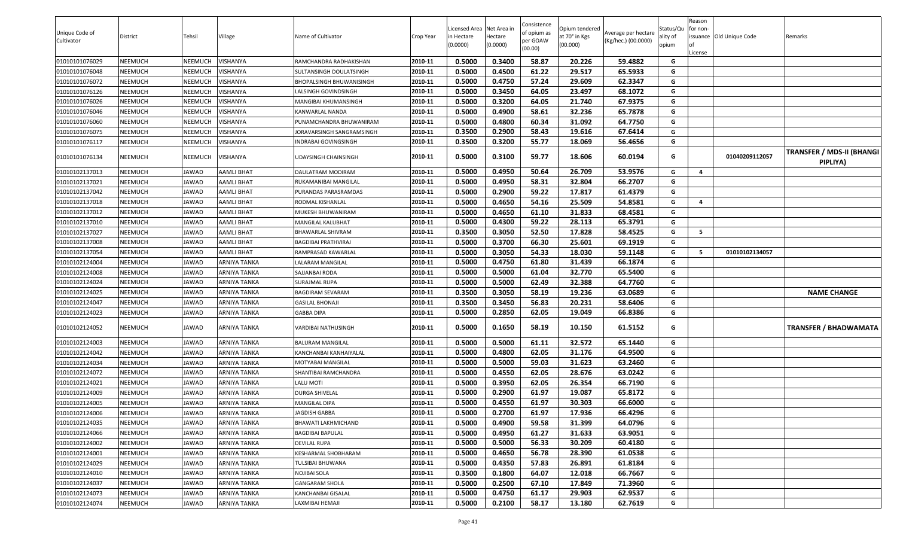| Unique Code of<br>Cultivator | District | Tehsil         | Village             | Name of Cultivator        | Crop Year | Licensed Area Net Area in<br>n Hectare<br>(0.0000) | Hectare<br>(0.0000) | Consistence<br>of opium as<br>per GOAW<br>(00.00) | Opium tendered<br>at 70° in Kgs<br>(00.000) | Average per hectare<br>(Kg/hec.) (00.0000) | Status/Qu<br>ality of<br>opium | Reason<br>for non-<br>License | issuance Old Unique Code | Remarks                                      |
|------------------------------|----------|----------------|---------------------|---------------------------|-----------|----------------------------------------------------|---------------------|---------------------------------------------------|---------------------------------------------|--------------------------------------------|--------------------------------|-------------------------------|--------------------------|----------------------------------------------|
| 01010101076029               | NEEMUCH  | <b>NEEMUCH</b> | VISHANYA            | RAMCHANDRA RADHAKISHAN    | 2010-11   | 0.5000                                             | 0.3400              | 58.87                                             | 20.226                                      | 59.4882                                    | G                              |                               |                          |                                              |
| 01010101076048               | NEEMUCH  | NEEMUCH        | VISHANYA            | SULTANSINGH DOULATSINGH   | 2010-11   | 0.5000                                             | 0.4500              | 61.22                                             | 29.517                                      | 65.5933                                    | G                              |                               |                          |                                              |
| 01010101076072               | NEEMUCH  | NEEMUCH        | VISHANYA            | BHOPALSINGH BHUWANISINGH  | 2010-11   | 0.5000                                             | 0.4750              | 57.24                                             | 29.609                                      | 62.3347                                    | G                              |                               |                          |                                              |
| 01010101076126               | NEEMUCH  | NEEMUCH        | VISHANYA            | ALSINGH GOVINDSINGH.      | 2010-11   | 0.5000                                             | 0.3450              | 64.05                                             | 23.497                                      | 68.1072                                    | G                              |                               |                          |                                              |
| 01010101076026               | NEEMUCH  | <b>NEEMUCH</b> | VISHANYA            | MANGIBAI KHUMANSINGH      | 2010-11   | 0.5000                                             | 0.3200              | 64.05                                             | 21.740                                      | 67.9375                                    | G                              |                               |                          |                                              |
| 01010101076046               | NEEMUCH  | NEEMUCH        | VISHANYA            | KANWARLAL NANDA           | 2010-11   | 0.5000                                             | 0.4900              | 58.61                                             | 32.236                                      | 65.7878                                    | G                              |                               |                          |                                              |
| 01010101076060               | NEEMUCH  | NEEMUCH        | VISHANYA            | PUNAMCHANDRA BHUWANIRAM   | 2010-11   | 0.5000                                             | 0.4800              | 60.34                                             | 31.092                                      | 64.7750                                    | G                              |                               |                          |                                              |
| 01010101076075               | NEEMUCH  | NEEMUCH        | VISHANYA            | IORAVARSINGH SANGRAMSINGH | 2010-11   | 0.3500                                             | 0.2900              | 58.43                                             | 19.616                                      | 67.6414                                    | G                              |                               |                          |                                              |
| 01010101076117               | NEEMUCH  | <b>NEEMUCH</b> | VISHANYA            | INDRABAI GOVINGSINGH      | 2010-11   | 0.3500                                             | 0.3200              | 55.77                                             | 18.069                                      | 56.4656                                    | G                              |                               |                          |                                              |
| 01010101076134               | NEEMUCH  | NEEMUCH        | VISHANYA            | JDAYSINGH CHAINSINGH      | 2010-11   | 0.5000                                             | 0.3100              | 59.77                                             | 18.606                                      | 60.0194                                    | G                              |                               | 01040209112057           | <b>TRANSFER / MDS-II (BHANGI</b><br>PIPLIYA) |
| 01010102137013               | NEEMUCH  | JAWAD          | <b>AAMLI BHAT</b>   | DAULATRAM MODIRAM         | 2010-11   | 0.5000                                             | 0.4950              | 50.64                                             | 26.709                                      | 53.9576                                    | G                              | $\overline{a}$                |                          |                                              |
| 01010102137021               | NEEMUCH  | JAWAD          | <b>AAMLI BHAT</b>   | RUKAMANIBAI MANGILAL      | 2010-11   | 0.5000                                             | 0.4950              | 58.31                                             | 32.804                                      | 66.2707                                    | G                              |                               |                          |                                              |
| 01010102137042               | NEEMUCH  | JAWAD          | <b>AAMLI BHAT</b>   | PURANDAS PARASRAMDAS      | 2010-11   | 0.5000                                             | 0.2900              | 59.22                                             | 17.817                                      | 61.4379                                    | G                              |                               |                          |                                              |
| 01010102137018               | NEEMUCH  | JAWAD          | <b>AAMLI BHAT</b>   | RODMAL KISHANLAL          | 2010-11   | 0.5000                                             | 0.4650              | 54.16                                             | 25.509                                      | 54.8581                                    | G                              | $\overline{a}$                |                          |                                              |
| 01010102137012               | NEEMUCH  | JAWAD          | <b>AAMLI BHAT</b>   | MUKESH BHUWANIRAM         | 2010-11   | 0.5000                                             | 0.4650              | 61.10                                             | 31.833                                      | 68.4581                                    | G                              |                               |                          |                                              |
| 01010102137010               | NEEMUCH  | JAWAD          | <b>AAMLI BHAT</b>   | MANGILAL KALUBHAT         | 2010-11   | 0.5000                                             | 0.4300              | 59.22                                             | 28.113                                      | 65.3791                                    | G                              |                               |                          |                                              |
| 01010102137027               | NEEMUCH  | JAWAD          | <b>AAMLI BHAT</b>   | BHAWARLAL SHIVRAM         | 2010-11   | 0.3500                                             | 0.3050              | 52.50                                             | 17.828                                      | 58.4525                                    | G                              | - 5                           |                          |                                              |
| 01010102137008               | NEEMUCH  | JAWAD          | <b>AAMLI BHAT</b>   | BAGDIBAI PRATHVIRAJ       | 2010-11   | 0.5000                                             | 0.3700              | 66.30                                             | 25.601                                      | 69.1919                                    | G                              |                               |                          |                                              |
| 01010102137054               | NEEMUCH  | JAWAD          | <b>AAMLI BHAT</b>   | RAMPRASAD KAWARLAL        | 2010-11   | 0.5000                                             | 0.3050              | 54.33                                             | 18.030                                      | 59.1148                                    | G                              | 5                             | 01010102134057           |                                              |
| 01010102124004               | NEEMUCH  | JAWAD          | ARNIYA TANKA        | ALARAM MANGILAL.          | 2010-11   | 0.5000                                             | 0.4750              | 61.80                                             | 31.439                                      | 66.1874                                    | G                              |                               |                          |                                              |
| 01010102124008               | NEEMUCH  | JAWAD          | ARNIYA TANKA        | SAJJANBAI RODA            | 2010-11   | 0.5000                                             | 0.5000              | 61.04                                             | 32.770                                      | 65.5400                                    | G                              |                               |                          |                                              |
| 01010102124024               | NEEMUCH  | JAWAD          | <b>ARNIYA TANKA</b> | SURAJMAL RUPA             | 2010-11   | 0.5000                                             | 0.5000              | 62.49                                             | 32.388                                      | 64.7760                                    | G                              |                               |                          |                                              |
| 01010102124025               | NEEMUCH  | JAWAD          | ARNIYA TANKA        | BAGDIRAM SEVARAM          | 2010-11   | 0.3500                                             | 0.3050              | 58.19                                             | 19.236                                      | 63.0689                                    | G                              |                               |                          | <b>NAME CHANGE</b>                           |
| 01010102124047               | NEEMUCH  | JAWAD          | ARNIYA TANKA        | GASILAL BHONAJI           | 2010-11   | 0.3500                                             | 0.3450              | 56.83                                             | 20.231                                      | 58.6406                                    | G                              |                               |                          |                                              |
| 01010102124023               | NEEMUCH  | JAWAD          | ARNIYA TANKA        | GABBA DIPA                | 2010-11   | 0.5000                                             | 0.2850              | 62.05                                             | 19.049                                      | 66.8386                                    | G                              |                               |                          |                                              |
| 01010102124052               | NEEMUCH  | JAWAD          | ARNIYA TANKA        | VARDIBAI NATHUSINGH       | 2010-11   | 0.5000                                             | 0.1650              | 58.19                                             | 10.150                                      | 61.5152                                    | G                              |                               |                          | <b>TRANSFER / BHADWAMATA</b>                 |
| 01010102124003               | NEEMUCH  | JAWAD          | ARNIYA TANKA        | BALURAM MANGILAL          | 2010-11   | 0.5000                                             | 0.5000              | 61.11                                             | 32.572                                      | 65.1440                                    | G                              |                               |                          |                                              |
| 01010102124042               | NEEMUCH  | JAWAD          | ARNIYA TANKA        | KANCHANBAI KANHAIYALAL    | 2010-11   | 0.5000                                             | 0.4800              | 62.05                                             | 31.176                                      | 64.9500                                    | G                              |                               |                          |                                              |
| 01010102124034               | NEEMUCH  | JAWAD          | ARNIYA TANKA        | MOTYABAI MANGILAL         | 2010-11   | 0.5000                                             | 0.5000              | 59.03                                             | 31.623                                      | 63.2460                                    | G                              |                               |                          |                                              |
| 01010102124072               | NEEMUCH  | JAWAD          | ARNIYA TANKA        | SHANTIBAI RAMCHANDRA      | 2010-11   | 0.5000                                             | 0.4550              | 62.05                                             | 28.676                                      | 63.0242                                    | G                              |                               |                          |                                              |
| 01010102124021               | NEEMUCH  | JAWAD          | ARNIYA TANKA        | LALU MOTI                 | 2010-11   | 0.5000                                             | 0.3950              | 62.05                                             | 26.354                                      | 66.7190                                    | G                              |                               |                          |                                              |
| 01010102124009               | NEEMUCH  | JAWAD          | ARNIYA TANKA        | DURGA SHIVELAL            | 2010-11   | 0.5000                                             | 0.2900              | 61.97                                             | 19.087                                      | 65.8172                                    | G                              |                               |                          |                                              |
| 01010102124005               | NEEMUCH  | JAWAD          | ARNIYA TANKA        | <b>MANGILAL DIPA</b>      | 2010-11   | 0.5000                                             | 0.4550              | 61.97                                             | 30.303                                      | 66.6000                                    | G                              |                               |                          |                                              |
| 01010102124006               | NEEMUCH  | JAWAD          | <b>ARNIYA TANKA</b> | <b>JAGDISH GABBA</b>      | 2010-11   | 0.5000                                             | 0.2700              | 61.97                                             | 17.936                                      | 66.4296                                    | G                              |                               |                          |                                              |
| 01010102124035               | NEEMUCH  | JAWAD          | ARNIYA TANKA        | BHAWATI LAKHMICHAND       | 2010-11   | 0.5000                                             | 0.4900              | 59.58                                             | 31.399                                      | 64.0796                                    | G                              |                               |                          |                                              |
| 01010102124066               | NEEMUCH  | JAWAD          | ARNIYA TANKA        | <b>BAGDIBAI BAPULAL</b>   | 2010-11   | 0.5000                                             | 0.4950              | 61.27                                             | 31.633                                      | 63.9051                                    | G                              |                               |                          |                                              |
| 01010102124002               | NEEMUCH  | JAWAD          | ARNIYA TANKA        | DEVILAL RUPA              | 2010-11   | 0.5000                                             | 0.5000              | 56.33                                             | 30.209                                      | 60.4180                                    | G                              |                               |                          |                                              |
| 01010102124001               | NEEMUCH  | <b>JAWAD</b>   | ARNIYA TANKA        | KESHARMAL SHOBHARAM       | 2010-11   | 0.5000                                             | 0.4650              | 56.78                                             | 28.390                                      | 61.0538                                    | G                              |                               |                          |                                              |
| 01010102124029               | NEEMUCH  | JAWAD          | ARNIYA TANKA        | TULSIBAI BHUWANA          | 2010-11   | 0.5000                                             | 0.4350              | 57.83                                             | 26.891                                      | 61.8184                                    | G                              |                               |                          |                                              |
| 01010102124010               | NEEMUCH  | JAWAD          | ARNIYA TANKA        | NOJIBAI SOLA              | 2010-11   | 0.3500                                             | 0.1800              | 64.07                                             | 12.018                                      | 66.7667                                    | G                              |                               |                          |                                              |
| 01010102124037               | NEEMUCH  | JAWAD          | ARNIYA TANKA        | <b>GANGARAM SHOLA</b>     | 2010-11   | 0.5000                                             | 0.2500              | 67.10                                             | 17.849                                      | 71.3960                                    | G                              |                               |                          |                                              |
| 01010102124073               | NEEMUCH  | JAWAD          | ARNIYA TANKA        | KANCHANBAI GISALAL        | 2010-11   | 0.5000                                             | 0.4750              | 61.17                                             | 29.903                                      | 62.9537                                    | G                              |                               |                          |                                              |
| 01010102124074               | NEEMUCH  | JAWAD          | ARNIYA TANKA        | LAXMIBAI HEMAJI           | 2010-11   | 0.5000                                             | 0.2100              | 58.17                                             | 13.180                                      | 62.7619                                    | G                              |                               |                          |                                              |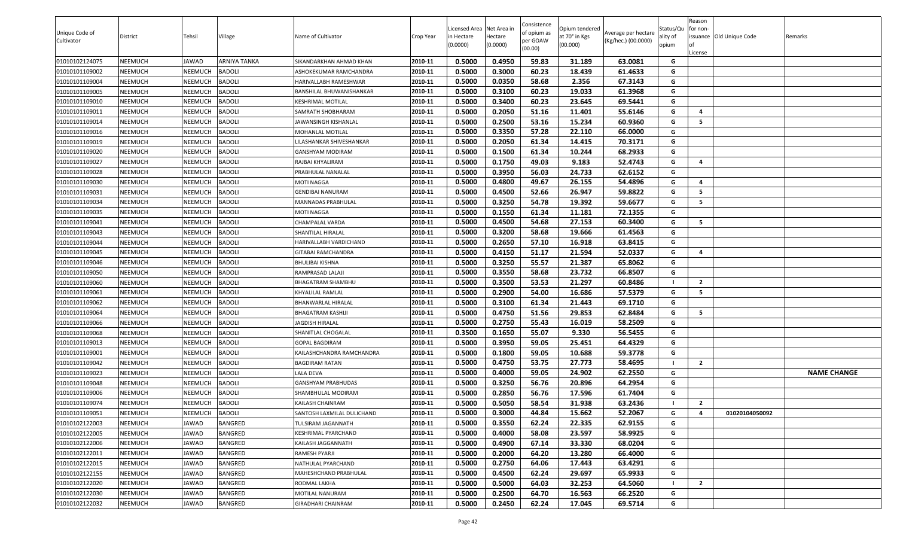|                |                |                |               |                            |           |                           |                     | Consistence |                           |                     |                   | Reason                  |                          |                    |
|----------------|----------------|----------------|---------------|----------------------------|-----------|---------------------------|---------------------|-------------|---------------------------|---------------------|-------------------|-------------------------|--------------------------|--------------------|
| Unique Code of |                |                |               |                            |           | Licensed Area Net Area in |                     | of opium as | Opium tendered            | Average per hectare | Status/Qu         | for non-                |                          |                    |
| Cultivator     | District       | Tehsil         | Village       | Name of Cultivator         | Crop Year | n Hectare<br>(0.0000)     | Hectare<br>(0.0000) | per GOAW    | at 70° in Kgs<br>(00.000) | (Kg/hec.) (00.0000) | ality of<br>opium | lof                     | issuance Old Unique Code | Remarks            |
|                |                |                |               |                            |           |                           |                     | (00.00)     |                           |                     |                   | License                 |                          |                    |
| 01010102124075 | <b>NEEMUCH</b> | JAWAD          | ARNIYA TANKA  | SIKANDARKHAN AHMAD KHAN    | 2010-11   | 0.5000                    | 0.4950              | 59.83       | 31.189                    | 63.0081             | G                 |                         |                          |                    |
| 01010101109002 | <b>NEEMUCH</b> | NEEMUCH        | <b>BADOLI</b> | ASHOKEKUMAR RAMCHANDRA     | 2010-11   | 0.5000                    | 0.3000              | 60.23       | 18.439                    | 61.4633             | G                 |                         |                          |                    |
| 01010101109004 | <b>NEEMUCH</b> | <b>NEEMUCH</b> | <b>BADOLI</b> | HARIVALLABH RAMESHWAR      | 2010-11   | 0.5000                    | 0.0350              | 58.68       | 2.356                     | 67.3143             | G                 |                         |                          |                    |
| 01010101109005 | <b>NEEMUCH</b> | NEEMUCH        | <b>BADOLI</b> | BANSHILAL BHUWANISHANKAR   | 2010-11   | 0.5000                    | 0.3100              | 60.23       | 19.033                    | 61.3968             | G                 |                         |                          |                    |
| 01010101109010 | <b>NEEMUCH</b> | <b>NEEMUCH</b> | <b>BADOLI</b> | KESHRIMAL MOTILAL          | 2010-11   | 0.5000                    | 0.3400              | 60.23       | 23.645                    | 69.5441             | G                 |                         |                          |                    |
| 01010101109011 | <b>NEEMUCH</b> | NEEMUCH        | <b>BADOLI</b> | SAMRATH SHOBHARAM          | 2010-11   | 0.5000                    | 0.2050              | 51.16       | 11.401                    | 55.6146             | G                 | -4                      |                          |                    |
| 01010101109014 | <b>NEEMUCH</b> | <b>NEEMUCH</b> | <b>BADOLI</b> | JAWANSINGH KISHANLAL       | 2010-11   | 0.5000                    | 0.2500              | 53.16       | 15.234                    | 60.9360             | G                 | -5                      |                          |                    |
| 01010101109016 | <b>NEEMUCH</b> | NEEMUCH        | <b>BADOLI</b> | MOHANLAL MOTILAL           | 2010-11   | 0.5000                    | 0.3350              | 57.28       | 22.110                    | 66.0000             | G                 |                         |                          |                    |
| 01010101109019 | <b>NEEMUCH</b> | <b>NEEMUCH</b> | <b>BADOLI</b> | LILASHANKAR SHIVESHANKAR   | 2010-11   | 0.5000                    | 0.2050              | 61.34       | 14.415                    | 70.3171             | G                 |                         |                          |                    |
| 01010101109020 | <b>NEEMUCH</b> | NEEMUCH        | <b>BADOLI</b> | GANSHYAM MODIRAM           | 2010-11   | 0.5000                    | 0.1500              | 61.34       | 10.244                    | 68.2933             | G                 |                         |                          |                    |
| 01010101109027 | <b>NEEMUCH</b> | <b>NEEMUCH</b> | <b>BADOLI</b> | RAJBAI KHYALIRAM           | 2010-11   | 0.5000                    | 0.1750              | 49.03       | 9.183                     | 52.4743             | G                 | $\overline{a}$          |                          |                    |
| 01010101109028 | <b>NEEMUCH</b> | <b>NEEMUCH</b> | <b>BADOLI</b> | PRABHULAL NANALAL          | 2010-11   | 0.5000                    | 0.3950              | 56.03       | 24.733                    | 62.6152             | G                 |                         |                          |                    |
| 01010101109030 | <b>NEEMUCH</b> | <b>NEEMUCH</b> | <b>BADOLI</b> | MOTI NAGGA                 | 2010-11   | 0.5000                    | 0.4800              | 49.67       | 26.155                    | 54.4896             | G                 | $\overline{a}$          |                          |                    |
| 01010101109031 | <b>NEEMUCH</b> | <b>NEEMUCH</b> | <b>BADOLI</b> | <b>GENDIBAI NANURAM</b>    | 2010-11   | 0.5000                    | 0.4500              | 52.66       | 26.947                    | 59.8822             | G                 | - 5                     |                          |                    |
| 01010101109034 | <b>NEEMUCH</b> | NEEMUCH        | <b>BADOLI</b> | MANNADAS PRABHULAL         | 2010-11   | 0.5000                    | 0.3250              | 54.78       | 19.392                    | 59.6677             | G                 | - 5                     |                          |                    |
| 01010101109035 | <b>NEEMUCH</b> | <b>NEEMUCH</b> | <b>BADOLI</b> | MOTI NAGGA                 | 2010-11   | 0.5000                    | 0.1550              | 61.34       | 11.181                    | 72.1355             | G                 |                         |                          |                    |
| 01010101109041 | <b>NEEMUCH</b> | NEEMUCH        | <b>BADOLI</b> | CHAMPALAL VARDA            | 2010-11   | 0.5000                    | 0.4500              | 54.68       | 27.153                    | 60.3400             | G                 | - 5                     |                          |                    |
| 01010101109043 | <b>NEEMUCH</b> | <b>NEEMUCH</b> | <b>BADOLI</b> | SHANTILAL HIRALAL          | 2010-11   | 0.5000                    | 0.3200              | 58.68       | 19.666                    | 61.4563             | G                 |                         |                          |                    |
| 01010101109044 | <b>NEEMUCH</b> | <b>NEEMUCH</b> | <b>BADOLI</b> | HARIVALLABH VARDICHAND     | 2010-11   | 0.5000                    | 0.2650              | 57.10       | 16.918                    | 63.8415             | G                 |                         |                          |                    |
| 01010101109045 | <b>NEEMUCH</b> | <b>NEEMUCH</b> | <b>BADOLI</b> | GITABAI RAMCHANDRA         | 2010-11   | 0.5000                    | 0.4150              | 51.17       | 21.594                    | 52.0337             | G                 | $\overline{\mathbf{a}}$ |                          |                    |
| 01010101109046 | <b>NEEMUCH</b> | NEEMUCH        | <b>BADOLI</b> | BHULIBAI KISHNA            | 2010-11   | 0.5000                    | 0.3250              | 55.57       | 21.387                    | 65.8062             | G                 |                         |                          |                    |
| 01010101109050 | <b>NEEMUCH</b> | <b>NEEMUCH</b> | <b>BADOLI</b> | RAMPRASAD LALAJI           | 2010-11   | 0.5000                    | 0.3550              | 58.68       | 23.732                    | 66.8507             | G                 |                         |                          |                    |
| 01010101109060 | <b>NEEMUCH</b> | NEEMUCH        | <b>BADOLI</b> | BHAGATRAM SHAMBHU          | 2010-11   | 0.5000                    | 0.3500              | 53.53       | 21.297                    | 60.8486             |                   | $\overline{2}$          |                          |                    |
| 01010101109061 | <b>NEEMUCH</b> | <b>NEEMUCH</b> | <b>BADOLI</b> | KHYALILAL RAMLAL           | 2010-11   | 0.5000                    | 0.2900              | 54.00       | 16.686                    | 57.5379             | G                 | - 5                     |                          |                    |
| 01010101109062 | <b>NEEMUCH</b> | <b>NEEMUCH</b> | <b>BADOLI</b> | BHANWARLAL HIRALAL         | 2010-11   | 0.5000                    | 0.3100              | 61.34       | 21.443                    | 69.1710             | G                 |                         |                          |                    |
| 01010101109064 | <b>NEEMUCH</b> | <b>NEEMUCH</b> | <b>BADOLI</b> | BHAGATRAM KASHIJI          | 2010-11   | 0.5000                    | 0.4750              | 51.56       | 29.853                    | 62.8484             | G                 | - 5                     |                          |                    |
| 01010101109066 | <b>NEEMUCH</b> | NEEMUCH        | <b>BADOLI</b> | <b>JAGDISH HIRALAL</b>     | 2010-11   | 0.5000                    | 0.2750              | 55.43       | 16.019                    | 58.2509             | G                 |                         |                          |                    |
| 01010101109068 | <b>NEEMUCH</b> | <b>NEEMUCH</b> | <b>BADOLI</b> | SHANITLAL CHOGALAL         | 2010-11   | 0.3500                    | 0.1650              | 55.07       | 9.330                     | 56.5455             | G                 |                         |                          |                    |
| 01010101109013 | <b>NEEMUCH</b> | NEEMUCH        | <b>BADOLI</b> | GOPAL BAGDIRAM             | 2010-11   | 0.5000                    | 0.3950              | 59.05       | 25.451                    | 64.4329             | G                 |                         |                          |                    |
| 01010101109001 | <b>NEEMUCH</b> | <b>NEEMUCH</b> | <b>BADOLI</b> | KAILASHCHANDRA RAMCHANDRA  | 2010-11   | 0.5000                    | 0.1800              | 59.05       | 10.688                    | 59.3778             | G                 |                         |                          |                    |
| 01010101109042 | <b>NEEMUCH</b> | NEEMUCH        | <b>BADOLI</b> | <b>BAGDIRAM RATAN</b>      | 2010-11   | 0.5000                    | 0.4750              | 53.75       | 27.773                    | 58.4695             |                   | $\overline{2}$          |                          |                    |
| 01010101109023 | <b>NEEMUCH</b> | <b>NEEMUCH</b> | <b>BADOLI</b> | LALA DEVA                  | 2010-11   | 0.5000                    | 0.4000              | 59.05       | 24.902                    | 62.2550             | G                 |                         |                          | <b>NAME CHANGE</b> |
| 01010101109048 | <b>NEEMUCH</b> | NEEMUCH        | <b>BADOLI</b> | GANSHYAM PRABHUDAS         | 2010-11   | 0.5000                    | 0.3250              | 56.76       | 20.896                    | 64.2954             | G                 |                         |                          |                    |
| 01010101109006 | <b>NEEMUCH</b> | <b>NEEMUCH</b> | <b>BADOLI</b> | SHAMBHULAL MODIRAM         | 2010-11   | 0.5000                    | 0.2850              | 56.76       | 17.596                    | 61.7404             | G                 |                         |                          |                    |
| 01010101109074 | <b>NEEMUCH</b> | NEEMUCH        | <b>BADOLI</b> | KAILASH CHAINRAM           | 2010-11   | 0.5000                    | 0.5050              | 58.54       | 31.938                    | 63.2436             |                   | $\overline{2}$          |                          |                    |
| 01010101109051 | <b>NEEMUCH</b> | <b>NEEMUCH</b> | <b>BADOLI</b> | SANTOSH LAXMILAL DULICHAND | 2010-11   | 0.5000                    | 0.3000              | 44.84       | 15.662                    | 52.2067             | G                 | $\overline{\mathbf{a}}$ | 01020104050092           |                    |
| 01010102122003 | <b>NEEMUCH</b> | JAWAD          | BANGRED       | TULSIRAM JAGANNATH         | 2010-11   | 0.5000                    | 0.3550              | 62.24       | 22.335                    | 62.9155             | G                 |                         |                          |                    |
| 01010102122005 | <b>NEEMUCH</b> | JAWAD          | BANGRED       | (ESHRIMAL PYARCHAND        | 2010-11   | 0.5000                    | 0.4000              | 58.08       | 23.597                    | 58.9925             | G                 |                         |                          |                    |
| 01010102122006 | <b>NEEMUCH</b> | JAWAD          | BANGRED       | KAILASH JAGGANNATH         | 2010-11   | 0.5000                    | 0.4900              | 67.14       | 33.330                    | 68.0204             | G                 |                         |                          |                    |
| 01010102122011 | <b>NEEMUCH</b> | JAWAD          | BANGRED       | RAMESH PYARJI              | 2010-11   | 0.5000                    | 0.2000              | 64.20       | 13.280                    | 66.4000             | G                 |                         |                          |                    |
| 01010102122015 | <b>NEEMUCH</b> | JAWAD          | BANGRED       | NATHULAL PYARCHAND         | 2010-11   | 0.5000                    | 0.2750              | 64.06       | 17.443                    | 63.4291             | G                 |                         |                          |                    |
| 01010102122155 | <b>NEEMUCH</b> | JAWAD          | BANGRED       | MAHESHCHAND PRABHULAL      | 2010-11   | 0.5000                    | 0.4500              | 62.24       | 29.697                    | 65.9933             | G                 |                         |                          |                    |
| 01010102122020 | <b>NEEMUCH</b> | JAWAD          | BANGRED       | RODMAL LAKHA               | 2010-11   | 0.5000                    | 0.5000              | 64.03       | 32.253                    | 64.5060             |                   | $\overline{2}$          |                          |                    |
| 01010102122030 | <b>NEEMUCH</b> | JAWAD          | BANGRED       | MOTILAL NANURAM            | 2010-11   | 0.5000                    | 0.2500              | 64.70       | 16.563                    | 66.2520             | G                 |                         |                          |                    |
| 01010102122032 | <b>NEEMUCH</b> | JAWAD          | BANGRED       | GIRADHARI CHAINRAM         | 2010-11   | 0.5000                    | 0.2450              | 62.24       | 17.045                    | 69.5714             | G                 |                         |                          |                    |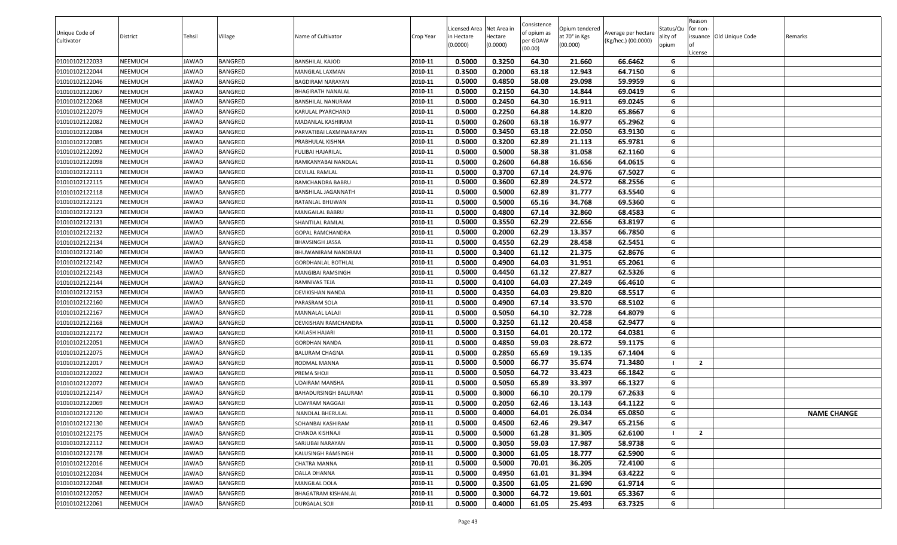| Unique Code of<br>Cultivator | District | Tehsil | Village        | Name of Cultivator      | Crop Year | Licensed Area Net Area in<br>n Hectare<br>(0.0000) | Hectare<br>(0.0000) | Consistence<br>of opium as<br>per GOAW<br>(00.00) | Opium tendered<br>at 70° in Kgs<br>(00.000) | Average per hectare<br>(Kg/hec.) (00.0000) | Status/Qu<br>ality of<br>opium | Reason<br>for non-<br>License | issuance Old Unique Code | Remarks            |
|------------------------------|----------|--------|----------------|-------------------------|-----------|----------------------------------------------------|---------------------|---------------------------------------------------|---------------------------------------------|--------------------------------------------|--------------------------------|-------------------------------|--------------------------|--------------------|
| 01010102122033               | NEEMUCH  | JAWAD  | BANGRED        | <b>BANSHILAL KAJOD</b>  | 2010-11   | 0.5000                                             | 0.3250              | 64.30                                             | 21.660                                      | 66.6462                                    | G                              |                               |                          |                    |
| 01010102122044               | NEEMUCH  | JAWAD  | BANGRED        | MANGILAL LAXMAN         | 2010-11   | 0.3500                                             | 0.2000              | 63.18                                             | 12.943                                      | 64.7150                                    | G                              |                               |                          |                    |
| 01010102122046               | NEEMUCH  | JAWAD  | BANGRED        | BAGDIRAM NARAYAN        | 2010-11   | 0.5000                                             | 0.4850              | 58.08                                             | 29.098                                      | 59.9959                                    | G                              |                               |                          |                    |
| 01010102122067               | NEEMUCH  | JAWAD  | BANGRED        | BHAGIRATH NANALAL       | 2010-11   | 0.5000                                             | 0.2150              | 64.30                                             | 14.844                                      | 69.0419                                    | G                              |                               |                          |                    |
| 01010102122068               | NEEMUCH  | JAWAD  | BANGRED        | BANSHILAL NANURAM       | 2010-11   | 0.5000                                             | 0.2450              | 64.30                                             | 16.911                                      | 69.0245                                    | G                              |                               |                          |                    |
| 01010102122079               | NEEMUCH  | JAWAD  | BANGRED        | KARULAL PYARCHAND       | 2010-11   | 0.5000                                             | 0.2250              | 64.88                                             | 14.820                                      | 65.8667                                    | G                              |                               |                          |                    |
| 01010102122082               | NEEMUCH  | JAWAD  | <b>BANGRED</b> | MADANLAL KASHIRAM       | 2010-11   | 0.5000                                             | 0.2600              | 63.18                                             | 16.977                                      | 65.2962                                    | G                              |                               |                          |                    |
| 01010102122084               | NEEMUCH  | JAWAD  | BANGRED        | PARVATIBAI LAXMINARAYAN | 2010-11   | 0.5000                                             | 0.3450              | 63.18                                             | 22.050                                      | 63.9130                                    | G                              |                               |                          |                    |
| 01010102122085               | NEEMUCH  | JAWAD  | BANGRED        | PRABHULAL KISHNA        | 2010-11   | 0.5000                                             | 0.3200              | 62.89                                             | 21.113                                      | 65.9781                                    | G                              |                               |                          |                    |
| 01010102122092               | NEEMUCH  | JAWAD  | BANGRED        | FULIBAI HAJARILAL       | 2010-11   | 0.5000                                             | 0.5000              | 58.38                                             | 31.058                                      | 62.1160                                    | G                              |                               |                          |                    |
| 01010102122098               | NEEMUCH  | JAWAD  | BANGRED        | RAMKANYABAI NANDLAL     | 2010-11   | 0.5000                                             | 0.2600              | 64.88                                             | 16.656                                      | 64.0615                                    | G                              |                               |                          |                    |
| 01010102122111               | NEEMUCH  | JAWAD  | BANGRED        | DEVILAL RAMLAL          | 2010-11   | 0.5000                                             | 0.3700              | 67.14                                             | 24.976                                      | 67.5027                                    | G                              |                               |                          |                    |
| 01010102122115               | NEEMUCH  | JAWAD  | BANGRED        | RAMCHANDRA BABRU        | 2010-11   | 0.5000                                             | 0.3600              | 62.89                                             | 24.572                                      | 68.2556                                    | G                              |                               |                          |                    |
| 01010102122118               | NEEMUCH  | JAWAD  | BANGRED        | BANSHILAL JAGANNATH     | 2010-11   | 0.5000                                             | 0.5000              | 62.89                                             | 31.777                                      | 63.5540                                    | G                              |                               |                          |                    |
| 01010102122121               | NEEMUCH  | JAWAD  | BANGRED        | RATANLAL BHUWAN         | 2010-11   | 0.5000                                             | 0.5000              | 65.16                                             | 34.768                                      | 69.5360                                    | G                              |                               |                          |                    |
| 01010102122123               | NEEMUCH  | JAWAD  | <b>BANGRED</b> | <b>MANGAILAL BABRU</b>  | 2010-11   | 0.5000                                             | 0.4800              | 67.14                                             | 32.860                                      | 68.4583                                    | G                              |                               |                          |                    |
| 01010102122131               | NEEMUCH  | JAWAD  | BANGRED        | SHANTILAL RAMLAL        | 2010-11   | 0.5000                                             | 0.3550              | 62.29                                             | 22.656                                      | 63.8197                                    | G                              |                               |                          |                    |
| 01010102122132               | NEEMUCH  | JAWAD  | BANGRED        | GOPAL RAMCHANDRA        | 2010-11   | 0.5000                                             | 0.2000              | 62.29                                             | 13.357                                      | 66.7850                                    | G                              |                               |                          |                    |
| 01010102122134               | NEEMUCH  | JAWAD  | BANGRED        | BHAVSINGH JASSA         | 2010-11   | 0.5000                                             | 0.4550              | 62.29                                             | 28.458                                      | 62.5451                                    | G                              |                               |                          |                    |
| 01010102122140               | NEEMUCH  | JAWAD  | BANGRED        | BHUWANIRAM NANDRAM      | 2010-11   | 0.5000                                             | 0.3400              | 61.12                                             | 21.375                                      | 62.8676                                    | G                              |                               |                          |                    |
| 01010102122142               | NEEMUCH  | JAWAD  | BANGRED        | GORDHANLAL BOTHLAL      | 2010-11   | 0.5000                                             | 0.4900              | 64.03                                             | 31.951                                      | 65.2061                                    | G                              |                               |                          |                    |
| 01010102122143               | NEEMUCH  | JAWAD  | BANGRED        | MANGIBAI RAMSINGH       | 2010-11   | 0.5000                                             | 0.4450              | 61.12                                             | 27.827                                      | 62.5326                                    | G                              |                               |                          |                    |
| 01010102122144               | NEEMUCH  | JAWAD  | BANGRED        | RAMNIVAS TEJA           | 2010-11   | 0.5000                                             | 0.4100              | 64.03                                             | 27.249                                      | 66.4610                                    | G                              |                               |                          |                    |
| 01010102122153               | NEEMUCH  | JAWAD  | <b>BANGRED</b> | DEVIKISHAN NANDA        | 2010-11   | 0.5000                                             | 0.4350              | 64.03                                             | 29.820                                      | 68.5517                                    | G                              |                               |                          |                    |
| 01010102122160               | NEEMUCH  | JAWAD  | BANGRED        | PARASRAM SOLA           | 2010-11   | 0.5000                                             | 0.4900              | 67.14                                             | 33.570                                      | 68.5102                                    | G                              |                               |                          |                    |
| 01010102122167               | NEEMUCH  | JAWAD  | BANGRED        | MANNALAL LALAJI         | 2010-11   | 0.5000                                             | 0.5050              | 64.10                                             | 32.728                                      | 64.8079                                    | G                              |                               |                          |                    |
| 01010102122168               | NEEMUCH  | JAWAD  | BANGRED        | DEVKISHAN RAMCHANDRA    | 2010-11   | 0.5000                                             | 0.3250              | 61.12                                             | 20.458                                      | 62.9477                                    | G                              |                               |                          |                    |
| 01010102122172               | NEEMUCH  | JAWAD  | BANGRED        | KAILASH HAJARI          | 2010-11   | 0.5000                                             | 0.3150              | 64.01                                             | 20.172                                      | 64.0381                                    | G                              |                               |                          |                    |
| 01010102122051               | NEEMUCH  | JAWAD  | BANGRED        | GORDHAN NANDA           | 2010-11   | 0.5000                                             | 0.4850              | 59.03                                             | 28.672                                      | 59.1175                                    | G                              |                               |                          |                    |
| 01010102122075               | NEEMUCH  | JAWAD  | BANGRED        | BALURAM CHAGNA          | 2010-11   | 0.5000                                             | 0.2850              | 65.69                                             | 19.135                                      | 67.1404                                    | G                              |                               |                          |                    |
| 01010102122017               | NEEMUCH  | JAWAD  | BANGRED        | RODMAL MANNA            | 2010-11   | 0.5000                                             | 0.5000              | 66.77                                             | 35.674                                      | 71.3480                                    |                                | $\overline{2}$                |                          |                    |
| 01010102122022               | NEEMUCH  | JAWAD  | <b>BANGRED</b> | PREMA SHOJI             | 2010-11   | 0.5000                                             | 0.5050              | 64.72                                             | 33.423                                      | 66.1842                                    | G                              |                               |                          |                    |
| 01010102122072               | NEEMUCH  | JAWAD  | BANGRED        | UDAIRAM MANSHA          | 2010-11   | 0.5000                                             | 0.5050              | 65.89                                             | 33.397                                      | 66.1327                                    | G                              |                               |                          |                    |
| 01010102122147               | NEEMUCH  | JAWAD  | BANGRED        | BAHADURSINGH BALURAM    | 2010-11   | 0.5000                                             | 0.3000              | 66.10                                             | 20.179                                      | 67.2633                                    | G                              |                               |                          |                    |
| 01010102122069               | NEEMUCH  | JAWAD  | BANGRED        | JDAYRAM NAGGAJI         | 2010-11   | 0.5000                                             | 0.2050              | 62.46                                             | 13.143                                      | 64.1122                                    | G                              |                               |                          |                    |
| 01010102122120               | NEEMUCH  | JAWAD  | <b>BANGRED</b> | <b>NANDLAL BHERULAL</b> | 2010-11   | 0.5000                                             | 0.4000              | 64.01                                             | 26.034                                      | 65.0850                                    | G                              |                               |                          | <b>NAME CHANGE</b> |
| 01010102122130               | NEEMUCH  | JAWAD  | <b>BANGRED</b> | SOHANBAI KASHIRAM       | 2010-11   | 0.5000                                             | 0.4500              | 62.46                                             | 29.347                                      | 65.2156                                    | G                              |                               |                          |                    |
| 01010102122175               | NEEMUCH  | JAWAD  | BANGRED        | CHANDA KISHNAJI         | 2010-11   | 0.5000                                             | 0.5000              | 61.28                                             | 31.305                                      | 62.6100                                    |                                | $\overline{2}$                |                          |                    |
| 01010102122112               | NEEMUCH  | JAWAD  | <b>BANGRED</b> | SARJUBAI NARAYAN        | 2010-11   | 0.5000                                             | 0.3050              | 59.03                                             | 17.987                                      | 58.9738                                    | G                              |                               |                          |                    |
| 01010102122178               | NEEMUCH  | JAWAD  | <b>BANGRED</b> | KALUSINGH RAMSINGH      | 2010-11   | 0.5000                                             | 0.3000              | 61.05                                             | 18.777                                      | 62.5900                                    | G                              |                               |                          |                    |
| 01010102122016               | NEEMUCH  | JAWAD  | <b>BANGRED</b> | CHATRA MANNA            | 2010-11   | 0.5000                                             | 0.5000              | 70.01                                             | 36.205                                      | 72.4100                                    | G                              |                               |                          |                    |
| 01010102122034               | NEEMUCH  | JAWAD  | <b>BANGRED</b> | DALLA DHANNA            | 2010-11   | 0.5000                                             | 0.4950              | 61.01                                             | 31.394                                      | 63.4222                                    | G                              |                               |                          |                    |
| 01010102122048               | NEEMUCH  | JAWAD  | <b>BANGRED</b> | MANGILAL DOLA           | 2010-11   | 0.5000                                             | 0.3500              | 61.05                                             | 21.690                                      | 61.9714                                    | G                              |                               |                          |                    |
| 01010102122052               | NEEMUCH  | JAWAD  | <b>BANGRED</b> | BHAGATRAM KISHANLAL     | 2010-11   | 0.5000                                             | 0.3000              | 64.72                                             | 19.601                                      | 65.3367                                    | G                              |                               |                          |                    |
| 01010102122061               | NEEMUCH  | JAWAD  | <b>BANGRED</b> | <b>DURGALAL SOJI</b>    | 2010-11   | 0.5000                                             | 0.4000              | 61.05                                             | 25.493                                      | 63.7325                                    | G                              |                               |                          |                    |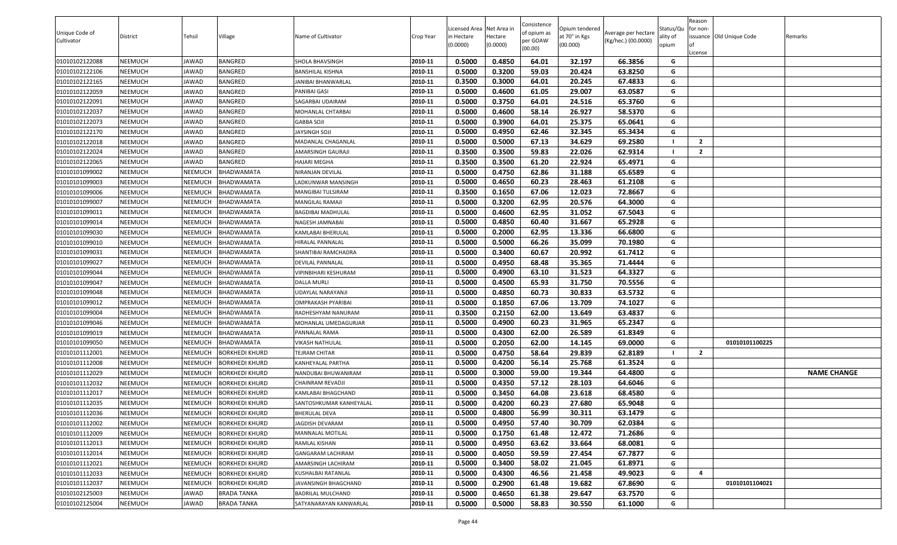| Licensed Area Net Area in<br>Unique Code of<br>of opium as<br>Average per hectare<br>Village<br>at 70° in Kgs<br><b>District</b><br>Tehsil<br>Name of Cultivator<br>Crop Year<br>in Hectare<br>Hectare<br>issuance Old Unique Code<br>Remarks<br>ality of<br>per GOAW<br>(Kg/hec.) (00.0000)<br>Cultivator<br>(0.0000)<br>(0.0000)<br>(00.000)<br>opium<br>(00.00)<br>License<br>0.5000<br>0.4850<br>32.197<br>01010102122088<br>NEEMUCH<br>BANGRED<br>2010-11<br>64.01<br>66.3856<br>G<br>JAWAD<br><b>SHOLA BHAVSINGH</b><br>0.5000<br>0.3200<br>59.03<br>20.424<br>63.8250<br>G<br>01010102122106<br>NEEMUCH<br>BANGRED<br>2010-11<br>JAWAD<br>BANSHILAL KISHNA<br>0.3500<br>01010102122165<br>BANGRED<br>2010-11<br>0.3000<br>64.01<br>20.245<br>67.4833<br>NEEMUCH<br>JANIBAI BHANWARLAL<br>G<br>JAWAD<br>G<br>2010-11<br>0.5000<br>01010102122059<br>NEEMUCH<br>BANGRED<br>PANIBAI GASI<br>0.4600<br>61.05<br>29.007<br>63.0587<br>JAWAD<br>2010-11<br>0.5000<br>0.3750<br>64.01<br>65.3760<br>01010102122091<br>BANGRED<br>SAGARBAI UDAIRAM<br>24.516<br>G<br>NEEMUCH<br>JAWAD<br>0.5000<br>G<br>2010-11<br>0.4600<br>58.14<br>26.927<br>58.5370<br>01010102122037<br>NEEMUCH<br>JAWAD<br>BANGRED<br>MOHANLAL CHTARBAI<br>01010102122073<br>BANGRED<br>0.5000<br>0.3900<br>64.01<br>25.375<br>65.0641<br>NEEMUCH<br>JAWAD<br>2010-11<br>G<br>GABBA SOJI<br>0.5000<br>0.4950<br>01010102122170<br>NEEMUCH<br>JAWAD<br><b>BANGRED</b><br>2010-11<br>62.46<br>32.345<br>65.3434<br>G<br>JAYSINGH SOJI<br>0.5000<br>0.5000<br>67.13<br>34.629<br>01010102122018<br>NEEMUCH<br>BANGRED<br>2010-11<br>69.2580<br>$\overline{2}$<br>JAWAD<br>MADANLAL CHAGANLAL<br>01010102122024<br>0.3500<br>0.3500<br>59.83<br>22.026<br>NEEMUCH<br>BANGRED<br>AMARSINGH GAURAJI<br>2010-11<br>62.9314<br>$\overline{2}$<br>JAWAD<br>0.3500<br>01010102122065<br>2010-11<br>0.3500<br>61.20<br>22.924<br>65.4971<br>NEEMUCH<br>BANGRED<br>G<br>JAWAD<br>HAJARI MEGHA<br>0.5000<br>01010101099002<br>NEEMUCH<br>NEEMUCH<br>BHADWAMATA<br>2010-11<br>0.4750<br>62.86<br>31.188<br>65.6589<br>G<br>NIRANJAN DEVILAL<br>0.5000<br>60.23<br>0.4650<br>28.463<br>61.2108<br>01010101099003<br>NEEMUCH<br><b>NEEMUCH</b><br>BHADWAMATA<br>2010-11<br>G<br>ADKUNWAR MANSINGH.<br>0.3500<br>0.1650<br>67.06<br>12.023<br>72.8667<br>G<br>2010-11<br>01010101099006<br>NEEMUCH<br><b>NEEMUCH</b><br><b>BHADWAMATA</b><br>MANGIBAI TULSIRAM<br>2010-11<br>0.5000<br>0.3200<br>62.95<br>NEEMUCH<br>MANGILAL RAMAJI<br>20.576<br>64.3000<br>G<br>01010101099007<br><b>NEEMUCH</b><br><b>BHADWAMATA</b><br>G<br>2010-11<br>0.5000<br>0.4600<br>62.95<br>31.052<br>67.5043<br>01010101099011<br>NEEMUCH<br><b>NEEMUCH</b><br><b>BHADWAMATA</b><br><b>BAGDIBAI MADHULAL</b><br>NAGESH JAMNABAI<br>2010-11<br>0.5000<br>0.4850<br>G<br>01010101099014<br>NEEMUCH<br><b>NEEMUCH</b><br>BHADWAMATA<br>60.40<br>31.667<br>65.2928<br>0.5000<br>2010-11<br>0.2000<br>62.95<br>13.336<br>01010101099030<br>NEEMUCH<br><b>NEEMUCH</b><br><b>BHADWAMATA</b><br>KAMLABAI BHERULAL<br>66.6800<br>G<br>0.5000<br>01010101099010<br>2010-11<br>0.5000<br>66.26<br>35.099<br>70.1980<br>G<br>NEEMUCH<br>NEEMUCH<br>BHADWAMATA<br>HIRALAL PANNALAL<br>0.5000<br>0.3400<br>60.67<br>20.992<br>01010101099031<br>NEEMUCH<br><b>NEEMUCH</b><br><b>BHADWAMATA</b><br>2010-11<br>61.7412<br>G<br>SHANTIBAI RAMCHADRA<br>0.5000<br>68.48<br>2010-11<br>0.4950<br>35.365<br>71.4444<br>G<br>01010101099027<br>NEEMUCH<br><b>NEEMUCH</b><br>BHADWAMATA<br>DEVILAL PANNALAL<br>0.5000<br>0.4900<br>63.10<br>31.523<br>64.3327<br>01010101099044<br>NEEMUCH<br><b>NEEMUCH</b><br><b>BHADWAMATA</b><br>2010-11<br>G<br>VIPINBIHARI KESHURAM<br>0.5000<br>70.5556<br>NEEMUCH<br>0.4500<br>65.93<br>31.750<br>G<br>01010101099047<br><b>NEEMUCH</b><br><b>BHADWAMATA</b><br>2010-11<br>DALLA MURLI<br>0.5000<br>0.4850<br>60.73<br>30.833<br>63.5732<br>01010101099048<br>NEEMUCH<br><b>NEEMUCH</b><br>BHADWAMATA<br>2010-11<br>G<br>UDAYLAL NARAYANJI<br>0.5000<br>0.1850<br>67.06<br>13.709<br>G<br>01010101099012<br>NEEMUCH<br><b>NEEMUCH</b><br>BHADWAMATA<br>2010-11<br>74.1027<br>OMPRAKASH PYARIBAI<br>2010-11<br>0.3500<br>0.2150<br>62.00<br>13.649<br>63.4837<br>G<br>01010101099004<br>NEEMUCH<br>BHADWAMATA<br>RADHESHYAM NANURAM<br>NEEMUCH<br>0.5000<br>2010-11<br>0.4900<br>60.23<br>31.965<br>G<br>01010101099046<br>NEEMUCH<br><b>NEEMUCH</b><br><b>BHADWAMATA</b><br>MOHANLAL UMEDAGURJAR<br>65.2347<br>0.5000<br>01010101099019<br>2010-11<br>0.4300<br>62.00<br>26.589<br>61.8349<br>NEEMUCH<br>NEEMUCH<br>BHADWAMATA<br>PANNALAL RAMA<br>G<br>G<br>2010-11<br>0.5000<br>01010101099050<br>NEEMUCH<br><b>NEEMUCH</b><br>BHADWAMATA<br>VIKASH NATHULAL<br>0.2050<br>62.00<br>14.145<br>69.0000<br>01010101100225<br>0.5000<br>0.4750<br>58.64<br>29.839<br>62.8189<br>2010-11<br>$\overline{2}$<br>01010101112001<br>NEEMUCH<br><b>NEEMUCH</b><br><b>BORKHEDI KHURD</b><br>TEJRAM CHITAR<br>0.5000<br>0.4200<br>56.14<br>25.768<br>61.3524<br>01010101112008<br>NEEMUCH<br><b>NEEMUCH</b><br>2010-11<br>G<br><b>BORKHEDI KHURD</b><br>KANHEYALAL PARTHA<br>0.5000<br>0.3000<br>59.00<br>19.344<br>64.4800<br>01010101112029<br>NEEMUCH<br>NEEMUCH<br><b>BORKHEDI KHURD</b><br>2010-11<br>G<br><b>NAME CHANGE</b><br>NANDUBAI BHUWANIRAM<br>0.5000<br>01010101112032<br>NEEMUCH<br><b>NEEMUCH</b><br><b>BORKHEDI KHURD</b><br>2010-11<br>0.4350<br>57.12<br>28.103<br>64.6046<br>G<br>CHAINRAM REVADJI<br>0.5000<br>0.3450<br>23.618<br>01010101112017<br>2010-11<br>64.08<br>68.4580<br>G<br>NEEMUCH<br><b>NEEMUCH</b><br><b>BORKHEDI KHURD</b><br>KAMLABAI BHAGCHAND<br>0.5000<br>0.4200<br>60.23<br>27.680<br>01010101112035<br>NEEMUCH<br><b>NEEMUCH</b><br><b>BORKHEDI KHURD</b><br>2010-11<br>65.9048<br>G<br>SANTOSHKUMAR KANHEYALAL<br>0.5000<br>NEEMUCH<br><b>NEEMUCH</b><br><b>BORKHEDI KHURD</b><br>2010-11<br>0.4800<br>56.99<br>30.311<br>63.1479<br>01010101112036<br><b>BHERULAL DEVA</b><br>G<br>2010-11<br>0.5000<br>0.4950<br>57.40<br>30.709<br>62.0384<br>G<br>01010101112002<br>NEEMUCH<br><b>NEEMUCH</b><br><b>BORKHEDI KHURD</b><br>JAGDISH DEVARAM<br>2010-11<br>0.5000<br>0.1750<br>71.2686<br>G<br><b>BORKHEDI KHURD</b><br>61.48<br>12.472<br>01010101112009<br>NEEMUCH<br><b>NEEMUCH</b><br><b>MANNALAL MOTILAL</b><br>G<br>2010-11<br>0.5000<br>0.4950<br>63.62<br>33.664<br>68.0081<br>01010101112013<br>NEEMUCH<br><b>NEEMUCH</b><br><b>BORKHEDI KHURD</b><br>RAMLAL KISHAN<br>2010-11<br>0.5000<br>NEEMUCH<br>0.4050<br>59.59<br>27.454<br>67.7877<br>G<br>01010101112014<br>NEEMUCH<br><b>BORKHEDI KHURD</b><br>GANGARAM LACHIRAM<br>2010-11<br>0.5000<br>0.3400<br>58.02<br>21.045<br>61.8971<br>G<br>01010101112021<br>NEEMUCH<br><b>NEEMUCH</b><br><b>BORKHEDI KHURD</b><br>AMARSINGH LACHIRAM<br>0.5000<br>0.4300<br>46.56<br>G<br>$\overline{4}$<br>01010101112033<br>NEEMUCH<br><b>NEEMUCH</b><br><b>BORKHEDI KHURD</b><br>2010-11<br>21.458<br>49.9023<br>KUSHALBAI RATANLAL<br>01010101112037<br>0.5000<br>0.2900<br>19.682<br>NEEMUCH<br><b>NEEMUCH</b><br><b>BORKHEDI KHURD</b><br>2010-11<br>61.48<br>67.8690<br>G<br>01010101104021<br>JAVANSINGH BHAGCHAND<br>01010102125003<br>0.5000<br>0.4650<br>61.38<br>29.647<br>63.7570<br>NEEMUCH<br><b>BRADA TANKA</b><br>2010-11<br>G<br>JAWAD<br>BADRILAL MULCHAND<br>01010102125004<br>0.5000<br>0.5000<br>G<br>NEEMUCH<br>JAWAD<br><b>BRADA TANKA</b><br>2010-11<br>58.83<br>30.550<br>61.1000<br>SATYANARAYAN KANWARLAL |  |  |  |  | Consistence |                |           | Reason   |  |
|-------------------------------------------------------------------------------------------------------------------------------------------------------------------------------------------------------------------------------------------------------------------------------------------------------------------------------------------------------------------------------------------------------------------------------------------------------------------------------------------------------------------------------------------------------------------------------------------------------------------------------------------------------------------------------------------------------------------------------------------------------------------------------------------------------------------------------------------------------------------------------------------------------------------------------------------------------------------------------------------------------------------------------------------------------------------------------------------------------------------------------------------------------------------------------------------------------------------------------------------------------------------------------------------------------------------------------------------------------------------------------------------------------------------------------------------------------------------------------------------------------------------------------------------------------------------------------------------------------------------------------------------------------------------------------------------------------------------------------------------------------------------------------------------------------------------------------------------------------------------------------------------------------------------------------------------------------------------------------------------------------------------------------------------------------------------------------------------------------------------------------------------------------------------------------------------------------------------------------------------------------------------------------------------------------------------------------------------------------------------------------------------------------------------------------------------------------------------------------------------------------------------------------------------------------------------------------------------------------------------------------------------------------------------------------------------------------------------------------------------------------------------------------------------------------------------------------------------------------------------------------------------------------------------------------------------------------------------------------------------------------------------------------------------------------------------------------------------------------------------------------------------------------------------------------------------------------------------------------------------------------------------------------------------------------------------------------------------------------------------------------------------------------------------------------------------------------------------------------------------------------------------------------------------------------------------------------------------------------------------------------------------------------------------------------------------------------------------------------------------------------------------------------------------------------------------------------------------------------------------------------------------------------------------------------------------------------------------------------------------------------------------------------------------------------------------------------------------------------------------------------------------------------------------------------------------------------------------------------------------------------------------------------------------------------------------------------------------------------------------------------------------------------------------------------------------------------------------------------------------------------------------------------------------------------------------------------------------------------------------------------------------------------------------------------------------------------------------------------------------------------------------------------------------------------------------------------------------------------------------------------------------------------------------------------------------------------------------------------------------------------------------------------------------------------------------------------------------------------------------------------------------------------------------------------------------------------------------------------------------------------------------------------------------------------------------------------------------------------------------------------------------------------------------------------------------------------------------------------------------------------------------------------------------------------------------------------------------------------------------------------------------------------------------------------------------------------------------------------------------------------------------------------------------------------------------------------------------------------------------------------------------------------------------------------------------------------------------------------------------------------------------------------------------------------------------------------------------------------------------------------------------------------------------------------------------------------------------------------------------------------------------------------------------------------------------------------------------------------------------------------------------------------------------------------------------------------------------------------------------------------------------------------------------------------------------------------------------------------------------------------------------------------------------------------------------------------------------------------------------------------------------------------------------------------------------------------------------------------------------------------------------------------------------------------------------------------------------------------------------------------------------------------------------------------------------------------------------------------------------------------------------------------------------------------------------------------------------------------------------------------------------------------------------------------------------------------------------------------------------------------------------------------------------------------------------------------------------------------|--|--|--|--|-------------|----------------|-----------|----------|--|
|                                                                                                                                                                                                                                                                                                                                                                                                                                                                                                                                                                                                                                                                                                                                                                                                                                                                                                                                                                                                                                                                                                                                                                                                                                                                                                                                                                                                                                                                                                                                                                                                                                                                                                                                                                                                                                                                                                                                                                                                                                                                                                                                                                                                                                                                                                                                                                                                                                                                                                                                                                                                                                                                                                                                                                                                                                                                                                                                                                                                                                                                                                                                                                                                                                                                                                                                                                                                                                                                                                                                                                                                                                                                                                                                                                                                                                                                                                                                                                                                                                                                                                                                                                                                                                                                                                                                                                                                                                                                                                                                                                                                                                                                                                                                                                                                                                                                                                                                                                                                                                                                                                                                                                                                                                                                                                                                                                                                                                                                                                                                                                                                                                                                                                                                                                                                                                                                                                                                                                                                                                                                                                                                                                                                                                                                                                                                                                                                                                                                                                                                                                                                                                                                                                                                                                                                                                                                                                                                                                                                                                                                                                                                                                                                                                                                                                                                                                                                                                                                               |  |  |  |  |             | Opium tendered | Status/Qu | for non- |  |
|                                                                                                                                                                                                                                                                                                                                                                                                                                                                                                                                                                                                                                                                                                                                                                                                                                                                                                                                                                                                                                                                                                                                                                                                                                                                                                                                                                                                                                                                                                                                                                                                                                                                                                                                                                                                                                                                                                                                                                                                                                                                                                                                                                                                                                                                                                                                                                                                                                                                                                                                                                                                                                                                                                                                                                                                                                                                                                                                                                                                                                                                                                                                                                                                                                                                                                                                                                                                                                                                                                                                                                                                                                                                                                                                                                                                                                                                                                                                                                                                                                                                                                                                                                                                                                                                                                                                                                                                                                                                                                                                                                                                                                                                                                                                                                                                                                                                                                                                                                                                                                                                                                                                                                                                                                                                                                                                                                                                                                                                                                                                                                                                                                                                                                                                                                                                                                                                                                                                                                                                                                                                                                                                                                                                                                                                                                                                                                                                                                                                                                                                                                                                                                                                                                                                                                                                                                                                                                                                                                                                                                                                                                                                                                                                                                                                                                                                                                                                                                                                               |  |  |  |  |             |                |           |          |  |
|                                                                                                                                                                                                                                                                                                                                                                                                                                                                                                                                                                                                                                                                                                                                                                                                                                                                                                                                                                                                                                                                                                                                                                                                                                                                                                                                                                                                                                                                                                                                                                                                                                                                                                                                                                                                                                                                                                                                                                                                                                                                                                                                                                                                                                                                                                                                                                                                                                                                                                                                                                                                                                                                                                                                                                                                                                                                                                                                                                                                                                                                                                                                                                                                                                                                                                                                                                                                                                                                                                                                                                                                                                                                                                                                                                                                                                                                                                                                                                                                                                                                                                                                                                                                                                                                                                                                                                                                                                                                                                                                                                                                                                                                                                                                                                                                                                                                                                                                                                                                                                                                                                                                                                                                                                                                                                                                                                                                                                                                                                                                                                                                                                                                                                                                                                                                                                                                                                                                                                                                                                                                                                                                                                                                                                                                                                                                                                                                                                                                                                                                                                                                                                                                                                                                                                                                                                                                                                                                                                                                                                                                                                                                                                                                                                                                                                                                                                                                                                                                               |  |  |  |  |             |                |           |          |  |
|                                                                                                                                                                                                                                                                                                                                                                                                                                                                                                                                                                                                                                                                                                                                                                                                                                                                                                                                                                                                                                                                                                                                                                                                                                                                                                                                                                                                                                                                                                                                                                                                                                                                                                                                                                                                                                                                                                                                                                                                                                                                                                                                                                                                                                                                                                                                                                                                                                                                                                                                                                                                                                                                                                                                                                                                                                                                                                                                                                                                                                                                                                                                                                                                                                                                                                                                                                                                                                                                                                                                                                                                                                                                                                                                                                                                                                                                                                                                                                                                                                                                                                                                                                                                                                                                                                                                                                                                                                                                                                                                                                                                                                                                                                                                                                                                                                                                                                                                                                                                                                                                                                                                                                                                                                                                                                                                                                                                                                                                                                                                                                                                                                                                                                                                                                                                                                                                                                                                                                                                                                                                                                                                                                                                                                                                                                                                                                                                                                                                                                                                                                                                                                                                                                                                                                                                                                                                                                                                                                                                                                                                                                                                                                                                                                                                                                                                                                                                                                                                               |  |  |  |  |             |                |           |          |  |
|                                                                                                                                                                                                                                                                                                                                                                                                                                                                                                                                                                                                                                                                                                                                                                                                                                                                                                                                                                                                                                                                                                                                                                                                                                                                                                                                                                                                                                                                                                                                                                                                                                                                                                                                                                                                                                                                                                                                                                                                                                                                                                                                                                                                                                                                                                                                                                                                                                                                                                                                                                                                                                                                                                                                                                                                                                                                                                                                                                                                                                                                                                                                                                                                                                                                                                                                                                                                                                                                                                                                                                                                                                                                                                                                                                                                                                                                                                                                                                                                                                                                                                                                                                                                                                                                                                                                                                                                                                                                                                                                                                                                                                                                                                                                                                                                                                                                                                                                                                                                                                                                                                                                                                                                                                                                                                                                                                                                                                                                                                                                                                                                                                                                                                                                                                                                                                                                                                                                                                                                                                                                                                                                                                                                                                                                                                                                                                                                                                                                                                                                                                                                                                                                                                                                                                                                                                                                                                                                                                                                                                                                                                                                                                                                                                                                                                                                                                                                                                                                               |  |  |  |  |             |                |           |          |  |
|                                                                                                                                                                                                                                                                                                                                                                                                                                                                                                                                                                                                                                                                                                                                                                                                                                                                                                                                                                                                                                                                                                                                                                                                                                                                                                                                                                                                                                                                                                                                                                                                                                                                                                                                                                                                                                                                                                                                                                                                                                                                                                                                                                                                                                                                                                                                                                                                                                                                                                                                                                                                                                                                                                                                                                                                                                                                                                                                                                                                                                                                                                                                                                                                                                                                                                                                                                                                                                                                                                                                                                                                                                                                                                                                                                                                                                                                                                                                                                                                                                                                                                                                                                                                                                                                                                                                                                                                                                                                                                                                                                                                                                                                                                                                                                                                                                                                                                                                                                                                                                                                                                                                                                                                                                                                                                                                                                                                                                                                                                                                                                                                                                                                                                                                                                                                                                                                                                                                                                                                                                                                                                                                                                                                                                                                                                                                                                                                                                                                                                                                                                                                                                                                                                                                                                                                                                                                                                                                                                                                                                                                                                                                                                                                                                                                                                                                                                                                                                                                               |  |  |  |  |             |                |           |          |  |
|                                                                                                                                                                                                                                                                                                                                                                                                                                                                                                                                                                                                                                                                                                                                                                                                                                                                                                                                                                                                                                                                                                                                                                                                                                                                                                                                                                                                                                                                                                                                                                                                                                                                                                                                                                                                                                                                                                                                                                                                                                                                                                                                                                                                                                                                                                                                                                                                                                                                                                                                                                                                                                                                                                                                                                                                                                                                                                                                                                                                                                                                                                                                                                                                                                                                                                                                                                                                                                                                                                                                                                                                                                                                                                                                                                                                                                                                                                                                                                                                                                                                                                                                                                                                                                                                                                                                                                                                                                                                                                                                                                                                                                                                                                                                                                                                                                                                                                                                                                                                                                                                                                                                                                                                                                                                                                                                                                                                                                                                                                                                                                                                                                                                                                                                                                                                                                                                                                                                                                                                                                                                                                                                                                                                                                                                                                                                                                                                                                                                                                                                                                                                                                                                                                                                                                                                                                                                                                                                                                                                                                                                                                                                                                                                                                                                                                                                                                                                                                                                               |  |  |  |  |             |                |           |          |  |
|                                                                                                                                                                                                                                                                                                                                                                                                                                                                                                                                                                                                                                                                                                                                                                                                                                                                                                                                                                                                                                                                                                                                                                                                                                                                                                                                                                                                                                                                                                                                                                                                                                                                                                                                                                                                                                                                                                                                                                                                                                                                                                                                                                                                                                                                                                                                                                                                                                                                                                                                                                                                                                                                                                                                                                                                                                                                                                                                                                                                                                                                                                                                                                                                                                                                                                                                                                                                                                                                                                                                                                                                                                                                                                                                                                                                                                                                                                                                                                                                                                                                                                                                                                                                                                                                                                                                                                                                                                                                                                                                                                                                                                                                                                                                                                                                                                                                                                                                                                                                                                                                                                                                                                                                                                                                                                                                                                                                                                                                                                                                                                                                                                                                                                                                                                                                                                                                                                                                                                                                                                                                                                                                                                                                                                                                                                                                                                                                                                                                                                                                                                                                                                                                                                                                                                                                                                                                                                                                                                                                                                                                                                                                                                                                                                                                                                                                                                                                                                                                               |  |  |  |  |             |                |           |          |  |
|                                                                                                                                                                                                                                                                                                                                                                                                                                                                                                                                                                                                                                                                                                                                                                                                                                                                                                                                                                                                                                                                                                                                                                                                                                                                                                                                                                                                                                                                                                                                                                                                                                                                                                                                                                                                                                                                                                                                                                                                                                                                                                                                                                                                                                                                                                                                                                                                                                                                                                                                                                                                                                                                                                                                                                                                                                                                                                                                                                                                                                                                                                                                                                                                                                                                                                                                                                                                                                                                                                                                                                                                                                                                                                                                                                                                                                                                                                                                                                                                                                                                                                                                                                                                                                                                                                                                                                                                                                                                                                                                                                                                                                                                                                                                                                                                                                                                                                                                                                                                                                                                                                                                                                                                                                                                                                                                                                                                                                                                                                                                                                                                                                                                                                                                                                                                                                                                                                                                                                                                                                                                                                                                                                                                                                                                                                                                                                                                                                                                                                                                                                                                                                                                                                                                                                                                                                                                                                                                                                                                                                                                                                                                                                                                                                                                                                                                                                                                                                                                               |  |  |  |  |             |                |           |          |  |
|                                                                                                                                                                                                                                                                                                                                                                                                                                                                                                                                                                                                                                                                                                                                                                                                                                                                                                                                                                                                                                                                                                                                                                                                                                                                                                                                                                                                                                                                                                                                                                                                                                                                                                                                                                                                                                                                                                                                                                                                                                                                                                                                                                                                                                                                                                                                                                                                                                                                                                                                                                                                                                                                                                                                                                                                                                                                                                                                                                                                                                                                                                                                                                                                                                                                                                                                                                                                                                                                                                                                                                                                                                                                                                                                                                                                                                                                                                                                                                                                                                                                                                                                                                                                                                                                                                                                                                                                                                                                                                                                                                                                                                                                                                                                                                                                                                                                                                                                                                                                                                                                                                                                                                                                                                                                                                                                                                                                                                                                                                                                                                                                                                                                                                                                                                                                                                                                                                                                                                                                                                                                                                                                                                                                                                                                                                                                                                                                                                                                                                                                                                                                                                                                                                                                                                                                                                                                                                                                                                                                                                                                                                                                                                                                                                                                                                                                                                                                                                                                               |  |  |  |  |             |                |           |          |  |
|                                                                                                                                                                                                                                                                                                                                                                                                                                                                                                                                                                                                                                                                                                                                                                                                                                                                                                                                                                                                                                                                                                                                                                                                                                                                                                                                                                                                                                                                                                                                                                                                                                                                                                                                                                                                                                                                                                                                                                                                                                                                                                                                                                                                                                                                                                                                                                                                                                                                                                                                                                                                                                                                                                                                                                                                                                                                                                                                                                                                                                                                                                                                                                                                                                                                                                                                                                                                                                                                                                                                                                                                                                                                                                                                                                                                                                                                                                                                                                                                                                                                                                                                                                                                                                                                                                                                                                                                                                                                                                                                                                                                                                                                                                                                                                                                                                                                                                                                                                                                                                                                                                                                                                                                                                                                                                                                                                                                                                                                                                                                                                                                                                                                                                                                                                                                                                                                                                                                                                                                                                                                                                                                                                                                                                                                                                                                                                                                                                                                                                                                                                                                                                                                                                                                                                                                                                                                                                                                                                                                                                                                                                                                                                                                                                                                                                                                                                                                                                                                               |  |  |  |  |             |                |           |          |  |
|                                                                                                                                                                                                                                                                                                                                                                                                                                                                                                                                                                                                                                                                                                                                                                                                                                                                                                                                                                                                                                                                                                                                                                                                                                                                                                                                                                                                                                                                                                                                                                                                                                                                                                                                                                                                                                                                                                                                                                                                                                                                                                                                                                                                                                                                                                                                                                                                                                                                                                                                                                                                                                                                                                                                                                                                                                                                                                                                                                                                                                                                                                                                                                                                                                                                                                                                                                                                                                                                                                                                                                                                                                                                                                                                                                                                                                                                                                                                                                                                                                                                                                                                                                                                                                                                                                                                                                                                                                                                                                                                                                                                                                                                                                                                                                                                                                                                                                                                                                                                                                                                                                                                                                                                                                                                                                                                                                                                                                                                                                                                                                                                                                                                                                                                                                                                                                                                                                                                                                                                                                                                                                                                                                                                                                                                                                                                                                                                                                                                                                                                                                                                                                                                                                                                                                                                                                                                                                                                                                                                                                                                                                                                                                                                                                                                                                                                                                                                                                                                               |  |  |  |  |             |                |           |          |  |
|                                                                                                                                                                                                                                                                                                                                                                                                                                                                                                                                                                                                                                                                                                                                                                                                                                                                                                                                                                                                                                                                                                                                                                                                                                                                                                                                                                                                                                                                                                                                                                                                                                                                                                                                                                                                                                                                                                                                                                                                                                                                                                                                                                                                                                                                                                                                                                                                                                                                                                                                                                                                                                                                                                                                                                                                                                                                                                                                                                                                                                                                                                                                                                                                                                                                                                                                                                                                                                                                                                                                                                                                                                                                                                                                                                                                                                                                                                                                                                                                                                                                                                                                                                                                                                                                                                                                                                                                                                                                                                                                                                                                                                                                                                                                                                                                                                                                                                                                                                                                                                                                                                                                                                                                                                                                                                                                                                                                                                                                                                                                                                                                                                                                                                                                                                                                                                                                                                                                                                                                                                                                                                                                                                                                                                                                                                                                                                                                                                                                                                                                                                                                                                                                                                                                                                                                                                                                                                                                                                                                                                                                                                                                                                                                                                                                                                                                                                                                                                                                               |  |  |  |  |             |                |           |          |  |
|                                                                                                                                                                                                                                                                                                                                                                                                                                                                                                                                                                                                                                                                                                                                                                                                                                                                                                                                                                                                                                                                                                                                                                                                                                                                                                                                                                                                                                                                                                                                                                                                                                                                                                                                                                                                                                                                                                                                                                                                                                                                                                                                                                                                                                                                                                                                                                                                                                                                                                                                                                                                                                                                                                                                                                                                                                                                                                                                                                                                                                                                                                                                                                                                                                                                                                                                                                                                                                                                                                                                                                                                                                                                                                                                                                                                                                                                                                                                                                                                                                                                                                                                                                                                                                                                                                                                                                                                                                                                                                                                                                                                                                                                                                                                                                                                                                                                                                                                                                                                                                                                                                                                                                                                                                                                                                                                                                                                                                                                                                                                                                                                                                                                                                                                                                                                                                                                                                                                                                                                                                                                                                                                                                                                                                                                                                                                                                                                                                                                                                                                                                                                                                                                                                                                                                                                                                                                                                                                                                                                                                                                                                                                                                                                                                                                                                                                                                                                                                                                               |  |  |  |  |             |                |           |          |  |
|                                                                                                                                                                                                                                                                                                                                                                                                                                                                                                                                                                                                                                                                                                                                                                                                                                                                                                                                                                                                                                                                                                                                                                                                                                                                                                                                                                                                                                                                                                                                                                                                                                                                                                                                                                                                                                                                                                                                                                                                                                                                                                                                                                                                                                                                                                                                                                                                                                                                                                                                                                                                                                                                                                                                                                                                                                                                                                                                                                                                                                                                                                                                                                                                                                                                                                                                                                                                                                                                                                                                                                                                                                                                                                                                                                                                                                                                                                                                                                                                                                                                                                                                                                                                                                                                                                                                                                                                                                                                                                                                                                                                                                                                                                                                                                                                                                                                                                                                                                                                                                                                                                                                                                                                                                                                                                                                                                                                                                                                                                                                                                                                                                                                                                                                                                                                                                                                                                                                                                                                                                                                                                                                                                                                                                                                                                                                                                                                                                                                                                                                                                                                                                                                                                                                                                                                                                                                                                                                                                                                                                                                                                                                                                                                                                                                                                                                                                                                                                                                               |  |  |  |  |             |                |           |          |  |
|                                                                                                                                                                                                                                                                                                                                                                                                                                                                                                                                                                                                                                                                                                                                                                                                                                                                                                                                                                                                                                                                                                                                                                                                                                                                                                                                                                                                                                                                                                                                                                                                                                                                                                                                                                                                                                                                                                                                                                                                                                                                                                                                                                                                                                                                                                                                                                                                                                                                                                                                                                                                                                                                                                                                                                                                                                                                                                                                                                                                                                                                                                                                                                                                                                                                                                                                                                                                                                                                                                                                                                                                                                                                                                                                                                                                                                                                                                                                                                                                                                                                                                                                                                                                                                                                                                                                                                                                                                                                                                                                                                                                                                                                                                                                                                                                                                                                                                                                                                                                                                                                                                                                                                                                                                                                                                                                                                                                                                                                                                                                                                                                                                                                                                                                                                                                                                                                                                                                                                                                                                                                                                                                                                                                                                                                                                                                                                                                                                                                                                                                                                                                                                                                                                                                                                                                                                                                                                                                                                                                                                                                                                                                                                                                                                                                                                                                                                                                                                                                               |  |  |  |  |             |                |           |          |  |
|                                                                                                                                                                                                                                                                                                                                                                                                                                                                                                                                                                                                                                                                                                                                                                                                                                                                                                                                                                                                                                                                                                                                                                                                                                                                                                                                                                                                                                                                                                                                                                                                                                                                                                                                                                                                                                                                                                                                                                                                                                                                                                                                                                                                                                                                                                                                                                                                                                                                                                                                                                                                                                                                                                                                                                                                                                                                                                                                                                                                                                                                                                                                                                                                                                                                                                                                                                                                                                                                                                                                                                                                                                                                                                                                                                                                                                                                                                                                                                                                                                                                                                                                                                                                                                                                                                                                                                                                                                                                                                                                                                                                                                                                                                                                                                                                                                                                                                                                                                                                                                                                                                                                                                                                                                                                                                                                                                                                                                                                                                                                                                                                                                                                                                                                                                                                                                                                                                                                                                                                                                                                                                                                                                                                                                                                                                                                                                                                                                                                                                                                                                                                                                                                                                                                                                                                                                                                                                                                                                                                                                                                                                                                                                                                                                                                                                                                                                                                                                                                               |  |  |  |  |             |                |           |          |  |
|                                                                                                                                                                                                                                                                                                                                                                                                                                                                                                                                                                                                                                                                                                                                                                                                                                                                                                                                                                                                                                                                                                                                                                                                                                                                                                                                                                                                                                                                                                                                                                                                                                                                                                                                                                                                                                                                                                                                                                                                                                                                                                                                                                                                                                                                                                                                                                                                                                                                                                                                                                                                                                                                                                                                                                                                                                                                                                                                                                                                                                                                                                                                                                                                                                                                                                                                                                                                                                                                                                                                                                                                                                                                                                                                                                                                                                                                                                                                                                                                                                                                                                                                                                                                                                                                                                                                                                                                                                                                                                                                                                                                                                                                                                                                                                                                                                                                                                                                                                                                                                                                                                                                                                                                                                                                                                                                                                                                                                                                                                                                                                                                                                                                                                                                                                                                                                                                                                                                                                                                                                                                                                                                                                                                                                                                                                                                                                                                                                                                                                                                                                                                                                                                                                                                                                                                                                                                                                                                                                                                                                                                                                                                                                                                                                                                                                                                                                                                                                                                               |  |  |  |  |             |                |           |          |  |
|                                                                                                                                                                                                                                                                                                                                                                                                                                                                                                                                                                                                                                                                                                                                                                                                                                                                                                                                                                                                                                                                                                                                                                                                                                                                                                                                                                                                                                                                                                                                                                                                                                                                                                                                                                                                                                                                                                                                                                                                                                                                                                                                                                                                                                                                                                                                                                                                                                                                                                                                                                                                                                                                                                                                                                                                                                                                                                                                                                                                                                                                                                                                                                                                                                                                                                                                                                                                                                                                                                                                                                                                                                                                                                                                                                                                                                                                                                                                                                                                                                                                                                                                                                                                                                                                                                                                                                                                                                                                                                                                                                                                                                                                                                                                                                                                                                                                                                                                                                                                                                                                                                                                                                                                                                                                                                                                                                                                                                                                                                                                                                                                                                                                                                                                                                                                                                                                                                                                                                                                                                                                                                                                                                                                                                                                                                                                                                                                                                                                                                                                                                                                                                                                                                                                                                                                                                                                                                                                                                                                                                                                                                                                                                                                                                                                                                                                                                                                                                                                               |  |  |  |  |             |                |           |          |  |
|                                                                                                                                                                                                                                                                                                                                                                                                                                                                                                                                                                                                                                                                                                                                                                                                                                                                                                                                                                                                                                                                                                                                                                                                                                                                                                                                                                                                                                                                                                                                                                                                                                                                                                                                                                                                                                                                                                                                                                                                                                                                                                                                                                                                                                                                                                                                                                                                                                                                                                                                                                                                                                                                                                                                                                                                                                                                                                                                                                                                                                                                                                                                                                                                                                                                                                                                                                                                                                                                                                                                                                                                                                                                                                                                                                                                                                                                                                                                                                                                                                                                                                                                                                                                                                                                                                                                                                                                                                                                                                                                                                                                                                                                                                                                                                                                                                                                                                                                                                                                                                                                                                                                                                                                                                                                                                                                                                                                                                                                                                                                                                                                                                                                                                                                                                                                                                                                                                                                                                                                                                                                                                                                                                                                                                                                                                                                                                                                                                                                                                                                                                                                                                                                                                                                                                                                                                                                                                                                                                                                                                                                                                                                                                                                                                                                                                                                                                                                                                                                               |  |  |  |  |             |                |           |          |  |
|                                                                                                                                                                                                                                                                                                                                                                                                                                                                                                                                                                                                                                                                                                                                                                                                                                                                                                                                                                                                                                                                                                                                                                                                                                                                                                                                                                                                                                                                                                                                                                                                                                                                                                                                                                                                                                                                                                                                                                                                                                                                                                                                                                                                                                                                                                                                                                                                                                                                                                                                                                                                                                                                                                                                                                                                                                                                                                                                                                                                                                                                                                                                                                                                                                                                                                                                                                                                                                                                                                                                                                                                                                                                                                                                                                                                                                                                                                                                                                                                                                                                                                                                                                                                                                                                                                                                                                                                                                                                                                                                                                                                                                                                                                                                                                                                                                                                                                                                                                                                                                                                                                                                                                                                                                                                                                                                                                                                                                                                                                                                                                                                                                                                                                                                                                                                                                                                                                                                                                                                                                                                                                                                                                                                                                                                                                                                                                                                                                                                                                                                                                                                                                                                                                                                                                                                                                                                                                                                                                                                                                                                                                                                                                                                                                                                                                                                                                                                                                                                               |  |  |  |  |             |                |           |          |  |
|                                                                                                                                                                                                                                                                                                                                                                                                                                                                                                                                                                                                                                                                                                                                                                                                                                                                                                                                                                                                                                                                                                                                                                                                                                                                                                                                                                                                                                                                                                                                                                                                                                                                                                                                                                                                                                                                                                                                                                                                                                                                                                                                                                                                                                                                                                                                                                                                                                                                                                                                                                                                                                                                                                                                                                                                                                                                                                                                                                                                                                                                                                                                                                                                                                                                                                                                                                                                                                                                                                                                                                                                                                                                                                                                                                                                                                                                                                                                                                                                                                                                                                                                                                                                                                                                                                                                                                                                                                                                                                                                                                                                                                                                                                                                                                                                                                                                                                                                                                                                                                                                                                                                                                                                                                                                                                                                                                                                                                                                                                                                                                                                                                                                                                                                                                                                                                                                                                                                                                                                                                                                                                                                                                                                                                                                                                                                                                                                                                                                                                                                                                                                                                                                                                                                                                                                                                                                                                                                                                                                                                                                                                                                                                                                                                                                                                                                                                                                                                                                               |  |  |  |  |             |                |           |          |  |
|                                                                                                                                                                                                                                                                                                                                                                                                                                                                                                                                                                                                                                                                                                                                                                                                                                                                                                                                                                                                                                                                                                                                                                                                                                                                                                                                                                                                                                                                                                                                                                                                                                                                                                                                                                                                                                                                                                                                                                                                                                                                                                                                                                                                                                                                                                                                                                                                                                                                                                                                                                                                                                                                                                                                                                                                                                                                                                                                                                                                                                                                                                                                                                                                                                                                                                                                                                                                                                                                                                                                                                                                                                                                                                                                                                                                                                                                                                                                                                                                                                                                                                                                                                                                                                                                                                                                                                                                                                                                                                                                                                                                                                                                                                                                                                                                                                                                                                                                                                                                                                                                                                                                                                                                                                                                                                                                                                                                                                                                                                                                                                                                                                                                                                                                                                                                                                                                                                                                                                                                                                                                                                                                                                                                                                                                                                                                                                                                                                                                                                                                                                                                                                                                                                                                                                                                                                                                                                                                                                                                                                                                                                                                                                                                                                                                                                                                                                                                                                                                               |  |  |  |  |             |                |           |          |  |
|                                                                                                                                                                                                                                                                                                                                                                                                                                                                                                                                                                                                                                                                                                                                                                                                                                                                                                                                                                                                                                                                                                                                                                                                                                                                                                                                                                                                                                                                                                                                                                                                                                                                                                                                                                                                                                                                                                                                                                                                                                                                                                                                                                                                                                                                                                                                                                                                                                                                                                                                                                                                                                                                                                                                                                                                                                                                                                                                                                                                                                                                                                                                                                                                                                                                                                                                                                                                                                                                                                                                                                                                                                                                                                                                                                                                                                                                                                                                                                                                                                                                                                                                                                                                                                                                                                                                                                                                                                                                                                                                                                                                                                                                                                                                                                                                                                                                                                                                                                                                                                                                                                                                                                                                                                                                                                                                                                                                                                                                                                                                                                                                                                                                                                                                                                                                                                                                                                                                                                                                                                                                                                                                                                                                                                                                                                                                                                                                                                                                                                                                                                                                                                                                                                                                                                                                                                                                                                                                                                                                                                                                                                                                                                                                                                                                                                                                                                                                                                                                               |  |  |  |  |             |                |           |          |  |
|                                                                                                                                                                                                                                                                                                                                                                                                                                                                                                                                                                                                                                                                                                                                                                                                                                                                                                                                                                                                                                                                                                                                                                                                                                                                                                                                                                                                                                                                                                                                                                                                                                                                                                                                                                                                                                                                                                                                                                                                                                                                                                                                                                                                                                                                                                                                                                                                                                                                                                                                                                                                                                                                                                                                                                                                                                                                                                                                                                                                                                                                                                                                                                                                                                                                                                                                                                                                                                                                                                                                                                                                                                                                                                                                                                                                                                                                                                                                                                                                                                                                                                                                                                                                                                                                                                                                                                                                                                                                                                                                                                                                                                                                                                                                                                                                                                                                                                                                                                                                                                                                                                                                                                                                                                                                                                                                                                                                                                                                                                                                                                                                                                                                                                                                                                                                                                                                                                                                                                                                                                                                                                                                                                                                                                                                                                                                                                                                                                                                                                                                                                                                                                                                                                                                                                                                                                                                                                                                                                                                                                                                                                                                                                                                                                                                                                                                                                                                                                                                               |  |  |  |  |             |                |           |          |  |
|                                                                                                                                                                                                                                                                                                                                                                                                                                                                                                                                                                                                                                                                                                                                                                                                                                                                                                                                                                                                                                                                                                                                                                                                                                                                                                                                                                                                                                                                                                                                                                                                                                                                                                                                                                                                                                                                                                                                                                                                                                                                                                                                                                                                                                                                                                                                                                                                                                                                                                                                                                                                                                                                                                                                                                                                                                                                                                                                                                                                                                                                                                                                                                                                                                                                                                                                                                                                                                                                                                                                                                                                                                                                                                                                                                                                                                                                                                                                                                                                                                                                                                                                                                                                                                                                                                                                                                                                                                                                                                                                                                                                                                                                                                                                                                                                                                                                                                                                                                                                                                                                                                                                                                                                                                                                                                                                                                                                                                                                                                                                                                                                                                                                                                                                                                                                                                                                                                                                                                                                                                                                                                                                                                                                                                                                                                                                                                                                                                                                                                                                                                                                                                                                                                                                                                                                                                                                                                                                                                                                                                                                                                                                                                                                                                                                                                                                                                                                                                                                               |  |  |  |  |             |                |           |          |  |
|                                                                                                                                                                                                                                                                                                                                                                                                                                                                                                                                                                                                                                                                                                                                                                                                                                                                                                                                                                                                                                                                                                                                                                                                                                                                                                                                                                                                                                                                                                                                                                                                                                                                                                                                                                                                                                                                                                                                                                                                                                                                                                                                                                                                                                                                                                                                                                                                                                                                                                                                                                                                                                                                                                                                                                                                                                                                                                                                                                                                                                                                                                                                                                                                                                                                                                                                                                                                                                                                                                                                                                                                                                                                                                                                                                                                                                                                                                                                                                                                                                                                                                                                                                                                                                                                                                                                                                                                                                                                                                                                                                                                                                                                                                                                                                                                                                                                                                                                                                                                                                                                                                                                                                                                                                                                                                                                                                                                                                                                                                                                                                                                                                                                                                                                                                                                                                                                                                                                                                                                                                                                                                                                                                                                                                                                                                                                                                                                                                                                                                                                                                                                                                                                                                                                                                                                                                                                                                                                                                                                                                                                                                                                                                                                                                                                                                                                                                                                                                                                               |  |  |  |  |             |                |           |          |  |
|                                                                                                                                                                                                                                                                                                                                                                                                                                                                                                                                                                                                                                                                                                                                                                                                                                                                                                                                                                                                                                                                                                                                                                                                                                                                                                                                                                                                                                                                                                                                                                                                                                                                                                                                                                                                                                                                                                                                                                                                                                                                                                                                                                                                                                                                                                                                                                                                                                                                                                                                                                                                                                                                                                                                                                                                                                                                                                                                                                                                                                                                                                                                                                                                                                                                                                                                                                                                                                                                                                                                                                                                                                                                                                                                                                                                                                                                                                                                                                                                                                                                                                                                                                                                                                                                                                                                                                                                                                                                                                                                                                                                                                                                                                                                                                                                                                                                                                                                                                                                                                                                                                                                                                                                                                                                                                                                                                                                                                                                                                                                                                                                                                                                                                                                                                                                                                                                                                                                                                                                                                                                                                                                                                                                                                                                                                                                                                                                                                                                                                                                                                                                                                                                                                                                                                                                                                                                                                                                                                                                                                                                                                                                                                                                                                                                                                                                                                                                                                                                               |  |  |  |  |             |                |           |          |  |
|                                                                                                                                                                                                                                                                                                                                                                                                                                                                                                                                                                                                                                                                                                                                                                                                                                                                                                                                                                                                                                                                                                                                                                                                                                                                                                                                                                                                                                                                                                                                                                                                                                                                                                                                                                                                                                                                                                                                                                                                                                                                                                                                                                                                                                                                                                                                                                                                                                                                                                                                                                                                                                                                                                                                                                                                                                                                                                                                                                                                                                                                                                                                                                                                                                                                                                                                                                                                                                                                                                                                                                                                                                                                                                                                                                                                                                                                                                                                                                                                                                                                                                                                                                                                                                                                                                                                                                                                                                                                                                                                                                                                                                                                                                                                                                                                                                                                                                                                                                                                                                                                                                                                                                                                                                                                                                                                                                                                                                                                                                                                                                                                                                                                                                                                                                                                                                                                                                                                                                                                                                                                                                                                                                                                                                                                                                                                                                                                                                                                                                                                                                                                                                                                                                                                                                                                                                                                                                                                                                                                                                                                                                                                                                                                                                                                                                                                                                                                                                                                               |  |  |  |  |             |                |           |          |  |
|                                                                                                                                                                                                                                                                                                                                                                                                                                                                                                                                                                                                                                                                                                                                                                                                                                                                                                                                                                                                                                                                                                                                                                                                                                                                                                                                                                                                                                                                                                                                                                                                                                                                                                                                                                                                                                                                                                                                                                                                                                                                                                                                                                                                                                                                                                                                                                                                                                                                                                                                                                                                                                                                                                                                                                                                                                                                                                                                                                                                                                                                                                                                                                                                                                                                                                                                                                                                                                                                                                                                                                                                                                                                                                                                                                                                                                                                                                                                                                                                                                                                                                                                                                                                                                                                                                                                                                                                                                                                                                                                                                                                                                                                                                                                                                                                                                                                                                                                                                                                                                                                                                                                                                                                                                                                                                                                                                                                                                                                                                                                                                                                                                                                                                                                                                                                                                                                                                                                                                                                                                                                                                                                                                                                                                                                                                                                                                                                                                                                                                                                                                                                                                                                                                                                                                                                                                                                                                                                                                                                                                                                                                                                                                                                                                                                                                                                                                                                                                                                               |  |  |  |  |             |                |           |          |  |
|                                                                                                                                                                                                                                                                                                                                                                                                                                                                                                                                                                                                                                                                                                                                                                                                                                                                                                                                                                                                                                                                                                                                                                                                                                                                                                                                                                                                                                                                                                                                                                                                                                                                                                                                                                                                                                                                                                                                                                                                                                                                                                                                                                                                                                                                                                                                                                                                                                                                                                                                                                                                                                                                                                                                                                                                                                                                                                                                                                                                                                                                                                                                                                                                                                                                                                                                                                                                                                                                                                                                                                                                                                                                                                                                                                                                                                                                                                                                                                                                                                                                                                                                                                                                                                                                                                                                                                                                                                                                                                                                                                                                                                                                                                                                                                                                                                                                                                                                                                                                                                                                                                                                                                                                                                                                                                                                                                                                                                                                                                                                                                                                                                                                                                                                                                                                                                                                                                                                                                                                                                                                                                                                                                                                                                                                                                                                                                                                                                                                                                                                                                                                                                                                                                                                                                                                                                                                                                                                                                                                                                                                                                                                                                                                                                                                                                                                                                                                                                                                               |  |  |  |  |             |                |           |          |  |
|                                                                                                                                                                                                                                                                                                                                                                                                                                                                                                                                                                                                                                                                                                                                                                                                                                                                                                                                                                                                                                                                                                                                                                                                                                                                                                                                                                                                                                                                                                                                                                                                                                                                                                                                                                                                                                                                                                                                                                                                                                                                                                                                                                                                                                                                                                                                                                                                                                                                                                                                                                                                                                                                                                                                                                                                                                                                                                                                                                                                                                                                                                                                                                                                                                                                                                                                                                                                                                                                                                                                                                                                                                                                                                                                                                                                                                                                                                                                                                                                                                                                                                                                                                                                                                                                                                                                                                                                                                                                                                                                                                                                                                                                                                                                                                                                                                                                                                                                                                                                                                                                                                                                                                                                                                                                                                                                                                                                                                                                                                                                                                                                                                                                                                                                                                                                                                                                                                                                                                                                                                                                                                                                                                                                                                                                                                                                                                                                                                                                                                                                                                                                                                                                                                                                                                                                                                                                                                                                                                                                                                                                                                                                                                                                                                                                                                                                                                                                                                                                               |  |  |  |  |             |                |           |          |  |
|                                                                                                                                                                                                                                                                                                                                                                                                                                                                                                                                                                                                                                                                                                                                                                                                                                                                                                                                                                                                                                                                                                                                                                                                                                                                                                                                                                                                                                                                                                                                                                                                                                                                                                                                                                                                                                                                                                                                                                                                                                                                                                                                                                                                                                                                                                                                                                                                                                                                                                                                                                                                                                                                                                                                                                                                                                                                                                                                                                                                                                                                                                                                                                                                                                                                                                                                                                                                                                                                                                                                                                                                                                                                                                                                                                                                                                                                                                                                                                                                                                                                                                                                                                                                                                                                                                                                                                                                                                                                                                                                                                                                                                                                                                                                                                                                                                                                                                                                                                                                                                                                                                                                                                                                                                                                                                                                                                                                                                                                                                                                                                                                                                                                                                                                                                                                                                                                                                                                                                                                                                                                                                                                                                                                                                                                                                                                                                                                                                                                                                                                                                                                                                                                                                                                                                                                                                                                                                                                                                                                                                                                                                                                                                                                                                                                                                                                                                                                                                                                               |  |  |  |  |             |                |           |          |  |
|                                                                                                                                                                                                                                                                                                                                                                                                                                                                                                                                                                                                                                                                                                                                                                                                                                                                                                                                                                                                                                                                                                                                                                                                                                                                                                                                                                                                                                                                                                                                                                                                                                                                                                                                                                                                                                                                                                                                                                                                                                                                                                                                                                                                                                                                                                                                                                                                                                                                                                                                                                                                                                                                                                                                                                                                                                                                                                                                                                                                                                                                                                                                                                                                                                                                                                                                                                                                                                                                                                                                                                                                                                                                                                                                                                                                                                                                                                                                                                                                                                                                                                                                                                                                                                                                                                                                                                                                                                                                                                                                                                                                                                                                                                                                                                                                                                                                                                                                                                                                                                                                                                                                                                                                                                                                                                                                                                                                                                                                                                                                                                                                                                                                                                                                                                                                                                                                                                                                                                                                                                                                                                                                                                                                                                                                                                                                                                                                                                                                                                                                                                                                                                                                                                                                                                                                                                                                                                                                                                                                                                                                                                                                                                                                                                                                                                                                                                                                                                                                               |  |  |  |  |             |                |           |          |  |
|                                                                                                                                                                                                                                                                                                                                                                                                                                                                                                                                                                                                                                                                                                                                                                                                                                                                                                                                                                                                                                                                                                                                                                                                                                                                                                                                                                                                                                                                                                                                                                                                                                                                                                                                                                                                                                                                                                                                                                                                                                                                                                                                                                                                                                                                                                                                                                                                                                                                                                                                                                                                                                                                                                                                                                                                                                                                                                                                                                                                                                                                                                                                                                                                                                                                                                                                                                                                                                                                                                                                                                                                                                                                                                                                                                                                                                                                                                                                                                                                                                                                                                                                                                                                                                                                                                                                                                                                                                                                                                                                                                                                                                                                                                                                                                                                                                                                                                                                                                                                                                                                                                                                                                                                                                                                                                                                                                                                                                                                                                                                                                                                                                                                                                                                                                                                                                                                                                                                                                                                                                                                                                                                                                                                                                                                                                                                                                                                                                                                                                                                                                                                                                                                                                                                                                                                                                                                                                                                                                                                                                                                                                                                                                                                                                                                                                                                                                                                                                                                               |  |  |  |  |             |                |           |          |  |
|                                                                                                                                                                                                                                                                                                                                                                                                                                                                                                                                                                                                                                                                                                                                                                                                                                                                                                                                                                                                                                                                                                                                                                                                                                                                                                                                                                                                                                                                                                                                                                                                                                                                                                                                                                                                                                                                                                                                                                                                                                                                                                                                                                                                                                                                                                                                                                                                                                                                                                                                                                                                                                                                                                                                                                                                                                                                                                                                                                                                                                                                                                                                                                                                                                                                                                                                                                                                                                                                                                                                                                                                                                                                                                                                                                                                                                                                                                                                                                                                                                                                                                                                                                                                                                                                                                                                                                                                                                                                                                                                                                                                                                                                                                                                                                                                                                                                                                                                                                                                                                                                                                                                                                                                                                                                                                                                                                                                                                                                                                                                                                                                                                                                                                                                                                                                                                                                                                                                                                                                                                                                                                                                                                                                                                                                                                                                                                                                                                                                                                                                                                                                                                                                                                                                                                                                                                                                                                                                                                                                                                                                                                                                                                                                                                                                                                                                                                                                                                                                               |  |  |  |  |             |                |           |          |  |
|                                                                                                                                                                                                                                                                                                                                                                                                                                                                                                                                                                                                                                                                                                                                                                                                                                                                                                                                                                                                                                                                                                                                                                                                                                                                                                                                                                                                                                                                                                                                                                                                                                                                                                                                                                                                                                                                                                                                                                                                                                                                                                                                                                                                                                                                                                                                                                                                                                                                                                                                                                                                                                                                                                                                                                                                                                                                                                                                                                                                                                                                                                                                                                                                                                                                                                                                                                                                                                                                                                                                                                                                                                                                                                                                                                                                                                                                                                                                                                                                                                                                                                                                                                                                                                                                                                                                                                                                                                                                                                                                                                                                                                                                                                                                                                                                                                                                                                                                                                                                                                                                                                                                                                                                                                                                                                                                                                                                                                                                                                                                                                                                                                                                                                                                                                                                                                                                                                                                                                                                                                                                                                                                                                                                                                                                                                                                                                                                                                                                                                                                                                                                                                                                                                                                                                                                                                                                                                                                                                                                                                                                                                                                                                                                                                                                                                                                                                                                                                                                               |  |  |  |  |             |                |           |          |  |
|                                                                                                                                                                                                                                                                                                                                                                                                                                                                                                                                                                                                                                                                                                                                                                                                                                                                                                                                                                                                                                                                                                                                                                                                                                                                                                                                                                                                                                                                                                                                                                                                                                                                                                                                                                                                                                                                                                                                                                                                                                                                                                                                                                                                                                                                                                                                                                                                                                                                                                                                                                                                                                                                                                                                                                                                                                                                                                                                                                                                                                                                                                                                                                                                                                                                                                                                                                                                                                                                                                                                                                                                                                                                                                                                                                                                                                                                                                                                                                                                                                                                                                                                                                                                                                                                                                                                                                                                                                                                                                                                                                                                                                                                                                                                                                                                                                                                                                                                                                                                                                                                                                                                                                                                                                                                                                                                                                                                                                                                                                                                                                                                                                                                                                                                                                                                                                                                                                                                                                                                                                                                                                                                                                                                                                                                                                                                                                                                                                                                                                                                                                                                                                                                                                                                                                                                                                                                                                                                                                                                                                                                                                                                                                                                                                                                                                                                                                                                                                                                               |  |  |  |  |             |                |           |          |  |
|                                                                                                                                                                                                                                                                                                                                                                                                                                                                                                                                                                                                                                                                                                                                                                                                                                                                                                                                                                                                                                                                                                                                                                                                                                                                                                                                                                                                                                                                                                                                                                                                                                                                                                                                                                                                                                                                                                                                                                                                                                                                                                                                                                                                                                                                                                                                                                                                                                                                                                                                                                                                                                                                                                                                                                                                                                                                                                                                                                                                                                                                                                                                                                                                                                                                                                                                                                                                                                                                                                                                                                                                                                                                                                                                                                                                                                                                                                                                                                                                                                                                                                                                                                                                                                                                                                                                                                                                                                                                                                                                                                                                                                                                                                                                                                                                                                                                                                                                                                                                                                                                                                                                                                                                                                                                                                                                                                                                                                                                                                                                                                                                                                                                                                                                                                                                                                                                                                                                                                                                                                                                                                                                                                                                                                                                                                                                                                                                                                                                                                                                                                                                                                                                                                                                                                                                                                                                                                                                                                                                                                                                                                                                                                                                                                                                                                                                                                                                                                                                               |  |  |  |  |             |                |           |          |  |
|                                                                                                                                                                                                                                                                                                                                                                                                                                                                                                                                                                                                                                                                                                                                                                                                                                                                                                                                                                                                                                                                                                                                                                                                                                                                                                                                                                                                                                                                                                                                                                                                                                                                                                                                                                                                                                                                                                                                                                                                                                                                                                                                                                                                                                                                                                                                                                                                                                                                                                                                                                                                                                                                                                                                                                                                                                                                                                                                                                                                                                                                                                                                                                                                                                                                                                                                                                                                                                                                                                                                                                                                                                                                                                                                                                                                                                                                                                                                                                                                                                                                                                                                                                                                                                                                                                                                                                                                                                                                                                                                                                                                                                                                                                                                                                                                                                                                                                                                                                                                                                                                                                                                                                                                                                                                                                                                                                                                                                                                                                                                                                                                                                                                                                                                                                                                                                                                                                                                                                                                                                                                                                                                                                                                                                                                                                                                                                                                                                                                                                                                                                                                                                                                                                                                                                                                                                                                                                                                                                                                                                                                                                                                                                                                                                                                                                                                                                                                                                                                               |  |  |  |  |             |                |           |          |  |
|                                                                                                                                                                                                                                                                                                                                                                                                                                                                                                                                                                                                                                                                                                                                                                                                                                                                                                                                                                                                                                                                                                                                                                                                                                                                                                                                                                                                                                                                                                                                                                                                                                                                                                                                                                                                                                                                                                                                                                                                                                                                                                                                                                                                                                                                                                                                                                                                                                                                                                                                                                                                                                                                                                                                                                                                                                                                                                                                                                                                                                                                                                                                                                                                                                                                                                                                                                                                                                                                                                                                                                                                                                                                                                                                                                                                                                                                                                                                                                                                                                                                                                                                                                                                                                                                                                                                                                                                                                                                                                                                                                                                                                                                                                                                                                                                                                                                                                                                                                                                                                                                                                                                                                                                                                                                                                                                                                                                                                                                                                                                                                                                                                                                                                                                                                                                                                                                                                                                                                                                                                                                                                                                                                                                                                                                                                                                                                                                                                                                                                                                                                                                                                                                                                                                                                                                                                                                                                                                                                                                                                                                                                                                                                                                                                                                                                                                                                                                                                                                               |  |  |  |  |             |                |           |          |  |
|                                                                                                                                                                                                                                                                                                                                                                                                                                                                                                                                                                                                                                                                                                                                                                                                                                                                                                                                                                                                                                                                                                                                                                                                                                                                                                                                                                                                                                                                                                                                                                                                                                                                                                                                                                                                                                                                                                                                                                                                                                                                                                                                                                                                                                                                                                                                                                                                                                                                                                                                                                                                                                                                                                                                                                                                                                                                                                                                                                                                                                                                                                                                                                                                                                                                                                                                                                                                                                                                                                                                                                                                                                                                                                                                                                                                                                                                                                                                                                                                                                                                                                                                                                                                                                                                                                                                                                                                                                                                                                                                                                                                                                                                                                                                                                                                                                                                                                                                                                                                                                                                                                                                                                                                                                                                                                                                                                                                                                                                                                                                                                                                                                                                                                                                                                                                                                                                                                                                                                                                                                                                                                                                                                                                                                                                                                                                                                                                                                                                                                                                                                                                                                                                                                                                                                                                                                                                                                                                                                                                                                                                                                                                                                                                                                                                                                                                                                                                                                                                               |  |  |  |  |             |                |           |          |  |
|                                                                                                                                                                                                                                                                                                                                                                                                                                                                                                                                                                                                                                                                                                                                                                                                                                                                                                                                                                                                                                                                                                                                                                                                                                                                                                                                                                                                                                                                                                                                                                                                                                                                                                                                                                                                                                                                                                                                                                                                                                                                                                                                                                                                                                                                                                                                                                                                                                                                                                                                                                                                                                                                                                                                                                                                                                                                                                                                                                                                                                                                                                                                                                                                                                                                                                                                                                                                                                                                                                                                                                                                                                                                                                                                                                                                                                                                                                                                                                                                                                                                                                                                                                                                                                                                                                                                                                                                                                                                                                                                                                                                                                                                                                                                                                                                                                                                                                                                                                                                                                                                                                                                                                                                                                                                                                                                                                                                                                                                                                                                                                                                                                                                                                                                                                                                                                                                                                                                                                                                                                                                                                                                                                                                                                                                                                                                                                                                                                                                                                                                                                                                                                                                                                                                                                                                                                                                                                                                                                                                                                                                                                                                                                                                                                                                                                                                                                                                                                                                               |  |  |  |  |             |                |           |          |  |
|                                                                                                                                                                                                                                                                                                                                                                                                                                                                                                                                                                                                                                                                                                                                                                                                                                                                                                                                                                                                                                                                                                                                                                                                                                                                                                                                                                                                                                                                                                                                                                                                                                                                                                                                                                                                                                                                                                                                                                                                                                                                                                                                                                                                                                                                                                                                                                                                                                                                                                                                                                                                                                                                                                                                                                                                                                                                                                                                                                                                                                                                                                                                                                                                                                                                                                                                                                                                                                                                                                                                                                                                                                                                                                                                                                                                                                                                                                                                                                                                                                                                                                                                                                                                                                                                                                                                                                                                                                                                                                                                                                                                                                                                                                                                                                                                                                                                                                                                                                                                                                                                                                                                                                                                                                                                                                                                                                                                                                                                                                                                                                                                                                                                                                                                                                                                                                                                                                                                                                                                                                                                                                                                                                                                                                                                                                                                                                                                                                                                                                                                                                                                                                                                                                                                                                                                                                                                                                                                                                                                                                                                                                                                                                                                                                                                                                                                                                                                                                                                               |  |  |  |  |             |                |           |          |  |
|                                                                                                                                                                                                                                                                                                                                                                                                                                                                                                                                                                                                                                                                                                                                                                                                                                                                                                                                                                                                                                                                                                                                                                                                                                                                                                                                                                                                                                                                                                                                                                                                                                                                                                                                                                                                                                                                                                                                                                                                                                                                                                                                                                                                                                                                                                                                                                                                                                                                                                                                                                                                                                                                                                                                                                                                                                                                                                                                                                                                                                                                                                                                                                                                                                                                                                                                                                                                                                                                                                                                                                                                                                                                                                                                                                                                                                                                                                                                                                                                                                                                                                                                                                                                                                                                                                                                                                                                                                                                                                                                                                                                                                                                                                                                                                                                                                                                                                                                                                                                                                                                                                                                                                                                                                                                                                                                                                                                                                                                                                                                                                                                                                                                                                                                                                                                                                                                                                                                                                                                                                                                                                                                                                                                                                                                                                                                                                                                                                                                                                                                                                                                                                                                                                                                                                                                                                                                                                                                                                                                                                                                                                                                                                                                                                                                                                                                                                                                                                                                               |  |  |  |  |             |                |           |          |  |
|                                                                                                                                                                                                                                                                                                                                                                                                                                                                                                                                                                                                                                                                                                                                                                                                                                                                                                                                                                                                                                                                                                                                                                                                                                                                                                                                                                                                                                                                                                                                                                                                                                                                                                                                                                                                                                                                                                                                                                                                                                                                                                                                                                                                                                                                                                                                                                                                                                                                                                                                                                                                                                                                                                                                                                                                                                                                                                                                                                                                                                                                                                                                                                                                                                                                                                                                                                                                                                                                                                                                                                                                                                                                                                                                                                                                                                                                                                                                                                                                                                                                                                                                                                                                                                                                                                                                                                                                                                                                                                                                                                                                                                                                                                                                                                                                                                                                                                                                                                                                                                                                                                                                                                                                                                                                                                                                                                                                                                                                                                                                                                                                                                                                                                                                                                                                                                                                                                                                                                                                                                                                                                                                                                                                                                                                                                                                                                                                                                                                                                                                                                                                                                                                                                                                                                                                                                                                                                                                                                                                                                                                                                                                                                                                                                                                                                                                                                                                                                                                               |  |  |  |  |             |                |           |          |  |
|                                                                                                                                                                                                                                                                                                                                                                                                                                                                                                                                                                                                                                                                                                                                                                                                                                                                                                                                                                                                                                                                                                                                                                                                                                                                                                                                                                                                                                                                                                                                                                                                                                                                                                                                                                                                                                                                                                                                                                                                                                                                                                                                                                                                                                                                                                                                                                                                                                                                                                                                                                                                                                                                                                                                                                                                                                                                                                                                                                                                                                                                                                                                                                                                                                                                                                                                                                                                                                                                                                                                                                                                                                                                                                                                                                                                                                                                                                                                                                                                                                                                                                                                                                                                                                                                                                                                                                                                                                                                                                                                                                                                                                                                                                                                                                                                                                                                                                                                                                                                                                                                                                                                                                                                                                                                                                                                                                                                                                                                                                                                                                                                                                                                                                                                                                                                                                                                                                                                                                                                                                                                                                                                                                                                                                                                                                                                                                                                                                                                                                                                                                                                                                                                                                                                                                                                                                                                                                                                                                                                                                                                                                                                                                                                                                                                                                                                                                                                                                                                               |  |  |  |  |             |                |           |          |  |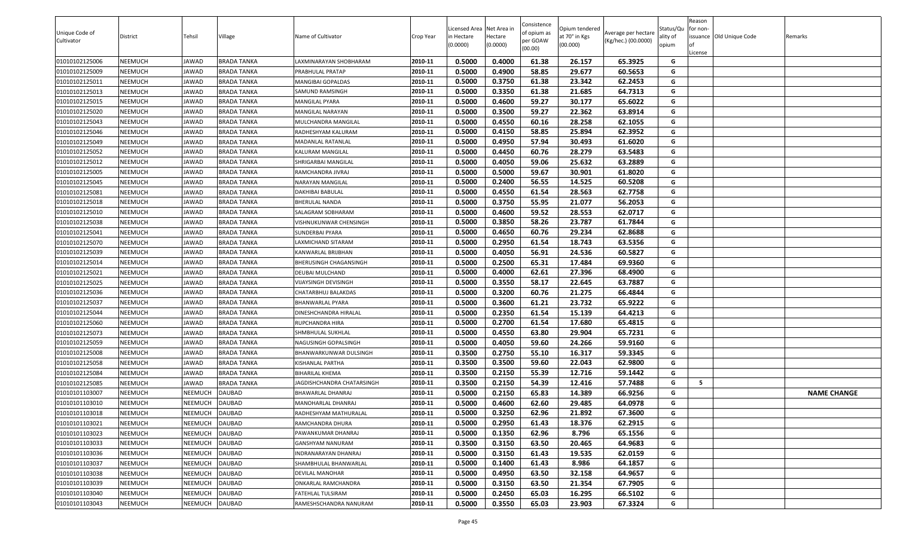| Unique Code of<br>Cultivator | District | Tehsil         | Village            | Name of Cultivator                | Crop Year | Licensed Area Net Area in<br>n Hectare<br>(0.0000) | Hectare<br>(0.0000) | Consistence<br>of opium as<br>per GOAW | Opium tendered<br>at 70° in Kgs<br>(00.000) | Average per hectare<br>(Kg/hec.) (00.0000) | Status/Qu<br>ality of<br>opium | Reason<br>for non- | issuance Old Unique Code | Remarks            |
|------------------------------|----------|----------------|--------------------|-----------------------------------|-----------|----------------------------------------------------|---------------------|----------------------------------------|---------------------------------------------|--------------------------------------------|--------------------------------|--------------------|--------------------------|--------------------|
|                              |          |                |                    |                                   |           |                                                    |                     | (00.00)                                |                                             |                                            |                                | License            |                          |                    |
| 01010102125006               | NEEMUCH  | JAWAD          | <b>BRADA TANKA</b> | LAXMINARAYAN SHOBHARAM            | 2010-11   | 0.5000                                             | 0.4000              | 61.38                                  | 26.157                                      | 65.3925                                    | G                              |                    |                          |                    |
| 01010102125009               | NEEMUCH  | JAWAD          | <b>BRADA TANKA</b> | PRABHULAL PRATAP                  | 2010-11   | 0.5000                                             | 0.4900              | 58.85                                  | 29.677                                      | 60.5653                                    | G                              |                    |                          |                    |
| 01010102125011               | NEEMUCH  | JAWAD          | <b>BRADA TANKA</b> | MANGIBAI GOPALDAS                 | 2010-11   | 0.5000                                             | 0.3750              | 61.38                                  | 23.342                                      | 62.2453                                    | G                              |                    |                          |                    |
| 01010102125013               | NEEMUCH  | JAWAD          | <b>BRADA TANKA</b> | SAMUND RAMSINGH                   | 2010-11   | 0.5000                                             | 0.3350              | 61.38                                  | 21.685                                      | 64.7313                                    | G                              |                    |                          |                    |
| 01010102125015               | NEEMUCH  | JAWAD          | <b>BRADA TANKA</b> | MANGILAL PYARA                    | 2010-11   | 0.5000                                             | 0.4600              | 59.27                                  | 30.177                                      | 65.6022                                    | G                              |                    |                          |                    |
| 01010102125020               | NEEMUCH  | JAWAD          | <b>BRADA TANKA</b> | MANGILAL NARAYAN                  | 2010-11   | 0.5000                                             | 0.3500              | 59.27                                  | 22.362                                      | 63.8914                                    | G                              |                    |                          |                    |
| 01010102125043               | NEEMUCH  | JAWAD          | <b>BRADA TANKA</b> | MULCHANDRA MANGILAL               | 2010-11   | 0.5000                                             | 0.4550              | 60.16                                  | 28.258                                      | 62.1055                                    | G                              |                    |                          |                    |
| 01010102125046               | NEEMUCH  | JAWAD          | <b>BRADA TANKA</b> | RADHESHYAM KALURAM                | 2010-11   | 0.5000                                             | 0.4150              | 58.85                                  | 25.894                                      | 62.3952                                    | G                              |                    |                          |                    |
| 01010102125049               | NEEMUCH  | JAWAD          | <b>BRADA TANKA</b> | <b>MADANLAL RATANLAL</b>          | 2010-11   | 0.5000                                             | 0.4950              | 57.94                                  | 30.493                                      | 61.6020                                    | G                              |                    |                          |                    |
| 01010102125052               | NEEMUCH  | JAWAD          | <b>BRADA TANKA</b> | KALURAM MANGILAL                  | 2010-11   | 0.5000                                             | 0.4450              | 60.76                                  | 28.279                                      | 63.5483                                    | G                              |                    |                          |                    |
| 01010102125012               | NEEMUCH  | JAWAD          | <b>BRADA TANKA</b> | SHRIGARBAI MANGILAL               | 2010-11   | 0.5000                                             | 0.4050              | 59.06                                  | 25.632                                      | 63.2889                                    | G                              |                    |                          |                    |
| 01010102125005               | NEEMUCH  | JAWAD          | <b>BRADA TANKA</b> | RAMCHANDRA JIVRAJ                 | 2010-11   | 0.5000                                             | 0.5000              | 59.67                                  | 30.901                                      | 61.8020                                    | G                              |                    |                          |                    |
| 01010102125045               | NEEMUCH  | JAWAD          | <b>BRADA TANKA</b> | NARAYAN MANGILAL                  | 2010-11   | 0.5000                                             | 0.2400              | 56.55                                  | 14.525                                      | 60.5208                                    | G                              |                    |                          |                    |
| 01010102125081               | NEEMUCH  | JAWAD          | <b>BRADA TANKA</b> | DAKHIBAI BABULAL                  | 2010-11   | 0.5000                                             | 0.4550              | 61.54                                  | 28.563                                      | 62.7758                                    | G                              |                    |                          |                    |
| 01010102125018               | NEEMUCH  | JAWAD          | <b>BRADA TANKA</b> | <b>BHERULAL NANDA</b>             | 2010-11   | 0.5000                                             | 0.3750              | 55.95                                  | 21.077                                      | 56.2053                                    | G                              |                    |                          |                    |
| 01010102125010               | NEEMUCH  | JAWAD          | <b>BRADA TANKA</b> | SALAGRAM SOBHARAM                 | 2010-11   | 0.5000                                             | 0.4600              | 59.52                                  | 28.553                                      | 62.0717                                    | G                              |                    |                          |                    |
| 01010102125038               | NEEMUCH  | JAWAD          | <b>BRADA TANKA</b> | VISHNUKUNWAR CHENSINGH            | 2010-11   | 0.5000                                             | 0.3850              | 58.26                                  | 23.787                                      | 61.7844                                    | G                              |                    |                          |                    |
| 01010102125041               | NEEMUCH  | JAWAD          | <b>BRADA TANKA</b> | SUNDERBAI PYARA                   | 2010-11   | 0.5000                                             | 0.4650              | 60.76                                  | 29.234                                      | 62.8688                                    | G                              |                    |                          |                    |
| 01010102125070               | NEEMUCH  | JAWAD          | <b>BRADA TANKA</b> | AXMICHAND SITARAM                 | 2010-11   | 0.5000                                             | 0.2950              | 61.54                                  | 18.743                                      | 63.5356                                    | G                              |                    |                          |                    |
| 01010102125039               | NEEMUCH  | JAWAD          | <b>BRADA TANKA</b> | KANWARLAL BRIJBHAN                | 2010-11   | 0.5000                                             | 0.4050              | 56.91                                  | 24.536                                      | 60.5827                                    | G                              |                    |                          |                    |
| 01010102125014               | NEEMUCH  | JAWAD          | <b>BRADA TANKA</b> | BHERUSINGH CHAGANSINGH            | 2010-11   | 0.5000                                             | 0.2500              | 65.31                                  | 17.484                                      | 69.9360                                    | G                              |                    |                          |                    |
| 01010102125021               | NEEMUCH  | JAWAD          | <b>BRADA TANKA</b> | DEUBAI MULCHAND                   | 2010-11   | 0.5000                                             | 0.4000              | 62.61                                  | 27.396                                      | 68.4900                                    | G                              |                    |                          |                    |
| 01010102125025               | NEEMUCH  | JAWAD          | <b>BRADA TANKA</b> | VIJAYSINGH DEVISINGH              | 2010-11   | 0.5000                                             | 0.3550              | 58.17                                  | 22.645                                      | 63.7887                                    | G                              |                    |                          |                    |
| 01010102125036               | NEEMUCH  | JAWAD          | <b>BRADA TANKA</b> | CHATARBHUJ BALAKDAS               | 2010-11   | 0.5000                                             | 0.3200              | 60.76                                  | 21.275                                      | 66.4844                                    | G                              |                    |                          |                    |
| 01010102125037               | NEEMUCH  | JAWAD          | <b>BRADA TANKA</b> | BHANWARLAL PYARA                  | 2010-11   | 0.5000                                             | 0.3600              | 61.21                                  | 23.732                                      | 65.9222                                    | G                              |                    |                          |                    |
| 01010102125044               | NEEMUCH  | JAWAD          | <b>BRADA TANKA</b> | DINESHCHANDRA HIRALAL             | 2010-11   | 0.5000                                             | 0.2350              | 61.54                                  | 15.139                                      | 64.4213                                    | G                              |                    |                          |                    |
| 01010102125060               | NEEMUCH  | JAWAD          | <b>BRADA TANKA</b> | RUPCHANDRA HIRA                   | 2010-11   | 0.5000                                             | 0.2700              | 61.54                                  | 17.680                                      | 65.4815                                    | G                              |                    |                          |                    |
| 01010102125073               | NEEMUCH  | JAWAD          | <b>BRADA TANKA</b> | SHMBHULAL SUKHLAL                 | 2010-11   | 0.5000                                             | 0.4550              | 63.80                                  | 29.904                                      | 65.7231                                    | G                              |                    |                          |                    |
| 01010102125059               | NEEMUCH  | JAWAD          | <b>BRADA TANKA</b> | NAGUSINGH GOPALSINGH              | 2010-11   | 0.5000                                             | 0.4050              | 59.60                                  | 24.266                                      | 59.9160                                    | G                              |                    |                          |                    |
| 01010102125008               | NEEMUCH  | JAWAD          | <b>BRADA TANKA</b> | BHANWARKUNWAR DULSINGH            | 2010-11   | 0.3500                                             | 0.2750              | 55.10                                  | 16.317                                      | 59.3345                                    | G                              |                    |                          |                    |
| 01010102125058               | NEEMUCH  | JAWAD          | <b>BRADA TANKA</b> | KISHANLAL PARTHA                  | 2010-11   | 0.3500                                             | 0.3500              | 59.60                                  | 22.043                                      | 62.9800                                    | G                              |                    |                          |                    |
| 01010102125084               | NEEMUCH  | JAWAD          | <b>BRADA TANKA</b> | BIHARILAL KHEMA                   | 2010-11   | 0.3500                                             | 0.2150              | 55.39                                  | 12.716                                      | 59.1442                                    | G                              |                    |                          |                    |
| 01010102125085               | NEEMUCH  | JAWAD          | <b>BRADA TANKA</b> | <b>JAGDISHCHANDRA CHATARSINGH</b> | 2010-11   | 0.3500                                             | 0.2150              | 54.39                                  | 12.416                                      | 57.7488                                    | G                              | - 5                |                          |                    |
| 01010101103007               | NEEMUCH  | <b>NEEMUCH</b> | <b>DAUBAD</b>      | BHAWARLAL DHANRAJ                 | 2010-11   | 0.5000                                             | 0.2150              | 65.83                                  | 14.389                                      | 66.9256                                    | G                              |                    |                          | <b>NAME CHANGE</b> |
| 01010101103010               | NEEMUCH  | NEEMUCH        | <b>DAUBAD</b>      | MANOHARLAL DHANRAJ                | 2010-11   | 0.5000                                             | 0.4600              | 62.60                                  | 29.485                                      | 64.0978                                    | G                              |                    |                          |                    |
| 01010101103018               | NEEMUCH  | <b>NEEMUCH</b> | <b>DAUBAD</b>      | RADHESHYAM MATHURALAL             | 2010-11   | 0.5000                                             | 0.3250              | 62.96                                  | 21.892                                      | 67.3600                                    | G                              |                    |                          |                    |
| 01010101103021               | NEEMUCH  | <b>NEEMUCH</b> | <b>DAUBAD</b>      | RAMCHANDRA DHURA                  | 2010-11   | 0.5000                                             | 0.2950              | 61.43                                  | 18.376                                      | 62.2915                                    | G                              |                    |                          |                    |
| 01010101103023               | NEEMUCH  | NEEMUCH        | DAUBAD             | PAWANKUMAR DHANRAJ                | 2010-11   | 0.5000                                             | 0.1350              | 62.96                                  | 8.796                                       | 65.1556                                    | G                              |                    |                          |                    |
| 01010101103033               | NEEMUCH  | <b>NEEMUCH</b> | <b>DAUBAD</b>      | GANSHYAM NANURAM                  | 2010-11   | 0.3500                                             | 0.3150              | 63.50                                  | 20.465                                      | 64.9683                                    | G                              |                    |                          |                    |
| 01010101103036               | NEEMUCH  | NEEMUCH        | <b>DAUBAD</b>      | INDRANARAYAN DHANRAJ              | 2010-11   | 0.5000                                             | 0.3150              | 61.43                                  | 19.535                                      | 62.0159                                    | G                              |                    |                          |                    |
| 01010101103037               | NEEMUCH  | <b>NEEMUCH</b> | <b>DAUBAD</b>      | SHAMBHULAL BHANWARLAL             | 2010-11   | 0.5000                                             | 0.1400              | 61.43                                  | 8.986                                       | 64.1857                                    | G                              |                    |                          |                    |
| 01010101103038               | NEEMUCH  | <b>NEEMUCH</b> | DAUBAD             | <b>DEVILAL MANOHAR</b>            | 2010-11   | 0.5000                                             | 0.4950              | 63.50                                  | 32.158                                      | 64.9657                                    | G                              |                    |                          |                    |
| 01010101103039               | NEEMUCH  | <b>NEEMUCH</b> | <b>DAUBAD</b>      | ONKARLAL RAMCHANDRA               | 2010-11   | 0.5000                                             | 0.3150              | 63.50                                  | 21.354                                      | 67.7905                                    | G                              |                    |                          |                    |
| 01010101103040               | NEEMUCH  | <b>NEEMUCH</b> | <b>DAUBAD</b>      | FATEHLAL TULSIRAM                 | 2010-11   | 0.5000                                             | 0.2450              | 65.03                                  | 16.295                                      | 66.5102                                    | G                              |                    |                          |                    |
| 01010101103043               | NEEMUCH  | <b>NEEMUCH</b> | <b>DAUBAD</b>      | RAMESHSCHANDRA NANURAM            | 2010-11   | 0.5000                                             | 0.3550              | 65.03                                  | 23.903                                      | 67.3324                                    | G                              |                    |                          |                    |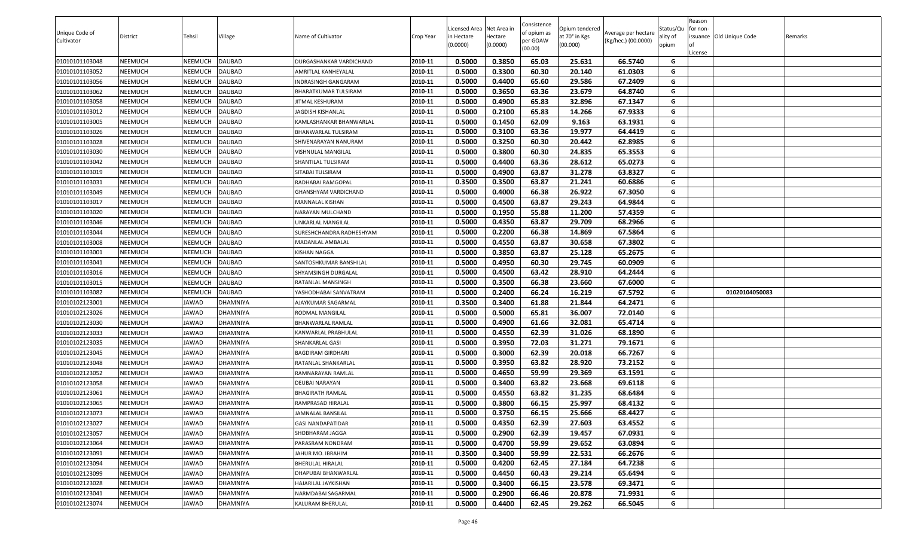| Unique Code of<br>Cultivator | District | Tehsil         | Village         | Name of Cultivator          | Crop Year | Licensed Area Net Area in<br>n Hectare<br>(0.0000) | Hectare<br>(0.0000) | Consistence<br>of opium as<br>per GOAW<br>(00.00) | Opium tendered<br>at 70° in Kgs<br>(00.000) | Average per hectare<br>(Kg/hec.) (00.0000) | Status/Qu<br>ality of<br>opium | Reason<br>for non-<br>License | issuance Old Unique Code | Remarks |
|------------------------------|----------|----------------|-----------------|-----------------------------|-----------|----------------------------------------------------|---------------------|---------------------------------------------------|---------------------------------------------|--------------------------------------------|--------------------------------|-------------------------------|--------------------------|---------|
| 01010101103048               | NEEMUCH  | <b>NEEMUCH</b> | <b>DAUBAD</b>   | DURGASHANKAR VARDICHAND     | 2010-11   | 0.5000                                             | 0.3850              | 65.03                                             | 25.631                                      | 66.5740                                    | G                              |                               |                          |         |
| 01010101103052               | NEEMUCH  | NEEMUCH        | <b>DAUBAD</b>   | AMRITLAL KANHEYALAL         | 2010-11   | 0.5000                                             | 0.3300              | 60.30                                             | 20.140                                      | 61.0303                                    | G                              |                               |                          |         |
| 01010101103056               | NEEMUCH  | <b>NEEMUCH</b> | <b>DAUBAD</b>   | INDRASINGH GANGARAM         | 2010-11   | 0.5000                                             | 0.4400              | 65.60                                             | 29.586                                      | 67.2409                                    | G                              |                               |                          |         |
| 01010101103062               | NEEMUCH  | NEEMUCH        | DAUBAD          | BHARATKUMAR TULSIRAM        | 2010-11   | 0.5000                                             | 0.3650              | 63.36                                             | 23.679                                      | 64.8740                                    | G                              |                               |                          |         |
| 01010101103058               | NEEMUCH  | <b>NEEMUCH</b> | <b>DAUBAD</b>   | <b>JITMAL KESHURAM</b>      | 2010-11   | 0.5000                                             | 0.4900              | 65.83                                             | 32.896                                      | 67.1347                                    | G                              |                               |                          |         |
| 01010101103012               | NEEMUCH  | NEEMUCH        | DAUBAD          | <b>JAGDISH KISHANLAL</b>    | 2010-11   | 0.5000                                             | 0.2100              | 65.83                                             | 14.266                                      | 67.9333                                    | G                              |                               |                          |         |
| 01010101103005               | NEEMUCH  | <b>NEEMUCH</b> | <b>DAUBAD</b>   | KAMLASHANKAR BHANWARLAL     | 2010-11   | 0.5000                                             | 0.1450              | 62.09                                             | 9.163                                       | 63.1931                                    | G                              |                               |                          |         |
| 01010101103026               | NEEMUCH  | NEEMUCH        | <b>DAUBAD</b>   | BHANWARLAL TULSIRAM         | 2010-11   | 0.5000                                             | 0.3100              | 63.36                                             | 19.977                                      | 64.4419                                    | G                              |                               |                          |         |
| 01010101103028               | NEEMUCH  | <b>NEEMUCH</b> | <b>DAUBAD</b>   | SHIVENARAYAN NANURAM        | 2010-11   | 0.5000                                             | 0.3250              | 60.30                                             | 20.442                                      | 62.8985                                    | G                              |                               |                          |         |
| 01010101103030               | NEEMUCH  | NEEMUCH        | <b>DAUBAD</b>   | VISHNULAL MANGILAL          | 2010-11   | 0.5000                                             | 0.3800              | 60.30                                             | 24.835                                      | 65.3553                                    | G                              |                               |                          |         |
| 01010101103042               | NEEMUCH  | NEEMUCH        | <b>DAUBAD</b>   | SHANTILAL TULSIRAM          | 2010-11   | 0.5000                                             | 0.4400              | 63.36                                             | 28.612                                      | 65.0273                                    | G                              |                               |                          |         |
| 01010101103019               | NEEMUCH  | NEEMUCH        | DAUBAD          | SITABAI TULSIRAM            | 2010-11   | 0.5000                                             | 0.4900              | 63.87                                             | 31.278                                      | 63.8327                                    | G                              |                               |                          |         |
| 01010101103031               | NEEMUCH  | NEEMUCH        | DAUBAD          | RADHABAI RAMGOPAL           | 2010-11   | 0.3500                                             | 0.3500              | 63.87                                             | 21.241                                      | 60.6886                                    | G                              |                               |                          |         |
| 01010101103049               | NEEMUCH  | <b>NEEMUCH</b> | <b>DAUBAD</b>   | <b>GHANSHYAM VARDICHAND</b> | 2010-11   | 0.5000                                             | 0.4000              | 66.38                                             | 26.922                                      | 67.3050                                    | G                              |                               |                          |         |
| 01010101103017               | NEEMUCH  | <b>NEEMUCH</b> | DAUBAD          | MANNALAL KISHAN             | 2010-11   | 0.5000                                             | 0.4500              | 63.87                                             | 29.243                                      | 64.9844                                    | G                              |                               |                          |         |
| 01010101103020               | NEEMUCH  | <b>NEEMUCH</b> | <b>DAUBAD</b>   | NARAYAN MULCHAND            | 2010-11   | 0.5000                                             | 0.1950              | 55.88                                             | 11.200                                      | 57.4359                                    | G                              |                               |                          |         |
| 01010101103046               | NEEMUCH  | NEEMUCH        | DAUBAD          | UNKARLAL MANGILAL           | 2010-11   | 0.5000                                             | 0.4350              | 63.87                                             | 29.709                                      | 68.2966                                    | G                              |                               |                          |         |
| 01010101103044               | NEEMUCH  | <b>NEEMUCH</b> | <b>DAUBAD</b>   | SURESHCHANDRA RADHESHYAM    | 2010-11   | 0.5000                                             | 0.2200              | 66.38                                             | 14.869                                      | 67.5864                                    | G                              |                               |                          |         |
| 01010101103008               | NEEMUCH  | NEEMUCH        | <b>DAUBAD</b>   | MADANLAL AMBALAL            | 2010-11   | 0.5000                                             | 0.4550              | 63.87                                             | 30.658                                      | 67.3802                                    | G                              |                               |                          |         |
| 01010101103001               | NEEMUCH  | NEEMUCH        | DAUBAD          | KISHAN NAGGA                | 2010-11   | 0.5000                                             | 0.3850              | 63.87                                             | 25.128                                      | 65.2675                                    | G                              |                               |                          |         |
| 01010101103041               | NEEMUCH  | NEEMUCH        | DAUBAD          | SANTOSHKUMAR BANSHILAL      | 2010-11   | 0.5000                                             | 0.4950              | 60.30                                             | 29.745                                      | 60.0909                                    | G                              |                               |                          |         |
| 01010101103016               | NEEMUCH  | <b>NEEMUCH</b> | DAUBAD          | SHYAMSINGH DURGALAL         | 2010-11   | 0.5000                                             | 0.4500              | 63.42                                             | 28.910                                      | 64.2444                                    | G                              |                               |                          |         |
| 01010101103015               | NEEMUCH  | <b>NEEMUCH</b> | <b>DAUBAD</b>   | RATANLAL MANSINGH           | 2010-11   | 0.5000                                             | 0.3500              | 66.38                                             | 23.660                                      | 67.6000                                    | G                              |                               |                          |         |
| 01010101103082               | NEEMUCH  | <b>NEEMUCH</b> | DAUBAD          | YASHODHABAI SANVATRAM       | 2010-11   | 0.5000                                             | 0.2400              | 66.24                                             | 16.219                                      | 67.5792                                    | G                              |                               | 01020104050083           |         |
| 01010102123001               | NEEMUCH  | JAWAD          | DHAMNIYA        | AJAYKUMAR SAGARMAL          | 2010-11   | 0.3500                                             | 0.3400              | 61.88                                             | 21.844                                      | 64.2471                                    | G                              |                               |                          |         |
| 01010102123026               | NEEMUCH  | JAWAD          | DHAMNIYA        | RODMAL MANGILAL             | 2010-11   | 0.5000                                             | 0.5000              | 65.81                                             | 36.007                                      | 72.0140                                    | G                              |                               |                          |         |
| 01010102123030               | NEEMUCH  | JAWAD          | DHAMNIYA        | BHANWARLAL RAMLAL           | 2010-11   | 0.5000                                             | 0.4900              | 61.66                                             | 32.081                                      | 65.4714                                    | G                              |                               |                          |         |
| 01010102123033               | NEEMUCH  | JAWAD          | DHAMNIYA        | KANWARLAL PRABHULAL         | 2010-11   | 0.5000                                             | 0.4550              | 62.39                                             | 31.026                                      | 68.1890                                    | G                              |                               |                          |         |
| 01010102123035               | NEEMUCH  | JAWAD          | DHAMNIYA        | SHANKARLAL GASI             | 2010-11   | 0.5000                                             | 0.3950              | 72.03                                             | 31.271                                      | 79.1671                                    | G                              |                               |                          |         |
| 01010102123045               | NEEMUCH  | JAWAD          | DHAMNIYA        | BAGDIRAM GIRDHARI           | 2010-11   | 0.5000                                             | 0.3000              | 62.39                                             | 20.018                                      | 66.7267                                    | G                              |                               |                          |         |
| 01010102123048               | NEEMUCH  | JAWAD          | DHAMNIYA        | RATANLAL SHANKARLAL         | 2010-11   | 0.5000                                             | 0.3950              | 63.82                                             | 28.920                                      | 73.2152                                    | G                              |                               |                          |         |
| 01010102123052               | NEEMUCH  | JAWAD          | DHAMNIYA        | RAMNARAYAN RAMLAL           | 2010-11   | 0.5000                                             | 0.4650              | 59.99                                             | 29.369                                      | 63.1591                                    | G                              |                               |                          |         |
| 01010102123058               | NEEMUCH  | JAWAD          | DHAMNIYA        | DEUBAI NARAYAN              | 2010-11   | 0.5000                                             | 0.3400              | 63.82                                             | 23.668                                      | 69.6118                                    | G                              |                               |                          |         |
| 01010102123061               | NEEMUCH  | JAWAD          | DHAMNIYA        | BHAGIRATH RAMLAL            | 2010-11   | 0.5000                                             | 0.4550              | 63.82                                             | 31.235                                      | 68.6484                                    | G                              |                               |                          |         |
| 01010102123065               | NEEMUCH  | JAWAD          | DHAMNIYA        | RAMPRASAD HIRALAL           | 2010-11   | 0.5000                                             | 0.3800              | 66.15                                             | 25.997                                      | 68.4132                                    | G                              |                               |                          |         |
| 01010102123073               | NEEMUCH  | JAWAD          | <b>DHAMNIYA</b> | <b>JAMNALAL BANSILAL</b>    | 2010-11   | 0.5000                                             | 0.3750              | 66.15                                             | 25.666                                      | 68.4427                                    | G                              |                               |                          |         |
| 01010102123027               | NEEMUCH  | JAWAD          | DHAMNIYA        | <b>GASI NANDAPATIDAR</b>    | 2010-11   | 0.5000                                             | 0.4350              | 62.39                                             | 27.603                                      | 63.4552                                    | G                              |                               |                          |         |
| 01010102123057               | NEEMUCH  | JAWAD          | DHAMNIYA        | SHOBHARAM JAGGA             | 2010-11   | 0.5000                                             | 0.2900              | 62.39                                             | 19.457                                      | 67.0931                                    | G                              |                               |                          |         |
| 01010102123064               | NEEMUCH  | JAWAD          | DHAMNIYA        | PARASRAM NONDRAM            | 2010-11   | 0.5000                                             | 0.4700              | 59.99                                             | 29.652                                      | 63.0894                                    | G                              |                               |                          |         |
| 01010102123091               | NEEMUCH  | JAWAD          | <b>DHAMNIYA</b> | JAHUR MO. IBRAHIM           | 2010-11   | 0.3500                                             | 0.3400              | 59.99                                             | 22.531                                      | 66.2676                                    | G                              |                               |                          |         |
| 01010102123094               | NEEMUCH  | JAWAD          | DHAMNIYA        | BHERULAL HIRALAL            | 2010-11   | 0.5000                                             | 0.4200              | 62.45                                             | 27.184                                      | 64.7238                                    | G                              |                               |                          |         |
| 01010102123099               | NEEMUCH  | JAWAD          | DHAMNIYA        | DHAPUBAI BHANWARLAL         | 2010-11   | 0.5000                                             | 0.4450              | 60.43                                             | 29.214                                      | 65.6494                                    | G                              |                               |                          |         |
| 01010102123028               | NEEMUCH  | JAWAD          | DHAMNIYA        | HAJARILAL JAYKISHAN         | 2010-11   | 0.5000                                             | 0.3400              | 66.15                                             | 23.578                                      | 69.3471                                    | G                              |                               |                          |         |
| 01010102123041               | NEEMUCH  | JAWAD          | DHAMNIYA        | NARMDABAI SAGARMAL          | 2010-11   | 0.5000                                             | 0.2900              | 66.46                                             | 20.878                                      | 71.9931                                    | G                              |                               |                          |         |
| 01010102123074               | NEEMUCH  | JAWAD          | DHAMNIYA        | KALURAM BHERULAL            | 2010-11   | 0.5000                                             | 0.4400              | 62.45                                             | 29.262                                      | 66.5045                                    | G                              |                               |                          |         |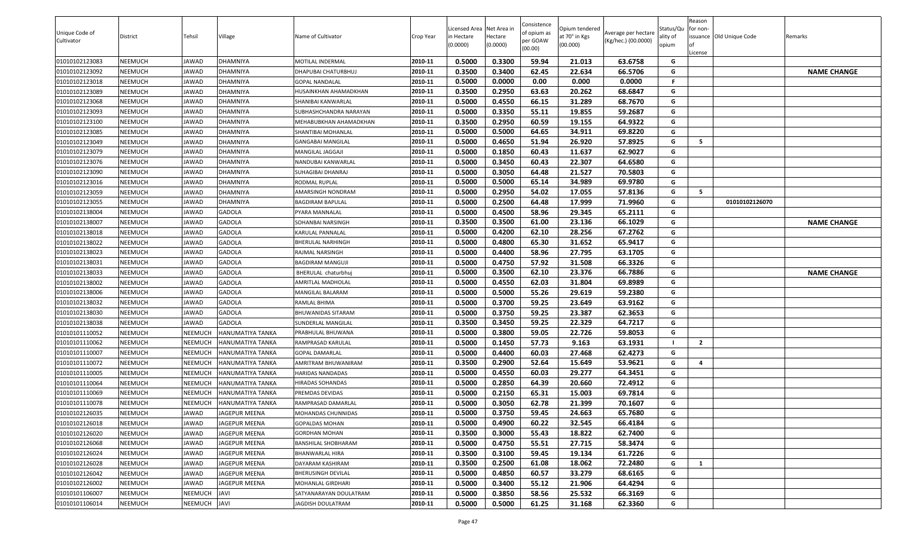| Unique Code of<br>Cultivator | District | Tehsil         | Village                 | Name of Cultivator        | Crop Year | Licensed Area Net Area in<br>in Hectare<br>(0.0000) | lectare<br>(0.0000) | Consistence<br>of opium as<br>oer GOAW<br>(00.00) | Opium tendered<br>at 70° in Kgs<br>(00.000) | Average per hectare<br>(Kg/hec.) (00.0000) | Status/Qu<br>ality of<br>opium | Reason<br>for non-<br>issuance Old Unique Code<br>.icense | Remarks            |
|------------------------------|----------|----------------|-------------------------|---------------------------|-----------|-----------------------------------------------------|---------------------|---------------------------------------------------|---------------------------------------------|--------------------------------------------|--------------------------------|-----------------------------------------------------------|--------------------|
| 01010102123083               | NEEMUCH  | JAWAD          | DHAMNIYA                | MOTILAL INDERMAL          | 2010-11   | 0.5000                                              | 0.3300              | 59.94                                             | 21.013                                      | 63.6758                                    | G                              |                                                           |                    |
| 01010102123092               | NEEMUCH  | JAWAD          | DHAMNIYA                | DHAPUBAI CHATURBHUJ       | 2010-11   | 0.3500                                              | 0.3400              | 62.45                                             | 22.634                                      | 66.5706                                    | G                              |                                                           | <b>NAME CHANGE</b> |
| 01010102123018               | NEEMUCH  | JAWAD          | DHAMNIYA                | <b>GOPAL NANDALAL</b>     | 2010-11   | 0.5000                                              | 0.0000              | 0.00                                              | 0.000                                       | 0.0000                                     | -F                             |                                                           |                    |
| 01010102123089               | NEEMUCH  | JAWAD          | DHAMNIYA                | HUSAINKHAN AHAMADKHAN     | 2010-11   | 0.3500                                              | 0.2950              | 63.63                                             | 20.262                                      | 68.6847                                    | G                              |                                                           |                    |
| 01010102123068               | NEEMUCH  | JAWAD          | DHAMNIYA                | SHANIBAI KANWARLAL        | 2010-11   | 0.5000                                              | 0.4550              | 66.15                                             | 31.289                                      | 68.7670                                    | G                              |                                                           |                    |
| 01010102123093               | NEEMUCH  | JAWAD          | DHAMNIYA                | SUBHASHCHANDRA NARAYAN    | 2010-11   | 0.5000                                              | 0.3350              | 55.11                                             | 19.855                                      | 59.2687                                    | G                              |                                                           |                    |
| 01010102123100               | NEEMUCH  | JAWAD          | DHAMNIYA                | MEHABUBKHAN AHAMADKHAN    | 2010-11   | 0.3500                                              | 0.2950              | 60.59                                             | 19.155                                      | 64.9322                                    | G                              |                                                           |                    |
| 01010102123085               | NEEMUCH  | JAWAD          | DHAMNIYA                | SHANTIBAI MOHANLAL        | 2010-11   | 0.5000                                              | 0.5000              | 64.65                                             | 34.911                                      | 69.8220                                    | G                              |                                                           |                    |
| 01010102123049               | NEEMUCH  | JAWAD          | DHAMNIYA                | <b>GANGABAI MANGILAL</b>  | 2010-11   | 0.5000                                              | 0.4650              | 51.94                                             | 26.920                                      | 57.8925                                    | G                              | -5                                                        |                    |
| 01010102123079               | NEEMUCH  | JAWAD          | DHAMNIYA                | MANGILAL JAGGAJI          | 2010-11   | 0.5000                                              | 0.1850              | 60.43                                             | 11.637                                      | 62.9027                                    | G                              |                                                           |                    |
| 01010102123076               | NEEMUCH  | JAWAD          | DHAMNIYA                | NANDUBAI KANWARLAI        | 2010-11   | 0.5000                                              | 0.3450              | 60.43                                             | 22.307                                      | 64.6580                                    | G                              |                                                           |                    |
| 01010102123090               | NEEMUCH  | JAWAD          | DHAMNIYA                | SUHAGIBAI DHANRAJ         | 2010-11   | 0.5000                                              | 0.3050              | 64.48                                             | 21.527                                      | 70.5803                                    | G                              |                                                           |                    |
| 01010102123016               | NEEMUCH  | JAWAD          | DHAMNIYA                | RODMAL RUPLAL             | 2010-11   | 0.5000                                              | 0.5000              | 65.14                                             | 34.989                                      | 69.9780                                    | G                              |                                                           |                    |
| 01010102123059               | NEEMUCH  | JAWAD          | DHAMNIYA                | AMARSINGH NONDRAM         | 2010-11   | 0.5000                                              | 0.2950              | 54.02                                             | 17.055                                      | 57.8136                                    | G                              | 5                                                         |                    |
| 01010102123055               | NEEMUCH  | JAWAD          | DHAMNIYA                | BAGDIRAM BAPULAL          | 2010-11   | 0.5000                                              | 0.2500              | 64.48                                             | 17.999                                      | 71.9960                                    | G                              | 01010102126070                                            |                    |
| 01010102138004               | NEEMUCH  | JAWAD          | <b>GADOLA</b>           | PYARA MANNALAL            | 2010-11   | 0.5000                                              | 0.4500              | 58.96                                             | 29.345                                      | 65.2111                                    | G                              |                                                           |                    |
| 01010102138007               | NEEMUCH  | JAWAD          | <b>GADOLA</b>           | SOHANBAI NARSINGH         | 2010-11   | 0.3500                                              | 0.3500              | 61.00                                             | 23.136                                      | 66.1029                                    | G                              |                                                           | <b>NAME CHANGE</b> |
| 01010102138018               | NEEMUCH  | JAWAD          | <b>GADOLA</b>           | KARULAL PANNALAL          | 2010-11   | 0.5000                                              | 0.4200              | 62.10                                             | 28.256                                      | 67.2762                                    | G                              |                                                           |                    |
| 01010102138022               | NEEMUCH  | JAWAD          | GADOLA                  | BHERULAL NARHINGH         | 2010-11   | 0.5000                                              | 0.4800              | 65.30                                             | 31.652                                      | 65.9417                                    | G                              |                                                           |                    |
| 01010102138023               | NEEMUCH  | JAWAD          | <b>GADOLA</b>           | RAJMAL NARSINGH           | 2010-11   | 0.5000                                              | 0.4400              | 58.96                                             | 27.795                                      | 63.1705                                    | G                              |                                                           |                    |
| 01010102138031               | NEEMUCH  | JAWAD          | <b>GADOLA</b>           | BAGDIRAM MANGUJI          | 2010-11   | 0.5000                                              | 0.4750              | 57.92                                             | 31.508                                      | 66.3326                                    | G                              |                                                           |                    |
| 01010102138033               | NEEMUCH  | JAWAD          | <b>GADOLA</b>           | BHERULAL chaturbhuj       | 2010-11   | 0.5000                                              | 0.3500              | 62.10                                             | 23.376                                      | 66.7886                                    | G                              |                                                           | <b>NAME CHANGE</b> |
| 01010102138002               | NEEMUCH  | JAWAD          | <b>GADOLA</b>           | AMRITLAL MADHOLAL         | 2010-11   | 0.5000                                              | 0.4550              | 62.03                                             | 31.804                                      | 69.8989                                    | G                              |                                                           |                    |
| 01010102138006               | NEEMUCH  | JAWAD          | <b>GADOLA</b>           | MANGILAL BALARAM          | 2010-11   | 0.5000                                              | 0.5000              | 55.26                                             | 29.619                                      | 59.2380                                    | G                              |                                                           |                    |
| 01010102138032               | NEEMUCH  | JAWAD          | <b>GADOLA</b>           | RAMLAL BHIMA              | 2010-11   | 0.5000                                              | 0.3700              | 59.25                                             | 23.649                                      | 63.9162                                    | G                              |                                                           |                    |
| 01010102138030               | NEEMUCH  | JAWAD          | <b>GADOLA</b>           | BHUWANIDAS SITARAM        | 2010-11   | 0.5000                                              | 0.3750              | 59.25                                             | 23.387                                      | 62.3653                                    | G                              |                                                           |                    |
| 01010102138038               | NEEMUCH  | JAWAD          | <b>GADOLA</b>           | SUNDERLAL MANGILAL        | 2010-11   | 0.3500                                              | 0.3450              | 59.25                                             | 22.329                                      | 64.7217                                    | G                              |                                                           |                    |
| 01010101110052               | NEEMUCH  | NEEMUCH        | <b>HANUMATIYA TANKA</b> | PRABHULAL BHUWANA         | 2010-11   | 0.5000                                              | 0.3800              | 59.05                                             | 22.726                                      | 59.8053                                    | G                              |                                                           |                    |
| 01010101110062               | NEEMUCH  | NEEMUCH        | HANUMATIYA TANKA        | RAMPRASAD KARULAL         | 2010-11   | 0.5000                                              | 0.1450              | 57.73                                             | 9.163                                       | 63.1931                                    |                                | $\overline{2}$                                            |                    |
| 01010101110007               | NEEMUCH  | <b>NEEMUCH</b> | HANUMATIYA TANKA        | GOPAL DAMARLAL            | 2010-11   | 0.5000                                              | 0.4400              | 60.03                                             | 27.468                                      | 62.4273                                    | G                              |                                                           |                    |
| 01010101110072               | NEEMUCH  | NEEMUCH        | HANUMATIYA TANKA        | AMRITRAM BHUWANIRAM       | 2010-11   | 0.3500                                              | 0.2900              | 52.64                                             | 15.649                                      | 53.9621                                    | G                              | 4                                                         |                    |
| 01010101110005               | NEEMUCH  | <b>NEEMUCH</b> | HANUMATIYA TANKA        | HARIDAS NANDADAS          | 2010-11   | 0.5000                                              | 0.4550              | 60.03                                             | 29.277                                      | 64.3451                                    | G                              |                                                           |                    |
| 01010101110064               | NEEMUCH  | NEEMUCH        | HANUMATIYA TANKA        | HIRADAS SOHANDAS          | 2010-11   | 0.5000                                              | 0.2850              | 64.39                                             | 20.660                                      | 72.4912                                    | G                              |                                                           |                    |
| 01010101110069               | NEEMUCH  | <b>NEEMUCH</b> | HANUMATIYA TANKA        | PREMDAS DEVIDAS           | 2010-11   | 0.5000                                              | 0.2150              | 65.31                                             | 15.003                                      | 69.7814                                    | G                              |                                                           |                    |
| 01010101110078               | NEEMUCH  | NEEMUCH        | HANUMATIYA TANKA        | RAMPRASAD DAMARLAL        | 2010-11   | 0.5000                                              | 0.3050              | 62.78                                             | 21.399                                      | 70.1607                                    | G                              |                                                           |                    |
| 01010102126035               | NEEMUCH  | JAWAD          | JAGEPUR MEENA           | <b>MOHANDAS CHUNNIDAS</b> | 2010-11   | 0.5000                                              | 0.3750              | 59.45                                             | 24.663                                      | 65.7680                                    | G                              |                                                           |                    |
| 01010102126018               | NEEMUCH  | JAWAD          | JAGEPUR MEENA           | GOPALDAS MOHAN            | 2010-11   | 0.5000                                              | 0.4900              | 60.22                                             | 32.545                                      | 66.4184                                    | G                              |                                                           |                    |
| 01010102126020               | NEEMUCH  | JAWAD          | JAGEPUR MEENA           | GORDHAN MOHAN             | 2010-11   | 0.3500                                              | 0.3000              | 55.43                                             | 18.822                                      | 62.7400                                    | G                              |                                                           |                    |
| 01010102126068               | NEEMUCH  | JAWAD          | <b>JAGEPUR MEENA</b>    | BANSHILAL SHOBHARAM       | 2010-11   | 0.5000                                              | 0.4750              | 55.51                                             | 27.715                                      | 58.3474                                    | G                              |                                                           |                    |
| 01010102126024               | NEEMUCH  | JAWAD          | <b>JAGEPUR MEENA</b>    | BHANWARLAL HIRA           | 2010-11   | 0.3500                                              | 0.3100              | 59.45                                             | 19.134                                      | 61.7226                                    | G                              |                                                           |                    |
| 01010102126028               | NEEMUCH  | JAWAD          | JAGEPUR MEENA           | DAYARAM KASHIRAM          | 2010-11   | 0.3500                                              | 0.2500              | 61.08                                             | 18.062                                      | 72.2480                                    | G                              | <b>1</b>                                                  |                    |
| 01010102126042               | NEEMUCH  | JAWAD          | JAGEPUR MEENA           | BHERUSINGH DEVILAL        | 2010-11   | 0.5000                                              | 0.4850              | 60.57                                             | 33.279                                      | 68.6165                                    | G                              |                                                           |                    |
| 01010102126002               | NEEMUCH  | JAWAD          | JAGEPUR MEENA           | MOHANLAL GIRDHARI         | 2010-11   | 0.5000                                              | 0.3400              | 55.12                                             | 21.906                                      | 64.4294                                    | G                              |                                                           |                    |
| 01010101106007               | NEEMUCH  | <b>NEEMUCH</b> | <b>JAVI</b>             | SATYANARAYAN DOULATRAM    | 2010-11   | 0.5000                                              | 0.3850              | 58.56                                             | 25.532                                      | 66.3169                                    | G                              |                                                           |                    |
| 01010101106014               | NEEMUCH  | NEEMUCH        | <b>JAVI</b>             | JAGDISH DOULATRAM         | 2010-11   | 0.5000                                              | 0.5000              | 61.25                                             | 31.168                                      | 62.3360                                    | G                              |                                                           |                    |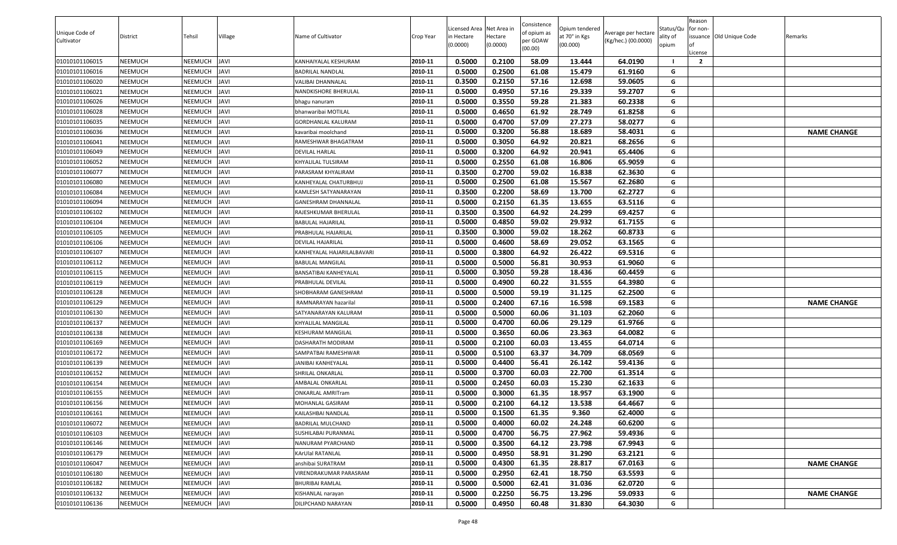|                              |          |                |             |                            |           | Licensed Area Net Area in |          | Consistence             | Opium tendered |                                            | Status/Qu | Reason<br>for non- |                          |                    |
|------------------------------|----------|----------------|-------------|----------------------------|-----------|---------------------------|----------|-------------------------|----------------|--------------------------------------------|-----------|--------------------|--------------------------|--------------------|
| Unique Code of<br>Cultivator | District | Tehsil         | Village     | Name of Cultivator         | Crop Year | n Hectare                 | Hectare  | of opium as<br>per GOAW | at 70° in Kgs  | Average per hectare<br>(Kg/hec.) (00.0000) | ality of  |                    | issuance Old Unique Code | Remarks            |
|                              |          |                |             |                            |           | (0.0000)                  | (0.0000) | (00.00)                 | (00.000)       |                                            | opium     | License            |                          |                    |
| 01010101106015               | NEEMUCH  | NEEMUCH        | <b>JAVI</b> | KANHAIYALAL KESHURAM       | 2010-11   | 0.5000                    | 0.2100   | 58.09                   | 13.444         | 64.0190                                    |           | $\overline{2}$     |                          |                    |
| 01010101106016               | NEEMUCH  | NEEMUCH        | <b>JAVI</b> | BADRILAL NANDLAL           | 2010-11   | 0.5000                    | 0.2500   | 61.08                   | 15.479         | 61.9160                                    | G         |                    |                          |                    |
| 01010101106020               | NEEMUCH  | NEEMUCH        | <b>JAVI</b> | VALIBAI DHANNALAL          | 2010-11   | 0.3500                    | 0.2150   | 57.16                   | 12.698         | 59.0605                                    | G         |                    |                          |                    |
| 01010101106021               | NEEMUCH  | NEEMUCH        | <b>JAVI</b> | NANDKISHORE BHERULAL       | 2010-11   | 0.5000                    | 0.4950   | 57.16                   | 29.339         | 59.2707                                    | G         |                    |                          |                    |
| 01010101106026               | NEEMUCH  | NEEMUCH        | <b>JAVI</b> | bhagu nanuram              | 2010-11   | 0.5000                    | 0.3550   | 59.28                   | 21.383         | 60.2338                                    | G         |                    |                          |                    |
| 01010101106028               | NEEMUCH  | NEEMUCH        | <b>JAVI</b> | bhanwaribai MOTILAL        | 2010-11   | 0.5000                    | 0.4650   | 61.92                   | 28.749         | 61.8258                                    | G         |                    |                          |                    |
| 01010101106035               | NEEMUCH  | NEEMUCH        | <b>JAVI</b> | GORDHANLAL KALURAM         | 2010-11   | 0.5000                    | 0.4700   | 57.09                   | 27.273         | 58.0277                                    | G         |                    |                          |                    |
| 01010101106036               | NEEMUCH  | NEEMUCH        | <b>JAVI</b> | kavaribai moolchand        | 2010-11   | 0.5000                    | 0.3200   | 56.88                   | 18.689         | 58.4031                                    | G         |                    |                          | <b>NAME CHANGE</b> |
| 01010101106041               | NEEMUCH  | <b>NEEMUCH</b> | <b>JAVI</b> | RAMESHWAR BHAGATRAM        | 2010-11   | 0.5000                    | 0.3050   | 64.92                   | 20.821         | 68.2656                                    | G         |                    |                          |                    |
| 01010101106049               | NEEMUCH  | NEEMUCH        | <b>JAVI</b> | DEVILAL HARLAL             | 2010-11   | 0.5000                    | 0.3200   | 64.92                   | 20.941         | 65.4406                                    | G         |                    |                          |                    |
| 01010101106052               | NEEMUCH  | NEEMUCH        | <b>JAVI</b> | KHYALILAL TULSIRAM         | 2010-11   | 0.5000                    | 0.2550   | 61.08                   | 16.806         | 65.9059                                    | G         |                    |                          |                    |
| 01010101106077               | NEEMUCH  | NEEMUCH        | <b>JAVI</b> | PARASRAM KHYALIRAM         | 2010-11   | 0.3500                    | 0.2700   | 59.02                   | 16.838         | 62.3630                                    | G         |                    |                          |                    |
| 01010101106080               | NEEMUCH  | NEEMUCH        | <b>JAVI</b> | (ANHEYALAL CHATURBHUJ      | 2010-11   | 0.5000                    | 0.2500   | 61.08                   | 15.567         | 62.2680                                    | G         |                    |                          |                    |
| 01010101106084               | NEEMUCH  | <b>NEEMUCH</b> | <b>JAVI</b> | KAMLESH SATYANARAYAN       | 2010-11   | 0.3500                    | 0.2200   | 58.69                   | 13.700         | 62.2727                                    | G         |                    |                          |                    |
| 01010101106094               | NEEMUCH  | NEEMUCH        | <b>JAVI</b> | GANESHRAM DHANNALAL        | 2010-11   | 0.5000                    | 0.2150   | 61.35                   | 13.655         | 63.5116                                    | G         |                    |                          |                    |
| 01010101106102               | NEEMUCH  | <b>NEEMUCH</b> | <b>JAVI</b> | RAJESHKUMAR BHERULAL       | 2010-11   | 0.3500                    | 0.3500   | 64.92                   | 24.299         | 69.4257                                    | G         |                    |                          |                    |
| 01010101106104               | NEEMUCH  | NEEMUCH        | <b>JAVI</b> | <b>BABULAL HAJARILAL</b>   | 2010-11   | 0.5000                    | 0.4850   | 59.02                   | 29.932         | 61.7155                                    | G         |                    |                          |                    |
| 01010101106105               | NEEMUCH  | <b>NEEMUCH</b> | <b>JAVI</b> | PRABHULAL HAJARILAL        | 2010-11   | 0.3500                    | 0.3000   | 59.02                   | 18.262         | 60.8733                                    | G         |                    |                          |                    |
| 01010101106106               | NEEMUCH  | NEEMUCH        | <b>JAVI</b> | DEVILAL HAJARILAL          | 2010-11   | 0.5000                    | 0.4600   | 58.69                   | 29.052         | 63.1565                                    | G         |                    |                          |                    |
| 01010101106107               | NEEMUCH  | NEEMUCH        | <b>JAVI</b> | KANHEYALAL HAJARILALBAVARI | 2010-11   | 0.5000                    | 0.3800   | 64.92                   | 26.422         | 69.5316                                    | G         |                    |                          |                    |
| 01010101106112               | NEEMUCH  | NEEMUCH        | <b>JAVI</b> | BABULAL MANGILAL           | 2010-11   | 0.5000                    | 0.5000   | 56.81                   | 30.953         | 61.9060                                    | G         |                    |                          |                    |
| 01010101106115               | NEEMUCH  | <b>NEEMUCH</b> | <b>JAVI</b> | BANSATIBAI KANHEYALAL      | 2010-11   | 0.5000                    | 0.3050   | 59.28                   | 18.436         | 60.4459                                    | G         |                    |                          |                    |
| 01010101106119               | NEEMUCH  | NEEMUCH        | <b>JAVI</b> | PRABHULAL DEVILAL          | 2010-11   | 0.5000                    | 0.4900   | 60.22                   | 31.555         | 64.3980                                    | G         |                    |                          |                    |
| 01010101106128               | NEEMUCH  | <b>NEEMUCH</b> | <b>JAVI</b> | SHOBHARAM GANESHRAM        | 2010-11   | 0.5000                    | 0.5000   | 59.19                   | 31.125         | 62.2500                                    | G         |                    |                          |                    |
| 01010101106129               | NEEMUCH  | NEEMUCH        | <b>JAVI</b> | RAMNARAYAN hazarilal       | 2010-11   | 0.5000                    | 0.2400   | 67.16                   | 16.598         | 69.1583                                    | G         |                    |                          | <b>NAME CHANGE</b> |
| 01010101106130               | NEEMUCH  | <b>NEEMUCH</b> | <b>JAVI</b> | SATYANARAYAN KALURAM       | 2010-11   | 0.5000                    | 0.5000   | 60.06                   | 31.103         | 62.2060                                    | G         |                    |                          |                    |
| 01010101106137               | NEEMUCH  | NEEMUCH        | <b>JAVI</b> | KHYALILAL MANGILAL         | 2010-11   | 0.5000                    | 0.4700   | 60.06                   | 29.129         | 61.9766                                    | G         |                    |                          |                    |
| 01010101106138               | NEEMUCH  | <b>NEEMUCH</b> | <b>JAVI</b> | KESHURAM MANGILAL          | 2010-11   | 0.5000                    | 0.3650   | 60.06                   | 23.363         | 64.0082                                    | G         |                    |                          |                    |
| 01010101106169               | NEEMUCH  | NEEMUCH        | <b>JAVI</b> | DASHARATH MODIRAM          | 2010-11   | 0.5000                    | 0.2100   | 60.03                   | 13.455         | 64.0714                                    | G         |                    |                          |                    |
| 01010101106172               | NEEMUCH  | NEEMUCH        | <b>JAVI</b> | SAMPATBAI RAMESHWAR        | 2010-11   | 0.5000                    | 0.5100   | 63.37                   | 34.709         | 68.0569                                    | G         |                    |                          |                    |
| 01010101106139               | NEEMUCH  | NEEMUCH        | <b>JAVI</b> | JANIBAI KANHEYALAL         | 2010-11   | 0.5000                    | 0.4400   | 56.41                   | 26.142         | 59.4136                                    | G         |                    |                          |                    |
| 01010101106152               | NEEMUCH  | NEEMUCH        | <b>JAVI</b> | SHRILAL ONKARLAL           | 2010-11   | 0.5000                    | 0.3700   | 60.03                   | 22.700         | 61.3514                                    | G         |                    |                          |                    |
| 01010101106154               | NEEMUCH  | NEEMUCH        | <b>JAVI</b> | AMBALAL ONKARLAL           | 2010-11   | 0.5000                    | 0.2450   | 60.03                   | 15.230         | 62.1633                                    | G         |                    |                          |                    |
| 01010101106155               | NEEMUCH  | <b>NEEMUCH</b> | <b>JAVI</b> | <b>ONKARLAL AMRITram</b>   | 2010-11   | 0.5000                    | 0.3000   | 61.35                   | 18.957         | 63.1900                                    | G         |                    |                          |                    |
| 01010101106156               | NEEMUCH  | NEEMUCH        | <b>JAVI</b> | MOHANLAL GASIRAM           | 2010-11   | 0.5000                    | 0.2100   | 64.12                   | 13.538         | 64.4667                                    | G         |                    |                          |                    |
| 01010101106161               | NEEMUCH  | <b>NEEMUCH</b> | <b>JAVI</b> | KAILASHBAI NANDLAL         | 2010-11   | 0.5000                    | 0.1500   | 61.35                   | 9.360          | 62.4000                                    | G         |                    |                          |                    |
| 01010101106072               | NEEMUCH  | <b>NEEMUCH</b> | <b>JAVI</b> | BADRILAL MULCHAND          | 2010-11   | 0.5000                    | 0.4000   | 60.02                   | 24.248         | 60.6200                                    | G         |                    |                          |                    |
| 01010101106103               | NEEMUCH  | NEEMUCH        | <b>JAVI</b> | SUSHILABAI PURANMAL        | 2010-11   | 0.5000                    | 0.4700   | 56.75                   | 27.962         | 59.4936                                    | G         |                    |                          |                    |
| 01010101106146               | NEEMUCH  | <b>NEEMUCH</b> | <b>JAVI</b> | NANURAM PYARCHAND          | 2010-11   | 0.5000                    | 0.3500   | 64.12                   | 23.798         | 67.9943                                    | G         |                    |                          |                    |
| 01010101106179               | NEEMUCH  | NEEMUCH        | <b>JAVI</b> | KArUlal RATANLAL           | 2010-11   | 0.5000                    | 0.4950   | 58.91                   | 31.290         | 63.2121                                    | G         |                    |                          |                    |
| 01010101106047               | NEEMUCH  | <b>NEEMUCH</b> | <b>JAVI</b> | anshibai SURATRAM          | 2010-11   | 0.5000                    | 0.4300   | 61.35                   | 28.817         | 67.0163                                    | G         |                    |                          | <b>NAME CHANGE</b> |
| 01010101106180               | NEEMUCH  | NEEMUCH        | <b>JAVI</b> | VIRENDRAKUMAR PARASRAM     | 2010-11   | 0.5000                    | 0.2950   | 62.41                   | 18.750         | 63.5593                                    | G         |                    |                          |                    |
| 01010101106182               | NEEMUCH  | <b>NEEMUCH</b> | <b>JAVI</b> | <b>BHURIBAI RAMLAL</b>     | 2010-11   | 0.5000                    | 0.5000   | 62.41                   | 31.036         | 62.0720                                    | G         |                    |                          |                    |
| 01010101106132               | NEEMUCH  | NEEMUCH        | <b>JAVI</b> | KISHANLAL narayan          | 2010-11   | 0.5000                    | 0.2250   | 56.75                   | 13.296         | 59.0933                                    | G         |                    |                          | <b>NAME CHANGE</b> |
| 01010101106136               | NEEMUCH  | NEEMUCH        | <b>JAVI</b> | DILIPCHAND NARAYAN         | 2010-11   | 0.5000                    | 0.4950   | 60.48                   | 31.830         | 64.3030                                    | G         |                    |                          |                    |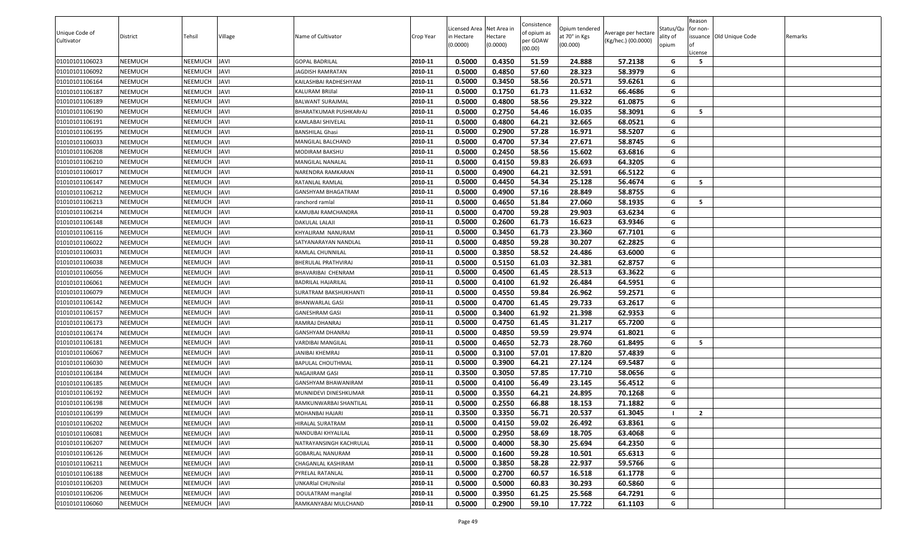| Unique Code of |          |                |             |                           |           | Licensed Area Net Area in |                     | Consistence<br>of opium as | Opium tendered            | Average per hectare | Status/Qu         | Reason<br>for non-       |         |
|----------------|----------|----------------|-------------|---------------------------|-----------|---------------------------|---------------------|----------------------------|---------------------------|---------------------|-------------------|--------------------------|---------|
| Cultivator     | District | Tehsil         | Village     | Name of Cultivator        | Crop Year | in Hectare<br>(0.0000)    | lectare<br>(0.0000) | oer GOAW                   | at 70° in Kgs<br>(00.000) | (Kg/hec.) (00.0000) | ality of<br>opium | issuance Old Unique Code | Remarks |
|                |          |                |             |                           |           |                           |                     | (00.00)                    |                           |                     |                   | .icense                  |         |
| 01010101106023 | NEEMUCH  | NEEMUCH        | <b>JAVI</b> | <b>GOPAL BADRILAL</b>     | 2010-11   | 0.5000                    | 0.4350              | 51.59                      | 24.888                    | 57.2138             | G                 | 5                        |         |
| 01010101106092 | NEEMUCH  | <b>NEEMUCH</b> | <b>JAVI</b> | <b>JAGDISH RAMRATAN</b>   | 2010-11   | 0.5000                    | 0.4850              | 57.60                      | 28.323                    | 58.3979             | G                 |                          |         |
| 01010101106164 | NEEMUCH  | <b>NEEMUCH</b> | <b>JAVI</b> | KAILASHBAI RADHESHYAM     | 2010-11   | 0.5000                    | 0.3450              | 58.56                      | 20.571                    | 59.6261             | G                 |                          |         |
| 01010101106187 | NEEMUCH  | NEEMUCH        | <b>JAVI</b> | KALURAM BRIJIal           | 2010-11   | 0.5000                    | 0.1750              | 61.73                      | 11.632                    | 66.4686             | G                 |                          |         |
| 01010101106189 | NEEMUCH  | <b>NEEMUCH</b> | <b>JAVI</b> | BALWANT SURAJMAL          | 2010-11   | 0.5000                    | 0.4800              | 58.56                      | 29.322                    | 61.0875             | G                 |                          |         |
| 01010101106190 | NEEMUCH  | NEEMUCH        | <b>JAVI</b> | BHARATKUMAR PUSHKARrAJ    | 2010-11   | 0.5000                    | 0.2750              | 54.46                      | 16.035                    | 58.3091             | G                 | - 5                      |         |
| 01010101106191 | NEEMUCH  | <b>NEEMUCH</b> | <b>JAVI</b> | KAMLABAI SHIVELAL         | 2010-11   | 0.5000                    | 0.4800              | 64.21                      | 32.665                    | 68.0521             | G                 |                          |         |
| 01010101106195 | NEEMUCH  | NEEMUCH        | <b>JAVI</b> | <b>BANSHILAL Ghasi</b>    | 2010-11   | 0.5000                    | 0.2900              | 57.28                      | 16.971                    | 58.5207             | G                 |                          |         |
| 01010101106033 | NEEMUCH  | <b>NEEMUCH</b> | <b>JAVI</b> | MANGILAL BALCHAND         | 2010-11   | 0.5000                    | 0.4700              | 57.34                      | 27.671                    | 58.8745             | G                 |                          |         |
| 01010101106208 | NEEMUCH  | NEEMUCH        | <b>JAVI</b> | MODIRAM BAKSHU            | 2010-11   | 0.5000                    | 0.2450              | 58.56                      | 15.602                    | 63.6816             | G                 |                          |         |
| 01010101106210 | NEEMUCH  | <b>NEEMUCH</b> | <b>JAVI</b> | MANGILAL NANALAL          | 2010-11   | 0.5000                    | 0.4150              | 59.83                      | 26.693                    | 64.3205             | G                 |                          |         |
| 01010101106017 | NEEMUCH  | NEEMUCH        | <b>JAVI</b> | NARENDRA RAMKARAN         | 2010-11   | 0.5000                    | 0.4900              | 64.21                      | 32.591                    | 66.5122             | G                 |                          |         |
| 01010101106147 | NEEMUCH  | <b>NEEMUCH</b> | <b>JAVI</b> | RATANLAL RAMLAL           | 2010-11   | 0.5000                    | 0.4450              | 54.34                      | 25.128                    | 56.4674             | G                 | - 5                      |         |
| 01010101106212 | NEEMUCH  | NEEMUCH        | <b>JAVI</b> | GANSHYAM BHAGATRAM        | 2010-11   | 0.5000                    | 0.4900              | 57.16                      | 28.849                    | 58.8755             | G                 |                          |         |
| 01010101106213 | NEEMUCH  | <b>NEEMUCH</b> | <b>JAVI</b> | ranchord ramlal           | 2010-11   | 0.5000                    | 0.4650              | 51.84                      | 27.060                    | 58.1935             | G                 | - 5                      |         |
| 01010101106214 | NEEMUCH  | <b>NEEMUCH</b> | <b>JAVI</b> | KAMUBAI RAMCHANDRA        | 2010-11   | 0.5000                    | 0.4700              | 59.28                      | 29.903                    | 63.6234             | G                 |                          |         |
| 01010101106148 | NEEMUCH  | <b>NEEMUCH</b> | <b>JAVI</b> | DAKULAL LALAJI            | 2010-11   | 0.5000                    | 0.2600              | 61.73                      | 16.623                    | 63.9346             | G                 |                          |         |
| 01010101106116 | NEEMUCH  | NEEMUCH        | <b>JAVI</b> | KHYALIRAM NANURAM         | 2010-11   | 0.5000                    | 0.3450              | 61.73                      | 23.360                    | 67.7101             | G                 |                          |         |
| 01010101106022 | NEEMUCH  | <b>NEEMUCH</b> | <b>JAVI</b> | SATYANARAYAN NANDLAL      | 2010-11   | 0.5000                    | 0.4850              | 59.28                      | 30.207                    | 62.2825             | G                 |                          |         |
| 01010101106031 | NEEMUCH  | NEEMUCH        | <b>JAVI</b> | RAMLAL CHUNNILAL          | 2010-11   | 0.5000                    | 0.3850              | 58.52                      | 24.486                    | 63.6000             | G                 |                          |         |
| 01010101106038 | NEEMUCH  | <b>NEEMUCH</b> | <b>JAVI</b> | BHERULAL PRATHVIRAJ       | 2010-11   | 0.5000                    | 0.5150              | 61.03                      | 32.381                    | 62.8757             | G                 |                          |         |
| 01010101106056 | NEEMUCH  | NEEMUCH        | <b>JAVI</b> | BHAVARIBAI CHENRAM        | 2010-11   | 0.5000                    | 0.4500              | 61.45                      | 28.513                    | 63.3622             | G                 |                          |         |
| 01010101106061 | NEEMUCH  | <b>NEEMUCH</b> | <b>JAVI</b> | <b>BADRILAL HAJARILAL</b> | 2010-11   | 0.5000                    | 0.4100              | 61.92                      | 26.484                    | 64.5951             | G                 |                          |         |
| 01010101106079 | NEEMUCH  | NEEMUCH        | <b>JAVI</b> | SURATRAM BAKSHUKHANTI     | 2010-11   | 0.5000                    | 0.4550              | 59.84                      | 26.962                    | 59.2571             | G                 |                          |         |
| 01010101106142 | NEEMUCH  | NEEMUCH        | <b>JAVI</b> | BHANWARLAL GASI           | 2010-11   | 0.5000                    | 0.4700              | 61.45                      | 29.733                    | 63.2617             | G                 |                          |         |
| 01010101106157 | NEEMUCH  | <b>NEEMUCH</b> | <b>JAVI</b> | GANESHRAM GASI            | 2010-11   | 0.5000                    | 0.3400              | 61.92                      | 21.398                    | 62.9353             | G                 |                          |         |
| 01010101106173 | NEEMUCH  | NEEMUCH        | <b>JAVI</b> | RAMRAJ DHANRAJ            | 2010-11   | 0.5000                    | 0.4750              | 61.45                      | 31.217                    | 65.7200             | G                 |                          |         |
| 01010101106174 | NEEMUCH  | <b>NEEMUCH</b> | <b>JAVI</b> | GANSHYAM DHANRAJ          | 2010-11   | 0.5000                    | 0.4850              | 59.59                      | 29.974                    | 61.8021             | G                 |                          |         |
| 01010101106181 | NEEMUCH  | NEEMUCH        | <b>JAVI</b> | VARDIBAI MANGILAL         | 2010-11   | 0.5000                    | 0.4650              | 52.73                      | 28.760                    | 61.8495             | G                 | - 5                      |         |
| 01010101106067 | NEEMUCH  | <b>NEEMUCH</b> | <b>JAVI</b> | JANIBAI KHEMRAJ           | 2010-11   | 0.5000                    | 0.3100              | 57.01                      | 17.820                    | 57.4839             | G                 |                          |         |
| 01010101106030 | NEEMUCH  | NEEMUCH        | <b>JAVI</b> | BAPULAL CHOUTHMAL         | 2010-11   | 0.5000                    | 0.3900              | 64.21                      | 27.124                    | 69.5487             | G                 |                          |         |
| 01010101106184 | NEEMUCH  | <b>NEEMUCH</b> | <b>JAVI</b> | NAGAJIRAM GASI            | 2010-11   | 0.3500                    | 0.3050              | 57.85                      | 17.710                    | 58.0656             | G                 |                          |         |
| 01010101106185 | NEEMUCH  | NEEMUCH        | <b>JAVI</b> | GANSHYAM BHAWANIRAM       | 2010-11   | 0.5000                    | 0.4100              | 56.49                      | 23.145                    | 56.4512             | G                 |                          |         |
| 01010101106192 | NEEMUCH  | <b>NEEMUCH</b> | <b>JAVI</b> | MUNNIDEVI DINESHKUMAR     | 2010-11   | 0.5000                    | 0.3550              | 64.21                      | 24.895                    | 70.1268             | G                 |                          |         |
| 01010101106198 | NEEMUCH  | NEEMUCH        | <b>JAVI</b> | RAMKUNWARBAI SHANTILAL    | 2010-11   | 0.5000                    | 0.2550              | 66.88                      | 18.153                    | 71.1882             | G                 |                          |         |
| 01010101106199 | NEEMUCH  | <b>NEEMUCH</b> | <b>JAVI</b> | MOHANBAI HAJARI           | 2010-11   | 0.3500                    | 0.3350              | 56.71                      | 20.537                    | 61.3045             |                   | $\overline{2}$           |         |
| 01010101106202 | NEEMUCH  | <b>NEEMUCH</b> | <b>JAVI</b> | HIRALAL SURATRAM          | 2010-11   | 0.5000                    | 0.4150              | 59.02                      | 26.492                    | 63.8361             | G                 |                          |         |
| 01010101106081 | NEEMUCH  | NEEMUCH        | <b>JAVI</b> | NANDUBAI KHYALILAL        | 2010-11   | 0.5000                    | 0.2950              | 58.69                      | 18.705                    | 63.4068             | G                 |                          |         |
| 01010101106207 | NEEMUCH  | <b>NEEMUCH</b> | <b>JAVI</b> | NATRAYANSINGH KACHRULAL   | 2010-11   | 0.5000                    | 0.4000              | 58.30                      | 25.694                    | 64.2350             | G                 |                          |         |
| 01010101106126 | NEEMUCH  | NEEMUCH        | <b>JAVI</b> | GOBARLAL NANURAM          | 2010-11   | 0.5000                    | 0.1600              | 59.28                      | 10.501                    | 65.6313             | G                 |                          |         |
| 01010101106211 | NEEMUCH  | <b>NEEMUCH</b> | <b>JAVI</b> | CHAGANLAL KASHIRAM        | 2010-11   | 0.5000                    | 0.3850              | 58.28                      | 22.937                    | 59.5766             | G                 |                          |         |
| 01010101106188 | NEEMUCH  | NEEMUCH        | <b>JAVI</b> | PYRELAL RATANLAL          | 2010-11   | 0.5000                    | 0.2700              | 60.57                      | 16.518                    | 61.1778             | G                 |                          |         |
| 01010101106203 | NEEMUCH  | <b>NEEMUCH</b> | <b>JAVI</b> | UNKARIal CHUNnilal        | 2010-11   | 0.5000                    | 0.5000              | 60.83                      | 30.293                    | 60.5860             | G                 |                          |         |
| 01010101106206 | NEEMUCH  | <b>NEEMUCH</b> | <b>JAVI</b> | DOULATRAM mangilal        | 2010-11   | 0.5000                    | 0.3950              | 61.25                      | 25.568                    | 64.7291             | G                 |                          |         |
| 01010101106060 | NEEMUCH  | NEEMUCH        | <b>JAVI</b> | RAMKANYABAI MULCHAND      | 2010-11   | 0.5000                    | 0.2900              | 59.10                      | 17.722                    | 61.1103             | G                 |                          |         |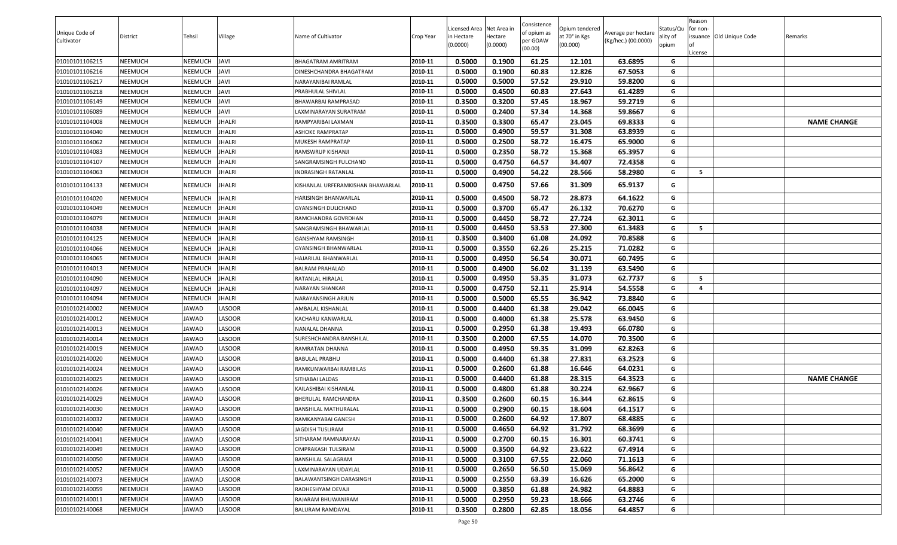| Opium tendered<br>Status/Qu<br>for non-<br>of opium as<br>Unique Code of<br>Average per hectare<br>Name of Cultivator<br>Hectare<br>at 70° in Kgs<br>ssuance Old Unique Code<br>District<br>Tehsil<br>Village<br>Crop Year<br>n Hectare<br>ality of<br>Remarks<br>per GOAW<br>(Kg/hec.) (00.0000)<br>Cultivator<br>(0.0000)<br>(0.0000)<br>(00.000)<br>opium<br>(00.00)<br>.icense<br>0.5000<br>0.1900<br>61.25<br>01010101106215<br>NEEMUCH<br><b>NEEMUCH</b><br><b>JAVI</b><br>2010-11<br>12.101<br>63.6895<br>BHAGATRAM AMRITRAM<br>G<br>01010101106216<br>2010-11<br>0.5000<br>0.1900<br>60.83<br>12.826<br>67.5053<br>NEEMUCH<br>NEEMUCH<br><b>JAVI</b><br>G<br>DINESHCHANDRA BHAGATRAM<br>2010-11<br>0.5000<br>0.5000<br>57.52<br>29.910<br>59.8200<br>01010101106217<br>NEEMUCH<br><b>NEEMUCH</b><br><b>JAVI</b><br>NARAYANIBAI RAMLAL<br>G<br>2010-11<br>0.5000<br>60.83<br>27.643<br>G<br><b>JAVI</b><br>0.4500<br>61.4289<br>01010101106218<br>NEEMUCH<br>NEEMUCH<br>PRABHULAL SHIVLAL<br>2010-11<br>0.3500<br>0.3200<br>57.45<br>18.967<br>59.2719<br>G<br>01010101106149<br><b>NEEMUCH</b><br>NEEMUCH<br><b>JAVI</b><br>BHAWARBAI RAMPRASAD<br>2010-11<br>0.5000<br>0.2400<br>57.34<br>14.368<br>59.8667<br>NEEMUCH<br>NEEMUCH<br>G<br>01010101106089<br><b>JAVI</b><br>LAXMINARAYAN SURATRAM<br><b>NEEMUCH</b><br>2010-11<br>0.3500<br>0.3300<br>65.47<br>23.045<br>69.8333<br><b>NAME CHANGE</b><br>01010101104008<br><b>NEEMUCH</b><br><b>JHALRI</b><br>G<br>RAMPYARIBAI LAXMAN<br>0.5000<br>0.4900<br>59.57<br>31.308<br>63.8939<br>NEEMUCH<br><b>JHALRI</b><br>2010-11<br>G<br>01010101104040<br><b>NEEMUCH</b><br>ASHOKE RAMPRATAP<br>2010-11<br>0.5000<br>0.2500<br>58.72<br>16.475<br>01010101104062<br><b>NEEMUCH</b><br>NEEMUCH<br><b>JHALRI</b><br>65.9000<br>G<br>MUKESH RAMPRATAP<br>0.5000<br>0.2350<br>2010-11<br>58.72<br>15.368<br>65.3957<br>01010101104083<br>NEEMUCH<br>NEEMUCH<br><b>JHALRI</b><br>G<br>RAMSWRUP KISHANJI<br>0.5000<br>0.4750<br>01010101104107<br>NEEMUCH<br><b>NEEMUCH</b><br><b>JHALRI</b><br>2010-11<br>64.57<br>34.407<br>72.4358<br>G<br>SANGRAMSINGH FULCHAND<br>0.5000<br>54.22<br>28.566<br>58.2980<br>5<br><b>JHALRI</b><br>0.4900<br>G<br>01010101104063<br>NEEMUCH<br>NEEMUCH<br>2010-11<br>NDRASINGH RATANLAL<br>0.5000<br>0.4750<br>NEEMUCH<br>NEEMUCH<br>JHALRI<br>2010-11<br>57.66<br>31.309<br>65.9137<br>01010101104133<br>KISHANLAL URFERAMKISHAN BHAWARLAL<br>G<br>0.5000<br>58.72<br>28.873<br><b>NEEMUCH</b><br>NEEMUCH<br><b>JHALRI</b><br>2010-11<br>0.4500<br>64.1622<br>01010101104020<br>G<br>HARISINGH BHANWARLAL<br>0.3700<br>26.132<br>70.6270<br>0.5000<br>65.47<br>2010-11<br>G<br>01010101104049<br><b>NEEMUCH</b><br><b>NEEMUCH</b><br><b>JHALRI</b><br><b>GYANSINGH DULICHAND</b><br>NEEMUCH<br>NEEMUCH<br><b>JHALRI</b><br>2010-11<br>0.5000<br>0.4450<br>58.72<br>27.724<br>62.3011<br>G<br>01010101104079<br>RAMCHANDRA GOVRDHAN<br>5<br>2010-11<br>0.5000<br>53.53<br>27.300<br>01010101104038<br><b>NEEMUCH</b><br><b>NEEMUCH</b><br><b>JHALRI</b><br>SANGRAMSINGH BHAWARLAL<br>0.4450<br>61.3483<br>G<br>2010-11<br>0.3500<br>0.3400<br>24.092<br>01010101104125<br>NEEMUCH<br>NEEMUCH<br><b>JHALRI</b><br>GANSHYAM RAMSINGH<br>61.08<br>70.8588<br>G<br>0.5000<br>0.3550<br>62.26<br>25.215<br>71.0282<br>01010101104066<br><b>NEEMUCH</b><br><b>NEEMUCH</b><br><b>JHALRI</b><br>2010-11<br>G<br><b>GYANSINGH BHANWARLAL</b><br>NEEMUCH<br>2010-11<br>0.5000<br>0.4950<br>56.54<br>30.071<br>60.7495<br>01010101104065<br>NEEMUCH<br><b>JHALRI</b><br>G<br>HAJARILAL BHANWARLAL<br>0.5000<br>56.02<br><b>NEEMUCH</b><br><b>NEEMUCH</b><br><b>JHALRI</b><br>2010-11<br>0.4900<br>31.139<br>63.5490<br>G<br>01010101104013<br>BALRAM PRAHALAD<br>0.5000<br>0.4950<br>53.35<br>62.7737<br>NEEMUCH<br>NEEMUCH<br><b>JHALRI</b><br>2010-11<br>31.073<br>G<br>5<br>01010101104090<br>RATANLAL HIRALAL<br>0.5000<br>0.4750<br>52.11<br>25.914<br>54.5558<br><b>NEEMUCH</b><br><b>NEEMUCH</b><br><b>JHALRI</b><br>2010-11<br>G<br>$\overline{4}$<br>01010101104097<br>NARAYAN SHANKAR<br>NEEMUCH<br>NEEMUCH<br><b>JHALRI</b><br>2010-11<br>0.5000<br>0.5000<br>65.55<br>36.942<br>73.8840<br>01010101104094<br>G<br>NARAYANSINGH ARJUN<br>0.5000<br>01010102140002<br><b>NEEMUCH</b><br>JAWAD<br>LASOOR<br>2010-11<br>0.4400<br>61.38<br>29.042<br>66.0045<br>G<br>AMBALAL KISHANLAL<br>2010-11<br>0.5000<br>0.4000<br>61.38<br>25.578<br>01010102140012<br>NEEMUCH<br>LASOOR<br>63.9450<br>G<br>JAWAD<br>KACHARU KANWARLAL<br>01010102140013<br>2010-11<br>0.5000<br>0.2950<br>61.38<br>19.493<br>66.0780<br>G<br>NEEMUCH<br>JAWAD<br>LASOOR<br>NANALAL DHANNA<br>2010-11<br>0.3500<br>0.2000<br>01010102140014<br>NEEMUCH<br>LASOOR<br>67.55<br>14.070<br>70.3500<br>G<br>JAWAD<br>SURESHCHANDRA BANSHILAL<br>2010-11<br>0.5000<br>0.4950<br>59.35<br>31.099<br>62.8263<br>G<br>01010102140019<br><b>NEEMUCH</b><br>JAWAD<br>LASOOR<br>RAMRATAN DHANNA<br>2010-11<br>0.5000<br>61.38<br>27.831<br>G<br>LASOOR<br>0.4400<br>63.2523<br>01010102140020<br>NEEMUCH<br>JAWAD<br>BABULAL PRABHU<br>0.5000<br>0.2600<br>61.88<br>16.646<br>64.0231<br>01010102140024<br><b>NEEMUCH</b><br>JAWAD<br>LASOOR<br>2010-11<br>G<br>RAMKUNWARBAI RAMBILAS<br>NEEMUCH<br>LASOOR<br>0.5000<br>0.4400<br>61.88<br>28.315<br>64.3523<br>01010102140025<br>JAWAD<br>2010-11<br>G<br><b>NAME CHANGE</b><br>SITHABAI LALDAS<br>2010-11<br>0.5000<br>0.4800<br>61.88<br>30.224<br>01010102140026<br><b>NEEMUCH</b><br>JAWAD<br>LASOOR<br>62.9667<br>G<br>KAILASHIBAI KISHANLAL<br>0.2600<br>01010102140029<br>NEEMUCH<br>LASOOR<br>2010-11<br>0.3500<br>60.15<br>16.344<br>62.8615<br>G<br>JAWAD<br>BHERULAL RAMCHANDRA<br>0.5000<br>0.2900<br>60.15<br>18.604<br>NEEMUCH<br>JAWAD<br>LASOOR<br>2010-11<br>64.1517<br>G<br>BANSHILAL MATHURALAL<br>01010102140032<br><b>NEEMUCH</b><br>LASOOR<br>2010-11<br>0.5000<br>0.2600<br>64.92<br>17.807<br>68.4885<br>JAWAD<br>RAMKANYABAI GANESH<br>G<br>0.5000<br>01010102140040<br><b>NEEMUCH</b><br>JAWAD<br>LASOOR<br>2010-11<br>0.4650<br>64.92<br>31.792<br>68.3699<br>JAGDISH TUSLIRAM<br>G<br>0.5000<br>0.2700<br>60.15<br>16.301<br>60.3741<br>01010102140041<br><b>NEEMUCH</b><br>LASOOR<br>SITHARAM RAMNARAYAN<br>2010-11<br>G<br>JAWAD<br>2010-11<br>0.5000<br>0.3500<br>64.92<br>23.622<br>G<br><b>NEEMUCH</b><br>LASOOR<br>67.4914<br>JAWAD<br>OMPRAKASH TULSIRAM<br>2010-11<br>67.55<br>G<br>01010102140050<br><b>NEEMUCH</b><br>JAWAD<br>LASOOR<br>BANSHILAL SALAGRAM<br>0.5000<br>0.3100<br>22.060<br>71.1613<br>LASOOR<br>2010-11<br>0.5000<br>0.2650<br>56.50<br>15.069<br>56.8642<br>G<br>01010102140052<br><b>NEEMUCH</b><br>JAWAD<br>LAXMINARAYAN UDAYLAL<br>2010-11<br>0.2550<br>16.626<br><b>NEEMUCH</b><br>JAWAD<br>LASOOR<br>BALAWANTSINGH DARASINGH<br>0.5000<br>63.39<br>65.2000<br>G<br>0.5000<br>0.3850<br><b>NEEMUCH</b><br>LASOOR<br>2010-11<br>61.88<br>24.982<br>64.8883<br>JAWAD<br>RADHESHYAM DEVAJI<br>G<br>0.2950<br>01010102140011<br><b>NEEMUCH</b><br>JAWAD<br>LASOOR<br>2010-11<br>0.5000<br>59.23<br>18.666<br>63.2746<br>G<br>RAJARAM BHUWANIRAM<br><b>LASOOR</b><br>2010-11<br>0.3500<br>0.2800<br>62.85<br><b>NEEMUCH</b><br>JAWAD<br>BALURAM RAMDAYAL<br>18.056<br>64.4857<br>G |                |  |  |              |             | Consistence |  | Reason |  |
|-----------------------------------------------------------------------------------------------------------------------------------------------------------------------------------------------------------------------------------------------------------------------------------------------------------------------------------------------------------------------------------------------------------------------------------------------------------------------------------------------------------------------------------------------------------------------------------------------------------------------------------------------------------------------------------------------------------------------------------------------------------------------------------------------------------------------------------------------------------------------------------------------------------------------------------------------------------------------------------------------------------------------------------------------------------------------------------------------------------------------------------------------------------------------------------------------------------------------------------------------------------------------------------------------------------------------------------------------------------------------------------------------------------------------------------------------------------------------------------------------------------------------------------------------------------------------------------------------------------------------------------------------------------------------------------------------------------------------------------------------------------------------------------------------------------------------------------------------------------------------------------------------------------------------------------------------------------------------------------------------------------------------------------------------------------------------------------------------------------------------------------------------------------------------------------------------------------------------------------------------------------------------------------------------------------------------------------------------------------------------------------------------------------------------------------------------------------------------------------------------------------------------------------------------------------------------------------------------------------------------------------------------------------------------------------------------------------------------------------------------------------------------------------------------------------------------------------------------------------------------------------------------------------------------------------------------------------------------------------------------------------------------------------------------------------------------------------------------------------------------------------------------------------------------------------------------------------------------------------------------------------------------------------------------------------------------------------------------------------------------------------------------------------------------------------------------------------------------------------------------------------------------------------------------------------------------------------------------------------------------------------------------------------------------------------------------------------------------------------------------------------------------------------------------------------------------------------------------------------------------------------------------------------------------------------------------------------------------------------------------------------------------------------------------------------------------------------------------------------------------------------------------------------------------------------------------------------------------------------------------------------------------------------------------------------------------------------------------------------------------------------------------------------------------------------------------------------------------------------------------------------------------------------------------------------------------------------------------------------------------------------------------------------------------------------------------------------------------------------------------------------------------------------------------------------------------------------------------------------------------------------------------------------------------------------------------------------------------------------------------------------------------------------------------------------------------------------------------------------------------------------------------------------------------------------------------------------------------------------------------------------------------------------------------------------------------------------------------------------------------------------------------------------------------------------------------------------------------------------------------------------------------------------------------------------------------------------------------------------------------------------------------------------------------------------------------------------------------------------------------------------------------------------------------------------------------------------------------------------------------------------------------------------------------------------------------------------------------------------------------------------------------------------------------------------------------------------------------------------------------------------------------------------------------------------------------------------------------------------------------------------------------------------------------------------------------------------------------------------------------------------------------------------------------------------------------------------------------------------------------------------------------------------------------------------------------------------------------------------------------------------------------------------------------------------------------------------------------------------------------------------------------------------------------------------------------------------------------------------------------------------------------------------------------------------------------------------------------------------------------------------------------------------------------------------------------------------------------------------------------------------------------------------------------------------------------------------------------------------------|----------------|--|--|--------------|-------------|-------------|--|--------|--|
|                                                                                                                                                                                                                                                                                                                                                                                                                                                                                                                                                                                                                                                                                                                                                                                                                                                                                                                                                                                                                                                                                                                                                                                                                                                                                                                                                                                                                                                                                                                                                                                                                                                                                                                                                                                                                                                                                                                                                                                                                                                                                                                                                                                                                                                                                                                                                                                                                                                                                                                                                                                                                                                                                                                                                                                                                                                                                                                                                                                                                                                                                                                                                                                                                                                                                                                                                                                                                                                                                                                                                                                                                                                                                                                                                                                                                                                                                                                                                                                                                                                                                                                                                                                                                                                                                                                                                                                                                                                                                                                                                                                                                                                                                                                                                                                                                                                                                                                                                                                                                                                                                                                                                                                                                                                                                                                                                                                                                                                                                                                                                                                                                                                                                                                                                                                                                                                                                                                                                                                                                                                                                                                                                                                                                                                                                                                                                                                                                                                                                                                                                                                                                                                                                                                                                                                                                                                                                                                                                                                                                                                                                                                                                                                                                                         |                |  |  | icensed Area | Net Area ir |             |  |        |  |
|                                                                                                                                                                                                                                                                                                                                                                                                                                                                                                                                                                                                                                                                                                                                                                                                                                                                                                                                                                                                                                                                                                                                                                                                                                                                                                                                                                                                                                                                                                                                                                                                                                                                                                                                                                                                                                                                                                                                                                                                                                                                                                                                                                                                                                                                                                                                                                                                                                                                                                                                                                                                                                                                                                                                                                                                                                                                                                                                                                                                                                                                                                                                                                                                                                                                                                                                                                                                                                                                                                                                                                                                                                                                                                                                                                                                                                                                                                                                                                                                                                                                                                                                                                                                                                                                                                                                                                                                                                                                                                                                                                                                                                                                                                                                                                                                                                                                                                                                                                                                                                                                                                                                                                                                                                                                                                                                                                                                                                                                                                                                                                                                                                                                                                                                                                                                                                                                                                                                                                                                                                                                                                                                                                                                                                                                                                                                                                                                                                                                                                                                                                                                                                                                                                                                                                                                                                                                                                                                                                                                                                                                                                                                                                                                                                         |                |  |  |              |             |             |  |        |  |
|                                                                                                                                                                                                                                                                                                                                                                                                                                                                                                                                                                                                                                                                                                                                                                                                                                                                                                                                                                                                                                                                                                                                                                                                                                                                                                                                                                                                                                                                                                                                                                                                                                                                                                                                                                                                                                                                                                                                                                                                                                                                                                                                                                                                                                                                                                                                                                                                                                                                                                                                                                                                                                                                                                                                                                                                                                                                                                                                                                                                                                                                                                                                                                                                                                                                                                                                                                                                                                                                                                                                                                                                                                                                                                                                                                                                                                                                                                                                                                                                                                                                                                                                                                                                                                                                                                                                                                                                                                                                                                                                                                                                                                                                                                                                                                                                                                                                                                                                                                                                                                                                                                                                                                                                                                                                                                                                                                                                                                                                                                                                                                                                                                                                                                                                                                                                                                                                                                                                                                                                                                                                                                                                                                                                                                                                                                                                                                                                                                                                                                                                                                                                                                                                                                                                                                                                                                                                                                                                                                                                                                                                                                                                                                                                                                         |                |  |  |              |             |             |  |        |  |
|                                                                                                                                                                                                                                                                                                                                                                                                                                                                                                                                                                                                                                                                                                                                                                                                                                                                                                                                                                                                                                                                                                                                                                                                                                                                                                                                                                                                                                                                                                                                                                                                                                                                                                                                                                                                                                                                                                                                                                                                                                                                                                                                                                                                                                                                                                                                                                                                                                                                                                                                                                                                                                                                                                                                                                                                                                                                                                                                                                                                                                                                                                                                                                                                                                                                                                                                                                                                                                                                                                                                                                                                                                                                                                                                                                                                                                                                                                                                                                                                                                                                                                                                                                                                                                                                                                                                                                                                                                                                                                                                                                                                                                                                                                                                                                                                                                                                                                                                                                                                                                                                                                                                                                                                                                                                                                                                                                                                                                                                                                                                                                                                                                                                                                                                                                                                                                                                                                                                                                                                                                                                                                                                                                                                                                                                                                                                                                                                                                                                                                                                                                                                                                                                                                                                                                                                                                                                                                                                                                                                                                                                                                                                                                                                                                         |                |  |  |              |             |             |  |        |  |
|                                                                                                                                                                                                                                                                                                                                                                                                                                                                                                                                                                                                                                                                                                                                                                                                                                                                                                                                                                                                                                                                                                                                                                                                                                                                                                                                                                                                                                                                                                                                                                                                                                                                                                                                                                                                                                                                                                                                                                                                                                                                                                                                                                                                                                                                                                                                                                                                                                                                                                                                                                                                                                                                                                                                                                                                                                                                                                                                                                                                                                                                                                                                                                                                                                                                                                                                                                                                                                                                                                                                                                                                                                                                                                                                                                                                                                                                                                                                                                                                                                                                                                                                                                                                                                                                                                                                                                                                                                                                                                                                                                                                                                                                                                                                                                                                                                                                                                                                                                                                                                                                                                                                                                                                                                                                                                                                                                                                                                                                                                                                                                                                                                                                                                                                                                                                                                                                                                                                                                                                                                                                                                                                                                                                                                                                                                                                                                                                                                                                                                                                                                                                                                                                                                                                                                                                                                                                                                                                                                                                                                                                                                                                                                                                                                         |                |  |  |              |             |             |  |        |  |
|                                                                                                                                                                                                                                                                                                                                                                                                                                                                                                                                                                                                                                                                                                                                                                                                                                                                                                                                                                                                                                                                                                                                                                                                                                                                                                                                                                                                                                                                                                                                                                                                                                                                                                                                                                                                                                                                                                                                                                                                                                                                                                                                                                                                                                                                                                                                                                                                                                                                                                                                                                                                                                                                                                                                                                                                                                                                                                                                                                                                                                                                                                                                                                                                                                                                                                                                                                                                                                                                                                                                                                                                                                                                                                                                                                                                                                                                                                                                                                                                                                                                                                                                                                                                                                                                                                                                                                                                                                                                                                                                                                                                                                                                                                                                                                                                                                                                                                                                                                                                                                                                                                                                                                                                                                                                                                                                                                                                                                                                                                                                                                                                                                                                                                                                                                                                                                                                                                                                                                                                                                                                                                                                                                                                                                                                                                                                                                                                                                                                                                                                                                                                                                                                                                                                                                                                                                                                                                                                                                                                                                                                                                                                                                                                                                         |                |  |  |              |             |             |  |        |  |
|                                                                                                                                                                                                                                                                                                                                                                                                                                                                                                                                                                                                                                                                                                                                                                                                                                                                                                                                                                                                                                                                                                                                                                                                                                                                                                                                                                                                                                                                                                                                                                                                                                                                                                                                                                                                                                                                                                                                                                                                                                                                                                                                                                                                                                                                                                                                                                                                                                                                                                                                                                                                                                                                                                                                                                                                                                                                                                                                                                                                                                                                                                                                                                                                                                                                                                                                                                                                                                                                                                                                                                                                                                                                                                                                                                                                                                                                                                                                                                                                                                                                                                                                                                                                                                                                                                                                                                                                                                                                                                                                                                                                                                                                                                                                                                                                                                                                                                                                                                                                                                                                                                                                                                                                                                                                                                                                                                                                                                                                                                                                                                                                                                                                                                                                                                                                                                                                                                                                                                                                                                                                                                                                                                                                                                                                                                                                                                                                                                                                                                                                                                                                                                                                                                                                                                                                                                                                                                                                                                                                                                                                                                                                                                                                                                         |                |  |  |              |             |             |  |        |  |
|                                                                                                                                                                                                                                                                                                                                                                                                                                                                                                                                                                                                                                                                                                                                                                                                                                                                                                                                                                                                                                                                                                                                                                                                                                                                                                                                                                                                                                                                                                                                                                                                                                                                                                                                                                                                                                                                                                                                                                                                                                                                                                                                                                                                                                                                                                                                                                                                                                                                                                                                                                                                                                                                                                                                                                                                                                                                                                                                                                                                                                                                                                                                                                                                                                                                                                                                                                                                                                                                                                                                                                                                                                                                                                                                                                                                                                                                                                                                                                                                                                                                                                                                                                                                                                                                                                                                                                                                                                                                                                                                                                                                                                                                                                                                                                                                                                                                                                                                                                                                                                                                                                                                                                                                                                                                                                                                                                                                                                                                                                                                                                                                                                                                                                                                                                                                                                                                                                                                                                                                                                                                                                                                                                                                                                                                                                                                                                                                                                                                                                                                                                                                                                                                                                                                                                                                                                                                                                                                                                                                                                                                                                                                                                                                                                         |                |  |  |              |             |             |  |        |  |
|                                                                                                                                                                                                                                                                                                                                                                                                                                                                                                                                                                                                                                                                                                                                                                                                                                                                                                                                                                                                                                                                                                                                                                                                                                                                                                                                                                                                                                                                                                                                                                                                                                                                                                                                                                                                                                                                                                                                                                                                                                                                                                                                                                                                                                                                                                                                                                                                                                                                                                                                                                                                                                                                                                                                                                                                                                                                                                                                                                                                                                                                                                                                                                                                                                                                                                                                                                                                                                                                                                                                                                                                                                                                                                                                                                                                                                                                                                                                                                                                                                                                                                                                                                                                                                                                                                                                                                                                                                                                                                                                                                                                                                                                                                                                                                                                                                                                                                                                                                                                                                                                                                                                                                                                                                                                                                                                                                                                                                                                                                                                                                                                                                                                                                                                                                                                                                                                                                                                                                                                                                                                                                                                                                                                                                                                                                                                                                                                                                                                                                                                                                                                                                                                                                                                                                                                                                                                                                                                                                                                                                                                                                                                                                                                                                         |                |  |  |              |             |             |  |        |  |
|                                                                                                                                                                                                                                                                                                                                                                                                                                                                                                                                                                                                                                                                                                                                                                                                                                                                                                                                                                                                                                                                                                                                                                                                                                                                                                                                                                                                                                                                                                                                                                                                                                                                                                                                                                                                                                                                                                                                                                                                                                                                                                                                                                                                                                                                                                                                                                                                                                                                                                                                                                                                                                                                                                                                                                                                                                                                                                                                                                                                                                                                                                                                                                                                                                                                                                                                                                                                                                                                                                                                                                                                                                                                                                                                                                                                                                                                                                                                                                                                                                                                                                                                                                                                                                                                                                                                                                                                                                                                                                                                                                                                                                                                                                                                                                                                                                                                                                                                                                                                                                                                                                                                                                                                                                                                                                                                                                                                                                                                                                                                                                                                                                                                                                                                                                                                                                                                                                                                                                                                                                                                                                                                                                                                                                                                                                                                                                                                                                                                                                                                                                                                                                                                                                                                                                                                                                                                                                                                                                                                                                                                                                                                                                                                                                         |                |  |  |              |             |             |  |        |  |
|                                                                                                                                                                                                                                                                                                                                                                                                                                                                                                                                                                                                                                                                                                                                                                                                                                                                                                                                                                                                                                                                                                                                                                                                                                                                                                                                                                                                                                                                                                                                                                                                                                                                                                                                                                                                                                                                                                                                                                                                                                                                                                                                                                                                                                                                                                                                                                                                                                                                                                                                                                                                                                                                                                                                                                                                                                                                                                                                                                                                                                                                                                                                                                                                                                                                                                                                                                                                                                                                                                                                                                                                                                                                                                                                                                                                                                                                                                                                                                                                                                                                                                                                                                                                                                                                                                                                                                                                                                                                                                                                                                                                                                                                                                                                                                                                                                                                                                                                                                                                                                                                                                                                                                                                                                                                                                                                                                                                                                                                                                                                                                                                                                                                                                                                                                                                                                                                                                                                                                                                                                                                                                                                                                                                                                                                                                                                                                                                                                                                                                                                                                                                                                                                                                                                                                                                                                                                                                                                                                                                                                                                                                                                                                                                                                         |                |  |  |              |             |             |  |        |  |
|                                                                                                                                                                                                                                                                                                                                                                                                                                                                                                                                                                                                                                                                                                                                                                                                                                                                                                                                                                                                                                                                                                                                                                                                                                                                                                                                                                                                                                                                                                                                                                                                                                                                                                                                                                                                                                                                                                                                                                                                                                                                                                                                                                                                                                                                                                                                                                                                                                                                                                                                                                                                                                                                                                                                                                                                                                                                                                                                                                                                                                                                                                                                                                                                                                                                                                                                                                                                                                                                                                                                                                                                                                                                                                                                                                                                                                                                                                                                                                                                                                                                                                                                                                                                                                                                                                                                                                                                                                                                                                                                                                                                                                                                                                                                                                                                                                                                                                                                                                                                                                                                                                                                                                                                                                                                                                                                                                                                                                                                                                                                                                                                                                                                                                                                                                                                                                                                                                                                                                                                                                                                                                                                                                                                                                                                                                                                                                                                                                                                                                                                                                                                                                                                                                                                                                                                                                                                                                                                                                                                                                                                                                                                                                                                                                         |                |  |  |              |             |             |  |        |  |
|                                                                                                                                                                                                                                                                                                                                                                                                                                                                                                                                                                                                                                                                                                                                                                                                                                                                                                                                                                                                                                                                                                                                                                                                                                                                                                                                                                                                                                                                                                                                                                                                                                                                                                                                                                                                                                                                                                                                                                                                                                                                                                                                                                                                                                                                                                                                                                                                                                                                                                                                                                                                                                                                                                                                                                                                                                                                                                                                                                                                                                                                                                                                                                                                                                                                                                                                                                                                                                                                                                                                                                                                                                                                                                                                                                                                                                                                                                                                                                                                                                                                                                                                                                                                                                                                                                                                                                                                                                                                                                                                                                                                                                                                                                                                                                                                                                                                                                                                                                                                                                                                                                                                                                                                                                                                                                                                                                                                                                                                                                                                                                                                                                                                                                                                                                                                                                                                                                                                                                                                                                                                                                                                                                                                                                                                                                                                                                                                                                                                                                                                                                                                                                                                                                                                                                                                                                                                                                                                                                                                                                                                                                                                                                                                                                         |                |  |  |              |             |             |  |        |  |
|                                                                                                                                                                                                                                                                                                                                                                                                                                                                                                                                                                                                                                                                                                                                                                                                                                                                                                                                                                                                                                                                                                                                                                                                                                                                                                                                                                                                                                                                                                                                                                                                                                                                                                                                                                                                                                                                                                                                                                                                                                                                                                                                                                                                                                                                                                                                                                                                                                                                                                                                                                                                                                                                                                                                                                                                                                                                                                                                                                                                                                                                                                                                                                                                                                                                                                                                                                                                                                                                                                                                                                                                                                                                                                                                                                                                                                                                                                                                                                                                                                                                                                                                                                                                                                                                                                                                                                                                                                                                                                                                                                                                                                                                                                                                                                                                                                                                                                                                                                                                                                                                                                                                                                                                                                                                                                                                                                                                                                                                                                                                                                                                                                                                                                                                                                                                                                                                                                                                                                                                                                                                                                                                                                                                                                                                                                                                                                                                                                                                                                                                                                                                                                                                                                                                                                                                                                                                                                                                                                                                                                                                                                                                                                                                                                         |                |  |  |              |             |             |  |        |  |
|                                                                                                                                                                                                                                                                                                                                                                                                                                                                                                                                                                                                                                                                                                                                                                                                                                                                                                                                                                                                                                                                                                                                                                                                                                                                                                                                                                                                                                                                                                                                                                                                                                                                                                                                                                                                                                                                                                                                                                                                                                                                                                                                                                                                                                                                                                                                                                                                                                                                                                                                                                                                                                                                                                                                                                                                                                                                                                                                                                                                                                                                                                                                                                                                                                                                                                                                                                                                                                                                                                                                                                                                                                                                                                                                                                                                                                                                                                                                                                                                                                                                                                                                                                                                                                                                                                                                                                                                                                                                                                                                                                                                                                                                                                                                                                                                                                                                                                                                                                                                                                                                                                                                                                                                                                                                                                                                                                                                                                                                                                                                                                                                                                                                                                                                                                                                                                                                                                                                                                                                                                                                                                                                                                                                                                                                                                                                                                                                                                                                                                                                                                                                                                                                                                                                                                                                                                                                                                                                                                                                                                                                                                                                                                                                                                         |                |  |  |              |             |             |  |        |  |
|                                                                                                                                                                                                                                                                                                                                                                                                                                                                                                                                                                                                                                                                                                                                                                                                                                                                                                                                                                                                                                                                                                                                                                                                                                                                                                                                                                                                                                                                                                                                                                                                                                                                                                                                                                                                                                                                                                                                                                                                                                                                                                                                                                                                                                                                                                                                                                                                                                                                                                                                                                                                                                                                                                                                                                                                                                                                                                                                                                                                                                                                                                                                                                                                                                                                                                                                                                                                                                                                                                                                                                                                                                                                                                                                                                                                                                                                                                                                                                                                                                                                                                                                                                                                                                                                                                                                                                                                                                                                                                                                                                                                                                                                                                                                                                                                                                                                                                                                                                                                                                                                                                                                                                                                                                                                                                                                                                                                                                                                                                                                                                                                                                                                                                                                                                                                                                                                                                                                                                                                                                                                                                                                                                                                                                                                                                                                                                                                                                                                                                                                                                                                                                                                                                                                                                                                                                                                                                                                                                                                                                                                                                                                                                                                                                         |                |  |  |              |             |             |  |        |  |
|                                                                                                                                                                                                                                                                                                                                                                                                                                                                                                                                                                                                                                                                                                                                                                                                                                                                                                                                                                                                                                                                                                                                                                                                                                                                                                                                                                                                                                                                                                                                                                                                                                                                                                                                                                                                                                                                                                                                                                                                                                                                                                                                                                                                                                                                                                                                                                                                                                                                                                                                                                                                                                                                                                                                                                                                                                                                                                                                                                                                                                                                                                                                                                                                                                                                                                                                                                                                                                                                                                                                                                                                                                                                                                                                                                                                                                                                                                                                                                                                                                                                                                                                                                                                                                                                                                                                                                                                                                                                                                                                                                                                                                                                                                                                                                                                                                                                                                                                                                                                                                                                                                                                                                                                                                                                                                                                                                                                                                                                                                                                                                                                                                                                                                                                                                                                                                                                                                                                                                                                                                                                                                                                                                                                                                                                                                                                                                                                                                                                                                                                                                                                                                                                                                                                                                                                                                                                                                                                                                                                                                                                                                                                                                                                                                         |                |  |  |              |             |             |  |        |  |
|                                                                                                                                                                                                                                                                                                                                                                                                                                                                                                                                                                                                                                                                                                                                                                                                                                                                                                                                                                                                                                                                                                                                                                                                                                                                                                                                                                                                                                                                                                                                                                                                                                                                                                                                                                                                                                                                                                                                                                                                                                                                                                                                                                                                                                                                                                                                                                                                                                                                                                                                                                                                                                                                                                                                                                                                                                                                                                                                                                                                                                                                                                                                                                                                                                                                                                                                                                                                                                                                                                                                                                                                                                                                                                                                                                                                                                                                                                                                                                                                                                                                                                                                                                                                                                                                                                                                                                                                                                                                                                                                                                                                                                                                                                                                                                                                                                                                                                                                                                                                                                                                                                                                                                                                                                                                                                                                                                                                                                                                                                                                                                                                                                                                                                                                                                                                                                                                                                                                                                                                                                                                                                                                                                                                                                                                                                                                                                                                                                                                                                                                                                                                                                                                                                                                                                                                                                                                                                                                                                                                                                                                                                                                                                                                                                         |                |  |  |              |             |             |  |        |  |
|                                                                                                                                                                                                                                                                                                                                                                                                                                                                                                                                                                                                                                                                                                                                                                                                                                                                                                                                                                                                                                                                                                                                                                                                                                                                                                                                                                                                                                                                                                                                                                                                                                                                                                                                                                                                                                                                                                                                                                                                                                                                                                                                                                                                                                                                                                                                                                                                                                                                                                                                                                                                                                                                                                                                                                                                                                                                                                                                                                                                                                                                                                                                                                                                                                                                                                                                                                                                                                                                                                                                                                                                                                                                                                                                                                                                                                                                                                                                                                                                                                                                                                                                                                                                                                                                                                                                                                                                                                                                                                                                                                                                                                                                                                                                                                                                                                                                                                                                                                                                                                                                                                                                                                                                                                                                                                                                                                                                                                                                                                                                                                                                                                                                                                                                                                                                                                                                                                                                                                                                                                                                                                                                                                                                                                                                                                                                                                                                                                                                                                                                                                                                                                                                                                                                                                                                                                                                                                                                                                                                                                                                                                                                                                                                                                         |                |  |  |              |             |             |  |        |  |
|                                                                                                                                                                                                                                                                                                                                                                                                                                                                                                                                                                                                                                                                                                                                                                                                                                                                                                                                                                                                                                                                                                                                                                                                                                                                                                                                                                                                                                                                                                                                                                                                                                                                                                                                                                                                                                                                                                                                                                                                                                                                                                                                                                                                                                                                                                                                                                                                                                                                                                                                                                                                                                                                                                                                                                                                                                                                                                                                                                                                                                                                                                                                                                                                                                                                                                                                                                                                                                                                                                                                                                                                                                                                                                                                                                                                                                                                                                                                                                                                                                                                                                                                                                                                                                                                                                                                                                                                                                                                                                                                                                                                                                                                                                                                                                                                                                                                                                                                                                                                                                                                                                                                                                                                                                                                                                                                                                                                                                                                                                                                                                                                                                                                                                                                                                                                                                                                                                                                                                                                                                                                                                                                                                                                                                                                                                                                                                                                                                                                                                                                                                                                                                                                                                                                                                                                                                                                                                                                                                                                                                                                                                                                                                                                                                         |                |  |  |              |             |             |  |        |  |
|                                                                                                                                                                                                                                                                                                                                                                                                                                                                                                                                                                                                                                                                                                                                                                                                                                                                                                                                                                                                                                                                                                                                                                                                                                                                                                                                                                                                                                                                                                                                                                                                                                                                                                                                                                                                                                                                                                                                                                                                                                                                                                                                                                                                                                                                                                                                                                                                                                                                                                                                                                                                                                                                                                                                                                                                                                                                                                                                                                                                                                                                                                                                                                                                                                                                                                                                                                                                                                                                                                                                                                                                                                                                                                                                                                                                                                                                                                                                                                                                                                                                                                                                                                                                                                                                                                                                                                                                                                                                                                                                                                                                                                                                                                                                                                                                                                                                                                                                                                                                                                                                                                                                                                                                                                                                                                                                                                                                                                                                                                                                                                                                                                                                                                                                                                                                                                                                                                                                                                                                                                                                                                                                                                                                                                                                                                                                                                                                                                                                                                                                                                                                                                                                                                                                                                                                                                                                                                                                                                                                                                                                                                                                                                                                                                         |                |  |  |              |             |             |  |        |  |
|                                                                                                                                                                                                                                                                                                                                                                                                                                                                                                                                                                                                                                                                                                                                                                                                                                                                                                                                                                                                                                                                                                                                                                                                                                                                                                                                                                                                                                                                                                                                                                                                                                                                                                                                                                                                                                                                                                                                                                                                                                                                                                                                                                                                                                                                                                                                                                                                                                                                                                                                                                                                                                                                                                                                                                                                                                                                                                                                                                                                                                                                                                                                                                                                                                                                                                                                                                                                                                                                                                                                                                                                                                                                                                                                                                                                                                                                                                                                                                                                                                                                                                                                                                                                                                                                                                                                                                                                                                                                                                                                                                                                                                                                                                                                                                                                                                                                                                                                                                                                                                                                                                                                                                                                                                                                                                                                                                                                                                                                                                                                                                                                                                                                                                                                                                                                                                                                                                                                                                                                                                                                                                                                                                                                                                                                                                                                                                                                                                                                                                                                                                                                                                                                                                                                                                                                                                                                                                                                                                                                                                                                                                                                                                                                                                         |                |  |  |              |             |             |  |        |  |
|                                                                                                                                                                                                                                                                                                                                                                                                                                                                                                                                                                                                                                                                                                                                                                                                                                                                                                                                                                                                                                                                                                                                                                                                                                                                                                                                                                                                                                                                                                                                                                                                                                                                                                                                                                                                                                                                                                                                                                                                                                                                                                                                                                                                                                                                                                                                                                                                                                                                                                                                                                                                                                                                                                                                                                                                                                                                                                                                                                                                                                                                                                                                                                                                                                                                                                                                                                                                                                                                                                                                                                                                                                                                                                                                                                                                                                                                                                                                                                                                                                                                                                                                                                                                                                                                                                                                                                                                                                                                                                                                                                                                                                                                                                                                                                                                                                                                                                                                                                                                                                                                                                                                                                                                                                                                                                                                                                                                                                                                                                                                                                                                                                                                                                                                                                                                                                                                                                                                                                                                                                                                                                                                                                                                                                                                                                                                                                                                                                                                                                                                                                                                                                                                                                                                                                                                                                                                                                                                                                                                                                                                                                                                                                                                                                         |                |  |  |              |             |             |  |        |  |
|                                                                                                                                                                                                                                                                                                                                                                                                                                                                                                                                                                                                                                                                                                                                                                                                                                                                                                                                                                                                                                                                                                                                                                                                                                                                                                                                                                                                                                                                                                                                                                                                                                                                                                                                                                                                                                                                                                                                                                                                                                                                                                                                                                                                                                                                                                                                                                                                                                                                                                                                                                                                                                                                                                                                                                                                                                                                                                                                                                                                                                                                                                                                                                                                                                                                                                                                                                                                                                                                                                                                                                                                                                                                                                                                                                                                                                                                                                                                                                                                                                                                                                                                                                                                                                                                                                                                                                                                                                                                                                                                                                                                                                                                                                                                                                                                                                                                                                                                                                                                                                                                                                                                                                                                                                                                                                                                                                                                                                                                                                                                                                                                                                                                                                                                                                                                                                                                                                                                                                                                                                                                                                                                                                                                                                                                                                                                                                                                                                                                                                                                                                                                                                                                                                                                                                                                                                                                                                                                                                                                                                                                                                                                                                                                                                         |                |  |  |              |             |             |  |        |  |
|                                                                                                                                                                                                                                                                                                                                                                                                                                                                                                                                                                                                                                                                                                                                                                                                                                                                                                                                                                                                                                                                                                                                                                                                                                                                                                                                                                                                                                                                                                                                                                                                                                                                                                                                                                                                                                                                                                                                                                                                                                                                                                                                                                                                                                                                                                                                                                                                                                                                                                                                                                                                                                                                                                                                                                                                                                                                                                                                                                                                                                                                                                                                                                                                                                                                                                                                                                                                                                                                                                                                                                                                                                                                                                                                                                                                                                                                                                                                                                                                                                                                                                                                                                                                                                                                                                                                                                                                                                                                                                                                                                                                                                                                                                                                                                                                                                                                                                                                                                                                                                                                                                                                                                                                                                                                                                                                                                                                                                                                                                                                                                                                                                                                                                                                                                                                                                                                                                                                                                                                                                                                                                                                                                                                                                                                                                                                                                                                                                                                                                                                                                                                                                                                                                                                                                                                                                                                                                                                                                                                                                                                                                                                                                                                                                         |                |  |  |              |             |             |  |        |  |
|                                                                                                                                                                                                                                                                                                                                                                                                                                                                                                                                                                                                                                                                                                                                                                                                                                                                                                                                                                                                                                                                                                                                                                                                                                                                                                                                                                                                                                                                                                                                                                                                                                                                                                                                                                                                                                                                                                                                                                                                                                                                                                                                                                                                                                                                                                                                                                                                                                                                                                                                                                                                                                                                                                                                                                                                                                                                                                                                                                                                                                                                                                                                                                                                                                                                                                                                                                                                                                                                                                                                                                                                                                                                                                                                                                                                                                                                                                                                                                                                                                                                                                                                                                                                                                                                                                                                                                                                                                                                                                                                                                                                                                                                                                                                                                                                                                                                                                                                                                                                                                                                                                                                                                                                                                                                                                                                                                                                                                                                                                                                                                                                                                                                                                                                                                                                                                                                                                                                                                                                                                                                                                                                                                                                                                                                                                                                                                                                                                                                                                                                                                                                                                                                                                                                                                                                                                                                                                                                                                                                                                                                                                                                                                                                                                         |                |  |  |              |             |             |  |        |  |
|                                                                                                                                                                                                                                                                                                                                                                                                                                                                                                                                                                                                                                                                                                                                                                                                                                                                                                                                                                                                                                                                                                                                                                                                                                                                                                                                                                                                                                                                                                                                                                                                                                                                                                                                                                                                                                                                                                                                                                                                                                                                                                                                                                                                                                                                                                                                                                                                                                                                                                                                                                                                                                                                                                                                                                                                                                                                                                                                                                                                                                                                                                                                                                                                                                                                                                                                                                                                                                                                                                                                                                                                                                                                                                                                                                                                                                                                                                                                                                                                                                                                                                                                                                                                                                                                                                                                                                                                                                                                                                                                                                                                                                                                                                                                                                                                                                                                                                                                                                                                                                                                                                                                                                                                                                                                                                                                                                                                                                                                                                                                                                                                                                                                                                                                                                                                                                                                                                                                                                                                                                                                                                                                                                                                                                                                                                                                                                                                                                                                                                                                                                                                                                                                                                                                                                                                                                                                                                                                                                                                                                                                                                                                                                                                                                         |                |  |  |              |             |             |  |        |  |
|                                                                                                                                                                                                                                                                                                                                                                                                                                                                                                                                                                                                                                                                                                                                                                                                                                                                                                                                                                                                                                                                                                                                                                                                                                                                                                                                                                                                                                                                                                                                                                                                                                                                                                                                                                                                                                                                                                                                                                                                                                                                                                                                                                                                                                                                                                                                                                                                                                                                                                                                                                                                                                                                                                                                                                                                                                                                                                                                                                                                                                                                                                                                                                                                                                                                                                                                                                                                                                                                                                                                                                                                                                                                                                                                                                                                                                                                                                                                                                                                                                                                                                                                                                                                                                                                                                                                                                                                                                                                                                                                                                                                                                                                                                                                                                                                                                                                                                                                                                                                                                                                                                                                                                                                                                                                                                                                                                                                                                                                                                                                                                                                                                                                                                                                                                                                                                                                                                                                                                                                                                                                                                                                                                                                                                                                                                                                                                                                                                                                                                                                                                                                                                                                                                                                                                                                                                                                                                                                                                                                                                                                                                                                                                                                                                         |                |  |  |              |             |             |  |        |  |
|                                                                                                                                                                                                                                                                                                                                                                                                                                                                                                                                                                                                                                                                                                                                                                                                                                                                                                                                                                                                                                                                                                                                                                                                                                                                                                                                                                                                                                                                                                                                                                                                                                                                                                                                                                                                                                                                                                                                                                                                                                                                                                                                                                                                                                                                                                                                                                                                                                                                                                                                                                                                                                                                                                                                                                                                                                                                                                                                                                                                                                                                                                                                                                                                                                                                                                                                                                                                                                                                                                                                                                                                                                                                                                                                                                                                                                                                                                                                                                                                                                                                                                                                                                                                                                                                                                                                                                                                                                                                                                                                                                                                                                                                                                                                                                                                                                                                                                                                                                                                                                                                                                                                                                                                                                                                                                                                                                                                                                                                                                                                                                                                                                                                                                                                                                                                                                                                                                                                                                                                                                                                                                                                                                                                                                                                                                                                                                                                                                                                                                                                                                                                                                                                                                                                                                                                                                                                                                                                                                                                                                                                                                                                                                                                                                         |                |  |  |              |             |             |  |        |  |
|                                                                                                                                                                                                                                                                                                                                                                                                                                                                                                                                                                                                                                                                                                                                                                                                                                                                                                                                                                                                                                                                                                                                                                                                                                                                                                                                                                                                                                                                                                                                                                                                                                                                                                                                                                                                                                                                                                                                                                                                                                                                                                                                                                                                                                                                                                                                                                                                                                                                                                                                                                                                                                                                                                                                                                                                                                                                                                                                                                                                                                                                                                                                                                                                                                                                                                                                                                                                                                                                                                                                                                                                                                                                                                                                                                                                                                                                                                                                                                                                                                                                                                                                                                                                                                                                                                                                                                                                                                                                                                                                                                                                                                                                                                                                                                                                                                                                                                                                                                                                                                                                                                                                                                                                                                                                                                                                                                                                                                                                                                                                                                                                                                                                                                                                                                                                                                                                                                                                                                                                                                                                                                                                                                                                                                                                                                                                                                                                                                                                                                                                                                                                                                                                                                                                                                                                                                                                                                                                                                                                                                                                                                                                                                                                                                         |                |  |  |              |             |             |  |        |  |
|                                                                                                                                                                                                                                                                                                                                                                                                                                                                                                                                                                                                                                                                                                                                                                                                                                                                                                                                                                                                                                                                                                                                                                                                                                                                                                                                                                                                                                                                                                                                                                                                                                                                                                                                                                                                                                                                                                                                                                                                                                                                                                                                                                                                                                                                                                                                                                                                                                                                                                                                                                                                                                                                                                                                                                                                                                                                                                                                                                                                                                                                                                                                                                                                                                                                                                                                                                                                                                                                                                                                                                                                                                                                                                                                                                                                                                                                                                                                                                                                                                                                                                                                                                                                                                                                                                                                                                                                                                                                                                                                                                                                                                                                                                                                                                                                                                                                                                                                                                                                                                                                                                                                                                                                                                                                                                                                                                                                                                                                                                                                                                                                                                                                                                                                                                                                                                                                                                                                                                                                                                                                                                                                                                                                                                                                                                                                                                                                                                                                                                                                                                                                                                                                                                                                                                                                                                                                                                                                                                                                                                                                                                                                                                                                                                         |                |  |  |              |             |             |  |        |  |
|                                                                                                                                                                                                                                                                                                                                                                                                                                                                                                                                                                                                                                                                                                                                                                                                                                                                                                                                                                                                                                                                                                                                                                                                                                                                                                                                                                                                                                                                                                                                                                                                                                                                                                                                                                                                                                                                                                                                                                                                                                                                                                                                                                                                                                                                                                                                                                                                                                                                                                                                                                                                                                                                                                                                                                                                                                                                                                                                                                                                                                                                                                                                                                                                                                                                                                                                                                                                                                                                                                                                                                                                                                                                                                                                                                                                                                                                                                                                                                                                                                                                                                                                                                                                                                                                                                                                                                                                                                                                                                                                                                                                                                                                                                                                                                                                                                                                                                                                                                                                                                                                                                                                                                                                                                                                                                                                                                                                                                                                                                                                                                                                                                                                                                                                                                                                                                                                                                                                                                                                                                                                                                                                                                                                                                                                                                                                                                                                                                                                                                                                                                                                                                                                                                                                                                                                                                                                                                                                                                                                                                                                                                                                                                                                                                         |                |  |  |              |             |             |  |        |  |
|                                                                                                                                                                                                                                                                                                                                                                                                                                                                                                                                                                                                                                                                                                                                                                                                                                                                                                                                                                                                                                                                                                                                                                                                                                                                                                                                                                                                                                                                                                                                                                                                                                                                                                                                                                                                                                                                                                                                                                                                                                                                                                                                                                                                                                                                                                                                                                                                                                                                                                                                                                                                                                                                                                                                                                                                                                                                                                                                                                                                                                                                                                                                                                                                                                                                                                                                                                                                                                                                                                                                                                                                                                                                                                                                                                                                                                                                                                                                                                                                                                                                                                                                                                                                                                                                                                                                                                                                                                                                                                                                                                                                                                                                                                                                                                                                                                                                                                                                                                                                                                                                                                                                                                                                                                                                                                                                                                                                                                                                                                                                                                                                                                                                                                                                                                                                                                                                                                                                                                                                                                                                                                                                                                                                                                                                                                                                                                                                                                                                                                                                                                                                                                                                                                                                                                                                                                                                                                                                                                                                                                                                                                                                                                                                                                         |                |  |  |              |             |             |  |        |  |
|                                                                                                                                                                                                                                                                                                                                                                                                                                                                                                                                                                                                                                                                                                                                                                                                                                                                                                                                                                                                                                                                                                                                                                                                                                                                                                                                                                                                                                                                                                                                                                                                                                                                                                                                                                                                                                                                                                                                                                                                                                                                                                                                                                                                                                                                                                                                                                                                                                                                                                                                                                                                                                                                                                                                                                                                                                                                                                                                                                                                                                                                                                                                                                                                                                                                                                                                                                                                                                                                                                                                                                                                                                                                                                                                                                                                                                                                                                                                                                                                                                                                                                                                                                                                                                                                                                                                                                                                                                                                                                                                                                                                                                                                                                                                                                                                                                                                                                                                                                                                                                                                                                                                                                                                                                                                                                                                                                                                                                                                                                                                                                                                                                                                                                                                                                                                                                                                                                                                                                                                                                                                                                                                                                                                                                                                                                                                                                                                                                                                                                                                                                                                                                                                                                                                                                                                                                                                                                                                                                                                                                                                                                                                                                                                                                         |                |  |  |              |             |             |  |        |  |
|                                                                                                                                                                                                                                                                                                                                                                                                                                                                                                                                                                                                                                                                                                                                                                                                                                                                                                                                                                                                                                                                                                                                                                                                                                                                                                                                                                                                                                                                                                                                                                                                                                                                                                                                                                                                                                                                                                                                                                                                                                                                                                                                                                                                                                                                                                                                                                                                                                                                                                                                                                                                                                                                                                                                                                                                                                                                                                                                                                                                                                                                                                                                                                                                                                                                                                                                                                                                                                                                                                                                                                                                                                                                                                                                                                                                                                                                                                                                                                                                                                                                                                                                                                                                                                                                                                                                                                                                                                                                                                                                                                                                                                                                                                                                                                                                                                                                                                                                                                                                                                                                                                                                                                                                                                                                                                                                                                                                                                                                                                                                                                                                                                                                                                                                                                                                                                                                                                                                                                                                                                                                                                                                                                                                                                                                                                                                                                                                                                                                                                                                                                                                                                                                                                                                                                                                                                                                                                                                                                                                                                                                                                                                                                                                                                         |                |  |  |              |             |             |  |        |  |
|                                                                                                                                                                                                                                                                                                                                                                                                                                                                                                                                                                                                                                                                                                                                                                                                                                                                                                                                                                                                                                                                                                                                                                                                                                                                                                                                                                                                                                                                                                                                                                                                                                                                                                                                                                                                                                                                                                                                                                                                                                                                                                                                                                                                                                                                                                                                                                                                                                                                                                                                                                                                                                                                                                                                                                                                                                                                                                                                                                                                                                                                                                                                                                                                                                                                                                                                                                                                                                                                                                                                                                                                                                                                                                                                                                                                                                                                                                                                                                                                                                                                                                                                                                                                                                                                                                                                                                                                                                                                                                                                                                                                                                                                                                                                                                                                                                                                                                                                                                                                                                                                                                                                                                                                                                                                                                                                                                                                                                                                                                                                                                                                                                                                                                                                                                                                                                                                                                                                                                                                                                                                                                                                                                                                                                                                                                                                                                                                                                                                                                                                                                                                                                                                                                                                                                                                                                                                                                                                                                                                                                                                                                                                                                                                                                         |                |  |  |              |             |             |  |        |  |
|                                                                                                                                                                                                                                                                                                                                                                                                                                                                                                                                                                                                                                                                                                                                                                                                                                                                                                                                                                                                                                                                                                                                                                                                                                                                                                                                                                                                                                                                                                                                                                                                                                                                                                                                                                                                                                                                                                                                                                                                                                                                                                                                                                                                                                                                                                                                                                                                                                                                                                                                                                                                                                                                                                                                                                                                                                                                                                                                                                                                                                                                                                                                                                                                                                                                                                                                                                                                                                                                                                                                                                                                                                                                                                                                                                                                                                                                                                                                                                                                                                                                                                                                                                                                                                                                                                                                                                                                                                                                                                                                                                                                                                                                                                                                                                                                                                                                                                                                                                                                                                                                                                                                                                                                                                                                                                                                                                                                                                                                                                                                                                                                                                                                                                                                                                                                                                                                                                                                                                                                                                                                                                                                                                                                                                                                                                                                                                                                                                                                                                                                                                                                                                                                                                                                                                                                                                                                                                                                                                                                                                                                                                                                                                                                                                         |                |  |  |              |             |             |  |        |  |
|                                                                                                                                                                                                                                                                                                                                                                                                                                                                                                                                                                                                                                                                                                                                                                                                                                                                                                                                                                                                                                                                                                                                                                                                                                                                                                                                                                                                                                                                                                                                                                                                                                                                                                                                                                                                                                                                                                                                                                                                                                                                                                                                                                                                                                                                                                                                                                                                                                                                                                                                                                                                                                                                                                                                                                                                                                                                                                                                                                                                                                                                                                                                                                                                                                                                                                                                                                                                                                                                                                                                                                                                                                                                                                                                                                                                                                                                                                                                                                                                                                                                                                                                                                                                                                                                                                                                                                                                                                                                                                                                                                                                                                                                                                                                                                                                                                                                                                                                                                                                                                                                                                                                                                                                                                                                                                                                                                                                                                                                                                                                                                                                                                                                                                                                                                                                                                                                                                                                                                                                                                                                                                                                                                                                                                                                                                                                                                                                                                                                                                                                                                                                                                                                                                                                                                                                                                                                                                                                                                                                                                                                                                                                                                                                                                         | 01010102140030 |  |  |              |             |             |  |        |  |
|                                                                                                                                                                                                                                                                                                                                                                                                                                                                                                                                                                                                                                                                                                                                                                                                                                                                                                                                                                                                                                                                                                                                                                                                                                                                                                                                                                                                                                                                                                                                                                                                                                                                                                                                                                                                                                                                                                                                                                                                                                                                                                                                                                                                                                                                                                                                                                                                                                                                                                                                                                                                                                                                                                                                                                                                                                                                                                                                                                                                                                                                                                                                                                                                                                                                                                                                                                                                                                                                                                                                                                                                                                                                                                                                                                                                                                                                                                                                                                                                                                                                                                                                                                                                                                                                                                                                                                                                                                                                                                                                                                                                                                                                                                                                                                                                                                                                                                                                                                                                                                                                                                                                                                                                                                                                                                                                                                                                                                                                                                                                                                                                                                                                                                                                                                                                                                                                                                                                                                                                                                                                                                                                                                                                                                                                                                                                                                                                                                                                                                                                                                                                                                                                                                                                                                                                                                                                                                                                                                                                                                                                                                                                                                                                                                         |                |  |  |              |             |             |  |        |  |
|                                                                                                                                                                                                                                                                                                                                                                                                                                                                                                                                                                                                                                                                                                                                                                                                                                                                                                                                                                                                                                                                                                                                                                                                                                                                                                                                                                                                                                                                                                                                                                                                                                                                                                                                                                                                                                                                                                                                                                                                                                                                                                                                                                                                                                                                                                                                                                                                                                                                                                                                                                                                                                                                                                                                                                                                                                                                                                                                                                                                                                                                                                                                                                                                                                                                                                                                                                                                                                                                                                                                                                                                                                                                                                                                                                                                                                                                                                                                                                                                                                                                                                                                                                                                                                                                                                                                                                                                                                                                                                                                                                                                                                                                                                                                                                                                                                                                                                                                                                                                                                                                                                                                                                                                                                                                                                                                                                                                                                                                                                                                                                                                                                                                                                                                                                                                                                                                                                                                                                                                                                                                                                                                                                                                                                                                                                                                                                                                                                                                                                                                                                                                                                                                                                                                                                                                                                                                                                                                                                                                                                                                                                                                                                                                                                         |                |  |  |              |             |             |  |        |  |
|                                                                                                                                                                                                                                                                                                                                                                                                                                                                                                                                                                                                                                                                                                                                                                                                                                                                                                                                                                                                                                                                                                                                                                                                                                                                                                                                                                                                                                                                                                                                                                                                                                                                                                                                                                                                                                                                                                                                                                                                                                                                                                                                                                                                                                                                                                                                                                                                                                                                                                                                                                                                                                                                                                                                                                                                                                                                                                                                                                                                                                                                                                                                                                                                                                                                                                                                                                                                                                                                                                                                                                                                                                                                                                                                                                                                                                                                                                                                                                                                                                                                                                                                                                                                                                                                                                                                                                                                                                                                                                                                                                                                                                                                                                                                                                                                                                                                                                                                                                                                                                                                                                                                                                                                                                                                                                                                                                                                                                                                                                                                                                                                                                                                                                                                                                                                                                                                                                                                                                                                                                                                                                                                                                                                                                                                                                                                                                                                                                                                                                                                                                                                                                                                                                                                                                                                                                                                                                                                                                                                                                                                                                                                                                                                                                         |                |  |  |              |             |             |  |        |  |
|                                                                                                                                                                                                                                                                                                                                                                                                                                                                                                                                                                                                                                                                                                                                                                                                                                                                                                                                                                                                                                                                                                                                                                                                                                                                                                                                                                                                                                                                                                                                                                                                                                                                                                                                                                                                                                                                                                                                                                                                                                                                                                                                                                                                                                                                                                                                                                                                                                                                                                                                                                                                                                                                                                                                                                                                                                                                                                                                                                                                                                                                                                                                                                                                                                                                                                                                                                                                                                                                                                                                                                                                                                                                                                                                                                                                                                                                                                                                                                                                                                                                                                                                                                                                                                                                                                                                                                                                                                                                                                                                                                                                                                                                                                                                                                                                                                                                                                                                                                                                                                                                                                                                                                                                                                                                                                                                                                                                                                                                                                                                                                                                                                                                                                                                                                                                                                                                                                                                                                                                                                                                                                                                                                                                                                                                                                                                                                                                                                                                                                                                                                                                                                                                                                                                                                                                                                                                                                                                                                                                                                                                                                                                                                                                                                         | 01010102140049 |  |  |              |             |             |  |        |  |
|                                                                                                                                                                                                                                                                                                                                                                                                                                                                                                                                                                                                                                                                                                                                                                                                                                                                                                                                                                                                                                                                                                                                                                                                                                                                                                                                                                                                                                                                                                                                                                                                                                                                                                                                                                                                                                                                                                                                                                                                                                                                                                                                                                                                                                                                                                                                                                                                                                                                                                                                                                                                                                                                                                                                                                                                                                                                                                                                                                                                                                                                                                                                                                                                                                                                                                                                                                                                                                                                                                                                                                                                                                                                                                                                                                                                                                                                                                                                                                                                                                                                                                                                                                                                                                                                                                                                                                                                                                                                                                                                                                                                                                                                                                                                                                                                                                                                                                                                                                                                                                                                                                                                                                                                                                                                                                                                                                                                                                                                                                                                                                                                                                                                                                                                                                                                                                                                                                                                                                                                                                                                                                                                                                                                                                                                                                                                                                                                                                                                                                                                                                                                                                                                                                                                                                                                                                                                                                                                                                                                                                                                                                                                                                                                                                         |                |  |  |              |             |             |  |        |  |
|                                                                                                                                                                                                                                                                                                                                                                                                                                                                                                                                                                                                                                                                                                                                                                                                                                                                                                                                                                                                                                                                                                                                                                                                                                                                                                                                                                                                                                                                                                                                                                                                                                                                                                                                                                                                                                                                                                                                                                                                                                                                                                                                                                                                                                                                                                                                                                                                                                                                                                                                                                                                                                                                                                                                                                                                                                                                                                                                                                                                                                                                                                                                                                                                                                                                                                                                                                                                                                                                                                                                                                                                                                                                                                                                                                                                                                                                                                                                                                                                                                                                                                                                                                                                                                                                                                                                                                                                                                                                                                                                                                                                                                                                                                                                                                                                                                                                                                                                                                                                                                                                                                                                                                                                                                                                                                                                                                                                                                                                                                                                                                                                                                                                                                                                                                                                                                                                                                                                                                                                                                                                                                                                                                                                                                                                                                                                                                                                                                                                                                                                                                                                                                                                                                                                                                                                                                                                                                                                                                                                                                                                                                                                                                                                                                         |                |  |  |              |             |             |  |        |  |
|                                                                                                                                                                                                                                                                                                                                                                                                                                                                                                                                                                                                                                                                                                                                                                                                                                                                                                                                                                                                                                                                                                                                                                                                                                                                                                                                                                                                                                                                                                                                                                                                                                                                                                                                                                                                                                                                                                                                                                                                                                                                                                                                                                                                                                                                                                                                                                                                                                                                                                                                                                                                                                                                                                                                                                                                                                                                                                                                                                                                                                                                                                                                                                                                                                                                                                                                                                                                                                                                                                                                                                                                                                                                                                                                                                                                                                                                                                                                                                                                                                                                                                                                                                                                                                                                                                                                                                                                                                                                                                                                                                                                                                                                                                                                                                                                                                                                                                                                                                                                                                                                                                                                                                                                                                                                                                                                                                                                                                                                                                                                                                                                                                                                                                                                                                                                                                                                                                                                                                                                                                                                                                                                                                                                                                                                                                                                                                                                                                                                                                                                                                                                                                                                                                                                                                                                                                                                                                                                                                                                                                                                                                                                                                                                                                         | 01010102140073 |  |  |              |             |             |  |        |  |
|                                                                                                                                                                                                                                                                                                                                                                                                                                                                                                                                                                                                                                                                                                                                                                                                                                                                                                                                                                                                                                                                                                                                                                                                                                                                                                                                                                                                                                                                                                                                                                                                                                                                                                                                                                                                                                                                                                                                                                                                                                                                                                                                                                                                                                                                                                                                                                                                                                                                                                                                                                                                                                                                                                                                                                                                                                                                                                                                                                                                                                                                                                                                                                                                                                                                                                                                                                                                                                                                                                                                                                                                                                                                                                                                                                                                                                                                                                                                                                                                                                                                                                                                                                                                                                                                                                                                                                                                                                                                                                                                                                                                                                                                                                                                                                                                                                                                                                                                                                                                                                                                                                                                                                                                                                                                                                                                                                                                                                                                                                                                                                                                                                                                                                                                                                                                                                                                                                                                                                                                                                                                                                                                                                                                                                                                                                                                                                                                                                                                                                                                                                                                                                                                                                                                                                                                                                                                                                                                                                                                                                                                                                                                                                                                                                         | 01010102140059 |  |  |              |             |             |  |        |  |
|                                                                                                                                                                                                                                                                                                                                                                                                                                                                                                                                                                                                                                                                                                                                                                                                                                                                                                                                                                                                                                                                                                                                                                                                                                                                                                                                                                                                                                                                                                                                                                                                                                                                                                                                                                                                                                                                                                                                                                                                                                                                                                                                                                                                                                                                                                                                                                                                                                                                                                                                                                                                                                                                                                                                                                                                                                                                                                                                                                                                                                                                                                                                                                                                                                                                                                                                                                                                                                                                                                                                                                                                                                                                                                                                                                                                                                                                                                                                                                                                                                                                                                                                                                                                                                                                                                                                                                                                                                                                                                                                                                                                                                                                                                                                                                                                                                                                                                                                                                                                                                                                                                                                                                                                                                                                                                                                                                                                                                                                                                                                                                                                                                                                                                                                                                                                                                                                                                                                                                                                                                                                                                                                                                                                                                                                                                                                                                                                                                                                                                                                                                                                                                                                                                                                                                                                                                                                                                                                                                                                                                                                                                                                                                                                                                         |                |  |  |              |             |             |  |        |  |
|                                                                                                                                                                                                                                                                                                                                                                                                                                                                                                                                                                                                                                                                                                                                                                                                                                                                                                                                                                                                                                                                                                                                                                                                                                                                                                                                                                                                                                                                                                                                                                                                                                                                                                                                                                                                                                                                                                                                                                                                                                                                                                                                                                                                                                                                                                                                                                                                                                                                                                                                                                                                                                                                                                                                                                                                                                                                                                                                                                                                                                                                                                                                                                                                                                                                                                                                                                                                                                                                                                                                                                                                                                                                                                                                                                                                                                                                                                                                                                                                                                                                                                                                                                                                                                                                                                                                                                                                                                                                                                                                                                                                                                                                                                                                                                                                                                                                                                                                                                                                                                                                                                                                                                                                                                                                                                                                                                                                                                                                                                                                                                                                                                                                                                                                                                                                                                                                                                                                                                                                                                                                                                                                                                                                                                                                                                                                                                                                                                                                                                                                                                                                                                                                                                                                                                                                                                                                                                                                                                                                                                                                                                                                                                                                                                         | 01010102140068 |  |  |              |             |             |  |        |  |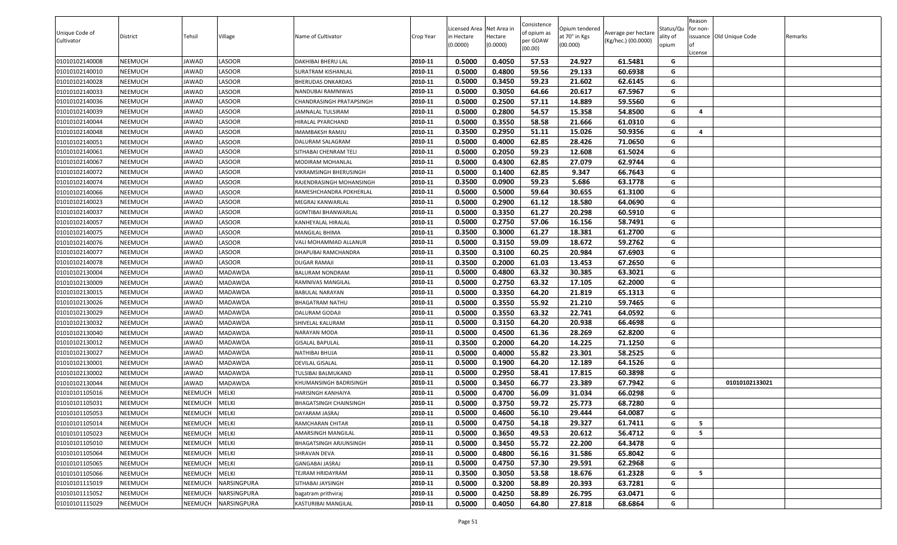| Unique Code of<br>Cultivator     | <b>District</b> | Tehsil         | Village                            | Name of Cultivator         | Crop Year | Licensed Area Net Area in<br>in Hectare<br>(0.0000) | lectare<br>(0.0000) | Consistence<br>of opium as<br>oer GOAW<br>(00.00) | Opium tendered<br>at 70° in Kgs<br>(00.000) | Average per hectare<br>(Kg/hec.) (00.0000) | Status/Qu<br>ality of<br>opium | Reason<br>for non-<br>issuance Old Unique Code | Remarks |
|----------------------------------|-----------------|----------------|------------------------------------|----------------------------|-----------|-----------------------------------------------------|---------------------|---------------------------------------------------|---------------------------------------------|--------------------------------------------|--------------------------------|------------------------------------------------|---------|
| 01010102140008                   | NEEMUCH         | JAWAD          | LASOOR                             | DAKHIBAI BHERU LAL         | 2010-11   | 0.5000                                              | 0.4050              | 57.53                                             | 24.927                                      | 61.5481                                    | G                              | .icense                                        |         |
| 01010102140010                   | NEEMUCH         | JAWAD          | LASOOR                             | SURATRAM KISHANLAL         | 2010-11   | 0.5000                                              | 0.4800              | 59.56                                             | 29.133                                      | 60.6938                                    | G                              |                                                |         |
| 01010102140028                   | NEEMUCH         | JAWAD          | LASOOR                             | <b>BHERUDAS ONKARDAS</b>   | 2010-11   | 0.5000                                              | 0.3450              | 59.23                                             | 21.602                                      | 62.6145                                    | G                              |                                                |         |
| 01010102140033                   | NEEMUCH         | JAWAD          | LASOOR                             | NANDUBAI RAMNIWAS          | 2010-11   | 0.5000                                              | 0.3050              | 64.66                                             | 20.617                                      | 67.5967                                    | G                              |                                                |         |
| 01010102140036                   | NEEMUCH         | JAWAD          | LASOOR                             | CHANDRASINGH PRATAPSINGH   | 2010-11   | 0.5000                                              | 0.2500              | 57.11                                             | 14.889                                      | 59.5560                                    | G                              |                                                |         |
| 01010102140039                   | NEEMUCH         | JAWAD          | <b>LASOOR</b>                      | <b>JAMNALAL TULSIRAM</b>   | 2010-11   | 0.5000                                              | 0.2800              | 54.57                                             | 15.358                                      | 54.8500                                    | G                              | $\overline{a}$                                 |         |
| 01010102140044                   | NEEMUCH         | JAWAD          | LASOOR                             | HIRALAL PYARCHAND          | 2010-11   | 0.5000                                              | 0.3550              | 58.58                                             | 21.666                                      | 61.0310                                    | G                              |                                                |         |
| 01010102140048                   | NEEMUCH         | JAWAD          | LASOOR                             | IMAMBAKSH RAMJU            | 2010-11   | 0.3500                                              | 0.2950              | 51.11                                             | 15.026                                      | 50.9356                                    | G                              | $\overline{a}$                                 |         |
| 01010102140051                   | NEEMUCH         | JAWAD          | LASOOR                             | DALURAM SALAGRAM           | 2010-11   | 0.5000                                              | 0.4000              | 62.85                                             | 28.426                                      | 71.0650                                    | G                              |                                                |         |
| 01010102140061                   | NEEMUCH         | JAWAD          | LASOOR                             | SITHABAI CHENRAM TELI      | 2010-11   | 0.5000                                              | 0.2050              | 59.23                                             | 12.608                                      | 61.5024                                    | G                              |                                                |         |
| 01010102140067                   | NEEMUCH         | JAWAD          | LASOOR                             | MODIRAM MOHANLAL           | 2010-11   | 0.5000                                              | 0.4300              | 62.85                                             | 27.079                                      | 62.9744                                    | G                              |                                                |         |
| 01010102140072                   | NEEMUCH         | JAWAD          | LASOOR                             | VIKRAMSINGH BHERUSINGH     | 2010-11   | 0.5000                                              | 0.1400              | 62.85                                             | 9.347                                       | 66.7643                                    | G                              |                                                |         |
| 01010102140074                   | NEEMUCH         | JAWAD          | LASOOR                             | RAJENDRASINGH MOHANSINGH   | 2010-11   | 0.3500                                              | 0.0900              | 59.23                                             | 5.686                                       | 63.1778                                    | G                              |                                                |         |
| 01010102140066                   | NEEMUCH         | JAWAD          | LASOOR                             | RAMESHCHANDRA POKHERLAL    | 2010-11   | 0.5000                                              | 0.5000              | 59.64                                             | 30.655                                      | 61.3100                                    | G                              |                                                |         |
| 01010102140023                   | NEEMUCH         | JAWAD          | LASOOR                             | MEGRAJ KANWARLAL           | 2010-11   | 0.5000                                              | 0.2900              | 61.12                                             | 18.580                                      | 64.0690                                    | G                              |                                                |         |
| 01010102140037                   | NEEMUCH         | JAWAD          | LASOOR                             | <b>GOMTIBAI BHANWARLAL</b> | 2010-11   | 0.5000                                              | 0.3350              | 61.27                                             | 20.298                                      | 60.5910                                    | G                              |                                                |         |
| 01010102140057                   | NEEMUCH         | JAWAD          | LASOOR                             | KANHEYALAL HIRALAL         | 2010-11   | 0.5000                                              | 0.2750              | 57.06                                             | 16.156                                      | 58.7491                                    | G                              |                                                |         |
| 01010102140075                   | NEEMUCH         | JAWAD          | LASOOR                             | MANGILAL BHIMA             | 2010-11   | 0.3500                                              | 0.3000              | 61.27                                             | 18.381                                      | 61.2700                                    | G                              |                                                |         |
| 01010102140076                   | NEEMUCH         | JAWAD          | LASOOR                             | VALI MOHAMMAD ALLANUR      | 2010-11   | 0.5000                                              | 0.3150              | 59.09                                             | 18.672                                      | 59.2762                                    | G                              |                                                |         |
| 01010102140077                   | NEEMUCH         | JAWAD          | LASOOR                             | DHAPUBAI RAMCHANDRA        | 2010-11   | 0.3500                                              | 0.3100              | 60.25                                             | 20.984                                      | 67.6903                                    | G                              |                                                |         |
| 01010102140078                   | NEEMUCH         | JAWAD          | LASOOR                             | DUGAR RAMAJI               | 2010-11   | 0.3500                                              | 0.2000              | 61.03                                             | 13.453                                      | 67.2650                                    | G                              |                                                |         |
| 01010102130004                   | NEEMUCH         | JAWAD          | MADAWDA                            | BALURAM NONDRAM            | 2010-11   | 0.5000                                              | 0.4800              | 63.32                                             | 30.385                                      | 63.3021                                    | G                              |                                                |         |
| 01010102130009                   | NEEMUCH         | JAWAD          | MADAWDA                            | RAMNIVAS MANGILAL          | 2010-11   | 0.5000                                              | 0.2750              | 63.32                                             | 17.105                                      | 62.2000                                    | G                              |                                                |         |
| 01010102130015                   | NEEMUCH         | JAWAD          | MADAWDA                            | BABULAL NARAYAN            | 2010-11   | 0.5000                                              | 0.3350              | 64.20                                             | 21.819                                      | 65.1313                                    | G                              |                                                |         |
| 01010102130026                   | NEEMUCH         | JAWAD          | MADAWDA                            | BHAGATRAM NATHU            | 2010-11   | 0.5000                                              | 0.3550              | 55.92                                             | 21.210                                      | 59.7465                                    | G                              |                                                |         |
| 01010102130029                   | NEEMUCH         | JAWAD          | MADAWDA                            | DALURAM GODAJI             | 2010-11   | 0.5000                                              | 0.3550              | 63.32                                             | 22.741                                      | 64.0592                                    | G                              |                                                |         |
| 01010102130032                   | NEEMUCH         | JAWAD          | MADAWDA                            | SHIVELAL KALURAM           | 2010-11   | 0.5000                                              | 0.3150              | 64.20                                             | 20.938                                      | 66.4698                                    | G                              |                                                |         |
| 01010102130040                   | NEEMUCH         | JAWAD          | MADAWDA                            | NARAYAN MODA               | 2010-11   | 0.5000                                              | 0.4500              | 61.36                                             | 28.269                                      | 62.8200                                    | G                              |                                                |         |
| 01010102130012                   | NEEMUCH         | JAWAD          | MADAWDA                            | GISALAL BAPULAL            | 2010-11   | 0.3500                                              | 0.2000              | 64.20                                             | 14.225                                      | 71.1250                                    | G                              |                                                |         |
| 01010102130027                   | NEEMUCH         | JAWAD          | MADAWDA                            | NATHIBAI BHUJA             | 2010-11   | 0.5000                                              | 0.4000              | 55.82                                             | 23.301                                      | 58.2525                                    | G                              |                                                |         |
| 01010102130001                   | NEEMUCH         | JAWAD          | MADAWDA                            | DEVILAL GISALAL            | 2010-11   | 0.5000                                              | 0.1900              | 64.20                                             | 12.189                                      | 64.1526                                    | G                              |                                                |         |
| 01010102130002                   | NEEMUCH         | JAWAD          | MADAWDA                            | TULSIBAI BALMUKAND         | 2010-11   | 0.5000                                              | 0.2950              | 58.41                                             | 17.815                                      | 60.3898                                    | G                              |                                                |         |
| 01010102130044                   | NEEMUCH         | JAWAD          | MADAWDA                            | KHUMANSINGH BADRISINGH     | 2010-11   | 0.5000                                              | 0.3450              | 66.77                                             | 23.389                                      | 67.7942                                    | G                              | 01010102133021                                 |         |
| 01010101105016                   | NEEMUCH         | <b>NEEMUCH</b> | <b>MELKI</b>                       | HARISINGH KANHAIYA         | 2010-11   | 0.5000                                              | 0.4700              | 56.09                                             | 31.034                                      | 66.0298                                    | G                              |                                                |         |
| 01010101105031                   | NEEMUCH         | NEEMUCH        | <b>MELKI</b>                       | BHAGATSINGH CHAINSINGH     | 2010-11   | 0.5000                                              | 0.3750              | 59.72                                             | 25.773                                      | 68.7280                                    | G                              |                                                |         |
| 01010101105053                   | NEEMUCH         | <b>NEEMUCH</b> | MELKI                              | DAYARAM JASRAJ             | 2010-11   | 0.5000                                              | 0.4600              | 56.10                                             | 29.444                                      | 64.0087                                    | G                              |                                                |         |
| 01010101105014                   | NEEMUCH         | <b>NEEMUCH</b> | <b>MELKI</b>                       | RAMCHARAN CHITAR           | 2010-11   | 0.5000                                              | 0.4750              | 54.18                                             | 29.327                                      | 61.7411                                    | G                              | - 5                                            |         |
| 01010101105023                   | NEEMUCH         | NEEMUCH        | MELKI                              | AMARSINGH MANGILAL         | 2010-11   | 0.5000                                              | 0.3650              | 49.53                                             | 20.612                                      | 56.4712                                    | G                              | - 5                                            |         |
| 01010101105010                   | NEEMUCH         | <b>NEEMUCH</b> | <b>MELKI</b>                       | BHAGATSINGH ARJUNSINGH     | 2010-11   | 0.5000                                              | 0.3450              | 55.72                                             | 22.200                                      | 64.3478                                    | G                              |                                                |         |
| 01010101105064                   | NEEMUCH         | <b>NEEMUCH</b> | <b>MELKI</b>                       | SHRAVAN DEVA               | 2010-11   | 0.5000                                              | 0.4800              | 56.16                                             | 31.586                                      | 65.8042                                    | G                              |                                                |         |
| 01010101105065                   | NEEMUCH         | <b>NEEMUCH</b> | <b>MELKI</b>                       | GANGABAI JASRAJ            | 2010-11   | 0.5000                                              | 0.4750              | 57.30                                             | 29.591                                      | 62.2968                                    | G                              |                                                |         |
| 01010101105066                   | NEEMUCH         | <b>NEEMUCH</b> | <b>MELKI</b><br><b>NARSINGPURA</b> | TEJRAM HRIDAYRAM           | 2010-11   | 0.3500                                              | 0.3050              | 53.58                                             | 18.676                                      | 61.2328                                    | G                              | - 5                                            |         |
| 01010101115019<br>01010101115052 | NEEMUCH         | <b>NEEMUCH</b> | NARSINGPURA                        | SITHABAI JAYSINGH          | 2010-11   | 0.5000<br>0.5000                                    | 0.3200<br>0.4250    | 58.89                                             | 20.393<br>26.795                            | 63.7281<br>63.0471                         | G<br>G                         |                                                |         |
|                                  | NEEMUCH         | NEEMUCH        |                                    | bagatram prithviraj        | 2010-11   |                                                     |                     | 58.89                                             |                                             |                                            |                                |                                                |         |
| 01010101115029                   | NEEMUCH         | <b>NEEMUCH</b> | NARSINGPURA                        | KASTURIBAI MANGILAL        | 2010-11   | 0.5000                                              | 0.4050              | 64.80                                             | 27.818                                      | 68.6864                                    | G                              |                                                |         |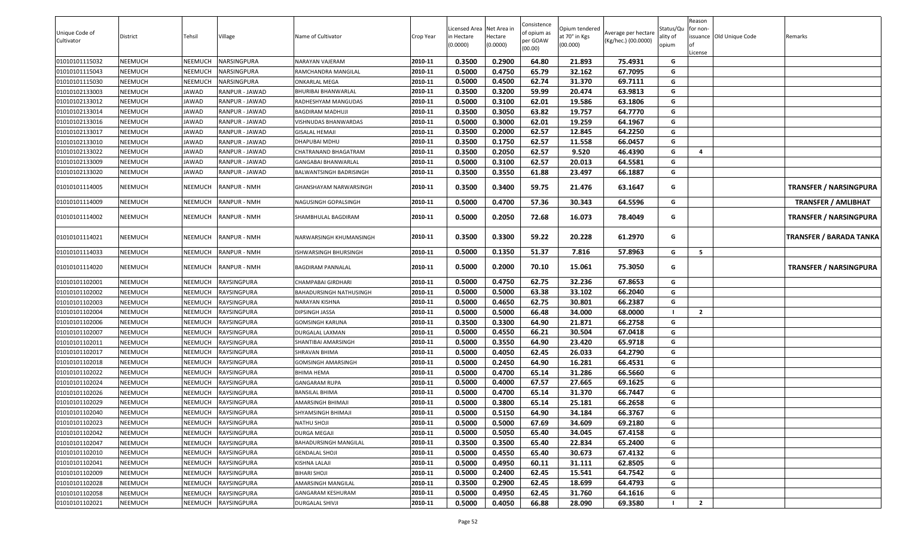| 0.5000<br>0.4750<br>32.162<br>67.7095<br>01010101115043<br>NEEMUCH<br>2010-11<br>65.79<br>G<br>NEEMUCH<br>NARSINGPURA<br>RAMCHANDRA MANGILAL<br>0.5000<br>01010101115030<br>ONKARLAL MEGA<br>2010-11<br>0.4500<br>62.74<br>31.370<br>69.7111<br>G<br>NEEMUCH<br>NEEMUCH<br>NARSINGPURA<br>G<br>2010-11<br>0.3500<br>0.3200<br>59.99<br>63.9813<br>01010102133003<br>NEEMUCH<br>JAWAD<br>RANPUR - JAWAD<br>BHURIBAI BHANWARLAL<br>20.474<br>0.5000<br>62.01<br>2010-11<br>0.3100<br>19.586<br>63.1806<br>G<br>01010102133012<br>NEEMUCH<br>RADHESHYAM MANGUDAS<br>JAWAD<br>RANPUR - JAWAD<br>0.3500<br>63.82<br>2010-11<br>0.3050<br>19.757<br>64.7770<br>G<br>01010102133014<br>NEEMUCH<br>JAWAD<br>RANPUR - JAWAD<br>BAGDIRAM MADHUJI<br>0.5000<br>19.259<br>01010102133016<br>NEEMUCH<br>2010-11<br>0.3000<br>62.01<br>64.1967<br>JAWAD<br>RANPUR - JAWAD<br>G<br>VISHNUDAS BHANWARDAS<br>0.3500<br>0.2000<br>62.57<br>12.845<br>64.2250<br>01010102133017<br>NEEMUCH<br>JAWAD<br>RANPUR - JAWAD<br>2010-11<br>G<br><b>GISALAL HEMAJI</b><br>2010-11<br>0.3500<br>0.1750<br>62.57<br>11.558<br>66.0457<br>01010102133010<br>NEEMUCH<br>G<br>JAWAD<br>RANPUR - JAWAD<br>DHAPUBAI MDHU<br>0.3500<br>62.57<br>9.520<br>01010102133022<br>2010-11<br>0.2050<br>46.4390<br>NEEMUCH<br>JAWAD<br>RANPUR - JAWAD<br>CHATRANAND BHAGATRAM<br>G<br>4<br>0.5000<br>64.5581<br>01010102133009<br>2010-11<br>0.3100<br>62.57<br>20.013<br>NEEMUCH<br>JAWAD<br>RANPUR - JAWAD<br>G<br>GANGABAI BHANWARLAL<br>0.3500<br>0.3550<br>61.88<br>66.1887<br>01010102133020<br>NEEMUCH<br>JAWAD<br>RANPUR - JAWAD<br>2010-11<br>23.497<br>G<br>BALWANTSINGH BADRISINGH<br>0.3500<br>0.3400<br>59.75<br>21.476<br>NEEMUCH<br>2010-11<br>63.1647<br><b>TRANSFER / NARSINGPURA</b><br>01010101114005<br>NEEMUCH<br><b>RANPUR - NMH</b><br>G<br>GHANSHAYAM NARWARSINGH<br>NEEMUCH<br>2010-11<br>0.5000<br>0.4700<br>57.36<br>30.343<br>64.5596<br>G<br>01010101114009<br><b>NEEMUCH</b><br><b>RANPUR - NMH</b><br>NAGUSINGH GOPALSINGH<br><b>TRANSFER / AMLIBHAT</b><br>0.5000<br>0.2050<br>72.68<br>16.073<br>NEEMUCH<br>2010-11<br>78.4049<br>01010101114002<br>NEEMUCH<br><b>RANPUR - NMH</b><br>SHAMBHULAL BAGDIRAM<br>G<br>TRANSFER / NARSINGPURA<br>NEEMUCH<br>0.3500<br>0.3300<br>59.22<br>20.228<br>61.2970<br><b>RANPUR - NMH</b><br>2010-11<br>01010101114021<br>NEEMUCH<br>NARWARSINGH KHUMANSINGH<br>G<br><b>TRANSFER / BARADA TANKA</b><br>0.1350<br>51.37<br>0.5000<br>7.816<br>57.8963<br>G<br>5<br>01010101114033<br>NEEMUCH<br><b>NEEMUCH</b><br><b>RANPUR - NMH</b><br>2010-11<br><b>ISHWARSINGH BHURSINGH</b><br>0.5000<br>NEEMUCH<br>2010-11<br>0.2000<br>70.10<br>15.061<br>75.3050<br><b>TRANSFER / NARSINGPURA</b><br>01010101114020<br>NEEMUCH<br><b>RANPUR - NMH</b><br>G<br>BAGDIRAM PANNALAL<br>0.5000<br>0.4750<br>67.8653<br>NEEMUCH<br>RAYSINGPURA<br>2010-11<br>62.75<br>32.236<br>01010101102001<br><b>NEEMUCH</b><br>G<br>CHAMPABAI GIRDHARI<br>0.5000<br>0.5000<br>63.38<br>33.102<br>G<br>01010101102002<br>NEEMUCH<br><b>NEEMUCH</b><br>RAYSINGPURA<br>2010-11<br>66.2040<br>BAHADURSINGH NATHUSINGH<br>2010-11<br>0.5000<br>0.4650<br>62.75<br>30.801<br>66.2387<br>01010101102003<br>NEEMUCH<br>RAYSINGPURA<br>G<br>NEEMUCH<br>NARAYAN KISHNA<br>0.5000<br>01010101102004<br>2010-11<br>0.5000<br>66.48<br>34.000<br>68.0000<br>NEEMUCH<br><b>NEEMUCH</b><br>RAYSINGPURA<br>DIPSINGH JASSA<br>$\overline{2}$<br>0.3500<br>66.2758<br>01010101102006<br>2010-11<br>0.3300<br>64.90<br>21.871<br>NEEMUCH<br>NEEMUCH<br>RAYSINGPURA<br><b>GOMSINGH KARUNA</b><br>G<br>0.5000<br>0.4550<br>66.21<br>30.504<br>67.0418<br>01010101102007<br>NEEMUCH<br><b>NEEMUCH</b><br>RAYSINGPURA<br>2010-11<br>G<br>DURGALAL LAXMAN<br>0.5000<br>64.90<br>0.3550<br>23.420<br>65.9718<br>2010-11<br>G<br>01010101102011<br>NEEMUCH<br>NEEMUCH<br>RAYSINGPURA<br>SHANTIBAI AMARSINGH<br>0.5000<br>G<br>2010-11<br>0.4050<br>62.45<br>26.033<br>64.2790<br>01010101102017<br>NEEMUCH<br><b>NEEMUCH</b><br>RAYSINGPURA<br>SHRAVAN BHIMA<br>2010-11<br>0.5000<br>0.2450<br>64.90<br>16.281<br>66.4531<br>G<br>NEEMUCH<br>NEEMUCH<br>RAYSINGPURA<br>GOMSINGH AMARSINGH<br>01010101102018<br>G<br>01010101102022<br>NEEMUCH<br><b>NEEMUCH</b><br><b>BHIMA HEMA</b><br>2010-11<br>0.5000<br>0.4700<br>65.14<br>31.286<br>66.5660<br>RAYSINGPURA<br>67.57<br>2010-11<br>0.5000<br>0.4000<br>27.665<br>69.1625<br>G<br>01010101102024<br>NEEMUCH<br><b>NEEMUCH</b><br>RAYSINGPURA<br><b>GANGARAM RUPA</b><br>01010101102026<br>2010-11<br>0.5000<br>0.4700<br>65.14<br>31.370<br>66.7447<br>NEEMUCH<br><b>NEEMUCH</b><br>RAYSINGPURA<br>BANSILAL BHIMA<br>G<br>0.5000<br>65.14<br>25.181<br>66.2658<br>01010101102029<br>NEEMUCH<br>2010-11<br>0.3800<br>G<br>NEEMUCH<br>RAYSINGPURA<br>AMARSINGH BHIMAJI<br>01010101102040<br>NEEMUCH<br><b>NEEMUCH</b><br>RAYSINGPURA<br>2010-11<br>0.5000<br>0.5150<br>64.90<br>34.184<br>66.3767<br>G<br>SHYAMSINGH BHIMAJI<br>0.5000<br>2010-11<br>0.5000<br>67.69<br>34.609<br>G<br>01010101102023<br>NEEMUCH<br>RAYSINGPURA<br>69.2180<br><b>NEEMUCH</b><br>NATHU SHOJI<br>2010-11<br>0.5000<br>0.5050<br>65.40<br>34.045<br>67.4158<br>01010101102042<br>NEEMUCH<br><b>NEEMUCH</b><br>RAYSINGPURA<br>G<br>DURGA MEGAJI<br>0.3500<br>65.40<br>22.834<br>01010101102047<br>NEEMUCH<br>RAYSINGPURA<br>2010-11<br>0.3500<br>65.2400<br>G<br><b>NEEMUCH</b><br>BAHADURSINGH MANGILAL<br>NEEMUCH<br><b>NEEMUCH</b><br>2010-11<br>0.5000<br>0.4550<br>65.40<br>30.673<br>67.4132<br>01010101102010<br>RAYSINGPURA<br><b>GENDALAL SHOJI</b><br>G<br>0.5000<br>0.4950<br>2010-11<br>60.11<br>31.111<br>62.8505<br>G<br>01010101102041<br>NEEMUCH<br><b>NEEMUCH</b><br>RAYSINGPURA<br>KISHNA LALAJI<br>2010-11<br>BIHARI SHOJI<br>0.5000<br>0.2400<br>15.541<br>64.7542<br>G<br>01010101102009<br>NEEMUCH<br><b>NEEMUCH</b><br>RAYSINGPURA<br>62.45<br>2010-11<br>0.3500<br>G<br>0.2900<br>62.45<br>18.699<br>64.4793<br>01010101102028<br>NEEMUCH<br><b>NEEMUCH</b><br>RAYSINGPURA<br>AMARSINGH MANGILAL<br>01010101102058<br>2010-11<br>0.5000<br>0.4950<br>31.760<br>64.1616<br>G<br>NEEMUCH<br><b>NEEMUCH</b><br>RAYSINGPURA<br>GANGARAM KESHURAM<br>62.45<br>0.5000<br>$\overline{2}$<br>01010101102021<br>NEEMUCH<br><b>NEEMUCH</b><br><b>RAYSINGPURA</b><br>2010-11<br>0.4050<br>66.88<br>28.090<br>69.3580<br>DURGALAL SHIVJI | Unique Code of<br>Cultivator | District | Tehsil         | Village     | Name of Cultivator | Crop Year | Licensed Area<br>in Hectare<br>(0.0000) | Net Area in<br>lectare<br>(0.0000) | Consistence<br>of opium as<br>per GOAW<br>(00.00) | Opium tendered<br>at 70° in Kgs<br>(00.000) | Average per hectare<br>(Kg/hec.) (00.0000) | Status/Qu<br>ality of<br>opium | Reason<br>for non-<br>.icense | issuance Old Unique Code | Remarks |
|---------------------------------------------------------------------------------------------------------------------------------------------------------------------------------------------------------------------------------------------------------------------------------------------------------------------------------------------------------------------------------------------------------------------------------------------------------------------------------------------------------------------------------------------------------------------------------------------------------------------------------------------------------------------------------------------------------------------------------------------------------------------------------------------------------------------------------------------------------------------------------------------------------------------------------------------------------------------------------------------------------------------------------------------------------------------------------------------------------------------------------------------------------------------------------------------------------------------------------------------------------------------------------------------------------------------------------------------------------------------------------------------------------------------------------------------------------------------------------------------------------------------------------------------------------------------------------------------------------------------------------------------------------------------------------------------------------------------------------------------------------------------------------------------------------------------------------------------------------------------------------------------------------------------------------------------------------------------------------------------------------------------------------------------------------------------------------------------------------------------------------------------------------------------------------------------------------------------------------------------------------------------------------------------------------------------------------------------------------------------------------------------------------------------------------------------------------------------------------------------------------------------------------------------------------------------------------------------------------------------------------------------------------------------------------------------------------------------------------------------------------------------------------------------------------------------------------------------------------------------------------------------------------------------------------------------------------------------------------------------------------------------------------------------------------------------------------------------------------------------------------------------------------------------------------------------------------------------------------------------------------------------------------------------------------------------------------------------------------------------------------------------------------------------------------------------------------------------------------------------------------------------------------------------------------------------------------------------------------------------------------------------------------------------------------------------------------------------------------------------------------------------------------------------------------------------------------------------------------------------------------------------------------------------------------------------------------------------------------------------------------------------------------------------------------------------------------------------------------------------------------------------------------------------------------------------------------------------------------------------------------------------------------------------------------------------------------------------------------------------------------------------------------------------------------------------------------------------------------------------------------------------------------------------------------------------------------------------------------------------------------------------------------------------------------------------------------------------------------------------------------------------------------------------------------------------------------------------------------------------------------------------------------------------------------------------------------------------------------------------------------------------------------------------------------------------------------------------------------------------------------------------------------------------------------------------------------------------------------------------------------------------------------------------------------------------------------------------------------------------------------------------------------------------------------------------------------------------------------------------------------------------------------------------------------------------------------------------------------------------------------------------------------------------------------------------------------------------------------------------------------------------------------------------------------------------------------------------------------------------------------------------------------------------------------------------------------------------------------------------------------------------------------------------------------------------------------------------------------------------------------------------------------------------------------------------------------------------------------------------------------------------------------------------------------------------------------------------------------|------------------------------|----------|----------------|-------------|--------------------|-----------|-----------------------------------------|------------------------------------|---------------------------------------------------|---------------------------------------------|--------------------------------------------|--------------------------------|-------------------------------|--------------------------|---------|
|                                                                                                                                                                                                                                                                                                                                                                                                                                                                                                                                                                                                                                                                                                                                                                                                                                                                                                                                                                                                                                                                                                                                                                                                                                                                                                                                                                                                                                                                                                                                                                                                                                                                                                                                                                                                                                                                                                                                                                                                                                                                                                                                                                                                                                                                                                                                                                                                                                                                                                                                                                                                                                                                                                                                                                                                                                                                                                                                                                                                                                                                                                                                                                                                                                                                                                                                                                                                                                                                                                                                                                                                                                                                                                                                                                                                                                                                                                                                                                                                                                                                                                                                                                                                                                                                                                                                                                                                                                                                                                                                                                                                                                                                                                                                                                                                                                                                                                                                                                                                                                                                                                                                                                                                                                                                                                                                                                                                                                                                                                                                                                                                                                                                                                                                                                                                                                                                                                                                                                                                                                                                                                                                                                                                                                                                                                                                                         | 01010101115032               | NEEMUCH  | <b>NEEMUCH</b> | NARSINGPURA | NARAYAN VAJERAM    | 2010-11   | 0.3500                                  | 0.2900                             | 64.80                                             | 21.893                                      | 75.4931                                    | G                              |                               |                          |         |
|                                                                                                                                                                                                                                                                                                                                                                                                                                                                                                                                                                                                                                                                                                                                                                                                                                                                                                                                                                                                                                                                                                                                                                                                                                                                                                                                                                                                                                                                                                                                                                                                                                                                                                                                                                                                                                                                                                                                                                                                                                                                                                                                                                                                                                                                                                                                                                                                                                                                                                                                                                                                                                                                                                                                                                                                                                                                                                                                                                                                                                                                                                                                                                                                                                                                                                                                                                                                                                                                                                                                                                                                                                                                                                                                                                                                                                                                                                                                                                                                                                                                                                                                                                                                                                                                                                                                                                                                                                                                                                                                                                                                                                                                                                                                                                                                                                                                                                                                                                                                                                                                                                                                                                                                                                                                                                                                                                                                                                                                                                                                                                                                                                                                                                                                                                                                                                                                                                                                                                                                                                                                                                                                                                                                                                                                                                                                                         |                              |          |                |             |                    |           |                                         |                                    |                                                   |                                             |                                            |                                |                               |                          |         |
|                                                                                                                                                                                                                                                                                                                                                                                                                                                                                                                                                                                                                                                                                                                                                                                                                                                                                                                                                                                                                                                                                                                                                                                                                                                                                                                                                                                                                                                                                                                                                                                                                                                                                                                                                                                                                                                                                                                                                                                                                                                                                                                                                                                                                                                                                                                                                                                                                                                                                                                                                                                                                                                                                                                                                                                                                                                                                                                                                                                                                                                                                                                                                                                                                                                                                                                                                                                                                                                                                                                                                                                                                                                                                                                                                                                                                                                                                                                                                                                                                                                                                                                                                                                                                                                                                                                                                                                                                                                                                                                                                                                                                                                                                                                                                                                                                                                                                                                                                                                                                                                                                                                                                                                                                                                                                                                                                                                                                                                                                                                                                                                                                                                                                                                                                                                                                                                                                                                                                                                                                                                                                                                                                                                                                                                                                                                                                         |                              |          |                |             |                    |           |                                         |                                    |                                                   |                                             |                                            |                                |                               |                          |         |
|                                                                                                                                                                                                                                                                                                                                                                                                                                                                                                                                                                                                                                                                                                                                                                                                                                                                                                                                                                                                                                                                                                                                                                                                                                                                                                                                                                                                                                                                                                                                                                                                                                                                                                                                                                                                                                                                                                                                                                                                                                                                                                                                                                                                                                                                                                                                                                                                                                                                                                                                                                                                                                                                                                                                                                                                                                                                                                                                                                                                                                                                                                                                                                                                                                                                                                                                                                                                                                                                                                                                                                                                                                                                                                                                                                                                                                                                                                                                                                                                                                                                                                                                                                                                                                                                                                                                                                                                                                                                                                                                                                                                                                                                                                                                                                                                                                                                                                                                                                                                                                                                                                                                                                                                                                                                                                                                                                                                                                                                                                                                                                                                                                                                                                                                                                                                                                                                                                                                                                                                                                                                                                                                                                                                                                                                                                                                                         |                              |          |                |             |                    |           |                                         |                                    |                                                   |                                             |                                            |                                |                               |                          |         |
|                                                                                                                                                                                                                                                                                                                                                                                                                                                                                                                                                                                                                                                                                                                                                                                                                                                                                                                                                                                                                                                                                                                                                                                                                                                                                                                                                                                                                                                                                                                                                                                                                                                                                                                                                                                                                                                                                                                                                                                                                                                                                                                                                                                                                                                                                                                                                                                                                                                                                                                                                                                                                                                                                                                                                                                                                                                                                                                                                                                                                                                                                                                                                                                                                                                                                                                                                                                                                                                                                                                                                                                                                                                                                                                                                                                                                                                                                                                                                                                                                                                                                                                                                                                                                                                                                                                                                                                                                                                                                                                                                                                                                                                                                                                                                                                                                                                                                                                                                                                                                                                                                                                                                                                                                                                                                                                                                                                                                                                                                                                                                                                                                                                                                                                                                                                                                                                                                                                                                                                                                                                                                                                                                                                                                                                                                                                                                         |                              |          |                |             |                    |           |                                         |                                    |                                                   |                                             |                                            |                                |                               |                          |         |
|                                                                                                                                                                                                                                                                                                                                                                                                                                                                                                                                                                                                                                                                                                                                                                                                                                                                                                                                                                                                                                                                                                                                                                                                                                                                                                                                                                                                                                                                                                                                                                                                                                                                                                                                                                                                                                                                                                                                                                                                                                                                                                                                                                                                                                                                                                                                                                                                                                                                                                                                                                                                                                                                                                                                                                                                                                                                                                                                                                                                                                                                                                                                                                                                                                                                                                                                                                                                                                                                                                                                                                                                                                                                                                                                                                                                                                                                                                                                                                                                                                                                                                                                                                                                                                                                                                                                                                                                                                                                                                                                                                                                                                                                                                                                                                                                                                                                                                                                                                                                                                                                                                                                                                                                                                                                                                                                                                                                                                                                                                                                                                                                                                                                                                                                                                                                                                                                                                                                                                                                                                                                                                                                                                                                                                                                                                                                                         |                              |          |                |             |                    |           |                                         |                                    |                                                   |                                             |                                            |                                |                               |                          |         |
|                                                                                                                                                                                                                                                                                                                                                                                                                                                                                                                                                                                                                                                                                                                                                                                                                                                                                                                                                                                                                                                                                                                                                                                                                                                                                                                                                                                                                                                                                                                                                                                                                                                                                                                                                                                                                                                                                                                                                                                                                                                                                                                                                                                                                                                                                                                                                                                                                                                                                                                                                                                                                                                                                                                                                                                                                                                                                                                                                                                                                                                                                                                                                                                                                                                                                                                                                                                                                                                                                                                                                                                                                                                                                                                                                                                                                                                                                                                                                                                                                                                                                                                                                                                                                                                                                                                                                                                                                                                                                                                                                                                                                                                                                                                                                                                                                                                                                                                                                                                                                                                                                                                                                                                                                                                                                                                                                                                                                                                                                                                                                                                                                                                                                                                                                                                                                                                                                                                                                                                                                                                                                                                                                                                                                                                                                                                                                         |                              |          |                |             |                    |           |                                         |                                    |                                                   |                                             |                                            |                                |                               |                          |         |
|                                                                                                                                                                                                                                                                                                                                                                                                                                                                                                                                                                                                                                                                                                                                                                                                                                                                                                                                                                                                                                                                                                                                                                                                                                                                                                                                                                                                                                                                                                                                                                                                                                                                                                                                                                                                                                                                                                                                                                                                                                                                                                                                                                                                                                                                                                                                                                                                                                                                                                                                                                                                                                                                                                                                                                                                                                                                                                                                                                                                                                                                                                                                                                                                                                                                                                                                                                                                                                                                                                                                                                                                                                                                                                                                                                                                                                                                                                                                                                                                                                                                                                                                                                                                                                                                                                                                                                                                                                                                                                                                                                                                                                                                                                                                                                                                                                                                                                                                                                                                                                                                                                                                                                                                                                                                                                                                                                                                                                                                                                                                                                                                                                                                                                                                                                                                                                                                                                                                                                                                                                                                                                                                                                                                                                                                                                                                                         |                              |          |                |             |                    |           |                                         |                                    |                                                   |                                             |                                            |                                |                               |                          |         |
|                                                                                                                                                                                                                                                                                                                                                                                                                                                                                                                                                                                                                                                                                                                                                                                                                                                                                                                                                                                                                                                                                                                                                                                                                                                                                                                                                                                                                                                                                                                                                                                                                                                                                                                                                                                                                                                                                                                                                                                                                                                                                                                                                                                                                                                                                                                                                                                                                                                                                                                                                                                                                                                                                                                                                                                                                                                                                                                                                                                                                                                                                                                                                                                                                                                                                                                                                                                                                                                                                                                                                                                                                                                                                                                                                                                                                                                                                                                                                                                                                                                                                                                                                                                                                                                                                                                                                                                                                                                                                                                                                                                                                                                                                                                                                                                                                                                                                                                                                                                                                                                                                                                                                                                                                                                                                                                                                                                                                                                                                                                                                                                                                                                                                                                                                                                                                                                                                                                                                                                                                                                                                                                                                                                                                                                                                                                                                         |                              |          |                |             |                    |           |                                         |                                    |                                                   |                                             |                                            |                                |                               |                          |         |
|                                                                                                                                                                                                                                                                                                                                                                                                                                                                                                                                                                                                                                                                                                                                                                                                                                                                                                                                                                                                                                                                                                                                                                                                                                                                                                                                                                                                                                                                                                                                                                                                                                                                                                                                                                                                                                                                                                                                                                                                                                                                                                                                                                                                                                                                                                                                                                                                                                                                                                                                                                                                                                                                                                                                                                                                                                                                                                                                                                                                                                                                                                                                                                                                                                                                                                                                                                                                                                                                                                                                                                                                                                                                                                                                                                                                                                                                                                                                                                                                                                                                                                                                                                                                                                                                                                                                                                                                                                                                                                                                                                                                                                                                                                                                                                                                                                                                                                                                                                                                                                                                                                                                                                                                                                                                                                                                                                                                                                                                                                                                                                                                                                                                                                                                                                                                                                                                                                                                                                                                                                                                                                                                                                                                                                                                                                                                                         |                              |          |                |             |                    |           |                                         |                                    |                                                   |                                             |                                            |                                |                               |                          |         |
|                                                                                                                                                                                                                                                                                                                                                                                                                                                                                                                                                                                                                                                                                                                                                                                                                                                                                                                                                                                                                                                                                                                                                                                                                                                                                                                                                                                                                                                                                                                                                                                                                                                                                                                                                                                                                                                                                                                                                                                                                                                                                                                                                                                                                                                                                                                                                                                                                                                                                                                                                                                                                                                                                                                                                                                                                                                                                                                                                                                                                                                                                                                                                                                                                                                                                                                                                                                                                                                                                                                                                                                                                                                                                                                                                                                                                                                                                                                                                                                                                                                                                                                                                                                                                                                                                                                                                                                                                                                                                                                                                                                                                                                                                                                                                                                                                                                                                                                                                                                                                                                                                                                                                                                                                                                                                                                                                                                                                                                                                                                                                                                                                                                                                                                                                                                                                                                                                                                                                                                                                                                                                                                                                                                                                                                                                                                                                         |                              |          |                |             |                    |           |                                         |                                    |                                                   |                                             |                                            |                                |                               |                          |         |
|                                                                                                                                                                                                                                                                                                                                                                                                                                                                                                                                                                                                                                                                                                                                                                                                                                                                                                                                                                                                                                                                                                                                                                                                                                                                                                                                                                                                                                                                                                                                                                                                                                                                                                                                                                                                                                                                                                                                                                                                                                                                                                                                                                                                                                                                                                                                                                                                                                                                                                                                                                                                                                                                                                                                                                                                                                                                                                                                                                                                                                                                                                                                                                                                                                                                                                                                                                                                                                                                                                                                                                                                                                                                                                                                                                                                                                                                                                                                                                                                                                                                                                                                                                                                                                                                                                                                                                                                                                                                                                                                                                                                                                                                                                                                                                                                                                                                                                                                                                                                                                                                                                                                                                                                                                                                                                                                                                                                                                                                                                                                                                                                                                                                                                                                                                                                                                                                                                                                                                                                                                                                                                                                                                                                                                                                                                                                                         |                              |          |                |             |                    |           |                                         |                                    |                                                   |                                             |                                            |                                |                               |                          |         |
|                                                                                                                                                                                                                                                                                                                                                                                                                                                                                                                                                                                                                                                                                                                                                                                                                                                                                                                                                                                                                                                                                                                                                                                                                                                                                                                                                                                                                                                                                                                                                                                                                                                                                                                                                                                                                                                                                                                                                                                                                                                                                                                                                                                                                                                                                                                                                                                                                                                                                                                                                                                                                                                                                                                                                                                                                                                                                                                                                                                                                                                                                                                                                                                                                                                                                                                                                                                                                                                                                                                                                                                                                                                                                                                                                                                                                                                                                                                                                                                                                                                                                                                                                                                                                                                                                                                                                                                                                                                                                                                                                                                                                                                                                                                                                                                                                                                                                                                                                                                                                                                                                                                                                                                                                                                                                                                                                                                                                                                                                                                                                                                                                                                                                                                                                                                                                                                                                                                                                                                                                                                                                                                                                                                                                                                                                                                                                         |                              |          |                |             |                    |           |                                         |                                    |                                                   |                                             |                                            |                                |                               |                          |         |
|                                                                                                                                                                                                                                                                                                                                                                                                                                                                                                                                                                                                                                                                                                                                                                                                                                                                                                                                                                                                                                                                                                                                                                                                                                                                                                                                                                                                                                                                                                                                                                                                                                                                                                                                                                                                                                                                                                                                                                                                                                                                                                                                                                                                                                                                                                                                                                                                                                                                                                                                                                                                                                                                                                                                                                                                                                                                                                                                                                                                                                                                                                                                                                                                                                                                                                                                                                                                                                                                                                                                                                                                                                                                                                                                                                                                                                                                                                                                                                                                                                                                                                                                                                                                                                                                                                                                                                                                                                                                                                                                                                                                                                                                                                                                                                                                                                                                                                                                                                                                                                                                                                                                                                                                                                                                                                                                                                                                                                                                                                                                                                                                                                                                                                                                                                                                                                                                                                                                                                                                                                                                                                                                                                                                                                                                                                                                                         |                              |          |                |             |                    |           |                                         |                                    |                                                   |                                             |                                            |                                |                               |                          |         |
|                                                                                                                                                                                                                                                                                                                                                                                                                                                                                                                                                                                                                                                                                                                                                                                                                                                                                                                                                                                                                                                                                                                                                                                                                                                                                                                                                                                                                                                                                                                                                                                                                                                                                                                                                                                                                                                                                                                                                                                                                                                                                                                                                                                                                                                                                                                                                                                                                                                                                                                                                                                                                                                                                                                                                                                                                                                                                                                                                                                                                                                                                                                                                                                                                                                                                                                                                                                                                                                                                                                                                                                                                                                                                                                                                                                                                                                                                                                                                                                                                                                                                                                                                                                                                                                                                                                                                                                                                                                                                                                                                                                                                                                                                                                                                                                                                                                                                                                                                                                                                                                                                                                                                                                                                                                                                                                                                                                                                                                                                                                                                                                                                                                                                                                                                                                                                                                                                                                                                                                                                                                                                                                                                                                                                                                                                                                                                         |                              |          |                |             |                    |           |                                         |                                    |                                                   |                                             |                                            |                                |                               |                          |         |
|                                                                                                                                                                                                                                                                                                                                                                                                                                                                                                                                                                                                                                                                                                                                                                                                                                                                                                                                                                                                                                                                                                                                                                                                                                                                                                                                                                                                                                                                                                                                                                                                                                                                                                                                                                                                                                                                                                                                                                                                                                                                                                                                                                                                                                                                                                                                                                                                                                                                                                                                                                                                                                                                                                                                                                                                                                                                                                                                                                                                                                                                                                                                                                                                                                                                                                                                                                                                                                                                                                                                                                                                                                                                                                                                                                                                                                                                                                                                                                                                                                                                                                                                                                                                                                                                                                                                                                                                                                                                                                                                                                                                                                                                                                                                                                                                                                                                                                                                                                                                                                                                                                                                                                                                                                                                                                                                                                                                                                                                                                                                                                                                                                                                                                                                                                                                                                                                                                                                                                                                                                                                                                                                                                                                                                                                                                                                                         |                              |          |                |             |                    |           |                                         |                                    |                                                   |                                             |                                            |                                |                               |                          |         |
|                                                                                                                                                                                                                                                                                                                                                                                                                                                                                                                                                                                                                                                                                                                                                                                                                                                                                                                                                                                                                                                                                                                                                                                                                                                                                                                                                                                                                                                                                                                                                                                                                                                                                                                                                                                                                                                                                                                                                                                                                                                                                                                                                                                                                                                                                                                                                                                                                                                                                                                                                                                                                                                                                                                                                                                                                                                                                                                                                                                                                                                                                                                                                                                                                                                                                                                                                                                                                                                                                                                                                                                                                                                                                                                                                                                                                                                                                                                                                                                                                                                                                                                                                                                                                                                                                                                                                                                                                                                                                                                                                                                                                                                                                                                                                                                                                                                                                                                                                                                                                                                                                                                                                                                                                                                                                                                                                                                                                                                                                                                                                                                                                                                                                                                                                                                                                                                                                                                                                                                                                                                                                                                                                                                                                                                                                                                                                         |                              |          |                |             |                    |           |                                         |                                    |                                                   |                                             |                                            |                                |                               |                          |         |
|                                                                                                                                                                                                                                                                                                                                                                                                                                                                                                                                                                                                                                                                                                                                                                                                                                                                                                                                                                                                                                                                                                                                                                                                                                                                                                                                                                                                                                                                                                                                                                                                                                                                                                                                                                                                                                                                                                                                                                                                                                                                                                                                                                                                                                                                                                                                                                                                                                                                                                                                                                                                                                                                                                                                                                                                                                                                                                                                                                                                                                                                                                                                                                                                                                                                                                                                                                                                                                                                                                                                                                                                                                                                                                                                                                                                                                                                                                                                                                                                                                                                                                                                                                                                                                                                                                                                                                                                                                                                                                                                                                                                                                                                                                                                                                                                                                                                                                                                                                                                                                                                                                                                                                                                                                                                                                                                                                                                                                                                                                                                                                                                                                                                                                                                                                                                                                                                                                                                                                                                                                                                                                                                                                                                                                                                                                                                                         |                              |          |                |             |                    |           |                                         |                                    |                                                   |                                             |                                            |                                |                               |                          |         |
|                                                                                                                                                                                                                                                                                                                                                                                                                                                                                                                                                                                                                                                                                                                                                                                                                                                                                                                                                                                                                                                                                                                                                                                                                                                                                                                                                                                                                                                                                                                                                                                                                                                                                                                                                                                                                                                                                                                                                                                                                                                                                                                                                                                                                                                                                                                                                                                                                                                                                                                                                                                                                                                                                                                                                                                                                                                                                                                                                                                                                                                                                                                                                                                                                                                                                                                                                                                                                                                                                                                                                                                                                                                                                                                                                                                                                                                                                                                                                                                                                                                                                                                                                                                                                                                                                                                                                                                                                                                                                                                                                                                                                                                                                                                                                                                                                                                                                                                                                                                                                                                                                                                                                                                                                                                                                                                                                                                                                                                                                                                                                                                                                                                                                                                                                                                                                                                                                                                                                                                                                                                                                                                                                                                                                                                                                                                                                         |                              |          |                |             |                    |           |                                         |                                    |                                                   |                                             |                                            |                                |                               |                          |         |
|                                                                                                                                                                                                                                                                                                                                                                                                                                                                                                                                                                                                                                                                                                                                                                                                                                                                                                                                                                                                                                                                                                                                                                                                                                                                                                                                                                                                                                                                                                                                                                                                                                                                                                                                                                                                                                                                                                                                                                                                                                                                                                                                                                                                                                                                                                                                                                                                                                                                                                                                                                                                                                                                                                                                                                                                                                                                                                                                                                                                                                                                                                                                                                                                                                                                                                                                                                                                                                                                                                                                                                                                                                                                                                                                                                                                                                                                                                                                                                                                                                                                                                                                                                                                                                                                                                                                                                                                                                                                                                                                                                                                                                                                                                                                                                                                                                                                                                                                                                                                                                                                                                                                                                                                                                                                                                                                                                                                                                                                                                                                                                                                                                                                                                                                                                                                                                                                                                                                                                                                                                                                                                                                                                                                                                                                                                                                                         |                              |          |                |             |                    |           |                                         |                                    |                                                   |                                             |                                            |                                |                               |                          |         |
|                                                                                                                                                                                                                                                                                                                                                                                                                                                                                                                                                                                                                                                                                                                                                                                                                                                                                                                                                                                                                                                                                                                                                                                                                                                                                                                                                                                                                                                                                                                                                                                                                                                                                                                                                                                                                                                                                                                                                                                                                                                                                                                                                                                                                                                                                                                                                                                                                                                                                                                                                                                                                                                                                                                                                                                                                                                                                                                                                                                                                                                                                                                                                                                                                                                                                                                                                                                                                                                                                                                                                                                                                                                                                                                                                                                                                                                                                                                                                                                                                                                                                                                                                                                                                                                                                                                                                                                                                                                                                                                                                                                                                                                                                                                                                                                                                                                                                                                                                                                                                                                                                                                                                                                                                                                                                                                                                                                                                                                                                                                                                                                                                                                                                                                                                                                                                                                                                                                                                                                                                                                                                                                                                                                                                                                                                                                                                         |                              |          |                |             |                    |           |                                         |                                    |                                                   |                                             |                                            |                                |                               |                          |         |
|                                                                                                                                                                                                                                                                                                                                                                                                                                                                                                                                                                                                                                                                                                                                                                                                                                                                                                                                                                                                                                                                                                                                                                                                                                                                                                                                                                                                                                                                                                                                                                                                                                                                                                                                                                                                                                                                                                                                                                                                                                                                                                                                                                                                                                                                                                                                                                                                                                                                                                                                                                                                                                                                                                                                                                                                                                                                                                                                                                                                                                                                                                                                                                                                                                                                                                                                                                                                                                                                                                                                                                                                                                                                                                                                                                                                                                                                                                                                                                                                                                                                                                                                                                                                                                                                                                                                                                                                                                                                                                                                                                                                                                                                                                                                                                                                                                                                                                                                                                                                                                                                                                                                                                                                                                                                                                                                                                                                                                                                                                                                                                                                                                                                                                                                                                                                                                                                                                                                                                                                                                                                                                                                                                                                                                                                                                                                                         |                              |          |                |             |                    |           |                                         |                                    |                                                   |                                             |                                            |                                |                               |                          |         |
|                                                                                                                                                                                                                                                                                                                                                                                                                                                                                                                                                                                                                                                                                                                                                                                                                                                                                                                                                                                                                                                                                                                                                                                                                                                                                                                                                                                                                                                                                                                                                                                                                                                                                                                                                                                                                                                                                                                                                                                                                                                                                                                                                                                                                                                                                                                                                                                                                                                                                                                                                                                                                                                                                                                                                                                                                                                                                                                                                                                                                                                                                                                                                                                                                                                                                                                                                                                                                                                                                                                                                                                                                                                                                                                                                                                                                                                                                                                                                                                                                                                                                                                                                                                                                                                                                                                                                                                                                                                                                                                                                                                                                                                                                                                                                                                                                                                                                                                                                                                                                                                                                                                                                                                                                                                                                                                                                                                                                                                                                                                                                                                                                                                                                                                                                                                                                                                                                                                                                                                                                                                                                                                                                                                                                                                                                                                                                         |                              |          |                |             |                    |           |                                         |                                    |                                                   |                                             |                                            |                                |                               |                          |         |
|                                                                                                                                                                                                                                                                                                                                                                                                                                                                                                                                                                                                                                                                                                                                                                                                                                                                                                                                                                                                                                                                                                                                                                                                                                                                                                                                                                                                                                                                                                                                                                                                                                                                                                                                                                                                                                                                                                                                                                                                                                                                                                                                                                                                                                                                                                                                                                                                                                                                                                                                                                                                                                                                                                                                                                                                                                                                                                                                                                                                                                                                                                                                                                                                                                                                                                                                                                                                                                                                                                                                                                                                                                                                                                                                                                                                                                                                                                                                                                                                                                                                                                                                                                                                                                                                                                                                                                                                                                                                                                                                                                                                                                                                                                                                                                                                                                                                                                                                                                                                                                                                                                                                                                                                                                                                                                                                                                                                                                                                                                                                                                                                                                                                                                                                                                                                                                                                                                                                                                                                                                                                                                                                                                                                                                                                                                                                                         |                              |          |                |             |                    |           |                                         |                                    |                                                   |                                             |                                            |                                |                               |                          |         |
|                                                                                                                                                                                                                                                                                                                                                                                                                                                                                                                                                                                                                                                                                                                                                                                                                                                                                                                                                                                                                                                                                                                                                                                                                                                                                                                                                                                                                                                                                                                                                                                                                                                                                                                                                                                                                                                                                                                                                                                                                                                                                                                                                                                                                                                                                                                                                                                                                                                                                                                                                                                                                                                                                                                                                                                                                                                                                                                                                                                                                                                                                                                                                                                                                                                                                                                                                                                                                                                                                                                                                                                                                                                                                                                                                                                                                                                                                                                                                                                                                                                                                                                                                                                                                                                                                                                                                                                                                                                                                                                                                                                                                                                                                                                                                                                                                                                                                                                                                                                                                                                                                                                                                                                                                                                                                                                                                                                                                                                                                                                                                                                                                                                                                                                                                                                                                                                                                                                                                                                                                                                                                                                                                                                                                                                                                                                                                         |                              |          |                |             |                    |           |                                         |                                    |                                                   |                                             |                                            |                                |                               |                          |         |
|                                                                                                                                                                                                                                                                                                                                                                                                                                                                                                                                                                                                                                                                                                                                                                                                                                                                                                                                                                                                                                                                                                                                                                                                                                                                                                                                                                                                                                                                                                                                                                                                                                                                                                                                                                                                                                                                                                                                                                                                                                                                                                                                                                                                                                                                                                                                                                                                                                                                                                                                                                                                                                                                                                                                                                                                                                                                                                                                                                                                                                                                                                                                                                                                                                                                                                                                                                                                                                                                                                                                                                                                                                                                                                                                                                                                                                                                                                                                                                                                                                                                                                                                                                                                                                                                                                                                                                                                                                                                                                                                                                                                                                                                                                                                                                                                                                                                                                                                                                                                                                                                                                                                                                                                                                                                                                                                                                                                                                                                                                                                                                                                                                                                                                                                                                                                                                                                                                                                                                                                                                                                                                                                                                                                                                                                                                                                                         |                              |          |                |             |                    |           |                                         |                                    |                                                   |                                             |                                            |                                |                               |                          |         |
|                                                                                                                                                                                                                                                                                                                                                                                                                                                                                                                                                                                                                                                                                                                                                                                                                                                                                                                                                                                                                                                                                                                                                                                                                                                                                                                                                                                                                                                                                                                                                                                                                                                                                                                                                                                                                                                                                                                                                                                                                                                                                                                                                                                                                                                                                                                                                                                                                                                                                                                                                                                                                                                                                                                                                                                                                                                                                                                                                                                                                                                                                                                                                                                                                                                                                                                                                                                                                                                                                                                                                                                                                                                                                                                                                                                                                                                                                                                                                                                                                                                                                                                                                                                                                                                                                                                                                                                                                                                                                                                                                                                                                                                                                                                                                                                                                                                                                                                                                                                                                                                                                                                                                                                                                                                                                                                                                                                                                                                                                                                                                                                                                                                                                                                                                                                                                                                                                                                                                                                                                                                                                                                                                                                                                                                                                                                                                         |                              |          |                |             |                    |           |                                         |                                    |                                                   |                                             |                                            |                                |                               |                          |         |
|                                                                                                                                                                                                                                                                                                                                                                                                                                                                                                                                                                                                                                                                                                                                                                                                                                                                                                                                                                                                                                                                                                                                                                                                                                                                                                                                                                                                                                                                                                                                                                                                                                                                                                                                                                                                                                                                                                                                                                                                                                                                                                                                                                                                                                                                                                                                                                                                                                                                                                                                                                                                                                                                                                                                                                                                                                                                                                                                                                                                                                                                                                                                                                                                                                                                                                                                                                                                                                                                                                                                                                                                                                                                                                                                                                                                                                                                                                                                                                                                                                                                                                                                                                                                                                                                                                                                                                                                                                                                                                                                                                                                                                                                                                                                                                                                                                                                                                                                                                                                                                                                                                                                                                                                                                                                                                                                                                                                                                                                                                                                                                                                                                                                                                                                                                                                                                                                                                                                                                                                                                                                                                                                                                                                                                                                                                                                                         |                              |          |                |             |                    |           |                                         |                                    |                                                   |                                             |                                            |                                |                               |                          |         |
|                                                                                                                                                                                                                                                                                                                                                                                                                                                                                                                                                                                                                                                                                                                                                                                                                                                                                                                                                                                                                                                                                                                                                                                                                                                                                                                                                                                                                                                                                                                                                                                                                                                                                                                                                                                                                                                                                                                                                                                                                                                                                                                                                                                                                                                                                                                                                                                                                                                                                                                                                                                                                                                                                                                                                                                                                                                                                                                                                                                                                                                                                                                                                                                                                                                                                                                                                                                                                                                                                                                                                                                                                                                                                                                                                                                                                                                                                                                                                                                                                                                                                                                                                                                                                                                                                                                                                                                                                                                                                                                                                                                                                                                                                                                                                                                                                                                                                                                                                                                                                                                                                                                                                                                                                                                                                                                                                                                                                                                                                                                                                                                                                                                                                                                                                                                                                                                                                                                                                                                                                                                                                                                                                                                                                                                                                                                                                         |                              |          |                |             |                    |           |                                         |                                    |                                                   |                                             |                                            |                                |                               |                          |         |
|                                                                                                                                                                                                                                                                                                                                                                                                                                                                                                                                                                                                                                                                                                                                                                                                                                                                                                                                                                                                                                                                                                                                                                                                                                                                                                                                                                                                                                                                                                                                                                                                                                                                                                                                                                                                                                                                                                                                                                                                                                                                                                                                                                                                                                                                                                                                                                                                                                                                                                                                                                                                                                                                                                                                                                                                                                                                                                                                                                                                                                                                                                                                                                                                                                                                                                                                                                                                                                                                                                                                                                                                                                                                                                                                                                                                                                                                                                                                                                                                                                                                                                                                                                                                                                                                                                                                                                                                                                                                                                                                                                                                                                                                                                                                                                                                                                                                                                                                                                                                                                                                                                                                                                                                                                                                                                                                                                                                                                                                                                                                                                                                                                                                                                                                                                                                                                                                                                                                                                                                                                                                                                                                                                                                                                                                                                                                                         |                              |          |                |             |                    |           |                                         |                                    |                                                   |                                             |                                            |                                |                               |                          |         |
|                                                                                                                                                                                                                                                                                                                                                                                                                                                                                                                                                                                                                                                                                                                                                                                                                                                                                                                                                                                                                                                                                                                                                                                                                                                                                                                                                                                                                                                                                                                                                                                                                                                                                                                                                                                                                                                                                                                                                                                                                                                                                                                                                                                                                                                                                                                                                                                                                                                                                                                                                                                                                                                                                                                                                                                                                                                                                                                                                                                                                                                                                                                                                                                                                                                                                                                                                                                                                                                                                                                                                                                                                                                                                                                                                                                                                                                                                                                                                                                                                                                                                                                                                                                                                                                                                                                                                                                                                                                                                                                                                                                                                                                                                                                                                                                                                                                                                                                                                                                                                                                                                                                                                                                                                                                                                                                                                                                                                                                                                                                                                                                                                                                                                                                                                                                                                                                                                                                                                                                                                                                                                                                                                                                                                                                                                                                                                         |                              |          |                |             |                    |           |                                         |                                    |                                                   |                                             |                                            |                                |                               |                          |         |
|                                                                                                                                                                                                                                                                                                                                                                                                                                                                                                                                                                                                                                                                                                                                                                                                                                                                                                                                                                                                                                                                                                                                                                                                                                                                                                                                                                                                                                                                                                                                                                                                                                                                                                                                                                                                                                                                                                                                                                                                                                                                                                                                                                                                                                                                                                                                                                                                                                                                                                                                                                                                                                                                                                                                                                                                                                                                                                                                                                                                                                                                                                                                                                                                                                                                                                                                                                                                                                                                                                                                                                                                                                                                                                                                                                                                                                                                                                                                                                                                                                                                                                                                                                                                                                                                                                                                                                                                                                                                                                                                                                                                                                                                                                                                                                                                                                                                                                                                                                                                                                                                                                                                                                                                                                                                                                                                                                                                                                                                                                                                                                                                                                                                                                                                                                                                                                                                                                                                                                                                                                                                                                                                                                                                                                                                                                                                                         |                              |          |                |             |                    |           |                                         |                                    |                                                   |                                             |                                            |                                |                               |                          |         |
|                                                                                                                                                                                                                                                                                                                                                                                                                                                                                                                                                                                                                                                                                                                                                                                                                                                                                                                                                                                                                                                                                                                                                                                                                                                                                                                                                                                                                                                                                                                                                                                                                                                                                                                                                                                                                                                                                                                                                                                                                                                                                                                                                                                                                                                                                                                                                                                                                                                                                                                                                                                                                                                                                                                                                                                                                                                                                                                                                                                                                                                                                                                                                                                                                                                                                                                                                                                                                                                                                                                                                                                                                                                                                                                                                                                                                                                                                                                                                                                                                                                                                                                                                                                                                                                                                                                                                                                                                                                                                                                                                                                                                                                                                                                                                                                                                                                                                                                                                                                                                                                                                                                                                                                                                                                                                                                                                                                                                                                                                                                                                                                                                                                                                                                                                                                                                                                                                                                                                                                                                                                                                                                                                                                                                                                                                                                                                         |                              |          |                |             |                    |           |                                         |                                    |                                                   |                                             |                                            |                                |                               |                          |         |
|                                                                                                                                                                                                                                                                                                                                                                                                                                                                                                                                                                                                                                                                                                                                                                                                                                                                                                                                                                                                                                                                                                                                                                                                                                                                                                                                                                                                                                                                                                                                                                                                                                                                                                                                                                                                                                                                                                                                                                                                                                                                                                                                                                                                                                                                                                                                                                                                                                                                                                                                                                                                                                                                                                                                                                                                                                                                                                                                                                                                                                                                                                                                                                                                                                                                                                                                                                                                                                                                                                                                                                                                                                                                                                                                                                                                                                                                                                                                                                                                                                                                                                                                                                                                                                                                                                                                                                                                                                                                                                                                                                                                                                                                                                                                                                                                                                                                                                                                                                                                                                                                                                                                                                                                                                                                                                                                                                                                                                                                                                                                                                                                                                                                                                                                                                                                                                                                                                                                                                                                                                                                                                                                                                                                                                                                                                                                                         |                              |          |                |             |                    |           |                                         |                                    |                                                   |                                             |                                            |                                |                               |                          |         |
|                                                                                                                                                                                                                                                                                                                                                                                                                                                                                                                                                                                                                                                                                                                                                                                                                                                                                                                                                                                                                                                                                                                                                                                                                                                                                                                                                                                                                                                                                                                                                                                                                                                                                                                                                                                                                                                                                                                                                                                                                                                                                                                                                                                                                                                                                                                                                                                                                                                                                                                                                                                                                                                                                                                                                                                                                                                                                                                                                                                                                                                                                                                                                                                                                                                                                                                                                                                                                                                                                                                                                                                                                                                                                                                                                                                                                                                                                                                                                                                                                                                                                                                                                                                                                                                                                                                                                                                                                                                                                                                                                                                                                                                                                                                                                                                                                                                                                                                                                                                                                                                                                                                                                                                                                                                                                                                                                                                                                                                                                                                                                                                                                                                                                                                                                                                                                                                                                                                                                                                                                                                                                                                                                                                                                                                                                                                                                         |                              |          |                |             |                    |           |                                         |                                    |                                                   |                                             |                                            |                                |                               |                          |         |
|                                                                                                                                                                                                                                                                                                                                                                                                                                                                                                                                                                                                                                                                                                                                                                                                                                                                                                                                                                                                                                                                                                                                                                                                                                                                                                                                                                                                                                                                                                                                                                                                                                                                                                                                                                                                                                                                                                                                                                                                                                                                                                                                                                                                                                                                                                                                                                                                                                                                                                                                                                                                                                                                                                                                                                                                                                                                                                                                                                                                                                                                                                                                                                                                                                                                                                                                                                                                                                                                                                                                                                                                                                                                                                                                                                                                                                                                                                                                                                                                                                                                                                                                                                                                                                                                                                                                                                                                                                                                                                                                                                                                                                                                                                                                                                                                                                                                                                                                                                                                                                                                                                                                                                                                                                                                                                                                                                                                                                                                                                                                                                                                                                                                                                                                                                                                                                                                                                                                                                                                                                                                                                                                                                                                                                                                                                                                                         |                              |          |                |             |                    |           |                                         |                                    |                                                   |                                             |                                            |                                |                               |                          |         |
|                                                                                                                                                                                                                                                                                                                                                                                                                                                                                                                                                                                                                                                                                                                                                                                                                                                                                                                                                                                                                                                                                                                                                                                                                                                                                                                                                                                                                                                                                                                                                                                                                                                                                                                                                                                                                                                                                                                                                                                                                                                                                                                                                                                                                                                                                                                                                                                                                                                                                                                                                                                                                                                                                                                                                                                                                                                                                                                                                                                                                                                                                                                                                                                                                                                                                                                                                                                                                                                                                                                                                                                                                                                                                                                                                                                                                                                                                                                                                                                                                                                                                                                                                                                                                                                                                                                                                                                                                                                                                                                                                                                                                                                                                                                                                                                                                                                                                                                                                                                                                                                                                                                                                                                                                                                                                                                                                                                                                                                                                                                                                                                                                                                                                                                                                                                                                                                                                                                                                                                                                                                                                                                                                                                                                                                                                                                                                         |                              |          |                |             |                    |           |                                         |                                    |                                                   |                                             |                                            |                                |                               |                          |         |
|                                                                                                                                                                                                                                                                                                                                                                                                                                                                                                                                                                                                                                                                                                                                                                                                                                                                                                                                                                                                                                                                                                                                                                                                                                                                                                                                                                                                                                                                                                                                                                                                                                                                                                                                                                                                                                                                                                                                                                                                                                                                                                                                                                                                                                                                                                                                                                                                                                                                                                                                                                                                                                                                                                                                                                                                                                                                                                                                                                                                                                                                                                                                                                                                                                                                                                                                                                                                                                                                                                                                                                                                                                                                                                                                                                                                                                                                                                                                                                                                                                                                                                                                                                                                                                                                                                                                                                                                                                                                                                                                                                                                                                                                                                                                                                                                                                                                                                                                                                                                                                                                                                                                                                                                                                                                                                                                                                                                                                                                                                                                                                                                                                                                                                                                                                                                                                                                                                                                                                                                                                                                                                                                                                                                                                                                                                                                                         |                              |          |                |             |                    |           |                                         |                                    |                                                   |                                             |                                            |                                |                               |                          |         |
|                                                                                                                                                                                                                                                                                                                                                                                                                                                                                                                                                                                                                                                                                                                                                                                                                                                                                                                                                                                                                                                                                                                                                                                                                                                                                                                                                                                                                                                                                                                                                                                                                                                                                                                                                                                                                                                                                                                                                                                                                                                                                                                                                                                                                                                                                                                                                                                                                                                                                                                                                                                                                                                                                                                                                                                                                                                                                                                                                                                                                                                                                                                                                                                                                                                                                                                                                                                                                                                                                                                                                                                                                                                                                                                                                                                                                                                                                                                                                                                                                                                                                                                                                                                                                                                                                                                                                                                                                                                                                                                                                                                                                                                                                                                                                                                                                                                                                                                                                                                                                                                                                                                                                                                                                                                                                                                                                                                                                                                                                                                                                                                                                                                                                                                                                                                                                                                                                                                                                                                                                                                                                                                                                                                                                                                                                                                                                         |                              |          |                |             |                    |           |                                         |                                    |                                                   |                                             |                                            |                                |                               |                          |         |
|                                                                                                                                                                                                                                                                                                                                                                                                                                                                                                                                                                                                                                                                                                                                                                                                                                                                                                                                                                                                                                                                                                                                                                                                                                                                                                                                                                                                                                                                                                                                                                                                                                                                                                                                                                                                                                                                                                                                                                                                                                                                                                                                                                                                                                                                                                                                                                                                                                                                                                                                                                                                                                                                                                                                                                                                                                                                                                                                                                                                                                                                                                                                                                                                                                                                                                                                                                                                                                                                                                                                                                                                                                                                                                                                                                                                                                                                                                                                                                                                                                                                                                                                                                                                                                                                                                                                                                                                                                                                                                                                                                                                                                                                                                                                                                                                                                                                                                                                                                                                                                                                                                                                                                                                                                                                                                                                                                                                                                                                                                                                                                                                                                                                                                                                                                                                                                                                                                                                                                                                                                                                                                                                                                                                                                                                                                                                                         |                              |          |                |             |                    |           |                                         |                                    |                                                   |                                             |                                            |                                |                               |                          |         |
|                                                                                                                                                                                                                                                                                                                                                                                                                                                                                                                                                                                                                                                                                                                                                                                                                                                                                                                                                                                                                                                                                                                                                                                                                                                                                                                                                                                                                                                                                                                                                                                                                                                                                                                                                                                                                                                                                                                                                                                                                                                                                                                                                                                                                                                                                                                                                                                                                                                                                                                                                                                                                                                                                                                                                                                                                                                                                                                                                                                                                                                                                                                                                                                                                                                                                                                                                                                                                                                                                                                                                                                                                                                                                                                                                                                                                                                                                                                                                                                                                                                                                                                                                                                                                                                                                                                                                                                                                                                                                                                                                                                                                                                                                                                                                                                                                                                                                                                                                                                                                                                                                                                                                                                                                                                                                                                                                                                                                                                                                                                                                                                                                                                                                                                                                                                                                                                                                                                                                                                                                                                                                                                                                                                                                                                                                                                                                         |                              |          |                |             |                    |           |                                         |                                    |                                                   |                                             |                                            |                                |                               |                          |         |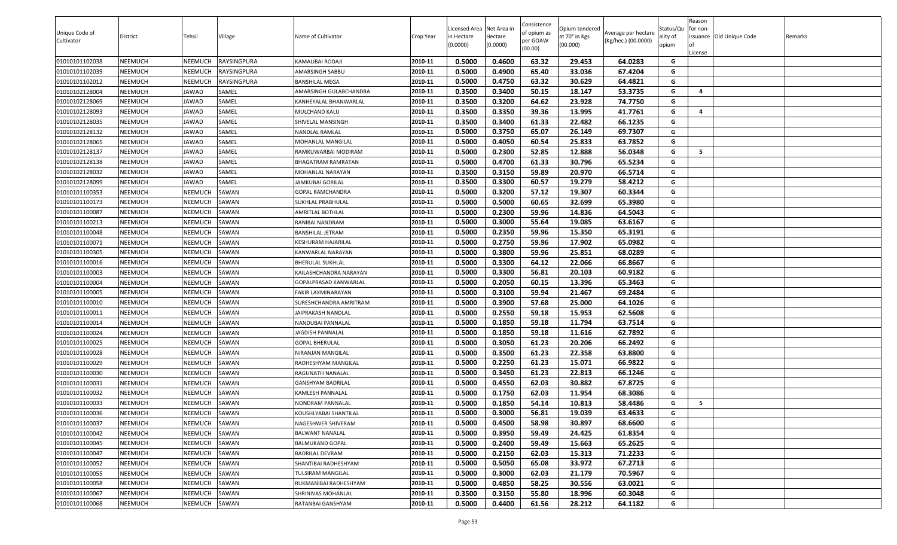|                              |          |                |                    |                         |           | Licensed Area Net Area in |          | Consistence             | Opium tendered |                                            | Status/Qu | Reason<br>for non-       |         |
|------------------------------|----------|----------------|--------------------|-------------------------|-----------|---------------------------|----------|-------------------------|----------------|--------------------------------------------|-----------|--------------------------|---------|
| Unique Code of<br>Cultivator | District | Tehsil         | Village            | Name of Cultivator      | Crop Year | in Hectare                | lectare  | of opium as<br>oer GOAW | at 70° in Kgs  | Average per hectare<br>(Kg/hec.) (00.0000) | ality of  | issuance Old Unique Code | Remarks |
|                              |          |                |                    |                         |           | (0.0000)                  | (0.0000) | (00.00)                 | (00.000)       |                                            | opium     |                          |         |
| 01010101102038               | NEEMUCH  | <b>NEEMUCH</b> | <b>RAYSINGPURA</b> | KAMALIBAI RODAJI        | 2010-11   | 0.5000                    | 0.4600   | 63.32                   | 29.453         | 64.0283                                    | G         | .icense                  |         |
| 01010101102039               | NEEMUCH  | NEEMUCH        | <b>RAYSINGPURA</b> | AMARSINGH SABBU         | 2010-11   | 0.5000                    | 0.4900   | 65.40                   | 33.036         | 67.4204                                    | G         |                          |         |
| 01010101102012               | NEEMUCH  | NEEMUCH        | <b>RAYSINGPURA</b> | BANSHILAL MEGA          | 2010-11   | 0.5000                    | 0.4750   | 63.32                   | 30.629         | 64.4821                                    | G         |                          |         |
| 01010102128004               | NEEMUCH  | JAWAD          | SAMEL              | AMARSINGH GULABCHANDRA  | 2010-11   | 0.3500                    | 0.3400   | 50.15                   | 18.147         | 53.3735                                    | G         | 4                        |         |
| 01010102128069               | NEEMUCH  | JAWAD          | SAMEL              | KANHEYALAL BHANWARLAL   | 2010-11   | 0.3500                    | 0.3200   | 64.62                   | 23.928         | 74.7750                                    | G         |                          |         |
| 01010102128093               | NEEMUCH  | JAWAD          | SAMEL              | MULCHAND KALU           | 2010-11   | 0.3500                    | 0.3350   | 39.36                   | 13.995         | 41.7761                                    | G         | $\overline{a}$           |         |
| 01010102128035               | NEEMUCH  | JAWAD          | SAMEL              | SHIVELAL MANSINGH       | 2010-11   | 0.3500                    | 0.3400   | 61.33                   | 22.482         | 66.1235                                    | G         |                          |         |
| 01010102128132               | NEEMUCH  | JAWAD          | SAMEL              | NANDLAL RAMLAL          | 2010-11   | 0.5000                    | 0.3750   | 65.07                   | 26.149         | 69.7307                                    | G         |                          |         |
| 01010102128065               | NEEMUCH  | JAWAD          | SAMEL              | MOHANLAL MANGILAL       | 2010-11   | 0.5000                    | 0.4050   | 60.54                   | 25.833         | 63.7852                                    | G         |                          |         |
| 01010102128137               | NEEMUCH  | JAWAD          | SAMEL              | RAMKUWARBAI MODIRAM     | 2010-11   | 0.5000                    | 0.2300   | 52.85                   | 12.888         | 56.0348                                    | G         | 5                        |         |
| 01010102128138               | NEEMUCH  | JAWAD          | SAMEL              | BHAGATRAM RAMRATAN      | 2010-11   | 0.5000                    | 0.4700   | 61.33                   | 30.796         | 65.5234                                    | G         |                          |         |
| 01010102128032               | NEEMUCH  | JAWAD          | SAMEL              | MOHANLAL NARAYAN        | 2010-11   | 0.3500                    | 0.3150   | 59.89                   | 20.970         | 66.5714                                    | G         |                          |         |
| 01010102128099               | NEEMUCH  | JAWAD          | SAMEL              | <b>JAMKUBAI GORILAL</b> | 2010-11   | 0.3500                    | 0.3300   | 60.57                   | 19.279         | 58.4212                                    | G         |                          |         |
| 01010101100353               | NEEMUCH  | <b>NEEMUCH</b> | SAWAN              | GOPAL RAMCHANDRA        | 2010-11   | 0.5000                    | 0.3200   | 57.12                   | 19.307         | 60.3344                                    | G         |                          |         |
| 01010101100173               | NEEMUCH  | NEEMUCH        | SAWAN              | SUKHLAL PRABHULAL       | 2010-11   | 0.5000                    | 0.5000   | 60.65                   | 32.699         | 65.3980                                    | G         |                          |         |
| 01010101100087               | NEEMUCH  | <b>NEEMUCH</b> | SAWAN              | AMRITLAL BOTHLAL        | 2010-11   | 0.5000                    | 0.2300   | 59.96                   | 14.836         | 64.5043                                    | G         |                          |         |
| 01010101100213               | NEEMUCH  | NEEMUCH        | SAWAN              | RANIBAI NANDRAM         | 2010-11   | 0.5000                    | 0.3000   | 55.64                   | 19.085         | 63.6167                                    | G         |                          |         |
| 01010101100048               | NEEMUCH  | <b>NEEMUCH</b> | SAWAN              | BANSHILAL JETRAM        | 2010-11   | 0.5000                    | 0.2350   | 59.96                   | 15.350         | 65.3191                                    | G         |                          |         |
| 01010101100071               | NEEMUCH  | NEEMUCH        | SAWAN              | KESHURAM HAJARILAL      | 2010-11   | 0.5000                    | 0.2750   | 59.96                   | 17.902         | 65.0982                                    | G         |                          |         |
| 01010101100305               | NEEMUCH  | <b>NEEMUCH</b> | SAWAN              | KANWARLAL NARAYAN       | 2010-11   | 0.5000                    | 0.3800   | 59.96                   | 25.851         | 68.0289                                    | G         |                          |         |
| 01010101100016               | NEEMUCH  | NEEMUCH        | SAWAN              | BHERULAL SUKHLAL        | 2010-11   | 0.5000                    | 0.3300   | 64.12                   | 22.066         | 66.8667                                    | G         |                          |         |
| 01010101100003               | NEEMUCH  | <b>NEEMUCH</b> | SAWAN              | KAILASHCHANDRA NARAYAN  | 2010-11   | 0.5000                    | 0.3300   | 56.81                   | 20.103         | 60.9182                                    | G         |                          |         |
| 01010101100004               | NEEMUCH  | <b>NEEMUCH</b> | SAWAN              | GOPALPRASAD KANWARLAL   | 2010-11   | 0.5000                    | 0.2050   | 60.15                   | 13.396         | 65.3463                                    | G         |                          |         |
| 01010101100005               | NEEMUCH  | <b>NEEMUCH</b> | SAWAN              | FAKIR LAXMINARAYAN      | 2010-11   | 0.5000                    | 0.3100   | 59.94                   | 21.467         | 69.2484                                    | G         |                          |         |
| 01010101100010               | NEEMUCH  | NEEMUCH        | SAWAN              | SURESHCHANDRA AMRITRAM  | 2010-11   | 0.5000                    | 0.3900   | 57.68                   | 25.000         | 64.1026                                    | G         |                          |         |
| 01010101100011               | NEEMUCH  | NEEMUCH        | SAWAN              | JAIPRAKASH NANDLAL      | 2010-11   | 0.5000                    | 0.2550   | 59.18                   | 15.953         | 62.5608                                    | G         |                          |         |
| 01010101100014               | NEEMUCH  | NEEMUCH        | SAWAN              | NANDUBAI PANNALAL       | 2010-11   | 0.5000                    | 0.1850   | 59.18                   | 11.794         | 63.7514                                    | G         |                          |         |
| 01010101100024               | NEEMUCH  | <b>NEEMUCH</b> | SAWAN              | <b>JAGDISH PANNALAL</b> | 2010-11   | 0.5000                    | 0.1850   | 59.18                   | 11.616         | 62.7892                                    | G         |                          |         |
| 01010101100025               | NEEMUCH  | <b>NEEMUCH</b> | SAWAN              | GOPAL BHERULAL          | 2010-11   | 0.5000                    | 0.3050   | 61.23                   | 20.206         | 66.2492                                    | G         |                          |         |
| 01010101100028               | NEEMUCH  | <b>NEEMUCH</b> | SAWAN              | NIRANJAN MANGILAL       | 2010-11   | 0.5000                    | 0.3500   | 61.23                   | 22.358         | 63.8800                                    | G         |                          |         |
| 01010101100029               | NEEMUCH  | <b>NEEMUCH</b> | SAWAN              | RADHESHYAM MANGILAL     | 2010-11   | 0.5000                    | 0.2250   | 61.23                   | 15.071         | 66.9822                                    | G         |                          |         |
| 01010101100030               | NEEMUCH  | <b>NEEMUCH</b> | SAWAN              | RAGUNATH NANALAL        | 2010-11   | 0.5000                    | 0.3450   | 61.23                   | 22.813         | 66.1246                                    | G         |                          |         |
| 01010101100031               | NEEMUCH  | <b>NEEMUCH</b> | SAWAN              | GANSHYAM BADRILAL       | 2010-11   | 0.5000                    | 0.4550   | 62.03                   | 30.882         | 67.8725                                    | G         |                          |         |
| 01010101100032               | NEEMUCH  | NEEMUCH        | SAWAN              | KAMLESH PANNALAL        | 2010-11   | 0.5000                    | 0.1750   | 62.03                   | 11.954         | 68.3086                                    | G         |                          |         |
| 01010101100033               | NEEMUCH  | NEEMUCH        | SAWAN              | NONDRAM PANNALAL        | 2010-11   | 0.5000                    | 0.1850   | 54.14                   | 10.813         | 58.4486                                    | G         | 5                        |         |
| 01010101100036               | NEEMUCH  | <b>NEEMUCH</b> | SAWAN              | KOUSHLYABAI SHANTILAL   | 2010-11   | 0.5000                    | 0.3000   | 56.81                   | 19.039         | 63.4633                                    | G         |                          |         |
| 01010101100037               | NEEMUCH  | <b>NEEMUCH</b> | SAWAN              | NAGESHWER SHIVERAM      | 2010-11   | 0.5000                    | 0.4500   | 58.98                   | 30.897         | 68.6600                                    | G         |                          |         |
| 01010101100042               | NEEMUCH  | NEEMUCH        | SAWAN              | BALWANT NANALAL         | 2010-11   | 0.5000                    | 0.3950   | 59.49                   | 24.425         | 61.8354                                    | G         |                          |         |
| 01010101100045               | NEEMUCH  | <b>NEEMUCH</b> | SAWAN              | BALMUKAND GOPAL         | 2010-11   | 0.5000                    | 0.2400   | 59.49                   | 15.663         | 65.2625                                    | G         |                          |         |
| 01010101100047               | NEEMUCH  | <b>NEEMUCH</b> | SAWAN              | <b>BADRILAL DEVRAM</b>  | 2010-11   | 0.5000                    | 0.2150   | 62.03                   | 15.313         | 71.2233                                    | G         |                          |         |
| 01010101100052               | NEEMUCH  | <b>NEEMUCH</b> | SAWAN              | SHANTIBAI RADHESHYAM    | 2010-11   | 0.5000                    | 0.5050   | 65.08                   | 33.972         | 67.2713                                    | G         |                          |         |
| 01010101100055               | NEEMUCH  | <b>NEEMUCH</b> | SAWAN              | TULSIRAM MANGILAL       | 2010-11   | 0.5000                    | 0.3000   | 62.03                   | 21.179         | 70.5967                                    | G         |                          |         |
| 01010101100058               | NEEMUCH  | <b>NEEMUCH</b> | SAWAN              | RUKMANIBAI RADHESHYAM   | 2010-11   | 0.5000                    | 0.4850   | 58.25                   | 30.556         | 63.0021                                    | G         |                          |         |
| 01010101100067               | NEEMUCH  | NEEMUCH        | SAWAN              | SHRINIVAS MOHANLAL      | 2010-11   | 0.3500                    | 0.3150   | 55.80                   | 18.996         | 60.3048                                    | G         |                          |         |
| 01010101100068               | NEEMUCH  | <b>NEEMUCH</b> | SAWAN              | RATANBAI GANSHYAM       | 2010-11   | 0.5000                    | 0.4400   | 61.56                   | 28.212         | 64.1182                                    | G         |                          |         |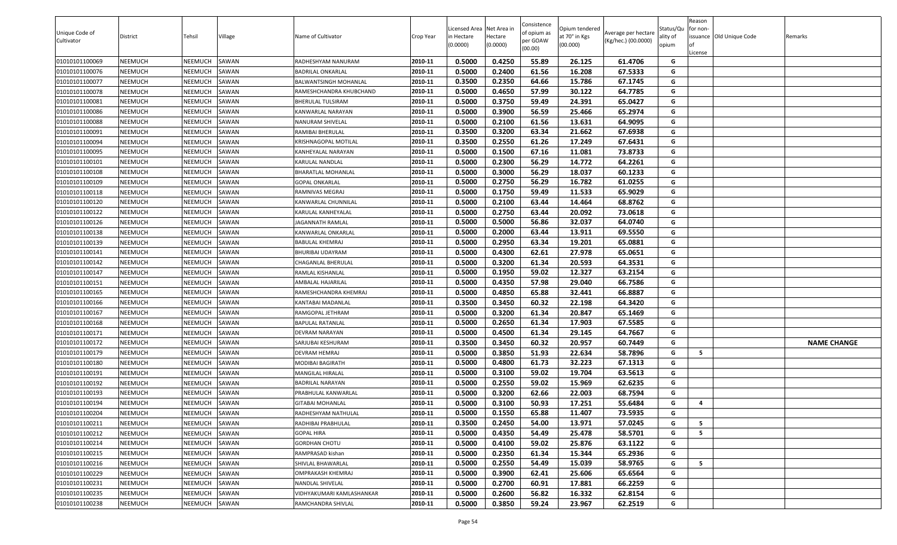| Unique Code of<br>Cultivator | District | Tehsil         | Village | Name of Cultivator          | Crop Year | Licensed Area Net Area in<br>n Hectare<br>(0.0000) | Hectare<br>(0.0000) | Consistence<br>of opium as<br>per GOAW<br>(00.00) | Opium tendered<br>at 70° in Kgs<br>(00.000) | Average per hectare<br>(Kg/hec.) (00.0000) | Status/Qu<br>ality of<br>opium | Reason<br>for non-<br>License | issuance Old Unique Code | Remarks            |
|------------------------------|----------|----------------|---------|-----------------------------|-----------|----------------------------------------------------|---------------------|---------------------------------------------------|---------------------------------------------|--------------------------------------------|--------------------------------|-------------------------------|--------------------------|--------------------|
| 01010101100069               | NEEMUCH  | <b>NEEMUCH</b> | SAWAN   | RADHESHYAM NANURAM          | 2010-11   | 0.5000                                             | 0.4250              | 55.89                                             | 26.125                                      | 61.4706                                    | G                              |                               |                          |                    |
| 01010101100076               | NEEMUCH  | NEEMUCH        | SAWAN   | BADRILAL ONKARLAL           | 2010-11   | 0.5000                                             | 0.2400              | 61.56                                             | 16.208                                      | 67.5333                                    | G                              |                               |                          |                    |
| 01010101100077               | NEEMUCH  | NEEMUCH        | SAWAN   | BALWANTSINGH MOHANLAL       | 2010-11   | 0.3500                                             | 0.2350              | 64.66                                             | 15.786                                      | 67.1745                                    | G                              |                               |                          |                    |
| 01010101100078               | NEEMUCH  | NEEMUCH        | SAWAN   | RAMESHCHANDRA KHUBCHAND     | 2010-11   | 0.5000                                             | 0.4650              | 57.99                                             | 30.122                                      | 64.7785                                    | G                              |                               |                          |                    |
| 01010101100081               | NEEMUCH  | <b>NEEMUCH</b> | SAWAN   | BHERULAL TULSIRAM           | 2010-11   | 0.5000                                             | 0.3750              | 59.49                                             | 24.391                                      | 65.0427                                    | G                              |                               |                          |                    |
| 01010101100086               | NEEMUCH  | <b>NEEMUCH</b> | SAWAN   | KANWARLAL NARAYAN           | 2010-11   | 0.5000                                             | 0.3900              | 56.59                                             | 25.466                                      | 65.2974                                    | G                              |                               |                          |                    |
| 01010101100088               | NEEMUCH  | <b>NEEMUCH</b> | SAWAN   | NANURAM SHIVELAL            | 2010-11   | 0.5000                                             | 0.2100              | 61.56                                             | 13.631                                      | 64.9095                                    | G                              |                               |                          |                    |
| 01010101100091               | NEEMUCH  | <b>NEEMUCH</b> | SAWAN   | RAMIBAI BHERULAL            | 2010-11   | 0.3500                                             | 0.3200              | 63.34                                             | 21.662                                      | 67.6938                                    | G                              |                               |                          |                    |
| 01010101100094               | NEEMUCH  | <b>NEEMUCH</b> | SAWAN   | <b>KRISHNAGOPAL MOTILAL</b> | 2010-11   | 0.3500                                             | 0.2550              | 61.26                                             | 17.249                                      | 67.6431                                    | G                              |                               |                          |                    |
| 01010101100095               | NEEMUCH  | NEEMUCH        | SAWAN   | KANHEYALAL NARAYAN          | 2010-11   | 0.5000                                             | 0.1500              | 67.16                                             | 11.081                                      | 73.8733                                    | G                              |                               |                          |                    |
| 01010101100101               | NEEMUCH  | NEEMUCH        | SAWAN   | KARULAL NANDLAL             | 2010-11   | 0.5000                                             | 0.2300              | 56.29                                             | 14.772                                      | 64.2261                                    | G                              |                               |                          |                    |
| 01010101100108               | NEEMUCH  | <b>NEEMUCH</b> | SAWAN   | BHARATLAL MOHANLAL          | 2010-11   | 0.5000                                             | 0.3000              | 56.29                                             | 18.037                                      | 60.1233                                    | G                              |                               |                          |                    |
| 01010101100109               | NEEMUCH  | <b>NEEMUCH</b> | SAWAN   | GOPAL ONKARLAL              | 2010-11   | 0.5000                                             | 0.2750              | 56.29                                             | 16.782                                      | 61.0255                                    | G                              |                               |                          |                    |
| 01010101100118               | NEEMUCH  | <b>NEEMUCH</b> | SAWAN   | RAMNIVAS MEGRAJ             | 2010-11   | 0.5000                                             | 0.1750              | 59.49                                             | 11.533                                      | 65.9029                                    | G                              |                               |                          |                    |
| 01010101100120               | NEEMUCH  | <b>NEEMUCH</b> | SAWAN   | KANWARLAL CHUNNILAL         | 2010-11   | 0.5000                                             | 0.2100              | 63.44                                             | 14.464                                      | 68.8762                                    | G                              |                               |                          |                    |
| 01010101100122               | NEEMUCH  | <b>NEEMUCH</b> | SAWAN   | KARULAL KANHEYALAL          | 2010-11   | 0.5000                                             | 0.2750              | 63.44                                             | 20.092                                      | 73.0618                                    | G                              |                               |                          |                    |
| 01010101100126               | NEEMUCH  | <b>NEEMUCH</b> | SAWAN   | <b>JAGANNATH RAMLAL</b>     | 2010-11   | 0.5000                                             | 0.5000              | 56.86                                             | 32.037                                      | 64.0740                                    | G                              |                               |                          |                    |
| 01010101100138               | NEEMUCH  | <b>NEEMUCH</b> | SAWAN   | KANWARLAL ONKARLAL          | 2010-11   | 0.5000                                             | 0.2000              | 63.44                                             | 13.911                                      | 69.5550                                    | G                              |                               |                          |                    |
| 01010101100139               | NEEMUCH  | NEEMUCH        | SAWAN   | BABULAL KHEMRAJ             | 2010-11   | 0.5000                                             | 0.2950              | 63.34                                             | 19.201                                      | 65.0881                                    | G                              |                               |                          |                    |
| 01010101100141               | NEEMUCH  | NEEMUCH        | SAWAN   | BHURIBAI UDAYRAM            | 2010-11   | 0.5000                                             | 0.4300              | 62.61                                             | 27.978                                      | 65.0651                                    | G                              |                               |                          |                    |
| 01010101100142               | NEEMUCH  | NEEMUCH        | SAWAN   | CHAGANLAL BHERULAL          | 2010-11   | 0.5000                                             | 0.3200              | 61.34                                             | 20.593                                      | 64.3531                                    | G                              |                               |                          |                    |
| 01010101100147               | NEEMUCH  | <b>NEEMUCH</b> | SAWAN   | RAMLAL KISHANLAL            | 2010-11   | 0.5000                                             | 0.1950              | 59.02                                             | 12.327                                      | 63.2154                                    | G                              |                               |                          |                    |
| 01010101100151               | NEEMUCH  | NEEMUCH        | SAWAN   | AMBALAL HAJARILAL           | 2010-11   | 0.5000                                             | 0.4350              | 57.98                                             | 29.040                                      | 66.7586                                    | G                              |                               |                          |                    |
| 01010101100165               | NEEMUCH  | <b>NEEMUCH</b> | SAWAN   | RAMESHCHANDRA KHEMRAJ       | 2010-11   | 0.5000                                             | 0.4850              | 65.88                                             | 32.441                                      | 66.8887                                    | G                              |                               |                          |                    |
| 01010101100166               | NEEMUCH  | <b>NEEMUCH</b> | SAWAN   | KANTABAI MADANLAL           | 2010-11   | 0.3500                                             | 0.3450              | 60.32                                             | 22.198                                      | 64.3420                                    | G                              |                               |                          |                    |
| 01010101100167               | NEEMUCH  | NEEMUCH        | SAWAN   | RAMGOPAL JETHRAM            | 2010-11   | 0.5000                                             | 0.3200              | 61.34                                             | 20.847                                      | 65.1469                                    | G                              |                               |                          |                    |
| 01010101100168               | NEEMUCH  | NEEMUCH        | SAWAN   | BAPULAL RATANLAL            | 2010-11   | 0.5000                                             | 0.2650              | 61.34                                             | 17.903                                      | 67.5585                                    | G                              |                               |                          |                    |
| 01010101100171               | NEEMUCH  | NEEMUCH        | SAWAN   | DEVRAM NARAYAN              | 2010-11   | 0.5000                                             | 0.4500              | 61.34                                             | 29.145                                      | 64.7667                                    | G                              |                               |                          |                    |
| 01010101100172               | NEEMUCH  | NEEMUCH        | SAWAN   | SARJUBAI KESHURAM           | 2010-11   | 0.3500                                             | 0.3450              | 60.32                                             | 20.957                                      | 60.7449                                    | G                              |                               |                          | <b>NAME CHANGE</b> |
| 01010101100179               | NEEMUCH  | <b>NEEMUCH</b> | SAWAN   | DEVRAM HEMRAJ               | 2010-11   | 0.5000                                             | 0.3850              | 51.93                                             | 22.634                                      | 58.7896                                    | G                              | -5                            |                          |                    |
| 01010101100180               | NEEMUCH  | <b>NEEMUCH</b> | SAWAN   | MODIBAI BAGIRATH            | 2010-11   | 0.5000                                             | 0.4800              | 61.73                                             | 32.223                                      | 67.1313                                    | G                              |                               |                          |                    |
| 01010101100191               | NEEMUCH  | NEEMUCH        | SAWAN   | MANGILAL HIRALAL            | 2010-11   | 0.5000                                             | 0.3100              | 59.02                                             | 19.704                                      | 63.5613                                    | G                              |                               |                          |                    |
| 01010101100192               | NEEMUCH  | <b>NEEMUCH</b> | SAWAN   | BADRILAL NARAYAN            | 2010-11   | 0.5000                                             | 0.2550              | 59.02                                             | 15.969                                      | 62.6235                                    | G                              |                               |                          |                    |
| 01010101100193               | NEEMUCH  | NEEMUCH        | SAWAN   | PRABHULAL KANWARLAL         | 2010-11   | 0.5000                                             | 0.3200              | 62.66                                             | 22.003                                      | 68.7594                                    | G                              |                               |                          |                    |
| 01010101100194               | NEEMUCH  | NEEMUCH        | SAWAN   | GITABAI MOHANLAL            | 2010-11   | 0.5000                                             | 0.3100              | 50.93                                             | 17.251                                      | 55.6484                                    | G                              | $\overline{\mathbf{4}}$       |                          |                    |
| 01010101100204               | NEEMUCH  | <b>NEEMUCH</b> | SAWAN   | RADHESHYAM NATHULAL         | 2010-11   | 0.5000                                             | 0.1550              | 65.88                                             | 11.407                                      | 73.5935                                    | G                              |                               |                          |                    |
| 01010101100211               | NEEMUCH  | <b>NEEMUCH</b> | SAWAN   | RADHIBAI PRABHULAL          | 2010-11   | 0.3500                                             | 0.2450              | 54.00                                             | 13.971                                      | 57.0245                                    | G                              | 5                             |                          |                    |
| 01010101100212               | NEEMUCH  | NEEMUCH        | SAWAN   | <b>GOPAL HIRA</b>           | 2010-11   | 0.5000                                             | 0.4350              | 54.49                                             | 25.478                                      | 58.5701                                    | G                              | 5                             |                          |                    |
| 01010101100214               | NEEMUCH  | <b>NEEMUCH</b> | SAWAN   | <b>GORDHAN CHOTU</b>        | 2010-11   | 0.5000                                             | 0.4100              | 59.02                                             | 25.876                                      | 63.1122                                    | G                              |                               |                          |                    |
| 01010101100215               | NEEMUCH  | NEEMUCH        | SAWAN   | RAMPRASAD kishan            | 2010-11   | 0.5000                                             | 0.2350              | 61.34                                             | 15.344                                      | 65.2936                                    | G                              |                               |                          |                    |
| 01010101100216               | NEEMUCH  | <b>NEEMUCH</b> | SAWAN   | SHIVLAL BHAWARLAL           | 2010-11   | 0.5000                                             | 0.2550              | 54.49                                             | 15.039                                      | 58.9765                                    | G                              | 5                             |                          |                    |
| 01010101100229               | NEEMUCH  | <b>NEEMUCH</b> | SAWAN   | OMPRAKASH KHEMRAJ           | 2010-11   | 0.5000                                             | 0.3900              | 62.41                                             | 25.606                                      | 65.6564                                    | G                              |                               |                          |                    |
| 01010101100231               | NEEMUCH  | <b>NEEMUCH</b> | SAWAN   | NANDLAL SHIVELAL            | 2010-11   | 0.5000                                             | 0.2700              | 60.91                                             | 17.881                                      | 66.2259                                    | G                              |                               |                          |                    |
| 01010101100235               | NEEMUCH  | <b>NEEMUCH</b> | SAWAN   | VIDHYAKUMARI KAMLASHANKAR   | 2010-11   | 0.5000                                             | 0.2600              | 56.82                                             | 16.332                                      | 62.8154                                    | G                              |                               |                          |                    |
| 01010101100238               | NEEMUCH  | <b>NEEMUCH</b> | SAWAN   | RAMCHANDRA SHIVLAL          | 2010-11   | 0.5000                                             | 0.3850              | 59.24                                             | 23.967                                      | 62.2519                                    | G                              |                               |                          |                    |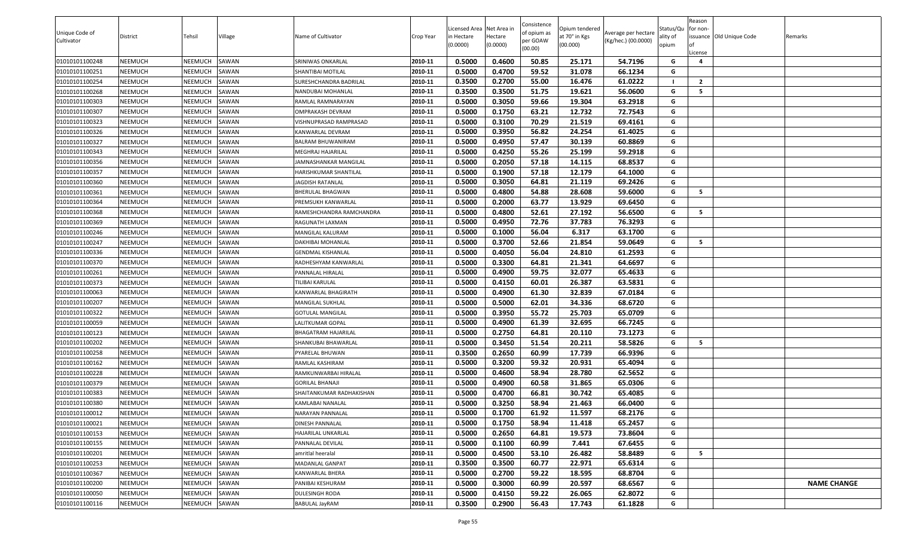|                |                |                |         |                          |           |                          |          | Consistence |                |                     |           | Reason         |                          |                    |
|----------------|----------------|----------------|---------|--------------------------|-----------|--------------------------|----------|-------------|----------------|---------------------|-----------|----------------|--------------------------|--------------------|
| Unique Code of |                |                |         |                          |           | Licensed Area Net Area i |          | of opium as | Opium tendered | Average per hectare | Status/Qu | for non-       |                          |                    |
| Cultivator     | District       | Tehsil         | Village | Name of Cultivator       | Crop Year | in Hectare               | Hectare  | per GOAW    | at 70° in Kgs  | (Kg/hec.) (00.0000) | ality of  |                | issuance Old Unique Code | Remarks            |
|                |                |                |         |                          |           | (0.0000)                 | (0.0000) | (00.00)     | (00.000)       |                     | opium     | .icense        |                          |                    |
| 01010101100248 | <b>NEEMUCH</b> | NEEMUCH        | SAWAN   | SRINIWAS ONKARLAL        | 2010-11   | 0.5000                   | 0.4600   | 50.85       | 25.171         | 54.7196             | G         | 4              |                          |                    |
| 01010101100251 | <b>NEEMUCH</b> | NEEMUCH        | SAWAN   | SHANTIBAI MOTILAL        | 2010-11   | 0.5000                   | 0.4700   | 59.52       | 31.078         | 66.1234             | G         |                |                          |                    |
| 01010101100254 | <b>NEEMUCH</b> | NEEMUCH        | SAWAN   | SURESHCHANDRA BADRILAL   | 2010-11   | 0.3500                   | 0.2700   | 55.00       | 16.476         | 61.0222             |           | $\overline{2}$ |                          |                    |
| 01010101100268 | <b>NEEMUCH</b> | NEEMUCH        | SAWAN   | NANDUBAI MOHANLAL        | 2010-11   | 0.3500                   | 0.3500   | 51.75       | 19.621         | 56.0600             | G         | 5              |                          |                    |
| 01010101100303 | <b>NEEMUCH</b> | NEEMUCH        | SAWAN   | RAMLAL RAMNARAYAN        | 2010-11   | 0.5000                   | 0.3050   | 59.66       | 19.304         | 63.2918             | G         |                |                          |                    |
| 01010101100307 | <b>NEEMUCH</b> | NEEMUCH        | SAWAN   | OMPRAKASH DEVRAM         | 2010-11   | 0.5000                   | 0.1750   | 63.21       | 12.732         | 72.7543             | G         |                |                          |                    |
| 01010101100323 | <b>NEEMUCH</b> | NEEMUCH        | SAWAN   | VISHNUPRASAD RAMPRASAD   | 2010-11   | 0.5000                   | 0.3100   | 70.29       | 21.519         | 69.4161             | G         |                |                          |                    |
| 01010101100326 | <b>NEEMUCH</b> | NEEMUCH        | SAWAN   | KANWARLAL DEVRAM         | 2010-11   | 0.5000                   | 0.3950   | 56.82       | 24.254         | 61.4025             | G         |                |                          |                    |
| 01010101100327 | <b>NEEMUCH</b> | NEEMUCH        | SAWAN   | BALRAM BHUWANIRAM        | 2010-11   | 0.5000                   | 0.4950   | 57.47       | 30.139         | 60.8869             | G         |                |                          |                    |
| 01010101100343 | <b>NEEMUCH</b> | NEEMUCH        | SAWAN   | MEGHRAJ HAJARILAL        | 2010-11   | 0.5000                   | 0.4250   | 55.26       | 25.199         | 59.2918             | G         |                |                          |                    |
| 01010101100356 | <b>NEEMUCH</b> | NEEMUCH        | SAWAN   | JAMNASHANKAR MANGILAL    | 2010-11   | 0.5000                   | 0.2050   | 57.18       | 14.115         | 68.8537             | G         |                |                          |                    |
| 01010101100357 | <b>NEEMUCH</b> | NEEMUCH        | SAWAN   | HARISHKUMAR SHANTILAL    | 2010-11   | 0.5000                   | 0.1900   | 57.18       | 12.179         | 64.1000             | G         |                |                          |                    |
| 01010101100360 | <b>NEEMUCH</b> | NEEMUCH        | SAWAN   | JAGDISH RATANLAL         | 2010-11   | 0.5000                   | 0.3050   | 64.81       | 21.119         | 69.2426             | G         |                |                          |                    |
| 01010101100361 | <b>NEEMUCH</b> | NEEMUCH        | SAWAN   | BHERULAL BHAGWAN         | 2010-11   | 0.5000                   | 0.4800   | 54.88       | 28.608         | 59.6000             | G         | - 5            |                          |                    |
| 01010101100364 | <b>NEEMUCH</b> | NEEMUCH        | SAWAN   | PREMSUKH KANWARLAL       | 2010-11   | 0.5000                   | 0.2000   | 63.77       | 13.929         | 69.6450             | G         |                |                          |                    |
| 01010101100368 | <b>NEEMUCH</b> | NEEMUCH        | SAWAN   | RAMESHCHANDRA RAMCHANDRA | 2010-11   | 0.5000                   | 0.4800   | 52.61       | 27.192         | 56.6500             | G         | 5              |                          |                    |
| 01010101100369 | <b>NEEMUCH</b> | NEEMUCH        | SAWAN   | RAGUNATH LAXMAN          | 2010-11   | 0.5000                   | 0.4950   | 72.76       | 37.783         | 76.3293             | G         |                |                          |                    |
| 01010101100246 | <b>NEEMUCH</b> | NEEMUCH        | SAWAN   | MANGILAL KALURAM         | 2010-11   | 0.5000                   | 0.1000   | 56.04       | 6.317          | 63.1700             | G         |                |                          |                    |
| 01010101100247 | <b>NEEMUCH</b> | NEEMUCH        | SAWAN   | DAKHIBAI MOHANLAL        | 2010-11   | 0.5000                   | 0.3700   | 52.66       | 21.854         | 59.0649             | G         | 5              |                          |                    |
| 01010101100336 | <b>NEEMUCH</b> | NEEMUCH        | SAWAN   | GENDMAL KISHANLAL        | 2010-11   | 0.5000                   | 0.4050   | 56.04       | 24.810         | 61.2593             | G         |                |                          |                    |
| 01010101100370 | <b>NEEMUCH</b> | NEEMUCH        | SAWAN   | RADHESHYAM KANWARLAL     | 2010-11   | 0.5000                   | 0.3300   | 64.81       | 21.341         | 64.6697             | G         |                |                          |                    |
| 01010101100261 | <b>NEEMUCH</b> | NEEMUCH        | SAWAN   | PANNALAL HIRALAL         | 2010-11   | 0.5000                   | 0.4900   | 59.75       | 32.077         | 65.4633             | G         |                |                          |                    |
| 01010101100373 | <b>NEEMUCH</b> | NEEMUCH        | SAWAN   | TILIBAI KARULAL          | 2010-11   | 0.5000                   | 0.4150   | 60.01       | 26.387         | 63.5831             | G         |                |                          |                    |
| 01010101100063 | <b>NEEMUCH</b> | NEEMUCH        | SAWAN   | KANWARLAL BHAGIRATH      | 2010-11   | 0.5000                   | 0.4900   | 61.30       | 32.839         | 67.0184             | G         |                |                          |                    |
| 01010101100207 | <b>NEEMUCH</b> | NEEMUCH        | SAWAN   | MANGILAL SUKHLAL         | 2010-11   | 0.5000                   | 0.5000   | 62.01       | 34.336         | 68.6720             | G         |                |                          |                    |
| 01010101100322 | <b>NEEMUCH</b> | NEEMUCH        | SAWAN   | <b>GOTULAL MANGILAL</b>  | 2010-11   | 0.5000                   | 0.3950   | 55.72       | 25.703         | 65.0709             | G         |                |                          |                    |
| 01010101100059 | <b>NEEMUCH</b> | NEEMUCH        | SAWAN   | LALITKUMAR GOPAL         | 2010-11   | 0.5000                   | 0.4900   | 61.39       | 32.695         | 66.7245             | G         |                |                          |                    |
| 01010101100123 | <b>NEEMUCH</b> | NEEMUCH        | SAWAN   | BHAGATRAM HAJARILAL      | 2010-11   | 0.5000                   | 0.2750   | 64.81       | 20.110         | 73.1273             | G         |                |                          |                    |
| 01010101100202 | <b>NEEMUCH</b> | NEEMUCH        | SAWAN   | SHANKUBAI BHAWARLAL      | 2010-11   | 0.5000                   | 0.3450   | 51.54       | 20.211         | 58.5826             | G         | - 5            |                          |                    |
| 01010101100258 | <b>NEEMUCH</b> | NEEMUCH        | SAWAN   | PYARELAL BHUWAN          | 2010-11   | 0.3500                   | 0.2650   | 60.99       | 17.739         | 66.9396             | G         |                |                          |                    |
| 01010101100162 | <b>NEEMUCH</b> | NEEMUCH        | SAWAN   | RAMLAL KASHIRAM          | 2010-11   | 0.5000                   | 0.3200   | 59.32       | 20.931         | 65.4094             | G         |                |                          |                    |
| 01010101100228 | <b>NEEMUCH</b> | NEEMUCH        | SAWAN   | RAMKUNWARBAI HIRALAL     | 2010-11   | 0.5000                   | 0.4600   | 58.94       | 28.780         | 62.5652             | G         |                |                          |                    |
| 01010101100379 | <b>NEEMUCH</b> | NEEMUCH        | SAWAN   | <b>GORILAL BHANAJI</b>   | 2010-11   | 0.5000                   | 0.4900   | 60.58       | 31.865         | 65.0306             | G         |                |                          |                    |
| 01010101100383 | <b>NEEMUCH</b> | NEEMUCH        | SAWAN   | SHAITANKUMAR RADHAKISHAN | 2010-11   | 0.5000                   | 0.4700   | 66.81       | 30.742         | 65.4085             | G         |                |                          |                    |
| 01010101100380 | <b>NEEMUCH</b> | NEEMUCH        | SAWAN   | KAMLABAI NANALAL         | 2010-11   | 0.5000                   | 0.3250   | 58.94       | 21.463         | 66.0400             | G         |                |                          |                    |
| 01010101100012 | <b>NEEMUCH</b> | <b>NEEMUCH</b> | SAWAN   | NARAYAN PANNALAL         | 2010-11   | 0.5000                   | 0.1700   | 61.92       | 11.597         | 68.2176             | G         |                |                          |                    |
| 01010101100021 | <b>NEEMUCH</b> | NEEMUCH        | SAWAN   | <b>DINESH PANNALAL</b>   | 2010-11   | 0.5000                   | 0.1750   | 58.94       | 11.418         | 65.2457             | G         |                |                          |                    |
| 01010101100153 | <b>NEEMUCH</b> | NEEMUCH        | SAWAN   | HAJARILAL UNKARLAL       | 2010-11   | 0.5000                   | 0.2650   | 64.81       | 19.573         | 73.8604             | G         |                |                          |                    |
| 01010101100155 | <b>NEEMUCH</b> | NEEMUCH        | SAWAN   | PANNALAL DEVILAL         | 2010-11   | 0.5000                   | 0.1100   | 60.99       | 7.441          | 67.6455             | G         |                |                          |                    |
| 01010101100201 | <b>NEEMUCH</b> | NEEMUCH        | SAWAN   | amritlal heeralal        | 2010-11   | 0.5000                   | 0.4500   | 53.10       | 26.482         | 58.8489             | G         | 5              |                          |                    |
| 01010101100253 | <b>NEEMUCH</b> | NEEMUCH        | SAWAN   | MADANLAL GANPAT          | 2010-11   | 0.3500                   | 0.3500   | 60.77       | 22.971         | 65.6314             | G         |                |                          |                    |
| 01010101100367 | <b>NEEMUCH</b> | NEEMUCH        | SAWAN   | KANWARLAL BHERA          | 2010-11   | 0.5000                   | 0.2700   | 59.22       | 18.595         | 68.8704             | G         |                |                          |                    |
| 01010101100200 | <b>NEEMUCH</b> | NEEMUCH        | SAWAN   | PANIBAI KESHURAM         | 2010-11   | 0.5000                   | 0.3000   | 60.99       | 20.597         | 68.6567             | G         |                |                          | <b>NAME CHANGE</b> |
| 01010101100050 | <b>NEEMUCH</b> | NEEMUCH        | SAWAN   | DULESINGH RODA           | 2010-11   | 0.5000                   | 0.4150   | 59.22       | 26.065         | 62.8072             | G         |                |                          |                    |
| 01010101100116 | <b>NEEMUCH</b> | NEEMUCH        | SAWAN   | <b>BABULAL JayRAM</b>    | 2010-11   | 0.3500                   | 0.2900   | 56.43       | 17.743         | 61.1828             | G         |                |                          |                    |
|                |                |                |         |                          |           |                          |          |             |                |                     |           |                |                          |                    |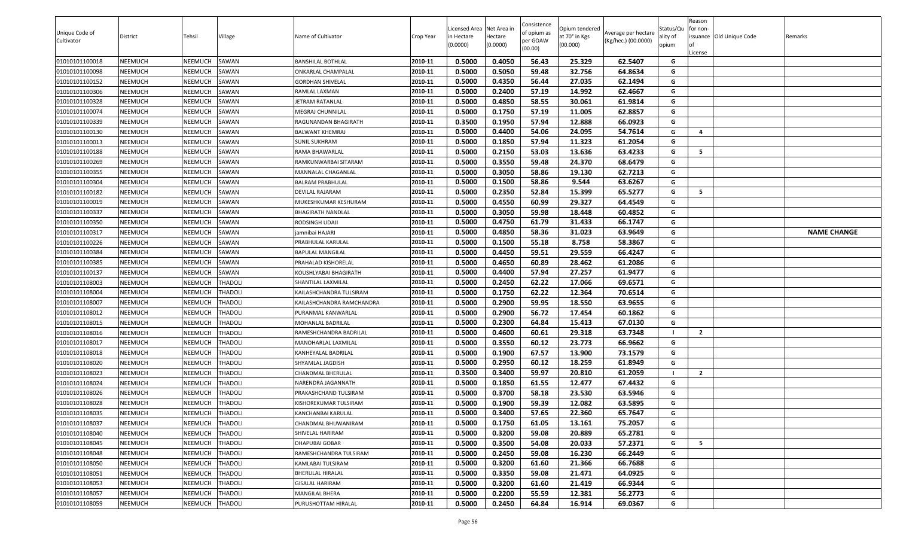|                |                |                |                |                            |           |                          |                     | Consistence |                           |                     |                   | Reason         |                          |                    |
|----------------|----------------|----------------|----------------|----------------------------|-----------|--------------------------|---------------------|-------------|---------------------------|---------------------|-------------------|----------------|--------------------------|--------------------|
| Unique Code of |                |                |                |                            |           | Licensed Area Net Area i |                     | of opium as | Opium tendered            | Average per hectare | Status/Qu         | for non-       |                          |                    |
| Cultivator     | District       | Tehsil         | Village        | Name of Cultivator         | Crop Year | in Hectare<br>(0.0000)   | Hectare<br>(0.0000) | per GOAW    | at 70° in Kgs<br>(00.000) | (Kg/hec.) (00.0000) | ality of<br>opium |                | issuance Old Unique Code | Remarks            |
|                |                |                |                |                            |           |                          |                     | (00.00)     |                           |                     |                   | .icense        |                          |                    |
| 01010101100018 | <b>NEEMUCH</b> | NEEMUCH        | SAWAN          | BANSHILAL BOTHLAL          | 2010-11   | 0.5000                   | 0.4050              | 56.43       | 25.329                    | 62.5407             | G                 |                |                          |                    |
| 01010101100098 | <b>NEEMUCH</b> | NEEMUCH        | SAWAN          | ONKARLAL CHAMPALAL         | 2010-11   | 0.5000                   | 0.5050              | 59.48       | 32.756                    | 64.8634             | G                 |                |                          |                    |
| 01010101100152 | <b>NEEMUCH</b> | NEEMUCH        | SAWAN          | GORDHAN SHIVELAL           | 2010-11   | 0.5000                   | 0.4350              | 56.44       | 27.035                    | 62.1494             | G                 |                |                          |                    |
| 01010101100306 | <b>NEEMUCH</b> | NEEMUCH        | SAWAN          | RAMLAL LAXMAN              | 2010-11   | 0.5000                   | 0.2400              | 57.19       | 14.992                    | 62.4667             | G                 |                |                          |                    |
| 01010101100328 | <b>NEEMUCH</b> | NEEMUCH        | SAWAN          | JETRAM RATANLAL            | 2010-11   | 0.5000                   | 0.4850              | 58.55       | 30.061                    | 61.9814             | G                 |                |                          |                    |
| 01010101100074 | <b>NEEMUCH</b> | NEEMUCH        | SAWAN          | MEGRAJ CHUNNILAL           | 2010-11   | 0.5000                   | 0.1750              | 57.19       | 11.005                    | 62.8857             | G                 |                |                          |                    |
| 01010101100339 | <b>NEEMUCH</b> | NEEMUCH        | SAWAN          | RAGUNANDAN BHAGIRATH       | 2010-11   | 0.3500                   | 0.1950              | 57.94       | 12.888                    | 66.0923             | G                 |                |                          |                    |
| 01010101100130 | <b>NEEMUCH</b> | NEEMUCH        | SAWAN          | BALWANT KHEMRAJ            | 2010-11   | 0.5000                   | 0.4400              | 54.06       | 24.095                    | 54.7614             | G                 | $\overline{a}$ |                          |                    |
| 01010101100013 | <b>NEEMUCH</b> | NEEMUCH        | SAWAN          | <b>SUNIL SUKHRAM</b>       | 2010-11   | 0.5000                   | 0.1850              | 57.94       | 11.323                    | 61.2054             | G                 |                |                          |                    |
| 01010101100188 | <b>NEEMUCH</b> | NEEMUCH        | SAWAN          | RAMA BHAWARLAL             | 2010-11   | 0.5000                   | 0.2150              | 53.03       | 13.636                    | 63.4233             | G                 | 5              |                          |                    |
| 01010101100269 | <b>NEEMUCH</b> | NEEMUCH        | SAWAN          | RAMKUNWARBAI SITARAM       | 2010-11   | 0.5000                   | 0.3550              | 59.48       | 24.370                    | 68.6479             | G                 |                |                          |                    |
| 01010101100355 | <b>NEEMUCH</b> | NEEMUCH        | SAWAN          | MANNALAL CHAGANLAL         | 2010-11   | 0.5000                   | 0.3050              | 58.86       | 19.130                    | 62.7213             | G                 |                |                          |                    |
| 01010101100304 | <b>NEEMUCH</b> | NEEMUCH        | SAWAN          | BALRAM PRABHULAL           | 2010-11   | 0.5000                   | 0.1500              | 58.86       | 9.544                     | 63.6267             | G                 |                |                          |                    |
| 01010101100182 | <b>NEEMUCH</b> | NEEMUCH        | SAWAN          | DEVILAL RAJARAM            | 2010-11   | 0.5000                   | 0.2350              | 52.84       | 15.399                    | 65.5277             | G                 | - 5            |                          |                    |
| 01010101100019 | <b>NEEMUCH</b> | NEEMUCH        | SAWAN          | MUKESHKUMAR KESHURAM       | 2010-11   | 0.5000                   | 0.4550              | 60.99       | 29.327                    | 64.4549             | G                 |                |                          |                    |
| 01010101100337 | <b>NEEMUCH</b> | NEEMUCH        | SAWAN          | <b>BHAGIRATH NANDLAL</b>   | 2010-11   | 0.5000                   | 0.3050              | 59.98       | 18.448                    | 60.4852             | G                 |                |                          |                    |
| 01010101100350 | <b>NEEMUCH</b> | NEEMUCH        | SAWAN          | RODSINGH UDAJI             | 2010-11   | 0.5000                   | 0.4750              | 61.79       | 31.433                    | 66.1747             | G                 |                |                          |                    |
| 01010101100317 | <b>NEEMUCH</b> | NEEMUCH        | SAWAN          | jamnibai HAJARI            | 2010-11   | 0.5000                   | 0.4850              | 58.36       | 31.023                    | 63.9649             | G                 |                |                          | <b>NAME CHANGE</b> |
| 01010101100226 | <b>NEEMUCH</b> | NEEMUCH        | SAWAN          | PRABHULAL KARULAL          | 2010-11   | 0.5000                   | 0.1500              | 55.18       | 8.758                     | 58.3867             | G                 |                |                          |                    |
| 01010101100384 | <b>NEEMUCH</b> | NEEMUCH        | SAWAN          | BAPULAL MANGILAL           | 2010-11   | 0.5000                   | 0.4450              | 59.51       | 29.559                    | 66.4247             | G                 |                |                          |                    |
| 01010101100385 | <b>NEEMUCH</b> | NEEMUCH        | SAWAN          | PRAHALAD KISHORELAL        | 2010-11   | 0.5000                   | 0.4650              | 60.89       | 28.462                    | 61.2086             | G                 |                |                          |                    |
| 01010101100137 | <b>NEEMUCH</b> | NEEMUCH        | SAWAN          | KOUSHLYABAI BHAGIRATH      | 2010-11   | 0.5000                   | 0.4400              | 57.94       | 27.257                    | 61.9477             | G                 |                |                          |                    |
| 01010101108003 | <b>NEEMUCH</b> | NEEMUCH        | <b>THADOLI</b> | SHANTILAL LAXMILAL         | 2010-11   | 0.5000                   | 0.2450              | 62.22       | 17.066                    | 69.6571             | G                 |                |                          |                    |
| 01010101108004 | <b>NEEMUCH</b> | NEEMUCH        | <b>THADOLI</b> | KAILASHCHANDRA TULSIRAM    | 2010-11   | 0.5000                   | 0.1750              | 62.22       | 12.364                    | 70.6514             | G                 |                |                          |                    |
| 01010101108007 | NEEMUCH        | NEEMUCH        | <b>THADOLI</b> | KAILASHCHANDRA RAMCHANDRA  | 2010-11   | 0.5000                   | 0.2900              | 59.95       | 18.550                    | 63.9655             | G                 |                |                          |                    |
| 01010101108012 | <b>NEEMUCH</b> | NEEMUCH        | <b>THADOLI</b> | PURANMAL KANWARLAL         | 2010-11   | 0.5000                   | 0.2900              | 56.72       | 17.454                    | 60.1862             | G                 |                |                          |                    |
| 01010101108015 | <b>NEEMUCH</b> | NEEMUCH        | <b>THADOLI</b> | MOHANLAL BADRILAL          | 2010-11   | 0.5000                   | 0.2300              | 64.84       | 15.413                    | 67.0130             | G                 |                |                          |                    |
| 01010101108016 | <b>NEEMUCH</b> | NEEMUCH        | <b>THADOLI</b> | RAMESHCHANDRA BADRILAL     | 2010-11   | 0.5000                   | 0.4600              | 60.61       | 29.318                    | 63.7348             |                   | $\overline{2}$ |                          |                    |
| 01010101108017 | <b>NEEMUCH</b> | NEEMUCH        | <b>THADOLI</b> | MANOHARLAL LAXMILAL        | 2010-11   | 0.5000                   | 0.3550              | 60.12       | 23.773                    | 66.9662             | G                 |                |                          |                    |
| 01010101108018 | <b>NEEMUCH</b> | NEEMUCH        | <b>THADOLI</b> | KANHEYALAL BADRILAL        | 2010-11   | 0.5000                   | 0.1900              | 67.57       | 13.900                    | 73.1579             | G                 |                |                          |                    |
| 01010101108020 | <b>NEEMUCH</b> | NEEMUCH        | <b>THADOLI</b> | SHYAMLAL JAGDISH           | 2010-11   | 0.5000                   | 0.2950              | 60.12       | 18.259                    | 61.8949             | G                 |                |                          |                    |
| 01010101108023 | <b>NEEMUCH</b> | NEEMUCH        | <b>THADOLI</b> | CHANDMAL BHERULAL          | 2010-11   | 0.3500                   | 0.3400              | 59.97       | 20.810                    | 61.2059             |                   | $\overline{2}$ |                          |                    |
| 01010101108024 | <b>NEEMUCH</b> | NEEMUCH        | <b>THADOLI</b> | NARENDRA JAGANNATH         | 2010-11   | 0.5000                   | 0.1850              | 61.55       | 12.477                    | 67.4432             | G                 |                |                          |                    |
| 01010101108026 | <b>NEEMUCH</b> | NEEMUCH        | <b>THADOLI</b> | PRAKASHCHAND TULSIRAM      | 2010-11   | 0.5000                   | 0.3700              | 58.18       | 23.530                    | 63.5946             | G                 |                |                          |                    |
| 01010101108028 | <b>NEEMUCH</b> | NEEMUCH        | <b>THADOLI</b> | KISHOREKUMAR TULSIRAM      | 2010-11   | 0.5000                   | 0.1900              | 59.39       | 12.082                    | 63.5895             | G                 |                |                          |                    |
| 01010101108035 | <b>NEEMUCH</b> | <b>NEEMUCH</b> | <b>THADOLI</b> | KANCHANBAI KARULAL         | 2010-11   | 0.5000                   | 0.3400              | 57.65       | 22.360                    | 65.7647             | G                 |                |                          |                    |
| 01010101108037 | <b>NEEMUCH</b> | NEEMUCH        | <b>THADOLI</b> | <b>CHANDMAL BHUWANIRAM</b> | 2010-11   | 0.5000                   | 0.1750              | 61.05       | 13.161                    | 75.2057             | G                 |                |                          |                    |
| 01010101108040 | <b>NEEMUCH</b> | NEEMUCH        | <b>THADOLI</b> | SHIVELAL HARIRAM           | 2010-11   | 0.5000                   | 0.3200              | 59.08       | 20.889                    | 65.2781             | G                 |                |                          |                    |
| 01010101108045 | <b>NEEMUCH</b> | NEEMUCH        | <b>THADOLI</b> | <b>DHAPUBAI GOBAR</b>      | 2010-11   | 0.5000                   | 0.3500              | 54.08       | 20.033                    | 57.2371             | G                 | - 5            |                          |                    |
| 01010101108048 | <b>NEEMUCH</b> | NEEMUCH        | <b>THADOLI</b> | RAMESHCHANDRA TULSIRAM     | 2010-11   | 0.5000                   | 0.2450              | 59.08       | 16.230                    | 66.2449             | G                 |                |                          |                    |
| 01010101108050 | <b>NEEMUCH</b> | NEEMUCH        | <b>THADOLI</b> | KAMLABAI TULSIRAM          | 2010-11   | 0.5000                   | 0.3200              | 61.60       | 21.366                    | 66.7688             | G                 |                |                          |                    |
| 01010101108051 | <b>NEEMUCH</b> | NEEMUCH        | <b>THADOLI</b> | BHERULAL HIRALAL           | 2010-11   | 0.5000                   | 0.3350              | 59.08       | 21.471                    | 64.0925             | G                 |                |                          |                    |
| 01010101108053 | <b>NEEMUCH</b> | NEEMUCH        | <b>THADOLI</b> | <b>GISALAL HARIRAM</b>     | 2010-11   | 0.5000                   | 0.3200              | 61.60       | 21.419                    | 66.9344             | G                 |                |                          |                    |
| 01010101108057 | <b>NEEMUCH</b> | NEEMUCH        | <b>THADOLI</b> | MANGILAL BHERA             | 2010-11   | 0.5000                   | 0.2200              | 55.59       | 12.381                    | 56.2773             | G                 |                |                          |                    |
| 01010101108059 | <b>NEEMUCH</b> | NEEMUCH        | <b>THADOLI</b> | PURUSHOTTAM HIRALAL        | 2010-11   | 0.5000                   | 0.2450              | 64.84       | 16.914                    | 69.0367             | G                 |                |                          |                    |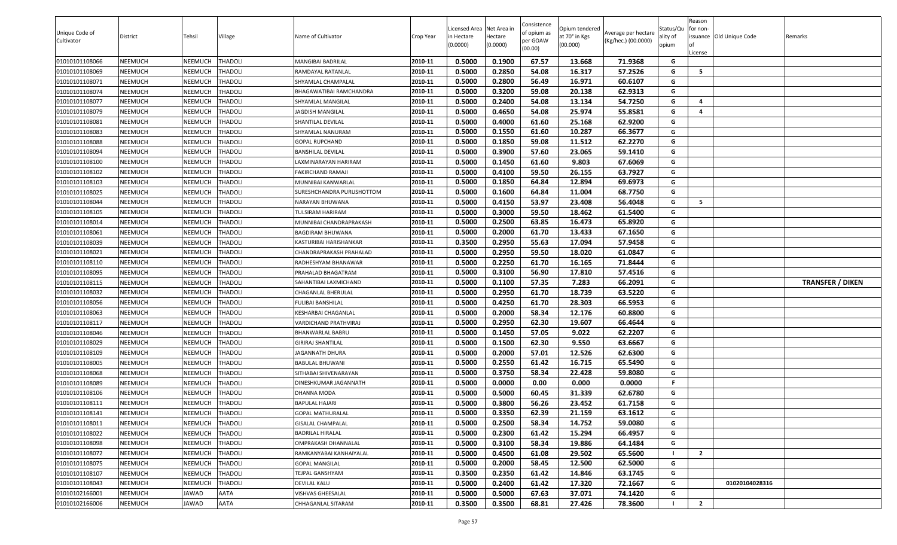| Licensed Area Net Area i<br>Status/Qu<br>Opium tendered<br>for non-<br>of opium as<br>Unique Code of<br>Average per hectare<br>at 70° in Kgs<br>Village<br>Name of Cultivator<br>issuance Old Unique Code<br>District<br>Tehsil<br>Hectare<br>ality of<br>Crop Year<br>in Hectare<br>Remarks<br>per GOAW<br>(Kg/hec.) (00.0000)<br>Cultivator<br>(0.0000)<br>(00.000)<br>(0.0000)<br>opium<br>(00.00)<br>.icense<br>2010-11<br>0.5000<br>0.1900<br>67.57<br>01010101108066<br><b>NEEMUCH</b><br>NEEMUCH<br><b>THADOLI</b><br>13.668<br>71.9368<br>MANGIBAI BADRILAL<br>G<br>2010-11<br>0.5000<br>0.2850<br>54.08<br>16.317<br>57.2526<br>01010101108069<br><b>NEEMUCH</b><br>NEEMUCH<br><b>THADOLI</b><br>G<br>5<br>RAMDAYAL RATANLAL<br>2010-11<br>0.5000<br>0.2800<br>16.971<br>60.6107<br>01010101108071<br><b>NEEMUCH</b><br>NEEMUCH<br><b>THADOLI</b><br>SHYAMLAL CHAMPALAL<br>56.49<br>G<br>2010-11<br>0.5000<br>0.3200<br>59.08<br>G<br><b>NEEMUCH</b><br><b>THADOLI</b><br>20.138<br>62.9313<br>01010101108074<br>NEEMUCH<br>BHAGAWATIBAI RAMCHANDRA<br>2010-11<br>0.5000<br>0.2400<br>54.08<br>13.134<br>54.7250<br><b>NEEMUCH</b><br>NEEMUCH<br><b>THADOLI</b><br>SHYAMLAL MANGILAL<br>G<br>4<br>01010101108077<br>2010-11<br>0.5000<br>55.8581<br><b>NEEMUCH</b><br>NEEMUCH<br>JAGDISH MANGILAL<br>0.4650<br>54.08<br>25.974<br>G<br><b>THADOLI</b><br>4<br>01010101108079<br>2010-11<br>0.5000<br>0.4000<br>61.60<br>25.168<br>62.9200<br>01010101108081<br><b>NEEMUCH</b><br>NEEMUCH<br><b>THADOLI</b><br>G<br><b>SHANTILAL DEVILAL</b><br>0.5000<br>0.1550<br>61.60<br>10.287<br>66.3677<br><b>NEEMUCH</b><br>NEEMUCH<br>2010-11<br>G<br>01010101108083<br><b>THADOLI</b><br>SHYAMLAL NANURAM<br>2010-11<br>0.5000<br>0.1850<br>59.08<br>11.512<br>62.2270<br>01010101108088<br><b>NEEMUCH</b><br>NEEMUCH<br><b>THADOLI</b><br>G<br><b>GOPAL RUPCHAND</b><br>NEEMUCH<br>2010-11<br>0.5000<br>0.3900<br>57.60<br>23.065<br>59.1410<br>01010101108094<br><b>NEEMUCH</b><br><b>THADOLI</b><br>G<br>BANSHILAL DEVILAL<br>0.5000<br>0.1450<br>9.803<br>67.6069<br>01010101108100<br><b>NEEMUCH</b><br>NEEMUCH<br><b>THADOLI</b><br>2010-11<br>61.60<br>G<br>LAXMINARAYAN HARIRAM<br>0.5000<br>59.50<br>26.155<br>63.7927<br><b>NEEMUCH</b><br>0.4100<br>G<br>01010101108102<br>NEEMUCH<br><b>THADOLI</b><br>2010-11<br>FAKIRCHAND RAMAJI<br>0.5000<br>0.1850<br>64.84<br>12.894<br>69.6973<br><b>NEEMUCH</b><br>NEEMUCH<br><b>THADOLI</b><br>2010-11<br>G<br>01010101108103<br>MUNNIBAI KANWARLAL<br>0.5000<br>68.7750<br>0.1600<br>64.84<br>11.004<br>2010-11<br>G<br><b>NEEMUCH</b><br>NEEMUCH<br><b>THADOLI</b><br>SURESHCHANDRA PURUSHOTTOM<br>01010101108025<br>2010-11<br><b>NEEMUCH</b><br>NEEMUCH<br>0.5000<br>0.4150<br>53.97<br>23.408<br>56.4048<br>- 5<br>01010101108044<br><b>THADOLI</b><br>NARAYAN BHUWANA<br>G<br>2010-11<br>0.5000<br>0.3000<br>G<br>01010101108105<br><b>NEEMUCH</b><br>NEEMUCH<br><b>THADOLI</b><br>TULSIRAM HARIRAM<br>59.50<br>18.462<br>61.5400<br>2010-11<br>0.5000<br>0.2500<br>63.85<br>16.473<br>65.8920<br><b>NEEMUCH</b><br>NEEMUCH<br>MUNNIBAI CHANDRAPRAKASH<br>G<br>01010101108014<br><b>THADOLI</b><br>0.5000<br>0.2000<br>13.433<br>67.1650<br>01010101108061<br><b>NEEMUCH</b><br>NEEMUCH<br><b>THADOLI</b><br>2010-11<br>61.70<br>G<br>BAGDIRAM BHUWANA<br>2010-11<br>0.3500<br>0.2950<br>55.63<br>17.094<br>57.9458<br>01010101108039<br><b>NEEMUCH</b><br>NEEMUCH<br><b>THADOLI</b><br>G<br>KASTURIBAI HARISHANKAR<br>0.5000<br><b>NEEMUCH</b><br>NEEMUCH<br><b>THADOLI</b><br>2010-11<br>0.2950<br>59.50<br>18.020<br>61.0847<br>01010101108021<br>CHANDRAPRAKASH PRAHALAD<br>G<br>0.5000<br>0.2250<br>61.70<br>16.165<br><b>NEEMUCH</b><br>71.8444<br>G<br>01010101108110<br>NEEMUCH<br><b>THADOLI</b><br>2010-11<br>RADHESHYAM BHANAWAR<br>0.5000<br>0.3100<br>56.90<br>17.810<br><b>NEEMUCH</b><br>NEEMUCH<br><b>THADOLI</b><br>2010-11<br>57.4516<br>G<br>01010101108095<br>PRAHALAD BHAGATRAM<br><b>NEEMUCH</b><br>NEEMUCH<br>2010-11<br>0.5000<br>0.1100<br>57.35<br>7.283<br>66.2091<br>01010101108115<br><b>THADOLI</b><br>G<br>SAHANTIBAI LAXMICHAND<br><b>TRANSFER / DIKEN</b><br>0.5000<br>0.2950<br>01010101108032<br><b>NEEMUCH</b><br>NEEMUCH<br><b>THADOLI</b><br>2010-11<br>61.70<br>18.739<br>63.5220<br>CHAGANLAL BHERULAL<br>G<br>0.5000<br>0.4250<br>61.70<br>28.303<br>66.5953<br>01010101108056<br><b>NEEMUCH</b><br>NEEMUCH<br><b>THADOLI</b><br>2010-11<br>G<br>FULIBAI BANSHILAL<br>2010-11<br>0.5000<br>0.2000<br>12.176<br>G<br>01010101108063<br><b>NEEMUCH</b><br>NEEMUCH<br><b>THADOLI</b><br>KESHARBAI CHAGANLAL<br>58.34<br>60.8800<br>2010-11<br>NEEMUCH<br>0.5000<br>0.2950<br>62.30<br>19.607<br>66.4644<br>G<br>01010101108117<br><b>NEEMUCH</b><br><b>THADOLI</b><br>VARDICHAND PRATHVIRAJ<br>2010-11<br>0.5000<br>0.1450<br>57.05<br>9.022<br>62.2207<br>01010101108046<br><b>NEEMUCH</b><br>NEEMUCH<br><b>THADOLI</b><br>BHANWARLAL BABRU<br>G<br>2010-11<br>0.5000<br>62.30<br>63.6667<br>G<br><b>NEEMUCH</b><br><b>THADOLI</b><br>0.1500<br>9.550<br>01010101108029<br>NEEMUCH<br>GIRIRAJ SHANTILAL<br>0.5000<br>0.2000<br>57.01<br>12.526<br>62.6300<br>01010101108109<br><b>NEEMUCH</b><br>NEEMUCH<br><b>THADOLI</b><br>2010-11<br>G<br>JAGANNATH DHURA<br>0.5000<br>0.2550<br><b>NEEMUCH</b><br>NEEMUCH<br>2010-11<br>61.42<br>16.715<br>65.5490<br>G<br><b>THADOLI</b><br>01010101108005<br>BABULAL BHUWANI<br><b>NEEMUCH</b><br>2010-11<br>0.5000<br>0.3750<br>58.34<br>22.428<br>59.8080<br>01010101108068<br>NEEMUCH<br><b>THADOLI</b><br>G<br>SITHABAI SHIVENARAYAN<br>0.5000<br>0.0000<br>0.00<br><b>NEEMUCH</b><br>2010-11<br>0.000<br>0.0000<br>F.<br>01010101108089<br>NEEMUCH<br><b>THADOLI</b><br>DINESHKUMAR JAGANNATH<br>2010-11<br>0.5000<br>0.5000<br>31.339<br>01010101108106<br><b>NEEMUCH</b><br>NEEMUCH<br><b>THADOLI</b><br>60.45<br>62.6780<br>G<br>DHANNA MODA<br>2010-11<br>0.5000<br>0.3800<br>56.26<br>23.452<br>61.7158<br>G<br>01010101108111<br><b>NEEMUCH</b><br>NEEMUCH<br><b>THADOLI</b><br>BAPULAL HAJARI<br><b>NEEMUCH</b><br><b>NEEMUCH</b><br><b>THADOLI</b><br>2010-11<br>0.5000<br>0.3350<br>62.39<br>21.159<br>01010101108141<br><b>GOPAL MATHURALAL</b><br>63.1612<br>G<br>2010-11<br>0.5000<br>0.2500<br>58.34<br>59.0080<br>14.752<br>G<br>01010101108011<br><b>NEEMUCH</b><br>NEEMUCH<br><b>THADOLI</b><br><b>GISALAL CHAMPALAL</b><br>2010-11<br>0.5000<br>0.2300<br>61.42<br>15.294<br>66.4957<br>G<br><b>NEEMUCH</b><br>NEEMUCH<br><b>THADOLI</b><br>BADRILAL HIRALAL<br>01010101108022<br>2010-11<br>0.5000<br>0.3100<br>58.34<br>19.886<br>G<br><b>NEEMUCH</b><br>NEEMUCH<br><b>THADOLI</b><br>OMPRAKASH DHANNALAL<br>64.1484<br>01010101108098<br>2010-11<br>0.5000<br><b>NEEMUCH</b><br>NEEMUCH<br><b>THADOLI</b><br>0.4500<br>61.08<br>29.502<br>65.5600<br>$\overline{2}$<br>01010101108072<br>RAMKANYABAI KANHAIYALAL<br>2010-11<br>0.5000<br>0.2000<br>12.500<br>G<br>01010101108075<br><b>NEEMUCH</b><br>NEEMUCH<br><b>THADOLI</b><br><b>GOPAL MANGILAL</b><br>58.45<br>62.5000<br>0.2350<br>0.3500<br>61.42<br>14.846<br>01010101108107<br><b>NEEMUCH</b><br>NEEMUCH<br><b>THADOLI</b><br>2010-11<br>63.1745<br>G<br>TEJPAL GANSHYAM<br>2010-11<br>0.5000<br>0.2400<br>61.42<br>17.320<br>01010101108043<br><b>NEEMUCH</b><br>NEEMUCH<br><b>THADOLI</b><br>72.1667<br>01020104028316<br>DEVILAL KALU<br>G<br>01010102166001<br>AATA<br>2010-11<br>0.5000<br>0.5000<br>37.071<br>74.1420<br><b>NEEMUCH</b><br>JAWAD<br>VISHVAS GHEESALAL<br>67.63<br>G<br>01010102166006<br><b>NEEMUCH</b><br>JAWAD<br><b>AATA</b><br>2010-11<br>0.3500<br>0.3500<br>68.81<br>27.426<br>78.3600<br>$\overline{2}$<br>CHHAGANLAL SITARAM |  |  |  |  | Consistence |  | Reason |  |
|------------------------------------------------------------------------------------------------------------------------------------------------------------------------------------------------------------------------------------------------------------------------------------------------------------------------------------------------------------------------------------------------------------------------------------------------------------------------------------------------------------------------------------------------------------------------------------------------------------------------------------------------------------------------------------------------------------------------------------------------------------------------------------------------------------------------------------------------------------------------------------------------------------------------------------------------------------------------------------------------------------------------------------------------------------------------------------------------------------------------------------------------------------------------------------------------------------------------------------------------------------------------------------------------------------------------------------------------------------------------------------------------------------------------------------------------------------------------------------------------------------------------------------------------------------------------------------------------------------------------------------------------------------------------------------------------------------------------------------------------------------------------------------------------------------------------------------------------------------------------------------------------------------------------------------------------------------------------------------------------------------------------------------------------------------------------------------------------------------------------------------------------------------------------------------------------------------------------------------------------------------------------------------------------------------------------------------------------------------------------------------------------------------------------------------------------------------------------------------------------------------------------------------------------------------------------------------------------------------------------------------------------------------------------------------------------------------------------------------------------------------------------------------------------------------------------------------------------------------------------------------------------------------------------------------------------------------------------------------------------------------------------------------------------------------------------------------------------------------------------------------------------------------------------------------------------------------------------------------------------------------------------------------------------------------------------------------------------------------------------------------------------------------------------------------------------------------------------------------------------------------------------------------------------------------------------------------------------------------------------------------------------------------------------------------------------------------------------------------------------------------------------------------------------------------------------------------------------------------------------------------------------------------------------------------------------------------------------------------------------------------------------------------------------------------------------------------------------------------------------------------------------------------------------------------------------------------------------------------------------------------------------------------------------------------------------------------------------------------------------------------------------------------------------------------------------------------------------------------------------------------------------------------------------------------------------------------------------------------------------------------------------------------------------------------------------------------------------------------------------------------------------------------------------------------------------------------------------------------------------------------------------------------------------------------------------------------------------------------------------------------------------------------------------------------------------------------------------------------------------------------------------------------------------------------------------------------------------------------------------------------------------------------------------------------------------------------------------------------------------------------------------------------------------------------------------------------------------------------------------------------------------------------------------------------------------------------------------------------------------------------------------------------------------------------------------------------------------------------------------------------------------------------------------------------------------------------------------------------------------------------------------------------------------------------------------------------------------------------------------------------------------------------------------------------------------------------------------------------------------------------------------------------------------------------------------------------------------------------------------------------------------------------------------------------------------------------------------------------------------------------------------------------------------------------------------------------------------------------------------------------------------------------------------------------------------------------------------------------------------------------------------------------------------------------------------------------------------------------------------------------------------------------------------------------------------------------------------------------------------------------------------------------------------------------------------------------------------------------------------------------------------------------------------------------------------------------------------------------------------------------------------------------------------------------------------------------------------------------------------------------------------------------------------------------------------------------------------------------------------------------------------------------------------------------------------------------------------------------------------------------------------------------------------------------------------------------------------------------------------------------------------------------------------------------------|--|--|--|--|-------------|--|--------|--|
|                                                                                                                                                                                                                                                                                                                                                                                                                                                                                                                                                                                                                                                                                                                                                                                                                                                                                                                                                                                                                                                                                                                                                                                                                                                                                                                                                                                                                                                                                                                                                                                                                                                                                                                                                                                                                                                                                                                                                                                                                                                                                                                                                                                                                                                                                                                                                                                                                                                                                                                                                                                                                                                                                                                                                                                                                                                                                                                                                                                                                                                                                                                                                                                                                                                                                                                                                                                                                                                                                                                                                                                                                                                                                                                                                                                                                                                                                                                                                                                                                                                                                                                                                                                                                                                                                                                                                                                                                                                                                                                                                                                                                                                                                                                                                                                                                                                                                                                                                                                                                                                                                                                                                                                                                                                                                                                                                                                                                                                                                                                                                                                                                                                                                                                                                                                                                                                                                                                                                                                                                                                                                                                                                                                                                                                                                                                                                                                                                                                                                                                                                                                                                                                                                                                                                                                                                                                                                                                                                                                                                                                                                                                                                                                                                                                                                                                                                                                                                                                                                                                                                                                                                                                                                          |  |  |  |  |             |  |        |  |
|                                                                                                                                                                                                                                                                                                                                                                                                                                                                                                                                                                                                                                                                                                                                                                                                                                                                                                                                                                                                                                                                                                                                                                                                                                                                                                                                                                                                                                                                                                                                                                                                                                                                                                                                                                                                                                                                                                                                                                                                                                                                                                                                                                                                                                                                                                                                                                                                                                                                                                                                                                                                                                                                                                                                                                                                                                                                                                                                                                                                                                                                                                                                                                                                                                                                                                                                                                                                                                                                                                                                                                                                                                                                                                                                                                                                                                                                                                                                                                                                                                                                                                                                                                                                                                                                                                                                                                                                                                                                                                                                                                                                                                                                                                                                                                                                                                                                                                                                                                                                                                                                                                                                                                                                                                                                                                                                                                                                                                                                                                                                                                                                                                                                                                                                                                                                                                                                                                                                                                                                                                                                                                                                                                                                                                                                                                                                                                                                                                                                                                                                                                                                                                                                                                                                                                                                                                                                                                                                                                                                                                                                                                                                                                                                                                                                                                                                                                                                                                                                                                                                                                                                                                                                                          |  |  |  |  |             |  |        |  |
|                                                                                                                                                                                                                                                                                                                                                                                                                                                                                                                                                                                                                                                                                                                                                                                                                                                                                                                                                                                                                                                                                                                                                                                                                                                                                                                                                                                                                                                                                                                                                                                                                                                                                                                                                                                                                                                                                                                                                                                                                                                                                                                                                                                                                                                                                                                                                                                                                                                                                                                                                                                                                                                                                                                                                                                                                                                                                                                                                                                                                                                                                                                                                                                                                                                                                                                                                                                                                                                                                                                                                                                                                                                                                                                                                                                                                                                                                                                                                                                                                                                                                                                                                                                                                                                                                                                                                                                                                                                                                                                                                                                                                                                                                                                                                                                                                                                                                                                                                                                                                                                                                                                                                                                                                                                                                                                                                                                                                                                                                                                                                                                                                                                                                                                                                                                                                                                                                                                                                                                                                                                                                                                                                                                                                                                                                                                                                                                                                                                                                                                                                                                                                                                                                                                                                                                                                                                                                                                                                                                                                                                                                                                                                                                                                                                                                                                                                                                                                                                                                                                                                                                                                                                                                          |  |  |  |  |             |  |        |  |
|                                                                                                                                                                                                                                                                                                                                                                                                                                                                                                                                                                                                                                                                                                                                                                                                                                                                                                                                                                                                                                                                                                                                                                                                                                                                                                                                                                                                                                                                                                                                                                                                                                                                                                                                                                                                                                                                                                                                                                                                                                                                                                                                                                                                                                                                                                                                                                                                                                                                                                                                                                                                                                                                                                                                                                                                                                                                                                                                                                                                                                                                                                                                                                                                                                                                                                                                                                                                                                                                                                                                                                                                                                                                                                                                                                                                                                                                                                                                                                                                                                                                                                                                                                                                                                                                                                                                                                                                                                                                                                                                                                                                                                                                                                                                                                                                                                                                                                                                                                                                                                                                                                                                                                                                                                                                                                                                                                                                                                                                                                                                                                                                                                                                                                                                                                                                                                                                                                                                                                                                                                                                                                                                                                                                                                                                                                                                                                                                                                                                                                                                                                                                                                                                                                                                                                                                                                                                                                                                                                                                                                                                                                                                                                                                                                                                                                                                                                                                                                                                                                                                                                                                                                                                                          |  |  |  |  |             |  |        |  |
|                                                                                                                                                                                                                                                                                                                                                                                                                                                                                                                                                                                                                                                                                                                                                                                                                                                                                                                                                                                                                                                                                                                                                                                                                                                                                                                                                                                                                                                                                                                                                                                                                                                                                                                                                                                                                                                                                                                                                                                                                                                                                                                                                                                                                                                                                                                                                                                                                                                                                                                                                                                                                                                                                                                                                                                                                                                                                                                                                                                                                                                                                                                                                                                                                                                                                                                                                                                                                                                                                                                                                                                                                                                                                                                                                                                                                                                                                                                                                                                                                                                                                                                                                                                                                                                                                                                                                                                                                                                                                                                                                                                                                                                                                                                                                                                                                                                                                                                                                                                                                                                                                                                                                                                                                                                                                                                                                                                                                                                                                                                                                                                                                                                                                                                                                                                                                                                                                                                                                                                                                                                                                                                                                                                                                                                                                                                                                                                                                                                                                                                                                                                                                                                                                                                                                                                                                                                                                                                                                                                                                                                                                                                                                                                                                                                                                                                                                                                                                                                                                                                                                                                                                                                                                          |  |  |  |  |             |  |        |  |
|                                                                                                                                                                                                                                                                                                                                                                                                                                                                                                                                                                                                                                                                                                                                                                                                                                                                                                                                                                                                                                                                                                                                                                                                                                                                                                                                                                                                                                                                                                                                                                                                                                                                                                                                                                                                                                                                                                                                                                                                                                                                                                                                                                                                                                                                                                                                                                                                                                                                                                                                                                                                                                                                                                                                                                                                                                                                                                                                                                                                                                                                                                                                                                                                                                                                                                                                                                                                                                                                                                                                                                                                                                                                                                                                                                                                                                                                                                                                                                                                                                                                                                                                                                                                                                                                                                                                                                                                                                                                                                                                                                                                                                                                                                                                                                                                                                                                                                                                                                                                                                                                                                                                                                                                                                                                                                                                                                                                                                                                                                                                                                                                                                                                                                                                                                                                                                                                                                                                                                                                                                                                                                                                                                                                                                                                                                                                                                                                                                                                                                                                                                                                                                                                                                                                                                                                                                                                                                                                                                                                                                                                                                                                                                                                                                                                                                                                                                                                                                                                                                                                                                                                                                                                                          |  |  |  |  |             |  |        |  |
|                                                                                                                                                                                                                                                                                                                                                                                                                                                                                                                                                                                                                                                                                                                                                                                                                                                                                                                                                                                                                                                                                                                                                                                                                                                                                                                                                                                                                                                                                                                                                                                                                                                                                                                                                                                                                                                                                                                                                                                                                                                                                                                                                                                                                                                                                                                                                                                                                                                                                                                                                                                                                                                                                                                                                                                                                                                                                                                                                                                                                                                                                                                                                                                                                                                                                                                                                                                                                                                                                                                                                                                                                                                                                                                                                                                                                                                                                                                                                                                                                                                                                                                                                                                                                                                                                                                                                                                                                                                                                                                                                                                                                                                                                                                                                                                                                                                                                                                                                                                                                                                                                                                                                                                                                                                                                                                                                                                                                                                                                                                                                                                                                                                                                                                                                                                                                                                                                                                                                                                                                                                                                                                                                                                                                                                                                                                                                                                                                                                                                                                                                                                                                                                                                                                                                                                                                                                                                                                                                                                                                                                                                                                                                                                                                                                                                                                                                                                                                                                                                                                                                                                                                                                                                          |  |  |  |  |             |  |        |  |
|                                                                                                                                                                                                                                                                                                                                                                                                                                                                                                                                                                                                                                                                                                                                                                                                                                                                                                                                                                                                                                                                                                                                                                                                                                                                                                                                                                                                                                                                                                                                                                                                                                                                                                                                                                                                                                                                                                                                                                                                                                                                                                                                                                                                                                                                                                                                                                                                                                                                                                                                                                                                                                                                                                                                                                                                                                                                                                                                                                                                                                                                                                                                                                                                                                                                                                                                                                                                                                                                                                                                                                                                                                                                                                                                                                                                                                                                                                                                                                                                                                                                                                                                                                                                                                                                                                                                                                                                                                                                                                                                                                                                                                                                                                                                                                                                                                                                                                                                                                                                                                                                                                                                                                                                                                                                                                                                                                                                                                                                                                                                                                                                                                                                                                                                                                                                                                                                                                                                                                                                                                                                                                                                                                                                                                                                                                                                                                                                                                                                                                                                                                                                                                                                                                                                                                                                                                                                                                                                                                                                                                                                                                                                                                                                                                                                                                                                                                                                                                                                                                                                                                                                                                                                                          |  |  |  |  |             |  |        |  |
|                                                                                                                                                                                                                                                                                                                                                                                                                                                                                                                                                                                                                                                                                                                                                                                                                                                                                                                                                                                                                                                                                                                                                                                                                                                                                                                                                                                                                                                                                                                                                                                                                                                                                                                                                                                                                                                                                                                                                                                                                                                                                                                                                                                                                                                                                                                                                                                                                                                                                                                                                                                                                                                                                                                                                                                                                                                                                                                                                                                                                                                                                                                                                                                                                                                                                                                                                                                                                                                                                                                                                                                                                                                                                                                                                                                                                                                                                                                                                                                                                                                                                                                                                                                                                                                                                                                                                                                                                                                                                                                                                                                                                                                                                                                                                                                                                                                                                                                                                                                                                                                                                                                                                                                                                                                                                                                                                                                                                                                                                                                                                                                                                                                                                                                                                                                                                                                                                                                                                                                                                                                                                                                                                                                                                                                                                                                                                                                                                                                                                                                                                                                                                                                                                                                                                                                                                                                                                                                                                                                                                                                                                                                                                                                                                                                                                                                                                                                                                                                                                                                                                                                                                                                                                          |  |  |  |  |             |  |        |  |
|                                                                                                                                                                                                                                                                                                                                                                                                                                                                                                                                                                                                                                                                                                                                                                                                                                                                                                                                                                                                                                                                                                                                                                                                                                                                                                                                                                                                                                                                                                                                                                                                                                                                                                                                                                                                                                                                                                                                                                                                                                                                                                                                                                                                                                                                                                                                                                                                                                                                                                                                                                                                                                                                                                                                                                                                                                                                                                                                                                                                                                                                                                                                                                                                                                                                                                                                                                                                                                                                                                                                                                                                                                                                                                                                                                                                                                                                                                                                                                                                                                                                                                                                                                                                                                                                                                                                                                                                                                                                                                                                                                                                                                                                                                                                                                                                                                                                                                                                                                                                                                                                                                                                                                                                                                                                                                                                                                                                                                                                                                                                                                                                                                                                                                                                                                                                                                                                                                                                                                                                                                                                                                                                                                                                                                                                                                                                                                                                                                                                                                                                                                                                                                                                                                                                                                                                                                                                                                                                                                                                                                                                                                                                                                                                                                                                                                                                                                                                                                                                                                                                                                                                                                                                                          |  |  |  |  |             |  |        |  |
|                                                                                                                                                                                                                                                                                                                                                                                                                                                                                                                                                                                                                                                                                                                                                                                                                                                                                                                                                                                                                                                                                                                                                                                                                                                                                                                                                                                                                                                                                                                                                                                                                                                                                                                                                                                                                                                                                                                                                                                                                                                                                                                                                                                                                                                                                                                                                                                                                                                                                                                                                                                                                                                                                                                                                                                                                                                                                                                                                                                                                                                                                                                                                                                                                                                                                                                                                                                                                                                                                                                                                                                                                                                                                                                                                                                                                                                                                                                                                                                                                                                                                                                                                                                                                                                                                                                                                                                                                                                                                                                                                                                                                                                                                                                                                                                                                                                                                                                                                                                                                                                                                                                                                                                                                                                                                                                                                                                                                                                                                                                                                                                                                                                                                                                                                                                                                                                                                                                                                                                                                                                                                                                                                                                                                                                                                                                                                                                                                                                                                                                                                                                                                                                                                                                                                                                                                                                                                                                                                                                                                                                                                                                                                                                                                                                                                                                                                                                                                                                                                                                                                                                                                                                                                          |  |  |  |  |             |  |        |  |
|                                                                                                                                                                                                                                                                                                                                                                                                                                                                                                                                                                                                                                                                                                                                                                                                                                                                                                                                                                                                                                                                                                                                                                                                                                                                                                                                                                                                                                                                                                                                                                                                                                                                                                                                                                                                                                                                                                                                                                                                                                                                                                                                                                                                                                                                                                                                                                                                                                                                                                                                                                                                                                                                                                                                                                                                                                                                                                                                                                                                                                                                                                                                                                                                                                                                                                                                                                                                                                                                                                                                                                                                                                                                                                                                                                                                                                                                                                                                                                                                                                                                                                                                                                                                                                                                                                                                                                                                                                                                                                                                                                                                                                                                                                                                                                                                                                                                                                                                                                                                                                                                                                                                                                                                                                                                                                                                                                                                                                                                                                                                                                                                                                                                                                                                                                                                                                                                                                                                                                                                                                                                                                                                                                                                                                                                                                                                                                                                                                                                                                                                                                                                                                                                                                                                                                                                                                                                                                                                                                                                                                                                                                                                                                                                                                                                                                                                                                                                                                                                                                                                                                                                                                                                                          |  |  |  |  |             |  |        |  |
|                                                                                                                                                                                                                                                                                                                                                                                                                                                                                                                                                                                                                                                                                                                                                                                                                                                                                                                                                                                                                                                                                                                                                                                                                                                                                                                                                                                                                                                                                                                                                                                                                                                                                                                                                                                                                                                                                                                                                                                                                                                                                                                                                                                                                                                                                                                                                                                                                                                                                                                                                                                                                                                                                                                                                                                                                                                                                                                                                                                                                                                                                                                                                                                                                                                                                                                                                                                                                                                                                                                                                                                                                                                                                                                                                                                                                                                                                                                                                                                                                                                                                                                                                                                                                                                                                                                                                                                                                                                                                                                                                                                                                                                                                                                                                                                                                                                                                                                                                                                                                                                                                                                                                                                                                                                                                                                                                                                                                                                                                                                                                                                                                                                                                                                                                                                                                                                                                                                                                                                                                                                                                                                                                                                                                                                                                                                                                                                                                                                                                                                                                                                                                                                                                                                                                                                                                                                                                                                                                                                                                                                                                                                                                                                                                                                                                                                                                                                                                                                                                                                                                                                                                                                                                          |  |  |  |  |             |  |        |  |
|                                                                                                                                                                                                                                                                                                                                                                                                                                                                                                                                                                                                                                                                                                                                                                                                                                                                                                                                                                                                                                                                                                                                                                                                                                                                                                                                                                                                                                                                                                                                                                                                                                                                                                                                                                                                                                                                                                                                                                                                                                                                                                                                                                                                                                                                                                                                                                                                                                                                                                                                                                                                                                                                                                                                                                                                                                                                                                                                                                                                                                                                                                                                                                                                                                                                                                                                                                                                                                                                                                                                                                                                                                                                                                                                                                                                                                                                                                                                                                                                                                                                                                                                                                                                                                                                                                                                                                                                                                                                                                                                                                                                                                                                                                                                                                                                                                                                                                                                                                                                                                                                                                                                                                                                                                                                                                                                                                                                                                                                                                                                                                                                                                                                                                                                                                                                                                                                                                                                                                                                                                                                                                                                                                                                                                                                                                                                                                                                                                                                                                                                                                                                                                                                                                                                                                                                                                                                                                                                                                                                                                                                                                                                                                                                                                                                                                                                                                                                                                                                                                                                                                                                                                                                                          |  |  |  |  |             |  |        |  |
|                                                                                                                                                                                                                                                                                                                                                                                                                                                                                                                                                                                                                                                                                                                                                                                                                                                                                                                                                                                                                                                                                                                                                                                                                                                                                                                                                                                                                                                                                                                                                                                                                                                                                                                                                                                                                                                                                                                                                                                                                                                                                                                                                                                                                                                                                                                                                                                                                                                                                                                                                                                                                                                                                                                                                                                                                                                                                                                                                                                                                                                                                                                                                                                                                                                                                                                                                                                                                                                                                                                                                                                                                                                                                                                                                                                                                                                                                                                                                                                                                                                                                                                                                                                                                                                                                                                                                                                                                                                                                                                                                                                                                                                                                                                                                                                                                                                                                                                                                                                                                                                                                                                                                                                                                                                                                                                                                                                                                                                                                                                                                                                                                                                                                                                                                                                                                                                                                                                                                                                                                                                                                                                                                                                                                                                                                                                                                                                                                                                                                                                                                                                                                                                                                                                                                                                                                                                                                                                                                                                                                                                                                                                                                                                                                                                                                                                                                                                                                                                                                                                                                                                                                                                                                          |  |  |  |  |             |  |        |  |
|                                                                                                                                                                                                                                                                                                                                                                                                                                                                                                                                                                                                                                                                                                                                                                                                                                                                                                                                                                                                                                                                                                                                                                                                                                                                                                                                                                                                                                                                                                                                                                                                                                                                                                                                                                                                                                                                                                                                                                                                                                                                                                                                                                                                                                                                                                                                                                                                                                                                                                                                                                                                                                                                                                                                                                                                                                                                                                                                                                                                                                                                                                                                                                                                                                                                                                                                                                                                                                                                                                                                                                                                                                                                                                                                                                                                                                                                                                                                                                                                                                                                                                                                                                                                                                                                                                                                                                                                                                                                                                                                                                                                                                                                                                                                                                                                                                                                                                                                                                                                                                                                                                                                                                                                                                                                                                                                                                                                                                                                                                                                                                                                                                                                                                                                                                                                                                                                                                                                                                                                                                                                                                                                                                                                                                                                                                                                                                                                                                                                                                                                                                                                                                                                                                                                                                                                                                                                                                                                                                                                                                                                                                                                                                                                                                                                                                                                                                                                                                                                                                                                                                                                                                                                                          |  |  |  |  |             |  |        |  |
|                                                                                                                                                                                                                                                                                                                                                                                                                                                                                                                                                                                                                                                                                                                                                                                                                                                                                                                                                                                                                                                                                                                                                                                                                                                                                                                                                                                                                                                                                                                                                                                                                                                                                                                                                                                                                                                                                                                                                                                                                                                                                                                                                                                                                                                                                                                                                                                                                                                                                                                                                                                                                                                                                                                                                                                                                                                                                                                                                                                                                                                                                                                                                                                                                                                                                                                                                                                                                                                                                                                                                                                                                                                                                                                                                                                                                                                                                                                                                                                                                                                                                                                                                                                                                                                                                                                                                                                                                                                                                                                                                                                                                                                                                                                                                                                                                                                                                                                                                                                                                                                                                                                                                                                                                                                                                                                                                                                                                                                                                                                                                                                                                                                                                                                                                                                                                                                                                                                                                                                                                                                                                                                                                                                                                                                                                                                                                                                                                                                                                                                                                                                                                                                                                                                                                                                                                                                                                                                                                                                                                                                                                                                                                                                                                                                                                                                                                                                                                                                                                                                                                                                                                                                                                          |  |  |  |  |             |  |        |  |
|                                                                                                                                                                                                                                                                                                                                                                                                                                                                                                                                                                                                                                                                                                                                                                                                                                                                                                                                                                                                                                                                                                                                                                                                                                                                                                                                                                                                                                                                                                                                                                                                                                                                                                                                                                                                                                                                                                                                                                                                                                                                                                                                                                                                                                                                                                                                                                                                                                                                                                                                                                                                                                                                                                                                                                                                                                                                                                                                                                                                                                                                                                                                                                                                                                                                                                                                                                                                                                                                                                                                                                                                                                                                                                                                                                                                                                                                                                                                                                                                                                                                                                                                                                                                                                                                                                                                                                                                                                                                                                                                                                                                                                                                                                                                                                                                                                                                                                                                                                                                                                                                                                                                                                                                                                                                                                                                                                                                                                                                                                                                                                                                                                                                                                                                                                                                                                                                                                                                                                                                                                                                                                                                                                                                                                                                                                                                                                                                                                                                                                                                                                                                                                                                                                                                                                                                                                                                                                                                                                                                                                                                                                                                                                                                                                                                                                                                                                                                                                                                                                                                                                                                                                                                                          |  |  |  |  |             |  |        |  |
|                                                                                                                                                                                                                                                                                                                                                                                                                                                                                                                                                                                                                                                                                                                                                                                                                                                                                                                                                                                                                                                                                                                                                                                                                                                                                                                                                                                                                                                                                                                                                                                                                                                                                                                                                                                                                                                                                                                                                                                                                                                                                                                                                                                                                                                                                                                                                                                                                                                                                                                                                                                                                                                                                                                                                                                                                                                                                                                                                                                                                                                                                                                                                                                                                                                                                                                                                                                                                                                                                                                                                                                                                                                                                                                                                                                                                                                                                                                                                                                                                                                                                                                                                                                                                                                                                                                                                                                                                                                                                                                                                                                                                                                                                                                                                                                                                                                                                                                                                                                                                                                                                                                                                                                                                                                                                                                                                                                                                                                                                                                                                                                                                                                                                                                                                                                                                                                                                                                                                                                                                                                                                                                                                                                                                                                                                                                                                                                                                                                                                                                                                                                                                                                                                                                                                                                                                                                                                                                                                                                                                                                                                                                                                                                                                                                                                                                                                                                                                                                                                                                                                                                                                                                                                          |  |  |  |  |             |  |        |  |
|                                                                                                                                                                                                                                                                                                                                                                                                                                                                                                                                                                                                                                                                                                                                                                                                                                                                                                                                                                                                                                                                                                                                                                                                                                                                                                                                                                                                                                                                                                                                                                                                                                                                                                                                                                                                                                                                                                                                                                                                                                                                                                                                                                                                                                                                                                                                                                                                                                                                                                                                                                                                                                                                                                                                                                                                                                                                                                                                                                                                                                                                                                                                                                                                                                                                                                                                                                                                                                                                                                                                                                                                                                                                                                                                                                                                                                                                                                                                                                                                                                                                                                                                                                                                                                                                                                                                                                                                                                                                                                                                                                                                                                                                                                                                                                                                                                                                                                                                                                                                                                                                                                                                                                                                                                                                                                                                                                                                                                                                                                                                                                                                                                                                                                                                                                                                                                                                                                                                                                                                                                                                                                                                                                                                                                                                                                                                                                                                                                                                                                                                                                                                                                                                                                                                                                                                                                                                                                                                                                                                                                                                                                                                                                                                                                                                                                                                                                                                                                                                                                                                                                                                                                                                                          |  |  |  |  |             |  |        |  |
|                                                                                                                                                                                                                                                                                                                                                                                                                                                                                                                                                                                                                                                                                                                                                                                                                                                                                                                                                                                                                                                                                                                                                                                                                                                                                                                                                                                                                                                                                                                                                                                                                                                                                                                                                                                                                                                                                                                                                                                                                                                                                                                                                                                                                                                                                                                                                                                                                                                                                                                                                                                                                                                                                                                                                                                                                                                                                                                                                                                                                                                                                                                                                                                                                                                                                                                                                                                                                                                                                                                                                                                                                                                                                                                                                                                                                                                                                                                                                                                                                                                                                                                                                                                                                                                                                                                                                                                                                                                                                                                                                                                                                                                                                                                                                                                                                                                                                                                                                                                                                                                                                                                                                                                                                                                                                                                                                                                                                                                                                                                                                                                                                                                                                                                                                                                                                                                                                                                                                                                                                                                                                                                                                                                                                                                                                                                                                                                                                                                                                                                                                                                                                                                                                                                                                                                                                                                                                                                                                                                                                                                                                                                                                                                                                                                                                                                                                                                                                                                                                                                                                                                                                                                                                          |  |  |  |  |             |  |        |  |
|                                                                                                                                                                                                                                                                                                                                                                                                                                                                                                                                                                                                                                                                                                                                                                                                                                                                                                                                                                                                                                                                                                                                                                                                                                                                                                                                                                                                                                                                                                                                                                                                                                                                                                                                                                                                                                                                                                                                                                                                                                                                                                                                                                                                                                                                                                                                                                                                                                                                                                                                                                                                                                                                                                                                                                                                                                                                                                                                                                                                                                                                                                                                                                                                                                                                                                                                                                                                                                                                                                                                                                                                                                                                                                                                                                                                                                                                                                                                                                                                                                                                                                                                                                                                                                                                                                                                                                                                                                                                                                                                                                                                                                                                                                                                                                                                                                                                                                                                                                                                                                                                                                                                                                                                                                                                                                                                                                                                                                                                                                                                                                                                                                                                                                                                                                                                                                                                                                                                                                                                                                                                                                                                                                                                                                                                                                                                                                                                                                                                                                                                                                                                                                                                                                                                                                                                                                                                                                                                                                                                                                                                                                                                                                                                                                                                                                                                                                                                                                                                                                                                                                                                                                                                                          |  |  |  |  |             |  |        |  |
|                                                                                                                                                                                                                                                                                                                                                                                                                                                                                                                                                                                                                                                                                                                                                                                                                                                                                                                                                                                                                                                                                                                                                                                                                                                                                                                                                                                                                                                                                                                                                                                                                                                                                                                                                                                                                                                                                                                                                                                                                                                                                                                                                                                                                                                                                                                                                                                                                                                                                                                                                                                                                                                                                                                                                                                                                                                                                                                                                                                                                                                                                                                                                                                                                                                                                                                                                                                                                                                                                                                                                                                                                                                                                                                                                                                                                                                                                                                                                                                                                                                                                                                                                                                                                                                                                                                                                                                                                                                                                                                                                                                                                                                                                                                                                                                                                                                                                                                                                                                                                                                                                                                                                                                                                                                                                                                                                                                                                                                                                                                                                                                                                                                                                                                                                                                                                                                                                                                                                                                                                                                                                                                                                                                                                                                                                                                                                                                                                                                                                                                                                                                                                                                                                                                                                                                                                                                                                                                                                                                                                                                                                                                                                                                                                                                                                                                                                                                                                                                                                                                                                                                                                                                                                          |  |  |  |  |             |  |        |  |
|                                                                                                                                                                                                                                                                                                                                                                                                                                                                                                                                                                                                                                                                                                                                                                                                                                                                                                                                                                                                                                                                                                                                                                                                                                                                                                                                                                                                                                                                                                                                                                                                                                                                                                                                                                                                                                                                                                                                                                                                                                                                                                                                                                                                                                                                                                                                                                                                                                                                                                                                                                                                                                                                                                                                                                                                                                                                                                                                                                                                                                                                                                                                                                                                                                                                                                                                                                                                                                                                                                                                                                                                                                                                                                                                                                                                                                                                                                                                                                                                                                                                                                                                                                                                                                                                                                                                                                                                                                                                                                                                                                                                                                                                                                                                                                                                                                                                                                                                                                                                                                                                                                                                                                                                                                                                                                                                                                                                                                                                                                                                                                                                                                                                                                                                                                                                                                                                                                                                                                                                                                                                                                                                                                                                                                                                                                                                                                                                                                                                                                                                                                                                                                                                                                                                                                                                                                                                                                                                                                                                                                                                                                                                                                                                                                                                                                                                                                                                                                                                                                                                                                                                                                                                                          |  |  |  |  |             |  |        |  |
|                                                                                                                                                                                                                                                                                                                                                                                                                                                                                                                                                                                                                                                                                                                                                                                                                                                                                                                                                                                                                                                                                                                                                                                                                                                                                                                                                                                                                                                                                                                                                                                                                                                                                                                                                                                                                                                                                                                                                                                                                                                                                                                                                                                                                                                                                                                                                                                                                                                                                                                                                                                                                                                                                                                                                                                                                                                                                                                                                                                                                                                                                                                                                                                                                                                                                                                                                                                                                                                                                                                                                                                                                                                                                                                                                                                                                                                                                                                                                                                                                                                                                                                                                                                                                                                                                                                                                                                                                                                                                                                                                                                                                                                                                                                                                                                                                                                                                                                                                                                                                                                                                                                                                                                                                                                                                                                                                                                                                                                                                                                                                                                                                                                                                                                                                                                                                                                                                                                                                                                                                                                                                                                                                                                                                                                                                                                                                                                                                                                                                                                                                                                                                                                                                                                                                                                                                                                                                                                                                                                                                                                                                                                                                                                                                                                                                                                                                                                                                                                                                                                                                                                                                                                                                          |  |  |  |  |             |  |        |  |
|                                                                                                                                                                                                                                                                                                                                                                                                                                                                                                                                                                                                                                                                                                                                                                                                                                                                                                                                                                                                                                                                                                                                                                                                                                                                                                                                                                                                                                                                                                                                                                                                                                                                                                                                                                                                                                                                                                                                                                                                                                                                                                                                                                                                                                                                                                                                                                                                                                                                                                                                                                                                                                                                                                                                                                                                                                                                                                                                                                                                                                                                                                                                                                                                                                                                                                                                                                                                                                                                                                                                                                                                                                                                                                                                                                                                                                                                                                                                                                                                                                                                                                                                                                                                                                                                                                                                                                                                                                                                                                                                                                                                                                                                                                                                                                                                                                                                                                                                                                                                                                                                                                                                                                                                                                                                                                                                                                                                                                                                                                                                                                                                                                                                                                                                                                                                                                                                                                                                                                                                                                                                                                                                                                                                                                                                                                                                                                                                                                                                                                                                                                                                                                                                                                                                                                                                                                                                                                                                                                                                                                                                                                                                                                                                                                                                                                                                                                                                                                                                                                                                                                                                                                                                                          |  |  |  |  |             |  |        |  |
|                                                                                                                                                                                                                                                                                                                                                                                                                                                                                                                                                                                                                                                                                                                                                                                                                                                                                                                                                                                                                                                                                                                                                                                                                                                                                                                                                                                                                                                                                                                                                                                                                                                                                                                                                                                                                                                                                                                                                                                                                                                                                                                                                                                                                                                                                                                                                                                                                                                                                                                                                                                                                                                                                                                                                                                                                                                                                                                                                                                                                                                                                                                                                                                                                                                                                                                                                                                                                                                                                                                                                                                                                                                                                                                                                                                                                                                                                                                                                                                                                                                                                                                                                                                                                                                                                                                                                                                                                                                                                                                                                                                                                                                                                                                                                                                                                                                                                                                                                                                                                                                                                                                                                                                                                                                                                                                                                                                                                                                                                                                                                                                                                                                                                                                                                                                                                                                                                                                                                                                                                                                                                                                                                                                                                                                                                                                                                                                                                                                                                                                                                                                                                                                                                                                                                                                                                                                                                                                                                                                                                                                                                                                                                                                                                                                                                                                                                                                                                                                                                                                                                                                                                                                                                          |  |  |  |  |             |  |        |  |
|                                                                                                                                                                                                                                                                                                                                                                                                                                                                                                                                                                                                                                                                                                                                                                                                                                                                                                                                                                                                                                                                                                                                                                                                                                                                                                                                                                                                                                                                                                                                                                                                                                                                                                                                                                                                                                                                                                                                                                                                                                                                                                                                                                                                                                                                                                                                                                                                                                                                                                                                                                                                                                                                                                                                                                                                                                                                                                                                                                                                                                                                                                                                                                                                                                                                                                                                                                                                                                                                                                                                                                                                                                                                                                                                                                                                                                                                                                                                                                                                                                                                                                                                                                                                                                                                                                                                                                                                                                                                                                                                                                                                                                                                                                                                                                                                                                                                                                                                                                                                                                                                                                                                                                                                                                                                                                                                                                                                                                                                                                                                                                                                                                                                                                                                                                                                                                                                                                                                                                                                                                                                                                                                                                                                                                                                                                                                                                                                                                                                                                                                                                                                                                                                                                                                                                                                                                                                                                                                                                                                                                                                                                                                                                                                                                                                                                                                                                                                                                                                                                                                                                                                                                                                                          |  |  |  |  |             |  |        |  |
|                                                                                                                                                                                                                                                                                                                                                                                                                                                                                                                                                                                                                                                                                                                                                                                                                                                                                                                                                                                                                                                                                                                                                                                                                                                                                                                                                                                                                                                                                                                                                                                                                                                                                                                                                                                                                                                                                                                                                                                                                                                                                                                                                                                                                                                                                                                                                                                                                                                                                                                                                                                                                                                                                                                                                                                                                                                                                                                                                                                                                                                                                                                                                                                                                                                                                                                                                                                                                                                                                                                                                                                                                                                                                                                                                                                                                                                                                                                                                                                                                                                                                                                                                                                                                                                                                                                                                                                                                                                                                                                                                                                                                                                                                                                                                                                                                                                                                                                                                                                                                                                                                                                                                                                                                                                                                                                                                                                                                                                                                                                                                                                                                                                                                                                                                                                                                                                                                                                                                                                                                                                                                                                                                                                                                                                                                                                                                                                                                                                                                                                                                                                                                                                                                                                                                                                                                                                                                                                                                                                                                                                                                                                                                                                                                                                                                                                                                                                                                                                                                                                                                                                                                                                                                          |  |  |  |  |             |  |        |  |
|                                                                                                                                                                                                                                                                                                                                                                                                                                                                                                                                                                                                                                                                                                                                                                                                                                                                                                                                                                                                                                                                                                                                                                                                                                                                                                                                                                                                                                                                                                                                                                                                                                                                                                                                                                                                                                                                                                                                                                                                                                                                                                                                                                                                                                                                                                                                                                                                                                                                                                                                                                                                                                                                                                                                                                                                                                                                                                                                                                                                                                                                                                                                                                                                                                                                                                                                                                                                                                                                                                                                                                                                                                                                                                                                                                                                                                                                                                                                                                                                                                                                                                                                                                                                                                                                                                                                                                                                                                                                                                                                                                                                                                                                                                                                                                                                                                                                                                                                                                                                                                                                                                                                                                                                                                                                                                                                                                                                                                                                                                                                                                                                                                                                                                                                                                                                                                                                                                                                                                                                                                                                                                                                                                                                                                                                                                                                                                                                                                                                                                                                                                                                                                                                                                                                                                                                                                                                                                                                                                                                                                                                                                                                                                                                                                                                                                                                                                                                                                                                                                                                                                                                                                                                                          |  |  |  |  |             |  |        |  |
|                                                                                                                                                                                                                                                                                                                                                                                                                                                                                                                                                                                                                                                                                                                                                                                                                                                                                                                                                                                                                                                                                                                                                                                                                                                                                                                                                                                                                                                                                                                                                                                                                                                                                                                                                                                                                                                                                                                                                                                                                                                                                                                                                                                                                                                                                                                                                                                                                                                                                                                                                                                                                                                                                                                                                                                                                                                                                                                                                                                                                                                                                                                                                                                                                                                                                                                                                                                                                                                                                                                                                                                                                                                                                                                                                                                                                                                                                                                                                                                                                                                                                                                                                                                                                                                                                                                                                                                                                                                                                                                                                                                                                                                                                                                                                                                                                                                                                                                                                                                                                                                                                                                                                                                                                                                                                                                                                                                                                                                                                                                                                                                                                                                                                                                                                                                                                                                                                                                                                                                                                                                                                                                                                                                                                                                                                                                                                                                                                                                                                                                                                                                                                                                                                                                                                                                                                                                                                                                                                                                                                                                                                                                                                                                                                                                                                                                                                                                                                                                                                                                                                                                                                                                                                          |  |  |  |  |             |  |        |  |
|                                                                                                                                                                                                                                                                                                                                                                                                                                                                                                                                                                                                                                                                                                                                                                                                                                                                                                                                                                                                                                                                                                                                                                                                                                                                                                                                                                                                                                                                                                                                                                                                                                                                                                                                                                                                                                                                                                                                                                                                                                                                                                                                                                                                                                                                                                                                                                                                                                                                                                                                                                                                                                                                                                                                                                                                                                                                                                                                                                                                                                                                                                                                                                                                                                                                                                                                                                                                                                                                                                                                                                                                                                                                                                                                                                                                                                                                                                                                                                                                                                                                                                                                                                                                                                                                                                                                                                                                                                                                                                                                                                                                                                                                                                                                                                                                                                                                                                                                                                                                                                                                                                                                                                                                                                                                                                                                                                                                                                                                                                                                                                                                                                                                                                                                                                                                                                                                                                                                                                                                                                                                                                                                                                                                                                                                                                                                                                                                                                                                                                                                                                                                                                                                                                                                                                                                                                                                                                                                                                                                                                                                                                                                                                                                                                                                                                                                                                                                                                                                                                                                                                                                                                                                                          |  |  |  |  |             |  |        |  |
|                                                                                                                                                                                                                                                                                                                                                                                                                                                                                                                                                                                                                                                                                                                                                                                                                                                                                                                                                                                                                                                                                                                                                                                                                                                                                                                                                                                                                                                                                                                                                                                                                                                                                                                                                                                                                                                                                                                                                                                                                                                                                                                                                                                                                                                                                                                                                                                                                                                                                                                                                                                                                                                                                                                                                                                                                                                                                                                                                                                                                                                                                                                                                                                                                                                                                                                                                                                                                                                                                                                                                                                                                                                                                                                                                                                                                                                                                                                                                                                                                                                                                                                                                                                                                                                                                                                                                                                                                                                                                                                                                                                                                                                                                                                                                                                                                                                                                                                                                                                                                                                                                                                                                                                                                                                                                                                                                                                                                                                                                                                                                                                                                                                                                                                                                                                                                                                                                                                                                                                                                                                                                                                                                                                                                                                                                                                                                                                                                                                                                                                                                                                                                                                                                                                                                                                                                                                                                                                                                                                                                                                                                                                                                                                                                                                                                                                                                                                                                                                                                                                                                                                                                                                                                          |  |  |  |  |             |  |        |  |
|                                                                                                                                                                                                                                                                                                                                                                                                                                                                                                                                                                                                                                                                                                                                                                                                                                                                                                                                                                                                                                                                                                                                                                                                                                                                                                                                                                                                                                                                                                                                                                                                                                                                                                                                                                                                                                                                                                                                                                                                                                                                                                                                                                                                                                                                                                                                                                                                                                                                                                                                                                                                                                                                                                                                                                                                                                                                                                                                                                                                                                                                                                                                                                                                                                                                                                                                                                                                                                                                                                                                                                                                                                                                                                                                                                                                                                                                                                                                                                                                                                                                                                                                                                                                                                                                                                                                                                                                                                                                                                                                                                                                                                                                                                                                                                                                                                                                                                                                                                                                                                                                                                                                                                                                                                                                                                                                                                                                                                                                                                                                                                                                                                                                                                                                                                                                                                                                                                                                                                                                                                                                                                                                                                                                                                                                                                                                                                                                                                                                                                                                                                                                                                                                                                                                                                                                                                                                                                                                                                                                                                                                                                                                                                                                                                                                                                                                                                                                                                                                                                                                                                                                                                                                                          |  |  |  |  |             |  |        |  |
|                                                                                                                                                                                                                                                                                                                                                                                                                                                                                                                                                                                                                                                                                                                                                                                                                                                                                                                                                                                                                                                                                                                                                                                                                                                                                                                                                                                                                                                                                                                                                                                                                                                                                                                                                                                                                                                                                                                                                                                                                                                                                                                                                                                                                                                                                                                                                                                                                                                                                                                                                                                                                                                                                                                                                                                                                                                                                                                                                                                                                                                                                                                                                                                                                                                                                                                                                                                                                                                                                                                                                                                                                                                                                                                                                                                                                                                                                                                                                                                                                                                                                                                                                                                                                                                                                                                                                                                                                                                                                                                                                                                                                                                                                                                                                                                                                                                                                                                                                                                                                                                                                                                                                                                                                                                                                                                                                                                                                                                                                                                                                                                                                                                                                                                                                                                                                                                                                                                                                                                                                                                                                                                                                                                                                                                                                                                                                                                                                                                                                                                                                                                                                                                                                                                                                                                                                                                                                                                                                                                                                                                                                                                                                                                                                                                                                                                                                                                                                                                                                                                                                                                                                                                                                          |  |  |  |  |             |  |        |  |
|                                                                                                                                                                                                                                                                                                                                                                                                                                                                                                                                                                                                                                                                                                                                                                                                                                                                                                                                                                                                                                                                                                                                                                                                                                                                                                                                                                                                                                                                                                                                                                                                                                                                                                                                                                                                                                                                                                                                                                                                                                                                                                                                                                                                                                                                                                                                                                                                                                                                                                                                                                                                                                                                                                                                                                                                                                                                                                                                                                                                                                                                                                                                                                                                                                                                                                                                                                                                                                                                                                                                                                                                                                                                                                                                                                                                                                                                                                                                                                                                                                                                                                                                                                                                                                                                                                                                                                                                                                                                                                                                                                                                                                                                                                                                                                                                                                                                                                                                                                                                                                                                                                                                                                                                                                                                                                                                                                                                                                                                                                                                                                                                                                                                                                                                                                                                                                                                                                                                                                                                                                                                                                                                                                                                                                                                                                                                                                                                                                                                                                                                                                                                                                                                                                                                                                                                                                                                                                                                                                                                                                                                                                                                                                                                                                                                                                                                                                                                                                                                                                                                                                                                                                                                                          |  |  |  |  |             |  |        |  |
|                                                                                                                                                                                                                                                                                                                                                                                                                                                                                                                                                                                                                                                                                                                                                                                                                                                                                                                                                                                                                                                                                                                                                                                                                                                                                                                                                                                                                                                                                                                                                                                                                                                                                                                                                                                                                                                                                                                                                                                                                                                                                                                                                                                                                                                                                                                                                                                                                                                                                                                                                                                                                                                                                                                                                                                                                                                                                                                                                                                                                                                                                                                                                                                                                                                                                                                                                                                                                                                                                                                                                                                                                                                                                                                                                                                                                                                                                                                                                                                                                                                                                                                                                                                                                                                                                                                                                                                                                                                                                                                                                                                                                                                                                                                                                                                                                                                                                                                                                                                                                                                                                                                                                                                                                                                                                                                                                                                                                                                                                                                                                                                                                                                                                                                                                                                                                                                                                                                                                                                                                                                                                                                                                                                                                                                                                                                                                                                                                                                                                                                                                                                                                                                                                                                                                                                                                                                                                                                                                                                                                                                                                                                                                                                                                                                                                                                                                                                                                                                                                                                                                                                                                                                                                          |  |  |  |  |             |  |        |  |
|                                                                                                                                                                                                                                                                                                                                                                                                                                                                                                                                                                                                                                                                                                                                                                                                                                                                                                                                                                                                                                                                                                                                                                                                                                                                                                                                                                                                                                                                                                                                                                                                                                                                                                                                                                                                                                                                                                                                                                                                                                                                                                                                                                                                                                                                                                                                                                                                                                                                                                                                                                                                                                                                                                                                                                                                                                                                                                                                                                                                                                                                                                                                                                                                                                                                                                                                                                                                                                                                                                                                                                                                                                                                                                                                                                                                                                                                                                                                                                                                                                                                                                                                                                                                                                                                                                                                                                                                                                                                                                                                                                                                                                                                                                                                                                                                                                                                                                                                                                                                                                                                                                                                                                                                                                                                                                                                                                                                                                                                                                                                                                                                                                                                                                                                                                                                                                                                                                                                                                                                                                                                                                                                                                                                                                                                                                                                                                                                                                                                                                                                                                                                                                                                                                                                                                                                                                                                                                                                                                                                                                                                                                                                                                                                                                                                                                                                                                                                                                                                                                                                                                                                                                                                                          |  |  |  |  |             |  |        |  |
|                                                                                                                                                                                                                                                                                                                                                                                                                                                                                                                                                                                                                                                                                                                                                                                                                                                                                                                                                                                                                                                                                                                                                                                                                                                                                                                                                                                                                                                                                                                                                                                                                                                                                                                                                                                                                                                                                                                                                                                                                                                                                                                                                                                                                                                                                                                                                                                                                                                                                                                                                                                                                                                                                                                                                                                                                                                                                                                                                                                                                                                                                                                                                                                                                                                                                                                                                                                                                                                                                                                                                                                                                                                                                                                                                                                                                                                                                                                                                                                                                                                                                                                                                                                                                                                                                                                                                                                                                                                                                                                                                                                                                                                                                                                                                                                                                                                                                                                                                                                                                                                                                                                                                                                                                                                                                                                                                                                                                                                                                                                                                                                                                                                                                                                                                                                                                                                                                                                                                                                                                                                                                                                                                                                                                                                                                                                                                                                                                                                                                                                                                                                                                                                                                                                                                                                                                                                                                                                                                                                                                                                                                                                                                                                                                                                                                                                                                                                                                                                                                                                                                                                                                                                                                          |  |  |  |  |             |  |        |  |
|                                                                                                                                                                                                                                                                                                                                                                                                                                                                                                                                                                                                                                                                                                                                                                                                                                                                                                                                                                                                                                                                                                                                                                                                                                                                                                                                                                                                                                                                                                                                                                                                                                                                                                                                                                                                                                                                                                                                                                                                                                                                                                                                                                                                                                                                                                                                                                                                                                                                                                                                                                                                                                                                                                                                                                                                                                                                                                                                                                                                                                                                                                                                                                                                                                                                                                                                                                                                                                                                                                                                                                                                                                                                                                                                                                                                                                                                                                                                                                                                                                                                                                                                                                                                                                                                                                                                                                                                                                                                                                                                                                                                                                                                                                                                                                                                                                                                                                                                                                                                                                                                                                                                                                                                                                                                                                                                                                                                                                                                                                                                                                                                                                                                                                                                                                                                                                                                                                                                                                                                                                                                                                                                                                                                                                                                                                                                                                                                                                                                                                                                                                                                                                                                                                                                                                                                                                                                                                                                                                                                                                                                                                                                                                                                                                                                                                                                                                                                                                                                                                                                                                                                                                                                                          |  |  |  |  |             |  |        |  |
|                                                                                                                                                                                                                                                                                                                                                                                                                                                                                                                                                                                                                                                                                                                                                                                                                                                                                                                                                                                                                                                                                                                                                                                                                                                                                                                                                                                                                                                                                                                                                                                                                                                                                                                                                                                                                                                                                                                                                                                                                                                                                                                                                                                                                                                                                                                                                                                                                                                                                                                                                                                                                                                                                                                                                                                                                                                                                                                                                                                                                                                                                                                                                                                                                                                                                                                                                                                                                                                                                                                                                                                                                                                                                                                                                                                                                                                                                                                                                                                                                                                                                                                                                                                                                                                                                                                                                                                                                                                                                                                                                                                                                                                                                                                                                                                                                                                                                                                                                                                                                                                                                                                                                                                                                                                                                                                                                                                                                                                                                                                                                                                                                                                                                                                                                                                                                                                                                                                                                                                                                                                                                                                                                                                                                                                                                                                                                                                                                                                                                                                                                                                                                                                                                                                                                                                                                                                                                                                                                                                                                                                                                                                                                                                                                                                                                                                                                                                                                                                                                                                                                                                                                                                                                          |  |  |  |  |             |  |        |  |
|                                                                                                                                                                                                                                                                                                                                                                                                                                                                                                                                                                                                                                                                                                                                                                                                                                                                                                                                                                                                                                                                                                                                                                                                                                                                                                                                                                                                                                                                                                                                                                                                                                                                                                                                                                                                                                                                                                                                                                                                                                                                                                                                                                                                                                                                                                                                                                                                                                                                                                                                                                                                                                                                                                                                                                                                                                                                                                                                                                                                                                                                                                                                                                                                                                                                                                                                                                                                                                                                                                                                                                                                                                                                                                                                                                                                                                                                                                                                                                                                                                                                                                                                                                                                                                                                                                                                                                                                                                                                                                                                                                                                                                                                                                                                                                                                                                                                                                                                                                                                                                                                                                                                                                                                                                                                                                                                                                                                                                                                                                                                                                                                                                                                                                                                                                                                                                                                                                                                                                                                                                                                                                                                                                                                                                                                                                                                                                                                                                                                                                                                                                                                                                                                                                                                                                                                                                                                                                                                                                                                                                                                                                                                                                                                                                                                                                                                                                                                                                                                                                                                                                                                                                                                                          |  |  |  |  |             |  |        |  |
|                                                                                                                                                                                                                                                                                                                                                                                                                                                                                                                                                                                                                                                                                                                                                                                                                                                                                                                                                                                                                                                                                                                                                                                                                                                                                                                                                                                                                                                                                                                                                                                                                                                                                                                                                                                                                                                                                                                                                                                                                                                                                                                                                                                                                                                                                                                                                                                                                                                                                                                                                                                                                                                                                                                                                                                                                                                                                                                                                                                                                                                                                                                                                                                                                                                                                                                                                                                                                                                                                                                                                                                                                                                                                                                                                                                                                                                                                                                                                                                                                                                                                                                                                                                                                                                                                                                                                                                                                                                                                                                                                                                                                                                                                                                                                                                                                                                                                                                                                                                                                                                                                                                                                                                                                                                                                                                                                                                                                                                                                                                                                                                                                                                                                                                                                                                                                                                                                                                                                                                                                                                                                                                                                                                                                                                                                                                                                                                                                                                                                                                                                                                                                                                                                                                                                                                                                                                                                                                                                                                                                                                                                                                                                                                                                                                                                                                                                                                                                                                                                                                                                                                                                                                                                          |  |  |  |  |             |  |        |  |
|                                                                                                                                                                                                                                                                                                                                                                                                                                                                                                                                                                                                                                                                                                                                                                                                                                                                                                                                                                                                                                                                                                                                                                                                                                                                                                                                                                                                                                                                                                                                                                                                                                                                                                                                                                                                                                                                                                                                                                                                                                                                                                                                                                                                                                                                                                                                                                                                                                                                                                                                                                                                                                                                                                                                                                                                                                                                                                                                                                                                                                                                                                                                                                                                                                                                                                                                                                                                                                                                                                                                                                                                                                                                                                                                                                                                                                                                                                                                                                                                                                                                                                                                                                                                                                                                                                                                                                                                                                                                                                                                                                                                                                                                                                                                                                                                                                                                                                                                                                                                                                                                                                                                                                                                                                                                                                                                                                                                                                                                                                                                                                                                                                                                                                                                                                                                                                                                                                                                                                                                                                                                                                                                                                                                                                                                                                                                                                                                                                                                                                                                                                                                                                                                                                                                                                                                                                                                                                                                                                                                                                                                                                                                                                                                                                                                                                                                                                                                                                                                                                                                                                                                                                                                                          |  |  |  |  |             |  |        |  |
|                                                                                                                                                                                                                                                                                                                                                                                                                                                                                                                                                                                                                                                                                                                                                                                                                                                                                                                                                                                                                                                                                                                                                                                                                                                                                                                                                                                                                                                                                                                                                                                                                                                                                                                                                                                                                                                                                                                                                                                                                                                                                                                                                                                                                                                                                                                                                                                                                                                                                                                                                                                                                                                                                                                                                                                                                                                                                                                                                                                                                                                                                                                                                                                                                                                                                                                                                                                                                                                                                                                                                                                                                                                                                                                                                                                                                                                                                                                                                                                                                                                                                                                                                                                                                                                                                                                                                                                                                                                                                                                                                                                                                                                                                                                                                                                                                                                                                                                                                                                                                                                                                                                                                                                                                                                                                                                                                                                                                                                                                                                                                                                                                                                                                                                                                                                                                                                                                                                                                                                                                                                                                                                                                                                                                                                                                                                                                                                                                                                                                                                                                                                                                                                                                                                                                                                                                                                                                                                                                                                                                                                                                                                                                                                                                                                                                                                                                                                                                                                                                                                                                                                                                                                                                          |  |  |  |  |             |  |        |  |
|                                                                                                                                                                                                                                                                                                                                                                                                                                                                                                                                                                                                                                                                                                                                                                                                                                                                                                                                                                                                                                                                                                                                                                                                                                                                                                                                                                                                                                                                                                                                                                                                                                                                                                                                                                                                                                                                                                                                                                                                                                                                                                                                                                                                                                                                                                                                                                                                                                                                                                                                                                                                                                                                                                                                                                                                                                                                                                                                                                                                                                                                                                                                                                                                                                                                                                                                                                                                                                                                                                                                                                                                                                                                                                                                                                                                                                                                                                                                                                                                                                                                                                                                                                                                                                                                                                                                                                                                                                                                                                                                                                                                                                                                                                                                                                                                                                                                                                                                                                                                                                                                                                                                                                                                                                                                                                                                                                                                                                                                                                                                                                                                                                                                                                                                                                                                                                                                                                                                                                                                                                                                                                                                                                                                                                                                                                                                                                                                                                                                                                                                                                                                                                                                                                                                                                                                                                                                                                                                                                                                                                                                                                                                                                                                                                                                                                                                                                                                                                                                                                                                                                                                                                                                                          |  |  |  |  |             |  |        |  |
|                                                                                                                                                                                                                                                                                                                                                                                                                                                                                                                                                                                                                                                                                                                                                                                                                                                                                                                                                                                                                                                                                                                                                                                                                                                                                                                                                                                                                                                                                                                                                                                                                                                                                                                                                                                                                                                                                                                                                                                                                                                                                                                                                                                                                                                                                                                                                                                                                                                                                                                                                                                                                                                                                                                                                                                                                                                                                                                                                                                                                                                                                                                                                                                                                                                                                                                                                                                                                                                                                                                                                                                                                                                                                                                                                                                                                                                                                                                                                                                                                                                                                                                                                                                                                                                                                                                                                                                                                                                                                                                                                                                                                                                                                                                                                                                                                                                                                                                                                                                                                                                                                                                                                                                                                                                                                                                                                                                                                                                                                                                                                                                                                                                                                                                                                                                                                                                                                                                                                                                                                                                                                                                                                                                                                                                                                                                                                                                                                                                                                                                                                                                                                                                                                                                                                                                                                                                                                                                                                                                                                                                                                                                                                                                                                                                                                                                                                                                                                                                                                                                                                                                                                                                                                          |  |  |  |  |             |  |        |  |
|                                                                                                                                                                                                                                                                                                                                                                                                                                                                                                                                                                                                                                                                                                                                                                                                                                                                                                                                                                                                                                                                                                                                                                                                                                                                                                                                                                                                                                                                                                                                                                                                                                                                                                                                                                                                                                                                                                                                                                                                                                                                                                                                                                                                                                                                                                                                                                                                                                                                                                                                                                                                                                                                                                                                                                                                                                                                                                                                                                                                                                                                                                                                                                                                                                                                                                                                                                                                                                                                                                                                                                                                                                                                                                                                                                                                                                                                                                                                                                                                                                                                                                                                                                                                                                                                                                                                                                                                                                                                                                                                                                                                                                                                                                                                                                                                                                                                                                                                                                                                                                                                                                                                                                                                                                                                                                                                                                                                                                                                                                                                                                                                                                                                                                                                                                                                                                                                                                                                                                                                                                                                                                                                                                                                                                                                                                                                                                                                                                                                                                                                                                                                                                                                                                                                                                                                                                                                                                                                                                                                                                                                                                                                                                                                                                                                                                                                                                                                                                                                                                                                                                                                                                                                                          |  |  |  |  |             |  |        |  |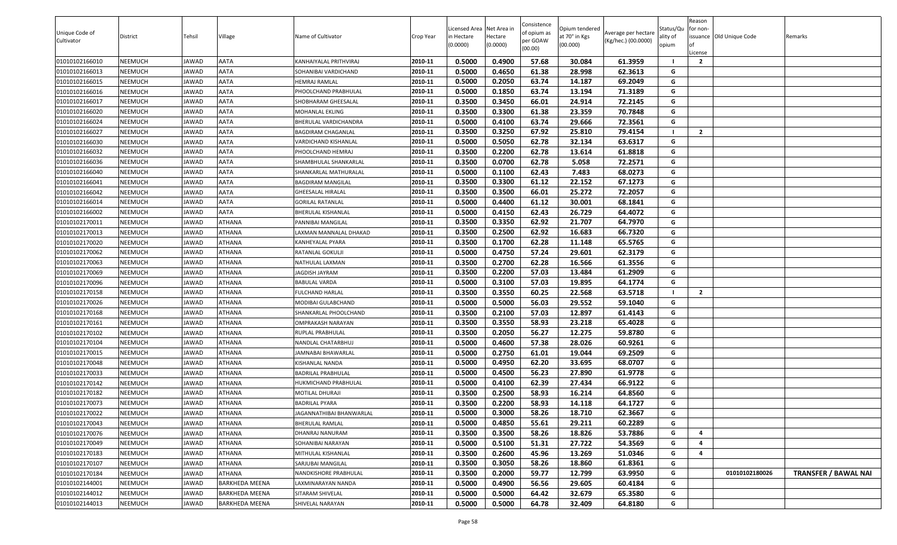| Unique Code of<br>Cultivator | <b>District</b> | Tehsil | Village               | Name of Cultivator       | Crop Year | Licensed Area Net Area in<br>in Hectare<br>(0.0000) | lectare<br>(0.0000) | Consistence<br>of opium as<br>oer GOAW<br>(00.00) | Opium tendered<br>at 70° in Kgs<br>(00.000) | Average per hectare<br>(Kg/hec.) (00.0000) | Status/Qu<br>ality of<br>opium | Reason<br>for non-<br>issuance Old Unique Code<br>.icense | Remarks                     |
|------------------------------|-----------------|--------|-----------------------|--------------------------|-----------|-----------------------------------------------------|---------------------|---------------------------------------------------|---------------------------------------------|--------------------------------------------|--------------------------------|-----------------------------------------------------------|-----------------------------|
| 01010102166010               | NEEMUCH         | JAWAD  | AATA                  | KANHAIYALAL PRITHVIRAJ   | 2010-11   | 0.5000                                              | 0.4900              | 57.68                                             | 30.084                                      | 61.3959                                    |                                | $\overline{2}$                                            |                             |
| 01010102166013               | NEEMUCH         | JAWAD  | AATA                  | SOHANIBAI VARDICHAND     | 2010-11   | 0.5000                                              | 0.4650              | 61.38                                             | 28.998                                      | 62.3613                                    | G                              |                                                           |                             |
| 01010102166015               | NEEMUCH         | JAWAD  | AATA                  | <b>HEMRAJ RAMLAL</b>     | 2010-11   | 0.5000                                              | 0.2050              | 63.74                                             | 14.187                                      | 69.2049                                    | G                              |                                                           |                             |
| 01010102166016               | NEEMUCH         | JAWAD  | AATA                  | PHOOLCHAND PRABHULAL     | 2010-11   | 0.5000                                              | 0.1850              | 63.74                                             | 13.194                                      | 71.3189                                    | G                              |                                                           |                             |
| 01010102166017               | NEEMUCH         | JAWAD  | AATA                  | SHOBHARAM GHEESALAL      | 2010-11   | 0.3500                                              | 0.3450              | 66.01                                             | 24.914                                      | 72.2145                                    | G                              |                                                           |                             |
| 01010102166020               | NEEMUCH         | JAWAD  | AATA                  | MOHANLAL EKLING          | 2010-11   | 0.3500                                              | 0.3300              | 61.38                                             | 23.359                                      | 70.7848                                    | G                              |                                                           |                             |
| 01010102166024               | NEEMUCH         | JAWAD  | <b>AATA</b>           | BHERULAL VARDICHANDRA    | 2010-11   | 0.5000                                              | 0.4100              | 63.74                                             | 29.666                                      | 72.3561                                    | G                              |                                                           |                             |
| 01010102166027               | NEEMUCH         | JAWAD  | AATA                  | BAGDIRAM CHAGANLAL       | 2010-11   | 0.3500                                              | 0.3250              | 67.92                                             | 25.810                                      | 79.4154                                    |                                | $\overline{2}$                                            |                             |
| 01010102166030               | NEEMUCH         | JAWAD  | AATA                  | VARDICHAND KISHANLAL     | 2010-11   | 0.5000                                              | 0.5050              | 62.78                                             | 32.134                                      | 63.6317                                    | G                              |                                                           |                             |
| 01010102166032               | NEEMUCH         | JAWAD  | AATA                  | PHOOLCHAND HEMRAJ        | 2010-11   | 0.3500                                              | 0.2200              | 62.78                                             | 13.614                                      | 61.8818                                    | G                              |                                                           |                             |
| 01010102166036               | NEEMUCH         | JAWAD  | AATA                  | SHAMBHULAL SHANKARLAI    | 2010-11   | 0.3500                                              | 0.0700              | 62.78                                             | 5.058                                       | 72.2571                                    | G                              |                                                           |                             |
| 01010102166040               | NEEMUCH         | JAWAD  | AATA                  | SHANKARLAL MATHURALAL    | 2010-11   | 0.5000                                              | 0.1100              | 62.43                                             | 7.483                                       | 68.0273                                    | G                              |                                                           |                             |
| 01010102166041               | NEEMUCH         | JAWAD  | AATA                  | BAGDIRAM MANGILAL        | 2010-11   | 0.3500                                              | 0.3300              | 61.12                                             | 22.152                                      | 67.1273                                    | G                              |                                                           |                             |
| 01010102166042               | NEEMUCH         | JAWAD  | <b>AATA</b>           | <b>GHEESALAL HIRALAL</b> | 2010-11   | 0.3500                                              | 0.3500              | 66.01                                             | 25.272                                      | 72.2057                                    | G                              |                                                           |                             |
| 01010102166014               | NEEMUCH         | JAWAD  | AATA                  | <b>GORILAL RATANLAL</b>  | 2010-11   | 0.5000                                              | 0.4400              | 61.12                                             | 30.001                                      | 68.1841                                    | G                              |                                                           |                             |
| 01010102166002               | NEEMUCH         | JAWAD  | AATA                  | BHERULAL KISHANLAL       | 2010-11   | 0.5000                                              | 0.4150              | 62.43                                             | 26.729                                      | 64.4072                                    | G                              |                                                           |                             |
| 01010102170011               | NEEMUCH         | JAWAD  | ATHANA                | PANNIBAI MANGILAL        | 2010-11   | 0.3500                                              | 0.3350              | 62.92                                             | 21.707                                      | 64.7970                                    | G                              |                                                           |                             |
| 01010102170013               | NEEMUCH         | JAWAD  | <b>ATHANA</b>         | AXMAN MANNALAL DHAKAD    | 2010-11   | 0.3500                                              | 0.2500              | 62.92                                             | 16.683                                      | 66.7320                                    | G                              |                                                           |                             |
| 01010102170020               | NEEMUCH         | JAWAD  | ATHANA                | KANHEYALAL PYARA         | 2010-11   | 0.3500                                              | 0.1700              | 62.28                                             | 11.148                                      | 65.5765                                    | G                              |                                                           |                             |
| 01010102170062               | NEEMUCH         | JAWAD  | <b>ATHANA</b>         | RATANLAL GOKULJI         | 2010-11   | 0.5000                                              | 0.4750              | 57.24                                             | 29.601                                      | 62.3179                                    | G                              |                                                           |                             |
| 01010102170063               | NEEMUCH         | JAWAD  | ATHANA                | NATHULAL LAXMAN          | 2010-11   | 0.3500                                              | 0.2700              | 62.28                                             | 16.566                                      | 61.3556                                    | G                              |                                                           |                             |
| 01010102170069               | NEEMUCH         | JAWAD  | <b>ATHANA</b>         | <b>JAGDISH JAYRAM</b>    | 2010-11   | 0.3500                                              | 0.2200              | 57.03                                             | 13.484                                      | 61.2909                                    | G                              |                                                           |                             |
| 01010102170096               | NEEMUCH         | JAWAD  | <b>ATHANA</b>         | BABULAL VARDA            | 2010-11   | 0.5000                                              | 0.3100              | 57.03                                             | 19.895                                      | 64.1774                                    | G                              |                                                           |                             |
| 01010102170158               | NEEMUCH         | JAWAD  | <b>ATHANA</b>         | FULCHAND HARLAL          | 2010-11   | 0.3500                                              | 0.3550              | 60.25                                             | 22.568                                      | 63.5718                                    |                                | $\overline{2}$                                            |                             |
| 01010102170026               | NEEMUCH         | JAWAD  | ATHANA                | MODIBAI GULABCHAND       | 2010-11   | 0.5000                                              | 0.5000              | 56.03                                             | 29.552                                      | 59.1040                                    | G                              |                                                           |                             |
| 01010102170168               | NEEMUCH         | JAWAD  | ATHANA                | SHANKARLAL PHOOLCHAND    | 2010-11   | 0.3500                                              | 0.2100              | 57.03                                             | 12.897                                      | 61.4143                                    | G                              |                                                           |                             |
| 01010102170161               | NEEMUCH         | JAWAD  | <b>ATHANA</b>         | OMPRAKASH NARAYAN        | 2010-11   | 0.3500                                              | 0.3550              | 58.93                                             | 23.218                                      | 65.4028                                    | G                              |                                                           |                             |
| 01010102170102               | NEEMUCH         | JAWAD  | <b>ATHANA</b>         | RUPLAL PRABHULAL         | 2010-11   | 0.3500                                              | 0.2050              | 56.27                                             | 12.275                                      | 59.8780                                    | G                              |                                                           |                             |
| 01010102170104               | NEEMUCH         | JAWAD  | <b>ATHANA</b>         | NANDLAL CHATARBHUJ       | 2010-11   | 0.5000                                              | 0.4600              | 57.38                                             | 28.026                                      | 60.9261                                    | G                              |                                                           |                             |
| 01010102170015               | NEEMUCH         | JAWAD  | ATHANA                | JAMNABAI BHAWARLAL       | 2010-11   | 0.5000                                              | 0.2750              | 61.01                                             | 19.044                                      | 69.2509                                    | G                              |                                                           |                             |
| 01010102170048               | NEEMUCH         | JAWAD  | <b>ATHANA</b>         | KISHANLAL NANDA          | 2010-11   | 0.5000                                              | 0.4950              | 62.20                                             | 33.695                                      | 68.0707                                    | G                              |                                                           |                             |
| 01010102170033               | NEEMUCH         | JAWAD  | <b>ATHANA</b>         | BADRILAL PRABHULAL       | 2010-11   | 0.5000                                              | 0.4500              | 56.23                                             | 27.890                                      | 61.9778                                    | G                              |                                                           |                             |
| 01010102170142               | NEEMUCH         | JAWAD  | ATHANA                | HUKMICHAND PRABHULAL     | 2010-11   | 0.5000                                              | 0.4100              | 62.39                                             | 27.434                                      | 66.9122                                    | G                              |                                                           |                             |
| 01010102170182               | NEEMUCH         | JAWAD  | ATHANA                | MOTILAL DHURAJI          | 2010-11   | 0.3500                                              | 0.2500              | 58.93                                             | 16.214                                      | 64.8560                                    | G                              |                                                           |                             |
| 01010102170073               | NEEMUCH         | JAWAD  | ATHANA                | <b>BADRILAL PYARA</b>    | 2010-11   | 0.3500                                              | 0.2200              | 58.93                                             | 14.118                                      | 64.1727                                    | G                              |                                                           |                             |
| 01010102170022               | NEEMUCH         | JAWAD  | <b>ATHANA</b>         | JAGANNATHIBAI BHANWARLAL | 2010-11   | 0.5000                                              | 0.3000              | 58.26                                             | 18.710                                      | 62.3667                                    | G                              |                                                           |                             |
| 01010102170043               | NEEMUCH         | JAWAD  | ATHANA                | BHERULAL RAMLAL          | 2010-11   | 0.5000                                              | 0.4850              | 55.61                                             | 29.211                                      | 60.2289                                    | G                              |                                                           |                             |
| 01010102170076               | NEEMUCH         | JAWAD  | ATHANA                | DHANRAJ NANURAM          | 2010-11   | 0.3500                                              | 0.3500              | 58.26                                             | 18.826                                      | 53.7886                                    | G                              | $\overline{a}$                                            |                             |
| 01010102170049               | NEEMUCH         | JAWAD  | <b>ATHANA</b>         | SOHANIBAI NARAYAN        | 2010-11   | 0.5000                                              | 0.5100              | 51.31                                             | 27.722                                      | 54.3569                                    | G                              | 4                                                         |                             |
| 01010102170183               | NEEMUCH         | JAWAD  | ATHANA                | MITHULAL KISHANLAL       | 2010-11   | 0.3500                                              | 0.2600              | 45.96                                             | 13.269                                      | 51.0346                                    | G                              | $\overline{a}$                                            |                             |
| 01010102170107               | NEEMUCH         | JAWAD  | ATHANA                | SARJUBAI MANGILAL        | 2010-11   | 0.3500                                              | 0.3050              | 58.26                                             | 18.860                                      | 61.8361                                    | G                              |                                                           |                             |
| 01010102170184               | NEEMUCH         | JAWAD  | ATHANA                | NANDKISHORE PRABHULAL    | 2010-11   | 0.3500                                              | 0.2000              | 59.77                                             | 12.799                                      | 63.9950                                    | G                              | 01010102180026                                            | <b>TRANSFER / BAWAL NAI</b> |
| 01010102144001               | NEEMUCH         | JAWAD  | BARKHEDA MEENA        | LAXMINARAYAN NANDA       | 2010-11   | 0.5000                                              | 0.4900              | 56.56                                             | 29.605                                      | 60.4184                                    | G                              |                                                           |                             |
| 01010102144012               | NEEMUCH         | JAWAD  | <b>BARKHEDA MEENA</b> | SITARAM SHIVELAL         | 2010-11   | 0.5000                                              | 0.5000              | 64.42                                             | 32.679                                      | 65.3580                                    | G                              |                                                           |                             |
| 01010102144013               | NEEMUCH         | JAWAD  | <b>BARKHEDA MEENA</b> | SHIVELAL NARAYAN         | 2010-11   | 0.5000                                              | 0.5000              | 64.78                                             | 32.409                                      | 64.8180                                    | G                              |                                                           |                             |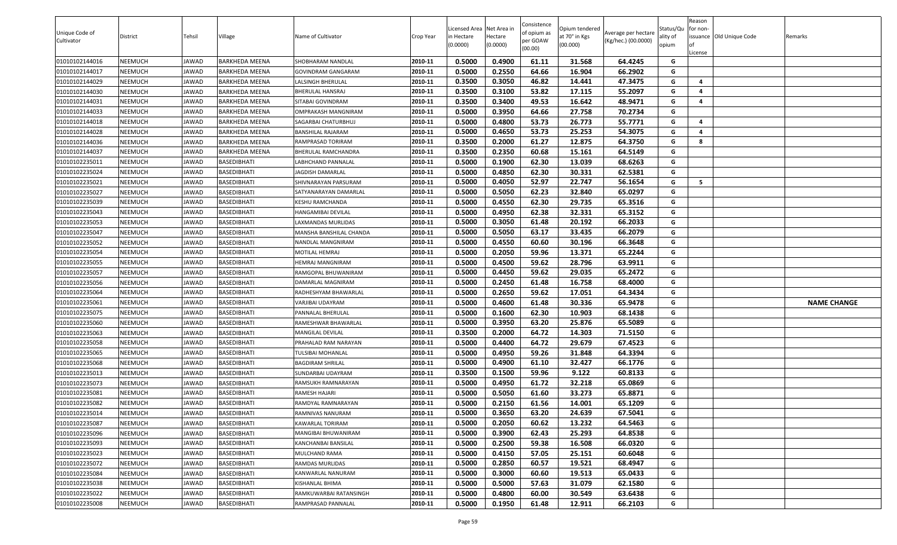| Unique Code of | <b>District</b> | Tehsil | Village               | Name of Cultivator      | Crop Year | Licensed Area Net Area in<br>in Hectare | lectare  | Consistence<br>of opium as | Opium tendered<br>at 70° in Kgs | Average per hectare | Status/Qu<br>ality of | Reason<br>for non-<br>issuance Old Unique Code | Remarks            |
|----------------|-----------------|--------|-----------------------|-------------------------|-----------|-----------------------------------------|----------|----------------------------|---------------------------------|---------------------|-----------------------|------------------------------------------------|--------------------|
| Cultivator     |                 |        |                       |                         |           | (0.0000)                                | (0.0000) | oer GOAW<br>(00.00)        | (00.000)                        | (Kg/hec.) (00.0000) | opium                 | .icense                                        |                    |
| 01010102144016 | NEEMUCH         | JAWAD  | BARKHEDA MEENA        | SHOBHARAM NANDLAL       | 2010-11   | 0.5000                                  | 0.4900   | 61.11                      | 31.568                          | 64.4245             | G                     |                                                |                    |
| 01010102144017 | NEEMUCH         | JAWAD  | BARKHEDA MEENA        | GOVINDRAM GANGARAM      | 2010-11   | 0.5000                                  | 0.2550   | 64.66                      | 16.904                          | 66.2902             | G                     |                                                |                    |
| 01010102144029 | NEEMUCH         | JAWAD  | <b>BARKHEDA MEENA</b> | LALSINGH BHERULAL       | 2010-11   | 0.3500                                  | 0.3050   | 46.82                      | 14.441                          | 47.3475             | G                     | 4                                              |                    |
| 01010102144030 | NEEMUCH         | JAWAD  | BARKHEDA MEENA        | BHERULAL HANSRAJ        | 2010-11   | 0.3500                                  | 0.3100   | 53.82                      | 17.115                          | 55.2097             | G                     | 4                                              |                    |
| 01010102144031 | NEEMUCH         | JAWAD  | BARKHEDA MEENA        | SITABAI GOVINDRAM       | 2010-11   | 0.3500                                  | 0.3400   | 49.53                      | 16.642                          | 48.9471             | G                     | 4                                              |                    |
| 01010102144033 | NEEMUCH         | JAWAD  | BARKHEDA MEENA        | OMPRAKASH MANGNIRAM     | 2010-11   | 0.5000                                  | 0.3950   | 64.66                      | 27.758                          | 70.2734             | G                     |                                                |                    |
| 01010102144018 | NEEMUCH         | JAWAD  | BARKHEDA MEENA        | SAGARBAI CHATURBHUJ     | 2010-11   | 0.5000                                  | 0.4800   | 53.73                      | 26.773                          | 55.7771             | G                     | $\overline{a}$                                 |                    |
| 01010102144028 | NEEMUCH         | JAWAD  | <b>BARKHEDA MEENA</b> | BANSHILAL RAJARAM       | 2010-11   | 0.5000                                  | 0.4650   | 53.73                      | 25.253                          | 54.3075             | G                     | $\overline{a}$                                 |                    |
| 01010102144036 | NEEMUCH         | JAWAD  | <b>BARKHEDA MEENA</b> | RAMPRASAD TORIRAM       | 2010-11   | 0.3500                                  | 0.2000   | 61.27                      | 12.875                          | 64.3750             | G                     | 8                                              |                    |
| 01010102144037 | NEEMUCH         | JAWAD  | <b>BARKHEDA MEENA</b> | BHERULAL RAMCHANDRA     | 2010-11   | 0.3500                                  | 0.2350   | 60.68                      | 15.161                          | 64.5149             | G                     |                                                |                    |
| 01010102235011 | NEEMUCH         | JAWAD  | <b>BASEDIBHATI</b>    | LABHCHAND PANNALAL      | 2010-11   | 0.5000                                  | 0.1900   | 62.30                      | 13.039                          | 68.6263             | G                     |                                                |                    |
| 01010102235024 | NEEMUCH         | JAWAD  | BASEDIBHATI           | <b>JAGDISH DAMARLAL</b> | 2010-11   | 0.5000                                  | 0.4850   | 62.30                      | 30.331                          | 62.5381             | G                     |                                                |                    |
| 01010102235021 | NEEMUCH         | JAWAD  | <b>BASEDIBHATI</b>    | SHIVNARAYAN PARSURAM    | 2010-11   | 0.5000                                  | 0.4050   | 52.97                      | 22.747                          | 56.1654             | G                     | 5                                              |                    |
| 01010102235027 | NEEMUCH         | JAWAD  | <b>BASEDIBHATI</b>    | SATYANARAYAN DAMARLAL   | 2010-11   | 0.5000                                  | 0.5050   | 62.23                      | 32.840                          | 65.0297             | G                     |                                                |                    |
| 01010102235039 | NEEMUCH         | JAWAD  | <b>BASEDIBHATI</b>    | KESHU RAMCHANDA         | 2010-11   | 0.5000                                  | 0.4550   | 62.30                      | 29.735                          | 65.3516             | G                     |                                                |                    |
| 01010102235043 | NEEMUCH         | JAWAD  | BASEDIBHATI           | HANGAMIBAI DEVILAL      | 2010-11   | 0.5000                                  | 0.4950   | 62.38                      | 32.331                          | 65.3152             | G                     |                                                |                    |
| 01010102235053 | NEEMUCH         | JAWAD  | <b>BASEDIBHATI</b>    | LAXMANDAS MURLIDAS      | 2010-11   | 0.5000                                  | 0.3050   | 61.48                      | 20.192                          | 66.2033             | G                     |                                                |                    |
| 01010102235047 | NEEMUCH         | JAWAD  | <b>BASEDIBHATI</b>    | MANSHA BANSHILAL CHANDA | 2010-11   | 0.5000                                  | 0.5050   | 63.17                      | 33.435                          | 66.2079             | G                     |                                                |                    |
| 01010102235052 | NEEMUCH         | JAWAD  | <b>BASEDIBHATI</b>    | NANDLAL MANGNIRAM       | 2010-11   | 0.5000                                  | 0.4550   | 60.60                      | 30.196                          | 66.3648             | G                     |                                                |                    |
| 01010102235054 | NEEMUCH         | JAWAD  | <b>BASEDIBHATI</b>    | MOTILAL HEMRAJ          | 2010-11   | 0.5000                                  | 0.2050   | 59.96                      | 13.371                          | 65.2244             | G                     |                                                |                    |
| 01010102235055 | NEEMUCH         | JAWAD  | <b>BASEDIBHATI</b>    | IEMRAJ MANGNIRAM        | 2010-11   | 0.5000                                  | 0.4500   | 59.62                      | 28.796                          | 63.9911             | G                     |                                                |                    |
| 01010102235057 | NEEMUCH         | JAWAD  | <b>BASEDIBHATI</b>    | RAMGOPAL BHUWANIRAM     | 2010-11   | 0.5000                                  | 0.4450   | 59.62                      | 29.035                          | 65.2472             | G                     |                                                |                    |
| 01010102235056 | NEEMUCH         | JAWAD  | <b>BASEDIBHATI</b>    | DAMARLAL MAGNIRAM       | 2010-11   | 0.5000                                  | 0.2450   | 61.48                      | 16.758                          | 68.4000             | G                     |                                                |                    |
| 01010102235064 | NEEMUCH         | JAWAD  | BASEDIBHATI           | RADHESHYAM BHAWARLAL    | 2010-11   | 0.5000                                  | 0.2650   | 59.62                      | 17.051                          | 64.3434             | G                     |                                                |                    |
| 01010102235061 | NEEMUCH         | JAWAD  | <b>BASEDIBHATI</b>    | VARJIBAI UDAYRAM        | 2010-11   | 0.5000                                  | 0.4600   | 61.48                      | 30.336                          | 65.9478             | G                     |                                                | <b>NAME CHANGE</b> |
| 01010102235075 | NEEMUCH         | JAWAD  | <b>BASEDIBHATI</b>    | PANNALAL BHERULAL       | 2010-11   | 0.5000                                  | 0.1600   | 62.30                      | 10.903                          | 68.1438             | G                     |                                                |                    |
| 01010102235060 | NEEMUCH         | JAWAD  | BASEDIBHATI           | RAMESHWAR BHAWARLAL     | 2010-11   | 0.5000                                  | 0.3950   | 63.20                      | 25.876                          | 65.5089             | G                     |                                                |                    |
| 01010102235063 | NEEMUCH         | JAWAD  | <b>BASEDIBHATI</b>    | MANGILAL DEVILAL        | 2010-11   | 0.3500                                  | 0.2000   | 64.72                      | 14.303                          | 71.5150             | G                     |                                                |                    |
| 01010102235058 | NEEMUCH         | JAWAD  | <b>BASEDIBHATI</b>    | PRAHALAD RAM NARAYAN    | 2010-11   | 0.5000                                  | 0.4400   | 64.72                      | 29.679                          | 67.4523             | G                     |                                                |                    |
| 01010102235065 | NEEMUCH         | JAWAD  | <b>BASEDIBHATI</b>    | TULSIBAI MOHANLAL       | 2010-11   | 0.5000                                  | 0.4950   | 59.26                      | 31.848                          | 64.3394             | G                     |                                                |                    |
| 01010102235068 | NEEMUCH         | JAWAD  | BASEDIBHATI           | BAGDIRAM SHRILAL        | 2010-11   | 0.5000                                  | 0.4900   | 61.10                      | 32.427                          | 66.1776             | G                     |                                                |                    |
| 01010102235013 | NEEMUCH         | JAWAD  | <b>BASEDIBHATI</b>    | SUNDARBAI UDAYRAM       | 2010-11   | 0.3500                                  | 0.1500   | 59.96                      | 9.122                           | 60.8133             | G                     |                                                |                    |
| 01010102235073 | NEEMUCH         | JAWAD  | <b>BASEDIBHATI</b>    | RAMSUKH RAMNARAYAN      | 2010-11   | 0.5000                                  | 0.4950   | 61.72                      | 32.218                          | 65.0869             | G                     |                                                |                    |
| 01010102235081 | NEEMUCH         | JAWAD  | <b>BASEDIBHATI</b>    | RAMESH HAJARI           | 2010-11   | 0.5000                                  | 0.5050   | 61.60                      | 33.273                          | 65.8871             | G                     |                                                |                    |
| 01010102235082 | NEEMUCH         | JAWAD  | <b>BASEDIBHATI</b>    | RAMDYAL RAMNARAYAN      | 2010-11   | 0.5000                                  | 0.2150   | 61.56                      | 14.001                          | 65.1209             | G                     |                                                |                    |
| 01010102235014 | NEEMUCH         | JAWAD  | <b>BASEDIBHATI</b>    | RAMNIVAS NANURAM        | 2010-11   | 0.5000                                  | 0.3650   | 63.20                      | 24.639                          | 67.5041             | G                     |                                                |                    |
| 01010102235087 | NEEMUCH         | JAWAD  | <b>BASEDIBHATI</b>    | KAWARLAL TORIRAM        | 2010-11   | 0.5000                                  | 0.2050   | 60.62                      | 13.232                          | 64.5463             | G                     |                                                |                    |
| 01010102235096 | NEEMUCH         | JAWAD  | BASEDIBHATI           | MANGIBAI BHUWANIRAM     | 2010-11   | 0.5000                                  | 0.3900   | 62.43                      | 25.293                          | 64.8538             | G                     |                                                |                    |
| 01010102235093 | NEEMUCH         | JAWAD  | <b>BASEDIBHATI</b>    | KANCHANBAI BANSILAL     | 2010-11   | 0.5000                                  | 0.2500   | 59.38                      | 16.508                          | 66.0320             | G                     |                                                |                    |
| 01010102235023 | NEEMUCH         | JAWAD  | <b>BASEDIBHATI</b>    | MULCHAND RAMA           | 2010-11   | 0.5000                                  | 0.4150   | 57.05                      | 25.151                          | 60.6048             | G                     |                                                |                    |
| 01010102235072 | NEEMUCH         | JAWAD  | <b>BASEDIBHATI</b>    | RAMDAS MURLIDAS         | 2010-11   | 0.5000                                  | 0.2850   | 60.57                      | 19.521                          | 68.4947             | G                     |                                                |                    |
| 01010102235084 | NEEMUCH         | JAWAD  | BASEDIBHATI           | KANWARLAL NANURAM       | 2010-11   | 0.5000                                  | 0.3000   | 60.60                      | 19.513                          | 65.0433             | G                     |                                                |                    |
| 01010102235038 | NEEMUCH         | JAWAD  | <b>BASEDIBHATI</b>    | KISHANLAL BHIMA         | 2010-11   | 0.5000                                  | 0.5000   | 57.63                      | 31.079                          | 62.1580             | G                     |                                                |                    |
| 01010102235022 | NEEMUCH         | JAWAD  | <b>BASEDIBHATI</b>    | RAMKUWARBAI RATANSINGH  | 2010-11   | 0.5000                                  | 0.4800   | 60.00                      | 30.549                          | 63.6438             | G                     |                                                |                    |
| 01010102235008 | NEEMUCH         | JAWAD  | BASEDIBHATI           | RAMPRASAD PANNALAL      | 2010-11   | 0.5000                                  | 0.1950   | 61.48                      | 12.911                          | 66.2103             | G                     |                                                |                    |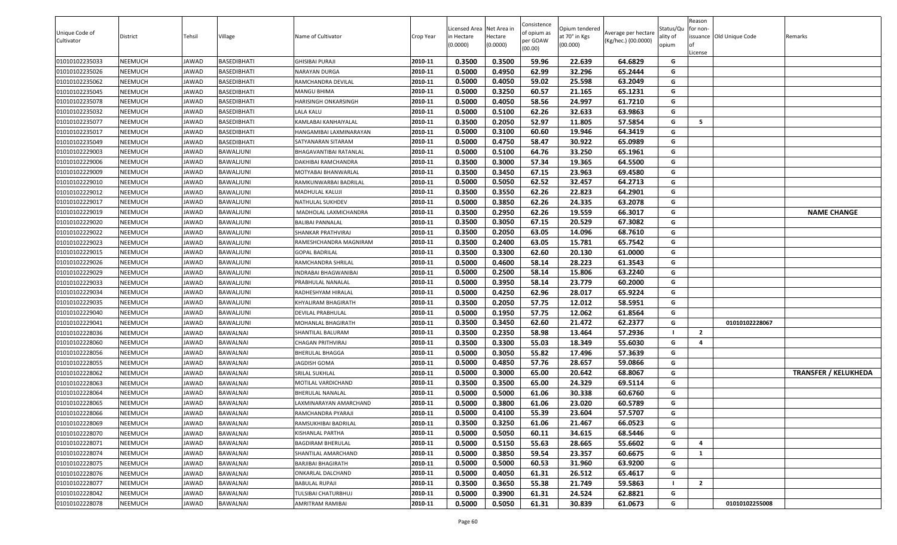| Unique Code of<br>Cultivator | District | Tehsil | Village            | Name of Cultivator      | Crop Year | Licensed Area Net Area in<br>in Hectare<br>(0.0000) | lectare<br>(0.0000) | Consistence<br>of opium as<br>oer GOAW<br>(00.00) | Opium tendered<br>at 70° in Kgs<br>(00.000) | Average per hectare<br>(Kg/hec.) (00.0000) | Status/Qu<br>ality of<br>opium | Reason<br>for non-<br>issuance Old Unique Code<br>.icense | Remarks                     |
|------------------------------|----------|--------|--------------------|-------------------------|-----------|-----------------------------------------------------|---------------------|---------------------------------------------------|---------------------------------------------|--------------------------------------------|--------------------------------|-----------------------------------------------------------|-----------------------------|
| 01010102235033               | NEEMUCH  | JAWAD  | <b>BASEDIBHATI</b> | GHISIBAI PURAJI         | 2010-11   | 0.3500                                              | 0.3500              | 59.96                                             | 22.639                                      | 64.6829                                    | G                              |                                                           |                             |
| 01010102235026               | NEEMUCH  | JAWAD  | <b>BASEDIBHATI</b> | NARAYAN DURGA           | 2010-11   | 0.5000                                              | 0.4950              | 62.99                                             | 32.296                                      | 65.2444                                    | G                              |                                                           |                             |
| 01010102235062               | NEEMUCH  | JAWAD  | <b>BASEDIBHATI</b> | RAMCHANDRA DEVILAL      | 2010-11   | 0.5000                                              | 0.4050              | 59.02                                             | 25.598                                      | 63.2049                                    | G                              |                                                           |                             |
| 01010102235045               | NEEMUCH  | JAWAD  | BASEDIBHATI        | MANGU BHIMA             | 2010-11   | 0.5000                                              | 0.3250              | 60.57                                             | 21.165                                      | 65.1231                                    | G                              |                                                           |                             |
| 01010102235078               | NEEMUCH  | JAWAD  | <b>BASEDIBHATI</b> | HARISINGH ONKARSINGH    | 2010-11   | 0.5000                                              | 0.4050              | 58.56                                             | 24.997                                      | 61.7210                                    | G                              |                                                           |                             |
| 01010102235032               | NEEMUCH  | JAWAD  | <b>BASEDIBHATI</b> | LALA KALU               | 2010-11   | 0.5000                                              | 0.5100              | 62.26                                             | 32.633                                      | 63.9863                                    | G                              |                                                           |                             |
| 01010102235077               | NEEMUCH  | JAWAD  | <b>BASEDIBHATI</b> | KAMLABAI KANHAIYALAL    | 2010-11   | 0.3500                                              | 0.2050              | 52.97                                             | 11.805                                      | 57.5854                                    | G                              | -5                                                        |                             |
| 01010102235017               | NEEMUCH  | JAWAD  | <b>BASEDIBHATI</b> | HANGAMIBAI LAXMINARAYAN | 2010-11   | 0.5000                                              | 0.3100              | 60.60                                             | 19.946                                      | 64.3419                                    | G                              |                                                           |                             |
| 01010102235049               | NEEMUCH  | JAWAD  | <b>BASEDIBHATI</b> | SATYANARAN SITARAM      | 2010-11   | 0.5000                                              | 0.4750              | 58.47                                             | 30.922                                      | 65.0989                                    | G                              |                                                           |                             |
| 01010102229003               | NEEMUCH  | JAWAD  | BAWALJUNI          | BHAGAVANTIBAI RATANLAL  | 2010-11   | 0.5000                                              | 0.5100              | 64.76                                             | 33.250                                      | 65.1961                                    | G                              |                                                           |                             |
| 01010102229006               | NEEMUCH  | JAWAD  | BAWALJUNI          | DAKHIBAI RAMCHANDRA     | 2010-11   | 0.3500                                              | 0.3000              | 57.34                                             | 19.365                                      | 64.5500                                    | G                              |                                                           |                             |
| 01010102229009               | NEEMUCH  | JAWAD  | BAWALJUNI          | MOTYABAI BHANWARLAL     | 2010-11   | 0.3500                                              | 0.3450              | 67.15                                             | 23.963                                      | 69.4580                                    | G                              |                                                           |                             |
| 01010102229010               | NEEMUCH  | JAWAD  | BAWALJUNI          | RAMKUNWARBAI BADRILAL   | 2010-11   | 0.5000                                              | 0.5050              | 62.52                                             | 32.457                                      | 64.2713                                    | G                              |                                                           |                             |
| 01010102229012               | NEEMUCH  | JAWAD  | BAWALJUNI          | MADHULAL KALUJI         | 2010-11   | 0.3500                                              | 0.3550              | 62.26                                             | 22.823                                      | 64.2901                                    | G                              |                                                           |                             |
| 01010102229017               | NEEMUCH  | JAWAD  | BAWALJUNI          | NATHULAL SUKHDEV        | 2010-11   | 0.5000                                              | 0.3850              | 62.26                                             | 24.335                                      | 63.2078                                    | G                              |                                                           |                             |
| 01010102229019               | NEEMUCH  | JAWAD  | BAWALJUNI          | MADHOLAL LAXMICHANDRA   | 2010-11   | 0.3500                                              | 0.2950              | 62.26                                             | 19.559                                      | 66.3017                                    | G                              |                                                           | <b>NAME CHANGE</b>          |
| 01010102229020               | NEEMUCH  | JAWAD  | BAWALJUNI          | <b>BALIBAI PANNALAL</b> | 2010-11   | 0.3500                                              | 0.3050              | 67.15                                             | 20.529                                      | 67.3082                                    | G                              |                                                           |                             |
| 01010102229022               | NEEMUCH  | JAWAD  | BAWALJUNI          | SHANKAR PRATHVIRAJ      | 2010-11   | 0.3500                                              | 0.2050              | 63.05                                             | 14.096                                      | 68.7610                                    | G                              |                                                           |                             |
| 01010102229023               | NEEMUCH  | JAWAD  | BAWALJUNI          | RAMESHCHANDRA MAGNIRAM  | 2010-11   | 0.3500                                              | 0.2400              | 63.05                                             | 15.781                                      | 65.7542                                    | G                              |                                                           |                             |
| 01010102229015               | NEEMUCH  | JAWAD  | BAWALJUNI          | <b>GOPAL BADRILAL</b>   | 2010-11   | 0.3500                                              | 0.3300              | 62.60                                             | 20.130                                      | 61.0000                                    | G                              |                                                           |                             |
| 01010102229026               | NEEMUCH  | JAWAD  | BAWALJUNI          | RAMCHANDRA SHRILAL      | 2010-11   | 0.5000                                              | 0.4600              | 58.14                                             | 28.223                                      | 61.3543                                    | G                              |                                                           |                             |
| 01010102229029               | NEEMUCH  | JAWAD  | BAWALJUNI          | INDRABAI BHAGWANIBAI    | 2010-11   | 0.5000                                              | 0.2500              | 58.14                                             | 15.806                                      | 63.2240                                    | G                              |                                                           |                             |
| 01010102229033               | NEEMUCH  | JAWAD  | BAWALJUNI          | PRABHULAL NANALAL       | 2010-11   | 0.5000                                              | 0.3950              | 58.14                                             | 23.779                                      | 60.2000                                    | G                              |                                                           |                             |
| 01010102229034               | NEEMUCH  | JAWAD  | BAWALJUNI          | RADHESHYAM HIRALAL      | 2010-11   | 0.5000                                              | 0.4250              | 62.96                                             | 28.017                                      | 65.9224                                    | G                              |                                                           |                             |
| 01010102229035               | NEEMUCH  | JAWAD  | BAWALJUNI          | KHYALIRAM BHAGIRATH     | 2010-11   | 0.3500                                              | 0.2050              | 57.75                                             | 12.012                                      | 58.5951                                    | G                              |                                                           |                             |
| 01010102229040               | NEEMUCH  | JAWAD  | BAWALJUNI          | DEVILAL PRABHULAL       | 2010-11   | 0.5000                                              | 0.1950              | 57.75                                             | 12.062                                      | 61.8564                                    | G                              |                                                           |                             |
| 01010102229041               | NEEMUCH  | JAWAD  | BAWALJUNI          | MOHANLAL BHAGIRATH      | 2010-11   | 0.3500                                              | 0.3450              | 62.60                                             | 21.472                                      | 62.2377                                    | G                              | 01010102228067                                            |                             |
| 01010102228036               | NEEMUCH  | JAWAD  | <b>BAWALNAI</b>    | SHANTILAL BALURAM       | 2010-11   | 0.3500                                              | 0.2350              | 58.98                                             | 13.464                                      | 57.2936                                    |                                | $\overline{2}$                                            |                             |
| 01010102228060               | NEEMUCH  | JAWAD  | BAWALNAI           | CHAGAN PRITHVIRAJ       | 2010-11   | 0.3500                                              | 0.3300              | 55.03                                             | 18.349                                      | 55.6030                                    | G                              | 4                                                         |                             |
| 01010102228056               | NEEMUCH  | JAWAD  | <b>BAWALNAI</b>    | BHERULAL BHAGGA         | 2010-11   | 0.5000                                              | 0.3050              | 55.82                                             | 17.496                                      | 57.3639                                    | G                              |                                                           |                             |
| 01010102228055               | NEEMUCH  | JAWAD  | <b>BAWALNAI</b>    | <b>JAGDISH GOMA</b>     | 2010-11   | 0.5000                                              | 0.4850              | 57.76                                             | 28.657                                      | 59.0866                                    | G                              |                                                           |                             |
| 01010102228062               | NEEMUCH  | JAWAD  | <b>BAWALNAI</b>    | SRILAL SUKHLAL          | 2010-11   | 0.5000                                              | 0.3000              | 65.00                                             | 20.642                                      | 68.8067                                    | G                              |                                                           | <b>TRANSFER / KELUKHEDA</b> |
| 01010102228063               | NEEMUCH  | JAWAD  | BAWALNAI           | MOTILAL VARDICHAND      | 2010-11   | 0.3500                                              | 0.3500              | 65.00                                             | 24.329                                      | 69.5114                                    | G                              |                                                           |                             |
| 01010102228064               | NEEMUCH  | JAWAD  | BAWALNAI           | BHERULAL NANALAL        | 2010-11   | 0.5000                                              | 0.5000              | 61.06                                             | 30.338                                      | 60.6760                                    | G                              |                                                           |                             |
| 01010102228065               | NEEMUCH  | JAWAD  | <b>BAWALNAI</b>    | AXMINARAYAN AMARCHAND   | 2010-11   | 0.5000                                              | 0.3800              | 61.06                                             | 23.020                                      | 60.5789                                    | G                              |                                                           |                             |
| 01010102228066               | NEEMUCH  | JAWAD  | <b>BAWALNAI</b>    | RAMCHANDRA PYARAJI      | 2010-11   | 0.5000                                              | 0.4100              | 55.39                                             | 23.604                                      | 57.5707                                    | G                              |                                                           |                             |
| 01010102228069               | NEEMUCH  | JAWAD  | <b>BAWALNAI</b>    | RAMSUKHIBAI BADRILAL    | 2010-11   | 0.3500                                              | 0.3250              | 61.06                                             | 21.467                                      | 66.0523                                    | G                              |                                                           |                             |
| 01010102228070               | NEEMUCH  | JAWAD  | BAWALNAI           | KISHANLAL PARTHA        | 2010-11   | 0.5000                                              | 0.5050              | 60.11                                             | 34.615                                      | 68.5446                                    | G                              |                                                           |                             |
| 01010102228071               | NEEMUCH  | JAWAD  | <b>BAWALNAI</b>    | BAGDIRAM BHERULAL       | 2010-11   | 0.5000                                              | 0.5150              | 55.63                                             | 28.665                                      | 55.6602                                    | G                              | 4                                                         |                             |
| 01010102228074               | NEEMUCH  | JAWAD  | <b>BAWALNAI</b>    | SHANTILAL AMARCHAND     | 2010-11   | 0.5000                                              | 0.3850              | 59.54                                             | 23.357                                      | 60.6675                                    | G                              | 1                                                         |                             |
| 01010102228075               | NEEMUCH  | JAWAD  | <b>BAWALNAI</b>    | BARJIBAI BHAGIRATH      | 2010-11   | 0.5000                                              | 0.5000              | 60.53                                             | 31.960                                      | 63.9200                                    | G                              |                                                           |                             |
| 01010102228076               | NEEMUCH  | JAWAD  | BAWALNAI           | ONKARLAL DALCHAND       | 2010-11   | 0.5000                                              | 0.4050              | 61.31                                             | 26.512                                      | 65.4617                                    | G                              |                                                           |                             |
| 01010102228077               | NEEMUCH  | JAWAD  | <b>BAWALNAI</b>    | BABULAL RUPAJI          | 2010-11   | 0.3500                                              | 0.3650              | 55.38                                             | 21.749                                      | 59.5863                                    |                                | $\overline{2}$                                            |                             |
| 01010102228042               | NEEMUCH  | JAWAD  | <b>BAWALNAI</b>    | TULSIBAI CHATURBHUJ     | 2010-11   | 0.5000                                              | 0.3900              | 61.31                                             | 24.524                                      | 62.8821                                    | G                              |                                                           |                             |
| 01010102228078               | NEEMUCH  | JAWAD  | <b>BAWALNAI</b>    | AMRITRAM RAMIBAI        | 2010-11   | 0.5000                                              | 0.5050              | 61.31                                             | 30.839                                      | 61.0673                                    | G                              | 01010102255008                                            |                             |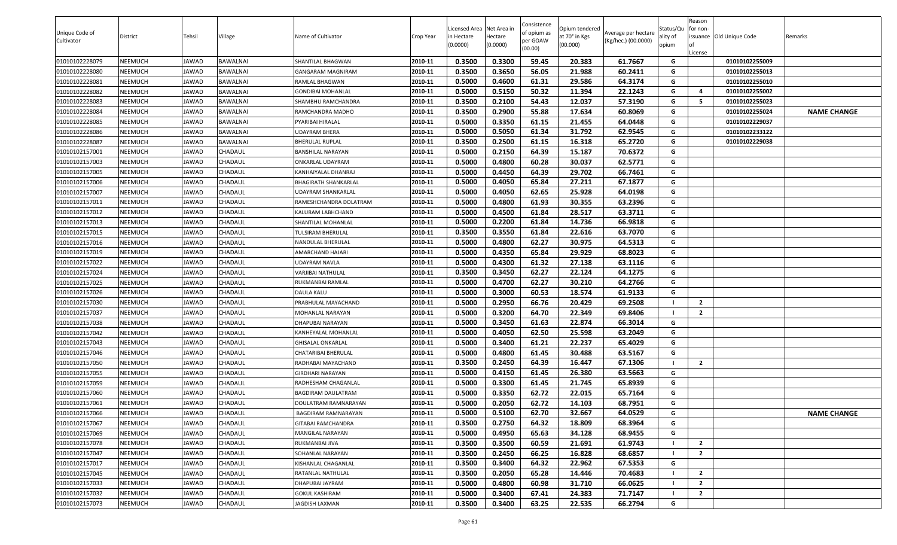| Unique Code of |          |              |                 |                             |           | Licensed Area Net Area in |                     | Consistence<br>of opium as | Opium tendered            | Average per hectare | Status/Qu         | Reason<br>for non- |                          |                    |
|----------------|----------|--------------|-----------------|-----------------------------|-----------|---------------------------|---------------------|----------------------------|---------------------------|---------------------|-------------------|--------------------|--------------------------|--------------------|
| Cultivator     | District | Tehsil       | Village         | Name of Cultivator          | Crop Year | in Hectare<br>(0.0000)    | Hectare<br>(0.0000) | per GOAW<br>(00.00)        | at 70° in Kgs<br>(00.000) | (Kg/hec.) (00.0000) | ality of<br>opium | lof<br>License     | issuance Old Unique Code | Remarks            |
| 01010102228079 | NEEMUCH  | JAWAD        | <b>BAWALNAI</b> | SHANTILAL BHAGWAN           | 2010-11   | 0.3500                    | 0.3300              | 59.45                      | 20.383                    | 61.7667             | G                 |                    | 01010102255009           |                    |
| 01010102228080 | NEEMUCH  | JAWAD        | <b>BAWALNAI</b> | <b>GANGARAM MAGNIRAM</b>    | 2010-11   | 0.3500                    | 0.3650              | 56.05                      | 21.988                    | 60.2411             | G                 |                    | 01010102255013           |                    |
| 01010102228081 | NEEMUCH  | JAWAD        | <b>BAWALNAI</b> | RAMLAL BHAGWAN              | 2010-11   | 0.5000                    | 0.4600              | 61.31                      | 29.586                    | 64.3174             | G                 |                    | 01010102255010           |                    |
| 01010102228082 | NEEMUCH  | JAWAD        | BAWALNAI        | <b>GONDIBAI MOHANLAL</b>    | 2010-11   | 0.5000                    | 0.5150              | 50.32                      | 11.394                    | 22.1243             | G                 | $\overline{4}$     | 01010102255002           |                    |
| 01010102228083 | NEEMUCH  | JAWAD        | <b>BAWALNAI</b> | SHAMBHU RAMCHANDRA          | 2010-11   | 0.3500                    | 0.2100              | 54.43                      | 12.037                    | 57.3190             | G                 | - 5                | 01010102255023           |                    |
| 01010102228084 | NEEMUCH  | JAWAD        | <b>BAWALNAI</b> | RAMCHANDRA MADHO            | 2010-11   | 0.3500                    | 0.2900              | 55.88                      | 17.634                    | 60.8069             | G                 |                    | 01010102255024           | <b>NAME CHANGE</b> |
| 01010102228085 | NEEMUCH  | JAWAD        | <b>BAWALNAI</b> | PYARIBAI HIRALAL            | 2010-11   | 0.5000                    | 0.3350              | 61.15                      | 21.455                    | 64.0448             | G                 |                    | 01010102229037           |                    |
| 01010102228086 | NEEMUCH  | JAWAD        | <b>BAWALNAI</b> | <b>UDAYRAM BHERA</b>        | 2010-11   | 0.5000                    | 0.5050              | 61.34                      | 31.792                    | 62.9545             | G                 |                    | 01010102233122           |                    |
| 01010102228087 | NEEMUCH  | JAWAD        | <b>BAWALNAI</b> | <b>BHERULAL RUPLAL</b>      | 2010-11   | 0.3500                    | 0.2500              | 61.15                      | 16.318                    | 65.2720             | G                 |                    | 01010102229038           |                    |
| 01010102157001 | NEEMUCH  | JAWAD        | CHADAUL         | BANSHILAL NARAYAN           | 2010-11   | 0.5000                    | 0.2150              | 64.39                      | 15.187                    | 70.6372             | G                 |                    |                          |                    |
| 01010102157003 | NEEMUCH  | JAWAD        | CHADAUL         | ONKARLAL UDAYRAM            | 2010-11   | 0.5000                    | 0.4800              | 60.28                      | 30.037                    | 62.5771             | G                 |                    |                          |                    |
| 01010102157005 | NEEMUCH  | JAWAD        | CHADAUL         | KANHAIYALAL DHANRAJ         | 2010-11   | 0.5000                    | 0.4450              | 64.39                      | 29.702                    | 66.7461             | G                 |                    |                          |                    |
| 01010102157006 | NEEMUCH  | JAWAD        | CHADAUL         | <b>BHAGIRATH SHANKARLAL</b> | 2010-11   | 0.5000                    | 0.4050              | 65.84                      | 27.211                    | 67.1877             | G                 |                    |                          |                    |
| 01010102157007 | NEEMUCH  | JAWAD        | CHADAUL         | UDAYRAM SHANKARLAL          | 2010-11   | 0.5000                    | 0.4050              | 62.65                      | 25.928                    | 64.0198             | G                 |                    |                          |                    |
| 01010102157011 | NEEMUCH  | JAWAD        | CHADAUL         | RAMESHCHANDRA DOLATRAM      | 2010-11   | 0.5000                    | 0.4800              | 61.93                      | 30.355                    | 63.2396             | G                 |                    |                          |                    |
| 01010102157012 | NEEMUCH  | <b>JAWAD</b> | CHADAUL         | KALURAM LABHCHAND           | 2010-11   | 0.5000                    | 0.4500              | 61.84                      | 28.517                    | 63.3711             | G                 |                    |                          |                    |
| 01010102157013 | NEEMUCH  | JAWAD        | CHADAUL         | SHANTILAL MOHANLAL          | 2010-11   | 0.5000                    | 0.2200              | 61.84                      | 14.736                    | 66.9818             | G                 |                    |                          |                    |
| 01010102157015 | NEEMUCH  | JAWAD        | CHADAUL         | TULSIRAM BHERULAL           | 2010-11   | 0.3500                    | 0.3550              | 61.84                      | 22.616                    | 63.7070             | G                 |                    |                          |                    |
| 01010102157016 | NEEMUCH  | JAWAD        | CHADAUL         | NANDULAL BHERULAL           | 2010-11   | 0.5000                    | 0.4800              | 62.27                      | 30.975                    | 64.5313             | G                 |                    |                          |                    |
| 01010102157019 | NEEMUCH  | JAWAD        | CHADAUL         | AMARCHAND HAJARI            | 2010-11   | 0.5000                    | 0.4350              | 65.84                      | 29.929                    | 68.8023             | G                 |                    |                          |                    |
| 01010102157022 | NEEMUCH  | JAWAD        | CHADAUL         | UDAYRAM NAVLA               | 2010-11   | 0.5000                    | 0.4300              | 61.32                      | 27.138                    | 63.1116             | G                 |                    |                          |                    |
| 01010102157024 | NEEMUCH  | JAWAD        | CHADAUL         | VARJIBAI NATHULAL           | 2010-11   | 0.3500                    | 0.3450              | 62.27                      | 22.124                    | 64.1275             | G                 |                    |                          |                    |
| 01010102157025 | NEEMUCH  | JAWAD        | CHADAUL         | RUKMANBAI RAMLAL            | 2010-11   | 0.5000                    | 0.4700              | 62.27                      | 30.210                    | 64.2766             | G                 |                    |                          |                    |
| 01010102157026 | NEEMUCH  | <b>JAWAD</b> | CHADAUL         | <b>DAULA KALU</b>           | 2010-11   | 0.5000                    | 0.3000              | 60.53                      | 18.574                    | 61.9133             | G                 |                    |                          |                    |
| 01010102157030 | NEEMUCH  | JAWAD        | CHADAUL         | PRABHULAL MAYACHAND         | 2010-11   | 0.5000                    | 0.2950              | 66.76                      | 20.429                    | 69.2508             | - 1               | $\overline{2}$     |                          |                    |
| 01010102157037 | NEEMUCH  | JAWAD        | CHADAUL         | MOHANLAL NARAYAN            | 2010-11   | 0.5000                    | 0.3200              | 64.70                      | 22.349                    | 69.8406             | - 1               | $\overline{2}$     |                          |                    |
| 01010102157038 | NEEMUCH  | JAWAD        | CHADAUL         | DHAPUBAI NARAYAN            | 2010-11   | 0.5000                    | 0.3450              | 61.63                      | 22.874                    | 66.3014             | G                 |                    |                          |                    |
| 01010102157042 | NEEMUCH  | JAWAD        | CHADAUL         | KANHEYALAL MOHANLAL         | 2010-11   | 0.5000                    | 0.4050              | 62.50                      | 25.598                    | 63.2049             | G                 |                    |                          |                    |
| 01010102157043 | NEEMUCH  | JAWAD        | CHADAUL         | <b>GHISALAL ONKARLAL</b>    | 2010-11   | 0.5000                    | 0.3400              | 61.21                      | 22.237                    | 65.4029             | G                 |                    |                          |                    |
| 01010102157046 | NEEMUCH  | JAWAD        | CHADAUL         | CHATARIBAI BHERULAL         | 2010-11   | 0.5000                    | 0.4800              | 61.45                      | 30.488                    | 63.5167             | G                 |                    |                          |                    |
| 01010102157050 | NEEMUCH  | JAWAD        | CHADAUL         | RADHABAI MAYACHAND          | 2010-11   | 0.3500                    | 0.2450              | 64.39                      | 16.447                    | 67.1306             | - 1               | $\overline{2}$     |                          |                    |
| 01010102157055 | NEEMUCH  | JAWAD        | CHADAUL         | <b>GIRDHARI NARAYAN</b>     | 2010-11   | 0.5000                    | 0.4150              | 61.45                      | 26.380                    | 63.5663             | G                 |                    |                          |                    |
| 01010102157059 | NEEMUCH  | JAWAD        | CHADAUL         | RADHESHAM CHAGANLAL         | 2010-11   | 0.5000                    | 0.3300              | 61.45                      | 21.745                    | 65.8939             | G                 |                    |                          |                    |
| 01010102157060 | NEEMUCH  | JAWAD        | CHADAUL         | <b>BAGDIRAM DAULATRAM</b>   | 2010-11   | 0.5000                    | 0.3350              | 62.72                      | 22.015                    | 65.7164             | G                 |                    |                          |                    |
| 01010102157061 | NEEMUCH  | JAWAD        | CHADAUL         | DOULATRAM RAMNARAYAN        | 2010-11   | 0.5000                    | 0.2050              | 62.72                      | 14.103                    | 68.7951             | G                 |                    |                          |                    |
| 01010102157066 | NEEMUCH  | JAWAD        | CHADAUL         | <b>BAGDIRAM RAMNARAYAN</b>  | 2010-11   | 0.5000                    | 0.5100              | 62.70                      | 32.667                    | 64.0529             | G                 |                    |                          | <b>NAME CHANGE</b> |
| 01010102157067 | NEEMUCH  | JAWAD        | CHADAUL         | <b>GITABAI RAMCHANDRA</b>   | 2010-11   | 0.3500                    | 0.2750              | 64.32                      | 18.809                    | 68.3964             | G                 |                    |                          |                    |
| 01010102157069 | NEEMUCH  | JAWAD        | CHADAUL         | MANGILAL NARAYAN            | 2010-11   | 0.5000                    | 0.4950              | 65.63                      | 34.128                    | 68.9455             | G                 |                    |                          |                    |
| 01010102157078 | NEEMUCH  | JAWAD        | CHADAUL         | RUKMANBAI JIVA              | 2010-11   | 0.3500                    | 0.3500              | 60.59                      | 21.691                    | 61.9743             | - 1               | $\overline{2}$     |                          |                    |
| 01010102157047 | NEEMUCH  | JAWAD        | CHADAUL         | SOHANLAL NARAYAN            | 2010-11   | 0.3500                    | 0.2450              | 66.25                      | 16.828                    | 68.6857             |                   | $\overline{2}$     |                          |                    |
| 01010102157017 | NEEMUCH  | JAWAD        | CHADAUL         | KISHANLAL CHAGANLAL         | 2010-11   | 0.3500                    | 0.3400              | 64.32                      | 22.962                    | 67.5353             | G                 |                    |                          |                    |
| 01010102157045 | NEEMUCH  | JAWAD        | CHADAUL         | RATANLAL NATHULAL           | 2010-11   | 0.3500                    | 0.2050              | 65.28                      | 14.446                    | 70.4683             | - 1               | $\overline{2}$     |                          |                    |
| 01010102157033 | NEEMUCH  | JAWAD        | CHADAUL         | DHAPUBAI JAYRAM             | 2010-11   | 0.5000                    | 0.4800              | 60.98                      | 31.710                    | 66.0625             | - 1               | $\overline{2}$     |                          |                    |
| 01010102157032 | NEEMUCH  | JAWAD        | CHADAUL         | <b>GOKUL KASHIRAM</b>       | 2010-11   | 0.5000                    | 0.3400              | 67.41                      | 24.383                    | 71.7147             |                   | $\overline{2}$     |                          |                    |
| 01010102157073 | NEEMUCH  | JAWAD        | CHADAUL         | <b>JAGDISH LAXMAN</b>       | 2010-11   | 0.3500                    | 0.3400              | 63.25                      | 22.535                    | 66.2794             | G                 |                    |                          |                    |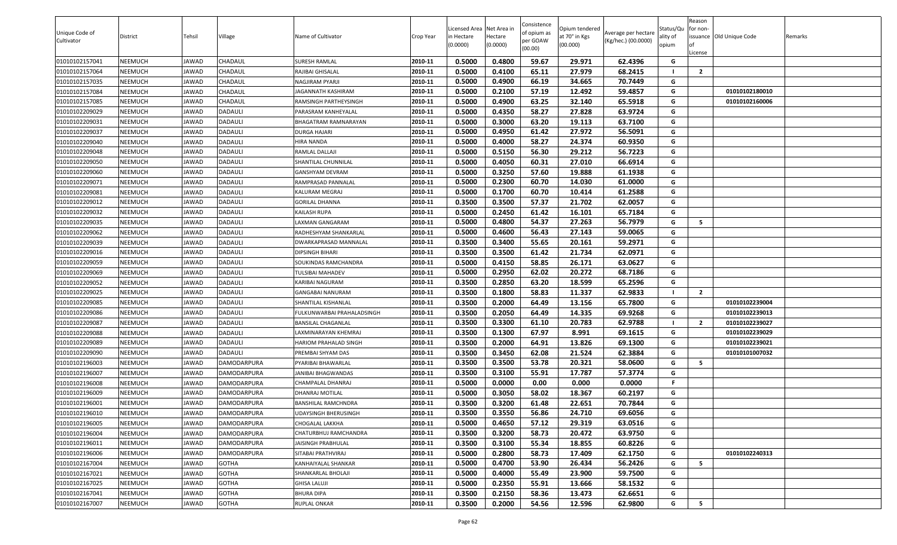|                |          |        |                |                             |           | Licensed Area Net Area in |          | Consistence         | Opium tendered |                     | Status/Qu | Reason<br>for non- |                          |         |
|----------------|----------|--------|----------------|-----------------------------|-----------|---------------------------|----------|---------------------|----------------|---------------------|-----------|--------------------|--------------------------|---------|
| Unique Code of | District | Tehsil | Village        | Name of Cultivator          | Crop Year | in Hectare                | Hectare  | of opium as         | at 70° in Kgs  | Average per hectare | ality of  |                    | issuance Old Unique Code | Remarks |
| Cultivator     |          |        |                |                             |           | (0.0000)                  | (0.0000) | per GOAW<br>(00.00) | (00.000)       | (Kg/hec.) (00.0000) | opium     | lof                |                          |         |
| 01010102157041 | NEEMUCH  | JAWAD  | CHADAUL        | SURESH RAMLAL               | 2010-11   | 0.5000                    | 0.4800   | 59.67               | 29.971         | 62.4396             | G         | License            |                          |         |
| 01010102157064 | NEEMUCH  | JAWAD  | CHADAUL        | RAJIBAI GHISALAL            | 2010-11   | 0.5000                    | 0.4100   | 65.11               | 27.979         | 68.2415             |           | $\overline{2}$     |                          |         |
| 01010102157035 | NEEMUCH  | JAWAD  | CHADAUL        | <b>NAGJIRAM PYARJI</b>      | 2010-11   | 0.5000                    | 0.4900   | 66.19               | 34.665         | 70.7449             | G         |                    |                          |         |
| 01010102157084 | NEEMUCH  | JAWAD  | CHADAUL        | JAGANNATH KASHIRAM          | 2010-11   | 0.5000                    | 0.2100   | 57.19               | 12.492         | 59.4857             | G         |                    | 01010102180010           |         |
| 01010102157085 | NEEMUCH  | JAWAD  | CHADAUL        | RAMSINGH PARTHEYSINGH       | 2010-11   | 0.5000                    | 0.4900   | 63.25               | 32.140         | 65.5918             | G         |                    | 01010102160006           |         |
| 01010102209029 | NEEMUCH  | JAWAD  | DADAULI        | PARASRAM KANHEYALAL         | 2010-11   | 0.5000                    | 0.4350   | 58.27               | 27.828         | 63.9724             | G         |                    |                          |         |
| 01010102209031 | NEEMUCH  | JAWAD  | <b>DADAULI</b> | <b>BHAGATRAM RAMNARAYAN</b> | 2010-11   | 0.5000                    | 0.3000   | 63.20               | 19.113         | 63.7100             | G         |                    |                          |         |
| 01010102209037 | NEEMUCH  | JAWAD  | DADAULI        | <b>DURGA HAJARI</b>         | 2010-11   | 0.5000                    | 0.4950   | 61.42               | 27.972         | 56.5091             | G         |                    |                          |         |
| 01010102209040 | NEEMUCH  | JAWAD  | <b>DADAULI</b> | HIRA NANDA                  | 2010-11   | 0.5000                    | 0.4000   | 58.27               | 24.374         | 60.9350             | G         |                    |                          |         |
| 01010102209048 | NEEMUCH  | JAWAD  | <b>DADAULI</b> | RAMLAL DALLAJI              | 2010-11   | 0.5000                    | 0.5150   | 56.30               | 29.212         | 56.7223             | G         |                    |                          |         |
| 01010102209050 | NEEMUCH  | JAWAD  | <b>DADAULI</b> | SHANTILAL CHUNNILAL         | 2010-11   | 0.5000                    | 0.4050   | 60.31               | 27.010         | 66.6914             | G         |                    |                          |         |
| 01010102209060 | NEEMUCH  | JAWAD  | DADAULI        | <b>GANSHYAM DEVRAM</b>      | 2010-11   | 0.5000                    | 0.3250   | 57.60               | 19.888         | 61.1938             | G         |                    |                          |         |
| 01010102209071 | NEEMUCH  | JAWAD  | DADAULI        | RAMPRASAD PANNALAL          | 2010-11   | 0.5000                    | 0.2300   | 60.70               | 14.030         | 61.0000             | G         |                    |                          |         |
| 01010102209081 | NEEMUCH  | JAWAD  | DADAULI        | KALURAM MEGRAJ              | 2010-11   | 0.5000                    | 0.1700   | 60.70               | 10.414         | 61.2588             | G         |                    |                          |         |
| 01010102209012 | NEEMUCH  | JAWAD  | <b>DADAULI</b> | <b>GORILAL DHANNA</b>       | 2010-11   | 0.3500                    | 0.3500   | 57.37               | 21.702         | 62.0057             | G         |                    |                          |         |
| 01010102209032 | NEEMUCH  | JAWAD  | DADAULI        | KAILASH RUPA                | 2010-11   | 0.5000                    | 0.2450   | 61.42               | 16.101         | 65.7184             | G         |                    |                          |         |
| 01010102209035 | NEEMUCH  | JAWAD  | <b>DADAULI</b> | LAXMAN GANGARAM             | 2010-11   | 0.5000                    | 0.4800   | 54.37               | 27.263         | 56.7979             | G         | 5                  |                          |         |
| 01010102209062 | NEEMUCH  | JAWAD  | <b>DADAULI</b> | RADHESHYAM SHANKARLAL       | 2010-11   | 0.5000                    | 0.4600   | 56.43               | 27.143         | 59.0065             | G         |                    |                          |         |
| 01010102209039 | NEEMUCH  | JAWAD  | <b>DADAULI</b> | DWARKAPRASAD MANNALAL       | 2010-11   | 0.3500                    | 0.3400   | 55.65               | 20.161         | 59.2971             | G         |                    |                          |         |
| 01010102209016 | NEEMUCH  | JAWAD  | DADAULI        | DIPSINGH BIHARI             | 2010-11   | 0.3500                    | 0.3500   | 61.42               | 21.734         | 62.0971             | G         |                    |                          |         |
| 01010102209059 | NEEMUCH  | JAWAD  | DADAULI        | SOUKINDAS RAMCHANDRA        | 2010-11   | 0.5000                    | 0.4150   | 58.85               | 26.171         | 63.0627             | G         |                    |                          |         |
| 01010102209069 | NEEMUCH  | JAWAD  | <b>DADAULI</b> | TULSIBAI MAHADEV            | 2010-11   | 0.5000                    | 0.2950   | 62.02               | 20.272         | 68.7186             | G         |                    |                          |         |
| 01010102209052 | NEEMUCH  | JAWAD  | <b>DADAULI</b> | KARIBAI NAGURAM             | 2010-11   | 0.3500                    | 0.2850   | 63.20               | 18.599         | 65.2596             | G         |                    |                          |         |
| 01010102209025 | NEEMUCH  | JAWAD  | DADAULI        | <b>GANGABAI NANURAM</b>     | 2010-11   | 0.3500                    | 0.1800   | 58.83               | 11.337         | 62.9833             | - 1       | $\overline{2}$     |                          |         |
| 01010102209085 | NEEMUCH  | JAWAD  | DADAULI        | SHANTILAL KISHANLAL         | 2010-11   | 0.3500                    | 0.2000   | 64.49               | 13.156         | 65.7800             | G         |                    | 01010102239004           |         |
| 01010102209086 | NEEMUCH  | JAWAD  | DADAULI        | FULKUNWARBAI PRAHALADSINGH  | 2010-11   | 0.3500                    | 0.2050   | 64.49               | 14.335         | 69.9268             | G         |                    | 01010102239013           |         |
| 01010102209087 | NEEMUCH  | JAWAD  | <b>DADAULI</b> | BANSILAL CHAGANLAL          | 2010-11   | 0.3500                    | 0.3300   | 61.10               | 20.783         | 62.9788             | - 1       | $\overline{2}$     | 01010102239027           |         |
| 01010102209088 | NEEMUCH  | JAWAD  | <b>DADAULI</b> | LAXMINARAYAN KHEMRAJ        | 2010-11   | 0.3500                    | 0.1300   | 67.97               | 8.991          | 69.1615             | G         |                    | 01010102239029           |         |
| 01010102209089 | NEEMUCH  | JAWAD  | DADAULI        | HARIOM PRAHALAD SINGH       | 2010-11   | 0.3500                    | 0.2000   | 64.91               | 13.826         | 69.1300             | G         |                    | 01010102239021           |         |
| 01010102209090 | NEEMUCH  | JAWAD  | DADAULI        | PREMBAI SHYAM DAS           | 2010-11   | 0.3500                    | 0.3450   | 62.08               | 21.524         | 62.3884             | G         |                    | 01010101007032           |         |
| 01010102196003 | NEEMUCH  | JAWAD  | DAMODARPURA    | PYARIBAI BHAWARLAL          | 2010-11   | 0.3500                    | 0.3500   | 53.78               | 20.321         | 58.0600             | G         | - 5                |                          |         |
| 01010102196007 | NEEMUCH  | JAWAD  | DAMODARPURA    | JANIBAI BHAGWANDAS          | 2010-11   | 0.3500                    | 0.3100   | 55.91               | 17.787         | 57.3774             | G         |                    |                          |         |
| 01010102196008 | NEEMUCH  | JAWAD  | DAMODARPURA    | CHAMPALAL DHANRAJ           | 2010-11   | 0.5000                    | 0.0000   | 0.00                | 0.000          | 0.0000              | F.        |                    |                          |         |
| 01010102196009 | NEEMUCH  | JAWAD  | DAMODARPURA    | DHANRAJ MOTILAL             | 2010-11   | 0.5000                    | 0.3050   | 58.02               | 18.367         | 60.2197             | G         |                    |                          |         |
| 01010102196001 | NEEMUCH  | JAWAD  | DAMODARPURA    | BANSHILAL RAMCHNDRA         | 2010-11   | 0.3500                    | 0.3200   | 61.48               | 22.651         | 70.7844             | G         |                    |                          |         |
| 01010102196010 | NEEMUCH  | JAWAD  | DAMODARPURA    | <b>UDAYSINGH BHERUSINGH</b> | 2010-11   | 0.3500                    | 0.3550   | 56.86               | 24.710         | 69.6056             | G         |                    |                          |         |
| 01010102196005 | NEEMUCH  | JAWAD  | DAMODARPURA    | <b>CHOGALAL LAKKHA</b>      | 2010-11   | 0.5000                    | 0.4650   | 57.12               | 29.319         | 63.0516             | G         |                    |                          |         |
| 01010102196004 | NEEMUCH  | JAWAD  | DAMODARPURA    | CHATURBHUJ RAMCHANDRA       | 2010-11   | 0.3500                    | 0.3200   | 58.73               | 20.472         | 63.9750             | G         |                    |                          |         |
| 01010102196011 | NEEMUCH  | JAWAD  | DAMODARPURA    | JAISINGH PRABHULAL          | 2010-11   | 0.3500                    | 0.3100   | 55.34               | 18.855         | 60.8226             | G         |                    |                          |         |
| 01010102196006 | NEEMUCH  | JAWAD  | DAMODARPURA    | SITABAI PRATHVIRAJ          | 2010-11   | 0.5000                    | 0.2800   | 58.73               | 17.409         | 62.1750             | G         |                    | 01010102240313           |         |
| 01010102167004 | NEEMUCH  | JAWAD  | <b>GOTHA</b>   | KANHAIYALAL SHANKAR         | 2010-11   | 0.5000                    | 0.4700   | 53.90               | 26.434         | 56.2426             | G         | 5                  |                          |         |
| 01010102167021 | NEEMUCH  | JAWAD  | <b>GOTHA</b>   | SHANKARLAL BHOLAJI          | 2010-11   | 0.5000                    | 0.4000   | 55.49               | 23.900         | 59.7500             | G         |                    |                          |         |
| 01010102167025 | NEEMUCH  | JAWAD  | <b>GOTHA</b>   | <b>GHISA LALUJI</b>         | 2010-11   | 0.5000                    | 0.2350   | 55.91               | 13.666         | 58.1532             | G         |                    |                          |         |
| 01010102167041 | NEEMUCH  | JAWAD  | <b>GOTHA</b>   | <b>BHURA DIPA</b>           | 2010-11   | 0.3500                    | 0.2150   | 58.36               | 13.473         | 62.6651             | G         |                    |                          |         |
| 01010102167007 | NEEMUCH  | JAWAD  | <b>GOTHA</b>   | <b>RUPLAL ONKAR</b>         | 2010-11   | 0.3500                    | 0.2000   | 54.56               | 12.596         | 62.9800             | G         | 5                  |                          |         |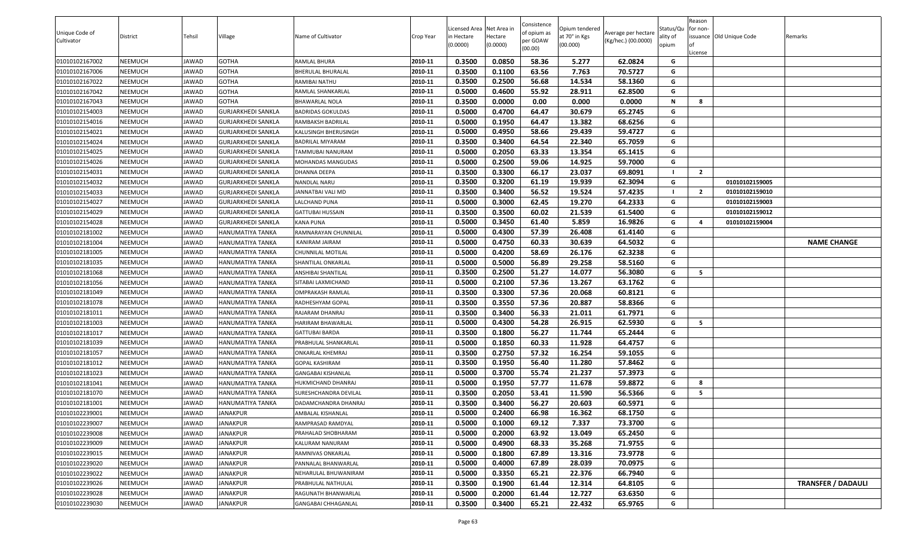|                |          |        |                           |                          |           | Licensed Area Net Area in |          | Consistence         |                                 |                     | Status/Qu | Reason<br>for non- |                          |                           |
|----------------|----------|--------|---------------------------|--------------------------|-----------|---------------------------|----------|---------------------|---------------------------------|---------------------|-----------|--------------------|--------------------------|---------------------------|
| Unique Code of | District | Tehsil | Village                   | Name of Cultivator       | Crop Year | n Hectare                 | Hectare  | of opium as         | Opium tendered<br>at 70° in Kgs | Average per hectare | ality of  |                    | issuance Old Unique Code | Remarks                   |
| Cultivator     |          |        |                           |                          |           | (0.0000)                  | (0.0000) | per GOAW<br>(00.00) | (00.000)                        | (Kg/hec.) (00.0000) | opium     |                    |                          |                           |
| 01010102167002 | NEEMUCH  | JAWAD  | <b>GOTHA</b>              | RAMLAL BHURA             | 2010-11   | 0.3500                    | 0.0850   | 58.36               | 5.277                           | 62.0824             | G         | License            |                          |                           |
| 01010102167006 | NEEMUCH  | JAWAD  | <b>GOTHA</b>              | BHERULAL BHURALAL        | 2010-11   | 0.3500                    | 0.1100   | 63.56               | 7.763                           | 70.5727             | G         |                    |                          |                           |
| 01010102167022 | NEEMUCH  | JAWAD  | <b>GOTHA</b>              | RAMIBAI NATHU            | 2010-11   | 0.3500                    | 0.2500   | 56.68               | 14.534                          | 58.1360             | G         |                    |                          |                           |
| 01010102167042 | NEEMUCH  | JAWAD  | <b>GOTHA</b>              | RAMLAL SHANKARLAL        | 2010-11   | 0.5000                    | 0.4600   | 55.92               | 28.911                          | 62.8500             | G         |                    |                          |                           |
| 01010102167043 | NEEMUCH  | JAWAD  | <b>GOTHA</b>              | BHAWARLAL NOLA           | 2010-11   | 0.3500                    | 0.0000   | 0.00                | 0.000                           | 0.0000              | N         | 8                  |                          |                           |
| 01010102154003 | NEEMUCH  | JAWAD  | <b>GURJARKHEDI SANKLA</b> | <b>BADRIDAS GOKULDAS</b> | 2010-11   | 0.5000                    | 0.4700   | 64.47               | 30.679                          | 65.2745             | G         |                    |                          |                           |
| 01010102154016 | NEEMUCH  | JAWAD  | <b>GURJARKHEDI SANKLA</b> | RAMBAKSH BADRILAL        | 2010-11   | 0.5000                    | 0.1950   | 64.47               | 13.382                          | 68.6256             | G         |                    |                          |                           |
| 01010102154021 | NEEMUCH  | JAWAD  | <b>GURJARKHEDI SANKLA</b> | KALUSINGH BHERUSINGH     | 2010-11   | 0.5000                    | 0.4950   | 58.66               | 29.439                          | 59.4727             | G         |                    |                          |                           |
| 01010102154024 | NEEMUCH  | JAWAD  | <b>GURJARKHEDI SANKLA</b> | BADRILAL MIYARAM         | 2010-11   | 0.3500                    | 0.3400   | 64.54               | 22.340                          | 65.7059             | G         |                    |                          |                           |
| 01010102154025 | NEEMUCH  | JAWAD  | <b>GURJARKHEDI SANKLA</b> | TAMMUBAI NANURAM         | 2010-11   | 0.5000                    | 0.2050   | 63.33               | 13.354                          | 65.1415             | G         |                    |                          |                           |
| 01010102154026 | NEEMUCH  | JAWAD  | <b>GURJARKHEDI SANKLA</b> | MOHANDAS MANGUDAS        | 2010-11   | 0.5000                    | 0.2500   | 59.06               | 14.925                          | 59.7000             | G         |                    |                          |                           |
|                | NEEMUCH  | JAWAD  | <b>GURJARKHEDI SANKLA</b> |                          | 2010-11   | 0.3500                    | 0.3300   | 66.17               | 23.037                          | 69.8091             |           | $\overline{2}$     |                          |                           |
| 01010102154031 | NEEMUCH  | JAWAD  |                           | DHANNA DEEPA             | 2010-11   | 0.3500                    | 0.3200   | 61.19               | 19.939                          | 62.3094             | G         |                    | 01010102159005           |                           |
| 01010102154032 |          |        | <b>GURJARKHEDI SANKLA</b> | NANDLAL NARU             |           | 0.3500                    | 0.3400   | 56.52               | 19.524                          | 57.4235             |           | $\overline{2}$     | 01010102159010           |                           |
| 01010102154033 | NEEMUCH  | JAWAD  | <b>GURJARKHEDI SANKLA</b> | JANNATBAI VALI MD        | 2010-11   |                           |          |                     |                                 |                     | G         |                    | 01010102159003           |                           |
| 01010102154027 | NEEMUCH  | JAWAD  | <b>GURJARKHEDI SANKLA</b> | LALCHAND PUNA            | 2010-11   | 0.5000                    | 0.3000   | 62.45               | 19.270                          | 64.2333             | G         |                    | 01010102159012           |                           |
| 01010102154029 | NEEMUCH  | JAWAD  | <b>GURJARKHEDI SANKLA</b> | GATTUBAI HUSSAIN         | 2010-11   | 0.3500                    | 0.3500   | 60.02               | 21.539                          | 61.5400             |           | 4                  | 01010102159004           |                           |
| 01010102154028 | NEEMUCH  | JAWAD  | <b>GURJARKHEDI SANKLA</b> | KANA PUNA                | 2010-11   | 0.5000                    | 0.3450   | 61.40               | 5.859                           | 16.9826             | G         |                    |                          |                           |
| 01010102181002 | NEEMUCH  | JAWAD  | HANUMATIYA TANKA          | RAMNARAYAN CHUNNILAL     | 2010-11   | 0.5000                    | 0.4300   | 57.39               | 26.408                          | 61.4140             | G         |                    |                          |                           |
| 01010102181004 | NEEMUCH  | JAWAD  | HANUMATIYA TANKA          | KANIRAM JAIRAM           | 2010-11   | 0.5000                    | 0.4750   | 60.33               | 30.639                          | 64.5032             | G         |                    |                          | <b>NAME CHANGE</b>        |
| 01010102181005 | NEEMUCH  | JAWAD  | HANUMATIYA TANKA          | CHUNNILAL MOTILAL        | 2010-11   | 0.5000                    | 0.4200   | 58.69               | 26.176                          | 62.3238             | G         |                    |                          |                           |
| 01010102181035 | NEEMUCH  | JAWAD  | HANUMATIYA TANKA          | SHANTILAL ONKARLAL       | 2010-11   | 0.5000                    | 0.5000   | 56.89               | 29.258                          | 58.5160             | G         |                    |                          |                           |
| 01010102181068 | NEEMUCH  | JAWAD  | HANUMATIYA TANKA          | ANSHIBAI SHANTILAL       | 2010-11   | 0.3500                    | 0.2500   | 51.27               | 14.077                          | 56.3080             | G<br>G    | - 5                |                          |                           |
| 01010102181056 | NEEMUCH  | JAWAD  | HANUMATIYA TANKA          | SITABAI LAXMICHAND       | 2010-11   | 0.5000                    | 0.2100   | 57.36               | 13.267                          | 63.1762             |           |                    |                          |                           |
| 01010102181049 | NEEMUCH  | JAWAD  | HANUMATIYA TANKA          | OMPRAKASH RAMLAL         | 2010-11   | 0.3500                    | 0.3300   | 57.36               | 20.068                          | 60.8121             | G         |                    |                          |                           |
| 01010102181078 | NEEMUCH  | JAWAD  | HANUMATIYA TANKA          | RADHESHYAM GOPAL         | 2010-11   | 0.3500                    | 0.3550   | 57.36               | 20.887                          | 58.8366             | G         |                    |                          |                           |
| 01010102181011 | NEEMUCH  | JAWAD  | HANUMATIYA TANKA          | RAJARAM DHANRAJ          | 2010-11   | 0.3500                    | 0.3400   | 56.33               | 21.011                          | 61.7971             | G         |                    |                          |                           |
| 01010102181003 | NEEMUCH  | JAWAD  | HANUMATIYA TANKA          | HARIRAM BHAWARLAL        | 2010-11   | 0.5000                    | 0.4300   | 54.28               | 26.915                          | 62.5930             | G         | - 5                |                          |                           |
| 01010102181017 | NEEMUCH  | JAWAD  | HANUMATIYA TANKA          | GATTUBAI BARDA           | 2010-11   | 0.3500                    | 0.1800   | 56.27               | 11.744                          | 65.2444             | G         |                    |                          |                           |
| 01010102181039 | NEEMUCH  | JAWAD  | HANUMATIYA TANKA          | PRABHULAL SHANKARLAL     | 2010-11   | 0.5000                    | 0.1850   | 60.33               | 11.928                          | 64.4757             | G         |                    |                          |                           |
| 01010102181057 | NEEMUCH  | JAWAD  | HANUMATIYA TANKA          | ONKARLAL KHEMRAJ         | 2010-11   | 0.3500                    | 0.2750   | 57.32               | 16.254                          | 59.1055             | G         |                    |                          |                           |
| 01010102181012 | NEEMUCH  | JAWAD  | HANUMATIYA TANKA          | GOPAL KASHIRAM           | 2010-11   | 0.3500                    | 0.1950   | 56.40               | 11.280                          | 57.8462             | G         |                    |                          |                           |
| 01010102181023 | NEEMUCH  | JAWAD  | HANUMATIYA TANKA          | GANGABAI KISHANLAL       | 2010-11   | 0.5000                    | 0.3700   | 55.74               | 21.237                          | 57.3973             | G         |                    |                          |                           |
| 01010102181041 | NEEMUCH  | JAWAD  | HANUMATIYA TANKA          | HUKMICHAND DHANRAJ       | 2010-11   | 0.5000                    | 0.1950   | 57.77               | 11.678                          | 59.8872             | G         | 8                  |                          |                           |
| 01010102181070 | NEEMUCH  | JAWAD  | HANUMATIYA TANKA          | SURESHCHANDRA DEVILAL    | 2010-11   | 0.3500                    | 0.2050   | 53.41               | 11.590                          | 56.5366             | G         | - 5                |                          |                           |
| 01010102181001 | NEEMUCH  | JAWAD  | HANUMATIYA TANKA          | DADAMCHANDRA DHANRAJ     | 2010-11   | 0.3500                    | 0.3400   | 56.27               | 20.603                          | 60.5971             | G         |                    |                          |                           |
| 01010102239001 | NEEMUCH  | JAWAD  | <b>JANAKPUR</b>           | AMBALAL KISHANLAL        | 2010-11   | 0.5000                    | 0.2400   | 66.98               | 16.362                          | 68.1750             | G         |                    |                          |                           |
| 01010102239007 | NEEMUCH  | JAWAD  | JANAKPUR                  | RAMPRASAD RAMDYAL        | 2010-11   | 0.5000                    | 0.1000   | 69.12               | 7.337                           | 73.3700             | G         |                    |                          |                           |
| 01010102239008 | NEEMUCH  | JAWAD  | JANAKPUR                  | PRAHALAD SHOBHARAM       | 2010-11   | 0.5000                    | 0.2000   | 63.92               | 13.049                          | 65.2450             | G         |                    |                          |                           |
| 01010102239009 | NEEMUCH  | JAWAD  | JANAKPUR                  | KALURAM NANURAM          | 2010-11   | 0.5000                    | 0.4900   | 68.33               | 35.268                          | 71.9755             | G         |                    |                          |                           |
| 01010102239015 | NEEMUCH  | JAWAD  | <b>JANAKPUR</b>           | RAMNIVAS ONKARLAL        | 2010-11   | 0.5000                    | 0.1800   | 67.89               | 13.316                          | 73.9778             | G         |                    |                          |                           |
| 01010102239020 | NEEMUCH  | JAWAD  | JANAKPUR                  | PANNALAL BHANWARLAL      | 2010-11   | 0.5000                    | 0.4000   | 67.89               | 28.039                          | 70.0975             | G         |                    |                          |                           |
| 01010102239022 | NEEMUCH  | JAWAD  | <b>JANAKPUR</b>           | NEHARULAL BHUWANIRAM     | 2010-11   | 0.5000                    | 0.3350   | 65.21               | 22.376                          | 66.7940             | G         |                    |                          |                           |
| 01010102239026 | NEEMUCH  | JAWAD  | JANAKPUR                  | PRABHULAL NATHULAL       | 2010-11   | 0.3500                    | 0.1900   | 61.44               | 12.314                          | 64.8105             | G         |                    |                          | <b>TRANSFER / DADAULI</b> |
| 01010102239028 | NEEMUCH  | JAWAD  | JANAKPUR                  | RAGUNATH BHANWARLAL      | 2010-11   | 0.5000                    | 0.2000   | 61.44               | 12.727                          | 63.6350             | G         |                    |                          |                           |
| 01010102239030 | NEEMUCH  | JAWAD  | JANAKPUR                  | GANGABAI CHHAGANLAL      | 2010-11   | 0.3500                    | 0.3400   | 65.21               | 22.432                          | 65.9765             | G         |                    |                          |                           |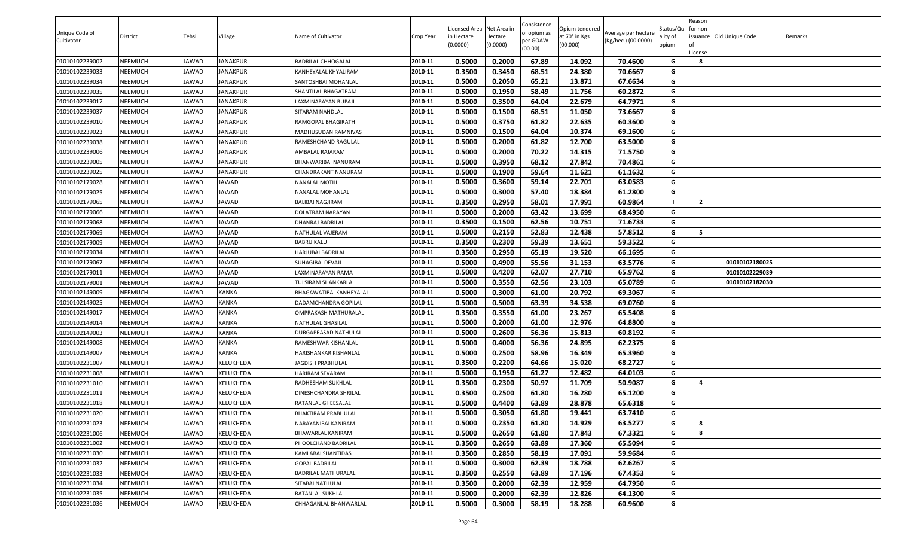|                              |                |              |                  |                            |           | Licensed Area Net Area in |          | Consistence             | Opium tendered |                                            | Status/Qu | Reason<br>for non- |                          |         |
|------------------------------|----------------|--------------|------------------|----------------------------|-----------|---------------------------|----------|-------------------------|----------------|--------------------------------------------|-----------|--------------------|--------------------------|---------|
| Unique Code of<br>Cultivator | District       | Tehsil       | Village          | Name of Cultivator         | Crop Year | n Hectare                 | Hectare  | of opium as<br>per GOAW | at 70° in Kgs  | Average per hectare<br>(Kg/hec.) (00.0000) | ality of  |                    | issuance Old Unique Code | Remarks |
|                              |                |              |                  |                            |           | (0.0000)                  | (0.0000) | (00.00)                 | (00.000)       |                                            | opium     | License            |                          |         |
| 01010102239002               | NEEMUCH        | JAWAD        | <b>JANAKPUR</b>  | <b>BADRILAL CHHOGALAL</b>  | 2010-11   | 0.5000                    | 0.2000   | 67.89                   | 14.092         | 70.4600                                    | G         | 8                  |                          |         |
| 01010102239033               | NEEMUCH        | JAWAD        | <b>JANAKPUR</b>  | KANHEYALAL KHYALIRAM       | 2010-11   | 0.3500                    | 0.3450   | 68.51                   | 24.380         | 70.6667                                    | G         |                    |                          |         |
| 01010102239034               | NEEMUCH        | JAWAD        | <b>JANAKPUR</b>  | SANTOSHBAI MOHANLAL        | 2010-11   | 0.5000                    | 0.2050   | 65.21                   | 13.871         | 67.6634                                    | G         |                    |                          |         |
| 01010102239035               | NEEMUCH        | JAWAD        | JANAKPUR         | SHANTILAL BHAGATRAM        | 2010-11   | 0.5000                    | 0.1950   | 58.49                   | 11.756         | 60.2872                                    | G         |                    |                          |         |
| 01010102239017               | NEEMUCH        | JAWAD        | <b>JANAKPUR</b>  | LAXMINARAYAN RUPAJI        | 2010-11   | 0.5000                    | 0.3500   | 64.04                   | 22.679         | 64.7971                                    | G         |                    |                          |         |
| 01010102239037               | NEEMUCH        | JAWAD        | <b>JANAKPUR</b>  | SITARAM NANDLAL            | 2010-11   | 0.5000                    | 0.1500   | 68.51                   | 11.050         | 73.6667                                    | G         |                    |                          |         |
| 01010102239010               | NEEMUCH        | JAWAD        | <b>JANAKPUR</b>  | RAMGOPAL BHAGIRATH         | 2010-11   | 0.5000                    | 0.3750   | 61.82                   | 22.635         | 60.3600                                    | G         |                    |                          |         |
| 01010102239023               | NEEMUCH        | JAWAD        | JANAKPUR         | MADHUSUDAN RAMNIVAS        | 2010-11   | 0.5000                    | 0.1500   | 64.04                   | 10.374         | 69.1600                                    | G         |                    |                          |         |
| 01010102239038               | NEEMUCH        | JAWAD        | <b>JANAKPUR</b>  | RAMESHCHAND RAGULAL        | 2010-11   | 0.5000                    | 0.2000   | 61.82                   | 12.700         | 63.5000                                    | G         |                    |                          |         |
| 01010102239006               | NEEMUCH        | JAWAD        | <b>JANAKPUR</b>  | AMBALAL RAJARAM            | 2010-11   | 0.5000                    | 0.2000   | 70.22                   | 14.315         | 71.5750                                    | G         |                    |                          |         |
| 01010102239005               | NEEMUCH        | JAWAD        | <b>JANAKPUR</b>  | BHANWARIBAI NANURAM        | 2010-11   | 0.5000                    | 0.3950   | 68.12                   | 27.842         | 70.4861                                    | G         |                    |                          |         |
| 01010102239025               | NEEMUCH        | JAWAD        | JANAKPUR         | CHANDRAKANT NANURAM        | 2010-11   | 0.5000                    | 0.1900   | 59.64                   | 11.621         | 61.1632                                    | G         |                    |                          |         |
| 01010102179028               | NEEMUCH        | JAWAD        | <b>JAWAD</b>     | <b>NANALAL MOTIJI</b>      | 2010-11   | 0.5000                    | 0.3600   | 59.14                   | 22.701         | 63.0583                                    | G         |                    |                          |         |
| 01010102179025               | NEEMUCH        | JAWAD        | <b>JAWAD</b>     | NANALAL MOHANLAL           | 2010-11   | 0.5000                    | 0.3000   | 57.40                   | 18.384         | 61.2800                                    | G         |                    |                          |         |
| 01010102179065               | NEEMUCH        | JAWAD        | <b>JAWAD</b>     | <b>BALIBAI NAGJIRAM</b>    | 2010-11   | 0.3500                    | 0.2950   | 58.01                   | 17.991         | 60.9864                                    |           | $\overline{2}$     |                          |         |
| 01010102179066               | NEEMUCH        | JAWAD        | <b>JAWAD</b>     | DOLATRAM NARAYAN           | 2010-11   | 0.5000                    | 0.2000   | 63.42                   | 13.699         | 68.4950                                    | G         |                    |                          |         |
| 01010102179068               | NEEMUCH        | JAWAD        | <b>JAWAD</b>     | DHANRAJ BADRILAL           | 2010-11   | 0.3500                    | 0.1500   | 62.56                   | 10.751         | 71.6733                                    | G         |                    |                          |         |
| 01010102179069               | NEEMUCH        | JAWAD        | <b>JAWAD</b>     | NATHULAL VAJERAM           | 2010-11   | 0.5000                    | 0.2150   | 52.83                   | 12.438         | 57.8512                                    | G         | - 5                |                          |         |
| 01010102179009               | NEEMUCH        | <b>JAWAD</b> | <b>JAWAD</b>     | <b>BABRU KALU</b>          | 2010-11   | 0.3500                    | 0.2300   | 59.39                   | 13.651         | 59.3522                                    | G         |                    |                          |         |
| 01010102179034               | NEEMUCH        | JAWAD        | <b>JAWAD</b>     | HARJUBAI BADRILAL          | 2010-11   | 0.3500                    | 0.2950   | 65.19                   | 19.520         | 66.1695                                    | G         |                    |                          |         |
| 01010102179067               | NEEMUCH        | JAWAD        | <b>JAWAD</b>     | SUHAGIBAI DEVAJI           | 2010-11   | 0.5000                    | 0.4900   | 55.56                   | 31.153         | 63.5776                                    | G         |                    | 01010102180025           |         |
| 01010102179011               | NEEMUCH        | JAWAD        | <b>JAWAD</b>     | LAXMINARAYAN RAMA          | 2010-11   | 0.5000                    | 0.4200   | 62.07                   | 27.710         | 65.9762                                    | G         |                    | 01010102229039           |         |
| 01010102179001               | NEEMUCH        | JAWAD        | <b>JAWAD</b>     | TULSIRAM SHANKARLAL        | 2010-11   | 0.5000                    | 0.3550   | 62.56                   | 23.103         | 65.0789                                    | G         |                    | 01010102182030           |         |
| 01010102149009               | NEEMUCH        | JAWAD        | <b>KANKA</b>     | BHAGAWATIBAI KANHEYALAL    | 2010-11   | 0.5000                    | 0.3000   | 61.00                   | 20.792         | 69.3067                                    | G         |                    |                          |         |
| 01010102149025               | NEEMUCH        | JAWAD        | <b>KANKA</b>     | DADAMCHANDRA GOPILAL       | 2010-11   | 0.5000                    | 0.5000   | 63.39                   | 34.538         | 69.0760                                    | G         |                    |                          |         |
| 01010102149017               | NEEMUCH        | JAWAD        | <b>KANKA</b>     | OMPRAKASH MATHURALAL       | 2010-11   | 0.3500                    | 0.3550   | 61.00                   | 23.267         | 65.5408                                    | G         |                    |                          |         |
| 01010102149014               | NEEMUCH        | JAWAD        | <b>KANKA</b>     | NATHULAL GHASILAL          | 2010-11   | 0.5000                    | 0.2000   | 61.00                   | 12.976         | 64.8800                                    | G         |                    |                          |         |
| 01010102149003               | NEEMUCH        | JAWAD        | <b>KANKA</b>     | DURGAPRASAD NATHULAL       | 2010-11   | 0.5000                    | 0.2600   | 56.36                   | 15.813         | 60.8192                                    | G         |                    |                          |         |
| 01010102149008               | NEEMUCH        | JAWAD        | <b>KANKA</b>     | RAMESHWAR KISHANLAL        | 2010-11   | 0.5000                    | 0.4000   | 56.36                   | 24.895         | 62.2375                                    | G         |                    |                          |         |
| 01010102149007               | NEEMUCH        | JAWAD        | <b>KANKA</b>     | HARISHANKAR KISHANLAL      | 2010-11   | 0.5000                    | 0.2500   | 58.96                   | 16.349         | 65.3960                                    | G         |                    |                          |         |
| 01010102231007               | NEEMUCH        | JAWAD        | KELUKHEDA        | JAGDISH PRABHULAL          | 2010-11   | 0.3500                    | 0.2200   | 64.66                   | 15.020         | 68.2727                                    | G         |                    |                          |         |
| 01010102231008               | NEEMUCH        | JAWAD        | KELUKHEDA        | HARIRAM SEVARAM            | 2010-11   | 0.5000                    | 0.1950   | 61.27                   | 12.482         | 64.0103                                    | G         |                    |                          |         |
| 01010102231010               | NEEMUCH        | JAWAD        | KELUKHEDA        | RADHESHAM SUKHLAL          | 2010-11   | 0.3500                    | 0.2300   | 50.97                   | 11.709         | 50.9087                                    | G         | $\overline{4}$     |                          |         |
| 01010102231011               | NEEMUCH        | JAWAD        | KELUKHEDA        | DINESHCHANDRA SHRILAL      | 2010-11   | 0.3500                    | 0.2500   | 61.80                   | 16.280         | 65.1200                                    | G         |                    |                          |         |
| 01010102231018               | NEEMUCH        | JAWAD        | KELUKHEDA        | RATANLAL GHEESALAL         | 2010-11   | 0.5000                    | 0.4400   | 63.89                   | 28.878         | 65.6318                                    | G         |                    |                          |         |
| 01010102231020               | NEEMUCH        | JAWAD        | <b>KELUKHEDA</b> | <b>BHAKTIRAM PRABHULAL</b> | 2010-11   | 0.5000                    | 0.3050   | 61.80                   | 19.441         | 63.7410                                    | G         |                    |                          |         |
| 01010102231023               | NEEMUCH        | JAWAD        | KELUKHEDA        | NARAYANIBAI KANIRAM        | 2010-11   | 0.5000                    | 0.2350   | 61.80                   | 14.929         | 63.5277                                    | G         | 8                  |                          |         |
| 01010102231006               | NEEMUCH        | JAWAD        | KELUKHEDA        | BHAWARLAL KANIRAM          | 2010-11   | 0.5000                    | 0.2650   | 61.80                   | 17.843         | 67.3321                                    | G         | 8                  |                          |         |
| 01010102231002               | NEEMUCH        | JAWAD        | KELUKHEDA        | PHOOLCHAND BADRILAL        | 2010-11   | 0.3500                    | 0.2650   | 63.89                   | 17.360         | 65.5094                                    | G         |                    |                          |         |
| 01010102231030               | NEEMUCH        | JAWAD        | KELUKHEDA        | KAMLABAI SHANTIDAS         | 2010-11   | 0.3500                    | 0.2850   | 58.19                   | 17.091         | 59.9684                                    | G         |                    |                          |         |
| 01010102231032               | NEEMUCH        | JAWAD        | KELUKHEDA        | <b>GOPAL BADRILAL</b>      | 2010-11   | 0.5000                    | 0.3000   | 62.39                   | 18.788         | 62.6267                                    | G         |                    |                          |         |
| 01010102231033               | NEEMUCH        | JAWAD        | KELUKHEDA        | <b>BADRILAL MATHURALAL</b> | 2010-11   | 0.3500                    | 0.2550   | 63.89                   | 17.196         | 67.4353                                    | G         |                    |                          |         |
| 01010102231034               | NEEMUCH        | JAWAD        | KELUKHEDA        | SITABAI NATHULAL           | 2010-11   | 0.3500                    | 0.2000   | 62.39                   | 12.959         | 64.7950                                    | G         |                    |                          |         |
| 01010102231035               | NEEMUCH        | JAWAD        | <b>KELUKHEDA</b> | RATANLAL SUKHLAL           | 2010-11   | 0.5000                    | 0.2000   | 62.39                   | 12.826         | 64.1300                                    | G         |                    |                          |         |
| 01010102231036               | <b>NEEMUCH</b> | JAWAD        | KELUKHEDA        | CHHAGANLAL BHANWARLAL      | 2010-11   | 0.5000                    | 0.3000   | 58.19                   | 18.288         | 60.9600                                    | G         |                    |                          |         |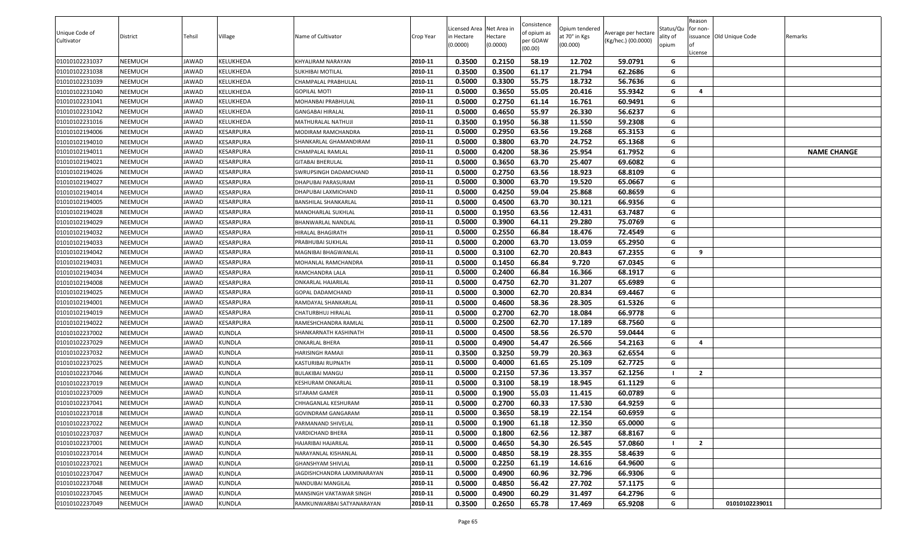| Unique Code of<br>Cultivator     | <b>District</b>    | Tehsil         | Village                | Name of Cultivator                    | Crop Year          | Licensed Area Net Area in<br>in Hectare<br>(0.0000) | lectare<br>(0.0000) | Consistence<br>of opium as<br>oer GOAW | Opium tendered<br>at 70° in Kgs<br>(00.000) | Average per hectare<br>(Kg/hec.) (00.0000) | Status/Qu<br>ality of<br>opium | Reason<br>for non-<br>issuance Old Unique Code | Remarks            |
|----------------------------------|--------------------|----------------|------------------------|---------------------------------------|--------------------|-----------------------------------------------------|---------------------|----------------------------------------|---------------------------------------------|--------------------------------------------|--------------------------------|------------------------------------------------|--------------------|
|                                  |                    |                |                        |                                       |                    |                                                     |                     | (00.00)                                |                                             |                                            |                                | .icense                                        |                    |
| 01010102231037                   | NEEMUCH            | JAWAD          | KELUKHEDA              | KHYALIRAM NARAYAN                     | 2010-11            | 0.3500                                              | 0.2150              | 58.19                                  | 12.702                                      | 59.0791                                    | G                              |                                                |                    |
| 01010102231038                   | NEEMUCH            | JAWAD          | KELUKHEDA              | SUKHIBAI MOTILAL                      | 2010-11            | 0.3500                                              | 0.3500              | 61.17                                  | 21.794                                      | 62.2686                                    | G                              |                                                |                    |
| 01010102231039                   | NEEMUCH            | JAWAD          | KELUKHEDA              | CHAMPALAL PRABHULAL                   | 2010-11            | 0.5000                                              | 0.3300              | 55.75                                  | 18.732                                      | 56.7636                                    | G                              |                                                |                    |
| 01010102231040                   | NEEMUCH            | JAWAD          | KELUKHEDA              | GOPILAL MOTI                          | 2010-11            | 0.5000                                              | 0.3650              | 55.05                                  | 20.416                                      | 55.9342                                    | G                              | 4                                              |                    |
| 01010102231041                   | NEEMUCH            | JAWAD          | KELUKHEDA              | MOHANBAI PRABHULAL                    | 2010-11            | 0.5000                                              | 0.2750              | 61.14                                  | 16.761                                      | 60.9491                                    | G                              |                                                |                    |
| 01010102231042                   | NEEMUCH            | JAWAD          | KELUKHEDA              | GANGABAI HIRALAL                      | 2010-11            | 0.5000                                              | 0.4650              | 55.97                                  | 26.330                                      | 56.6237                                    | G                              |                                                |                    |
| 01010102231016                   | NEEMUCH            | JAWAD          | KELUKHEDA              | MATHURALAL NATHUJI                    | 2010-11            | 0.3500                                              | 0.1950              | 56.38                                  | 11.550                                      | 59.2308                                    | G                              |                                                |                    |
| 01010102194006                   | NEEMUCH            | JAWAD          | KESARPURA              | MODIRAM RAMCHANDRA                    | 2010-11            | 0.5000                                              | 0.2950              | 63.56                                  | 19.268                                      | 65.3153                                    | G                              |                                                |                    |
| 01010102194010                   | NEEMUCH            | JAWAD          | KESARPURA              | SHANKARLAL GHAMANDIRAM                | 2010-11            | 0.5000                                              | 0.3800              | 63.70                                  | 24.752                                      | 65.1368                                    | G                              |                                                |                    |
| 01010102194011                   | NEEMUCH            | JAWAD          | KESARPURA              | CHAMPALAL RAMLAL                      | 2010-11            | 0.5000                                              | 0.4200              | 58.36                                  | 25.954                                      | 61.7952                                    | G                              |                                                | <b>NAME CHANGE</b> |
| 01010102194021                   | NEEMUCH            | JAWAD          | KESARPURA              | <b>GITABAI BHERULAL</b>               | 2010-11            | 0.5000                                              | 0.3650              | 63.70                                  | 25.407                                      | 69.6082                                    | G                              |                                                |                    |
| 01010102194026                   | NEEMUCH            | JAWAD          | KESARPURA              | SWRUPSINGH DADAMCHAND                 | 2010-11            | 0.5000                                              | 0.2750              | 63.56                                  | 18.923                                      | 68.8109                                    | G                              |                                                |                    |
| 01010102194027                   | NEEMUCH            | JAWAD          | KESARPURA              | DHAPUBAI PARASURAM                    | 2010-11            | 0.5000                                              | 0.3000              | 63.70                                  | 19.520                                      | 65.0667                                    | G                              |                                                |                    |
| 01010102194014                   | NEEMUCH            | JAWAD          | KESARPURA              | DHAPUBAI LAXMICHAND                   | 2010-11            | 0.5000                                              | 0.4250              | 59.04                                  | 25.868                                      | 60.8659                                    | G                              |                                                |                    |
| 01010102194005                   | NEEMUCH            | JAWAD          | KESARPURA              | BANSHILAL SHANKARLAL                  | 2010-11            | 0.5000                                              | 0.4500              | 63.70                                  | 30.121                                      | 66.9356                                    | G                              |                                                |                    |
| 01010102194028                   | NEEMUCH            | JAWAD          | KESARPURA              | MANOHARLAL SUKHLAL                    | 2010-11            | 0.5000                                              | 0.1950              | 63.56                                  | 12.431                                      | 63.7487                                    | G                              |                                                |                    |
| 01010102194029                   | NEEMUCH            | JAWAD          | KESARPURA              | BHANWARLAL NANDLAL                    | 2010-11            | 0.5000                                              | 0.3900              | 64.11                                  | 29.280                                      | 75.0769                                    | G                              |                                                |                    |
| 01010102194032                   | NEEMUCH            | JAWAD          | KESARPURA              | HIRALAL BHAGIRATH                     | 2010-11            | 0.5000                                              | 0.2550              | 66.84                                  | 18.476                                      | 72.4549                                    | G                              |                                                |                    |
| 01010102194033                   | NEEMUCH            | JAWAD          | KESARPURA              | PRABHUBAI SUKHLAL                     | 2010-11            | 0.5000                                              | 0.2000              | 63.70                                  | 13.059                                      | 65.2950                                    | G                              |                                                |                    |
| 01010102194042                   | NEEMUCH            | JAWAD          | KESARPURA              | MAGNIBAI BHAGWANLAL                   | 2010-11            | 0.5000                                              | 0.3100              | 62.70                                  | 20.843                                      | 67.2355                                    | G                              | 9                                              |                    |
| 01010102194031                   | NEEMUCH            | JAWAD          | KESARPURA              | MOHANLAL RAMCHANDRA                   | 2010-11            | 0.5000                                              | 0.1450              | 66.84                                  | 9.720                                       | 67.0345                                    | G                              |                                                |                    |
| 01010102194034                   | NEEMUCH<br>NEEMUCH | JAWAD<br>JAWAD | KESARPURA<br>KESARPURA | RAMCHANDRA LALA<br>ONKARLAL HAJARILAL | 2010-11<br>2010-11 | 0.5000<br>0.5000                                    | 0.2400<br>0.4750    | 66.84<br>62.70                         | 16.366<br>31.207                            | 68.1917<br>65.6989                         | G<br>G                         |                                                |                    |
| 01010102194008<br>01010102194025 | NEEMUCH            | JAWAD          | KESARPURA              | GOPAL DADAMCHAND                      | 2010-11            | 0.5000                                              | 0.3000              | 62.70                                  | 20.834                                      | 69.4467                                    | G                              |                                                |                    |
| 01010102194001                   | NEEMUCH            | JAWAD          | KESARPURA              | RAMDAYAL SHANKARLAL                   | 2010-11            | 0.5000                                              | 0.4600              | 58.36                                  | 28.305                                      | 61.5326                                    | G                              |                                                |                    |
| 01010102194019                   | NEEMUCH            | JAWAD          | KESARPURA              | CHATURBHUJ HIRALAL                    | 2010-11            | 0.5000                                              | 0.2700              | 62.70                                  | 18.084                                      | 66.9778                                    | G                              |                                                |                    |
| 01010102194022                   | NEEMUCH            | JAWAD          | KESARPURA              | RAMESHCHANDRA RAMLAL                  | 2010-11            | 0.5000                                              | 0.2500              | 62.70                                  | 17.189                                      | 68.7560                                    | G                              |                                                |                    |
| 01010102237002                   | NEEMUCH            | JAWAD          | <b>KUNDLA</b>          | SHANKARNATH KASHINATH                 | 2010-11            | 0.5000                                              | 0.4500              | 58.56                                  | 26.570                                      | 59.0444                                    | G                              |                                                |                    |
| 01010102237029                   | NEEMUCH            | JAWAD          | <b>KUNDLA</b>          | ONKARLAL BHERA                        | 2010-11            | 0.5000                                              | 0.4900              | 54.47                                  | 26.566                                      | 54.2163                                    | G                              | 4                                              |                    |
| 01010102237032                   | NEEMUCH            | JAWAD          | <b>KUNDLA</b>          | HARISINGH RAMAJI                      | 2010-11            | 0.3500                                              | 0.3250              | 59.79                                  | 20.363                                      | 62.6554                                    | G                              |                                                |                    |
| 01010102237025                   | NEEMUCH            | JAWAD          | <b>KUNDLA</b>          | KASTURIBAI RUPNATH                    | 2010-11            | 0.5000                                              | 0.4000              | 61.65                                  | 25.109                                      | 62.7725                                    | G                              |                                                |                    |
| 01010102237046                   | NEEMUCH            | JAWAD          | <b>KUNDLA</b>          | <b>BULAKIBAI MANGU</b>                | 2010-11            | 0.5000                                              | 0.2150              | 57.36                                  | 13.357                                      | 62.1256                                    |                                | $\overline{2}$                                 |                    |
| 01010102237019                   | NEEMUCH            | JAWAD          | <b>KUNDLA</b>          | KESHURAM ONKARLAL                     | 2010-11            | 0.5000                                              | 0.3100              | 58.19                                  | 18.945                                      | 61.1129                                    | G                              |                                                |                    |
| 01010102237009                   | NEEMUCH            | JAWAD          | <b>KUNDLA</b>          | SITARAM GAMER                         | 2010-11            | 0.5000                                              | 0.1900              | 55.03                                  | 11.415                                      | 60.0789                                    | G                              |                                                |                    |
| 01010102237041                   | NEEMUCH            | JAWAD          | <b>KUNDLA</b>          | CHHAGANLAL KESHURAM                   | 2010-11            | 0.5000                                              | 0.2700              | 60.33                                  | 17.530                                      | 64.9259                                    | G                              |                                                |                    |
| 01010102237018                   | NEEMUCH            | JAWAD          | <b>KUNDLA</b>          | GOVINDRAM GANGARAM                    | 2010-11            | 0.5000                                              | 0.3650              | 58.19                                  | 22.154                                      | 60.6959                                    | G                              |                                                |                    |
| 01010102237022                   | NEEMUCH            | JAWAD          | <b>KUNDLA</b>          | PARMANAND SHIVELAL                    | 2010-11            | 0.5000                                              | 0.1900              | 61.18                                  | 12.350                                      | 65.0000                                    | G                              |                                                |                    |
| 01010102237037                   | NEEMUCH            | JAWAD          | <b>KUNDLA</b>          | VARDICHAND BHERA                      | 2010-11            | 0.5000                                              | 0.1800              | 62.56                                  | 12.387                                      | 68.8167                                    | G                              |                                                |                    |
| 01010102237001                   | NEEMUCH            | JAWAD          | <b>KUNDLA</b>          | HAJARIBAI HAJARILAL                   | 2010-11            | 0.5000                                              | 0.4650              | 54.30                                  | 26.545                                      | 57.0860                                    |                                | $\overline{2}$                                 |                    |
| 01010102237014                   | NEEMUCH            | JAWAD          | <b>KUNDLA</b>          | NARAYANLAL KISHANLAL                  | 2010-11            | 0.5000                                              | 0.4850              | 58.19                                  | 28.355                                      | 58.4639                                    | G                              |                                                |                    |
| 01010102237021                   | NEEMUCH            | JAWAD          | <b>KUNDLA</b>          | GHANSHYAM SHIVLAL                     | 2010-11            | 0.5000                                              | 0.2250              | 61.19                                  | 14.616                                      | 64.9600                                    | G                              |                                                |                    |
| 01010102237047                   | NEEMUCH            | JAWAD          | <b>KUNDLA</b>          | <b>JAGDISHCHANDRA LAXMINARAYAN</b>    | 2010-11            | 0.5000                                              | 0.4900              | 60.96                                  | 32.796                                      | 66.9306                                    | G                              |                                                |                    |
| 01010102237048                   | NEEMUCH            | JAWAD          | <b>KUNDLA</b>          | NANDUBAI MANGILAL                     | 2010-11            | 0.5000                                              | 0.4850              | 56.42                                  | 27.702                                      | 57.1175                                    | G                              |                                                |                    |
| 01010102237045                   | NEEMUCH            | JAWAD          | <b>KUNDLA</b>          | MANSINGH VAKTAWAR SINGH               | 2010-11            | 0.5000                                              | 0.4900              | 60.29                                  | 31.497                                      | 64.2796                                    | G                              |                                                |                    |
| 01010102237049                   | NEEMUCH            | JAWAD          | <b>KUNDLA</b>          | RAMKUNWARBAI SATYANARAYAN             | 2010-11            | 0.3500                                              | 0.2650              | 65.78                                  | 17.469                                      | 65.9208                                    | G                              | 01010102239011                                 |                    |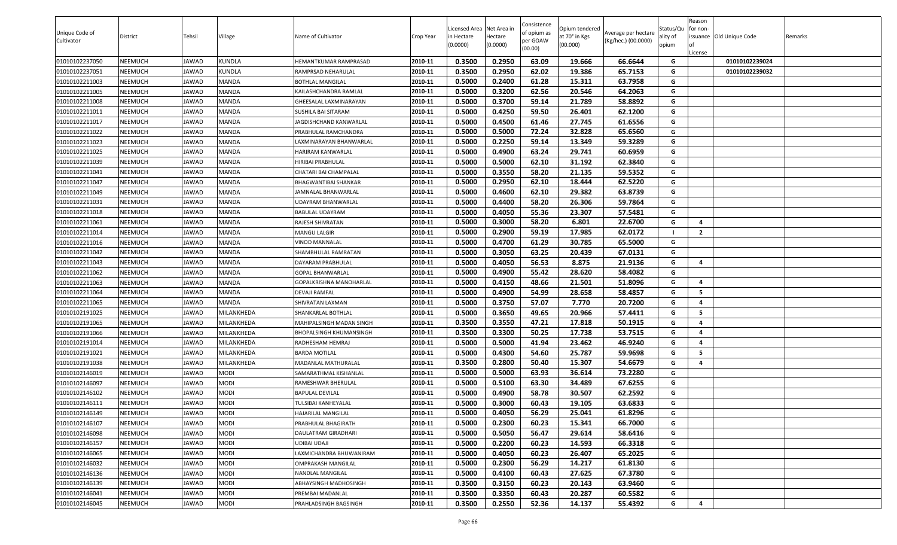|                |          |        |               |                                |           | Licensed Area Net Area in |          | Consistence             | Opium tendered |                     | Status/Qu | Reason<br>for non-      |                          |         |
|----------------|----------|--------|---------------|--------------------------------|-----------|---------------------------|----------|-------------------------|----------------|---------------------|-----------|-------------------------|--------------------------|---------|
| Unique Code of | District | Tehsil | Village       | Name of Cultivator             | Crop Year | in Hectare                | Hectare  | of opium as<br>oer GOAW | at 70° in Kgs  | Average per hectare | ality of  |                         | issuance Old Unique Code | Remarks |
| Cultivator     |          |        |               |                                |           | (0.0000)                  | (0.0000) | (00.00)                 | (00.000)       | (Kg/hec.) (00.0000) | opium     | l of                    |                          |         |
| 01010102237050 | NEEMUCH  | JAWAD  | <b>KUNDLA</b> | HEMANTKUMAR RAMPRASAD          | 2010-11   | 0.3500                    | 0.2950   | 63.09                   | 19.666         | 66.6644             | G         | License                 | 01010102239024           |         |
| 01010102237051 | NEEMUCH  | JAWAD  | <b>KUNDLA</b> | RAMPRSAD NEHARULAL             | 2010-11   | 0.3500                    | 0.2950   | 62.02                   | 19.386         | 65.7153             | G         |                         | 01010102239032           |         |
| 01010102211003 | NEEMUCH  | JAWAD  | <b>MANDA</b>  | <b>BOTHLAL MANGILAL</b>        | 2010-11   | 0.5000                    | 0.2400   | 61.28                   | 15.311         | 63.7958             | G         |                         |                          |         |
| 01010102211005 | NEEMUCH  | JAWAD  | <b>MANDA</b>  | KAILASHCHANDRA RAMLAL          | 2010-11   | 0.5000                    | 0.3200   | 62.56                   | 20.546         | 64.2063             | G         |                         |                          |         |
| 01010102211008 | NEEMUCH  | JAWAD  | <b>MANDA</b>  | GHEESALAL LAXMINARAYAN         | 2010-11   | 0.5000                    | 0.3700   | 59.14                   | 21.789         | 58.8892             | G         |                         |                          |         |
| 01010102211011 | NEEMUCH  | JAWAD  | <b>MANDA</b>  | SUSHILA BAI SITARAM            | 2010-11   | 0.5000                    | 0.4250   | 59.50                   | 26.401         | 62.1200             | G         |                         |                          |         |
| 01010102211017 | NEEMUCH  | JAWAD  | <b>MANDA</b>  | JAGDISHCHAND KANWARLAL         | 2010-11   | 0.5000                    | 0.4500   | 61.46                   | 27.745         | 61.6556             | G         |                         |                          |         |
| 01010102211022 | NEEMUCH  | JAWAD  | <b>MANDA</b>  | PRABHULAL RAMCHANDRA           | 2010-11   | 0.5000                    | 0.5000   | 72.24                   | 32.828         | 65.6560             | G         |                         |                          |         |
| 01010102211023 | NEEMUCH  | JAWAD  | <b>MANDA</b>  | LAXMINARAYAN BHANWARLAL        | 2010-11   | 0.5000                    | 0.2250   | 59.14                   | 13.349         | 59.3289             | G         |                         |                          |         |
| 01010102211025 | NEEMUCH  | JAWAD  | <b>MANDA</b>  | HARIRAM KANWARLAL              | 2010-11   | 0.5000                    | 0.4900   | 63.24                   | 29.741         | 60.6959             | G         |                         |                          |         |
| 01010102211039 | NEEMUCH  | JAWAD  | <b>MANDA</b>  | HIRIBAI PRABHULAL              | 2010-11   | 0.5000                    | 0.5000   | 62.10                   | 31.192         | 62.3840             | G         |                         |                          |         |
| 01010102211041 | NEEMUCH  | JAWAD  | <b>MANDA</b>  | CHATARI BAI CHAMPALAL          | 2010-11   | 0.5000                    | 0.3550   | 58.20                   | 21.135         | 59.5352             | G         |                         |                          |         |
| 01010102211047 | NEEMUCH  | JAWAD  | <b>MANDA</b>  | BHAGWANTIBAI SHANKAR           | 2010-11   | 0.5000                    | 0.2950   | 62.10                   | 18.444         | 62.5220             | G         |                         |                          |         |
| 01010102211049 | NEEMUCH  | JAWAD  | <b>MANDA</b>  | JAMNALAL BHANWARLAL            | 2010-11   | 0.5000                    | 0.4600   | 62.10                   | 29.382         | 63.8739             | G         |                         |                          |         |
| 01010102211031 | NEEMUCH  | JAWAD  | <b>MANDA</b>  | UDAYRAM BHANWARLAL             | 2010-11   | 0.5000                    | 0.4400   | 58.20                   | 26.306         | 59.7864             | G         |                         |                          |         |
| 01010102211018 | NEEMUCH  | JAWAD  | <b>MANDA</b>  | <b>BABULAL UDAYRAM</b>         | 2010-11   | 0.5000                    | 0.4050   | 55.36                   | 23.307         | 57.5481             | G         |                         |                          |         |
| 01010102211061 | NEEMUCH  | JAWAD  | <b>MANDA</b>  | RAJESH SHIVRATAN               | 2010-11   | 0.5000                    | 0.3000   | 58.20                   | 6.801          | 22.6700             | G         | -4                      |                          |         |
| 01010102211014 | NEEMUCH  | JAWAD  | <b>MANDA</b>  | MANGU LALGIR                   | 2010-11   | 0.5000                    | 0.2900   | 59.19                   | 17.985         | 62.0172             | - 1       | $\overline{2}$          |                          |         |
| 01010102211016 | NEEMUCH  | JAWAD  | <b>MANDA</b>  | <b>VINOD MANNALAL</b>          | 2010-11   | 0.5000                    | 0.4700   | 61.29                   | 30.785         | 65.5000             | G         |                         |                          |         |
| 01010102211042 | NEEMUCH  | JAWAD  | <b>MANDA</b>  | SHAMBHULAL RAMRATAN            | 2010-11   | 0.5000                    | 0.3050   | 63.25                   | 20.439         | 67.0131             | G         |                         |                          |         |
| 01010102211043 | NEEMUCH  | JAWAD  | <b>MANDA</b>  | DAYARAM PRABHULAL              | 2010-11   | 0.5000                    | 0.4050   | 56.53                   | 8.875          | 21.9136             | G         | $\overline{a}$          |                          |         |
| 01010102211062 | NEEMUCH  | JAWAD  | <b>MANDA</b>  | <b>GOPAL BHANWARLAL</b>        | 2010-11   | 0.5000                    | 0.4900   | 55.42                   | 28.620         | 58.4082             | G         |                         |                          |         |
| 01010102211063 | NEEMUCH  | JAWAD  | <b>MANDA</b>  | GOPALKRISHNA MANOHARLAL        | 2010-11   | 0.5000                    | 0.4150   | 48.66                   | 21.501         | 51.8096             | G         | -4                      |                          |         |
| 01010102211064 | NEEMUCH  | JAWAD  | <b>MANDA</b>  | DEVAJI RAMFAL                  | 2010-11   | 0.5000                    | 0.4900   | 54.99                   | 28.658         | 58.4857             | G         | - 5                     |                          |         |
| 01010102211065 | NEEMUCH  | JAWAD  | <b>MANDA</b>  | SHIVRATAN LAXMAN               | 2010-11   | 0.5000                    | 0.3750   | 57.07                   | 7.770          | 20.7200             | G         | $\overline{4}$          |                          |         |
| 01010102191025 | NEEMUCH  | JAWAD  | MILANKHEDA    | SHANKARLAL BOTHLAL             | 2010-11   | 0.5000                    | 0.3650   | 49.65                   | 20.966         | 57.4411             | G         | - 5                     |                          |         |
| 01010102191065 | NEEMUCH  | JAWAD  | MILANKHEDA    | MAHIPALSINGH MADAN SINGH       | 2010-11   | 0.3500                    | 0.3550   | 47.21                   | 17.818         | 50.1915             | G         | $\overline{\mathbf{4}}$ |                          |         |
| 01010102191066 | NEEMUCH  | JAWAD  | MILANKHEDA    | <b>BHOPALSINGH KHUMANSINGH</b> | 2010-11   | 0.3500                    | 0.3300   | 50.25                   | 17.738         | 53.7515             | G         | $\overline{\mathbf{4}}$ |                          |         |
| 01010102191014 | NEEMUCH  | JAWAD  | MILANKHEDA    | RADHESHAM HEMRAJ               | 2010-11   | 0.5000                    | 0.5000   | 41.94                   | 23.462         | 46.9240             | G         | 4                       |                          |         |
| 01010102191021 | NEEMUCH  | JAWAD  | MILANKHEDA    | <b>BARDA MOTILAL</b>           | 2010-11   | 0.5000                    | 0.4300   | 54.60                   | 25.787         | 59.9698             | G         | - 5                     |                          |         |
| 01010102191038 | NEEMUCH  | JAWAD  | MILANKHEDA    | MADANLAL MATHURALAL            | 2010-11   | 0.3500                    | 0.2800   | 50.40                   | 15.307         | 54.6679             | G         | $\overline{\mathbf{A}}$ |                          |         |
| 01010102146019 | NEEMUCH  | JAWAD  | <b>MODI</b>   | SAMARATHMAL KISHANLAL          | 2010-11   | 0.5000                    | 0.5000   | 63.93                   | 36.614         | 73.2280             | G         |                         |                          |         |
| 01010102146097 | NEEMUCH  | JAWAD  | <b>MODI</b>   | RAMESHWAR BHERULAL             | 2010-11   | 0.5000                    | 0.5100   | 63.30                   | 34.489         | 67.6255             | G         |                         |                          |         |
| 01010102146102 | NEEMUCH  | JAWAD  | <b>MODI</b>   | <b>BAPULAL DEVILAL</b>         | 2010-11   | 0.5000                    | 0.4900   | 58.78                   | 30.507         | 62.2592             | G         |                         |                          |         |
| 01010102146111 | NEEMUCH  | JAWAD  | <b>MODI</b>   | TULSIBAI KANHEYALAL            | 2010-11   | 0.5000                    | 0.3000   | 60.43                   | 19.105         | 63.6833             | G         |                         |                          |         |
| 01010102146149 | NEEMUCH  | JAWAD  | <b>MODI</b>   | <b>HAJARILAL MANGILAL</b>      | 2010-11   | 0.5000                    | 0.4050   | 56.29                   | 25.041         | 61.8296             | G         |                         |                          |         |
| 01010102146107 | NEEMUCH  | JAWAD  | <b>MODI</b>   | PRABHULAL BHAGIRATH            | 2010-11   | 0.5000                    | 0.2300   | 60.23                   | 15.341         | 66.7000             | G         |                         |                          |         |
| 01010102146098 | NEEMUCH  | JAWAD  | <b>MODI</b>   | DAULATRAM GIRADHARI            | 2010-11   | 0.5000                    | 0.5050   | 56.47                   | 29.614         | 58.6416             | G         |                         |                          |         |
| 01010102146157 | NEEMUCH  | JAWAD  | <b>MODI</b>   | UDIBAI UDAJI                   | 2010-11   | 0.5000                    | 0.2200   | 60.23                   | 14.593         | 66.3318             | G         |                         |                          |         |
| 01010102146065 | NEEMUCH  | JAWAD  | <b>MODI</b>   | LAXMICHANDRA BHUWANIRAM        | 2010-11   | 0.5000                    | 0.4050   | 60.23                   | 26.407         | 65.2025             | G         |                         |                          |         |
| 01010102146032 | NEEMUCH  | JAWAD  | <b>MODI</b>   | <b>OMPRAKASH MANGILAL</b>      | 2010-11   | 0.5000                    | 0.2300   | 56.29                   | 14.217         | 61.8130             | G         |                         |                          |         |
| 01010102146136 | NEEMUCH  | JAWAD  | <b>MODI</b>   | NANDLAL MANGILAL               | 2010-11   | 0.5000                    | 0.4100   | 60.43                   | 27.625         | 67.3780             | G         |                         |                          |         |
| 01010102146139 | NEEMUCH  | JAWAD  | <b>MODI</b>   | ABHAYSINGH MADHOSINGH          | 2010-11   | 0.3500                    | 0.3150   | 60.23                   | 20.143         | 63.9460             | G         |                         |                          |         |
| 01010102146041 | NEEMUCH  | JAWAD  | <b>MODI</b>   | PREMBAI MADANLAL               | 2010-11   | 0.3500                    | 0.3350   | 60.43                   | 20.287         | 60.5582             | G         |                         |                          |         |
| 01010102146045 | NEEMUCH  | JAWAD  | <b>MODI</b>   | PRAHLADSINGH BAGSINGH          | 2010-11   | 0.3500                    | 0.2550   | 52.36                   | 14.137         | 55.4392             | G         | 4                       |                          |         |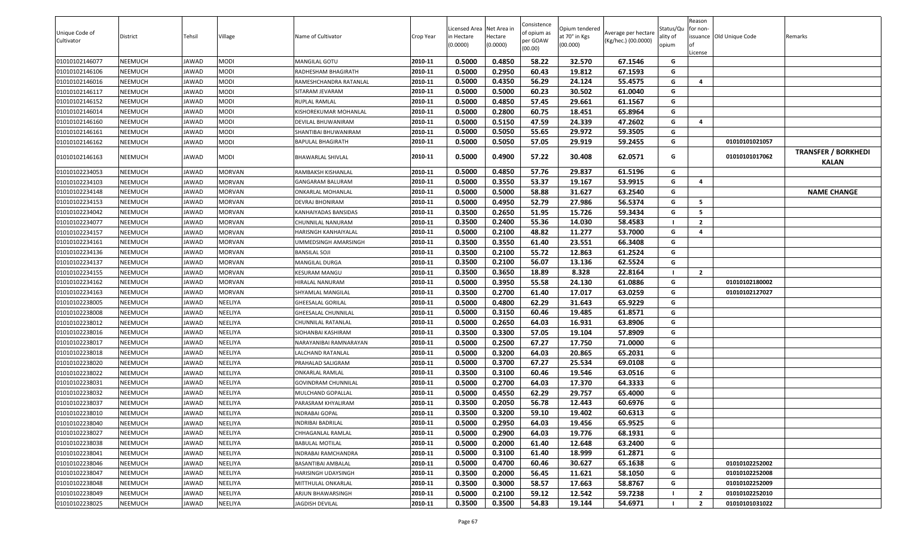|                |          |        |                |                          |           | Licensed Area Net Area in |          | Consistence         | Opium tendered |                     | Status/Qu | Reason<br>for non- |                          |                            |
|----------------|----------|--------|----------------|--------------------------|-----------|---------------------------|----------|---------------------|----------------|---------------------|-----------|--------------------|--------------------------|----------------------------|
| Unique Code of | District | Tehsil | Village        | Name of Cultivator       | Crop Year | in Hectare                | lectare  | of opium as         | at 70° in Kgs  | Average per hectare | ality of  |                    | issuance Old Unique Code | Remarks                    |
| Cultivator     |          |        |                |                          |           | (0.0000)                  | (0.0000) | oer GOAW<br>(00.00) | (00.000)       | (Kg/hec.) (00.0000) | opium     |                    |                          |                            |
| 01010102146077 | NEEMUCH  | JAWAD  | <b>MODI</b>    | MANGILAL GOTU            | 2010-11   | 0.5000                    | 0.4850   | 58.22               | 32.570         | 67.1546             | G         | .icense            |                          |                            |
| 01010102146106 | NEEMUCH  | JAWAD  | <b>MODI</b>    | RADHESHAM BHAGIRATH      | 2010-11   | 0.5000                    | 0.2950   | 60.43               | 19.812         | 67.1593             | G         |                    |                          |                            |
| 01010102146016 | NEEMUCH  | JAWAD  | <b>MODI</b>    | RAMESHCHANDRA RATANLAL   | 2010-11   | 0.5000                    | 0.4350   | 56.29               | 24.124         | 55.4575             | G         | 4                  |                          |                            |
| 01010102146117 | NEEMUCH  | JAWAD  | <b>MODI</b>    | SITARAM JEVARAM          | 2010-11   | 0.5000                    | 0.5000   | 60.23               | 30.502         | 61.0040             | G         |                    |                          |                            |
| 01010102146152 | NEEMUCH  | JAWAD  | MODI           | RUPLAL RAMLAL            | 2010-11   | 0.5000                    | 0.4850   | 57.45               | 29.661         | 61.1567             | G         |                    |                          |                            |
| 01010102146014 | NEEMUCH  | JAWAD  | <b>MODI</b>    | KISHOREKUMAR MOHANLAL    | 2010-11   | 0.5000                    | 0.2800   | 60.75               | 18.451         | 65.8964             | G         |                    |                          |                            |
| 01010102146160 | NEEMUCH  | JAWAD  | <b>MODI</b>    | DEVILAL BHUWANIRAM       | 2010-11   | 0.5000                    | 0.5150   | 47.59               | 24.339         | 47.2602             | G         | $\overline{a}$     |                          |                            |
| 01010102146161 | NEEMUCH  | JAWAD  | <b>MODI</b>    | SHANTIBAI BHUWANIRAM     | 2010-11   | 0.5000                    | 0.5050   | 55.65               | 29.972         | 59.3505             | G         |                    |                          |                            |
| 01010102146162 | NEEMUCH  | JAWAD  | <b>MODI</b>    | <b>BAPULAL BHAGIRATH</b> | 2010-11   | 0.5000                    | 0.5050   | 57.05               | 29.919         | 59.2455             | G         |                    | 01010101021057           |                            |
|                |          |        |                |                          |           |                           |          |                     |                |                     |           |                    |                          | <b>TRANSFER / BORKHEDI</b> |
| 01010102146163 | NEEMUCH  | JAWAD  | <b>MODI</b>    | BHAWARLAL SHIVLAL        | 2010-11   | 0.5000                    | 0.4900   | 57.22               | 30.408         | 62.0571             | G         |                    | 01010101017062           | KALAN                      |
| 01010102234053 | NEEMUCH  | JAWAD  | <b>MORVAN</b>  | RAMBAKSH KISHANLAL       | 2010-11   | 0.5000                    | 0.4850   | 57.76               | 29.837         | 61.5196             | G         |                    |                          |                            |
| 01010102234103 | NEEMUCH  | JAWAD  | <b>MORVAN</b>  | GANGARAM BALURAM         | 2010-11   | 0.5000                    | 0.3550   | 53.37               | 19.167         | 53.9915             | G         | $\overline{a}$     |                          |                            |
| 01010102234148 | NEEMUCH  | JAWAD  | <b>MORVAN</b>  | ONKARLAL MOHANLAL        | 2010-11   | 0.5000                    | 0.5000   | 58.88               | 31.627         | 63.2540             | G         |                    |                          | <b>NAME CHANGE</b>         |
| 01010102234153 | NEEMUCH  | JAWAD  | <b>MORVAN</b>  | DEVRAJ BHONIRAM          | 2010-11   | 0.5000                    | 0.4950   | 52.79               | 27.986         | 56.5374             | G         | - 5                |                          |                            |
| 01010102234042 | NEEMUCH  | JAWAD  | MORVAN         | KANHAIYADAS BANSIDAS     | 2010-11   | 0.3500                    | 0.2650   | 51.95               | 15.726         | 59.3434             | G         | 5                  |                          |                            |
| 01010102234077 | NEEMUCH  | JAWAD  | <b>MORVAN</b>  | CHUNNILAL NANURAM        | 2010-11   | 0.3500                    | 0.2400   | 55.36               | 14.030         | 58.4583             |           | $\overline{2}$     |                          |                            |
| 01010102234157 | NEEMUCH  | JAWAD  | MORVAN         | HARISNGH KANHAIYALAL     | 2010-11   | 0.5000                    | 0.2100   | 48.82               | 11.277         | 53.7000             | G         | 4                  |                          |                            |
| 01010102234161 | NEEMUCH  | JAWAD  | <b>MORVAN</b>  | JMMEDSINGH AMARSINGH     | 2010-11   | 0.3500                    | 0.3550   | 61.40               | 23.551         | 66.3408             | G         |                    |                          |                            |
| 01010102234136 | NEEMUCH  | JAWAD  | <b>MORVAN</b>  | BANSILAL SOJI            | 2010-11   | 0.3500                    | 0.2100   | 55.72               | 12.863         | 61.2524             | G         |                    |                          |                            |
| 01010102234137 | NEEMUCH  | JAWAD  | MORVAN         | <b>MANGILAL DURGA</b>    | 2010-11   | 0.3500                    | 0.2100   | 56.07               | 13.136         | 62.5524             | G         |                    |                          |                            |
| 01010102234155 | NEEMUCH  | JAWAD  | MORVAN         | KESURAM MANGU            | 2010-11   | 0.3500                    | 0.3650   | 18.89               | 8.328          | 22.8164             |           | $\overline{2}$     |                          |                            |
| 01010102234162 | NEEMUCH  | JAWAD  | <b>MORVAN</b>  | HIRALAL NANURAM          | 2010-11   | 0.5000                    | 0.3950   | 55.58               | 24.130         | 61.0886             | G         |                    | 01010102180002           |                            |
| 01010102234163 | NEEMUCH  | JAWAD  | <b>MORVAN</b>  | SHYAMLAL MANGILAL        | 2010-11   | 0.3500                    | 0.2700   | 61.40               | 17.017         | 63.0259             | G         |                    | 01010102127027           |                            |
| 01010102238005 | NEEMUCH  | JAWAD  | NEELIYA        | GHEESALAL GORILAL        | 2010-11   | 0.5000                    | 0.4800   | 62.29               | 31.643         | 65.9229             | G         |                    |                          |                            |
| 01010102238008 | NEEMUCH  | JAWAD  | NEELIYA        | GHEESALAL CHUNNILAL      | 2010-11   | 0.5000                    | 0.3150   | 60.46               | 19.485         | 61.8571             | G         |                    |                          |                            |
| 01010102238012 | NEEMUCH  | JAWAD  | NEELIYA        | CHUNNILAL RATANLAL       | 2010-11   | 0.5000                    | 0.2650   | 64.03               | 16.931         | 63.8906             | G         |                    |                          |                            |
| 01010102238016 | NEEMUCH  | JAWAD  | NEELIYA        | SIOHANBAI KASHIRAM       | 2010-11   | 0.3500                    | 0.3300   | 57.05               | 19.104         | 57.8909             | G         |                    |                          |                            |
| 01010102238017 | NEEMUCH  | JAWAD  | NEELIYA        | NARAYANIBAI RAMNARAYAN   | 2010-11   | 0.5000                    | 0.2500   | 67.27               | 17.750         | 71.0000             | G         |                    |                          |                            |
| 01010102238018 | NEEMUCH  | JAWAD  | NEELIYA        | LALCHAND RATANLAL        | 2010-11   | 0.5000                    | 0.3200   | 64.03               | 20.865         | 65.2031             | G         |                    |                          |                            |
| 01010102238020 | NEEMUCH  | JAWAD  | NEELIYA        | PRAHALAD SALIGRAM        | 2010-11   | 0.5000                    | 0.3700   | 67.27               | 25.534         | 69.0108             | G         |                    |                          |                            |
| 01010102238022 | NEEMUCH  | JAWAD  | NEELIYA        | ONKARLAL RAMLAL          | 2010-11   | 0.3500                    | 0.3100   | 60.46               | 19.546         | 63.0516             | G         |                    |                          |                            |
| 01010102238031 | NEEMUCH  | JAWAD  | NEELIYA        | GOVINDRAM CHUNNILAL      | 2010-11   | 0.5000                    | 0.2700   | 64.03               | 17.370         | 64.3333             | G         |                    |                          |                            |
| 01010102238032 | NEEMUCH  | JAWAD  | NEELIYA        | MULCHAND GOPALLAL        | 2010-11   | 0.5000                    | 0.4550   | 62.29               | 29.757         | 65.4000             | G         |                    |                          |                            |
| 01010102238037 | NEEMUCH  | JAWAD  | NEELIYA        | PARASRAM KHYALIRAM       | 2010-11   | 0.3500                    | 0.2050   | 56.78               | 12.443         | 60.6976             | G         |                    |                          |                            |
| 01010102238010 | NEEMUCH  | JAWAD  | <b>NEELIYA</b> | <b>INDRABAI GOPAL</b>    | 2010-11   | 0.3500                    | 0.3200   | 59.10               | 19.402         | 60.6313             | G         |                    |                          |                            |
| 01010102238040 | NEEMUCH  | JAWAD  | NEELIYA        | INDRIBAI BADRILAL        | 2010-11   | 0.5000                    | 0.2950   | 64.03               | 19.456         | 65.9525             | G         |                    |                          |                            |
| 01010102238027 | NEEMUCH  | JAWAD  | NEELIYA        | CHHAGANLAL RAMLAL        | 2010-11   | 0.5000                    | 0.2900   | 64.03               | 19.776         | 68.1931             | G         |                    |                          |                            |
| 01010102238038 | NEEMUCH  | JAWAD  | NEELIYA        | <b>BABULAL MOTILAL</b>   | 2010-11   | 0.5000                    | 0.2000   | 61.40               | 12.648         | 63.2400             | G         |                    |                          |                            |
| 01010102238041 | NEEMUCH  | JAWAD  | NEELIYA        | INDRABAI RAMCHANDRA      | 2010-11   | 0.5000                    | 0.3100   | 61.40               | 18.999         | 61.2871             | G         |                    |                          |                            |
| 01010102238046 | NEEMUCH  | JAWAD  | NEELIYA        | BASANTIBAI AMBALAL       | 2010-11   | 0.5000                    | 0.4700   | 60.46               | 30.627         | 65.1638             | G         |                    | 01010102252002           |                            |
| 01010102238047 | NEEMUCH  | JAWAD  | NEELIYA        | HARISINGH UDAYSINGH      | 2010-11   | 0.3500                    | 0.2000   | 56.45               | 11.621         | 58.1050             | G         |                    | 01010102252008           |                            |
| 01010102238048 | NEEMUCH  | JAWAD  | NEELIYA        | MITTHULAL ONKARLAL       | 2010-11   | 0.3500                    | 0.3000   | 58.57               | 17.663         | 58.8767             | G         |                    | 01010102252009           |                            |
| 01010102238049 | NEEMUCH  | JAWAD  | NEELIYA        | ARJUN BHAWARSINGH        | 2010-11   | 0.5000                    | 0.2100   | 59.12               | 12.542         | 59.7238             |           | $\overline{2}$     | 01010102252010           |                            |
| 01010102238025 | NEEMUCH  | JAWAD  | NEELIYA        | JAGDISH DEVILAL          | 2010-11   | 0.3500                    | 0.3500   | 54.83               | 19.144         | 54.6971             |           | $\overline{2}$     | 01010101031022           |                            |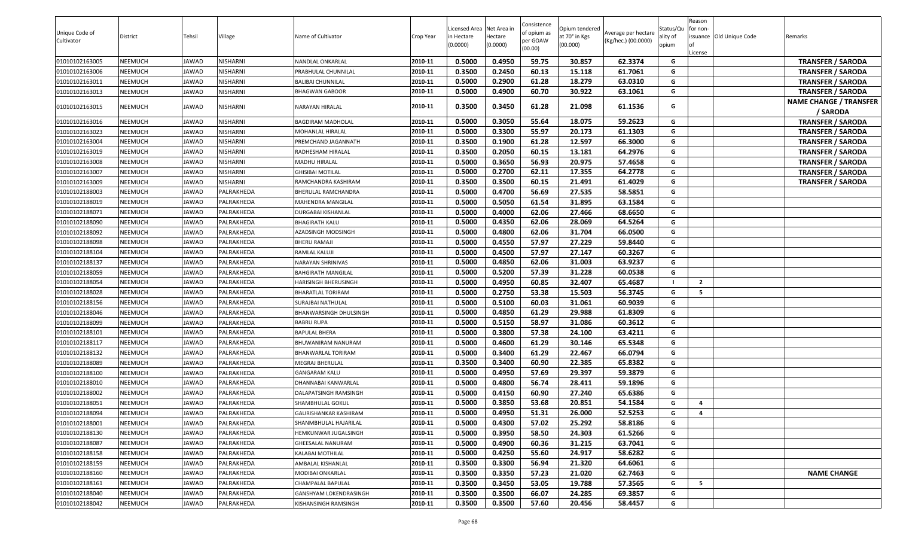|                |          |        |                 |                               |           |                                        |          | Consistence         |                                 |                     |                       | Reason                  |                         |                                           |
|----------------|----------|--------|-----------------|-------------------------------|-----------|----------------------------------------|----------|---------------------|---------------------------------|---------------------|-----------------------|-------------------------|-------------------------|-------------------------------------------|
| Unique Code of | District | Tehsil | Village         | Name of Cultivator            | Crop Year | Licensed Area Net Area i<br>in Hectare | Hectare  | of opium as         | Opium tendered<br>at 70° in Kgs | Average per hectare | Status/Qu<br>ality of | for non-                | ssuance Old Unique Code | Remarks                                   |
| Cultivator     |          |        |                 |                               |           | (0.0000)                               | (0.0000) | per GOAW<br>(00.00) | (00.000)                        | (Kg/hec.) (00.0000) | opium                 |                         |                         |                                           |
|                |          |        |                 |                               |           |                                        |          |                     |                                 |                     |                       | .icense                 |                         |                                           |
| 01010102163005 | NEEMUCH  | JAWAD  | NISHARNI        | NANDLAL ONKARLAL              | 2010-11   | 0.5000                                 | 0.4950   | 59.75               | 30.857                          | 62.3374             | G                     |                         |                         | <b>TRANSFER / SARODA</b>                  |
| 01010102163006 | NEEMUCH  | JAWAD  | NISHARNI        | PRABHULAL CHUNNILAL           | 2010-11   | 0.3500                                 | 0.2450   | 60.13               | 15.118                          | 61.7061             | G                     |                         |                         | <b>TRANSFER / SARODA</b>                  |
| 01010102163011 | NEEMUCH  | JAWAD  | NISHARNI        | BALIBAI CHUNNILAL             | 2010-11   | 0.5000                                 | 0.2900   | 61.28               | 18.279                          | 63.0310             | G                     |                         |                         | <b>TRANSFER / SARODA</b>                  |
| 01010102163013 | NEEMUCH  | JAWAD  | NISHARNI        | BHAGWAN GABOOR                | 2010-11   | 0.5000                                 | 0.4900   | 60.70               | 30.922                          | 63.1061             | G                     |                         |                         | <b>TRANSFER / SARODA</b>                  |
| 01010102163015 | NEEMUCH  | JAWAD  | NISHARNI        | NARAYAN HIRALAL               | 2010-11   | 0.3500                                 | 0.3450   | 61.28               | 21.098                          | 61.1536             | G                     |                         |                         | <b>NAME CHANGE / TRANSFER</b><br>/ SARODA |
| 01010102163016 | NEEMUCH  | JAWAD  | NISHARNI        | <b>BAGDIRAM MADHOLAL</b>      | 2010-11   | 0.5000                                 | 0.3050   | 55.64               | 18.075                          | 59.2623             | G                     |                         |                         | <b>TRANSFER / SARODA</b>                  |
| 01010102163023 | NEEMUCH  | JAWAD  | <b>NISHARNI</b> | MOHANLAL HIRALAL              | 2010-11   | 0.5000                                 | 0.3300   | 55.97               | 20.173                          | 61.1303             | G                     |                         |                         | <b>TRANSFER / SARODA</b>                  |
| 01010102163004 | NEEMUCH  | JAWAD  | NISHARNI        | PREMCHAND JAGANNATH           | 2010-11   | 0.3500                                 | 0.1900   | 61.28               | 12.597                          | 66.3000             | G                     |                         |                         | <b>TRANSFER / SARODA</b>                  |
| 01010102163019 | NEEMUCH  | JAWAD  | NISHARNI        | RADHESHAM HIRALAL             | 2010-11   | 0.3500                                 | 0.2050   | 60.15               | 13.181                          | 64.2976             | G                     |                         |                         | <b>TRANSFER / SARODA</b>                  |
| 01010102163008 | NEEMUCH  | JAWAD  | NISHARNI        | MADHU HIRALAL                 | 2010-11   | 0.5000                                 | 0.3650   | 56.93               | 20.975                          | 57.4658             | G                     |                         |                         | <b>TRANSFER / SARODA</b>                  |
| 01010102163007 | NEEMUCH  | JAWAD  | NISHARNI        | GHISIBAI MOTILAL              | 2010-11   | 0.5000                                 | 0.2700   | 62.11               | 17.355                          | 64.2778             | G                     |                         |                         | <b>TRANSFER / SARODA</b>                  |
| 01010102163009 | NEEMUCH  | JAWAD  | NISHARNI        | RAMCHANDRA KASHIRAM           | 2010-11   | 0.3500                                 | 0.3500   | 60.15               | 21.491                          | 61.4029             | G                     |                         |                         | <b>TRANSFER / SARODA</b>                  |
| 01010102188003 | NEEMUCH  | JAWAD  | PALRAKHEDA      | BHERULAL RAMCHANDRA           | 2010-11   | 0.5000                                 | 0.4700   | 56.69               | 27.535                          | 58.5851             | G                     |                         |                         |                                           |
| 01010102188019 | NEEMUCH  | JAWAD  | PALRAKHEDA      | MAHENDRA MANGILAL             | 2010-11   | 0.5000                                 | 0.5050   | 61.54               | 31.895                          | 63.1584             | G                     |                         |                         |                                           |
| 01010102188071 | NEEMUCH  | JAWAD  | PALRAKHEDA      | DURGABAI KISHANLAL            | 2010-11   | 0.5000                                 | 0.4000   | 62.06               | 27.466                          | 68.6650             | G                     |                         |                         |                                           |
| 01010102188090 | NEEMUCH  | JAWAD  | PALRAKHEDA      | <b>BHAGIRATH KALU</b>         | 2010-11   | 0.5000                                 | 0.4350   | 62.06               | 28.069                          | 64.5264             | G                     |                         |                         |                                           |
| 01010102188092 | NEEMUCH  | JAWAD  | PALRAKHEDA      | AZADSINGH MODSINGH            | 2010-11   | 0.5000                                 | 0.4800   | 62.06               | 31.704                          | 66.0500             | G                     |                         |                         |                                           |
| 01010102188098 | NEEMUCH  | JAWAD  | PALRAKHEDA      | BHERU RAMAJI                  | 2010-11   | 0.5000                                 | 0.4550   | 57.97               | 27.229                          | 59.8440             | G                     |                         |                         |                                           |
| 01010102188104 | NEEMUCH  | JAWAD  | PALRAKHEDA      | RAMLAL KALUJI                 | 2010-11   | 0.5000                                 | 0.4500   | 57.97               | 27.147                          | 60.3267             | G                     |                         |                         |                                           |
| 01010102188137 | NEEMUCH  | JAWAD  | PALRAKHEDA      | NARAYAN SHRINIVAS             | 2010-11   | 0.5000                                 | 0.4850   | 62.06               | 31.003                          | 63.9237             | G                     |                         |                         |                                           |
| 01010102188059 | NEEMUCH  | JAWAD  | PALRAKHEDA      | BAHGIRATH MANGILAL            | 2010-11   | 0.5000                                 | 0.5200   | 57.39               | 31.228                          | 60.0538             | G                     |                         |                         |                                           |
| 01010102188054 | NEEMUCH  | JAWAD  | PALRAKHEDA      | HARISINGH BHERUSINGH          | 2010-11   | 0.5000                                 | 0.4950   | 60.85               | 32.407                          | 65.4687             | - 1                   | $\overline{2}$          |                         |                                           |
| 01010102188028 | NEEMUCH  | JAWAD  | PALRAKHEDA      | BHARATLAL TORIRAM             | 2010-11   | 0.5000                                 | 0.2750   | 53.38               | 15.503                          | 56.3745             | G                     | - 5                     |                         |                                           |
| 01010102188156 | NEEMUCH  | JAWAD  | PALRAKHEDA      | SURAJBAI NATHULAL             | 2010-11   | 0.5000                                 | 0.5100   | 60.03               | 31.061                          | 60.9039             | G                     |                         |                         |                                           |
| 01010102188046 | NEEMUCH  | JAWAD  | PALRAKHEDA      | BHANWARSINGH DHULSINGH        | 2010-11   | 0.5000                                 | 0.4850   | 61.29               | 29.988                          | 61.8309             | G                     |                         |                         |                                           |
| 01010102188099 | NEEMUCH  | JAWAD  | PALRAKHEDA      | <b>BABRU RUPA</b>             | 2010-11   | 0.5000                                 | 0.5150   | 58.97               | 31.086                          | 60.3612             | G                     |                         |                         |                                           |
| 01010102188101 | NEEMUCH  | JAWAD  | PALRAKHEDA      | BAPULAL BHERA                 | 2010-11   | 0.5000                                 | 0.3800   | 57.38               | 24.100                          | 63.4211             | G                     |                         |                         |                                           |
| 01010102188117 | NEEMUCH  | JAWAD  | PALRAKHEDA      | BHUWANIRAM NANURAM            | 2010-11   | 0.5000                                 | 0.4600   | 61.29               | 30.146                          | 65.5348             | G                     |                         |                         |                                           |
| 01010102188132 | NEEMUCH  | JAWAD  | PALRAKHEDA      | BHANWARLAL TORIRAM            | 2010-11   | 0.5000                                 | 0.3400   | 61.29               | 22.467                          | 66.0794             | G                     |                         |                         |                                           |
| 01010102188089 | NEEMUCH  | JAWAD  | PALRAKHEDA      | MEGRAJ BHERULAL               | 2010-11   | 0.3500                                 | 0.3400   | 60.90               | 22.385                          | 65.8382             | G                     |                         |                         |                                           |
| 01010102188100 | NEEMUCH  | JAWAD  | PALRAKHEDA      | <b>GANGARAM KALU</b>          | 2010-11   | 0.5000                                 | 0.4950   | 57.69               | 29.397                          | 59.3879             | G                     |                         |                         |                                           |
| 01010102188010 | NEEMUCH  | JAWAD  | PALRAKHEDA      | DHANNABAI KANWARLAL           | 2010-11   | 0.5000                                 | 0.4800   | 56.74               | 28.411                          | 59.1896             | G                     |                         |                         |                                           |
| 01010102188002 | NEEMUCH  | JAWAD  | PALRAKHEDA      | DALAPATSINGH RAMSINGH         | 2010-11   | 0.5000                                 | 0.4150   | 60.90               | 27.240                          | 65.6386             | G                     |                         |                         |                                           |
| 01010102188051 | NEEMUCH  | JAWAD  | PALRAKHEDA      | SHAMBHULAL GOKUL              | 2010-11   | 0.5000                                 | 0.3850   | 53.68               | 20.851                          | 54.1584             | G                     | $\overline{\mathbf{a}}$ |                         |                                           |
| 01010102188094 | NEEMUCH  | JAWAD  | PALRAKHEDA      | GAURISHANKAR KASHIRAM         | 2010-11   | 0.5000                                 | 0.4950   | 51.31               | 26.000                          | 52.5253             | G                     | $\overline{a}$          |                         |                                           |
| 01010102188001 | NEEMUCH  | JAWAD  | PALRAKHEDA      | SHANMBHULAL HAJARILAL         | 2010-11   | 0.5000                                 | 0.4300   | 57.02               | 25.292                          | 58.8186             | G                     |                         |                         |                                           |
| 01010102188130 | NEEMUCH  | JAWAD  | PALRAKHEDA      | HEMKUNWAR JUGALSINGH          | 2010-11   | 0.5000                                 | 0.3950   | 58.50               | 24.303                          | 61.5266             | G                     |                         |                         |                                           |
| 01010102188087 | NEEMUCH  | JAWAD  | PALRAKHEDA      | GHEESALAL NANURAM             | 2010-11   | 0.5000                                 | 0.4900   | 60.36               | 31.215                          | 63.7041             | G                     |                         |                         |                                           |
| 01010102188158 | NEEMUCH  | JAWAD  | PALRAKHEDA      | KALABAI MOTHILAL              | 2010-11   | 0.5000                                 | 0.4250   | 55.60               | 24.917                          | 58.6282             | G                     |                         |                         |                                           |
| 01010102188159 | NEEMUCH  | JAWAD  | PALRAKHEDA      | AMBALAL KISHANLAL             | 2010-11   | 0.3500                                 | 0.3300   | 56.94               | 21.320                          | 64.6061             | G                     |                         |                         |                                           |
| 01010102188160 | NEEMUCH  | JAWAD  | PALRAKHEDA      | MODIBAI ONKARLAL              | 2010-11   | 0.3500                                 | 0.3350   | 57.23               | 21.020                          | 62.7463             | G                     |                         |                         | <b>NAME CHANGE</b>                        |
| 01010102188161 | NEEMUCH  | JAWAD  | PALRAKHEDA      | CHAMPALAL BAPULAL             | 2010-11   | 0.3500                                 | 0.3450   | 53.05               | 19.788                          | 57.3565             | G                     | -5                      |                         |                                           |
| 01010102188040 | NEEMUCH  | JAWAD  | PALRAKHEDA      | <b>GANSHYAM LOKENDRASINGH</b> | 2010-11   | 0.3500                                 | 0.3500   | 66.07               | 24.285                          | 69.3857             | G                     |                         |                         |                                           |
| 01010102188042 | NEEMUCH  | JAWAD  | PALRAKHEDA      | KISHANSINGH RAMSINGH          | 2010-11   | 0.3500                                 | 0.3500   | 57.60               | 20.456                          | 58.4457             | G                     |                         |                         |                                           |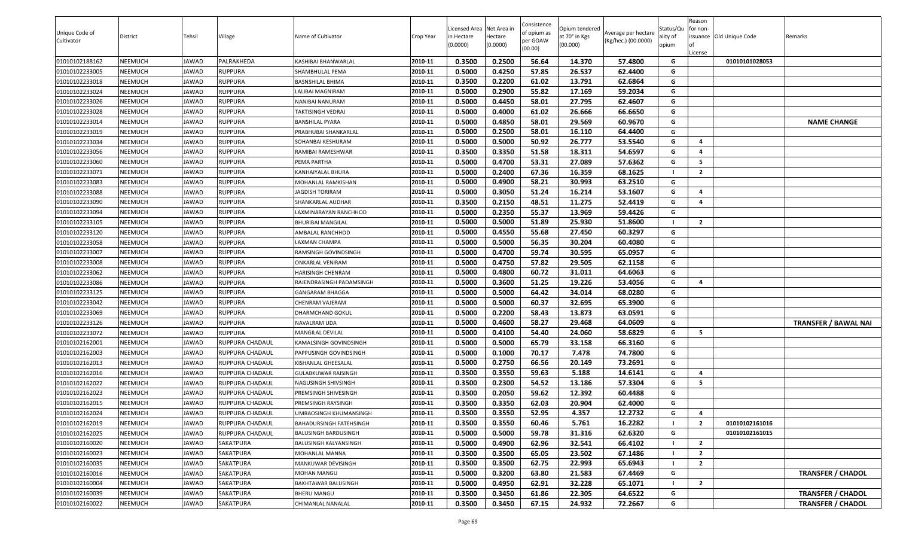| Unique Code of<br>Cultivator | District | Tehsil | Village         | Name of Cultivator       | Crop Year | Licensed Area Net Area in<br>in Hectare<br>(0.0000) | lectare<br>(0.0000) | Consistence<br>of opium as<br>oer GOAW<br>(00.00) | Opium tendered<br>at 70° in Kgs<br>(00.000) | Average per hectare<br>(Kg/hec.) (00.0000) | Status/Qu<br>ality of<br>opium | Reason<br>for non-<br>issuance Old Unique Code<br>.icense | Remarks                     |
|------------------------------|----------|--------|-----------------|--------------------------|-----------|-----------------------------------------------------|---------------------|---------------------------------------------------|---------------------------------------------|--------------------------------------------|--------------------------------|-----------------------------------------------------------|-----------------------------|
| 01010102188162               | NEEMUCH  | JAWAD  | PALRAKHEDA      | KASHIBAI BHANWARLAL      | 2010-11   | 0.3500                                              | 0.2500              | 56.64                                             | 14.370                                      | 57.4800                                    | G                              | 01010101028053                                            |                             |
| 01010102233005               | NEEMUCH  | JAWAD  | <b>RUPPURA</b>  | SHAMBHULAL PEMA          | 2010-11   | 0.5000                                              | 0.4250              | 57.85                                             | 26.537                                      | 62.4400                                    | G                              |                                                           |                             |
| 01010102233018               | NEEMUCH  | JAWAD  | <b>RUPPURA</b>  | BASNSHILAL BHIMA         | 2010-11   | 0.3500                                              | 0.2200              | 61.02                                             | 13.791                                      | 62.6864                                    | G                              |                                                           |                             |
| 01010102233024               | NEEMUCH  | JAWAD  | <b>RUPPURA</b>  | ALIBAI MAGNIRAM.         | 2010-11   | 0.5000                                              | 0.2900              | 55.82                                             | 17.169                                      | 59.2034                                    | G                              |                                                           |                             |
| 01010102233026               | NEEMUCH  | JAWAD  | <b>RUPPURA</b>  | NANIBAI NANURAM          | 2010-11   | 0.5000                                              | 0.4450              | 58.01                                             | 27.795                                      | 62.4607                                    | G                              |                                                           |                             |
| 01010102233028               | NEEMUCH  | JAWAD  | <b>RUPPURA</b>  | TAKTISINGH VEDRAJ        | 2010-11   | 0.5000                                              | 0.4000              | 61.02                                             | 26.666                                      | 66.6650                                    | G                              |                                                           |                             |
| 01010102233014               | NEEMUCH  | JAWAD  | <b>RUPPURA</b>  | BANSHILAL PYARA          | 2010-11   | 0.5000                                              | 0.4850              | 58.01                                             | 29.569                                      | 60.9670                                    | G                              |                                                           | <b>NAME CHANGE</b>          |
| 01010102233019               | NEEMUCH  | JAWAD  | <b>RUPPURA</b>  | PRABHUBAI SHANKARLAL     | 2010-11   | 0.5000                                              | 0.2500              | 58.01                                             | 16.110                                      | 64.4400                                    | G                              |                                                           |                             |
| 01010102233034               | NEEMUCH  | JAWAD  | RUPPURA         | SOHANBAI KESHURAM        | 2010-11   | 0.5000                                              | 0.5000              | 50.92                                             | 26.777                                      | 53.5540                                    | G                              | 4                                                         |                             |
| 01010102233056               | NEEMUCH  | JAWAD  | <b>RUPPURA</b>  | RAMIBAI RAMESHWAR        | 2010-11   | 0.3500                                              | 0.3350              | 51.58                                             | 18.311                                      | 54.6597                                    | G                              | 4                                                         |                             |
| 01010102233060               | NEEMUCH  | JAWAD  | <b>RUPPURA</b>  | PEMA PARTHA              | 2010-11   | 0.5000                                              | 0.4700              | 53.31                                             | 27.089                                      | 57.6362                                    | G                              | -5                                                        |                             |
| 01010102233071               | NEEMUCH  | JAWAD  | RUPPURA         | KANHAIYALAL BHURA        | 2010-11   | 0.5000                                              | 0.2400              | 67.36                                             | 16.359                                      | 68.1625                                    |                                | $\overline{2}$                                            |                             |
| 01010102233083               | NEEMUCH  | JAWAD  | RUPPURA         | MOHANLAL RAMKISHAN       | 2010-11   | 0.5000                                              | 0.4900              | 58.21                                             | 30.993                                      | 63.2510                                    | G                              |                                                           |                             |
| 01010102233088               | NEEMUCH  | JAWAD  | <b>RUPPURA</b>  | <b>JAGDISH TORIRAM</b>   | 2010-11   | 0.5000                                              | 0.3050              | 51.24                                             | 16.214                                      | 53.1607                                    | G                              | 4                                                         |                             |
| 01010102233090               | NEEMUCH  | JAWAD  | <b>RUPPURA</b>  | SHANKARLAL AUDHAR        | 2010-11   | 0.3500                                              | 0.2150              | 48.51                                             | 11.275                                      | 52.4419                                    | G                              | $\overline{a}$                                            |                             |
| 01010102233094               | NEEMUCH  | JAWAD  | <b>RUPPURA</b>  | LAXMINARAYAN RANCHHOD    | 2010-11   | 0.5000                                              | 0.2350              | 55.37                                             | 13.969                                      | 59.4426                                    | G                              |                                                           |                             |
| 01010102233105               | NEEMUCH  | JAWAD  | <b>RUPPURA</b>  | <b>BHURIBAI MANGILAL</b> | 2010-11   | 0.5000                                              | 0.5000              | 51.89                                             | 25.930                                      | 51.8600                                    |                                | $\overline{2}$                                            |                             |
| 01010102233120               | NEEMUCH  | JAWAD  | <b>RUPPURA</b>  | AMBALAL RANCHHOD         | 2010-11   | 0.5000                                              | 0.4550              | 55.68                                             | 27.450                                      | 60.3297                                    | G                              |                                                           |                             |
| 01010102233058               | NEEMUCH  | JAWAD  | <b>RUPPURA</b>  | <b>AXMAN CHAMPA</b>      | 2010-11   | 0.5000                                              | 0.5000              | 56.35                                             | 30.204                                      | 60.4080                                    | G                              |                                                           |                             |
| 01010102233007               | NEEMUCH  | JAWAD  | <b>RUPPURA</b>  | RAMSINGH GOVINDSINGH     | 2010-11   | 0.5000                                              | 0.4700              | 59.74                                             | 30.595                                      | 65.0957                                    | G                              |                                                           |                             |
| 01010102233008               | NEEMUCH  | JAWAD  | <b>RUPPURA</b>  | ONKARLAL VENIRAM         | 2010-11   | 0.5000                                              | 0.4750              | 57.82                                             | 29.505                                      | 62.1158                                    | G                              |                                                           |                             |
| 01010102233062               | NEEMUCH  | JAWAD  | <b>RUPPURA</b>  | HARISINGH CHENRAM        | 2010-11   | 0.5000                                              | 0.4800              | 60.72                                             | 31.011                                      | 64.6063                                    | G                              |                                                           |                             |
| 01010102233086               | NEEMUCH  | JAWAD  | <b>RUPPURA</b>  | RAJENDRASINGH PADAMSINGH | 2010-11   | 0.5000                                              | 0.3600              | 51.25                                             | 19.226                                      | 53.4056                                    | G                              | 4                                                         |                             |
| 01010102233125               | NEEMUCH  | JAWAD  | <b>RUPPURA</b>  | <b>GANGARAM BHAGGA</b>   | 2010-11   | 0.5000                                              | 0.5000              | 64.42                                             | 34.014                                      | 68.0280                                    | G                              |                                                           |                             |
| 01010102233042               | NEEMUCH  | JAWAD  | <b>RUPPURA</b>  | CHENRAM VAJERAM          | 2010-11   | 0.5000                                              | 0.5000              | 60.37                                             | 32.695                                      | 65.3900                                    | G                              |                                                           |                             |
| 01010102233069               | NEEMUCH  | JAWAD  | RUPPURA         | DHARMCHAND GOKUL         | 2010-11   | 0.5000                                              | 0.2200              | 58.43                                             | 13.873                                      | 63.0591                                    | G                              |                                                           |                             |
| 01010102233126               | NEEMUCH  | JAWAD  | <b>RUPPURA</b>  | NAVALRAM UDA             | 2010-11   | 0.5000                                              | 0.4600              | 58.27                                             | 29.468                                      | 64.0609                                    | G                              |                                                           | <b>TRANSFER / BAWAL NAI</b> |
| 01010102233072               | NEEMUCH  | JAWAD  | <b>RUPPURA</b>  | MANGILAL DEVILAL         | 2010-11   | 0.5000                                              | 0.4100              | 54.40                                             | 24.060                                      | 58.6829                                    | G                              | -5                                                        |                             |
| 01010102162001               | NEEMUCH  | JAWAD  | RUPPURA CHADAUL | KAMALSINGH GOVINDSINGH   | 2010-11   | 0.5000                                              | 0.5000              | 65.79                                             | 33.158                                      | 66.3160                                    | G                              |                                                           |                             |
| 01010102162003               | NEEMUCH  | JAWAD  | RUPPURA CHADAUL | PAPPUSINGH GOVINDSINGH   | 2010-11   | 0.5000                                              | 0.1000              | 70.17                                             | 7.478                                       | 74.7800                                    | G                              |                                                           |                             |
| 01010102162013               | NEEMUCH  | JAWAD  | RUPPURA CHADAUL | KISHANLAL GHEESALAL      | 2010-11   | 0.5000                                              | 0.2750              | 66.56                                             | 20.149                                      | 73.2691                                    | G                              |                                                           |                             |
| 01010102162016               | NEEMUCH  | JAWAD  | RUPPURA CHADAUL | GULABKUWAR RAISINGH      | 2010-11   | 0.3500                                              | 0.3550              | 59.63                                             | 5.188                                       | 14.6141                                    | G                              | $\overline{a}$                                            |                             |
| 01010102162022               | NEEMUCH  | JAWAD  | RUPPURA CHADAUL | NAGUSINGH SHIVSINGH      | 2010-11   | 0.3500                                              | 0.2300              | 54.52                                             | 13.186                                      | 57.3304                                    | G                              | 5                                                         |                             |
| 01010102162023               | NEEMUCH  | JAWAD  | RUPPURA CHADAUL | PREMSINGH SHIVESINGH     | 2010-11   | 0.3500                                              | 0.2050              | 59.62                                             | 12.392                                      | 60.4488                                    | G                              |                                                           |                             |
| 01010102162015               | NEEMUCH  | JAWAD  | RUPPURA CHADAUL | PREMSINGH RAYSINGH       | 2010-11   | 0.3500                                              | 0.3350              | 62.03                                             | 20.904                                      | 62.4000                                    | G                              |                                                           |                             |
| 01010102162024               | NEEMUCH  | JAWAD  | RUPPURA CHADAUL | UMRAOSINGH KHUMANSINGH   | 2010-11   | 0.3500                                              | 0.3550              | 52.95                                             | 4.357                                       | 12.2732                                    | G                              | $\overline{a}$                                            |                             |
| 01010102162019               | NEEMUCH  | JAWAD  | RUPPURA CHADAUL | BAHADURSINGH FATEHSINGH  | 2010-11   | 0.3500                                              | 0.3550              | 60.46                                             | 5.761                                       | 16.2282                                    |                                | $\overline{2}$<br>01010102161016                          |                             |
| 01010102162025               | NEEMUCH  | JAWAD  | RUPPURA CHADAUL | BALUSINGH BARDUSINGH     | 2010-11   | 0.5000                                              | 0.5000              | 59.78                                             | 31.316                                      | 62.6320                                    | G                              | 01010102161015                                            |                             |
| 01010102160020               | NEEMUCH  | JAWAD  | SAKATPURA       | BALUSINGH KALYANSINGH    | 2010-11   | 0.5000                                              | 0.4900              | 62.96                                             | 32.541                                      | 66.4102                                    |                                | $\overline{2}$                                            |                             |
| 01010102160023               | NEEMUCH  | JAWAD  | SAKATPURA       | MOHANLAL MANNA           | 2010-11   | 0.3500                                              | 0.3500              | 65.05                                             | 23.502                                      | 67.1486                                    |                                | $\overline{2}$                                            |                             |
| 01010102160035               | NEEMUCH  | JAWAD  | SAKATPURA       | MANKUWAR DEVISINGH       | 2010-11   | 0.3500                                              | 0.3500              | 62.75                                             | 22.993                                      | 65.6943                                    |                                | $\overline{2}$                                            |                             |
| 01010102160016               | NEEMUCH  | JAWAD  | SAKATPURA       | MOHAN MANGU              | 2010-11   | 0.5000                                              | 0.3200              | 63.80                                             | 21.583                                      | 67.4469                                    | G                              |                                                           | <b>TRANSFER / CHADOL</b>    |
| 01010102160004               | NEEMUCH  | JAWAD  | SAKATPURA       | BAKHTAWAR BALUSINGH      | 2010-11   | 0.5000                                              | 0.4950              | 62.91                                             | 32.228                                      | 65.1071                                    |                                | $\overline{2}$                                            |                             |
| 01010102160039               | NEEMUCH  | JAWAD  | SAKATPURA       | BHERU MANGU              | 2010-11   | 0.3500                                              | 0.3450              | 61.86                                             | 22.305                                      | 64.6522                                    | G                              |                                                           | <b>TRANSFER / CHADOL</b>    |
| 01010102160022               | NEEMUCH  | JAWAD  | SAKATPURA       | CHIMANLAL NANALAL        | 2010-11   | 0.3500                                              | 0.3450              | 67.15                                             | 24.932                                      | 72.2667                                    | G                              |                                                           | <b>TRANSFER / CHADOL</b>    |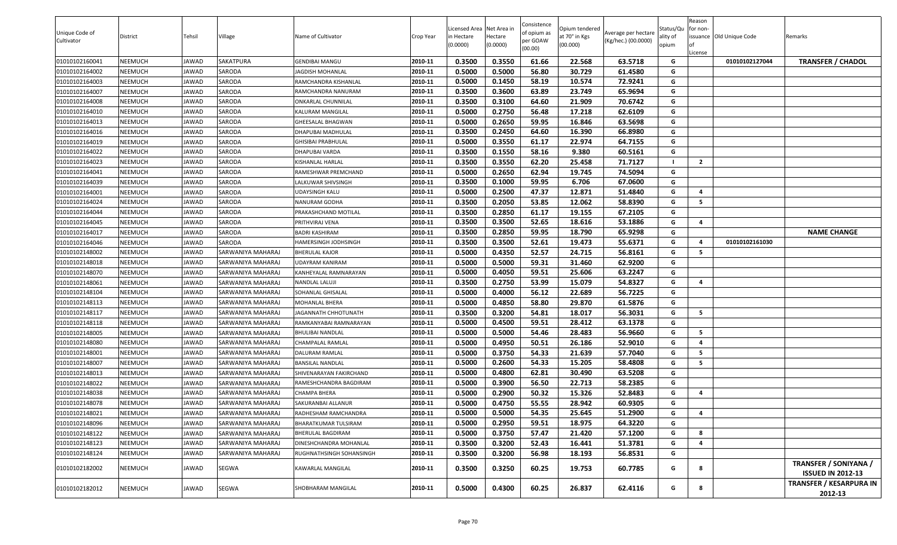|                |                |              |                   |                           |           |              |            | Consistence |                |                     |           | Reason         |                          |                                |
|----------------|----------------|--------------|-------------------|---------------------------|-----------|--------------|------------|-------------|----------------|---------------------|-----------|----------------|--------------------------|--------------------------------|
| Unique Code of |                |              |                   |                           |           | icensed Area | Net Area i | of opium as | Opium tendered | Average per hectare | Status/Qu | for non-       |                          |                                |
| Cultivator     | District       | Tehsil       | Village           | Name of Cultivator        | Crop Year | in Hectare   | Hectare    | per GOAW    | at 70° in Kgs  | (Kg/hec.) (00.0000) | ality of  |                | issuance Old Unique Code | Remarks                        |
|                |                |              |                   |                           |           | (0.0000)     | (0.0000)   | (00.00)     | (00.000)       |                     | opium     |                |                          |                                |
| 01010102160041 | NEEMUCH        | JAWAD        | SAKATPURA         | GENDIBAI MANGU            | 2010-11   | 0.3500       | 0.3550     | 61.66       | 22.568         | 63.5718             | G         | License        | 01010102127044           | <b>TRANSFER / CHADOL</b>       |
| 01010102164002 | NEEMUCH        | JAWAD        | SARODA            | <b>IAGDISH MOHANLAL</b>   | 2010-11   | 0.5000       | 0.5000     | 56.80       | 30.729         | 61.4580             | G         |                |                          |                                |
| 01010102164003 | NEEMUCH        | JAWAD        | SARODA            | RAMCHANDRA KISHANLAL      | 2010-11   | 0.5000       | 0.1450     | 58.19       | 10.574         | 72.9241             | G         |                |                          |                                |
| 01010102164007 | NEEMUCH        | JAWAD        | SARODA            | RAMCHANDRA NANURAM        | 2010-11   | 0.3500       | 0.3600     | 63.89       | 23.749         | 65.9694             | G         |                |                          |                                |
| 01010102164008 | NEEMUCH        | JAWAD        | SARODA            | ONKARLAL CHUNNILAL        | 2010-11   | 0.3500       | 0.3100     | 64.60       | 21.909         | 70.6742             | G         |                |                          |                                |
| 01010102164010 | NEEMUCH        | JAWAD        | SARODA            | KALURAM MANGILAL          | 2010-11   | 0.5000       | 0.2750     | 56.48       | 17.218         | 62.6109             | G         |                |                          |                                |
| 01010102164013 | NEEMUCH        | JAWAD        | SARODA            | <b>GHEESALAL BHAGWAN</b>  | 2010-11   | 0.5000       | 0.2650     | 59.95       | 16.846         | 63.5698             | G         |                |                          |                                |
| 01010102164016 | NEEMUCH        | JAWAD        | SARODA            | DHAPUBAI MADHULAL         | 2010-11   | 0.3500       | 0.2450     | 64.60       | 16.390         | 66.8980             | G         |                |                          |                                |
| 01010102164019 | NEEMUCH        | JAWAD        | SARODA            | <b>GHISIBAI PRABHULAL</b> | 2010-11   | 0.5000       | 0.3550     | 61.17       | 22.974         | 64.7155             | G         |                |                          |                                |
| 01010102164022 | NEEMUCH        | JAWAD        | SARODA            | DHAPUBAI VARDA            | 2010-11   | 0.3500       | 0.1550     | 58.16       | 9.380          | 60.5161             | G         |                |                          |                                |
| 01010102164023 | NEEMUCH        | JAWAD        | SARODA            | KISHANLAL HARLAL          | 2010-11   | 0.3500       | 0.3550     | 62.20       | 25.458         | 71.7127             |           | $\overline{2}$ |                          |                                |
| 01010102164041 | NEEMUCH        | JAWAD        | SARODA            | RAMESHWAR PREMCHAND       | 2010-11   | 0.5000       | 0.2650     | 62.94       | 19.745         | 74.5094             | G         |                |                          |                                |
| 01010102164039 | NEEMUCH        | JAWAD        | SARODA            | LALKUWAR SHIVSINGH        | 2010-11   | 0.3500       | 0.1000     | 59.95       | 6.706          | 67.0600             | G         |                |                          |                                |
| 01010102164001 | NEEMUCH        | JAWAD        | SARODA            | UDAYSINGH KALU            | 2010-11   | 0.5000       | 0.2500     | 47.37       | 12.871         | 51.4840             | G         | 4              |                          |                                |
| 01010102164024 | NEEMUCH        | <b>JAWAD</b> | SARODA            | NANURAM GODHA             | 2010-11   | 0.3500       | 0.2050     | 53.85       | 12.062         | 58.8390             | G         | - 5            |                          |                                |
| 01010102164044 | NEEMUCH        | <b>JAWAD</b> | SARODA            | PRAKASHCHAND MOTILAL      | 2010-11   | 0.3500       | 0.2850     | 61.17       | 19.155         | 67.2105             | G         |                |                          |                                |
| 01010102164045 | NEEMUCH        | JAWAD        | SARODA            | PRITHVIRAJ VENA           | 2010-11   | 0.3500       | 0.3500     | 52.65       | 18.616         | 53.1886             | G         | 4              |                          |                                |
| 01010102164017 | NEEMUCH        | <b>JAWAD</b> | SARODA            | BADRI KASHIRAM            | 2010-11   | 0.3500       | 0.2850     | 59.95       | 18.790         | 65.9298             | G         |                |                          | <b>NAME CHANGE</b>             |
| 01010102164046 | NEEMUCH        | JAWAD        | SARODA            | HAMERSINGH JODHSINGH      | 2010-11   | 0.3500       | 0.3500     | 52.61       | 19.473         | 55.6371             | G         | 4              | 01010102161030           |                                |
| 01010102148002 | NEEMUCH        | JAWAD        | SARWANIYA MAHARAJ | <b>BHERULAL KAJOR</b>     | 2010-11   | 0.5000       | 0.4350     | 52.57       | 24.715         | 56.8161             | G         | 5              |                          |                                |
| 01010102148018 | NEEMUCH        | JAWAD        | SARWANIYA MAHARAJ | UDAYRAM KANIRAM           | 2010-11   | 0.5000       | 0.5000     | 59.31       | 31.460         | 62.9200             | G         |                |                          |                                |
| 01010102148070 | NEEMUCH        | JAWAD        | SARWANIYA MAHARAJ | KANHEYALAL RAMNARAYAN     | 2010-11   | 0.5000       | 0.4050     | 59.51       | 25.606         | 63.2247             | G         |                |                          |                                |
| 01010102148061 | NEEMUCH        | JAWAD        | SARWANIYA MAHARAJ | NANDLAL LALUJI            | 2010-11   | 0.3500       | 0.2750     | 53.99       | 15.079         | 54.8327             | G         | 4              |                          |                                |
| 01010102148104 | NEEMUCH        | <b>JAWAD</b> | SARWANIYA MAHARAJ | SOHANLAL GHISALAL         | 2010-11   | 0.5000       | 0.4000     | 56.12       | 22.689         | 56.7225             | G         |                |                          |                                |
| 01010102148113 | NEEMUCH        | <b>JAWAD</b> | SARWANIYA MAHARAJ | MOHANLAL BHERA            | 2010-11   | 0.5000       | 0.4850     | 58.80       | 29.870         | 61.5876             | G         |                |                          |                                |
| 01010102148117 | NEEMUCH        | JAWAD        | SARWANIYA MAHARAJ | JAGANNATH CHHOTUNATH      | 2010-11   | 0.3500       | 0.3200     | 54.81       | 18.017         | 56.3031             | G         | 5              |                          |                                |
| 01010102148118 | NEEMUCH        | JAWAD        | SARWANIYA MAHARAJ | RAMKANYABAI RAMNARAYAN    | 2010-11   | 0.5000       | 0.4500     | 59.51       | 28.412         | 63.1378             | G         |                |                          |                                |
| 01010102148005 | NEEMUCH        | JAWAD        | SARWANIYA MAHARAJ | <b>BHULIBAI NANDLAL</b>   | 2010-11   | 0.5000       | 0.5000     | 54.46       | 28.483         | 56.9660             | G         | 5              |                          |                                |
| 01010102148080 | NEEMUCH        | JAWAD        | SARWANIYA MAHARAJ | CHAMPALAL RAMLAL          | 2010-11   | 0.5000       | 0.4950     | 50.51       | 26.186         | 52.9010             | G         | 4              |                          |                                |
| 01010102148001 | NEEMUCH        | JAWAD        | SARWANIYA MAHARAJ | DALURAM RAMLAL            | 2010-11   | 0.5000       | 0.3750     | 54.33       | 21.639         | 57.7040             | G         | - 5            |                          |                                |
| 01010102148007 | NEEMUCH        | <b>JAWAD</b> | SARWANIYA MAHARAJ | BANSILAL NANDLAL          | 2010-11   | 0.5000       | 0.2600     | 54.33       | 15.205         | 58.4808             | G         | - 5            |                          |                                |
| 01010102148013 | NEEMUCH        | JAWAD        | SARWANIYA MAHARAJ | SHIVENARAYAN FAKIRCHAND   | 2010-11   | 0.5000       | 0.4800     | 62.81       | 30.490         | 63.5208             | G         |                |                          |                                |
| 01010102148022 | NEEMUCH        | JAWAD        | SARWANIYA MAHARAJ | RAMESHCHANDRA BAGDIRAM    | 2010-11   | 0.5000       | 0.3900     | 56.50       | 22.713         | 58.2385             | G         |                |                          |                                |
| 01010102148038 | NEEMUCH        | JAWAD        | SARWANIYA MAHARAJ | CHAMPA BHERA              | 2010-11   | 0.5000       | 0.2900     | 50.32       | 15.326         | 52.8483             | G         | 4              |                          |                                |
| 01010102148078 | NEEMUCH        | JAWAD        | SARWANIYA MAHARAJ | SAKURANBAI ALLANUR        | 2010-11   | 0.5000       | 0.4750     | 55.55       | 28.942         | 60.9305             | G         |                |                          |                                |
| 01010102148021 | <b>NEEMUCH</b> | <b>JAWAD</b> | SARWANIYA MAHARAJ | RADHESHAM RAMCHANDRA      | 2010-11   | 0.5000       | 0.5000     | 54.35       | 25.645         | 51.2900             | G         | $\overline{a}$ |                          |                                |
| 01010102148096 | NEEMUCH        | <b>JAWAD</b> | SARWANIYA MAHARAJ | BHARATKUMAR TULSIRAM      | 2010-11   | 0.5000       | 0.2950     | 59.51       | 18.975         | 64.3220             | G         |                |                          |                                |
| 01010102148122 | NEEMUCH        | JAWAD        | SARWANIYA MAHARAJ | BHERULAL BAGDIRAM         | 2010-11   | 0.5000       | 0.3750     | 57.47       | 21.420         | 57.1200             | G         | 8              |                          |                                |
| 01010102148123 | NEEMUCH        | JAWAD        | SARWANIYA MAHARAJ | DINESHCHANDRA MOHANLAL    | 2010-11   | 0.3500       | 0.3200     | 52.43       | 16.441         | 51.3781             | G         | 4              |                          |                                |
| 01010102148124 | NEEMUCH        | <b>JAWAD</b> | SARWANIYA MAHARAJ | RUGHNATHSINGH SOHANSINGH  | 2010-11   | 0.3500       | 0.3200     | 56.98       | 18.193         | 56.8531             | G         |                |                          |                                |
|                |                |              |                   |                           |           |              |            |             |                |                     |           |                |                          | TRANSFER / SONIYANA /          |
| 01010102182002 | NEEMUCH        | JAWAD        | SEGWA             | KAWARLAL MANGILAL         | 2010-11   | 0.3500       | 0.3250     | 60.25       | 19.753         | 60.7785             | G         | 8              |                          | <b>ISSUED IN 2012-13</b>       |
|                |                |              |                   |                           |           |              |            |             |                |                     |           |                |                          | <b>TRANSFER / KESARPURA IN</b> |
| 01010102182012 | NEEMUCH        | JAWAD        | SEGWA             | SHOBHARAM MANGILAL        | 2010-11   | 0.5000       | 0.4300     | 60.25       | 26.837         | 62.4116             | G         | 8              |                          | 2012-13                        |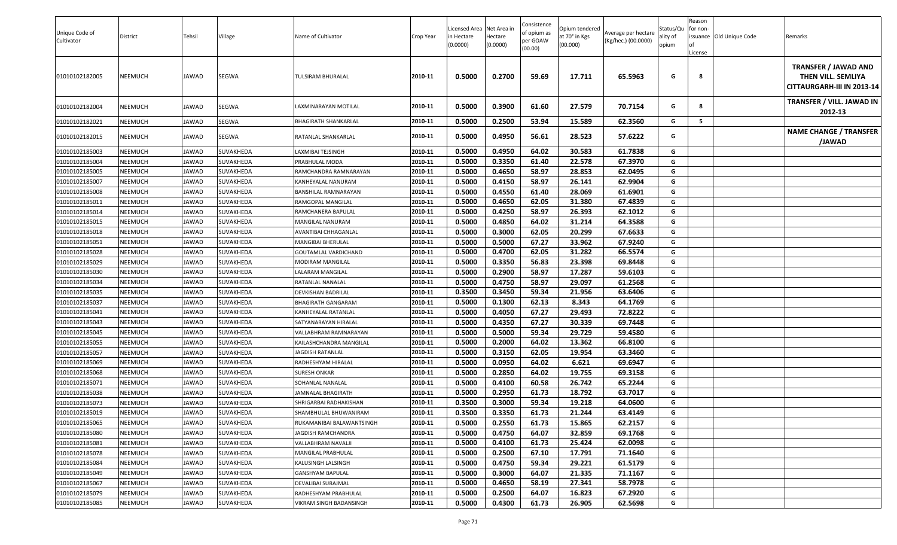| Unique Code of<br>Cultivator | District       | Tehsil | Village   | Name of Cultivator        | Crop Year | Licensed Area Net Area in<br>n Hectare<br>(0.0000) | Hectare<br>(0.0000) | Consistence<br>ɔf opium as<br>per GOAW<br>(00.00) | Opium tendered<br>at 70° in Kgs<br>(00.000) | Average per hectare<br>(Kg/hec.) (00.0000) | Status/Qu<br>ality of<br>opium | Reason<br>for non-<br>License | issuance Old Unique Code | Remarks                                                                         |
|------------------------------|----------------|--------|-----------|---------------------------|-----------|----------------------------------------------------|---------------------|---------------------------------------------------|---------------------------------------------|--------------------------------------------|--------------------------------|-------------------------------|--------------------------|---------------------------------------------------------------------------------|
| 01010102182005               | <b>NEEMUCH</b> | JAWAD  | SEGWA     | FULSIRAM BHURALAL         | 2010-11   | 0.5000                                             | 0.2700              | 59.69                                             | 17.711                                      | 65.5963                                    | G                              | 8                             |                          | <b>TRANSFER / JAWAD AND</b><br>THEN VILL. SEMLIYA<br>CITTAURGARH-III IN 2013-14 |
| 01010102182004               | <b>NEEMUCH</b> | JAWAD  | SEGWA     | LAXMINARAYAN MOTILAL      | 2010-11   | 0.5000                                             | 0.3900              | 61.60                                             | 27.579                                      | 70.7154                                    | G                              | -8                            |                          | TRANSFER / VILL. JAWAD IN<br>2012-13                                            |
| 01010102182021               | <b>NEEMUCH</b> | JAWAD  | SEGWA     | BHAGIRATH SHANKARLAL      | 2010-11   | 0.5000                                             | 0.2500              | 53.94                                             | 15.589                                      | 62.3560                                    | G                              | 5                             |                          |                                                                                 |
| 01010102182015               | NEEMUCH        | JAWAD  | SEGWA     | RATANLAL SHANKARLAL       | 2010-11   | 0.5000                                             | 0.4950              | 56.61                                             | 28.523                                      | 57.6222                                    | G                              |                               |                          | <b>NAME CHANGE / TRANSFER</b><br>/JAWAD                                         |
| 01010102185003               | <b>NEEMUCH</b> | JAWAD  | SUVAKHEDA | LAXMIBAI TEJSINGH         | 2010-11   | 0.5000                                             | 0.4950              | 64.02                                             | 30.583                                      | 61.7838                                    | G                              |                               |                          |                                                                                 |
| 01010102185004               | <b>NEEMUCH</b> | JAWAD  | SUVAKHEDA | PRABHULAL MODA            | 2010-11   | 0.5000                                             | 0.3350              | 61.40                                             | 22.578                                      | 67.3970                                    | G                              |                               |                          |                                                                                 |
| 01010102185005               | <b>NEEMUCH</b> | JAWAD  | SUVAKHEDA | RAMCHANDRA RAMNARAYAN     | 2010-11   | 0.5000                                             | 0.4650              | 58.97                                             | 28.853                                      | 62.0495                                    | G                              |                               |                          |                                                                                 |
| 01010102185007               | <b>NEEMUCH</b> | JAWAD  | SUVAKHEDA | KANHEYALAL NANURAM        | 2010-11   | 0.5000                                             | 0.4150              | 58.97                                             | 26.141                                      | 62.9904                                    | G                              |                               |                          |                                                                                 |
| 01010102185008               | <b>NEEMUCH</b> | JAWAD  | SUVAKHEDA | BANSHILAL RAMNARAYAN      | 2010-11   | 0.5000                                             | 0.4550              | 61.40                                             | 28.069                                      | 61.6901                                    | G                              |                               |                          |                                                                                 |
| 01010102185011               | <b>NEEMUCH</b> | JAWAD  | SUVAKHEDA | RAMGOPAL MANGILAL         | 2010-11   | 0.5000                                             | 0.4650              | 62.05                                             | 31.380                                      | 67.4839                                    | G                              |                               |                          |                                                                                 |
| 01010102185014               | <b>NEEMUCH</b> | JAWAD  | SUVAKHEDA | RAMCHANERA BAPULAL        | 2010-11   | 0.5000                                             | 0.4250              | 58.97                                             | 26.393                                      | 62.1012                                    | G                              |                               |                          |                                                                                 |
| 01010102185015               | <b>NEEMUCH</b> | JAWAD  | SUVAKHEDA | MANGILAL NANURAM          | 2010-11   | 0.5000                                             | 0.4850              | 64.02                                             | 31.214                                      | 64.3588                                    | G                              |                               |                          |                                                                                 |
| 01010102185018               | <b>NEEMUCH</b> | JAWAD  | SUVAKHEDA | AVANTIBAI CHHAGANLAL      | 2010-11   | 0.5000                                             | 0.3000              | 62.05                                             | 20.299                                      | 67.6633                                    | G                              |                               |                          |                                                                                 |
| 01010102185051               | <b>NEEMUCH</b> | JAWAD  | SUVAKHEDA | MANGIBAI BHERULAL         | 2010-11   | 0.5000                                             | 0.5000              | 67.27                                             | 33.962                                      | 67.9240                                    | G                              |                               |                          |                                                                                 |
| 01010102185028               | <b>NEEMUCH</b> | JAWAD  | SUVAKHEDA | GOUTAMLAL VARDICHAND      | 2010-11   | 0.5000                                             | 0.4700              | 62.05                                             | 31.282                                      | 66.5574                                    | G                              |                               |                          |                                                                                 |
| 01010102185029               | <b>NEEMUCH</b> | JAWAD  | SUVAKHEDA | MODIRAM MANGILAL          | 2010-11   | 0.5000                                             | 0.3350              | 56.83                                             | 23.398                                      | 69.8448                                    | G                              |                               |                          |                                                                                 |
| 01010102185030               | <b>NEEMUCH</b> | JAWAD  | SUVAKHEDA | LALARAM MANGILAL          | 2010-11   | 0.5000                                             | 0.2900              | 58.97                                             | 17.287                                      | 59.6103                                    | G                              |                               |                          |                                                                                 |
| 01010102185034               | <b>NEEMUCH</b> | JAWAD  | SUVAKHEDA | RATANLAL NANALAL          | 2010-11   | 0.5000                                             | 0.4750              | 58.97                                             | 29.097                                      | 61.2568                                    | G                              |                               |                          |                                                                                 |
| 01010102185035               | <b>NEEMUCH</b> | JAWAD  | SUVAKHEDA | DEVKISHAN BADRILAL        | 2010-11   | 0.3500                                             | 0.3450              | 59.34                                             | 21.956                                      | 63.6406                                    | G                              |                               |                          |                                                                                 |
| 01010102185037               | <b>NEEMUCH</b> | JAWAD  | SUVAKHEDA | BHAGIRATH GANGARAM        | 2010-11   | 0.5000                                             | 0.1300              | 62.13                                             | 8.343                                       | 64.1769                                    | G                              |                               |                          |                                                                                 |
| 01010102185041               | <b>NEEMUCH</b> | JAWAD  | SUVAKHEDA | KANHEYALAL RATANLAL       | 2010-11   | 0.5000                                             | 0.4050              | 67.27                                             | 29.493                                      | 72.8222                                    | G                              |                               |                          |                                                                                 |
| 01010102185043               | <b>NEEMUCH</b> | JAWAD  | SUVAKHEDA | SATYANARAYAN HIRALAL      | 2010-11   | 0.5000                                             | 0.4350              | 67.27                                             | 30.339                                      | 69.7448                                    | G                              |                               |                          |                                                                                 |
| 01010102185045               | <b>NEEMUCH</b> | JAWAD  | SUVAKHEDA | VALLABHRAM RAMNARAYAN     | 2010-11   | 0.5000                                             | 0.5000              | 59.34                                             | 29.729                                      | 59.4580                                    | G                              |                               |                          |                                                                                 |
| 01010102185055               | <b>NEEMUCH</b> | JAWAD  | SUVAKHEDA | KAILASHCHANDRA MANGILAL   | 2010-11   | 0.5000                                             | 0.2000              | 64.02                                             | 13.362                                      | 66.8100                                    | G                              |                               |                          |                                                                                 |
| 01010102185057               | <b>NEEMUCH</b> | JAWAD  | SUVAKHEDA | <b>JAGDISH RATANLAL</b>   | 2010-11   | 0.5000                                             | 0.3150              | 62.05                                             | 19.954                                      | 63.3460                                    | G                              |                               |                          |                                                                                 |
| 01010102185069               | <b>NEEMUCH</b> | JAWAD  | SUVAKHEDA | RADHESHYAM HIRALAL        | 2010-11   | 0.5000                                             | 0.0950              | 64.02                                             | 6.621                                       | 69.6947                                    | G                              |                               |                          |                                                                                 |
| 01010102185068               | <b>NEEMUCH</b> | JAWAD  | SUVAKHEDA | <b>SURESH ONKAR</b>       | 2010-11   | 0.5000                                             | 0.2850              | 64.02                                             | 19.755                                      | 69.3158                                    | G                              |                               |                          |                                                                                 |
| 01010102185071               | <b>NEEMUCH</b> | JAWAD  | SUVAKHEDA | SOHANLAL NANALAL          | 2010-11   | 0.5000                                             | 0.4100              | 60.58                                             | 26.742                                      | 65.2244                                    | G                              |                               |                          |                                                                                 |
| 01010102185038               | <b>NEEMUCH</b> | JAWAD  | SUVAKHEDA | <b>JAMNALAL BHAGIRATH</b> | 2010-11   | 0.5000                                             | 0.2950              | 61.73                                             | 18.792                                      | 63.7017                                    | G                              |                               |                          |                                                                                 |
| 01010102185073               | <b>NEEMUCH</b> | JAWAD  | SUVAKHEDA | SHRIGARBAI RADHAKISHAN    | 2010-11   | 0.3500                                             | 0.3000              | 59.34                                             | 19.218                                      | 64.0600                                    | G                              |                               |                          |                                                                                 |
| 01010102185019               | <b>NEEMUCH</b> | JAWAD  | SUVAKHEDA | SHAMBHULAL BHUWANIRAM     | 2010-11   | 0.3500                                             | 0.3350              | 61.73                                             | 21.244                                      | 63.4149                                    | G                              |                               |                          |                                                                                 |
| 01010102185065               | <b>NEEMUCH</b> | JAWAD  | SUVAKHEDA | RUKAMANIBAI BALAWANTSINGH | 2010-11   | 0.5000                                             | 0.2550              | 61.73                                             | 15.865                                      | 62.2157                                    | G                              |                               |                          |                                                                                 |
| 01010102185080               | <b>NEEMUCH</b> | JAWAD  | SUVAKHEDA | <b>JAGDISH RAMCHANDRA</b> | 2010-11   | 0.5000                                             | 0.4750              | 64.07                                             | 32.859                                      | 69.1768                                    | G                              |                               |                          |                                                                                 |
| 01010102185081               | <b>NEEMUCH</b> | JAWAD  | SUVAKHEDA | VALLABHRAM NAVALJI        | 2010-11   | 0.5000                                             | 0.4100              | 61.73                                             | 25.424                                      | 62.0098                                    | G                              |                               |                          |                                                                                 |
| 01010102185078               | <b>NEEMUCH</b> | JAWAD  | SUVAKHEDA | MANGILAL PRABHULAL        | 2010-11   | 0.5000                                             | 0.2500              | 67.10                                             | 17.791                                      | 71.1640                                    | G                              |                               |                          |                                                                                 |
| 01010102185084               | <b>NEEMUCH</b> | JAWAD  | SUVAKHEDA | KALUSINGH LALSINGH        | 2010-11   | 0.5000                                             | 0.4750              | 59.34                                             | 29.221                                      | 61.5179                                    | G                              |                               |                          |                                                                                 |
| 01010102185049               | <b>NEEMUCH</b> | JAWAD  | SUVAKHEDA | <b>GANSHYAM BAPULAL</b>   | 2010-11   | 0.5000                                             | 0.3000              | 64.07                                             | 21.335                                      | 71.1167                                    | G                              |                               |                          |                                                                                 |
| 01010102185067               | <b>NEEMUCH</b> | JAWAD  | SUVAKHEDA | DEVALIBAI SURAJMAL        | 2010-11   | 0.5000                                             | 0.4650              | 58.19                                             | 27.341                                      | 58.7978                                    | G                              |                               |                          |                                                                                 |
| 01010102185079               | <b>NEEMUCH</b> | JAWAD  | SUVAKHEDA | RADHESHYAM PRABHULAL      | 2010-11   | 0.5000                                             | 0.2500              | 64.07                                             | 16.823                                      | 67.2920                                    | G                              |                               |                          |                                                                                 |
| 01010102185085               | <b>NEEMUCH</b> | JAWAD  | SUVAKHEDA | VIKRAM SINGH BADANSINGH   | 2010-11   | 0.5000                                             | 0.4300              | 61.73                                             | 26.905                                      | 62.5698                                    | G                              |                               |                          |                                                                                 |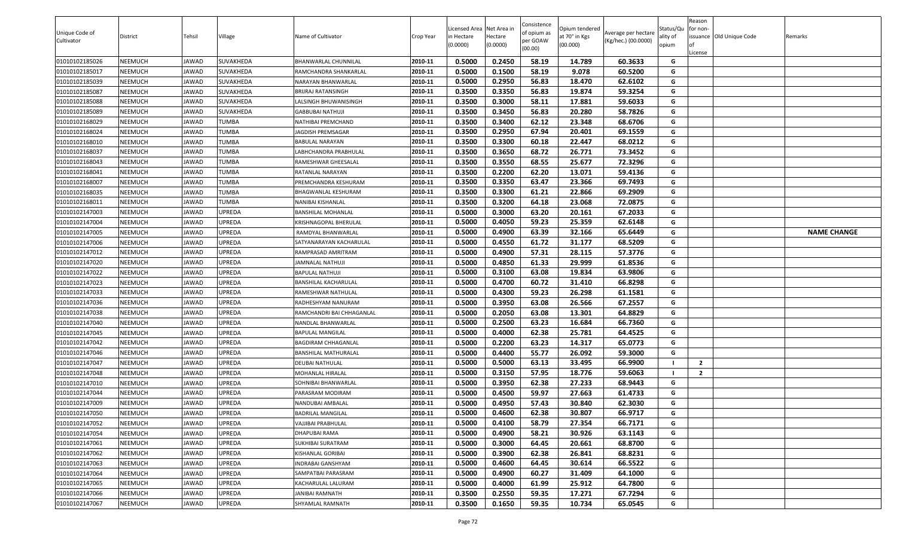| Unique Code of<br>Cultivator | <b>District</b> | Tehsil | Village          | Name of Cultivator        | Crop Year | Licensed Area Net Area in<br>in Hectare<br>(0.0000) | lectare<br>(0.0000) | Consistence<br>of opium as<br>oer GOAW<br>(00.00) | Opium tendered<br>at 70° in Kgs<br>(00.000) | Average per hectare<br>(Kg/hec.) (00.0000) | Status/Qu<br>ality of<br>opium | Reason<br>for non-<br>issuance Old Unique Code<br>.icense | Remarks            |
|------------------------------|-----------------|--------|------------------|---------------------------|-----------|-----------------------------------------------------|---------------------|---------------------------------------------------|---------------------------------------------|--------------------------------------------|--------------------------------|-----------------------------------------------------------|--------------------|
| 01010102185026               | NEEMUCH         | JAWAD  | SUVAKHEDA        | BHANWARLAL CHUNNILAL      | 2010-11   | 0.5000                                              | 0.2450              | 58.19                                             | 14.789                                      | 60.3633                                    | G                              |                                                           |                    |
| 01010102185017               | NEEMUCH         | JAWAD  | <b>SUVAKHEDA</b> | RAMCHANDRA SHANKARLAI     | 2010-11   | 0.5000                                              | 0.1500              | 58.19                                             | 9.078                                       | 60.5200                                    | G                              |                                                           |                    |
| 01010102185039               | NEEMUCH         | JAWAD  | SUVAKHEDA        | NARAYAN BHANWARLAL        | 2010-11   | 0.5000                                              | 0.2950              | 56.83                                             | 18.470                                      | 62.6102                                    | G                              |                                                           |                    |
| 01010102185087               | NEEMUCH         | JAWAD  | SUVAKHEDA        | BRIJRAJ RATANSINGH        | 2010-11   | 0.3500                                              | 0.3350              | 56.83                                             | 19.874                                      | 59.3254                                    | G                              |                                                           |                    |
| 01010102185088               | NEEMUCH         | JAWAD  | SUVAKHEDA        | ALSINGH BHUWANISINGH      | 2010-11   | 0.3500                                              | 0.3000              | 58.11                                             | 17.881                                      | 59.6033                                    | G                              |                                                           |                    |
| 01010102185089               | NEEMUCH         | JAWAD  | SUVAKHEDA        | GABBUBAI NATHUJI          | 2010-11   | 0.3500                                              | 0.3450              | 56.83                                             | 20.280                                      | 58.7826                                    | G                              |                                                           |                    |
| 01010102168029               | NEEMUCH         | JAWAD  | <b>TUMBA</b>     | NATHIBAI PREMCHAND        | 2010-11   | 0.3500                                              | 0.3400              | 62.12                                             | 23.348                                      | 68.6706                                    | G                              |                                                           |                    |
| 01010102168024               | NEEMUCH         | JAWAD  | TUMBA            | <b>JAGDISH PREMSAGAR</b>  | 2010-11   | 0.3500                                              | 0.2950              | 67.94                                             | 20.401                                      | 69.1559                                    | G                              |                                                           |                    |
| 01010102168010               | NEEMUCH         | JAWAD  | <b>TUMBA</b>     | BABULAL NARAYAN           | 2010-11   | 0.3500                                              | 0.3300              | 60.18                                             | 22.447                                      | 68.0212                                    | G                              |                                                           |                    |
| 01010102168037               | NEEMUCH         | JAWAD  | TUMBA            | LABHCHANDRA PRABHULAL     | 2010-11   | 0.3500                                              | 0.3650              | 68.72                                             | 26.771                                      | 73.3452                                    | G                              |                                                           |                    |
| 01010102168043               | NEEMUCH         | JAWAD  | <b>TUMBA</b>     | RAMESHWAR GHEESALAL       | 2010-11   | 0.3500                                              | 0.3550              | 68.55                                             | 25.677                                      | 72.3296                                    | G                              |                                                           |                    |
| 01010102168041               | NEEMUCH         | JAWAD  | TUMBA            | RATANLAL NARAYAN          | 2010-11   | 0.3500                                              | 0.2200              | 62.20                                             | 13.071                                      | 59.4136                                    | G                              |                                                           |                    |
| 01010102168007               | NEEMUCH         | JAWAD  | TUMBA            | PREMCHANDRA KESHURAM      | 2010-11   | 0.3500                                              | 0.3350              | 63.47                                             | 23.366                                      | 69.7493                                    | G                              |                                                           |                    |
| 01010102168035               | NEEMUCH         | JAWAD  | <b>TUMBA</b>     | BHAGWANLAL KESHURAM       | 2010-11   | 0.3500                                              | 0.3300              | 61.21                                             | 22.866                                      | 69.2909                                    | G                              |                                                           |                    |
| 01010102168011               | NEEMUCH         | JAWAD  | <b>TUMBA</b>     | NANIBAI KISHANLAL         | 2010-11   | 0.3500                                              | 0.3200              | 64.18                                             | 23.068                                      | 72.0875                                    | G                              |                                                           |                    |
| 01010102147003               | NEEMUCH         | JAWAD  | UPREDA           | BANSHILAL MOHANLAL        | 2010-11   | 0.5000                                              | 0.3000              | 63.20                                             | 20.161                                      | 67.2033                                    | G                              |                                                           |                    |
| 01010102147004               | NEEMUCH         | JAWAD  | UPREDA           | KRISHNAGOPAL BHERULAL     | 2010-11   | 0.5000                                              | 0.4050              | 59.23                                             | 25.359                                      | 62.6148                                    | G                              |                                                           |                    |
| 01010102147005               | NEEMUCH         | JAWAD  | UPREDA           | RAMDYAL BHANWARLAL        | 2010-11   | 0.5000                                              | 0.4900              | 63.39                                             | 32.166                                      | 65.6449                                    | G                              |                                                           | <b>NAME CHANGE</b> |
| 01010102147006               | NEEMUCH         | JAWAD  | UPREDA           | SATYANARAYAN KACHARULAL   | 2010-11   | 0.5000                                              | 0.4550              | 61.72                                             | 31.177                                      | 68.5209                                    | G                              |                                                           |                    |
| 01010102147012               | NEEMUCH         | JAWAD  | UPREDA           | RAMPRASAD AMRITRAM        | 2010-11   | 0.5000                                              | 0.4900              | 57.31                                             | 28.115                                      | 57.3776                                    | G                              |                                                           |                    |
| 01010102147020               | NEEMUCH         | JAWAD  | UPREDA           | <b>JAMNALAL NATHUJI</b>   | 2010-11   | 0.5000                                              | 0.4850              | 61.33                                             | 29.999                                      | 61.8536                                    | G                              |                                                           |                    |
| 01010102147022               | NEEMUCH         | JAWAD  | UPREDA           | BAPULAL NATHUJI           | 2010-11   | 0.5000                                              | 0.3100              | 63.08                                             | 19.834                                      | 63.9806                                    | G                              |                                                           |                    |
| 01010102147023               | NEEMUCH         | JAWAD  | UPREDA           | BANSHILAL KACHARULAL      | 2010-11   | 0.5000                                              | 0.4700              | 60.72                                             | 31.410                                      | 66.8298                                    | G                              |                                                           |                    |
| 01010102147033               | NEEMUCH         | JAWAD  | UPREDA           | RAMESHWAR NATHULAL        | 2010-11   | 0.5000                                              | 0.4300              | 59.23                                             | 26.298                                      | 61.1581                                    | G                              |                                                           |                    |
| 01010102147036               | NEEMUCH         | JAWAD  | UPREDA           | RADHESHYAM NANURAM        | 2010-11   | 0.5000                                              | 0.3950              | 63.08                                             | 26.566                                      | 67.2557                                    | G                              |                                                           |                    |
| 01010102147038               | NEEMUCH         | JAWAD  | UPREDA           | RAMCHANDRI BAI CHHAGANLAL | 2010-11   | 0.5000                                              | 0.2050              | 63.08                                             | 13.301                                      | 64.8829                                    | G                              |                                                           |                    |
| 01010102147040               | NEEMUCH         | JAWAD  | UPREDA           | NANDLAL BHANWARLAL        | 2010-11   | 0.5000                                              | 0.2500              | 63.23                                             | 16.684                                      | 66.7360                                    | G                              |                                                           |                    |
| 01010102147045               | NEEMUCH         | JAWAD  | UPREDA           | BAPULAL MANGILAL          | 2010-11   | 0.5000                                              | 0.4000              | 62.38                                             | 25.781                                      | 64.4525                                    | G                              |                                                           |                    |
| 01010102147042               | NEEMUCH         | JAWAD  | UPREDA           | BAGDIRAM CHHAGANLAL       | 2010-11   | 0.5000                                              | 0.2200              | 63.23                                             | 14.317                                      | 65.0773                                    | G                              |                                                           |                    |
| 01010102147046               | NEEMUCH         | JAWAD  | UPREDA           | BANSHILAL MATHURALAL      | 2010-11   | 0.5000                                              | 0.4400              | 55.77                                             | 26.092                                      | 59.3000                                    | G                              |                                                           |                    |
| 01010102147047               | NEEMUCH         | JAWAD  | UPREDA           | DEUBAI NATHULAL           | 2010-11   | 0.5000                                              | 0.5000              | 63.13                                             | 33.495                                      | 66.9900                                    |                                | $\overline{2}$                                            |                    |
| 01010102147048               | NEEMUCH         | JAWAD  | UPREDA           | <b>MOHANLAL HIRALAL</b>   | 2010-11   | 0.5000                                              | 0.3150              | 57.95                                             | 18.776                                      | 59.6063                                    |                                | $\overline{2}$                                            |                    |
| 01010102147010               | NEEMUCH         | JAWAD  | UPREDA           | SOHNIBAI BHANWARLAL       | 2010-11   | 0.5000                                              | 0.3950              | 62.38                                             | 27.233                                      | 68.9443                                    | G                              |                                                           |                    |
| 01010102147044               | NEEMUCH         | JAWAD  | UPREDA           | PARASRAM MODIRAM          | 2010-11   | 0.5000                                              | 0.4500              | 59.97                                             | 27.663                                      | 61.4733                                    | G                              |                                                           |                    |
| 01010102147009               | NEEMUCH         | JAWAD  | UPREDA           | NANDUBAI AMBALAL          | 2010-11   | 0.5000                                              | 0.4950              | 57.43                                             | 30.840                                      | 62.3030                                    | G                              |                                                           |                    |
| 01010102147050               | NEEMUCH         | JAWAD  | <b>UPREDA</b>    | <b>BADRILAL MANGILAL</b>  | 2010-11   | 0.5000                                              | 0.4600              | 62.38                                             | 30.807                                      | 66.9717                                    | G                              |                                                           |                    |
| 01010102147052               | NEEMUCH         | JAWAD  | UPREDA           | VAJJIBAI PRABHULAL        | 2010-11   | 0.5000                                              | 0.4100              | 58.79                                             | 27.354                                      | 66.7171                                    | G                              |                                                           |                    |
| 01010102147054               | NEEMUCH         | JAWAD  | UPREDA           | DHAPUBAI RAMA             | 2010-11   | 0.5000                                              | 0.4900              | 58.21                                             | 30.926                                      | 63.1143                                    | G                              |                                                           |                    |
| 01010102147061               | NEEMUCH         | JAWAD  | <b>UPREDA</b>    | SUKHIBAI SURATRAM         | 2010-11   | 0.5000                                              | 0.3000              | 64.45                                             | 20.661                                      | 68.8700                                    | G                              |                                                           |                    |
| 01010102147062               | NEEMUCH         | JAWAD  | <b>UPREDA</b>    | KISHANLAL GORIBAI         | 2010-11   | 0.5000                                              | 0.3900              | 62.38                                             | 26.841                                      | 68.8231                                    | G                              |                                                           |                    |
| 01010102147063               | NEEMUCH         | JAWAD  | <b>UPREDA</b>    | INDRABAI GANSHYAM         | 2010-11   | 0.5000                                              | 0.4600              | 64.45                                             | 30.614                                      | 66.5522                                    | G                              |                                                           |                    |
| 01010102147064               | NEEMUCH         | JAWAD  | UPREDA           | SAMPATBAI PARASRAM        | 2010-11   | 0.5000                                              | 0.4900              | 60.27                                             | 31.409                                      | 64.1000                                    | G                              |                                                           |                    |
| 01010102147065               | NEEMUCH         | JAWAD  | <b>UPREDA</b>    | KACHARULAL LALURAM        | 2010-11   | 0.5000                                              | 0.4000              | 61.99                                             | 25.912                                      | 64.7800                                    | G                              |                                                           |                    |
| 01010102147066               | NEEMUCH         | JAWAD  | UPREDA           | JANIBAI RAMNATH           | 2010-11   | 0.3500                                              | 0.2550              | 59.35                                             | 17.271                                      | 67.7294                                    | G                              |                                                           |                    |
| 01010102147067               | NEEMUCH         | JAWAD  | <b>UPREDA</b>    | SHYAMLAL RAMNATH          | 2010-11   | 0.3500                                              | 0.1650              | 59.35                                             | 10.734                                      | 65.0545                                    | G                              |                                                           |                    |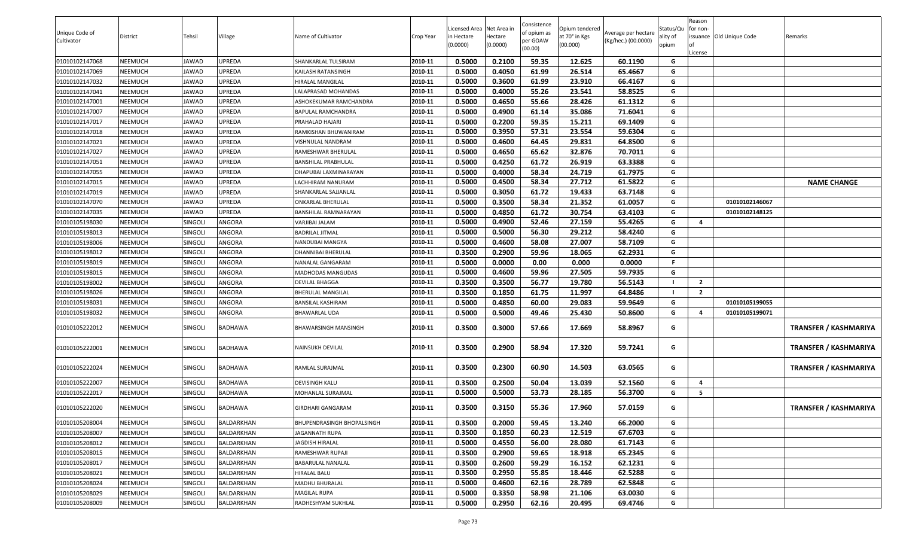| Unique Code of |          |                |                   |                                   |           | Licensed Area Net Area in |                     | Consistence<br>of opium as | Opium tendered            | Average per hectare | Status/Qu         | Reason<br>for non-      |                          |                              |
|----------------|----------|----------------|-------------------|-----------------------------------|-----------|---------------------------|---------------------|----------------------------|---------------------------|---------------------|-------------------|-------------------------|--------------------------|------------------------------|
| Cultivator     | District | Tehsil         | Village           | Name of Cultivator                | Crop Year | in Hectare<br>(0.0000)    | Hectare<br>(0.0000) | er GOAW<br>(00.00)         | at 70° in Kgs<br>(00.000) | (Kg/hec.) (00.0000) | ality of<br>opium |                         | issuance Old Unique Code | Remarks                      |
| 01010102147068 | NEEMUCH  | JAWAD          | UPREDA            | SHANKARLAL TULSIRAM               | 2010-11   | 0.5000                    | 0.2100              | 59.35                      | 12.625                    | 60.1190             | G                 | License                 |                          |                              |
| 01010102147069 | NEEMUCH  | JAWAD          | UPREDA            | KAILASH RATANSINGH                | 2010-11   | 0.5000                    | 0.4050              | 61.99                      | 26.514                    | 65.4667             | G                 |                         |                          |                              |
| 01010102147032 | NEEMUCH  | JAWAD          | UPREDA            | HIRALAL MANGILAL                  | 2010-11   | 0.5000                    | 0.3600              | 61.99                      | 23.910                    | 66.4167             | G                 |                         |                          |                              |
| 01010102147041 | NEEMUCH  | JAWAD          | UPREDA            | LALAPRASAD MOHANDAS               | 2010-11   | 0.5000                    | 0.4000              | 55.26                      | 23.541                    | 58.8525             | G                 |                         |                          |                              |
| 01010102147001 | NEEMUCH  | JAWAD          | UPREDA            | ASHOKEKUMAR RAMCHANDRA            | 2010-11   | 0.5000                    | 0.4650              | 55.66                      | 28.426                    | 61.1312             | G                 |                         |                          |                              |
| 01010102147007 | NEEMUCH  | JAWAD          | UPREDA            | BAPULAL RAMCHANDRA                | 2010-11   | 0.5000                    | 0.4900              | 61.14                      | 35.086                    | 71.6041             | G                 |                         |                          |                              |
| 01010102147017 | NEEMUCH  | JAWAD          | UPREDA            | PRAHALAD HAJARI                   | 2010-11   | 0.5000                    | 0.2200              | 59.35                      | 15.211                    | 69.1409             | G                 |                         |                          |                              |
| 01010102147018 | NEEMUCH  | JAWAD          | UPREDA            | RAMKISHAN BHUWANIRAM              | 2010-11   | 0.5000                    | 0.3950              | 57.31                      | 23.554                    | 59.6304             | G                 |                         |                          |                              |
| 01010102147021 | NEEMUCH  | JAWAD          | UPREDA            | <b>VISHNULAL NANDRAM</b>          | 2010-11   | 0.5000                    | 0.4600              | 64.45                      | 29.831                    | 64.8500             | G                 |                         |                          |                              |
| 01010102147027 | NEEMUCH  | JAWAD          | UPREDA            | RAMESHWAR BHERULAL                | 2010-11   | 0.5000                    | 0.4650              | 65.62                      | 32.876                    | 70.7011             | G                 |                         |                          |                              |
| 01010102147051 | NEEMUCH  | JAWAD          | UPREDA            | <b>BANSHILAL PRABHULAL</b>        | 2010-11   | 0.5000                    | 0.4250              | 61.72                      | 26.919                    | 63.3388             | G                 |                         |                          |                              |
| 01010102147055 | NEEMUCH  | JAWAD          | UPREDA            | DHAPUBAI LAXMINARAYAN             | 2010-11   | 0.5000                    | 0.4000              | 58.34                      | 24.719                    | 61.7975             | G                 |                         |                          |                              |
| 01010102147015 | NEEMUCH  | JAWAD          | UPREDA            | LACHHIRAM NANURAM                 | 2010-11   | 0.5000                    | 0.4500              | 58.34                      | 27.712                    | 61.5822             | G                 |                         |                          | <b>NAME CHANGE</b>           |
| 01010102147019 | NEEMUCH  | JAWAD          | <b>UPREDA</b>     | SHANKARLAL SAJJANLAL              | 2010-11   | 0.5000                    | 0.3050              | 61.72                      | 19.433                    | 63.7148             | G                 |                         |                          |                              |
| 01010102147070 | NEEMUCH  | JAWAD          | UPREDA            | <b>ONKARLAL BHERULAL</b>          | 2010-11   | 0.5000                    | 0.3500              | 58.34                      | 21.352                    | 61.0057             | G                 |                         | 01010102146067           |                              |
| 01010102147035 | NEEMUCH  | <b>JAWAD</b>   | <b>UPREDA</b>     | BANSHILAL RAMNARAYAN              | 2010-11   | 0.5000                    | 0.4850              | 61.72                      | 30.754                    | 63.4103             | G                 |                         | 01010102148125           |                              |
| 01010105198030 | NEEMUCH  | <b>SINGOLI</b> | ANGORA            | VARJIBAI JALAM                    | 2010-11   | 0.5000                    | 0.4900              | 52.46                      | 27.159                    | 55.4265             | G                 | $\overline{4}$          |                          |                              |
| 01010105198013 | NEEMUCH  | SINGOLI        | ANGORA            | <b>BADRILAL JITMAL</b>            | 2010-11   | 0.5000                    | 0.5000              | 56.30                      | 29.212                    | 58.4240             | G                 |                         |                          |                              |
| 01010105198006 | NEEMUCH  | <b>SINGOLI</b> | ANGORA            | NANDUBAI MANGYA                   | 2010-11   | 0.5000                    | 0.4600              | 58.08                      | 27.007                    | 58.7109             | G                 |                         |                          |                              |
| 01010105198012 | NEEMUCH  | <b>SINGOLI</b> | ANGORA            | DHANNIBAI BHERULAL                | 2010-11   | 0.3500                    | 0.2900              | 59.96                      | 18.065                    | 62.2931             | G                 |                         |                          |                              |
| 01010105198019 | NEEMUCH  | <b>SINGOLI</b> | ANGORA            | NANALAL GANGARAM                  | 2010-11   | 0.5000                    | 0.0000              | 0.00                       | 0.000                     | 0.0000              | -F.               |                         |                          |                              |
| 01010105198015 | NEEMUCH  | <b>SINGOLI</b> | ANGORA            | MADHODAS MANGUDAS                 | 2010-11   | 0.5000                    | 0.4600              | 59.96                      | 27.505                    | 59.7935             | G                 |                         |                          |                              |
| 01010105198002 | NEEMUCH  | <b>SINGOLI</b> | ANGORA            | DEVILAL BHAGGA                    | 2010-11   | 0.3500                    | 0.3500              | 56.77                      | 19.780                    | 56.5143             |                   | $\overline{2}$          |                          |                              |
| 01010105198026 | NEEMUCH  | SINGOLI        | ANGORA            | <b>BHERULAL MANGILAL</b>          | 2010-11   | 0.3500                    | 0.1850              | 61.75                      | 11.997                    | 64.8486             | - 1               | $\overline{2}$          |                          |                              |
| 01010105198031 | NEEMUCH  | SINGOLI        | ANGORA            | <b>BANSILAL KASHIRAM</b>          | 2010-11   | 0.5000                    | 0.4850              | 60.00                      | 29.083                    | 59.9649             | G                 |                         | 01010105199055           |                              |
| 01010105198032 | NEEMUCH  | SINGOLI        | ANGORA            | <b>BHAWARLAL UDA</b>              | 2010-11   | 0.5000                    | 0.5000              | 49.46                      | 25.430                    | 50.8600             | G                 | $\overline{\mathbf{4}}$ | 01010105199071           |                              |
| 01010105222012 | NEEMUCH  | SINGOLI        | <b>BADHAWA</b>    | BHAWARSINGH MANSINGH              | 2010-11   | 0.3500                    | 0.3000              | 57.66                      | 17.669                    | 58.8967             | G                 |                         |                          | <b>TRANSFER / KASHMARIYA</b> |
| 01010105222001 | NEEMUCH  | SINGOLI        | <b>BADHAWA</b>    | NAINSUKH DEVILAL                  | 2010-11   | 0.3500                    | 0.2900              | 58.94                      | 17.320                    | 59.7241             | G                 |                         |                          | TRANSFER / KASHMARIYA        |
| 01010105222024 | NEEMUCH  | SINGOLI        | <b>BADHAWA</b>    | RAMLAL SURAJMAL                   | 2010-11   | 0.3500                    | 0.2300              | 60.90                      | 14.503                    | 63.0565             | G                 |                         |                          | <b>TRANSFER / KASHMARIYA</b> |
| 01010105222007 | NEEMUCH  | <b>SINGOLI</b> | <b>BADHAWA</b>    | DEVISINGH KALU                    | 2010-11   | 0.3500                    | 0.2500              | 50.04                      | 13.039                    | 52.1560             | G                 | $\overline{4}$          |                          |                              |
| 01010105222017 | NEEMUCH  | <b>SINGOLI</b> | <b>BADHAWA</b>    | MOHANLAL SURAJMAL                 | 2010-11   | 0.5000                    | 0.5000              | 53.73                      | 28.185                    | 56.3700             | G                 | - 5                     |                          |                              |
| 01010105222020 | NEEMUCH  | SINGOLI        | <b>BADHAWA</b>    | <b>GIRDHARI GANGARAM</b>          | 2010-11   | 0.3500                    | 0.3150              | 55.36                      | 17.960                    | 57.0159             | G                 |                         |                          | <b>TRANSFER / KASHMARIYA</b> |
| 01010105208004 | NEEMUCH  | SINGOLI        | BALDARKHAN        | <b>BHUPENDRASINGH BHOPALSINGH</b> | 2010-11   | 0.3500                    | 0.2000              | 59.45                      | 13.240                    | 66.2000             | G                 |                         |                          |                              |
| 01010105208007 | NEEMUCH  | SINGOLI        | BALDARKHAN        | JAGANNATH RUPA                    | 2010-11   | 0.3500                    | 0.1850              | 60.23                      | 12.519                    | 67.6703             | G                 |                         |                          |                              |
| 01010105208012 | NEEMUCH  | SINGOLI        | BALDARKHAN        | JAGDISH HIRALAL                   | 2010-11   | 0.5000                    | 0.4550              | 56.00                      | 28.080                    | 61.7143             | G                 |                         |                          |                              |
| 01010105208015 | NEEMUCH  | SINGOLI        | BALDARKHAN        | RAMESHWAR RUPAJI                  | 2010-11   | 0.3500                    | 0.2900              | 59.65                      | 18.918                    | 65.2345             | G                 |                         |                          |                              |
| 01010105208017 | NEEMUCH  | SINGOLI        | BALDARKHAN        | <b>BABARULAL NANALAL</b>          | 2010-11   | 0.3500                    | 0.2600              | 59.29                      | 16.152                    | 62.1231             | G                 |                         |                          |                              |
| 01010105208021 | NEEMUCH  | SINGOLI        | BALDARKHAN        | <b>HIRALAL BALU</b>               | 2010-11   | 0.3500                    | 0.2950              | 55.85                      | 18.446                    | 62.5288             | G                 |                         |                          |                              |
| 01010105208024 | NEEMUCH  | SINGOLI        | <b>BALDARKHAN</b> | MADHU BHURALAL                    | 2010-11   | 0.5000                    | 0.4600              | 62.16                      | 28.789                    | 62.5848             | G                 |                         |                          |                              |
| 01010105208029 | NEEMUCH  | SINGOLI        | BALDARKHAN        | <b>MAGILAL RUPA</b>               | 2010-11   | 0.5000                    | 0.3350              | 58.98                      | 21.106                    | 63.0030             | G                 |                         |                          |                              |
| 01010105208009 | NEEMUCH  | SINGOLI        | BALDARKHAN        | RADHESHYAM SUKHLAL                | 2010-11   | 0.5000                    | 0.2950              | 62.16                      | 20.495                    | 69.4746             | G                 |                         |                          |                              |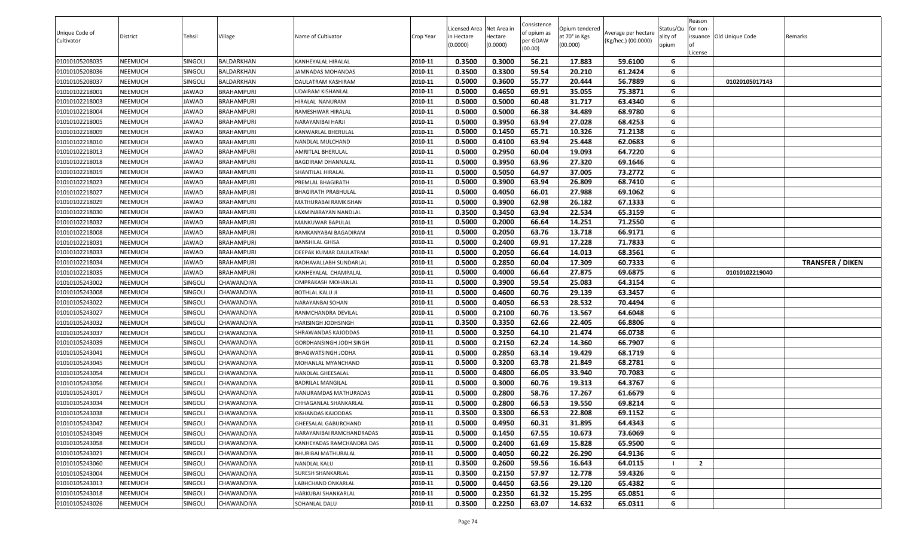| Unique Code of<br>Cultivator | District | Tehsil         | Village           | Name of Cultivator        | Crop Year | Licensed Area Net Area in<br>in Hectare<br>(0.0000) | lectare<br>(0.0000) | Consistence<br>of opium as<br>oer GOAW<br>(00.00) | Opium tendered<br>at 70° in Kgs<br>(00.000) | Average per hectare<br>(Kg/hec.) (00.0000) | Status/Qu<br>ality of<br>opium | Reason<br>for non-<br>issuance Old Unique Code<br>.icense | Remarks                 |
|------------------------------|----------|----------------|-------------------|---------------------------|-----------|-----------------------------------------------------|---------------------|---------------------------------------------------|---------------------------------------------|--------------------------------------------|--------------------------------|-----------------------------------------------------------|-------------------------|
| 01010105208035               | NEEMUCH  | SINGOLI        | BALDARKHAN        | KANHEYALAL HIRALAL        | 2010-11   | 0.3500                                              | 0.3000              | 56.21                                             | 17.883                                      | 59.6100                                    | G                              |                                                           |                         |
| 01010105208036               | NEEMUCH  | SINGOLI        | BALDARKHAN        | IAMNADAS MOHANDAS         | 2010-11   | 0.3500                                              | 0.3300              | 59.54                                             | 20.210                                      | 61.2424                                    | G                              |                                                           |                         |
| 01010105208037               | NEEMUCH  | SINGOLI        | BALDARKHAN        | DAULATRAM KASHIRAM        | 2010-11   | 0.5000                                              | 0.3600              | 55.77                                             | 20.444                                      | 56.7889                                    | G                              | 01020105017143                                            |                         |
| 01010102218001               | NEEMUCH  | JAWAD          | BRAHAMPURI        | JDAIRAM KISHANLAL         | 2010-11   | 0.5000                                              | 0.4650              | 69.91                                             | 35.055                                      | 75.3871                                    | G                              |                                                           |                         |
| 01010102218003               | NEEMUCH  | JAWAD          | BRAHAMPURI        | HIRALAL NANURAM           | 2010-11   | 0.5000                                              | 0.5000              | 60.48                                             | 31.717                                      | 63.4340                                    | G                              |                                                           |                         |
| 01010102218004               | NEEMUCH  | JAWAD          | BRAHAMPURI        | RAMESHWAR HIRALAL         | 2010-11   | 0.5000                                              | 0.5000              | 66.38                                             | 34.489                                      | 68.9780                                    | G                              |                                                           |                         |
| 01010102218005               | NEEMUCH  | JAWAD          | <b>BRAHAMPURI</b> | NARAYANIBAI HARJI         | 2010-11   | 0.5000                                              | 0.3950              | 63.94                                             | 27.028                                      | 68.4253                                    | G                              |                                                           |                         |
| 01010102218009               | NEEMUCH  | JAWAD          | BRAHAMPURI        | KANWARLAL BHERULAL        | 2010-11   | 0.5000                                              | 0.1450              | 65.71                                             | 10.326                                      | 71.2138                                    | G                              |                                                           |                         |
| 01010102218010               | NEEMUCH  | JAWAD          | BRAHAMPURI        | NANDLAL MULCHAND          | 2010-11   | 0.5000                                              | 0.4100              | 63.94                                             | 25.448                                      | 62.0683                                    | G                              |                                                           |                         |
| 01010102218013               | NEEMUCH  | JAWAD          | BRAHAMPURI        | AMRITLAL BHERULAL         | 2010-11   | 0.5000                                              | 0.2950              | 60.04                                             | 19.093                                      | 64.7220                                    | G                              |                                                           |                         |
| 01010102218018               | NEEMUCH  | JAWAD          | BRAHAMPURI        | BAGDIRAM DHANNALAL        | 2010-11   | 0.5000                                              | 0.3950              | 63.96                                             | 27.320                                      | 69.1646                                    | G                              |                                                           |                         |
| 01010102218019               | NEEMUCH  | JAWAD          | BRAHAMPURI        | SHANTILAL HIRALAL         | 2010-11   | 0.5000                                              | 0.5050              | 64.97                                             | 37.005                                      | 73.2772                                    | G                              |                                                           |                         |
| 01010102218023               | NEEMUCH  | JAWAD          | BRAHAMPURI        | PREMLAL BHAGIRATH         | 2010-11   | 0.5000                                              | 0.3900              | 63.94                                             | 26.809                                      | 68.7410                                    | G                              |                                                           |                         |
| 01010102218027               | NEEMUCH  | JAWAD          | BRAHAMPURI        | BHAGIRATH PRABHULAL       | 2010-11   | 0.5000                                              | 0.4050              | 66.01                                             | 27.988                                      | 69.1062                                    | G                              |                                                           |                         |
| 01010102218029               | NEEMUCH  | JAWAD          | BRAHAMPURI        | MATHURABAI RAMKISHAN      | 2010-11   | 0.5000                                              | 0.3900              | 62.98                                             | 26.182                                      | 67.1333                                    | G                              |                                                           |                         |
| 01010102218030               | NEEMUCH  | JAWAD          | BRAHAMPURI        | LAXMINARAYAN NANDLAL      | 2010-11   | 0.3500                                              | 0.3450              | 63.94                                             | 22.534                                      | 65.3159                                    | G                              |                                                           |                         |
| 01010102218032               | NEEMUCH  | JAWAD          | <b>BRAHAMPURI</b> | MANKUWAR BAPULAL          | 2010-11   | 0.5000                                              | 0.2000              | 66.64                                             | 14.251                                      | 71.2550                                    | G                              |                                                           |                         |
| 01010102218008               | NEEMUCH  | JAWAD          | <b>BRAHAMPURI</b> | RAMKANYABAI BAGADIRAM     | 2010-11   | 0.5000                                              | 0.2050              | 63.76                                             | 13.718                                      | 66.9171                                    | G                              |                                                           |                         |
| 01010102218031               | NEEMUCH  | JAWAD          | BRAHAMPURI        | BANSHILAL GHISA           | 2010-11   | 0.5000                                              | 0.2400              | 69.91                                             | 17.228                                      | 71.7833                                    | G                              |                                                           |                         |
| 01010102218033               | NEEMUCH  | JAWAD          | BRAHAMPURI        | DEEPAK KUMAR DAULATRAM    | 2010-11   | 0.5000                                              | 0.2050              | 66.64                                             | 14.013                                      | 68.3561                                    | G                              |                                                           |                         |
| 01010102218034               | NEEMUCH  | JAWAD          | BRAHAMPURI        | RADHAVALLABH SUNDARLAL    | 2010-11   | 0.5000                                              | 0.2850              | 60.04                                             | 17.309                                      | 60.7333                                    | G                              |                                                           | <b>TRANSFER / DIKEN</b> |
| 01010102218035               | NEEMUCH  | JAWAD          | <b>BRAHAMPURI</b> | KANHEYALAL CHAMPALAL      | 2010-11   | 0.5000                                              | 0.4000              | 66.64                                             | 27.875                                      | 69.6875                                    | G                              | 01010102219040                                            |                         |
| 01010105243002               | NEEMUCH  | SINGOLI        | CHAWANDIYA        | OMPRAKASH MOHANLAL        | 2010-11   | 0.5000                                              | 0.3900              | 59.54                                             | 25.083                                      | 64.3154                                    | G                              |                                                           |                         |
| 01010105243008               | NEEMUCH  | SINGOLI        | CHAWANDIYA        | <b>BOTHLAL KALU JI</b>    | 2010-11   | 0.5000                                              | 0.4600              | 60.76                                             | 29.139                                      | 63.3457                                    | G                              |                                                           |                         |
| 01010105243022               | NEEMUCH  | SINGOLI        | CHAWANDIYA        | NARAYANBAI SOHAN          | 2010-11   | 0.5000                                              | 0.4050              | 66.53                                             | 28.532                                      | 70.4494                                    | G                              |                                                           |                         |
| 01010105243027               | NEEMUCH  | SINGOLI        | CHAWANDIYA        | RANMCHANDRA DEVILAL       | 2010-11   | 0.5000                                              | 0.2100              | 60.76                                             | 13.567                                      | 64.6048                                    | G                              |                                                           |                         |
| 01010105243032               | NEEMUCH  | SINGOLI        | CHAWANDIYA        | HARISINGH JODHSINGH       | 2010-11   | 0.3500                                              | 0.3350              | 62.66                                             | 22.405                                      | 66.8806                                    | G                              |                                                           |                         |
| 01010105243037               | NEEMUCH  | SINGOLI        | CHAWANDIYA        | SHRAWANDAS KAJODDAS       | 2010-11   | 0.5000                                              | 0.3250              | 64.10                                             | 21.474                                      | 66.0738                                    | G                              |                                                           |                         |
| 01010105243039               | NEEMUCH  | SINGOLI        | CHAWANDIYA        | GORDHANSINGH JODH SINGH   | 2010-11   | 0.5000                                              | 0.2150              | 62.24                                             | 14.360                                      | 66.7907                                    | G                              |                                                           |                         |
| 01010105243041               | NEEMUCH  | SINGOLI        | CHAWANDIYA        | BHAGWATSINGH JODHA        | 2010-11   | 0.5000                                              | 0.2850              | 63.14                                             | 19.429                                      | 68.1719                                    | G                              |                                                           |                         |
| 01010105243045               | NEEMUCH  | SINGOLI        | CHAWANDIYA        | MOHANLAL MYANCHAND        | 2010-11   | 0.5000                                              | 0.3200              | 63.78                                             | 21.849                                      | 68.2781                                    | G                              |                                                           |                         |
| 01010105243054               | NEEMUCH  | SINGOLI        | <b>CHAWANDIYA</b> | NANDLAL GHEESALAL         | 2010-11   | 0.5000                                              | 0.4800              | 66.05                                             | 33.940                                      | 70.7083                                    | G                              |                                                           |                         |
| 01010105243056               | NEEMUCH  | <b>SINGOLI</b> | CHAWANDIYA        | BADRILAL MANGILAL         | 2010-11   | 0.5000                                              | 0.3000              | 60.76                                             | 19.313                                      | 64.3767                                    | G                              |                                                           |                         |
| 01010105243017               | NEEMUCH  | SINGOLI        | CHAWANDIYA        | NANURAMDAS MATHURADAS     | 2010-11   | 0.5000                                              | 0.2800              | 58.76                                             | 17.267                                      | 61.6679                                    | G                              |                                                           |                         |
| 01010105243034               | NEEMUCH  | SINGOLI        | CHAWANDIYA        | CHHAGANLAL SHANKARLAL     | 2010-11   | 0.5000                                              | 0.2800              | 66.53                                             | 19.550                                      | 69.8214                                    | G                              |                                                           |                         |
| 01010105243038               | NEEMUCH  | SINGOLI        | <b>CHAWANDIYA</b> | <b>KISHANDAS KAJODDAS</b> | 2010-11   | 0.3500                                              | 0.3300              | 66.53                                             | 22.808                                      | 69.1152                                    | G                              |                                                           |                         |
| 01010105243042               | NEEMUCH  | SINGOLI        | CHAWANDIYA        | GHEESALAL GABURCHAND      | 2010-11   | 0.5000                                              | 0.4950              | 60.31                                             | 31.895                                      | 64.4343                                    | G                              |                                                           |                         |
| 01010105243049               | NEEMUCH  | SINGOLI        | CHAWANDIYA        | NARAYANIBAI RAMCHANDRADAS | 2010-11   | 0.5000                                              | 0.1450              | 67.55                                             | 10.673                                      | 73.6069                                    | G                              |                                                           |                         |
| 01010105243058               | NEEMUCH  | SINGOLI        | CHAWANDIYA        | KANHEYADAS RAMCHANDRA DAS | 2010-11   | 0.5000                                              | 0.2400              | 61.69                                             | 15.828                                      | 65.9500                                    | G                              |                                                           |                         |
| 01010105243021               | NEEMUCH  | SINGOLI        | CHAWANDIYA        | BHURIBAI MATHURALAL       | 2010-11   | 0.5000                                              | 0.4050              | 60.22                                             | 26.290                                      | 64.9136                                    | G                              |                                                           |                         |
| 01010105243060               | NEEMUCH  | SINGOLI        | CHAWANDIYA        | NANDLAL KALU              | 2010-11   | 0.3500                                              | 0.2600              | 59.56                                             | 16.643                                      | 64.0115                                    |                                | $\overline{2}$                                            |                         |
| 01010105243004               | NEEMUCH  | SINGOLI        | <b>CHAWANDIYA</b> | SURESH SHANKARLAL         | 2010-11   | 0.3500                                              | 0.2150              | 57.97                                             | 12.778                                      | 59.4326                                    | G                              |                                                           |                         |
| 01010105243013               | NEEMUCH  | SINGOLI        | CHAWANDIYA        | LABHCHAND ONKARLAL        | 2010-11   | 0.5000                                              | 0.4450              | 63.56                                             | 29.120                                      | 65.4382                                    | G                              |                                                           |                         |
| 01010105243018               | NEEMUCH  | SINGOLI        | CHAWANDIYA        | HARKUBAI SHANKARLAL       | 2010-11   | 0.5000                                              | 0.2350              | 61.32                                             | 15.295                                      | 65.0851                                    | G                              |                                                           |                         |
| 01010105243026               | NEEMUCH  | SINGOLI        | <b>CHAWANDIYA</b> | SOHANLAL DALU             | 2010-11   | 0.3500                                              | 0.2250              | 63.07                                             | 14.632                                      | 65.0311                                    | G                              |                                                           |                         |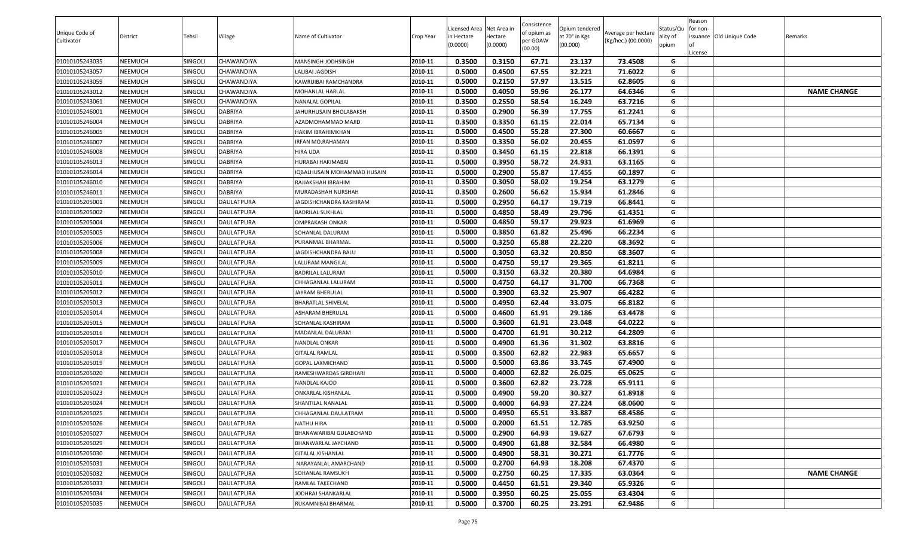|                |                |                |                   |                             |           |                            |                        | Consistence |                                 |                     |                       | Reason   |                          |                    |
|----------------|----------------|----------------|-------------------|-----------------------------|-----------|----------------------------|------------------------|-------------|---------------------------------|---------------------|-----------------------|----------|--------------------------|--------------------|
| Unique Code of | District       | Tehsil         | Village           | Name of Cultivator          | Crop Year | icensed Area<br>in Hectare | Net Area in<br>Hectare | of opium as | Opium tendered<br>at 70° in Kgs | Average per hectare | Status/Qu<br>ality of | for non- | issuance Old Unique Code | Remarks            |
| Cultivator     |                |                |                   |                             |           | (0.0000)                   | (0.0000)               | per GOAW    | (00.000)                        | (Kg/hec.) (00.0000) | opium                 | lot      |                          |                    |
|                |                |                |                   |                             |           |                            |                        | (00.00)     |                                 |                     |                       | License  |                          |                    |
| 01010105243035 | NEEMUCH        | SINGOLI        | CHAWANDIYA        | MANSINGH JODHSINGH          | 2010-11   | 0.3500                     | 0.3150                 | 67.71       | 23.137                          | 73.4508             | G                     |          |                          |                    |
| 01010105243057 | NEEMUCH        | SINGOLI        | <b>CHAWANDIYA</b> | LALIBAI JAGDISH             | 2010-11   | 0.5000                     | 0.4500                 | 67.55       | 32.221                          | 71.6022             | G                     |          |                          |                    |
| 01010105243059 | NEEMUCH        | SINGOLI        | <b>CHAWANDIYA</b> | KAWRUIBAI RAMCHANDRA        | 2010-11   | 0.5000                     | 0.2150                 | 57.97       | 13.515                          | 62.8605             | G                     |          |                          |                    |
| 01010105243012 | NEEMUCH        | SINGOLI        | <b>CHAWANDIYA</b> | MOHANLAL HARLAL             | 2010-11   | 0.5000                     | 0.4050                 | 59.96       | 26.177                          | 64.6346             | G                     |          |                          | <b>NAME CHANGE</b> |
| 01010105243061 | NEEMUCH        | SINGOLI        | <b>CHAWANDIYA</b> | NANALAL GOPILAL             | 2010-11   | 0.3500                     | 0.2550                 | 58.54       | 16.249                          | 63.7216             | G                     |          |                          |                    |
| 01010105246001 | NEEMUCH        | SINGOLI        | <b>DABRIYA</b>    | JAHURHUSAIN BHOLABAKSH      | 2010-11   | 0.3500                     | 0.2900                 | 56.39       | 17.755                          | 61.2241             | G                     |          |                          |                    |
| 01010105246004 | NEEMUCH        | SINGOLI        | <b>DABRIYA</b>    | AZADMOHAMMAD MAJID          | 2010-11   | 0.3500                     | 0.3350                 | 61.15       | 22.014                          | 65.7134             | G                     |          |                          |                    |
| 01010105246005 | NEEMUCH        | <b>SINGOLI</b> | <b>DABRIYA</b>    | HAKIM IBRAHIMKHAN           | 2010-11   | 0.5000                     | 0.4500                 | 55.28       | 27.300                          | 60.6667             | G                     |          |                          |                    |
| 01010105246007 | NEEMUCH        | SINGOLI        | <b>DABRIYA</b>    | IRFAN MO.RAHAMAN            | 2010-11   | 0.3500                     | 0.3350                 | 56.02       | 20.455                          | 61.0597             | G                     |          |                          |                    |
| 01010105246008 | NEEMUCH        | SINGOLI        | <b>DABRIYA</b>    | HIRA UDA                    | 2010-11   | 0.3500                     | 0.3450                 | 61.15       | 22.818                          | 66.1391             | G                     |          |                          |                    |
| 01010105246013 | NEEMUCH        | SINGOLI        | <b>DABRIYA</b>    | HURABAI HAKIMABAI           | 2010-11   | 0.5000                     | 0.3950                 | 58.72       | 24.931                          | 63.1165             | G                     |          |                          |                    |
| 01010105246014 | NEEMUCH        | SINGOLI        | <b>DABRIYA</b>    | IQBALHUSAIN MOHAMMAD HUSAIN | 2010-11   | 0.5000                     | 0.2900                 | 55.87       | 17.455                          | 60.1897             | G                     |          |                          |                    |
| 01010105246010 | NEEMUCH        | Singoli        | <b>DABRIYA</b>    | RAJJAKSHAH IBRAHIM          | 2010-11   | 0.3500                     | 0.3050                 | 58.02       | 19.254                          | 63.1279             | G                     |          |                          |                    |
| 01010105246011 | NEEMUCH        | SINGOLI        | <b>DABRIYA</b>    | MURADASHAH NURSHAH          | 2010-11   | 0.3500                     | 0.2600                 | 56.62       | 15.934                          | 61.2846             | G                     |          |                          |                    |
| 01010105205001 | NEEMUCH        | SINGOLI        | <b>DAULATPURA</b> | JAGDISHCHANDRA KASHIRAM     | 2010-11   | 0.5000                     | 0.2950                 | 64.17       | 19.719                          | 66.8441             | G                     |          |                          |                    |
| 01010105205002 | NEEMUCH        | <b>SINGOLI</b> | <b>DAULATPURA</b> | <b>BADRILAL SUKHLAL</b>     | 2010-11   | 0.5000                     | 0.4850                 | 58.49       | 29.796                          | 61.4351             | G                     |          |                          |                    |
| 01010105205004 | NEEMUCH        | Singoli        | DAULATPURA        | OMPRAKASH ONKAR             | 2010-11   | 0.5000                     | 0.4850                 | 59.17       | 29.923                          | 61.6969             | G                     |          |                          |                    |
| 01010105205005 | NEEMUCH        | <b>SINGOLI</b> | <b>DAULATPURA</b> | SOHANLAL DALURAM            | 2010-11   | 0.5000                     | 0.3850                 | 61.82       | 25.496                          | 66.2234             | G                     |          |                          |                    |
| 01010105205006 | NEEMUCH        | SINGOLI        | <b>DAULATPURA</b> | PURANMAL BHARMAL            | 2010-11   | 0.5000                     | 0.3250                 | 65.88       | 22.220                          | 68.3692             | G                     |          |                          |                    |
| 01010105205008 | NEEMUCH        | Singoli        | DAULATPURA        | <b>JAGDISHCHANDRA BALU</b>  | 2010-11   | 0.5000                     | 0.3050                 | 63.32       | 20.850                          | 68.3607             | G                     |          |                          |                    |
| 01010105205009 | NEEMUCH        | SINGOLI        | DAULATPURA        | ALURAM MANGILAL             | 2010-11   | 0.5000                     | 0.4750                 | 59.17       | 29.365                          | 61.8211             | G                     |          |                          |                    |
| 01010105205010 | NEEMUCH        | SINGOLI        | <b>DAULATPURA</b> | BADRILAL LALURAM            | 2010-11   | 0.5000                     | 0.3150                 | 63.32       | 20.380                          | 64.6984             | G                     |          |                          |                    |
| 01010105205011 | NEEMUCH        | SINGOLI        | <b>DAULATPURA</b> | CHHAGANLAL LALURAM          | 2010-11   | 0.5000                     | 0.4750                 | 64.17       | 31.700                          | 66.7368             | G                     |          |                          |                    |
| 01010105205012 | NEEMUCH        | <b>SINGOLI</b> | <b>DAULATPURA</b> | JAYRAM BHERULAL             | 2010-11   | 0.5000                     | 0.3900                 | 63.32       | 25.907                          | 66.4282             | G                     |          |                          |                    |
| 01010105205013 | NEEMUCH        | SINGOLI        | DAULATPURA        | BHARATLAL SHIVELAL          | 2010-11   | 0.5000                     | 0.4950                 | 62.44       | 33.075                          | 66.8182             | G                     |          |                          |                    |
| 01010105205014 | NEEMUCH        | SINGOLI        | DAULATPURA        | ASHARAM BHERULAL            | 2010-11   | 0.5000                     | 0.4600                 | 61.91       | 29.186                          | 63.4478             | G                     |          |                          |                    |
| 01010105205015 | NEEMUCH        | SINGOLI        | DAULATPURA        | SOHANLAL KASHIRAM           | 2010-11   | 0.5000                     | 0.3600                 | 61.91       | 23.048                          | 64.0222             | G                     |          |                          |                    |
| 01010105205016 | NEEMUCH        | SINGOLI        | DAULATPURA        | MADANLAL DALURAM            | 2010-11   | 0.5000                     | 0.4700                 | 61.91       | 30.212                          | 64.2809             | G                     |          |                          |                    |
| 01010105205017 | NEEMUCH        | SINGOLI        | DAULATPURA        | NANDLAL ONKAR               | 2010-11   | 0.5000                     | 0.4900                 | 61.36       | 31.302                          | 63.8816             | G                     |          |                          |                    |
| 01010105205018 | NEEMUCH        | SINGOLI        | DAULATPURA        | <b>GITALAL RAMLAL</b>       | 2010-11   | 0.5000                     | 0.3500                 | 62.82       | 22.983                          | 65.6657             | G                     |          |                          |                    |
| 01010105205019 | NEEMUCH        | SINGOLI        | <b>DAULATPURA</b> | GOPAL LAXMICHAND            | 2010-11   | 0.5000                     | 0.5000                 | 63.86       | 33.745                          | 67.4900             | G                     |          |                          |                    |
| 01010105205020 | NEEMUCH        | SINGOLI        | <b>DAULATPURA</b> | RAMESHWARDAS GIRDHARI       | 2010-11   | 0.5000                     | 0.4000                 | 62.82       | 26.025                          | 65.0625             | G                     |          |                          |                    |
| 01010105205021 | NEEMUCH        | SINGOLI        | DAULATPURA        | NANDLAL KAJOD               | 2010-11   | 0.5000                     | 0.3600                 | 62.82       | 23.728                          | 65.9111             | G                     |          |                          |                    |
| 01010105205023 | NEEMUCH        | <b>SINGOLI</b> | DAULATPURA        | ONKARLAL KISHANLAL          | 2010-11   | 0.5000                     | 0.4900                 | 59.20       | 30.327                          | 61.8918             | G                     |          |                          |                    |
| 01010105205024 | NEEMUCH        | SINGOLI        | DAULATPURA        | SHANTILAL NANALAL           | 2010-11   | 0.5000                     | 0.4000                 | 64.93       | 27.224                          | 68.0600             | G                     |          |                          |                    |
| 01010105205025 | <b>NEEMUCH</b> | SINGOLI        | <b>DAULATPURA</b> | CHHAGANLAL DAULATRAM        | 2010-11   | 0.5000                     | 0.4950                 | 65.51       | 33.887                          | 68.4586             | G                     |          |                          |                    |
| 01010105205026 | NEEMUCH        | SINGOLI        | <b>DAULATPURA</b> | NATHU HIRA                  | 2010-11   | 0.5000                     | 0.2000                 | 61.51       | 12.785                          | 63.9250             | G                     |          |                          |                    |
| 01010105205027 | NEEMUCH        | SINGOLI        | DAULATPURA        | BHANAWARIBAI GULABCHAND     | 2010-11   | 0.5000                     | 0.2900                 | 64.93       | 19.627                          | 67.6793             | G                     |          |                          |                    |
| 01010105205029 | NEEMUCH        | SINGOLI        | <b>DAULATPURA</b> | BHANWARLAL JAYCHAND         | 2010-11   | 0.5000                     | 0.4900                 | 61.88       | 32.584                          | 66.4980             | G                     |          |                          |                    |
| 01010105205030 | NEEMUCH        | SINGOLI        | <b>DAULATPURA</b> | <b>GITALAL KISHANLAL</b>    | 2010-11   | 0.5000                     | 0.4900                 | 58.31       | 30.271                          | 61.7776             | G                     |          |                          |                    |
| 01010105205031 | NEEMUCH        | SINGOLI        | <b>DAULATPURA</b> | NARAYANLAL AMARCHAND        | 2010-11   | 0.5000                     | 0.2700                 | 64.93       | 18.208                          | 67.4370             | G                     |          |                          |                    |
| 01010105205032 | NEEMUCH        | SINGOLI        | <b>DAULATPURA</b> | SOHANLAL RAMSUKH            | 2010-11   | 0.5000                     | 0.2750                 | 60.25       | 17.335                          | 63.0364             | G                     |          |                          | <b>NAME CHANGE</b> |
| 01010105205033 | NEEMUCH        | SINGOLI        | <b>DAULATPURA</b> | RAMLAL TAKECHAND            | 2010-11   | 0.5000                     | 0.4450                 | 61.51       | 29.340                          | 65.9326             | G                     |          |                          |                    |
| 01010105205034 | NEEMUCH        | SINGOLI        | <b>DAULATPURA</b> | JODHRAJ SHANKARLAL          | 2010-11   | 0.5000                     | 0.3950                 | 60.25       | 25.055                          | 63.4304             | G                     |          |                          |                    |
| 01010105205035 | NEEMUCH        | SINGOLI        | <b>DAULATPURA</b> | RUKAMNIBAI BHARMAL          | 2010-11   | 0.5000                     | 0.3700                 | 60.25       | 23.291                          | 62.9486             | G                     |          |                          |                    |
|                |                |                |                   |                             |           |                            |                        |             |                                 |                     |                       |          |                          |                    |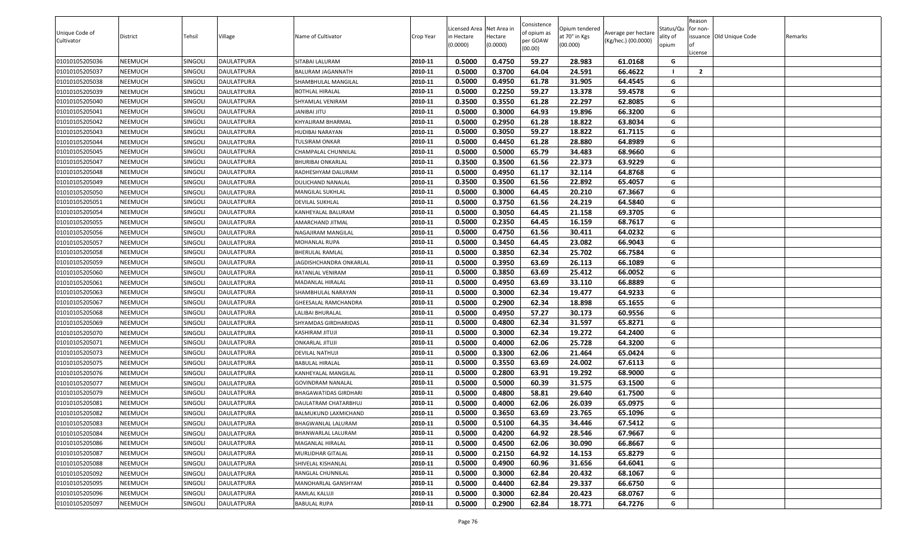| Unique Code of |                |                |                   |                              |           | Licensed Area Net Area in |                     | Consistence<br>of opium as | Opium tendered            | Average per hectare | Status/Qu         | Reason<br>for non- |                          |         |
|----------------|----------------|----------------|-------------------|------------------------------|-----------|---------------------------|---------------------|----------------------------|---------------------------|---------------------|-------------------|--------------------|--------------------------|---------|
| Cultivator     | District       | Tehsil         | Village           | Name of Cultivator           | Crop Year | n Hectare<br>(0.0000)     | Hectare<br>(0.0000) | per GOAW<br>(00.00)        | at 70° in Kgs<br>(00.000) | (Kg/hec.) (00.0000) | ality of<br>opium | License            | issuance Old Unique Code | Remarks |
| 01010105205036 | NEEMUCH        | SINGOLI        | <b>DAULATPURA</b> | SITABAI LALURAM              | 2010-11   | 0.5000                    | 0.4750              | 59.27                      | 28.983                    | 61.0168             | G                 |                    |                          |         |
| 01010105205037 | NEEMUCH        | SINGOLI        | <b>DAULATPURA</b> | <b>BALURAM JAGANNATH</b>     | 2010-11   | 0.5000                    | 0.3700              | 64.04                      | 24.591                    | 66.4622             |                   | $\overline{2}$     |                          |         |
| 01010105205038 | NEEMUCH        | SINGOLI        | DAULATPURA        | SHAMBHULAL MANGILAL          | 2010-11   | 0.5000                    | 0.4950              | 61.78                      | 31.905                    | 64.4545             | G                 |                    |                          |         |
| 01010105205039 | NEEMUCH        | SINGOLI        | DAULATPURA        | <b>BOTHLAL HIRALAL</b>       | 2010-11   | 0.5000                    | 0.2250              | 59.27                      | 13.378                    | 59.4578             | G                 |                    |                          |         |
| 01010105205040 | NEEMUCH        | singoli        | DAULATPURA        | SHYAMLAL VENIRAM             | 2010-11   | 0.3500                    | 0.3550              | 61.28                      | 22.297                    | 62.8085             | G                 |                    |                          |         |
| 01010105205041 | NEEMUCH        | SINGOLI        | DAULATPURA        | <b>JANIBAI JITU</b>          | 2010-11   | 0.5000                    | 0.3000              | 64.93                      | 19.896                    | 66.3200             | G                 |                    |                          |         |
| 01010105205042 | NEEMUCH        | SINGOLI        | DAULATPURA        | KHYALIRAM BHARMAL            | 2010-11   | 0.5000                    | 0.2950              | 61.28                      | 18.822                    | 63.8034             | G                 |                    |                          |         |
| 01010105205043 | NEEMUCH        | SINGOLI        | DAULATPURA        | HUDIBAI NARAYAN              | 2010-11   | 0.5000                    | 0.3050              | 59.27                      | 18.822                    | 61.7115             | G                 |                    |                          |         |
| 01010105205044 | NEEMUCH        | singoli        | DAULATPURA        | TULSIRAM ONKAR               | 2010-11   | 0.5000                    | 0.4450              | 61.28                      | 28.880                    | 64.8989             | G                 |                    |                          |         |
| 01010105205045 | NEEMUCH        | SINGOLI        | DAULATPURA        | CHAMPALAL CHUNNILAL          | 2010-11   | 0.5000                    | 0.5000              | 65.79                      | 34.483                    | 68.9660             | G                 |                    |                          |         |
| 01010105205047 | NEEMUCH        | singoli        | DAULATPURA        | <b>BHURIBAI ONKARLAL</b>     | 2010-11   | 0.3500                    | 0.3500              | 61.56                      | 22.373                    | 63.9229             | G                 |                    |                          |         |
| 01010105205048 | NEEMUCH        | SINGOLI        | DAULATPURA        | RADHESHYAM DALURAM           | 2010-11   | 0.5000                    | 0.4950              | 61.17                      | 32.114                    | 64.8768             | G                 |                    |                          |         |
| 01010105205049 | NEEMUCH        | Singoli        | <b>DAULATPURA</b> | DULICHAND NANALAL            | 2010-11   | 0.3500                    | 0.3500              | 61.56                      | 22.892                    | 65.4057             | G                 |                    |                          |         |
| 01010105205050 | NEEMUCH        | SINGOLI        | DAULATPURA        | MANGILAL SUKHLAL             | 2010-11   | 0.5000                    | 0.3000              | 64.45                      | 20.210                    | 67.3667             | G                 |                    |                          |         |
| 01010105205051 | NEEMUCH        | SINGOLI        | <b>DAULATPURA</b> | <b>DEVILAL SUKHLAL</b>       | 2010-11   | 0.5000                    | 0.3750              | 61.56                      | 24.219                    | 64.5840             | G                 |                    |                          |         |
| 01010105205054 | NEEMUCH        | SINGOLI        | DAULATPURA        | KANHEYALAL BALURAM           | 2010-11   | 0.5000                    | 0.3050              | 64.45                      | 21.158                    | 69.3705             | G                 |                    |                          |         |
| 01010105205055 | NEEMUCH        | singoli        | DAULATPURA        | AMARCHAND JITMAL             | 2010-11   | 0.5000                    | 0.2350              | 64.45                      | 16.159                    | 68.7617             | G                 |                    |                          |         |
| 01010105205056 | NEEMUCH        | SINGOLI        | DAULATPURA        | NAGAJIRAM MANGILAL           | 2010-11   | 0.5000                    | 0.4750              | 61.56                      | 30.411                    | 64.0232             | G                 |                    |                          |         |
| 01010105205057 | NEEMUCH        | singoli        | DAULATPURA        | MOHANLAL RUPA                | 2010-11   | 0.5000                    | 0.3450              | 64.45                      | 23.082                    | 66.9043             | G                 |                    |                          |         |
| 01010105205058 | NEEMUCH        | SINGOLI        | DAULATPURA        | <b>BHERULAL RAMLAL</b>       | 2010-11   | 0.5000                    | 0.3850              | 62.34                      | 25.702                    | 66.7584             | G                 |                    |                          |         |
| 01010105205059 | NEEMUCH        | SINGOLI        | DAULATPURA        | JAGDISHCHANDRA ONKARLAL      | 2010-11   | 0.5000                    | 0.3950              | 63.69                      | 26.113                    | 66.1089             | G                 |                    |                          |         |
| 01010105205060 | NEEMUCH        | SINGOLI        | DAULATPURA        | RATANLAL VENIRAM             | 2010-11   | 0.5000                    | 0.3850              | 63.69                      | 25.412                    | 66.0052             | G                 |                    |                          |         |
| 01010105205061 | NEEMUCH        | Singoli        | DAULATPURA        | MADANLAL HIRALAL             | 2010-11   | 0.5000                    | 0.4950              | 63.69                      | 33.110                    | 66.8889             | G                 |                    |                          |         |
| 01010105205063 | NEEMUCH        | SINGOLI        | DAULATPURA        | SHAMBHULAL NARAYAN           | 2010-11   | 0.5000                    | 0.3000              | 62.34                      | 19.477                    | 64.9233             | G                 |                    |                          |         |
| 01010105205067 | NEEMUCH        | Singoli        | DAULATPURA        | GHEESALAL RAMCHANDRA         | 2010-11   | 0.5000                    | 0.2900              | 62.34                      | 18.898                    | 65.1655             | G                 |                    |                          |         |
| 01010105205068 | NEEMUCH        | SINGOLI        | DAULATPURA        | LALIBAI BHURALAL             | 2010-11   | 0.5000                    | 0.4950              | 57.27                      | 30.173                    | 60.9556             | G                 |                    |                          |         |
| 01010105205069 | NEEMUCH        | <b>SINGOLI</b> | DAULATPURA        | SHYAMDAS GIRDHARIDAS         | 2010-11   | 0.5000                    | 0.4800              | 62.34                      | 31.597                    | 65.8271             | G                 |                    |                          |         |
| 01010105205070 | NEEMUCH        | SINGOLI        | DAULATPURA        | KASHIRAM JITUJI              | 2010-11   | 0.5000                    | 0.3000              | 62.34                      | 19.272                    | 64.2400             | G                 |                    |                          |         |
| 01010105205071 | NEEMUCH        | SINGOLI        | DAULATPURA        | <b>ONKARLAL JITUJI</b>       | 2010-11   | 0.5000                    | 0.4000              | 62.06                      | 25.728                    | 64.3200             | G                 |                    |                          |         |
| 01010105205073 | NEEMUCH        | SINGOLI        | DAULATPURA        | DEVILAL NATHUJI              | 2010-11   | 0.5000                    | 0.3300              | 62.06                      | 21.464                    | 65.0424             | G                 |                    |                          |         |
| 01010105205075 | NEEMUCH        | SINGOLI        | DAULATPURA        | <b>BABULAL HIRALAL</b>       | 2010-11   | 0.5000                    | 0.3550              | 63.69                      | 24.002                    | 67.6113             | G                 |                    |                          |         |
| 01010105205076 | NEEMUCH        | SINGOLI        | DAULATPURA        | KANHEYALAL MANGILAL          | 2010-11   | 0.5000                    | 0.2800              | 63.91                      | 19.292                    | 68.9000             | G                 |                    |                          |         |
| 01010105205077 | NEEMUCH        | SINGOLI        | DAULATPURA        | <b>GOVINDRAM NANALAL</b>     | 2010-11   | 0.5000                    | 0.5000              | 60.39                      | 31.575                    | 63.1500             | G                 |                    |                          |         |
| 01010105205079 | NEEMUCH        | SINGOLI        | DAULATPURA        | <b>BHAGAWATIDAS GIRDHARI</b> | 2010-11   | 0.5000                    | 0.4800              | 58.81                      | 29.640                    | 61.7500             | G                 |                    |                          |         |
| 01010105205081 | NEEMUCH        | SINGOLI        | DAULATPURA        | DAULATRAM CHATARBHUJ         | 2010-11   | 0.5000                    | 0.4000              | 62.06                      | 26.039                    | 65.0975             | G                 |                    |                          |         |
| 01010105205082 | <b>NEEMUCH</b> | SINGOLI        | <b>DAULATPURA</b> | <b>BALMUKUND LAXMICHAND</b>  | 2010-11   | 0.5000                    | 0.3650              | 63.69                      | 23.765                    | 65.1096             | G                 |                    |                          |         |
| 01010105205083 | NEEMUCH        | SINGOLI        | <b>DAULATPURA</b> | BHAGWANLAL LALURAM           | 2010-11   | 0.5000                    | 0.5100              | 64.35                      | 34.446                    | 67.5412             | G                 |                    |                          |         |
| 01010105205084 | NEEMUCH        | SINGOLI        | DAULATPURA        | BHANWARLAL LALURAM           | 2010-11   | 0.5000                    | 0.4200              | 64.92                      | 28.546                    | 67.9667             | G                 |                    |                          |         |
| 01010105205086 | NEEMUCH        | SINGOLI        | <b>DAULATPURA</b> | MAGANLAL HIRALAL             | 2010-11   | 0.5000                    | 0.4500              | 62.06                      | 30.090                    | 66.8667             | G                 |                    |                          |         |
| 01010105205087 | NEEMUCH        | SINGOLI        | DAULATPURA        | MURLIDHAR GITALAL            | 2010-11   | 0.5000                    | 0.2150              | 64.92                      | 14.153                    | 65.8279             | G                 |                    |                          |         |
| 01010105205088 | NEEMUCH        | SINGOLI        | DAULATPURA        | SHIVELAL KISHANLAL           | 2010-11   | 0.5000                    | 0.4900              | 60.96                      | 31.656                    | 64.6041             | G                 |                    |                          |         |
| 01010105205092 | NEEMUCH        | SINGOLI        | DAULATPURA        | RANGLAL CHUNNILAL            | 2010-11   | 0.5000                    | 0.3000              | 62.84                      | 20.432                    | 68.1067             | G                 |                    |                          |         |
| 01010105205095 | NEEMUCH        | SINGOLI        | DAULATPURA        | MANOHARLAL GANSHYAM          | 2010-11   | 0.5000                    | 0.4400              | 62.84                      | 29.337                    | 66.6750             | G                 |                    |                          |         |
| 01010105205096 | NEEMUCH        | SINGOLI        | DAULATPURA        | RAMLAL KALUJI                | 2010-11   | 0.5000                    | 0.3000              | 62.84                      | 20.423                    | 68.0767             | G                 |                    |                          |         |
| 01010105205097 | <b>NEEMUCH</b> | SINGOLI        | DAULATPURA        | <b>BABULAL RUPA</b>          | 2010-11   | 0.5000                    | 0.2900              | 62.84                      | 18.771                    | 64.7276             | G                 |                    |                          |         |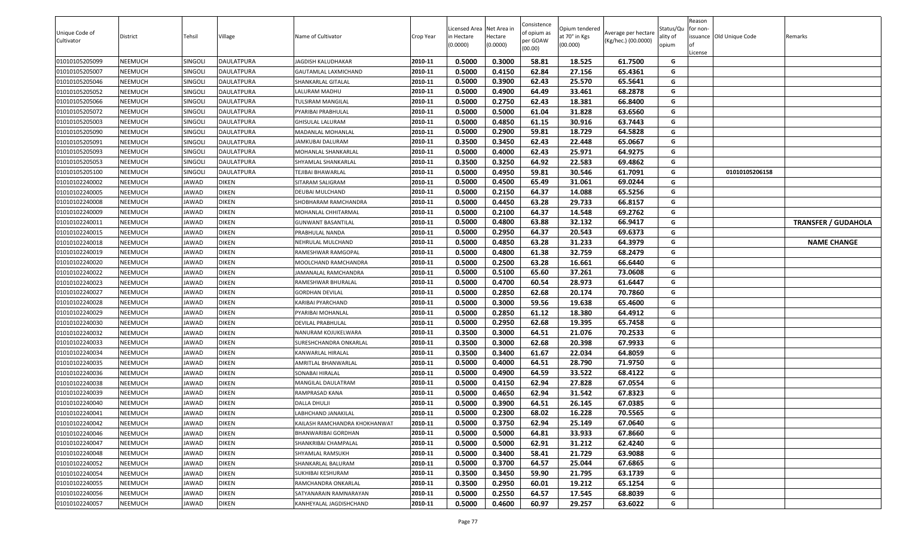| Unique Code of<br>Cultivator | District | Tehsil         | Village           | Name of Cultivator            | Crop Year | Licensed Area Net Area in<br>in Hectare<br>(0.0000) | lectare<br>(0.0000) | Consistence<br>of opium as<br>oer GOAW<br>(00.00) | Opium tendered<br>at 70° in Kgs<br>(00.000) | Average per hectare<br>(Kg/hec.) (00.0000) | Status/Qu<br>ality of<br>opium | Reason<br>for non-<br>issuance Old Unique Code<br>.icense | Remarks                    |
|------------------------------|----------|----------------|-------------------|-------------------------------|-----------|-----------------------------------------------------|---------------------|---------------------------------------------------|---------------------------------------------|--------------------------------------------|--------------------------------|-----------------------------------------------------------|----------------------------|
| 01010105205099               | NEEMUCH  | SINGOLI        | DAULATPURA        | JAGDISH KALUDHAKAR            | 2010-11   | 0.5000                                              | 0.3000              | 58.81                                             | 18.525                                      | 61.7500                                    | G                              |                                                           |                            |
| 01010105205007               | NEEMUCH  | SINGOLI        | <b>DAULATPURA</b> | GAUTAMLAL LAXMICHAND          | 2010-11   | 0.5000                                              | 0.4150              | 62.84                                             | 27.156                                      | 65.4361                                    | G                              |                                                           |                            |
| 01010105205046               | NEEMUCH  | SINGOLI        | <b>DAULATPURA</b> | SHANKARLAL GITALAL            | 2010-11   | 0.5000                                              | 0.3900              | 62.43                                             | 25.570                                      | 65.5641                                    | G                              |                                                           |                            |
| 01010105205052               | NEEMUCH  | SINGOLI        | DAULATPURA        | ALURAM MADHU                  | 2010-11   | 0.5000                                              | 0.4900              | 64.49                                             | 33.461                                      | 68.2878                                    | G                              |                                                           |                            |
| 01010105205066               | NEEMUCH  | <b>SINGOLI</b> | DAULATPURA        | TULSIRAM MANGILAL             | 2010-11   | 0.5000                                              | 0.2750              | 62.43                                             | 18.381                                      | 66.8400                                    | G                              |                                                           |                            |
| 01010105205072               | NEEMUCH  | SINGOLI        | <b>DAULATPURA</b> | PYARIBAI PRABHULAL            | 2010-11   | 0.5000                                              | 0.5000              | 61.04                                             | 31.828                                      | 63.6560                                    | G                              |                                                           |                            |
| 01010105205003               | NEEMUCH  | SINGOLI        | DAULATPURA        | <b>GHISULAL LALURAM</b>       | 2010-11   | 0.5000                                              | 0.4850              | 61.15                                             | 30.916                                      | 63.7443                                    | G                              |                                                           |                            |
| 01010105205090               | NEEMUCH  | <b>SINGOLI</b> | DAULATPURA        | MADANLAL MOHANLAL             | 2010-11   | 0.5000                                              | 0.2900              | 59.81                                             | 18.729                                      | 64.5828                                    | G                              |                                                           |                            |
| 01010105205091               | NEEMUCH  | SINGOLI        | DAULATPURA        | JAMKUBAI DALURAM              | 2010-11   | 0.3500                                              | 0.3450              | 62.43                                             | 22.448                                      | 65.0667                                    | G                              |                                                           |                            |
| 01010105205093               | NEEMUCH  | SINGOLI        | DAULATPURA        | MOHANLAL SHANKARLAL           | 2010-11   | 0.5000                                              | 0.4000              | 62.43                                             | 25.971                                      | 64.9275                                    | G                              |                                                           |                            |
| 01010105205053               | NEEMUCH  | SINGOLI        | DAULATPURA        | SHYAMLAL SHANKARLAL           | 2010-11   | 0.3500                                              | 0.3250              | 64.92                                             | 22.583                                      | 69.4862                                    | G                              |                                                           |                            |
| 01010105205100               | NEEMUCH  | <b>SINGOLI</b> | DAULATPURA        | TEJIBAI BHAWARLAL             | 2010-11   | 0.5000                                              | 0.4950              | 59.81                                             | 30.546                                      | 61.7091                                    | G                              | 01010105206158                                            |                            |
| 01010102240002               | NEEMUCH  | JAWAD          | <b>DIKEN</b>      | SITARAM SALIGRAM              | 2010-11   | 0.5000                                              | 0.4500              | 65.49                                             | 31.061                                      | 69.0244                                    | G                              |                                                           |                            |
| 01010102240005               | NEEMUCH  | JAWAD          | <b>DIKEN</b>      | DEUBAI MULCHAND               | 2010-11   | 0.5000                                              | 0.2150              | 64.37                                             | 14.088                                      | 65.5256                                    | G                              |                                                           |                            |
| 01010102240008               | NEEMUCH  | JAWAD          | <b>DIKEN</b>      | SHOBHARAM RAMCHANDRA          | 2010-11   | 0.5000                                              | 0.4450              | 63.28                                             | 29.733                                      | 66.8157                                    | G                              |                                                           |                            |
| 01010102240009               | NEEMUCH  | JAWAD          | <b>DIKEN</b>      | MOHANLAL CHHITARMAL           | 2010-11   | 0.5000                                              | 0.2100              | 64.37                                             | 14.548                                      | 69.2762                                    | G                              |                                                           |                            |
| 01010102240011               | NEEMUCH  | JAWAD          | <b>DIKEN</b>      | GUNWANT BASANTILAL            | 2010-11   | 0.5000                                              | 0.4800              | 63.88                                             | 32.132                                      | 66.9417                                    | G                              |                                                           | <b>TRANSFER / GUDAHOLA</b> |
| 01010102240015               | NEEMUCH  | JAWAD          | <b>DIKEN</b>      | PRABHULAL NANDA               | 2010-11   | 0.5000                                              | 0.2950              | 64.37                                             | 20.543                                      | 69.6373                                    | G                              |                                                           |                            |
| 01010102240018               | NEEMUCH  | JAWAD          | <b>DIKEN</b>      | NEHRULAL MULCHAND             | 2010-11   | 0.5000                                              | 0.4850              | 63.28                                             | 31.233                                      | 64.3979                                    | G                              |                                                           | <b>NAME CHANGE</b>         |
| 01010102240019               | NEEMUCH  | JAWAD          | <b>DIKEN</b>      | RAMESHWAR RAMGOPAL            | 2010-11   | 0.5000                                              | 0.4800              | 61.38                                             | 32.759                                      | 68.2479                                    | G                              |                                                           |                            |
| 01010102240020               | NEEMUCH  | JAWAD          | <b>DIKEN</b>      | MOOLCHAND RAMCHANDRA          | 2010-11   | 0.5000                                              | 0.2500              | 63.28                                             | 16.661                                      | 66.6440                                    | G                              |                                                           |                            |
| 01010102240022               | NEEMUCH  | JAWAD          | <b>DIKEN</b>      | JAMANALAL RAMCHANDRA          | 2010-11   | 0.5000                                              | 0.5100              | 65.60                                             | 37.261                                      | 73.0608                                    | G                              |                                                           |                            |
| 01010102240023               | NEEMUCH  | JAWAD          | <b>DIKEN</b>      | RAMESHWAR BHURALAL            | 2010-11   | 0.5000                                              | 0.4700              | 60.54                                             | 28.973                                      | 61.6447                                    | G                              |                                                           |                            |
| 01010102240027               | NEEMUCH  | JAWAD          | <b>DIKEN</b>      | <b>GORDHAN DEVILAL</b>        | 2010-11   | 0.5000                                              | 0.2850              | 62.68                                             | 20.174                                      | 70.7860                                    | G                              |                                                           |                            |
| 01010102240028               | NEEMUCH  | JAWAD          | <b>DIKEN</b>      | KARIBAI PYARCHAND             | 2010-11   | 0.5000                                              | 0.3000              | 59.56                                             | 19.638                                      | 65.4600                                    | G                              |                                                           |                            |
| 01010102240029               | NEEMUCH  | JAWAD          | <b>DIKEN</b>      | PYARIBAI MOHANLAL             | 2010-11   | 0.5000                                              | 0.2850              | 61.12                                             | 18.380                                      | 64.4912                                    | G                              |                                                           |                            |
| 01010102240030               | NEEMUCH  | JAWAD          | <b>DIKEN</b>      | DEVILAL PRABHULAL             | 2010-11   | 0.5000                                              | 0.2950              | 62.68                                             | 19.395                                      | 65.7458                                    | G                              |                                                           |                            |
| 01010102240032               | NEEMUCH  | JAWAD          | <b>DIKEN</b>      | NANURAM KOJUKELWARA           | 2010-11   | 0.3500                                              | 0.3000              | 64.51                                             | 21.076                                      | 70.2533                                    | G                              |                                                           |                            |
| 01010102240033               | NEEMUCH  | JAWAD          | <b>DIKEN</b>      | SURESHCHANDRA ONKARLAL        | 2010-11   | 0.3500                                              | 0.3000              | 62.68                                             | 20.398                                      | 67.9933                                    | G                              |                                                           |                            |
| 01010102240034               | NEEMUCH  | JAWAD          | <b>DIKEN</b>      | KANWARLAL HIRALAL             | 2010-11   | 0.3500                                              | 0.3400              | 61.67                                             | 22.034                                      | 64.8059                                    | G                              |                                                           |                            |
| 01010102240035               | NEEMUCH  | JAWAD          | <b>DIKEN</b>      | AMRITLAL BHANWARLAL           | 2010-11   | 0.5000                                              | 0.4000              | 64.51                                             | 28.790                                      | 71.9750                                    | G                              |                                                           |                            |
| 01010102240036               | NEEMUCH  | JAWAD          | <b>DIKEN</b>      | SONABAI HIRALAL               | 2010-11   | 0.5000                                              | 0.4900              | 64.59                                             | 33.522                                      | 68.4122                                    | G                              |                                                           |                            |
| 01010102240038               | NEEMUCH  | JAWAD          | <b>DIKEN</b>      | MANGILAL DAULATRAM            | 2010-11   | 0.5000                                              | 0.4150              | 62.94                                             | 27.828                                      | 67.0554                                    | G                              |                                                           |                            |
| 01010102240039               | NEEMUCH  | JAWAD          | <b>DIKEN</b>      | RAMPRASAD KANA                | 2010-11   | 0.5000                                              | 0.4650              | 62.94                                             | 31.542                                      | 67.8323                                    | G                              |                                                           |                            |
| 01010102240040               | NEEMUCH  | JAWAD          | <b>DIKEN</b>      | DALLA DHULJI                  | 2010-11   | 0.5000                                              | 0.3900              | 64.51                                             | 26.145                                      | 67.0385                                    | G                              |                                                           |                            |
| 01010102240041               | NEEMUCH  | JAWAD          | <b>DIKEN</b>      | LABHCHAND JANAKILAL           | 2010-11   | 0.5000                                              | 0.2300              | 68.02                                             | 16.228                                      | 70.5565                                    | G                              |                                                           |                            |
| 01010102240042               | NEEMUCH  | JAWAD          | <b>DIKEN</b>      | KAILASH RAMCHANDRA KHOKHANWAT | 2010-11   | 0.5000                                              | 0.3750              | 62.94                                             | 25.149                                      | 67.0640                                    | G                              |                                                           |                            |
| 01010102240046               | NEEMUCH  | JAWAD          | <b>DIKEN</b>      | BHANWARIBAI GORDHAN           | 2010-11   | 0.5000                                              | 0.5000              | 64.81                                             | 33.933                                      | 67.8660                                    | G                              |                                                           |                            |
| 01010102240047               | NEEMUCH  | JAWAD          | <b>DIKEN</b>      | SHANKRIBAI CHAMPALAL          | 2010-11   | 0.5000                                              | 0.5000              | 62.91                                             | 31.212                                      | 62.4240                                    | G                              |                                                           |                            |
| 01010102240048               | NEEMUCH  | JAWAD          | <b>DIKEN</b>      | SHYAMLAL RAMSUKH              | 2010-11   | 0.5000                                              | 0.3400              | 58.41                                             | 21.729                                      | 63.9088                                    | G                              |                                                           |                            |
| 01010102240052               | NEEMUCH  | JAWAD          | <b>DIKEN</b>      | SHANKARLAL BALURAM            | 2010-11   | 0.5000                                              | 0.3700              | 64.57                                             | 25.044                                      | 67.6865                                    | G                              |                                                           |                            |
| 01010102240054               | NEEMUCH  | JAWAD          | <b>DIKEN</b>      | SUKHIBAI KESHURAM             | 2010-11   | 0.3500                                              | 0.3450              | 59.90                                             | 21.795                                      | 63.1739                                    | G                              |                                                           |                            |
| 01010102240055               | NEEMUCH  | JAWAD          | <b>DIKEN</b>      | RAMCHANDRA ONKARLAL           | 2010-11   | 0.3500                                              | 0.2950              | 60.01                                             | 19.212                                      | 65.1254                                    | G                              |                                                           |                            |
| 01010102240056               | NEEMUCH  | JAWAD          | <b>DIKEN</b>      | SATYANARAIN RAMNARAYAN        | 2010-11   | 0.5000                                              | 0.2550              | 64.57                                             | 17.545                                      | 68.8039                                    | G                              |                                                           |                            |
| 01010102240057               | NEEMUCH  | JAWAD          | <b>DIKEN</b>      | KANHEYALAL JAGDISHCHAND       | 2010-11   | 0.5000                                              | 0.4600              | 60.97                                             | 29.257                                      | 63.6022                                    | G                              |                                                           |                            |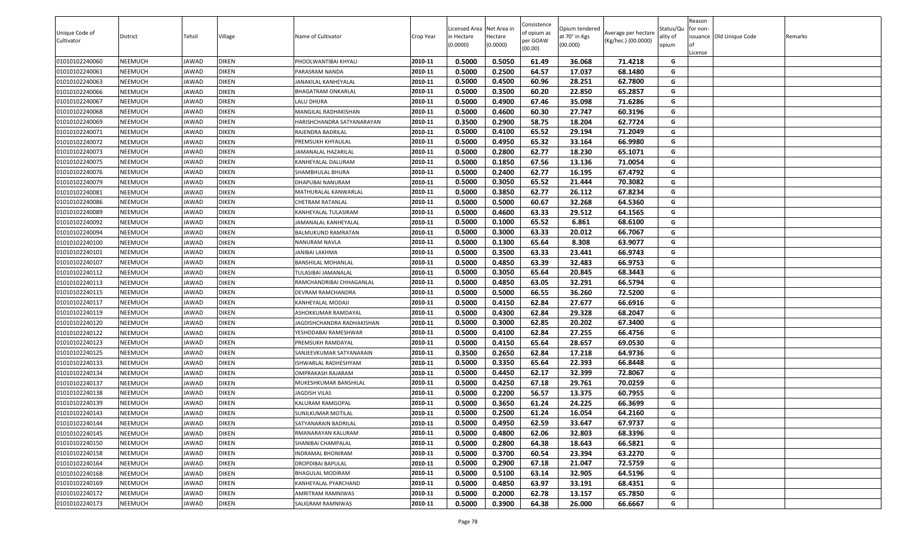| Unique Code of<br>Cultivator | <b>District</b> | Tehsil | Village      | Name of Cultivator         | Crop Year | Licensed Area Net Area in<br>in Hectare<br>(0.0000) | lectare<br>(0.0000) | Consistence<br>of opium as<br>oer GOAW<br>(00.00) | Opium tendered<br>at 70° in Kgs<br>(00.000) | Average per hectare<br>(Kg/hec.) (00.0000) | Status/Qu<br>ality of<br>opium | Reason<br>for non-<br>issuance Old Unique Code<br>.icense | Remarks |
|------------------------------|-----------------|--------|--------------|----------------------------|-----------|-----------------------------------------------------|---------------------|---------------------------------------------------|---------------------------------------------|--------------------------------------------|--------------------------------|-----------------------------------------------------------|---------|
| 01010102240060               | NEEMUCH         | JAWAD  | <b>DIKEN</b> | PHOOLWANTIBAI KHYALI       | 2010-11   | 0.5000                                              | 0.5050              | 61.49                                             | 36.068                                      | 71.4218                                    | G                              |                                                           |         |
| 01010102240061               | NEEMUCH         | JAWAD  | <b>DIKEN</b> | PARASRAM NANDA             | 2010-11   | 0.5000                                              | 0.2500              | 64.57                                             | 17.037                                      | 68.1480                                    | G                              |                                                           |         |
| 01010102240063               | NEEMUCH         | JAWAD  | <b>DIKEN</b> | JANAKILAL KANHEYALAL       | 2010-11   | 0.5000                                              | 0.4500              | 60.96                                             | 28.251                                      | 62.7800                                    | G                              |                                                           |         |
| 01010102240066               | NEEMUCH         | JAWAD  | <b>DIKEN</b> | BHAGATRAM ONKARLAL         | 2010-11   | 0.5000                                              | 0.3500              | 60.20                                             | 22.850                                      | 65.2857                                    | G                              |                                                           |         |
| 01010102240067               | NEEMUCH         | JAWAD  | <b>DIKEN</b> | LALU DHURA                 | 2010-11   | 0.5000                                              | 0.4900              | 67.46                                             | 35.098                                      | 71.6286                                    | G                              |                                                           |         |
| 01010102240068               | NEEMUCH         | JAWAD  | <b>DIKEN</b> | MANGILAL RADHAKISHAN       | 2010-11   | 0.5000                                              | 0.4600              | 60.30                                             | 27.747                                      | 60.3196                                    | G                              |                                                           |         |
| 01010102240069               | NEEMUCH         | JAWAD  | <b>DIKEN</b> | HARISHCHANDRA SATYANARAYAN | 2010-11   | 0.3500                                              | 0.2900              | 58.75                                             | 18.204                                      | 62.7724                                    | G                              |                                                           |         |
| 01010102240071               | NEEMUCH         | JAWAD  | <b>DIKEN</b> | RAJENDRA BADRILAL          | 2010-11   | 0.5000                                              | 0.4100              | 65.52                                             | 29.194                                      | 71.2049                                    | G                              |                                                           |         |
| 01010102240072               | NEEMUCH         | JAWAD  | <b>DIKEN</b> | PREMSUKH KHYALILAL         | 2010-11   | 0.5000                                              | 0.4950              | 65.32                                             | 33.164                                      | 66.9980                                    | G                              |                                                           |         |
| 01010102240073               | NEEMUCH         | JAWAD  | <b>DIKEN</b> | <b>JAMANALAL HAZARILAL</b> | 2010-11   | 0.5000                                              | 0.2800              | 62.77                                             | 18.230                                      | 65.1071                                    | G                              |                                                           |         |
| 01010102240075               | NEEMUCH         | JAWAD  | <b>DIKEN</b> | KANHEYALAL DALURAM         | 2010-11   | 0.5000                                              | 0.1850              | 67.56                                             | 13.136                                      | 71.0054                                    | G                              |                                                           |         |
| 01010102240076               | NEEMUCH         | JAWAD  | <b>DIKEN</b> | SHAMBHULAL BHURA           | 2010-11   | 0.5000                                              | 0.2400              | 62.77                                             | 16.195                                      | 67.4792                                    | G                              |                                                           |         |
| 01010102240079               | NEEMUCH         | JAWAD  | <b>DIKEN</b> | DHAPUBAI NANURAM           | 2010-11   | 0.5000                                              | 0.3050              | 65.52                                             | 21.444                                      | 70.3082                                    | G                              |                                                           |         |
| 01010102240081               | NEEMUCH         | JAWAD  | <b>DIKEN</b> | MATHURALAL KANWARLAL       | 2010-11   | 0.5000                                              | 0.3850              | 62.77                                             | 26.112                                      | 67.8234                                    | G                              |                                                           |         |
| 01010102240086               | NEEMUCH         | JAWAD  | <b>DIKEN</b> | CHETRAM RATANLAL           | 2010-11   | 0.5000                                              | 0.5000              | 60.67                                             | 32.268                                      | 64.5360                                    | G                              |                                                           |         |
| 01010102240089               | NEEMUCH         | JAWAD  | <b>DIKEN</b> | KANHEYALAL TULASIRAM       | 2010-11   | 0.5000                                              | 0.4600              | 63.33                                             | 29.512                                      | 64.1565                                    | G                              |                                                           |         |
| 01010102240092               | NEEMUCH         | JAWAD  | <b>DIKEN</b> | IAMANALAL KANHEYALAL       | 2010-11   | 0.5000                                              | 0.1000              | 65.52                                             | 6.861                                       | 68.6100                                    | G                              |                                                           |         |
| 01010102240094               | NEEMUCH         | JAWAD  | <b>DIKEN</b> | BALMUKUND RAMRATAN         | 2010-11   | 0.5000                                              | 0.3000              | 63.33                                             | 20.012                                      | 66.7067                                    | G                              |                                                           |         |
| 01010102240100               | NEEMUCH         | JAWAD  | <b>DIKEN</b> | NANURAM NAVLA              | 2010-11   | 0.5000                                              | 0.1300              | 65.64                                             | 8.308                                       | 63.9077                                    | G                              |                                                           |         |
| 01010102240101               | NEEMUCH         | JAWAD  | <b>DIKEN</b> | JANIBAI LAKHMA             | 2010-11   | 0.5000                                              | 0.3500              | 63.33                                             | 23.441                                      | 66.9743                                    | G                              |                                                           |         |
| 01010102240107               | NEEMUCH         | JAWAD  | <b>DIKEN</b> | BANSHILAL MOHANLAL         | 2010-11   | 0.5000                                              | 0.4850              | 63.39                                             | 32.483                                      | 66.9753                                    | G                              |                                                           |         |
| 01010102240112               | NEEMUCH         | JAWAD  | <b>DIKEN</b> | TULASIBAI JAMANALAL        | 2010-11   | 0.5000                                              | 0.3050              | 65.64                                             | 20.845                                      | 68.3443                                    | G                              |                                                           |         |
| 01010102240113               | NEEMUCH         | JAWAD  | <b>DIKEN</b> | RAMCHANDRIBAI CHHAGANLAL   | 2010-11   | 0.5000                                              | 0.4850              | 63.05                                             | 32.291                                      | 66.5794                                    | G                              |                                                           |         |
| 01010102240115               | NEEMUCH         | JAWAD  | <b>DIKEN</b> | DEVRAM RAMCHANDRA          | 2010-11   | 0.5000                                              | 0.5000              | 66.55                                             | 36.260                                      | 72.5200                                    | G                              |                                                           |         |
| 01010102240117               | NEEMUCH         | JAWAD  | <b>DIKEN</b> | KANHEYALAL MODAJI          | 2010-11   | 0.5000                                              | 0.4150              | 62.84                                             | 27.677                                      | 66.6916                                    | G                              |                                                           |         |
| 01010102240119               | NEEMUCH         | JAWAD  | <b>DIKEN</b> | ASHOKKUMAR RAMDAYAL        | 2010-11   | 0.5000                                              | 0.4300              | 62.84                                             | 29.328                                      | 68.2047                                    | G                              |                                                           |         |
| 01010102240120               | NEEMUCH         | JAWAD  | <b>DIKEN</b> | IAGDISHCHANDRA RADHAKISHAN | 2010-11   | 0.5000                                              | 0.3000              | 62.85                                             | 20.202                                      | 67.3400                                    | G                              |                                                           |         |
| 01010102240122               | NEEMUCH         | JAWAD  | <b>DIKEN</b> | YESHODABAI RAMESHWAR       | 2010-11   | 0.5000                                              | 0.4100              | 62.84                                             | 27.255                                      | 66.4756                                    | G                              |                                                           |         |
| 01010102240123               | NEEMUCH         | JAWAD  | <b>DIKEN</b> | PREMSUKH RAMDAYAL          | 2010-11   | 0.5000                                              | 0.4150              | 65.64                                             | 28.657                                      | 69.0530                                    | G                              |                                                           |         |
| 01010102240125               | NEEMUCH         | JAWAD  | <b>DIKEN</b> | SANJEEVKUMAR SATYANARAIN   | 2010-11   | 0.3500                                              | 0.2650              | 62.84                                             | 17.218                                      | 64.9736                                    | G                              |                                                           |         |
| 01010102240133               | NEEMUCH         | JAWAD  | <b>DIKEN</b> | <b>SHWARLAL RADHESHYAM</b> | 2010-11   | 0.5000                                              | 0.3350              | 65.64                                             | 22.393                                      | 66.8448                                    | G                              |                                                           |         |
| 01010102240134               | NEEMUCH         | JAWAD  | <b>DIKEN</b> | OMPRAKASH RAJARAM          | 2010-11   | 0.5000                                              | 0.4450              | 62.17                                             | 32.399                                      | 72.8067                                    | G                              |                                                           |         |
| 01010102240137               | NEEMUCH         | JAWAD  | <b>DIKEN</b> | MUKESHKUMAR BANSHILAL      | 2010-11   | 0.5000                                              | 0.4250              | 67.18                                             | 29.761                                      | 70.0259                                    | G                              |                                                           |         |
| 01010102240138               | NEEMUCH         | JAWAD  | <b>DIKEN</b> | <b>JAGDISH VILAS</b>       | 2010-11   | 0.5000                                              | 0.2200              | 56.57                                             | 13.375                                      | 60.7955                                    | G                              |                                                           |         |
| 01010102240139               | NEEMUCH         | JAWAD  | <b>DIKEN</b> | KALURAM RAMGOPAL           | 2010-11   | 0.5000                                              | 0.3650              | 61.24                                             | 24.225                                      | 66.3699                                    | G                              |                                                           |         |
| 01010102240143               | NEEMUCH         | JAWAD  | <b>DIKEN</b> | SUNILKUMAR MOTILAL         | 2010-11   | 0.5000                                              | 0.2500              | 61.24                                             | 16.054                                      | 64.2160                                    | G                              |                                                           |         |
| 01010102240144               | NEEMUCH         | JAWAD  | <b>DIKEN</b> | SATYANARAIN BADRILAL       | 2010-11   | 0.5000                                              | 0.4950              | 62.59                                             | 33.647                                      | 67.9737                                    | G                              |                                                           |         |
| 01010102240145               | NEEMUCH         | JAWAD  | <b>DIKEN</b> | RMANARAYAN KALURAM         | 2010-11   | 0.5000                                              | 0.4800              | 62.06                                             | 32.803                                      | 68.3396                                    | G                              |                                                           |         |
| 01010102240150               | NEEMUCH         | JAWAD  | <b>DIKEN</b> | SHANIBAI CHAMPALAL         | 2010-11   | 0.5000                                              | 0.2800              | 64.38                                             | 18.643                                      | 66.5821                                    | G                              |                                                           |         |
| 01010102240158               | NEEMUCH         | JAWAD  | <b>DIKEN</b> | INDRAMAL BHONIRAM          | 2010-11   | 0.5000                                              | 0.3700              | 60.54                                             | 23.394                                      | 63.2270                                    | G                              |                                                           |         |
| 01010102240164               | NEEMUCH         | JAWAD  | <b>DIKEN</b> | DROPDIBAI BAPULAL          | 2010-11   | 0.5000                                              | 0.2900              | 67.18                                             | 21.047                                      | 72.5759                                    | G                              |                                                           |         |
| 01010102240168               | NEEMUCH         | JAWAD  | <b>DIKEN</b> | BHAGULAL MODIRAM           | 2010-11   | 0.5000                                              | 0.5100              | 63.14                                             | 32.905                                      | 64.5196                                    | G                              |                                                           |         |
| 01010102240169               | NEEMUCH         | JAWAD  | <b>DIKEN</b> | KANHEYALAL PYARCHAND       | 2010-11   | 0.5000                                              | 0.4850              | 63.97                                             | 33.191                                      | 68.4351                                    | G                              |                                                           |         |
| 01010102240172               | NEEMUCH         | JAWAD  | <b>DIKEN</b> | AMRITRAM RAMNIWAS          | 2010-11   | 0.5000                                              | 0.2000              | 62.78                                             | 13.157                                      | 65.7850                                    | G                              |                                                           |         |
| 01010102240173               | NEEMUCH         | JAWAD  | <b>DIKEN</b> | SALIGRAM RAMNIWAS          | 2010-11   | 0.5000                                              | 0.3900              | 64.38                                             | 26.000                                      | 66.6667                                    | G                              |                                                           |         |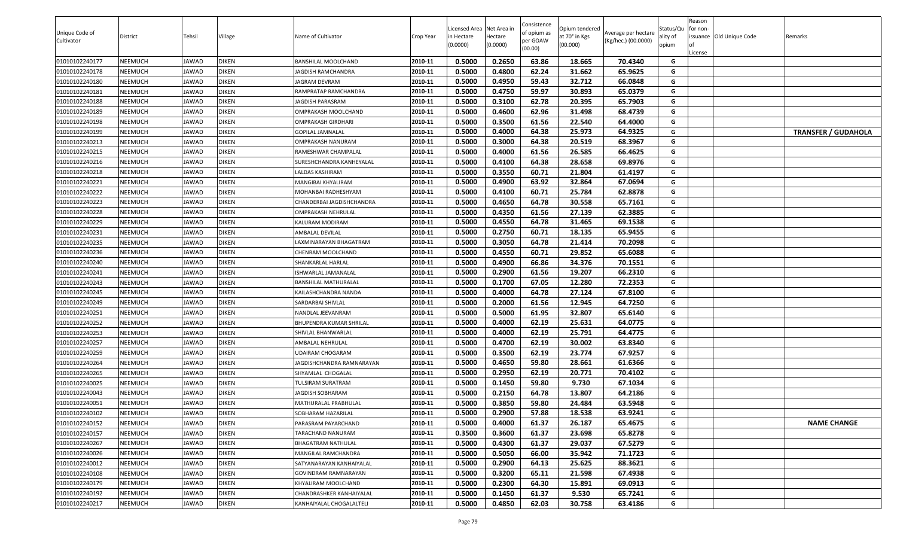| Consistence<br>Licensed Area Net Area in<br>Status/Qu<br>Opium tendered<br>for non-<br>Unique Code of<br>of opium as<br>Average per hectare<br>Village<br>Name of Cultivator<br>at 70° in Kgs<br>issuance Old Unique Code<br>District<br>Tehsil<br>Crop Year<br>n Hectare<br>Hectare<br>ality of<br>per GOAW<br>(Kg/hec.) (00.0000)<br>Cultivator<br>(0.0000)<br>(00.000)<br>(0.0000)<br>opium<br>(00.00)<br>License | Remarks                    |
|----------------------------------------------------------------------------------------------------------------------------------------------------------------------------------------------------------------------------------------------------------------------------------------------------------------------------------------------------------------------------------------------------------------------|----------------------------|
| 0.5000<br>0.2650<br>63.86<br>70.4340<br>01010102240177<br>NEEMUCH<br><b>DIKEN</b><br>2010-11<br>18.665<br>JAWAD<br>BANSHILAL MOOLCHAND<br>G                                                                                                                                                                                                                                                                          |                            |
| 0.5000<br>01010102240178<br><b>DIKEN</b><br>2010-11<br>0.4800<br>62.24<br>31.662<br>65.9625<br>NEEMUCH<br>G<br>JAWAD<br><b>JAGDISH RAMCHANDRA</b>                                                                                                                                                                                                                                                                    |                            |
| 2010-11<br>0.5000<br>0.4950<br>59.43<br>32.712<br>66.0848<br>01010102240180<br>NEEMUCH<br><b>DIKEN</b><br><b>JAGRAM DEVRAM</b><br>G<br>JAWAD                                                                                                                                                                                                                                                                         |                            |
| 2010-11<br>0.5000<br>0.4750<br>59.97<br>65.0379<br>G<br>NEEMUCH<br><b>DIKEN</b><br>RAMPRATAP RAMCHANDRA<br>30.893<br>01010102240181<br>JAWAD                                                                                                                                                                                                                                                                         |                            |
| <b>DIKEN</b><br>2010-11<br>0.5000<br>0.3100<br>62.78<br>20.395<br>G<br>01010102240188<br>NEEMUCH<br>JAWAD<br><b>JAGDISH PARASRAM</b><br>65.7903                                                                                                                                                                                                                                                                      |                            |
| 0.5000<br>62.96<br>NEEMUCH<br><b>DIKEN</b><br>2010-11<br>0.4600<br>31.498<br>68.4739<br>G<br>01010102240189<br>JAWAD<br>OMPRAKASH MOOLCHAND                                                                                                                                                                                                                                                                          |                            |
| <b>DIKEN</b><br>0.5000<br>0.3500<br>61.56<br>22.540<br>64.4000<br>01010102240198<br>NEEMUCH<br>JAWAD<br>2010-11<br>G<br><b>OMPRAKASH GIRDHARI</b>                                                                                                                                                                                                                                                                    |                            |
| <b>DIKEN</b><br>0.5000<br>0.4000<br>64.38<br>25.973<br>64.9325<br>01010102240199<br>NEEMUCH<br>2010-11<br>G<br>JAWAD<br>GOPILAL JAMNALAL                                                                                                                                                                                                                                                                             | <b>TRANSFER / GUDAHOLA</b> |
| 01010102240213<br>0.5000<br>0.3000<br>64.38<br>20.519<br>NEEMUCH<br>JAWAD<br><b>DIKEN</b><br>2010-11<br>68.3967<br>G<br>OMPRAKASH NANURAM                                                                                                                                                                                                                                                                            |                            |
| 0.5000<br>01010102240215<br><b>DIKEN</b><br>2010-11<br>0.4000<br>61.56<br>26.585<br>66.4625<br>NEEMUCH<br>G<br>JAWAD<br>RAMESHWAR CHAMPALAL                                                                                                                                                                                                                                                                          |                            |
| <b>DIKEN</b><br>0.5000<br>0.4100<br>64.38<br>28.658<br>69.8976<br>01010102240216<br>NEEMUCH<br>JAWAD<br>2010-11<br>G<br>SURESHCHANDRA KANHEYALAL                                                                                                                                                                                                                                                                     |                            |
| 0.5000<br>0.3550<br>60.71<br>G<br><b>DIKEN</b><br>21.804<br>61.4197<br>01010102240218<br>NEEMUCH<br>JAWAD<br>LALDAS KASHIRAM<br>2010-11                                                                                                                                                                                                                                                                              |                            |
| 0.5000<br>0.4900<br>63.92<br>32.864<br>67.0694<br>01010102240221<br>NEEMUCH<br><b>DIKEN</b><br>2010-11<br>G<br>JAWAD<br>MANGIBAI KHYALIRAM                                                                                                                                                                                                                                                                           |                            |
| 0.5000<br>0.4100<br>60.71<br>25.784<br>62.8878<br><b>DIKEN</b><br>2010-11<br>G<br>01010102240222<br>NEEMUCH<br>JAWAD<br>MOHANBAI RADHESHYAM                                                                                                                                                                                                                                                                          |                            |
| 0.5000<br>01010102240223<br>NEEMUCH<br><b>DIKEN</b><br>2010-11<br>0.4650<br>64.78<br>30.558<br>65.7161<br>G<br>JAWAD<br>CHANDERBAI JAGDISHCHANDRA                                                                                                                                                                                                                                                                    |                            |
| <b>DIKEN</b><br>2010-11<br>0.5000<br>0.4350<br>G<br>01010102240228<br>NEEMUCH<br>JAWAD<br>OMPRAKASH NEHRULAL<br>61.56<br>27.139<br>62.3885                                                                                                                                                                                                                                                                           |                            |
| 01010102240229<br>2010-11<br>0.5000<br>0.4550<br>64.78<br>31.465<br>69.1538<br>G<br>NEEMUCH<br><b>DIKEN</b><br>KALURAM MODIRAM<br>JAWAD                                                                                                                                                                                                                                                                              |                            |
| 01010102240231<br>0.5000<br>0.2750<br>18.135<br>NEEMUCH<br>JAWAD<br><b>DIKEN</b><br>2010-11<br>60.71<br>65.9455<br>G<br>AMBALAL DEVILAL                                                                                                                                                                                                                                                                              |                            |
| 0.5000<br>01010102240235<br><b>DIKEN</b><br>0.3050<br>64.78<br>21.414<br>70.2098<br>NEEMUCH<br>2010-11<br>G<br>JAWAD<br>AXMINARAYAN BHAGATRAM.                                                                                                                                                                                                                                                                       |                            |
| 0.5000<br>01010102240236<br>NEEMUCH<br><b>DIKEN</b><br>2010-11<br>0.4550<br>60.71<br>29.852<br>65.6088<br>G<br>JAWAD<br>CHENRAM MOOLCHAND                                                                                                                                                                                                                                                                            |                            |
| 0.5000<br>0.4900<br>66.86<br>34.376<br>70.1551<br>NEEMUCH<br><b>DIKEN</b><br>G<br>01010102240240<br>JAWAD<br>2010-11<br>SHANKARLAL HARLAL                                                                                                                                                                                                                                                                            |                            |
| <b>DIKEN</b><br>0.5000<br>0.2900<br>61.56<br>19.207<br>66.2310<br>01010102240241<br>NEEMUCH<br>JAWAD<br>2010-11<br>G<br>ISHWARLAL JAMANALAL                                                                                                                                                                                                                                                                          |                            |
| 0.5000<br>01010102240243<br>NEEMUCH<br><b>DIKEN</b><br>0.1700<br>67.05<br>12.280<br>72.2353<br>JAWAD<br>2010-11<br>G<br>BANSHILAL MATHURALAL                                                                                                                                                                                                                                                                         |                            |
| 0.5000<br>01010102240245<br>NEEMUCH<br>JAWAD<br><b>DIKEN</b><br>2010-11<br>0.4000<br>64.78<br>27.124<br>67.8100<br>G<br>KAILASHCHANDRA NANDA                                                                                                                                                                                                                                                                         |                            |
| 01010102240249<br><b>DIKEN</b><br>0.5000<br>0.2000<br>61.56<br>12.945<br>64.7250<br>NEEMUCH<br>2010-11<br>G<br>JAWAD<br>SARDARBAI SHIVLAL                                                                                                                                                                                                                                                                            |                            |
| 01010102240251<br>2010-11<br>0.5000<br>0.5000<br>32.807<br>G<br>NEEMUCH<br>JAWAD<br><b>DIKEN</b><br>NANDLAL JEEVANRAM<br>61.95<br>65.6140                                                                                                                                                                                                                                                                            |                            |
| 0.5000<br>01010102240252<br>NEEMUCH<br><b>DIKEN</b><br>2010-11<br>0.4000<br>62.19<br>25.631<br>64.0775<br>G<br>JAWAD<br>BHUPENDRA KUMAR SHRILAL                                                                                                                                                                                                                                                                      |                            |
| <b>DIKEN</b><br>2010-11<br>0.5000<br>0.4000<br>62.19<br>25.791<br>64.4775<br>G<br>01010102240253<br>NEEMUCH<br>JAWAD<br>SHIVLAL BHANWARLAL                                                                                                                                                                                                                                                                           |                            |
| <b>DIKEN</b><br>2010-11<br>0.5000<br>0.4700<br>62.19<br>G<br>NEEMUCH<br>30.002<br>63.8340<br>01010102240257<br>JAWAD<br>AMBALAL NEHRULAL                                                                                                                                                                                                                                                                             |                            |
| <b>DIKEN</b><br>0.5000<br>0.3500<br>62.19<br>23.774<br>67.9257<br>01010102240259<br>NEEMUCH<br>JAWAD<br>2010-11<br>G<br>JDAIRAM CHOGARAM                                                                                                                                                                                                                                                                             |                            |
| <b>DIKEN</b><br>0.5000<br>0.4650<br>NEEMUCH<br>59.80<br>28.661<br>61.6366<br>G<br>01010102240264<br>JAWAD<br>2010-11<br><b>JAGDISHCHANDRA RAMNARAYAN</b>                                                                                                                                                                                                                                                             |                            |
| 01010102240265<br><b>DIKEN</b><br>0.5000<br>0.2950<br>62.19<br>20.771<br>70.4102<br>NEEMUCH<br>JAWAD<br>2010-11<br>G<br>SHYAMLAL CHOGALAL                                                                                                                                                                                                                                                                            |                            |
| <b>DIKEN</b><br>0.5000<br>0.1450<br>59.80<br>9.730<br>01010102240025<br>NEEMUCH<br>2010-11<br>67.1034<br>G<br>JAWAD<br>TULSIRAM SURATRAM                                                                                                                                                                                                                                                                             |                            |
| 01010102240043<br>0.5000<br>0.2150<br>13.807<br>64.2186<br>NEEMUCH<br>JAWAD<br><b>DIKEN</b><br>2010-11<br>64.78<br>G<br><b>JAGDISH SOBHARAM</b>                                                                                                                                                                                                                                                                      |                            |
| 0.5000<br>01010102240051<br>2010-11<br>0.3850<br>59.80<br>24.484<br>63.5948<br>G<br>NEEMUCH<br><b>DIKEN</b><br>JAWAD<br>MATHURALAL PRABHULAL                                                                                                                                                                                                                                                                         |                            |
| 01010102240102<br>NEEMUCH<br>JAWAD<br><b>DIKEN</b><br>2010-11<br>0.5000<br>0.2900<br>57.88<br>18.538<br>63.9241<br>G<br>SOBHARAM HAZARILAL                                                                                                                                                                                                                                                                           |                            |
| 2010-11<br>0.5000<br>61.37<br>65.4675<br>0.4000<br>26.187<br>01010102240152<br>NEEMUCH<br>JAWAD<br><b>DIKEN</b><br>PARASRAM PAYARCHAND<br>G                                                                                                                                                                                                                                                                          | <b>NAME CHANGE</b>         |
| 2010-11<br>0.3500<br>0.3600<br>61.37<br>G<br>01010102240157<br><b>DIKEN</b><br>TARACHAND NANURAM<br>23.698<br>65.8278<br>NEEMUCH<br>JAWAD                                                                                                                                                                                                                                                                            |                            |
| <b>DIKEN</b><br>2010-11<br>0.5000<br>0.4300<br>61.37<br>67.5279<br>G<br>01010102240267<br>NEEMUCH<br>JAWAD<br>BHAGATRAM NATHULAL<br>29.037                                                                                                                                                                                                                                                                           |                            |
| 0.5000<br>01010102240026<br><b>DIKEN</b><br>2010-11<br>0.5050<br>66.00<br>35.942<br>71.1723<br>G<br>NEEMUCH<br>JAWAD<br>MANGILAL RAMCHANDRA                                                                                                                                                                                                                                                                          |                            |
| 2010-11<br>0.5000<br>0.2900<br>G<br>01010102240012<br>NEEMUCH<br>JAWAD<br><b>DIKEN</b><br>SATYANARAYAN KANHAIYALAL<br>64.13<br>25.625<br>88.3621                                                                                                                                                                                                                                                                     |                            |
| 01010102240108<br>0.5000<br>0.3200<br>65.11<br>21.598<br>NEEMUCH<br><b>DIKEN</b><br>2010-11<br>67.4938<br>G<br>JAWAD<br>GOVINDRAM RAMNARAYAN                                                                                                                                                                                                                                                                         |                            |
| 01010102240179<br>0.5000<br>0.2300<br>15.891<br>NEEMUCH<br>JAWAD<br><b>DIKEN</b><br>2010-11<br>64.30<br>69.0913<br>G<br>KHYALIRAM MOOLCHAND                                                                                                                                                                                                                                                                          |                            |
| 01010102240192<br>0.5000<br>0.1450<br>61.37<br>9.530<br>65.7241<br>NEEMUCH<br><b>DIKEN</b><br>2010-11<br>JAWAD<br>CHANDRASHKER KANHAIYALAL<br>G                                                                                                                                                                                                                                                                      |                            |
| 01010102240217<br>JAWAD<br><b>DIKEN</b><br>2010-11<br>0.5000<br>0.4850<br>62.03<br>30.758<br>63.4186<br>G<br>NEEMUCH<br>KANHAIYALAL CHOGALALTELI                                                                                                                                                                                                                                                                     |                            |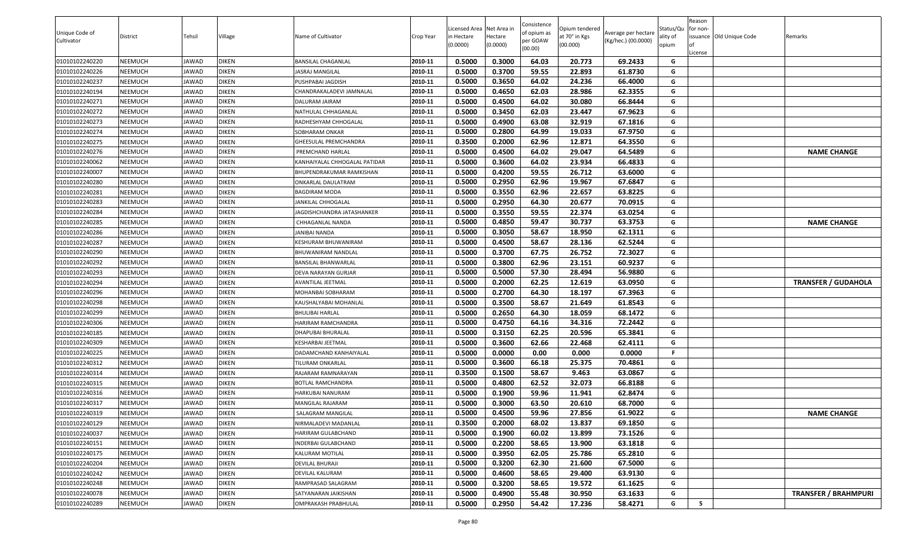|                |                |              |              |                               |           |                                        |          | Consistence |                                 |                     |                       | Reason   |                          |                             |
|----------------|----------------|--------------|--------------|-------------------------------|-----------|----------------------------------------|----------|-------------|---------------------------------|---------------------|-----------------------|----------|--------------------------|-----------------------------|
| Unique Code of | District       | Tehsil       | Village      | Name of Cultivator            | Crop Year | Licensed Area Net Area in<br>n Hectare | Hectare  | of opium as | Opium tendered<br>at 70° in Kgs | Average per hectare | Status/Qu<br>ality of | for non- | issuance Old Unique Code | Remarks                     |
| Cultivator     |                |              |              |                               |           | (0.0000)                               | (0.0000) | per GOAW    | (00.000)                        | (Kg/hec.) (00.0000) | opium                 | l of     |                          |                             |
|                |                |              |              |                               |           |                                        |          | (00.00)     |                                 |                     |                       | License  |                          |                             |
| 01010102240220 | <b>NEEMUCH</b> | JAWAD        | <b>DIKEN</b> | BANSILAL CHAGANLAL            | 2010-11   | 0.5000                                 | 0.3000   | 64.03       | 20.773                          | 69.2433             | G                     |          |                          |                             |
| 01010102240226 | <b>NEEMUCH</b> | JAWAD        | <b>DIKEN</b> | ASRAJ MANGILAL                | 2010-11   | 0.5000                                 | 0.3700   | 59.55       | 22.893                          | 61.8730             | G                     |          |                          |                             |
| 01010102240237 | <b>NEEMUCH</b> | JAWAD        | <b>DIKEN</b> | PUSHPABAI JAGDISH             | 2010-11   | 0.5000                                 | 0.3650   | 64.02       | 24.236                          | 66.4000             | G                     |          |                          |                             |
| 01010102240194 | <b>NEEMUCH</b> | JAWAD        | <b>DIKEN</b> | CHANDRAKALADEVI JAMNALAL      | 2010-11   | 0.5000                                 | 0.4650   | 62.03       | 28.986                          | 62.3355             | G                     |          |                          |                             |
| 01010102240271 | <b>NEEMUCH</b> | JAWAD        | <b>DIKEN</b> | DALURAM JAIRAM                | 2010-11   | 0.5000                                 | 0.4500   | 64.02       | 30.080                          | 66.8444             | G                     |          |                          |                             |
| 01010102240272 | <b>NEEMUCH</b> | JAWAD        | <b>DIKEN</b> | NATHULAL CHHAGANLAL           | 2010-11   | 0.5000                                 | 0.3450   | 62.03       | 23.447                          | 67.9623             | G                     |          |                          |                             |
| 01010102240273 | <b>NEEMUCH</b> | JAWAD        | <b>DIKEN</b> | RADHESHYAM CHHOGALAL          | 2010-11   | 0.5000                                 | 0.4900   | 63.08       | 32.919                          | 67.1816             | G                     |          |                          |                             |
| 01010102240274 | <b>NEEMUCH</b> | JAWAD        | <b>DIKEN</b> | SOBHARAM ONKAR                | 2010-11   | 0.5000                                 | 0.2800   | 64.99       | 19.033                          | 67.9750             | G                     |          |                          |                             |
| 01010102240275 | <b>NEEMUCH</b> | JAWAD        | <b>DIKEN</b> | GHEESULAL PREMCHANDRA         | 2010-11   | 0.3500                                 | 0.2000   | 62.96       | 12.871                          | 64.3550             | G                     |          |                          |                             |
| 01010102240276 | <b>NEEMUCH</b> | JAWAD        | <b>DIKEN</b> | PREMCHAND HARLAL              | 2010-11   | 0.5000                                 | 0.4500   | 64.02       | 29.047                          | 64.5489             | G                     |          |                          | <b>NAME CHANGE</b>          |
| 01010102240062 | <b>NEEMUCH</b> | JAWAD        | <b>DIKEN</b> | KANHAIYALAL CHHOGALAL PATIDAR | 2010-11   | 0.5000                                 | 0.3600   | 64.02       | 23.934                          | 66.4833             | G                     |          |                          |                             |
| 01010102240007 | <b>NEEMUCH</b> | JAWAD        | <b>DIKEN</b> | BHUPENDRAKUMAR RAMKISHAN      | 2010-11   | 0.5000                                 | 0.4200   | 59.55       | 26.712                          | 63.6000             | G                     |          |                          |                             |
| 01010102240280 | <b>NEEMUCH</b> | JAWAD        | <b>DIKEN</b> | ONKARLAL DAULATRAM            | 2010-11   | 0.5000                                 | 0.2950   | 62.96       | 19.967                          | 67.6847             | G                     |          |                          |                             |
| 01010102240281 | <b>NEEMUCH</b> | JAWAD        | <b>DIKEN</b> | BAGDIRAM MODA                 | 2010-11   | 0.5000                                 | 0.3550   | 62.96       | 22.657                          | 63.8225             | G                     |          |                          |                             |
| 01010102240283 | <b>NEEMUCH</b> | JAWAD        | <b>DIKEN</b> | JANKILAL CHHOGALAL            | 2010-11   | 0.5000                                 | 0.2950   | 64.30       | 20.677                          | 70.0915             | G                     |          |                          |                             |
| 01010102240284 | <b>NEEMUCH</b> | JAWAD        | <b>DIKEN</b> | IAGDISHCHANDRA JATASHANKER    | 2010-11   | 0.5000                                 | 0.3550   | 59.55       | 22.374                          | 63.0254             | G                     |          |                          |                             |
| 01010102240285 | <b>NEEMUCH</b> | JAWAD        | <b>DIKEN</b> | CHHAGANLAL NANDA              | 2010-11   | 0.5000                                 | 0.4850   | 59.47       | 30.737                          | 63.3753             | G                     |          |                          | <b>NAME CHANGE</b>          |
| 01010102240286 | <b>NEEMUCH</b> | JAWAD        | <b>DIKEN</b> | JANIBAI NANDA                 | 2010-11   | 0.5000                                 | 0.3050   | 58.67       | 18.950                          | 62.1311             | G                     |          |                          |                             |
| 01010102240287 | <b>NEEMUCH</b> | JAWAD        | <b>DIKEN</b> | KESHURAM BHUWANIRAM           | 2010-11   | 0.5000                                 | 0.4500   | 58.67       | 28.136                          | 62.5244             | G                     |          |                          |                             |
| 01010102240290 | <b>NEEMUCH</b> | JAWAD        | <b>DIKEN</b> | BHUWANIRAM NANDLAL            | 2010-11   | 0.5000                                 | 0.3700   | 67.75       | 26.752                          | 72.3027             | G                     |          |                          |                             |
| 01010102240292 | <b>NEEMUCH</b> | <b>JAWAD</b> | <b>DIKEN</b> | BANSILAL BHANWARLAL           | 2010-11   | 0.5000                                 | 0.3800   | 62.96       | 23.151                          | 60.9237             | G                     |          |                          |                             |
| 01010102240293 | <b>NEEMUCH</b> | JAWAD        | <b>DIKEN</b> | DEVA NARAYAN GURJAR           | 2010-11   | 0.5000                                 | 0.5000   | 57.30       | 28.494                          | 56.9880             | G                     |          |                          |                             |
| 01010102240294 | <b>NEEMUCH</b> | JAWAD        | <b>DIKEN</b> | AVANTILAL JEETMAL             | 2010-11   | 0.5000                                 | 0.2000   | 62.25       | 12.619                          | 63.0950             | G                     |          |                          | <b>TRANSFER / GUDAHOLA</b>  |
| 01010102240296 | <b>NEEMUCH</b> | JAWAD        | <b>DIKEN</b> | MOHANBAI SOBHARAM             | 2010-11   | 0.5000                                 | 0.2700   | 64.30       | 18.197                          | 67.3963             | G                     |          |                          |                             |
| 01010102240298 | NEEMUCH        | JAWAD        | <b>DIKEN</b> | KAUSHALYABAI MOHANLAL         | 2010-11   | 0.5000                                 | 0.3500   | 58.67       | 21.649                          | 61.8543             | G                     |          |                          |                             |
| 01010102240299 | <b>NEEMUCH</b> | JAWAD        | <b>DIKEN</b> | BHULIBAI HARLAL               | 2010-11   | 0.5000                                 | 0.2650   | 64.30       | 18.059                          | 68.1472             | G                     |          |                          |                             |
| 01010102240306 | <b>NEEMUCH</b> | JAWAD        | <b>DIKEN</b> | HARIRAM RAMCHANDRA            | 2010-11   | 0.5000                                 | 0.4750   | 64.16       | 34.316                          | 72.2442             | G                     |          |                          |                             |
| 01010102240185 | <b>NEEMUCH</b> | JAWAD        | <b>DIKEN</b> | DHAPUBAI BHURALAL             | 2010-11   | 0.5000                                 | 0.3150   | 62.25       | 20.596                          | 65.3841             | G                     |          |                          |                             |
| 01010102240309 | <b>NEEMUCH</b> | JAWAD        | <b>DIKEN</b> | KESHARBAI JEETMAL             | 2010-11   | 0.5000                                 | 0.3600   | 62.66       | 22.468                          | 62.4111             | G                     |          |                          |                             |
| 01010102240225 | <b>NEEMUCH</b> | JAWAD        | <b>DIKEN</b> | DADAMCHAND KANHAIYALAL        | 2010-11   | 0.5000                                 | 0.0000   | 0.00        | 0.000                           | 0.0000              | -F                    |          |                          |                             |
| 01010102240312 | <b>NEEMUCH</b> | JAWAD        | <b>DIKEN</b> | TILURAM ONKARLAL              | 2010-11   | 0.5000                                 | 0.3600   | 66.18       | 25.375                          | 70.4861             | G                     |          |                          |                             |
| 01010102240314 | <b>NEEMUCH</b> | JAWAD        | <b>DIKEN</b> | RAJARAM RAMNARAYAN            | 2010-11   | 0.3500                                 | 0.1500   | 58.67       | 9.463                           | 63.0867             | G                     |          |                          |                             |
| 01010102240315 | <b>NEEMUCH</b> | JAWAD        | <b>DIKEN</b> | BOTLAL RAMCHANDRA             | 2010-11   | 0.5000                                 | 0.4800   | 62.52       | 32.073                          | 66.8188             | G                     |          |                          |                             |
| 01010102240316 | <b>NEEMUCH</b> | JAWAD        | <b>DIKEN</b> | HARKUBAI NANURAM              | 2010-11   | 0.5000                                 | 0.1900   | 59.96       | 11.941                          | 62.8474             | G                     |          |                          |                             |
| 01010102240317 | <b>NEEMUCH</b> | JAWAD        | <b>DIKEN</b> | MANGILAL RAJARAM              | 2010-11   | 0.5000                                 | 0.3000   | 63.50       | 20.610                          | 68.7000             | G                     |          |                          |                             |
| 01010102240319 | <b>NEEMUCH</b> | JAWAD        | <b>DIKEN</b> | SALAGRAM MANGILAL             | 2010-11   | 0.5000                                 | 0.4500   | 59.96       | 27.856                          | 61.9022             | G                     |          |                          | <b>NAME CHANGE</b>          |
| 01010102240129 | <b>NEEMUCH</b> | JAWAD        | <b>DIKEN</b> | NIRMALADEVI MADANLAL          | 2010-11   | 0.3500                                 | 0.2000   | 68.02       | 13.837                          | 69.1850             | G                     |          |                          |                             |
| 01010102240037 | <b>NEEMUCH</b> | JAWAD        | <b>DIKEN</b> | HARIRAM GULABCHAND            | 2010-11   | 0.5000                                 | 0.1900   | 60.02       | 13.899                          | 73.1526             | G                     |          |                          |                             |
| 01010102240151 | <b>NEEMUCH</b> | JAWAD        | <b>DIKEN</b> | INDERBAI GULABCHAND           | 2010-11   | 0.5000                                 | 0.2200   | 58.65       | 13.900                          | 63.1818             | G                     |          |                          |                             |
| 01010102240175 | <b>NEEMUCH</b> | JAWAD        | <b>DIKEN</b> | KALURAM MOTILAL               | 2010-11   | 0.5000                                 | 0.3950   | 62.05       | 25.786                          | 65.2810             | G                     |          |                          |                             |
| 01010102240204 | <b>NEEMUCH</b> | JAWAD        | <b>DIKEN</b> | DEVILAL BHURAJI               | 2010-11   | 0.5000                                 | 0.3200   | 62.30       | 21.600                          | 67.5000             | G                     |          |                          |                             |
| 01010102240242 | <b>NEEMUCH</b> | JAWAD        | <b>DIKEN</b> | DEVILAL KALURAM               | 2010-11   | 0.5000                                 | 0.4600   | 58.65       | 29.400                          | 63.9130             | G                     |          |                          |                             |
| 01010102240248 | <b>NEEMUCH</b> | JAWAD        | <b>DIKEN</b> | RAMPRASAD SALAGRAM            | 2010-11   | 0.5000                                 | 0.3200   | 58.65       | 19.572                          | 61.1625             | G                     |          |                          |                             |
| 01010102240078 | <b>NEEMUCH</b> | JAWAD        | <b>DIKEN</b> | SATYANARAN JAIKISHAN          | 2010-11   | 0.5000                                 | 0.4900   | 55.48       | 30.950                          | 63.1633             | G                     |          |                          | <b>TRANSFER / BRAHMPURI</b> |
| 01010102240289 | <b>NEEMUCH</b> | JAWAD        | <b>DIKEN</b> | OMPRAKASH PRABHULAL           | 2010-11   | 0.5000                                 | 0.2950   | 54.42       | 17.236                          | 58.4271             | G                     | 5        |                          |                             |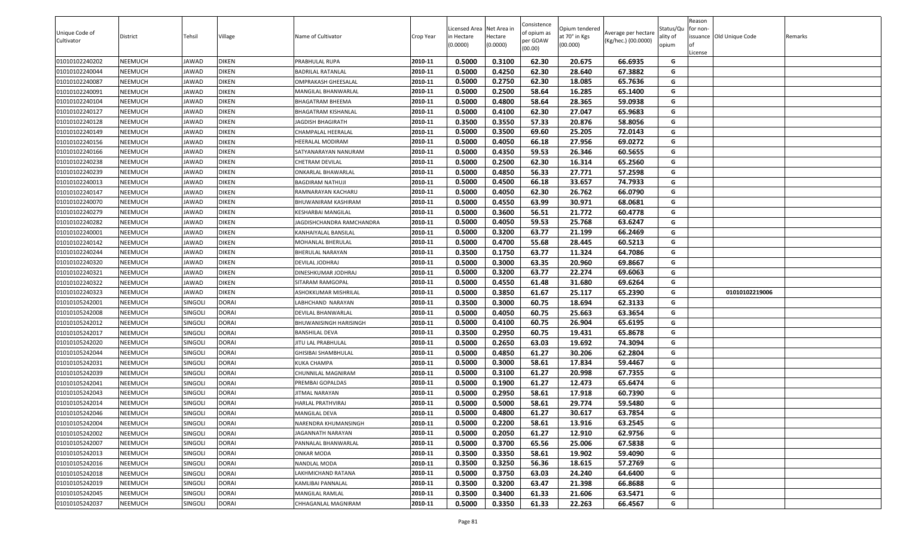| Unique Code of<br>Cultivator | <b>District</b> | Tehsil         | Village      | Name of Cultivator        | Crop Year | Licensed Area Net Area in<br>in Hectare<br>(0.0000) | lectare<br>(0.0000) | Consistence<br>of opium as<br>oer GOAW<br>(00.00) | Opium tendered<br>at 70° in Kgs<br>(00.000) | Average per hectare<br>(Kg/hec.) (00.0000) | Status/Qu<br>ality of<br>opium | Reason<br>for non-<br>issuance Old Unique Code<br>.icense | Remarks |
|------------------------------|-----------------|----------------|--------------|---------------------------|-----------|-----------------------------------------------------|---------------------|---------------------------------------------------|---------------------------------------------|--------------------------------------------|--------------------------------|-----------------------------------------------------------|---------|
| 01010102240202               | NEEMUCH         | JAWAD          | <b>DIKEN</b> | PRABHULAL RUPA            | 2010-11   | 0.5000                                              | 0.3100              | 62.30                                             | 20.675                                      | 66.6935                                    | G                              |                                                           |         |
| 01010102240044               | NEEMUCH         | JAWAD          | <b>DIKEN</b> | BADRILAL RATANLAL         | 2010-11   | 0.5000                                              | 0.4250              | 62.30                                             | 28.640                                      | 67.3882                                    | G                              |                                                           |         |
| 01010102240087               | NEEMUCH         | JAWAD          | <b>DIKEN</b> | OMPRAKASH GHEESALAL       | 2010-11   | 0.5000                                              | 0.2750              | 62.30                                             | 18.085                                      | 65.7636                                    | G                              |                                                           |         |
| 01010102240091               | NEEMUCH         | JAWAD          | <b>DIKEN</b> | MANGILAL BHANWARLAL       | 2010-11   | 0.5000                                              | 0.2500              | 58.64                                             | 16.285                                      | 65.1400                                    | G                              |                                                           |         |
| 01010102240104               | NEEMUCH         | JAWAD          | <b>DIKEN</b> | BHAGATRAM BHEEMA          | 2010-11   | 0.5000                                              | 0.4800              | 58.64                                             | 28.365                                      | 59.0938                                    | G                              |                                                           |         |
| 01010102240127               | NEEMUCH         | JAWAD          | <b>DIKEN</b> | BHAGATRAM KISHANLAL       | 2010-11   | 0.5000                                              | 0.4100              | 62.30                                             | 27.047                                      | 65.9683                                    | G                              |                                                           |         |
| 01010102240128               | NEEMUCH         | JAWAD          | <b>DIKEN</b> | <b>JAGDISH BHAGIRATH</b>  | 2010-11   | 0.3500                                              | 0.3550              | 57.33                                             | 20.876                                      | 58.8056                                    | G                              |                                                           |         |
| 01010102240149               | NEEMUCH         | JAWAD          | <b>DIKEN</b> | CHAMPALAL HEERALAL        | 2010-11   | 0.5000                                              | 0.3500              | 69.60                                             | 25.205                                      | 72.0143                                    | G                              |                                                           |         |
| 01010102240156               | NEEMUCH         | JAWAD          | <b>DIKEN</b> | HEERALAL MODIRAM          | 2010-11   | 0.5000                                              | 0.4050              | 66.18                                             | 27.956                                      | 69.0272                                    | G                              |                                                           |         |
| 01010102240166               | NEEMUCH         | JAWAD          | <b>DIKEN</b> | SATYANARAYAN NANURAM      | 2010-11   | 0.5000                                              | 0.4350              | 59.53                                             | 26.346                                      | 60.5655                                    | G                              |                                                           |         |
| 01010102240238               | NEEMUCH         | JAWAD          | <b>DIKEN</b> | CHETRAM DEVILAL           | 2010-11   | 0.5000                                              | 0.2500              | 62.30                                             | 16.314                                      | 65.2560                                    | G                              |                                                           |         |
| 01010102240239               | NEEMUCH         | JAWAD          | <b>DIKEN</b> | ONKARLAL BHAWARLAL        | 2010-11   | 0.5000                                              | 0.4850              | 56.33                                             | 27.771                                      | 57.2598                                    | G                              |                                                           |         |
| 01010102240013               | NEEMUCH         | JAWAD          | <b>DIKEN</b> | BAGDIRAM NATHUJI          | 2010-11   | 0.5000                                              | 0.4500              | 66.18                                             | 33.657                                      | 74.7933                                    | G                              |                                                           |         |
| 01010102240147               | NEEMUCH         | JAWAD          | <b>DIKEN</b> | RAMNARAYAN KACHARU        | 2010-11   | 0.5000                                              | 0.4050              | 62.30                                             | 26.762                                      | 66.0790                                    | G                              |                                                           |         |
| 01010102240070               | NEEMUCH         | JAWAD          | <b>DIKEN</b> | BHUWANIRAM KASHIRAM       | 2010-11   | 0.5000                                              | 0.4550              | 63.99                                             | 30.971                                      | 68.0681                                    | G                              |                                                           |         |
| 01010102240279               | NEEMUCH         | JAWAD          | <b>DIKEN</b> | KESHARBAI MANGILAL        | 2010-11   | 0.5000                                              | 0.3600              | 56.51                                             | 21.772                                      | 60.4778                                    | G                              |                                                           |         |
| 01010102240282               | NEEMUCH         | JAWAD          | <b>DIKEN</b> | IAGDISHCHANDRA RAMCHANDRA | 2010-11   | 0.5000                                              | 0.4050              | 59.53                                             | 25.768                                      | 63.6247                                    | G                              |                                                           |         |
| 01010102240001               | NEEMUCH         | JAWAD          | <b>DIKEN</b> | KANHAIYALAL BANSILAL      | 2010-11   | 0.5000                                              | 0.3200              | 63.77                                             | 21.199                                      | 66.2469                                    | G                              |                                                           |         |
| 01010102240142               | NEEMUCH         | JAWAD          | <b>DIKEN</b> | <b>MOHANLAL BHERULAL</b>  | 2010-11   | 0.5000                                              | 0.4700              | 55.68                                             | 28.445                                      | 60.5213                                    | G                              |                                                           |         |
| 01010102240244               | NEEMUCH         | JAWAD          | <b>DIKEN</b> | BHERULAL NARAYAN          | 2010-11   | 0.3500                                              | 0.1750              | 63.77                                             | 11.324                                      | 64.7086                                    | G                              |                                                           |         |
| 01010102240320               | NEEMUCH         | JAWAD          | <b>DIKEN</b> | DEVILAL JODHRAJ           | 2010-11   | 0.5000                                              | 0.3000              | 63.35                                             | 20.960                                      | 69.8667                                    | G                              |                                                           |         |
| 01010102240321               | NEEMUCH         | JAWAD          | <b>DIKEN</b> | DINESHKUMAR JODHRAJ       | 2010-11   | 0.5000                                              | 0.3200              | 63.77                                             | 22.274                                      | 69.6063                                    | G                              |                                                           |         |
| 01010102240322               | NEEMUCH         | JAWAD          | <b>DIKEN</b> | SITARAM RAMGOPAL          | 2010-11   | 0.5000                                              | 0.4550              | 61.48                                             | 31.680                                      | 69.6264                                    | G                              |                                                           |         |
| 01010102240323               | NEEMUCH         | JAWAD          | <b>DIKEN</b> | ASHOKKUMAR MISHRILAL      | 2010-11   | 0.5000                                              | 0.3850              | 61.67                                             | 25.117                                      | 65.2390                                    | G                              | 01010102219006                                            |         |
| 01010105242001               | NEEMUCH         | SINGOLI        | <b>DORAI</b> | LABHCHAND NARAYAN         | 2010-11   | 0.3500                                              | 0.3000              | 60.75                                             | 18.694                                      | 62.3133                                    | G                              |                                                           |         |
| 01010105242008               | NEEMUCH         | SINGOLI        | <b>DORAI</b> | DEVILAL BHANWARLAL        | 2010-11   | 0.5000                                              | 0.4050              | 60.75                                             | 25.663                                      | 63.3654                                    | G                              |                                                           |         |
| 01010105242012               | NEEMUCH         | SINGOLI        | <b>DORAI</b> | BHUWANISINGH HARISINGH    | 2010-11   | 0.5000                                              | 0.4100              | 60.75                                             | 26.904                                      | 65.6195                                    | G                              |                                                           |         |
| 01010105242017               | NEEMUCH         | SINGOLI        | <b>DORAI</b> | BANSHILAL DEVA            | 2010-11   | 0.3500                                              | 0.2950              | 60.75                                             | 19.431                                      | 65.8678                                    | G                              |                                                           |         |
| 01010105242020               | NEEMUCH         | SINGOLI        | <b>DORAI</b> | JITU LAL PRABHULAL        | 2010-11   | 0.5000                                              | 0.2650              | 63.03                                             | 19.692                                      | 74.3094                                    | G                              |                                                           |         |
| 01010105242044               | NEEMUCH         | SINGOLI        | <b>DORAI</b> | GHISIBAI SHAMBHULAL       | 2010-11   | 0.5000                                              | 0.4850              | 61.27                                             | 30.206                                      | 62.2804                                    | G                              |                                                           |         |
| 01010105242031               | NEEMUCH         | SINGOLI        | <b>DORAI</b> | KUKA CHAMPA               | 2010-11   | 0.5000                                              | 0.3000              | 58.61                                             | 17.834                                      | 59.4467                                    | G                              |                                                           |         |
| 01010105242039               | NEEMUCH         | SINGOLI        | <b>DORAI</b> | CHUNNILAL MAGNIRAM        | 2010-11   | 0.5000                                              | 0.3100              | 61.27                                             | 20.998                                      | 67.7355                                    | G                              |                                                           |         |
| 01010105242041               | NEEMUCH         | <b>SINGOLI</b> | <b>DORAI</b> | PREMBAI GOPALDAS          | 2010-11   | 0.5000                                              | 0.1900              | 61.27                                             | 12.473                                      | 65.6474                                    | G                              |                                                           |         |
| 01010105242043               | NEEMUCH         | SINGOLI        | <b>DORAI</b> | <b>JITMAL NARAYAN</b>     | 2010-11   | 0.5000                                              | 0.2950              | 58.61                                             | 17.918                                      | 60.7390                                    | G                              |                                                           |         |
| 01010105242014               | NEEMUCH         | SINGOLI        | <b>DORAI</b> | HARLAL PRATHVIRAJ         | 2010-11   | 0.5000                                              | 0.5000              | 58.61                                             | 29.774                                      | 59.5480                                    | G                              |                                                           |         |
| 01010105242046               | NEEMUCH         | SINGOLI        | <b>DORAI</b> | <b>MANGILAL DEVA</b>      | 2010-11   | 0.5000                                              | 0.4800              | 61.27                                             | 30.617                                      | 63.7854                                    | G                              |                                                           |         |
| 01010105242004               | NEEMUCH         | SINGOLI        | <b>DORAI</b> | NARENDRA KHUMANSINGH      | 2010-11   | 0.5000                                              | 0.2200              | 58.61                                             | 13.916                                      | 63.2545                                    | G                              |                                                           |         |
| 01010105242002               | NEEMUCH         | SINGOLI        | <b>DORAI</b> | AGANNATH NARAYAN          | 2010-11   | 0.5000                                              | 0.2050              | 61.27                                             | 12.910                                      | 62.9756                                    | G                              |                                                           |         |
| 01010105242007               | NEEMUCH         | SINGOLI        | <b>DORAI</b> | PANNALAL BHANWARLAL       | 2010-11   | 0.5000                                              | 0.3700              | 65.56                                             | 25.006                                      | 67.5838                                    | G                              |                                                           |         |
| 01010105242013               | NEEMUCH         | SINGOLI        | <b>DORAI</b> | <b>ONKAR MODA</b>         | 2010-11   | 0.3500                                              | 0.3350              | 58.61                                             | 19.902                                      | 59.4090                                    | G                              |                                                           |         |
| 01010105242016               | NEEMUCH         | SINGOLI        | <b>DORAI</b> | NANDLAL MODA              | 2010-11   | 0.3500                                              | 0.3250              | 56.36                                             | 18.615                                      | 57.2769                                    | G                              |                                                           |         |
| 01010105242018               | NEEMUCH         | SINGOLI        | <b>DORAI</b> | LAKHMICHAND RATANA        | 2010-11   | 0.5000                                              | 0.3750              | 63.03                                             | 24.240                                      | 64.6400                                    | G                              |                                                           |         |
| 01010105242019               | NEEMUCH         | SINGOLI        | <b>DORAI</b> | KAMLIBAI PANNALAL         | 2010-11   | 0.3500                                              | 0.3200              | 63.47                                             | 21.398                                      | 66.8688                                    | G                              |                                                           |         |
| 01010105242045               | NEEMUCH         | SINGOLI        | <b>DORAI</b> | MANGILAL RAMLAL           | 2010-11   | 0.3500                                              | 0.3400              | 61.33                                             | 21.606                                      | 63.5471                                    | G                              |                                                           |         |
| 01010105242037               | NEEMUCH         | SINGOLI        | <b>DORAI</b> | CHHAGANLAL MAGNIRAM       | 2010-11   | 0.5000                                              | 0.3350              | 61.33                                             | 22.263                                      | 66.4567                                    | G                              |                                                           |         |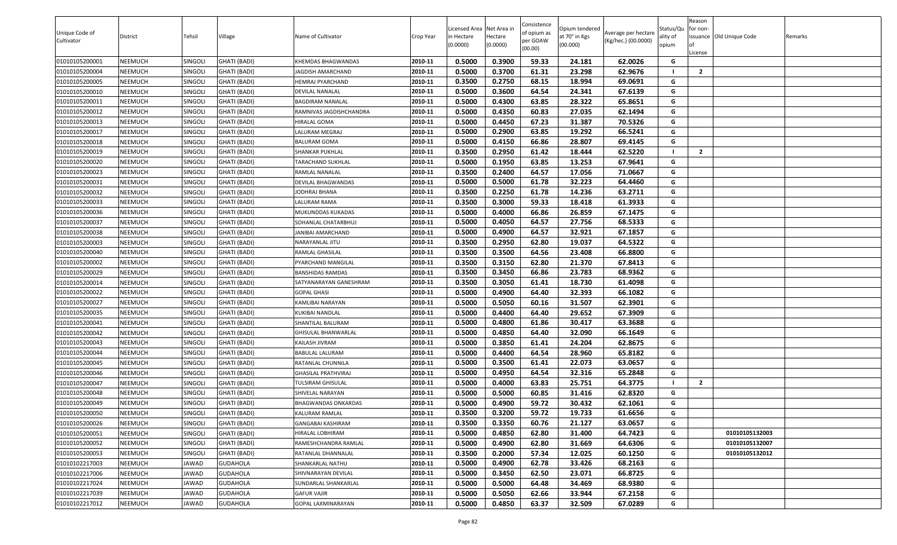| Unique Code of |                 |                |                     |                         |           | Licensed Area Net Area in |                     | Consistence<br>of opium as | Opium tendered            | Average per hectare | Status/Qu         | Reason<br>for non-                  |         |
|----------------|-----------------|----------------|---------------------|-------------------------|-----------|---------------------------|---------------------|----------------------------|---------------------------|---------------------|-------------------|-------------------------------------|---------|
| Cultivator     | <b>District</b> | Tehsil         | Village             | Name of Cultivator      | Crop Year | in Hectare<br>(0.0000)    | lectare<br>(0.0000) | oer GOAW<br>(00.00)        | at 70° in Kgs<br>(00.000) | (Kg/hec.) (00.0000) | ality of<br>opium | issuance Old Unique Code<br>.icense | Remarks |
| 01010105200001 | NEEMUCH         | <b>SINGOLI</b> | <b>GHATI (BADI)</b> | KHEMDAS BHAGWANDAS      | 2010-11   | 0.5000                    | 0.3900              | 59.33                      | 24.181                    | 62.0026             | G                 |                                     |         |
| 01010105200004 | NEEMUCH         | SINGOLI        | GHATI (BADI)        | <b>AGDISH AMARCHAND</b> | 2010-11   | 0.5000                    | 0.3700              | 61.31                      | 23.298                    | 62.9676             |                   | $\overline{2}$                      |         |
| 01010105200005 | NEEMUCH         | SINGOLI        | <b>GHATI (BADI)</b> | HEMRAJ PYARCHAND        | 2010-11   | 0.3500                    | 0.2750              | 68.15                      | 18.994                    | 69.0691             | G                 |                                     |         |
| 01010105200010 | NEEMUCH         | SINGOLI        | GHATI (BADI)        | DEVILAL NANALAL         | 2010-11   | 0.5000                    | 0.3600              | 64.54                      | 24.341                    | 67.6139             | G                 |                                     |         |
| 01010105200011 | NEEMUCH         | <b>SINGOLI</b> | GHATI (BADI)        | BAGDIRAM NANALAL        | 2010-11   | 0.5000                    | 0.4300              | 63.85                      | 28.322                    | 65.8651             | G                 |                                     |         |
| 01010105200012 | NEEMUCH         | SINGOLI        | GHATI (BADI)        | RAMNIVAS JAGDISHCHANDRA | 2010-11   | 0.5000                    | 0.4350              | 60.83                      | 27.035                    | 62.1494             | G                 |                                     |         |
| 01010105200013 | NEEMUCH         | SINGOLI        | <b>GHATI (BADI)</b> | HIRALAL GOMA            | 2010-11   | 0.5000                    | 0.4450              | 67.23                      | 31.387                    | 70.5326             | G                 |                                     |         |
| 01010105200017 | NEEMUCH         | <b>SINGOLI</b> | GHATI (BADI)        | LALURAM MEGRAJ          | 2010-11   | 0.5000                    | 0.2900              | 63.85                      | 19.292                    | 66.5241             | G                 |                                     |         |
| 01010105200018 | NEEMUCH         | SINGOLI        | GHATI (BADI)        | <b>BALURAM GOMA</b>     | 2010-11   | 0.5000                    | 0.4150              | 66.86                      | 28.807                    | 69.4145             | G                 |                                     |         |
| 01010105200019 | NEEMUCH         | SINGOLI        | GHATI (BADI)        | SHANKAR PUKHLAL         | 2010-11   | 0.3500                    | 0.2950              | 61.42                      | 18.444                    | 62.5220             |                   | $\overline{2}$                      |         |
| 01010105200020 | NEEMUCH         | <b>SINGOLI</b> | <b>GHATI (BADI)</b> | TARACHAND SUKHLAL       | 2010-11   | 0.5000                    | 0.1950              | 63.85                      | 13.253                    | 67.9641             | G                 |                                     |         |
| 01010105200023 | NEEMUCH         | <b>SINGOLI</b> | GHATI (BADI)        | RAMLAL NANALAL          | 2010-11   | 0.3500                    | 0.2400              | 64.57                      | 17.056                    | 71.0667             | G                 |                                     |         |
| 01010105200031 | NEEMUCH         | <b>SINGOLI</b> | GHATI (BADI)        | DEVILAL BHAGWANDAS      | 2010-11   | 0.5000                    | 0.5000              | 61.78                      | 32.223                    | 64.4460             | G                 |                                     |         |
| 01010105200032 | NEEMUCH         | SINGOLI        | <b>GHATI (BADI)</b> | JODHRAJ BHANA           | 2010-11   | 0.3500                    | 0.2250              | 61.78                      | 14.236                    | 63.2711             | G                 |                                     |         |
| 01010105200033 | NEEMUCH         | SINGOLI        | <b>GHATI (BADI)</b> | LALURAM RAMA            | 2010-11   | 0.3500                    | 0.3000              | 59.33                      | 18.418                    | 61.3933             | G                 |                                     |         |
| 01010105200036 | NEEMUCH         | SINGOLI        | <b>GHATI (BADI)</b> | MUKUNDDAS KUKADAS       | 2010-11   | 0.5000                    | 0.4000              | 66.86                      | 26.859                    | 67.1475             | G                 |                                     |         |
| 01010105200037 | NEEMUCH         | SINGOLI        | <b>GHATI (BADI)</b> | SOHANLAL CHATARBHUJ     | 2010-11   | 0.5000                    | 0.4050              | 64.57                      | 27.756                    | 68.5333             | G                 |                                     |         |
| 01010105200038 | NEEMUCH         | SINGOLI        | GHATI (BADI)        | JANIBAI AMARCHAND       | 2010-11   | 0.5000                    | 0.4900              | 64.57                      | 32.921                    | 67.1857             | G                 |                                     |         |
| 01010105200003 | NEEMUCH         | SINGOLI        | GHATI (BADI)        | NARAYANLAL JITU         | 2010-11   | 0.3500                    | 0.2950              | 62.80                      | 19.037                    | 64.5322             | G                 |                                     |         |
| 01010105200040 | NEEMUCH         | <b>SINGOLI</b> | <b>GHATI (BADI)</b> | RAMLAL GHASILAL         | 2010-11   | 0.3500                    | 0.3500              | 64.56                      | 23.408                    | 66.8800             | G                 |                                     |         |
| 01010105200002 | NEEMUCH         | SINGOLI        | GHATI (BADI)        | PYARCHAND MANGILAL      | 2010-11   | 0.3500                    | 0.3150              | 62.80                      | 21.370                    | 67.8413             | G                 |                                     |         |
| 01010105200029 | NEEMUCH         | SINGOLI        | GHATI (BADI)        | <b>BANSHIDAS RAMDAS</b> | 2010-11   | 0.3500                    | 0.3450              | 66.86                      | 23.783                    | 68.9362             | G                 |                                     |         |
| 01010105200014 | NEEMUCH         | SINGOLI        | GHATI (BADI)        | SATYANARAYAN GANESHRAM  | 2010-11   | 0.3500                    | 0.3050              | 61.41                      | 18.730                    | 61.4098             | G                 |                                     |         |
| 01010105200022 | NEEMUCH         | SINGOLI        | GHATI (BADI)        | GOPAL GHASI             | 2010-11   | 0.5000                    | 0.4900              | 64.40                      | 32.393                    | 66.1082             | G                 |                                     |         |
| 01010105200027 | NEEMUCH         | SINGOLI        | GHATI (BADI)        | KAMLIBAI NARAYAN        | 2010-11   | 0.5000                    | 0.5050              | 60.16                      | 31.507                    | 62.3901             | G                 |                                     |         |
| 01010105200035 | NEEMUCH         | SINGOLI        | GHATI (BADI)        | KUKIBAI NANDLAL         | 2010-11   | 0.5000                    | 0.4400              | 64.40                      | 29.652                    | 67.3909             | G                 |                                     |         |
| 01010105200041 | NEEMUCH         | SINGOLI        | GHATI (BADI)        | SHANTILAL BALURAM       | 2010-11   | 0.5000                    | 0.4800              | 61.86                      | 30.417                    | 63.3688             | G                 |                                     |         |
| 01010105200042 | NEEMUCH         | SINGOLI        | <b>GHATI (BADI)</b> | GHISULAL BHANWARLAL     | 2010-11   | 0.5000                    | 0.4850              | 64.40                      | 32.090                    | 66.1649             | G                 |                                     |         |
| 01010105200043 | NEEMUCH         | SINGOLI        | GHATI (BADI)        | KAILASH JIVRAM          | 2010-11   | 0.5000                    | 0.3850              | 61.41                      | 24.204                    | 62.8675             | G                 |                                     |         |
| 01010105200044 | NEEMUCH         | <b>SINGOLI</b> | GHATI (BADI)        | BABULAL LALURAM         | 2010-11   | 0.5000                    | 0.4400              | 64.54                      | 28.960                    | 65.8182             | G                 |                                     |         |
| 01010105200045 | NEEMUCH         | SINGOLI        | <b>GHATI (BADI)</b> | RATANLAL CHUNNILA       | 2010-11   | 0.5000                    | 0.3500              | 61.41                      | 22.073                    | 63.0657             | G                 |                                     |         |
| 01010105200046 | NEEMUCH         | SINGOLI        | <b>GHATI (BADI)</b> | GHASILAL PRATHVIRAJ     | 2010-11   | 0.5000                    | 0.4950              | 64.54                      | 32.316                    | 65.2848             | G                 |                                     |         |
| 01010105200047 | NEEMUCH         | <b>SINGOLI</b> | GHATI (BADI)        | TULSIRAM GHISULAL       | 2010-11   | 0.5000                    | 0.4000              | 63.83                      | 25.751                    | 64.3775             |                   | $\overline{2}$                      |         |
| 01010105200048 | NEEMUCH         | SINGOLI        | GHATI (BADI)        | SHIVELAL NARAYAN        | 2010-11   | 0.5000                    | 0.5000              | 60.85                      | 31.416                    | 62.8320             | G                 |                                     |         |
| 01010105200049 | NEEMUCH         | SINGOLI        | GHATI (BADI)        | BHAGWANDAS ONKARDAS     | 2010-11   | 0.5000                    | 0.4900              | 59.72                      | 30.432                    | 62.1061             | G                 |                                     |         |
| 01010105200050 | <b>NEEMUCH</b>  | SINGOLI        | <b>GHATI (BADI)</b> | KALURAM RAMLAL          | 2010-11   | 0.3500                    | 0.3200              | 59.72                      | 19.733                    | 61.6656             | G                 |                                     |         |
| 01010105200026 | NEEMUCH         | SINGOLI        | <b>GHATI (BADI)</b> | GANGABAI KASHIRAM       | 2010-11   | 0.3500                    | 0.3350              | 60.76                      | 21.127                    | 63.0657             | G                 |                                     |         |
| 01010105200051 | NEEMUCH         | SINGOLI        | GHATI (BADI)        | <b>HIRALAL LOBHIRAM</b> | 2010-11   | 0.5000                    | 0.4850              | 62.80                      | 31.400                    | 64.7423             | G                 | 01010105132003                      |         |
| 01010105200052 | NEEMUCH         | SINGOLI        | GHATI (BADI)        | RAMESHCHANDRA RAMLAL    | 2010-11   | 0.5000                    | 0.4900              | 62.80                      | 31.669                    | 64.6306             | G                 | 01010105132007                      |         |
| 01010105200053 | NEEMUCH         | SINGOLI        | <b>GHATI (BADI)</b> | RATANLAL DHANNALAL      | 2010-11   | 0.3500                    | 0.2000              | 57.34                      | 12.025                    | 60.1250             | G                 | 01010105132012                      |         |
| 01010102217003 | NEEMUCH         | JAWAD          | <b>GUDAHOLA</b>     | SHANKARLAL NATHU        | 2010-11   | 0.5000                    | 0.4900              | 62.78                      | 33.426                    | 68.2163             | G                 |                                     |         |
| 01010102217006 | NEEMUCH         | JAWAD          | <b>GUDAHOLA</b>     | SHIVNARAYAN DEVILAL     | 2010-11   | 0.5000                    | 0.3450              | 62.50                      | 23.071                    | 66.8725             | G                 |                                     |         |
| 01010102217024 | NEEMUCH         | JAWAD          | GUDAHOLA            | SUNDARLAL SHANKARLAL    | 2010-11   | 0.5000                    | 0.5000              | 64.48                      | 34.469                    | 68.9380             | G                 |                                     |         |
| 01010102217039 | NEEMUCH         | JAWAD          | GUDAHOLA            | GAFUR VAJIR             | 2010-11   | 0.5000                    | 0.5050              | 62.66                      | 33.944                    | 67.2158             | G                 |                                     |         |
| 01010102217012 | NEEMUCH         | JAWAD          | <b>GUDAHOLA</b>     | GOPAL LAXMINARAYAN      | 2010-11   | 0.5000                    | 0.4850              | 63.37                      | 32.509                    | 67.0289             | G                 |                                     |         |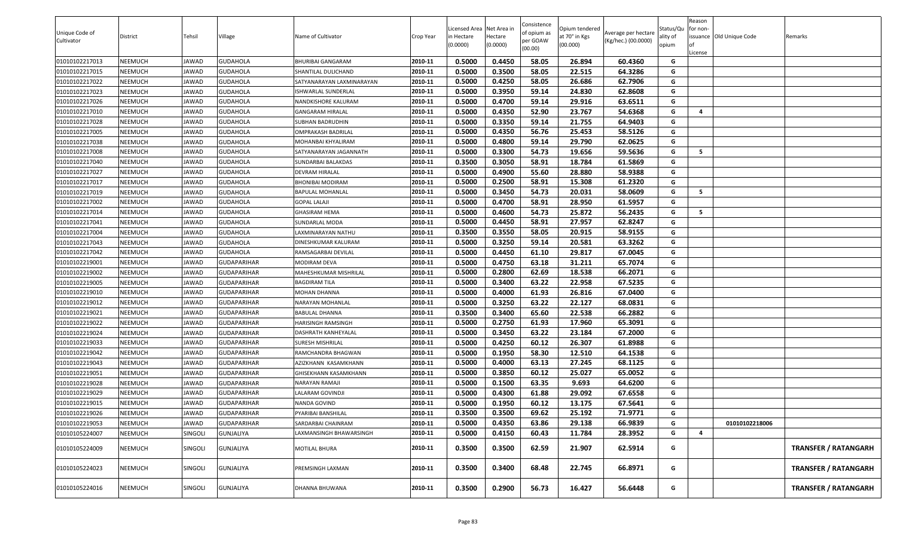|                |                |              |                    |                           |           |                           |                     | Consistence |                           |                     |                   | Reason                  |                          |                             |
|----------------|----------------|--------------|--------------------|---------------------------|-----------|---------------------------|---------------------|-------------|---------------------------|---------------------|-------------------|-------------------------|--------------------------|-----------------------------|
| Unique Code of |                |              |                    |                           |           | Licensed Area Net Area in |                     | of opium as | Opium tendered            | Average per hectare | Status/Qu         | for non-                |                          |                             |
| Cultivator     | District       | Tehsil       | Village            | Name of Cultivator        | Crop Year | n Hectare<br>(0.0000)     | Hectare<br>(0.0000) | per GOAW    | at 70° in Kgs<br>(00.000) | (Kg/hec.) (00.0000) | ality of<br>opium | lof                     | issuance Old Unique Code | Remarks                     |
|                |                |              |                    |                           |           |                           |                     | (00.00)     |                           |                     |                   | License                 |                          |                             |
| 01010102217013 | <b>NEEMUCH</b> | JAWAD        | <b>GUDAHOLA</b>    | <b>BHURIBAI GANGARAM</b>  | 2010-11   | 0.5000                    | 0.4450              | 58.05       | 26.894                    | 60.4360             | G                 |                         |                          |                             |
| 01010102217015 | <b>NEEMUCH</b> | JAWAD        | <b>GUDAHOLA</b>    | SHANTILAL DULICHAND       | 2010-11   | 0.5000                    | 0.3500              | 58.05       | 22.515                    | 64.3286             | G                 |                         |                          |                             |
| 01010102217022 | <b>NEEMUCH</b> | JAWAD        | <b>GUDAHOLA</b>    | SATYANARAYAN LAXMINARAYAN | 2010-11   | 0.5000                    | 0.4250              | 58.05       | 26.686                    | 62.7906             | G                 |                         |                          |                             |
| 01010102217023 | <b>NEEMUCH</b> | JAWAD        | GUDAHOLA           | ISHWARLAL SUNDERLAL       | 2010-11   | 0.5000                    | 0.3950              | 59.14       | 24.830                    | 62.8608             | G                 |                         |                          |                             |
| 01010102217026 | <b>NEEMUCH</b> | JAWAD        | <b>GUDAHOLA</b>    | NANDKISHORE KALURAM       | 2010-11   | 0.5000                    | 0.4700              | 59.14       | 29.916                    | 63.6511             | G                 |                         |                          |                             |
| 01010102217010 | <b>NEEMUCH</b> | JAWAD        | <b>GUDAHOLA</b>    | <b>GANGARAM HIRALAL</b>   | 2010-11   | 0.5000                    | 0.4350              | 52.90       | 23.767                    | 54.6368             | G                 | $\overline{\mathbf{A}}$ |                          |                             |
| 01010102217028 | <b>NEEMUCH</b> | JAWAD        | <b>GUDAHOLA</b>    | SUBHAN BADRUDHIN          | 2010-11   | 0.5000                    | 0.3350              | 59.14       | 21.755                    | 64.9403             | G                 |                         |                          |                             |
| 01010102217005 | <b>NEEMUCH</b> | JAWAD        | GUDAHOLA           | OMPRAKASH BADRILAL        | 2010-11   | 0.5000                    | 0.4350              | 56.76       | 25.453                    | 58.5126             | G                 |                         |                          |                             |
| 01010102217038 | <b>NEEMUCH</b> | JAWAD        | <b>GUDAHOLA</b>    | MOHANBAI KHYALIRAM        | 2010-11   | 0.5000                    | 0.4800              | 59.14       | 29.790                    | 62.0625             | G                 |                         |                          |                             |
| 01010102217008 | <b>NEEMUCH</b> | JAWAD        | <b>GUDAHOLA</b>    | SATYANARAYAN JAGANNATH    | 2010-11   | 0.5000                    | 0.3300              | 54.73       | 19.656                    | 59.5636             | G                 | - 5                     |                          |                             |
| 01010102217040 | <b>NEEMUCH</b> | <b>JAWAD</b> | <b>GUDAHOLA</b>    | SUNDARBAI BALAKDAS        | 2010-11   | 0.3500                    | 0.3050              | 58.91       | 18.784                    | 61.5869             | G                 |                         |                          |                             |
| 01010102217027 | <b>NEEMUCH</b> | JAWAD        | GUDAHOLA           | DEVRAM HIRALAL            | 2010-11   | 0.5000                    | 0.4900              | 55.60       | 28.880                    | 58.9388             | G                 |                         |                          |                             |
| 01010102217017 | <b>NEEMUCH</b> | JAWAD        | <b>GUDAHOLA</b>    | BHONIBAI MODIRAM          | 2010-11   | 0.5000                    | 0.2500              | 58.91       | 15.308                    | 61.2320             | G                 |                         |                          |                             |
| 01010102217019 | <b>NEEMUCH</b> | JAWAD        | <b>GUDAHOLA</b>    | BAPULAL MOHANLAL          | 2010-11   | 0.5000                    | 0.3450              | 54.73       | 20.031                    | 58.0609             | G                 | - 5                     |                          |                             |
| 01010102217002 | <b>NEEMUCH</b> | JAWAD        | <b>GUDAHOLA</b>    | <b>GOPAL LALAJI</b>       | 2010-11   | 0.5000                    | 0.4700              | 58.91       | 28.950                    | 61.5957             | G                 |                         |                          |                             |
| 01010102217014 | <b>NEEMUCH</b> | JAWAD        | <b>GUDAHOLA</b>    | <b>GHASIRAM HEMA</b>      | 2010-11   | 0.5000                    | 0.4600              | 54.73       | 25.872                    | 56.2435             | G                 | 5                       |                          |                             |
| 01010102217041 | <b>NEEMUCH</b> | JAWAD        | GUDAHOLA           | SUNDARLAL MODA            | 2010-11   | 0.5000                    | 0.4450              | 58.91       | 27.957                    | 62.8247             | G                 |                         |                          |                             |
| 01010102217004 | <b>NEEMUCH</b> | JAWAD        | <b>GUDAHOLA</b>    | LAXMINARAYAN NATHU        | 2010-11   | 0.3500                    | 0.3550              | 58.05       | 20.915                    | 58.9155             | G                 |                         |                          |                             |
| 01010102217043 | <b>NEEMUCH</b> | JAWAD        | <b>GUDAHOLA</b>    | DINESHKUMAR KALURAM       | 2010-11   | 0.5000                    | 0.3250              | 59.14       | 20.581                    | 63.3262             | G                 |                         |                          |                             |
| 01010102217042 | <b>NEEMUCH</b> | JAWAD        | GUDAHOLA           | RAMSAGARBAI DEVILAL       | 2010-11   | 0.5000                    | 0.4450              | 61.10       | 29.817                    | 67.0045             | G                 |                         |                          |                             |
| 01010102219001 | <b>NEEMUCH</b> | JAWAD        | GUDAPARIHAR        | MODIRAM DEVA              | 2010-11   | 0.5000                    | 0.4750              | 63.18       | 31.211                    | 65.7074             | G                 |                         |                          |                             |
| 01010102219002 | <b>NEEMUCH</b> | JAWAD        | <b>GUDAPARIHAR</b> | MAHESHKUMAR MISHRILAL     | 2010-11   | 0.5000                    | 0.2800              | 62.69       | 18.538                    | 66.2071             | G                 |                         |                          |                             |
| 01010102219005 | <b>NEEMUCH</b> | JAWAD        | <b>GUDAPARIHAR</b> | <b>BAGDIRAM TILA</b>      | 2010-11   | 0.5000                    | 0.3400              | 63.22       | 22.958                    | 67.5235             | G                 |                         |                          |                             |
| 01010102219010 | <b>NEEMUCH</b> | JAWAD        | <b>GUDAPARIHAR</b> | MOHAN DHANNA              | 2010-11   | 0.5000                    | 0.4000              | 61.93       | 26.816                    | 67.0400             | G                 |                         |                          |                             |
| 01010102219012 | <b>NEEMUCH</b> | JAWAD        | GUDAPARIHAR        | NARAYAN MOHANLAL          | 2010-11   | 0.5000                    | 0.3250              | 63.22       | 22.127                    | 68.0831             | G                 |                         |                          |                             |
| 01010102219021 | <b>NEEMUCH</b> | JAWAD        | <b>GUDAPARIHAR</b> | BABULAL DHANNA            | 2010-11   | 0.3500                    | 0.3400              | 65.60       | 22.538                    | 66.2882             | G                 |                         |                          |                             |
| 01010102219022 | <b>NEEMUCH</b> | JAWAD        | <b>GUDAPARIHAR</b> | HARISINGH RAMSINGH        | 2010-11   | 0.5000                    | 0.2750              | 61.93       | 17.960                    | 65.3091             | G                 |                         |                          |                             |
| 01010102219024 | <b>NEEMUCH</b> | <b>JAWAD</b> | <b>GUDAPARIHAR</b> | DASHRATH KANHEYALAL       | 2010-11   | 0.5000                    | 0.3450              | 63.22       | 23.184                    | 67.2000             | G                 |                         |                          |                             |
| 01010102219033 | <b>NEEMUCH</b> | JAWAD        | GUDAPARIHAR        | SURESH MISHRILAL          | 2010-11   | 0.5000                    | 0.4250              | 60.12       | 26.307                    | 61.8988             | G                 |                         |                          |                             |
| 01010102219042 | <b>NEEMUCH</b> | JAWAD        | <b>GUDAPARIHAR</b> | RAMCHANDRA BHAGWAN        | 2010-11   | 0.5000                    | 0.1950              | 58.30       | 12.510                    | 64.1538             | G                 |                         |                          |                             |
| 01010102219043 | <b>NEEMUCH</b> | JAWAD        | <b>GUDAPARIHAR</b> | AZIZKHANN KASAMKHANN      | 2010-11   | 0.5000                    | 0.4000              | 63.13       | 27.245                    | 68.1125             | G                 |                         |                          |                             |
| 01010102219051 | <b>NEEMUCH</b> | JAWAD        | <b>GUDAPARIHAR</b> | GHISEKHANN KASAMKHANN     | 2010-11   | 0.5000                    | 0.3850              | 60.12       | 25.027                    | 65.0052             | G                 |                         |                          |                             |
| 01010102219028 | <b>NEEMUCH</b> | JAWAD        | GUDAPARIHAR        | NARAYAN RAMAJI            | 2010-11   | 0.5000                    | 0.1500              | 63.35       | 9.693                     | 64.6200             | G                 |                         |                          |                             |
| 01010102219029 | <b>NEEMUCH</b> | JAWAD        | GUDAPARIHAR        | LALARAM GOVINDJI          | 2010-11   | 0.5000                    | 0.4300              | 61.88       | 29.092                    | 67.6558             | G                 |                         |                          |                             |
| 01010102219015 | <b>NEEMUCH</b> | JAWAD        | <b>GUDAPARIHAR</b> | NANDA GOVIND              | 2010-11   | 0.5000                    | 0.1950              | 60.12       | 13.175                    | 67.5641             | G                 |                         |                          |                             |
| 01010102219026 | <b>NEEMUCH</b> | JAWAD        | <b>GUDAPARIHAR</b> | PYARIBAI BANSHILAL        | 2010-11   | 0.3500                    | 0.3500              | 69.62       | 25.192                    | 71.9771             | G                 |                         |                          |                             |
| 01010102219053 | <b>NEEMUCH</b> | JAWAD        | <b>GUDAPARIHAR</b> | SARDARBAI CHAINRAM        | 2010-11   | 0.5000                    | 0.4350              | 63.86       | 29.138                    | 66.9839             | G                 |                         | 01010102218006           |                             |
| 01010105224007 | <b>NEEMUCH</b> | SINGOLI      | <b>GUNJALIYA</b>   | AXMANSINGH BHAWARSINGH    | 2010-11   | 0.5000                    | 0.4150              | 60.43       | 11.784                    | 28.3952             | G                 | $\overline{4}$          |                          |                             |
|                |                |              |                    |                           |           |                           |                     |             |                           |                     |                   |                         |                          |                             |
| 01010105224009 | NEEMUCH        | SINGOLI      | GUNJALIYA          | MOTILAL BHURA             | 2010-11   | 0.3500                    | 0.3500              | 62.59       | 21.907                    | 62.5914             | G                 |                         |                          | <b>TRANSFER / RATANGARH</b> |
| 01010105224023 | <b>NEEMUCH</b> | SINGOLI      | GUNJALIYA          | PREMSINGH LAXMAN          | 2010-11   | 0.3500                    | 0.3400              | 68.48       | 22.745                    | 66.8971             | G                 |                         |                          | <b>TRANSFER / RATANGARH</b> |
|                |                |              |                    |                           |           |                           |                     |             |                           |                     |                   |                         |                          |                             |
| 01010105224016 | NEEMUCH        | SINGOLI      | GUNJALIYA          | DHANNA BHUWANA            | 2010-11   | 0.3500                    | 0.2900              | 56.73       | 16.427                    | 56.6448             | G                 |                         |                          | <b>TRANSFER / RATANGARH</b> |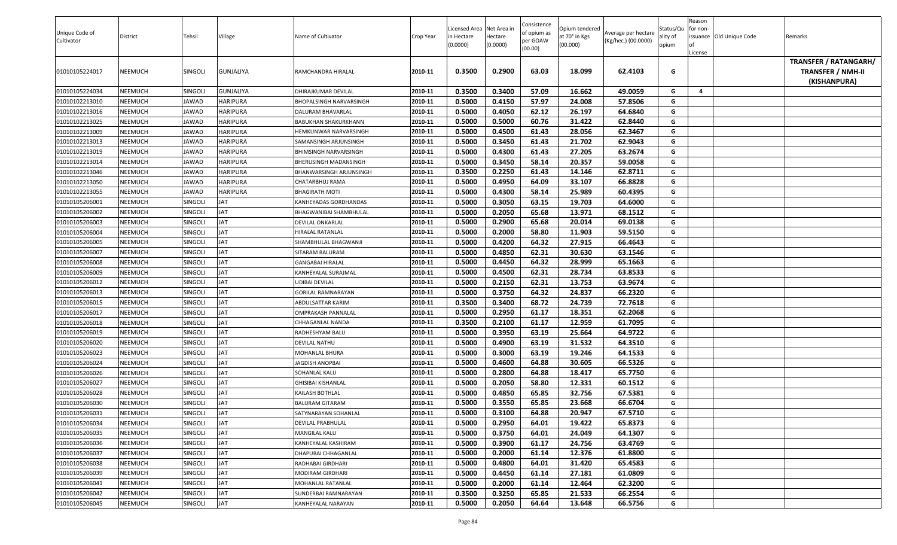|                |                |                |                 |                           |           |                          |                     | Consistence |                           |                     |                   | Reason   |                          |                              |
|----------------|----------------|----------------|-----------------|---------------------------|-----------|--------------------------|---------------------|-------------|---------------------------|---------------------|-------------------|----------|--------------------------|------------------------------|
| Unique Code of |                |                |                 |                           |           | Licensed Area Net Area i |                     | of opium as | Opium tendered            | Average per hectare | Status/Qu         | for non- |                          |                              |
| Cultivator     | District       | Tehsil         | Village         | Name of Cultivator        | Crop Year | in Hectare<br>(0.0000)   | Hectare<br>(0.0000) | per GOAW    | at 70° in Kgs<br>(00.000) | (Kg/hec.) (00.0000) | ality of<br>opium |          | issuance Old Unique Code | Remarks                      |
|                |                |                |                 |                           |           |                          |                     | (00.00)     |                           |                     |                   | .icense  |                          |                              |
|                |                |                |                 |                           |           |                          |                     |             |                           |                     |                   |          |                          | <b>TRANSFER / RATANGARH/</b> |
| 01010105224017 | <b>NEEMUCH</b> | <b>SINGOLI</b> | GUNJALIYA       | RAMCHANDRA HIRALAL        | 2010-11   | 0.3500                   | 0.2900              | 63.03       | 18.099                    | 62.4103             | G                 |          |                          | <b>TRANSFER / NMH-II</b>     |
|                |                |                |                 |                           |           |                          |                     |             |                           |                     |                   |          |                          | (KISHANPURA)                 |
| 01010105224034 | <b>NEEMUCH</b> | <b>SINGOLI</b> | GUNJALIYA       | DHIRAJKUMAR DEVILAL       | 2010-11   | 0.3500                   | 0.3400              | 57.09       | 16.662                    | 49.0059             | G                 | 4        |                          |                              |
| 01010102213010 | <b>NEEMUCH</b> | JAWAD          | <b>HARIPURA</b> | BHOPALSINGH NARVARSINGH   | 2010-11   | 0.5000                   | 0.4150              | 57.97       | 24.008                    | 57.8506             | G                 |          |                          |                              |
| 01010102213016 | <b>NEEMUCH</b> | IAWAD          | <b>HARIPURA</b> | DALURAM BHAVARLAL         | 2010-11   | 0.5000                   | 0.4050              | 62.12       | 26.197                    | 64.6840             | G                 |          |                          |                              |
| 01010102213025 | <b>NEEMUCH</b> | JAWAD          | <b>HARIPURA</b> | BABUKHAN SHAKURKHANN      | 2010-11   | 0.5000                   | 0.5000              | 60.76       | 31.422                    | 62.8440             | G                 |          |                          |                              |
| 01010102213009 | <b>NEEMUCH</b> | IAWAD          | <b>HARIPURA</b> | HEMKUNWAR NARVARSINGH     | 2010-11   | 0.5000                   | 0.4500              | 61.43       | 28.056                    | 62.3467             | G                 |          |                          |                              |
| 01010102213013 | <b>NEEMUCH</b> | JAWAD          | <b>HARIPURA</b> | SAMANSINGH ARJUNSINGH     | 2010-11   | 0.5000                   | 0.3450              | 61.43       | 21.702                    | 62.9043             | G                 |          |                          |                              |
| 01010102213019 | <b>NEEMUCH</b> | IAWAD          | <b>HARIPURA</b> | BHIMSINGH NARVARSINGH     | 2010-11   | 0.5000                   | 0.4300              | 61.43       | 27.205                    | 63.2674             | G                 |          |                          |                              |
| 01010102213014 | <b>NEEMUCH</b> | <b>IAWAD</b>   | <b>HARIPURA</b> | BHERUSINGH MADANSINGH     | 2010-11   | 0.5000                   | 0.3450              | 58.14       | 20.357                    | 59.0058             | G                 |          |                          |                              |
| 01010102213046 | <b>NEEMUCH</b> | IAWAD          | <b>HARIPURA</b> | BHANWARSINGH ARJUNSINGH   | 2010-11   | 0.3500                   | 0.2250              | 61.43       | 14.146                    | 62.8711             | G                 |          |                          |                              |
| 01010102213050 | <b>NEEMUCH</b> | JAWAD          | <b>HARIPURA</b> | CHATARBHUJ RAMA           | 2010-11   | 0.5000                   | 0.4950              | 64.09       | 33.107                    | 66.8828             | G                 |          |                          |                              |
| 01010102213055 | <b>NEEMUCH</b> | IAWAD          | <b>HARIPURA</b> | BHAGIRATH MOTI            | 2010-11   | 0.5000                   | 0.4300              | 58.14       | 25.989                    | 60.4395             | G                 |          |                          |                              |
| 01010105206001 | <b>NEEMUCH</b> | SINGOLI        | JAT             | KANHEYADAS GORDHANDAS     | 2010-11   | 0.5000                   | 0.3050              | 63.15       | 19.703                    | 64.6000             | G                 |          |                          |                              |
| 01010105206002 | <b>NEEMUCH</b> | <b>SINGOLI</b> | <b>JAT</b>      | BHAGWANIBAI SHAMBHULAL    | 2010-11   | 0.5000                   | 0.2050              | 65.68       | 13.971                    | 68.1512             | G                 |          |                          |                              |
| 01010105206003 | <b>NEEMUCH</b> | <b>SINGOLI</b> | <b>JAT</b>      | DEVILAL ONKARLAL          | 2010-11   | 0.5000                   | 0.2900              | 65.68       | 20.014                    | 69.0138             | G                 |          |                          |                              |
| 01010105206004 | <b>NEEMUCH</b> | <b>SINGOLI</b> | <b>JAT</b>      | HIRALAL RATANLAL          | 2010-11   | 0.5000                   | 0.2000              | 58.80       | 11.903                    | 59.5150             | G                 |          |                          |                              |
| 01010105206005 | <b>NEEMUCH</b> | <b>SINGOLI</b> | <b>JAT</b>      | SHAMBHULAL BHAGWANJI      | 2010-11   | 0.5000                   | 0.4200              | 64.32       | 27.915                    | 66.4643             | G                 |          |                          |                              |
| 01010105206007 | <b>NEEMUCH</b> | SINGOLI        | <b>JAT</b>      | SITARAM BALURAM           | 2010-11   | 0.5000                   | 0.4850              | 62.31       | 30.630                    | 63.1546             | G                 |          |                          |                              |
| 01010105206008 | <b>NEEMUCH</b> | SINGOLI        | <b>JAT</b>      | <b>GANGABAI HIRALAL</b>   | 2010-11   | 0.5000                   | 0.4450              | 64.32       | 28.999                    | 65.1663             | G                 |          |                          |                              |
| 01010105206009 | <b>NEEMUCH</b> | SINGOLI        | <b>JAT</b>      | KANHEYALAL SURAJMAL       | 2010-11   | 0.5000                   | 0.4500              | 62.31       | 28.734                    | 63.8533             | G                 |          |                          |                              |
| 01010105206012 | <b>NEEMUCH</b> | SINGOLI        | <b>JAT</b>      | UDIBAI DEVILAL            | 2010-11   | 0.5000                   | 0.2150              | 62.31       | 13.753                    | 63.9674             | G                 |          |                          |                              |
| 01010105206013 | <b>NEEMUCH</b> | <b>SINGOLI</b> | <b>JAT</b>      | <b>GORILAL RAMNARAYAN</b> | 2010-11   | 0.5000                   | 0.3750              | 64.32       | 24.837                    | 66.2320             | G                 |          |                          |                              |
| 01010105206015 | <b>NEEMUCH</b> | <b>SINGOLI</b> | <b>JAT</b>      | ABDULSATTAR KARIM         | 2010-11   | 0.3500                   | 0.3400              | 68.72       | 24.739                    | 72.7618             | G                 |          |                          |                              |
| 01010105206017 | NEEMUCH        | <b>SINGOLI</b> | <b>JAT</b>      | OMPRAKASH PANNALAL        | 2010-11   | 0.5000                   | 0.2950              | 61.17       | 18.351                    | 62.2068             | G                 |          |                          |                              |
| 01010105206018 | <b>NEEMUCH</b> | <b>SINGOLI</b> | JAT             | CHHAGANLAL NANDA          | 2010-11   | 0.3500                   | 0.2100              | 61.17       | 12.959                    | 61.7095             | G                 |          |                          |                              |
| 01010105206019 | <b>NEEMUCH</b> | SINGOLI        | <b>JAT</b>      | RADHESHYAM BALU           | 2010-11   | 0.5000                   | 0.3950              | 63.19       | 25.664                    | 64.9722             | G                 |          |                          |                              |
| 01010105206020 | <b>NEEMUCH</b> | SINGOLI        | JAT             | DEVILAL NATHU             | 2010-11   | 0.5000                   | 0.4900              | 63.19       | 31.532                    | 64.3510             | G                 |          |                          |                              |
| 01010105206023 | <b>NEEMUCH</b> | SINGOLI        | <b>JAT</b>      | MOHANLAL BHURA            | 2010-11   | 0.5000                   | 0.3000              | 63.19       | 19.246                    | 64.1533             | G                 |          |                          |                              |
| 01010105206024 | <b>NEEMUCH</b> | SINGOLI        | <b>JAT</b>      | <b>JAGDISH ANOPBAI</b>    | 2010-11   | 0.5000                   | 0.4600              | 64.88       | 30.605                    | 66.5326             | G                 |          |                          |                              |
| 01010105206026 | <b>NEEMUCH</b> | SINGOLI        | <b>JAT</b>      | SOHANLAL KALU             | 2010-11   | 0.5000                   | 0.2800              | 64.88       | 18.417                    | 65.7750             | G                 |          |                          |                              |
| 01010105206027 | <b>NEEMUCH</b> | <b>SINGOLI</b> | <b>JAT</b>      | GHISIBAI KISHANLAL        | 2010-11   | 0.5000                   | 0.2050              | 58.80       | 12.331                    | 60.1512             | G                 |          |                          |                              |
| 01010105206028 | <b>NEEMUCH</b> | <b>SINGOLI</b> | <b>JAT</b>      | KAILASH BOTHLAL           | 2010-11   | 0.5000                   | 0.4850              | 65.85       | 32.756                    | 67.5381             | G                 |          |                          |                              |
| 01010105206030 | <b>NEEMUCH</b> | <b>SINGOLI</b> | <b>JAT</b>      | BALURAM GITARAM           | 2010-11   | 0.5000                   | 0.3550              | 65.85       | 23.668                    | 66.6704             | G                 |          |                          |                              |
| 01010105206031 | <b>NEEMUCH</b> | SINGOLI        | <b>JAT</b>      | SATYNARAYAN SOHANLAL      | 2010-11   | 0.5000                   | 0.3100              | 64.88       | 20.947                    | 67.5710             | G                 |          |                          |                              |
| 01010105206034 | <b>NEEMUCH</b> | SINGOLI        | <b>JAT</b>      | DEVILAL PRABHULAL         | 2010-11   | 0.5000                   | 0.2950              | 64.01       | 19.422                    | 65.8373             | G                 |          |                          |                              |
| 01010105206035 | <b>NEEMUCH</b> | SINGOLI        | <b>JAT</b>      | MANGILAL KALU             | 2010-11   | 0.5000                   | 0.3750              | 64.01       | 24.049                    | 64.1307             | G                 |          |                          |                              |
| 01010105206036 | <b>NEEMUCH</b> | SINGOLI        | <b>JAT</b>      | KANHEYALAL KASHIRAM       | 2010-11   | 0.5000                   | 0.3900              | 61.17       | 24.756                    | 63.4769             | G                 |          |                          |                              |
| 01010105206037 | <b>NEEMUCH</b> | SINGOLI        | <b>JAT</b>      | DHAPUBAI CHHAGANLAL       | 2010-11   | 0.5000                   | 0.2000              | 61.14       | 12.376                    | 61.8800             | G                 |          |                          |                              |
| 01010105206038 | <b>NEEMUCH</b> | SINGOLI        | <b>JAT</b>      | RADHABAI GIRDHARI         | 2010-11   | 0.5000                   | 0.4800              | 64.01       | 31.420                    | 65.4583             | G                 |          |                          |                              |
| 01010105206039 | <b>NEEMUCH</b> | SINGOLI        | JAT             | <b>MODIRAM GIRDHARI</b>   | 2010-11   | 0.5000                   | 0.4450              | 61.14       | 27.181                    | 61.0809             | G                 |          |                          |                              |
| 01010105206041 | <b>NEEMUCH</b> | SINGOLI        | <b>JAT</b>      | MOHANLAL RATANLAL         | 2010-11   | 0.5000                   | 0.2000              | 61.14       | 12.464                    | 62.3200             | G                 |          |                          |                              |
| 01010105206042 | <b>NEEMUCH</b> | SINGOLI        | <b>JAT</b>      | SUNDERBAI RAMNARAYAN      | 2010-11   | 0.3500                   | 0.3250              | 65.85       | 21.533                    | 66.2554             | G                 |          |                          |                              |
| 01010105206045 | <b>NEEMUCH</b> | SINGOLI        | <b>JAT</b>      | KANHEYALAL NARAYAN        | 2010-11   | 0.5000                   | 0.2050              | 64.64       | 13.648                    | 66.5756             | G                 |          |                          |                              |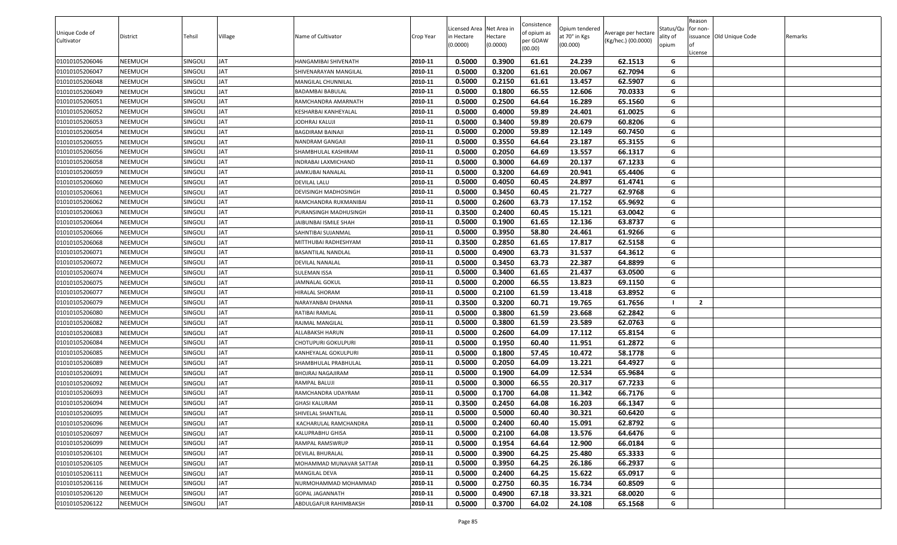| Unique Code of<br>Cultivator | District | Tehsil         | Village    | Name of Cultivator      | Crop Year | Licensed Area Net Area in<br>in Hectare<br>(0.0000) | lectare<br>(0.0000) | Consistence<br>of opium as<br>per GOAW<br>(00.00) | Opium tendered<br>at 70° in Kgs<br>(00.000) | Average per hectare<br>(Kg/hec.) (00.0000) | Status/Qu<br>ality of<br>opium | Reason<br>for non-<br>issuance Old Unique Code<br>.icense | Remarks |
|------------------------------|----------|----------------|------------|-------------------------|-----------|-----------------------------------------------------|---------------------|---------------------------------------------------|---------------------------------------------|--------------------------------------------|--------------------------------|-----------------------------------------------------------|---------|
| 01010105206046               | NEEMUCH  | <b>SINGOLI</b> | <b>JAT</b> | HANGAMIBAI SHIVENATH    | 2010-11   | 0.5000                                              | 0.3900              | 61.61                                             | 24.239                                      | 62.1513                                    | G                              |                                                           |         |
| 01010105206047               | NEEMUCH  | SINGOLI        | <b>JAT</b> | SHIVENARAYAN MANGILAL   | 2010-11   | 0.5000                                              | 0.3200              | 61.61                                             | 20.067                                      | 62.7094                                    | G                              |                                                           |         |
| 01010105206048               | NEEMUCH  | <b>SINGOLI</b> | <b>JAT</b> | MANGILAL CHUNNILAL      | 2010-11   | 0.5000                                              | 0.2150              | 61.61                                             | 13.457                                      | 62.5907                                    | G                              |                                                           |         |
| 01010105206049               | NEEMUCH  | SINGOLI        | JAT        | BADAMBAI BABULAL        | 2010-11   | 0.5000                                              | 0.1800              | 66.55                                             | 12.606                                      | 70.0333                                    | G                              |                                                           |         |
| 01010105206051               | NEEMUCH  | SINGOLI        | <b>JAT</b> | RAMCHANDRA AMARNATH     | 2010-11   | 0.5000                                              | 0.2500              | 64.64                                             | 16.289                                      | 65.1560                                    | G                              |                                                           |         |
| 01010105206052               | NEEMUCH  | SINGOLI        | <b>JAT</b> | KESHARBAI KANHEYALAL    | 2010-11   | 0.5000                                              | 0.4000              | 59.89                                             | 24.401                                      | 61.0025                                    | G                              |                                                           |         |
| 01010105206053               | NEEMUCH  | SINGOLI        | <b>JAT</b> | JODHRAJ KALUJI          | 2010-11   | 0.5000                                              | 0.3400              | 59.89                                             | 20.679                                      | 60.8206                                    | G                              |                                                           |         |
| 01010105206054               | NEEMUCH  | <b>SINGOLI</b> | JAT        | BAGDIRAM BAINAJI        | 2010-11   | 0.5000                                              | 0.2000              | 59.89                                             | 12.149                                      | 60.7450                                    | G                              |                                                           |         |
| 01010105206055               | NEEMUCH  | SINGOLI        | <b>JAT</b> | NANDRAM GANGAJI         | 2010-11   | 0.5000                                              | 0.3550              | 64.64                                             | 23.187                                      | 65.3155                                    | G                              |                                                           |         |
| 01010105206056               | NEEMUCH  | SINGOLI        | <b>JAT</b> | SHAMBHULAL KASHIRAM     | 2010-11   | 0.5000                                              | 0.2050              | 64.69                                             | 13.557                                      | 66.1317                                    | G                              |                                                           |         |
| 01010105206058               | NEEMUCH  | <b>SINGOLI</b> | <b>JAT</b> | INDRABAI LAXMICHAND     | 2010-11   | 0.5000                                              | 0.3000              | 64.69                                             | 20.137                                      | 67.1233                                    | G                              |                                                           |         |
| 01010105206059               | NEEMUCH  | SINGOLI        | JAT        | JAMKUBAI NANALAL        | 2010-11   | 0.5000                                              | 0.3200              | 64.69                                             | 20.941                                      | 65.4406                                    | G                              |                                                           |         |
| 01010105206060               | NEEMUCH  | SINGOLI        | <b>JAT</b> | DEVILAL LALU            | 2010-11   | 0.5000                                              | 0.4050              | 60.45                                             | 24.897                                      | 61.4741                                    | G                              |                                                           |         |
| 01010105206061               | NEEMUCH  | SINGOLI        | JAT        | DEVISINGH MADHOSINGH    | 2010-11   | 0.5000                                              | 0.3450              | 60.45                                             | 21.727                                      | 62.9768                                    | G                              |                                                           |         |
| 01010105206062               | NEEMUCH  | SINGOLI        | <b>JAT</b> | RAMCHANDRA RUKMANIBAI   | 2010-11   | 0.5000                                              | 0.2600              | 63.73                                             | 17.152                                      | 65.9692                                    | G                              |                                                           |         |
| 01010105206063               | NEEMUCH  | <b>SINGOLI</b> | JAT        | PURANSINGH MADHUSINGH   | 2010-11   | 0.3500                                              | 0.2400              | 60.45                                             | 15.121                                      | 63.0042                                    | G                              |                                                           |         |
| 01010105206064               | NEEMUCH  | SINGOLI        | <b>JAT</b> | JAIBUNBAI ISMILE SHAH   | 2010-11   | 0.5000                                              | 0.1900              | 61.65                                             | 12.136                                      | 63.8737                                    | G                              |                                                           |         |
| 01010105206066               | NEEMUCH  | SINGOLI        | JAT        | SAHNTIBAI SUJANMAL      | 2010-11   | 0.5000                                              | 0.3950              | 58.80                                             | 24.461                                      | 61.9266                                    | G                              |                                                           |         |
| 01010105206068               | NEEMUCH  | SINGOLI        | <b>JAT</b> | MITTHUBAI RADHESHYAM    | 2010-11   | 0.3500                                              | 0.2850              | 61.65                                             | 17.817                                      | 62.5158                                    | G                              |                                                           |         |
| 01010105206071               | NEEMUCH  | SINGOLI        | JAT        | BASANTILAL NANDLAL      | 2010-11   | 0.5000                                              | 0.4900              | 63.73                                             | 31.537                                      | 64.3612                                    | G                              |                                                           |         |
| 01010105206072               | NEEMUCH  | SINGOLI        | <b>JAT</b> | DEVILAL NANALAL         | 2010-11   | 0.5000                                              | 0.3450              | 63.73                                             | 22.387                                      | 64.8899                                    | G                              |                                                           |         |
| 01010105206074               | NEEMUCH  | SINGOLI        | JAT        | SULEMAN ISSA            | 2010-11   | 0.5000                                              | 0.3400              | 61.65                                             | 21.437                                      | 63.0500                                    | G                              |                                                           |         |
| 01010105206075               | NEEMUCH  | SINGOLI        | <b>JAT</b> | JAMNALAL GOKUL          | 2010-11   | 0.5000                                              | 0.2000              | 66.55                                             | 13.823                                      | 69.1150                                    | G                              |                                                           |         |
| 01010105206077               | NEEMUCH  | <b>SINGOLI</b> | JAT        | HIRALAL SHORAM          | 2010-11   | 0.5000                                              | 0.2100              | 61.59                                             | 13.418                                      | 63.8952                                    | G                              |                                                           |         |
| 01010105206079               | NEEMUCH  | <b>SINGOLI</b> | <b>JAT</b> | NARAYANBAI DHANNA       | 2010-11   | 0.3500                                              | 0.3200              | 60.71                                             | 19.765                                      | 61.7656                                    |                                | $\overline{2}$                                            |         |
| 01010105206080               | NEEMUCH  | SINGOLI        | JAT        | RATIBAI RAMLAL          | 2010-11   | 0.5000                                              | 0.3800              | 61.59                                             | 23.668                                      | 62.2842                                    | G                              |                                                           |         |
| 01010105206082               | NEEMUCH  | SINGOLI        | <b>JAT</b> | RAJMAL MANGILAL         | 2010-11   | 0.5000                                              | 0.3800              | 61.59                                             | 23.589                                      | 62.0763                                    | G                              |                                                           |         |
| 01010105206083               | NEEMUCH  | SINGOLI        | <b>JAT</b> | ALLABAKSH HARUN         | 2010-11   | 0.5000                                              | 0.2600              | 64.09                                             | 17.112                                      | 65.8154                                    | G                              |                                                           |         |
| 01010105206084               | NEEMUCH  | SINGOLI        | JAT        | CHOTUPURI GOKULPURI     | 2010-11   | 0.5000                                              | 0.1950              | 60.40                                             | 11.951                                      | 61.2872                                    | G                              |                                                           |         |
| 01010105206085               | NEEMUCH  | SINGOLI        | <b>JAT</b> | KANHEYALAL GOKULPURI    | 2010-11   | 0.5000                                              | 0.1800              | 57.45                                             | 10.472                                      | 58.1778                                    | G                              |                                                           |         |
| 01010105206089               | NEEMUCH  | SINGOLI        | <b>JAT</b> | SHAMBHULAL PRABHULAL    | 2010-11   | 0.5000                                              | 0.2050              | 64.09                                             | 13.221                                      | 64.4927                                    | G                              |                                                           |         |
| 01010105206091               | NEEMUCH  | SINGOLI        | <b>JAT</b> | BHOJRAJ NAGAJIRAM       | 2010-11   | 0.5000                                              | 0.1900              | 64.09                                             | 12.534                                      | 65.9684                                    | G                              |                                                           |         |
| 01010105206092               | NEEMUCH  | <b>SINGOLI</b> | JAT        | RAMPAL BALUJI           | 2010-11   | 0.5000                                              | 0.3000              | 66.55                                             | 20.317                                      | 67.7233                                    | G                              |                                                           |         |
| 01010105206093               | NEEMUCH  | SINGOLI        | <b>JAT</b> | RAMCHANDRA UDAYRAM      | 2010-11   | 0.5000                                              | 0.1700              | 64.08                                             | 11.342                                      | 66.7176                                    | G                              |                                                           |         |
| 01010105206094               | NEEMUCH  | SINGOLI        | <b>JAT</b> | GHASI KALURAM           | 2010-11   | 0.3500                                              | 0.2450              | 64.08                                             | 16.203                                      | 66.1347                                    | G                              |                                                           |         |
| 01010105206095               | NEEMUCH  | SINGOLI        | <b>JAT</b> | SHIVELAL SHANTILAL      | 2010-11   | 0.5000                                              | 0.5000              | 60.40                                             | 30.321                                      | 60.6420                                    | G                              |                                                           |         |
| 01010105206096               | NEEMUCH  | SINGOLI        | <b>JAT</b> | KACHARULAL RAMCHANDRA   | 2010-11   | 0.5000                                              | 0.2400              | 60.40                                             | 15.091                                      | 62.8792                                    | G                              |                                                           |         |
| 01010105206097               | NEEMUCH  | SINGOLI        | <b>JAT</b> | KALUPRABHU GHISA        | 2010-11   | 0.5000                                              | 0.2100              | 64.08                                             | 13.576                                      | 64.6476                                    | G                              |                                                           |         |
| 01010105206099               | NEEMUCH  | SINGOLI        | <b>JAT</b> | RAMPAL RAMSWRUP         | 2010-11   | 0.5000                                              | 0.1954              | 64.64                                             | 12.900                                      | 66.0184                                    | G                              |                                                           |         |
| 01010105206101               | NEEMUCH  | SINGOLI        | <b>JAT</b> | DEVILAL BHURALAL        | 2010-11   | 0.5000                                              | 0.3900              | 64.25                                             | 25.480                                      | 65.3333                                    | G                              |                                                           |         |
| 01010105206105               | NEEMUCH  | SINGOLI        | <b>JAT</b> | MOHAMMAD MUNAVAR SATTAR | 2010-11   | 0.5000                                              | 0.3950              | 64.25                                             | 26.186                                      | 66.2937                                    | G                              |                                                           |         |
| 01010105206111               | NEEMUCH  | SINGOLI        | <b>JAT</b> | MANGILAL DEVA           | 2010-11   | 0.5000                                              | 0.2400              | 64.25                                             | 15.622                                      | 65.0917                                    | G                              |                                                           |         |
| 01010105206116               | NEEMUCH  | SINGOLI        | <b>JAT</b> | NURMOHAMMAD MOHAMMAD    | 2010-11   | 0.5000                                              | 0.2750              | 60.35                                             | 16.734                                      | 60.8509                                    | G                              |                                                           |         |
| 01010105206120               | NEEMUCH  | SINGOLI        | <b>JAT</b> | GOPAL JAGANNATH         | 2010-11   | 0.5000                                              | 0.4900              | 67.18                                             | 33.321                                      | 68.0020                                    | G                              |                                                           |         |
| 01010105206122               | NEEMUCH  | SINGOLI        | <b>JAT</b> | ABDULGAFUR RAHIMBAKSH   | 2010-11   | 0.5000                                              | 0.3700              | 64.02                                             | 24.108                                      | 65.1568                                    | G                              |                                                           |         |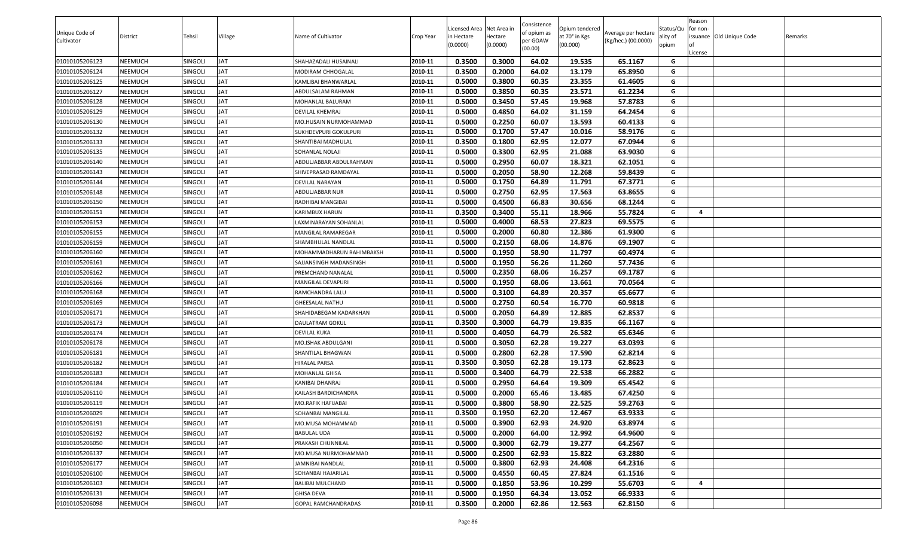| Unique Code of<br>Cultivator | District       | Tehsil         | Village    | Name of Cultivator         | Crop Year | Licensed Area Net Area in<br>n Hectare<br>(0.0000) | Hectare<br>(0.0000) | Consistence<br>of opium as<br>per GOAW<br>(00.00) | Opium tendered<br>at 70° in Kgs<br>(00.000) | Average per hectare<br>(Kg/hec.) (00.0000) | Status/Qu<br>ality of<br>opium | Reason<br>for non-<br>License | issuance Old Unique Code | Remarks |
|------------------------------|----------------|----------------|------------|----------------------------|-----------|----------------------------------------------------|---------------------|---------------------------------------------------|---------------------------------------------|--------------------------------------------|--------------------------------|-------------------------------|--------------------------|---------|
| 01010105206123               | NEEMUCH        | SINGOLI        | <b>JAT</b> | SHAHAZADALI HUSAINALI      | 2010-11   | 0.3500                                             | 0.3000              | 64.02                                             | 19.535                                      | 65.1167                                    | G                              |                               |                          |         |
| 01010105206124               | NEEMUCH        | SINGOLI        | <b>JAT</b> | MODIRAM CHHOGALAL          | 2010-11   | 0.3500                                             | 0.2000              | 64.02                                             | 13.179                                      | 65.8950                                    | G                              |                               |                          |         |
| 01010105206125               | NEEMUCH        | SINGOLI        | <b>JAT</b> | KAMLIBAI BHANWARLAL        | 2010-11   | 0.5000                                             | 0.3800              | 60.35                                             | 23.355                                      | 61.4605                                    | G                              |                               |                          |         |
| 01010105206127               | NEEMUCH        | SINGOLI        | <b>JAT</b> | ABDULSALAM RAHMAN          | 2010-11   | 0.5000                                             | 0.3850              | 60.35                                             | 23.571                                      | 61.2234                                    | G                              |                               |                          |         |
| 01010105206128               | NEEMUCH        | SINGOLI        | <b>JAT</b> | MOHANLAL BALURAM           | 2010-11   | 0.5000                                             | 0.3450              | 57.45                                             | 19.968                                      | 57.8783                                    | G                              |                               |                          |         |
| 01010105206129               | NEEMUCH        | Singoli        | <b>JAT</b> | DEVILAL KHEMRAJ            | 2010-11   | 0.5000                                             | 0.4850              | 64.02                                             | 31.159                                      | 64.2454                                    | G                              |                               |                          |         |
| 01010105206130               | NEEMUCH        | SINGOLI        | <b>JAT</b> | MO.HUSAIN NURMOHAMMAD      | 2010-11   | 0.5000                                             | 0.2250              | 60.07                                             | 13.593                                      | 60.4133                                    | G                              |                               |                          |         |
| 01010105206132               | NEEMUCH        | SINGOLI        | <b>JAT</b> | SUKHDEVPURI GOKULPURI      | 2010-11   | 0.5000                                             | 0.1700              | 57.47                                             | 10.016                                      | 58.9176                                    | G                              |                               |                          |         |
| 01010105206133               | NEEMUCH        | SINGOLI        | <b>JAT</b> | SHANTIBAI MADHULAL         | 2010-11   | 0.3500                                             | 0.1800              | 62.95                                             | 12.077                                      | 67.0944                                    | G                              |                               |                          |         |
| 01010105206135               | NEEMUCH        | SINGOLI        | <b>JAT</b> | SOHANLAL NOLAJI            | 2010-11   | 0.5000                                             | 0.3300              | 62.95                                             | 21.088                                      | 63.9030                                    | G                              |                               |                          |         |
| 01010105206140               | NEEMUCH        | SINGOLI        | <b>JAT</b> | ABDULJABBAR ABDULRAHMAN    | 2010-11   | 0.5000                                             | 0.2950              | 60.07                                             | 18.321                                      | 62.1051                                    | G                              |                               |                          |         |
| 01010105206143               | NEEMUCH        | SINGOLI        | <b>JAT</b> | SHIVEPRASAD RAMDAYAL       | 2010-11   | 0.5000                                             | 0.2050              | 58.90                                             | 12.268                                      | 59.8439                                    | G                              |                               |                          |         |
| 01010105206144               | NEEMUCH        | Singoli        | <b>JAT</b> | DEVILAL NARAYAN            | 2010-11   | 0.5000                                             | 0.1750              | 64.89                                             | 11.791                                      | 67.3771                                    | G                              |                               |                          |         |
| 01010105206148               | NEEMUCH        | SINGOLI        | <b>JAT</b> | ABDULJABBAR NUR            | 2010-11   | 0.5000                                             | 0.2750              | 62.95                                             | 17.563                                      | 63.8655                                    | G                              |                               |                          |         |
| 01010105206150               | NEEMUCH        | SINGOLI        | <b>JAT</b> | RADHIBAI MANGIBAI          | 2010-11   | 0.5000                                             | 0.4500              | 66.83                                             | 30.656                                      | 68.1244                                    | G                              |                               |                          |         |
| 01010105206151               | NEEMUCH        | SINGOLI        | <b>JAT</b> | KARIMBUX HARUN             | 2010-11   | 0.3500                                             | 0.3400              | 55.11                                             | 18.966                                      | 55.7824                                    | G                              | $\overline{4}$                |                          |         |
| 01010105206153               | NEEMUCH        | singoli        | <b>JAT</b> | LAXMINARAYAN SOHANLAL      | 2010-11   | 0.5000                                             | 0.4000              | 68.53                                             | 27.823                                      | 69.5575                                    | G                              |                               |                          |         |
| 01010105206155               | NEEMUCH        | <b>SINGOLI</b> | <b>JAT</b> | MANGILAL RAMAREGAR         | 2010-11   | 0.5000                                             | 0.2000              | 60.80                                             | 12.386                                      | 61.9300                                    | G                              |                               |                          |         |
| 01010105206159               | NEEMUCH        | SINGOLI        | <b>JAT</b> | SHAMBHULAL NANDLAL         | 2010-11   | 0.5000                                             | 0.2150              | 68.06                                             | 14.876                                      | 69.1907                                    | G                              |                               |                          |         |
| 01010105206160               | NEEMUCH        | SINGOLI        | <b>JAT</b> | MOHAMMADHARUN RAHIMBAKSH   | 2010-11   | 0.5000                                             | 0.1950              | 58.90                                             | 11.797                                      | 60.4974                                    | G                              |                               |                          |         |
| 01010105206161               | NEEMUCH        | SINGOLI        | <b>JAT</b> | SAJJANSINGH MADANSINGH     | 2010-11   | 0.5000                                             | 0.1950              | 56.26                                             | 11.260                                      | 57.7436                                    | G                              |                               |                          |         |
| 01010105206162               | NEEMUCH        | SINGOLI        | <b>JAT</b> | PREMCHAND NANALAL          | 2010-11   | 0.5000                                             | 0.2350              | 68.06                                             | 16.257                                      | 69.1787                                    | G                              |                               |                          |         |
| 01010105206166               | NEEMUCH        | Singoli        | <b>JAT</b> | MANGILAL DEVAPURI          | 2010-11   | 0.5000                                             | 0.1950              | 68.06                                             | 13.661                                      | 70.0564                                    | G                              |                               |                          |         |
| 01010105206168               | NEEMUCH        | SINGOLI        | <b>JAT</b> | RAMCHANDRA LALU            | 2010-11   | 0.5000                                             | 0.3100              | 64.89                                             | 20.357                                      | 65.6677                                    | G                              |                               |                          |         |
| 01010105206169               | NEEMUCH        | Singoli        | <b>JAT</b> | <b>GHEESALAL NATHU</b>     | 2010-11   | 0.5000                                             | 0.2750              | 60.54                                             | 16.770                                      | 60.9818                                    | G                              |                               |                          |         |
| 01010105206171               | NEEMUCH        | SINGOLI        | <b>JAT</b> | SHAHIDABEGAM KADARKHAN     | 2010-11   | 0.5000                                             | 0.2050              | 64.89                                             | 12.885                                      | 62.8537                                    | G                              |                               |                          |         |
| 01010105206173               | NEEMUCH        | SINGOLI        | <b>JAT</b> | <b>DAULATRAM GOKUL</b>     | 2010-11   | 0.3500                                             | 0.3000              | 64.79                                             | 19.835                                      | 66.1167                                    | G                              |                               |                          |         |
| 01010105206174               | NEEMUCH        | SINGOLI        | <b>JAT</b> | <b>DEVILAL KUKA</b>        | 2010-11   | 0.5000                                             | 0.4050              | 64.79                                             | 26.582                                      | 65.6346                                    | G                              |                               |                          |         |
| 01010105206178               | NEEMUCH        | SINGOLI        | <b>JAT</b> | MO.ISHAK ABDULGANI         | 2010-11   | 0.5000                                             | 0.3050              | 62.28                                             | 19.227                                      | 63.0393                                    | G                              |                               |                          |         |
| 01010105206181               | NEEMUCH        | SINGOLI        | <b>JAT</b> | SHANTILAL BHAGWAN          | 2010-11   | 0.5000                                             | 0.2800              | 62.28                                             | 17.590                                      | 62.8214                                    | G                              |                               |                          |         |
| 01010105206182               | NEEMUCH        | Singoli        | <b>JAT</b> | HIRALAL PARSA              | 2010-11   | 0.3500                                             | 0.3050              | 62.28                                             | 19.173                                      | 62.8623                                    | G                              |                               |                          |         |
| 01010105206183               | NEEMUCH        | SINGOLI        | <b>JAT</b> | MOHANLAL GHISA             | 2010-11   | 0.5000                                             | 0.3400              | 64.79                                             | 22.538                                      | 66.2882                                    | G                              |                               |                          |         |
| 01010105206184               | NEEMUCH        | SINGOLI        | <b>JAT</b> | KANIBAI DHANRAJ            | 2010-11   | 0.5000                                             | 0.2950              | 64.64                                             | 19.309                                      | 65.4542                                    | G                              |                               |                          |         |
| 01010105206110               | NEEMUCH        | SINGOLI        | <b>JAT</b> | KAILASH BARDICHANDRA       | 2010-11   | 0.5000                                             | 0.2000              | 65.46                                             | 13.485                                      | 67.4250                                    | G                              |                               |                          |         |
| 01010105206119               | NEEMUCH        | SINGOLI        | <b>JAT</b> | MO.RAFIK HAFIJABAI         | 2010-11   | 0.5000                                             | 0.3800              | 58.90                                             | 22.525                                      | 59.2763                                    | G                              |                               |                          |         |
| 01010105206029               | <b>NEEMUCH</b> | SINGOLI        | <b>JAT</b> | SOHANBAI MANGILAL          | 2010-11   | 0.3500                                             | 0.1950              | 62.20                                             | 12.467                                      | 63.9333                                    | G                              |                               |                          |         |
| 01010105206191               | NEEMUCH        | SINGOLI        | <b>JAT</b> | MO.MUSA MOHAMMAD           | 2010-11   | 0.5000                                             | 0.3900              | 62.93                                             | 24.920                                      | 63.8974                                    | G                              |                               |                          |         |
| 01010105206192               | NEEMUCH        | SINGOLI        | <b>JAT</b> | <b>BABULAL UDA</b>         | 2010-11   | 0.5000                                             | 0.2000              | 64.00                                             | 12.992                                      | 64.9600                                    | G                              |                               |                          |         |
| 01010105206050               | NEEMUCH        | SINGOLI        | <b>JAT</b> | PRAKASH CHUNNILAL          | 2010-11   | 0.5000                                             | 0.3000              | 62.79                                             | 19.277                                      | 64.2567                                    | G                              |                               |                          |         |
| 01010105206137               | NEEMUCH        | SINGOLI        | <b>JAT</b> | MO.MUSA NURMOHAMMAD        | 2010-11   | 0.5000                                             | 0.2500              | 62.93                                             | 15.822                                      | 63.2880                                    | G                              |                               |                          |         |
| 01010105206177               | NEEMUCH        | SINGOLI        | <b>JAT</b> | <b>JAMNIBAI NANDLAL</b>    | 2010-11   | 0.5000                                             | 0.3800              | 62.93                                             | 24.408                                      | 64.2316                                    | G                              |                               |                          |         |
| 01010105206100               | NEEMUCH        | SINGOLI        | <b>JAT</b> | SOHANBAI HAJARILAL         | 2010-11   | 0.5000                                             | 0.4550              | 60.45                                             | 27.824                                      | 61.1516                                    | G                              |                               |                          |         |
| 01010105206103               | NEEMUCH        | SINGOLI        | <b>JAT</b> | <b>BALIBAI MULCHAND</b>    | 2010-11   | 0.5000                                             | 0.1850              | 53.96                                             | 10.299                                      | 55.6703                                    | G                              | 4                             |                          |         |
| 01010105206131               | NEEMUCH        | SINGOLI        | <b>JAT</b> | <b>GHISA DEVA</b>          | 2010-11   | 0.5000                                             | 0.1950              | 64.34                                             | 13.052                                      | 66.9333                                    | G                              |                               |                          |         |
| 01010105206098               | NEEMUCH        | SINGOLI        | <b>JAT</b> | <b>GOPAL RAMCHANDRADAS</b> | 2010-11   | 0.3500                                             | 0.2000              | 62.86                                             | 12.563                                      | 62.8150                                    | G                              |                               |                          |         |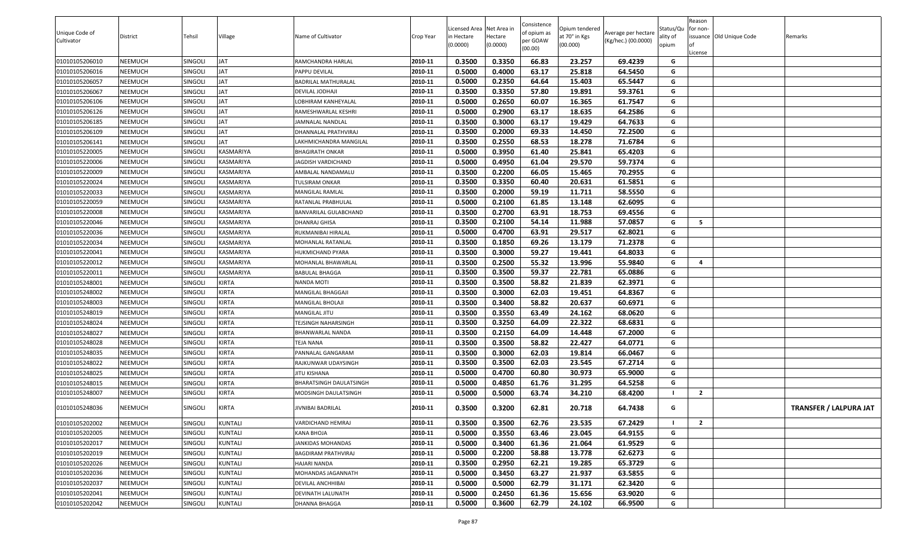| Unique Code of<br>Cultivator | District | Tehsil         | Village        | Name of Cultivator           | Crop Year | Licensed Area Net Area in<br>n Hectare<br>(0.0000) | Hectare<br>(0.0000) | Consistence<br>of opium as<br>per GOAW<br>(00.00) | Opium tendered<br>at 70° in Kgs<br>(00.000) | Average per hectare<br>(Kg/hec.) (00.0000) | Status/Qu<br>ality of<br>opium | Reason<br>for non-<br>License | issuance Old Unique Code | Remarks                       |
|------------------------------|----------|----------------|----------------|------------------------------|-----------|----------------------------------------------------|---------------------|---------------------------------------------------|---------------------------------------------|--------------------------------------------|--------------------------------|-------------------------------|--------------------------|-------------------------------|
| 01010105206010               | NEEMUCH  | SINGOLI        | <b>JAT</b>     | RAMCHANDRA HARLAL            | 2010-11   | 0.3500                                             | 0.3350              | 66.83                                             | 23.257                                      | 69.4239                                    | G                              |                               |                          |                               |
| 01010105206016               | NEEMUCH  | SINGOLI        | <b>JAT</b>     | PAPPU DEVILAL                | 2010-11   | 0.5000                                             | 0.4000              | 63.17                                             | 25.818                                      | 64.5450                                    | G                              |                               |                          |                               |
| 01010105206057               | NEEMUCH  | SINGOLI        | <b>JAT</b>     | BADRILAL MATHURALAL          | 2010-11   | 0.5000                                             | 0.2350              | 64.64                                             | 15.403                                      | 65.5447                                    | G                              |                               |                          |                               |
| 01010105206067               | NEEMUCH  | SINGOLI        | <b>JAT</b>     | DEVILAL JODHAJI              | 2010-11   | 0.3500                                             | 0.3350              | 57.80                                             | 19.891                                      | 59.3761                                    | G                              |                               |                          |                               |
| 01010105206106               | NEEMUCH  | SINGOLI        | <b>JAT</b>     | LOBHIRAM KANHEYALAL          | 2010-11   | 0.5000                                             | 0.2650              | 60.07                                             | 16.365                                      | 61.7547                                    | G                              |                               |                          |                               |
| 01010105206126               | NEEMUCH  | <b>SINGOLI</b> | <b>JAT</b>     | RAMESHWARLAL KESHRI          | 2010-11   | 0.5000                                             | 0.2900              | 63.17                                             | 18.635                                      | 64.2586                                    | G                              |                               |                          |                               |
| 01010105206185               | NEEMUCH  | SINGOLI        | <b>JAT</b>     | JAMNALAL NANDLAL             | 2010-11   | 0.3500                                             | 0.3000              | 63.17                                             | 19.429                                      | 64.7633                                    | G                              |                               |                          |                               |
| 01010105206109               | NEEMUCH  | SINGOLI        | <b>JAT</b>     | DHANNALAL PRATHVIRAJ         | 2010-11   | 0.3500                                             | 0.2000              | 69.33                                             | 14.450                                      | 72.2500                                    | G                              |                               |                          |                               |
| 01010105206141               | NEEMUCH  | SINGOLI        | <b>JAT</b>     | LAKHMICHANDRA MANGILAL       | 2010-11   | 0.3500                                             | 0.2550              | 68.53                                             | 18.278                                      | 71.6784                                    | $\mathsf{G}$                   |                               |                          |                               |
| 01010105220005               | NEEMUCH  | <b>SINGOLI</b> | KASMARIYA      | BHAGIRATH ONKAR              | 2010-11   | 0.5000                                             | 0.3950              | 61.40                                             | 25.841                                      | 65.4203                                    | G                              |                               |                          |                               |
| 01010105220006               | NEEMUCH  | SINGOLI        | KASMARIYA      | <b>JAGDISH VARDICHAND</b>    | 2010-11   | 0.5000                                             | 0.4950              | 61.04                                             | 29.570                                      | 59.7374                                    | G                              |                               |                          |                               |
| 01010105220009               | NEEMUCH  | SINGOLI        | KASMARIYA      | AMBALAL NANDAMALU            | 2010-11   | 0.3500                                             | 0.2200              | 66.05                                             | 15.465                                      | 70.2955                                    | G                              |                               |                          |                               |
| 01010105220024               | NEEMUCH  | <b>SINGOLI</b> | KASMARIYA      | TULSIRAM ONKAR               | 2010-11   | 0.3500                                             | 0.3350              | 60.40                                             | 20.631                                      | 61.5851                                    | G                              |                               |                          |                               |
| 01010105220033               | NEEMUCH  | SINGOLI        | KASMARIYA      | MANGILAL RAMLAL              | 2010-11   | 0.3500                                             | 0.2000              | 59.19                                             | 11.711                                      | 58.5550                                    | G                              |                               |                          |                               |
| 01010105220059               | NEEMUCH  | SINGOLI        | KASMARIYA      | RATANLAL PRABHULAL           | 2010-11   | 0.5000                                             | 0.2100              | 61.85                                             | 13.148                                      | 62.6095                                    | G                              |                               |                          |                               |
| 01010105220008               | NEEMUCH  | SINGOLI        | KASMARIYA      | <b>BANVARILAL GULABCHAND</b> | 2010-11   | 0.3500                                             | 0.2700              | 63.91                                             | 18.753                                      | 69.4556                                    | G                              |                               |                          |                               |
| 01010105220046               | NEEMUCH  | <b>SINGOLI</b> | KASMARIYA      | DHANRAJ GHISA                | 2010-11   | 0.3500                                             | 0.2100              | 54.14                                             | 11.988                                      | 57.0857                                    | G                              | 5                             |                          |                               |
| 01010105220036               | NEEMUCH  | SINGOLI        | KASMARIYA      | RUKMANIBAI HIRALAL           | 2010-11   | 0.5000                                             | 0.4700              | 63.91                                             | 29.517                                      | 62.8021                                    | G                              |                               |                          |                               |
| 01010105220034               | NEEMUCH  | SINGOLI        | KASMARIYA      | MOHANLAL RATANLAL            | 2010-11   | 0.3500                                             | 0.1850              | 69.26                                             | 13.179                                      | 71.2378                                    | G                              |                               |                          |                               |
| 01010105220041               | NEEMUCH  | <b>SINGOLI</b> | KASMARIYA      | HUKMICHAND PYARA             | 2010-11   | 0.3500                                             | 0.3000              | 59.27                                             | 19.441                                      | 64.8033                                    | G                              |                               |                          |                               |
| 01010105220012               | NEEMUCH  | SINGOLI        | KASMARIYA      | MOHANLAL BHAWARLAL           | 2010-11   | 0.3500                                             | 0.2500              | 55.32                                             | 13.996                                      | 55.9840                                    | G                              | -4                            |                          |                               |
| 01010105220011               | NEEMUCH  | SINGOLI        | KASMARIYA      | <b>BABULAL BHAGGA</b>        | 2010-11   | 0.3500                                             | 0.3500              | 59.37                                             | 22.781                                      | 65.0886                                    | G                              |                               |                          |                               |
| 01010105248001               | NEEMUCH  | SINGOLI        | <b>KIRTA</b>   | NANDA MOTI                   | 2010-11   | 0.3500                                             | 0.3500              | 58.82                                             | 21.839                                      | 62.3971                                    | G                              |                               |                          |                               |
| 01010105248002               | NEEMUCH  | SINGOLI        | <b>KIRTA</b>   | MANGILAL BHAGGAJI            | 2010-11   | 0.3500                                             | 0.3000              | 62.03                                             | 19.451                                      | 64.8367                                    | G                              |                               |                          |                               |
| 01010105248003               | NEEMUCH  | SINGOLI        | <b>KIRTA</b>   | MANGILAL BHOLAJI             | 2010-11   | 0.3500                                             | 0.3400              | 58.82                                             | 20.637                                      | 60.6971                                    | G                              |                               |                          |                               |
| 01010105248019               | NEEMUCH  | SINGOLI        | <b>KIRTA</b>   | MANGILAL JITU                | 2010-11   | 0.3500                                             | 0.3550              | 63.49                                             | 24.162                                      | 68.0620                                    | G                              |                               |                          |                               |
| 01010105248024               | NEEMUCH  | <b>SINGOLI</b> | <b>KIRTA</b>   | TEJSINGH NAHARSINGH          | 2010-11   | 0.3500                                             | 0.3250              | 64.09                                             | 22.322                                      | 68.6831                                    | G                              |                               |                          |                               |
| 01010105248027               | NEEMUCH  | SINGOLI        | <b>KIRTA</b>   | BHANWARLAL NANDA             | 2010-11   | 0.3500                                             | 0.2150              | 64.09                                             | 14.448                                      | 67.2000                                    | G                              |                               |                          |                               |
| 01010105248028               | NEEMUCH  | SINGOLI        | <b>KIRTA</b>   | TEJA NANA                    | 2010-11   | 0.3500                                             | 0.3500              | 58.82                                             | 22.427                                      | 64.0771                                    | G                              |                               |                          |                               |
| 01010105248035               | NEEMUCH  | SINGOLI        | <b>KIRTA</b>   | PANNALAL GANGARAM            | 2010-11   | 0.3500                                             | 0.3000              | 62.03                                             | 19.814                                      | 66.0467                                    | G                              |                               |                          |                               |
| 01010105248022               | NEEMUCH  | <b>SINGOLI</b> | <b>KIRTA</b>   | RAJKUNWAR UDAYSINGH          | 2010-11   | 0.3500                                             | 0.3500              | 62.03                                             | 23.545                                      | 67.2714                                    | G                              |                               |                          |                               |
| 01010105248025               | NEEMUCH  | SINGOLI        | <b>KIRTA</b>   | JITU KISHANA                 | 2010-11   | 0.5000                                             | 0.4700              | 60.80                                             | 30.973                                      | 65.9000                                    | G                              |                               |                          |                               |
| 01010105248015               | NEEMUCH  | SINGOLI        | <b>KIRTA</b>   | BHARATSINGH DAULATSINGH      | 2010-11   | 0.5000                                             | 0.4850              | 61.76                                             | 31.295                                      | 64.5258                                    | G                              |                               |                          |                               |
| 01010105248007               | NEEMUCH  | SINGOLI        | <b>KIRTA</b>   | MODSINGH DAULATSINGH         | 2010-11   | 0.5000                                             | 0.5000              | 63.74                                             | 34.210                                      | 68.4200                                    |                                | $\overline{2}$                |                          |                               |
| 01010105248036               | NEEMUCH  | SINGOLI        | <b>KIRTA</b>   | JIVNIBAI BADRILAL            | 2010-11   | 0.3500                                             | 0.3200              | 62.81                                             | 20.718                                      | 64.7438                                    | G                              |                               |                          | <b>TRANSFER / LALPURA JAT</b> |
| 01010105202002               | NEEMUCH  | <b>SINGOLI</b> | <b>KUNTALI</b> | VARDICHAND HEMRAJ            | 2010-11   | 0.3500                                             | 0.3500              | 62.76                                             | 23.535                                      | 67.2429                                    |                                | $\overline{2}$                |                          |                               |
| 01010105202005               | NEEMUCH  | SINGOLI        | <b>KUNTALI</b> | ALOHA BAAS                   | 2010-11   | 0.5000                                             | 0.3550              | 63.46                                             | 23.045                                      | 64.9155                                    | G                              |                               |                          |                               |
| 01010105202017               | NEEMUCH  | SINGOLI        | KUNTALI        | JANKIDAS MOHANDAS            | 2010-11   | 0.5000                                             | 0.3400              | 61.36                                             | 21.064                                      | 61.9529                                    | G                              |                               |                          |                               |
| 01010105202019               | NEEMUCH  | SINGOLI        | <b>KUNTALI</b> | BAGDIRAM PRATHVIRAJ          | 2010-11   | 0.5000                                             | 0.2200              | 58.88                                             | 13.778                                      | 62.6273                                    | G                              |                               |                          |                               |
| 01010105202026               | NEEMUCH  | SINGOLI        | KUNTALI        | HAJARI NANDA                 | 2010-11   | 0.3500                                             | 0.2950              | 62.21                                             | 19.285                                      | 65.3729                                    | G                              |                               |                          |                               |
| 01010105202036               | NEEMUCH  | <b>SINGOLI</b> | <b>KUNTALI</b> | MOHANDAS JAGANNATH           | 2010-11   | 0.5000                                             | 0.3450              | 63.27                                             | 21.937                                      | 63.5855                                    | G                              |                               |                          |                               |
| 01010105202037               | NEEMUCH  | SINGOLI        | <b>KUNTALI</b> | DEVILAL ANCHHIBAI            | 2010-11   | 0.5000                                             | 0.5000              | 62.79                                             | 31.171                                      | 62.3420                                    | G                              |                               |                          |                               |
| 01010105202041               | NEEMUCH  | SINGOLI        | <b>KUNTALI</b> | DEVINATH LALUNATH            | 2010-11   | 0.5000                                             | 0.2450              | 61.36                                             | 15.656                                      | 63.9020                                    | G                              |                               |                          |                               |
| 01010105202042               | NEEMUCH  | SINGOLI        | <b>KUNTALI</b> | <b>DHANNA BHAGGA</b>         | 2010-11   | 0.5000                                             | 0.3600              | 62.79                                             | 24.102                                      | 66.9500                                    | G                              |                               |                          |                               |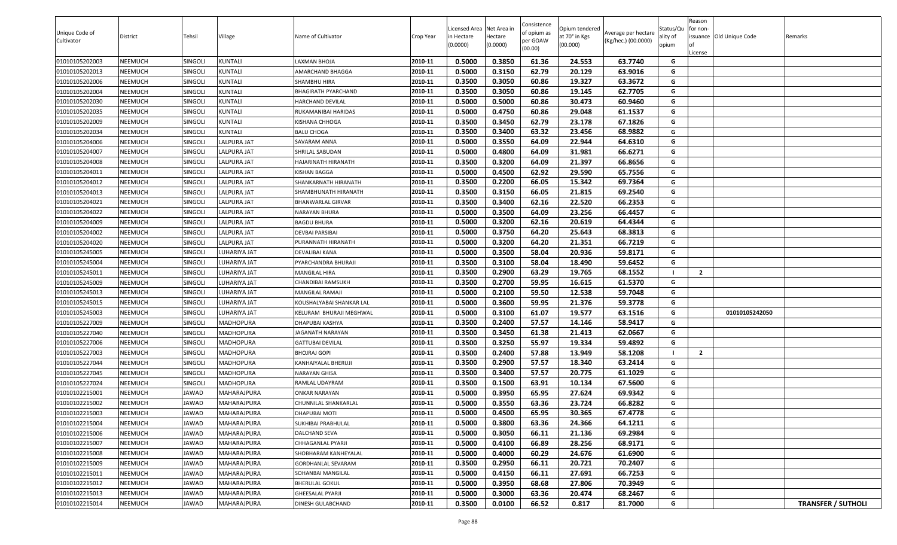| Unique Code of<br>Cultivator | <b>District</b> | Tehsil         | Village            | Name of Cultivator        | Crop Year | Licensed Area Net Area in<br>in Hectare<br>(0.0000) | lectare<br>(0.0000) | Consistence<br>of opium as<br>oer GOAW<br>(00.00) | Opium tendered<br>at 70° in Kgs<br>(00.000) | Average per hectare<br>(Kg/hec.) (00.0000) | Status/Qu<br>ality of<br>opium | Reason<br>for non-<br>issuance Old Unique Code | Remarks                   |
|------------------------------|-----------------|----------------|--------------------|---------------------------|-----------|-----------------------------------------------------|---------------------|---------------------------------------------------|---------------------------------------------|--------------------------------------------|--------------------------------|------------------------------------------------|---------------------------|
| 01010105202003               | NEEMUCH         | SINGOLI        | <b>KUNTALI</b>     | <b>AXMAN BHOJA</b>        | 2010-11   | 0.5000                                              | 0.3850              | 61.36                                             | 24.553                                      | 63.7740                                    | G                              | .icense                                        |                           |
| 01010105202013               | NEEMUCH         | SINGOLI        | <b>KUNTALI</b>     | <b>AMARCHAND BHAGGA</b>   | 2010-11   | 0.5000                                              | 0.3150              | 62.79                                             | 20.129                                      | 63.9016                                    | G                              |                                                |                           |
| 01010105202006               | NEEMUCH         | SINGOLI        | <b>KUNTALI</b>     | SHAMBHU HIRA              | 2010-11   | 0.3500                                              | 0.3050              | 60.86                                             | 19.327                                      | 63.3672                                    | G                              |                                                |                           |
| 01010105202004               | NEEMUCH         | SINGOLI        | KUNTALI            | BHAGIRATH PYARCHAND       | 2010-11   | 0.3500                                              | 0.3050              | 60.86                                             | 19.145                                      | 62.7705                                    | G                              |                                                |                           |
| 01010105202030               | NEEMUCH         | <b>SINGOLI</b> | KUNTALI            | HARCHAND DEVILAL          | 2010-11   | 0.5000                                              | 0.5000              | 60.86                                             | 30.473                                      | 60.9460                                    | G                              |                                                |                           |
| 01010105202035               | NEEMUCH         | SINGOLI        | <b>KUNTALI</b>     | RUKAMANIBAI HARIDAS       | 2010-11   | 0.5000                                              | 0.4750              | 60.86                                             | 29.048                                      | 61.1537                                    | G                              |                                                |                           |
| 01010105202009               | NEEMUCH         | SINGOLI        | <b>KUNTALI</b>     | KISHANA CHHOGA            | 2010-11   | 0.3500                                              | 0.3450              | 62.79                                             | 23.178                                      | 67.1826                                    | G                              |                                                |                           |
| 01010105202034               | NEEMUCH         | <b>SINGOLI</b> | KUNTALI            | <b>BALU CHOGA</b>         | 2010-11   | 0.3500                                              | 0.3400              | 63.32                                             | 23.456                                      | 68.9882                                    | G                              |                                                |                           |
| 01010105204006               | NEEMUCH         | SINGOLI        | <b>LALPURA JAT</b> | SAVARAM ANNA              | 2010-11   | 0.5000                                              | 0.3550              | 64.09                                             | 22.944                                      | 64.6310                                    | G                              |                                                |                           |
| 01010105204007               | NEEMUCH         | SINGOLI        | LALPURA JAT        | SHRILAL SABUDAN           | 2010-11   | 0.5000                                              | 0.4800              | 64.09                                             | 31.981                                      | 66.6271                                    | G                              |                                                |                           |
| 01010105204008               | NEEMUCH         | <b>SINGOLI</b> | LALPURA JAT        | HAJARINATH HIRANATH       | 2010-11   | 0.3500                                              | 0.3200              | 64.09                                             | 21.397                                      | 66.8656                                    | G                              |                                                |                           |
| 01010105204011               | NEEMUCH         | <b>SINGOLI</b> | LALPURA JAT        | KISHAN BAGGA              | 2010-11   | 0.5000                                              | 0.4500              | 62.92                                             | 29.590                                      | 65.7556                                    | G                              |                                                |                           |
| 01010105204012               | NEEMUCH         | <b>SINGOLI</b> | LALPURA JAT        | SHANKARNATH HIRANATH      | 2010-11   | 0.3500                                              | 0.2200              | 66.05                                             | 15.342                                      | 69.7364                                    | G                              |                                                |                           |
| 01010105204013               | NEEMUCH         | SINGOLI        | <b>LALPURA JAT</b> | SHAMBHUNATH HIRANATH      | 2010-11   | 0.3500                                              | 0.3150              | 66.05                                             | 21.815                                      | 69.2540                                    | G                              |                                                |                           |
| 01010105204021               | NEEMUCH         | SINGOLI        | <b>LALPURA JAT</b> | BHANWARLAL GIRVAR         | 2010-11   | 0.3500                                              | 0.3400              | 62.16                                             | 22.520                                      | 66.2353                                    | G                              |                                                |                           |
| 01010105204022               | NEEMUCH         | SINGOLI        | <b>LALPURA JAT</b> | NARAYAN BHURA             | 2010-11   | 0.5000                                              | 0.3500              | 64.09                                             | 23.256                                      | 66.4457                                    | G                              |                                                |                           |
| 01010105204009               | NEEMUCH         | SINGOLI        | LALPURA JAT        | <b>BAGDU BHURA</b>        | 2010-11   | 0.5000                                              | 0.3200              | 62.16                                             | 20.619                                      | 64.4344                                    | G                              |                                                |                           |
| 01010105204002               | NEEMUCH         | SINGOLI        | <b>LALPURA JAT</b> | <b>DEVBAI PARSIBAI</b>    | 2010-11   | 0.5000                                              | 0.3750              | 64.20                                             | 25.643                                      | 68.3813                                    | G                              |                                                |                           |
| 01010105204020               | NEEMUCH         | SINGOLI        | LALPURA JAT        | <b>PURANNATH HIRANATH</b> | 2010-11   | 0.5000                                              | 0.3200              | 64.20                                             | 21.351                                      | 66.7219                                    | G                              |                                                |                           |
| 01010105245005               | NEEMUCH         | <b>SINGOLI</b> | LUHARIYA JAT       | DEVALIBAI KANA            | 2010-11   | 0.5000                                              | 0.3500              | 58.04                                             | 20.936                                      | 59.8171                                    | G                              |                                                |                           |
| 01010105245004               | NEEMUCH         | SINGOLI        | LUHARIYA JAT       | PYARCHANDRA BHURAJI       | 2010-11   | 0.3500                                              | 0.3100              | 58.04                                             | 18.490                                      | 59.6452                                    | G                              |                                                |                           |
| 01010105245011               | NEEMUCH         | SINGOLI        | LUHARIYA JAT       | MANGILAL HIRA             | 2010-11   | 0.3500                                              | 0.2900              | 63.29                                             | 19.765                                      | 68.1552                                    |                                | $\overline{2}$                                 |                           |
| 01010105245009               | NEEMUCH         | SINGOLI        | LUHARIYA JAT       | CHANDIBAI RAMSUKH         | 2010-11   | 0.3500                                              | 0.2700              | 59.95                                             | 16.615                                      | 61.5370                                    | G                              |                                                |                           |
| 01010105245013               | NEEMUCH         | SINGOLI        | LUHARIYA JAT       | MANGILAL RAMAJI           | 2010-11   | 0.5000                                              | 0.2100              | 59.50                                             | 12.538                                      | 59.7048                                    | G                              |                                                |                           |
| 01010105245015               | NEEMUCH         | SINGOLI        | LUHARIYA JAT       | KOUSHALYABAI SHANKAR LAL  | 2010-11   | 0.5000                                              | 0.3600              | 59.95                                             | 21.376                                      | 59.3778                                    | G                              |                                                |                           |
| 01010105245003               | NEEMUCH         | SINGOLI        | LUHARIYA JAT       | KELURAM BHURAJI MEGHWAL   | 2010-11   | 0.5000                                              | 0.3100              | 61.07                                             | 19.577                                      | 63.1516                                    | G                              | 01010105242050                                 |                           |
| 01010105227009               | NEEMUCH         | SINGOLI        | MADHOPURA          | DHAPUBAI KASHYA           | 2010-11   | 0.3500                                              | 0.2400              | 57.57                                             | 14.146                                      | 58.9417                                    | G                              |                                                |                           |
| 01010105227040               | NEEMUCH         | SINGOLI        | MADHOPURA          | <b>JAGANATH NARAYAN</b>   | 2010-11   | 0.3500                                              | 0.3450              | 61.38                                             | 21.413                                      | 62.0667                                    | G                              |                                                |                           |
| 01010105227006               | NEEMUCH         | SINGOLI        | MADHOPURA          | GATTUBAI DEVILAL          | 2010-11   | 0.3500                                              | 0.3250              | 55.97                                             | 19.334                                      | 59.4892                                    | G                              |                                                |                           |
| 01010105227003               | NEEMUCH         | <b>SINGOLI</b> | MADHOPURA          | BHOJRAJ GOPI              | 2010-11   | 0.3500                                              | 0.2400              | 57.88                                             | 13.949                                      | 58.1208                                    |                                | $\overline{2}$                                 |                           |
| 01010105227044               | NEEMUCH         | SINGOLI        | MADHOPURA          | KANHAIYALAL BHERUJI       | 2010-11   | 0.3500                                              | 0.2900              | 57.57                                             | 18.340                                      | 63.2414                                    | G                              |                                                |                           |
| 01010105227045               | NEEMUCH         | SINGOLI        | <b>MADHOPURA</b>   | NARAYAN GHISA             | 2010-11   | 0.3500                                              | 0.3400              | 57.57                                             | 20.775                                      | 61.1029                                    | G                              |                                                |                           |
| 01010105227024               | NEEMUCH         | <b>SINGOLI</b> | MADHOPURA          | RAMLAL UDAYRAM            | 2010-11   | 0.3500                                              | 0.1500              | 63.91                                             | 10.134                                      | 67.5600                                    | G                              |                                                |                           |
| 01010102215001               | NEEMUCH         | JAWAD          | MAHARAJPURA        | ONKAR NARAYAN             | 2010-11   | 0.5000                                              | 0.3950              | 65.95                                             | 27.624                                      | 69.9342                                    | G                              |                                                |                           |
| 01010102215002               | NEEMUCH         | JAWAD          | MAHARAJPURA        | CHUNNILAL SHANKARLAL      | 2010-11   | 0.5000                                              | 0.3550              | 63.36                                             | 23.724                                      | 66.8282                                    | G                              |                                                |                           |
| 01010102215003               | NEEMUCH         | JAWAD          | <b>MAHARAJPURA</b> | DHAPUBAI MOTI             | 2010-11   | 0.5000                                              | 0.4500              | 65.95                                             | 30.365                                      | 67.4778                                    | G                              |                                                |                           |
| 01010102215004               | NEEMUCH         | JAWAD          | MAHARAJPURA        | SUKHIBAI PRABHULAL        | 2010-11   | 0.5000                                              | 0.3800              | 63.36                                             | 24.366                                      | 64.1211                                    | G                              |                                                |                           |
| 01010102215006               | NEEMUCH         | JAWAD          | MAHARAJPURA        | DALCHAND SEVA             | 2010-11   | 0.5000                                              | 0.3050              | 66.11                                             | 21.136                                      | 69.2984                                    | G                              |                                                |                           |
| 01010102215007               | NEEMUCH         | JAWAD          | MAHARAJPURA        | CHHAGANLAL PYARJI         | 2010-11   | 0.5000                                              | 0.4100              | 66.89                                             | 28.256                                      | 68.9171                                    | G                              |                                                |                           |
| 01010102215008               | NEEMUCH         | JAWAD          | MAHARAJPURA        | SHOBHARAM KANHEYALAL      | 2010-11   | 0.5000                                              | 0.4000              | 60.29                                             | 24.676                                      | 61.6900                                    | G                              |                                                |                           |
| 01010102215009               | NEEMUCH         | JAWAD          | MAHARAJPURA        | <b>GORDHANLAL SEVARAM</b> | 2010-11   | 0.3500                                              | 0.2950              | 66.11                                             | 20.721                                      | 70.2407                                    | G                              |                                                |                           |
| 01010102215011               | NEEMUCH         | JAWAD          | MAHARAJPURA        | SOHANBAI MANGILAL         | 2010-11   | 0.5000                                              | 0.4150              | 66.11                                             | 27.691                                      | 66.7253                                    | G                              |                                                |                           |
| 01010102215012               | NEEMUCH         | JAWAD          | MAHARAJPURA        | <b>BHERULAL GOKUL</b>     | 2010-11   | 0.5000                                              | 0.3950              | 68.68                                             | 27.806                                      | 70.3949                                    | G                              |                                                |                           |
| 01010102215013               | NEEMUCH         | JAWAD          | MAHARAJPURA        | <b>GHEESALAL PYARJI</b>   | 2010-11   | 0.5000                                              | 0.3000              | 63.36                                             | 20.474                                      | 68.2467                                    | G                              |                                                |                           |
| 01010102215014               | NEEMUCH         | JAWAD          | MAHARAJPURA        | DINESH GULABCHAND         | 2010-11   | 0.3500                                              | 0.0100              | 66.52                                             | 0.817                                       | 81.7000                                    | G                              |                                                | <b>TRANSFER / SUTHOLI</b> |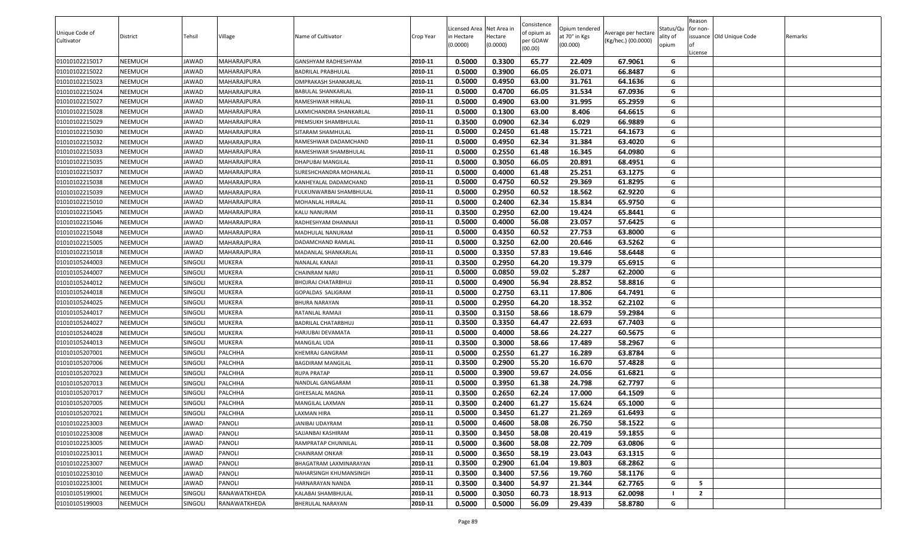| Unique Code of<br>Cultivator | District       | Tehsil  | Village             | Name of Cultivator          | Crop Year | Licensed Area Net Area in<br>n Hectare<br>(0.0000) | Hectare<br>(0.0000) | Consistence<br>of opium as<br>per GOAW<br>(00.00) | Opium tendered<br>at 70° in Kgs<br>(00.000) | Average per hectare<br>(Kg/hec.) (00.0000) | Status/Qu<br>ality of<br>opium | Reason<br>for non-<br>License | issuance Old Unique Code | Remarks |
|------------------------------|----------------|---------|---------------------|-----------------------------|-----------|----------------------------------------------------|---------------------|---------------------------------------------------|---------------------------------------------|--------------------------------------------|--------------------------------|-------------------------------|--------------------------|---------|
| 01010102215017               | NEEMUCH        | JAWAD   | MAHARAJPURA         | GANSHYAM RADHESHYAM         | 2010-11   | 0.5000                                             | 0.3300              | 65.77                                             | 22.409                                      | 67.9061                                    | G                              |                               |                          |         |
| 01010102215022               | NEEMUCH        | JAWAD   | MAHARAJPURA         | <b>BADRILAL PRABHULAL</b>   | 2010-11   | 0.5000                                             | 0.3900              | 66.05                                             | 26.071                                      | 66.8487                                    | G                              |                               |                          |         |
| 01010102215023               | NEEMUCH        | JAWAD   | MAHARAJPURA         | <b>OMPRAKASH SHANKARLAL</b> | 2010-11   | 0.5000                                             | 0.4950              | 63.00                                             | 31.761                                      | 64.1636                                    | G                              |                               |                          |         |
| 01010102215024               | NEEMUCH        | JAWAD   | MAHARAJPURA         | BABULAL SHANKARLAL          | 2010-11   | 0.5000                                             | 0.4700              | 66.05                                             | 31.534                                      | 67.0936                                    | G                              |                               |                          |         |
| 01010102215027               | NEEMUCH        | JAWAD   | MAHARAJPURA         | RAMESHWAR HIRALAL           | 2010-11   | 0.5000                                             | 0.4900              | 63.00                                             | 31.995                                      | 65.2959                                    | G                              |                               |                          |         |
| 01010102215028               | NEEMUCH        | JAWAD   | MAHARAJPURA         | LAXMICHANDRA SHANKARLAL     | 2010-11   | 0.5000                                             | 0.1300              | 63.00                                             | 8.406                                       | 64.6615                                    | G                              |                               |                          |         |
| 01010102215029               | NEEMUCH        | JAWAD   | MAHARAJPURA         | PREMSUKH SHAMBHULAL         | 2010-11   | 0.3500                                             | 0.0900              | 62.34                                             | 6.029                                       | 66.9889                                    | G                              |                               |                          |         |
| 01010102215030               | NEEMUCH        | JAWAD   | MAHARAJPURA         | SITARAM SHAMHULAL           | 2010-11   | 0.5000                                             | 0.2450              | 61.48                                             | 15.721                                      | 64.1673                                    | G                              |                               |                          |         |
| 01010102215032               | NEEMUCH        | JAWAD   | MAHARAJPURA         | RAMESHWAR DADAMCHAND        | 2010-11   | 0.5000                                             | 0.4950              | 62.34                                             | 31.384                                      | 63.4020                                    | G                              |                               |                          |         |
| 01010102215033               | NEEMUCH        | JAWAD   | MAHARAJPURA         | RAMESHWAR SHAMBHULAL        | 2010-11   | 0.5000                                             | 0.2550              | 61.48                                             | 16.345                                      | 64.0980                                    | G                              |                               |                          |         |
| 01010102215035               | NEEMUCH        | JAWAD   | MAHARAJPURA         | DHAPUBAI MANGILAL           | 2010-11   | 0.5000                                             | 0.3050              | 66.05                                             | 20.891                                      | 68.4951                                    | G                              |                               |                          |         |
| 01010102215037               | NEEMUCH        | JAWAD   | MAHARAJPURA         | SURESHCHANDRA MOHANLAL      | 2010-11   | 0.5000                                             | 0.4000              | 61.48                                             | 25.251                                      | 63.1275                                    | G                              |                               |                          |         |
| 01010102215038               | NEEMUCH        | JAWAD   | MAHARAJPURA         | KANHEYALAL DADAMCHAND       | 2010-11   | 0.5000                                             | 0.4750              | 60.52                                             | 29.369                                      | 61.8295                                    | G                              |                               |                          |         |
| 01010102215039               | NEEMUCH        | JAWAD   | MAHARAJPURA         | FULKUNWARBAI SHAMBHULAL     | 2010-11   | 0.5000                                             | 0.2950              | 60.52                                             | 18.562                                      | 62.9220                                    | G                              |                               |                          |         |
| 01010102215010               | NEEMUCH        | JAWAD   | MAHARAJPURA         | MOHANLAL HIRALAL            | 2010-11   | 0.5000                                             | 0.2400              | 62.34                                             | 15.834                                      | 65.9750                                    | G                              |                               |                          |         |
| 01010102215045               | NEEMUCH        | JAWAD   | MAHARAJPURA         | KALU NANURAM                | 2010-11   | 0.3500                                             | 0.2950              | 62.00                                             | 19.424                                      | 65.8441                                    | G                              |                               |                          |         |
| 01010102215046               | NEEMUCH        | JAWAD   | MAHARAJPURA         | RADHESHYAM DHANNAJI         | 2010-11   | 0.5000                                             | 0.4000              | 56.08                                             | 23.057                                      | 57.6425                                    | G                              |                               |                          |         |
| 01010102215048               | NEEMUCH        | JAWAD   | MAHARAJPURA         | MADHULAL NANURAM            | 2010-11   | 0.5000                                             | 0.4350              | 60.52                                             | 27.753                                      | 63.8000                                    | G                              |                               |                          |         |
| 01010102215005               | NEEMUCH        | JAWAD   | MAHARAJPURA         | DADAMCHAND RAMLAL           | 2010-11   | 0.5000                                             | 0.3250              | 62.00                                             | 20.646                                      | 63.5262                                    | G                              |                               |                          |         |
| 01010102215018               | NEEMUCH        | JAWAD   | MAHARAJPURA         | <b>MADANLAL SHANKARLAL</b>  | 2010-11   | 0.5000                                             | 0.3350              | 57.83                                             | 19.646                                      | 58.6448                                    | G                              |                               |                          |         |
| 01010105244003               | NEEMUCH        | SINGOLI | <b>MUKERA</b>       | NANALAL KANAJI              | 2010-11   | 0.3500                                             | 0.2950              | 64.20                                             | 19.379                                      | 65.6915                                    | G                              |                               |                          |         |
| 01010105244007               | NEEMUCH        | Singoli | <b>MUKERA</b>       | CHAINRAM NARU               | 2010-11   | 0.5000                                             | 0.0850              | 59.02                                             | 5.287                                       | 62.2000                                    | G                              |                               |                          |         |
| 01010105244012               | NEEMUCH        | Singoli | <b>MUKERA</b>       | BHOJRAJ CHATARBHUJ          | 2010-11   | 0.5000                                             | 0.4900              | 56.94                                             | 28.852                                      | 58.8816                                    | G                              |                               |                          |         |
| 01010105244018               | NEEMUCH        | SINGOLI | <b>MUKERA</b>       | GOPALDAS SALIGRAM           | 2010-11   | 0.5000                                             | 0.2750              | 63.11                                             | 17.806                                      | 64.7491                                    | G                              |                               |                          |         |
| 01010105244025               | NEEMUCH        | Singoli | <b>MUKERA</b>       | <b>BHURA NARAYAN</b>        | 2010-11   | 0.5000                                             | 0.2950              | 64.20                                             | 18.352                                      | 62.2102                                    | G                              |                               |                          |         |
| 01010105244017               | NEEMUCH        | SINGOLI | <b>MUKERA</b>       | RATANLAL RAMAJI             | 2010-11   | 0.3500                                             | 0.3150              | 58.66                                             | 18.679                                      | 59.2984                                    | G                              |                               |                          |         |
| 01010105244027               | NEEMUCH        | SINGOLI | <b>MUKERA</b>       | <b>BADRILAL CHATARBHUJ</b>  | 2010-11   | 0.3500                                             | 0.3350              | 64.47                                             | 22.693                                      | 67.7403                                    | G                              |                               |                          |         |
| 01010105244028               | NEEMUCH        | SINGOLI | <b>MUKERA</b>       | HARJUBAI DEVAMATA           | 2010-11   | 0.5000                                             | 0.4000              | 58.66                                             | 24.227                                      | 60.5675                                    | G                              |                               |                          |         |
| 01010105244013               | NEEMUCH        | SINGOLI | <b>MUKERA</b>       | MANGILAL UDA                | 2010-11   | 0.3500                                             | 0.3000              | 58.66                                             | 17.489                                      | 58.2967                                    | G                              |                               |                          |         |
| 01010105207001               | NEEMUCH        | SINGOLI | PALCHHA             | KHEMRAJ GANGRAM             | 2010-11   | 0.5000                                             | 0.2550              | 61.27                                             | 16.289                                      | 63.8784                                    | G                              |                               |                          |         |
| 01010105207006               | NEEMUCH        | Singoli | PALCHHA             | <b>BAGDIRAM MANGILAL</b>    | 2010-11   | 0.3500                                             | 0.2900              | 55.20                                             | 16.670                                      | 57.4828                                    | G                              |                               |                          |         |
| 01010105207023               | NEEMUCH        | SINGOLI | PALCHHA             | <b>RUPA PRATAP</b>          | 2010-11   | 0.5000                                             | 0.3900              | 59.67                                             | 24.056                                      | 61.6821                                    | G                              |                               |                          |         |
| 01010105207013               | NEEMUCH        | SINGOLI | PALCHHA             | NANDLAL GANGARAM            | 2010-11   | 0.5000                                             | 0.3950              | 61.38                                             | 24.798                                      | 62.7797                                    | G                              |                               |                          |         |
| 01010105207017               | NEEMUCH        | SINGOLI | PALCHHA             | <b>GHEESALAL MAGNA</b>      | 2010-11   | 0.3500                                             | 0.2650              | 62.24                                             | 17.000                                      | 64.1509                                    | G                              |                               |                          |         |
| 01010105207005               | NEEMUCH        | SINGOLI | PALCHHA             | MANGILAL LAXMAN             | 2010-11   | 0.3500                                             | 0.2400              | 61.27                                             | 15.624                                      | 65.1000                                    | G                              |                               |                          |         |
| 01010105207021               | <b>NEEMUCH</b> | SINGOLI | <b>PALCHHA</b>      | <b>LAXMAN HIRA</b>          | 2010-11   | 0.5000                                             | 0.3450              | 61.27                                             | 21.269                                      | 61.6493                                    | G                              |                               |                          |         |
| 01010102253003               | NEEMUCH        | JAWAD   | PANOLI              | JANIBAI UDAYRAM             | 2010-11   | 0.5000                                             | 0.4600              | 58.08                                             | 26.750                                      | 58.1522                                    | G                              |                               |                          |         |
| 01010102253008               | NEEMUCH        | JAWAD   | PANOLI              | SAJJANBAI KASHIRAM          | 2010-11   | 0.3500                                             | 0.3450              | 58.08                                             | 20.419                                      | 59.1855                                    | G                              |                               |                          |         |
| 01010102253005               | NEEMUCH        | JAWAD   | PANOLI              | RAMPRATAP CHUNNILAL         | 2010-11   | 0.5000                                             | 0.3600              | 58.08                                             | 22.709                                      | 63.0806                                    | G                              |                               |                          |         |
| 01010102253011               | NEEMUCH        | JAWAD   | PANOLI              | <b>CHAINRAM ONKAR</b>       | 2010-11   | 0.5000                                             | 0.3650              | 58.19                                             | 23.043                                      | 63.1315                                    | G                              |                               |                          |         |
| 01010102253007               | NEEMUCH        | JAWAD   | PANOLI              | BHAGATRAM LAXMINARAYAN      | 2010-11   | 0.3500                                             | 0.2900              | 61.04                                             | 19.803                                      | 68.2862                                    | G                              |                               |                          |         |
| 01010102253010               | NEEMUCH        | JAWAD   | <b>PANOLI</b>       | NAHARSINGH KHUMANSINGH      | 2010-11   | 0.3500                                             | 0.3400              | 57.56                                             | 19.760                                      | 58.1176                                    | G                              |                               |                          |         |
| 01010102253001               | NEEMUCH        | JAWAD   | PANOLI              | HARNARAYAN NANDA            | 2010-11   | 0.3500                                             | 0.3400              | 54.97                                             | 21.344                                      | 62.7765                                    | G                              | -5                            |                          |         |
| 01010105199001               | NEEMUCH        | SINGOLI | <b>RANAWATKHEDA</b> | KALABAI SHAMBHULAL          | 2010-11   | 0.5000                                             | 0.3050              | 60.73                                             | 18.913                                      | 62.0098                                    |                                | $\overline{2}$                |                          |         |
| 01010105199003               | NEEMUCH        | SINGOLI | RANAWATKHEDA        | <b>BHERULAL NARAYAN</b>     | 2010-11   | 0.5000                                             | 0.5000              | 56.09                                             | 29.439                                      | 58.8780                                    | G                              |                               |                          |         |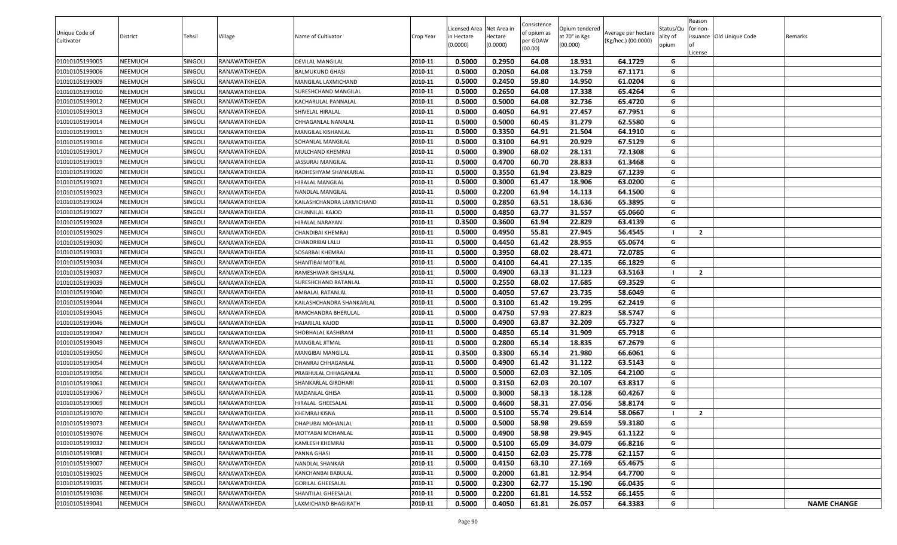| Unique Code of<br>Cultivator | District       | Tehsil         | Village      | Name of Cultivator        | Crop Year | Licensed Area Net Area in<br>in Hectare<br>(0.0000) | Hectare<br>(0.0000) | Consistence<br>of opium as<br>per GOAW<br>(00.00) | Opium tendered<br>at 70° in Kgs<br>(00.000) | Average per hectare<br>(Kg/hec.) (00.0000) | Status/Qu<br>ality of<br>opium | Reason<br>for non-<br>issuance Old Unique Code<br>.icense | Remarks            |
|------------------------------|----------------|----------------|--------------|---------------------------|-----------|-----------------------------------------------------|---------------------|---------------------------------------------------|---------------------------------------------|--------------------------------------------|--------------------------------|-----------------------------------------------------------|--------------------|
| 01010105199005               | NEEMUCH        | SINGOLI        | RANAWATKHEDA | DEVILAL MANGILAL          | 2010-11   | 0.5000                                              | 0.2950              | 64.08                                             | 18.931                                      | 64.1729                                    | G                              |                                                           |                    |
| 01010105199006               | NEEMUCH        | <b>SINGOLI</b> | RANAWATKHEDA | BALMUKUND GHASI           | 2010-11   | 0.5000                                              | 0.2050              | 64.08                                             | 13.759                                      | 67.1171                                    | G                              |                                                           |                    |
| 01010105199009               | NEEMUCH        | SINGOLI        | RANAWATKHEDA | MANGILAL LAXMICHAND       | 2010-11   | 0.5000                                              | 0.2450              | 59.80                                             | 14.950                                      | 61.0204                                    | G                              |                                                           |                    |
| 01010105199010               | NEEMUCH        | SINGOLI        | RANAWATKHEDA | SURESHCHAND MANGILAL      | 2010-11   | 0.5000                                              | 0.2650              | 64.08                                             | 17.338                                      | 65.4264                                    | G                              |                                                           |                    |
| 01010105199012               | NEEMUCH        | SINGOLI        | RANAWATKHEDA | KACHARULAL PANNALAL       | 2010-11   | 0.5000                                              | 0.5000              | 64.08                                             | 32.736                                      | 65.4720                                    | G                              |                                                           |                    |
| 01010105199013               | NEEMUCH        | SINGOLI        | RANAWATKHEDA | SHIVELAL HIRALAL          | 2010-11   | 0.5000                                              | 0.4050              | 64.91                                             | 27.457                                      | 67.7951                                    | G                              |                                                           |                    |
| 01010105199014               | NEEMUCH        | SINGOLI        | RANAWATKHEDA | CHHAGANLAL NANALAL        | 2010-11   | 0.5000                                              | 0.5000              | 60.45                                             | 31.279                                      | 62.5580                                    | G                              |                                                           |                    |
| 01010105199015               | NEEMUCH        | SINGOLI        | RANAWATKHEDA | MANGILAL KISHANLAL        | 2010-11   | 0.5000                                              | 0.3350              | 64.91                                             | 21.504                                      | 64.1910                                    | G                              |                                                           |                    |
| 01010105199016               | NEEMUCH        | <b>SINGOLI</b> | RANAWATKHEDA | SOHANLAL MANGILAL         | 2010-11   | 0.5000                                              | 0.3100              | 64.91                                             | 20.929                                      | 67.5129                                    | G                              |                                                           |                    |
| 01010105199017               | NEEMUCH        | SINGOLI        | RANAWATKHEDA | MULCHAND KHEMRAJ          | 2010-11   | 0.5000                                              | 0.3900              | 68.02                                             | 28.131                                      | 72.1308                                    | G                              |                                                           |                    |
| 01010105199019               | NEEMUCH        | SINGOLI        | RANAWATKHEDA | <b>JASSURAJ MANGILAL</b>  | 2010-11   | 0.5000                                              | 0.4700              | 60.70                                             | 28.833                                      | 61.3468                                    | G                              |                                                           |                    |
| 01010105199020               | NEEMUCH        | SINGOLI        | RANAWATKHEDA | RADHESHYAM SHANKARLAL     | 2010-11   | 0.5000                                              | 0.3550              | 61.94                                             | 23.829                                      | 67.1239                                    | G                              |                                                           |                    |
| 01010105199021               | NEEMUCH        | SINGOLI        | RANAWATKHEDA | HIRALAL MANGILAL          | 2010-11   | 0.5000                                              | 0.3000              | 61.47                                             | 18.906                                      | 63.0200                                    | G                              |                                                           |                    |
| 01010105199023               | NEEMUCH        | SINGOLI        | RANAWATKHEDA | NANDLAL MANGILAL          | 2010-11   | 0.5000                                              | 0.2200              | 61.94                                             | 14.113                                      | 64.1500                                    | G                              |                                                           |                    |
| 01010105199024               | NEEMUCH        | SINGOLI        | RANAWATKHEDA | KAILASHCHANDRA LAXMICHAND | 2010-11   | 0.5000                                              | 0.2850              | 63.51                                             | 18.636                                      | 65.3895                                    | G                              |                                                           |                    |
| 01010105199027               | NEEMUCH        | SINGOLI        | RANAWATKHEDA | CHUNNILAL KAJOD           | 2010-11   | 0.5000                                              | 0.4850              | 63.77                                             | 31.557                                      | 65.0660                                    | G                              |                                                           |                    |
| 01010105199028               | NEEMUCH        | <b>SINGOLI</b> | RANAWATKHEDA | HIRALAL NARAYAN           | 2010-11   | 0.3500                                              | 0.3600              | 61.94                                             | 22.829                                      | 63.4139                                    | G                              |                                                           |                    |
| 01010105199029               | NEEMUCH        | SINGOLI        | RANAWATKHEDA | CHANDIBAI KHEMRAJ         | 2010-11   | 0.5000                                              | 0.4950              | 55.81                                             | 27.945                                      | 56.4545                                    |                                | $\overline{2}$                                            |                    |
| 01010105199030               | NEEMUCH        | SINGOLI        | RANAWATKHEDA | CHANDRIBAI LALU           | 2010-11   | 0.5000                                              | 0.4450              | 61.42                                             | 28.955                                      | 65.0674                                    | G                              |                                                           |                    |
| 01010105199031               | NEEMUCH        | SINGOLI        | RANAWATKHEDA | SOSARBAI KHEMRAJ          | 2010-11   | 0.5000                                              | 0.3950              | 68.02                                             | 28.471                                      | 72.0785                                    | G                              |                                                           |                    |
| 01010105199034               | NEEMUCH        | <b>SINGOLI</b> | RANAWATKHEDA | SHANTIBAI MOTILAL         | 2010-11   | 0.5000                                              | 0.4100              | 64.41                                             | 27.135                                      | 66.1829                                    | G                              |                                                           |                    |
| 01010105199037               | NEEMUCH        | SINGOLI        | RANAWATKHEDA | RAMESHWAR GHISALAL        | 2010-11   | 0.5000                                              | 0.4900              | 63.13                                             | 31.123                                      | 63.5163                                    |                                | $\overline{2}$                                            |                    |
| 01010105199039               | NEEMUCH        | SINGOLI        | RANAWATKHEDA | SURESHCHAND RATANLAL      | 2010-11   | 0.5000                                              | 0.2550              | 68.02                                             | 17.685                                      | 69.3529                                    | G                              |                                                           |                    |
| 01010105199040               | NEEMUCH        | SINGOLI        | RANAWATKHEDA | AMBALAL RATANLAL          | 2010-11   | 0.5000                                              | 0.4050              | 57.67                                             | 23.735                                      | 58.6049                                    | G                              |                                                           |                    |
| 01010105199044               | NEEMUCH        | <b>SINGOLI</b> | RANAWATKHEDA | KAILASHCHANDRA SHANKARLAL | 2010-11   | 0.5000                                              | 0.3100              | 61.42                                             | 19.295                                      | 62.2419                                    | G                              |                                                           |                    |
| 01010105199045               | NEEMUCH        | SINGOLI        | RANAWATKHEDA | RAMCHANDRA BHERULAL       | 2010-11   | 0.5000                                              | 0.4750              | 57.93                                             | 27.823                                      | 58.5747                                    | G                              |                                                           |                    |
| 01010105199046               | NEEMUCH        | SINGOLI        | RANAWATKHEDA | HAJARILAL KAJOD           | 2010-11   | 0.5000                                              | 0.4900              | 63.87                                             | 32.209                                      | 65.7327                                    | G                              |                                                           |                    |
| 01010105199047               | NEEMUCH        | SINGOLI        | RANAWATKHEDA | SHOBHALAL KASHIRAM        | 2010-11   | 0.5000                                              | 0.4850              | 65.14                                             | 31.909                                      | 65.7918                                    | G                              |                                                           |                    |
| 01010105199049               | NEEMUCH        | SINGOLI        | RANAWATKHEDA | MANGILAL JITMAL           | 2010-11   | 0.5000                                              | 0.2800              | 65.14                                             | 18.835                                      | 67.2679                                    | G                              |                                                           |                    |
| 01010105199050               | NEEMUCH        | SINGOLI        | RANAWATKHEDA | MANGIBAI MANGILAL         | 2010-11   | 0.3500                                              | 0.3300              | 65.14                                             | 21.980                                      | 66.6061                                    | G                              |                                                           |                    |
| 01010105199054               | NEEMUCH        | SINGOLI        | RANAWATKHEDA | DHANRAJ CHHAGANLAL        | 2010-11   | 0.5000                                              | 0.4900              | 61.42                                             | 31.122                                      | 63.5143                                    | G                              |                                                           |                    |
| 01010105199056               | NEEMUCH        | SINGOLI        | RANAWATKHEDA | PRABHULAL CHHAGANLAL      | 2010-11   | 0.5000                                              | 0.5000              | 62.03                                             | 32.105                                      | 64.2100                                    | G                              |                                                           |                    |
| 01010105199061               | NEEMUCH        | SINGOLI        | RANAWATKHEDA | SHANKARLAL GIRDHARI       | 2010-11   | 0.5000                                              | 0.3150              | 62.03                                             | 20.107                                      | 63.8317                                    | G                              |                                                           |                    |
| 01010105199067               | NEEMUCH        | <b>SINGOLI</b> | RANAWATKHEDA | MADANLAL GHISA            | 2010-11   | 0.5000                                              | 0.3000              | 58.13                                             | 18.128                                      | 60.4267                                    | G                              |                                                           |                    |
| 01010105199069               | NEEMUCH        | SINGOLI        | RANAWATKHEDA | HIRALAL GHEESALAL         | 2010-11   | 0.5000                                              | 0.4600              | 58.31                                             | 27.056                                      | 58.8174                                    | G                              |                                                           |                    |
| 01010105199070               | <b>NEEMUCH</b> | SINGOLI        | RANAWATKHEDA | KHEMRAJ KISNA             | 2010-11   | 0.5000                                              | 0.5100              | 55.74                                             | 29.614                                      | 58.0667                                    |                                | $\overline{2}$                                            |                    |
| 01010105199073               | NEEMUCH        | SINGOLI        | RANAWATKHEDA | DHAPUBAI MOHANLAL         | 2010-11   | 0.5000                                              | 0.5000              | 58.98                                             | 29.659                                      | 59.3180                                    | G                              |                                                           |                    |
| 01010105199076               | NEEMUCH        | SINGOLI        | RANAWATKHEDA | MOTYABAI MOHANLAL         | 2010-11   | 0.5000                                              | 0.4900              | 58.98                                             | 29.945                                      | 61.1122                                    | G                              |                                                           |                    |
| 01010105199032               | NEEMUCH        | SINGOLI        | RANAWATKHEDA | KAMLESH KHEMRAJ           | 2010-11   | 0.5000                                              | 0.5100              | 65.09                                             | 34.079                                      | 66.8216                                    | G                              |                                                           |                    |
| 01010105199081               | NEEMUCH        | SINGOLI        | RANAWATKHEDA | PANNA GHASI               | 2010-11   | 0.5000                                              | 0.4150              | 62.03                                             | 25.778                                      | 62.1157                                    | G                              |                                                           |                    |
| 01010105199007               | NEEMUCH        | SINGOLI        | RANAWATKHEDA | NANDLAL SHANKAR           | 2010-11   | 0.5000                                              | 0.4150              | 63.10                                             | 27.169                                      | 65.4675                                    | G                              |                                                           |                    |
| 01010105199025               | NEEMUCH        | SINGOLI        | RANAWATKHEDA | KANCHANBAI BABULAL        | 2010-11   | 0.5000                                              | 0.2000              | 61.81                                             | 12.954                                      | 64.7700                                    | G                              |                                                           |                    |
| 01010105199035               | NEEMUCH        | SINGOLI        | RANAWATKHEDA | GORILAL GHEESALAL         | 2010-11   | 0.5000                                              | 0.2300              | 62.77                                             | 15.190                                      | 66.0435                                    | G                              |                                                           |                    |
| 01010105199036               | NEEMUCH        | SINGOLI        | RANAWATKHEDA | SHANTILAL GHEESALAL       | 2010-11   | 0.5000                                              | 0.2200              | 61.81                                             | 14.552                                      | 66.1455                                    | G                              |                                                           |                    |
| 01010105199041               | NEEMUCH        | SINGOLI        | RANAWATKHEDA | LAXMICHAND BHAGIRATH      | 2010-11   | 0.5000                                              | 0.4050              | 61.81                                             | 26.057                                      | 64.3383                                    | G                              |                                                           | <b>NAME CHANGE</b> |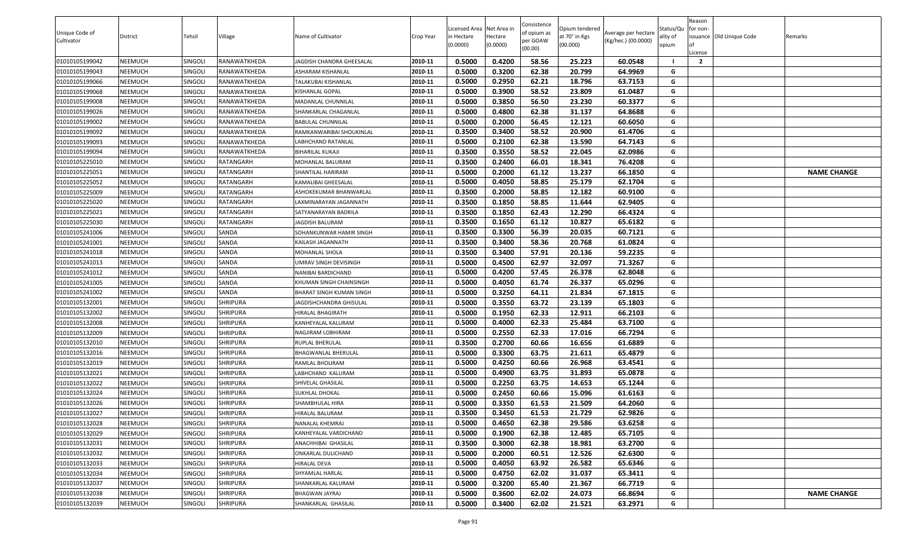| Unique Code of<br>Cultivator     | District           | Tehsil             | Village             | Name of Cultivator                                         | Crop Year          | Licensed Area Net Area in<br>n Hectare<br>(0.0000) | Hectare<br>(0.0000) | Consistence<br>of opium as<br>per GOAW | Opium tendered<br>at 70° in Kgs<br>(00.000) | Average per hectare<br>(Kg/hec.) (00.0000) | Status/Qu<br>ality of<br>opium | Reason<br>for non- | ssuance Old Unique Code | Remarks            |
|----------------------------------|--------------------|--------------------|---------------------|------------------------------------------------------------|--------------------|----------------------------------------------------|---------------------|----------------------------------------|---------------------------------------------|--------------------------------------------|--------------------------------|--------------------|-------------------------|--------------------|
|                                  |                    |                    |                     |                                                            |                    |                                                    |                     | (00.00)                                |                                             |                                            |                                | License            |                         |                    |
| 01010105199042                   | NEEMUCH            | SINGOLI            | <b>RANAWATKHEDA</b> | JAGDISH CHANDRA GHEESALAL                                  | 2010-11            | 0.5000                                             | 0.4200              | 58.56                                  | 25.223                                      | 60.0548                                    |                                | $\overline{2}$     |                         |                    |
| 01010105199043                   | NEEMUCH            | SINGOLI            | RANAWATKHEDA        | <b>ASHARAM KISHANLAL</b>                                   | 2010-11            | 0.5000                                             | 0.3200              | 62.38                                  | 20.799                                      | 64.9969                                    | G                              |                    |                         |                    |
| 01010105199066                   | NEEMUCH            | SINGOLI            | RANAWATKHEDA        | TALAKUBAI KISHANLAL                                        | 2010-11            | 0.5000                                             | 0.2950              | 62.21                                  | 18.796                                      | 63.7153                                    | G                              |                    |                         |                    |
| 01010105199068                   | NEEMUCH            | SINGOLI            | RANAWATKHEDA        | KISHANLAL GOPAL                                            | 2010-11            | 0.5000                                             | 0.3900              | 58.52                                  | 23.809                                      | 61.0487                                    | G                              |                    |                         |                    |
| 01010105199008                   | NEEMUCH            | singoli            | RANAWATKHEDA        | MADANLAL CHUNNILAL                                         | 2010-11            | 0.5000                                             | 0.3850              | 56.50                                  | 23.230                                      | 60.3377                                    | G                              |                    |                         |                    |
| 01010105199026                   | NEEMUCH            | Singoli            | RANAWATKHEDA        | SHANKARLAL CHAGANLAL                                       | 2010-11            | 0.5000                                             | 0.4800              | 62.38                                  | 31.137                                      | 64.8688                                    | G                              |                    |                         |                    |
| 01010105199002                   | NEEMUCH            | <b>SINGOLI</b>     | RANAWATKHEDA        | <b>BABULAL CHUNNILAL</b>                                   | 2010-11            | 0.5000                                             | 0.2000              | 56.45                                  | 12.121                                      | 60.6050                                    | G                              |                    |                         |                    |
| 01010105199092                   | NEEMUCH            | SINGOLI            | RANAWATKHEDA        | RAMKANWARIBAI SHOUKINLAL                                   | 2010-11            | 0.3500                                             | 0.3400              | 58.52                                  | 20.900                                      | 61.4706                                    | G                              |                    |                         |                    |
| 01010105199093                   | NEEMUCH            | singoli            | RANAWATKHEDA        | <b>LABHCHAND RATANLAL</b>                                  | 2010-11            | 0.5000                                             | 0.2100              | 62.38                                  | 13.590                                      | 64.7143                                    | G                              |                    |                         |                    |
| 01010105199094                   | NEEMUCH            | <b>SINGOLI</b>     | RANAWATKHEDA        | <b>BIHARILAL KUKAJI</b>                                    | 2010-11            | 0.3500                                             | 0.3550              | 58.52                                  | 22.045                                      | 62.0986                                    | G                              |                    |                         |                    |
| 01010105225010                   | NEEMUCH            | singoli            | RATANGARH           | MOHANLAL BALURAM                                           | 2010-11            | 0.3500                                             | 0.2400              | 66.01                                  | 18.341                                      | 76.4208                                    | G                              |                    |                         |                    |
| 01010105225051                   | NEEMUCH            | SINGOLI            | RATANGARH           | SHANTILAL HARIRAM                                          | 2010-11            | 0.5000                                             | 0.2000              | 61.12                                  | 13.237                                      | 66.1850                                    | G                              |                    |                         | <b>NAME CHANGE</b> |
| 01010105225052                   | NEEMUCH            | Singoli            | RATANGARH           | KAMALIBAI GHEESALAL                                        | 2010-11            | 0.5000                                             | 0.4050              | 58.85                                  | 25.179                                      | 62.1704                                    | G                              |                    |                         |                    |
| 01010105225009                   | NEEMUCH            | Singoli            | RATANGARH           | ASHOKEKUMAR BHANWARLAL                                     | 2010-11            | 0.3500                                             | 0.2000              | 58.85                                  | 12.182                                      | 60.9100                                    | G                              |                    |                         |                    |
| 01010105225020                   | NEEMUCH            | SINGOLI            | RATANGARH           | LAXMINARAYAN JAGANNATH                                     | 2010-11            | 0.3500                                             | 0.1850              | 58.85                                  | 11.644                                      | 62.9405                                    | G                              |                    |                         |                    |
| 01010105225021                   | NEEMUCH            | SINGOLI            | RATANGARH           | SATYANARAYAN BADRILA                                       | 2010-11            | 0.3500                                             | 0.1850              | 62.43                                  | 12.290                                      | 66.4324                                    | G                              |                    |                         |                    |
| 01010105225030                   | NEEMUCH            | singoli            | RATANGARH           | <b>JAGDISH BALURAM</b>                                     | 2010-11            | 0.3500                                             | 0.1650              | 61.12                                  | 10.827                                      | 65.6182                                    | G                              |                    |                         |                    |
| 01010105241006                   | NEEMUCH            | SINGOLI            | SANDA               | SOHANKUNWAR HAMIR SINGH                                    | 2010-11            | 0.3500                                             | 0.3300              | 56.39                                  | 20.035                                      | 60.7121                                    | G                              |                    |                         |                    |
| 01010105241001                   | NEEMUCH            | Singoli            | SANDA               | KAILASH JAGANNATH                                          | 2010-11            | 0.3500                                             | 0.3400              | 58.36                                  | 20.768                                      | 61.0824                                    | G                              |                    |                         |                    |
| 01010105241018                   | NEEMUCH            | SINGOLI            | SANDA               | MOHANLAL SHOLA                                             | 2010-11            | 0.3500                                             | 0.3400              | 57.91                                  | 20.136                                      | 59.2235                                    | G                              |                    |                         |                    |
| 01010105241013                   | NEEMUCH            | SINGOLI            | SANDA               | UMRAV SINGH DEVISINGH                                      | 2010-11            | 0.5000                                             | 0.4500              | 62.97                                  | 32.097                                      | 71.3267                                    | G                              |                    |                         |                    |
| 01010105241012                   | NEEMUCH<br>NEEMUCH | SINGOLI<br>Singoli | SANDA<br>SANDA      | NANIBAI BARDICHAND                                         | 2010-11<br>2010-11 | 0.5000<br>0.5000                                   | 0.4200<br>0.4050    | 57.45<br>61.74                         | 26.378<br>26.337                            | 62.8048<br>65.0296                         | G<br>G                         |                    |                         |                    |
| 01010105241005<br>01010105241002 | NEEMUCH            | SINGOLI            | SANDA               | KHUMAN SINGH CHAINSINGH<br><b>BHARAT SINGH KUMAN SINGH</b> | 2010-11            | 0.5000                                             | 0.3250              | 64.11                                  | 21.834                                      | 67.1815                                    | G                              |                    |                         |                    |
| 01010105132001                   | NEEMUCH            | singoli            | <b>SHRIPURA</b>     | JAGDISHCHANDRA GHISULAL                                    | 2010-11            | 0.5000                                             | 0.3550              | 63.72                                  | 23.139                                      | 65.1803                                    | G                              |                    |                         |                    |
| 01010105132002                   | NEEMUCH            | SINGOLI            | <b>SHRIPURA</b>     | HIRALAL BHAGIRATH                                          | 2010-11            | 0.5000                                             | 0.1950              | 62.33                                  | 12.911                                      | 66.2103                                    | G                              |                    |                         |                    |
| 01010105132008                   | NEEMUCH            | <b>SINGOLI</b>     | <b>SHRIPURA</b>     | KANHEYALAL KALURAM                                         | 2010-11            | 0.5000                                             | 0.4000              | 62.33                                  | 25.484                                      | 63.7100                                    | G                              |                    |                         |                    |
| 01010105132009                   | NEEMUCH            | SINGOLI            | <b>SHRIPURA</b>     | NAGJIRAM LOBHIRAM                                          | 2010-11            | 0.5000                                             | 0.2550              | 62.33                                  | 17.016                                      | 66.7294                                    | G                              |                    |                         |                    |
| 01010105132010                   | NEEMUCH            | SINGOLI            | <b>SHRIPURA</b>     | RUPLAL BHERULAL                                            | 2010-11            | 0.3500                                             | 0.2700              | 60.66                                  | 16.656                                      | 61.6889                                    | G                              |                    |                         |                    |
| 01010105132016                   | NEEMUCH            | SINGOLI            | <b>SHRIPURA</b>     | BHAGWANLAL BHERULAL                                        | 2010-11            | 0.5000                                             | 0.3300              | 63.75                                  | 21.611                                      | 65.4879                                    | G                              |                    |                         |                    |
| 01010105132019                   | NEEMUCH            | Singoli            | <b>SHRIPURA</b>     | RAMLAL BHOLIRAM                                            | 2010-11            | 0.5000                                             | 0.4250              | 60.66                                  | 26.968                                      | 63.4541                                    | G                              |                    |                         |                    |
| 01010105132021                   | NEEMUCH            | SINGOLI            | <b>SHRIPURA</b>     | LABHCHAND KALURAM                                          | 2010-11            | 0.5000                                             | 0.4900              | 63.75                                  | 31.893                                      | 65.0878                                    | G                              |                    |                         |                    |
| 01010105132022                   | NEEMUCH            | SINGOLI            | <b>SHRIPURA</b>     | SHIVELAL GHASILAL                                          | 2010-11            | 0.5000                                             | 0.2250              | 63.75                                  | 14.653                                      | 65.1244                                    | G                              |                    |                         |                    |
| 01010105132024                   | NEEMUCH            | SINGOLI            | <b>SHRIPURA</b>     | SUKHLAL DHOKAL                                             | 2010-11            | 0.5000                                             | 0.2450              | 60.66                                  | 15.096                                      | 61.6163                                    | G                              |                    |                         |                    |
| 01010105132026                   | NEEMUCH            | SINGOLI            | <b>SHRIPURA</b>     | SHAMBHULAL HIRA                                            | 2010-11            | 0.5000                                             | 0.3350              | 61.53                                  | 21.509                                      | 64.2060                                    | G                              |                    |                         |                    |
| 01010105132027                   | <b>NEEMUCH</b>     | SINGOLI            | <b>SHRIPURA</b>     | <b>HIRALAL BALURAM</b>                                     | 2010-11            | 0.3500                                             | 0.3450              | 61.53                                  | 21.729                                      | 62.9826                                    | G                              |                    |                         |                    |
| 01010105132028                   | NEEMUCH            | SINGOLI            | <b>SHRIPURA</b>     | NANALAL KHEMRAJ                                            | 2010-11            | 0.5000                                             | 0.4650              | 62.38                                  | 29.586                                      | 63.6258                                    | G                              |                    |                         |                    |
| 01010105132029                   | NEEMUCH            | SINGOLI            | <b>SHRIPURA</b>     | KANHEYALAL VARDICHAND                                      | 2010-11            | 0.5000                                             | 0.1900              | 62.38                                  | 12.485                                      | 65.7105                                    | G                              |                    |                         |                    |
| 01010105132031                   | NEEMUCH            | SINGOLI            | <b>SHRIPURA</b>     | ANACHHIBAI GHASILAL                                        | 2010-11            | 0.3500                                             | 0.3000              | 62.38                                  | 18.981                                      | 63.2700                                    | G                              |                    |                         |                    |
| 01010105132032                   | NEEMUCH            | SINGOLI            | <b>SHRIPURA</b>     | ONKARLAL DULICHAND                                         | 2010-11            | 0.5000                                             | 0.2000              | 60.51                                  | 12.526                                      | 62.6300                                    | G                              |                    |                         |                    |
| 01010105132033                   | NEEMUCH            | SINGOLI            | <b>SHRIPURA</b>     | HIRALAL DEVA                                               | 2010-11            | 0.5000                                             | 0.4050              | 63.92                                  | 26.582                                      | 65.6346                                    | G                              |                    |                         |                    |
| 01010105132034                   | NEEMUCH            | <b>SINGOLI</b>     | <b>SHRIPURA</b>     | SHYAMLAL HARLAL                                            | 2010-11            | 0.5000                                             | 0.4750              | 62.02                                  | 31.037                                      | 65.3411                                    | G                              |                    |                         |                    |
| 01010105132037                   | NEEMUCH            | <b>SINGOLI</b>     | <b>SHRIPURA</b>     | SHANKARLAL KALURAM                                         | 2010-11            | 0.5000                                             | 0.3200              | 65.40                                  | 21.367                                      | 66.7719                                    | G                              |                    |                         |                    |
| 01010105132038                   | NEEMUCH            | SINGOLI            | <b>SHRIPURA</b>     | <b>BHAGWAN JAYRAJ</b>                                      | 2010-11            | 0.5000                                             | 0.3600              | 62.02                                  | 24.073                                      | 66.8694                                    | G                              |                    |                         | <b>NAME CHANGE</b> |
| 01010105132039                   | <b>NEEMUCH</b>     | SINGOLI            | <b>SHRIPURA</b>     | SHANKARLAL GHASILAL                                        | 2010-11            | 0.5000                                             | 0.3400              | 62.02                                  | 21.521                                      | 63.2971                                    | G                              |                    |                         |                    |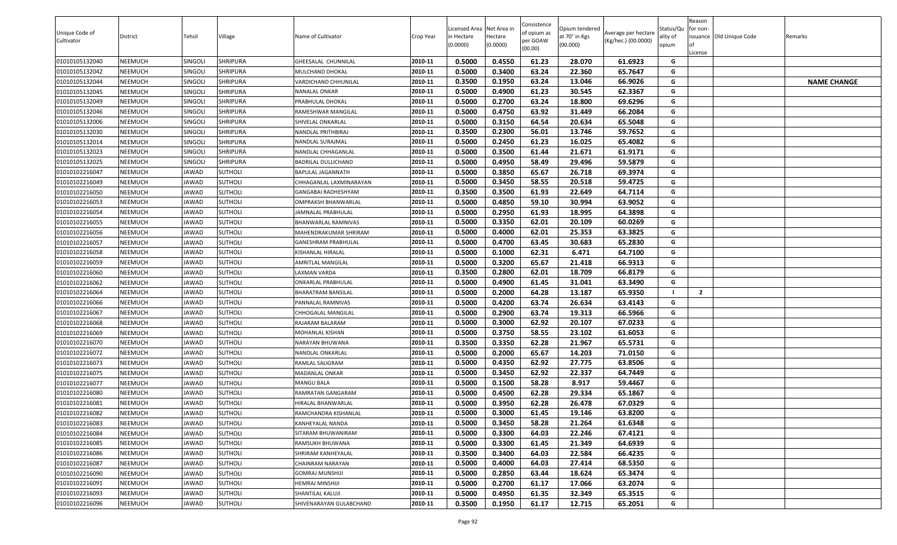| 2010-11<br>0.5000<br>0.4550<br>61.23<br>28.070<br>61.6923<br>01010105132040<br>NEEMUCH<br>SINGOLI<br><b>SHRIPURA</b><br>GHEESALAL CHUNNILAL<br>G<br>01010105132042<br>NEEMUCH<br><b>SHRIPURA</b><br>0.5000<br>0.3400<br>63.24<br>22.360<br>65.7647<br>SINGOLI<br>2010-11<br>G<br>MULCHAND DHOKAL<br>2010-11<br>0.3500<br>0.1950<br>13.046<br>66.9026<br>01010105132044<br>NEEMUCH<br>SINGOLI<br><b>SHRIPURA</b><br>VARDICHAND CHHUNILAL<br>63.24<br>G<br><b>NAME CHANGE</b><br>2010-11<br>0.5000<br>61.23<br>30.545<br>62.3367<br>G<br>SHRIPURA<br>0.4900<br>01010105132045<br>NEEMUCH<br>SINGOLI<br>NANALAL ONKAR<br>2010-11<br>0.5000<br>0.2700<br>63.24<br>18.800<br>69.6296<br>G<br>01010105132049<br>NEEMUCH<br><b>SINGOLI</b><br><b>SHRIPURA</b><br>PRABHULAL DHOKAL<br>2010-11<br>0.5000<br>63.92<br>G<br>01010105132046<br>NEEMUCH<br><b>SHRIPURA</b><br>0.4750<br>31.449<br>66.2084<br>SINGOLI<br>RAMESHWAR MANGILAL<br>0.5000<br>0.3150<br>64.54<br>20.634<br>65.5048<br>01010105132006<br>NEEMUCH<br>SINGOLI<br><b>SHRIPURA</b><br>2010-11<br>G<br>SHIVELAL ONKARLAL<br>0.3500<br>0.2300<br>56.01<br>13.746<br>59.7652<br>01010105132030<br>NEEMUCH<br>SHRIPURA<br>2010-11<br>G<br><b>SINGOLI</b><br>NANDLAL PRITHBIRAJ<br>01010105132014<br>2010-11<br>0.5000<br>0.2450<br>16.025<br>NEEMUCH<br>SINGOLI<br><b>SHRIPURA</b><br>61.23<br>65.4082<br>G<br>NANDLAL SURAJMAL<br>0.5000<br>01010105132023<br>NEEMUCH<br>2010-11<br>0.3500<br>61.44<br>21.671<br>61.9171<br>G<br>SINGOLI<br>SHRIPURA<br>NANDLAL CHHAGANLAL<br>0.5000<br>0.4950<br>59.5879<br>01010105132025<br>NEEMUCH<br>SINGOLI<br><b>SHRIPURA</b><br>2010-11<br>58.49<br>29.496<br>G<br>BADRILAL DULLICHAND<br>0.5000<br>0.3850<br>65.67<br>26.718<br>69.3974<br>SUTHOLI<br>G<br>01010102216047<br>NEEMUCH<br>JAWAD<br>2010-11<br>BAPULAL JAGANNATH<br>0.5000<br>0.3450<br>58.55<br>59.4725<br>01010102216049<br>NEEMUCH<br>JAWAD<br>SUTHOLI<br>2010-11<br>20.518<br>G<br>CHHAGANLAL LAXMINARAYAN<br>0.3500<br>61.93<br>0.3500<br>22.649<br>64.7114<br>G<br>2010-11<br>01010102216050<br>NEEMUCH<br>JAWAD<br><b>SUTHOLI</b><br>GANGABAI RADHESHYAM<br>01010102216053<br>NEEMUCH<br><b>SUTHOLI</b><br>2010-11<br>0.5000<br>0.4850<br>59.10<br>30.994<br>63.9052<br>G<br>JAWAD<br>OMPRAKSH BHANWARLAL | Unique Code of<br>Cultivator | <b>District</b> | Tehsil | Village | Name of Cultivator | Crop Year | Licensed Area Net Area in<br>in Hectare<br>(0.0000) | lectare<br>(0.0000) | Consistence<br>of opium as<br>oer GOAW<br>(00.00) | Opium tendered<br>at 70° in Kgs<br>(00.000) | Average per hectare<br>(Kg/hec.) (00.0000) | Status/Qu<br>ality of<br>opium | Reason<br>for non-<br>issuance Old Unique Code<br>.icense | Remarks |
|-----------------------------------------------------------------------------------------------------------------------------------------------------------------------------------------------------------------------------------------------------------------------------------------------------------------------------------------------------------------------------------------------------------------------------------------------------------------------------------------------------------------------------------------------------------------------------------------------------------------------------------------------------------------------------------------------------------------------------------------------------------------------------------------------------------------------------------------------------------------------------------------------------------------------------------------------------------------------------------------------------------------------------------------------------------------------------------------------------------------------------------------------------------------------------------------------------------------------------------------------------------------------------------------------------------------------------------------------------------------------------------------------------------------------------------------------------------------------------------------------------------------------------------------------------------------------------------------------------------------------------------------------------------------------------------------------------------------------------------------------------------------------------------------------------------------------------------------------------------------------------------------------------------------------------------------------------------------------------------------------------------------------------------------------------------------------------------------------------------------------------------------------------------------------------------------------------------------------------------------------------------------------------|------------------------------|-----------------|--------|---------|--------------------|-----------|-----------------------------------------------------|---------------------|---------------------------------------------------|---------------------------------------------|--------------------------------------------|--------------------------------|-----------------------------------------------------------|---------|
|                                                                                                                                                                                                                                                                                                                                                                                                                                                                                                                                                                                                                                                                                                                                                                                                                                                                                                                                                                                                                                                                                                                                                                                                                                                                                                                                                                                                                                                                                                                                                                                                                                                                                                                                                                                                                                                                                                                                                                                                                                                                                                                                                                                                                                                                             |                              |                 |        |         |                    |           |                                                     |                     |                                                   |                                             |                                            |                                |                                                           |         |
|                                                                                                                                                                                                                                                                                                                                                                                                                                                                                                                                                                                                                                                                                                                                                                                                                                                                                                                                                                                                                                                                                                                                                                                                                                                                                                                                                                                                                                                                                                                                                                                                                                                                                                                                                                                                                                                                                                                                                                                                                                                                                                                                                                                                                                                                             |                              |                 |        |         |                    |           |                                                     |                     |                                                   |                                             |                                            |                                |                                                           |         |
|                                                                                                                                                                                                                                                                                                                                                                                                                                                                                                                                                                                                                                                                                                                                                                                                                                                                                                                                                                                                                                                                                                                                                                                                                                                                                                                                                                                                                                                                                                                                                                                                                                                                                                                                                                                                                                                                                                                                                                                                                                                                                                                                                                                                                                                                             |                              |                 |        |         |                    |           |                                                     |                     |                                                   |                                             |                                            |                                |                                                           |         |
|                                                                                                                                                                                                                                                                                                                                                                                                                                                                                                                                                                                                                                                                                                                                                                                                                                                                                                                                                                                                                                                                                                                                                                                                                                                                                                                                                                                                                                                                                                                                                                                                                                                                                                                                                                                                                                                                                                                                                                                                                                                                                                                                                                                                                                                                             |                              |                 |        |         |                    |           |                                                     |                     |                                                   |                                             |                                            |                                |                                                           |         |
|                                                                                                                                                                                                                                                                                                                                                                                                                                                                                                                                                                                                                                                                                                                                                                                                                                                                                                                                                                                                                                                                                                                                                                                                                                                                                                                                                                                                                                                                                                                                                                                                                                                                                                                                                                                                                                                                                                                                                                                                                                                                                                                                                                                                                                                                             |                              |                 |        |         |                    |           |                                                     |                     |                                                   |                                             |                                            |                                |                                                           |         |
|                                                                                                                                                                                                                                                                                                                                                                                                                                                                                                                                                                                                                                                                                                                                                                                                                                                                                                                                                                                                                                                                                                                                                                                                                                                                                                                                                                                                                                                                                                                                                                                                                                                                                                                                                                                                                                                                                                                                                                                                                                                                                                                                                                                                                                                                             |                              |                 |        |         |                    |           |                                                     |                     |                                                   |                                             |                                            |                                |                                                           |         |
|                                                                                                                                                                                                                                                                                                                                                                                                                                                                                                                                                                                                                                                                                                                                                                                                                                                                                                                                                                                                                                                                                                                                                                                                                                                                                                                                                                                                                                                                                                                                                                                                                                                                                                                                                                                                                                                                                                                                                                                                                                                                                                                                                                                                                                                                             |                              |                 |        |         |                    |           |                                                     |                     |                                                   |                                             |                                            |                                |                                                           |         |
|                                                                                                                                                                                                                                                                                                                                                                                                                                                                                                                                                                                                                                                                                                                                                                                                                                                                                                                                                                                                                                                                                                                                                                                                                                                                                                                                                                                                                                                                                                                                                                                                                                                                                                                                                                                                                                                                                                                                                                                                                                                                                                                                                                                                                                                                             |                              |                 |        |         |                    |           |                                                     |                     |                                                   |                                             |                                            |                                |                                                           |         |
|                                                                                                                                                                                                                                                                                                                                                                                                                                                                                                                                                                                                                                                                                                                                                                                                                                                                                                                                                                                                                                                                                                                                                                                                                                                                                                                                                                                                                                                                                                                                                                                                                                                                                                                                                                                                                                                                                                                                                                                                                                                                                                                                                                                                                                                                             |                              |                 |        |         |                    |           |                                                     |                     |                                                   |                                             |                                            |                                |                                                           |         |
|                                                                                                                                                                                                                                                                                                                                                                                                                                                                                                                                                                                                                                                                                                                                                                                                                                                                                                                                                                                                                                                                                                                                                                                                                                                                                                                                                                                                                                                                                                                                                                                                                                                                                                                                                                                                                                                                                                                                                                                                                                                                                                                                                                                                                                                                             |                              |                 |        |         |                    |           |                                                     |                     |                                                   |                                             |                                            |                                |                                                           |         |
|                                                                                                                                                                                                                                                                                                                                                                                                                                                                                                                                                                                                                                                                                                                                                                                                                                                                                                                                                                                                                                                                                                                                                                                                                                                                                                                                                                                                                                                                                                                                                                                                                                                                                                                                                                                                                                                                                                                                                                                                                                                                                                                                                                                                                                                                             |                              |                 |        |         |                    |           |                                                     |                     |                                                   |                                             |                                            |                                |                                                           |         |
|                                                                                                                                                                                                                                                                                                                                                                                                                                                                                                                                                                                                                                                                                                                                                                                                                                                                                                                                                                                                                                                                                                                                                                                                                                                                                                                                                                                                                                                                                                                                                                                                                                                                                                                                                                                                                                                                                                                                                                                                                                                                                                                                                                                                                                                                             |                              |                 |        |         |                    |           |                                                     |                     |                                                   |                                             |                                            |                                |                                                           |         |
|                                                                                                                                                                                                                                                                                                                                                                                                                                                                                                                                                                                                                                                                                                                                                                                                                                                                                                                                                                                                                                                                                                                                                                                                                                                                                                                                                                                                                                                                                                                                                                                                                                                                                                                                                                                                                                                                                                                                                                                                                                                                                                                                                                                                                                                                             |                              |                 |        |         |                    |           |                                                     |                     |                                                   |                                             |                                            |                                |                                                           |         |
|                                                                                                                                                                                                                                                                                                                                                                                                                                                                                                                                                                                                                                                                                                                                                                                                                                                                                                                                                                                                                                                                                                                                                                                                                                                                                                                                                                                                                                                                                                                                                                                                                                                                                                                                                                                                                                                                                                                                                                                                                                                                                                                                                                                                                                                                             |                              |                 |        |         |                    |           |                                                     |                     |                                                   |                                             |                                            |                                |                                                           |         |
|                                                                                                                                                                                                                                                                                                                                                                                                                                                                                                                                                                                                                                                                                                                                                                                                                                                                                                                                                                                                                                                                                                                                                                                                                                                                                                                                                                                                                                                                                                                                                                                                                                                                                                                                                                                                                                                                                                                                                                                                                                                                                                                                                                                                                                                                             |                              |                 |        |         |                    |           |                                                     |                     |                                                   |                                             |                                            |                                |                                                           |         |
| 2010-11<br>0.5000<br>0.2950<br>61.93<br>01010102216054<br>NEEMUCH<br>JAWAD<br><b>SUTHOLI</b><br>JAMNALAL PRABHULAL<br>18.995<br>64.3898                                                                                                                                                                                                                                                                                                                                                                                                                                                                                                                                                                                                                                                                                                                                                                                                                                                                                                                                                                                                                                                                                                                                                                                                                                                                                                                                                                                                                                                                                                                                                                                                                                                                                                                                                                                                                                                                                                                                                                                                                                                                                                                                     |                              |                 |        |         |                    |           |                                                     |                     |                                                   |                                             |                                            | G                              |                                                           |         |
| 2010-11<br>0.5000<br>0.3350<br>20.109<br>60.0269<br>01010102216055<br>NEEMUCH<br><b>SUTHOLI</b><br>BHANWARLAL RAMNIVAS<br>62.01<br>G<br>JAWAD                                                                                                                                                                                                                                                                                                                                                                                                                                                                                                                                                                                                                                                                                                                                                                                                                                                                                                                                                                                                                                                                                                                                                                                                                                                                                                                                                                                                                                                                                                                                                                                                                                                                                                                                                                                                                                                                                                                                                                                                                                                                                                                               |                              |                 |        |         |                    |           |                                                     |                     |                                                   |                                             |                                            |                                |                                                           |         |
| 0.5000<br>01010102216056<br>0.4000<br>62.01<br>25.353<br>63.3825<br>NEEMUCH<br>JAWAD<br><b>SUTHOLI</b><br>2010-11<br>G<br>MAHENDRAKUMAR SHRIRAM                                                                                                                                                                                                                                                                                                                                                                                                                                                                                                                                                                                                                                                                                                                                                                                                                                                                                                                                                                                                                                                                                                                                                                                                                                                                                                                                                                                                                                                                                                                                                                                                                                                                                                                                                                                                                                                                                                                                                                                                                                                                                                                             |                              |                 |        |         |                    |           |                                                     |                     |                                                   |                                             |                                            |                                |                                                           |         |
| 01010102216057<br>0.5000<br>0.4700<br>30.683<br>65.2830<br>NEEMUCH<br>JAWAD<br><b>SUTHOLI</b><br>2010-11<br>63.45<br>G<br>GANESHRAM PRABHULAL                                                                                                                                                                                                                                                                                                                                                                                                                                                                                                                                                                                                                                                                                                                                                                                                                                                                                                                                                                                                                                                                                                                                                                                                                                                                                                                                                                                                                                                                                                                                                                                                                                                                                                                                                                                                                                                                                                                                                                                                                                                                                                                               |                              |                 |        |         |                    |           |                                                     |                     |                                                   |                                             |                                            |                                |                                                           |         |
| 0.5000<br>01010102216058<br>NEEMUCH<br><b>SUTHOLI</b><br>2010-11<br>0.1000<br>62.31<br>6.471<br>64.7100<br>JAWAD<br>KISHANLAL HIRALAL<br>G                                                                                                                                                                                                                                                                                                                                                                                                                                                                                                                                                                                                                                                                                                                                                                                                                                                                                                                                                                                                                                                                                                                                                                                                                                                                                                                                                                                                                                                                                                                                                                                                                                                                                                                                                                                                                                                                                                                                                                                                                                                                                                                                  |                              |                 |        |         |                    |           |                                                     |                     |                                                   |                                             |                                            |                                |                                                           |         |
| 0.5000<br>0.3200<br>65.67<br>NEEMUCH<br><b>SUTHOLI</b><br>2010-11<br>21.418<br>66.9313<br>G<br>01010102216059<br>JAWAD<br>AMRITLAL MANGILAL                                                                                                                                                                                                                                                                                                                                                                                                                                                                                                                                                                                                                                                                                                                                                                                                                                                                                                                                                                                                                                                                                                                                                                                                                                                                                                                                                                                                                                                                                                                                                                                                                                                                                                                                                                                                                                                                                                                                                                                                                                                                                                                                 |                              |                 |        |         |                    |           |                                                     |                     |                                                   |                                             |                                            |                                |                                                           |         |
| 0.3500<br>0.2800<br>62.01<br>18.709<br>01010102216060<br>NEEMUCH<br>JAWAD<br><b>SUTHOLI</b><br>2010-11<br>66.8179<br>G<br>LAXMAN VARDA                                                                                                                                                                                                                                                                                                                                                                                                                                                                                                                                                                                                                                                                                                                                                                                                                                                                                                                                                                                                                                                                                                                                                                                                                                                                                                                                                                                                                                                                                                                                                                                                                                                                                                                                                                                                                                                                                                                                                                                                                                                                                                                                      |                              |                 |        |         |                    |           |                                                     |                     |                                                   |                                             |                                            |                                |                                                           |         |
| NEEMUCH<br><b>SUTHOLI</b><br>2010-11<br>0.5000<br>0.4900<br>61.45<br>31.041<br>63.3490<br>01010102216062<br>JAWAD<br>G<br>ONKARLAL PRABHULAL                                                                                                                                                                                                                                                                                                                                                                                                                                                                                                                                                                                                                                                                                                                                                                                                                                                                                                                                                                                                                                                                                                                                                                                                                                                                                                                                                                                                                                                                                                                                                                                                                                                                                                                                                                                                                                                                                                                                                                                                                                                                                                                                |                              |                 |        |         |                    |           |                                                     |                     |                                                   |                                             |                                            |                                |                                                           |         |
| 0.5000<br>0.2000<br>01010102216064<br>NEEMUCH<br>JAWAD<br><b>SUTHOLI</b><br>2010-11<br>64.28<br>13.187<br>65.9350<br>$\overline{2}$<br>BHARATRAM BANSILAL                                                                                                                                                                                                                                                                                                                                                                                                                                                                                                                                                                                                                                                                                                                                                                                                                                                                                                                                                                                                                                                                                                                                                                                                                                                                                                                                                                                                                                                                                                                                                                                                                                                                                                                                                                                                                                                                                                                                                                                                                                                                                                                   |                              |                 |        |         |                    |           |                                                     |                     |                                                   |                                             |                                            |                                |                                                           |         |
| 0.5000<br>0.4200<br>63.74<br>26.634<br>01010102216066<br>NEEMUCH<br>SUTHOLI<br>2010-11<br>63.4143<br>G<br>JAWAD<br>PANNALAL RAMNIVAS                                                                                                                                                                                                                                                                                                                                                                                                                                                                                                                                                                                                                                                                                                                                                                                                                                                                                                                                                                                                                                                                                                                                                                                                                                                                                                                                                                                                                                                                                                                                                                                                                                                                                                                                                                                                                                                                                                                                                                                                                                                                                                                                        |                              |                 |        |         |                    |           |                                                     |                     |                                                   |                                             |                                            |                                |                                                           |         |
| 2010-11<br>01010102216067<br>0.5000<br>0.2900<br>63.74<br>19.313<br>66.5966<br>G<br>NEEMUCH<br>JAWAD<br><b>SUTHOLI</b><br>CHHOGALAL MANGILAL                                                                                                                                                                                                                                                                                                                                                                                                                                                                                                                                                                                                                                                                                                                                                                                                                                                                                                                                                                                                                                                                                                                                                                                                                                                                                                                                                                                                                                                                                                                                                                                                                                                                                                                                                                                                                                                                                                                                                                                                                                                                                                                                |                              |                 |        |         |                    |           |                                                     |                     |                                                   |                                             |                                            |                                |                                                           |         |
| 2010-11<br>0.5000<br>01010102216068<br>NEEMUCH<br>0.3000<br>62.92<br>20.107<br>67.0233<br>G<br>JAWAD<br><b>SUTHOLI</b><br>RAJARAM BALARAM                                                                                                                                                                                                                                                                                                                                                                                                                                                                                                                                                                                                                                                                                                                                                                                                                                                                                                                                                                                                                                                                                                                                                                                                                                                                                                                                                                                                                                                                                                                                                                                                                                                                                                                                                                                                                                                                                                                                                                                                                                                                                                                                   |                              |                 |        |         |                    |           |                                                     |                     |                                                   |                                             |                                            |                                |                                                           |         |
| 2010-11<br>0.5000<br>0.3750<br>58.55<br>23.102<br>61.6053<br>01010102216069<br>NEEMUCH<br>JAWAD<br><b>SUTHOLI</b><br>MOHANLAL KISHAN<br>G                                                                                                                                                                                                                                                                                                                                                                                                                                                                                                                                                                                                                                                                                                                                                                                                                                                                                                                                                                                                                                                                                                                                                                                                                                                                                                                                                                                                                                                                                                                                                                                                                                                                                                                                                                                                                                                                                                                                                                                                                                                                                                                                   |                              |                 |        |         |                    |           |                                                     |                     |                                                   |                                             |                                            |                                |                                                           |         |
| 0.3500<br>0.3350<br>62.28<br>65.5731<br>G<br>SUTHOLI<br>2010-11<br>21.967<br>01010102216070<br>NEEMUCH<br>JAWAD<br>NARAYAN BHUWANA                                                                                                                                                                                                                                                                                                                                                                                                                                                                                                                                                                                                                                                                                                                                                                                                                                                                                                                                                                                                                                                                                                                                                                                                                                                                                                                                                                                                                                                                                                                                                                                                                                                                                                                                                                                                                                                                                                                                                                                                                                                                                                                                          |                              |                 |        |         |                    |           |                                                     |                     |                                                   |                                             |                                            |                                |                                                           |         |
| 0.5000<br>0.2000<br>65.67<br>14.203<br>71.0150<br>01010102216072<br>NEEMUCH<br>JAWAD<br><b>SUTHOLI</b><br>2010-11<br>G<br>NANDLAL ONKARLAL                                                                                                                                                                                                                                                                                                                                                                                                                                                                                                                                                                                                                                                                                                                                                                                                                                                                                                                                                                                                                                                                                                                                                                                                                                                                                                                                                                                                                                                                                                                                                                                                                                                                                                                                                                                                                                                                                                                                                                                                                                                                                                                                  |                              |                 |        |         |                    |           |                                                     |                     |                                                   |                                             |                                            |                                |                                                           |         |
| 0.5000<br>0.4350<br>62.92<br>NEEMUCH<br><b>SUTHOLI</b><br>27.775<br>63.8506<br>G<br>01010102216073<br>JAWAD<br>2010-11<br>RAMLAL SALIGRAM                                                                                                                                                                                                                                                                                                                                                                                                                                                                                                                                                                                                                                                                                                                                                                                                                                                                                                                                                                                                                                                                                                                                                                                                                                                                                                                                                                                                                                                                                                                                                                                                                                                                                                                                                                                                                                                                                                                                                                                                                                                                                                                                   |                              |                 |        |         |                    |           |                                                     |                     |                                                   |                                             |                                            |                                |                                                           |         |
| 0.5000<br>0.3450<br>62.92<br>22.337<br>64.7449<br>01010102216075<br>NEEMUCH<br>JAWAD<br><b>SUTHOLI</b><br>MADANLAL ONKAR<br>2010-11<br>G                                                                                                                                                                                                                                                                                                                                                                                                                                                                                                                                                                                                                                                                                                                                                                                                                                                                                                                                                                                                                                                                                                                                                                                                                                                                                                                                                                                                                                                                                                                                                                                                                                                                                                                                                                                                                                                                                                                                                                                                                                                                                                                                    |                              |                 |        |         |                    |           |                                                     |                     |                                                   |                                             |                                            |                                |                                                           |         |
| 0.5000<br>0.1500<br>58.28<br>01010102216077<br>NEEMUCH<br>SUTHOLI<br>2010-11<br>8.917<br>59.4467<br>G<br>JAWAD<br>MANGU BALA                                                                                                                                                                                                                                                                                                                                                                                                                                                                                                                                                                                                                                                                                                                                                                                                                                                                                                                                                                                                                                                                                                                                                                                                                                                                                                                                                                                                                                                                                                                                                                                                                                                                                                                                                                                                                                                                                                                                                                                                                                                                                                                                                |                              |                 |        |         |                    |           |                                                     |                     |                                                   |                                             |                                            |                                |                                                           |         |
| 01010102216080<br>0.5000<br>0.4500<br>29.334<br>NEEMUCH<br>JAWAD<br><b>SUTHOLI</b><br>2010-11<br>62.28<br>65.1867<br>G<br>RAMRATAN GANGARAM                                                                                                                                                                                                                                                                                                                                                                                                                                                                                                                                                                                                                                                                                                                                                                                                                                                                                                                                                                                                                                                                                                                                                                                                                                                                                                                                                                                                                                                                                                                                                                                                                                                                                                                                                                                                                                                                                                                                                                                                                                                                                                                                 |                              |                 |        |         |                    |           |                                                     |                     |                                                   |                                             |                                            |                                |                                                           |         |
| 26.478<br>01010102216081<br>0.5000<br>0.3950<br>62.28<br>67.0329<br>G<br>NEEMUCH<br><b>SUTHOLI</b><br>2010-11<br>JAWAD<br>HIRALAL BHANWARLAL                                                                                                                                                                                                                                                                                                                                                                                                                                                                                                                                                                                                                                                                                                                                                                                                                                                                                                                                                                                                                                                                                                                                                                                                                                                                                                                                                                                                                                                                                                                                                                                                                                                                                                                                                                                                                                                                                                                                                                                                                                                                                                                                |                              |                 |        |         |                    |           |                                                     |                     |                                                   |                                             |                                            |                                |                                                           |         |
| 01010102216082<br>NEEMUCH<br>JAWAD<br>2010-11<br>0.5000<br>0.3000<br>61.45<br>19.146<br>63.8200<br>G<br><b>SUTHOLI</b><br>RAMCHANDRA KISHANLAL                                                                                                                                                                                                                                                                                                                                                                                                                                                                                                                                                                                                                                                                                                                                                                                                                                                                                                                                                                                                                                                                                                                                                                                                                                                                                                                                                                                                                                                                                                                                                                                                                                                                                                                                                                                                                                                                                                                                                                                                                                                                                                                              |                              |                 |        |         |                    |           |                                                     |                     |                                                   |                                             |                                            |                                |                                                           |         |
| 0.5000<br>0.3450<br>58.28<br>2010-11<br>21.264<br>61.6348<br>G<br>01010102216083<br>NEEMUCH<br>JAWAD<br><b>SUTHOLI</b><br>KANHEYALAL NANDA                                                                                                                                                                                                                                                                                                                                                                                                                                                                                                                                                                                                                                                                                                                                                                                                                                                                                                                                                                                                                                                                                                                                                                                                                                                                                                                                                                                                                                                                                                                                                                                                                                                                                                                                                                                                                                                                                                                                                                                                                                                                                                                                  |                              |                 |        |         |                    |           |                                                     |                     |                                                   |                                             |                                            |                                |                                                           |         |
| 2010-11<br>0.5000<br>0.3300<br>64.03<br>SUTHOLI<br>22.246<br>67.4121<br>G<br>01010102216084<br>NEEMUCH<br>JAWAD<br>SITARAM BHUWANIRAM                                                                                                                                                                                                                                                                                                                                                                                                                                                                                                                                                                                                                                                                                                                                                                                                                                                                                                                                                                                                                                                                                                                                                                                                                                                                                                                                                                                                                                                                                                                                                                                                                                                                                                                                                                                                                                                                                                                                                                                                                                                                                                                                       |                              |                 |        |         |                    |           |                                                     |                     |                                                   |                                             |                                            |                                |                                                           |         |
| 2010-11<br>0.5000<br>0.3300<br>61.45<br>G<br>01010102216085<br>NEEMUCH<br>JAWAD<br><b>SUTHOLI</b><br>RAMSUKH BHUWANA<br>21.349<br>64.6939                                                                                                                                                                                                                                                                                                                                                                                                                                                                                                                                                                                                                                                                                                                                                                                                                                                                                                                                                                                                                                                                                                                                                                                                                                                                                                                                                                                                                                                                                                                                                                                                                                                                                                                                                                                                                                                                                                                                                                                                                                                                                                                                   |                              |                 |        |         |                    |           |                                                     |                     |                                                   |                                             |                                            |                                |                                                           |         |
| 01010102216086<br>NEEMUCH<br><b>SUTHOLI</b><br>2010-11<br>0.3500<br>0.3400<br>64.03<br>22.584<br>66.4235<br>G<br>JAWAD<br>SHRIRAM KANHEYALAL                                                                                                                                                                                                                                                                                                                                                                                                                                                                                                                                                                                                                                                                                                                                                                                                                                                                                                                                                                                                                                                                                                                                                                                                                                                                                                                                                                                                                                                                                                                                                                                                                                                                                                                                                                                                                                                                                                                                                                                                                                                                                                                                |                              |                 |        |         |                    |           |                                                     |                     |                                                   |                                             |                                            |                                |                                                           |         |
| 2010-11<br>0.5000<br>0.4000<br>64.03<br>G<br>01010102216087<br>NEEMUCH<br>JAWAD<br><b>SUTHOLI</b><br>CHAINRAM NARAYAN<br>27.414<br>68.5350                                                                                                                                                                                                                                                                                                                                                                                                                                                                                                                                                                                                                                                                                                                                                                                                                                                                                                                                                                                                                                                                                                                                                                                                                                                                                                                                                                                                                                                                                                                                                                                                                                                                                                                                                                                                                                                                                                                                                                                                                                                                                                                                  |                              |                 |        |         |                    |           |                                                     |                     |                                                   |                                             |                                            |                                |                                                           |         |
| 0.5000<br>0.2850<br>01010102216090<br>NEEMUCH<br><b>SUTHOLI</b><br>2010-11<br>63.44<br>18.624<br>65.3474<br>G<br>JAWAD<br>GOMRAJ MUNSHIJI                                                                                                                                                                                                                                                                                                                                                                                                                                                                                                                                                                                                                                                                                                                                                                                                                                                                                                                                                                                                                                                                                                                                                                                                                                                                                                                                                                                                                                                                                                                                                                                                                                                                                                                                                                                                                                                                                                                                                                                                                                                                                                                                   |                              |                 |        |         |                    |           |                                                     |                     |                                                   |                                             |                                            |                                |                                                           |         |
| 0.5000<br>0.2700<br>01010102216091<br>NEEMUCH<br>JAWAD<br><b>SUTHOLI</b><br>2010-11<br>61.17<br>17.066<br>63.2074<br>G<br>HEMRAJ MINSHIJI                                                                                                                                                                                                                                                                                                                                                                                                                                                                                                                                                                                                                                                                                                                                                                                                                                                                                                                                                                                                                                                                                                                                                                                                                                                                                                                                                                                                                                                                                                                                                                                                                                                                                                                                                                                                                                                                                                                                                                                                                                                                                                                                   |                              |                 |        |         |                    |           |                                                     |                     |                                                   |                                             |                                            |                                |                                                           |         |
| 01010102216093<br>0.5000<br>0.4950<br>32.349<br>65.3515<br>NEEMUCH<br><b>SUTHOLI</b><br>2010-11<br>61.35<br>G<br>JAWAD<br>SHANTILAL KALUJI                                                                                                                                                                                                                                                                                                                                                                                                                                                                                                                                                                                                                                                                                                                                                                                                                                                                                                                                                                                                                                                                                                                                                                                                                                                                                                                                                                                                                                                                                                                                                                                                                                                                                                                                                                                                                                                                                                                                                                                                                                                                                                                                  |                              |                 |        |         |                    |           |                                                     |                     |                                                   |                                             |                                            |                                |                                                           |         |
| 01010102216096<br>2010-11<br>0.3500<br>0.1950<br>61.17<br>12.715<br>65.2051<br>G<br>NEEMUCH<br>JAWAD<br><b>SUTHOLI</b><br>SHIVENARAYAN GULABCHAND                                                                                                                                                                                                                                                                                                                                                                                                                                                                                                                                                                                                                                                                                                                                                                                                                                                                                                                                                                                                                                                                                                                                                                                                                                                                                                                                                                                                                                                                                                                                                                                                                                                                                                                                                                                                                                                                                                                                                                                                                                                                                                                           |                              |                 |        |         |                    |           |                                                     |                     |                                                   |                                             |                                            |                                |                                                           |         |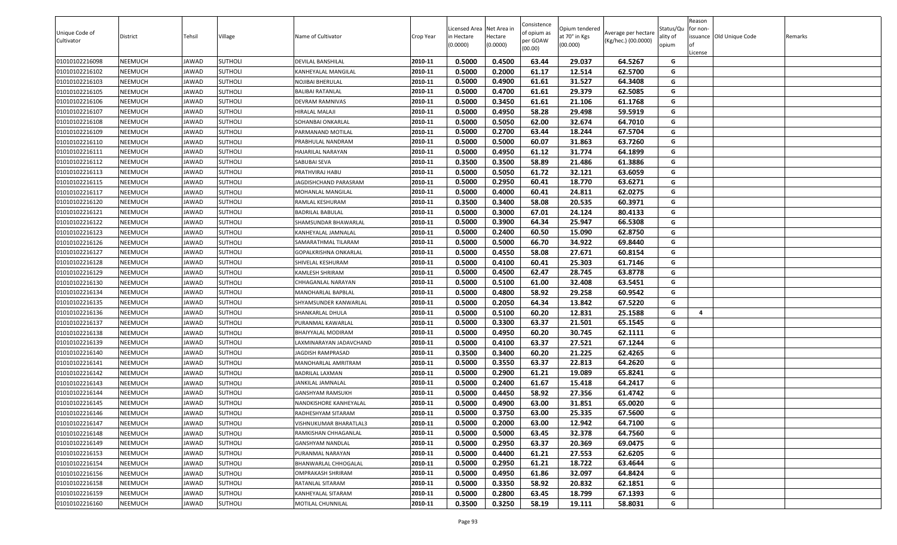| Unique Code of |                 |        |                |                         |           | Licensed Area Net Area in |                     | Consistence<br>of opium as | Opium tendered            | Average per hectare | Status/Qu         | Reason<br>for non-       |         |
|----------------|-----------------|--------|----------------|-------------------------|-----------|---------------------------|---------------------|----------------------------|---------------------------|---------------------|-------------------|--------------------------|---------|
| Cultivator     | <b>District</b> | Tehsil | Village        | Name of Cultivator      | Crop Year | in Hectare<br>(0.0000)    | lectare<br>(0.0000) | oer GOAW                   | at 70° in Kgs<br>(00.000) | (Kg/hec.) (00.0000) | ality of<br>opium | issuance Old Unique Code | Remarks |
|                |                 |        |                |                         |           |                           |                     | (00.00)                    |                           |                     |                   | .icense                  |         |
| 01010102216098 | NEEMUCH         | JAWAD  | SUTHOLI        | DEVILAL BANSHILAL       | 2010-11   | 0.5000                    | 0.4500              | 63.44                      | 29.037                    | 64.5267             | G                 |                          |         |
| 01010102216102 | NEEMUCH         | JAWAD  | <b>SUTHOLI</b> | KANHEYALAL MANGILAL     | 2010-11   | 0.5000                    | 0.2000              | 61.17                      | 12.514                    | 62.5700             | G                 |                          |         |
| 01010102216103 | NEEMUCH         | JAWAD  | <b>SUTHOLI</b> | NOJIBAI BHERULAL        | 2010-11   | 0.5000                    | 0.4900              | 61.61                      | 31.527                    | 64.3408             | G                 |                          |         |
| 01010102216105 | NEEMUCH         | JAWAD  | SUTHOLI        | BALIBAI RATANLAL        | 2010-11   | 0.5000                    | 0.4700              | 61.61                      | 29.379                    | 62.5085             | G                 |                          |         |
| 01010102216106 | NEEMUCH         | JAWAD  | <b>SUTHOLI</b> | DEVRAM RAMNIVAS         | 2010-11   | 0.5000                    | 0.3450              | 61.61                      | 21.106                    | 61.1768             | G                 |                          |         |
| 01010102216107 | NEEMUCH         | JAWAD  | <b>SUTHOLI</b> | HIRALAL MALAJI          | 2010-11   | 0.5000                    | 0.4950              | 58.28                      | 29.498                    | 59.5919             | G                 |                          |         |
| 01010102216108 | NEEMUCH         | JAWAD  | <b>SUTHOLI</b> | SOHANBAI ONKARLAL       | 2010-11   | 0.5000                    | 0.5050              | 62.00                      | 32.674                    | 64.7010             | G                 |                          |         |
| 01010102216109 | NEEMUCH         | JAWAD  | SUTHOLI        | PARMANAND MOTILAL       | 2010-11   | 0.5000                    | 0.2700              | 63.44                      | 18.244                    | 67.5704             | G                 |                          |         |
| 01010102216110 | NEEMUCH         | JAWAD  | <b>SUTHOLI</b> | PRABHULAL NANDRAM       | 2010-11   | 0.5000                    | 0.5000              | 60.07                      | 31.863                    | 63.7260             | G                 |                          |         |
| 01010102216111 | NEEMUCH         | JAWAD  | <b>SUTHOLI</b> | HAJARILAL NARAYAN       | 2010-11   | 0.5000                    | 0.4950              | 61.12                      | 31.774                    | 64.1899             | G                 |                          |         |
| 01010102216112 | NEEMUCH         | JAWAD  | <b>SUTHOLI</b> | SABUBAI SEVA            | 2010-11   | 0.3500                    | 0.3500              | 58.89                      | 21.486                    | 61.3886             | G                 |                          |         |
| 01010102216113 | NEEMUCH         | JAWAD  | SUTHOLI        | PRATHVIRAJ HABU         | 2010-11   | 0.5000                    | 0.5050              | 61.72                      | 32.121                    | 63.6059             | G                 |                          |         |
| 01010102216115 | NEEMUCH         | JAWAD  | SUTHOLI        | AGDISHCHAND PARASRAM    | 2010-11   | 0.5000                    | 0.2950              | 60.41                      | 18.770                    | 63.6271             | G                 |                          |         |
| 01010102216117 | NEEMUCH         | JAWAD  | <b>SUTHOLI</b> | MOHANLAL MANGILAL       | 2010-11   | 0.5000                    | 0.4000              | 60.41                      | 24.811                    | 62.0275             | G                 |                          |         |
| 01010102216120 | NEEMUCH         | JAWAD  | <b>SUTHOLI</b> | RAMLAL KESHURAM         | 2010-11   | 0.3500                    | 0.3400              | 58.08                      | 20.535                    | 60.3971             | G                 |                          |         |
| 01010102216121 | NEEMUCH         | JAWAD  | <b>SUTHOLI</b> | BADRILAL BABULAL        | 2010-11   | 0.5000                    | 0.3000              | 67.01                      | 24.124                    | 80.4133             | G                 |                          |         |
| 01010102216122 | NEEMUCH         | JAWAD  | <b>SUTHOLI</b> | SHAMSUNDAR BHAWARLAL    | 2010-11   | 0.5000                    | 0.3900              | 64.34                      | 25.947                    | 66.5308             | G                 |                          |         |
| 01010102216123 | NEEMUCH         | JAWAD  | SUTHOLI        | KANHEYALAL JAMNALAL     | 2010-11   | 0.5000                    | 0.2400              | 60.50                      | 15.090                    | 62.8750             | G                 |                          |         |
| 01010102216126 | NEEMUCH         | JAWAD  | <b>SUTHOLI</b> | SAMARATHMAL TILARAM     | 2010-11   | 0.5000                    | 0.5000              | 66.70                      | 34.922                    | 69.8440             | G                 |                          |         |
| 01010102216127 | NEEMUCH         | JAWAD  | <b>SUTHOLI</b> | GOPALKRISHNA ONKARLAL   | 2010-11   | 0.5000                    | 0.4550              | 58.08                      | 27.671                    | 60.8154             | G                 |                          |         |
| 01010102216128 | NEEMUCH         | JAWAD  | <b>SUTHOLI</b> | SHIVELAL KESHURAM       | 2010-11   | 0.5000                    | 0.4100              | 60.41                      | 25.303                    | 61.7146             | G                 |                          |         |
| 01010102216129 | NEEMUCH         | JAWAD  | <b>SUTHOLI</b> | KAMLESH SHRIRAM         | 2010-11   | 0.5000                    | 0.4500              | 62.47                      | 28.745                    | 63.8778             | G                 |                          |         |
| 01010102216130 | NEEMUCH         | JAWAD  | <b>SUTHOLI</b> | CHHAGANLAL NARAYAN      | 2010-11   | 0.5000                    | 0.5100              | 61.00                      | 32.408                    | 63.5451             | G                 |                          |         |
| 01010102216134 | NEEMUCH         | JAWAD  | <b>SUTHOLI</b> | MANOHARLAL BAPBLAL      | 2010-11   | 0.5000                    | 0.4800              | 58.92                      | 29.258                    | 60.9542             | G                 |                          |         |
| 01010102216135 | NEEMUCH         | JAWAD  | SUTHOLI        | SHYAMSUNDER KANWARLAL   | 2010-11   | 0.5000                    | 0.2050              | 64.34                      | 13.842                    | 67.5220             | G                 |                          |         |
| 01010102216136 | NEEMUCH         | JAWAD  | SUTHOLI        | SHANKARLAL DHULA        | 2010-11   | 0.5000                    | 0.5100              | 60.20                      | 12.831                    | 25.1588             | G                 | 4                        |         |
| 01010102216137 | NEEMUCH         | JAWAD  | SUTHOLI        | PURANMAL KAWARLAL       | 2010-11   | 0.5000                    | 0.3300              | 63.37                      | 21.501                    | 65.1545             | G                 |                          |         |
| 01010102216138 | NEEMUCH         | JAWAD  | <b>SUTHOLI</b> | BHAIYYALAL MODIRAM      | 2010-11   | 0.5000                    | 0.4950              | 60.20                      | 30.745                    | 62.1111             | G                 |                          |         |
| 01010102216139 | NEEMUCH         | JAWAD  | SUTHOLI        | AXMINARAYAN JADAVCHAND. | 2010-11   | 0.5000                    | 0.4100              | 63.37                      | 27.521                    | 67.1244             | G                 |                          |         |
| 01010102216140 | NEEMUCH         | JAWAD  | <b>SUTHOLI</b> | JAGDISH RAMPRASAD       | 2010-11   | 0.3500                    | 0.3400              | 60.20                      | 21.225                    | 62.4265             | G                 |                          |         |
| 01010102216141 | NEEMUCH         | JAWAD  | <b>SUTHOLI</b> | MANOHARLAL AMRITRAM     | 2010-11   | 0.5000                    | 0.3550              | 63.37                      | 22.813                    | 64.2620             | G                 |                          |         |
| 01010102216142 | NEEMUCH         | JAWAD  | <b>SUTHOLI</b> | BADRILAL LAXMAN         | 2010-11   | 0.5000                    | 0.2900              | 61.21                      | 19.089                    | 65.8241             | G                 |                          |         |
| 01010102216143 | NEEMUCH         | JAWAD  | SUTHOLI        | JANKILAL JAMNALAL       | 2010-11   | 0.5000                    | 0.2400              | 61.67                      | 15.418                    | 64.2417             | G                 |                          |         |
| 01010102216144 | NEEMUCH         | JAWAD  | <b>SUTHOLI</b> | <b>GANSHYAM RAMSUKH</b> | 2010-11   | 0.5000                    | 0.4450              | 58.92                      | 27.356                    | 61.4742             | G                 |                          |         |
| 01010102216145 | NEEMUCH         | JAWAD  | <b>SUTHOLI</b> | NANDKISHORE KANHEYALAL  | 2010-11   | 0.5000                    | 0.4900              | 63.00                      | 31.851                    | 65.0020             | G                 |                          |         |
| 01010102216146 | NEEMUCH         | JAWAD  | <b>SUTHOLI</b> | RADHESHYAM SITARAM      | 2010-11   | 0.5000                    | 0.3750              | 63.00                      | 25.335                    | 67.5600             | G                 |                          |         |
| 01010102216147 | NEEMUCH         | JAWAD  | <b>SUTHOLI</b> | VISHNUKUMAR BHARATLAL3  | 2010-11   | 0.5000                    | 0.2000              | 63.00                      | 12.942                    | 64.7100             | G                 |                          |         |
| 01010102216148 | NEEMUCH         | JAWAD  | <b>SUTHOLI</b> | RAMKISHAN CHHAGANLAL    | 2010-11   | 0.5000                    | 0.5000              | 63.45                      | 32.378                    | 64.7560             | G                 |                          |         |
| 01010102216149 | NEEMUCH         | JAWAD  | <b>SUTHOLI</b> | GANSHYAM NANDLAL        | 2010-11   | 0.5000                    | 0.2950              | 63.37                      | 20.369                    | 69.0475             | G                 |                          |         |
| 01010102216153 | NEEMUCH         | JAWAD  | <b>SUTHOLI</b> | PURANMAL NARAYAN        | 2010-11   | 0.5000                    | 0.4400              | 61.21                      | 27.553                    | 62.6205             | G                 |                          |         |
| 01010102216154 | NEEMUCH         | JAWAD  | <b>SUTHOLI</b> | BHANWARLAL CHHOGALAL    | 2010-11   | 0.5000                    | 0.2950              | 61.21                      | 18.722                    | 63.4644             | G                 |                          |         |
| 01010102216156 | NEEMUCH         | JAWAD  | <b>SUTHOLI</b> | OMPRAKASH SHRIRAM       | 2010-11   | 0.5000                    | 0.4950              | 61.86                      | 32.097                    | 64.8424             | G                 |                          |         |
| 01010102216158 | NEEMUCH         | JAWAD  | <b>SUTHOLI</b> | RATANLAL SITARAM        | 2010-11   | 0.5000                    | 0.3350              | 58.92                      | 20.832                    | 62.1851             | G                 |                          |         |
| 01010102216159 | NEEMUCH         | JAWAD  | <b>SUTHOLI</b> | KANHEYALAL SITARAM      | 2010-11   | 0.5000                    | 0.2800              | 63.45                      | 18.799                    | 67.1393             | G                 |                          |         |
| 01010102216160 | NEEMUCH         | JAWAD  | <b>SUTHOLI</b> | MOTILAL CHUNNILAL       | 2010-11   | 0.3500                    | 0.3250              | 58.19                      | 19.111                    | 58.8031             | G                 |                          |         |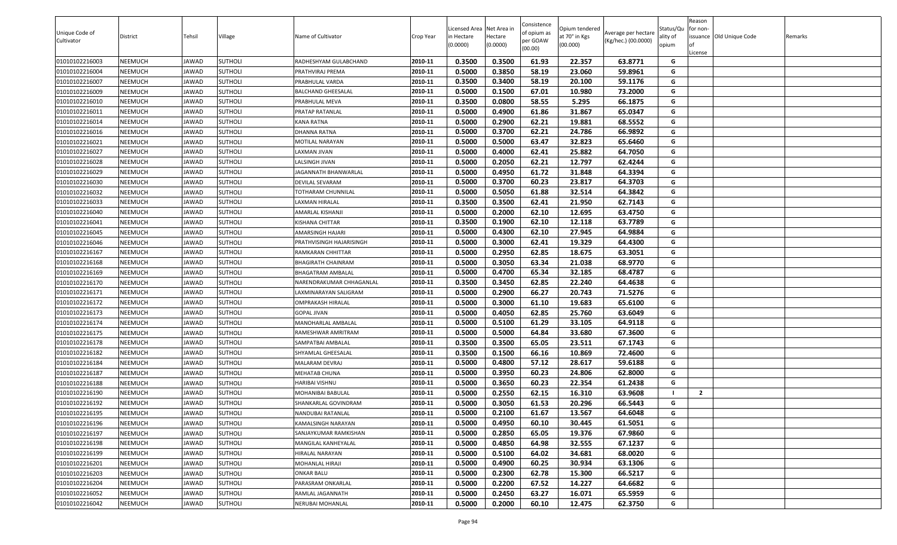| Unique Code of<br>Cultivator | <b>District</b> | Tehsil | Village        | Name of Cultivator       | Crop Year | Licensed Area Net Area in<br>in Hectare | lectare  | Consistence<br>of opium as<br>oer GOAW | Opium tendered<br>at 70° in Kgs | Average per hectare<br>(Kg/hec.) (00.0000) | Status/Qu<br>ality of | Reason<br>for non-<br>issuance Old Unique Code | Remarks |
|------------------------------|-----------------|--------|----------------|--------------------------|-----------|-----------------------------------------|----------|----------------------------------------|---------------------------------|--------------------------------------------|-----------------------|------------------------------------------------|---------|
|                              |                 |        |                |                          |           | (0.0000)                                | (0.0000) | (00.00)                                | (00.000)                        |                                            | opium                 | .icense                                        |         |
| 01010102216003               | NEEMUCH         | JAWAD  | SUTHOLI        | RADHESHYAM GULABCHAND    | 2010-11   | 0.3500                                  | 0.3500   | 61.93                                  | 22.357                          | 63.8771                                    | G                     |                                                |         |
| 01010102216004               | NEEMUCH         | JAWAD  | <b>SUTHOLI</b> | PRATHVIRAJ PREMA         | 2010-11   | 0.5000                                  | 0.3850   | 58.19                                  | 23.060                          | 59.8961                                    | G                     |                                                |         |
| 01010102216007               | NEEMUCH         | JAWAD  | <b>SUTHOLI</b> | PRABHULAL VARDA          | 2010-11   | 0.3500                                  | 0.3400   | 58.19                                  | 20.100                          | 59.1176                                    | G                     |                                                |         |
| 01010102216009               | NEEMUCH         | JAWAD  | <b>SUTHOLI</b> | BALCHAND GHEESALAL       | 2010-11   | 0.5000                                  | 0.1500   | 67.01                                  | 10.980                          | 73.2000                                    | G                     |                                                |         |
| 01010102216010               | NEEMUCH         | JAWAD  | <b>SUTHOLI</b> | PRABHULAL MEVA           | 2010-11   | 0.3500                                  | 0.0800   | 58.55                                  | 5.295                           | 66.1875                                    | G                     |                                                |         |
| 01010102216011               | NEEMUCH         | JAWAD  | <b>SUTHOLI</b> | PRATAP RATANLAL          | 2010-11   | 0.5000                                  | 0.4900   | 61.86                                  | 31.867                          | 65.0347                                    | G                     |                                                |         |
| 01010102216014               | NEEMUCH         | JAWAD  | <b>SUTHOLI</b> | KANA RATNA               | 2010-11   | 0.5000                                  | 0.2900   | 62.21                                  | 19.881                          | 68.5552                                    | G                     |                                                |         |
| 01010102216016               | NEEMUCH         | JAWAD  | SUTHOLI        | DHANNA RATNA             | 2010-11   | 0.5000                                  | 0.3700   | 62.21                                  | 24.786                          | 66.9892                                    | G                     |                                                |         |
| 01010102216021               | NEEMUCH         | JAWAD  | <b>SUTHOLI</b> | MOTILAL NARAYAN          | 2010-11   | 0.5000                                  | 0.5000   | 63.47                                  | 32.823                          | 65.6460                                    | G                     |                                                |         |
| 01010102216027               | NEEMUCH         | JAWAD  | <b>SUTHOLI</b> | AXMAN JIVAN.             | 2010-11   | 0.5000                                  | 0.4000   | 62.41                                  | 25.882                          | 64.7050                                    | G                     |                                                |         |
| 01010102216028               | NEEMUCH         | JAWAD  | <b>SUTHOLI</b> | <b>ALSINGH JIVAN</b>     | 2010-11   | 0.5000                                  | 0.2050   | 62.21                                  | 12.797                          | 62.4244                                    | G                     |                                                |         |
| 01010102216029               | NEEMUCH         | JAWAD  | SUTHOLI        | AGANNATH BHANWARLAL      | 2010-11   | 0.5000                                  | 0.4950   | 61.72                                  | 31.848                          | 64.3394                                    | G                     |                                                |         |
| 01010102216030               | NEEMUCH         | JAWAD  | SUTHOLI        | DEVILAL SEVARAM          | 2010-11   | 0.5000                                  | 0.3700   | 60.23                                  | 23.817                          | 64.3703                                    | G                     |                                                |         |
| 01010102216032               | NEEMUCH         | JAWAD  | <b>SUTHOLI</b> | TOTHARAM CHUNNILAL       | 2010-11   | 0.5000                                  | 0.5050   | 61.88                                  | 32.514                          | 64.3842                                    | G                     |                                                |         |
| 01010102216033               | NEEMUCH         | JAWAD  | <b>SUTHOLI</b> | <b>AXMAN HIRALAL</b>     | 2010-11   | 0.3500                                  | 0.3500   | 62.41                                  | 21.950                          | 62.7143                                    | G                     |                                                |         |
| 01010102216040               | NEEMUCH         | JAWAD  | <b>SUTHOLI</b> | AMARLAL KISHANJI         | 2010-11   | 0.5000                                  | 0.2000   | 62.10                                  | 12.695                          | 63.4750                                    | G                     |                                                |         |
| 01010102216041               | NEEMUCH         | JAWAD  | <b>SUTHOLI</b> | KISHANA CHITTAR          | 2010-11   | 0.3500                                  | 0.1900   | 62.10                                  | 12.118                          | 63.7789                                    | G                     |                                                |         |
| 01010102216045               | NEEMUCH         | JAWAD  | SUTHOLI        | AMARSINGH HAJARI         | 2010-11   | 0.5000                                  | 0.4300   | 62.10                                  | 27.945                          | 64.9884                                    | G                     |                                                |         |
| 01010102216046               | NEEMUCH         | JAWAD  | <b>SUTHOLI</b> | PRATHVISINGH HAJARISINGH | 2010-11   | 0.5000                                  | 0.3000   | 62.41                                  | 19.329                          | 64.4300                                    | G                     |                                                |         |
| 01010102216167               | NEEMUCH         | JAWAD  | <b>SUTHOLI</b> | RAMKARAN CHHITTAR        | 2010-11   | 0.5000                                  | 0.2950   | 62.85                                  | 18.675                          | 63.3051                                    | G                     |                                                |         |
| 01010102216168               | NEEMUCH         | JAWAD  | <b>SUTHOLI</b> | BHAGIRATH CHAINRAM       | 2010-11   | 0.5000                                  | 0.3050   | 63.34                                  | 21.038                          | 68.9770                                    | G                     |                                                |         |
| 01010102216169               | NEEMUCH         | JAWAD  | <b>SUTHOLI</b> | BHAGATRAM AMBALAL        | 2010-11   | 0.5000                                  | 0.4700   | 65.34                                  | 32.185                          | 68.4787                                    | G                     |                                                |         |
| 01010102216170               | NEEMUCH         | JAWAD  | <b>SUTHOLI</b> | NARENDRAKUMAR CHHAGANLAL | 2010-11   | 0.3500                                  | 0.3450   | 62.85                                  | 22.240                          | 64.4638                                    | G                     |                                                |         |
| 01010102216171               | NEEMUCH         | JAWAD  | <b>SUTHOLI</b> | LAXMINARAYAN SALIGRAM    | 2010-11   | 0.5000                                  | 0.2900   | 66.27                                  | 20.743                          | 71.5276                                    | G                     |                                                |         |
| 01010102216172               | NEEMUCH         | JAWAD  | SUTHOLI        | OMPRAKASH HIRALAL        | 2010-11   | 0.5000                                  | 0.3000   | 61.10                                  | 19.683                          | 65.6100                                    | G                     |                                                |         |
| 01010102216173               | NEEMUCH         | JAWAD  | <b>SUTHOLI</b> | GOPAL JIVAN              | 2010-11   | 0.5000                                  | 0.4050   | 62.85                                  | 25.760                          | 63.6049                                    | G                     |                                                |         |
| 01010102216174               | NEEMUCH         | JAWAD  | SUTHOLI        | MANOHARLAL AMBALAL       | 2010-11   | 0.5000                                  | 0.5100   | 61.29                                  | 33.105                          | 64.9118                                    | G                     |                                                |         |
| 01010102216175               | NEEMUCH         | JAWAD  | <b>SUTHOLI</b> | RAMESHWAR AMRITRAM       | 2010-11   | 0.5000                                  | 0.5000   | 64.84                                  | 33.680                          | 67.3600                                    | G                     |                                                |         |
| 01010102216178               | NEEMUCH         | JAWAD  | SUTHOLI        | SAMPATBAI AMBALAL        | 2010-11   | 0.3500                                  | 0.3500   | 65.05                                  | 23.511                          | 67.1743                                    | G                     |                                                |         |
| 01010102216182               | NEEMUCH         | JAWAD  | <b>SUTHOLI</b> | SHYAMLAL GHEESALAL       | 2010-11   | 0.3500                                  | 0.1500   | 66.16                                  | 10.869                          | 72.4600                                    | G                     |                                                |         |
| 01010102216184               | NEEMUCH         | JAWAD  | <b>SUTHOLI</b> | MALARAM DEVRAJ           | 2010-11   | 0.5000                                  | 0.4800   | 57.12                                  | 28.617                          | 59.6188                                    | G                     |                                                |         |
| 01010102216187               | NEEMUCH         | JAWAD  | <b>SUTHOLI</b> | MEHATAB CHUNA            | 2010-11   | 0.5000                                  | 0.3950   | 60.23                                  | 24.806                          | 62.8000                                    | G                     |                                                |         |
| 01010102216188               | NEEMUCH         | JAWAD  | SUTHOLI        | HARIBAI VISHNU           | 2010-11   | 0.5000                                  | 0.3650   | 60.23                                  | 22.354                          | 61.2438                                    | G                     |                                                |         |
| 01010102216190               | NEEMUCH         | JAWAD  | <b>SUTHOLI</b> | MOHANIBAI BABULAL        | 2010-11   | 0.5000                                  | 0.2550   | 62.15                                  | 16.310                          | 63.9608                                    |                       | $\overline{2}$                                 |         |
| 01010102216192               | NEEMUCH         | JAWAD  | <b>SUTHOLI</b> | SHANKARLAL GOVINDRAM     | 2010-11   | 0.5000                                  | 0.3050   | 61.53                                  | 20.296                          | 66.5443                                    | G                     |                                                |         |
| 01010102216195               | NEEMUCH         | JAWAD  | <b>SUTHOLI</b> | NANDUBAI RATANLAL        | 2010-11   | 0.5000                                  | 0.2100   | 61.67                                  | 13.567                          | 64.6048                                    | G                     |                                                |         |
| 01010102216196               | NEEMUCH         | JAWAD  | <b>SUTHOLI</b> | KAMALSINGH NARAYAN       | 2010-11   | 0.5000                                  | 0.4950   | 60.10                                  | 30.445                          | 61.5051                                    | G                     |                                                |         |
| 01010102216197               | NEEMUCH         | JAWAD  | <b>SUTHOLI</b> | SANJAYKUMAR RAMKISHAN    | 2010-11   | 0.5000                                  | 0.2850   | 65.05                                  | 19.376                          | 67.9860                                    | G                     |                                                |         |
| 01010102216198               | NEEMUCH         | JAWAD  | <b>SUTHOLI</b> | MANGILAL KANHEYALAL      | 2010-11   | 0.5000                                  | 0.4850   | 64.98                                  | 32.555                          | 67.1237                                    | G                     |                                                |         |
| 01010102216199               | NEEMUCH         | JAWAD  | <b>SUTHOLI</b> | HIRALAL NARAYAN          | 2010-11   | 0.5000                                  | 0.5100   | 64.02                                  | 34.681                          | 68.0020                                    | G                     |                                                |         |
| 01010102216201               | NEEMUCH         | JAWAD  | <b>SUTHOLI</b> | MOHANLAL HIRAJI          | 2010-11   | 0.5000                                  | 0.4900   | 60.25                                  | 30.934                          | 63.1306                                    | G                     |                                                |         |
| 01010102216203               | NEEMUCH         | JAWAD  | <b>SUTHOLI</b> | ONKAR BALU               | 2010-11   | 0.5000                                  | 0.2300   | 62.78                                  | 15.300                          | 66.5217                                    | G                     |                                                |         |
| 01010102216204               | NEEMUCH         | JAWAD  | <b>SUTHOLI</b> | PARASRAM ONKARLAL        | 2010-11   | 0.5000                                  | 0.2200   | 67.52                                  | 14.227                          | 64.6682                                    | G                     |                                                |         |
| 01010102216052               | NEEMUCH         | JAWAD  | <b>SUTHOLI</b> | RAMLAL JAGANNATH         | 2010-11   | 0.5000                                  | 0.2450   | 63.27                                  | 16.071                          | 65.5959                                    | G                     |                                                |         |
| 01010102216042               | NEEMUCH         | JAWAD  | <b>SUTHOLI</b> | NERUBAI MOHANLAL         | 2010-11   | 0.5000                                  | 0.2000   | 60.10                                  | 12.475                          | 62.3750                                    | G                     |                                                |         |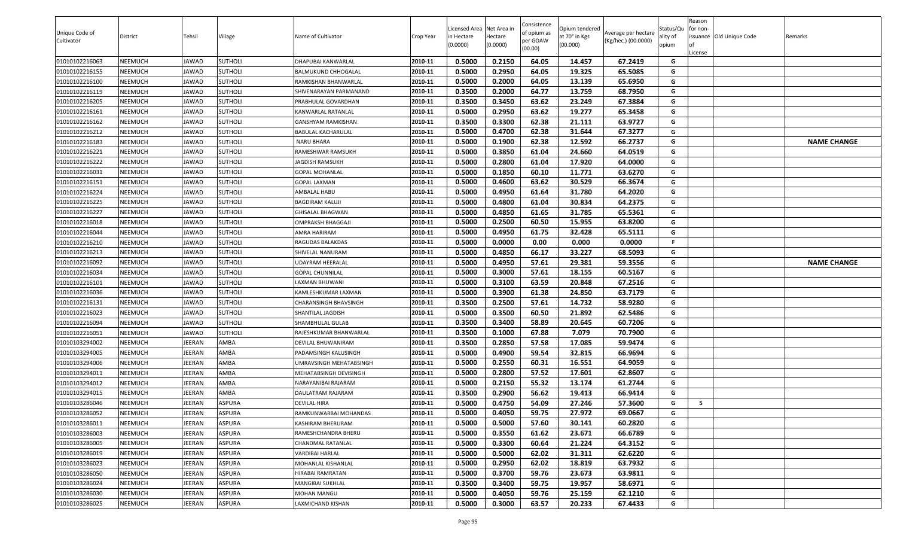|                |                |               |                |                           |           |                          |                     | Consistence |                                 |                     |                   | Reason   |                          |                    |
|----------------|----------------|---------------|----------------|---------------------------|-----------|--------------------------|---------------------|-------------|---------------------------------|---------------------|-------------------|----------|--------------------------|--------------------|
| Unique Code of |                | Tehsil        | Village        | Name of Cultivator        |           | Licensed Area Net Area i |                     | of opium as | Opium tendered<br>at 70° in Kgs | Average per hectare | Status/Qu         | for non- | issuance Old Unique Code |                    |
| Cultivator     | District       |               |                |                           | Crop Year | in Hectare<br>(0.0000)   | Hectare<br>(0.0000) | per GOAW    | (00.000)                        | (Kg/hec.) (00.0000) | ality of<br>opium |          |                          | Remarks            |
|                |                |               |                |                           |           |                          |                     | (00.00)     |                                 |                     |                   | .icense  |                          |                    |
| 01010102216063 | <b>NEEMUCH</b> | JAWAD         | <b>SUTHOLI</b> | DHAPUBAI KANWARLAL        | 2010-11   | 0.5000                   | 0.2150              | 64.05       | 14.457                          | 67.2419             | G                 |          |                          |                    |
| 01010102216155 | <b>NEEMUCH</b> | IAWAD         | <b>SUTHOLI</b> | BALMUKUND CHHOGALAL       | 2010-11   | 0.5000                   | 0.2950              | 64.05       | 19.325                          | 65.5085             | G                 |          |                          |                    |
| 01010102216100 | <b>NEEMUCH</b> | IAWAD         | <b>SUTHOLI</b> | RAMKISHAN BHANWARLAL      | 2010-11   | 0.5000                   | 0.2000              | 64.05       | 13.139                          | 65.6950             | G                 |          |                          |                    |
| 01010102216119 | <b>NEEMUCH</b> | IAWAD         | <b>SUTHOLI</b> | SHIVENARAYAN PARMANAND    | 2010-11   | 0.3500                   | 0.2000              | 64.77       | 13.759                          | 68.7950             | G                 |          |                          |                    |
| 01010102216205 | <b>NEEMUCH</b> | IAWAD         | <b>SUTHOLI</b> | PRABHULAL GOVARDHAN       | 2010-11   | 0.3500                   | 0.3450              | 63.62       | 23.249                          | 67.3884             | G                 |          |                          |                    |
| 01010102216161 | <b>NEEMUCH</b> | IAWAD         | <b>SUTHOLI</b> | KANWARLAL RATANLAL        | 2010-11   | 0.5000                   | 0.2950              | 63.62       | 19.277                          | 65.3458             | G                 |          |                          |                    |
| 01010102216162 | <b>NEEMUCH</b> | IAWAD         | <b>SUTHOLI</b> | <b>GANSHYAM RAMKISHAN</b> | 2010-11   | 0.3500                   | 0.3300              | 62.38       | 21.111                          | 63.9727             | G                 |          |                          |                    |
| 01010102216212 | <b>NEEMUCH</b> | JAWAD         | <b>SUTHOLI</b> | BABULAL KACHARULAL        | 2010-11   | 0.5000                   | 0.4700              | 62.38       | 31.644                          | 67.3277             | G                 |          |                          |                    |
| 01010102216183 | <b>NEEMUCH</b> | JAWAD         | <b>SUTHOLI</b> | <b>NARU BHARA</b>         | 2010-11   | 0.5000                   | 0.1900              | 62.38       | 12.592                          | 66.2737             | G                 |          |                          | <b>NAME CHANGE</b> |
| 01010102216221 | <b>NEEMUCH</b> | JAWAD         | <b>SUTHOLI</b> | RAMESHWAR RAMSUKH         | 2010-11   | 0.5000                   | 0.3850              | 61.04       | 24.660                          | 64.0519             | G                 |          |                          |                    |
| 01010102216222 | <b>NEEMUCH</b> | IAWAD         | <b>SUTHOLI</b> | JAGDISH RAMSUKH           | 2010-11   | 0.5000                   | 0.2800              | 61.04       | 17.920                          | 64.0000             | G                 |          |                          |                    |
| 01010102216031 | <b>NEEMUCH</b> | JAWAD         | <b>SUTHOLI</b> | <b>GOPAL MOHANLAL</b>     | 2010-11   | 0.5000                   | 0.1850              | 60.10       | 11.771                          | 63.6270             | G                 |          |                          |                    |
| 01010102216151 | <b>NEEMUCH</b> | IAWAD         | <b>SUTHOLI</b> | GOPAL LAXMAN              | 2010-11   | 0.5000                   | 0.4600              | 63.62       | 30.529                          | 66.3674             | G                 |          |                          |                    |
| 01010102216224 | <b>NEEMUCH</b> | JAWAD         | <b>SUTHOLI</b> | AMBALAL HABU              | 2010-11   | 0.5000                   | 0.4950              | 61.64       | 31.780                          | 64.2020             | G                 |          |                          |                    |
| 01010102216225 | <b>NEEMUCH</b> | IAWAD         | <b>SUTHOLI</b> | BAGDIRAM KALUJI           | 2010-11   | 0.5000                   | 0.4800              | 61.04       | 30.834                          | 64.2375             | G                 |          |                          |                    |
| 01010102216227 | <b>NEEMUCH</b> | JAWAD         | <b>SUTHOLI</b> | <b>GHISALAL BHAGWAN</b>   | 2010-11   | 0.5000                   | 0.4850              | 61.65       | 31.785                          | 65.5361             | G                 |          |                          |                    |
| 01010102216018 | <b>NEEMUCH</b> | JAWAD         | <b>SUTHOLI</b> | OMPRAKSH BHAGGAJI         | 2010-11   | 0.5000                   | 0.2500              | 60.50       | 15.955                          | 63.8200             | G                 |          |                          |                    |
| 01010102216044 | <b>NEEMUCH</b> | JAWAD         | <b>SUTHOLI</b> | AMRA HARIRAM              | 2010-11   | 0.5000                   | 0.4950              | 61.75       | 32.428                          | 65.5111             | G                 |          |                          |                    |
| 01010102216210 | <b>NEEMUCH</b> | IAWAD         | <b>SUTHOLI</b> | RAGUDAS BALAKDAS          | 2010-11   | 0.5000                   | 0.0000              | 0.00        | 0.000                           | 0.0000              | -F.               |          |                          |                    |
| 01010102216213 | <b>NEEMUCH</b> | IAWAD         | <b>SUTHOLI</b> | SHIVELAL NANURAM          | 2010-11   | 0.5000                   | 0.4850              | 66.17       | 33.227                          | 68.5093             | G                 |          |                          |                    |
| 01010102216092 | <b>NEEMUCH</b> | IAWAD         | <b>SUTHOLI</b> | UDAYRAM HEERALAL          | 2010-11   | 0.5000                   | 0.4950              | 57.61       | 29.381                          | 59.3556             | G                 |          |                          | <b>NAME CHANGE</b> |
| 01010102216034 | <b>NEEMUCH</b> | JAWAD         | <b>SUTHOLI</b> | <b>GOPAL CHUNNILAL</b>    | 2010-11   | 0.5000                   | 0.3000              | 57.61       | 18.155                          | 60.5167             | G                 |          |                          |                    |
| 01010102216101 | <b>NEEMUCH</b> | <b>IAWAD</b>  | <b>SUTHOLI</b> | LAXMAN BHUWANI            | 2010-11   | 0.5000                   | 0.3100              | 63.59       | 20.848                          | 67.2516             | G                 |          |                          |                    |
| 01010102216036 | <b>NEEMUCH</b> | IAWAD         | <b>SUTHOLI</b> | KAMLESHKUMAR LAXMAN       | 2010-11   | 0.5000                   | 0.3900              | 61.38       | 24.850                          | 63.7179             | G                 |          |                          |                    |
| 01010102216131 | <b>NEEMUCH</b> | JAWAD         | <b>SUTHOLI</b> | CHARANSINGH BHAVSINGH     | 2010-11   | 0.3500                   | 0.2500              | 57.61       | 14.732                          | 58.9280             | G                 |          |                          |                    |
| 01010102216023 | <b>NEEMUCH</b> | JAWAD         | <b>SUTHOLI</b> | SHANTILAL JAGDISH         | 2010-11   | 0.5000                   | 0.3500              | 60.50       | 21.892                          | 62.5486             | G                 |          |                          |                    |
| 01010102216094 | <b>NEEMUCH</b> | JAWAD         | <b>SUTHOLI</b> | SHAMBHULAL GULAB          | 2010-11   | 0.3500                   | 0.3400              | 58.89       | 20.645                          | 60.7206             | G                 |          |                          |                    |
| 01010102216051 | <b>NEEMUCH</b> | IAWAD         | <b>SUTHOLI</b> | RAJESHKUMAR BHANWARLAL    | 2010-11   | 0.3500                   | 0.1000              | 67.88       | 7.079                           | 70.7900             | G                 |          |                          |                    |
| 01010103294002 | <b>NEEMUCH</b> | JEERAN        | AMBA           | DEVILAL BHUWANIRAM        | 2010-11   | 0.3500                   | 0.2850              | 57.58       | 17.085                          | 59.9474             | G                 |          |                          |                    |
| 01010103294005 | <b>NEEMUCH</b> | <b>IEERAN</b> | AMBA           | PADAMSINGH KALUSINGH      | 2010-11   | 0.5000                   | 0.4900              | 59.54       | 32.815                          | 66.9694             | G                 |          |                          |                    |
| 01010103294006 | <b>NEEMUCH</b> | <b>IEERAN</b> | AMBA           | JMRAVSINGH MEHATABSINGH   | 2010-11   | 0.5000                   | 0.2550              | 60.31       | 16.551                          | 64.9059             | G                 |          |                          |                    |
| 01010103294011 | <b>NEEMUCH</b> | JEERAN        | AMBA           | MEHATABSINGH DEVISINGH    | 2010-11   | 0.5000                   | 0.2800              | 57.52       | 17.601                          | 62.8607             | G                 |          |                          |                    |
| 01010103294012 | <b>NEEMUCH</b> | JEERAN        | AMBA           | NARAYANIBAI RAJARAM       | 2010-11   | 0.5000                   | 0.2150              | 55.32       | 13.174                          | 61.2744             | G                 |          |                          |                    |
| 01010103294015 | <b>NEEMUCH</b> | JEERAN        | AMBA           | DAULATRAM RAJARAM         | 2010-11   | 0.3500                   | 0.2900              | 56.62       | 19.413                          | 66.9414             | G                 |          |                          |                    |
| 01010103286046 | <b>NEEMUCH</b> | <b>IEERAN</b> | <b>ASPURA</b>  | DEVILAL HIRA              | 2010-11   | 0.5000                   | 0.4750              | 54.09       | 27.246                          | 57.3600             | G                 | 5        |                          |                    |
| 01010103286052 | <b>NEEMUCH</b> | JEERAN        | <b>ASPURA</b>  | RAMKUNWARBAI MOHANDAS     | 2010-11   | 0.5000                   | 0.4050              | 59.75       | 27.972                          | 69.0667             | G                 |          |                          |                    |
| 01010103286011 | <b>NEEMUCH</b> | JEERAN        | <b>ASPURA</b>  | KASHIRAM BHERURAM         | 2010-11   | 0.5000                   | 0.5000              | 57.60       | 30.141                          | 60.2820             | G                 |          |                          |                    |
| 01010103286003 | <b>NEEMUCH</b> | <b>IEERAN</b> | <b>ASPURA</b>  | RAMESHCHANDRA BHERU       | 2010-11   | 0.5000                   | 0.3550              | 61.62       | 23.671                          | 66.6789             | G                 |          |                          |                    |
| 01010103286005 | <b>NEEMUCH</b> | JEERAN        | <b>ASPURA</b>  | CHANDMAL RATANLAL         | 2010-11   | 0.5000                   | 0.3300              | 60.64       | 21.224                          | 64.3152             | G                 |          |                          |                    |
| 01010103286019 | <b>NEEMUCH</b> | JEERAN        | <b>ASPURA</b>  | VARDIBAI HARLAL           | 2010-11   | 0.5000                   | 0.5000              | 62.02       | 31.311                          | 62.6220             | G                 |          |                          |                    |
| 01010103286023 | <b>NEEMUCH</b> | JEERAN        | <b>ASPURA</b>  | MOHANLAL KISHANLAL        | 2010-11   | 0.5000                   | 0.2950              | 62.02       | 18.819                          | 63.7932             | G                 |          |                          |                    |
| 01010103286050 | <b>NEEMUCH</b> | JEERAN        | <b>ASPURA</b>  | HIRABAI RAMRATAN          | 2010-11   | 0.5000                   | 0.3700              | 59.76       | 23.673                          | 63.9811             | G                 |          |                          |                    |
| 01010103286024 | <b>NEEMUCH</b> | JEERAN        | <b>ASPURA</b>  | MANGIBAI SUKHLAL          | 2010-11   | 0.3500                   | 0.3400              | 59.75       | 19.957                          | 58.6971             | G                 |          |                          |                    |
| 01010103286030 | <b>NEEMUCH</b> | JEERAN        | <b>ASPURA</b>  | MOHAN MANGU               | 2010-11   | 0.5000                   | 0.4050              | 59.76       | 25.159                          | 62.1210             | G                 |          |                          |                    |
| 01010103286025 | <b>NEEMUCH</b> | JEERAN        | <b>ASPURA</b>  | LAXMICHAND KISHAN         | 2010-11   | 0.5000                   | 0.3000              | 63.57       | 20.233                          | 67.4433             | G                 |          |                          |                    |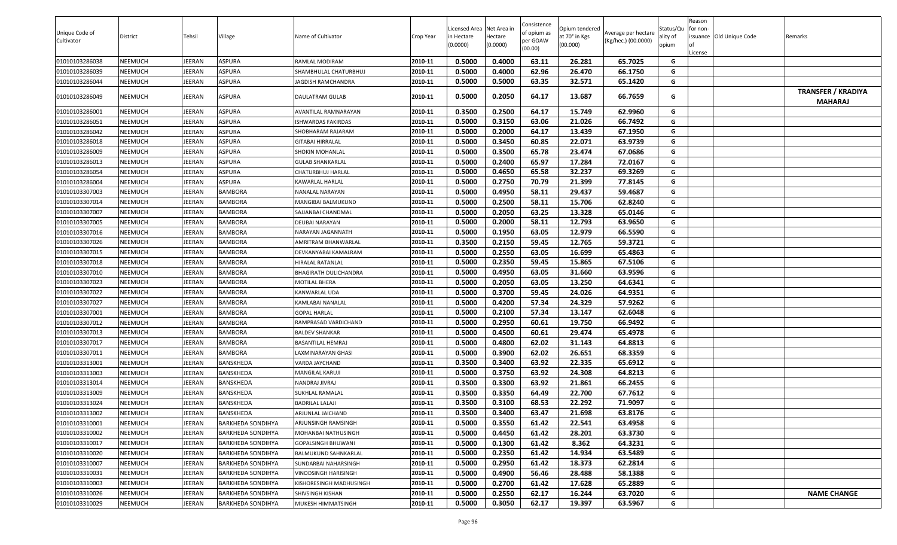|                |                |        |                          |                           |           |                                        |          | Consistence |                                 |                     |                       | Reason   |                          |                                             |
|----------------|----------------|--------|--------------------------|---------------------------|-----------|----------------------------------------|----------|-------------|---------------------------------|---------------------|-----------------------|----------|--------------------------|---------------------------------------------|
| Unique Code of | District       | Tehsil | Village                  | Name of Cultivator        | Crop Year | Licensed Area Net Area in<br>n Hectare | Hectare  | of opium as | Opium tendered<br>at 70° in Kgs | Average per hectare | Status/Qu<br>ality of | for non- | issuance Old Unique Code | Remarks                                     |
| Cultivator     |                |        |                          |                           |           | (0.0000)                               | (0.0000) | per GOAW    | (00.000)                        | (Kg/hec.) (00.0000) | opium                 | lof      |                          |                                             |
|                |                |        |                          |                           |           |                                        |          | (00.00)     |                                 |                     |                       | License  |                          |                                             |
| 01010103286038 | NEEMUCH        | JEERAN | <b>ASPURA</b>            | RAMLAL MODIRAM            | 2010-11   | 0.5000                                 | 0.4000   | 63.11       | 26.281                          | 65.7025             | G                     |          |                          |                                             |
| 01010103286039 | <b>NEEMUCH</b> | JEERAN | <b>ASPURA</b>            | SHAMBHULAL CHATURBHUJ     | 2010-11   | 0.5000                                 | 0.4000   | 62.96       | 26.470                          | 66.1750             | G                     |          |                          |                                             |
| 01010103286044 | <b>NEEMUCH</b> | JEERAN | <b>ASPURA</b>            | <b>JAGDISH RAMCHANDRA</b> | 2010-11   | 0.5000                                 | 0.5000   | 63.35       | 32.571                          | 65.1420             | G                     |          |                          |                                             |
| 01010103286049 | <b>NEEMUCH</b> | JEERAN | <b>ASPURA</b>            | DAULATRAM GULAB           | 2010-11   | 0.5000                                 | 0.2050   | 64.17       | 13.687                          | 66.7659             | G                     |          |                          | <b>TRANSFER / KRADIYA</b><br><b>MAHARAJ</b> |
| 01010103286001 | <b>NEEMUCH</b> | JEERAN | <b>ASPURA</b>            | AVANTILAL RAMNARAYAN      | 2010-11   | 0.3500                                 | 0.2500   | 64.17       | 15.749                          | 62.9960             | G                     |          |                          |                                             |
| 01010103286051 | <b>NEEMUCH</b> | JEERAN | <b>ASPURA</b>            | ISHWARDAS FAKIRDAS        | 2010-11   | 0.5000                                 | 0.3150   | 63.06       | 21.026                          | 66.7492             | G                     |          |                          |                                             |
| 01010103286042 | <b>NEEMUCH</b> | JEERAN | <b>ASPURA</b>            | SHOBHARAM RAJARAM         | 2010-11   | 0.5000                                 | 0.2000   | 64.17       | 13.439                          | 67.1950             | G                     |          |                          |                                             |
| 01010103286018 | <b>NEEMUCH</b> | JEERAN | <b>ASPURA</b>            | GITABAI HIRRALAL          | 2010-11   | 0.5000                                 | 0.3450   | 60.85       | 22.071                          | 63.9739             | G                     |          |                          |                                             |
| 01010103286009 | <b>NEEMUCH</b> | JEERAN | <b>ASPURA</b>            | SHOKIN MOHANLAL           | 2010-11   | 0.5000                                 | 0.3500   | 65.78       | 23.474                          | 67.0686             | G                     |          |                          |                                             |
| 01010103286013 | <b>NEEMUCH</b> | JEERAN | <b>ASPURA</b>            | <b>GULAB SHANKARLAL</b>   | 2010-11   | 0.5000                                 | 0.2400   | 65.97       | 17.284                          | 72.0167             | G                     |          |                          |                                             |
| 01010103286054 | <b>NEEMUCH</b> | JEERAN | <b>ASPURA</b>            | CHATURBHUJ HARLAL         | 2010-11   | 0.5000                                 | 0.4650   | 65.58       | 32.237                          | 69.3269             | G                     |          |                          |                                             |
| 01010103286004 | <b>NEEMUCH</b> | JEERAN | <b>ASPURA</b>            | KAWARLAL HARLAL           | 2010-11   | 0.5000                                 | 0.2750   | 70.79       | 21.399                          | 77.8145             | G                     |          |                          |                                             |
| 01010103307003 | <b>NEEMUCH</b> | JEERAN | <b>BAMBORA</b>           | NANALAL NARAYAN           | 2010-11   | 0.5000                                 | 0.4950   | 58.11       | 29.437                          | 59.4687             | G                     |          |                          |                                             |
| 01010103307014 | <b>NEEMUCH</b> | JEERAN | <b>BAMBORA</b>           | <b>MANGIBAI BALMUKUND</b> | 2010-11   | 0.5000                                 | 0.2500   | 58.11       | 15.706                          | 62.8240             | G                     |          |                          |                                             |
| 01010103307007 | <b>NEEMUCH</b> | JEERAN | BAMBORA                  | SAJJANBAI CHANDMAL        | 2010-11   | 0.5000                                 | 0.2050   | 63.25       | 13.328                          | 65.0146             | G                     |          |                          |                                             |
| 01010103307005 | <b>NEEMUCH</b> | JEERAN | <b>BAMBORA</b>           | DEUBAI NARAYAN            | 2010-11   | 0.5000                                 | 0.2000   | 58.11       | 12.793                          | 63.9650             | G                     |          |                          |                                             |
| 01010103307016 | <b>NEEMUCH</b> | JEERAN | <b>BAMBORA</b>           | NARAYAN JAGANNATH         | 2010-11   | 0.5000                                 | 0.1950   | 63.05       | 12.979                          | 66.5590             | G                     |          |                          |                                             |
| 01010103307026 | <b>NEEMUCH</b> | JEERAN | BAMBORA                  | AMRITRAM BHANWARLAL       | 2010-11   | 0.3500                                 | 0.2150   | 59.45       | 12.765                          | 59.3721             | G                     |          |                          |                                             |
| 01010103307015 | <b>NEEMUCH</b> | JEERAN | BAMBORA                  | DEVKANYABAI KAMALRAM      | 2010-11   | 0.5000                                 | 0.2550   | 63.05       | 16.699                          | 65.4863             | G                     |          |                          |                                             |
| 01010103307018 | <b>NEEMUCH</b> | JEERAN | <b>BAMBORA</b>           | HIRALAL RATANLAL          | 2010-11   | 0.5000                                 | 0.2350   | 59.45       | 15.865                          | 67.5106             | G                     |          |                          |                                             |
| 01010103307010 | <b>NEEMUCH</b> | JEERAN | <b>BAMBORA</b>           | BHAGIRATH DULICHANDRA     | 2010-11   | 0.5000                                 | 0.4950   | 63.05       | 31.660                          | 63.9596             | G                     |          |                          |                                             |
| 01010103307023 | <b>NEEMUCH</b> | JEERAN | <b>BAMBORA</b>           | MOTILAL BHERA             | 2010-11   | 0.5000                                 | 0.2050   | 63.05       | 13.250                          | 64.6341             | G                     |          |                          |                                             |
| 01010103307022 | <b>NEEMUCH</b> | JEERAN | BAMBORA                  | KANWARLAL UDA             | 2010-11   | 0.5000                                 | 0.3700   | 59.45       | 24.026                          | 64.9351             | G                     |          |                          |                                             |
| 01010103307027 | <b>NEEMUCH</b> | JEERAN | <b>BAMBORA</b>           | KAMLABAI NANALAL          | 2010-11   | 0.5000                                 | 0.4200   | 57.34       | 24.329                          | 57.9262             | G                     |          |                          |                                             |
| 01010103307001 | <b>NEEMUCH</b> | JEERAN | <b>BAMBORA</b>           | <b>GOPAL HARLAL</b>       | 2010-11   | 0.5000                                 | 0.2100   | 57.34       | 13.147                          | 62.6048             | G                     |          |                          |                                             |
| 01010103307012 | <b>NEEMUCH</b> | JEERAN | BAMBORA                  | RAMPRASAD VARDICHAND      | 2010-11   | 0.5000                                 | 0.2950   | 60.61       | 19.750                          | 66.9492             | G                     |          |                          |                                             |
| 01010103307013 | <b>NEEMUCH</b> | JEERAN | BAMBORA                  | <b>BALDEV SHANKAR</b>     | 2010-11   | 0.5000                                 | 0.4500   | 60.61       | 29.474                          | 65.4978             | G                     |          |                          |                                             |
| 01010103307017 | <b>NEEMUCH</b> | JEERAN | BAMBORA                  | BASANTILAL HEMRAJ         | 2010-11   | 0.5000                                 | 0.4800   | 62.02       | 31.143                          | 64.8813             | G                     |          |                          |                                             |
| 01010103307011 | <b>NEEMUCH</b> | JEERAN | BAMBORA                  | LAXMINARAYAN GHASI        | 2010-11   | 0.5000                                 | 0.3900   | 62.02       | 26.651                          | 68.3359             | G                     |          |                          |                                             |
| 01010103313001 | <b>NEEMUCH</b> | JEERAN | BANSKHEDA                | VARDA JAYCHAND            | 2010-11   | 0.3500                                 | 0.3400   | 63.92       | 22.335                          | 65.6912             | G                     |          |                          |                                             |
| 01010103313003 | <b>NEEMUCH</b> | JEERAN | BANSKHEDA                | MANGILAL KARUJI           | 2010-11   | 0.5000                                 | 0.3750   | 63.92       | 24.308                          | 64.8213             | G                     |          |                          |                                             |
| 01010103313014 | <b>NEEMUCH</b> | JEERAN | BANSKHEDA                | NANDRAJ JIVRAJ            | 2010-11   | 0.3500                                 | 0.3300   | 63.92       | 21.861                          | 66.2455             | G                     |          |                          |                                             |
| 01010103313009 | <b>NEEMUCH</b> | JEERAN | BANSKHEDA                | SUKHLAL RAMALAL           | 2010-11   | 0.3500                                 | 0.3350   | 64.49       | 22.700                          | 67.7612             | G                     |          |                          |                                             |
| 01010103313024 | <b>NEEMUCH</b> | JEERAN | BANSKHEDA                | BADRILAL LALAJI           | 2010-11   | 0.3500                                 | 0.3100   | 68.53       | 22.292                          | 71.9097             | G                     |          |                          |                                             |
| 01010103313002 | <b>NEEMUCH</b> | JEERAN | BANSKHEDA                | ARJUNLAL JAICHAND         | 2010-11   | 0.3500                                 | 0.3400   | 63.47       | 21.698                          | 63.8176             | G                     |          |                          |                                             |
| 01010103310001 | <b>NEEMUCH</b> | JEERAN | BARKHEDA SONDIHYA        | ARJUNSINGH RAMSINGH       | 2010-11   | 0.5000                                 | 0.3550   | 61.42       | 22.541                          | 63.4958             | G                     |          |                          |                                             |
| 01010103310002 | <b>NEEMUCH</b> | JEERAN | <b>BARKHEDA SONDIHYA</b> | MOHANBAI NATHUSINGH       | 2010-11   | 0.5000                                 | 0.4450   | 61.42       | 28.201                          | 63.3730             | G                     |          |                          |                                             |
| 01010103310017 | <b>NEEMUCH</b> | JEERAN | <b>BARKHEDA SONDIHYA</b> | GOPALSINGH BHUWANI        | 2010-11   | 0.5000                                 | 0.1300   | 61.42       | 8.362                           | 64.3231             | G                     |          |                          |                                             |
| 01010103310020 | <b>NEEMUCH</b> | JEERAN | <b>BARKHEDA SONDIHYA</b> | BALMUKUND SAHNKARLAL      | 2010-11   | 0.5000                                 | 0.2350   | 61.42       | 14.934                          | 63.5489             | G                     |          |                          |                                             |
| 01010103310007 | <b>NEEMUCH</b> | JEERAN | <b>BARKHEDA SONDIHYA</b> | SUNDARBAI NAHARSINGH      | 2010-11   | 0.5000                                 | 0.2950   | 61.42       | 18.373                          | 62.2814             | G                     |          |                          |                                             |
| 01010103310031 | <b>NEEMUCH</b> | JEERAN | <b>BARKHEDA SONDIHYA</b> | VINODSINGH HARISINGH      | 2010-11   | 0.5000                                 | 0.4900   | 56.46       | 28.488                          | 58.1388             | G                     |          |                          |                                             |
| 01010103310003 | <b>NEEMUCH</b> | JEERAN | <b>BARKHEDA SONDIHYA</b> | KISHORESINGH MADHUSINGH   | 2010-11   | 0.5000                                 | 0.2700   | 61.42       | 17.628                          | 65.2889             | G                     |          |                          |                                             |
| 01010103310026 | <b>NEEMUCH</b> | JEERAN | <b>BARKHEDA SONDIHYA</b> | SHIVSINGH KISHAN          | 2010-11   | 0.5000                                 | 0.2550   | 62.17       | 16.244                          | 63.7020             | G                     |          |                          | <b>NAME CHANGE</b>                          |
| 01010103310029 | <b>NEEMUCH</b> | JEERAN | <b>BARKHEDA SONDIHYA</b> | MUKESH HIMMATSINGH        | 2010-11   | 0.5000                                 | 0.3050   | 62.17       | 19.397                          | 63.5967             | G                     |          |                          |                                             |
|                |                |        |                          |                           |           |                                        |          |             |                                 |                     |                       |          |                          |                                             |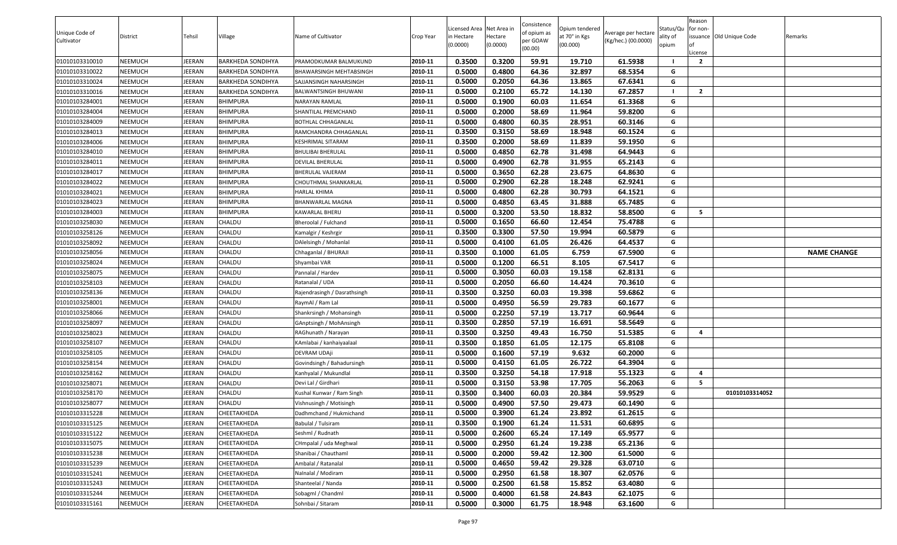|                |                |               |                          |                              |           |                          |                     | Consistence |                           |                     |                   | Reason         |                          |                    |
|----------------|----------------|---------------|--------------------------|------------------------------|-----------|--------------------------|---------------------|-------------|---------------------------|---------------------|-------------------|----------------|--------------------------|--------------------|
| Unique Code of |                |               |                          |                              |           | Licensed Area Net Area i |                     | of opium as | Opium tendered            | Average per hectare | Status/Qu         | for non-       |                          |                    |
| Cultivator     | District       | Tehsil        | Village                  | Name of Cultivator           | Crop Year | in Hectare<br>(0.0000)   | Hectare<br>(0.0000) | per GOAW    | at 70° in Kgs<br>(00.000) | (Kg/hec.) (00.0000) | ality of<br>opium |                | issuance Old Unique Code | Remarks            |
|                |                |               |                          |                              |           |                          |                     | (00.00)     |                           |                     |                   | .icense        |                          |                    |
| 01010103310010 | <b>NEEMUCH</b> | JEERAN        | <b>BARKHEDA SONDIHYA</b> | PRAMODKUMAR BALMUKUND        | 2010-11   | 0.3500                   | 0.3200              | 59.91       | 19.710                    | 61.5938             |                   | $\overline{2}$ |                          |                    |
| 01010103310022 | <b>NEEMUCH</b> | <b>IEERAN</b> | <b>BARKHEDA SONDIHYA</b> | BHAWARSINGH MEHTABSINGH      | 2010-11   | 0.5000                   | 0.4800              | 64.36       | 32.897                    | 68.5354             | G                 |                |                          |                    |
| 01010103310024 | <b>NEEMUCH</b> | <b>IEERAN</b> | <b>BARKHEDA SONDIHYA</b> | SAJJANSINGH NAHARSINGH       | 2010-11   | 0.5000                   | 0.2050              | 64.36       | 13.865                    | 67.6341             | G                 |                |                          |                    |
| 01010103310016 | <b>NEEMUCH</b> | JEERAN        | <b>BARKHEDA SONDIHYA</b> | BALWANTSINGH BHUWANI         | 2010-11   | 0.5000                   | 0.2100              | 65.72       | 14.130                    | 67.2857             |                   | $\overline{2}$ |                          |                    |
| 01010103284001 | <b>NEEMUCH</b> | <b>IEERAN</b> | <b>BHIMPURA</b>          | NARAYAN RAMLAL               | 2010-11   | 0.5000                   | 0.1900              | 60.03       | 11.654                    | 61.3368             | G                 |                |                          |                    |
| 01010103284004 | <b>NEEMUCH</b> | JEERAN        | <b>BHIMPURA</b>          | SHANTILAL PREMCHAND          | 2010-11   | 0.5000                   | 0.2000              | 58.69       | 11.964                    | 59.8200             | G                 |                |                          |                    |
| 01010103284009 | <b>NEEMUCH</b> | <b>IEERAN</b> | <b>BHIMPURA</b>          | BOTHLAL CHHAGANLAL           | 2010-11   | 0.5000                   | 0.4800              | 60.35       | 28.951                    | 60.3146             | G                 |                |                          |                    |
| 01010103284013 | <b>NEEMUCH</b> | JEERAN        | <b>BHIMPURA</b>          | RAMCHANDRA CHHAGANLAL        | 2010-11   | 0.3500                   | 0.3150              | 58.69       | 18.948                    | 60.1524             | G                 |                |                          |                    |
| 01010103284006 | <b>NEEMUCH</b> | JEERAN        | <b>BHIMPURA</b>          | KESHRIMAL SITARAM            | 2010-11   | 0.3500                   | 0.2000              | 58.69       | 11.839                    | 59.1950             | G                 |                |                          |                    |
| 01010103284010 | <b>NEEMUCH</b> | JEERAN        | <b>BHIMPURA</b>          | <b>BHULIBAI BHERULAL</b>     | 2010-11   | 0.5000                   | 0.4850              | 62.78       | 31.498                    | 64.9443             | G                 |                |                          |                    |
| 01010103284011 | <b>NEEMUCH</b> | <b>IEERAN</b> | <b>BHIMPURA</b>          | DEVILAL BHERULAL             | 2010-11   | 0.5000                   | 0.4900              | 62.78       | 31.955                    | 65.2143             | G                 |                |                          |                    |
| 01010103284017 | <b>NEEMUCH</b> | <b>IEERAN</b> | <b>BHIMPURA</b>          | BHERULAL VAJERAM             | 2010-11   | 0.5000                   | 0.3650              | 62.28       | 23.675                    | 64.8630             | G                 |                |                          |                    |
| 01010103284022 | <b>NEEMUCH</b> | JEERAN        | <b>BHIMPURA</b>          | CHOUTHMAL SHANKARLAL         | 2010-11   | 0.5000                   | 0.2900              | 62.28       | 18.248                    | 62.9241             | G                 |                |                          |                    |
| 01010103284021 | <b>NEEMUCH</b> | JEERAN        | <b>BHIMPURA</b>          | HARLAL KHIMA                 | 2010-11   | 0.5000                   | 0.4800              | 62.28       | 30.793                    | 64.1521             | G                 |                |                          |                    |
| 01010103284023 | <b>NEEMUCH</b> | JEERAN        | <b>BHIMPURA</b>          | <b>BHANWARLAL MAGNA</b>      | 2010-11   | 0.5000                   | 0.4850              | 63.45       | 31.888                    | 65.7485             | G                 |                |                          |                    |
| 01010103284003 | <b>NEEMUCH</b> | JEERAN        | <b>BHIMPURA</b>          | KAWARLAL BHERU               | 2010-11   | 0.5000                   | 0.3200              | 53.50       | 18.832                    | 58.8500             | G                 | 5              |                          |                    |
| 01010103258030 | <b>NEEMUCH</b> | JEERAN        | CHALDU                   | Bheroolal / Fulchand         | 2010-11   | 0.5000                   | 0.1650              | 66.60       | 12.454                    | 75.4788             | G                 |                |                          |                    |
| 01010103258126 | <b>NEEMUCH</b> | JEERAN        | CHALDU                   | Kamalgir / Keshrgir          | 2010-11   | 0.3500                   | 0.3300              | 57.50       | 19.994                    | 60.5879             | G                 |                |                          |                    |
| 01010103258092 | <b>NEEMUCH</b> | <b>IEERAN</b> | CHALDU                   | DAlelsingh / Mohanlal        | 2010-11   | 0.5000                   | 0.4100              | 61.05       | 26.426                    | 64.4537             | G                 |                |                          |                    |
| 01010103258056 | <b>NEEMUCH</b> | <b>IEERAN</b> | CHALDU                   | Chhaganlal / BHURAJI         | 2010-11   | 0.3500                   | 0.1000              | 61.05       | 6.759                     | 67.5900             | G                 |                |                          | <b>NAME CHANGE</b> |
| 01010103258024 | <b>NEEMUCH</b> | <b>IEERAN</b> | CHALDU                   | Shyambai VAR                 | 2010-11   | 0.5000                   | 0.1200              | 66.51       | 8.105                     | 67.5417             | G                 |                |                          |                    |
| 01010103258075 | <b>NEEMUCH</b> | JEERAN        | CHALDU                   | Pannalal / Hardev            | 2010-11   | 0.5000                   | 0.3050              | 60.03       | 19.158                    | 62.8131             | G                 |                |                          |                    |
| 01010103258103 | <b>NEEMUCH</b> | <b>IEERAN</b> | CHALDU                   | Ratanalal / UDA              | 2010-11   | 0.5000                   | 0.2050              | 66.60       | 14.424                    | 70.3610             | G                 |                |                          |                    |
| 01010103258136 | <b>NEEMUCH</b> | JEERAN        | CHALDU                   | Rajendrasingh / Dasrathsingh | 2010-11   | 0.3500                   | 0.3250              | 60.03       | 19.398                    | 59.6862             | G                 |                |                          |                    |
| 01010103258001 | <b>NEEMUCH</b> | JEERAN        | CHALDU                   | RaymAl / Ram Lal             | 2010-11   | 0.5000                   | 0.4950              | 56.59       | 29.783                    | 60.1677             | G                 |                |                          |                    |
| 01010103258066 | <b>NEEMUCH</b> | JEERAN        | CHALDU                   | Shankrsingh / Mohansingh     | 2010-11   | 0.5000                   | 0.2250              | 57.19       | 13.717                    | 60.9644             | G                 |                |                          |                    |
| 01010103258097 | <b>NEEMUCH</b> | JEERAN        | CHALDU                   | GAnptsingh / MohAnsingh      | 2010-11   | 0.3500                   | 0.2850              | 57.19       | 16.691                    | 58.5649             | G                 |                |                          |                    |
| 01010103258023 | <b>NEEMUCH</b> | <b>IEERAN</b> | CHALDU                   | RAGhunath / Narayan          | 2010-11   | 0.3500                   | 0.3250              | 49.43       | 16.750                    | 51.5385             | G                 | 4              |                          |                    |
| 01010103258107 | <b>NEEMUCH</b> | JEERAN        | CHALDU                   | KAmlabai / kanhaiyaalaal     | 2010-11   | 0.3500                   | 0.1850              | 61.05       | 12.175                    | 65.8108             | G                 |                |                          |                    |
| 01010103258105 | <b>NEEMUCH</b> | <b>IEERAN</b> | CHALDU                   | DEVRAM UDAji                 | 2010-11   | 0.5000                   | 0.1600              | 57.19       | 9.632                     | 60.2000             | G                 |                |                          |                    |
| 01010103258154 | <b>NEEMUCH</b> | JEERAN        | CHALDU                   | Govindsingh / Bahadursingh   | 2010-11   | 0.5000                   | 0.4150              | 61.05       | 26.722                    | 64.3904             | G                 |                |                          |                    |
| 01010103258162 | <b>NEEMUCH</b> | JEERAN        | CHALDU                   | Kanhyalal / Mukundlal        | 2010-11   | 0.3500                   | 0.3250              | 54.18       | 17.918                    | 55.1323             | G                 | 4              |                          |                    |
| 01010103258071 | <b>NEEMUCH</b> | JEERAN        | CHALDU                   | Devi Lal / Girdhari          | 2010-11   | 0.5000                   | 0.3150              | 53.98       | 17.705                    | 56.2063             | G                 | 5              |                          |                    |
| 01010103258170 | <b>NEEMUCH</b> | <b>IEERAN</b> | CHALDU                   | Kushal Kunwar / Ram Singh    | 2010-11   | 0.3500                   | 0.3400              | 60.03       | 20.384                    | 59.9529             | G                 |                | 01010103314052           |                    |
| 01010103258077 | <b>NEEMUCH</b> | JEERAN        | CHALDU                   | Vishnusingh / Motisingh      | 2010-11   | 0.5000                   | 0.4900              | 57.50       | 29.473                    | 60.1490             | G                 |                |                          |                    |
| 01010103315228 | <b>NEEMUCH</b> | JEERAN        | CHEETAKHEDA              | Dadhmchand / Hukmichand      | 2010-11   | 0.5000                   | 0.3900              | 61.24       | 23.892                    | 61.2615             | G                 |                |                          |                    |
| 01010103315125 | <b>NEEMUCH</b> | JEERAN        | CHEETAKHEDA              | Babulal / Tulsiram           | 2010-11   | 0.3500                   | 0.1900              | 61.24       | 11.531                    | 60.6895             | G                 |                |                          |                    |
| 01010103315122 | <b>NEEMUCH</b> | JEERAN        | CHEETAKHEDA              | Seshml / Rudnath             | 2010-11   | 0.5000                   | 0.2600              | 65.24       | 17.149                    | 65.9577             | G                 |                |                          |                    |
| 01010103315075 | <b>NEEMUCH</b> | JEERAN        | CHEETAKHEDA              | CHmpalal / uda Meghwal       | 2010-11   | 0.5000                   | 0.2950              | 61.24       | 19.238                    | 65.2136             | G                 |                |                          |                    |
| 01010103315238 | <b>NEEMUCH</b> | JEERAN        | CHEETAKHEDA              | Shanibai / Chauthaml         | 2010-11   | 0.5000                   | 0.2000              | 59.42       | 12.300                    | 61.5000             | G                 |                |                          |                    |
| 01010103315239 | <b>NEEMUCH</b> | JEERAN        | CHEETAKHEDA              | Ambalal / Ratanalal          | 2010-11   | 0.5000                   | 0.4650              | 59.42       | 29.328                    | 63.0710             | G                 |                |                          |                    |
| 01010103315241 | <b>NEEMUCH</b> | JEERAN        | CHEETAKHEDA              | Nalnalal / Modiram           | 2010-11   | 0.5000                   | 0.2950              | 61.58       | 18.307                    | 62.0576             | G                 |                |                          |                    |
| 01010103315243 | <b>NEEMUCH</b> | JEERAN        | CHEETAKHEDA              | Shanteelal / Nanda           | 2010-11   | 0.5000                   | 0.2500              | 61.58       | 15.852                    | 63.4080             | G                 |                |                          |                    |
| 01010103315244 | <b>NEEMUCH</b> | JEERAN        | CHEETAKHEDA              | Sobagml / Chandml            | 2010-11   | 0.5000                   | 0.4000              | 61.58       | 24.843                    | 62.1075             | G                 |                |                          |                    |
| 01010103315161 | <b>NEEMUCH</b> | JEERAN        | CHEETAKHEDA              | Sohnbai / Sitaram            | 2010-11   | 0.5000                   | 0.3000              | 61.75       | 18.948                    | 63.1600             | G                 |                |                          |                    |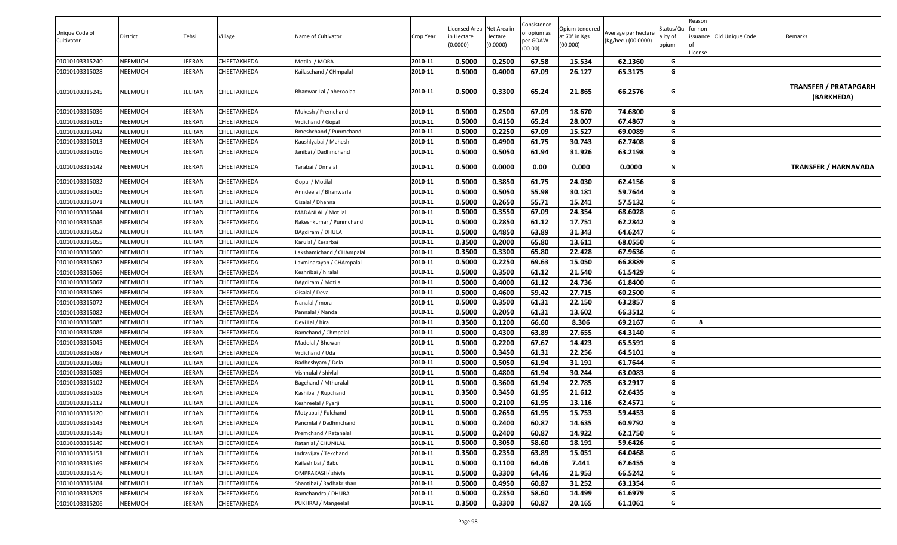| Unique Code of | District       | Tehsil        | Village     | Name of Cultivator       | Crop Year | Licensed Area Net Area in<br>n Hectare | Hectare  | Consistence<br>of opium as | Opium tendered<br>at 70° in Kgs | Average per hectare | Status/Qu<br>ality of | Reason<br>for non- | issuance Old Unique Code | Remarks                             |
|----------------|----------------|---------------|-------------|--------------------------|-----------|----------------------------------------|----------|----------------------------|---------------------------------|---------------------|-----------------------|--------------------|--------------------------|-------------------------------------|
| Cultivator     |                |               |             |                          |           | (0.0000)                               | (0.0000) | per GOAW<br>(00.00)        | (00.000)                        | (Kg/hec.) (00.0000) | opium                 | lof<br>License     |                          |                                     |
| 01010103315240 | <b>NEEMUCH</b> | JEERAN        | CHEETAKHEDA | Motilal / MORA           | 2010-11   | 0.5000                                 | 0.2500   | 67.58                      | 15.534                          | 62.1360             | G                     |                    |                          |                                     |
| 01010103315028 | NEEMUCH        | JEERAN        | CHEETAKHEDA | Kailaschand / CHmpalal   | 2010-11   | 0.5000                                 | 0.4000   | 67.09                      | 26.127                          | 65.3175             | G                     |                    |                          |                                     |
| 01010103315245 | <b>NEEMUCH</b> | JEERAN        | CHEETAKHEDA | Bhanwar Lal / bheroolaal | 2010-11   | 0.5000                                 | 0.3300   | 65.24                      | 21.865                          | 66.2576             | G                     |                    |                          | TRANSFER / PRATAPGARH<br>(BARKHEDA) |
| 01010103315036 | <b>NEEMUCH</b> | JEERAN        | CHEETAKHEDA | Mukesh / Premchand       | 2010-11   | 0.5000                                 | 0.2500   | 67.09                      | 18.670                          | 74.6800             | G                     |                    |                          |                                     |
| 01010103315015 | <b>NEEMUCH</b> | JEERAN        | CHEETAKHEDA | Vrdichand / Gopal        | 2010-11   | 0.5000                                 | 0.4150   | 65.24                      | 28.007                          | 67.4867             | G                     |                    |                          |                                     |
| 01010103315042 | <b>NEEMUCH</b> | JEERAN        | CHEETAKHEDA | Rmeshchand / Punmchand   | 2010-11   | 0.5000                                 | 0.2250   | 67.09                      | 15.527                          | 69.0089             | G                     |                    |                          |                                     |
| 01010103315013 | <b>NEEMUCH</b> | JEERAN        | CHEETAKHEDA | Kaushlyabai / Mahesh     | 2010-11   | 0.5000                                 | 0.4900   | 61.75                      | 30.743                          | 62.7408             | G                     |                    |                          |                                     |
| 01010103315016 | <b>NEEMUCH</b> | JEERAN        | CHEETAKHEDA | Janibai / Dadhmchand     | 2010-11   | 0.5000                                 | 0.5050   | 61.94                      | 31.926                          | 63.2198             | G                     |                    |                          |                                     |
| 01010103315142 | <b>NEEMUCH</b> | JEERAN        | CHEETAKHEDA | Tarabai / Dnnalal        | 2010-11   | 0.5000                                 | 0.0000   | 0.00                       | 0.000                           | 0.0000              | N                     |                    |                          | <b>TRANSFER / HARNAVADA</b>         |
| 01010103315032 | <b>NEEMUCH</b> | JEERAN        | CHEETAKHEDA | Gopal / Motilal          | 2010-11   | 0.5000                                 | 0.3850   | 61.75                      | 24.030                          | 62.4156             | G                     |                    |                          |                                     |
| 01010103315005 | <b>NEEMUCH</b> | JEERAN        | CHEETAKHEDA | Anndeelal / Bhanwarlal   | 2010-11   | 0.5000                                 | 0.5050   | 55.98                      | 30.181                          | 59.7644             | G                     |                    |                          |                                     |
| 01010103315071 | <b>NEEMUCH</b> | JEERAN        | CHEETAKHEDA | Gisalal / Dhanna         | 2010-11   | 0.5000                                 | 0.2650   | 55.71                      | 15.241                          | 57.5132             | G                     |                    |                          |                                     |
| 01010103315044 | <b>NEEMUCH</b> | JEERAN        | CHEETAKHEDA | MADANLAL / Motilal       | 2010-11   | 0.5000                                 | 0.3550   | 67.09                      | 24.354                          | 68.6028             | G                     |                    |                          |                                     |
| 01010103315046 | <b>NEEMUCH</b> | JEERAN        | CHEETAKHEDA | Rakeshkumar / Punmchand  | 2010-11   | 0.5000                                 | 0.2850   | 61.12                      | 17.751                          | 62.2842             | G                     |                    |                          |                                     |
| 01010103315052 | <b>NEEMUCH</b> | JEERAN        | CHEETAKHEDA | BAgdiram / DHULA         | 2010-11   | 0.5000                                 | 0.4850   | 63.89                      | 31.343                          | 64.6247             | G                     |                    |                          |                                     |
| 01010103315055 | <b>NEEMUCH</b> | JEERAN        | CHEETAKHEDA | Karulal / Kesarbai       | 2010-11   | 0.3500                                 | 0.2000   | 65.80                      | 13.611                          | 68.0550             | G                     |                    |                          |                                     |
| 01010103315060 | <b>NEEMUCH</b> | JEERAN        | CHEETAKHEDA | akshamichand / CHAmpalal | 2010-11   | 0.3500                                 | 0.3300   | 65.80                      | 22.428                          | 67.9636             | G                     |                    |                          |                                     |
| 01010103315062 | <b>NEEMUCH</b> | JEERAN        | CHEETAKHEDA | Laxminarayan / CHAmpalal | 2010-11   | 0.5000                                 | 0.2250   | 69.63                      | 15.050                          | 66.8889             | G                     |                    |                          |                                     |
| 01010103315066 | <b>NEEMUCH</b> | JEERAN        | CHEETAKHEDA | Keshribai / hiralal      | 2010-11   | 0.5000                                 | 0.3500   | 61.12                      | 21.540                          | 61.5429             | G                     |                    |                          |                                     |
| 01010103315067 | <b>NEEMUCH</b> | JEERAN        | CHEETAKHEDA | BAgdiram / Motilal       | 2010-11   | 0.5000                                 | 0.4000   | 61.12                      | 24.736                          | 61.8400             | G                     |                    |                          |                                     |
| 01010103315069 | <b>NEEMUCH</b> | JEERAN        | CHEETAKHEDA | Gisalal / Deva           | 2010-11   | 0.5000                                 | 0.4600   | 59.42                      | 27.715                          | 60.2500             | G                     |                    |                          |                                     |
| 01010103315072 | <b>NEEMUCH</b> | JEERAN        | CHEETAKHEDA | Nanalal / mora           | 2010-11   | 0.5000                                 | 0.3500   | 61.31                      | 22.150                          | 63.2857             | G                     |                    |                          |                                     |
| 01010103315082 | <b>NEEMUCH</b> | JEERAN        | CHEETAKHEDA | Pannalal / Nanda         | 2010-11   | 0.5000                                 | 0.2050   | 61.31                      | 13.602                          | 66.3512             | G                     |                    |                          |                                     |
| 01010103315085 | <b>NEEMUCH</b> | JEERAN        | CHEETAKHEDA | Devi Lal / hira          | 2010-11   | 0.3500                                 | 0.1200   | 66.60                      | 8.306                           | 69.2167             | G                     | 8                  |                          |                                     |
| 01010103315086 | <b>NEEMUCH</b> | JEERAN        | CHEETAKHEDA | Ramchand / Chmpalal      | 2010-11   | 0.5000                                 | 0.4300   | 63.89                      | 27.655                          | 64.3140             | G                     |                    |                          |                                     |
| 01010103315045 | <b>NEEMUCH</b> | JEERAN        | CHEETAKHEDA | Madolal / Bhuwani        | 2010-11   | 0.5000                                 | 0.2200   | 67.67                      | 14.423                          | 65.5591             | G                     |                    |                          |                                     |
| 01010103315087 | <b>NEEMUCH</b> | JEERAN        | CHEETAKHEDA | Vrdichand / Uda          | 2010-11   | 0.5000                                 | 0.3450   | 61.31                      | 22.256                          | 64.5101             | G                     |                    |                          |                                     |
| 01010103315088 | <b>NEEMUCH</b> | JEERAN        | CHEETAKHEDA | Radheshyam / Dola        | 2010-11   | 0.5000                                 | 0.5050   | 61.94                      | 31.191                          | 61.7644             | G                     |                    |                          |                                     |
| 01010103315089 | <b>NEEMUCH</b> | JEERAN        | CHEETAKHEDA | Vishnulal / shivlal      | 2010-11   | 0.5000                                 | 0.4800   | 61.94                      | 30.244                          | 63.0083             | G                     |                    |                          |                                     |
| 01010103315102 | <b>NEEMUCH</b> | JEERAN        | CHEETAKHEDA | Bagchand / Mthuralal     | 2010-11   | 0.5000                                 | 0.3600   | 61.94                      | 22.785                          | 63.2917             | G                     |                    |                          |                                     |
| 01010103315108 | <b>NEEMUCH</b> | JEERAN        | CHEETAKHEDA | Kashibai / Rupchand      | 2010-11   | 0.3500                                 | 0.3450   | 61.95                      | 21.612                          | 62.6435             | G                     |                    |                          |                                     |
| 01010103315112 | <b>NEEMUCH</b> | JEERAN        | CHEETAKHEDA | Keshreelal / Pyarji      | 2010-11   | 0.5000                                 | 0.2100   | 61.95                      | 13.116                          | 62.4571             | G                     |                    |                          |                                     |
| 01010103315120 | <b>NEEMUCH</b> | <b>JEERAN</b> | CHEETAKHEDA | Motyabai / Fulchand      | 2010-11   | 0.5000                                 | 0.2650   | 61.95                      | 15.753                          | 59.4453             | G                     |                    |                          |                                     |
| 01010103315143 | <b>NEEMUCH</b> | JEERAN        | CHEETAKHEDA | Pancmlal / Dadhmchand    | 2010-11   | 0.5000                                 | 0.2400   | 60.87                      | 14.635                          | 60.9792             | G                     |                    |                          |                                     |
| 01010103315148 | <b>NEEMUCH</b> | JEERAN        | CHEETAKHEDA | Premchand / Ratanalal    | 2010-11   | 0.5000                                 | 0.2400   | 60.87                      | 14.922                          | 62.1750             | G                     |                    |                          |                                     |
| 01010103315149 | <b>NEEMUCH</b> | JEERAN        | CHEETAKHEDA | Ratanlal / CHUNILAL      | 2010-11   | 0.5000                                 | 0.3050   | 58.60                      | 18.191                          | 59.6426             | G                     |                    |                          |                                     |
| 01010103315151 | <b>NEEMUCH</b> | JEERAN        | CHEETAKHEDA | Indravijay / Tekchand    | 2010-11   | 0.3500                                 | 0.2350   | 63.89                      | 15.051                          | 64.0468             | G                     |                    |                          |                                     |
| 01010103315169 | <b>NEEMUCH</b> | JEERAN        | CHEETAKHEDA | Kailashibai / Babu       | 2010-11   | 0.5000                                 | 0.1100   | 64.46                      | 7.441                           | 67.6455             | G                     |                    |                          |                                     |
| 01010103315176 | <b>NEEMUCH</b> | JEERAN        | CHEETAKHEDA | OMPRAKASH/ shivlal       | 2010-11   | 0.5000                                 | 0.3300   | 64.46                      | 21.953                          | 66.5242             | G                     |                    |                          |                                     |
| 01010103315184 | <b>NEEMUCH</b> | JEERAN        | CHEETAKHEDA | Shantibai / Radhakrishan | 2010-11   | 0.5000                                 | 0.4950   | 60.87                      | 31.252                          | 63.1354             | G                     |                    |                          |                                     |
| 01010103315205 | <b>NEEMUCH</b> | JEERAN        | CHEETAKHEDA | Ramchandra / DHURA       | 2010-11   | 0.5000                                 | 0.2350   | 58.60                      | 14.499                          | 61.6979             | G                     |                    |                          |                                     |
| 01010103315206 | <b>NEEMUCH</b> | JEERAN        | CHEETAKHEDA | PUKHRAJ / Mangeelal      | 2010-11   | 0.3500                                 | 0.3300   | 60.87                      | 20.165                          | 61.1061             | G                     |                    |                          |                                     |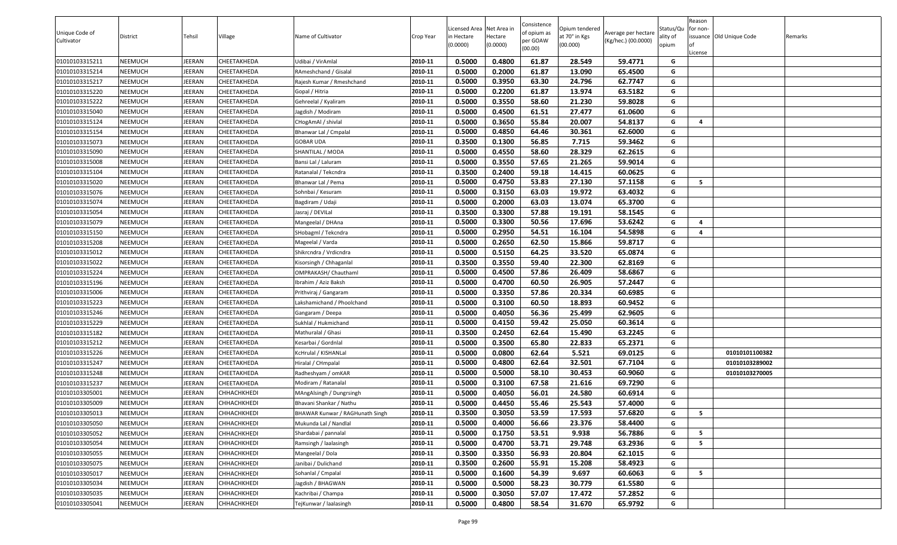| Unique Code of<br>Cultivator | District | Tehsil | Village            | Name of Cultivator              | Crop Year | Licensed Area Net Area in<br>in Hectare<br>(0.0000) | lectare<br>(0.0000) | Consistence<br>of opium as<br>oer GOAW<br>(00.00) | Opium tendered<br>at 70° in Kgs<br>(00.000) | Average per hectare<br>(Kg/hec.) (00.0000) | Status/Qu<br>ality of<br>opium | Reason<br>for non-<br>issuance Old Unique Code | Remarks |
|------------------------------|----------|--------|--------------------|---------------------------------|-----------|-----------------------------------------------------|---------------------|---------------------------------------------------|---------------------------------------------|--------------------------------------------|--------------------------------|------------------------------------------------|---------|
| 01010103315211               | NEEMUCH  | JEERAN | CHEETAKHEDA        | Udibai / VirAmlal               | 2010-11   | 0.5000                                              | 0.4800              | 61.87                                             | 28.549                                      | 59.4771                                    | G                              | .icense                                        |         |
| 01010103315214               | NEEMUCH  | JEERAN | CHEETAKHEDA        | RAmeshchand / Gisalal           | 2010-11   | 0.5000                                              | 0.2000              | 61.87                                             | 13.090                                      | 65.4500                                    | G                              |                                                |         |
| 01010103315217               | NEEMUCH  | JEERAN | CHEETAKHEDA        | Rajesh Kumar / Rmeshchand       | 2010-11   | 0.5000                                              | 0.3950              | 63.30                                             | 24.796                                      | 62.7747                                    | G                              |                                                |         |
| 01010103315220               | NEEMUCH  | JEERAN | CHEETAKHEDA        | Gopal / Hitria                  | 2010-11   | 0.5000                                              | 0.2200              | 61.87                                             | 13.974                                      | 63.5182                                    | G                              |                                                |         |
| 01010103315222               | NEEMUCH  | JEERAN | CHEETAKHEDA        | Gehreelal / Kyaliram            | 2010-11   | 0.5000                                              | 0.3550              | 58.60                                             | 21.230                                      | 59.8028                                    | G                              |                                                |         |
| 01010103315040               | NEEMUCH  | JEERAN | CHEETAKHEDA        | Jagdish / Modiram               | 2010-11   | 0.5000                                              | 0.4500              | 61.51                                             | 27.477                                      | 61.0600                                    | G                              |                                                |         |
| 01010103315124               | NEEMUCH  | JEERAN | CHEETAKHEDA        | CHogAmAl / shivlal              | 2010-11   | 0.5000                                              | 0.3650              | 55.84                                             | 20.007                                      | 54.8137                                    | G                              | $\overline{a}$                                 |         |
| 01010103315154               | NEEMUCH  | JEERAN | CHEETAKHEDA        | Bhanwar Lal / Cmpalal           | 2010-11   | 0.5000                                              | 0.4850              | 64.46                                             | 30.361                                      | 62.6000                                    | G                              |                                                |         |
| 01010103315073               | NEEMUCH  | JEERAN | CHEETAKHEDA        | GOBAR UDA                       | 2010-11   | 0.3500                                              | 0.1300              | 56.85                                             | 7.715                                       | 59.3462                                    | G                              |                                                |         |
| 01010103315090               | NEEMUCH  | JEERAN | CHEETAKHEDA        | SHANTILAL / MODA                | 2010-11   | 0.5000                                              | 0.4550              | 58.60                                             | 28.329                                      | 62.2615                                    | G                              |                                                |         |
| 01010103315008               | NEEMUCH  | JEERAN | CHEETAKHEDA        | Bansi Lal / Laluram             | 2010-11   | 0.5000                                              | 0.3550              | 57.65                                             | 21.265                                      | 59.9014                                    | G                              |                                                |         |
| 01010103315104               | NEEMUCH  | JEERAN | CHEETAKHEDA        | Ratanalal / Tekcndra            | 2010-11   | 0.3500                                              | 0.2400              | 59.18                                             | 14.415                                      | 60.0625                                    | G                              |                                                |         |
| 01010103315020               | NEEMUCH  | JEERAN | CHEETAKHEDA        | Bhanwar Lal / Pema              | 2010-11   | 0.5000                                              | 0.4750              | 53.83                                             | 27.130                                      | 57.1158                                    | G                              | 5                                              |         |
| 01010103315076               | NEEMUCH  | JEERAN | CHEETAKHEDA        | Sohnbai / Kesuram               | 2010-11   | 0.5000                                              | 0.3150              | 63.03                                             | 19.972                                      | 63.4032                                    | G                              |                                                |         |
| 01010103315074               | NEEMUCH  | JEERAN | CHEETAKHEDA        | Bagdiram / Udaji                | 2010-11   | 0.5000                                              | 0.2000              | 63.03                                             | 13.074                                      | 65.3700                                    | G                              |                                                |         |
| 01010103315054               | NEEMUCH  | JEERAN | CHEETAKHEDA        | Jasraj / DEVILal                | 2010-11   | 0.3500                                              | 0.3300              | 57.88                                             | 19.191                                      | 58.1545                                    | G                              |                                                |         |
| 01010103315079               | NEEMUCH  | JEERAN | CHEETAKHEDA        | Mangeelal / DHAna               | 2010-11   | 0.5000                                              | 0.3300              | 50.56                                             | 17.696                                      | 53.6242                                    | G                              | $\overline{4}$                                 |         |
| 01010103315150               | NEEMUCH  | JEERAN | CHEETAKHEDA        | SHobagml / Tekcndra             | 2010-11   | 0.5000                                              | 0.2950              | 54.51                                             | 16.104                                      | 54.5898                                    | G                              | 4                                              |         |
| 01010103315208               | NEEMUCH  | JEERAN | CHEETAKHEDA        | Mageelal / Varda                | 2010-11   | 0.5000                                              | 0.2650              | 62.50                                             | 15.866                                      | 59.8717                                    | G                              |                                                |         |
| 01010103315012               | NEEMUCH  | JEERAN | CHEETAKHEDA        | Shikrcndra / Vrdicndra          | 2010-11   | 0.5000                                              | 0.5150              | 64.25                                             | 33.520                                      | 65.0874                                    | G                              |                                                |         |
| 01010103315022               | NEEMUCH  | JEERAN | CHEETAKHEDA        | Kisorsingh / Chhaganlal         | 2010-11   | 0.3500                                              | 0.3550              | 59.40                                             | 22.300                                      | 62.8169                                    | G                              |                                                |         |
| 01010103315224               | NEEMUCH  | JEERAN | CHEETAKHEDA        | OMPRAKASH/ Chauthaml            | 2010-11   | 0.5000                                              | 0.4500              | 57.86                                             | 26.409                                      | 58.6867                                    | G                              |                                                |         |
| 01010103315196               | NEEMUCH  | JEERAN | CHEETAKHEDA        | Ibrahim / Aziz Baksh            | 2010-11   | 0.5000                                              | 0.4700              | 60.50                                             | 26.905                                      | 57.2447                                    | G                              |                                                |         |
| 01010103315006               | NEEMUCH  | JEERAN | CHEETAKHEDA        | Prithviraj / Gangaram           | 2010-11   | 0.5000                                              | 0.3350              | 57.86                                             | 20.334                                      | 60.6985                                    | G                              |                                                |         |
| 01010103315223               | NEEMUCH  | JEERAN | CHEETAKHEDA        | Lakshamichand / Phoolchand      | 2010-11   | 0.5000                                              | 0.3100              | 60.50                                             | 18.893                                      | 60.9452                                    | G                              |                                                |         |
| 01010103315246               | NEEMUCH  | JEERAN | CHEETAKHEDA        | Gangaram / Deepa                | 2010-11   | 0.5000                                              | 0.4050              | 56.36                                             | 25.499                                      | 62.9605                                    | G                              |                                                |         |
| 01010103315229               | NEEMUCH  | JEERAN | CHEETAKHEDA        | Sukhlal / Hukmichand            | 2010-11   | 0.5000                                              | 0.4150              | 59.42                                             | 25.050                                      | 60.3614                                    | G                              |                                                |         |
| 01010103315182               | NEEMUCH  | JEERAN | CHEETAKHEDA        | Mathuralal / Ghasi              | 2010-11   | 0.3500                                              | 0.2450              | 62.64                                             | 15.490                                      | 63.2245                                    | G                              |                                                |         |
| 01010103315212               | NEEMUCH  | JEERAN | CHEETAKHEDA        | Kesarbai / Gordnlal             | 2010-11   | 0.5000                                              | 0.3500              | 65.80                                             | 22.833                                      | 65.2371                                    | G                              |                                                |         |
| 01010103315226               | NEEMUCH  | JEERAN | CHEETAKHEDA        | KcHrulal / KISHANLal            | 2010-11   | 0.5000                                              | 0.0800              | 62.64                                             | 5.521                                       | 69.0125                                    | G                              | 01010101100382                                 |         |
| 01010103315247               | NEEMUCH  | JEERAN | CHEETAKHEDA        | Hiralal / CHmpalal              | 2010-11   | 0.5000                                              | 0.4800              | 62.64                                             | 32.501                                      | 67.7104                                    | G                              | 01010103289002                                 |         |
| 01010103315248               | NEEMUCH  | JEERAN | CHEETAKHEDA        | Radheshyam / omKAR              | 2010-11   | 0.5000                                              | 0.5000              | 58.10                                             | 30.453                                      | 60.9060                                    | G                              | 01010103270005                                 |         |
| 01010103315237               | NEEMUCH  | JEERAN | CHEETAKHEDA        | Modiram / Ratanalal             | 2010-11   | 0.5000                                              | 0.3100              | 67.58                                             | 21.616                                      | 69.7290                                    | G                              |                                                |         |
| 01010103305001               | NEEMUCH  | JEERAN | CHHACHKHEDI        | MAngAlsingh / Dungrsingh        | 2010-11   | 0.5000                                              | 0.4050              | 56.01                                             | 24.580                                      | 60.6914                                    | G                              |                                                |         |
| 01010103305009               | NEEMUCH  | JEERAN | <b>CHHACHKHEDI</b> | Bhavani Shankar / Nathu         | 2010-11   | 0.5000                                              | 0.4450              | 55.46                                             | 25.543                                      | 57.4000                                    | G                              |                                                |         |
| 01010103305013               | NEEMUCH  | JEERAN | <b>СННАСНКНЕDI</b> | BHAWAR Kunwar / RAGHunath Singh | 2010-11   | 0.3500                                              | 0.3050              | 53.59                                             | 17.593                                      | 57.6820                                    | G                              | 5                                              |         |
| 01010103305050               | NEEMUCH  | JEERAN | CHHACHKHEDI        | Mukunda Lal / Nandlal           | 2010-11   | 0.5000                                              | 0.4000              | 56.66                                             | 23.376                                      | 58.4400                                    | G                              |                                                |         |
| 01010103305052               | NEEMUCH  | JEERAN | CHHACHKHEDI        | Shardabai / pannalal            | 2010-11   | 0.5000                                              | 0.1750              | 53.51                                             | 9.938                                       | 56.7886                                    | G                              | 5                                              |         |
| 01010103305054               | NEEMUCH  | JEERAN | CHHACHKHEDI        | Ramsingh / laalasingh           | 2010-11   | 0.5000                                              | 0.4700              | 53.71                                             | 29.748                                      | 63.2936                                    | G                              | 5                                              |         |
| 01010103305055               | NEEMUCH  | JEERAN | CHHACHKHEDI        | Mangeelal / Dola                | 2010-11   | 0.3500                                              | 0.3350              | 56.93                                             | 20.804                                      | 62.1015                                    | G                              |                                                |         |
| 01010103305075               | NEEMUCH  | JEERAN | CHHACHKHEDI        | Janibai / Dulichand             | 2010-11   | 0.3500                                              | 0.2600              | 55.91                                             | 15.208                                      | 58.4923                                    | G                              |                                                |         |
| 01010103305017               | NEEMUCH  | JEERAN | CHHACHKHEDI        | Sohanlal / Cmpalal              | 2010-11   | 0.5000                                              | 0.1600              | 54.39                                             | 9.697                                       | 60.6063                                    | G                              | 5                                              |         |
| 01010103305034               | NEEMUCH  | JEERAN | CHHACHKHEDI        | Jagdish / BHAGWAN               | 2010-11   | 0.5000                                              | 0.5000              | 58.23                                             | 30.779                                      | 61.5580                                    | G                              |                                                |         |
| 01010103305035               | NEEMUCH  | JEERAN | CHHACHKHEDI        | Kachribai / Champa              | 2010-11   | 0.5000                                              | 0.3050              | 57.07                                             | 17.472                                      | 57.2852                                    | G                              |                                                |         |
| 01010103305041               | NEEMUCH  | JEERAN | CHHACHKHEDI        | TejKunwar / laalasingh          | 2010-11   | 0.5000                                              | 0.4800              | 58.54                                             | 31.670                                      | 65.9792                                    | G                              |                                                |         |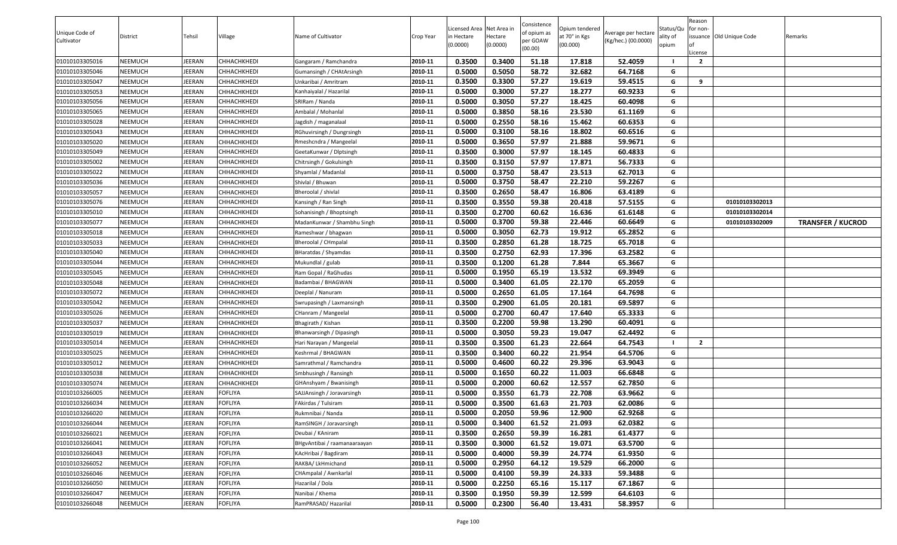| Unique Code of<br>Cultivator | District | Tehsil | Village        | Name of Cultivator           | Crop Year | Licensed Area Net Area in<br>in Hectare<br>(0.0000) | lectare<br>(0.0000) | Consistence<br>of opium as<br>oer GOAW<br>(00.00) | Opium tendered<br>at 70° in Kgs<br>(00.000) | Average per hectare<br>(Kg/hec.) (00.0000) | Status/Qu<br>ality of<br>opium | Reason<br>for non-<br>.icense | issuance Old Unique Code | Remarks                  |
|------------------------------|----------|--------|----------------|------------------------------|-----------|-----------------------------------------------------|---------------------|---------------------------------------------------|---------------------------------------------|--------------------------------------------|--------------------------------|-------------------------------|--------------------------|--------------------------|
| 01010103305016               | NEEMUCH  | JEERAN | CHHACHKHEDI    | Gangaram / Ramchandra        | 2010-11   | 0.3500                                              | 0.3400              | 51.18                                             | 17.818                                      | 52.4059                                    |                                | $\overline{2}$                |                          |                          |
| 01010103305046               | NEEMUCH  | JEERAN | СННАСНКНЕDІ    | Gumansingh / CHAtArsingh     | 2010-11   | 0.5000                                              | 0.5050              | 58.72                                             | 32.682                                      | 64.7168                                    | G                              |                               |                          |                          |
| 01010103305047               | NEEMUCH  | JEERAN | CHHACHKHEDI    | Unkaribai / Amritram         | 2010-11   | 0.3500                                              | 0.3300              | 57.27                                             | 19.619                                      | 59.4515                                    | G                              | 9                             |                          |                          |
| 01010103305053               | NEEMUCH  | JEERAN | СННАСНКНЕDІ    | Kanhaiyalal / Hazarilal      | 2010-11   | 0.5000                                              | 0.3000              | 57.27                                             | 18.277                                      | 60.9233                                    | G                              |                               |                          |                          |
| 01010103305056               | NEEMUCH  | JEERAN | CHHACHKHEDI    | SRIRam / Nanda               | 2010-11   | 0.5000                                              | 0.3050              | 57.27                                             | 18.425                                      | 60.4098                                    | G                              |                               |                          |                          |
| 01010103305065               | NEEMUCH  | JEERAN | СННАСНКНЕDІ    | Ambalal / Mohanlal           | 2010-11   | 0.5000                                              | 0.3850              | 58.16                                             | 23.530                                      | 61.1169                                    | G                              |                               |                          |                          |
| 01010103305028               | NEEMUCH  | JEERAN | CHHACHKHEDI    | Jagdish / maganalaal         | 2010-11   | 0.5000                                              | 0.2550              | 58.16                                             | 15.462                                      | 60.6353                                    | G                              |                               |                          |                          |
| 01010103305043               | NEEMUCH  | JEERAN | CHHACHKHEDI    | RGhuvirsingh / Dungrsingh    | 2010-11   | 0.5000                                              | 0.3100              | 58.16                                             | 18.802                                      | 60.6516                                    | G                              |                               |                          |                          |
| 01010103305020               | NEEMUCH  | JEERAN | CHHACHKHEDI    | Rmeshcndra / Mangeelal       | 2010-11   | 0.5000                                              | 0.3650              | 57.97                                             | 21.888                                      | 59.9671                                    | G                              |                               |                          |                          |
| 01010103305049               | NEEMUCH  | JEERAN | CHHACHKHEDI    | GeetaKunwar / Dlptsingh      | 2010-11   | 0.3500                                              | 0.3000              | 57.97                                             | 18.145                                      | 60.4833                                    | G                              |                               |                          |                          |
| 01010103305002               | NEEMUCH  | JEERAN | CHHACHKHEDI    | Chitrsingh / Gokulsingh      | 2010-11   | 0.3500                                              | 0.3150              | 57.97                                             | 17.871                                      | 56.7333                                    | G                              |                               |                          |                          |
| 01010103305022               | NEEMUCH  | JEERAN | СННАСНКНЕDІ    | Shyamlal / Madanlal          | 2010-11   | 0.5000                                              | 0.3750              | 58.47                                             | 23.513                                      | 62.7013                                    | G                              |                               |                          |                          |
| 01010103305036               | NEEMUCH  | JEERAN | CHHACHKHEDI    | Shivlal / Bhuwan             | 2010-11   | 0.5000                                              | 0.3750              | 58.47                                             | 22.210                                      | 59.2267                                    | G                              |                               |                          |                          |
| 01010103305057               | NEEMUCH  | JEERAN | CHHACHKHEDI    | Bheroolal / shivlal          | 2010-11   | 0.3500                                              | 0.2650              | 58.47                                             | 16.806                                      | 63.4189                                    | G                              |                               |                          |                          |
| 01010103305076               | NEEMUCH  | JEERAN | СННАСНКНЕDІ    | Kansingh / Ran Singh         | 2010-11   | 0.3500                                              | 0.3550              | 59.38                                             | 20.418                                      | 57.5155                                    | G                              |                               | 01010103302013           |                          |
| 01010103305010               | NEEMUCH  | JEERAN | CHHACHKHEDI    | Sohanisingh / Bhoptsingh     | 2010-11   | 0.3500                                              | 0.2700              | 60.62                                             | 16.636                                      | 61.6148                                    | G                              |                               | 01010103302014           |                          |
| 01010103305077               | NEEMUCH  | JEERAN | CHHACHKHEDI    | MadanKunwar / Shambhu Singh  | 2010-11   | 0.5000                                              | 0.3700              | 59.38                                             | 22.446                                      | 60.6649                                    | G                              |                               | 01010103302009           | <b>TRANSFER / KUCROD</b> |
| 01010103305018               | NEEMUCH  | JEERAN | CHHACHKHEDI    | Rameshwar / bhagwan          | 2010-11   | 0.5000                                              | 0.3050              | 62.73                                             | 19.912                                      | 65.2852                                    | G                              |                               |                          |                          |
| 01010103305033               | NEEMUCH  | JEERAN | СННАСНКНЕDІ    | Bheroolal / CHmpalal         | 2010-11   | 0.3500                                              | 0.2850              | 61.28                                             | 18.725                                      | 65.7018                                    | G                              |                               |                          |                          |
| 01010103305040               | NEEMUCH  | JEERAN | CHHACHKHEDI    | BHaratdas / Shyamdas         | 2010-11   | 0.3500                                              | 0.2750              | 62.93                                             | 17.396                                      | 63.2582                                    | G                              |                               |                          |                          |
| 01010103305044               | NEEMUCH  | JEERAN | CHHACHKHEDI    | Mukundlal / gulab            | 2010-11   | 0.3500                                              | 0.1200              | 61.28                                             | 7.844                                       | 65.3667                                    | G                              |                               |                          |                          |
| 01010103305045               | NEEMUCH  | JEERAN | CHHACHKHEDI    | Ram Gopal / RaGhudas         | 2010-11   | 0.5000                                              | 0.1950              | 65.19                                             | 13.532                                      | 69.3949                                    | G                              |                               |                          |                          |
| 01010103305048               | NEEMUCH  | JEERAN | CHHACHKHEDI    | Badambai / BHAGWAN           | 2010-11   | 0.5000                                              | 0.3400              | 61.05                                             | 22.170                                      | 65.2059                                    | G                              |                               |                          |                          |
| 01010103305072               | NEEMUCH  | JEERAN | CHHACHKHEDI    | Deeplal / Nanuram            | 2010-11   | 0.5000                                              | 0.2650              | 61.05                                             | 17.164                                      | 64.7698                                    | G                              |                               |                          |                          |
| 01010103305042               | NEEMUCH  | JEERAN | CHHACHKHEDI    | Swrupasingh / Laxmansingh    | 2010-11   | 0.3500                                              | 0.2900              | 61.05                                             | 20.181                                      | 69.5897                                    | G                              |                               |                          |                          |
| 01010103305026               | NEEMUCH  | JEERAN | CHHACHKHEDI    | CHanram / Mangeelal          | 2010-11   | 0.5000                                              | 0.2700              | 60.47                                             | 17.640                                      | 65.3333                                    | G                              |                               |                          |                          |
| 01010103305037               | NEEMUCH  | JEERAN | CHHACHKHEDI    | Bhagirath / Kishan           | 2010-11   | 0.3500                                              | 0.2200              | 59.98                                             | 13.290                                      | 60.4091                                    | G                              |                               |                          |                          |
| 01010103305019               | NEEMUCH  | JEERAN | CHHACHKHEDI    | Bhanwarsingh / Dipasingh     | 2010-11   | 0.5000                                              | 0.3050              | 59.23                                             | 19.047                                      | 62.4492                                    | G                              |                               |                          |                          |
| 01010103305014               | NEEMUCH  | JEERAN | СННАСНКНЕDІ    | Hari Narayan / Mangeelal     | 2010-11   | 0.3500                                              | 0.3500              | 61.23                                             | 22.664                                      | 64.7543                                    |                                | $\overline{2}$                |                          |                          |
| 01010103305025               | NEEMUCH  | JEERAN | СННАСНКНЕDІ    | Keshrmal / BHAGWAN           | 2010-11   | 0.3500                                              | 0.3400              | 60.22                                             | 21.954                                      | 64.5706                                    | G                              |                               |                          |                          |
| 01010103305012               | NEEMUCH  | JEERAN | СННАСНКНЕDІ    | Samrathmal / Ramchandra      | 2010-11   | 0.5000                                              | 0.4600              | 60.22                                             | 29.396                                      | 63.9043                                    | G                              |                               |                          |                          |
| 01010103305038               | NEEMUCH  | JEERAN | CHHACHKHEDI    | Smbhusingh / Ransingh        | 2010-11   | 0.5000                                              | 0.1650              | 60.22                                             | 11.003                                      | 66.6848                                    | G                              |                               |                          |                          |
| 01010103305074               | NEEMUCH  | JEERAN | CHHACHKHEDI    | GHAnshyam / Bwanisingh       | 2010-11   | 0.5000                                              | 0.2000              | 60.62                                             | 12.557                                      | 62.7850                                    | G                              |                               |                          |                          |
| 01010103266005               | NEEMUCH  | JEERAN | <b>FOFLIYA</b> | SAJJAnsingh / Joravarsingh   | 2010-11   | 0.5000                                              | 0.3550              | 61.73                                             | 22.708                                      | 63.9662                                    | G                              |                               |                          |                          |
| 01010103266034               | NEEMUCH  | JEERAN | <b>FOFLIYA</b> | -Akirdas / Tulsiram          | 2010-11   | 0.5000                                              | 0.3500              | 61.63                                             | 21.703                                      | 62.0086                                    | G                              |                               |                          |                          |
| 01010103266020               | NEEMUCH  | JEERAN | <b>FOFLIYA</b> | Rukmnibai / Nanda            | 2010-11   | 0.5000                                              | 0.2050              | 59.96                                             | 12.900                                      | 62.9268                                    | G                              |                               |                          |                          |
| 01010103266044               | NEEMUCH  | JEERAN | <b>FOFLIYA</b> | RamSINGH / Joravarsingh      | 2010-11   | 0.5000                                              | 0.3400              | 61.52                                             | 21.093                                      | 62.0382                                    | G                              |                               |                          |                          |
| 01010103266021               | NEEMUCH  | JEERAN | <b>FOFLIYA</b> | Deubai / KAniram             | 2010-11   | 0.3500                                              | 0.2650              | 59.39                                             | 16.281                                      | 61.4377                                    | G                              |                               |                          |                          |
| 01010103266041               | NEEMUCH  | JEERAN | <b>FOFLIYA</b> | BHgvAntibai / raamanaaraayan | 2010-11   | 0.3500                                              | 0.3000              | 61.52                                             | 19.071                                      | 63.5700                                    | G                              |                               |                          |                          |
| 01010103266043               | NEEMUCH  | JEERAN | <b>FOFLIYA</b> | KAcHribai / Bagdiram         | 2010-11   | 0.5000                                              | 0.4000              | 59.39                                             | 24.774                                      | 61.9350                                    | G                              |                               |                          |                          |
| 01010103266052               | NEEMUCH  | JEERAN | <b>FOFLIYA</b> | RAKBA/ LkHmichand            | 2010-11   | 0.5000                                              | 0.2950              | 64.12                                             | 19.529                                      | 66.2000                                    | G                              |                               |                          |                          |
| 01010103266046               | NEEMUCH  | JEERAN | <b>FOFLIYA</b> | CHAmpalal / Awnkarlal        | 2010-11   | 0.5000                                              | 0.4100              | 59.39                                             | 24.333                                      | 59.3488                                    | G                              |                               |                          |                          |
| 01010103266050               | NEEMUCH  | JEERAN | <b>FOFLIYA</b> | Hazarilal / Dola             | 2010-11   | 0.5000                                              | 0.2250              | 65.16                                             | 15.117                                      | 67.1867                                    | G                              |                               |                          |                          |
| 01010103266047               | NEEMUCH  | JEERAN | <b>FOFLIYA</b> | Nanibai / Khema              | 2010-11   | 0.3500                                              | 0.1950              | 59.39                                             | 12.599                                      | 64.6103                                    | G                              |                               |                          |                          |
| 01010103266048               | NEEMUCH  | JEERAN | <b>FOFLIYA</b> | RamPRASAD/Hazarilal          | 2010-11   | 0.5000                                              | 0.2300              | 56.40                                             | 13.431                                      | 58.3957                                    | G                              |                               |                          |                          |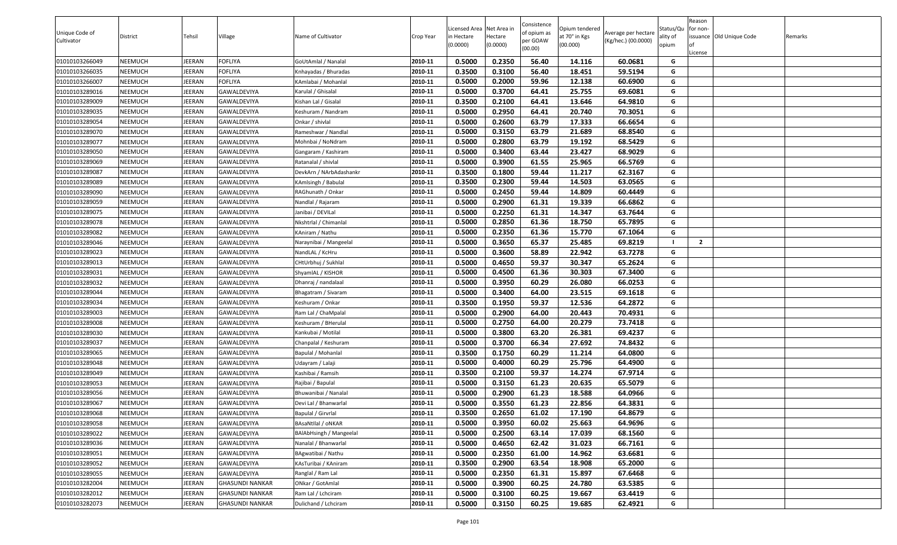| Unique Code of<br>Cultivator | District | Tehsil | Village                | Name of Cultivator             | Crop Year | Licensed Area Net Area in<br>in Hectare<br>(0.0000) | lectare<br>(0.0000) | Consistence<br>of opium as<br>per GOAW<br>(00.00) | Opium tendered<br>at 70° in Kgs<br>(00.000) | Average per hectare<br>(Kg/hec.) (00.0000) | Status/Qu<br>ality of<br>opium | Reason<br>for non-<br>issuance Old Unique Code | Remarks |
|------------------------------|----------|--------|------------------------|--------------------------------|-----------|-----------------------------------------------------|---------------------|---------------------------------------------------|---------------------------------------------|--------------------------------------------|--------------------------------|------------------------------------------------|---------|
|                              |          |        |                        |                                |           |                                                     |                     |                                                   |                                             |                                            |                                | .icense                                        |         |
| 01010103266049               | NEEMUCH  | JEERAN | <b>FOFLIYA</b>         | GoUtAmlal / Nanalal            | 2010-11   | 0.5000                                              | 0.2350              | 56.40                                             | 14.116                                      | 60.0681                                    | G                              |                                                |         |
| 01010103266035               | NEEMUCH  | JEERAN | <b>FOFLIYA</b>         | Knhayadas / Bhuradas           | 2010-11   | 0.3500                                              | 0.3100              | 56.40                                             | 18.451                                      | 59.5194                                    | G                              |                                                |         |
| 01010103266007               | NEEMUCH  | JEERAN | <b>FOFLIYA</b>         | KAmlabai / Mohanlal            | 2010-11   | 0.5000                                              | 0.2000              | 59.96                                             | 12.138                                      | 60.6900                                    | G                              |                                                |         |
| 01010103289016               | NEEMUCH  | JEERAN | GAWALDEVIYA            | Karulal / Ghisalal             | 2010-11   | 0.5000                                              | 0.3700              | 64.41                                             | 25.755                                      | 69.6081                                    | G                              |                                                |         |
| 01010103289009               | NEEMUCH  | JEERAN | GAWALDEVIYA            | Kishan Lal / Gisalal           | 2010-11   | 0.3500                                              | 0.2100              | 64.41                                             | 13.646                                      | 64.9810                                    | G                              |                                                |         |
| 01010103289035               | NEEMUCH  | JEERAN | GAWALDEVIYA            | Keshuram / Nandram             | 2010-11   | 0.5000                                              | 0.2950              | 64.41                                             | 20.740                                      | 70.3051                                    | G                              |                                                |         |
| 01010103289054               | NEEMUCH  | JEERAN | GAWALDEVIYA            | Onkar / shivlal                | 2010-11   | 0.5000                                              | 0.2600              | 63.79                                             | 17.333                                      | 66.6654                                    | G                              |                                                |         |
| 01010103289070               | NEEMUCH  | JEERAN | GAWALDEVIYA            | Rameshwar / Nandlal            | 2010-11   | 0.5000                                              | 0.3150              | 63.79                                             | 21.689                                      | 68.8540                                    | G                              |                                                |         |
| 01010103289077               | NEEMUCH  | JEERAN | GAWALDEVIYA            | Mohnbai / NoNdram              | 2010-11   | 0.5000                                              | 0.2800              | 63.79                                             | 19.192                                      | 68.5429                                    | G                              |                                                |         |
| 01010103289050               | NEEMUCH  | JEERAN | GAWALDEVIYA            | Gangaram / Kashiram            | 2010-11   | 0.5000                                              | 0.3400              | 63.44                                             | 23.427                                      | 68.9029                                    | G                              |                                                |         |
| 01010103289069               | NEEMUCH  | JEERAN | GAWALDEVIYA            | Ratanalal / shivlal            | 2010-11   | 0.5000                                              | 0.3900              | 61.55                                             | 25.965                                      | 66.5769                                    | G                              |                                                |         |
| 01010103289087               | NEEMUCH  | JEERAN | GAWALDEVIYA            | DevkArn / NArbAdashankr        | 2010-11   | 0.3500                                              | 0.1800              | 59.44                                             | 11.217                                      | 62.3167                                    | G                              |                                                |         |
| 01010103289089               | NEEMUCH  | JEERAN | GAWALDEVIYA            | KAmlsingh / Babulal            | 2010-11   | 0.3500                                              | 0.2300              | 59.44                                             | 14.503                                      | 63.0565                                    | G                              |                                                |         |
| 01010103289090               | NEEMUCH  | JEERAN | GAWALDEVIYA            | RAGhunath / Onkar              | 2010-11   | 0.5000                                              | 0.2450              | 59.44                                             | 14.809                                      | 60.4449                                    | G                              |                                                |         |
| 01010103289059               | NEEMUCH  | JEERAN | GAWALDEVIYA            | Nandlal / Rajaram              | 2010-11   | 0.5000                                              | 0.2900              | 61.31                                             | 19.339                                      | 66.6862                                    | G                              |                                                |         |
| 01010103289075               | NEEMUCH  | JEERAN | GAWALDEVIYA            | Janibai / DEVILal              | 2010-11   | 0.5000                                              | 0.2250              | 61.31                                             | 14.347                                      | 63.7644                                    | G                              |                                                |         |
| 01010103289078               | NEEMUCH  | JEERAN | GAWALDEVIYA            | Nkshtrlal / Chimanlal          | 2010-11   | 0.5000                                              | 0.2850              | 61.36                                             | 18.750                                      | 65.7895                                    | G                              |                                                |         |
| 01010103289082               | NEEMUCH  | JEERAN | GAWALDEVIYA            | KAniram / Nathu                | 2010-11   | 0.5000                                              | 0.2350              | 61.36                                             | 15.770                                      | 67.1064                                    | G                              |                                                |         |
| 01010103289046               | NEEMUCH  | JEERAN | GAWALDEVIYA            | Naraynibai / Mangeelal         | 2010-11   | 0.5000                                              | 0.3650              | 65.37                                             | 25.485                                      | 69.8219                                    |                                | $\overline{2}$                                 |         |
| 01010103289023               | NEEMUCH  | JEERAN | GAWALDEVIYA            | NandLAL / KcHru                | 2010-11   | 0.5000                                              | 0.3600              | 58.89                                             | 22.942                                      | 63.7278                                    | G                              |                                                |         |
| 01010103289013               | NEEMUCH  | JEERAN | GAWALDEVIYA            | CHtUrbhuj / Sukhlal            | 2010-11   | 0.5000                                              | 0.4650              | 59.37                                             | 30.347                                      | 65.2624                                    | G                              |                                                |         |
| 01010103289031               | NEEMUCH  | JEERAN | GAWALDEVIYA            | ShyamlAL / KISHOR              | 2010-11   | 0.5000                                              | 0.4500              | 61.36                                             | 30.303                                      | 67.3400                                    | G                              |                                                |         |
| 01010103289032               | NEEMUCH  | JEERAN | GAWALDEVIYA            | Dhanraj / nandalaal            | 2010-11   | 0.5000                                              | 0.3950              | 60.29                                             | 26.080                                      | 66.0253                                    | G                              |                                                |         |
| 01010103289044               | NEEMUCH  | JEERAN | GAWALDEVIYA            | Bhagatram / Sivaram            | 2010-11   | 0.5000                                              | 0.3400              | 64.00                                             | 23.515                                      | 69.1618                                    | G                              |                                                |         |
| 01010103289034               | NEEMUCH  | JEERAN | GAWALDEVIYA            | Keshuram / Onkar               | 2010-11   | 0.3500                                              | 0.1950              | 59.37                                             | 12.536                                      | 64.2872                                    | G                              |                                                |         |
| 01010103289003               | NEEMUCH  | JEERAN | GAWALDEVIYA            | Ram Lal / ChaMpalal            | 2010-11   | 0.5000                                              | 0.2900              | 64.00                                             | 20.443                                      | 70.4931                                    | G                              |                                                |         |
| 01010103289008               | NEEMUCH  | JEERAN | GAWALDEVIYA            | Keshuram / BHerulal            | 2010-11   | 0.5000                                              | 0.2750              | 64.00                                             | 20.279                                      | 73.7418                                    | G                              |                                                |         |
| 01010103289030               | NEEMUCH  | JEERAN | GAWALDEVIYA            | Kankubai / Motilal             | 2010-11   | 0.5000                                              | 0.3800              | 63.20                                             | 26.381                                      | 69.4237                                    | G                              |                                                |         |
| 01010103289037               | NEEMUCH  | JEERAN | GAWALDEVIYA            | Chanpalal / Keshuram           | 2010-11   | 0.5000                                              | 0.3700              | 66.34                                             | 27.692                                      | 74.8432                                    | G                              |                                                |         |
| 01010103289065               | NEEMUCH  | JEERAN | GAWALDEVIYA            | Bapulal / Mohanlal             | 2010-11   | 0.3500                                              | 0.1750              | 60.29                                             | 11.214                                      | 64.0800                                    | G                              |                                                |         |
| 01010103289048               | NEEMUCH  | JEERAN | GAWALDEVIYA            | Udayram / Lalaji               | 2010-11   | 0.5000                                              | 0.4000              | 60.29                                             | 25.796                                      | 64.4900                                    | G                              |                                                |         |
| 01010103289049               | NEEMUCH  | JEERAN | GAWALDEVIYA            | Kashibai / Ramsih              | 2010-11   | 0.3500                                              | 0.2100              | 59.37                                             | 14.274                                      | 67.9714                                    | G                              |                                                |         |
| 01010103289053               | NEEMUCH  | JEERAN | GAWALDEVIYA            | Rajibai / Bapulal              | 2010-11   | 0.5000                                              | 0.3150              | 61.23                                             | 20.635                                      | 65.5079                                    | G                              |                                                |         |
| 01010103289056               | NEEMUCH  | JEERAN | GAWALDEVIYA            | Bhuwanibai / Nanalal           | 2010-11   | 0.5000                                              | 0.2900              | 61.23                                             | 18.588                                      | 64.0966                                    | G                              |                                                |         |
| 01010103289067               | NEEMUCH  | JEERAN | GAWALDEVIYA            | Devi Lal / Bhanwarlal          | 2010-11   | 0.5000                                              | 0.3550              | 61.23                                             | 22.856                                      | 64.3831                                    | G                              |                                                |         |
| 01010103289068               | NEEMUCH  | JEERAN | GAWALDEVIYA            | Bapulal / Girvrlal             | 2010-11   | 0.3500                                              | 0.2650              | 61.02                                             | 17.190                                      | 64.8679                                    | G                              |                                                |         |
| 01010103289058               | NEEMUCH  | JEERAN | GAWALDEVIYA            | BAsaNtllal / oNKAR             | 2010-11   | 0.5000                                              | 0.3950              | 60.02                                             | 25.663                                      | 64.9696                                    | G                              |                                                |         |
| 01010103289022               | NEEMUCH  | JEERAN | GAWALDEVIYA            | <b>BAIAbHsingh / Mangeelal</b> | 2010-11   | 0.5000                                              | 0.2500              | 63.14                                             | 17.039                                      | 68.1560                                    | G                              |                                                |         |
| 01010103289036               | NEEMUCH  | JEERAN | GAWALDEVIYA            | Nanalal / Bhanwarlal           | 2010-11   | 0.5000                                              | 0.4650              | 62.42                                             | 31.023                                      | 66.7161                                    | G                              |                                                |         |
| 01010103289051               | NEEMUCH  | JEERAN | GAWALDEVIYA            | BAgwatibai / Nathu             | 2010-11   | 0.5000                                              | 0.2350              | 61.00                                             | 14.962                                      | 63.6681                                    | G                              |                                                |         |
| 01010103289052               | NEEMUCH  | JEERAN | GAWALDEVIYA            | KAsTuribai / KAniram           | 2010-11   | 0.3500                                              | 0.2900              | 63.54                                             | 18.908                                      | 65.2000                                    | G                              |                                                |         |
| 01010103289055               | NEEMUCH  | JEERAN | GAWALDEVIYA            | Ranglal / Ram Lal              | 2010-11   | 0.5000                                              | 0.2350              | 61.31                                             | 15.897                                      | 67.6468                                    | G                              |                                                |         |
| 01010103282004               | NEEMUCH  | JEERAN | <b>GHASUNDI NANKAR</b> | ONkar / GotAmlal               | 2010-11   | 0.5000                                              | 0.3900              | 60.25                                             | 24.780                                      | 63.5385                                    | G                              |                                                |         |
| 01010103282012               | NEEMUCH  | JEERAN | <b>GHASUNDI NANKAR</b> | Ram Lal / Lchciram             | 2010-11   | 0.5000                                              | 0.3100              | 60.25                                             | 19.667                                      | 63.4419                                    | G                              |                                                |         |
| 01010103282073               | NEEMUCH  | JEERAN | <b>GHASUNDI NANKAR</b> | Dulichand / Lchciram           | 2010-11   | 0.5000                                              | 0.3150              | 60.25                                             | 19.685                                      | 62.4921                                    | G                              |                                                |         |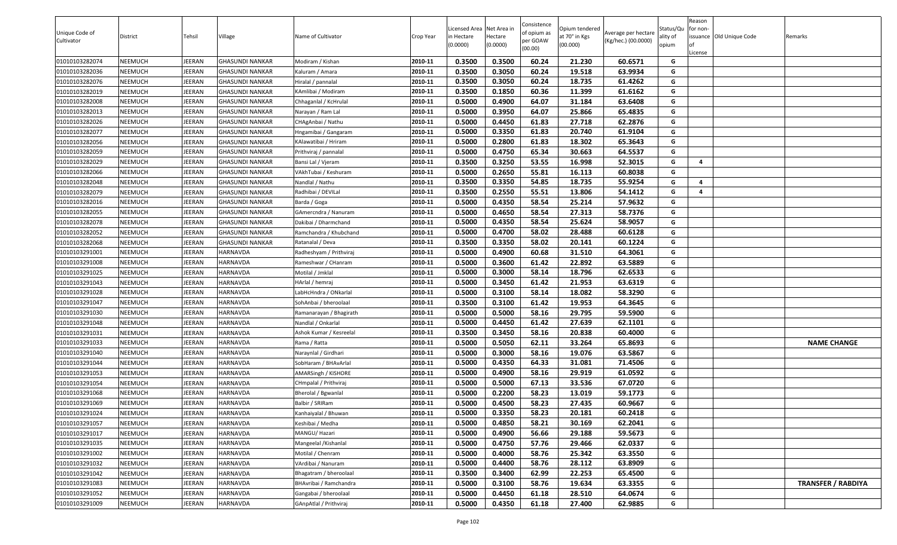|                              |          |        |                        |                         |           | Licensed Area Net Area in |          | Consistence             | Opium tendered |                                            | Status/Qu | Reason<br>for non- |                          |                           |
|------------------------------|----------|--------|------------------------|-------------------------|-----------|---------------------------|----------|-------------------------|----------------|--------------------------------------------|-----------|--------------------|--------------------------|---------------------------|
| Unique Code of<br>Cultivator | District | Tehsil | Village                | Name of Cultivator      | Crop Year | n Hectare                 | Hectare  | of opium as<br>per GOAW | at 70° in Kgs  | Average per hectare<br>(Kg/hec.) (00.0000) | ality of  |                    | issuance Old Unique Code | Remarks                   |
|                              |          |        |                        |                         |           | (0.0000)                  | (0.0000) | (00.00)                 | (00.000)       |                                            | opium     |                    |                          |                           |
| 01010103282074               | NEEMUCH  | JEERAN | <b>GHASUNDI NANKAR</b> | Modiram / Kishan        | 2010-11   | 0.3500                    | 0.3500   | 60.24                   | 21.230         | 60.6571                                    | G         | License            |                          |                           |
| 01010103282036               | NEEMUCH  | JEERAN | <b>GHASUNDI NANKAR</b> | Kaluram / Amara         | 2010-11   | 0.3500                    | 0.3050   | 60.24                   | 19.518         | 63.9934                                    | G         |                    |                          |                           |
| 01010103282076               | NEEMUCH  | JEERAN | <b>GHASUNDI NANKAR</b> | Hiralal / pannalal      | 2010-11   | 0.3500                    | 0.3050   | 60.24                   | 18.735         | 61.4262                                    | G         |                    |                          |                           |
| 01010103282019               | NEEMUCH  | JEERAN | <b>GHASUNDI NANKAR</b> | KAmlibai / Modiram      | 2010-11   | 0.3500                    | 0.1850   | 60.36                   | 11.399         | 61.6162                                    | G         |                    |                          |                           |
| 01010103282008               | NEEMUCH  | JEERAN | <b>GHASUNDI NANKAR</b> | Chhaganlal / KcHrulal   | 2010-11   | 0.5000                    | 0.4900   | 64.07                   | 31.184         | 63.6408                                    | G         |                    |                          |                           |
| 01010103282013               | NEEMUCH  | JEERAN | <b>GHASUNDI NANKAR</b> | Narayan / Ram Lal       | 2010-11   | 0.5000                    | 0.3950   | 64.07                   | 25.866         | 65.4835                                    | G         |                    |                          |                           |
| 01010103282026               | NEEMUCH  | JEERAN | <b>GHASUNDI NANKAR</b> | CHAgAnbai / Nathu       | 2010-11   | 0.5000                    | 0.4450   | 61.83                   | 27.718         | 62.2876                                    | G         |                    |                          |                           |
| 01010103282077               | NEEMUCH  | JEERAN | <b>GHASUNDI NANKAR</b> | Hngamibai / Gangaram    | 2010-11   | 0.5000                    | 0.3350   | 61.83                   | 20.740         | 61.9104                                    | G         |                    |                          |                           |
| 01010103282056               | NEEMUCH  | JEERAN | <b>GHASUNDI NANKAR</b> | KAlawatibai / Hriram    | 2010-11   | 0.5000                    | 0.2800   | 61.83                   | 18.302         | 65.3643                                    | G         |                    |                          |                           |
| 01010103282059               | NEEMUCH  | JEERAN | <b>GHASUNDI NANKAR</b> | Prithviraj / pannalal   | 2010-11   | 0.5000                    | 0.4750   | 65.34                   | 30.663         | 64.5537                                    | G         |                    |                          |                           |
| 01010103282029               | NEEMUCH  | JEERAN | <b>GHASUNDI NANKAR</b> | Bansi Lal / Vjeram      | 2010-11   | 0.3500                    | 0.3250   | 53.55                   | 16.998         | 52.3015                                    | G         | $\overline{a}$     |                          |                           |
| 01010103282066               | NEEMUCH  | JEERAN | <b>GHASUNDI NANKAR</b> | VAkhTubai / Keshuram    | 2010-11   | 0.5000                    | 0.2650   | 55.81                   | 16.113         | 60.8038                                    | G         |                    |                          |                           |
| 01010103282048               | NEEMUCH  | JEERAN | <b>GHASUNDI NANKAR</b> | Nandlal / Nathu         | 2010-11   | 0.3500                    | 0.3350   | 54.85                   | 18.735         | 55.9254                                    | G         | 4                  |                          |                           |
| 01010103282079               | NEEMUCH  | JEERAN | <b>GHASUNDI NANKAR</b> | Radhibai / DEVILal      | 2010-11   | 0.3500                    | 0.2550   | 55.51                   | 13.806         | 54.1412                                    | G         | $\overline{a}$     |                          |                           |
| 01010103282016               | NEEMUCH  | JEERAN | <b>GHASUNDI NANKAR</b> | Barda / Goga            | 2010-11   | 0.5000                    | 0.4350   | 58.54                   | 25.214         | 57.9632                                    | G         |                    |                          |                           |
| 01010103282055               | NEEMUCH  | JEERAN | <b>GHASUNDI NANKAR</b> | GAmercndra / Nanuram    | 2010-11   | 0.5000                    | 0.4650   | 58.54                   | 27.313         | 58.7376                                    | G         |                    |                          |                           |
| 01010103282078               | NEEMUCH  | JEERAN | <b>GHASUNDI NANKAR</b> | Dakibai / Dharmchand    | 2010-11   | 0.5000                    | 0.4350   | 58.54                   | 25.624         | 58.9057                                    | G         |                    |                          |                           |
| 01010103282052               | NEEMUCH  | JEERAN | <b>GHASUNDI NANKAR</b> | Ramchandra / Khubchand  | 2010-11   | 0.5000                    | 0.4700   | 58.02                   | 28.488         | 60.6128                                    | G         |                    |                          |                           |
| 01010103282068               | NEEMUCH  | JEERAN | <b>GHASUNDI NANKAR</b> | Ratanalal / Deva        | 2010-11   | 0.3500                    | 0.3350   | 58.02                   | 20.141         | 60.1224                                    | G         |                    |                          |                           |
| 01010103291001               | NEEMUCH  | JEERAN | HARNAVDA               | Radheshyam / Prithviraj | 2010-11   | 0.5000                    | 0.4900   | 60.68                   | 31.510         | 64.3061                                    | G         |                    |                          |                           |
| 01010103291008               | NEEMUCH  | JEERAN | HARNAVDA               | Rameshwar / CHanram     | 2010-11   | 0.5000                    | 0.3600   | 61.42                   | 22.892         | 63.5889                                    | G         |                    |                          |                           |
| 01010103291025               | NEEMUCH  | JEERAN | HARNAVDA               | Motilal / Jmklal        | 2010-11   | 0.5000                    | 0.3000   | 58.14                   | 18.796         | 62.6533                                    | G         |                    |                          |                           |
| 01010103291043               | NEEMUCH  | JEERAN | HARNAVDA               | HArlal / hemraj         | 2010-11   | 0.5000                    | 0.3450   | 61.42                   | 21.953         | 63.6319                                    | G         |                    |                          |                           |
| 01010103291028               | NEEMUCH  | JEERAN | HARNAVDA               | LabHcHndra / ONkarlal   | 2010-11   | 0.5000                    | 0.3100   | 58.14                   | 18.082         | 58.3290                                    | G         |                    |                          |                           |
| 01010103291047               | NEEMUCH  | JEERAN | HARNAVDA               | SohAnbai / bheroolaal   | 2010-11   | 0.3500                    | 0.3100   | 61.42                   | 19.953         | 64.3645                                    | G         |                    |                          |                           |
| 01010103291030               | NEEMUCH  | JEERAN | HARNAVDA               | Ramanarayan / Bhagirath | 2010-11   | 0.5000                    | 0.5000   | 58.16                   | 29.795         | 59.5900                                    | G         |                    |                          |                           |
| 01010103291048               | NEEMUCH  | JEERAN | HARNAVDA               | Nandlal / Onkarlal      | 2010-11   | 0.5000                    | 0.4450   | 61.42                   | 27.639         | 62.1101                                    | G         |                    |                          |                           |
| 01010103291031               | NEEMUCH  | JEERAN | HARNAVDA               | Ashok Kumar / Kesreelal | 2010-11   | 0.3500                    | 0.3450   | 58.16                   | 20.838         | 60.4000                                    | G         |                    |                          |                           |
| 01010103291033               | NEEMUCH  | JEERAN | HARNAVDA               | Rama / Ratta            | 2010-11   | 0.5000                    | 0.5050   | 62.11                   | 33.264         | 65.8693                                    | G         |                    |                          | <b>NAME CHANGE</b>        |
| 01010103291040               | NEEMUCH  | JEERAN | HARNAVDA               | Naraynlal / Girdhari    | 2010-11   | 0.5000                    | 0.3000   | 58.16                   | 19.076         | 63.5867                                    | G         |                    |                          |                           |
| 01010103291044               | NEEMUCH  | JEERAN | HARNAVDA               | SobHaram / BHAvArlal    | 2010-11   | 0.5000                    | 0.4350   | 64.33                   | 31.081         | 71.4506                                    | G         |                    |                          |                           |
| 01010103291053               | NEEMUCH  | JEERAN | HARNAVDA               | AMARSingh / KISHORE     | 2010-11   | 0.5000                    | 0.4900   | 58.16                   | 29.919         | 61.0592                                    | G         |                    |                          |                           |
| 01010103291054               | NEEMUCH  | JEERAN | HARNAVDA               | CHmpalal / Prithviraj   | 2010-11   | 0.5000                    | 0.5000   | 67.13                   | 33.536         | 67.0720                                    | G         |                    |                          |                           |
| 01010103291068               | NEEMUCH  | JEERAN | <b>HARNAVDA</b>        | Bherolal / Bgwanlal     | 2010-11   | 0.5000                    | 0.2200   | 58.23                   | 13.019         | 59.1773                                    | G         |                    |                          |                           |
| 01010103291069               | NEEMUCH  | JEERAN | HARNAVDA               | Balbir / SRIRam         | 2010-11   | 0.5000                    | 0.4500   | 58.23                   | 27.435         | 60.9667                                    | G         |                    |                          |                           |
| 01010103291024               | NEEMUCH  | JEERAN | <b>HARNAVDA</b>        | Kanhaiyalal / Bhuwan    | 2010-11   | 0.5000                    | 0.3350   | 58.23                   | 20.181         | 60.2418                                    | G         |                    |                          |                           |
| 01010103291057               | NEEMUCH  | JEERAN | HARNAVDA               | Keshibai / Medha        | 2010-11   | 0.5000                    | 0.4850   | 58.21                   | 30.169         | 62.2041                                    | G         |                    |                          |                           |
| 01010103291017               | NEEMUCH  | JEERAN | HARNAVDA               | MANGU/ Hazari           | 2010-11   | 0.5000                    | 0.4900   | 56.66                   | 29.188         | 59.5673                                    | G         |                    |                          |                           |
| 01010103291035               | NEEMUCH  | JEERAN | HARNAVDA               | Mangeelal / Kishanlal   | 2010-11   | 0.5000                    | 0.4750   | 57.76                   | 29.466         | 62.0337                                    | G         |                    |                          |                           |
| 01010103291002               | NEEMUCH  | JEERAN | HARNAVDA               | Motilal / Chenram       | 2010-11   | 0.5000                    | 0.4000   | 58.76                   | 25.342         | 63.3550                                    | G         |                    |                          |                           |
| 01010103291032               | NEEMUCH  | JEERAN | HARNAVDA               | VArdibai / Nanuram      | 2010-11   | 0.5000                    | 0.4400   | 58.76                   | 28.112         | 63.8909                                    | G         |                    |                          |                           |
| 01010103291042               | NEEMUCH  | JEERAN | HARNAVDA               | Bhagatram / bheroolaal  | 2010-11   | 0.3500                    | 0.3400   | 62.99                   | 22.253         | 65.4500                                    | G         |                    |                          |                           |
| 01010103291083               | NEEMUCH  | JEERAN | HARNAVDA               | BHAvribai / Ramchandra  | 2010-11   | 0.5000                    | 0.3100   | 58.76                   | 19.634         | 63.3355                                    | G         |                    |                          | <b>TRANSFER / RABDIYA</b> |
| 01010103291052               | NEEMUCH  | JEERAN | HARNAVDA               | Gangabai / bheroolaal   | 2010-11   | 0.5000                    | 0.4450   | 61.18                   | 28.510         | 64.0674                                    | G         |                    |                          |                           |
| 01010103291009               | NEEMUCH  | JEERAN | HARNAVDA               | GAnpAtlal / Prithviraj  | 2010-11   | 0.5000                    | 0.4350   | 61.18                   | 27.400         | 62.9885                                    | G         |                    |                          |                           |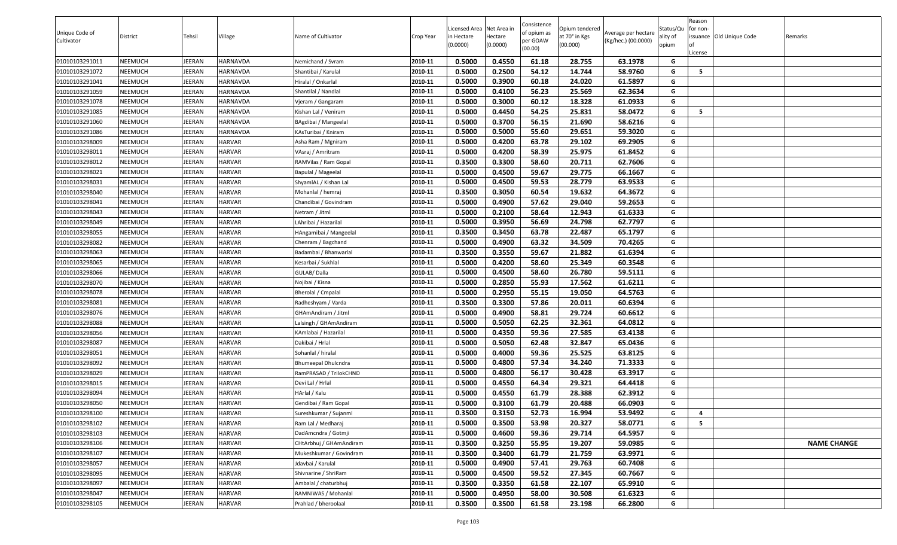| Licensed Area Net Area in<br>Unique Code of<br>of opium as<br>Average per hectare<br>at 70° in Kgs<br>District<br>Tehsil<br>Village<br>Name of Cultivator<br>lectare<br>issuance Old Unique Code<br>Crop Year<br>in Hectare<br>ality of<br>Remarks<br>oer GOAW<br>(Kg/hec.) (00.0000)<br>Cultivator<br>(0.0000)<br>(00.000)<br>opium<br>(0.0000)<br>(00.00)<br>.icense<br>0.5000<br>01010103291011<br>NEEMUCH<br>2010-11<br>0.4550<br>61.18<br>28.755<br>63.1978<br>JEERAN<br>HARNAVDA<br>G<br>Nemichand / Svram<br>0.5000<br>58.9760<br>01010103291072<br>NEEMUCH<br>2010-11<br>0.2500<br>54.12<br>14.744<br>G<br>JEERAN<br>HARNAVDA<br>-5<br>Shantibai / Karulal<br>0.5000<br>01010103291041<br>2010-11<br>0.3900<br>60.18<br>24.020<br>61.5897<br>G<br>NEEMUCH<br>JEERAN<br>HARNAVDA<br>Hiralal / Onkarlal<br>0.5000<br>56.23<br>G<br>2010-11<br>0.4100<br>25.569<br>62.3634<br>NEEMUCH<br>JEERAN<br>HARNAVDA<br>ShantIlal / Nandlal<br>01010103291059<br>0.5000<br>60.12<br>2010-11<br>0.3000<br>18.328<br>61.0933<br>G<br>01010103291078<br>NEEMUCH<br>JEERAN<br>HARNAVDA<br>Vjeram / Gangaram<br>2010-11<br>0.5000<br>0.4450<br>54.25<br>25.831<br>58.0472<br>G<br>5<br>NEEMUCH<br>JEERAN<br>HARNAVDA<br>01010103291085<br>Kishan Lal / Veniram<br>01010103291060<br>NEEMUCH<br>HARNAVDA<br>2010-11<br>0.5000<br>0.3700<br>56.15<br>21.690<br>58.6216<br>JEERAN<br>G<br>BAgdibai / Mangeelal<br>0.5000<br>2010-11<br>0.5000<br>55.60<br>29.651<br>59.3020<br>G<br>01010103291086<br>NEEMUCH<br>JEERAN<br>HARNAVDA<br>KAsTuribai / Kniram<br>01010103298009<br><b>HARVAR</b><br>2010-11<br>0.5000<br>0.4200<br>63.78<br>29.102<br>69.2905<br>NEEMUCH<br>JEERAN<br>G<br>Asha Ram / Mgniram<br>2010-11<br>0.5000<br>0.4200<br>58.39<br>25.975<br>61.8452<br>01010103298011<br>NEEMUCH<br>JEERAN<br><b>HARVAR</b><br>G<br>VAsraj / Amritram<br>01010103298012<br><b>HARVAR</b><br>2010-11<br>0.3500<br>0.3300<br>58.60<br>20.711<br>62.7606<br>NEEMUCH<br>JEERAN<br>RAMVilas / Ram Gopal<br>G<br>0.5000<br>59.67<br>66.1667<br>0.4500<br>29.775<br>G<br>01010103298021<br>NEEMUCH<br>JEERAN<br><b>HARVAR</b><br>2010-11<br>Bapulal / Mageelal<br>0.5000<br>0.4500<br>59.53<br>28.779<br>63.9533<br>01010103298031<br>NEEMUCH<br>JEERAN<br><b>HARVAR</b><br>2010-11<br>G<br>ShyamlAL / Kishan Lal<br>0.3500<br>0.3050<br>60.54<br>19.632<br>64.3672<br>2010-11<br>G<br><b>HARVAR</b><br>01010103298040<br>NEEMUCH<br>JEERAN<br>Mohanlal / hemraj<br>2010-11<br>0.5000<br>57.62<br>59.2653<br>01010103298041<br>NEEMUCH<br>JEERAN<br><b>HARVAR</b><br>Chandibai / Govindram<br>0.4900<br>29.040<br>G<br>2010-11<br>0.5000<br>G<br>0.2100<br>58.64<br>12.943<br>61.6333<br>01010103298043<br>NEEMUCH<br>JEERAN<br><b>HARVAR</b><br>Netram / Jitml<br>2010-11<br>01010103298049<br>LAhribai / Hazarilal<br>0.5000<br>0.3950<br>56.69<br>24.798<br>62.7797<br>G<br>NEEMUCH<br>JEERAN<br><b>HARVAR</b><br>0.3500<br>0.3450<br>22.487<br>01010103298055<br>2010-11<br>63.78<br>65.1797<br>NEEMUCH<br>JEERAN<br><b>HARVAR</b><br>G<br>HAngamibai / Mangeelal<br>0.5000<br>01010103298082<br>NEEMUCH<br><b>HARVAR</b><br>2010-11<br>0.4900<br>63.32<br>34.509<br>70.4265<br>G<br>JEERAN<br>Chenram / Bagchand<br>0.3500<br>0.3550<br>59.67<br>21.882<br>61.6394<br>01010103298063<br>NEEMUCH<br>JEERAN<br><b>HARVAR</b><br>2010-11<br>G<br>Badambai / Bhanwarlal<br>0.5000<br>0.4200<br>58.60<br>25.349<br>60.3548<br>01010103298065<br>NEEMUCH<br>JEERAN<br>HARVAR<br>2010-11<br>G<br>Kesarbai / Sukhlal<br>0.5000<br>26.780<br><b>HARVAR</b><br>0.4500<br>58.60<br>59.5111<br>G<br>01010103298066<br>NEEMUCH<br>JEERAN<br>GULAB/Dalla<br>2010-11<br>0.5000<br>0.2850<br>17.562<br>NEEMUCH<br><b>HARVAR</b><br>2010-11<br>55.93<br>61.6211<br>01010103298070<br>JEERAN<br>Nojibai / Kisna<br>G<br>2010-11<br>0.5000<br>0.2950<br>55.15<br>64.5763<br>G<br>01010103298078<br>NEEMUCH<br>JEERAN<br><b>HARVAR</b><br>19.050<br>Bherolal / Cmpalal<br>0.3500<br>01010103298081<br><b>HARVAR</b><br>2010-11<br>0.3300<br>57.86<br>20.011<br>60.6394<br>G<br>NEEMUCH<br>JEERAN<br>Radheshyam / Varda<br>2010-11<br>0.5000<br>G<br>01010103298076<br>0.4900<br>58.81<br>29.724<br>60.6612<br>NEEMUCH<br>JEERAN<br><b>HARVAR</b><br>GHAmAndiram / Jitml<br>2010-11<br>0.5000<br>0.5050<br>62.25<br>32.361<br>64.0812<br>01010103298088<br>NEEMUCH<br>JEERAN<br><b>HARVAR</b><br>Lalsingh / GHAmAndiram<br>G<br>0.5000<br>2010-11<br>0.4350<br>59.36<br>27.585<br>63.4138<br>G<br>01010103298056<br>NEEMUCH<br>JEERAN<br><b>HARVAR</b><br>KAmlabai / Hazarilal<br>0.5000<br><b>HARVAR</b><br>2010-11<br>0.5050<br>62.48<br>32.847<br>65.0436<br>G<br>01010103298087<br>NEEMUCH<br>JEERAN<br>Dakibai / Hrlal<br>0.5000<br><b>HARVAR</b><br>0.4000<br>59.36<br>25.525<br>63.8125<br>G<br>01010103298051<br>NEEMUCH<br>JEERAN<br>2010-11<br>Sohanlal / hiralal<br>0.5000<br>57.34<br>34.240<br>71.3333<br>01010103298092<br>NEEMUCH<br>JEERAN<br><b>HARVAR</b><br>2010-11<br>0.4800<br>G<br>Bhumeepal Dhulcndra<br>01010103298029<br>NEEMUCH<br><b>HARVAR</b><br>2010-11<br>0.5000<br>0.4800<br>56.17<br>30.428<br>63.3917<br>G<br>JEERAN<br>RamPRASAD / TrilokCHND<br>2010-11<br>0.5000<br>0.4550<br>64.34<br>29.321<br>G<br>01010103298015<br>NEEMUCH<br>JEERAN<br><b>HARVAR</b><br>Devi Lal / Hrlal<br>64.4418<br>01010103298094<br>2010-11<br>0.5000<br>0.4550<br>61.79<br>28.388<br>62.3912<br>NEEMUCH<br>JEERAN<br><b>HARVAR</b><br>HArlal / Kalu<br>G<br>0.5000<br>61.79<br>20.488<br>66.0903<br>01010103298050<br>NEEMUCH<br>2010-11<br>0.3100<br>G<br>JEERAN<br>HARVAR<br>Gendibai / Ram Gopal<br>G<br>01010103298100<br>NEEMUCH<br>JEERAN<br><b>HARVAR</b><br>2010-11<br>0.3500<br>0.3150<br>52.73<br>16.994<br>53.9492<br>$\overline{a}$<br>Sureshkumar / Sujanml<br>0.5000<br>2010-11<br>0.3500<br>53.98<br>20.327<br>58.0771<br>5<br>JEERAN<br>G<br>01010103298102<br>NEEMUCH<br><b>HARVAR</b><br>Ram Lal / Medharaj<br>2010-11<br>0.5000<br><b>HARVAR</b><br>0.4600<br>59.36<br>29.714<br>64.5957<br>G<br>01010103298103<br>NEEMUCH<br>JEERAN<br>DadAmcndra / Gotmji<br>2010-11<br>0.3500<br>0.3250<br>55.95<br>JEERAN<br><b>HARVAR</b><br>CHtArbhuj / GHAmAndiram<br>19.207<br>59.0985<br>G<br><b>NAME CHANGE</b><br>01010103298106<br>NEEMUCH<br>2010-11<br>0.3500<br>0.3400<br>01010103298107<br>NEEMUCH<br>JEERAN<br><b>HARVAR</b><br>Mukeshkumar / Govindram<br>61.79<br>21.759<br>63.9971<br>G<br>2010-11<br>G<br>01010103298057<br><b>HARVAR</b><br>Jdavbai / Karulal<br>0.5000<br>0.4900<br>57.41<br>29.763<br>NEEMUCH<br>JEERAN<br>60.7408<br>01010103298095<br><b>HARVAR</b><br>2010-11<br>0.5000<br>0.4500<br>59.52<br>27.345<br>60.7667<br>G<br>NEEMUCH<br>JEERAN<br>Shivnarine / ShriRam<br>0.3500<br>0.3350<br>22.107<br>01010103298097<br>JEERAN<br><b>HARVAR</b><br>2010-11<br>61.58<br>65.9910<br>NEEMUCH<br>Ambalal / chaturbhuj<br>G<br>01010103298047<br>NEEMUCH<br>JEERAN<br><b>HARVAR</b><br>2010-11<br>0.5000<br>0.4950<br>58.00<br>30.508<br>61.6323<br>G<br>RAMNIWAS / Mohanlal<br>0.3500<br>0.3500<br>61.58<br>G<br>01010103298105<br>NEEMUCH<br>JEERAN<br><b>HARVAR</b><br>2010-11<br>23.198<br>66.2800<br>Prahlad / bheroolaal |  |  |  |  | Consistence |                |           | Reason   |  |
|--------------------------------------------------------------------------------------------------------------------------------------------------------------------------------------------------------------------------------------------------------------------------------------------------------------------------------------------------------------------------------------------------------------------------------------------------------------------------------------------------------------------------------------------------------------------------------------------------------------------------------------------------------------------------------------------------------------------------------------------------------------------------------------------------------------------------------------------------------------------------------------------------------------------------------------------------------------------------------------------------------------------------------------------------------------------------------------------------------------------------------------------------------------------------------------------------------------------------------------------------------------------------------------------------------------------------------------------------------------------------------------------------------------------------------------------------------------------------------------------------------------------------------------------------------------------------------------------------------------------------------------------------------------------------------------------------------------------------------------------------------------------------------------------------------------------------------------------------------------------------------------------------------------------------------------------------------------------------------------------------------------------------------------------------------------------------------------------------------------------------------------------------------------------------------------------------------------------------------------------------------------------------------------------------------------------------------------------------------------------------------------------------------------------------------------------------------------------------------------------------------------------------------------------------------------------------------------------------------------------------------------------------------------------------------------------------------------------------------------------------------------------------------------------------------------------------------------------------------------------------------------------------------------------------------------------------------------------------------------------------------------------------------------------------------------------------------------------------------------------------------------------------------------------------------------------------------------------------------------------------------------------------------------------------------------------------------------------------------------------------------------------------------------------------------------------------------------------------------------------------------------------------------------------------------------------------------------------------------------------------------------------------------------------------------------------------------------------------------------------------------------------------------------------------------------------------------------------------------------------------------------------------------------------------------------------------------------------------------------------------------------------------------------------------------------------------------------------------------------------------------------------------------------------------------------------------------------------------------------------------------------------------------------------------------------------------------------------------------------------------------------------------------------------------------------------------------------------------------------------------------------------------------------------------------------------------------------------------------------------------------------------------------------------------------------------------------------------------------------------------------------------------------------------------------------------------------------------------------------------------------------------------------------------------------------------------------------------------------------------------------------------------------------------------------------------------------------------------------------------------------------------------------------------------------------------------------------------------------------------------------------------------------------------------------------------------------------------------------------------------------------------------------------------------------------------------------------------------------------------------------------------------------------------------------------------------------------------------------------------------------------------------------------------------------------------------------------------------------------------------------------------------------------------------------------------------------------------------------------------------------------------------------------------------------------------------------------------------------------------------------------------------------------------------------------------------------------------------------------------------------------------------------------------------------------------------------------------------------------------------------------------------------------------------------------------------------------------------------------------------------------------------------------------------------------------------------------------------------------------------------------------------------------------------------------------------------------------------------------------------------------------------------------------------------------------------------------------------------------------------------------------------------------------------------------------------------------------------------------------------------------------------------------------------------------------------------------------------------------------------------------------------------------------------------------------------------------------------------------------------------------------------------|--|--|--|--|-------------|----------------|-----------|----------|--|
|                                                                                                                                                                                                                                                                                                                                                                                                                                                                                                                                                                                                                                                                                                                                                                                                                                                                                                                                                                                                                                                                                                                                                                                                                                                                                                                                                                                                                                                                                                                                                                                                                                                                                                                                                                                                                                                                                                                                                                                                                                                                                                                                                                                                                                                                                                                                                                                                                                                                                                                                                                                                                                                                                                                                                                                                                                                                                                                                                                                                                                                                                                                                                                                                                                                                                                                                                                                                                                                                                                                                                                                                                                                                                                                                                                                                                                                                                                                                                                                                                                                                                                                                                                                                                                                                                                                                                                                                                                                                                                                                                                                                                                                                                                                                                                                                                                                                                                                                                                                                                                                                                                                                                                                                                                                                                                                                                                                                                                                                                                                                                                                                                                                                                                                                                                                                                                                                                                                                                                                                                                                                                                                                                                                                                                                                                                                                                                                                                                                                                                                                                                                                                                                                                                                                                                                                                                                                                                                                                                                                                                                                                                                                                        |  |  |  |  |             | Opium tendered | Status/Qu | for non- |  |
|                                                                                                                                                                                                                                                                                                                                                                                                                                                                                                                                                                                                                                                                                                                                                                                                                                                                                                                                                                                                                                                                                                                                                                                                                                                                                                                                                                                                                                                                                                                                                                                                                                                                                                                                                                                                                                                                                                                                                                                                                                                                                                                                                                                                                                                                                                                                                                                                                                                                                                                                                                                                                                                                                                                                                                                                                                                                                                                                                                                                                                                                                                                                                                                                                                                                                                                                                                                                                                                                                                                                                                                                                                                                                                                                                                                                                                                                                                                                                                                                                                                                                                                                                                                                                                                                                                                                                                                                                                                                                                                                                                                                                                                                                                                                                                                                                                                                                                                                                                                                                                                                                                                                                                                                                                                                                                                                                                                                                                                                                                                                                                                                                                                                                                                                                                                                                                                                                                                                                                                                                                                                                                                                                                                                                                                                                                                                                                                                                                                                                                                                                                                                                                                                                                                                                                                                                                                                                                                                                                                                                                                                                                                                                        |  |  |  |  |             |                |           |          |  |
|                                                                                                                                                                                                                                                                                                                                                                                                                                                                                                                                                                                                                                                                                                                                                                                                                                                                                                                                                                                                                                                                                                                                                                                                                                                                                                                                                                                                                                                                                                                                                                                                                                                                                                                                                                                                                                                                                                                                                                                                                                                                                                                                                                                                                                                                                                                                                                                                                                                                                                                                                                                                                                                                                                                                                                                                                                                                                                                                                                                                                                                                                                                                                                                                                                                                                                                                                                                                                                                                                                                                                                                                                                                                                                                                                                                                                                                                                                                                                                                                                                                                                                                                                                                                                                                                                                                                                                                                                                                                                                                                                                                                                                                                                                                                                                                                                                                                                                                                                                                                                                                                                                                                                                                                                                                                                                                                                                                                                                                                                                                                                                                                                                                                                                                                                                                                                                                                                                                                                                                                                                                                                                                                                                                                                                                                                                                                                                                                                                                                                                                                                                                                                                                                                                                                                                                                                                                                                                                                                                                                                                                                                                                                                        |  |  |  |  |             |                |           |          |  |
|                                                                                                                                                                                                                                                                                                                                                                                                                                                                                                                                                                                                                                                                                                                                                                                                                                                                                                                                                                                                                                                                                                                                                                                                                                                                                                                                                                                                                                                                                                                                                                                                                                                                                                                                                                                                                                                                                                                                                                                                                                                                                                                                                                                                                                                                                                                                                                                                                                                                                                                                                                                                                                                                                                                                                                                                                                                                                                                                                                                                                                                                                                                                                                                                                                                                                                                                                                                                                                                                                                                                                                                                                                                                                                                                                                                                                                                                                                                                                                                                                                                                                                                                                                                                                                                                                                                                                                                                                                                                                                                                                                                                                                                                                                                                                                                                                                                                                                                                                                                                                                                                                                                                                                                                                                                                                                                                                                                                                                                                                                                                                                                                                                                                                                                                                                                                                                                                                                                                                                                                                                                                                                                                                                                                                                                                                                                                                                                                                                                                                                                                                                                                                                                                                                                                                                                                                                                                                                                                                                                                                                                                                                                                                        |  |  |  |  |             |                |           |          |  |
|                                                                                                                                                                                                                                                                                                                                                                                                                                                                                                                                                                                                                                                                                                                                                                                                                                                                                                                                                                                                                                                                                                                                                                                                                                                                                                                                                                                                                                                                                                                                                                                                                                                                                                                                                                                                                                                                                                                                                                                                                                                                                                                                                                                                                                                                                                                                                                                                                                                                                                                                                                                                                                                                                                                                                                                                                                                                                                                                                                                                                                                                                                                                                                                                                                                                                                                                                                                                                                                                                                                                                                                                                                                                                                                                                                                                                                                                                                                                                                                                                                                                                                                                                                                                                                                                                                                                                                                                                                                                                                                                                                                                                                                                                                                                                                                                                                                                                                                                                                                                                                                                                                                                                                                                                                                                                                                                                                                                                                                                                                                                                                                                                                                                                                                                                                                                                                                                                                                                                                                                                                                                                                                                                                                                                                                                                                                                                                                                                                                                                                                                                                                                                                                                                                                                                                                                                                                                                                                                                                                                                                                                                                                                                        |  |  |  |  |             |                |           |          |  |
|                                                                                                                                                                                                                                                                                                                                                                                                                                                                                                                                                                                                                                                                                                                                                                                                                                                                                                                                                                                                                                                                                                                                                                                                                                                                                                                                                                                                                                                                                                                                                                                                                                                                                                                                                                                                                                                                                                                                                                                                                                                                                                                                                                                                                                                                                                                                                                                                                                                                                                                                                                                                                                                                                                                                                                                                                                                                                                                                                                                                                                                                                                                                                                                                                                                                                                                                                                                                                                                                                                                                                                                                                                                                                                                                                                                                                                                                                                                                                                                                                                                                                                                                                                                                                                                                                                                                                                                                                                                                                                                                                                                                                                                                                                                                                                                                                                                                                                                                                                                                                                                                                                                                                                                                                                                                                                                                                                                                                                                                                                                                                                                                                                                                                                                                                                                                                                                                                                                                                                                                                                                                                                                                                                                                                                                                                                                                                                                                                                                                                                                                                                                                                                                                                                                                                                                                                                                                                                                                                                                                                                                                                                                                                        |  |  |  |  |             |                |           |          |  |
|                                                                                                                                                                                                                                                                                                                                                                                                                                                                                                                                                                                                                                                                                                                                                                                                                                                                                                                                                                                                                                                                                                                                                                                                                                                                                                                                                                                                                                                                                                                                                                                                                                                                                                                                                                                                                                                                                                                                                                                                                                                                                                                                                                                                                                                                                                                                                                                                                                                                                                                                                                                                                                                                                                                                                                                                                                                                                                                                                                                                                                                                                                                                                                                                                                                                                                                                                                                                                                                                                                                                                                                                                                                                                                                                                                                                                                                                                                                                                                                                                                                                                                                                                                                                                                                                                                                                                                                                                                                                                                                                                                                                                                                                                                                                                                                                                                                                                                                                                                                                                                                                                                                                                                                                                                                                                                                                                                                                                                                                                                                                                                                                                                                                                                                                                                                                                                                                                                                                                                                                                                                                                                                                                                                                                                                                                                                                                                                                                                                                                                                                                                                                                                                                                                                                                                                                                                                                                                                                                                                                                                                                                                                                                        |  |  |  |  |             |                |           |          |  |
|                                                                                                                                                                                                                                                                                                                                                                                                                                                                                                                                                                                                                                                                                                                                                                                                                                                                                                                                                                                                                                                                                                                                                                                                                                                                                                                                                                                                                                                                                                                                                                                                                                                                                                                                                                                                                                                                                                                                                                                                                                                                                                                                                                                                                                                                                                                                                                                                                                                                                                                                                                                                                                                                                                                                                                                                                                                                                                                                                                                                                                                                                                                                                                                                                                                                                                                                                                                                                                                                                                                                                                                                                                                                                                                                                                                                                                                                                                                                                                                                                                                                                                                                                                                                                                                                                                                                                                                                                                                                                                                                                                                                                                                                                                                                                                                                                                                                                                                                                                                                                                                                                                                                                                                                                                                                                                                                                                                                                                                                                                                                                                                                                                                                                                                                                                                                                                                                                                                                                                                                                                                                                                                                                                                                                                                                                                                                                                                                                                                                                                                                                                                                                                                                                                                                                                                                                                                                                                                                                                                                                                                                                                                                                        |  |  |  |  |             |                |           |          |  |
|                                                                                                                                                                                                                                                                                                                                                                                                                                                                                                                                                                                                                                                                                                                                                                                                                                                                                                                                                                                                                                                                                                                                                                                                                                                                                                                                                                                                                                                                                                                                                                                                                                                                                                                                                                                                                                                                                                                                                                                                                                                                                                                                                                                                                                                                                                                                                                                                                                                                                                                                                                                                                                                                                                                                                                                                                                                                                                                                                                                                                                                                                                                                                                                                                                                                                                                                                                                                                                                                                                                                                                                                                                                                                                                                                                                                                                                                                                                                                                                                                                                                                                                                                                                                                                                                                                                                                                                                                                                                                                                                                                                                                                                                                                                                                                                                                                                                                                                                                                                                                                                                                                                                                                                                                                                                                                                                                                                                                                                                                                                                                                                                                                                                                                                                                                                                                                                                                                                                                                                                                                                                                                                                                                                                                                                                                                                                                                                                                                                                                                                                                                                                                                                                                                                                                                                                                                                                                                                                                                                                                                                                                                                                                        |  |  |  |  |             |                |           |          |  |
|                                                                                                                                                                                                                                                                                                                                                                                                                                                                                                                                                                                                                                                                                                                                                                                                                                                                                                                                                                                                                                                                                                                                                                                                                                                                                                                                                                                                                                                                                                                                                                                                                                                                                                                                                                                                                                                                                                                                                                                                                                                                                                                                                                                                                                                                                                                                                                                                                                                                                                                                                                                                                                                                                                                                                                                                                                                                                                                                                                                                                                                                                                                                                                                                                                                                                                                                                                                                                                                                                                                                                                                                                                                                                                                                                                                                                                                                                                                                                                                                                                                                                                                                                                                                                                                                                                                                                                                                                                                                                                                                                                                                                                                                                                                                                                                                                                                                                                                                                                                                                                                                                                                                                                                                                                                                                                                                                                                                                                                                                                                                                                                                                                                                                                                                                                                                                                                                                                                                                                                                                                                                                                                                                                                                                                                                                                                                                                                                                                                                                                                                                                                                                                                                                                                                                                                                                                                                                                                                                                                                                                                                                                                                                        |  |  |  |  |             |                |           |          |  |
|                                                                                                                                                                                                                                                                                                                                                                                                                                                                                                                                                                                                                                                                                                                                                                                                                                                                                                                                                                                                                                                                                                                                                                                                                                                                                                                                                                                                                                                                                                                                                                                                                                                                                                                                                                                                                                                                                                                                                                                                                                                                                                                                                                                                                                                                                                                                                                                                                                                                                                                                                                                                                                                                                                                                                                                                                                                                                                                                                                                                                                                                                                                                                                                                                                                                                                                                                                                                                                                                                                                                                                                                                                                                                                                                                                                                                                                                                                                                                                                                                                                                                                                                                                                                                                                                                                                                                                                                                                                                                                                                                                                                                                                                                                                                                                                                                                                                                                                                                                                                                                                                                                                                                                                                                                                                                                                                                                                                                                                                                                                                                                                                                                                                                                                                                                                                                                                                                                                                                                                                                                                                                                                                                                                                                                                                                                                                                                                                                                                                                                                                                                                                                                                                                                                                                                                                                                                                                                                                                                                                                                                                                                                                                        |  |  |  |  |             |                |           |          |  |
|                                                                                                                                                                                                                                                                                                                                                                                                                                                                                                                                                                                                                                                                                                                                                                                                                                                                                                                                                                                                                                                                                                                                                                                                                                                                                                                                                                                                                                                                                                                                                                                                                                                                                                                                                                                                                                                                                                                                                                                                                                                                                                                                                                                                                                                                                                                                                                                                                                                                                                                                                                                                                                                                                                                                                                                                                                                                                                                                                                                                                                                                                                                                                                                                                                                                                                                                                                                                                                                                                                                                                                                                                                                                                                                                                                                                                                                                                                                                                                                                                                                                                                                                                                                                                                                                                                                                                                                                                                                                                                                                                                                                                                                                                                                                                                                                                                                                                                                                                                                                                                                                                                                                                                                                                                                                                                                                                                                                                                                                                                                                                                                                                                                                                                                                                                                                                                                                                                                                                                                                                                                                                                                                                                                                                                                                                                                                                                                                                                                                                                                                                                                                                                                                                                                                                                                                                                                                                                                                                                                                                                                                                                                                                        |  |  |  |  |             |                |           |          |  |
|                                                                                                                                                                                                                                                                                                                                                                                                                                                                                                                                                                                                                                                                                                                                                                                                                                                                                                                                                                                                                                                                                                                                                                                                                                                                                                                                                                                                                                                                                                                                                                                                                                                                                                                                                                                                                                                                                                                                                                                                                                                                                                                                                                                                                                                                                                                                                                                                                                                                                                                                                                                                                                                                                                                                                                                                                                                                                                                                                                                                                                                                                                                                                                                                                                                                                                                                                                                                                                                                                                                                                                                                                                                                                                                                                                                                                                                                                                                                                                                                                                                                                                                                                                                                                                                                                                                                                                                                                                                                                                                                                                                                                                                                                                                                                                                                                                                                                                                                                                                                                                                                                                                                                                                                                                                                                                                                                                                                                                                                                                                                                                                                                                                                                                                                                                                                                                                                                                                                                                                                                                                                                                                                                                                                                                                                                                                                                                                                                                                                                                                                                                                                                                                                                                                                                                                                                                                                                                                                                                                                                                                                                                                                                        |  |  |  |  |             |                |           |          |  |
|                                                                                                                                                                                                                                                                                                                                                                                                                                                                                                                                                                                                                                                                                                                                                                                                                                                                                                                                                                                                                                                                                                                                                                                                                                                                                                                                                                                                                                                                                                                                                                                                                                                                                                                                                                                                                                                                                                                                                                                                                                                                                                                                                                                                                                                                                                                                                                                                                                                                                                                                                                                                                                                                                                                                                                                                                                                                                                                                                                                                                                                                                                                                                                                                                                                                                                                                                                                                                                                                                                                                                                                                                                                                                                                                                                                                                                                                                                                                                                                                                                                                                                                                                                                                                                                                                                                                                                                                                                                                                                                                                                                                                                                                                                                                                                                                                                                                                                                                                                                                                                                                                                                                                                                                                                                                                                                                                                                                                                                                                                                                                                                                                                                                                                                                                                                                                                                                                                                                                                                                                                                                                                                                                                                                                                                                                                                                                                                                                                                                                                                                                                                                                                                                                                                                                                                                                                                                                                                                                                                                                                                                                                                                                        |  |  |  |  |             |                |           |          |  |
|                                                                                                                                                                                                                                                                                                                                                                                                                                                                                                                                                                                                                                                                                                                                                                                                                                                                                                                                                                                                                                                                                                                                                                                                                                                                                                                                                                                                                                                                                                                                                                                                                                                                                                                                                                                                                                                                                                                                                                                                                                                                                                                                                                                                                                                                                                                                                                                                                                                                                                                                                                                                                                                                                                                                                                                                                                                                                                                                                                                                                                                                                                                                                                                                                                                                                                                                                                                                                                                                                                                                                                                                                                                                                                                                                                                                                                                                                                                                                                                                                                                                                                                                                                                                                                                                                                                                                                                                                                                                                                                                                                                                                                                                                                                                                                                                                                                                                                                                                                                                                                                                                                                                                                                                                                                                                                                                                                                                                                                                                                                                                                                                                                                                                                                                                                                                                                                                                                                                                                                                                                                                                                                                                                                                                                                                                                                                                                                                                                                                                                                                                                                                                                                                                                                                                                                                                                                                                                                                                                                                                                                                                                                                                        |  |  |  |  |             |                |           |          |  |
|                                                                                                                                                                                                                                                                                                                                                                                                                                                                                                                                                                                                                                                                                                                                                                                                                                                                                                                                                                                                                                                                                                                                                                                                                                                                                                                                                                                                                                                                                                                                                                                                                                                                                                                                                                                                                                                                                                                                                                                                                                                                                                                                                                                                                                                                                                                                                                                                                                                                                                                                                                                                                                                                                                                                                                                                                                                                                                                                                                                                                                                                                                                                                                                                                                                                                                                                                                                                                                                                                                                                                                                                                                                                                                                                                                                                                                                                                                                                                                                                                                                                                                                                                                                                                                                                                                                                                                                                                                                                                                                                                                                                                                                                                                                                                                                                                                                                                                                                                                                                                                                                                                                                                                                                                                                                                                                                                                                                                                                                                                                                                                                                                                                                                                                                                                                                                                                                                                                                                                                                                                                                                                                                                                                                                                                                                                                                                                                                                                                                                                                                                                                                                                                                                                                                                                                                                                                                                                                                                                                                                                                                                                                                                        |  |  |  |  |             |                |           |          |  |
|                                                                                                                                                                                                                                                                                                                                                                                                                                                                                                                                                                                                                                                                                                                                                                                                                                                                                                                                                                                                                                                                                                                                                                                                                                                                                                                                                                                                                                                                                                                                                                                                                                                                                                                                                                                                                                                                                                                                                                                                                                                                                                                                                                                                                                                                                                                                                                                                                                                                                                                                                                                                                                                                                                                                                                                                                                                                                                                                                                                                                                                                                                                                                                                                                                                                                                                                                                                                                                                                                                                                                                                                                                                                                                                                                                                                                                                                                                                                                                                                                                                                                                                                                                                                                                                                                                                                                                                                                                                                                                                                                                                                                                                                                                                                                                                                                                                                                                                                                                                                                                                                                                                                                                                                                                                                                                                                                                                                                                                                                                                                                                                                                                                                                                                                                                                                                                                                                                                                                                                                                                                                                                                                                                                                                                                                                                                                                                                                                                                                                                                                                                                                                                                                                                                                                                                                                                                                                                                                                                                                                                                                                                                                                        |  |  |  |  |             |                |           |          |  |
|                                                                                                                                                                                                                                                                                                                                                                                                                                                                                                                                                                                                                                                                                                                                                                                                                                                                                                                                                                                                                                                                                                                                                                                                                                                                                                                                                                                                                                                                                                                                                                                                                                                                                                                                                                                                                                                                                                                                                                                                                                                                                                                                                                                                                                                                                                                                                                                                                                                                                                                                                                                                                                                                                                                                                                                                                                                                                                                                                                                                                                                                                                                                                                                                                                                                                                                                                                                                                                                                                                                                                                                                                                                                                                                                                                                                                                                                                                                                                                                                                                                                                                                                                                                                                                                                                                                                                                                                                                                                                                                                                                                                                                                                                                                                                                                                                                                                                                                                                                                                                                                                                                                                                                                                                                                                                                                                                                                                                                                                                                                                                                                                                                                                                                                                                                                                                                                                                                                                                                                                                                                                                                                                                                                                                                                                                                                                                                                                                                                                                                                                                                                                                                                                                                                                                                                                                                                                                                                                                                                                                                                                                                                                                        |  |  |  |  |             |                |           |          |  |
|                                                                                                                                                                                                                                                                                                                                                                                                                                                                                                                                                                                                                                                                                                                                                                                                                                                                                                                                                                                                                                                                                                                                                                                                                                                                                                                                                                                                                                                                                                                                                                                                                                                                                                                                                                                                                                                                                                                                                                                                                                                                                                                                                                                                                                                                                                                                                                                                                                                                                                                                                                                                                                                                                                                                                                                                                                                                                                                                                                                                                                                                                                                                                                                                                                                                                                                                                                                                                                                                                                                                                                                                                                                                                                                                                                                                                                                                                                                                                                                                                                                                                                                                                                                                                                                                                                                                                                                                                                                                                                                                                                                                                                                                                                                                                                                                                                                                                                                                                                                                                                                                                                                                                                                                                                                                                                                                                                                                                                                                                                                                                                                                                                                                                                                                                                                                                                                                                                                                                                                                                                                                                                                                                                                                                                                                                                                                                                                                                                                                                                                                                                                                                                                                                                                                                                                                                                                                                                                                                                                                                                                                                                                                                        |  |  |  |  |             |                |           |          |  |
|                                                                                                                                                                                                                                                                                                                                                                                                                                                                                                                                                                                                                                                                                                                                                                                                                                                                                                                                                                                                                                                                                                                                                                                                                                                                                                                                                                                                                                                                                                                                                                                                                                                                                                                                                                                                                                                                                                                                                                                                                                                                                                                                                                                                                                                                                                                                                                                                                                                                                                                                                                                                                                                                                                                                                                                                                                                                                                                                                                                                                                                                                                                                                                                                                                                                                                                                                                                                                                                                                                                                                                                                                                                                                                                                                                                                                                                                                                                                                                                                                                                                                                                                                                                                                                                                                                                                                                                                                                                                                                                                                                                                                                                                                                                                                                                                                                                                                                                                                                                                                                                                                                                                                                                                                                                                                                                                                                                                                                                                                                                                                                                                                                                                                                                                                                                                                                                                                                                                                                                                                                                                                                                                                                                                                                                                                                                                                                                                                                                                                                                                                                                                                                                                                                                                                                                                                                                                                                                                                                                                                                                                                                                                                        |  |  |  |  |             |                |           |          |  |
|                                                                                                                                                                                                                                                                                                                                                                                                                                                                                                                                                                                                                                                                                                                                                                                                                                                                                                                                                                                                                                                                                                                                                                                                                                                                                                                                                                                                                                                                                                                                                                                                                                                                                                                                                                                                                                                                                                                                                                                                                                                                                                                                                                                                                                                                                                                                                                                                                                                                                                                                                                                                                                                                                                                                                                                                                                                                                                                                                                                                                                                                                                                                                                                                                                                                                                                                                                                                                                                                                                                                                                                                                                                                                                                                                                                                                                                                                                                                                                                                                                                                                                                                                                                                                                                                                                                                                                                                                                                                                                                                                                                                                                                                                                                                                                                                                                                                                                                                                                                                                                                                                                                                                                                                                                                                                                                                                                                                                                                                                                                                                                                                                                                                                                                                                                                                                                                                                                                                                                                                                                                                                                                                                                                                                                                                                                                                                                                                                                                                                                                                                                                                                                                                                                                                                                                                                                                                                                                                                                                                                                                                                                                                                        |  |  |  |  |             |                |           |          |  |
|                                                                                                                                                                                                                                                                                                                                                                                                                                                                                                                                                                                                                                                                                                                                                                                                                                                                                                                                                                                                                                                                                                                                                                                                                                                                                                                                                                                                                                                                                                                                                                                                                                                                                                                                                                                                                                                                                                                                                                                                                                                                                                                                                                                                                                                                                                                                                                                                                                                                                                                                                                                                                                                                                                                                                                                                                                                                                                                                                                                                                                                                                                                                                                                                                                                                                                                                                                                                                                                                                                                                                                                                                                                                                                                                                                                                                                                                                                                                                                                                                                                                                                                                                                                                                                                                                                                                                                                                                                                                                                                                                                                                                                                                                                                                                                                                                                                                                                                                                                                                                                                                                                                                                                                                                                                                                                                                                                                                                                                                                                                                                                                                                                                                                                                                                                                                                                                                                                                                                                                                                                                                                                                                                                                                                                                                                                                                                                                                                                                                                                                                                                                                                                                                                                                                                                                                                                                                                                                                                                                                                                                                                                                                                        |  |  |  |  |             |                |           |          |  |
|                                                                                                                                                                                                                                                                                                                                                                                                                                                                                                                                                                                                                                                                                                                                                                                                                                                                                                                                                                                                                                                                                                                                                                                                                                                                                                                                                                                                                                                                                                                                                                                                                                                                                                                                                                                                                                                                                                                                                                                                                                                                                                                                                                                                                                                                                                                                                                                                                                                                                                                                                                                                                                                                                                                                                                                                                                                                                                                                                                                                                                                                                                                                                                                                                                                                                                                                                                                                                                                                                                                                                                                                                                                                                                                                                                                                                                                                                                                                                                                                                                                                                                                                                                                                                                                                                                                                                                                                                                                                                                                                                                                                                                                                                                                                                                                                                                                                                                                                                                                                                                                                                                                                                                                                                                                                                                                                                                                                                                                                                                                                                                                                                                                                                                                                                                                                                                                                                                                                                                                                                                                                                                                                                                                                                                                                                                                                                                                                                                                                                                                                                                                                                                                                                                                                                                                                                                                                                                                                                                                                                                                                                                                                                        |  |  |  |  |             |                |           |          |  |
|                                                                                                                                                                                                                                                                                                                                                                                                                                                                                                                                                                                                                                                                                                                                                                                                                                                                                                                                                                                                                                                                                                                                                                                                                                                                                                                                                                                                                                                                                                                                                                                                                                                                                                                                                                                                                                                                                                                                                                                                                                                                                                                                                                                                                                                                                                                                                                                                                                                                                                                                                                                                                                                                                                                                                                                                                                                                                                                                                                                                                                                                                                                                                                                                                                                                                                                                                                                                                                                                                                                                                                                                                                                                                                                                                                                                                                                                                                                                                                                                                                                                                                                                                                                                                                                                                                                                                                                                                                                                                                                                                                                                                                                                                                                                                                                                                                                                                                                                                                                                                                                                                                                                                                                                                                                                                                                                                                                                                                                                                                                                                                                                                                                                                                                                                                                                                                                                                                                                                                                                                                                                                                                                                                                                                                                                                                                                                                                                                                                                                                                                                                                                                                                                                                                                                                                                                                                                                                                                                                                                                                                                                                                                                        |  |  |  |  |             |                |           |          |  |
|                                                                                                                                                                                                                                                                                                                                                                                                                                                                                                                                                                                                                                                                                                                                                                                                                                                                                                                                                                                                                                                                                                                                                                                                                                                                                                                                                                                                                                                                                                                                                                                                                                                                                                                                                                                                                                                                                                                                                                                                                                                                                                                                                                                                                                                                                                                                                                                                                                                                                                                                                                                                                                                                                                                                                                                                                                                                                                                                                                                                                                                                                                                                                                                                                                                                                                                                                                                                                                                                                                                                                                                                                                                                                                                                                                                                                                                                                                                                                                                                                                                                                                                                                                                                                                                                                                                                                                                                                                                                                                                                                                                                                                                                                                                                                                                                                                                                                                                                                                                                                                                                                                                                                                                                                                                                                                                                                                                                                                                                                                                                                                                                                                                                                                                                                                                                                                                                                                                                                                                                                                                                                                                                                                                                                                                                                                                                                                                                                                                                                                                                                                                                                                                                                                                                                                                                                                                                                                                                                                                                                                                                                                                                                        |  |  |  |  |             |                |           |          |  |
|                                                                                                                                                                                                                                                                                                                                                                                                                                                                                                                                                                                                                                                                                                                                                                                                                                                                                                                                                                                                                                                                                                                                                                                                                                                                                                                                                                                                                                                                                                                                                                                                                                                                                                                                                                                                                                                                                                                                                                                                                                                                                                                                                                                                                                                                                                                                                                                                                                                                                                                                                                                                                                                                                                                                                                                                                                                                                                                                                                                                                                                                                                                                                                                                                                                                                                                                                                                                                                                                                                                                                                                                                                                                                                                                                                                                                                                                                                                                                                                                                                                                                                                                                                                                                                                                                                                                                                                                                                                                                                                                                                                                                                                                                                                                                                                                                                                                                                                                                                                                                                                                                                                                                                                                                                                                                                                                                                                                                                                                                                                                                                                                                                                                                                                                                                                                                                                                                                                                                                                                                                                                                                                                                                                                                                                                                                                                                                                                                                                                                                                                                                                                                                                                                                                                                                                                                                                                                                                                                                                                                                                                                                                                                        |  |  |  |  |             |                |           |          |  |
|                                                                                                                                                                                                                                                                                                                                                                                                                                                                                                                                                                                                                                                                                                                                                                                                                                                                                                                                                                                                                                                                                                                                                                                                                                                                                                                                                                                                                                                                                                                                                                                                                                                                                                                                                                                                                                                                                                                                                                                                                                                                                                                                                                                                                                                                                                                                                                                                                                                                                                                                                                                                                                                                                                                                                                                                                                                                                                                                                                                                                                                                                                                                                                                                                                                                                                                                                                                                                                                                                                                                                                                                                                                                                                                                                                                                                                                                                                                                                                                                                                                                                                                                                                                                                                                                                                                                                                                                                                                                                                                                                                                                                                                                                                                                                                                                                                                                                                                                                                                                                                                                                                                                                                                                                                                                                                                                                                                                                                                                                                                                                                                                                                                                                                                                                                                                                                                                                                                                                                                                                                                                                                                                                                                                                                                                                                                                                                                                                                                                                                                                                                                                                                                                                                                                                                                                                                                                                                                                                                                                                                                                                                                                                        |  |  |  |  |             |                |           |          |  |
|                                                                                                                                                                                                                                                                                                                                                                                                                                                                                                                                                                                                                                                                                                                                                                                                                                                                                                                                                                                                                                                                                                                                                                                                                                                                                                                                                                                                                                                                                                                                                                                                                                                                                                                                                                                                                                                                                                                                                                                                                                                                                                                                                                                                                                                                                                                                                                                                                                                                                                                                                                                                                                                                                                                                                                                                                                                                                                                                                                                                                                                                                                                                                                                                                                                                                                                                                                                                                                                                                                                                                                                                                                                                                                                                                                                                                                                                                                                                                                                                                                                                                                                                                                                                                                                                                                                                                                                                                                                                                                                                                                                                                                                                                                                                                                                                                                                                                                                                                                                                                                                                                                                                                                                                                                                                                                                                                                                                                                                                                                                                                                                                                                                                                                                                                                                                                                                                                                                                                                                                                                                                                                                                                                                                                                                                                                                                                                                                                                                                                                                                                                                                                                                                                                                                                                                                                                                                                                                                                                                                                                                                                                                                                        |  |  |  |  |             |                |           |          |  |
|                                                                                                                                                                                                                                                                                                                                                                                                                                                                                                                                                                                                                                                                                                                                                                                                                                                                                                                                                                                                                                                                                                                                                                                                                                                                                                                                                                                                                                                                                                                                                                                                                                                                                                                                                                                                                                                                                                                                                                                                                                                                                                                                                                                                                                                                                                                                                                                                                                                                                                                                                                                                                                                                                                                                                                                                                                                                                                                                                                                                                                                                                                                                                                                                                                                                                                                                                                                                                                                                                                                                                                                                                                                                                                                                                                                                                                                                                                                                                                                                                                                                                                                                                                                                                                                                                                                                                                                                                                                                                                                                                                                                                                                                                                                                                                                                                                                                                                                                                                                                                                                                                                                                                                                                                                                                                                                                                                                                                                                                                                                                                                                                                                                                                                                                                                                                                                                                                                                                                                                                                                                                                                                                                                                                                                                                                                                                                                                                                                                                                                                                                                                                                                                                                                                                                                                                                                                                                                                                                                                                                                                                                                                                                        |  |  |  |  |             |                |           |          |  |
|                                                                                                                                                                                                                                                                                                                                                                                                                                                                                                                                                                                                                                                                                                                                                                                                                                                                                                                                                                                                                                                                                                                                                                                                                                                                                                                                                                                                                                                                                                                                                                                                                                                                                                                                                                                                                                                                                                                                                                                                                                                                                                                                                                                                                                                                                                                                                                                                                                                                                                                                                                                                                                                                                                                                                                                                                                                                                                                                                                                                                                                                                                                                                                                                                                                                                                                                                                                                                                                                                                                                                                                                                                                                                                                                                                                                                                                                                                                                                                                                                                                                                                                                                                                                                                                                                                                                                                                                                                                                                                                                                                                                                                                                                                                                                                                                                                                                                                                                                                                                                                                                                                                                                                                                                                                                                                                                                                                                                                                                                                                                                                                                                                                                                                                                                                                                                                                                                                                                                                                                                                                                                                                                                                                                                                                                                                                                                                                                                                                                                                                                                                                                                                                                                                                                                                                                                                                                                                                                                                                                                                                                                                                                                        |  |  |  |  |             |                |           |          |  |
|                                                                                                                                                                                                                                                                                                                                                                                                                                                                                                                                                                                                                                                                                                                                                                                                                                                                                                                                                                                                                                                                                                                                                                                                                                                                                                                                                                                                                                                                                                                                                                                                                                                                                                                                                                                                                                                                                                                                                                                                                                                                                                                                                                                                                                                                                                                                                                                                                                                                                                                                                                                                                                                                                                                                                                                                                                                                                                                                                                                                                                                                                                                                                                                                                                                                                                                                                                                                                                                                                                                                                                                                                                                                                                                                                                                                                                                                                                                                                                                                                                                                                                                                                                                                                                                                                                                                                                                                                                                                                                                                                                                                                                                                                                                                                                                                                                                                                                                                                                                                                                                                                                                                                                                                                                                                                                                                                                                                                                                                                                                                                                                                                                                                                                                                                                                                                                                                                                                                                                                                                                                                                                                                                                                                                                                                                                                                                                                                                                                                                                                                                                                                                                                                                                                                                                                                                                                                                                                                                                                                                                                                                                                                                        |  |  |  |  |             |                |           |          |  |
|                                                                                                                                                                                                                                                                                                                                                                                                                                                                                                                                                                                                                                                                                                                                                                                                                                                                                                                                                                                                                                                                                                                                                                                                                                                                                                                                                                                                                                                                                                                                                                                                                                                                                                                                                                                                                                                                                                                                                                                                                                                                                                                                                                                                                                                                                                                                                                                                                                                                                                                                                                                                                                                                                                                                                                                                                                                                                                                                                                                                                                                                                                                                                                                                                                                                                                                                                                                                                                                                                                                                                                                                                                                                                                                                                                                                                                                                                                                                                                                                                                                                                                                                                                                                                                                                                                                                                                                                                                                                                                                                                                                                                                                                                                                                                                                                                                                                                                                                                                                                                                                                                                                                                                                                                                                                                                                                                                                                                                                                                                                                                                                                                                                                                                                                                                                                                                                                                                                                                                                                                                                                                                                                                                                                                                                                                                                                                                                                                                                                                                                                                                                                                                                                                                                                                                                                                                                                                                                                                                                                                                                                                                                                                        |  |  |  |  |             |                |           |          |  |
|                                                                                                                                                                                                                                                                                                                                                                                                                                                                                                                                                                                                                                                                                                                                                                                                                                                                                                                                                                                                                                                                                                                                                                                                                                                                                                                                                                                                                                                                                                                                                                                                                                                                                                                                                                                                                                                                                                                                                                                                                                                                                                                                                                                                                                                                                                                                                                                                                                                                                                                                                                                                                                                                                                                                                                                                                                                                                                                                                                                                                                                                                                                                                                                                                                                                                                                                                                                                                                                                                                                                                                                                                                                                                                                                                                                                                                                                                                                                                                                                                                                                                                                                                                                                                                                                                                                                                                                                                                                                                                                                                                                                                                                                                                                                                                                                                                                                                                                                                                                                                                                                                                                                                                                                                                                                                                                                                                                                                                                                                                                                                                                                                                                                                                                                                                                                                                                                                                                                                                                                                                                                                                                                                                                                                                                                                                                                                                                                                                                                                                                                                                                                                                                                                                                                                                                                                                                                                                                                                                                                                                                                                                                                                        |  |  |  |  |             |                |           |          |  |
|                                                                                                                                                                                                                                                                                                                                                                                                                                                                                                                                                                                                                                                                                                                                                                                                                                                                                                                                                                                                                                                                                                                                                                                                                                                                                                                                                                                                                                                                                                                                                                                                                                                                                                                                                                                                                                                                                                                                                                                                                                                                                                                                                                                                                                                                                                                                                                                                                                                                                                                                                                                                                                                                                                                                                                                                                                                                                                                                                                                                                                                                                                                                                                                                                                                                                                                                                                                                                                                                                                                                                                                                                                                                                                                                                                                                                                                                                                                                                                                                                                                                                                                                                                                                                                                                                                                                                                                                                                                                                                                                                                                                                                                                                                                                                                                                                                                                                                                                                                                                                                                                                                                                                                                                                                                                                                                                                                                                                                                                                                                                                                                                                                                                                                                                                                                                                                                                                                                                                                                                                                                                                                                                                                                                                                                                                                                                                                                                                                                                                                                                                                                                                                                                                                                                                                                                                                                                                                                                                                                                                                                                                                                                                        |  |  |  |  |             |                |           |          |  |
|                                                                                                                                                                                                                                                                                                                                                                                                                                                                                                                                                                                                                                                                                                                                                                                                                                                                                                                                                                                                                                                                                                                                                                                                                                                                                                                                                                                                                                                                                                                                                                                                                                                                                                                                                                                                                                                                                                                                                                                                                                                                                                                                                                                                                                                                                                                                                                                                                                                                                                                                                                                                                                                                                                                                                                                                                                                                                                                                                                                                                                                                                                                                                                                                                                                                                                                                                                                                                                                                                                                                                                                                                                                                                                                                                                                                                                                                                                                                                                                                                                                                                                                                                                                                                                                                                                                                                                                                                                                                                                                                                                                                                                                                                                                                                                                                                                                                                                                                                                                                                                                                                                                                                                                                                                                                                                                                                                                                                                                                                                                                                                                                                                                                                                                                                                                                                                                                                                                                                                                                                                                                                                                                                                                                                                                                                                                                                                                                                                                                                                                                                                                                                                                                                                                                                                                                                                                                                                                                                                                                                                                                                                                                                        |  |  |  |  |             |                |           |          |  |
|                                                                                                                                                                                                                                                                                                                                                                                                                                                                                                                                                                                                                                                                                                                                                                                                                                                                                                                                                                                                                                                                                                                                                                                                                                                                                                                                                                                                                                                                                                                                                                                                                                                                                                                                                                                                                                                                                                                                                                                                                                                                                                                                                                                                                                                                                                                                                                                                                                                                                                                                                                                                                                                                                                                                                                                                                                                                                                                                                                                                                                                                                                                                                                                                                                                                                                                                                                                                                                                                                                                                                                                                                                                                                                                                                                                                                                                                                                                                                                                                                                                                                                                                                                                                                                                                                                                                                                                                                                                                                                                                                                                                                                                                                                                                                                                                                                                                                                                                                                                                                                                                                                                                                                                                                                                                                                                                                                                                                                                                                                                                                                                                                                                                                                                                                                                                                                                                                                                                                                                                                                                                                                                                                                                                                                                                                                                                                                                                                                                                                                                                                                                                                                                                                                                                                                                                                                                                                                                                                                                                                                                                                                                                                        |  |  |  |  |             |                |           |          |  |
|                                                                                                                                                                                                                                                                                                                                                                                                                                                                                                                                                                                                                                                                                                                                                                                                                                                                                                                                                                                                                                                                                                                                                                                                                                                                                                                                                                                                                                                                                                                                                                                                                                                                                                                                                                                                                                                                                                                                                                                                                                                                                                                                                                                                                                                                                                                                                                                                                                                                                                                                                                                                                                                                                                                                                                                                                                                                                                                                                                                                                                                                                                                                                                                                                                                                                                                                                                                                                                                                                                                                                                                                                                                                                                                                                                                                                                                                                                                                                                                                                                                                                                                                                                                                                                                                                                                                                                                                                                                                                                                                                                                                                                                                                                                                                                                                                                                                                                                                                                                                                                                                                                                                                                                                                                                                                                                                                                                                                                                                                                                                                                                                                                                                                                                                                                                                                                                                                                                                                                                                                                                                                                                                                                                                                                                                                                                                                                                                                                                                                                                                                                                                                                                                                                                                                                                                                                                                                                                                                                                                                                                                                                                                                        |  |  |  |  |             |                |           |          |  |
|                                                                                                                                                                                                                                                                                                                                                                                                                                                                                                                                                                                                                                                                                                                                                                                                                                                                                                                                                                                                                                                                                                                                                                                                                                                                                                                                                                                                                                                                                                                                                                                                                                                                                                                                                                                                                                                                                                                                                                                                                                                                                                                                                                                                                                                                                                                                                                                                                                                                                                                                                                                                                                                                                                                                                                                                                                                                                                                                                                                                                                                                                                                                                                                                                                                                                                                                                                                                                                                                                                                                                                                                                                                                                                                                                                                                                                                                                                                                                                                                                                                                                                                                                                                                                                                                                                                                                                                                                                                                                                                                                                                                                                                                                                                                                                                                                                                                                                                                                                                                                                                                                                                                                                                                                                                                                                                                                                                                                                                                                                                                                                                                                                                                                                                                                                                                                                                                                                                                                                                                                                                                                                                                                                                                                                                                                                                                                                                                                                                                                                                                                                                                                                                                                                                                                                                                                                                                                                                                                                                                                                                                                                                                                        |  |  |  |  |             |                |           |          |  |
|                                                                                                                                                                                                                                                                                                                                                                                                                                                                                                                                                                                                                                                                                                                                                                                                                                                                                                                                                                                                                                                                                                                                                                                                                                                                                                                                                                                                                                                                                                                                                                                                                                                                                                                                                                                                                                                                                                                                                                                                                                                                                                                                                                                                                                                                                                                                                                                                                                                                                                                                                                                                                                                                                                                                                                                                                                                                                                                                                                                                                                                                                                                                                                                                                                                                                                                                                                                                                                                                                                                                                                                                                                                                                                                                                                                                                                                                                                                                                                                                                                                                                                                                                                                                                                                                                                                                                                                                                                                                                                                                                                                                                                                                                                                                                                                                                                                                                                                                                                                                                                                                                                                                                                                                                                                                                                                                                                                                                                                                                                                                                                                                                                                                                                                                                                                                                                                                                                                                                                                                                                                                                                                                                                                                                                                                                                                                                                                                                                                                                                                                                                                                                                                                                                                                                                                                                                                                                                                                                                                                                                                                                                                                                        |  |  |  |  |             |                |           |          |  |
|                                                                                                                                                                                                                                                                                                                                                                                                                                                                                                                                                                                                                                                                                                                                                                                                                                                                                                                                                                                                                                                                                                                                                                                                                                                                                                                                                                                                                                                                                                                                                                                                                                                                                                                                                                                                                                                                                                                                                                                                                                                                                                                                                                                                                                                                                                                                                                                                                                                                                                                                                                                                                                                                                                                                                                                                                                                                                                                                                                                                                                                                                                                                                                                                                                                                                                                                                                                                                                                                                                                                                                                                                                                                                                                                                                                                                                                                                                                                                                                                                                                                                                                                                                                                                                                                                                                                                                                                                                                                                                                                                                                                                                                                                                                                                                                                                                                                                                                                                                                                                                                                                                                                                                                                                                                                                                                                                                                                                                                                                                                                                                                                                                                                                                                                                                                                                                                                                                                                                                                                                                                                                                                                                                                                                                                                                                                                                                                                                                                                                                                                                                                                                                                                                                                                                                                                                                                                                                                                                                                                                                                                                                                                                        |  |  |  |  |             |                |           |          |  |
|                                                                                                                                                                                                                                                                                                                                                                                                                                                                                                                                                                                                                                                                                                                                                                                                                                                                                                                                                                                                                                                                                                                                                                                                                                                                                                                                                                                                                                                                                                                                                                                                                                                                                                                                                                                                                                                                                                                                                                                                                                                                                                                                                                                                                                                                                                                                                                                                                                                                                                                                                                                                                                                                                                                                                                                                                                                                                                                                                                                                                                                                                                                                                                                                                                                                                                                                                                                                                                                                                                                                                                                                                                                                                                                                                                                                                                                                                                                                                                                                                                                                                                                                                                                                                                                                                                                                                                                                                                                                                                                                                                                                                                                                                                                                                                                                                                                                                                                                                                                                                                                                                                                                                                                                                                                                                                                                                                                                                                                                                                                                                                                                                                                                                                                                                                                                                                                                                                                                                                                                                                                                                                                                                                                                                                                                                                                                                                                                                                                                                                                                                                                                                                                                                                                                                                                                                                                                                                                                                                                                                                                                                                                                                        |  |  |  |  |             |                |           |          |  |
|                                                                                                                                                                                                                                                                                                                                                                                                                                                                                                                                                                                                                                                                                                                                                                                                                                                                                                                                                                                                                                                                                                                                                                                                                                                                                                                                                                                                                                                                                                                                                                                                                                                                                                                                                                                                                                                                                                                                                                                                                                                                                                                                                                                                                                                                                                                                                                                                                                                                                                                                                                                                                                                                                                                                                                                                                                                                                                                                                                                                                                                                                                                                                                                                                                                                                                                                                                                                                                                                                                                                                                                                                                                                                                                                                                                                                                                                                                                                                                                                                                                                                                                                                                                                                                                                                                                                                                                                                                                                                                                                                                                                                                                                                                                                                                                                                                                                                                                                                                                                                                                                                                                                                                                                                                                                                                                                                                                                                                                                                                                                                                                                                                                                                                                                                                                                                                                                                                                                                                                                                                                                                                                                                                                                                                                                                                                                                                                                                                                                                                                                                                                                                                                                                                                                                                                                                                                                                                                                                                                                                                                                                                                                                        |  |  |  |  |             |                |           |          |  |
|                                                                                                                                                                                                                                                                                                                                                                                                                                                                                                                                                                                                                                                                                                                                                                                                                                                                                                                                                                                                                                                                                                                                                                                                                                                                                                                                                                                                                                                                                                                                                                                                                                                                                                                                                                                                                                                                                                                                                                                                                                                                                                                                                                                                                                                                                                                                                                                                                                                                                                                                                                                                                                                                                                                                                                                                                                                                                                                                                                                                                                                                                                                                                                                                                                                                                                                                                                                                                                                                                                                                                                                                                                                                                                                                                                                                                                                                                                                                                                                                                                                                                                                                                                                                                                                                                                                                                                                                                                                                                                                                                                                                                                                                                                                                                                                                                                                                                                                                                                                                                                                                                                                                                                                                                                                                                                                                                                                                                                                                                                                                                                                                                                                                                                                                                                                                                                                                                                                                                                                                                                                                                                                                                                                                                                                                                                                                                                                                                                                                                                                                                                                                                                                                                                                                                                                                                                                                                                                                                                                                                                                                                                                                                        |  |  |  |  |             |                |           |          |  |
|                                                                                                                                                                                                                                                                                                                                                                                                                                                                                                                                                                                                                                                                                                                                                                                                                                                                                                                                                                                                                                                                                                                                                                                                                                                                                                                                                                                                                                                                                                                                                                                                                                                                                                                                                                                                                                                                                                                                                                                                                                                                                                                                                                                                                                                                                                                                                                                                                                                                                                                                                                                                                                                                                                                                                                                                                                                                                                                                                                                                                                                                                                                                                                                                                                                                                                                                                                                                                                                                                                                                                                                                                                                                                                                                                                                                                                                                                                                                                                                                                                                                                                                                                                                                                                                                                                                                                                                                                                                                                                                                                                                                                                                                                                                                                                                                                                                                                                                                                                                                                                                                                                                                                                                                                                                                                                                                                                                                                                                                                                                                                                                                                                                                                                                                                                                                                                                                                                                                                                                                                                                                                                                                                                                                                                                                                                                                                                                                                                                                                                                                                                                                                                                                                                                                                                                                                                                                                                                                                                                                                                                                                                                                                        |  |  |  |  |             |                |           |          |  |
|                                                                                                                                                                                                                                                                                                                                                                                                                                                                                                                                                                                                                                                                                                                                                                                                                                                                                                                                                                                                                                                                                                                                                                                                                                                                                                                                                                                                                                                                                                                                                                                                                                                                                                                                                                                                                                                                                                                                                                                                                                                                                                                                                                                                                                                                                                                                                                                                                                                                                                                                                                                                                                                                                                                                                                                                                                                                                                                                                                                                                                                                                                                                                                                                                                                                                                                                                                                                                                                                                                                                                                                                                                                                                                                                                                                                                                                                                                                                                                                                                                                                                                                                                                                                                                                                                                                                                                                                                                                                                                                                                                                                                                                                                                                                                                                                                                                                                                                                                                                                                                                                                                                                                                                                                                                                                                                                                                                                                                                                                                                                                                                                                                                                                                                                                                                                                                                                                                                                                                                                                                                                                                                                                                                                                                                                                                                                                                                                                                                                                                                                                                                                                                                                                                                                                                                                                                                                                                                                                                                                                                                                                                                                                        |  |  |  |  |             |                |           |          |  |
|                                                                                                                                                                                                                                                                                                                                                                                                                                                                                                                                                                                                                                                                                                                                                                                                                                                                                                                                                                                                                                                                                                                                                                                                                                                                                                                                                                                                                                                                                                                                                                                                                                                                                                                                                                                                                                                                                                                                                                                                                                                                                                                                                                                                                                                                                                                                                                                                                                                                                                                                                                                                                                                                                                                                                                                                                                                                                                                                                                                                                                                                                                                                                                                                                                                                                                                                                                                                                                                                                                                                                                                                                                                                                                                                                                                                                                                                                                                                                                                                                                                                                                                                                                                                                                                                                                                                                                                                                                                                                                                                                                                                                                                                                                                                                                                                                                                                                                                                                                                                                                                                                                                                                                                                                                                                                                                                                                                                                                                                                                                                                                                                                                                                                                                                                                                                                                                                                                                                                                                                                                                                                                                                                                                                                                                                                                                                                                                                                                                                                                                                                                                                                                                                                                                                                                                                                                                                                                                                                                                                                                                                                                                                                        |  |  |  |  |             |                |           |          |  |
|                                                                                                                                                                                                                                                                                                                                                                                                                                                                                                                                                                                                                                                                                                                                                                                                                                                                                                                                                                                                                                                                                                                                                                                                                                                                                                                                                                                                                                                                                                                                                                                                                                                                                                                                                                                                                                                                                                                                                                                                                                                                                                                                                                                                                                                                                                                                                                                                                                                                                                                                                                                                                                                                                                                                                                                                                                                                                                                                                                                                                                                                                                                                                                                                                                                                                                                                                                                                                                                                                                                                                                                                                                                                                                                                                                                                                                                                                                                                                                                                                                                                                                                                                                                                                                                                                                                                                                                                                                                                                                                                                                                                                                                                                                                                                                                                                                                                                                                                                                                                                                                                                                                                                                                                                                                                                                                                                                                                                                                                                                                                                                                                                                                                                                                                                                                                                                                                                                                                                                                                                                                                                                                                                                                                                                                                                                                                                                                                                                                                                                                                                                                                                                                                                                                                                                                                                                                                                                                                                                                                                                                                                                                                                        |  |  |  |  |             |                |           |          |  |
|                                                                                                                                                                                                                                                                                                                                                                                                                                                                                                                                                                                                                                                                                                                                                                                                                                                                                                                                                                                                                                                                                                                                                                                                                                                                                                                                                                                                                                                                                                                                                                                                                                                                                                                                                                                                                                                                                                                                                                                                                                                                                                                                                                                                                                                                                                                                                                                                                                                                                                                                                                                                                                                                                                                                                                                                                                                                                                                                                                                                                                                                                                                                                                                                                                                                                                                                                                                                                                                                                                                                                                                                                                                                                                                                                                                                                                                                                                                                                                                                                                                                                                                                                                                                                                                                                                                                                                                                                                                                                                                                                                                                                                                                                                                                                                                                                                                                                                                                                                                                                                                                                                                                                                                                                                                                                                                                                                                                                                                                                                                                                                                                                                                                                                                                                                                                                                                                                                                                                                                                                                                                                                                                                                                                                                                                                                                                                                                                                                                                                                                                                                                                                                                                                                                                                                                                                                                                                                                                                                                                                                                                                                                                                        |  |  |  |  |             |                |           |          |  |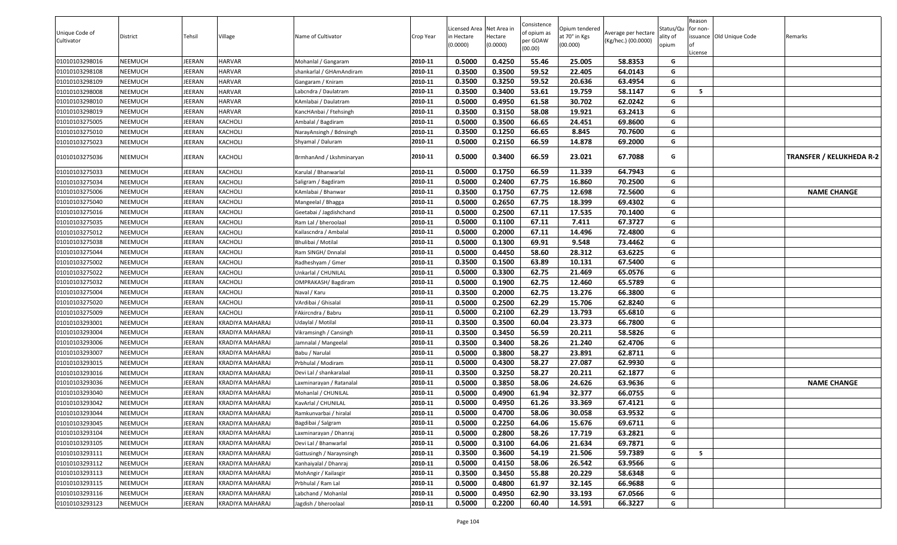|                |          |        |                        |                          |           |                           |                     | Consistence |                           |                     |                   | Reason   |                          |                                 |
|----------------|----------|--------|------------------------|--------------------------|-----------|---------------------------|---------------------|-------------|---------------------------|---------------------|-------------------|----------|--------------------------|---------------------------------|
| Unique Code of |          |        |                        |                          |           | Licensed Area Net Area in |                     | of opium as | Opium tendered            | Average per hectare | Status/Qu         | for non- |                          |                                 |
| Cultivator     | District | Tehsil | Village                | Name of Cultivator       | Crop Year | n Hectare<br>(0.0000)     | Hectare<br>(0.0000) | per GOAW    | at 70° in Kgs<br>(00.000) | (Kg/hec.) (00.0000) | ality of<br>opium |          | issuance Old Unique Code | Remarks                         |
|                |          |        |                        |                          |           |                           |                     | (00.00)     |                           |                     |                   | License  |                          |                                 |
| 01010103298016 | NEEMUCH  | JEERAN | <b>HARVAR</b>          | Mohanlal / Gangaram      | 2010-11   | 0.5000                    | 0.4250              | 55.46       | 25.005                    | 58.8353             | G                 |          |                          |                                 |
| 01010103298108 | NEEMUCH  | JEERAN | <b>HARVAR</b>          | shankarlal / GHAmAndiram | 2010-11   | 0.3500                    | 0.3500              | 59.52       | 22.405                    | 64.0143             | G                 |          |                          |                                 |
| 01010103298109 | NEEMUCH  | JEERAN | <b>HARVAR</b>          | Gangaram / Kniram        | 2010-11   | 0.3500                    | 0.3250              | 59.52       | 20.636                    | 63.4954             | G                 |          |                          |                                 |
| 01010103298008 | NEEMUCH  | JEERAN | <b>HARVAR</b>          | abcndra / Daulatram.     | 2010-11   | 0.3500                    | 0.3400              | 53.61       | 19.759                    | 58.1147             | G                 | 5        |                          |                                 |
| 01010103298010 | NEEMUCH  | JEERAN | <b>HARVAR</b>          | KAmlabai / Daulatram     | 2010-11   | 0.5000                    | 0.4950              | 61.58       | 30.702                    | 62.0242             | G                 |          |                          |                                 |
| 01010103298019 | NEEMUCH  | JEERAN | <b>HARVAR</b>          | KancHAnbai / Ftehsingh   | 2010-11   | 0.3500                    | 0.3150              | 58.08       | 19.921                    | 63.2413             | G                 |          |                          |                                 |
| 01010103275005 | NEEMUCH  | JEERAN | KACHOLI                | Ambalal / Bagdiram       | 2010-11   | 0.5000                    | 0.3500              | 66.65       | 24.451                    | 69.8600             | G                 |          |                          |                                 |
| 01010103275010 | NEEMUCH  | JEERAN | KACHOLI                | NarayAnsingh / Bdnsingh  | 2010-11   | 0.3500                    | 0.1250              | 66.65       | 8.845                     | 70.7600             | G                 |          |                          |                                 |
| 01010103275023 | NEEMUCH  | JEERAN | KACHOLI                | Shyamal / Daluram        | 2010-11   | 0.5000                    | 0.2150              | 66.59       | 14.878                    | 69.2000             | G                 |          |                          |                                 |
| 01010103275036 | NEEMUCH  | JEERAN | KACHOLI                | BrmhanAnd / Lkshminaryan | 2010-11   | 0.5000                    | 0.3400              | 66.59       | 23.021                    | 67.7088             | G                 |          |                          | <b>TRANSFER / KELUKHEDA R-2</b> |
| 01010103275033 | NEEMUCH  | JEERAN | KACHOLI                | Karulal / Bhanwarlal     | 2010-11   | 0.5000                    | 0.1750              | 66.59       | 11.339                    | 64.7943             | G                 |          |                          |                                 |
| 01010103275034 | NEEMUCH  | JEERAN | KACHOLI                | Saligram / Bagdiram      | 2010-11   | 0.5000                    | 0.2400              | 67.75       | 16.860                    | 70.2500             | G                 |          |                          |                                 |
| 01010103275006 | NEEMUCH  | JEERAN | KACHOLI                | KAmlabai / Bhanwar       | 2010-11   | 0.3500                    | 0.1750              | 67.75       | 12.698                    | 72.5600             | G                 |          |                          | <b>NAME CHANGE</b>              |
| 01010103275040 | NEEMUCH  | JEERAN | KACHOLI                | Mangeelal / Bhagga       | 2010-11   | 0.5000                    | 0.2650              | 67.75       | 18.399                    | 69.4302             | G                 |          |                          |                                 |
| 01010103275016 | NEEMUCH  | JEERAN | KACHOLI                | Geetabai / Jagdishchand  | 2010-11   | 0.5000                    | 0.2500              | 67.11       | 17.535                    | 70.1400             | G                 |          |                          |                                 |
| 01010103275035 | NEEMUCH  | JEERAN | KACHOLI                | Ram Lal / bheroolaal     | 2010-11   | 0.5000                    | 0.1100              | 67.11       | 7.411                     | 67.3727             | G                 |          |                          |                                 |
| 01010103275012 | NEEMUCH  | JEERAN | KACHOLI                | Kailascndra / Ambalal    | 2010-11   | 0.5000                    | 0.2000              | 67.11       | 14.496                    | 72.4800             | G                 |          |                          |                                 |
| 01010103275038 | NEEMUCH  | JEERAN | KACHOLI                | Bhulibai / Motilal       | 2010-11   | 0.5000                    | 0.1300              | 69.91       | 9.548                     | 73.4462             | G                 |          |                          |                                 |
| 01010103275044 | NEEMUCH  | JEERAN | KACHOLI                | Ram SINGH/ Dnnalal       | 2010-11   | 0.5000                    | 0.4450              | 58.60       | 28.312                    | 63.6225             | G                 |          |                          |                                 |
| 01010103275002 | NEEMUCH  | JEERAN | KACHOLI                | Radheshyam / Gmer        | 2010-11   | 0.3500                    | 0.1500              | 63.89       | 10.131                    | 67.5400             | G                 |          |                          |                                 |
| 01010103275022 | NEEMUCH  | JEERAN | KACHOLI                | Jnkarlal / CHUNILAL      | 2010-11   | 0.5000                    | 0.3300              | 62.75       | 21.469                    | 65.0576             | G                 |          |                          |                                 |
| 01010103275032 | NEEMUCH  | JEERAN | KACHOLI                | OMPRAKASH/Bagdiram       | 2010-11   | 0.5000                    | 0.1900              | 62.75       | 12.460                    | 65.5789             | G                 |          |                          |                                 |
| 01010103275004 | NEEMUCH  | JEERAN | <b>KACHOLI</b>         | Naval / Karu             | 2010-11   | 0.3500                    | 0.2000              | 62.75       | 13.276                    | 66.3800             | G                 |          |                          |                                 |
| 01010103275020 | NEEMUCH  | JEERAN | KACHOLI                | VArdibai / Ghisalal      | 2010-11   | 0.5000                    | 0.2500              | 62.29       | 15.706                    | 62.8240             | G                 |          |                          |                                 |
| 01010103275009 | NEEMUCH  | JEERAN | KACHOLI                | FAkircndra / Babru       | 2010-11   | 0.5000                    | 0.2100              | 62.29       | 13.793                    | 65.6810             | G                 |          |                          |                                 |
| 01010103293001 | NEEMUCH  | JEERAN | KRADIYA MAHARAJ        | Udaylal / Motilal        | 2010-11   | 0.3500                    | 0.3500              | 60.04       | 23.373                    | 66.7800             | G                 |          |                          |                                 |
| 01010103293004 | NEEMUCH  | JEERAN | KRADIYA MAHARAJ        | Vikramsingh / Cansingh   | 2010-11   | 0.3500                    | 0.3450              | 56.59       | 20.211                    | 58.5826             | G                 |          |                          |                                 |
| 01010103293006 | NEEMUCH  | JEERAN | KRADIYA MAHARAJ        | Jamnalal / Mangeelal     | 2010-11   | 0.3500                    | 0.3400              | 58.26       | 21.240                    | 62.4706             | G                 |          |                          |                                 |
| 01010103293007 | NEEMUCH  | JEERAN | KRADIYA MAHARAJ        | Babu / Narulal           | 2010-11   | 0.5000                    | 0.3800              | 58.27       | 23.891                    | 62.8711             | G                 |          |                          |                                 |
| 01010103293015 | NEEMUCH  | JEERAN | KRADIYA MAHARAJ        | Prbhulal / Modiram       | 2010-11   | 0.5000                    | 0.4300              | 58.27       | 27.087                    | 62.9930             | G                 |          |                          |                                 |
| 01010103293016 | NEEMUCH  | JEERAN | KRADIYA MAHARAJ        | Devi Lal / shankaralaal  | 2010-11   | 0.3500                    | 0.3250              | 58.27       | 20.211                    | 62.1877             | G                 |          |                          |                                 |
| 01010103293036 | NEEMUCH  | JEERAN | KRADIYA MAHARAJ        | Laxminarayan / Ratanalal | 2010-11   | 0.5000                    | 0.3850              | 58.06       | 24.626                    | 63.9636             | G                 |          |                          | <b>NAME CHANGE</b>              |
| 01010103293040 | NEEMUCH  | JEERAN | KRADIYA MAHARAJ        | Mohanlal / CHUNILAL      | 2010-11   | 0.5000                    | 0.4900              | 61.94       | 32.377                    | 66.0755             | G                 |          |                          |                                 |
| 01010103293042 | NEEMUCH  | JEERAN | KRADIYA MAHARAJ        | KavArlal / CHUNILAL      | 2010-11   | 0.5000                    | 0.4950              | 61.26       | 33.369                    | 67.4121             | G                 |          |                          |                                 |
| 01010103293044 | NEEMUCH  | JEERAN | KRADIYA MAHARAJ        | Ramkunvarbai / hiralal   | 2010-11   | 0.5000                    | 0.4700              | 58.06       | 30.058                    | 63.9532             | G                 |          |                          |                                 |
| 01010103293045 | NEEMUCH  | JEERAN | KRADIYA MAHARAJ        | Bagdibai / Salgram       | 2010-11   | 0.5000                    | 0.2250              | 64.06       | 15.676                    | 69.6711             | G                 |          |                          |                                 |
| 01010103293104 | NEEMUCH  | JEERAN | KRADIYA MAHARAJ        | Laxminarayan / Dhanraj   | 2010-11   | 0.5000                    | 0.2800              | 58.26       | 17.719                    | 63.2821             | G                 |          |                          |                                 |
| 01010103293105 | NEEMUCH  | JEERAN | <b>KRADIYA MAHARAJ</b> | Devi Lal / Bhanwarlal    | 2010-11   | 0.5000                    | 0.3100              | 64.06       | 21.634                    | 69.7871             | G                 |          |                          |                                 |
| 01010103293111 | NEEMUCH  | JEERAN | KRADIYA MAHARAJ        | Gattusingh / Naraynsingh | 2010-11   | 0.3500                    | 0.3600              | 54.19       | 21.506                    | 59.7389             | G                 | 5        |                          |                                 |
| 01010103293112 | NEEMUCH  | JEERAN | <b>KRADIYA MAHARAJ</b> | Kanhaiyalal / Dhanraj    | 2010-11   | 0.5000                    | 0.4150              | 58.06       | 26.542                    | 63.9566             | G                 |          |                          |                                 |
| 01010103293113 | NEEMUCH  | JEERAN | <b>KRADIYA MAHARAJ</b> | MohAngir / Kailasgir     | 2010-11   | 0.3500                    | 0.3450              | 55.88       | 20.229                    | 58.6348             | G                 |          |                          |                                 |
| 01010103293115 | NEEMUCH  | JEERAN | KRADIYA MAHARAJ        | Prbhulal / Ram Lal       | 2010-11   | 0.5000                    | 0.4800              | 61.97       | 32.145                    | 66.9688             | G                 |          |                          |                                 |
| 01010103293116 | NEEMUCH  | JEERAN | KRADIYA MAHARAJ        | Labchand / Mohanlal      | 2010-11   | 0.5000                    | 0.4950              | 62.90       | 33.193                    | 67.0566             | G                 |          |                          |                                 |
| 01010103293123 | NEEMUCH  | JEERAN | <b>KRADIYA MAHARAJ</b> | Jagdish / bheroolaal     | 2010-11   | 0.5000                    | 0.2200              | 60.40       | 14.591                    | 66.3227             | G                 |          |                          |                                 |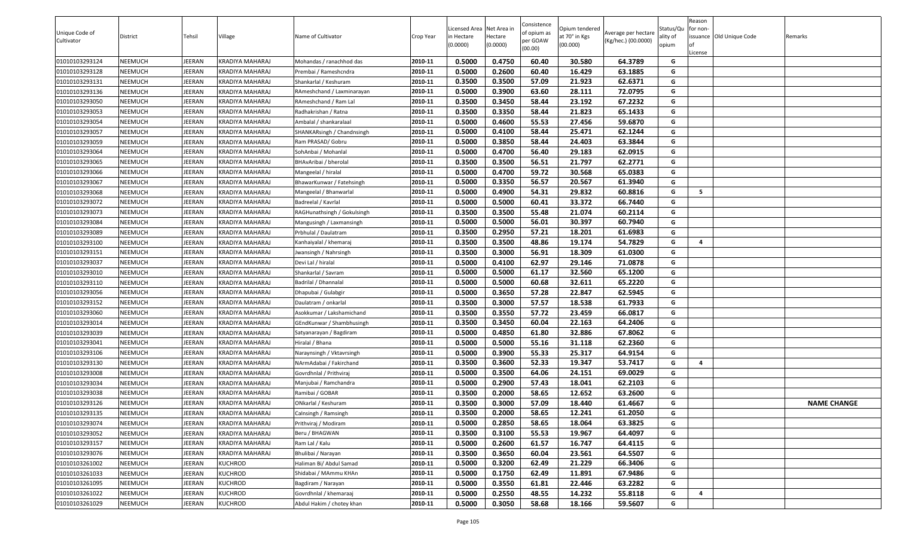| Unique Code of | District | Tehsil |                        | Name of Cultivator          |           | Licensed Area Net Area in |                     | Consistence<br>of opium as | Opium tendered<br>at 70° in Kgs | Average per hectare | Status/Qu         | Reason<br>for non-      | issuance Old Unique Code |                    |
|----------------|----------|--------|------------------------|-----------------------------|-----------|---------------------------|---------------------|----------------------------|---------------------------------|---------------------|-------------------|-------------------------|--------------------------|--------------------|
| Cultivator     |          |        | Village                |                             | Crop Year | n Hectare<br>(0.0000)     | Hectare<br>(0.0000) | per GOAW<br>(00.00)        | (00.000)                        | (Kg/hec.) (00.0000) | ality of<br>opium | License                 |                          | Remarks            |
| 01010103293124 | NEEMUCH  | JEERAN | KRADIYA MAHARAJ        | Mohandas / ranachhod das    | 2010-11   | 0.5000                    | 0.4750              | 60.40                      | 30.580                          | 64.3789             | G                 |                         |                          |                    |
| 01010103293128 | NEEMUCH  | JEERAN | <b>KRADIYA MAHARAJ</b> | Prembai / Rameshcndra       | 2010-11   | 0.5000                    | 0.2600              | 60.40                      | 16.429                          | 63.1885             | G                 |                         |                          |                    |
| 01010103293131 | NEEMUCH  | JEERAN | KRADIYA MAHARAJ        | Shankarlal / Keshuram       | 2010-11   | 0.3500                    | 0.3500              | 57.09                      | 21.923                          | 62.6371             | G                 |                         |                          |                    |
| 01010103293136 | NEEMUCH  | JEERAN | KRADIYA MAHARAJ        | RAmeshchand / Laxminarayan  | 2010-11   | 0.5000                    | 0.3900              | 63.60                      | 28.111                          | 72.0795             | G                 |                         |                          |                    |
| 01010103293050 | NEEMUCH  | JEERAN | KRADIYA MAHARAJ        | RAmeshchand / Ram Lal       | 2010-11   | 0.3500                    | 0.3450              | 58.44                      | 23.192                          | 67.2232             | G                 |                         |                          |                    |
| 01010103293053 | NEEMUCH  | JEERAN | KRADIYA MAHARAJ        | Radhakrishan / Ratna        | 2010-11   | 0.3500                    | 0.3350              | 58.44                      | 21.823                          | 65.1433             | G                 |                         |                          |                    |
| 01010103293054 | NEEMUCH  | JEERAN | KRADIYA MAHARAJ        | Ambalal / shankaralaal      | 2010-11   | 0.5000                    | 0.4600              | 55.53                      | 27.456                          | 59.6870             | G                 |                         |                          |                    |
| 01010103293057 | NEEMUCH  | JEERAN | KRADIYA MAHARAJ        | SHANKARsingh / Chandnsingh  | 2010-11   | 0.5000                    | 0.4100              | 58.44                      | 25.471                          | 62.1244             | G                 |                         |                          |                    |
| 01010103293059 | NEEMUCH  | JEERAN | KRADIYA MAHARAJ        | Ram PRASAD/ Gobru           | 2010-11   | 0.5000                    | 0.3850              | 58.44                      | 24.403                          | 63.3844             | G                 |                         |                          |                    |
| 01010103293064 | NEEMUCH  | JEERAN | KRADIYA MAHARAJ        | SohAnbai / Mohanlal         | 2010-11   | 0.5000                    | 0.4700              | 56.40                      | 29.183                          | 62.0915             | G                 |                         |                          |                    |
| 01010103293065 | NEEMUCH  | JEERAN | KRADIYA MAHARAJ        | BHAvAribai / bherolal       | 2010-11   | 0.3500                    | 0.3500              | 56.51                      | 21.797                          | 62.2771             | G                 |                         |                          |                    |
| 01010103293066 | NEEMUCH  | JEERAN | KRADIYA MAHARAJ        | Mangeelal / hiralal         | 2010-11   | 0.5000                    | 0.4700              | 59.72                      | 30.568                          | 65.0383             | G                 |                         |                          |                    |
| 01010103293067 | NEEMUCH  | JEERAN | KRADIYA MAHARAJ        | BhawarKunwar / Fatehsingh   | 2010-11   | 0.5000                    | 0.3350              | 56.57                      | 20.567                          | 61.3940             | G                 |                         |                          |                    |
| 01010103293068 | NEEMUCH  | JEERAN | KRADIYA MAHARAJ        | Mangeelal / Bhanwarlal      | 2010-11   | 0.5000                    | 0.4900              | 54.31                      | 29.832                          | 60.8816             | G                 | - 5                     |                          |                    |
| 01010103293072 | NEEMUCH  | JEERAN | KRADIYA MAHARAJ        | Badreelal / Kavrlal         | 2010-11   | 0.5000                    | 0.5000              | 60.41                      | 33.372                          | 66.7440             | G                 |                         |                          |                    |
| 01010103293073 | NEEMUCH  | JEERAN | KRADIYA MAHARAJ        | RAGHunathsingh / Gokulsingh | 2010-11   | 0.3500                    | 0.3500              | 55.48                      | 21.074                          | 60.2114             | G                 |                         |                          |                    |
| 01010103293084 | NEEMUCH  | JEERAN | KRADIYA MAHARAJ        | Mangusingh / Laxmansingh    | 2010-11   | 0.5000                    | 0.5000              | 56.01                      | 30.397                          | 60.7940             | G                 |                         |                          |                    |
| 01010103293089 | NEEMUCH  | JEERAN | KRADIYA MAHARAJ        | Prbhulal / Daulatram        | 2010-11   | 0.3500                    | 0.2950              | 57.21                      | 18.201                          | 61.6983             | G                 |                         |                          |                    |
| 01010103293100 | NEEMUCH  | JEERAN | KRADIYA MAHARAJ        | Kanhaiyalal / khemaraj      | 2010-11   | 0.3500                    | 0.3500              | 48.86                      | 19.174                          | 54.7829             | G                 | -4                      |                          |                    |
| 01010103293151 | NEEMUCH  | JEERAN | KRADIYA MAHARAJ        | Jwansingh / Nahrsingh       | 2010-11   | 0.3500                    | 0.3000              | 56.91                      | 18.309                          | 61.0300             | G                 |                         |                          |                    |
| 01010103293037 | NEEMUCH  | JEERAN | KRADIYA MAHARAJ        | Devi Lal / hiralal          | 2010-11   | 0.5000                    | 0.4100              | 62.97                      | 29.146                          | 71.0878             | G                 |                         |                          |                    |
| 01010103293010 | NEEMUCH  | JEERAN | KRADIYA MAHARAJ        | Shankarlal / Savram         | 2010-11   | 0.5000                    | 0.5000              | 61.17                      | 32.560                          | 65.1200             | G                 |                         |                          |                    |
| 01010103293110 | NEEMUCH  | JEERAN | KRADIYA MAHARAJ        | Badrilal / Dhannalal        | 2010-11   | 0.5000                    | 0.5000              | 60.68                      | 32.611                          | 65.2220             | G                 |                         |                          |                    |
| 01010103293056 | NEEMUCH  | JEERAN | KRADIYA MAHARAJ        | Dhapubai / Gulabgir         | 2010-11   | 0.5000                    | 0.3650              | 57.28                      | 22.847                          | 62.5945             | G                 |                         |                          |                    |
| 01010103293152 | NEEMUCH  | JEERAN | KRADIYA MAHARAJ        | Daulatram / onkarlal        | 2010-11   | 0.3500                    | 0.3000              | 57.57                      | 18.538                          | 61.7933             | G                 |                         |                          |                    |
| 01010103293060 | NEEMUCH  | JEERAN | KRADIYA MAHARAJ        | Asokkumar / Lakshamichand   | 2010-11   | 0.3500                    | 0.3550              | 57.72                      | 23.459                          | 66.0817             | G                 |                         |                          |                    |
| 01010103293014 | NEEMUCH  | JEERAN | KRADIYA MAHARAJ        | GEndKunwar / Shambhusingh   | 2010-11   | 0.3500                    | 0.3450              | 60.04                      | 22.163                          | 64.2406             | G                 |                         |                          |                    |
| 01010103293039 | NEEMUCH  | JEERAN | KRADIYA MAHARAJ        | Satyanarayan / Bagdiram     | 2010-11   | 0.5000                    | 0.4850              | 61.80                      | 32.886                          | 67.8062             | G                 |                         |                          |                    |
| 01010103293041 | NEEMUCH  | JEERAN | KRADIYA MAHARAJ        | Hiralal / Bhana             | 2010-11   | 0.5000                    | 0.5000              | 55.16                      | 31.118                          | 62.2360             | G                 |                         |                          |                    |
| 01010103293106 | NEEMUCH  | JEERAN | KRADIYA MAHARAJ        | Naraynsingh / Vktavrsingh   | 2010-11   | 0.5000                    | 0.3900              | 55.33                      | 25.317                          | 64.9154             | G                 |                         |                          |                    |
| 01010103293130 | NEEMUCH  | JEERAN | KRADIYA MAHARAJ        | NArmAdabai / Fakirchand     | 2010-11   | 0.3500                    | 0.3600              | 52.33                      | 19.347                          | 53.7417             | G                 | $\overline{\mathbf{4}}$ |                          |                    |
| 01010103293008 | NEEMUCH  | JEERAN | KRADIYA MAHARAJ        | Govrdhnlal / Prithviraj     | 2010-11   | 0.5000                    | 0.3500              | 64.06                      | 24.151                          | 69.0029             | G                 |                         |                          |                    |
| 01010103293034 | NEEMUCH  | JEERAN | KRADIYA MAHARAJ        | Manjubai / Ramchandra       | 2010-11   | 0.5000                    | 0.2900              | 57.43                      | 18.041                          | 62.2103             | G                 |                         |                          |                    |
| 01010103293038 | NEEMUCH  | JEERAN | KRADIYA MAHARAJ        | Ramibai / GOBAR             | 2010-11   | 0.3500                    | 0.2000              | 58.65                      | 12.652                          | 63.2600             | G                 |                         |                          |                    |
| 01010103293126 | NEEMUCH  | JEERAN | KRADIYA MAHARAJ        | ONkarlal / Keshuram         | 2010-11   | 0.3500                    | 0.3000              | 57.09                      | 18.440                          | 61.4667             | G                 |                         |                          | <b>NAME CHANGE</b> |
| 01010103293135 | NEEMUCH  | JEERAN | <b>KRADIYA MAHARAJ</b> | Calnsingh / Ramsingh        | 2010-11   | 0.3500                    | 0.2000              | 58.65                      | 12.241                          | 61.2050             | G                 |                         |                          |                    |
| 01010103293074 | NEEMUCH  | JEERAN | KRADIYA MAHARAJ        | Prithviraj / Modiram        | 2010-11   | 0.5000                    | 0.2850              | 58.65                      | 18.064                          | 63.3825             | G                 |                         |                          |                    |
| 01010103293052 | NEEMUCH  | JEERAN | KRADIYA MAHARAJ        | Beru / BHAGWAN              | 2010-11   | 0.3500                    | 0.3100              | 55.53                      | 19.967                          | 64.4097             | G                 |                         |                          |                    |
| 01010103293157 | NEEMUCH  | JEERAN | KRADIYA MAHARAJ        | Ram Lal / Kalu              | 2010-11   | 0.5000                    | 0.2600              | 61.57                      | 16.747                          | 64.4115             | G                 |                         |                          |                    |
| 01010103293076 | NEEMUCH  | JEERAN | <b>KRADIYA MAHARAJ</b> | Bhulibai / Narayan          | 2010-11   | 0.3500                    | 0.3650              | 60.04                      | 23.561                          | 64.5507             | G                 |                         |                          |                    |
| 01010103261002 | NEEMUCH  | JEERAN | <b>KUCHROD</b>         | Haliman Bi/ Abdul Samad     | 2010-11   | 0.5000                    | 0.3200              | 62.49                      | 21.229                          | 66.3406             | G                 |                         |                          |                    |
| 01010103261033 | NEEMUCH  | JEERAN | <b>KUCHROD</b>         | Shidabai / MAmmu KHAn       | 2010-11   | 0.5000                    | 0.1750              | 62.49                      | 11.891                          | 67.9486             | G                 |                         |                          |                    |
| 01010103261095 | NEEMUCH  | JEERAN | <b>KUCHROD</b>         | Bagdiram / Narayan          | 2010-11   | 0.5000                    | 0.3550              | 61.81                      | 22.446                          | 63.2282             | G                 |                         |                          |                    |
| 01010103261022 | NEEMUCH  | JEERAN | <b>KUCHROD</b>         | Govrdhnlal / khemaraaj      | 2010-11   | 0.5000                    | 0.2550              | 48.55                      | 14.232                          | 55.8118             | G                 | $\overline{\mathbf{4}}$ |                          |                    |
| 01010103261029 | NEEMUCH  | JEERAN | <b>KUCHROD</b>         | Abdul Hakim / chotey khan   | 2010-11   | 0.5000                    | 0.3050              | 58.68                      | 18.166                          | 59.5607             | G                 |                         |                          |                    |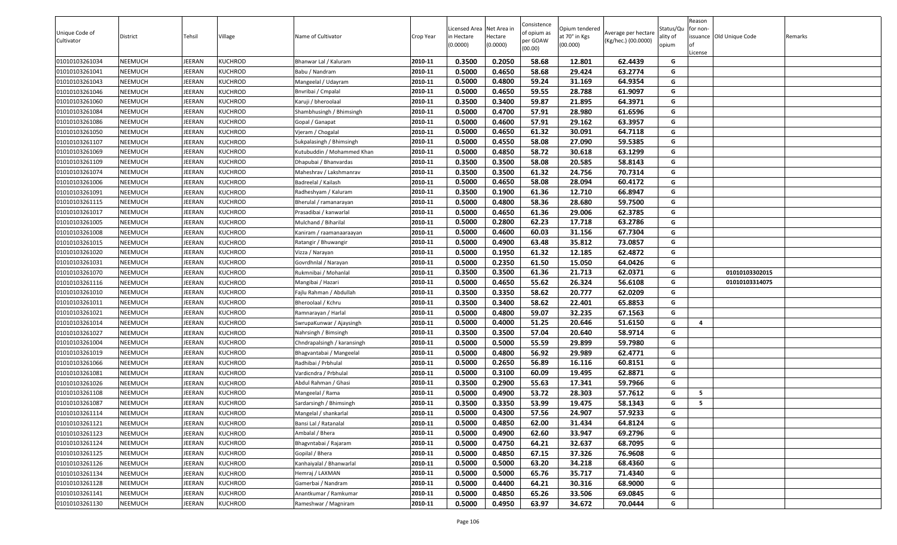| Unique Code of<br>Cultivator     | District           | Tehsil           | Village                          | Name of Cultivator                       | Crop Year          | Licensed Area Net Area in<br>in Hectare<br>(0.0000) | lectare<br>(0.0000) | Consistence<br>of opium as<br>oer GOAW<br>(00.00) | Opium tendered<br>at 70° in Kgs<br>(00.000) | Average per hectare<br>(Kg/hec.) (00.0000) | Status/Qu<br>ality of<br>opium | Reason<br>for non-<br>issuance Old Unique Code<br>.icense | Remarks |
|----------------------------------|--------------------|------------------|----------------------------------|------------------------------------------|--------------------|-----------------------------------------------------|---------------------|---------------------------------------------------|---------------------------------------------|--------------------------------------------|--------------------------------|-----------------------------------------------------------|---------|
| 01010103261034                   | NEEMUCH            | JEERAN           | KUCHROD                          | Bhanwar Lal / Kaluram                    | 2010-11            | 0.3500                                              | 0.2050              | 58.68                                             | 12.801                                      | 62.4439                                    | G                              |                                                           |         |
| 01010103261041                   | NEEMUCH            | JEERAN           | <b>KUCHROD</b>                   | Babu / Nandram                           | 2010-11            | 0.5000                                              | 0.4650              | 58.68                                             | 29.424                                      | 63.2774                                    | G                              |                                                           |         |
| 01010103261043                   | NEEMUCH            | JEERAN           | KUCHROD                          | Mangeelal / Udayram                      | 2010-11            | 0.5000                                              | 0.4800              | 59.24                                             | 31.169                                      | 64.9354                                    | G                              |                                                           |         |
| 01010103261046                   | NEEMUCH            | JEERAN           | <b>KUCHROD</b>                   | Bnvribai / Cmpalal                       | 2010-11            | 0.5000                                              | 0.4650              | 59.55                                             | 28.788                                      | 61.9097                                    | G                              |                                                           |         |
| 01010103261060                   | NEEMUCH            | JEERAN           | KUCHROD                          | Karuji / bheroolaal                      | 2010-11            | 0.3500                                              | 0.3400              | 59.87                                             | 21.895                                      | 64.3971                                    | G                              |                                                           |         |
| 01010103261084                   | NEEMUCH            | JEERAN           | KUCHROD                          | Shambhusingh / Bhimsingh                 | 2010-11            | 0.5000                                              | 0.4700              | 57.91                                             | 28.980                                      | 61.6596                                    | G                              |                                                           |         |
| 01010103261086                   | NEEMUCH            | JEERAN           | <b>KUCHROD</b>                   | Gopal / Ganapat                          | 2010-11            | 0.5000                                              | 0.4600              | 57.91                                             | 29.162                                      | 63.3957                                    | G                              |                                                           |         |
| 01010103261050                   | NEEMUCH            | JEERAN           | <b>KUCHROD</b>                   | Vjeram / Chogalal                        | 2010-11            | 0.5000                                              | 0.4650              | 61.32                                             | 30.091                                      | 64.7118                                    | G                              |                                                           |         |
| 01010103261107                   | NEEMUCH            | JEERAN           | <b>KUCHROD</b>                   | Sukpalasingh / Bhimsingh                 | 2010-11            | 0.5000                                              | 0.4550              | 58.08                                             | 27.090                                      | 59.5385                                    | G                              |                                                           |         |
| 01010103261069                   | NEEMUCH            | JEERAN           | KUCHROD                          | Kutubuddin / Mohammed Khan               | 2010-11            | 0.5000                                              | 0.4850              | 58.72                                             | 30.618                                      | 63.1299                                    | G                              |                                                           |         |
| 01010103261109                   | NEEMUCH            | JEERAN           | <b>KUCHROD</b>                   | Dhapubai / Bhanvardas                    | 2010-11            | 0.3500                                              | 0.3500              | 58.08                                             | 20.585                                      | 58.8143                                    | G                              |                                                           |         |
| 01010103261074                   | NEEMUCH            | JEERAN           | KUCHROD                          | Maheshrav / Lakshmanrav                  | 2010-11            | 0.3500                                              | 0.3500              | 61.32                                             | 24.756                                      | 70.7314                                    | G                              |                                                           |         |
| 01010103261006                   | NEEMUCH            | JEERAN           | <b>KUCHROD</b>                   | Badreelal / Kailash                      | 2010-11            | 0.5000                                              | 0.4650              | 58.08                                             | 28.094                                      | 60.4172                                    | G                              |                                                           |         |
| 01010103261091                   | NEEMUCH            | JEERAN           | <b>KUCHROD</b>                   | Radheshyam / Kaluram                     | 2010-11            | 0.3500                                              | 0.1900              | 61.36                                             | 12.710                                      | 66.8947                                    | G                              |                                                           |         |
| 01010103261115                   | NEEMUCH            | JEERAN           | <b>KUCHROD</b>                   | Bherulal / ramanarayan                   | 2010-11            | 0.5000                                              | 0.4800              | 58.36                                             | 28.680                                      | 59.7500                                    | G                              |                                                           |         |
| 01010103261017                   | NEEMUCH            | JEERAN           | <b>KUCHROD</b>                   | Prasadibai / kanwarlal                   | 2010-11            | 0.5000                                              | 0.4650              | 61.36                                             | 29.006                                      | 62.3785                                    | G                              |                                                           |         |
| 01010103261005                   | NEEMUCH            | JEERAN           | <b>KUCHROD</b>                   | Mulchand / Biharilal                     | 2010-11            | 0.5000                                              | 0.2800              | 62.23                                             | 17.718                                      | 63.2786                                    | G                              |                                                           |         |
| 01010103261008                   | NEEMUCH            | JEERAN           | <b>KUCHROD</b>                   | Kaniram / raamanaaraayan                 | 2010-11            | 0.5000                                              | 0.4600              | 60.03                                             | 31.156                                      | 67.7304                                    | G                              |                                                           |         |
| 01010103261015                   | NEEMUCH            | JEERAN           | KUCHROD                          | Ratangir / Bhuwangir                     | 2010-11            | 0.5000                                              | 0.4900              | 63.48                                             | 35.812                                      | 73.0857                                    | G                              |                                                           |         |
| 01010103261020                   | NEEMUCH            | JEERAN           | KUCHROD                          | Vizza / Narayan                          | 2010-11            | 0.5000                                              | 0.1950              | 61.32                                             | 12.185                                      | 62.4872                                    | G                              |                                                           |         |
| 01010103261031                   | NEEMUCH            | JEERAN           | KUCHROD                          | Govrdhnlal / Narayan                     | 2010-11            | 0.5000                                              | 0.2350              | 61.50                                             | 15.050                                      | 64.0426                                    | G                              |                                                           |         |
| 01010103261070                   | NEEMUCH            | JEERAN           | <b>KUCHROD</b>                   | Rukmnibai / Mohanlal                     | 2010-11            | 0.3500                                              | 0.3500              | 61.36                                             | 21.713                                      | 62.0371                                    | G                              | 01010103302015                                            |         |
| 01010103261116                   | NEEMUCH            | JEERAN           | <b>KUCHROD</b>                   | Mangibai / Hazari                        | 2010-11            | 0.5000                                              | 0.4650              | 55.62                                             | 26.324                                      | 56.6108                                    | G                              | 01010103314075                                            |         |
| 01010103261010                   | NEEMUCH            | JEERAN           | <b>KUCHROD</b>                   | Fajlu Rahman / Abdullah                  | 2010-11            | 0.3500                                              | 0.3350              | 58.62                                             | 20.777                                      | 62.0209                                    | G                              |                                                           |         |
| 01010103261011                   | NEEMUCH            | JEERAN           | <b>KUCHROD</b>                   | Bheroolaal / Kchru                       | 2010-11            | 0.3500                                              | 0.3400              | 58.62                                             | 22.401                                      | 65.8853                                    | G                              |                                                           |         |
| 01010103261021                   | NEEMUCH            | JEERAN           | <b>KUCHROD</b>                   | Ramnarayan / Harlal                      | 2010-11            | 0.5000                                              | 0.4800              | 59.07                                             | 32.235                                      | 67.1563                                    | G                              |                                                           |         |
| 01010103261014                   | NEEMUCH            | JEERAN           | KUCHROD                          | SwrupaKunwar / Ajaysingh                 | 2010-11            | 0.5000                                              | 0.4000              | 51.25                                             | 20.646                                      | 51.6150                                    | G                              | 4                                                         |         |
| 01010103261027                   | NEEMUCH            | JEERAN           | <b>KUCHROD</b>                   | Nahrsingh / Bimsingh                     | 2010-11            | 0.3500                                              | 0.3500              | 57.04                                             | 20.640                                      | 58.9714                                    | G                              |                                                           |         |
| 01010103261004                   | NEEMUCH            | JEERAN           | KUCHROD                          | Chndrapalsingh / karansingh              | 2010-11            | 0.5000                                              | 0.5000              | 55.59                                             | 29.899                                      | 59.7980                                    | G                              |                                                           |         |
| 01010103261019                   | NEEMUCH            | JEERAN           | <b>KUCHROD</b>                   | Bhagvantabai / Mangeelal                 | 2010-11            | 0.5000                                              | 0.4800              | 56.92                                             | 29.989                                      | 62.4771                                    | G                              |                                                           |         |
| 01010103261066                   | NEEMUCH            | JEERAN           | KUCHROD                          | Radhibai / Prbhulal                      | 2010-11            | 0.5000                                              | 0.2650              | 56.89                                             | 16.116                                      | 60.8151                                    | G                              |                                                           |         |
| 01010103261081                   | NEEMUCH            | JEERAN           | <b>KUCHROD</b>                   | Vardicndra / Prbhulal                    | 2010-11            | 0.5000                                              | 0.3100              | 60.09                                             | 19.495                                      | 62.8871                                    | G                              |                                                           |         |
| 01010103261026                   | NEEMUCH            | JEERAN           | <b>KUCHROD</b>                   | Abdul Rahman / Ghasi                     | 2010-11            | 0.3500                                              | 0.2900              | 55.63                                             | 17.341                                      | 59.7966                                    | G                              |                                                           |         |
| 01010103261108                   | NEEMUCH            | JEERAN           | <b>KUCHROD</b>                   | Mangeelal / Rama                         | 2010-11            | 0.5000<br>0.3500                                    | 0.4900              | 53.72                                             | 28.303<br>19.475                            | 57.7612<br>58.1343                         | G                              | - 5                                                       |         |
| 01010103261087                   | NEEMUCH<br>NEEMUCH | JEERAN<br>JEERAN | <b>KUCHROD</b><br><b>KUCHROD</b> | Sardarsingh / Bhimsingh                  | 2010-11<br>2010-11 | 0.5000                                              | 0.3350              | 53.99                                             |                                             |                                            | G<br>G                         | 5                                                         |         |
| 01010103261114                   |                    |                  |                                  | Mangelal / shankarlal                    | 2010-11            | 0.5000                                              | 0.4300<br>0.4850    | 57.56<br>62.00                                    | 24.907<br>31.434                            | 57.9233<br>64.8124                         | G                              |                                                           |         |
| 01010103261121                   | NEEMUCH            | JEERAN           | <b>KUCHROD</b>                   | Bansi Lal / Ratanalal                    | 2010-11            |                                                     |                     |                                                   |                                             |                                            | G                              |                                                           |         |
| 01010103261123                   | NEEMUCH            | JEERAN           | <b>KUCHROD</b>                   | Ambalal / Bhera                          | 2010-11            | 0.5000<br>0.5000                                    | 0.4900<br>0.4750    | 62.60                                             | 33.947                                      | 69.2796                                    | G                              |                                                           |         |
| 01010103261124<br>01010103261125 | NEEMUCH<br>NEEMUCH | JEERAN<br>JEERAN | <b>KUCHROD</b><br><b>KUCHROD</b> | Bhagvntabai / Rajaram<br>Gopilal / Bhera | 2010-11            | 0.5000                                              | 0.4850              | 64.21<br>67.15                                    | 32.637<br>37.326                            | 68.7095<br>76.9608                         | G                              |                                                           |         |
|                                  |                    |                  |                                  | Kanhaiyalal / Bhanwarlal                 | 2010-11            | 0.5000                                              | 0.5000              | 63.20                                             | 34.218                                      |                                            | G                              |                                                           |         |
| 01010103261126<br>01010103261134 | NEEMUCH<br>NEEMUCH | JEERAN<br>JEERAN | <b>KUCHROD</b><br><b>KUCHROD</b> | Hemraj / LAXMAN                          | 2010-11            | 0.5000                                              | 0.5000              | 65.76                                             | 35.717                                      | 68.4360                                    | G                              |                                                           |         |
| 01010103261128                   | NEEMUCH            | JEERAN           | <b>KUCHROD</b>                   | Gamerbai / Nandram                       | 2010-11            | 0.5000                                              | 0.4400              | 64.21                                             | 30.316                                      | 71.4340<br>68.9000                         | G                              |                                                           |         |
| 01010103261141                   | NEEMUCH            | JEERAN           | <b>KUCHROD</b>                   | Anantkumar / Ramkumar                    | 2010-11            | 0.5000                                              | 0.4850              | 65.26                                             | 33.506                                      | 69.0845                                    | G                              |                                                           |         |
| 01010103261130                   |                    |                  |                                  | Rameshwar / Magniram                     |                    | 0.5000                                              | 0.4950              | 63.97                                             | 34.672                                      |                                            | G                              |                                                           |         |
|                                  | NEEMUCH            | JEERAN           | <b>KUCHROD</b>                   |                                          | 2010-11            |                                                     |                     |                                                   |                                             | 70.0444                                    |                                |                                                           |         |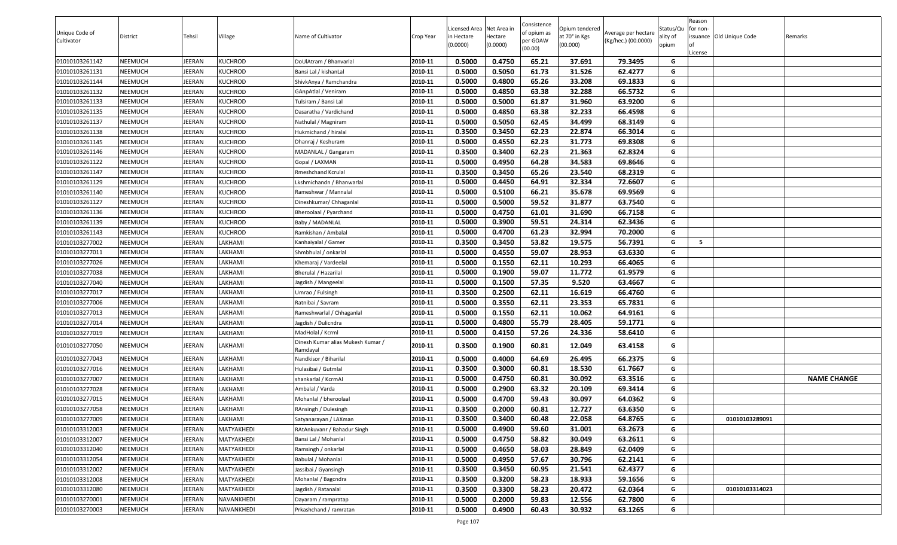| Unique Code of<br>Cultivator | District       | Tehsil | Village        | Name of Cultivator                            | Crop Year | Licensed Area Net Area in<br>n Hectare<br>(0.0000) | Hectare<br>(0.0000) | Consistence<br>of opium as<br>per GOAW<br>(00.00) | Opium tendered<br>at 70° in Kgs<br>(00.000) | Average per hectare<br>(Kg/hec.) (00.0000) | Status/Qu<br>ality of<br>opium | Reason<br>for non-<br>License | issuance Old Unique Code | Remarks            |
|------------------------------|----------------|--------|----------------|-----------------------------------------------|-----------|----------------------------------------------------|---------------------|---------------------------------------------------|---------------------------------------------|--------------------------------------------|--------------------------------|-------------------------------|--------------------------|--------------------|
| 01010103261142               | NEEMUCH        | JEERAN | <b>KUCHROD</b> | DoUlAtram / Bhanvarlal                        | 2010-11   | 0.5000                                             | 0.4750              | 65.21                                             | 37.691                                      | 79.3495                                    | G                              |                               |                          |                    |
| 01010103261131               | NEEMUCH        | JEERAN | <b>KUCHROD</b> | Bansi Lal / kishanLal                         | 2010-11   | 0.5000                                             | 0.5050              | 61.73                                             | 31.526                                      | 62.4277                                    | G                              |                               |                          |                    |
| 01010103261144               | NEEMUCH        | JEERAN | <b>KUCHROD</b> | ShivkAnya / Ramchandra                        | 2010-11   | 0.5000                                             | 0.4800              | 65.26                                             | 33.208                                      | 69.1833                                    | G                              |                               |                          |                    |
| 01010103261132               | NEEMUCH        | JEERAN | <b>KUCHROD</b> | GAnpAtlal / Veniram                           | 2010-11   | 0.5000                                             | 0.4850              | 63.38                                             | 32.288                                      | 66.5732                                    | G                              |                               |                          |                    |
| 01010103261133               | NEEMUCH        | JEERAN | <b>KUCHROD</b> | Tulsiram / Bansi Lal                          | 2010-11   | 0.5000                                             | 0.5000              | 61.87                                             | 31.960                                      | 63.9200                                    | G                              |                               |                          |                    |
| 01010103261135               | NEEMUCH        | JEERAN | <b>KUCHROD</b> | Dasaratha / Vardichand                        | 2010-11   | 0.5000                                             | 0.4850              | 63.38                                             | 32.233                                      | 66.4598                                    | G                              |                               |                          |                    |
| 01010103261137               | NEEMUCH        | JEERAN | <b>KUCHROD</b> | Nathulal / Magniram                           | 2010-11   | 0.5000                                             | 0.5050              | 62.45                                             | 34.499                                      | 68.3149                                    | G                              |                               |                          |                    |
| 01010103261138               | NEEMUCH        | JEERAN | <b>KUCHROD</b> | Hukmichand / hiralal                          | 2010-11   | 0.3500                                             | 0.3450              | 62.23                                             | 22.874                                      | 66.3014                                    | G                              |                               |                          |                    |
| 01010103261145               | NEEMUCH        | JEERAN | <b>KUCHROD</b> | Dhanraj / Keshuram                            | 2010-11   | 0.5000                                             | 0.4550              | 62.23                                             | 31.773                                      | 69.8308                                    | G                              |                               |                          |                    |
| 01010103261146               | NEEMUCH        | JEERAN | <b>KUCHROD</b> | MADANLAL / Gangaram                           | 2010-11   | 0.3500                                             | 0.3400              | 62.23                                             | 21.363                                      | 62.8324                                    | G                              |                               |                          |                    |
| 01010103261122               | NEEMUCH        | JEERAN | <b>KUCHROD</b> | Gopal / LAXMAN                                | 2010-11   | 0.5000                                             | 0.4950              | 64.28                                             | 34.583                                      | 69.8646                                    | G                              |                               |                          |                    |
| 01010103261147               | NEEMUCH        | JEERAN | <b>KUCHROD</b> | Rmeshchand Kcrulal                            | 2010-11   | 0.3500                                             | 0.3450              | 65.26                                             | 23.540                                      | 68.2319                                    | G                              |                               |                          |                    |
| 01010103261129               | NEEMUCH        | JEERAN | <b>KUCHROD</b> | Lkshmichandn / Bhanwarlal                     | 2010-11   | 0.5000                                             | 0.4450              | 64.91                                             | 32.334                                      | 72.6607                                    | G                              |                               |                          |                    |
| 01010103261140               | NEEMUCH        | JEERAN | <b>KUCHROD</b> | Rameshwar / Mannalal                          | 2010-11   | 0.5000                                             | 0.5100              | 66.21                                             | 35.678                                      | 69.9569                                    | G                              |                               |                          |                    |
| 01010103261127               | NEEMUCH        | JEERAN | <b>KUCHROD</b> | Dineshkumar/ Chhaganlal                       | 2010-11   | 0.5000                                             | 0.5000              | 59.52                                             | 31.877                                      | 63.7540                                    | G                              |                               |                          |                    |
| 01010103261136               | NEEMUCH        | JEERAN | <b>KUCHROD</b> | Bheroolaal / Pyarchand                        | 2010-11   | 0.5000                                             | 0.4750              | 61.01                                             | 31.690                                      | 66.7158                                    | G                              |                               |                          |                    |
| 01010103261139               | NEEMUCH        | JEERAN | <b>KUCHROD</b> | Baby / MADANLAL                               | 2010-11   | 0.5000                                             | 0.3900              | 59.51                                             | 24.314                                      | 62.3436                                    | G                              |                               |                          |                    |
| 01010103261143               | NEEMUCH        | JEERAN | <b>KUCHROD</b> | Ramkishan / Ambalal                           | 2010-11   | 0.5000                                             | 0.4700              | 61.23                                             | 32.994                                      | 70.2000                                    | G                              |                               |                          |                    |
| 01010103277002               | NEEMUCH        | JEERAN | LAKHAMI        | Kanhaiyalal / Gamer                           | 2010-11   | 0.3500                                             | 0.3450              | 53.82                                             | 19.575                                      | 56.7391                                    | G                              | - 5                           |                          |                    |
| 01010103277011               | NEEMUCH        | JEERAN | LAKHAMI        | Shmbhulal / onkarlal                          | 2010-11   | 0.5000                                             | 0.4550              | 59.07                                             | 28.953                                      | 63.6330                                    | G                              |                               |                          |                    |
| 01010103277026               | NEEMUCH        | JEERAN | LAKHAMI        | Khemaraj / Vardeelal                          | 2010-11   | 0.5000                                             | 0.1550              | 62.11                                             | 10.293                                      | 66.4065                                    | G                              |                               |                          |                    |
| 01010103277038               | NEEMUCH        | JEERAN | LAKHAMI        | Bherulal / Hazarilal                          | 2010-11   | 0.5000                                             | 0.1900              | 59.07                                             | 11.772                                      | 61.9579                                    | G                              |                               |                          |                    |
| 01010103277040               | NEEMUCH        | JEERAN | LAKHAMI        | Jagdish / Mangeelal                           | 2010-11   | 0.5000                                             | 0.1500              | 57.35                                             | 9.520                                       | 63.4667                                    | G                              |                               |                          |                    |
| 01010103277017               | NEEMUCH        | JEERAN | LAKHAMI        | Umrao / Fulsingh                              | 2010-11   | 0.3500                                             | 0.2500              | 62.11                                             | 16.619                                      | 66.4760                                    | G                              |                               |                          |                    |
| 01010103277006               | NEEMUCH        | JEERAN | LAKHAMI        | Ratnibai / Savram                             | 2010-11   | 0.5000                                             | 0.3550              | 62.11                                             | 23.353                                      | 65.7831                                    | G                              |                               |                          |                    |
| 01010103277013               | NEEMUCH        | JEERAN | LAKHAMI        | Rameshwarlal / Chhaganlal                     | 2010-11   | 0.5000                                             | 0.1550              | 62.11                                             | 10.062                                      | 64.9161                                    | G                              |                               |                          |                    |
| 01010103277014               | NEEMUCH        | JEERAN | LAKHAMI        | Jagdish / Dulicndra                           | 2010-11   | 0.5000                                             | 0.4800              | 55.79                                             | 28.405                                      | 59.1771                                    | G                              |                               |                          |                    |
| 01010103277019               | NEEMUCH        | JEERAN | LAKHAMI        | MadHolal / Kcrml                              | 2010-11   | 0.5000                                             | 0.4150              | 57.26                                             | 24.336                                      | 58.6410                                    | G                              |                               |                          |                    |
| 01010103277050               | NEEMUCH        | JEERAN | LAKHAMI        | Dinesh Kumar alias Mukesh Kumar /<br>Ramdayal | 2010-11   | 0.3500                                             | 0.1900              | 60.81                                             | 12.049                                      | 63.4158                                    | G                              |                               |                          |                    |
| 01010103277043               | NEEMUCH        | JEERAN | LAKHAMI        | Nandkisor / Biharilal                         | 2010-11   | 0.5000                                             | 0.4000              | 64.69                                             | 26.495                                      | 66.2375                                    | G                              |                               |                          |                    |
| 01010103277016               | NEEMUCH        | JEERAN | LAKHAMI        | Hulasibai / Gutmlal                           | 2010-11   | 0.3500                                             | 0.3000              | 60.81                                             | 18.530                                      | 61.7667                                    | G                              |                               |                          |                    |
| 01010103277007               | NEEMUCH        | JEERAN | LAKHAMI        | shankarlal / KcrmAl                           | 2010-11   | 0.5000                                             | 0.4750              | 60.81                                             | 30.092                                      | 63.3516                                    | G                              |                               |                          | <b>NAME CHANGE</b> |
| 01010103277028               | NEEMUCH        | JEERAN | LAKHAMI        | Ambalal / Varda                               | 2010-11   | 0.5000                                             | 0.2900              | 63.32                                             | 20.109                                      | 69.3414                                    | G                              |                               |                          |                    |
| 01010103277015               | NEEMUCH        | JEERAN | LAKHAMI        | Mohanlal / bheroolaal                         | 2010-11   | 0.5000                                             | 0.4700              | 59.43                                             | 30.097                                      | 64.0362                                    | G                              |                               |                          |                    |
| 01010103277058               | NEEMUCH        | JEERAN | LAKHAMI        | RAnsingh / Dulesingh                          | 2010-11   | 0.3500                                             | 0.2000              | 60.81                                             | 12.727                                      | 63.6350                                    | G                              |                               |                          |                    |
| 01010103277009               | <b>NEEMUCH</b> | JEERAN | LAKHAMI        | Satyanarayan / LAXman                         | 2010-11   | 0.3500                                             | 0.3400              | 60.48                                             | 22.058                                      | 64.8765                                    | G                              |                               | 01010103289091           |                    |
| 01010103312003               | NEEMUCH        | JEERAN | MATYAKHEDI     | RAtAnkuvanr / Bahadur Singh                   | 2010-11   | 0.5000                                             | 0.4900              | 59.60                                             | 31.001                                      | 63.2673                                    | G                              |                               |                          |                    |
| 01010103312007               | NEEMUCH        | JEERAN | MATYAKHEDI     | Bansi Lal / Mohanlal                          | 2010-11   | 0.5000                                             | 0.4750              | 58.82                                             | 30.049                                      | 63.2611                                    | G                              |                               |                          |                    |
| 01010103312040               | NEEMUCH        | JEERAN | MATYAKHEDI     | Ramsingh / onkarlal                           | 2010-11   | 0.5000                                             | 0.4650              | 58.03                                             | 28.849                                      | 62.0409                                    | G                              |                               |                          |                    |
| 01010103312054               | NEEMUCH        | JEERAN | MATYAKHEDI     | Babulal / Mohanlal                            | 2010-11   | 0.5000                                             | 0.4950              | 57.67                                             | 30.796                                      | 62.2141                                    | G                              |                               |                          |                    |
| 01010103312002               | NEEMUCH        | JEERAN | MATYAKHEDI     | Jassibai / Gyansingh                          | 2010-11   | 0.3500                                             | 0.3450              | 60.95                                             | 21.541                                      | 62.4377                                    | G                              |                               |                          |                    |
| 01010103312008               | NEEMUCH        | JEERAN | MATYAKHEDI     | Mohanlal / Bagcndra                           | 2010-11   | 0.3500                                             | 0.3200              | 58.23                                             | 18.933                                      | 59.1656                                    | G                              |                               |                          |                    |
| 01010103312080               | NEEMUCH        | JEERAN | MATYAKHEDI     | Jagdish / Ratanalal                           | 2010-11   | 0.3500                                             | 0.3300              | 58.23                                             | 20.472                                      | 62.0364                                    | G                              |                               | 01010103314023           |                    |
| 01010103270001               | NEEMUCH        | JEERAN | NAVANKHEDI     | Dayaram / rampratap                           | 2010-11   | 0.5000                                             | 0.2000              | 59.83                                             | 12.556                                      | 62.7800                                    | G                              |                               |                          |                    |
| 01010103270003               | NEEMUCH        | JEERAN | NAVANKHEDI     | Prkashchand / ramratan                        | 2010-11   | 0.5000                                             | 0.4900              | 60.43                                             | 30.932                                      | 63.1265                                    | G                              |                               |                          |                    |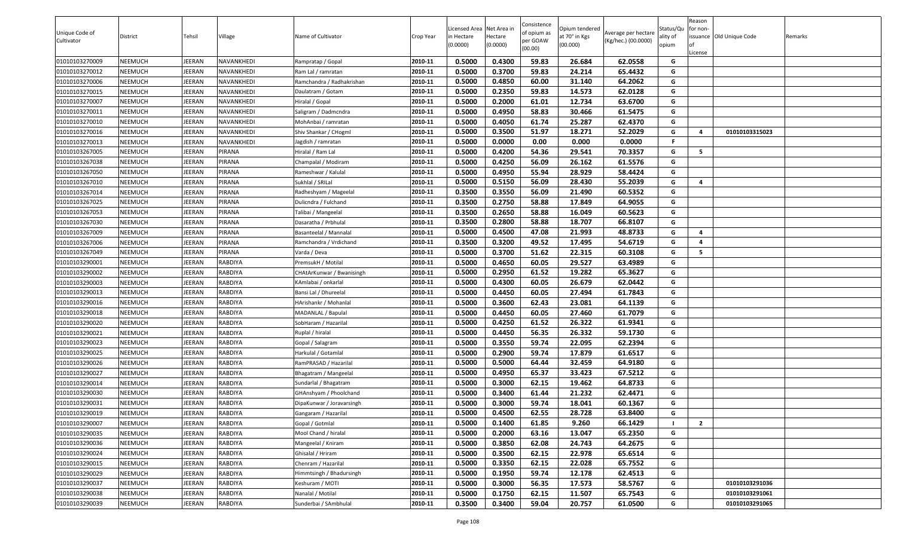|                |                |               |                |                           |           |                          |                     | Consistence |                           |                     |                   | Reason         |                          |         |
|----------------|----------------|---------------|----------------|---------------------------|-----------|--------------------------|---------------------|-------------|---------------------------|---------------------|-------------------|----------------|--------------------------|---------|
| Unique Code of |                |               |                |                           |           | Licensed Area Net Area i |                     | of opium as | Opium tendered            | Average per hectare | Status/Qu         | for non-       |                          |         |
| Cultivator     | District       | Tehsil        | Village        | Name of Cultivator        | Crop Year | in Hectare<br>(0.0000)   | Hectare<br>(0.0000) | per GOAW    | at 70° in Kgs<br>(00.000) | (Kg/hec.) (00.0000) | ality of<br>opium |                | issuance Old Unique Code | Remarks |
|                |                |               |                |                           |           |                          |                     | (00.00)     |                           |                     |                   | .icense        |                          |         |
| 01010103270009 | <b>NEEMUCH</b> | <b>IEERAN</b> | NAVANKHEDI     | Rampratap / Gopal         | 2010-11   | 0.5000                   | 0.4300              | 59.83       | 26.684                    | 62.0558             | G                 |                |                          |         |
| 01010103270012 | <b>NEEMUCH</b> | <b>IEERAN</b> | NAVANKHEDI     | Ram Lal / ramratan        | 2010-11   | 0.5000                   | 0.3700              | 59.83       | 24.214                    | 65.4432             | G                 |                |                          |         |
| 01010103270006 | <b>NEEMUCH</b> | <b>IEERAN</b> | NAVANKHEDI     | Ramchandra / Radhakrishan | 2010-11   | 0.5000                   | 0.4850              | 60.00       | 31.140                    | 64.2062             | G                 |                |                          |         |
| 01010103270015 | <b>NEEMUCH</b> | <b>IEERAN</b> | NAVANKHEDI     | Daulatram / Gotam         | 2010-11   | 0.5000                   | 0.2350              | 59.83       | 14.573                    | 62.0128             | G                 |                |                          |         |
| 01010103270007 | <b>NEEMUCH</b> | <b>IEERAN</b> | NAVANKHEDI     | Hiralal / Gopal           | 2010-11   | 0.5000                   | 0.2000              | 61.01       | 12.734                    | 63.6700             | G                 |                |                          |         |
| 01010103270011 | <b>NEEMUCH</b> | <b>IEERAN</b> | NAVANKHEDI     | Saligram / Dadmcndra      | 2010-11   | 0.5000                   | 0.4950              | 58.83       | 30.466                    | 61.5475             | G                 |                |                          |         |
| 01010103270010 | <b>NEEMUCH</b> | JEERAN        | NAVANKHEDI     | MohAnbai / ramratan       | 2010-11   | 0.5000                   | 0.4050              | 61.74       | 25.287                    | 62.4370             | G                 |                |                          |         |
| 01010103270016 | <b>NEEMUCH</b> | JEERAN        | NAVANKHEDI     | Shiv Shankar / CHogml     | 2010-11   | 0.5000                   | 0.3500              | 51.97       | 18.271                    | 52.2029             | G                 | $\overline{a}$ | 01010103315023           |         |
| 01010103270013 | <b>NEEMUCH</b> | JEERAN        | NAVANKHEDI     | Jagdish / ramratan        | 2010-11   | 0.5000                   | 0.0000              | 0.00        | 0.000                     | 0.0000              | F.                |                |                          |         |
| 01010103267005 | <b>NEEMUCH</b> | <b>IEERAN</b> | PIRANA         | Hiralal / Ram Lal         | 2010-11   | 0.5000                   | 0.4200              | 54.36       | 29.541                    | 70.3357             | G                 | 5              |                          |         |
| 01010103267038 | <b>NEEMUCH</b> | <b>IEERAN</b> | PIRANA         | Champalal / Modiram       | 2010-11   | 0.5000                   | 0.4250              | 56.09       | 26.162                    | 61.5576             | G                 |                |                          |         |
| 01010103267050 | <b>NEEMUCH</b> | <b>IEERAN</b> | PIRANA         | Rameshwar / Kalulal       | 2010-11   | 0.5000                   | 0.4950              | 55.94       | 28.929                    | 58.4424             | G                 |                |                          |         |
| 01010103267010 | <b>NEEMUCH</b> | <b>IEERAN</b> | PIRANA         | Sukhlal / SRILal          | 2010-11   | 0.5000                   | 0.5150              | 56.09       | 28.430                    | 55.2039             | G                 | 4              |                          |         |
| 01010103267014 | <b>NEEMUCH</b> | JEERAN        | PIRANA         | Radheshyam / Mageelal     | 2010-11   | 0.3500                   | 0.3550              | 56.09       | 21.490                    | 60.5352             | G                 |                |                          |         |
| 01010103267025 | <b>NEEMUCH</b> | JEERAN        | PIRANA         | Dulicndra / Fulchand      | 2010-11   | 0.3500                   | 0.2750              | 58.88       | 17.849                    | 64.9055             | G                 |                |                          |         |
| 01010103267053 | <b>NEEMUCH</b> | JEERAN        | PIRANA         | Talibai / Mangeelal       | 2010-11   | 0.3500                   | 0.2650              | 58.88       | 16.049                    | 60.5623             | G                 |                |                          |         |
| 01010103267030 | <b>NEEMUCH</b> | JEERAN        | PIRANA         | Dasaratha / Prbhulal      | 2010-11   | 0.3500                   | 0.2800              | 58.88       | 18.707                    | 66.8107             | G                 |                |                          |         |
| 01010103267009 | <b>NEEMUCH</b> | JEERAN        | PIRANA         | Basanteelal / Mannalal    | 2010-11   | 0.5000                   | 0.4500              | 47.08       | 21.993                    | 48.8733             | G                 | 4              |                          |         |
| 01010103267006 | <b>NEEMUCH</b> | <b>IEERAN</b> | PIRANA         | Ramchandra / Vrdichand    | 2010-11   | 0.3500                   | 0.3200              | 49.52       | 17.495                    | 54.6719             | G                 | 4              |                          |         |
| 01010103267049 | <b>NEEMUCH</b> | <b>IEERAN</b> | PIRANA         | Varda / Deva              | 2010-11   | 0.5000                   | 0.3700              | 51.62       | 22.315                    | 60.3108             | G                 | 5              |                          |         |
| 01010103290001 | <b>NEEMUCH</b> | IEERAN        | RABDIYA        | PremsukH / Motilal        | 2010-11   | 0.5000                   | 0.4650              | 60.05       | 29.527                    | 63.4989             | G                 |                |                          |         |
| 01010103290002 | <b>NEEMUCH</b> | JEERAN        | RABDIYA        | CHAtArKunwar / Bwanisingh | 2010-11   | 0.5000                   | 0.2950              | 61.52       | 19.282                    | 65.3627             | G                 |                |                          |         |
| 01010103290003 | <b>NEEMUCH</b> | <b>IEERAN</b> | RABDIYA        | KAmlabai / onkarlal       | 2010-11   | 0.5000                   | 0.4300              | 60.05       | 26.679                    | 62.0442             | G                 |                |                          |         |
| 01010103290013 | <b>NEEMUCH</b> | JEERAN        | <b>RABDIYA</b> | Bansi Lal / Dhureelal     | 2010-11   | 0.5000                   | 0.4450              | 60.05       | 27.494                    | 61.7843             | G                 |                |                          |         |
| 01010103290016 | <b>NEEMUCH</b> | JEERAN        | RABDIYA        | HArishankr / Mohanlal     | 2010-11   | 0.5000                   | 0.3600              | 62.43       | 23.081                    | 64.1139             | G                 |                |                          |         |
| 01010103290018 | <b>NEEMUCH</b> | <b>IEERAN</b> | <b>RABDIYA</b> | MADANLAL / Bapulal        | 2010-11   | 0.5000                   | 0.4450              | 60.05       | 27.460                    | 61.7079             | G                 |                |                          |         |
| 01010103290020 | <b>NEEMUCH</b> | <b>IEERAN</b> | RABDIYA        | SobHaram / Hazarilal      | 2010-11   | 0.5000                   | 0.4250              | 61.52       | 26.322                    | 61.9341             | G                 |                |                          |         |
| 01010103290021 | <b>NEEMUCH</b> | <b>IEERAN</b> | <b>RABDIYA</b> | Ruplal / hiralal          | 2010-11   | 0.5000                   | 0.4450              | 56.35       | 26.332                    | 59.1730             | G                 |                |                          |         |
| 01010103290023 | <b>NEEMUCH</b> | <b>IEERAN</b> | RABDIYA        | Gopal / Salagram          | 2010-11   | 0.5000                   | 0.3550              | 59.74       | 22.095                    | 62.2394             | G                 |                |                          |         |
| 01010103290025 | <b>NEEMUCH</b> | <b>IEERAN</b> | RABDIYA        | Harkulal / Gotamlal       | 2010-11   | 0.5000                   | 0.2900              | 59.74       | 17.879                    | 61.6517             | G                 |                |                          |         |
| 01010103290026 | <b>NEEMUCH</b> | JEERAN        | RABDIYA        | RamPRASAD / Hazarilal     | 2010-11   | 0.5000                   | 0.5000              | 64.44       | 32.459                    | 64.9180             | G                 |                |                          |         |
| 01010103290027 | <b>NEEMUCH</b> | JEERAN        | RABDIYA        | Bhagatram / Mangeelal     | 2010-11   | 0.5000                   | 0.4950              | 65.37       | 33.423                    | 67.5212             | G                 |                |                          |         |
| 01010103290014 | <b>NEEMUCH</b> | JEERAN        | RABDIYA        | Sundarlal / Bhagatram     | 2010-11   | 0.5000                   | 0.3000              | 62.15       | 19.462                    | 64.8733             | G                 |                |                          |         |
| 01010103290030 | <b>NEEMUCH</b> | JEERAN        | <b>RABDIYA</b> | GHAnshyam / Phoolchand    | 2010-11   | 0.5000                   | 0.3400              | 61.44       | 21.232                    | 62.4471             | G                 |                |                          |         |
| 01010103290031 | <b>NEEMUCH</b> | <b>IEERAN</b> | RABDIYA        | DipaKunwar / Joravarsingh | 2010-11   | 0.5000                   | 0.3000              | 59.74       | 18.041                    | 60.1367             | G                 |                |                          |         |
| 01010103290019 | <b>NEEMUCH</b> | JEERAN        | <b>RABDIYA</b> | Gangaram / Hazarilal      | 2010-11   | 0.5000                   | 0.4500              | 62.55       | 28.728                    | 63.8400             | G                 |                |                          |         |
| 01010103290007 | <b>NEEMUCH</b> | JEERAN        | RABDIYA        | Gopal / Gotmlal           | 2010-11   | 0.5000                   | 0.1400              | 61.85       | 9.260                     | 66.1429             |                   | $\overline{2}$ |                          |         |
| 01010103290035 | <b>NEEMUCH</b> | <b>IEERAN</b> | RABDIYA        | Mool Chand / hiralal      | 2010-11   | 0.5000                   | 0.2000              | 63.16       | 13.047                    | 65.2350             | G                 |                |                          |         |
| 01010103290036 | <b>NEEMUCH</b> | JEERAN        | RABDIYA        | Mangeelal / Kniram        | 2010-11   | 0.5000                   | 0.3850              | 62.08       | 24.743                    | 64.2675             | G                 |                |                          |         |
| 01010103290024 | <b>NEEMUCH</b> | JEERAN        | RABDIYA        | Ghisalal / Hriram         | 2010-11   | 0.5000                   | 0.3500              | 62.15       | 22.978                    | 65.6514             | G                 |                |                          |         |
| 01010103290015 | <b>NEEMUCH</b> | JEERAN        | RABDIYA        | Chenram / Hazarilal       | 2010-11   | 0.5000                   | 0.3350              | 62.15       | 22.028                    | 65.7552             | G                 |                |                          |         |
| 01010103290029 | <b>NEEMUCH</b> | JEERAN        | RABDIYA        | Himmtsingh / Bhadursingh  | 2010-11   | 0.5000                   | 0.1950              | 59.74       | 12.178                    | 62.4513             | G                 |                |                          |         |
| 01010103290037 | <b>NEEMUCH</b> | JEERAN        | RABDIYA        | Keshuram / MOTI           | 2010-11   | 0.5000                   | 0.3000              | 56.35       | 17.573                    | 58.5767             | G                 |                | 01010103291036           |         |
| 01010103290038 | <b>NEEMUCH</b> | JEERAN        | RABDIYA        | Nanalal / Motilal         | 2010-11   | 0.5000                   | 0.1750              | 62.15       | 11.507                    | 65.7543             | G                 |                | 01010103291061           |         |
| 01010103290039 | <b>NEEMUCH</b> | JEERAN        | RABDIYA        | Sunderbai / SAmbhulal     | 2010-11   | 0.3500                   | 0.3400              | 59.04       | 20.757                    | 61.0500             | G                 |                | 01010103291065           |         |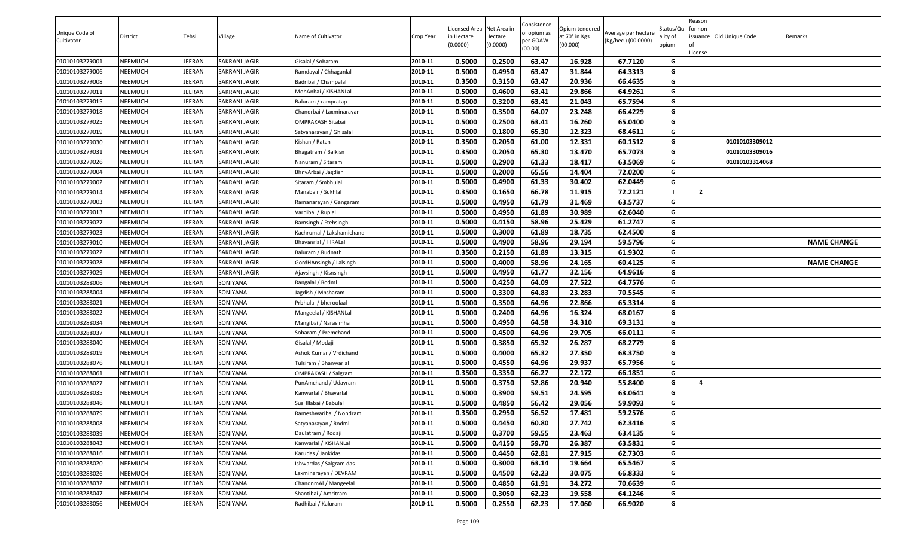|                |                |               |               |                           |           |                          |                     | Consistence |                           |                     |                   | Reason         |                          |                    |
|----------------|----------------|---------------|---------------|---------------------------|-----------|--------------------------|---------------------|-------------|---------------------------|---------------------|-------------------|----------------|--------------------------|--------------------|
| Unique Code of |                |               |               |                           |           | Licensed Area Net Area i |                     | of opium as | Opium tendered            | Average per hectare | Status/Qu         | for non-       |                          |                    |
| Cultivator     | District       | Tehsil        | Village       | Name of Cultivator        | Crop Year | in Hectare<br>(0.0000)   | Hectare<br>(0.0000) | per GOAW    | at 70° in Kgs<br>(00.000) | (Kg/hec.) (00.0000) | ality of<br>opium |                | issuance Old Unique Code | Remarks            |
|                |                |               |               |                           |           |                          |                     | (00.00)     |                           |                     |                   | .icense        |                          |                    |
| 01010103279001 | <b>NEEMUCH</b> | <b>IEERAN</b> | SAKRANI JAGIR | Gisalal / Sobaram         | 2010-11   | 0.5000                   | 0.2500              | 63.47       | 16.928                    | 67.7120             | G                 |                |                          |                    |
| 01010103279006 | <b>NEEMUCH</b> | <b>IEERAN</b> | SAKRANI JAGIR | Ramdayal / Chhaganlal     | 2010-11   | 0.5000                   | 0.4950              | 63.47       | 31.844                    | 64.3313             | G                 |                |                          |                    |
| 01010103279008 | <b>NEEMUCH</b> | <b>IEERAN</b> | SAKRANI JAGIR | Badribai / Champalal      | 2010-11   | 0.3500                   | 0.3150              | 63.47       | 20.936                    | 66.4635             | G                 |                |                          |                    |
| 01010103279011 | <b>NEEMUCH</b> | <b>IEERAN</b> | SAKRANI JAGIR | MohAnbai / KISHANLal      | 2010-11   | 0.5000                   | 0.4600              | 63.41       | 29.866                    | 64.9261             | G                 |                |                          |                    |
| 01010103279015 | <b>NEEMUCH</b> | <b>IEERAN</b> | SAKRANI JAGIR | Baluram / rampratap       | 2010-11   | 0.5000                   | 0.3200              | 63.41       | 21.043                    | 65.7594             | G                 |                |                          |                    |
| 01010103279018 | <b>NEEMUCH</b> | <b>IEERAN</b> | SAKRANI JAGIR | Chandrbai / Laxminarayan  | 2010-11   | 0.5000                   | 0.3500              | 64.07       | 23.248                    | 66.4229             | G                 |                |                          |                    |
| 01010103279025 | <b>NEEMUCH</b> | JEERAN        | SAKRANI JAGIR | OMPRAKASH Sitabai         | 2010-11   | 0.5000                   | 0.2500              | 63.41       | 16.260                    | 65.0400             | G                 |                |                          |                    |
| 01010103279019 | <b>NEEMUCH</b> | JEERAN        | SAKRANI JAGIR | Satyanarayan / Ghisalal   | 2010-11   | 0.5000                   | 0.1800              | 65.30       | 12.323                    | 68.4611             | G                 |                |                          |                    |
| 01010103279030 | <b>NEEMUCH</b> | <b>IEERAN</b> | SAKRANI JAGIR | Kishan / Ratan            | 2010-11   | 0.3500                   | 0.2050              | 61.00       | 12.331                    | 60.1512             | G                 |                | 01010103309012           |                    |
| 01010103279031 | <b>NEEMUCH</b> | <b>IEERAN</b> | SAKRANI JAGIR | Bhagatram / Balkisn       | 2010-11   | 0.3500                   | 0.2050              | 65.30       | 13.470                    | 65.7073             | G                 |                | 01010103309016           |                    |
| 01010103279026 | <b>NEEMUCH</b> | <b>IEERAN</b> | SAKRANI JAGIR | Nanuram / Sitaram         | 2010-11   | 0.5000                   | 0.2900              | 61.33       | 18.417                    | 63.5069             | G                 |                | 01010103314068           |                    |
| 01010103279004 | <b>NEEMUCH</b> | <b>IEERAN</b> | SAKRANI JAGIR | BhnvArbai / Jagdish       | 2010-11   | 0.5000                   | 0.2000              | 65.56       | 14.404                    | 72.0200             | G                 |                |                          |                    |
| 01010103279002 | <b>NEEMUCH</b> | <b>IEERAN</b> | SAKRANI JAGIR | Sitaram / Smbhulal        | 2010-11   | 0.5000                   | 0.4900              | 61.33       | 30.402                    | 62.0449             | G                 |                |                          |                    |
| 01010103279014 | <b>NEEMUCH</b> | JEERAN        | SAKRANI JAGIR | Manabair / Sukhlal        | 2010-11   | 0.3500                   | 0.1650              | 66.78       | 11.915                    | 72.2121             |                   | $\overline{2}$ |                          |                    |
| 01010103279003 | <b>NEEMUCH</b> | JEERAN        | SAKRANI JAGIR | Ramanarayan / Gangaram    | 2010-11   | 0.5000                   | 0.4950              | 61.79       | 31.469                    | 63.5737             | G                 |                |                          |                    |
| 01010103279013 | <b>NEEMUCH</b> | JEERAN        | SAKRANI JAGIR | Vardibai / Ruplal         | 2010-11   | 0.5000                   | 0.4950              | 61.89       | 30.989                    | 62.6040             | G                 |                |                          |                    |
| 01010103279027 | <b>NEEMUCH</b> | <b>IEERAN</b> | SAKRANI JAGIR | Ramsingh / Ftehsingh      | 2010-11   | 0.5000                   | 0.4150              | 58.96       | 25.429                    | 61.2747             | G                 |                |                          |                    |
| 01010103279023 | <b>NEEMUCH</b> | JEERAN        | SAKRANI JAGIR | Kachrumal / Lakshamichand | 2010-11   | 0.5000                   | 0.3000              | 61.89       | 18.735                    | 62.4500             | G                 |                |                          |                    |
| 01010103279010 | <b>NEEMUCH</b> | <b>IEERAN</b> | SAKRANI JAGIR | Bhavanrlal / HIRALal      | 2010-11   | 0.5000                   | 0.4900              | 58.96       | 29.194                    | 59.5796             | G                 |                |                          | <b>NAME CHANGE</b> |
| 01010103279022 | <b>NEEMUCH</b> | <b>IEERAN</b> | SAKRANI JAGIR | Baluram / Rudnath         | 2010-11   | 0.3500                   | 0.2150              | 61.89       | 13.315                    | 61.9302             | G                 |                |                          |                    |
| 01010103279028 | <b>NEEMUCH</b> | IEERAN        | SAKRANI JAGIR | GordHAnsingh / Lalsingh   | 2010-11   | 0.5000                   | 0.4000              | 58.96       | 24.165                    | 60.4125             | G                 |                |                          | <b>NAME CHANGE</b> |
| 01010103279029 | <b>NEEMUCH</b> | JEERAN        | SAKRANI JAGIR | Ajaysingh / Kisnsingh     | 2010-11   | 0.5000                   | 0.4950              | 61.77       | 32.156                    | 64.9616             | G                 |                |                          |                    |
| 01010103288006 | <b>NEEMUCH</b> | <b>IEERAN</b> | SONIYANA      | Rangalal / Rodml          | 2010-11   | 0.5000                   | 0.4250              | 64.09       | 27.522                    | 64.7576             | G                 |                |                          |                    |
| 01010103288004 | <b>NEEMUCH</b> | JEERAN        | SONIYANA      | Jagdish / Mnsharam        | 2010-11   | 0.5000                   | 0.3300              | 64.83       | 23.283                    | 70.5545             | G                 |                |                          |                    |
| 01010103288021 | <b>NEEMUCH</b> | JEERAN        | SONIYANA      | Prbhulal / bheroolaal     | 2010-11   | 0.5000                   | 0.3500              | 64.96       | 22.866                    | 65.3314             | G                 |                |                          |                    |
| 01010103288022 | <b>NEEMUCH</b> | <b>IEERAN</b> | SONIYANA      | Mangeelal / KISHANLal     | 2010-11   | 0.5000                   | 0.2400              | 64.96       | 16.324                    | 68.0167             | G                 |                |                          |                    |
| 01010103288034 | <b>NEEMUCH</b> | <b>IEERAN</b> | SONIYANA      | Mangibai / Narasimha      | 2010-11   | 0.5000                   | 0.4950              | 64.58       | 34.310                    | 69.3131             | G                 |                |                          |                    |
| 01010103288037 | <b>NEEMUCH</b> | <b>IEERAN</b> | SONIYANA      | Sobaram / Premchand       | 2010-11   | 0.5000                   | 0.4500              | 64.96       | 29.705                    | 66.0111             | G                 |                |                          |                    |
| 01010103288040 | <b>NEEMUCH</b> | <b>IEERAN</b> | SONIYANA      | Gisalal / Modaji          | 2010-11   | 0.5000                   | 0.3850              | 65.32       | 26.287                    | 68.2779             | G                 |                |                          |                    |
| 01010103288019 | <b>NEEMUCH</b> | <b>IEERAN</b> | SONIYANA      | Ashok Kumar / Vrdichand   | 2010-11   | 0.5000                   | 0.4000              | 65.32       | 27.350                    | 68.3750             | G                 |                |                          |                    |
| 01010103288076 | <b>NEEMUCH</b> | JEERAN        | SONIYANA      | Tulsiram / Bhanwarlal     | 2010-11   | 0.5000                   | 0.4550              | 64.96       | 29.937                    | 65.7956             | G                 |                |                          |                    |
| 01010103288061 | <b>NEEMUCH</b> | JEERAN        | SONIYANA      | OMPRAKASH / Salgram       | 2010-11   | 0.3500                   | 0.3350              | 66.27       | 22.172                    | 66.1851             | G                 |                |                          |                    |
| 01010103288027 | <b>NEEMUCH</b> | JEERAN        | SONIYANA      | PunAmchand / Udayram      | 2010-11   | 0.5000                   | 0.3750              | 52.86       | 20.940                    | 55.8400             | G                 | $\overline{4}$ |                          |                    |
| 01010103288035 | <b>NEEMUCH</b> | <b>IEERAN</b> | SONIYANA      | Kanwarlal / Bhavarlal     | 2010-11   | 0.5000                   | 0.3900              | 59.51       | 24.595                    | 63.0641             | G                 |                |                          |                    |
| 01010103288046 | <b>NEEMUCH</b> | <b>IEERAN</b> | SONIYANA      | SusHIlabai / Babulal      | 2010-11   | 0.5000                   | 0.4850              | 56.42       | 29.056                    | 59.9093             | G                 |                |                          |                    |
| 01010103288079 | <b>NEEMUCH</b> | JEERAN        | SONIYANA      | Rameshwaribai / Nondram   | 2010-11   | 0.3500                   | 0.2950              | 56.52       | 17.481                    | 59.2576             | G                 |                |                          |                    |
| 01010103288008 | <b>NEEMUCH</b> | JEERAN        | SONIYANA      | Satyanarayan / Rodml      | 2010-11   | 0.5000                   | 0.4450              | 60.80       | 27.742                    | 62.3416             | G                 |                |                          |                    |
| 01010103288039 | <b>NEEMUCH</b> | <b>IEERAN</b> | SONIYANA      | Daulatram / Rodaji        | 2010-11   | 0.5000                   | 0.3700              | 59.55       | 23.463                    | 63.4135             | G                 |                |                          |                    |
| 01010103288043 | <b>NEEMUCH</b> | JEERAN        | SONIYANA      | Kanwarlal / KISHANLal     | 2010-11   | 0.5000                   | 0.4150              | 59.70       | 26.387                    | 63.5831             | G                 |                |                          |                    |
| 01010103288016 | <b>NEEMUCH</b> | JEERAN        | SONIYANA      | Karudas / Jankidas        | 2010-11   | 0.5000                   | 0.4450              | 62.81       | 27.915                    | 62.7303             | G                 |                |                          |                    |
| 01010103288020 | <b>NEEMUCH</b> | JEERAN        | SONIYANA      | Ishwardas / Salgram das   | 2010-11   | 0.5000                   | 0.3000              | 63.14       | 19.664                    | 65.5467             | G                 |                |                          |                    |
| 01010103288026 | <b>NEEMUCH</b> | JEERAN        | SONIYANA      | Laxminarayan / DEVRAM     | 2010-11   | 0.5000                   | 0.4500              | 62.23       | 30.075                    | 66.8333             | G                 |                |                          |                    |
| 01010103288032 | <b>NEEMUCH</b> | JEERAN        | SONIYANA      | ChandnmAl / Mangeelal     | 2010-11   | 0.5000                   | 0.4850              | 61.91       | 34.272                    | 70.6639             | G                 |                |                          |                    |
| 01010103288047 | <b>NEEMUCH</b> | JEERAN        | SONIYANA      | Shantibai / Amritram      | 2010-11   | 0.5000                   | 0.3050              | 62.23       | 19.558                    | 64.1246             | G                 |                |                          |                    |
| 01010103288056 | <b>NEEMUCH</b> | JEERAN        | SONIYANA      | Radhibai / Kaluram        | 2010-11   | 0.5000                   | 0.2550              | 62.23       | 17.060                    | 66.9020             | G                 |                |                          |                    |